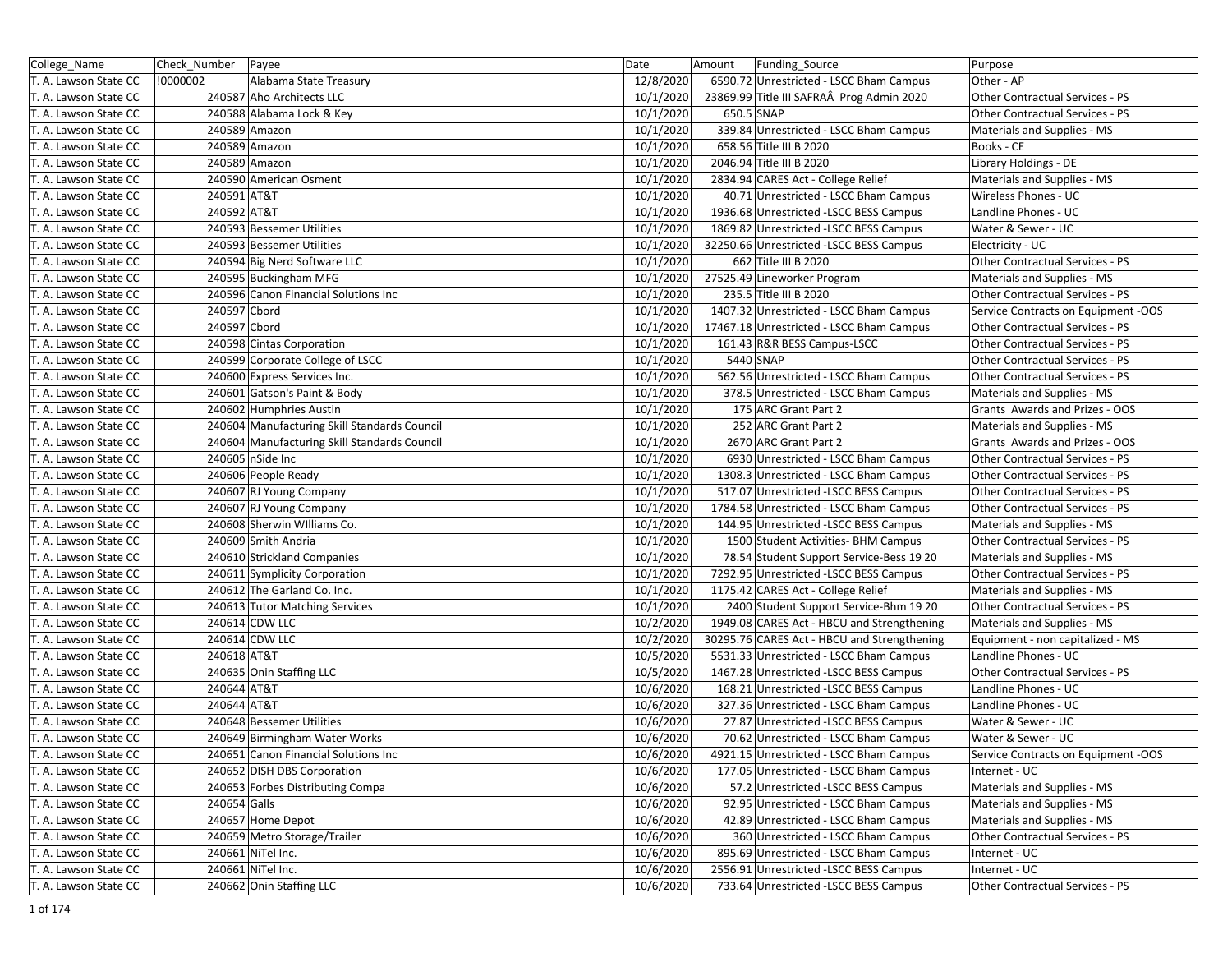| College_Name          | Check_Number | Payee                                        | Date      | Amount     | Funding Source                              | Purpose                                |
|-----------------------|--------------|----------------------------------------------|-----------|------------|---------------------------------------------|----------------------------------------|
| T. A. Lawson State CC | !0000002     | Alabama State Treasury                       | 12/8/2020 |            | 6590.72 Unrestricted - LSCC Bham Campus     | Other - AP                             |
| T. A. Lawson State CC |              | 240587 Aho Architects LLC                    | 10/1/2020 |            | 23869.99 Title III SAFRAÂ Prog Admin 2020   | <b>Other Contractual Services - PS</b> |
| T. A. Lawson State CC |              | 240588 Alabama Lock & Key                    | 10/1/2020 | 650.5 SNAP |                                             | Other Contractual Services - PS        |
| T. A. Lawson State CC |              | 240589 Amazon                                | 10/1/2020 |            | 339.84 Unrestricted - LSCC Bham Campus      | Materials and Supplies - MS            |
| T. A. Lawson State CC |              | 240589 Amazon                                | 10/1/2020 |            | 658.56 Title III B 2020                     | Books - CE                             |
| T. A. Lawson State CC |              | 240589 Amazon                                | 10/1/2020 |            | 2046.94 Title III B 2020                    | Library Holdings - DE                  |
| T. A. Lawson State CC |              | 240590 American Osment                       | 10/1/2020 |            | 2834.94 CARES Act - College Relief          | Materials and Supplies - MS            |
| T. A. Lawson State CC | 240591 AT&T  |                                              | 10/1/2020 |            | 40.71 Unrestricted - LSCC Bham Campus       | Wireless Phones - UC                   |
| T. A. Lawson State CC | 240592 AT&T  |                                              | 10/1/2020 |            | 1936.68 Unrestricted -LSCC BESS Campus      | Landline Phones - UC                   |
| T. A. Lawson State CC |              | 240593 Bessemer Utilities                    | 10/1/2020 |            | 1869.82 Unrestricted -LSCC BESS Campus      | Water & Sewer - UC                     |
| T. A. Lawson State CC |              | 240593 Bessemer Utilities                    | 10/1/2020 |            | 32250.66 Unrestricted -LSCC BESS Campus     | Electricity - UC                       |
| T. A. Lawson State CC |              | 240594 Big Nerd Software LLC                 | 10/1/2020 |            | 662 Title III B 2020                        | Other Contractual Services - PS        |
| T. A. Lawson State CC |              | 240595 Buckingham MFG                        | 10/1/2020 |            | 27525.49 Lineworker Program                 | Materials and Supplies - MS            |
| T. A. Lawson State CC |              | 240596 Canon Financial Solutions Inc         | 10/1/2020 |            | 235.5 Title III B 2020                      | Other Contractual Services - PS        |
| T. A. Lawson State CC | 240597 Cbord |                                              | 10/1/2020 |            | 1407.32 Unrestricted - LSCC Bham Campus     | Service Contracts on Equipment -OOS    |
| T. A. Lawson State CC | 240597 Cbord |                                              | 10/1/2020 |            | 17467.18 Unrestricted - LSCC Bham Campus    | Other Contractual Services - PS        |
| T. A. Lawson State CC |              | 240598 Cintas Corporation                    | 10/1/2020 |            | 161.43 R&R BESS Campus-LSCC                 | Other Contractual Services - PS        |
| T. A. Lawson State CC |              | 240599 Corporate College of LSCC             | 10/1/2020 | 5440 SNAP  |                                             | Other Contractual Services - PS        |
| T. A. Lawson State CC |              | 240600 Express Services Inc.                 | 10/1/2020 |            | 562.56 Unrestricted - LSCC Bham Campus      | Other Contractual Services - PS        |
| T. A. Lawson State CC |              | 240601 Gatson's Paint & Body                 | 10/1/2020 |            | 378.5 Unrestricted - LSCC Bham Campus       | Materials and Supplies - MS            |
| T. A. Lawson State CC |              | 240602 Humphries Austin                      | 10/1/2020 |            | 175 ARC Grant Part 2                        | Grants Awards and Prizes - OOS         |
| T. A. Lawson State CC |              | 240604 Manufacturing Skill Standards Council | 10/1/2020 |            | 252 ARC Grant Part 2                        | Materials and Supplies - MS            |
| T. A. Lawson State CC |              | 240604 Manufacturing Skill Standards Council | 10/1/2020 |            | 2670 ARC Grant Part 2                       | Grants Awards and Prizes - OOS         |
| T. A. Lawson State CC |              | 240605 nSide Inc                             | 10/1/2020 |            | 6930 Unrestricted - LSCC Bham Campus        | Other Contractual Services - PS        |
| T. A. Lawson State CC |              | 240606 People Ready                          | 10/1/2020 |            | 1308.3 Unrestricted - LSCC Bham Campus      | Other Contractual Services - PS        |
| T. A. Lawson State CC |              | 240607 RJ Young Company                      | 10/1/2020 |            | 517.07 Unrestricted -LSCC BESS Campus       | Other Contractual Services - PS        |
| T. A. Lawson State CC |              | 240607 RJ Young Company                      | 10/1/2020 |            | 1784.58 Unrestricted - LSCC Bham Campus     | Other Contractual Services - PS        |
| T. A. Lawson State CC |              | 240608 Sherwin Williams Co.                  | 10/1/2020 |            | 144.95 Unrestricted -LSCC BESS Campus       | Materials and Supplies - MS            |
| T. A. Lawson State CC |              | 240609 Smith Andria                          | 10/1/2020 |            | 1500 Student Activities- BHM Campus         | Other Contractual Services - PS        |
| T. A. Lawson State CC |              | 240610 Strickland Companies                  | 10/1/2020 |            | 78.54 Student Support Service-Bess 19 20    | Materials and Supplies - MS            |
| T. A. Lawson State CC |              | 240611 Symplicity Corporation                | 10/1/2020 |            | 7292.95 Unrestricted -LSCC BESS Campus      | Other Contractual Services - PS        |
| T. A. Lawson State CC |              | 240612 The Garland Co. Inc.                  | 10/1/2020 |            | 1175.42 CARES Act - College Relief          | Materials and Supplies - MS            |
| T. A. Lawson State CC |              | 240613 Tutor Matching Services               | 10/1/2020 |            | 2400 Student Support Service-Bhm 19 20      | Other Contractual Services - PS        |
| T. A. Lawson State CC |              | 240614 CDW LLC                               | 10/2/2020 |            | 1949.08 CARES Act - HBCU and Strengthening  | Materials and Supplies - MS            |
| T. A. Lawson State CC |              | 240614 CDW LLC                               | 10/2/2020 |            | 30295.76 CARES Act - HBCU and Strengthening | Equipment - non capitalized - MS       |
| T. A. Lawson State CC | 240618 AT&T  |                                              | 10/5/2020 |            | 5531.33 Unrestricted - LSCC Bham Campus     | Landline Phones - UC                   |
| T. A. Lawson State CC |              | 240635 Onin Staffing LLC                     | 10/5/2020 |            | 1467.28 Unrestricted -LSCC BESS Campus      | Other Contractual Services - PS        |
| T. A. Lawson State CC | 240644 AT&T  |                                              | 10/6/2020 |            | 168.21 Unrestricted -LSCC BESS Campus       | Landline Phones - UC                   |
| T. A. Lawson State CC | 240644 AT&T  |                                              | 10/6/2020 |            | 327.36 Unrestricted - LSCC Bham Campus      | Landline Phones - UC                   |
| T. A. Lawson State CC |              | 240648 Bessemer Utilities                    | 10/6/2020 |            | 27.87 Unrestricted -LSCC BESS Campus        | Water & Sewer - UC                     |
| T. A. Lawson State CC |              | 240649 Birmingham Water Works                | 10/6/2020 |            | 70.62 Unrestricted - LSCC Bham Campus       | Water & Sewer - UC                     |
| T. A. Lawson State CC |              | 240651 Canon Financial Solutions Inc         | 10/6/2020 |            | 4921.15 Unrestricted - LSCC Bham Campus     | Service Contracts on Equipment -OOS    |
| T. A. Lawson State CC |              | 240652 DISH DBS Corporation                  | 10/6/2020 |            | 177.05 Unrestricted - LSCC Bham Campus      | Internet - UC                          |
| T. A. Lawson State CC |              | 240653 Forbes Distributing Compa             | 10/6/2020 |            | 57.2 Unrestricted -LSCC BESS Campus         | Materials and Supplies - MS            |
| T. A. Lawson State CC | 240654 Galls |                                              | 10/6/2020 |            | 92.95 Unrestricted - LSCC Bham Campus       | Materials and Supplies - MS            |
| T. A. Lawson State CC |              | 240657 Home Depot                            | 10/6/2020 |            | 42.89 Unrestricted - LSCC Bham Campus       | Materials and Supplies - MS            |
| T. A. Lawson State CC |              | 240659 Metro Storage/Trailer                 | 10/6/2020 |            | 360 Unrestricted - LSCC Bham Campus         | Other Contractual Services - PS        |
| T. A. Lawson State CC |              | 240661 NiTel Inc.                            | 10/6/2020 |            | 895.69 Unrestricted - LSCC Bham Campus      | Internet - UC                          |
| T. A. Lawson State CC |              | 240661 NiTel Inc.                            | 10/6/2020 |            | 2556.91 Unrestricted -LSCC BESS Campus      | Internet - UC                          |
| T. A. Lawson State CC |              | 240662 Onin Staffing LLC                     | 10/6/2020 |            | 733.64 Unrestricted -LSCC BESS Campus       | Other Contractual Services - PS        |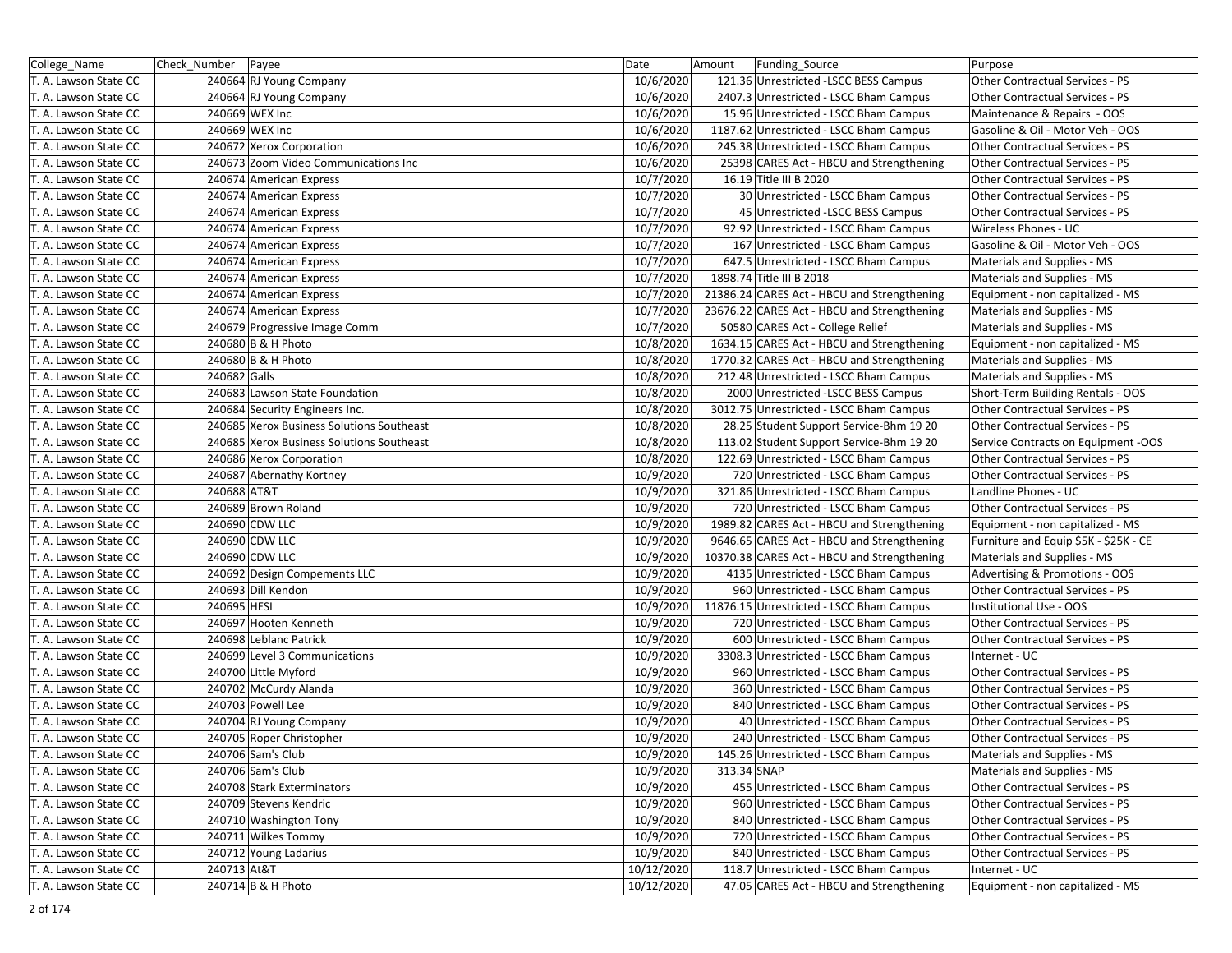| College_Name          | Check_Number   Payee                      | Date       | Funding_Source<br>Amount                    | Purpose                               |
|-----------------------|-------------------------------------------|------------|---------------------------------------------|---------------------------------------|
| T. A. Lawson State CC | 240664 RJ Young Company                   | 10/6/2020  | 121.36 Unrestricted -LSCC BESS Campus       | Other Contractual Services - PS       |
| T. A. Lawson State CC | 240664 RJ Young Company                   | 10/6/2020  | 2407.3 Unrestricted - LSCC Bham Campus      | Other Contractual Services - PS       |
| T. A. Lawson State CC | 240669 WEX Inc                            | 10/6/2020  | 15.96 Unrestricted - LSCC Bham Campus       | Maintenance & Repairs - OOS           |
| T. A. Lawson State CC | 240669 WEX Inc                            | 10/6/2020  | 1187.62 Unrestricted - LSCC Bham Campus     | Gasoline & Oil - Motor Veh - OOS      |
| T. A. Lawson State CC | 240672 Xerox Corporation                  | 10/6/2020  | 245.38 Unrestricted - LSCC Bham Campus      | Other Contractual Services - PS       |
| T. A. Lawson State CC | 240673 Zoom Video Communications Inc      | 10/6/2020  | 25398 CARES Act - HBCU and Strengthening    | Other Contractual Services - PS       |
| T. A. Lawson State CC | 240674 American Express                   | 10/7/2020  | 16.19 Title III B 2020                      | Other Contractual Services - PS       |
| T. A. Lawson State CC | 240674 American Express                   | 10/7/2020  | 30 Unrestricted - LSCC Bham Campus          | Other Contractual Services - PS       |
| T. A. Lawson State CC | 240674 American Express                   | 10/7/2020  | 45 Unrestricted - LSCC BESS Campus          | Other Contractual Services - PS       |
| T. A. Lawson State CC | 240674 American Express                   | 10/7/2020  | 92.92 Unrestricted - LSCC Bham Campus       | Wireless Phones - UC                  |
| T. A. Lawson State CC | 240674 American Express                   | 10/7/2020  | 167 Unrestricted - LSCC Bham Campus         | Gasoline & Oil - Motor Veh - OOS      |
| T. A. Lawson State CC | 240674 American Express                   | 10/7/2020  | 647.5 Unrestricted - LSCC Bham Campus       | Materials and Supplies - MS           |
| T. A. Lawson State CC | 240674 American Express                   | 10/7/2020  | 1898.74 Title III B 2018                    | Materials and Supplies - MS           |
| T. A. Lawson State CC | 240674 American Express                   | 10/7/2020  | 21386.24 CARES Act - HBCU and Strengthening | Equipment - non capitalized - MS      |
| T. A. Lawson State CC | 240674 American Express                   | 10/7/2020  | 23676.22 CARES Act - HBCU and Strengthening | Materials and Supplies - MS           |
| T. A. Lawson State CC | 240679 Progressive Image Comm             | 10/7/2020  | 50580 CARES Act - College Relief            | Materials and Supplies - MS           |
| T. A. Lawson State CC | 240680 B & H Photo                        | 10/8/2020  | 1634.15 CARES Act - HBCU and Strengthening  | Equipment - non capitalized - MS      |
| T. A. Lawson State CC | 240680 B & H Photo                        | 10/8/2020  | 1770.32 CARES Act - HBCU and Strengthening  | Materials and Supplies - MS           |
| T. A. Lawson State CC | 240682 Galls                              | 10/8/2020  | 212.48 Unrestricted - LSCC Bham Campus      | Materials and Supplies - MS           |
| T. A. Lawson State CC | 240683 Lawson State Foundation            | 10/8/2020  | 2000 Unrestricted -LSCC BESS Campus         | Short-Term Building Rentals - OOS     |
| T. A. Lawson State CC | 240684 Security Engineers Inc.            | 10/8/2020  | 3012.75 Unrestricted - LSCC Bham Campus     | Other Contractual Services - PS       |
| T. A. Lawson State CC | 240685 Xerox Business Solutions Southeast | 10/8/2020  | 28.25 Student Support Service-Bhm 19 20     | Other Contractual Services - PS       |
| T. A. Lawson State CC | 240685 Xerox Business Solutions Southeast | 10/8/2020  | 113.02 Student Support Service-Bhm 19 20    | Service Contracts on Equipment -OOS   |
| T. A. Lawson State CC | 240686 Xerox Corporation                  | 10/8/2020  | 122.69 Unrestricted - LSCC Bham Campus      | Other Contractual Services - PS       |
| T. A. Lawson State CC | 240687 Abernathy Kortney                  | 10/9/2020  | 720 Unrestricted - LSCC Bham Campus         | Other Contractual Services - PS       |
| T. A. Lawson State CC | 240688 AT&T                               | 10/9/2020  | 321.86 Unrestricted - LSCC Bham Campus      | Landline Phones - UC                  |
| T. A. Lawson State CC | 240689 Brown Roland                       | 10/9/2020  | 720 Unrestricted - LSCC Bham Campus         | Other Contractual Services - PS       |
| T. A. Lawson State CC | 240690 CDW LLC                            | 10/9/2020  | 1989.82 CARES Act - HBCU and Strengthening  | Equipment - non capitalized - MS      |
| T. A. Lawson State CC | 240690 CDW LLC                            | 10/9/2020  | 9646.65 CARES Act - HBCU and Strengthening  | Furniture and Equip \$5K - \$25K - CE |
| T. A. Lawson State CC | 240690 CDW LLC                            | 10/9/2020  | 10370.38 CARES Act - HBCU and Strengthening | Materials and Supplies - MS           |
| T. A. Lawson State CC | 240692 Design Compements LLC              | 10/9/2020  | 4135 Unrestricted - LSCC Bham Campus        | Advertising & Promotions - OOS        |
| T. A. Lawson State CC | 240693 Dill Kendon                        | 10/9/2020  | 960 Unrestricted - LSCC Bham Campus         | Other Contractual Services - PS       |
| T. A. Lawson State CC | 240695 HESI                               | 10/9/2020  | 11876.15 Unrestricted - LSCC Bham Campus    | Institutional Use - OOS               |
| T. A. Lawson State CC | 240697 Hooten Kenneth                     | 10/9/2020  | 720 Unrestricted - LSCC Bham Campus         | Other Contractual Services - PS       |
| T. A. Lawson State CC | 240698 Leblanc Patrick                    | 10/9/2020  | 600 Unrestricted - LSCC Bham Campus         | Other Contractual Services - PS       |
| T. A. Lawson State CC | 240699 Level 3 Communications             | 10/9/2020  | 3308.3 Unrestricted - LSCC Bham Campus      | Internet - UC                         |
| T. A. Lawson State CC | 240700 Little Myford                      | 10/9/2020  | 960 Unrestricted - LSCC Bham Campus         | Other Contractual Services - PS       |
| T. A. Lawson State CC | 240702 McCurdy Alanda                     | 10/9/2020  | 360 Unrestricted - LSCC Bham Campus         | Other Contractual Services - PS       |
| T. A. Lawson State CC | 240703 Powell Lee                         | 10/9/2020  | 840 Unrestricted - LSCC Bham Campus         | Other Contractual Services - PS       |
| T. A. Lawson State CC | 240704 RJ Young Company                   | 10/9/2020  | 40 Unrestricted - LSCC Bham Campus          | Other Contractual Services - PS       |
| T. A. Lawson State CC | 240705 Roper Christopher                  | 10/9/2020  | 240 Unrestricted - LSCC Bham Campus         | Other Contractual Services - PS       |
| T. A. Lawson State CC | 240706 Sam's Club                         | 10/9/2020  | 145.26 Unrestricted - LSCC Bham Campus      | Materials and Supplies - MS           |
| T. A. Lawson State CC | 240706 Sam's Club                         | 10/9/2020  | 313.34 SNAP                                 | Materials and Supplies - MS           |
| T. A. Lawson State CC | 240708 Stark Exterminators                | 10/9/2020  | 455 Unrestricted - LSCC Bham Campus         | Other Contractual Services - PS       |
| T. A. Lawson State CC | 240709 Stevens Kendric                    | 10/9/2020  | 960 Unrestricted - LSCC Bham Campus         | Other Contractual Services - PS       |
| T. A. Lawson State CC | 240710 Washington Tony                    | 10/9/2020  | 840 Unrestricted - LSCC Bham Campus         | Other Contractual Services - PS       |
| T. A. Lawson State CC | 240711 Wilkes Tommy                       | 10/9/2020  | 720 Unrestricted - LSCC Bham Campus         | Other Contractual Services - PS       |
| T. A. Lawson State CC | 240712 Young Ladarius                     | 10/9/2020  | 840 Unrestricted - LSCC Bham Campus         | Other Contractual Services - PS       |
| T. A. Lawson State CC | 240713 At&T                               | 10/12/2020 | 118.7 Unrestricted - LSCC Bham Campus       | Internet - UC                         |
| T. A. Lawson State CC | 240714 B & H Photo                        | 10/12/2020 | 47.05 CARES Act - HBCU and Strengthening    | Equipment - non capitalized - MS      |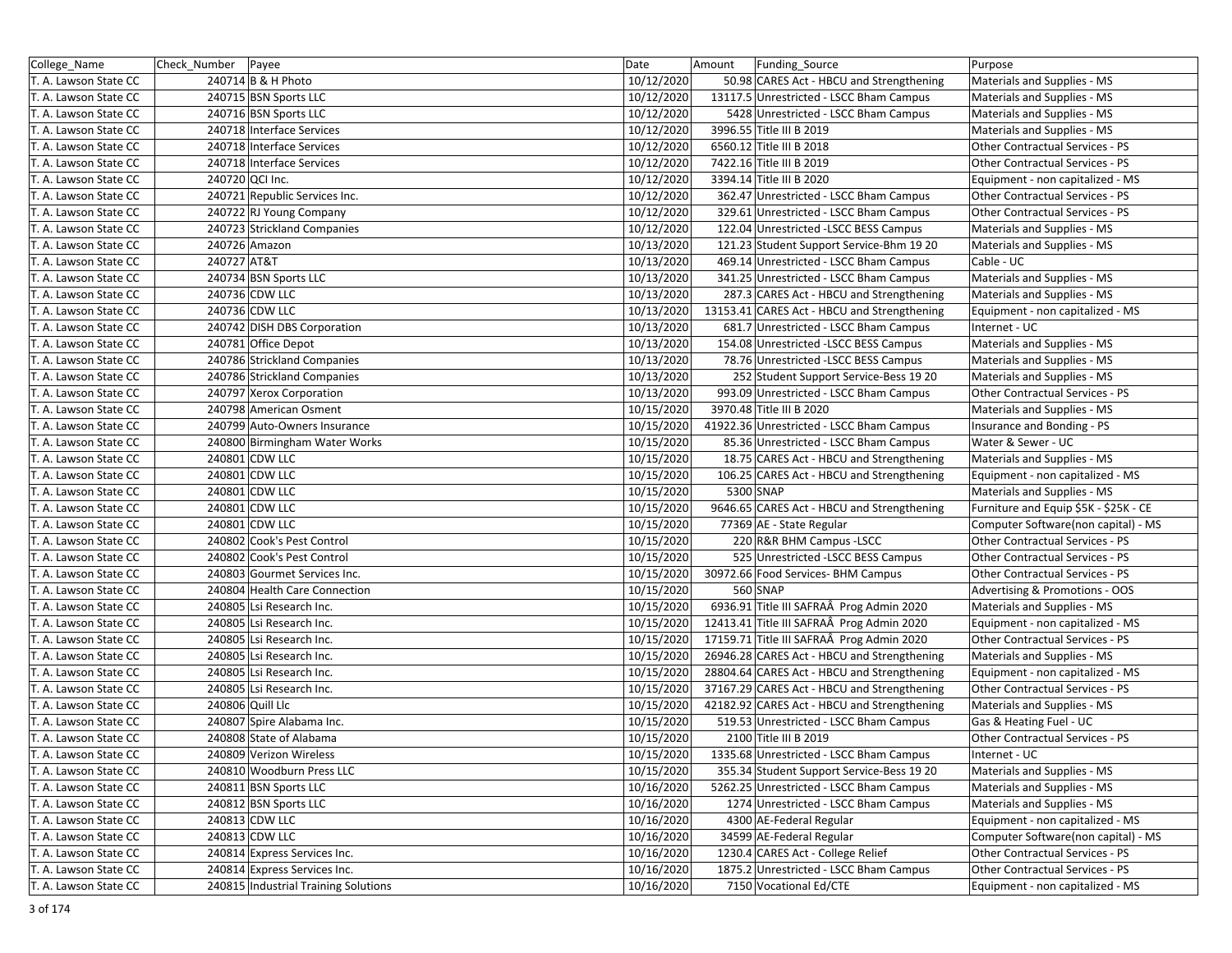| College_Name          | Check_Number   Payee |                                      | Date       | Amount | Funding Source                              | Purpose                               |
|-----------------------|----------------------|--------------------------------------|------------|--------|---------------------------------------------|---------------------------------------|
| T. A. Lawson State CC |                      | 240714 B & H Photo                   | 10/12/2020 |        | 50.98 CARES Act - HBCU and Strengthening    | Materials and Supplies - MS           |
| T. A. Lawson State CC |                      | 240715 BSN Sports LLC                | 10/12/2020 |        | 13117.5 Unrestricted - LSCC Bham Campus     | Materials and Supplies - MS           |
| T. A. Lawson State CC |                      | 240716 BSN Sports LLC                | 10/12/2020 |        | 5428 Unrestricted - LSCC Bham Campus        | Materials and Supplies - MS           |
| T. A. Lawson State CC |                      | 240718 Interface Services            | 10/12/2020 |        | 3996.55 Title III B 2019                    | Materials and Supplies - MS           |
| T. A. Lawson State CC |                      | 240718 Interface Services            | 10/12/2020 |        | 6560.12 Title III B 2018                    | Other Contractual Services - PS       |
| T. A. Lawson State CC |                      | 240718 Interface Services            | 10/12/2020 |        | 7422.16 Title III B 2019                    | Other Contractual Services - PS       |
| T. A. Lawson State CC |                      | 240720 QCI Inc.                      | 10/12/2020 |        | 3394.14 Title III B 2020                    | Equipment - non capitalized - MS      |
| T. A. Lawson State CC |                      | 240721 Republic Services Inc.        | 10/12/2020 |        | 362.47 Unrestricted - LSCC Bham Campus      | Other Contractual Services - PS       |
| T. A. Lawson State CC |                      | 240722 RJ Young Company              | 10/12/2020 |        | 329.61 Unrestricted - LSCC Bham Campus      | Other Contractual Services - PS       |
| T. A. Lawson State CC |                      | 240723 Strickland Companies          | 10/12/2020 |        | 122.04 Unrestricted -LSCC BESS Campus       | Materials and Supplies - MS           |
| T. A. Lawson State CC |                      | 240726 Amazon                        | 10/13/2020 |        | 121.23 Student Support Service-Bhm 19 20    | Materials and Supplies - MS           |
| T. A. Lawson State CC | 240727 AT&T          |                                      | 10/13/2020 |        | 469.14 Unrestricted - LSCC Bham Campus      | Cable - UC                            |
| T. A. Lawson State CC |                      | 240734 BSN Sports LLC                | 10/13/2020 |        | 341.25 Unrestricted - LSCC Bham Campus      | Materials and Supplies - MS           |
| T. A. Lawson State CC |                      | 240736 CDW LLC                       | 10/13/2020 |        | 287.3 CARES Act - HBCU and Strengthening    | Materials and Supplies - MS           |
| T. A. Lawson State CC |                      | 240736 CDW LLC                       | 10/13/2020 |        | 13153.41 CARES Act - HBCU and Strengthening | Equipment - non capitalized - MS      |
| T. A. Lawson State CC |                      | 240742 DISH DBS Corporation          | 10/13/2020 |        | 681.7 Unrestricted - LSCC Bham Campus       | Internet - UC                         |
| T. A. Lawson State CC |                      | 240781 Office Depot                  | 10/13/2020 |        | 154.08 Unrestricted -LSCC BESS Campus       | Materials and Supplies - MS           |
| T. A. Lawson State CC |                      | 240786 Strickland Companies          | 10/13/2020 |        | 78.76 Unrestricted -LSCC BESS Campus        | Materials and Supplies - MS           |
| T. A. Lawson State CC |                      | 240786 Strickland Companies          | 10/13/2020 |        | 252 Student Support Service-Bess 19 20      | Materials and Supplies - MS           |
| T. A. Lawson State CC |                      | 240797 Xerox Corporation             | 10/13/2020 |        | 993.09 Unrestricted - LSCC Bham Campus      | Other Contractual Services - PS       |
| T. A. Lawson State CC |                      | 240798 American Osment               | 10/15/2020 |        | 3970.48 Title III B 2020                    | Materials and Supplies - MS           |
| T. A. Lawson State CC |                      | 240799 Auto-Owners Insurance         | 10/15/2020 |        | 41922.36 Unrestricted - LSCC Bham Campus    | Insurance and Bonding - PS            |
| T. A. Lawson State CC |                      | 240800 Birmingham Water Works        | 10/15/2020 |        | 85.36 Unrestricted - LSCC Bham Campus       | Water & Sewer - UC                    |
| T. A. Lawson State CC |                      | 240801 CDW LLC                       | 10/15/2020 |        | 18.75 CARES Act - HBCU and Strengthening    | Materials and Supplies - MS           |
| T. A. Lawson State CC |                      | 240801 CDW LLC                       | 10/15/2020 |        | 106.25 CARES Act - HBCU and Strengthening   | Equipment - non capitalized - MS      |
| T. A. Lawson State CC |                      | 240801 CDW LLC                       | 10/15/2020 |        | 5300 SNAP                                   | Materials and Supplies - MS           |
| T. A. Lawson State CC |                      | 240801 CDW LLC                       | 10/15/2020 |        | 9646.65 CARES Act - HBCU and Strengthening  | Furniture and Equip \$5K - \$25K - CE |
| T. A. Lawson State CC |                      | 240801 CDW LLC                       | 10/15/2020 |        | 77369 AE - State Regular                    | Computer Software(non capital) - MS   |
| T. A. Lawson State CC |                      | 240802 Cook's Pest Control           | 10/15/2020 |        | 220 R&R BHM Campus - LSCC                   | Other Contractual Services - PS       |
| T. A. Lawson State CC |                      | 240802 Cook's Pest Control           | 10/15/2020 |        | 525 Unrestricted -LSCC BESS Campus          | Other Contractual Services - PS       |
| T. A. Lawson State CC |                      | 240803 Gourmet Services Inc.         | 10/15/2020 |        | 30972.66 Food Services- BHM Campus          | Other Contractual Services - PS       |
| T. A. Lawson State CC |                      | 240804 Health Care Connection        | 10/15/2020 |        | 560 SNAP                                    | Advertising & Promotions - OOS        |
| T. A. Lawson State CC |                      | 240805 Lsi Research Inc.             | 10/15/2020 |        | 6936.91 Title III SAFRAÂ Prog Admin 2020    | Materials and Supplies - MS           |
| T. A. Lawson State CC |                      | 240805 Lsi Research Inc.             | 10/15/2020 |        | 12413.41 Title III SAFRAÂ Prog Admin 2020   | Equipment - non capitalized - MS      |
| T. A. Lawson State CC |                      | 240805 Lsi Research Inc.             | 10/15/2020 |        | 17159.71 Title III SAFRAÂ Prog Admin 2020   | Other Contractual Services - PS       |
| T. A. Lawson State CC |                      | 240805 Lsi Research Inc.             | 10/15/2020 |        | 26946.28 CARES Act - HBCU and Strengthening | Materials and Supplies - MS           |
| T. A. Lawson State CC |                      | 240805 Lsi Research Inc.             | 10/15/2020 |        | 28804.64 CARES Act - HBCU and Strengthening | Equipment - non capitalized - MS      |
| T. A. Lawson State CC |                      | 240805 Lsi Research Inc.             | 10/15/2020 |        | 37167.29 CARES Act - HBCU and Strengthening | Other Contractual Services - PS       |
| T. A. Lawson State CC |                      | 240806 Quill Llc                     | 10/15/2020 |        | 42182.92 CARES Act - HBCU and Strengthening | Materials and Supplies - MS           |
| T. A. Lawson State CC |                      | 240807 Spire Alabama Inc.            | 10/15/2020 |        | 519.53 Unrestricted - LSCC Bham Campus      | Gas & Heating Fuel - UC               |
| T. A. Lawson State CC |                      | 240808 State of Alabama              | 10/15/2020 |        | 2100 Title III B 2019                       | Other Contractual Services - PS       |
| T. A. Lawson State CC |                      | 240809 Verizon Wireless              | 10/15/2020 |        | 1335.68 Unrestricted - LSCC Bham Campus     | Internet - UC                         |
| T. A. Lawson State CC |                      | 240810 Woodburn Press LLC            | 10/15/2020 |        | 355.34 Student Support Service-Bess 19 20   | Materials and Supplies - MS           |
| T. A. Lawson State CC |                      | 240811 BSN Sports LLC                | 10/16/2020 |        | 5262.25 Unrestricted - LSCC Bham Campus     | Materials and Supplies - MS           |
| T. A. Lawson State CC |                      | 240812 BSN Sports LLC                | 10/16/2020 |        | 1274 Unrestricted - LSCC Bham Campus        | Materials and Supplies - MS           |
| T. A. Lawson State CC |                      | 240813 CDW LLC                       | 10/16/2020 |        | 4300 AE-Federal Regular                     | Equipment - non capitalized - MS      |
| T. A. Lawson State CC |                      | 240813 CDW LLC                       | 10/16/2020 |        | 34599 AE-Federal Regular                    | Computer Software(non capital) - MS   |
| T. A. Lawson State CC |                      | 240814 Express Services Inc.         | 10/16/2020 |        | 1230.4 CARES Act - College Relief           | Other Contractual Services - PS       |
| T. A. Lawson State CC |                      | 240814 Express Services Inc.         | 10/16/2020 |        | 1875.2 Unrestricted - LSCC Bham Campus      | Other Contractual Services - PS       |
| T. A. Lawson State CC |                      | 240815 Industrial Training Solutions | 10/16/2020 |        | 7150 Vocational Ed/CTE                      | Equipment - non capitalized - MS      |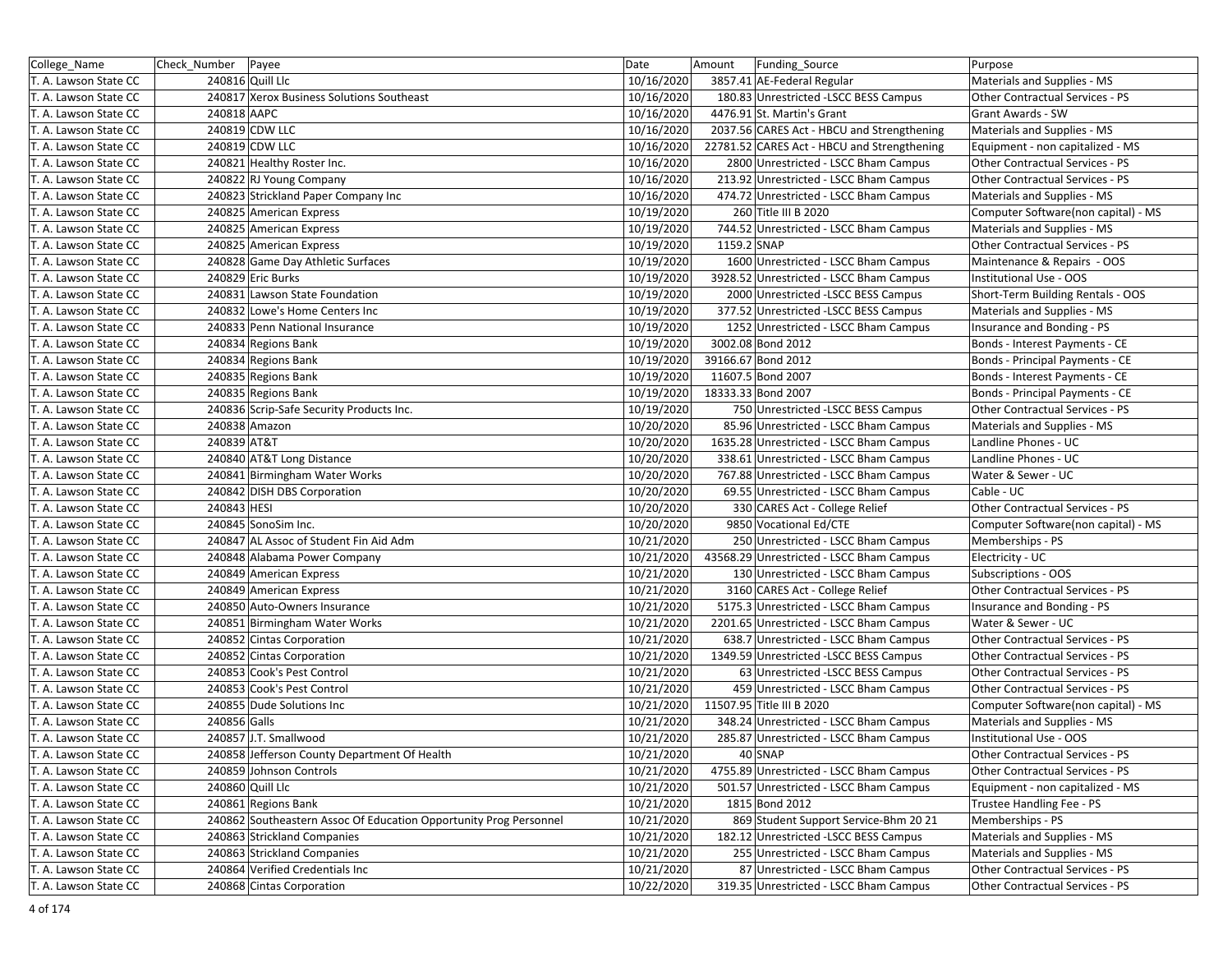| College Name          | Check_Number   Payee |                                                                   | Date       | Amount      | Funding Source                              | Purpose                                |
|-----------------------|----------------------|-------------------------------------------------------------------|------------|-------------|---------------------------------------------|----------------------------------------|
| T. A. Lawson State CC |                      | 240816 Quill Llc                                                  | 10/16/2020 |             | 3857.41 AE-Federal Regular                  | Materials and Supplies - MS            |
| T. A. Lawson State CC |                      | 240817 Xerox Business Solutions Southeast                         | 10/16/2020 |             | 180.83 Unrestricted -LSCC BESS Campus       | Other Contractual Services - PS        |
| T. A. Lawson State CC | 240818 AAPC          |                                                                   | 10/16/2020 |             | 4476.91 St. Martin's Grant                  | <b>Grant Awards - SW</b>               |
| T. A. Lawson State CC |                      | 240819 CDW LLC                                                    | 10/16/2020 |             | 2037.56 CARES Act - HBCU and Strengthening  | Materials and Supplies - MS            |
| T. A. Lawson State CC |                      | 240819 CDW LLC                                                    | 10/16/2020 |             | 22781.52 CARES Act - HBCU and Strengthening | Equipment - non capitalized - MS       |
| T. A. Lawson State CC |                      | 240821 Healthy Roster Inc.                                        | 10/16/2020 |             | 2800 Unrestricted - LSCC Bham Campus        | Other Contractual Services - PS        |
| T. A. Lawson State CC |                      | 240822 RJ Young Company                                           | 10/16/2020 |             | 213.92 Unrestricted - LSCC Bham Campus      | Other Contractual Services - PS        |
| T. A. Lawson State CC |                      | 240823 Strickland Paper Company Inc                               | 10/16/2020 |             | 474.72 Unrestricted - LSCC Bham Campus      | Materials and Supplies - MS            |
| T. A. Lawson State CC |                      | 240825 American Express                                           | 10/19/2020 |             | 260 Title III B 2020                        | Computer Software(non capital) - MS    |
| T. A. Lawson State CC |                      | 240825 American Express                                           | 10/19/2020 |             | 744.52 Unrestricted - LSCC Bham Campus      | Materials and Supplies - MS            |
| T. A. Lawson State CC |                      | 240825 American Express                                           | 10/19/2020 | 1159.2 SNAP |                                             | Other Contractual Services - PS        |
| T. A. Lawson State CC |                      | 240828 Game Day Athletic Surfaces                                 | 10/19/2020 |             | 1600 Unrestricted - LSCC Bham Campus        | Maintenance & Repairs - OOS            |
| T. A. Lawson State CC |                      | 240829 Eric Burks                                                 | 10/19/2020 |             | 3928.52 Unrestricted - LSCC Bham Campus     | <b>Institutional Use - OOS</b>         |
| T. A. Lawson State CC |                      | 240831 Lawson State Foundation                                    | 10/19/2020 |             | 2000 Unrestricted -LSCC BESS Campus         | Short-Term Building Rentals - OOS      |
| T. A. Lawson State CC |                      | 240832 Lowe's Home Centers Inc                                    | 10/19/2020 |             | 377.52 Unrestricted -LSCC BESS Campus       | Materials and Supplies - MS            |
| T. A. Lawson State CC |                      | 240833 Penn National Insurance                                    | 10/19/2020 |             | 1252 Unrestricted - LSCC Bham Campus        | Insurance and Bonding - PS             |
| T. A. Lawson State CC |                      | 240834 Regions Bank                                               | 10/19/2020 |             | 3002.08 Bond 2012                           | Bonds - Interest Payments - CE         |
| T. A. Lawson State CC |                      | 240834 Regions Bank                                               | 10/19/2020 |             | 39166.67 Bond 2012                          | Bonds - Principal Payments - CE        |
| T. A. Lawson State CC |                      | 240835 Regions Bank                                               | 10/19/2020 |             | 11607.5 Bond 2007                           | Bonds - Interest Payments - CE         |
| T. A. Lawson State CC |                      | 240835 Regions Bank                                               | 10/19/2020 |             | 18333.33 Bond 2007                          | Bonds - Principal Payments - CE        |
| T. A. Lawson State CC |                      | 240836 Scrip-Safe Security Products Inc.                          | 10/19/2020 |             | 750 Unrestricted - LSCC BESS Campus         | Other Contractual Services - PS        |
| T. A. Lawson State CC |                      | 240838 Amazon                                                     | 10/20/2020 |             | 85.96 Unrestricted - LSCC Bham Campus       | Materials and Supplies - MS            |
| T. A. Lawson State CC | 240839 AT&T          |                                                                   | 10/20/2020 |             | 1635.28 Unrestricted - LSCC Bham Campus     | Landline Phones - UC                   |
| T. A. Lawson State CC |                      | 240840 AT&T Long Distance                                         | 10/20/2020 |             | 338.61 Unrestricted - LSCC Bham Campus      | Landline Phones - UC                   |
| T. A. Lawson State CC |                      | 240841 Birmingham Water Works                                     | 10/20/2020 |             | 767.88 Unrestricted - LSCC Bham Campus      | Water & Sewer - UC                     |
| T. A. Lawson State CC |                      | 240842 DISH DBS Corporation                                       | 10/20/2020 |             | 69.55 Unrestricted - LSCC Bham Campus       | Cable - UC                             |
| T. A. Lawson State CC | 240843 HESI          |                                                                   | 10/20/2020 |             | 330 CARES Act - College Relief              | Other Contractual Services - PS        |
| T. A. Lawson State CC |                      | 240845 SonoSim Inc.                                               | 10/20/2020 |             | 9850 Vocational Ed/CTE                      | Computer Software(non capital) - MS    |
| T. A. Lawson State CC |                      | 240847 AL Assoc of Student Fin Aid Adm                            | 10/21/2020 |             | 250 Unrestricted - LSCC Bham Campus         | Memberships - PS                       |
| T. A. Lawson State CC |                      | 240848 Alabama Power Company                                      | 10/21/2020 |             | 43568.29 Unrestricted - LSCC Bham Campus    | Electricity - UC                       |
| T. A. Lawson State CC |                      | 240849 American Express                                           | 10/21/2020 |             | 130 Unrestricted - LSCC Bham Campus         | Subscriptions - OOS                    |
| T. A. Lawson State CC |                      | 240849 American Express                                           | 10/21/2020 |             | 3160 CARES Act - College Relief             | Other Contractual Services - PS        |
| T. A. Lawson State CC |                      | 240850 Auto-Owners Insurance                                      | 10/21/2020 |             | 5175.3 Unrestricted - LSCC Bham Campus      | Insurance and Bonding - PS             |
| T. A. Lawson State CC |                      | 240851 Birmingham Water Works                                     | 10/21/2020 |             | 2201.65 Unrestricted - LSCC Bham Campus     | Water & Sewer - UC                     |
| T. A. Lawson State CC |                      | 240852 Cintas Corporation                                         | 10/21/2020 |             | 638.7 Unrestricted - LSCC Bham Campus       | Other Contractual Services - PS        |
| T. A. Lawson State CC |                      | 240852 Cintas Corporation                                         | 10/21/2020 |             | 1349.59 Unrestricted -LSCC BESS Campus      | Other Contractual Services - PS        |
| T. A. Lawson State CC |                      | 240853 Cook's Pest Control                                        | 10/21/2020 |             | 63 Unrestricted -LSCC BESS Campus           | <b>Other Contractual Services - PS</b> |
| T. A. Lawson State CC |                      | 240853 Cook's Pest Control                                        | 10/21/2020 |             | 459 Unrestricted - LSCC Bham Campus         | Other Contractual Services - PS        |
| T. A. Lawson State CC |                      | 240855 Dude Solutions Inc                                         | 10/21/2020 |             | 11507.95 Title III B 2020                   | Computer Software(non capital) - MS    |
| T. A. Lawson State CC | 240856 Galls         |                                                                   | 10/21/2020 |             | 348.24 Unrestricted - LSCC Bham Campus      | Materials and Supplies - MS            |
| T. A. Lawson State CC |                      | 240857 J.T. Smallwood                                             | 10/21/2020 |             | 285.87 Unrestricted - LSCC Bham Campus      | Institutional Use - OOS                |
| T. A. Lawson State CC |                      | 240858 Jefferson County Department Of Health                      | 10/21/2020 |             | 40 SNAP                                     | Other Contractual Services - PS        |
| T. A. Lawson State CC |                      | 240859 Johnson Controls                                           | 10/21/2020 |             | 4755.89 Unrestricted - LSCC Bham Campus     | Other Contractual Services - PS        |
| T. A. Lawson State CC |                      | 240860 Quill Llc                                                  | 10/21/2020 |             | 501.57 Unrestricted - LSCC Bham Campus      | Equipment - non capitalized - MS       |
| T. A. Lawson State CC |                      | 240861 Regions Bank                                               | 10/21/2020 |             | 1815 Bond 2012                              | Trustee Handling Fee - PS              |
| T. A. Lawson State CC |                      | 240862 Southeastern Assoc Of Education Opportunity Prog Personnel | 10/21/2020 |             | 869 Student Support Service-Bhm 20 21       | Memberships - PS                       |
| T. A. Lawson State CC |                      | 240863 Strickland Companies                                       | 10/21/2020 |             | 182.12 Unrestricted -LSCC BESS Campus       | Materials and Supplies - MS            |
| T. A. Lawson State CC |                      | 240863 Strickland Companies                                       | 10/21/2020 |             | 255 Unrestricted - LSCC Bham Campus         | Materials and Supplies - MS            |
| T. A. Lawson State CC |                      | 240864 Verified Credentials Inc                                   | 10/21/2020 |             | 87 Unrestricted - LSCC Bham Campus          | Other Contractual Services - PS        |
| T. A. Lawson State CC |                      | 240868 Cintas Corporation                                         | 10/22/2020 |             | 319.35 Unrestricted - LSCC Bham Campus      | Other Contractual Services - PS        |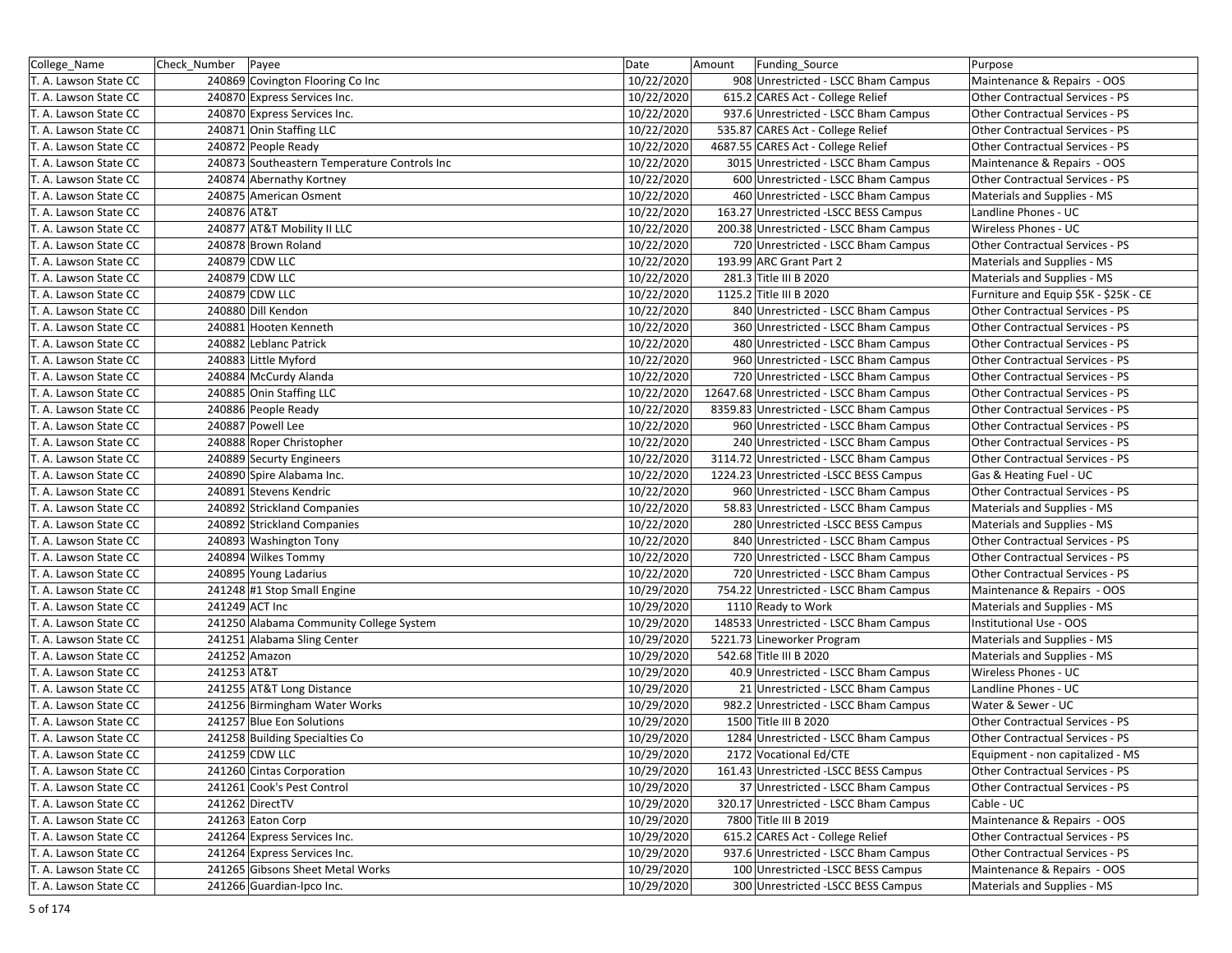| College_Name          | Check_Number Payee                           | Date       | Amount<br>Funding_Source                 | Purpose                               |
|-----------------------|----------------------------------------------|------------|------------------------------------------|---------------------------------------|
| T. A. Lawson State CC | 240869 Covington Flooring Co Inc             | 10/22/2020 | 908 Unrestricted - LSCC Bham Campus      | Maintenance & Repairs - OOS           |
| T. A. Lawson State CC | 240870 Express Services Inc.                 | 10/22/2020 | 615.2 CARES Act - College Relief         | Other Contractual Services - PS       |
| T. A. Lawson State CC | 240870 Express Services Inc.                 | 10/22/2020 | 937.6 Unrestricted - LSCC Bham Campus    | Other Contractual Services - PS       |
| T. A. Lawson State CC | 240871 Onin Staffing LLC                     | 10/22/2020 | 535.87 CARES Act - College Relief        | Other Contractual Services - PS       |
| T. A. Lawson State CC | 240872 People Ready                          | 10/22/2020 | 4687.55 CARES Act - College Relief       | Other Contractual Services - PS       |
| T. A. Lawson State CC | 240873 Southeastern Temperature Controls Inc | 10/22/2020 | 3015 Unrestricted - LSCC Bham Campus     | Maintenance & Repairs - OOS           |
| T. A. Lawson State CC | 240874 Abernathy Kortney                     | 10/22/2020 | 600 Unrestricted - LSCC Bham Campus      | Other Contractual Services - PS       |
| T. A. Lawson State CC | 240875 American Osment                       | 10/22/2020 | 460 Unrestricted - LSCC Bham Campus      | Materials and Supplies - MS           |
| T. A. Lawson State CC | 240876 AT&T                                  | 10/22/2020 | 163.27 Unrestricted -LSCC BESS Campus    | Landline Phones - UC                  |
| T. A. Lawson State CC | 240877 AT&T Mobility II LLC                  | 10/22/2020 | 200.38 Unrestricted - LSCC Bham Campus   | Wireless Phones - UC                  |
| T. A. Lawson State CC | 240878 Brown Roland                          | 10/22/2020 | 720 Unrestricted - LSCC Bham Campus      | Other Contractual Services - PS       |
| T. A. Lawson State CC | 240879 CDW LLC                               | 10/22/2020 | 193.99 ARC Grant Part 2                  | Materials and Supplies - MS           |
| T. A. Lawson State CC | 240879 CDW LLC                               | 10/22/2020 | 281.3 Title III B 2020                   | Materials and Supplies - MS           |
| T. A. Lawson State CC | 240879 CDW LLC                               | 10/22/2020 | 1125.2 Title III B 2020                  | Furniture and Equip \$5K - \$25K - CE |
| T. A. Lawson State CC | 240880 Dill Kendon                           | 10/22/2020 | 840 Unrestricted - LSCC Bham Campus      | Other Contractual Services - PS       |
| T. A. Lawson State CC | 240881 Hooten Kenneth                        | 10/22/2020 | 360 Unrestricted - LSCC Bham Campus      | Other Contractual Services - PS       |
| T. A. Lawson State CC | 240882 Leblanc Patrick                       | 10/22/2020 | 480 Unrestricted - LSCC Bham Campus      | Other Contractual Services - PS       |
| T. A. Lawson State CC | 240883 Little Myford                         | 10/22/2020 | 960 Unrestricted - LSCC Bham Campus      | Other Contractual Services - PS       |
| T. A. Lawson State CC | 240884 McCurdy Alanda                        | 10/22/2020 | 720 Unrestricted - LSCC Bham Campus      | Other Contractual Services - PS       |
| T. A. Lawson State CC | 240885 Onin Staffing LLC                     | 10/22/2020 | 12647.68 Unrestricted - LSCC Bham Campus | Other Contractual Services - PS       |
| T. A. Lawson State CC | 240886 People Ready                          | 10/22/2020 | 8359.83 Unrestricted - LSCC Bham Campus  | Other Contractual Services - PS       |
| T. A. Lawson State CC | 240887 Powell Lee                            | 10/22/2020 | 960 Unrestricted - LSCC Bham Campus      | Other Contractual Services - PS       |
| T. A. Lawson State CC | 240888 Roper Christopher                     | 10/22/2020 | 240 Unrestricted - LSCC Bham Campus      | Other Contractual Services - PS       |
| T. A. Lawson State CC | 240889 Securty Engineers                     | 10/22/2020 | 3114.72 Unrestricted - LSCC Bham Campus  | Other Contractual Services - PS       |
| T. A. Lawson State CC | 240890 Spire Alabama Inc.                    | 10/22/2020 | 1224.23 Unrestricted -LSCC BESS Campus   | Gas & Heating Fuel - UC               |
| T. A. Lawson State CC | 240891 Stevens Kendric                       | 10/22/2020 | 960 Unrestricted - LSCC Bham Campus      | Other Contractual Services - PS       |
| T. A. Lawson State CC | 240892 Strickland Companies                  | 10/22/2020 | 58.83 Unrestricted - LSCC Bham Campus    | Materials and Supplies - MS           |
| T. A. Lawson State CC | 240892 Strickland Companies                  | 10/22/2020 | 280 Unrestricted -LSCC BESS Campus       | Materials and Supplies - MS           |
| T. A. Lawson State CC | 240893 Washington Tony                       | 10/22/2020 | 840 Unrestricted - LSCC Bham Campus      | Other Contractual Services - PS       |
| T. A. Lawson State CC | 240894 Wilkes Tommy                          | 10/22/2020 | 720 Unrestricted - LSCC Bham Campus      | Other Contractual Services - PS       |
| T. A. Lawson State CC | 240895 Young Ladarius                        | 10/22/2020 | 720 Unrestricted - LSCC Bham Campus      | Other Contractual Services - PS       |
| T. A. Lawson State CC | 241248 #1 Stop Small Engine                  | 10/29/2020 | 754.22 Unrestricted - LSCC Bham Campus   | Maintenance & Repairs - OOS           |
| T. A. Lawson State CC | 241249 ACT Inc                               | 10/29/2020 | 1110 Ready to Work                       | Materials and Supplies - MS           |
| T. A. Lawson State CC | 241250 Alabama Community College System      | 10/29/2020 | 148533 Unrestricted - LSCC Bham Campus   | Institutional Use - OOS               |
| T. A. Lawson State CC | 241251 Alabama Sling Center                  | 10/29/2020 | 5221.73 Lineworker Program               | Materials and Supplies - MS           |
| T. A. Lawson State CC | 241252 Amazon                                | 10/29/2020 | 542.68 Title III B 2020                  | Materials and Supplies - MS           |
| T. A. Lawson State CC | 241253 AT&T                                  | 10/29/2020 | 40.9 Unrestricted - LSCC Bham Campus     | Wireless Phones - UC                  |
| T. A. Lawson State CC | 241255 AT&T Long Distance                    | 10/29/2020 | 21 Unrestricted - LSCC Bham Campus       | Landline Phones - UC                  |
| T. A. Lawson State CC | 241256 Birmingham Water Works                | 10/29/2020 | 982.2 Unrestricted - LSCC Bham Campus    | Water & Sewer - UC                    |
| T. A. Lawson State CC | 241257 Blue Eon Solutions                    | 10/29/2020 | 1500 Title III B 2020                    | Other Contractual Services - PS       |
| T. A. Lawson State CC | 241258 Building Specialties Co               | 10/29/2020 | 1284 Unrestricted - LSCC Bham Campus     | Other Contractual Services - PS       |
| T. A. Lawson State CC | 241259 CDW LLC                               | 10/29/2020 | 2172 Vocational Ed/CTE                   | Equipment - non capitalized - MS      |
| T. A. Lawson State CC | 241260 Cintas Corporation                    | 10/29/2020 | 161.43 Unrestricted - LSCC BESS Campus   | Other Contractual Services - PS       |
| T. A. Lawson State CC | 241261 Cook's Pest Control                   | 10/29/2020 | 37 Unrestricted - LSCC Bham Campus       | Other Contractual Services - PS       |
| T. A. Lawson State CC | 241262 DirectTV                              | 10/29/2020 | 320.17 Unrestricted - LSCC Bham Campus   | Cable - UC                            |
| T. A. Lawson State CC | 241263 Eaton Corp                            | 10/29/2020 | 7800 Title III B 2019                    | Maintenance & Repairs - OOS           |
| T. A. Lawson State CC | 241264 Express Services Inc.                 | 10/29/2020 | 615.2 CARES Act - College Relief         | Other Contractual Services - PS       |
| T. A. Lawson State CC | 241264 Express Services Inc.                 | 10/29/2020 | 937.6 Unrestricted - LSCC Bham Campus    | Other Contractual Services - PS       |
| T. A. Lawson State CC | 241265 Gibsons Sheet Metal Works             | 10/29/2020 | 100 Unrestricted - LSCC BESS Campus      | Maintenance & Repairs - OOS           |
| T. A. Lawson State CC | 241266 Guardian-Ipco Inc.                    | 10/29/2020 | 300 Unrestricted -LSCC BESS Campus       | Materials and Supplies - MS           |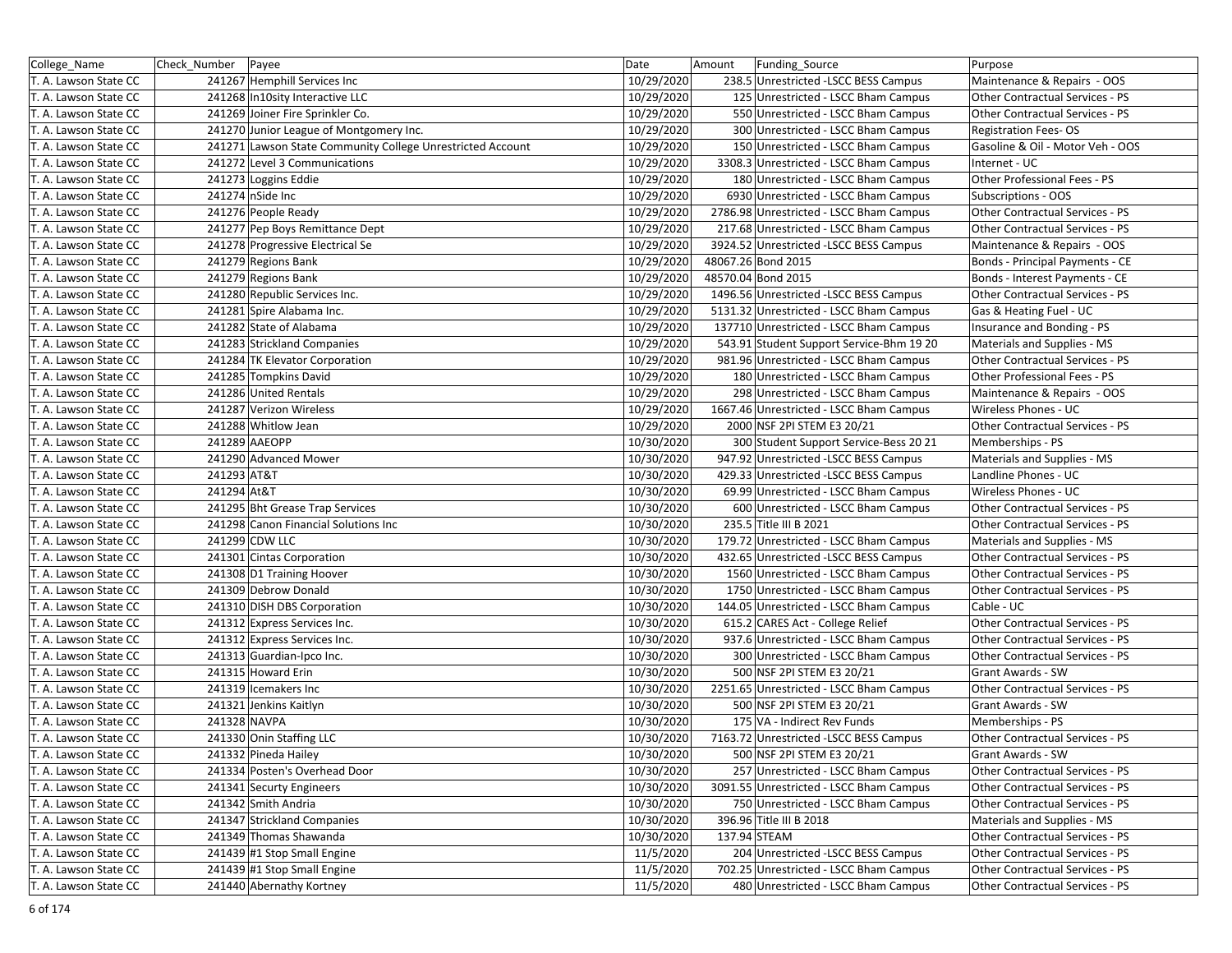| College_Name          | Check_Number   Payee |                                                            | Date       | Amount | Funding_Source                           | Purpose                          |
|-----------------------|----------------------|------------------------------------------------------------|------------|--------|------------------------------------------|----------------------------------|
| T. A. Lawson State CC |                      | 241267 Hemphill Services Inc                               | 10/29/2020 |        | 238.5 Unrestricted -LSCC BESS Campus     | Maintenance & Repairs - OOS      |
| T. A. Lawson State CC |                      | 241268 In10sity Interactive LLC                            | 10/29/2020 |        | 125 Unrestricted - LSCC Bham Campus      | Other Contractual Services - PS  |
| T. A. Lawson State CC |                      | 241269 Joiner Fire Sprinkler Co.                           | 10/29/2020 |        | 550 Unrestricted - LSCC Bham Campus      | Other Contractual Services - PS  |
| T. A. Lawson State CC |                      | 241270 Junior League of Montgomery Inc.                    | 10/29/2020 |        | 300 Unrestricted - LSCC Bham Campus      | <b>Registration Fees-OS</b>      |
| T. A. Lawson State CC |                      | 241271 Lawson State Community College Unrestricted Account | 10/29/2020 |        | 150 Unrestricted - LSCC Bham Campus      | Gasoline & Oil - Motor Veh - OOS |
| T. A. Lawson State CC |                      | 241272 Level 3 Communications                              | 10/29/2020 |        | 3308.3 Unrestricted - LSCC Bham Campus   | Internet - UC                    |
| T. A. Lawson State CC |                      | 241273 Loggins Eddie                                       | 10/29/2020 |        | 180 Unrestricted - LSCC Bham Campus      | Other Professional Fees - PS     |
| T. A. Lawson State CC |                      | 241274 nSide Inc                                           | 10/29/2020 |        | 6930 Unrestricted - LSCC Bham Campus     | Subscriptions - OOS              |
| T. A. Lawson State CC |                      | 241276 People Ready                                        | 10/29/2020 |        | 2786.98 Unrestricted - LSCC Bham Campus  | Other Contractual Services - PS  |
| T. A. Lawson State CC |                      | 241277 Pep Boys Remittance Dept                            | 10/29/2020 |        | 217.68 Unrestricted - LSCC Bham Campus   | Other Contractual Services - PS  |
| T. A. Lawson State CC |                      | 241278 Progressive Electrical Se                           | 10/29/2020 |        | 3924.52 Unrestricted -LSCC BESS Campus   | Maintenance & Repairs - OOS      |
| T. A. Lawson State CC |                      | 241279 Regions Bank                                        | 10/29/2020 |        | 48067.26 Bond 2015                       | Bonds - Principal Payments - CE  |
| T. A. Lawson State CC |                      | 241279 Regions Bank                                        | 10/29/2020 |        | 48570.04 Bond 2015                       | Bonds - Interest Payments - CE   |
| T. A. Lawson State CC |                      | 241280 Republic Services Inc.                              | 10/29/2020 |        | 1496.56 Unrestricted -LSCC BESS Campus   | Other Contractual Services - PS  |
| T. A. Lawson State CC |                      | 241281 Spire Alabama Inc.                                  | 10/29/2020 |        | 5131.32 Unrestricted - LSCC Bham Campus  | Gas & Heating Fuel - UC          |
| T. A. Lawson State CC |                      | 241282 State of Alabama                                    | 10/29/2020 |        | 137710 Unrestricted - LSCC Bham Campus   | Insurance and Bonding - PS       |
| T. A. Lawson State CC |                      | 241283 Strickland Companies                                | 10/29/2020 |        | 543.91 Student Support Service-Bhm 19 20 | Materials and Supplies - MS      |
| T. A. Lawson State CC |                      | 241284 TK Elevator Corporation                             | 10/29/2020 |        | 981.96 Unrestricted - LSCC Bham Campus   | Other Contractual Services - PS  |
| T. A. Lawson State CC |                      | 241285 Tompkins David                                      | 10/29/2020 |        | 180 Unrestricted - LSCC Bham Campus      | Other Professional Fees - PS     |
| T. A. Lawson State CC |                      | 241286 United Rentals                                      | 10/29/2020 |        | 298 Unrestricted - LSCC Bham Campus      | Maintenance & Repairs - OOS      |
| T. A. Lawson State CC |                      | 241287 Verizon Wireless                                    | 10/29/2020 |        | 1667.46 Unrestricted - LSCC Bham Campus  | Wireless Phones - UC             |
| T. A. Lawson State CC |                      | 241288 Whitlow Jean                                        | 10/29/2020 |        | 2000 NSF 2PI STEM E3 20/21               | Other Contractual Services - PS  |
| T. A. Lawson State CC |                      | 241289 AAEOPP                                              | 10/30/2020 |        | 300 Student Support Service-Bess 20 21   | Memberships - PS                 |
| T. A. Lawson State CC |                      | 241290 Advanced Mower                                      | 10/30/2020 |        | 947.92 Unrestricted -LSCC BESS Campus    | Materials and Supplies - MS      |
| T. A. Lawson State CC | 241293 AT&T          |                                                            | 10/30/2020 |        | 429.33 Unrestricted -LSCC BESS Campus    | Landline Phones - UC             |
| T. A. Lawson State CC | 241294 At&T          |                                                            | 10/30/2020 |        | 69.99 Unrestricted - LSCC Bham Campus    | Wireless Phones - UC             |
| T. A. Lawson State CC |                      | 241295 Bht Grease Trap Services                            | 10/30/2020 |        | 600 Unrestricted - LSCC Bham Campus      | Other Contractual Services - PS  |
| T. A. Lawson State CC |                      | 241298 Canon Financial Solutions Inc                       | 10/30/2020 |        | 235.5 Title III B 2021                   | Other Contractual Services - PS  |
| T. A. Lawson State CC |                      | 241299 CDW LLC                                             | 10/30/2020 |        | 179.72 Unrestricted - LSCC Bham Campus   | Materials and Supplies - MS      |
| T. A. Lawson State CC |                      | 241301 Cintas Corporation                                  | 10/30/2020 |        | 432.65 Unrestricted -LSCC BESS Campus    | Other Contractual Services - PS  |
| T. A. Lawson State CC |                      | 241308 D1 Training Hoover                                  | 10/30/2020 |        | 1560 Unrestricted - LSCC Bham Campus     | Other Contractual Services - PS  |
| T. A. Lawson State CC |                      | 241309 Debrow Donald                                       | 10/30/2020 |        | 1750 Unrestricted - LSCC Bham Campus     | Other Contractual Services - PS  |
| T. A. Lawson State CC |                      | 241310 DISH DBS Corporation                                | 10/30/2020 |        | 144.05 Unrestricted - LSCC Bham Campus   | Cable - UC                       |
| T. A. Lawson State CC |                      | 241312 Express Services Inc.                               | 10/30/2020 |        | 615.2 CARES Act - College Relief         | Other Contractual Services - PS  |
| T. A. Lawson State CC |                      | 241312 Express Services Inc.                               | 10/30/2020 |        | 937.6 Unrestricted - LSCC Bham Campus    | Other Contractual Services - PS  |
| T. A. Lawson State CC |                      | 241313 Guardian-Ipco Inc.                                  | 10/30/2020 |        | 300 Unrestricted - LSCC Bham Campus      | Other Contractual Services - PS  |
| T. A. Lawson State CC |                      | 241315 Howard Erin                                         | 10/30/2020 |        | 500 NSF 2PI STEM E3 20/21                | <b>Grant Awards - SW</b>         |
| T. A. Lawson State CC |                      | 241319 Icemakers Inc                                       | 10/30/2020 |        | 2251.65 Unrestricted - LSCC Bham Campus  | Other Contractual Services - PS  |
| T. A. Lawson State CC |                      | 241321 Jenkins Kaitlyn                                     | 10/30/2020 |        | 500 NSF 2PI STEM E3 20/21                | <b>Grant Awards - SW</b>         |
| T. A. Lawson State CC |                      | 241328 NAVPA                                               | 10/30/2020 |        | 175 VA - Indirect Rev Funds              | Memberships - PS                 |
| T. A. Lawson State CC |                      | 241330 Onin Staffing LLC                                   | 10/30/2020 |        | 7163.72 Unrestricted -LSCC BESS Campus   | Other Contractual Services - PS  |
| T. A. Lawson State CC |                      | 241332 Pineda Hailey                                       | 10/30/2020 |        | 500 NSF 2PI STEM E3 20/21                | Grant Awards - SW                |
| T. A. Lawson State CC |                      | 241334 Posten's Overhead Door                              | 10/30/2020 |        | 257 Unrestricted - LSCC Bham Campus      | Other Contractual Services - PS  |
| T. A. Lawson State CC |                      | 241341 Securty Engineers                                   | 10/30/2020 |        | 3091.55 Unrestricted - LSCC Bham Campus  | Other Contractual Services - PS  |
| T. A. Lawson State CC |                      | 241342 Smith Andria                                        | 10/30/2020 |        | 750 Unrestricted - LSCC Bham Campus      | Other Contractual Services - PS  |
| T. A. Lawson State CC |                      | 241347 Strickland Companies                                | 10/30/2020 |        | 396.96 Title III B 2018                  | Materials and Supplies - MS      |
| T. A. Lawson State CC |                      | 241349 Thomas Shawanda                                     | 10/30/2020 |        | 137.94 STEAM                             | Other Contractual Services - PS  |
| T. A. Lawson State CC |                      | 241439 #1 Stop Small Engine                                | 11/5/2020  |        | 204 Unrestricted - LSCC BESS Campus      | Other Contractual Services - PS  |
| T. A. Lawson State CC |                      | 241439 #1 Stop Small Engine                                | 11/5/2020  |        | 702.25 Unrestricted - LSCC Bham Campus   | Other Contractual Services - PS  |
| T. A. Lawson State CC |                      | 241440 Abernathy Kortney                                   | 11/5/2020  |        | 480 Unrestricted - LSCC Bham Campus      | Other Contractual Services - PS  |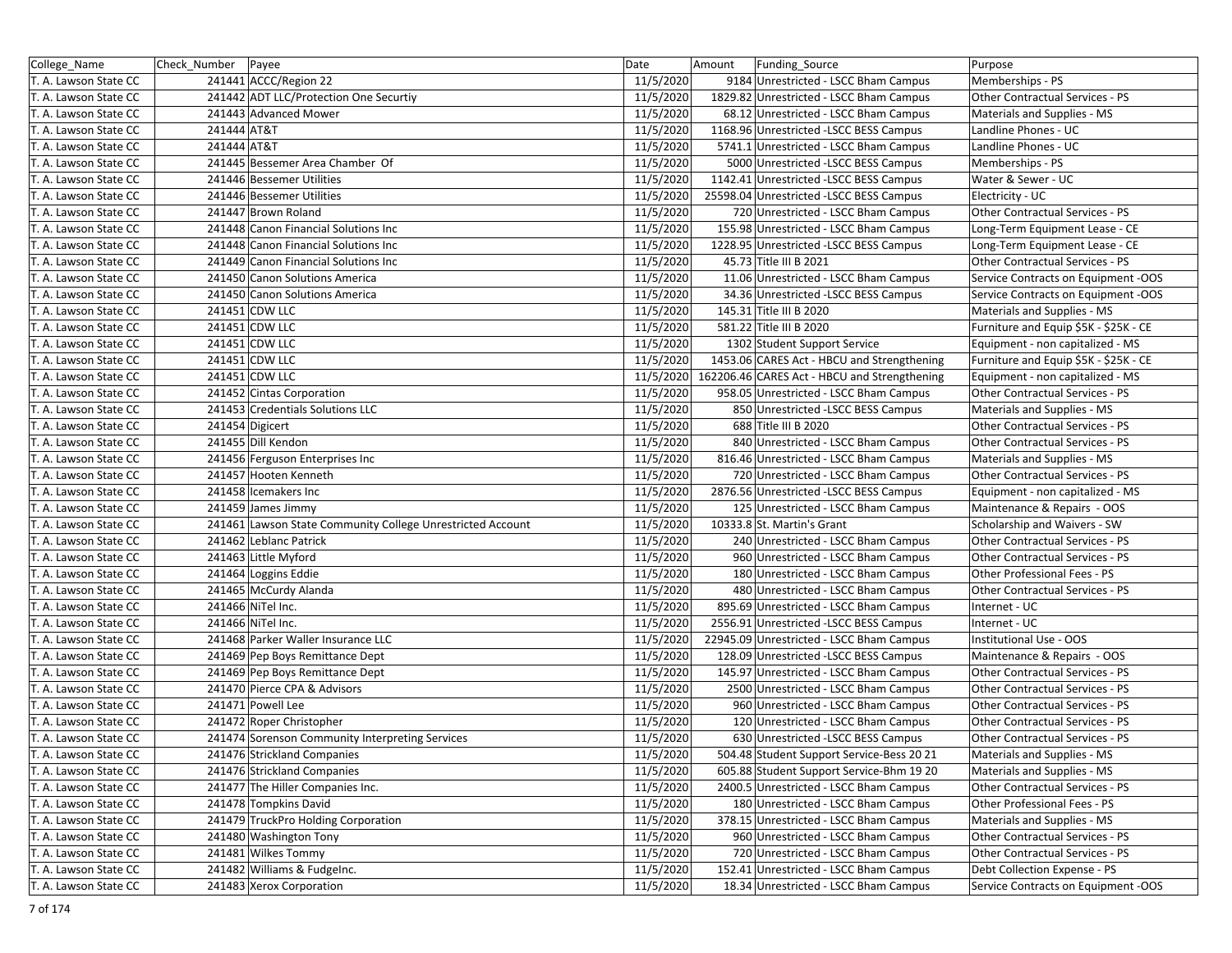| College_Name          | Check_Number   Payee |                                                            | Date      | Funding_Source<br>Amount                     | Purpose                               |
|-----------------------|----------------------|------------------------------------------------------------|-----------|----------------------------------------------|---------------------------------------|
| T. A. Lawson State CC |                      | 241441 ACCC/Region 22                                      | 11/5/2020 | 9184 Unrestricted - LSCC Bham Campus         | Memberships - PS                      |
| T. A. Lawson State CC |                      | 241442 ADT LLC/Protection One Securtiy                     | 11/5/2020 | 1829.82 Unrestricted - LSCC Bham Campus      | Other Contractual Services - PS       |
| T. A. Lawson State CC |                      | 241443 Advanced Mower                                      | 11/5/2020 | 68.12 Unrestricted - LSCC Bham Campus        | Materials and Supplies - MS           |
| T. A. Lawson State CC | 241444 AT&T          |                                                            | 11/5/2020 | 1168.96 Unrestricted -LSCC BESS Campus       | Landline Phones - UC                  |
| T. A. Lawson State CC | 241444 AT&T          |                                                            | 11/5/2020 | 5741.1 Unrestricted - LSCC Bham Campus       | Landline Phones - UC                  |
| T. A. Lawson State CC |                      | 241445 Bessemer Area Chamber Of                            | 11/5/2020 | 5000 Unrestricted -LSCC BESS Campus          | Memberships - PS                      |
| T. A. Lawson State CC |                      | 241446 Bessemer Utilities                                  | 11/5/2020 | 1142.41 Unrestricted - LSCC BESS Campus      | Water & Sewer - UC                    |
| T. A. Lawson State CC |                      | 241446 Bessemer Utilities                                  | 11/5/2020 | 25598.04 Unrestricted -LSCC BESS Campus      | Electricity - UC                      |
| T. A. Lawson State CC |                      | 241447 Brown Roland                                        | 11/5/2020 | 720 Unrestricted - LSCC Bham Campus          | Other Contractual Services - PS       |
| T. A. Lawson State CC |                      | 241448 Canon Financial Solutions Inc                       | 11/5/2020 | 155.98 Unrestricted - LSCC Bham Campus       | Long-Term Equipment Lease - CE        |
| T. A. Lawson State CC |                      | 241448 Canon Financial Solutions Inc                       | 11/5/2020 | 1228.95 Unrestricted - LSCC BESS Campus      | Long-Term Equipment Lease - CE        |
| T. A. Lawson State CC |                      | 241449 Canon Financial Solutions Inc                       | 11/5/2020 | 45.73 Title III B 2021                       | Other Contractual Services - PS       |
| T. A. Lawson State CC |                      | 241450 Canon Solutions America                             | 11/5/2020 | 11.06 Unrestricted - LSCC Bham Campus        | Service Contracts on Equipment -OOS   |
| T. A. Lawson State CC |                      | 241450 Canon Solutions America                             | 11/5/2020 | 34.36 Unrestricted -LSCC BESS Campus         | Service Contracts on Equipment -OOS   |
| T. A. Lawson State CC |                      | 241451 CDW LLC                                             | 11/5/2020 | 145.31 Title III B 2020                      | Materials and Supplies - MS           |
| T. A. Lawson State CC |                      | 241451 CDW LLC                                             | 11/5/2020 | 581.22 Title III B 2020                      | Furniture and Equip \$5K - \$25K - CE |
| T. A. Lawson State CC |                      | 241451 CDW LLC                                             | 11/5/2020 | 1302 Student Support Service                 | Equipment - non capitalized - MS      |
| T. A. Lawson State CC |                      | 241451 CDW LLC                                             | 11/5/2020 | 1453.06 CARES Act - HBCU and Strengthening   | Furniture and Equip \$5K - \$25K - CE |
| T. A. Lawson State CC |                      | 241451 CDW LLC                                             | 11/5/2020 | 162206.46 CARES Act - HBCU and Strengthening | Equipment - non capitalized - MS      |
| T. A. Lawson State CC |                      | 241452 Cintas Corporation                                  | 11/5/2020 | 958.05 Unrestricted - LSCC Bham Campus       | Other Contractual Services - PS       |
| T. A. Lawson State CC |                      | 241453 Credentials Solutions LLC                           | 11/5/2020 | 850 Unrestricted - LSCC BESS Campus          | Materials and Supplies - MS           |
| T. A. Lawson State CC |                      | 241454 Digicert                                            | 11/5/2020 | 688 Title III B 2020                         | Other Contractual Services - PS       |
| T. A. Lawson State CC |                      | 241455 Dill Kendon                                         | 11/5/2020 | 840 Unrestricted - LSCC Bham Campus          | Other Contractual Services - PS       |
| T. A. Lawson State CC |                      | 241456 Ferguson Enterprises Inc                            | 11/5/2020 | 816.46 Unrestricted - LSCC Bham Campus       | Materials and Supplies - MS           |
| T. A. Lawson State CC |                      | 241457 Hooten Kenneth                                      | 11/5/2020 | 720 Unrestricted - LSCC Bham Campus          | Other Contractual Services - PS       |
| T. A. Lawson State CC |                      | 241458 Icemakers Inc                                       | 11/5/2020 | 2876.56 Unrestricted -LSCC BESS Campus       | Equipment - non capitalized - MS      |
| T. A. Lawson State CC |                      | 241459 James Jimmy                                         | 11/5/2020 | 125 Unrestricted - LSCC Bham Campus          | Maintenance & Repairs - OOS           |
| T. A. Lawson State CC |                      | 241461 Lawson State Community College Unrestricted Account | 11/5/2020 | 10333.8 St. Martin's Grant                   | Scholarship and Waivers - SW          |
| T. A. Lawson State CC |                      | 241462 Leblanc Patrick                                     | 11/5/2020 | 240 Unrestricted - LSCC Bham Campus          | Other Contractual Services - PS       |
| T. A. Lawson State CC |                      | 241463 Little Myford                                       | 11/5/2020 | 960 Unrestricted - LSCC Bham Campus          | Other Contractual Services - PS       |
| T. A. Lawson State CC |                      | 241464 Loggins Eddie                                       | 11/5/2020 | 180 Unrestricted - LSCC Bham Campus          | Other Professional Fees - PS          |
| T. A. Lawson State CC |                      | 241465 McCurdy Alanda                                      | 11/5/2020 | 480 Unrestricted - LSCC Bham Campus          | Other Contractual Services - PS       |
| T. A. Lawson State CC |                      | 241466 NiTel Inc.                                          | 11/5/2020 | 895.69 Unrestricted - LSCC Bham Campus       | Internet - UC                         |
| T. A. Lawson State CC |                      | 241466 NiTel Inc.                                          | 11/5/2020 | 2556.91 Unrestricted -LSCC BESS Campus       | Internet - UC                         |
| T. A. Lawson State CC |                      | 241468 Parker Waller Insurance LLC                         | 11/5/2020 | 22945.09 Unrestricted - LSCC Bham Campus     | Institutional Use - OOS               |
| T. A. Lawson State CC |                      | 241469 Pep Boys Remittance Dept                            | 11/5/2020 | 128.09 Unrestricted -LSCC BESS Campus        | Maintenance & Repairs - OOS           |
| T. A. Lawson State CC |                      | 241469 Pep Boys Remittance Dept                            | 11/5/2020 | 145.97 Unrestricted - LSCC Bham Campus       | Other Contractual Services - PS       |
| T. A. Lawson State CC |                      | 241470 Pierce CPA & Advisors                               | 11/5/2020 | 2500 Unrestricted - LSCC Bham Campus         | Other Contractual Services - PS       |
| T. A. Lawson State CC |                      | 241471 Powell Lee                                          | 11/5/2020 | 960 Unrestricted - LSCC Bham Campus          | Other Contractual Services - PS       |
| T. A. Lawson State CC |                      | 241472 Roper Christopher                                   | 11/5/2020 | 120 Unrestricted - LSCC Bham Campus          | Other Contractual Services - PS       |
| T. A. Lawson State CC |                      | 241474 Sorenson Community Interpreting Services            | 11/5/2020 | 630 Unrestricted - LSCC BESS Campus          | Other Contractual Services - PS       |
| T. A. Lawson State CC |                      | 241476 Strickland Companies                                | 11/5/2020 | 504.48 Student Support Service-Bess 20 21    | Materials and Supplies - MS           |
| T. A. Lawson State CC |                      | 241476 Strickland Companies                                | 11/5/2020 | 605.88 Student Support Service-Bhm 19 20     | Materials and Supplies - MS           |
| T. A. Lawson State CC |                      | 241477 The Hiller Companies Inc.                           | 11/5/2020 | 2400.5 Unrestricted - LSCC Bham Campus       | Other Contractual Services - PS       |
| T. A. Lawson State CC |                      | 241478 Tompkins David                                      | 11/5/2020 | 180 Unrestricted - LSCC Bham Campus          | Other Professional Fees - PS          |
| T. A. Lawson State CC |                      | 241479 TruckPro Holding Corporation                        | 11/5/2020 | 378.15 Unrestricted - LSCC Bham Campus       | Materials and Supplies - MS           |
| T. A. Lawson State CC |                      | 241480 Washington Tony                                     | 11/5/2020 | 960 Unrestricted - LSCC Bham Campus          | Other Contractual Services - PS       |
| T. A. Lawson State CC |                      | 241481 Wilkes Tommy                                        | 11/5/2020 | 720 Unrestricted - LSCC Bham Campus          | Other Contractual Services - PS       |
| T. A. Lawson State CC |                      | 241482 Williams & Fudgelnc.                                | 11/5/2020 | 152.41 Unrestricted - LSCC Bham Campus       | Debt Collection Expense - PS          |
| T. A. Lawson State CC |                      | 241483 Xerox Corporation                                   | 11/5/2020 | 18.34 Unrestricted - LSCC Bham Campus        | Service Contracts on Equipment -OOS   |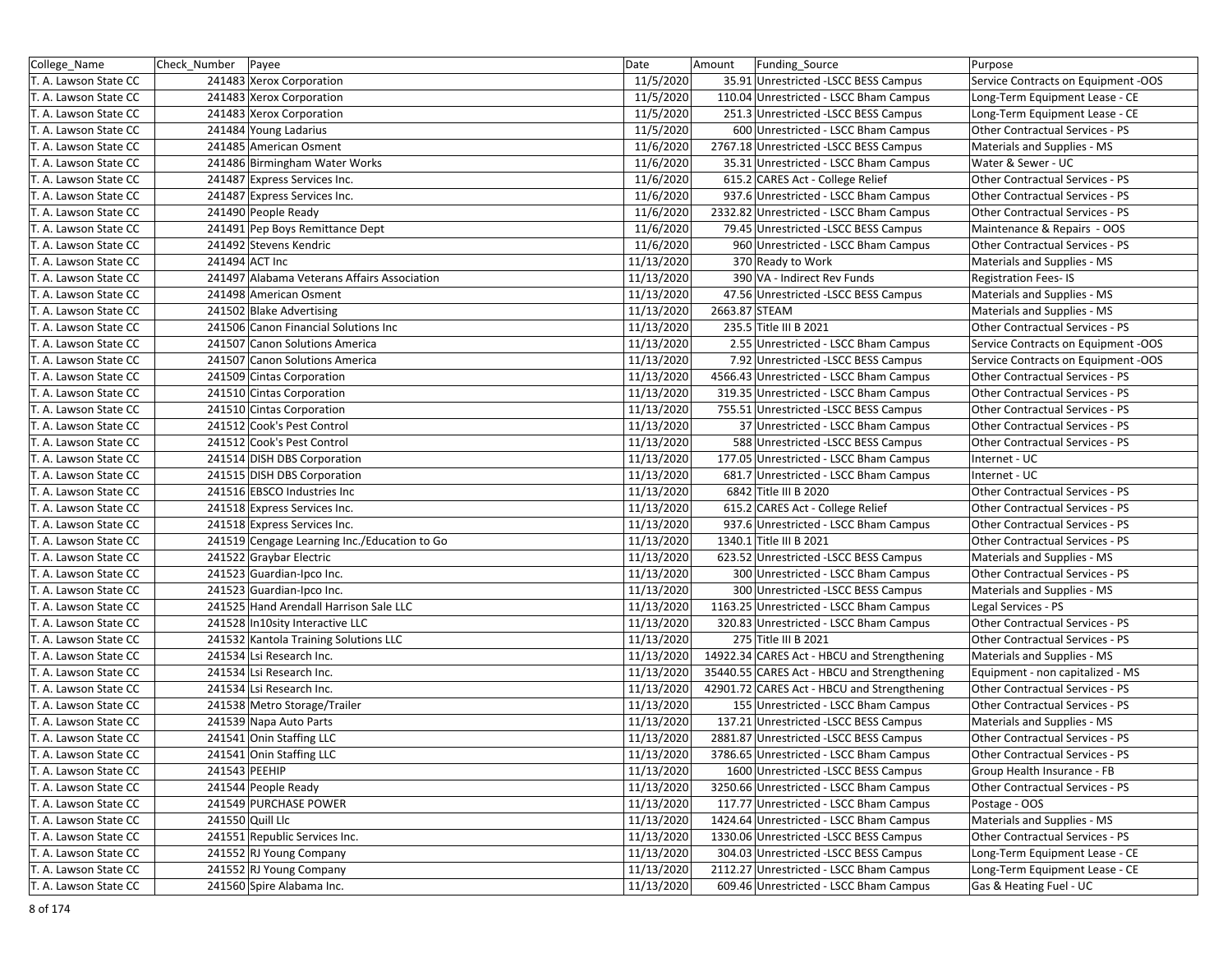| College Name          | Check Number  | Payee                                        | Date       | Amount        | Funding Source                              | Purpose                             |
|-----------------------|---------------|----------------------------------------------|------------|---------------|---------------------------------------------|-------------------------------------|
| T. A. Lawson State CC |               | 241483 Xerox Corporation                     | 11/5/2020  |               | 35.91 Unrestricted -LSCC BESS Campus        | Service Contracts on Equipment -OOS |
| T. A. Lawson State CC |               | 241483 Xerox Corporation                     | 11/5/2020  |               | 110.04 Unrestricted - LSCC Bham Campus      | Long-Term Equipment Lease - CE      |
| T. A. Lawson State CC |               | 241483 Xerox Corporation                     | 11/5/2020  |               | 251.3 Unrestricted -LSCC BESS Campus        | Long-Term Equipment Lease - CE      |
| T. A. Lawson State CC |               | 241484 Young Ladarius                        | 11/5/2020  |               | 600 Unrestricted - LSCC Bham Campus         | Other Contractual Services - PS     |
| T. A. Lawson State CC |               | 241485 American Osment                       | 11/6/2020  |               | 2767.18 Unrestricted -LSCC BESS Campus      | Materials and Supplies - MS         |
| T. A. Lawson State CC |               | 241486 Birmingham Water Works                | 11/6/2020  |               | 35.31 Unrestricted - LSCC Bham Campus       | Water & Sewer - UC                  |
| T. A. Lawson State CC |               | 241487 Express Services Inc.                 | 11/6/2020  |               | 615.2 CARES Act - College Relief            | Other Contractual Services - PS     |
| T. A. Lawson State CC |               | 241487 Express Services Inc.                 | 11/6/2020  |               | 937.6 Unrestricted - LSCC Bham Campus       | Other Contractual Services - PS     |
| T. A. Lawson State CC |               | 241490 People Ready                          | 11/6/2020  |               | 2332.82 Unrestricted - LSCC Bham Campus     | Other Contractual Services - PS     |
| T. A. Lawson State CC |               | 241491 Pep Boys Remittance Dept              | 11/6/2020  |               | 79.45 Unrestricted -LSCC BESS Campus        | Maintenance & Repairs - OOS         |
| T. A. Lawson State CC |               | 241492 Stevens Kendric                       | 11/6/2020  |               | 960 Unrestricted - LSCC Bham Campus         | Other Contractual Services - PS     |
| T. A. Lawson State CC |               | 241494 ACT Inc                               | 11/13/2020 |               | 370 Ready to Work                           | Materials and Supplies - MS         |
| T. A. Lawson State CC |               | 241497 Alabama Veterans Affairs Association  | 11/13/2020 |               | 390 VA - Indirect Rev Funds                 | <b>Registration Fees-IS</b>         |
| T. A. Lawson State CC |               | 241498 American Osment                       | 11/13/2020 |               | 47.56 Unrestricted -LSCC BESS Campus        | Materials and Supplies - MS         |
| T. A. Lawson State CC |               | 241502 Blake Advertising                     | 11/13/2020 | 2663.87 STEAM |                                             | Materials and Supplies - MS         |
| T. A. Lawson State CC |               | 241506 Canon Financial Solutions Inc         | 11/13/2020 |               | 235.5 Title III B 2021                      | Other Contractual Services - PS     |
| T. A. Lawson State CC |               | 241507 Canon Solutions America               | 11/13/2020 |               | 2.55 Unrestricted - LSCC Bham Campus        | Service Contracts on Equipment -OOS |
| T. A. Lawson State CC |               | 241507 Canon Solutions America               | 11/13/2020 |               | 7.92 Unrestricted - LSCC BESS Campus        | Service Contracts on Equipment -OOS |
| T. A. Lawson State CC |               | 241509 Cintas Corporation                    | 11/13/2020 |               | 4566.43 Unrestricted - LSCC Bham Campus     | Other Contractual Services - PS     |
| T. A. Lawson State CC |               | 241510 Cintas Corporation                    | 11/13/2020 |               | 319.35 Unrestricted - LSCC Bham Campus      | Other Contractual Services - PS     |
| T. A. Lawson State CC |               | 241510 Cintas Corporation                    | 11/13/2020 |               | 755.51 Unrestricted -LSCC BESS Campus       | Other Contractual Services - PS     |
| T. A. Lawson State CC |               | 241512 Cook's Pest Control                   | 11/13/2020 |               | 37 Unrestricted - LSCC Bham Campus          | Other Contractual Services - PS     |
| T. A. Lawson State CC |               | 241512 Cook's Pest Control                   | 11/13/2020 |               | 588 Unrestricted -LSCC BESS Campus          | Other Contractual Services - PS     |
| T. A. Lawson State CC |               | 241514 DISH DBS Corporation                  | 11/13/2020 |               | 177.05 Unrestricted - LSCC Bham Campus      | Internet - UC                       |
| T. A. Lawson State CC |               | 241515 DISH DBS Corporation                  | 11/13/2020 |               | 681.7 Unrestricted - LSCC Bham Campus       | Internet - UC                       |
| T. A. Lawson State CC |               | 241516 EBSCO Industries Inc                  | 11/13/2020 |               | 6842 Title III B 2020                       | Other Contractual Services - PS     |
| T. A. Lawson State CC |               | 241518 Express Services Inc.                 | 11/13/2020 |               | 615.2 CARES Act - College Relief            | Other Contractual Services - PS     |
| T. A. Lawson State CC |               | 241518 Express Services Inc.                 | 11/13/2020 |               | 937.6 Unrestricted - LSCC Bham Campus       | Other Contractual Services - PS     |
| T. A. Lawson State CC |               | 241519 Cengage Learning Inc./Education to Go | 11/13/2020 |               | 1340.1 Title III B 2021                     | Other Contractual Services - PS     |
| T. A. Lawson State CC |               | 241522 Graybar Electric                      | 11/13/2020 |               | 623.52 Unrestricted -LSCC BESS Campus       | Materials and Supplies - MS         |
| T. A. Lawson State CC |               | 241523 Guardian-Ipco Inc.                    | 11/13/2020 |               | 300 Unrestricted - LSCC Bham Campus         | Other Contractual Services - PS     |
| T. A. Lawson State CC |               | 241523 Guardian-Ipco Inc.                    | 11/13/2020 |               | 300 Unrestricted -LSCC BESS Campus          | Materials and Supplies - MS         |
| T. A. Lawson State CC |               | 241525 Hand Arendall Harrison Sale LLC       | 11/13/2020 |               | 1163.25 Unrestricted - LSCC Bham Campus     | Legal Services - PS                 |
| T. A. Lawson State CC |               | 241528 In10sity Interactive LLC              | 11/13/2020 |               | 320.83 Unrestricted - LSCC Bham Campus      | Other Contractual Services - PS     |
| T. A. Lawson State CC |               | 241532 Kantola Training Solutions LLC        | 11/13/2020 |               | 275 Title III B 2021                        | Other Contractual Services - PS     |
| T. A. Lawson State CC |               | 241534 Lsi Research Inc.                     | 11/13/2020 |               | 14922.34 CARES Act - HBCU and Strengthening | Materials and Supplies - MS         |
| T. A. Lawson State CC |               | 241534 Lsi Research Inc.                     | 11/13/2020 |               | 35440.55 CARES Act - HBCU and Strengthening | Equipment - non capitalized - MS    |
| T. A. Lawson State CC |               | 241534 Lsi Research Inc.                     | 11/13/2020 |               | 42901.72 CARES Act - HBCU and Strengthening | Other Contractual Services - PS     |
| T. A. Lawson State CC |               | 241538 Metro Storage/Trailer                 | 11/13/2020 |               | 155 Unrestricted - LSCC Bham Campus         | Other Contractual Services - PS     |
| T. A. Lawson State CC |               | 241539 Napa Auto Parts                       | 11/13/2020 |               | 137.21 Unrestricted -LSCC BESS Campus       | Materials and Supplies - MS         |
| T. A. Lawson State CC |               | 241541 Onin Staffing LLC                     | 11/13/2020 |               | 2881.87 Unrestricted - LSCC BESS Campus     | Other Contractual Services - PS     |
| T. A. Lawson State CC |               | 241541 Onin Staffing LLC                     | 11/13/2020 |               | 3786.65 Unrestricted - LSCC Bham Campus     | Other Contractual Services - PS     |
| T. A. Lawson State CC | 241543 PEEHIP |                                              | 11/13/2020 |               | 1600 Unrestricted -LSCC BESS Campus         | Group Health Insurance - FB         |
| T. A. Lawson State CC |               | 241544 People Ready                          | 11/13/2020 |               | 3250.66 Unrestricted - LSCC Bham Campus     | Other Contractual Services - PS     |
| T. A. Lawson State CC |               | 241549 PURCHASE POWER                        | 11/13/2020 |               | 117.77 Unrestricted - LSCC Bham Campus      | Postage - OOS                       |
| T. A. Lawson State CC |               | 241550 Quill Llc                             | 11/13/2020 |               | 1424.64 Unrestricted - LSCC Bham Campus     | Materials and Supplies - MS         |
| T. A. Lawson State CC |               | 241551 Republic Services Inc.                | 11/13/2020 |               | 1330.06 Unrestricted -LSCC BESS Campus      | Other Contractual Services - PS     |
| T. A. Lawson State CC |               | 241552 RJ Young Company                      | 11/13/2020 |               | 304.03 Unrestricted -LSCC BESS Campus       | Long-Term Equipment Lease - CE      |
| T. A. Lawson State CC |               | 241552 RJ Young Company                      | 11/13/2020 |               | 2112.27 Unrestricted - LSCC Bham Campus     | Long-Term Equipment Lease - CE      |
| T. A. Lawson State CC |               | 241560 Spire Alabama Inc.                    | 11/13/2020 |               | 609.46 Unrestricted - LSCC Bham Campus      | Gas & Heating Fuel - UC             |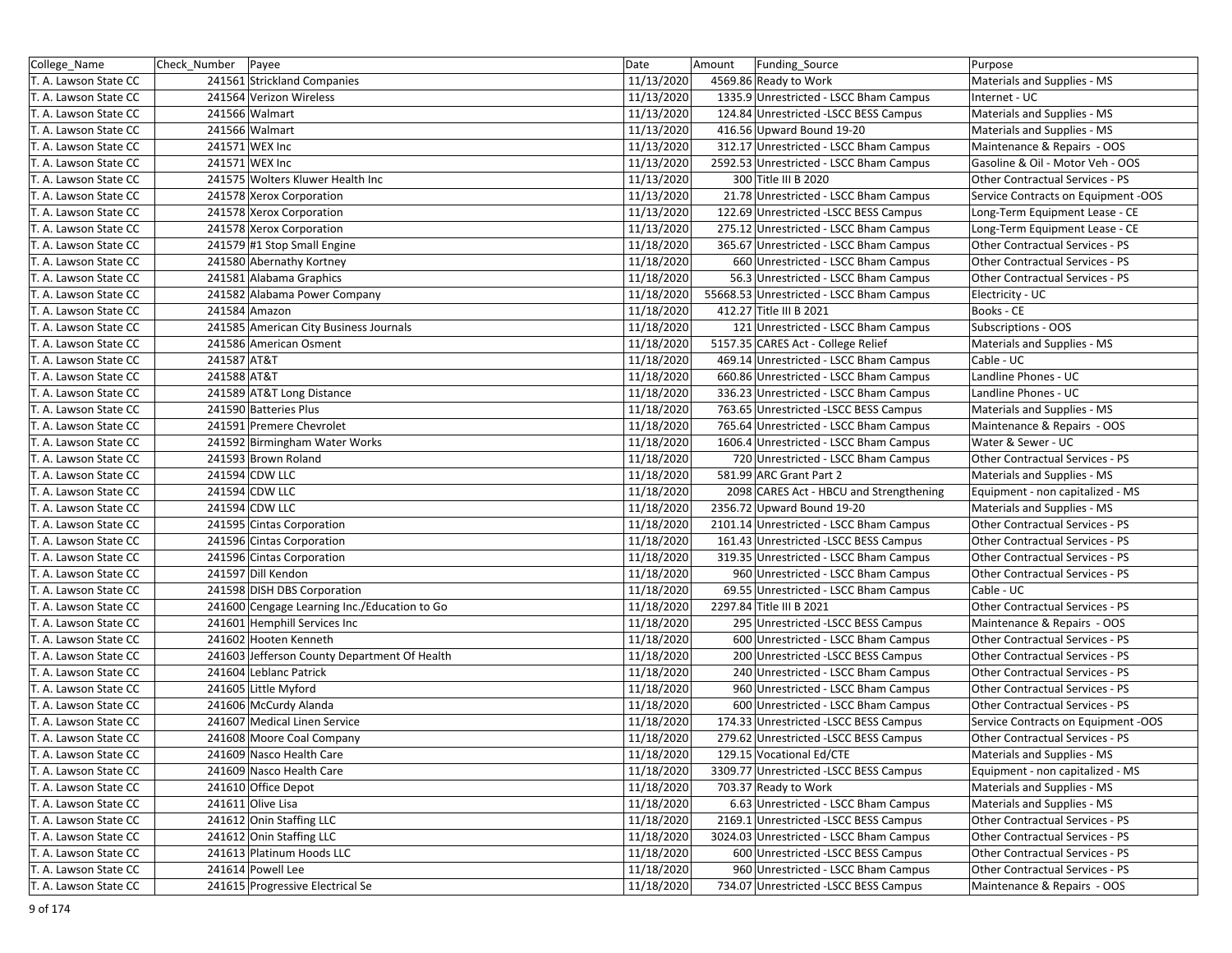| College_Name          | Check_Number Payee |                                              | Date       | Amount | Funding_Source                           | Purpose                             |
|-----------------------|--------------------|----------------------------------------------|------------|--------|------------------------------------------|-------------------------------------|
| T. A. Lawson State CC |                    | 241561 Strickland Companies                  | 11/13/2020 |        | 4569.86 Ready to Work                    | Materials and Supplies - MS         |
| T. A. Lawson State CC |                    | 241564 Verizon Wireless                      | 11/13/2020 |        | 1335.9 Unrestricted - LSCC Bham Campus   | Internet - UC                       |
| T. A. Lawson State CC |                    | 241566 Walmart                               | 11/13/2020 |        | 124.84 Unrestricted -LSCC BESS Campus    | Materials and Supplies - MS         |
| T. A. Lawson State CC |                    | 241566 Walmart                               | 11/13/2020 |        | 416.56 Upward Bound 19-20                | Materials and Supplies - MS         |
| T. A. Lawson State CC |                    | 241571 WEX Inc                               | 11/13/2020 |        | 312.17 Unrestricted - LSCC Bham Campus   | Maintenance & Repairs - OOS         |
| T. A. Lawson State CC |                    | 241571 WEX Inc                               | 11/13/2020 |        | 2592.53 Unrestricted - LSCC Bham Campus  | Gasoline & Oil - Motor Veh - OOS    |
| T. A. Lawson State CC |                    | 241575 Wolters Kluwer Health Inc             | 11/13/2020 |        | 300 Title III B 2020                     | Other Contractual Services - PS     |
| T. A. Lawson State CC |                    | 241578 Xerox Corporation                     | 11/13/2020 |        | 21.78 Unrestricted - LSCC Bham Campus    | Service Contracts on Equipment -OOS |
| T. A. Lawson State CC |                    | 241578 Xerox Corporation                     | 11/13/2020 |        | 122.69 Unrestricted -LSCC BESS Campus    | Long-Term Equipment Lease - CE      |
| T. A. Lawson State CC |                    | 241578 Xerox Corporation                     | 11/13/2020 |        | 275.12 Unrestricted - LSCC Bham Campus   | Long-Term Equipment Lease - CE      |
| T. A. Lawson State CC |                    | 241579 #1 Stop Small Engine                  | 11/18/2020 |        | 365.67 Unrestricted - LSCC Bham Campus   | Other Contractual Services - PS     |
| T. A. Lawson State CC |                    | 241580 Abernathy Kortney                     | 11/18/2020 |        | 660 Unrestricted - LSCC Bham Campus      | Other Contractual Services - PS     |
| T. A. Lawson State CC |                    | 241581 Alabama Graphics                      | 11/18/2020 |        | 56.3 Unrestricted - LSCC Bham Campus     | Other Contractual Services - PS     |
| T. A. Lawson State CC |                    | 241582 Alabama Power Company                 | 11/18/2020 |        | 55668.53 Unrestricted - LSCC Bham Campus | Electricity - UC                    |
| T. A. Lawson State CC |                    | 241584 Amazon                                | 11/18/2020 |        | 412.27 Title III B 2021                  | Books - CE                          |
| T. A. Lawson State CC |                    | 241585 American City Business Journals       | 11/18/2020 |        | 121 Unrestricted - LSCC Bham Campus      | Subscriptions - OOS                 |
| T. A. Lawson State CC |                    | 241586 American Osment                       | 11/18/2020 |        | 5157.35 CARES Act - College Relief       | Materials and Supplies - MS         |
| T. A. Lawson State CC | 241587 AT&T        |                                              | 11/18/2020 |        | 469.14 Unrestricted - LSCC Bham Campus   | Cable - UC                          |
| T. A. Lawson State CC | 241588 AT&T        |                                              | 11/18/2020 |        | 660.86 Unrestricted - LSCC Bham Campus   | Landline Phones - UC                |
| T. A. Lawson State CC |                    | 241589 AT&T Long Distance                    | 11/18/2020 |        | 336.23 Unrestricted - LSCC Bham Campus   | Landline Phones - UC                |
| T. A. Lawson State CC |                    | 241590 Batteries Plus                        | 11/18/2020 |        | 763.65 Unrestricted -LSCC BESS Campus    | Materials and Supplies - MS         |
| T. A. Lawson State CC |                    | 241591 Premere Chevrolet                     | 11/18/2020 |        | 765.64 Unrestricted - LSCC Bham Campus   | Maintenance & Repairs - OOS         |
| T. A. Lawson State CC |                    | 241592 Birmingham Water Works                | 11/18/2020 |        | 1606.4 Unrestricted - LSCC Bham Campus   | Water & Sewer - UC                  |
| T. A. Lawson State CC |                    | 241593 Brown Roland                          | 11/18/2020 |        | 720 Unrestricted - LSCC Bham Campus      | Other Contractual Services - PS     |
| T. A. Lawson State CC |                    | 241594 CDW LLC                               | 11/18/2020 |        | 581.99 ARC Grant Part 2                  | Materials and Supplies - MS         |
| T. A. Lawson State CC |                    | 241594 CDW LLC                               | 11/18/2020 |        | 2098 CARES Act - HBCU and Strengthening  | Equipment - non capitalized - MS    |
| T. A. Lawson State CC |                    | 241594 CDW LLC                               | 11/18/2020 |        | 2356.72 Upward Bound 19-20               | Materials and Supplies - MS         |
| T. A. Lawson State CC |                    | 241595 Cintas Corporation                    | 11/18/2020 |        | 2101.14 Unrestricted - LSCC Bham Campus  | Other Contractual Services - PS     |
| T. A. Lawson State CC |                    | 241596 Cintas Corporation                    | 11/18/2020 |        | 161.43 Unrestricted -LSCC BESS Campus    | Other Contractual Services - PS     |
| T. A. Lawson State CC |                    | 241596 Cintas Corporation                    | 11/18/2020 |        | 319.35 Unrestricted - LSCC Bham Campus   | Other Contractual Services - PS     |
| T. A. Lawson State CC |                    | 241597 Dill Kendon                           | 11/18/2020 |        | 960 Unrestricted - LSCC Bham Campus      | Other Contractual Services - PS     |
| T. A. Lawson State CC |                    | 241598 DISH DBS Corporation                  | 11/18/2020 |        | 69.55 Unrestricted - LSCC Bham Campus    | Cable - UC                          |
| T. A. Lawson State CC |                    | 241600 Cengage Learning Inc./Education to Go | 11/18/2020 |        | 2297.84 Title III B 2021                 | Other Contractual Services - PS     |
| T. A. Lawson State CC |                    | 241601 Hemphill Services Inc                 | 11/18/2020 |        | 295 Unrestricted - LSCC BESS Campus      | Maintenance & Repairs - OOS         |
| T. A. Lawson State CC |                    | 241602 Hooten Kenneth                        | 11/18/2020 |        | 600 Unrestricted - LSCC Bham Campus      | Other Contractual Services - PS     |
| T. A. Lawson State CC |                    | 241603 Jefferson County Department Of Health | 11/18/2020 |        | 200 Unrestricted - LSCC BESS Campus      | Other Contractual Services - PS     |
| T. A. Lawson State CC |                    | 241604 Leblanc Patrick                       | 11/18/2020 |        | 240 Unrestricted - LSCC Bham Campus      | Other Contractual Services - PS     |
| T. A. Lawson State CC |                    | 241605 Little Myford                         | 11/18/2020 |        | 960 Unrestricted - LSCC Bham Campus      | Other Contractual Services - PS     |
| T. A. Lawson State CC |                    | 241606 McCurdy Alanda                        | 11/18/2020 |        | 600 Unrestricted - LSCC Bham Campus      | Other Contractual Services - PS     |
| T. A. Lawson State CC |                    | 241607 Medical Linen Service                 | 11/18/2020 |        | 174.33 Unrestricted -LSCC BESS Campus    | Service Contracts on Equipment -OOS |
| T. A. Lawson State CC |                    | 241608 Moore Coal Company                    | 11/18/2020 |        | 279.62 Unrestricted - LSCC BESS Campus   | Other Contractual Services - PS     |
| T. A. Lawson State CC |                    | 241609 Nasco Health Care                     | 11/18/2020 |        | 129.15 Vocational Ed/CTE                 | Materials and Supplies - MS         |
| T. A. Lawson State CC |                    | 241609 Nasco Health Care                     | 11/18/2020 |        | 3309.77 Unrestricted - LSCC BESS Campus  | Equipment - non capitalized - MS    |
| T. A. Lawson State CC |                    | 241610 Office Depot                          | 11/18/2020 |        | 703.37 Ready to Work                     | Materials and Supplies - MS         |
| T. A. Lawson State CC |                    | 241611 Olive Lisa                            | 11/18/2020 |        | 6.63 Unrestricted - LSCC Bham Campus     | Materials and Supplies - MS         |
| T. A. Lawson State CC |                    | 241612 Onin Staffing LLC                     | 11/18/2020 |        | 2169.1 Unrestricted - LSCC BESS Campus   | Other Contractual Services - PS     |
| T. A. Lawson State CC |                    | 241612 Onin Staffing LLC                     | 11/18/2020 |        | 3024.03 Unrestricted - LSCC Bham Campus  | Other Contractual Services - PS     |
| T. A. Lawson State CC |                    | 241613 Platinum Hoods LLC                    | 11/18/2020 |        | 600 Unrestricted -LSCC BESS Campus       | Other Contractual Services - PS     |
| T. A. Lawson State CC |                    | 241614 Powell Lee                            | 11/18/2020 |        | 960 Unrestricted - LSCC Bham Campus      | Other Contractual Services - PS     |
| T. A. Lawson State CC |                    | 241615 Progressive Electrical Se             | 11/18/2020 |        | 734.07 Unrestricted -LSCC BESS Campus    | Maintenance & Repairs - OOS         |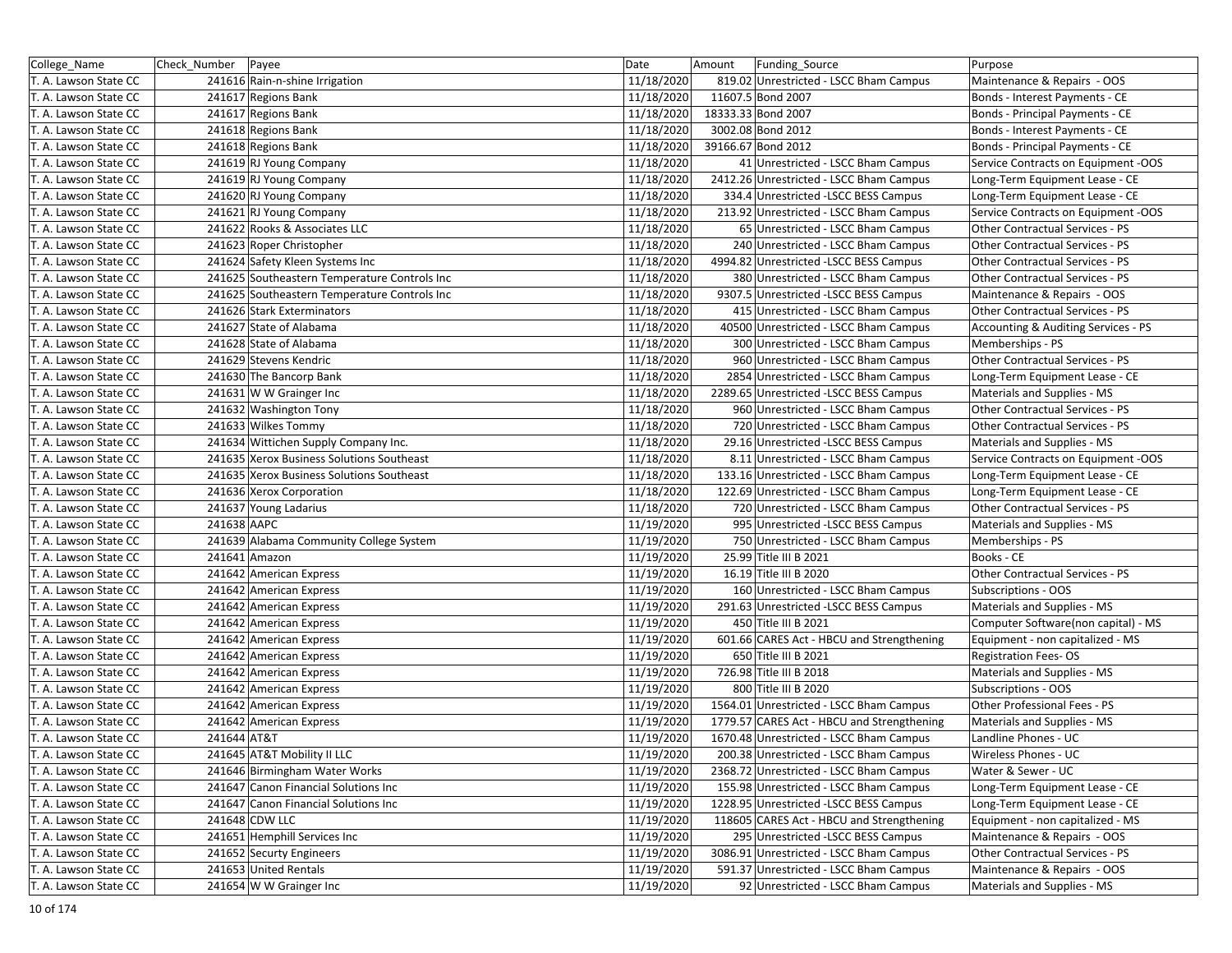| College_Name          | Check Number | Payee                                        | Date       | Amount | Funding_Source                             | Purpose                             |
|-----------------------|--------------|----------------------------------------------|------------|--------|--------------------------------------------|-------------------------------------|
| T. A. Lawson State CC |              | 241616 Rain-n-shine Irrigation               | 11/18/2020 |        | 819.02 Unrestricted - LSCC Bham Campus     | Maintenance & Repairs - OOS         |
| T. A. Lawson State CC |              | 241617 Regions Bank                          | 11/18/2020 |        | 11607.5 Bond 2007                          | Bonds - Interest Payments - CE      |
| T. A. Lawson State CC |              | 241617 Regions Bank                          | 11/18/2020 |        | 18333.33 Bond 2007                         | Bonds - Principal Payments - CE     |
| T. A. Lawson State CC |              | 241618 Regions Bank                          | 11/18/2020 |        | 3002.08 Bond 2012                          | Bonds - Interest Payments - CE      |
| T. A. Lawson State CC |              | 241618 Regions Bank                          | 11/18/2020 |        | 39166.67 Bond 2012                         | Bonds - Principal Payments - CE     |
| T. A. Lawson State CC |              | 241619 RJ Young Company                      | 11/18/2020 |        | 41 Unrestricted - LSCC Bham Campus         | Service Contracts on Equipment -OOS |
| T. A. Lawson State CC |              | 241619 RJ Young Company                      | 11/18/2020 |        | 2412.26 Unrestricted - LSCC Bham Campus    | Long-Term Equipment Lease - CE      |
| T. A. Lawson State CC |              | 241620 RJ Young Company                      | 11/18/2020 |        | 334.4 Unrestricted -LSCC BESS Campus       | Long-Term Equipment Lease - CE      |
| T. A. Lawson State CC |              | 241621 RJ Young Company                      | 11/18/2020 |        | 213.92 Unrestricted - LSCC Bham Campus     | Service Contracts on Equipment -OOS |
| T. A. Lawson State CC |              | 241622 Rooks & Associates LLC                | 11/18/2020 |        | 65 Unrestricted - LSCC Bham Campus         | Other Contractual Services - PS     |
| T. A. Lawson State CC |              | 241623 Roper Christopher                     | 11/18/2020 |        | 240 Unrestricted - LSCC Bham Campus        | Other Contractual Services - PS     |
| T. A. Lawson State CC |              | 241624 Safety Kleen Systems Inc              | 11/18/2020 |        | 4994.82 Unrestricted - LSCC BESS Campus    | Other Contractual Services - PS     |
| T. A. Lawson State CC |              | 241625 Southeastern Temperature Controls Inc | 11/18/2020 |        | 380 Unrestricted - LSCC Bham Campus        | Other Contractual Services - PS     |
| T. A. Lawson State CC |              | 241625 Southeastern Temperature Controls Inc | 11/18/2020 |        | 9307.5 Unrestricted -LSCC BESS Campus      | Maintenance & Repairs - OOS         |
| T. A. Lawson State CC |              | 241626 Stark Exterminators                   | 11/18/2020 |        | 415 Unrestricted - LSCC Bham Campus        | Other Contractual Services - PS     |
| T. A. Lawson State CC |              | 241627 State of Alabama                      | 11/18/2020 |        | 40500 Unrestricted - LSCC Bham Campus      | Accounting & Auditing Services - PS |
| T. A. Lawson State CC |              | 241628 State of Alabama                      | 11/18/2020 |        | 300 Unrestricted - LSCC Bham Campus        | Memberships - PS                    |
| T. A. Lawson State CC |              | 241629 Stevens Kendric                       | 11/18/2020 |        | 960 Unrestricted - LSCC Bham Campus        | Other Contractual Services - PS     |
| T. A. Lawson State CC |              | 241630 The Bancorp Bank                      | 11/18/2020 |        | 2854 Unrestricted - LSCC Bham Campus       | Long-Term Equipment Lease - CE      |
| T. A. Lawson State CC |              | 241631 W W Grainger Inc                      | 11/18/2020 |        | 2289.65 Unrestricted - LSCC BESS Campus    | Materials and Supplies - MS         |
| T. A. Lawson State CC |              | 241632 Washington Tony                       | 11/18/2020 |        | 960 Unrestricted - LSCC Bham Campus        | Other Contractual Services - PS     |
| T. A. Lawson State CC |              | 241633 Wilkes Tommy                          | 11/18/2020 |        | 720 Unrestricted - LSCC Bham Campus        | Other Contractual Services - PS     |
| T. A. Lawson State CC |              | 241634 Wittichen Supply Company Inc.         | 11/18/2020 |        | 29.16 Unrestricted -LSCC BESS Campus       | Materials and Supplies - MS         |
| T. A. Lawson State CC |              | 241635 Xerox Business Solutions Southeast    | 11/18/2020 |        | 8.11 Unrestricted - LSCC Bham Campus       | Service Contracts on Equipment -OOS |
| T. A. Lawson State CC |              | 241635 Xerox Business Solutions Southeast    | 11/18/2020 |        | 133.16 Unrestricted - LSCC Bham Campus     | Long-Term Equipment Lease - CE      |
| T. A. Lawson State CC |              | 241636 Xerox Corporation                     | 11/18/2020 |        | 122.69 Unrestricted - LSCC Bham Campus     | Long-Term Equipment Lease - CE      |
| T. A. Lawson State CC |              | 241637 Young Ladarius                        | 11/18/2020 |        | 720 Unrestricted - LSCC Bham Campus        | Other Contractual Services - PS     |
| T. A. Lawson State CC | 241638 AAPC  |                                              | 11/19/2020 |        | 995 Unrestricted - LSCC BESS Campus        | Materials and Supplies - MS         |
| T. A. Lawson State CC |              | 241639 Alabama Community College System      | 11/19/2020 |        | 750 Unrestricted - LSCC Bham Campus        | Memberships - PS                    |
| T. A. Lawson State CC |              | 241641 Amazon                                | 11/19/2020 |        | 25.99 Title III B 2021                     | Books - CE                          |
| T. A. Lawson State CC |              | 241642 American Express                      | 11/19/2020 |        | 16.19 Title III B 2020                     | Other Contractual Services - PS     |
| T. A. Lawson State CC |              | 241642 American Express                      | 11/19/2020 |        | 160 Unrestricted - LSCC Bham Campus        | Subscriptions - OOS                 |
| T. A. Lawson State CC |              | 241642 American Express                      | 11/19/2020 |        | 291.63 Unrestricted -LSCC BESS Campus      | Materials and Supplies - MS         |
| T. A. Lawson State CC |              | 241642 American Express                      | 11/19/2020 |        | 450 Title III B 2021                       | Computer Software(non capital) - MS |
| T. A. Lawson State CC |              | 241642 American Express                      | 11/19/2020 |        | 601.66 CARES Act - HBCU and Strengthening  | Equipment - non capitalized - MS    |
| T. A. Lawson State CC |              | 241642 American Express                      | 11/19/2020 |        | 650 Title III B 2021                       | <b>Registration Fees-OS</b>         |
| T. A. Lawson State CC |              | 241642 American Express                      | 11/19/2020 |        | 726.98 Title III B 2018                    | Materials and Supplies - MS         |
| T. A. Lawson State CC |              | 241642 American Express                      | 11/19/2020 |        | 800 Title III B 2020                       | Subscriptions - OOS                 |
| T. A. Lawson State CC |              | 241642 American Express                      | 11/19/2020 |        | 1564.01 Unrestricted - LSCC Bham Campus    | Other Professional Fees - PS        |
| T. A. Lawson State CC |              | 241642 American Express                      | 11/19/2020 |        | 1779.57 CARES Act - HBCU and Strengthening | Materials and Supplies - MS         |
| T. A. Lawson State CC | 241644 AT&T  |                                              | 11/19/2020 |        | 1670.48 Unrestricted - LSCC Bham Campus    | Landline Phones - UC                |
| T. A. Lawson State CC |              | 241645 AT&T Mobility II LLC                  | 11/19/2020 |        | 200.38 Unrestricted - LSCC Bham Campus     | Wireless Phones - UC                |
| T. A. Lawson State CC |              | 241646 Birmingham Water Works                | 11/19/2020 |        | 2368.72 Unrestricted - LSCC Bham Campus    | Water & Sewer - UC                  |
| T. A. Lawson State CC |              | 241647 Canon Financial Solutions Inc         | 11/19/2020 |        | 155.98 Unrestricted - LSCC Bham Campus     | Long-Term Equipment Lease - CE      |
| T. A. Lawson State CC |              | 241647 Canon Financial Solutions Inc         | 11/19/2020 |        | 1228.95 Unrestricted -LSCC BESS Campus     | Long-Term Equipment Lease - CE      |
| T. A. Lawson State CC |              | 241648 CDW LLC                               | 11/19/2020 |        | 118605 CARES Act - HBCU and Strengthening  | Equipment - non capitalized - MS    |
| T. A. Lawson State CC |              | 241651 Hemphill Services Inc                 | 11/19/2020 |        | 295 Unrestricted - LSCC BESS Campus        | Maintenance & Repairs - OOS         |
| T. A. Lawson State CC |              | 241652 Securty Engineers                     | 11/19/2020 |        | 3086.91 Unrestricted - LSCC Bham Campus    | Other Contractual Services - PS     |
| T. A. Lawson State CC |              | 241653 United Rentals                        | 11/19/2020 |        | 591.37 Unrestricted - LSCC Bham Campus     | Maintenance & Repairs - OOS         |
| T. A. Lawson State CC |              | 241654 W W Grainger Inc                      | 11/19/2020 |        | 92 Unrestricted - LSCC Bham Campus         | Materials and Supplies - MS         |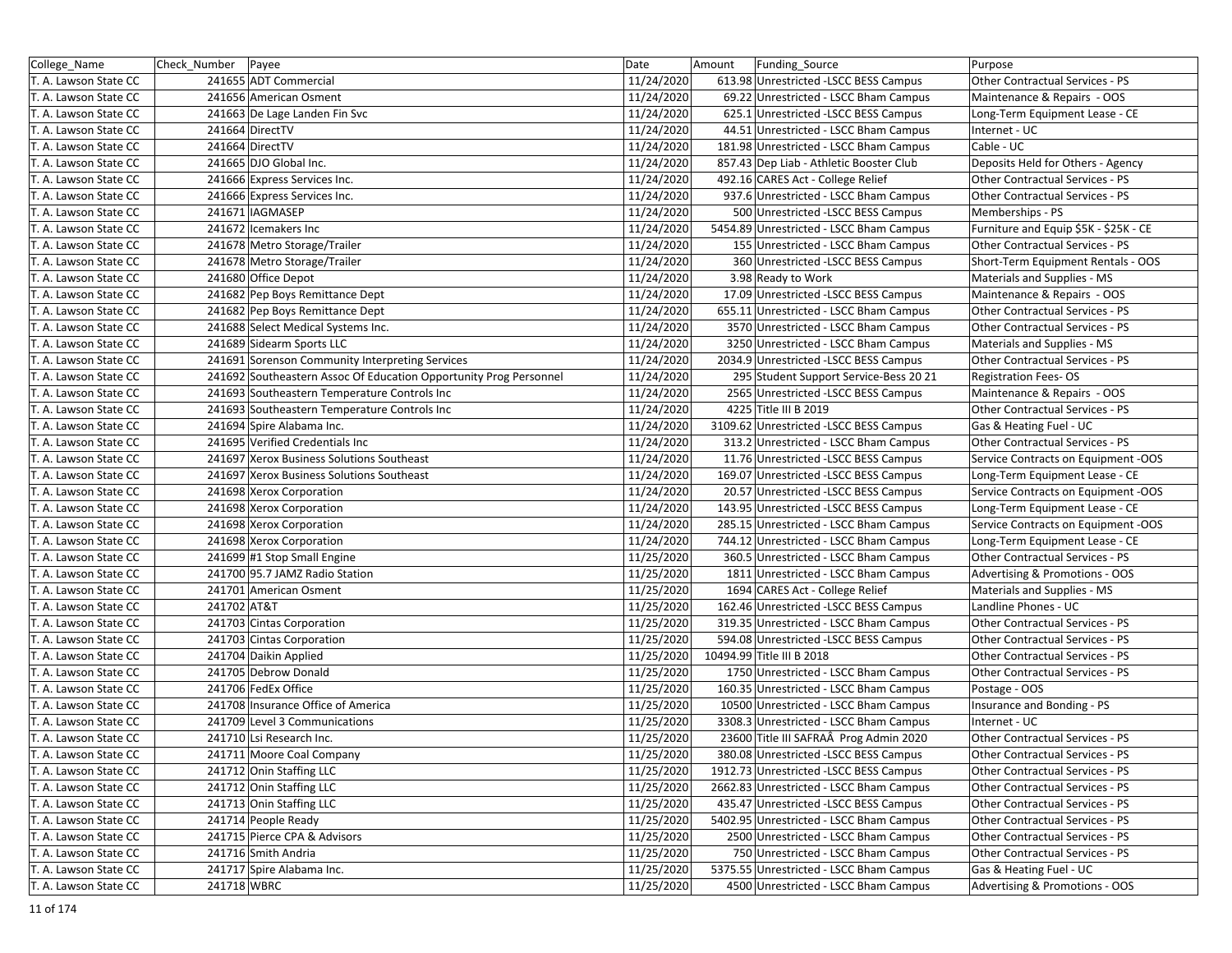| College_Name          | Check_Number Payee |                                                                   | Date       | Amount<br>Funding_Source                | Purpose                               |
|-----------------------|--------------------|-------------------------------------------------------------------|------------|-----------------------------------------|---------------------------------------|
| T. A. Lawson State CC |                    | 241655 ADT Commercial                                             | 11/24/2020 | 613.98 Unrestricted -LSCC BESS Campus   | Other Contractual Services - PS       |
| T. A. Lawson State CC |                    | 241656 American Osment                                            | 11/24/2020 | 69.22 Unrestricted - LSCC Bham Campus   | Maintenance & Repairs - OOS           |
| T. A. Lawson State CC |                    | 241663 De Lage Landen Fin Svc                                     | 11/24/2020 | 625.1 Unrestricted -LSCC BESS Campus    | Long-Term Equipment Lease - CE        |
| T. A. Lawson State CC |                    | 241664 DirectTV                                                   | 11/24/2020 | 44.51 Unrestricted - LSCC Bham Campus   | Internet - UC                         |
| T. A. Lawson State CC |                    | 241664 DirectTV                                                   | 11/24/2020 | 181.98 Unrestricted - LSCC Bham Campus  | Cable - UC                            |
| T. A. Lawson State CC |                    | 241665 DJO Global Inc.                                            | 11/24/2020 | 857.43 Dep Liab - Athletic Booster Club | Deposits Held for Others - Agency     |
| T. A. Lawson State CC |                    | 241666 Express Services Inc.                                      | 11/24/2020 | 492.16 CARES Act - College Relief       | Other Contractual Services - PS       |
| T. A. Lawson State CC |                    | 241666 Express Services Inc.                                      | 11/24/2020 | 937.6 Unrestricted - LSCC Bham Campus   | Other Contractual Services - PS       |
| T. A. Lawson State CC |                    | 241671 IAGMASEP                                                   | 11/24/2020 | 500 Unrestricted -LSCC BESS Campus      | Memberships - PS                      |
| T. A. Lawson State CC |                    | 241672 Icemakers Inc                                              | 11/24/2020 | 5454.89 Unrestricted - LSCC Bham Campus | Furniture and Equip \$5K - \$25K - CE |
| T. A. Lawson State CC |                    | 241678 Metro Storage/Trailer                                      | 11/24/2020 | 155 Unrestricted - LSCC Bham Campus     | Other Contractual Services - PS       |
| T. A. Lawson State CC |                    | 241678 Metro Storage/Trailer                                      | 11/24/2020 | 360 Unrestricted - LSCC BESS Campus     | Short-Term Equipment Rentals - OOS    |
| T. A. Lawson State CC |                    | 241680 Office Depot                                               | 11/24/2020 | 3.98 Ready to Work                      | Materials and Supplies - MS           |
| T. A. Lawson State CC |                    | 241682 Pep Boys Remittance Dept                                   | 11/24/2020 | 17.09 Unrestricted -LSCC BESS Campus    | Maintenance & Repairs - OOS           |
| T. A. Lawson State CC |                    | 241682 Pep Boys Remittance Dept                                   | 11/24/2020 | 655.11 Unrestricted - LSCC Bham Campus  | Other Contractual Services - PS       |
| T. A. Lawson State CC |                    | 241688 Select Medical Systems Inc.                                | 11/24/2020 | 3570 Unrestricted - LSCC Bham Campus    | Other Contractual Services - PS       |
| T. A. Lawson State CC |                    | 241689 Sidearm Sports LLC                                         | 11/24/2020 | 3250 Unrestricted - LSCC Bham Campus    | Materials and Supplies - MS           |
| T. A. Lawson State CC |                    | 241691 Sorenson Community Interpreting Services                   | 11/24/2020 | 2034.9 Unrestricted -LSCC BESS Campus   | Other Contractual Services - PS       |
| T. A. Lawson State CC |                    | 241692 Southeastern Assoc Of Education Opportunity Prog Personnel | 11/24/2020 | 295 Student Support Service-Bess 20 21  | <b>Registration Fees-OS</b>           |
| T. A. Lawson State CC |                    | 241693 Southeastern Temperature Controls Inc                      | 11/24/2020 | 2565 Unrestricted -LSCC BESS Campus     | Maintenance & Repairs - OOS           |
| T. A. Lawson State CC |                    | 241693 Southeastern Temperature Controls Inc                      | 11/24/2020 | 4225 Title III B 2019                   | Other Contractual Services - PS       |
| T. A. Lawson State CC |                    | 241694 Spire Alabama Inc.                                         | 11/24/2020 | 3109.62 Unrestricted -LSCC BESS Campus  | Gas & Heating Fuel - UC               |
| T. A. Lawson State CC |                    | 241695 Verified Credentials Inc                                   | 11/24/2020 | 313.2 Unrestricted - LSCC Bham Campus   | Other Contractual Services - PS       |
| T. A. Lawson State CC |                    | 241697 Xerox Business Solutions Southeast                         | 11/24/2020 | 11.76 Unrestricted - LSCC BESS Campus   | Service Contracts on Equipment -OOS   |
| T. A. Lawson State CC |                    | 241697 Xerox Business Solutions Southeast                         | 11/24/2020 | 169.07 Unrestricted -LSCC BESS Campus   | Long-Term Equipment Lease - CE        |
| T. A. Lawson State CC |                    | 241698 Xerox Corporation                                          | 11/24/2020 | 20.57 Unrestricted - LSCC BESS Campus   | Service Contracts on Equipment -OOS   |
| T. A. Lawson State CC |                    | 241698 Xerox Corporation                                          | 11/24/2020 | 143.95 Unrestricted -LSCC BESS Campus   | Long-Term Equipment Lease - CE        |
| T. A. Lawson State CC |                    | 241698 Xerox Corporation                                          | 11/24/2020 | 285.15 Unrestricted - LSCC Bham Campus  | Service Contracts on Equipment -OOS   |
| T. A. Lawson State CC |                    | 241698 Xerox Corporation                                          | 11/24/2020 | 744.12 Unrestricted - LSCC Bham Campus  | Long-Term Equipment Lease - CE        |
| T. A. Lawson State CC |                    | 241699 #1 Stop Small Engine                                       | 11/25/2020 | 360.5 Unrestricted - LSCC Bham Campus   | Other Contractual Services - PS       |
| T. A. Lawson State CC |                    | 241700 95.7 JAMZ Radio Station                                    | 11/25/2020 | 1811 Unrestricted - LSCC Bham Campus    | Advertising & Promotions - OOS        |
| T. A. Lawson State CC |                    | 241701 American Osment                                            | 11/25/2020 | 1694 CARES Act - College Relief         | Materials and Supplies - MS           |
| T. A. Lawson State CC | 241702 AT&T        |                                                                   | 11/25/2020 | 162.46 Unrestricted -LSCC BESS Campus   | Landline Phones - UC                  |
| T. A. Lawson State CC |                    | 241703 Cintas Corporation                                         | 11/25/2020 | 319.35 Unrestricted - LSCC Bham Campus  | Other Contractual Services - PS       |
| T. A. Lawson State CC |                    | 241703 Cintas Corporation                                         | 11/25/2020 | 594.08 Unrestricted -LSCC BESS Campus   | Other Contractual Services - PS       |
| T. A. Lawson State CC |                    | 241704 Daikin Applied                                             | 11/25/2020 | 10494.99 Title III B 2018               | Other Contractual Services - PS       |
| T. A. Lawson State CC |                    | 241705 Debrow Donald                                              | 11/25/2020 | 1750 Unrestricted - LSCC Bham Campus    | Other Contractual Services - PS       |
| T. A. Lawson State CC |                    | 241706 FedEx Office                                               | 11/25/2020 | 160.35 Unrestricted - LSCC Bham Campus  | Postage - OOS                         |
| T. A. Lawson State CC |                    | 241708 Insurance Office of America                                | 11/25/2020 | 10500 Unrestricted - LSCC Bham Campus   | Insurance and Bonding - PS            |
| T. A. Lawson State CC |                    | 241709 Level 3 Communications                                     | 11/25/2020 | 3308.3 Unrestricted - LSCC Bham Campus  | Internet - UC                         |
| T. A. Lawson State CC |                    | 241710 Lsi Research Inc.                                          | 11/25/2020 | 23600 Title III SAFRAÂ Prog Admin 2020  | Other Contractual Services - PS       |
| T. A. Lawson State CC |                    | 241711 Moore Coal Company                                         | 11/25/2020 | 380.08 Unrestricted -LSCC BESS Campus   | Other Contractual Services - PS       |
| T. A. Lawson State CC |                    | 241712 Onin Staffing LLC                                          | 11/25/2020 | 1912.73 Unrestricted -LSCC BESS Campus  | Other Contractual Services - PS       |
| T. A. Lawson State CC |                    | 241712 Onin Staffing LLC                                          | 11/25/2020 | 2662.83 Unrestricted - LSCC Bham Campus | Other Contractual Services - PS       |
| T. A. Lawson State CC |                    | 241713 Onin Staffing LLC                                          | 11/25/2020 | 435.47 Unrestricted -LSCC BESS Campus   | Other Contractual Services - PS       |
| T. A. Lawson State CC |                    | 241714 People Ready                                               | 11/25/2020 | 5402.95 Unrestricted - LSCC Bham Campus | Other Contractual Services - PS       |
| T. A. Lawson State CC |                    | 241715 Pierce CPA & Advisors                                      | 11/25/2020 | 2500 Unrestricted - LSCC Bham Campus    | Other Contractual Services - PS       |
| T. A. Lawson State CC |                    | 241716 Smith Andria                                               | 11/25/2020 | 750 Unrestricted - LSCC Bham Campus     | Other Contractual Services - PS       |
| T. A. Lawson State CC |                    | 241717 Spire Alabama Inc.                                         | 11/25/2020 | 5375.55 Unrestricted - LSCC Bham Campus | Gas & Heating Fuel - UC               |
| T. A. Lawson State CC | 241718 WBRC        |                                                                   | 11/25/2020 | 4500 Unrestricted - LSCC Bham Campus    | Advertising & Promotions - OOS        |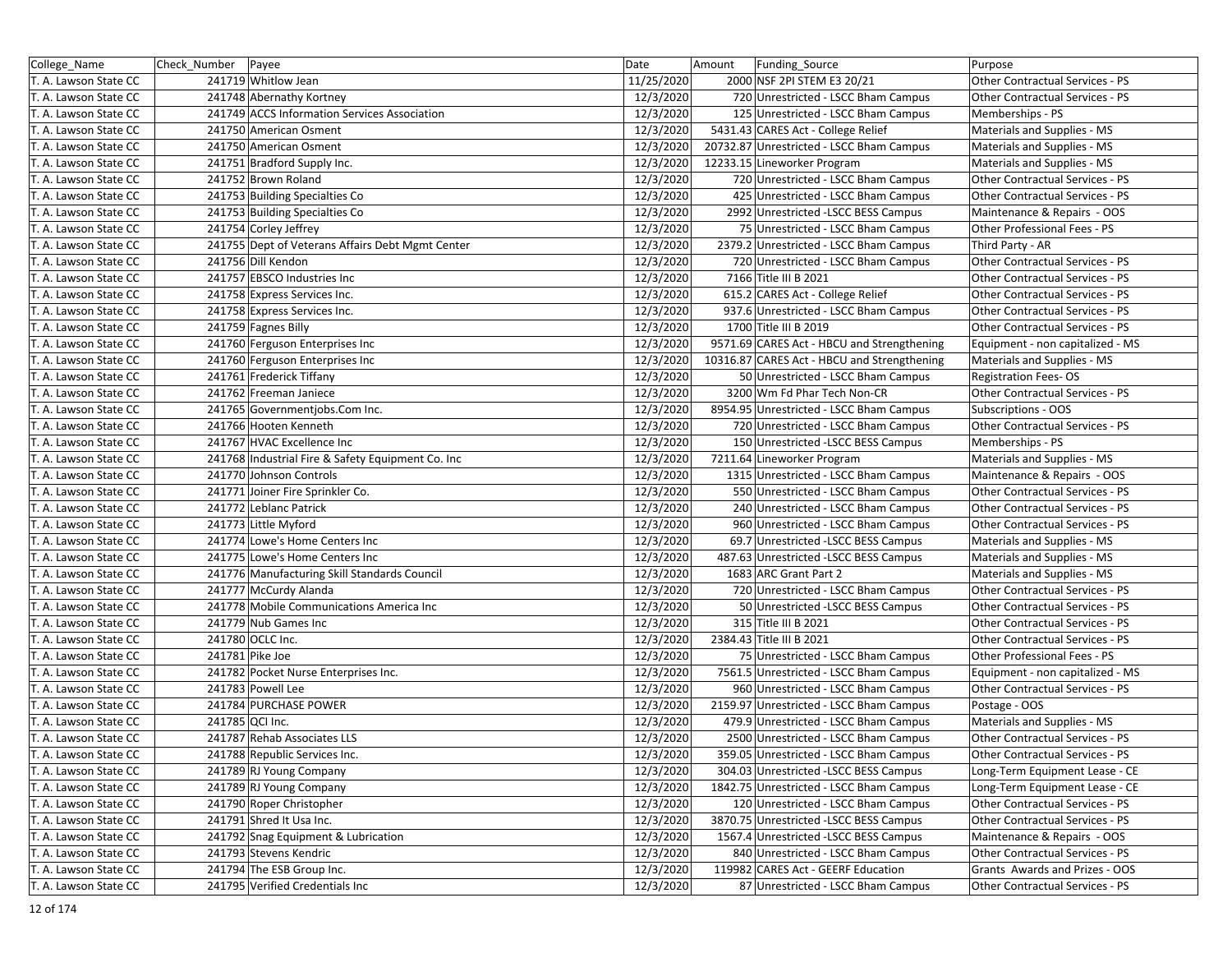| College Name          | Check_Number   Payee |                                                   | Date       | Amount | Funding_Source                              | Purpose                                |
|-----------------------|----------------------|---------------------------------------------------|------------|--------|---------------------------------------------|----------------------------------------|
| T. A. Lawson State CC |                      | 241719 Whitlow Jean                               | 11/25/2020 |        | 2000 NSF 2PI STEM E3 20/21                  | Other Contractual Services - PS        |
| T. A. Lawson State CC |                      | 241748 Abernathy Kortney                          | 12/3/2020  |        | 720 Unrestricted - LSCC Bham Campus         | Other Contractual Services - PS        |
| T. A. Lawson State CC |                      | 241749 ACCS Information Services Association      | 12/3/2020  |        | 125 Unrestricted - LSCC Bham Campus         | Memberships - PS                       |
| T. A. Lawson State CC |                      | 241750 American Osment                            | 12/3/2020  |        | 5431.43 CARES Act - College Relief          | Materials and Supplies - MS            |
| T. A. Lawson State CC |                      | 241750 American Osment                            | 12/3/2020  |        | 20732.87 Unrestricted - LSCC Bham Campus    | Materials and Supplies - MS            |
| T. A. Lawson State CC |                      | 241751 Bradford Supply Inc.                       | 12/3/2020  |        | 12233.15 Lineworker Program                 | Materials and Supplies - MS            |
| T. A. Lawson State CC |                      | 241752 Brown Roland                               | 12/3/2020  |        | 720 Unrestricted - LSCC Bham Campus         | Other Contractual Services - PS        |
| T. A. Lawson State CC |                      | 241753 Building Specialties Co                    | 12/3/2020  |        | 425 Unrestricted - LSCC Bham Campus         | Other Contractual Services - PS        |
| T. A. Lawson State CC |                      | 241753 Building Specialties Co                    | 12/3/2020  |        | 2992 Unrestricted -LSCC BESS Campus         | Maintenance & Repairs - OOS            |
| T. A. Lawson State CC |                      | 241754 Corley Jeffrey                             | 12/3/2020  |        | 75 Unrestricted - LSCC Bham Campus          | Other Professional Fees - PS           |
| T. A. Lawson State CC |                      | 241755 Dept of Veterans Affairs Debt Mgmt Center  | 12/3/2020  |        | 2379.2 Unrestricted - LSCC Bham Campus      | Third Party - AR                       |
| T. A. Lawson State CC |                      | 241756 Dill Kendon                                | 12/3/2020  |        | 720 Unrestricted - LSCC Bham Campus         | Other Contractual Services - PS        |
| T. A. Lawson State CC |                      | 241757 EBSCO Industries Inc                       | 12/3/2020  |        | 7166 Title III B 2021                       | Other Contractual Services - PS        |
| T. A. Lawson State CC |                      | 241758 Express Services Inc.                      | 12/3/2020  |        | 615.2 CARES Act - College Relief            | Other Contractual Services - PS        |
| T. A. Lawson State CC |                      | 241758 Express Services Inc.                      | 12/3/2020  |        | 937.6 Unrestricted - LSCC Bham Campus       | Other Contractual Services - PS        |
| T. A. Lawson State CC |                      | 241759 Fagnes Billy                               | 12/3/2020  |        | 1700 Title III B 2019                       | Other Contractual Services - PS        |
| T. A. Lawson State CC |                      | 241760 Ferguson Enterprises Inc                   | 12/3/2020  |        | 9571.69 CARES Act - HBCU and Strengthening  | Equipment - non capitalized - MS       |
| T. A. Lawson State CC |                      | 241760 Ferguson Enterprises Inc                   | 12/3/2020  |        | 10316.87 CARES Act - HBCU and Strengthening | Materials and Supplies - MS            |
| T. A. Lawson State CC |                      | 241761 Frederick Tiffany                          | 12/3/2020  |        | 50 Unrestricted - LSCC Bham Campus          | <b>Registration Fees-OS</b>            |
| T. A. Lawson State CC |                      | 241762 Freeman Janiece                            | 12/3/2020  |        | 3200 Wm Fd Phar Tech Non-CR                 | <b>Other Contractual Services - PS</b> |
| T. A. Lawson State CC |                      | 241765 Governmentjobs.Com Inc.                    | 12/3/2020  |        | 8954.95 Unrestricted - LSCC Bham Campus     | Subscriptions - OOS                    |
| T. A. Lawson State CC |                      | 241766 Hooten Kenneth                             | 12/3/2020  |        | 720 Unrestricted - LSCC Bham Campus         | Other Contractual Services - PS        |
| T. A. Lawson State CC |                      | 241767 HVAC Excellence Inc                        | 12/3/2020  |        | 150 Unrestricted -LSCC BESS Campus          | Memberships - PS                       |
| T. A. Lawson State CC |                      | 241768 Industrial Fire & Safety Equipment Co. Inc | 12/3/2020  |        | 7211.64 Lineworker Program                  | Materials and Supplies - MS            |
| T. A. Lawson State CC |                      | 241770 Johnson Controls                           | 12/3/2020  |        | 1315 Unrestricted - LSCC Bham Campus        | Maintenance & Repairs - OOS            |
| T. A. Lawson State CC |                      | 241771 Joiner Fire Sprinkler Co.                  | 12/3/2020  |        | 550 Unrestricted - LSCC Bham Campus         | Other Contractual Services - PS        |
| T. A. Lawson State CC |                      | 241772 Leblanc Patrick                            | 12/3/2020  |        | 240 Unrestricted - LSCC Bham Campus         | Other Contractual Services - PS        |
| T. A. Lawson State CC |                      | 241773 Little Myford                              | 12/3/2020  |        | 960 Unrestricted - LSCC Bham Campus         | Other Contractual Services - PS        |
| T. A. Lawson State CC |                      | 241774 Lowe's Home Centers Inc                    | 12/3/2020  |        | 69.7 Unrestricted -LSCC BESS Campus         | Materials and Supplies - MS            |
| T. A. Lawson State CC |                      | 241775 Lowe's Home Centers Inc                    | 12/3/2020  |        | 487.63 Unrestricted -LSCC BESS Campus       | Materials and Supplies - MS            |
| T. A. Lawson State CC |                      | 241776 Manufacturing Skill Standards Council      | 12/3/2020  |        | 1683 ARC Grant Part 2                       | Materials and Supplies - MS            |
| T. A. Lawson State CC |                      | 241777 McCurdy Alanda                             | 12/3/2020  |        | 720 Unrestricted - LSCC Bham Campus         | Other Contractual Services - PS        |
| T. A. Lawson State CC |                      | 241778 Mobile Communications America Inc          | 12/3/2020  |        | 50 Unrestricted - LSCC BESS Campus          | Other Contractual Services - PS        |
| T. A. Lawson State CC |                      | 241779 Nub Games Inc                              | 12/3/2020  |        | 315 Title III B 2021                        | Other Contractual Services - PS        |
| T. A. Lawson State CC |                      | 241780 OCLC Inc.                                  | 12/3/2020  |        | 2384.43 Title III B 2021                    | Other Contractual Services - PS        |
| T. A. Lawson State CC |                      | 241781 Pike Joe                                   | 12/3/2020  |        | 75 Unrestricted - LSCC Bham Campus          | Other Professional Fees - PS           |
| T. A. Lawson State CC |                      | 241782 Pocket Nurse Enterprises Inc.              | 12/3/2020  |        | 7561.5 Unrestricted - LSCC Bham Campus      | Equipment - non capitalized - MS       |
| T. A. Lawson State CC |                      | 241783 Powell Lee                                 | 12/3/2020  |        | 960 Unrestricted - LSCC Bham Campus         | Other Contractual Services - PS        |
| T. A. Lawson State CC |                      | 241784 PURCHASE POWER                             | 12/3/2020  |        | 2159.97 Unrestricted - LSCC Bham Campus     | Postage - OOS                          |
| T. A. Lawson State CC |                      | 241785 QCI Inc.                                   | 12/3/2020  |        | 479.9 Unrestricted - LSCC Bham Campus       | Materials and Supplies - MS            |
| T. A. Lawson State CC |                      | 241787 Rehab Associates LLS                       | 12/3/2020  |        | 2500 Unrestricted - LSCC Bham Campus        | Other Contractual Services - PS        |
| T. A. Lawson State CC |                      | 241788 Republic Services Inc.                     | 12/3/2020  |        | 359.05 Unrestricted - LSCC Bham Campus      | Other Contractual Services - PS        |
| T. A. Lawson State CC |                      | 241789 RJ Young Company                           | 12/3/2020  |        | 304.03 Unrestricted -LSCC BESS Campus       | Long-Term Equipment Lease - CE         |
| T. A. Lawson State CC |                      | 241789 RJ Young Company                           | 12/3/2020  |        | 1842.75 Unrestricted - LSCC Bham Campus     | Long-Term Equipment Lease - CE         |
| T. A. Lawson State CC |                      | 241790 Roper Christopher                          | 12/3/2020  |        | 120 Unrestricted - LSCC Bham Campus         | Other Contractual Services - PS        |
| T. A. Lawson State CC |                      | 241791 Shred It Usa Inc.                          | 12/3/2020  |        | 3870.75 Unrestricted -LSCC BESS Campus      | Other Contractual Services - PS        |
| T. A. Lawson State CC |                      | 241792 Snag Equipment & Lubrication               | 12/3/2020  |        | 1567.4 Unrestricted - LSCC BESS Campus      | Maintenance & Repairs - OOS            |
| T. A. Lawson State CC |                      | 241793 Stevens Kendric                            | 12/3/2020  |        | 840 Unrestricted - LSCC Bham Campus         | Other Contractual Services - PS        |
| T. A. Lawson State CC |                      | 241794 The ESB Group Inc.                         | 12/3/2020  |        | 119982 CARES Act - GEERF Education          | Grants Awards and Prizes - OOS         |
| T. A. Lawson State CC |                      | 241795 Verified Credentials Inc                   | 12/3/2020  |        | 87 Unrestricted - LSCC Bham Campus          | Other Contractual Services - PS        |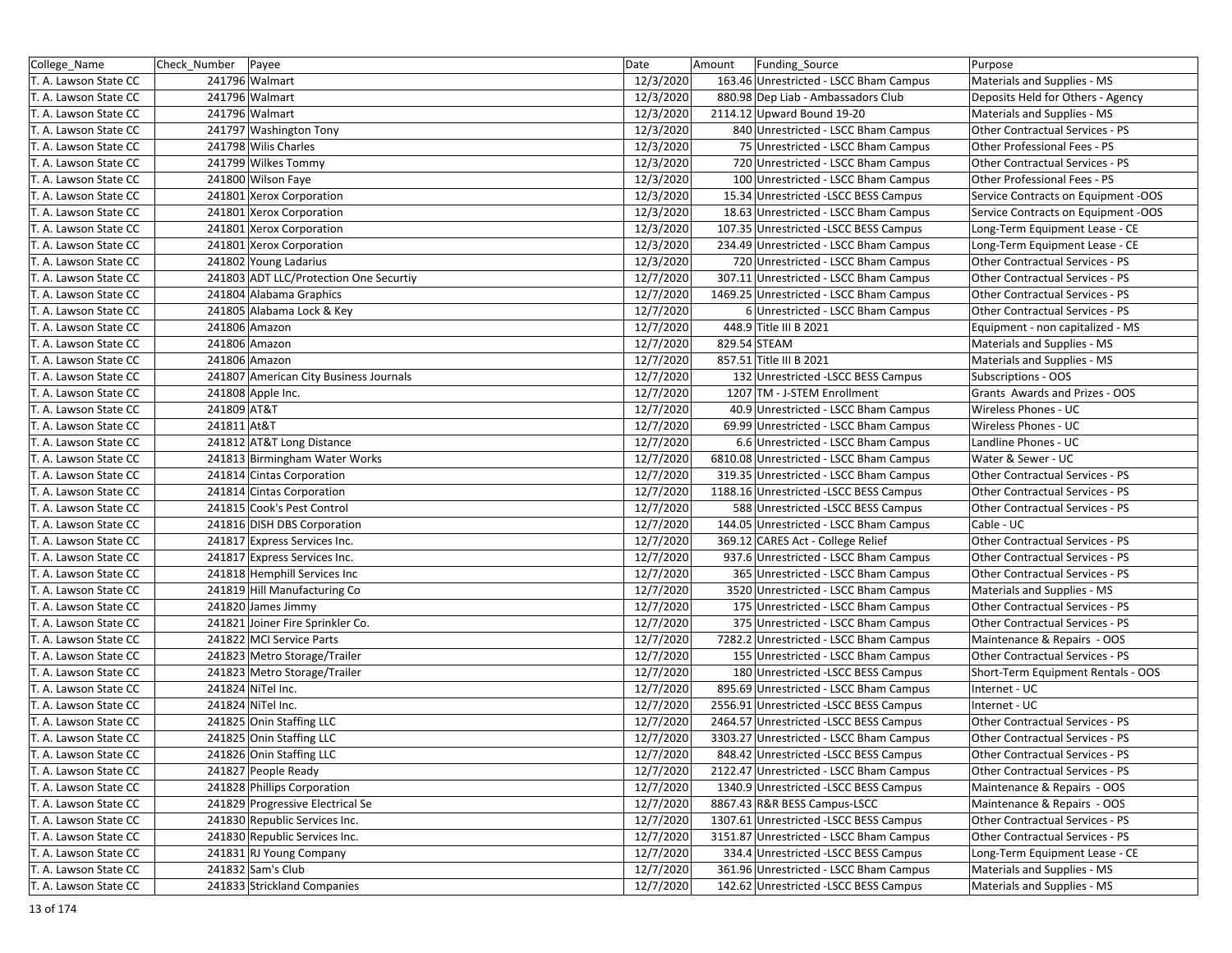| College_Name          | Check Number | Payee                                  | Date      | Amount       | Funding Source                          | Purpose                             |
|-----------------------|--------------|----------------------------------------|-----------|--------------|-----------------------------------------|-------------------------------------|
| T. A. Lawson State CC |              | 241796 Walmart                         | 12/3/2020 |              | 163.46 Unrestricted - LSCC Bham Campus  | Materials and Supplies - MS         |
| T. A. Lawson State CC |              | 241796 Walmart                         | 12/3/2020 |              | 880.98 Dep Liab - Ambassadors Club      | Deposits Held for Others - Agency   |
| T. A. Lawson State CC |              | 241796 Walmart                         | 12/3/2020 |              | 2114.12 Upward Bound 19-20              | Materials and Supplies - MS         |
| T. A. Lawson State CC |              | 241797 Washington Tony                 | 12/3/2020 |              | 840 Unrestricted - LSCC Bham Campus     | Other Contractual Services - PS     |
| T. A. Lawson State CC |              | 241798 Wilis Charles                   | 12/3/2020 |              | 75 Unrestricted - LSCC Bham Campus      | Other Professional Fees - PS        |
| T. A. Lawson State CC |              | 241799 Wilkes Tommy                    | 12/3/2020 |              | 720 Unrestricted - LSCC Bham Campus     | Other Contractual Services - PS     |
| T. A. Lawson State CC |              | 241800 Wilson Faye                     | 12/3/2020 |              | 100 Unrestricted - LSCC Bham Campus     | Other Professional Fees - PS        |
| T. A. Lawson State CC |              | 241801 Xerox Corporation               | 12/3/2020 |              | 15.34 Unrestricted -LSCC BESS Campus    | Service Contracts on Equipment -OOS |
| T. A. Lawson State CC |              | 241801 Xerox Corporation               | 12/3/2020 |              | 18.63 Unrestricted - LSCC Bham Campus   | Service Contracts on Equipment -OOS |
| T. A. Lawson State CC |              | 241801 Xerox Corporation               | 12/3/2020 |              | 107.35 Unrestricted -LSCC BESS Campus   | Long-Term Equipment Lease - CE      |
| T. A. Lawson State CC |              | 241801 Xerox Corporation               | 12/3/2020 |              | 234.49 Unrestricted - LSCC Bham Campus  | Long-Term Equipment Lease - CE      |
| T. A. Lawson State CC |              | 241802 Young Ladarius                  | 12/3/2020 |              | 720 Unrestricted - LSCC Bham Campus     | Other Contractual Services - PS     |
| T. A. Lawson State CC |              | 241803 ADT LLC/Protection One Securtiv | 12/7/2020 |              | 307.11 Unrestricted - LSCC Bham Campus  | Other Contractual Services - PS     |
| T. A. Lawson State CC |              | 241804 Alabama Graphics                | 12/7/2020 |              | 1469.25 Unrestricted - LSCC Bham Campus | Other Contractual Services - PS     |
| T. A. Lawson State CC |              | 241805 Alabama Lock & Key              | 12/7/2020 |              | 6 Unrestricted - LSCC Bham Campus       | Other Contractual Services - PS     |
| T. A. Lawson State CC |              | 241806 Amazon                          | 12/7/2020 |              | 448.9 Title III B 2021                  | Equipment - non capitalized - MS    |
| T. A. Lawson State CC |              | 241806 Amazon                          | 12/7/2020 | 829.54 STEAM |                                         | Materials and Supplies - MS         |
| T. A. Lawson State CC |              | 241806 Amazon                          | 12/7/2020 |              | 857.51 Title III B 2021                 | Materials and Supplies - MS         |
| T. A. Lawson State CC |              | 241807 American City Business Journals | 12/7/2020 |              | 132 Unrestricted - LSCC BESS Campus     | <b>Subscriptions - OOS</b>          |
| T. A. Lawson State CC |              | 241808 Apple Inc.                      | 12/7/2020 |              | 1207 TM - J-STEM Enrollment             | Grants Awards and Prizes - OOS      |
| T. A. Lawson State CC | 241809 AT&T  |                                        | 12/7/2020 |              | 40.9 Unrestricted - LSCC Bham Campus    | Wireless Phones - UC                |
| T. A. Lawson State CC | 241811 At&T  |                                        | 12/7/2020 |              | 69.99 Unrestricted - LSCC Bham Campus   | Wireless Phones - UC                |
| T. A. Lawson State CC |              | 241812 AT&T Long Distance              | 12/7/2020 |              | 6.6 Unrestricted - LSCC Bham Campus     | Landline Phones - UC                |
| T. A. Lawson State CC |              | 241813 Birmingham Water Works          | 12/7/2020 |              | 6810.08 Unrestricted - LSCC Bham Campus | Water & Sewer - UC                  |
| T. A. Lawson State CC |              | 241814 Cintas Corporation              | 12/7/2020 |              | 319.35 Unrestricted - LSCC Bham Campus  | Other Contractual Services - PS     |
| T. A. Lawson State CC |              | 241814 Cintas Corporation              | 12/7/2020 |              | 1188.16 Unrestricted -LSCC BESS Campus  | Other Contractual Services - PS     |
| T. A. Lawson State CC |              | 241815 Cook's Pest Control             | 12/7/2020 |              | 588 Unrestricted -LSCC BESS Campus      | Other Contractual Services - PS     |
| T. A. Lawson State CC |              | 241816 DISH DBS Corporation            | 12/7/2020 |              | 144.05 Unrestricted - LSCC Bham Campus  | Cable - UC                          |
| T. A. Lawson State CC |              | 241817 Express Services Inc.           | 12/7/2020 |              | 369.12 CARES Act - College Relief       | Other Contractual Services - PS     |
| T. A. Lawson State CC |              | 241817 Express Services Inc.           | 12/7/2020 |              | 937.6 Unrestricted - LSCC Bham Campus   | Other Contractual Services - PS     |
| T. A. Lawson State CC |              | 241818 Hemphill Services Inc           | 12/7/2020 |              | 365 Unrestricted - LSCC Bham Campus     | Other Contractual Services - PS     |
| T. A. Lawson State CC |              | 241819 Hill Manufacturing Co           | 12/7/2020 |              | 3520 Unrestricted - LSCC Bham Campus    | Materials and Supplies - MS         |
| T. A. Lawson State CC |              | 241820 James Jimmy                     | 12/7/2020 |              | 175 Unrestricted - LSCC Bham Campus     | Other Contractual Services - PS     |
| T. A. Lawson State CC |              | 241821 Joiner Fire Sprinkler Co.       | 12/7/2020 |              | 375 Unrestricted - LSCC Bham Campus     | Other Contractual Services - PS     |
| T. A. Lawson State CC |              | 241822 MCI Service Parts               | 12/7/2020 |              | 7282.2 Unrestricted - LSCC Bham Campus  | Maintenance & Repairs - OOS         |
| T. A. Lawson State CC |              | 241823 Metro Storage/Trailer           | 12/7/2020 |              | 155 Unrestricted - LSCC Bham Campus     | Other Contractual Services - PS     |
| T. A. Lawson State CC |              | 241823 Metro Storage/Trailer           | 12/7/2020 |              | 180 Unrestricted - LSCC BESS Campus     | Short-Term Equipment Rentals - OOS  |
| T. A. Lawson State CC |              | 241824 NiTel Inc.                      | 12/7/2020 |              | 895.69 Unrestricted - LSCC Bham Campus  | Internet - UC                       |
| T. A. Lawson State CC |              | 241824 NiTel Inc.                      | 12/7/2020 |              | 2556.91 Unrestricted -LSCC BESS Campus  | Internet - UC                       |
| T. A. Lawson State CC |              | 241825 Onin Staffing LLC               | 12/7/2020 |              | 2464.57 Unrestricted -LSCC BESS Campus  | Other Contractual Services - PS     |
| T. A. Lawson State CC |              | 241825 Onin Staffing LLC               | 12/7/2020 |              | 3303.27 Unrestricted - LSCC Bham Campus | Other Contractual Services - PS     |
| T. A. Lawson State CC |              | 241826 Onin Staffing LLC               | 12/7/2020 |              | 848.42 Unrestricted -LSCC BESS Campus   | Other Contractual Services - PS     |
| T. A. Lawson State CC |              | 241827 People Ready                    | 12/7/2020 |              | 2122.47 Unrestricted - LSCC Bham Campus | Other Contractual Services - PS     |
| T. A. Lawson State CC |              | 241828 Phillips Corporation            | 12/7/2020 |              | 1340.9 Unrestricted -LSCC BESS Campus   | Maintenance & Repairs - OOS         |
| T. A. Lawson State CC |              | 241829 Progressive Electrical Se       | 12/7/2020 |              | 8867.43 R&R BESS Campus-LSCC            | Maintenance & Repairs - OOS         |
| T. A. Lawson State CC |              | 241830 Republic Services Inc.          | 12/7/2020 |              | 1307.61 Unrestricted -LSCC BESS Campus  | Other Contractual Services - PS     |
| T. A. Lawson State CC |              | 241830 Republic Services Inc.          | 12/7/2020 |              | 3151.87 Unrestricted - LSCC Bham Campus | Other Contractual Services - PS     |
| T. A. Lawson State CC |              | 241831 RJ Young Company                | 12/7/2020 |              | 334.4 Unrestricted -LSCC BESS Campus    | Long-Term Equipment Lease - CE      |
| T. A. Lawson State CC |              | 241832 Sam's Club                      | 12/7/2020 |              | 361.96 Unrestricted - LSCC Bham Campus  | Materials and Supplies - MS         |
| T. A. Lawson State CC |              | 241833 Strickland Companies            | 12/7/2020 |              | 142.62 Unrestricted -LSCC BESS Campus   | Materials and Supplies - MS         |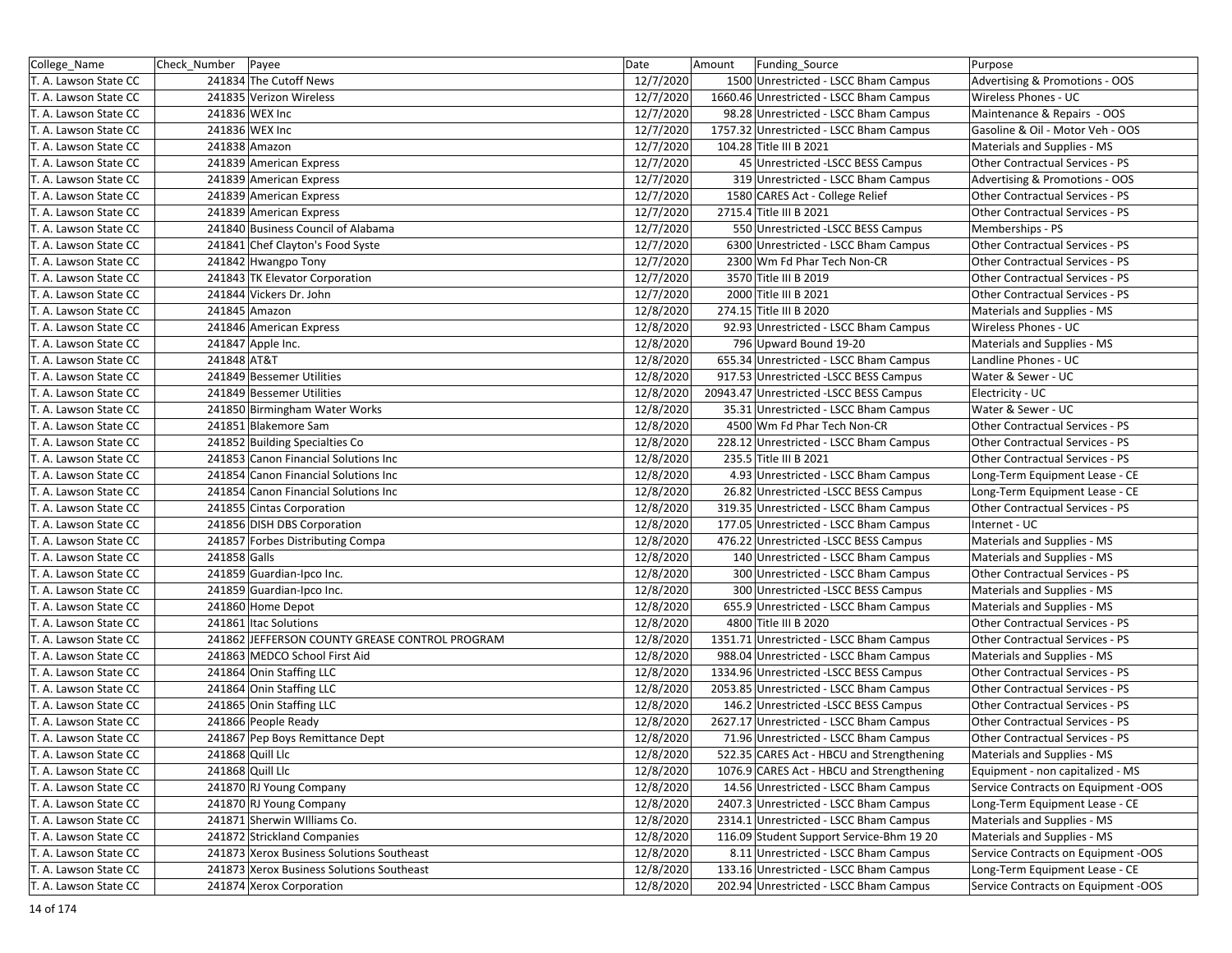| College_Name          | Check_Number   Payee |                                                | Date      | Amount | Funding_Source                            | Purpose                             |
|-----------------------|----------------------|------------------------------------------------|-----------|--------|-------------------------------------------|-------------------------------------|
| T. A. Lawson State CC |                      | 241834 The Cutoff News                         | 12/7/2020 |        | 1500 Unrestricted - LSCC Bham Campus      | Advertising & Promotions - OOS      |
| T. A. Lawson State CC |                      | 241835 Verizon Wireless                        | 12/7/2020 |        | 1660.46 Unrestricted - LSCC Bham Campus   | Wireless Phones - UC                |
| T. A. Lawson State CC |                      | 241836 WEX Inc                                 | 12/7/2020 |        | 98.28 Unrestricted - LSCC Bham Campus     | Maintenance & Repairs - OOS         |
| T. A. Lawson State CC |                      | 241836 WEX Inc                                 | 12/7/2020 |        | 1757.32 Unrestricted - LSCC Bham Campus   | Gasoline & Oil - Motor Veh - OOS    |
| T. A. Lawson State CC |                      | 241838 Amazon                                  | 12/7/2020 |        | 104.28 Title III B 2021                   | Materials and Supplies - MS         |
| T. A. Lawson State CC |                      | 241839 American Express                        | 12/7/2020 |        | 45 Unrestricted - LSCC BESS Campus        | Other Contractual Services - PS     |
| T. A. Lawson State CC |                      | 241839 American Express                        | 12/7/2020 |        | 319 Unrestricted - LSCC Bham Campus       | Advertising & Promotions - OOS      |
| T. A. Lawson State CC |                      | 241839 American Express                        | 12/7/2020 |        | 1580 CARES Act - College Relief           | Other Contractual Services - PS     |
| T. A. Lawson State CC |                      | 241839 American Express                        | 12/7/2020 |        | 2715.4 Title III B 2021                   | Other Contractual Services - PS     |
| T. A. Lawson State CC |                      | 241840 Business Council of Alabama             | 12/7/2020 |        | 550 Unrestricted - LSCC BESS Campus       | Memberships - PS                    |
| T. A. Lawson State CC |                      | 241841 Chef Clayton's Food Syste               | 12/7/2020 |        | 6300 Unrestricted - LSCC Bham Campus      | Other Contractual Services - PS     |
| T. A. Lawson State CC |                      | 241842 Hwangpo Tony                            | 12/7/2020 |        | 2300 Wm Fd Phar Tech Non-CR               | Other Contractual Services - PS     |
| T. A. Lawson State CC |                      | 241843 TK Elevator Corporation                 | 12/7/2020 |        | 3570 Title III B 2019                     | Other Contractual Services - PS     |
| T. A. Lawson State CC |                      | 241844 Vickers Dr. John                        | 12/7/2020 |        | 2000 Title III B 2021                     | Other Contractual Services - PS     |
| T. A. Lawson State CC |                      | 241845 Amazon                                  | 12/8/2020 |        | 274.15 Title III B 2020                   | Materials and Supplies - MS         |
| T. A. Lawson State CC |                      | 241846 American Express                        | 12/8/2020 |        | 92.93 Unrestricted - LSCC Bham Campus     | Wireless Phones - UC                |
| T. A. Lawson State CC |                      | 241847 Apple Inc.                              | 12/8/2020 |        | 796 Upward Bound 19-20                    | Materials and Supplies - MS         |
| T. A. Lawson State CC | 241848 AT&T          |                                                | 12/8/2020 |        | 655.34 Unrestricted - LSCC Bham Campus    | Landline Phones - UC                |
| T. A. Lawson State CC |                      | 241849 Bessemer Utilities                      | 12/8/2020 |        | 917.53 Unrestricted -LSCC BESS Campus     | Water & Sewer - UC                  |
| T. A. Lawson State CC |                      | 241849 Bessemer Utilities                      | 12/8/2020 |        | 20943.47 Unrestricted -LSCC BESS Campus   | Electricity - UC                    |
| T. A. Lawson State CC |                      | 241850 Birmingham Water Works                  | 12/8/2020 |        | 35.31 Unrestricted - LSCC Bham Campus     | Water & Sewer - UC                  |
| T. A. Lawson State CC |                      | 241851 Blakemore Sam                           | 12/8/2020 |        | 4500 Wm Fd Phar Tech Non-CR               | Other Contractual Services - PS     |
| T. A. Lawson State CC |                      | 241852 Building Specialties Co                 | 12/8/2020 |        | 228.12 Unrestricted - LSCC Bham Campus    | Other Contractual Services - PS     |
| T. A. Lawson State CC |                      | 241853 Canon Financial Solutions Inc           | 12/8/2020 |        | 235.5 Title III B 2021                    | Other Contractual Services - PS     |
| T. A. Lawson State CC |                      | 241854 Canon Financial Solutions Inc           | 12/8/2020 |        | 4.93 Unrestricted - LSCC Bham Campus      | Long-Term Equipment Lease - CE      |
| T. A. Lawson State CC |                      | 241854 Canon Financial Solutions Inc           | 12/8/2020 |        | 26.82 Unrestricted -LSCC BESS Campus      | Long-Term Equipment Lease - CE      |
| T. A. Lawson State CC |                      | 241855 Cintas Corporation                      | 12/8/2020 |        | 319.35 Unrestricted - LSCC Bham Campus    | Other Contractual Services - PS     |
| T. A. Lawson State CC |                      | 241856 DISH DBS Corporation                    | 12/8/2020 |        | 177.05 Unrestricted - LSCC Bham Campus    | Internet - UC                       |
| T. A. Lawson State CC |                      | 241857 Forbes Distributing Compa               | 12/8/2020 |        | 476.22 Unrestricted -LSCC BESS Campus     | Materials and Supplies - MS         |
| T. A. Lawson State CC | 241858 Galls         |                                                | 12/8/2020 |        | 140 Unrestricted - LSCC Bham Campus       | Materials and Supplies - MS         |
| T. A. Lawson State CC |                      | 241859 Guardian-Ipco Inc.                      | 12/8/2020 |        | 300 Unrestricted - LSCC Bham Campus       | Other Contractual Services - PS     |
| T. A. Lawson State CC |                      | 241859 Guardian-Ipco Inc.                      | 12/8/2020 |        | 300 Unrestricted -LSCC BESS Campus        | Materials and Supplies - MS         |
| T. A. Lawson State CC |                      | 241860 Home Depot                              | 12/8/2020 |        | 655.9 Unrestricted - LSCC Bham Campus     | Materials and Supplies - MS         |
| T. A. Lawson State CC |                      | 241861 Itac Solutions                          | 12/8/2020 |        | 4800 Title III B 2020                     | Other Contractual Services - PS     |
| T. A. Lawson State CC |                      | 241862 JEFFERSON COUNTY GREASE CONTROL PROGRAM | 12/8/2020 |        | 1351.71 Unrestricted - LSCC Bham Campus   | Other Contractual Services - PS     |
| T. A. Lawson State CC |                      | 241863 MEDCO School First Aid                  | 12/8/2020 |        | 988.04 Unrestricted - LSCC Bham Campus    | Materials and Supplies - MS         |
| T. A. Lawson State CC |                      | 241864 Onin Staffing LLC                       | 12/8/2020 |        | 1334.96 Unrestricted - LSCC BESS Campus   | Other Contractual Services - PS     |
| T. A. Lawson State CC |                      | 241864 Onin Staffing LLC                       | 12/8/2020 |        | 2053.85 Unrestricted - LSCC Bham Campus   | Other Contractual Services - PS     |
| T. A. Lawson State CC |                      | 241865 Onin Staffing LLC                       | 12/8/2020 |        | 146.2 Unrestricted -LSCC BESS Campus      | Other Contractual Services - PS     |
| T. A. Lawson State CC |                      | 241866 People Ready                            | 12/8/2020 |        | 2627.17 Unrestricted - LSCC Bham Campus   | Other Contractual Services - PS     |
| T. A. Lawson State CC |                      | 241867 Pep Boys Remittance Dept                | 12/8/2020 |        | 71.96 Unrestricted - LSCC Bham Campus     | Other Contractual Services - PS     |
| T. A. Lawson State CC |                      | 241868 Quill Llc                               | 12/8/2020 |        | 522.35 CARES Act - HBCU and Strengthening | Materials and Supplies - MS         |
| T. A. Lawson State CC |                      | 241868 Quill Llc                               | 12/8/2020 |        | 1076.9 CARES Act - HBCU and Strengthening | Equipment - non capitalized - MS    |
| T. A. Lawson State CC |                      | 241870 RJ Young Company                        | 12/8/2020 |        | 14.56 Unrestricted - LSCC Bham Campus     | Service Contracts on Equipment -OOS |
| T. A. Lawson State CC |                      | 241870 RJ Young Company                        | 12/8/2020 |        | 2407.3 Unrestricted - LSCC Bham Campus    | Long-Term Equipment Lease - CE      |
| T. A. Lawson State CC |                      | 241871 Sherwin Williams Co.                    | 12/8/2020 |        | 2314.1 Unrestricted - LSCC Bham Campus    | Materials and Supplies - MS         |
| T. A. Lawson State CC |                      | 241872 Strickland Companies                    | 12/8/2020 |        | 116.09 Student Support Service-Bhm 19 20  | Materials and Supplies - MS         |
| T. A. Lawson State CC |                      | 241873 Xerox Business Solutions Southeast      | 12/8/2020 |        | 8.11 Unrestricted - LSCC Bham Campus      | Service Contracts on Equipment -OOS |
| T. A. Lawson State CC |                      | 241873 Xerox Business Solutions Southeast      | 12/8/2020 |        | 133.16 Unrestricted - LSCC Bham Campus    | Long-Term Equipment Lease - CE      |
| T. A. Lawson State CC |                      | 241874 Xerox Corporation                       | 12/8/2020 |        | 202.94 Unrestricted - LSCC Bham Campus    | Service Contracts on Equipment -OOS |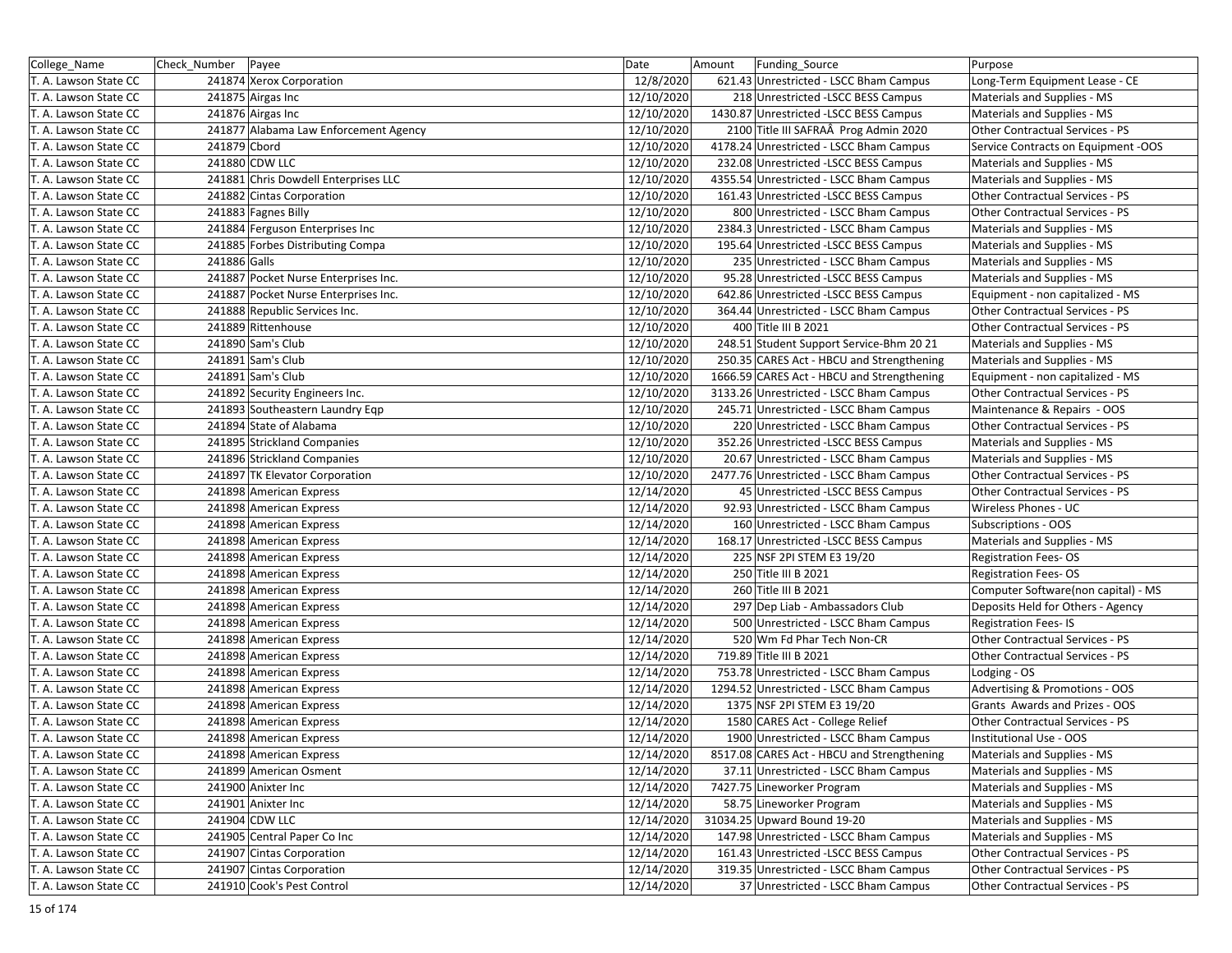| College_Name          | Check_Number   Payee |                                       | Date       | Funding_Source<br>Amount                   | Purpose                             |
|-----------------------|----------------------|---------------------------------------|------------|--------------------------------------------|-------------------------------------|
| T. A. Lawson State CC |                      | 241874 Xerox Corporation              | 12/8/2020  | 621.43 Unrestricted - LSCC Bham Campus     | Long-Term Equipment Lease - CE      |
| T. A. Lawson State CC |                      | 241875 Airgas Inc                     | 12/10/2020 | 218 Unrestricted -LSCC BESS Campus         | Materials and Supplies - MS         |
| T. A. Lawson State CC |                      | 241876 Airgas Inc                     | 12/10/2020 | 1430.87 Unrestricted -LSCC BESS Campus     | Materials and Supplies - MS         |
| T. A. Lawson State CC |                      | 241877 Alabama Law Enforcement Agency | 12/10/2020 | 2100 Title III SAFRAÂ Prog Admin 2020      | Other Contractual Services - PS     |
| T. A. Lawson State CC | 241879 Cbord         |                                       | 12/10/2020 | 4178.24 Unrestricted - LSCC Bham Campus    | Service Contracts on Equipment -OOS |
| T. A. Lawson State CC |                      | 241880 CDW LLC                        | 12/10/2020 | 232.08 Unrestricted -LSCC BESS Campus      | Materials and Supplies - MS         |
| T. A. Lawson State CC |                      | 241881 Chris Dowdell Enterprises LLC  | 12/10/2020 | 4355.54 Unrestricted - LSCC Bham Campus    | Materials and Supplies - MS         |
| T. A. Lawson State CC |                      | 241882 Cintas Corporation             | 12/10/2020 | 161.43 Unrestricted -LSCC BESS Campus      | Other Contractual Services - PS     |
| T. A. Lawson State CC |                      | 241883 Fagnes Billy                   | 12/10/2020 | 800 Unrestricted - LSCC Bham Campus        | Other Contractual Services - PS     |
| T. A. Lawson State CC |                      | 241884 Ferguson Enterprises Inc       | 12/10/2020 | 2384.3 Unrestricted - LSCC Bham Campus     | Materials and Supplies - MS         |
| T. A. Lawson State CC |                      | 241885 Forbes Distributing Compa      | 12/10/2020 | 195.64 Unrestricted - LSCC BESS Campus     | Materials and Supplies - MS         |
| T. A. Lawson State CC | 241886 Galls         |                                       | 12/10/2020 | 235 Unrestricted - LSCC Bham Campus        | Materials and Supplies - MS         |
| T. A. Lawson State CC |                      | 241887 Pocket Nurse Enterprises Inc.  | 12/10/2020 | 95.28 Unrestricted -LSCC BESS Campus       | Materials and Supplies - MS         |
| T. A. Lawson State CC |                      | 241887 Pocket Nurse Enterprises Inc.  | 12/10/2020 | 642.86 Unrestricted -LSCC BESS Campus      | Equipment - non capitalized - MS    |
| T. A. Lawson State CC |                      | 241888 Republic Services Inc.         | 12/10/2020 | 364.44 Unrestricted - LSCC Bham Campus     | Other Contractual Services - PS     |
| T. A. Lawson State CC |                      | 241889 Rittenhouse                    | 12/10/2020 | 400 Title III B 2021                       | Other Contractual Services - PS     |
| T. A. Lawson State CC |                      | 241890 Sam's Club                     | 12/10/2020 | 248.51 Student Support Service-Bhm 20 21   | Materials and Supplies - MS         |
| T. A. Lawson State CC |                      | 241891 Sam's Club                     | 12/10/2020 | 250.35 CARES Act - HBCU and Strengthening  | Materials and Supplies - MS         |
| T. A. Lawson State CC |                      | 241891 Sam's Club                     | 12/10/2020 | 1666.59 CARES Act - HBCU and Strengthening | Equipment - non capitalized - MS    |
| T. A. Lawson State CC |                      | 241892 Security Engineers Inc.        | 12/10/2020 | 3133.26 Unrestricted - LSCC Bham Campus    | Other Contractual Services - PS     |
| T. A. Lawson State CC |                      | 241893 Southeastern Laundry Eqp       | 12/10/2020 | 245.71 Unrestricted - LSCC Bham Campus     | Maintenance & Repairs - OOS         |
| T. A. Lawson State CC |                      | 241894 State of Alabama               | 12/10/2020 | 220 Unrestricted - LSCC Bham Campus        | Other Contractual Services - PS     |
| T. A. Lawson State CC |                      | 241895 Strickland Companies           | 12/10/2020 | 352.26 Unrestricted - LSCC BESS Campus     | Materials and Supplies - MS         |
| T. A. Lawson State CC |                      | 241896 Strickland Companies           | 12/10/2020 | 20.67 Unrestricted - LSCC Bham Campus      | Materials and Supplies - MS         |
| T. A. Lawson State CC |                      | 241897 TK Elevator Corporation        | 12/10/2020 | 2477.76 Unrestricted - LSCC Bham Campus    | Other Contractual Services - PS     |
| T. A. Lawson State CC |                      | 241898 American Express               | 12/14/2020 | 45 Unrestricted - LSCC BESS Campus         | Other Contractual Services - PS     |
| T. A. Lawson State CC |                      | 241898 American Express               | 12/14/2020 | 92.93 Unrestricted - LSCC Bham Campus      | Wireless Phones - UC                |
| T. A. Lawson State CC |                      | 241898 American Express               | 12/14/2020 | 160 Unrestricted - LSCC Bham Campus        | Subscriptions - OOS                 |
| T. A. Lawson State CC |                      | 241898 American Express               | 12/14/2020 | 168.17 Unrestricted -LSCC BESS Campus      | Materials and Supplies - MS         |
| T. A. Lawson State CC |                      | 241898 American Express               | 12/14/2020 | 225 NSF 2PI STEM E3 19/20                  | <b>Registration Fees-OS</b>         |
| T. A. Lawson State CC |                      | 241898 American Express               | 12/14/2020 | 250 Title III B 2021                       | <b>Registration Fees-OS</b>         |
| T. A. Lawson State CC |                      | 241898 American Express               | 12/14/2020 | 260 Title III B 2021                       | Computer Software(non capital) - MS |
| T. A. Lawson State CC |                      | 241898 American Express               | 12/14/2020 | 297 Dep Liab - Ambassadors Club            | Deposits Held for Others - Agency   |
| T. A. Lawson State CC |                      | 241898 American Express               | 12/14/2020 | 500 Unrestricted - LSCC Bham Campus        | <b>Registration Fees-IS</b>         |
| T. A. Lawson State CC |                      | 241898 American Express               | 12/14/2020 | 520 Wm Fd Phar Tech Non-CR                 | Other Contractual Services - PS     |
| T. A. Lawson State CC |                      | 241898 American Express               | 12/14/2020 | 719.89 Title III B 2021                    | Other Contractual Services - PS     |
| T. A. Lawson State CC |                      | 241898 American Express               | 12/14/2020 | 753.78 Unrestricted - LSCC Bham Campus     | Lodging - OS                        |
| T. A. Lawson State CC |                      | 241898 American Express               | 12/14/2020 | 1294.52 Unrestricted - LSCC Bham Campus    | Advertising & Promotions - OOS      |
| T. A. Lawson State CC |                      | 241898 American Express               | 12/14/2020 | 1375 NSF 2PI STEM E3 19/20                 | Grants Awards and Prizes - OOS      |
| T. A. Lawson State CC |                      | 241898 American Express               | 12/14/2020 | 1580 CARES Act - College Relief            | Other Contractual Services - PS     |
| T. A. Lawson State CC |                      | 241898 American Express               | 12/14/2020 | 1900 Unrestricted - LSCC Bham Campus       | Institutional Use - OOS             |
| T. A. Lawson State CC |                      | 241898 American Express               | 12/14/2020 | 8517.08 CARES Act - HBCU and Strengthening | Materials and Supplies - MS         |
| T. A. Lawson State CC |                      | 241899 American Osment                | 12/14/2020 | 37.11 Unrestricted - LSCC Bham Campus      | Materials and Supplies - MS         |
| T. A. Lawson State CC |                      | 241900 Anixter Inc                    | 12/14/2020 | 7427.75 Lineworker Program                 | Materials and Supplies - MS         |
| T. A. Lawson State CC |                      | 241901 Anixter Inc                    | 12/14/2020 | 58.75 Lineworker Program                   | Materials and Supplies - MS         |
| T. A. Lawson State CC |                      | 241904 CDW LLC                        | 12/14/2020 | 31034.25 Upward Bound 19-20                | Materials and Supplies - MS         |
| T. A. Lawson State CC |                      | 241905 Central Paper Co Inc           | 12/14/2020 | 147.98 Unrestricted - LSCC Bham Campus     | Materials and Supplies - MS         |
| T. A. Lawson State CC |                      | 241907 Cintas Corporation             | 12/14/2020 | 161.43 Unrestricted -LSCC BESS Campus      | Other Contractual Services - PS     |
| T. A. Lawson State CC |                      | 241907 Cintas Corporation             | 12/14/2020 | 319.35 Unrestricted - LSCC Bham Campus     | Other Contractual Services - PS     |
| T. A. Lawson State CC |                      | 241910 Cook's Pest Control            | 12/14/2020 | 37 Unrestricted - LSCC Bham Campus         | Other Contractual Services - PS     |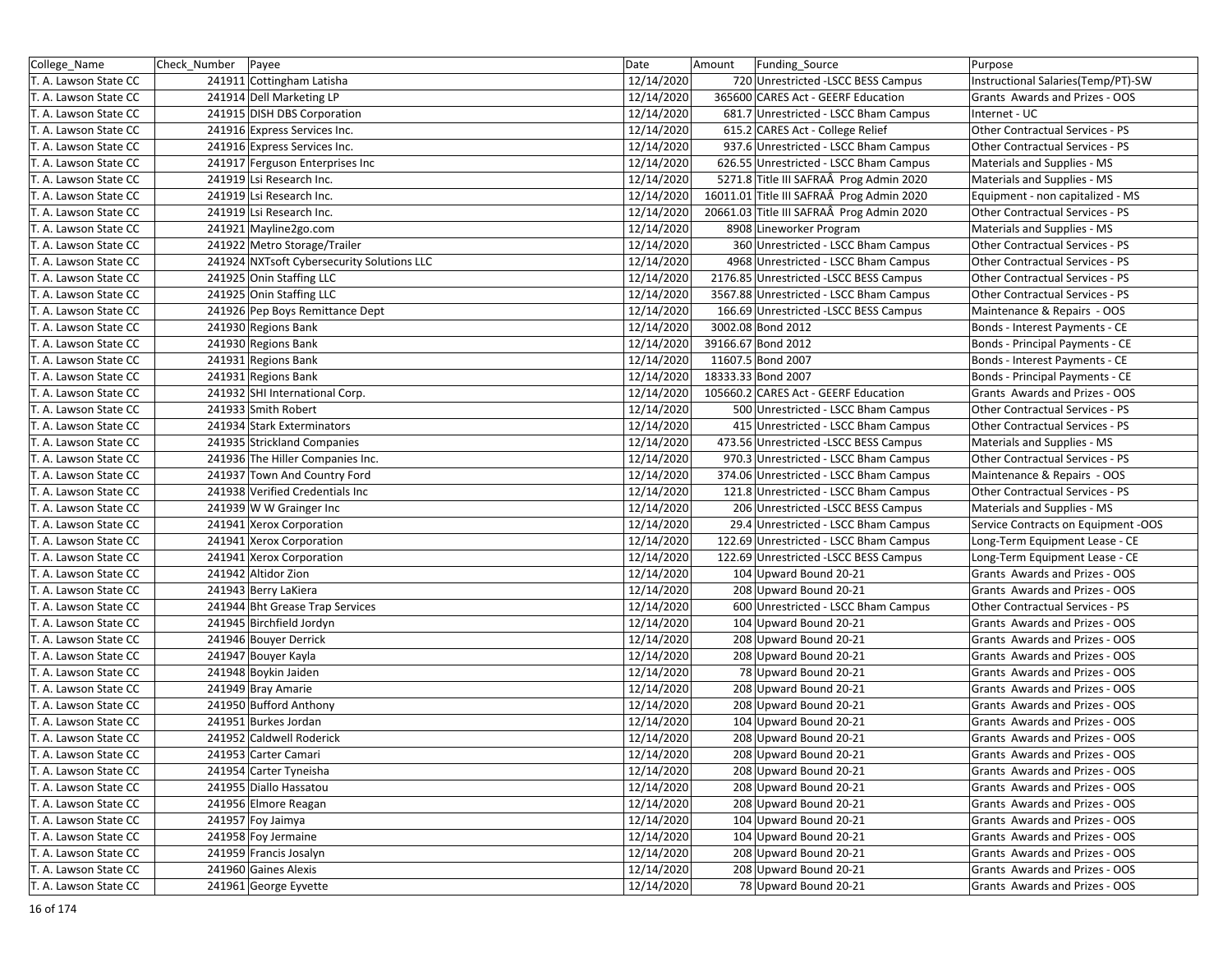| College Name          | Check Number | Payee                                      | Date       | Amount | Funding_Source                            | Purpose                             |
|-----------------------|--------------|--------------------------------------------|------------|--------|-------------------------------------------|-------------------------------------|
| T. A. Lawson State CC |              | 241911 Cottingham Latisha                  | 12/14/2020 |        | 720 Unrestricted -LSCC BESS Campus        | Instructional Salaries(Temp/PT)-SW  |
| T. A. Lawson State CC |              | 241914 Dell Marketing LP                   | 12/14/2020 |        | 365600 CARES Act - GEERF Education        | Grants Awards and Prizes - OOS      |
| T. A. Lawson State CC |              | 241915 DISH DBS Corporation                | 12/14/2020 |        | 681.7 Unrestricted - LSCC Bham Campus     | Internet - UC                       |
| T. A. Lawson State CC |              | 241916 Express Services Inc.               | 12/14/2020 |        | 615.2 CARES Act - College Relief          | Other Contractual Services - PS     |
| T. A. Lawson State CC |              | 241916 Express Services Inc.               | 12/14/2020 |        | 937.6 Unrestricted - LSCC Bham Campus     | Other Contractual Services - PS     |
| T. A. Lawson State CC |              | 241917 Ferguson Enterprises Inc            | 12/14/2020 |        | 626.55 Unrestricted - LSCC Bham Campus    | Materials and Supplies - MS         |
| T. A. Lawson State CC |              | 241919 Lsi Research Inc.                   | 12/14/2020 |        | 5271.8 Title III SAFRAÂ Prog Admin 2020   | Materials and Supplies - MS         |
| T. A. Lawson State CC |              | 241919 Lsi Research Inc.                   | 12/14/2020 |        | 16011.01 Title III SAFRAÂ Prog Admin 2020 | Equipment - non capitalized - MS    |
| T. A. Lawson State CC |              | 241919 Lsi Research Inc.                   | 12/14/2020 |        | 20661.03 Title III SAFRAÂ Prog Admin 2020 | Other Contractual Services - PS     |
| T. A. Lawson State CC |              | 241921 Mayline2go.com                      | 12/14/2020 |        | 8908 Lineworker Program                   | Materials and Supplies - MS         |
| T. A. Lawson State CC |              | 241922 Metro Storage/Trailer               | 12/14/2020 |        | 360 Unrestricted - LSCC Bham Campus       | Other Contractual Services - PS     |
| T. A. Lawson State CC |              | 241924 NXTsoft Cybersecurity Solutions LLC | 12/14/2020 |        | 4968 Unrestricted - LSCC Bham Campus      | Other Contractual Services - PS     |
| T. A. Lawson State CC |              | 241925 Onin Staffing LLC                   | 12/14/2020 |        | 2176.85 Unrestricted -LSCC BESS Campus    | Other Contractual Services - PS     |
| T. A. Lawson State CC |              | 241925 Onin Staffing LLC                   | 12/14/2020 |        | 3567.88 Unrestricted - LSCC Bham Campus   | Other Contractual Services - PS     |
| T. A. Lawson State CC |              | 241926 Pep Boys Remittance Dept            | 12/14/2020 |        | 166.69 Unrestricted -LSCC BESS Campus     | Maintenance & Repairs - OOS         |
| T. A. Lawson State CC |              | 241930 Regions Bank                        | 12/14/2020 |        | 3002.08 Bond 2012                         | Bonds - Interest Payments - CE      |
| T. A. Lawson State CC |              | 241930 Regions Bank                        | 12/14/2020 |        | 39166.67 Bond 2012                        | Bonds - Principal Payments - CE     |
| T. A. Lawson State CC |              | 241931 Regions Bank                        | 12/14/2020 |        | 11607.5 Bond 2007                         | Bonds - Interest Payments - CE      |
| T. A. Lawson State CC |              | 241931 Regions Bank                        | 12/14/2020 |        | 18333.33 Bond 2007                        | Bonds - Principal Payments - CE     |
| T. A. Lawson State CC |              | 241932 SHI International Corp.             | 12/14/2020 |        | 105660.2 CARES Act - GEERF Education      | Grants Awards and Prizes - OOS      |
| T. A. Lawson State CC |              | 241933 Smith Robert                        | 12/14/2020 |        | 500 Unrestricted - LSCC Bham Campus       | Other Contractual Services - PS     |
| T. A. Lawson State CC |              | 241934 Stark Exterminators                 | 12/14/2020 |        | 415 Unrestricted - LSCC Bham Campus       | Other Contractual Services - PS     |
| T. A. Lawson State CC |              | 241935 Strickland Companies                | 12/14/2020 |        | 473.56 Unrestricted -LSCC BESS Campus     | Materials and Supplies - MS         |
| T. A. Lawson State CC |              | 241936 The Hiller Companies Inc.           | 12/14/2020 |        | 970.3 Unrestricted - LSCC Bham Campus     | Other Contractual Services - PS     |
| T. A. Lawson State CC |              | 241937 Town And Country Ford               | 12/14/2020 |        | 374.06 Unrestricted - LSCC Bham Campus    | Maintenance & Repairs - OOS         |
| T. A. Lawson State CC |              | 241938 Verified Credentials Inc            | 12/14/2020 |        | 121.8 Unrestricted - LSCC Bham Campus     | Other Contractual Services - PS     |
| T. A. Lawson State CC |              | 241939 W W Grainger Inc                    | 12/14/2020 |        | 206 Unrestricted -LSCC BESS Campus        | Materials and Supplies - MS         |
| T. A. Lawson State CC |              | 241941 Xerox Corporation                   | 12/14/2020 |        | 29.4 Unrestricted - LSCC Bham Campus      | Service Contracts on Equipment -OOS |
| T. A. Lawson State CC |              | 241941 Xerox Corporation                   | 12/14/2020 |        | 122.69 Unrestricted - LSCC Bham Campus    | Long-Term Equipment Lease - CE      |
| T. A. Lawson State CC |              | 241941 Xerox Corporation                   | 12/14/2020 |        | 122.69 Unrestricted -LSCC BESS Campus     | Long-Term Equipment Lease - CE      |
| T. A. Lawson State CC |              | 241942 Altidor Zion                        | 12/14/2020 |        | 104 Upward Bound 20-21                    | Grants Awards and Prizes - OOS      |
| T. A. Lawson State CC |              | 241943 Berry LaKiera                       | 12/14/2020 |        | 208 Upward Bound 20-21                    | Grants Awards and Prizes - OOS      |
| T. A. Lawson State CC |              | 241944 Bht Grease Trap Services            | 12/14/2020 |        | 600 Unrestricted - LSCC Bham Campus       | Other Contractual Services - PS     |
| T. A. Lawson State CC |              | 241945 Birchfield Jordyn                   | 12/14/2020 |        | 104 Upward Bound 20-21                    | Grants Awards and Prizes - OOS      |
| T. A. Lawson State CC |              | 241946 Bouyer Derrick                      | 12/14/2020 |        | 208 Upward Bound 20-21                    | Grants Awards and Prizes - OOS      |
| T. A. Lawson State CC |              | 241947 Bouyer Kayla                        | 12/14/2020 |        | 208 Upward Bound 20-21                    | Grants Awards and Prizes - OOS      |
| T. A. Lawson State CC |              | 241948 Boykin Jaiden                       | 12/14/2020 |        | 78 Upward Bound 20-21                     | Grants Awards and Prizes - OOS      |
| T. A. Lawson State CC |              | 241949 Bray Amarie                         | 12/14/2020 |        | 208 Upward Bound 20-21                    | Grants Awards and Prizes - OOS      |
| T. A. Lawson State CC |              | 241950 Bufford Anthony                     | 12/14/2020 |        | 208 Upward Bound 20-21                    | Grants Awards and Prizes - OOS      |
| T. A. Lawson State CC |              | 241951 Burkes Jordan                       | 12/14/2020 |        | 104 Upward Bound 20-21                    | Grants Awards and Prizes - OOS      |
| T. A. Lawson State CC |              | 241952 Caldwell Roderick                   | 12/14/2020 |        | 208 Upward Bound 20-21                    | Grants Awards and Prizes - OOS      |
| T. A. Lawson State CC |              | 241953 Carter Camari                       | 12/14/2020 |        | 208 Upward Bound 20-21                    | Grants Awards and Prizes - OOS      |
| T. A. Lawson State CC |              | 241954 Carter Tyneisha                     | 12/14/2020 |        | 208 Upward Bound 20-21                    | Grants Awards and Prizes - OOS      |
| T. A. Lawson State CC |              | 241955 Diallo Hassatou                     | 12/14/2020 |        | 208 Upward Bound 20-21                    | Grants Awards and Prizes - OOS      |
| T. A. Lawson State CC |              | 241956 Elmore Reagan                       | 12/14/2020 |        | 208 Upward Bound 20-21                    | Grants Awards and Prizes - OOS      |
| T. A. Lawson State CC |              | 241957 Foy Jaimya                          | 12/14/2020 |        | 104 Upward Bound 20-21                    | Grants Awards and Prizes - OOS      |
| T. A. Lawson State CC |              | 241958 Foy Jermaine                        | 12/14/2020 |        | 104 Upward Bound 20-21                    | Grants Awards and Prizes - OOS      |
| T. A. Lawson State CC |              | 241959 Francis Josalyn                     | 12/14/2020 |        | 208 Upward Bound 20-21                    | Grants Awards and Prizes - OOS      |
| T. A. Lawson State CC |              | 241960 Gaines Alexis                       | 12/14/2020 |        | 208 Upward Bound 20-21                    | Grants Awards and Prizes - OOS      |
| T. A. Lawson State CC |              | 241961 George Eyvette                      | 12/14/2020 |        | 78 Upward Bound 20-21                     | Grants Awards and Prizes - OOS      |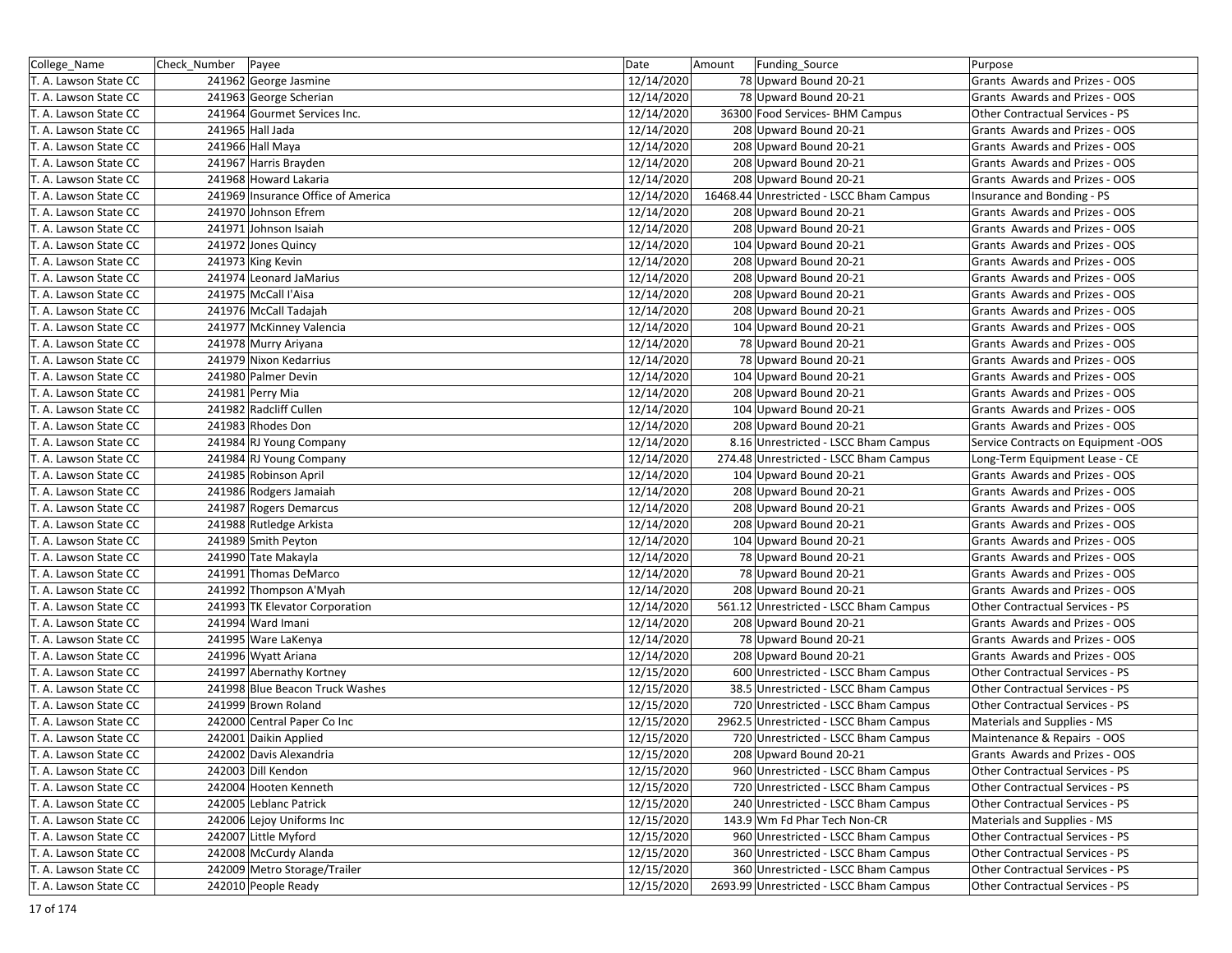| College_Name          | Check_Number Payee |                                    | Date       | Funding Source<br>Amount                 | Purpose                             |
|-----------------------|--------------------|------------------------------------|------------|------------------------------------------|-------------------------------------|
| T. A. Lawson State CC |                    | 241962 George Jasmine              | 12/14/2020 | 78 Upward Bound 20-21                    | Grants Awards and Prizes - OOS      |
| T. A. Lawson State CC |                    | 241963 George Scherian             | 12/14/2020 | 78 Upward Bound 20-21                    | Grants Awards and Prizes - OOS      |
| T. A. Lawson State CC |                    | 241964 Gourmet Services Inc.       | 12/14/2020 | 36300 Food Services- BHM Campus          | Other Contractual Services - PS     |
| T. A. Lawson State CC |                    | 241965 Hall Jada                   | 12/14/2020 | 208 Upward Bound 20-21                   | Grants Awards and Prizes - OOS      |
| T. A. Lawson State CC |                    | 241966 Hall Maya                   | 12/14/2020 | 208 Upward Bound 20-21                   | Grants Awards and Prizes - OOS      |
| T. A. Lawson State CC |                    | 241967 Harris Brayden              | 12/14/2020 | 208 Upward Bound 20-21                   | Grants Awards and Prizes - OOS      |
| T. A. Lawson State CC |                    | 241968 Howard Lakaria              | 12/14/2020 | 208 Upward Bound 20-21                   | Grants Awards and Prizes - OOS      |
| T. A. Lawson State CC |                    | 241969 Insurance Office of America | 12/14/2020 | 16468.44 Unrestricted - LSCC Bham Campus | Insurance and Bonding - PS          |
| T. A. Lawson State CC |                    | 241970 Johnson Efrem               | 12/14/2020 | 208 Upward Bound 20-21                   | Grants Awards and Prizes - OOS      |
| T. A. Lawson State CC |                    | 241971 Johnson Isaiah              | 12/14/2020 | 208 Upward Bound 20-21                   | Grants Awards and Prizes - OOS      |
| T. A. Lawson State CC |                    | 241972 Jones Quincy                | 12/14/2020 | 104 Upward Bound 20-21                   | Grants Awards and Prizes - OOS      |
| T. A. Lawson State CC |                    | 241973 King Kevin                  | 12/14/2020 | 208 Upward Bound 20-21                   | Grants Awards and Prizes - OOS      |
| T. A. Lawson State CC |                    | 241974 Leonard JaMarius            | 12/14/2020 | 208 Upward Bound 20-21                   | Grants Awards and Prizes - OOS      |
| T. A. Lawson State CC |                    | 241975 McCall l'Aisa               | 12/14/2020 | 208 Upward Bound 20-21                   | Grants Awards and Prizes - OOS      |
| T. A. Lawson State CC |                    | 241976 McCall Tadajah              | 12/14/2020 | 208 Upward Bound 20-21                   | Grants Awards and Prizes - OOS      |
| T. A. Lawson State CC |                    | 241977 McKinney Valencia           | 12/14/2020 | 104 Upward Bound 20-21                   | Grants Awards and Prizes - OOS      |
| T. A. Lawson State CC |                    | 241978 Murry Ariyana               | 12/14/2020 | 78 Upward Bound 20-21                    | Grants Awards and Prizes - OOS      |
| T. A. Lawson State CC |                    | 241979 Nixon Kedarrius             | 12/14/2020 | 78 Upward Bound 20-21                    | Grants Awards and Prizes - OOS      |
| T. A. Lawson State CC |                    | 241980 Palmer Devin                | 12/14/2020 | 104 Upward Bound 20-21                   | Grants Awards and Prizes - OOS      |
| T. A. Lawson State CC |                    | 241981 Perry Mia                   | 12/14/2020 | 208 Upward Bound 20-21                   | Grants Awards and Prizes - OOS      |
| T. A. Lawson State CC |                    | 241982 Radcliff Cullen             | 12/14/2020 | 104 Upward Bound 20-21                   | Grants Awards and Prizes - OOS      |
| T. A. Lawson State CC |                    | 241983 Rhodes Don                  | 12/14/2020 | 208 Upward Bound 20-21                   | Grants Awards and Prizes - OOS      |
| T. A. Lawson State CC |                    | 241984 RJ Young Company            | 12/14/2020 | 8.16 Unrestricted - LSCC Bham Campus     | Service Contracts on Equipment -OOS |
| T. A. Lawson State CC |                    | 241984 RJ Young Company            | 12/14/2020 | 274.48 Unrestricted - LSCC Bham Campus   | Long-Term Equipment Lease - CE      |
| T. A. Lawson State CC |                    | 241985 Robinson April              | 12/14/2020 | 104 Upward Bound 20-21                   | Grants Awards and Prizes - OOS      |
| T. A. Lawson State CC |                    | 241986 Rodgers Jamaiah             | 12/14/2020 | 208 Upward Bound 20-21                   | Grants Awards and Prizes - OOS      |
| T. A. Lawson State CC |                    | 241987 Rogers Demarcus             | 12/14/2020 | 208 Upward Bound 20-21                   | Grants Awards and Prizes - OOS      |
| T. A. Lawson State CC |                    | 241988 Rutledge Arkista            | 12/14/2020 | 208 Upward Bound 20-21                   | Grants Awards and Prizes - OOS      |
| T. A. Lawson State CC |                    | 241989 Smith Peyton                | 12/14/2020 | 104 Upward Bound 20-21                   | Grants Awards and Prizes - OOS      |
| T. A. Lawson State CC |                    | 241990 Tate Makayla                | 12/14/2020 | 78 Upward Bound 20-21                    | Grants Awards and Prizes - OOS      |
| T. A. Lawson State CC |                    | 241991 Thomas DeMarco              | 12/14/2020 | 78 Upward Bound 20-21                    | Grants Awards and Prizes - OOS      |
| T. A. Lawson State CC |                    | 241992 Thompson A'Myah             | 12/14/2020 | 208 Upward Bound 20-21                   | Grants Awards and Prizes - OOS      |
| T. A. Lawson State CC |                    | 241993 TK Elevator Corporation     | 12/14/2020 | 561.12 Unrestricted - LSCC Bham Campus   | Other Contractual Services - PS     |
| T. A. Lawson State CC |                    | 241994 Ward Imani                  | 12/14/2020 | 208 Upward Bound 20-21                   | Grants Awards and Prizes - OOS      |
| T. A. Lawson State CC |                    | 241995 Ware LaKenya                | 12/14/2020 | 78 Upward Bound 20-21                    | Grants Awards and Prizes - OOS      |
| T. A. Lawson State CC |                    | 241996 Wyatt Ariana                | 12/14/2020 | 208 Upward Bound 20-21                   | Grants Awards and Prizes - OOS      |
| T. A. Lawson State CC |                    | 241997 Abernathy Kortney           | 12/15/2020 | 600 Unrestricted - LSCC Bham Campus      | Other Contractual Services - PS     |
| T. A. Lawson State CC |                    | 241998 Blue Beacon Truck Washes    | 12/15/2020 | 38.5 Unrestricted - LSCC Bham Campus     | Other Contractual Services - PS     |
| T. A. Lawson State CC |                    | 241999 Brown Roland                | 12/15/2020 | 720 Unrestricted - LSCC Bham Campus      | Other Contractual Services - PS     |
| T. A. Lawson State CC |                    | 242000 Central Paper Co Inc        | 12/15/2020 | 2962.5 Unrestricted - LSCC Bham Campus   | Materials and Supplies - MS         |
| T. A. Lawson State CC |                    | 242001 Daikin Applied              | 12/15/2020 | 720 Unrestricted - LSCC Bham Campus      | Maintenance & Repairs - OOS         |
| T. A. Lawson State CC |                    | 242002 Davis Alexandria            | 12/15/2020 | 208 Upward Bound 20-21                   | Grants Awards and Prizes - OOS      |
| T. A. Lawson State CC |                    | 242003 Dill Kendon                 | 12/15/2020 | 960 Unrestricted - LSCC Bham Campus      | Other Contractual Services - PS     |
| T. A. Lawson State CC |                    | 242004 Hooten Kenneth              | 12/15/2020 | 720 Unrestricted - LSCC Bham Campus      | Other Contractual Services - PS     |
| T. A. Lawson State CC |                    | 242005 Leblanc Patrick             | 12/15/2020 | 240 Unrestricted - LSCC Bham Campus      | Other Contractual Services - PS     |
| T. A. Lawson State CC |                    | 242006 Lejoy Uniforms Inc          | 12/15/2020 | 143.9 Wm Fd Phar Tech Non-CR             | Materials and Supplies - MS         |
| T. A. Lawson State CC |                    | 242007 Little Myford               | 12/15/2020 | 960 Unrestricted - LSCC Bham Campus      | Other Contractual Services - PS     |
| T. A. Lawson State CC |                    | 242008 McCurdy Alanda              | 12/15/2020 | 360 Unrestricted - LSCC Bham Campus      | Other Contractual Services - PS     |
| T. A. Lawson State CC |                    | 242009 Metro Storage/Trailer       | 12/15/2020 | 360 Unrestricted - LSCC Bham Campus      | Other Contractual Services - PS     |
| T. A. Lawson State CC |                    | 242010 People Ready                | 12/15/2020 | 2693.99 Unrestricted - LSCC Bham Campus  | Other Contractual Services - PS     |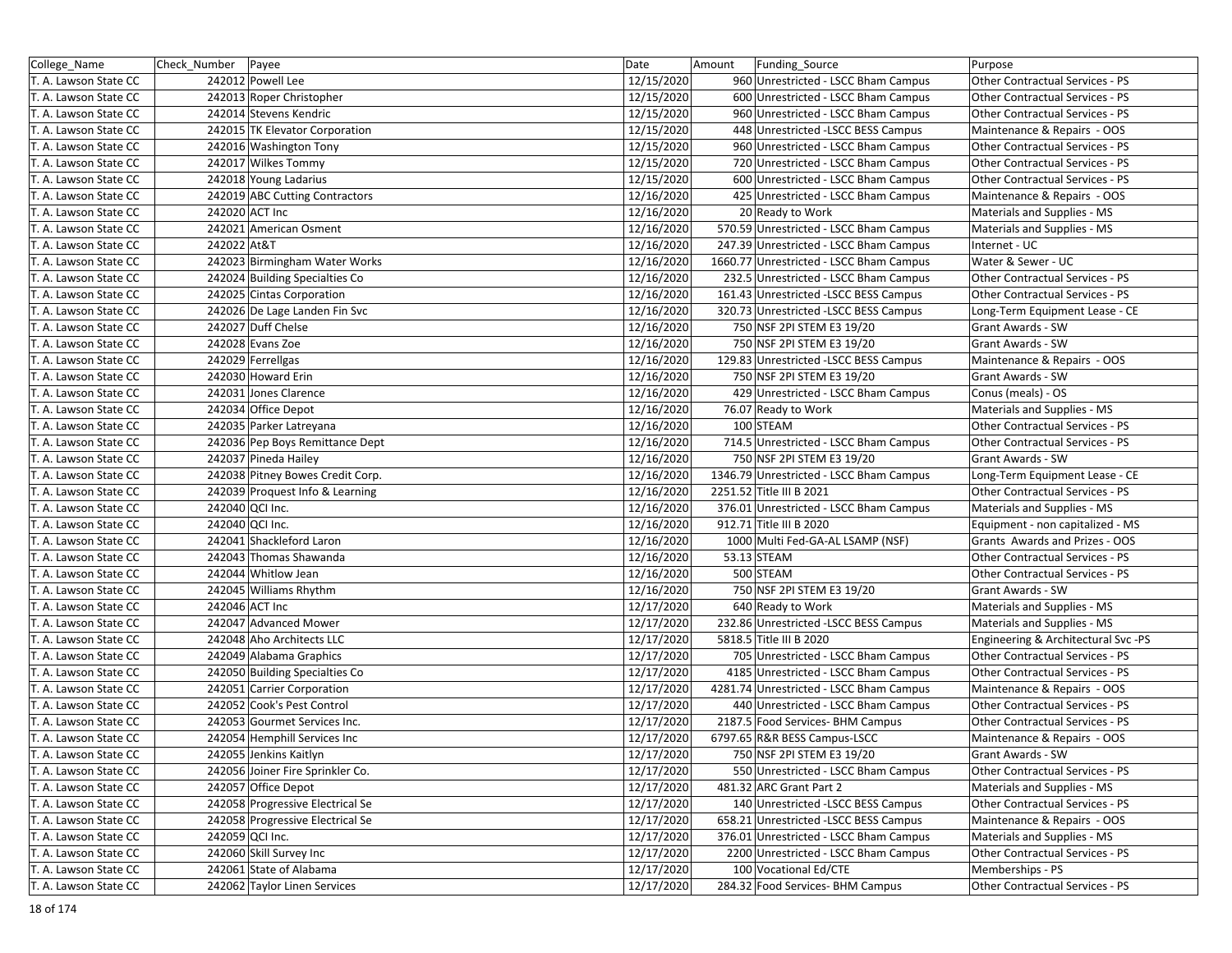| College_Name          | Check_Number   Payee |                                  | Date       | Amount<br>Funding_Source                | Purpose                             |
|-----------------------|----------------------|----------------------------------|------------|-----------------------------------------|-------------------------------------|
| T. A. Lawson State CC |                      | 242012 Powell Lee                | 12/15/2020 | 960 Unrestricted - LSCC Bham Campus     | Other Contractual Services - PS     |
| T. A. Lawson State CC |                      | 242013 Roper Christopher         | 12/15/2020 | 600 Unrestricted - LSCC Bham Campus     | Other Contractual Services - PS     |
| T. A. Lawson State CC |                      | 242014 Stevens Kendric           | 12/15/2020 | 960 Unrestricted - LSCC Bham Campus     | Other Contractual Services - PS     |
| T. A. Lawson State CC |                      | 242015 TK Elevator Corporation   | 12/15/2020 | 448 Unrestricted - LSCC BESS Campus     | Maintenance & Repairs - OOS         |
| T. A. Lawson State CC |                      | 242016 Washington Tony           | 12/15/2020 | 960 Unrestricted - LSCC Bham Campus     | Other Contractual Services - PS     |
| T. A. Lawson State CC |                      | 242017 Wilkes Tommy              | 12/15/2020 | 720 Unrestricted - LSCC Bham Campus     | Other Contractual Services - PS     |
| T. A. Lawson State CC |                      | 242018 Young Ladarius            | 12/15/2020 | 600 Unrestricted - LSCC Bham Campus     | Other Contractual Services - PS     |
| T. A. Lawson State CC |                      | 242019 ABC Cutting Contractors   | 12/16/2020 | 425 Unrestricted - LSCC Bham Campus     | Maintenance & Repairs - OOS         |
| T. A. Lawson State CC | 242020 ACT Inc       |                                  | 12/16/2020 | 20 Ready to Work                        | Materials and Supplies - MS         |
| T. A. Lawson State CC |                      | 242021 American Osment           | 12/16/2020 | 570.59 Unrestricted - LSCC Bham Campus  | Materials and Supplies - MS         |
| T. A. Lawson State CC | 242022 At&T          |                                  | 12/16/2020 | 247.39 Unrestricted - LSCC Bham Campus  | Internet - UC                       |
| T. A. Lawson State CC |                      | 242023 Birmingham Water Works    | 12/16/2020 | 1660.77 Unrestricted - LSCC Bham Campus | Water & Sewer - UC                  |
| T. A. Lawson State CC |                      | 242024 Building Specialties Co   | 12/16/2020 | 232.5 Unrestricted - LSCC Bham Campus   | Other Contractual Services - PS     |
| T. A. Lawson State CC |                      | 242025 Cintas Corporation        | 12/16/2020 | 161.43 Unrestricted -LSCC BESS Campus   | Other Contractual Services - PS     |
| T. A. Lawson State CC |                      | 242026 De Lage Landen Fin Svc    | 12/16/2020 | 320.73 Unrestricted -LSCC BESS Campus   | Long-Term Equipment Lease - CE      |
| T. A. Lawson State CC |                      | 242027 Duff Chelse               | 12/16/2020 | 750 NSF 2PI STEM E3 19/20               | Grant Awards - SW                   |
| T. A. Lawson State CC |                      | 242028 Evans Zoe                 | 12/16/2020 | 750 NSF 2PI STEM E3 19/20               | Grant Awards - SW                   |
| T. A. Lawson State CC |                      | 242029 Ferrellgas                | 12/16/2020 | 129.83 Unrestricted -LSCC BESS Campus   | Maintenance & Repairs - OOS         |
| T. A. Lawson State CC |                      | 242030 Howard Erin               | 12/16/2020 | 750 NSF 2PI STEM E3 19/20               | <b>Grant Awards - SW</b>            |
| T. A. Lawson State CC |                      | 242031 Jones Clarence            | 12/16/2020 | 429 Unrestricted - LSCC Bham Campus     | Conus (meals) - OS                  |
| T. A. Lawson State CC |                      | 242034 Office Depot              | 12/16/2020 | 76.07 Ready to Work                     | Materials and Supplies - MS         |
| T. A. Lawson State CC |                      | 242035 Parker Latreyana          | 12/16/2020 | 100 STEAM                               | Other Contractual Services - PS     |
| T. A. Lawson State CC |                      | 242036 Pep Boys Remittance Dept  | 12/16/2020 | 714.5 Unrestricted - LSCC Bham Campus   | Other Contractual Services - PS     |
| T. A. Lawson State CC |                      | 242037 Pineda Hailey             | 12/16/2020 | 750 NSF 2PI STEM E3 19/20               | Grant Awards - SW                   |
| T. A. Lawson State CC |                      | 242038 Pitney Bowes Credit Corp. | 12/16/2020 | 1346.79 Unrestricted - LSCC Bham Campus | Long-Term Equipment Lease - CE      |
| T. A. Lawson State CC |                      | 242039 Proquest Info & Learning  | 12/16/2020 | 2251.52 Title III B 2021                | Other Contractual Services - PS     |
| T. A. Lawson State CC | 242040 QCI Inc.      |                                  | 12/16/2020 | 376.01 Unrestricted - LSCC Bham Campus  | Materials and Supplies - MS         |
| T. A. Lawson State CC | 242040 QCI Inc.      |                                  | 12/16/2020 | 912.71 Title III B 2020                 | Equipment - non capitalized - MS    |
| T. A. Lawson State CC |                      | 242041 Shackleford Laron         | 12/16/2020 | 1000 Multi Fed-GA-AL LSAMP (NSF)        | Grants Awards and Prizes - OOS      |
| T. A. Lawson State CC |                      | 242043 Thomas Shawanda           | 12/16/2020 | 53.13 STEAM                             | Other Contractual Services - PS     |
| T. A. Lawson State CC |                      | 242044 Whitlow Jean              | 12/16/2020 | 500 STEAM                               | Other Contractual Services - PS     |
| T. A. Lawson State CC |                      | 242045 Williams Rhythm           | 12/16/2020 | 750 NSF 2PI STEM E3 19/20               | <b>Grant Awards - SW</b>            |
| T. A. Lawson State CC | 242046 ACT Inc       |                                  | 12/17/2020 | 640 Ready to Work                       | Materials and Supplies - MS         |
| T. A. Lawson State CC |                      | 242047 Advanced Mower            | 12/17/2020 | 232.86 Unrestricted -LSCC BESS Campus   | Materials and Supplies - MS         |
| T. A. Lawson State CC |                      | 242048 Aho Architects LLC        | 12/17/2020 | 5818.5 Title III B 2020                 | Engineering & Architectural Svc -PS |
| T. A. Lawson State CC |                      | 242049 Alabama Graphics          | 12/17/2020 | 705 Unrestricted - LSCC Bham Campus     | Other Contractual Services - PS     |
| T. A. Lawson State CC |                      | 242050 Building Specialties Co   | 12/17/2020 | 4185 Unrestricted - LSCC Bham Campus    | Other Contractual Services - PS     |
| T. A. Lawson State CC |                      | 242051 Carrier Corporation       | 12/17/2020 | 4281.74 Unrestricted - LSCC Bham Campus | Maintenance & Repairs - OOS         |
| T. A. Lawson State CC |                      | 242052 Cook's Pest Control       | 12/17/2020 | 440 Unrestricted - LSCC Bham Campus     | Other Contractual Services - PS     |
| T. A. Lawson State CC |                      | 242053 Gourmet Services Inc.     | 12/17/2020 | 2187.5 Food Services- BHM Campus        | Other Contractual Services - PS     |
| T. A. Lawson State CC |                      | 242054 Hemphill Services Inc     | 12/17/2020 | 6797.65 R&R BESS Campus-LSCC            | Maintenance & Repairs - OOS         |
| T. A. Lawson State CC |                      | 242055 Jenkins Kaitlyn           | 12/17/2020 | 750 NSF 2PI STEM E3 19/20               | Grant Awards - SW                   |
| T. A. Lawson State CC |                      | 242056 Joiner Fire Sprinkler Co. | 12/17/2020 | 550 Unrestricted - LSCC Bham Campus     | Other Contractual Services - PS     |
| T. A. Lawson State CC |                      | 242057 Office Depot              | 12/17/2020 | 481.32 ARC Grant Part 2                 | Materials and Supplies - MS         |
| T. A. Lawson State CC |                      | 242058 Progressive Electrical Se | 12/17/2020 | 140 Unrestricted - LSCC BESS Campus     | Other Contractual Services - PS     |
| T. A. Lawson State CC |                      | 242058 Progressive Electrical Se | 12/17/2020 | 658.21 Unrestricted -LSCC BESS Campus   | Maintenance & Repairs - OOS         |
| T. A. Lawson State CC | 242059 QCI Inc.      |                                  | 12/17/2020 | 376.01 Unrestricted - LSCC Bham Campus  | Materials and Supplies - MS         |
| T. A. Lawson State CC |                      | 242060 Skill Survey Inc          | 12/17/2020 | 2200 Unrestricted - LSCC Bham Campus    | Other Contractual Services - PS     |
| T. A. Lawson State CC |                      | 242061 State of Alabama          | 12/17/2020 | 100 Vocational Ed/CTE                   | Memberships - PS                    |
| T. A. Lawson State CC |                      | 242062 Taylor Linen Services     | 12/17/2020 | 284.32 Food Services- BHM Campus        | Other Contractual Services - PS     |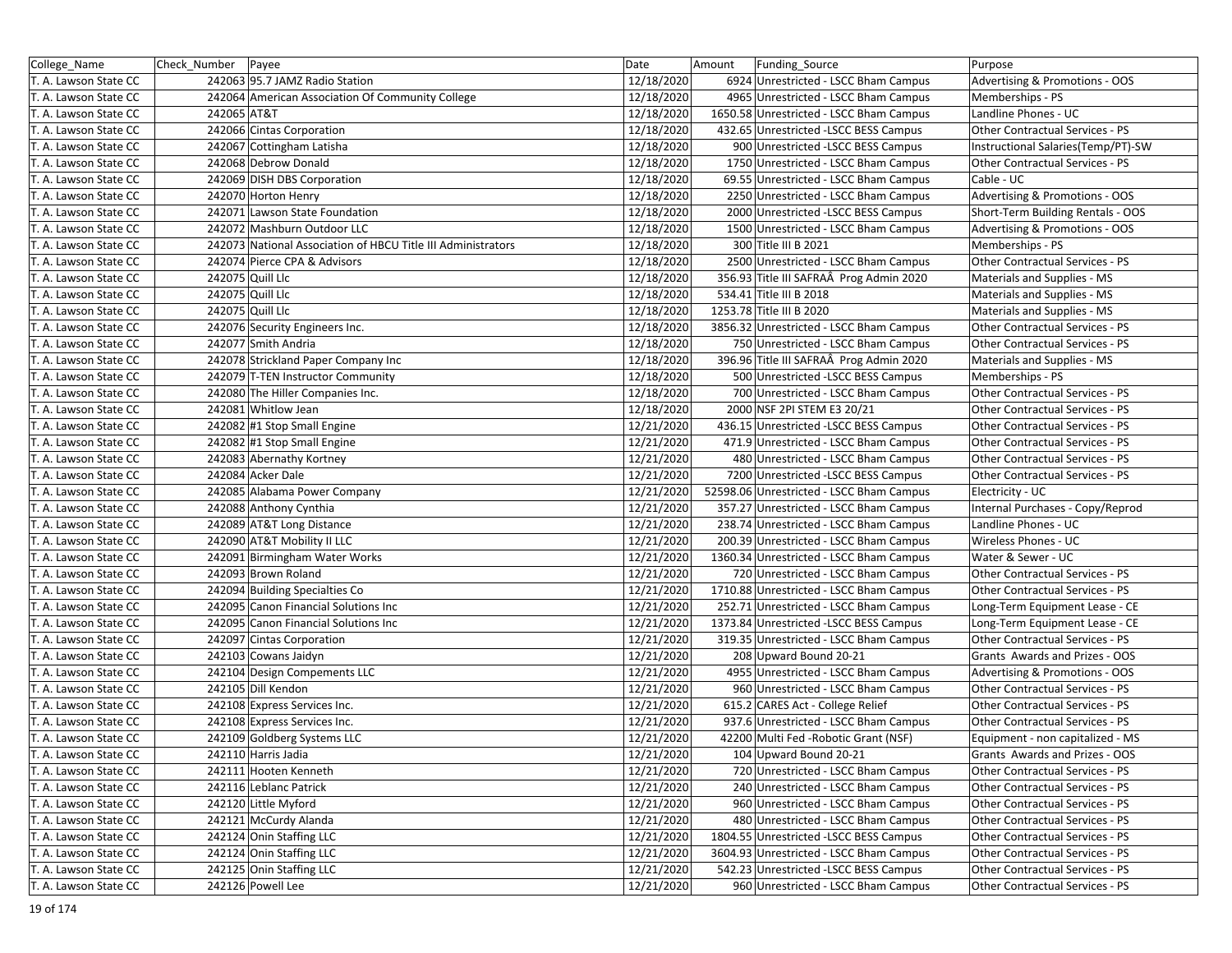| College_Name                                   | Check_Number   Payee              |                                                              | Date       | Amount<br>Funding_Source                                        | Purpose                            |
|------------------------------------------------|-----------------------------------|--------------------------------------------------------------|------------|-----------------------------------------------------------------|------------------------------------|
| T. A. Lawson State CC                          | 242063 95.7 JAMZ Radio Station    |                                                              | 12/18/2020 | 6924 Unrestricted - LSCC Bham Campus                            | Advertising & Promotions - OOS     |
| T. A. Lawson State CC                          |                                   | 242064 American Association Of Community College             | 12/18/2020 | 4965 Unrestricted - LSCC Bham Campus                            | Memberships - PS                   |
| T. A. Lawson State CC                          | 242065 AT&T                       |                                                              | 12/18/2020 | 1650.58 Unrestricted - LSCC Bham Campus                         | Landline Phones - UC               |
| T. A. Lawson State CC                          | 242066 Cintas Corporation         |                                                              | 12/18/2020 | 432.65 Unrestricted -LSCC BESS Campus                           | Other Contractual Services - PS    |
| T. A. Lawson State CC                          | 242067 Cottingham Latisha         |                                                              | 12/18/2020 | 900 Unrestricted -LSCC BESS Campus                              | Instructional Salaries(Temp/PT)-SW |
| T. A. Lawson State CC                          | 242068 Debrow Donald              |                                                              | 12/18/2020 | 1750 Unrestricted - LSCC Bham Campus                            | Other Contractual Services - PS    |
| T. A. Lawson State CC                          | 242069 DISH DBS Corporation       |                                                              | 12/18/2020 | 69.55 Unrestricted - LSCC Bham Campus                           | Cable - UC                         |
| T. A. Lawson State CC                          | 242070 Horton Henry               |                                                              | 12/18/2020 | 2250 Unrestricted - LSCC Bham Campus                            | Advertising & Promotions - OOS     |
| T. A. Lawson State CC                          | 242071 Lawson State Foundation    |                                                              | 12/18/2020 | 2000 Unrestricted -LSCC BESS Campus                             | Short-Term Building Rentals - OOS  |
| T. A. Lawson State CC                          | 242072 Mashburn Outdoor LLC       |                                                              | 12/18/2020 | 1500 Unrestricted - LSCC Bham Campus                            | Advertising & Promotions - OOS     |
| T. A. Lawson State CC                          |                                   | 242073 National Association of HBCU Title III Administrators | 12/18/2020 | 300 Title III B 2021                                            | Memberships - PS                   |
| T. A. Lawson State CC                          | 242074 Pierce CPA & Advisors      |                                                              | 12/18/2020 | 2500 Unrestricted - LSCC Bham Campus                            | Other Contractual Services - PS    |
| T. A. Lawson State CC                          | 242075 Quill Llc                  |                                                              | 12/18/2020 | 356.93 Title III SAFRAÂ Prog Admin 2020                         | Materials and Supplies - MS        |
| T. A. Lawson State CC                          | 242075 Quill Llc                  |                                                              | 12/18/2020 | 534.41 Title III B 2018                                         | Materials and Supplies - MS        |
| T. A. Lawson State CC                          | 242075 Quill Llc                  |                                                              | 12/18/2020 | 1253.78 Title III B 2020                                        | Materials and Supplies - MS        |
| T. A. Lawson State CC                          | 242076 Security Engineers Inc.    |                                                              | 12/18/2020 | 3856.32 Unrestricted - LSCC Bham Campus                         | Other Contractual Services - PS    |
| T. A. Lawson State CC                          | 242077 Smith Andria               |                                                              | 12/18/2020 | 750 Unrestricted - LSCC Bham Campus                             | Other Contractual Services - PS    |
| T. A. Lawson State CC                          |                                   | 242078 Strickland Paper Company Inc                          | 12/18/2020 | 396.96 Title III SAFRAÂ Prog Admin 2020                         | Materials and Supplies - MS        |
| T. A. Lawson State CC                          | 242079 T-TEN Instructor Community |                                                              | 12/18/2020 | 500 Unrestricted -LSCC BESS Campus                              | Memberships - PS                   |
| T. A. Lawson State CC                          | 242080 The Hiller Companies Inc.  |                                                              | 12/18/2020 | 700 Unrestricted - LSCC Bham Campus                             | Other Contractual Services - PS    |
| T. A. Lawson State CC                          | 242081 Whitlow Jean               |                                                              | 12/18/2020 | 2000 NSF 2PI STEM E3 20/21                                      | Other Contractual Services - PS    |
| T. A. Lawson State CC                          | 242082 #1 Stop Small Engine       |                                                              | 12/21/2020 | 436.15 Unrestricted -LSCC BESS Campus                           | Other Contractual Services - PS    |
| T. A. Lawson State CC                          | 242082 #1 Stop Small Engine       |                                                              | 12/21/2020 | 471.9 Unrestricted - LSCC Bham Campus                           | Other Contractual Services - PS    |
| T. A. Lawson State CC                          | 242083 Abernathy Kortney          |                                                              | 12/21/2020 | 480 Unrestricted - LSCC Bham Campus                             | Other Contractual Services - PS    |
| T. A. Lawson State CC                          | 242084 Acker Dale                 |                                                              | 12/21/2020 | 7200 Unrestricted -LSCC BESS Campus                             | Other Contractual Services - PS    |
| T. A. Lawson State CC                          | 242085 Alabama Power Company      |                                                              | 12/21/2020 | 52598.06 Unrestricted - LSCC Bham Campus                        | Electricity - UC                   |
| T. A. Lawson State CC                          | 242088 Anthony Cynthia            |                                                              | 12/21/2020 | 357.27 Unrestricted - LSCC Bham Campus                          | Internal Purchases - Copy/Reprod   |
| T. A. Lawson State CC                          | 242089 AT&T Long Distance         |                                                              | 12/21/2020 | 238.74 Unrestricted - LSCC Bham Campus                          | Landline Phones - UC               |
| T. A. Lawson State CC                          | 242090 AT&T Mobility II LLC       |                                                              | 12/21/2020 | 200.39 Unrestricted - LSCC Bham Campus                          | Wireless Phones - UC               |
| T. A. Lawson State CC                          | 242091 Birmingham Water Works     |                                                              | 12/21/2020 | 1360.34 Unrestricted - LSCC Bham Campus                         | Water & Sewer - UC                 |
| T. A. Lawson State CC                          | 242093 Brown Roland               |                                                              | 12/21/2020 | 720 Unrestricted - LSCC Bham Campus                             | Other Contractual Services - PS    |
| T. A. Lawson State CC                          | 242094 Building Specialties Co    |                                                              | 12/21/2020 | 1710.88 Unrestricted - LSCC Bham Campus                         | Other Contractual Services - PS    |
| T. A. Lawson State CC                          |                                   | 242095 Canon Financial Solutions Inc                         | 12/21/2020 | 252.71 Unrestricted - LSCC Bham Campus                          | Long-Term Equipment Lease - CE     |
| T. A. Lawson State CC                          |                                   | 242095 Canon Financial Solutions Inc                         | 12/21/2020 | 1373.84 Unrestricted - LSCC BESS Campus                         | Long-Term Equipment Lease - CE     |
| T. A. Lawson State CC                          | 242097 Cintas Corporation         |                                                              | 12/21/2020 | 319.35 Unrestricted - LSCC Bham Campus                          | Other Contractual Services - PS    |
| T. A. Lawson State CC                          | 242103 Cowans Jaidyn              |                                                              | 12/21/2020 | 208 Upward Bound 20-21                                          | Grants Awards and Prizes - OOS     |
| T. A. Lawson State CC                          | 242104 Design Compements LLC      |                                                              | 12/21/2020 | 4955 Unrestricted - LSCC Bham Campus                            | Advertising & Promotions - OOS     |
| T. A. Lawson State CC                          | 242105 Dill Kendon                |                                                              | 12/21/2020 | 960 Unrestricted - LSCC Bham Campus                             | Other Contractual Services - PS    |
| T. A. Lawson State CC                          | 242108 Express Services Inc.      |                                                              | 12/21/2020 | 615.2 CARES Act - College Relief                                | Other Contractual Services - PS    |
| T. A. Lawson State CC                          | 242108 Express Services Inc.      |                                                              | 12/21/2020 | 937.6 Unrestricted - LSCC Bham Campus                           | Other Contractual Services - PS    |
| T. A. Lawson State CC<br>T. A. Lawson State CC | 242109 Goldberg Systems LLC       |                                                              | 12/21/2020 | 42200 Multi Fed - Robotic Grant (NSF)<br>104 Upward Bound 20-21 | Equipment - non capitalized - MS   |
|                                                | 242110 Harris Jadia               |                                                              | 12/21/2020 |                                                                 | Grants Awards and Prizes - OOS     |
| T. A. Lawson State CC                          | 242111 Hooten Kenneth             |                                                              | 12/21/2020 | 720 Unrestricted - LSCC Bham Campus                             | Other Contractual Services - PS    |
| T. A. Lawson State CC                          | 242116 Leblanc Patrick            |                                                              | 12/21/2020 | 240 Unrestricted - LSCC Bham Campus                             | Other Contractual Services - PS    |
| T. A. Lawson State CC                          | 242120 Little Myford              |                                                              | 12/21/2020 | 960 Unrestricted - LSCC Bham Campus                             | Other Contractual Services - PS    |
| T. A. Lawson State CC                          | 242121 McCurdy Alanda             |                                                              | 12/21/2020 | 480 Unrestricted - LSCC Bham Campus                             | Other Contractual Services - PS    |
| T. A. Lawson State CC                          | 242124 Onin Staffing LLC          |                                                              | 12/21/2020 | 1804.55 Unrestricted -LSCC BESS Campus                          | Other Contractual Services - PS    |
| T. A. Lawson State CC                          | 242124 Onin Staffing LLC          |                                                              | 12/21/2020 | 3604.93 Unrestricted - LSCC Bham Campus                         | Other Contractual Services - PS    |
| T. A. Lawson State CC                          | 242125 Onin Staffing LLC          |                                                              | 12/21/2020 | 542.23 Unrestricted -LSCC BESS Campus                           | Other Contractual Services - PS    |
| T. A. Lawson State CC                          | 242126 Powell Lee                 |                                                              | 12/21/2020 | 960 Unrestricted - LSCC Bham Campus                             | Other Contractual Services - PS    |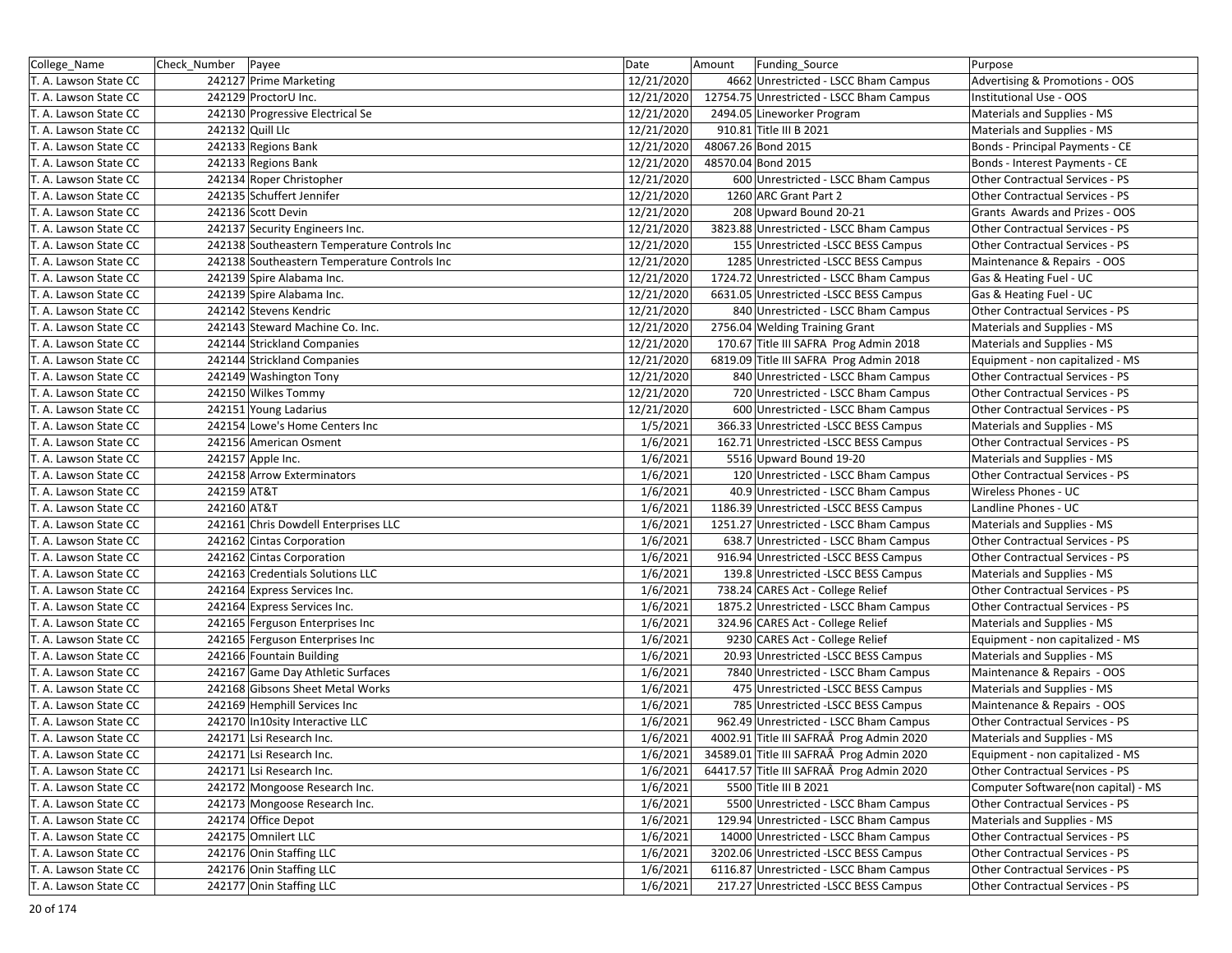| College Name          | Check_Number   Payee |                                              | Date       | Funding_Source<br>Amount                  | Purpose                             |
|-----------------------|----------------------|----------------------------------------------|------------|-------------------------------------------|-------------------------------------|
| T. A. Lawson State CC |                      | 242127 Prime Marketing                       | 12/21/2020 | 4662 Unrestricted - LSCC Bham Campus      | Advertising & Promotions - OOS      |
| T. A. Lawson State CC |                      | 242129 ProctorU Inc.                         | 12/21/2020 | 12754.75 Unrestricted - LSCC Bham Campus  | Institutional Use - OOS             |
| T. A. Lawson State CC |                      | 242130 Progressive Electrical Se             | 12/21/2020 | 2494.05 Lineworker Program                | Materials and Supplies - MS         |
| T. A. Lawson State CC |                      | 242132 Quill Llc                             | 12/21/2020 | 910.81 Title III B 2021                   | Materials and Supplies - MS         |
| T. A. Lawson State CC |                      | 242133 Regions Bank                          | 12/21/2020 | 48067.26 Bond 2015                        | Bonds - Principal Payments - CE     |
| T. A. Lawson State CC |                      | 242133 Regions Bank                          | 12/21/2020 | 48570.04 Bond 2015                        | Bonds - Interest Payments - CE      |
| T. A. Lawson State CC |                      | 242134 Roper Christopher                     | 12/21/2020 | 600 Unrestricted - LSCC Bham Campus       | Other Contractual Services - PS     |
| T. A. Lawson State CC |                      | 242135 Schuffert Jennifer                    | 12/21/2020 | 1260 ARC Grant Part 2                     | Other Contractual Services - PS     |
| T. A. Lawson State CC |                      | 242136 Scott Devin                           | 12/21/2020 | 208 Upward Bound 20-21                    | Grants Awards and Prizes - OOS      |
| T. A. Lawson State CC |                      | 242137 Security Engineers Inc.               | 12/21/2020 | 3823.88 Unrestricted - LSCC Bham Campus   | Other Contractual Services - PS     |
| T. A. Lawson State CC |                      | 242138 Southeastern Temperature Controls Inc | 12/21/2020 | 155 Unrestricted - LSCC BESS Campus       | Other Contractual Services - PS     |
| T. A. Lawson State CC |                      | 242138 Southeastern Temperature Controls Inc | 12/21/2020 | 1285 Unrestricted -LSCC BESS Campus       | Maintenance & Repairs - OOS         |
| T. A. Lawson State CC |                      | 242139 Spire Alabama Inc.                    | 12/21/2020 | 1724.72 Unrestricted - LSCC Bham Campus   | Gas & Heating Fuel - UC             |
| T. A. Lawson State CC |                      | 242139 Spire Alabama Inc.                    | 12/21/2020 | 6631.05 Unrestricted -LSCC BESS Campus    | Gas & Heating Fuel - UC             |
| T. A. Lawson State CC |                      | 242142 Stevens Kendric                       | 12/21/2020 | 840 Unrestricted - LSCC Bham Campus       | Other Contractual Services - PS     |
| T. A. Lawson State CC |                      | 242143 Steward Machine Co. Inc.              | 12/21/2020 | 2756.04 Welding Training Grant            | Materials and Supplies - MS         |
| T. A. Lawson State CC |                      | 242144 Strickland Companies                  | 12/21/2020 | 170.67 Title III SAFRA Prog Admin 2018    | Materials and Supplies - MS         |
| T. A. Lawson State CC |                      | 242144 Strickland Companies                  | 12/21/2020 | 6819.09 Title III SAFRA Prog Admin 2018   | Equipment - non capitalized - MS    |
| T. A. Lawson State CC |                      | 242149 Washington Tony                       | 12/21/2020 | 840 Unrestricted - LSCC Bham Campus       | Other Contractual Services - PS     |
| T. A. Lawson State CC |                      | 242150 Wilkes Tommy                          | 12/21/2020 | 720 Unrestricted - LSCC Bham Campus       | Other Contractual Services - PS     |
| T. A. Lawson State CC |                      | 242151 Young Ladarius                        | 12/21/2020 | 600 Unrestricted - LSCC Bham Campus       | Other Contractual Services - PS     |
| T. A. Lawson State CC |                      | 242154 Lowe's Home Centers Inc               | 1/5/2021   | 366.33 Unrestricted -LSCC BESS Campus     | Materials and Supplies - MS         |
| T. A. Lawson State CC |                      | 242156 American Osment                       | 1/6/2021   | 162.71 Unrestricted -LSCC BESS Campus     | Other Contractual Services - PS     |
| T. A. Lawson State CC |                      | 242157 Apple Inc.                            | 1/6/2021   | 5516 Upward Bound 19-20                   | Materials and Supplies - MS         |
| T. A. Lawson State CC |                      | 242158 Arrow Exterminators                   | 1/6/2021   | 120 Unrestricted - LSCC Bham Campus       | Other Contractual Services - PS     |
| T. A. Lawson State CC | 242159 AT&T          |                                              | 1/6/2021   | 40.9 Unrestricted - LSCC Bham Campus      | Wireless Phones - UC                |
| T. A. Lawson State CC | 242160 AT&T          |                                              | 1/6/2021   | 1186.39 Unrestricted -LSCC BESS Campus    | Landline Phones - UC                |
| T. A. Lawson State CC |                      | 242161 Chris Dowdell Enterprises LLC         | 1/6/2021   | 1251.27 Unrestricted - LSCC Bham Campus   | Materials and Supplies - MS         |
| T. A. Lawson State CC |                      | 242162 Cintas Corporation                    | 1/6/2021   | 638.7 Unrestricted - LSCC Bham Campus     | Other Contractual Services - PS     |
| T. A. Lawson State CC |                      | 242162 Cintas Corporation                    | 1/6/2021   | 916.94 Unrestricted -LSCC BESS Campus     | Other Contractual Services - PS     |
| T. A. Lawson State CC |                      | 242163 Credentials Solutions LLC             | 1/6/2021   | 139.8 Unrestricted - LSCC BESS Campus     | Materials and Supplies - MS         |
| T. A. Lawson State CC |                      | 242164 Express Services Inc.                 | 1/6/2021   | 738.24 CARES Act - College Relief         | Other Contractual Services - PS     |
| T. A. Lawson State CC |                      | 242164 Express Services Inc.                 | 1/6/2021   | 1875.2 Unrestricted - LSCC Bham Campus    | Other Contractual Services - PS     |
| T. A. Lawson State CC |                      | 242165 Ferguson Enterprises Inc              | 1/6/2021   | 324.96 CARES Act - College Relief         | Materials and Supplies - MS         |
| T. A. Lawson State CC |                      | 242165 Ferguson Enterprises Inc              | 1/6/2021   | 9230 CARES Act - College Relief           | Equipment - non capitalized - MS    |
| T. A. Lawson State CC |                      | 242166 Fountain Building                     | 1/6/2021   | 20.93 Unrestricted -LSCC BESS Campus      | Materials and Supplies - MS         |
| T. A. Lawson State CC |                      | 242167 Game Day Athletic Surfaces            | 1/6/2021   | 7840 Unrestricted - LSCC Bham Campus      | Maintenance & Repairs - OOS         |
| T. A. Lawson State CC |                      | 242168 Gibsons Sheet Metal Works             | 1/6/2021   | 475 Unrestricted - LSCC BESS Campus       | Materials and Supplies - MS         |
| T. A. Lawson State CC |                      | 242169 Hemphill Services Inc                 | 1/6/2021   | 785 Unrestricted - LSCC BESS Campus       | Maintenance & Repairs - OOS         |
| T. A. Lawson State CC |                      | 242170 In10sity Interactive LLC              | 1/6/2021   | 962.49 Unrestricted - LSCC Bham Campus    | Other Contractual Services - PS     |
| T. A. Lawson State CC |                      | 242171 Lsi Research Inc.                     | 1/6/2021   | 4002.91 Title III SAFRAÂ Prog Admin 2020  | Materials and Supplies - MS         |
| T. A. Lawson State CC |                      | 242171 Lsi Research Inc.                     | 1/6/2021   | 34589.01 Title III SAFRAÂ Prog Admin 2020 | Equipment - non capitalized - MS    |
| T. A. Lawson State CC |                      | 242171 Lsi Research Inc.                     | 1/6/2021   | 64417.57 Title III SAFRAÂ Prog Admin 2020 | Other Contractual Services - PS     |
| T. A. Lawson State CC |                      | 242172 Mongoose Research Inc.                | 1/6/2021   | 5500 Title III B 2021                     | Computer Software(non capital) - MS |
| T. A. Lawson State CC |                      | 242173 Mongoose Research Inc.                | 1/6/2021   | 5500 Unrestricted - LSCC Bham Campus      | Other Contractual Services - PS     |
| T. A. Lawson State CC |                      | 242174 Office Depot                          | 1/6/2021   | 129.94 Unrestricted - LSCC Bham Campus    | Materials and Supplies - MS         |
| T. A. Lawson State CC |                      | 242175 Omnilert LLC                          | 1/6/2021   | 14000 Unrestricted - LSCC Bham Campus     | Other Contractual Services - PS     |
| T. A. Lawson State CC |                      | 242176 Onin Staffing LLC                     | 1/6/2021   | 3202.06 Unrestricted -LSCC BESS Campus    | Other Contractual Services - PS     |
| T. A. Lawson State CC |                      | 242176 Onin Staffing LLC                     | 1/6/2021   | 6116.87 Unrestricted - LSCC Bham Campus   | Other Contractual Services - PS     |
| T. A. Lawson State CC |                      | 242177 Onin Staffing LLC                     | 1/6/2021   | 217.27 Unrestricted -LSCC BESS Campus     | Other Contractual Services - PS     |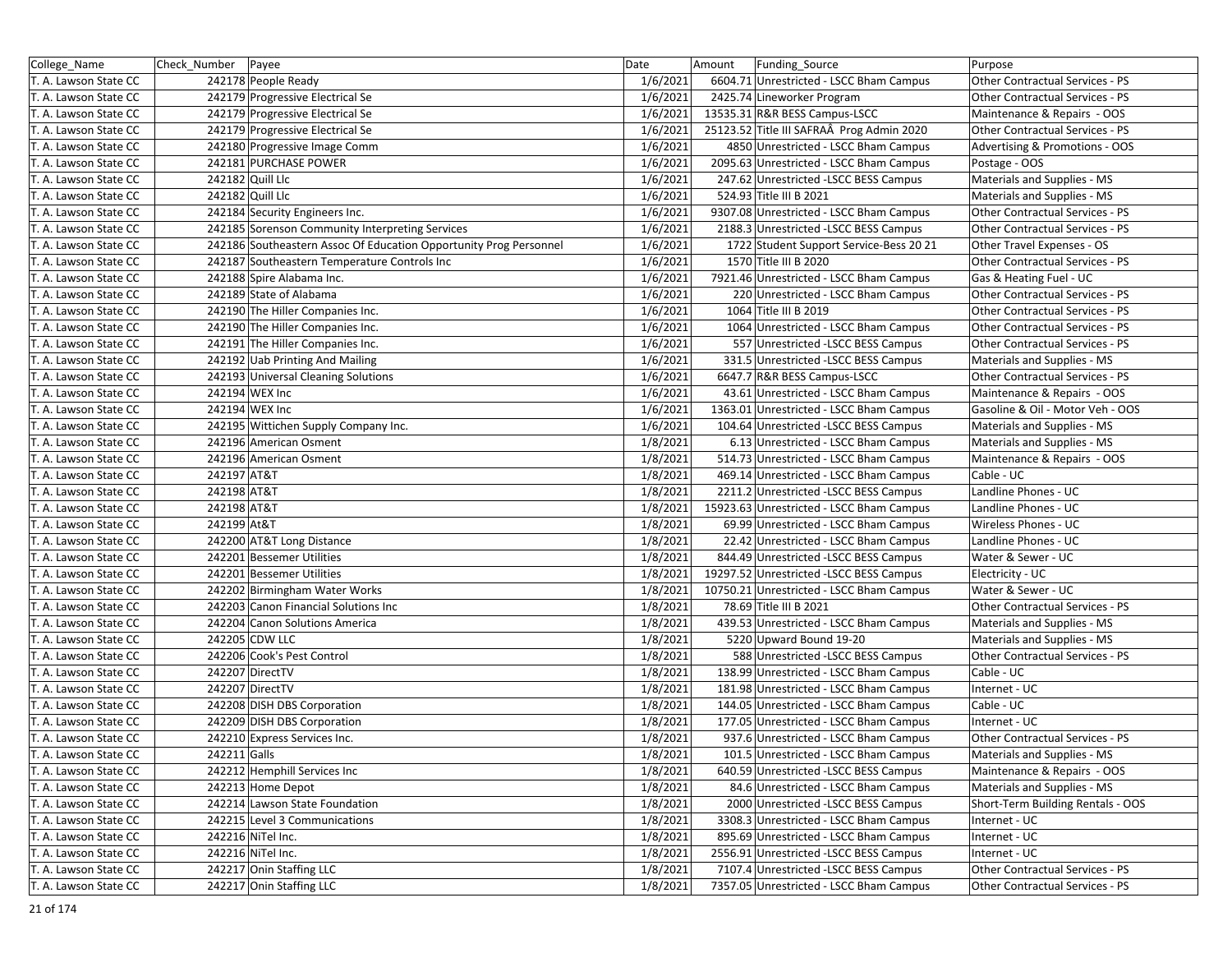| College_Name          | Check Number | Payee                                                             | Date     | Amount | <b>Funding Source</b>                     | Purpose                           |
|-----------------------|--------------|-------------------------------------------------------------------|----------|--------|-------------------------------------------|-----------------------------------|
| T. A. Lawson State CC |              | 242178 People Ready                                               | 1/6/2021 |        | 6604.71 Unrestricted - LSCC Bham Campus   | Other Contractual Services - PS   |
| T. A. Lawson State CC |              | 242179 Progressive Electrical Se                                  | 1/6/2021 |        | 2425.74 Lineworker Program                | Other Contractual Services - PS   |
| T. A. Lawson State CC |              | 242179 Progressive Electrical Se                                  | 1/6/2021 |        | 13535.31 R&R BESS Campus-LSCC             | Maintenance & Repairs - OOS       |
| T. A. Lawson State CC |              | 242179 Progressive Electrical Se                                  | 1/6/2021 |        | 25123.52 Title III SAFRAÂ Prog Admin 2020 | Other Contractual Services - PS   |
| T. A. Lawson State CC |              | 242180 Progressive Image Comm                                     | 1/6/2021 |        | 4850 Unrestricted - LSCC Bham Campus      | Advertising & Promotions - OOS    |
| T. A. Lawson State CC |              | 242181 PURCHASE POWER                                             | 1/6/2021 |        | 2095.63 Unrestricted - LSCC Bham Campus   | Postage - OOS                     |
| T. A. Lawson State CC |              | 242182 Quill Llc                                                  | 1/6/2021 |        | 247.62 Unrestricted -LSCC BESS Campus     | Materials and Supplies - MS       |
| T. A. Lawson State CC |              | 242182 Quill Llc                                                  | 1/6/2021 |        | 524.93 Title III B 2021                   | Materials and Supplies - MS       |
| T. A. Lawson State CC |              | 242184 Security Engineers Inc.                                    | 1/6/2021 |        | 9307.08 Unrestricted - LSCC Bham Campus   | Other Contractual Services - PS   |
| T. A. Lawson State CC |              | 242185 Sorenson Community Interpreting Services                   | 1/6/2021 |        | 2188.3 Unrestricted -LSCC BESS Campus     | Other Contractual Services - PS   |
| T. A. Lawson State CC |              | 242186 Southeastern Assoc Of Education Opportunity Prog Personnel | 1/6/2021 |        | 1722 Student Support Service-Bess 20 21   | Other Travel Expenses - OS        |
| T. A. Lawson State CC |              | 242187 Southeastern Temperature Controls Inc                      | 1/6/2021 |        | 1570 Title III B 2020                     | Other Contractual Services - PS   |
| T. A. Lawson State CC |              | 242188 Spire Alabama Inc.                                         | 1/6/2021 |        | 7921.46 Unrestricted - LSCC Bham Campus   | Gas & Heating Fuel - UC           |
| T. A. Lawson State CC |              | 242189 State of Alabama                                           | 1/6/2021 |        | 220 Unrestricted - LSCC Bham Campus       | Other Contractual Services - PS   |
| T. A. Lawson State CC |              | 242190 The Hiller Companies Inc.                                  | 1/6/2021 |        | 1064 Title III B 2019                     | Other Contractual Services - PS   |
| T. A. Lawson State CC |              | 242190 The Hiller Companies Inc.                                  | 1/6/2021 |        | 1064 Unrestricted - LSCC Bham Campus      | Other Contractual Services - PS   |
| T. A. Lawson State CC |              | 242191 The Hiller Companies Inc.                                  | 1/6/2021 |        | 557 Unrestricted - LSCC BESS Campus       | Other Contractual Services - PS   |
| T. A. Lawson State CC |              | 242192 Uab Printing And Mailing                                   | 1/6/2021 |        | 331.5 Unrestricted -LSCC BESS Campus      | Materials and Supplies - MS       |
| T. A. Lawson State CC |              | 242193 Universal Cleaning Solutions                               | 1/6/2021 |        | 6647.7 R&R BESS Campus-LSCC               | Other Contractual Services - PS   |
| T. A. Lawson State CC |              | 242194 WEX Inc                                                    | 1/6/2021 |        | 43.61 Unrestricted - LSCC Bham Campus     | Maintenance & Repairs - OOS       |
| T. A. Lawson State CC |              | 242194 WEX Inc                                                    | 1/6/2021 |        | 1363.01 Unrestricted - LSCC Bham Campus   | Gasoline & Oil - Motor Veh - OOS  |
| T. A. Lawson State CC |              | 242195 Wittichen Supply Company Inc.                              | 1/6/2021 |        | 104.64 Unrestricted -LSCC BESS Campus     | Materials and Supplies - MS       |
| T. A. Lawson State CC |              | 242196 American Osment                                            | 1/8/2021 |        | 6.13 Unrestricted - LSCC Bham Campus      | Materials and Supplies - MS       |
| T. A. Lawson State CC |              | 242196 American Osment                                            | 1/8/2021 |        | 514.73 Unrestricted - LSCC Bham Campus    | Maintenance & Repairs - OOS       |
| T. A. Lawson State CC | 242197 AT&T  |                                                                   | 1/8/2021 |        | 469.14 Unrestricted - LSCC Bham Campus    | Cable - UC                        |
| T. A. Lawson State CC | 242198 AT&T  |                                                                   | 1/8/2021 |        | 2211.2 Unrestricted -LSCC BESS Campus     | Landline Phones - UC              |
| T. A. Lawson State CC | 242198 AT&T  |                                                                   | 1/8/2021 |        | 15923.63 Unrestricted - LSCC Bham Campus  | Landline Phones - UC              |
| T. A. Lawson State CC | 242199 At&T  |                                                                   | 1/8/2021 |        | 69.99 Unrestricted - LSCC Bham Campus     | Wireless Phones - UC              |
| T. A. Lawson State CC |              | 242200 AT&T Long Distance                                         | 1/8/2021 |        | 22.42 Unrestricted - LSCC Bham Campus     | Landline Phones - UC              |
| T. A. Lawson State CC |              | 242201 Bessemer Utilities                                         | 1/8/2021 |        | 844.49 Unrestricted -LSCC BESS Campus     | Water & Sewer - UC                |
| T. A. Lawson State CC |              | 242201 Bessemer Utilities                                         | 1/8/2021 |        | 19297.52 Unrestricted -LSCC BESS Campus   | Electricity - UC                  |
| T. A. Lawson State CC |              | 242202 Birmingham Water Works                                     | 1/8/2021 |        | 10750.21 Unrestricted - LSCC Bham Campus  | Water & Sewer - UC                |
| T. A. Lawson State CC |              | 242203 Canon Financial Solutions Inc                              | 1/8/2021 |        | 78.69 Title III B 2021                    | Other Contractual Services - PS   |
| T. A. Lawson State CC |              | 242204 Canon Solutions America                                    | 1/8/2021 |        | 439.53 Unrestricted - LSCC Bham Campus    | Materials and Supplies - MS       |
| T. A. Lawson State CC |              | 242205 CDW LLC                                                    | 1/8/2021 |        | 5220 Upward Bound 19-20                   | Materials and Supplies - MS       |
| T. A. Lawson State CC |              | 242206 Cook's Pest Control                                        | 1/8/2021 |        | 588 Unrestricted -LSCC BESS Campus        | Other Contractual Services - PS   |
| T. A. Lawson State CC |              | 242207 DirectTV                                                   | 1/8/2021 |        | 138.99 Unrestricted - LSCC Bham Campus    | Cable - UC                        |
| T. A. Lawson State CC |              | 242207 DirectTV                                                   | 1/8/2021 |        | 181.98 Unrestricted - LSCC Bham Campus    | Internet - UC                     |
| T. A. Lawson State CC |              | 242208 DISH DBS Corporation                                       | 1/8/2021 |        | 144.05 Unrestricted - LSCC Bham Campus    | Cable - UC                        |
| T. A. Lawson State CC |              | 242209 DISH DBS Corporation                                       | 1/8/2021 |        | 177.05 Unrestricted - LSCC Bham Campus    | Internet - UC                     |
| T. A. Lawson State CC |              | 242210 Express Services Inc.                                      | 1/8/2021 |        | 937.6 Unrestricted - LSCC Bham Campus     | Other Contractual Services - PS   |
| T. A. Lawson State CC | 242211 Galls |                                                                   | 1/8/2021 |        | 101.5 Unrestricted - LSCC Bham Campus     | Materials and Supplies - MS       |
| T. A. Lawson State CC |              | 242212 Hemphill Services Inc                                      | 1/8/2021 |        | 640.59 Unrestricted -LSCC BESS Campus     | Maintenance & Repairs - OOS       |
| T. A. Lawson State CC |              | 242213 Home Depot                                                 | 1/8/2021 |        | 84.6 Unrestricted - LSCC Bham Campus      | Materials and Supplies - MS       |
| T. A. Lawson State CC |              | 242214 Lawson State Foundation                                    | 1/8/2021 |        | 2000 Unrestricted -LSCC BESS Campus       | Short-Term Building Rentals - OOS |
| T. A. Lawson State CC |              | 242215 Level 3 Communications                                     | 1/8/2021 |        | 3308.3 Unrestricted - LSCC Bham Campus    | Internet - UC                     |
| T. A. Lawson State CC |              | 242216 NiTel Inc.                                                 | 1/8/2021 |        | 895.69 Unrestricted - LSCC Bham Campus    | Internet - UC                     |
| T. A. Lawson State CC |              | 242216 NiTel Inc.                                                 | 1/8/2021 |        | 2556.91 Unrestricted -LSCC BESS Campus    | Internet - UC                     |
| T. A. Lawson State CC |              | 242217 Onin Staffing LLC                                          | 1/8/2021 |        | 7107.4 Unrestricted -LSCC BESS Campus     | Other Contractual Services - PS   |
| T. A. Lawson State CC |              | 242217 Onin Staffing LLC                                          | 1/8/2021 |        | 7357.05 Unrestricted - LSCC Bham Campus   | Other Contractual Services - PS   |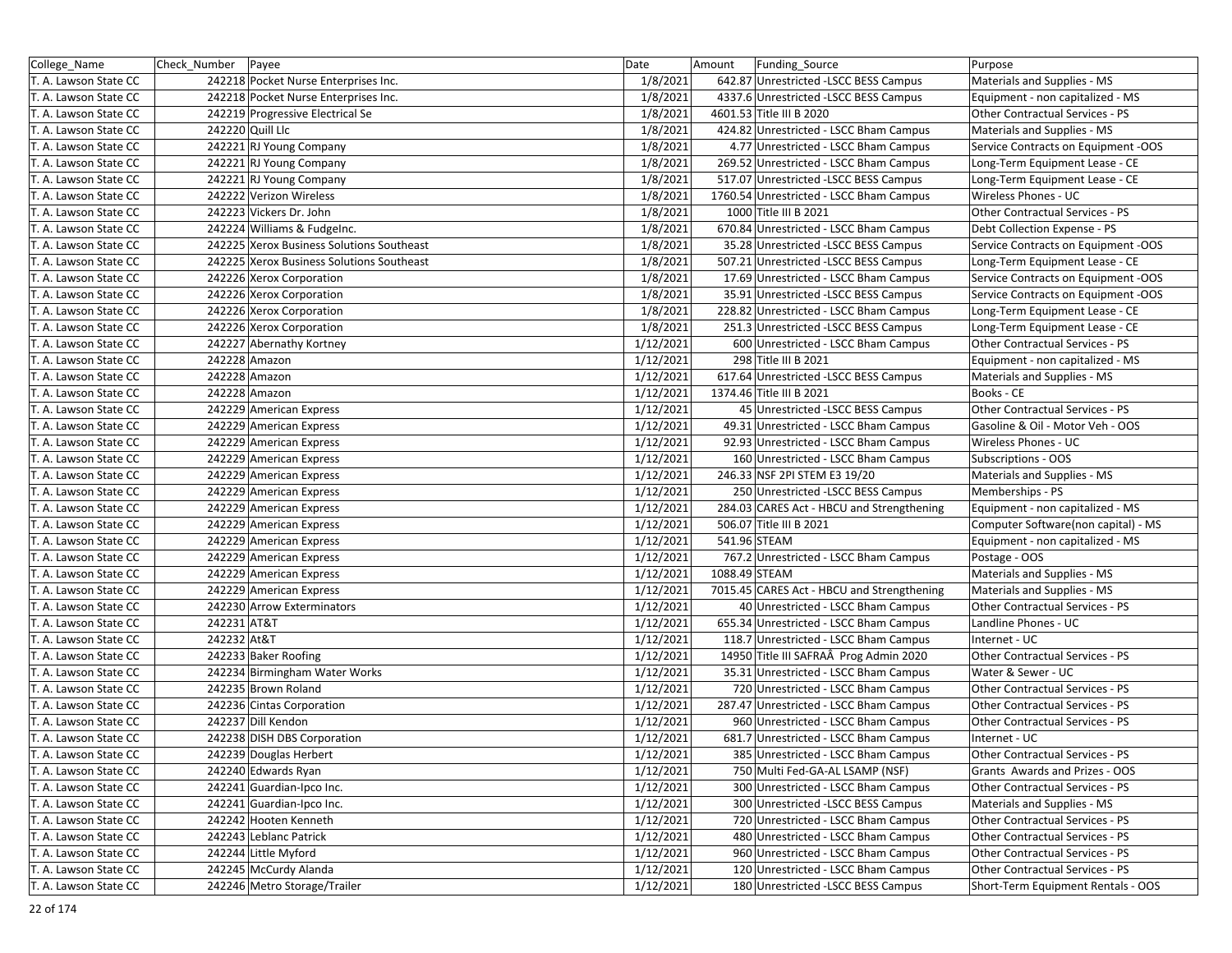| College_Name          | Check Number Payee |                                           | Date      | Amount        | Funding_Source                             | Purpose                             |
|-----------------------|--------------------|-------------------------------------------|-----------|---------------|--------------------------------------------|-------------------------------------|
| T. A. Lawson State CC |                    | 242218 Pocket Nurse Enterprises Inc.      | 1/8/2021  |               | 642.87 Unrestricted -LSCC BESS Campus      | Materials and Supplies - MS         |
| T. A. Lawson State CC |                    | 242218 Pocket Nurse Enterprises Inc.      | 1/8/2021  |               | 4337.6 Unrestricted -LSCC BESS Campus      | Equipment - non capitalized - MS    |
| T. A. Lawson State CC |                    | 242219 Progressive Electrical Se          | 1/8/2021  |               | 4601.53 Title III B 2020                   | Other Contractual Services - PS     |
| T. A. Lawson State CC |                    | 242220 Quill Llc                          | 1/8/2021  |               | 424.82 Unrestricted - LSCC Bham Campus     | Materials and Supplies - MS         |
| T. A. Lawson State CC |                    | 242221 RJ Young Company                   | 1/8/2021  |               | 4.77 Unrestricted - LSCC Bham Campus       | Service Contracts on Equipment -OOS |
| T. A. Lawson State CC |                    | 242221 RJ Young Company                   | 1/8/2021  |               | 269.52 Unrestricted - LSCC Bham Campus     | Long-Term Equipment Lease - CE      |
| T. A. Lawson State CC |                    | 242221 RJ Young Company                   | 1/8/2021  |               | 517.07 Unrestricted -LSCC BESS Campus      | Long-Term Equipment Lease - CE      |
| T. A. Lawson State CC |                    | 242222 Verizon Wireless                   | 1/8/2021  |               | 1760.54 Unrestricted - LSCC Bham Campus    | Wireless Phones - UC                |
| T. A. Lawson State CC |                    | 242223 Vickers Dr. John                   | 1/8/2021  |               | 1000 Title III B 2021                      | Other Contractual Services - PS     |
| T. A. Lawson State CC |                    | 242224 Williams & Fudgelnc.               | 1/8/2021  |               | 670.84 Unrestricted - LSCC Bham Campus     | Debt Collection Expense - PS        |
| T. A. Lawson State CC |                    | 242225 Xerox Business Solutions Southeast | 1/8/2021  |               | 35.28 Unrestricted -LSCC BESS Campus       | Service Contracts on Equipment -OOS |
| T. A. Lawson State CC |                    | 242225 Xerox Business Solutions Southeast | 1/8/2021  |               | 507.21 Unrestricted -LSCC BESS Campus      | Long-Term Equipment Lease - CE      |
| T. A. Lawson State CC |                    | 242226 Xerox Corporation                  | 1/8/2021  |               | 17.69 Unrestricted - LSCC Bham Campus      | Service Contracts on Equipment -OOS |
| T. A. Lawson State CC |                    | 242226 Xerox Corporation                  | 1/8/2021  |               | 35.91 Unrestricted -LSCC BESS Campus       | Service Contracts on Equipment -OOS |
| T. A. Lawson State CC |                    | 242226 Xerox Corporation                  | 1/8/2021  |               | 228.82 Unrestricted - LSCC Bham Campus     | Long-Term Equipment Lease - CE      |
| T. A. Lawson State CC |                    | 242226 Xerox Corporation                  | 1/8/2021  |               | 251.3 Unrestricted -LSCC BESS Campus       | Long-Term Equipment Lease - CE      |
| T. A. Lawson State CC |                    | 242227 Abernathy Kortney                  | 1/12/2021 |               | 600 Unrestricted - LSCC Bham Campus        | Other Contractual Services - PS     |
| T. A. Lawson State CC |                    | 242228 Amazon                             | 1/12/2021 |               | 298 Title III B 2021                       | Equipment - non capitalized - MS    |
| T. A. Lawson State CC |                    | 242228 Amazon                             | 1/12/2021 |               | 617.64 Unrestricted -LSCC BESS Campus      | Materials and Supplies - MS         |
| T. A. Lawson State CC |                    | 242228 Amazon                             | 1/12/2021 |               | 1374.46 Title III B 2021                   | Books - CE                          |
| T. A. Lawson State CC |                    | 242229 American Express                   | 1/12/2021 |               | 45 Unrestricted - LSCC BESS Campus         | Other Contractual Services - PS     |
| T. A. Lawson State CC |                    | 242229 American Express                   | 1/12/2021 |               | 49.31 Unrestricted - LSCC Bham Campus      | Gasoline & Oil - Motor Veh - OOS    |
| T. A. Lawson State CC |                    | 242229 American Express                   | 1/12/2021 |               | 92.93 Unrestricted - LSCC Bham Campus      | Wireless Phones - UC                |
| T. A. Lawson State CC |                    | 242229 American Express                   | 1/12/2021 |               | 160 Unrestricted - LSCC Bham Campus        | Subscriptions - OOS                 |
| T. A. Lawson State CC |                    | 242229 American Express                   | 1/12/2021 |               | 246.33 NSF 2PI STEM E3 19/20               | Materials and Supplies - MS         |
| T. A. Lawson State CC |                    | 242229 American Express                   | 1/12/2021 |               | 250 Unrestricted - LSCC BESS Campus        | Memberships - PS                    |
| T. A. Lawson State CC |                    | 242229 American Express                   | 1/12/2021 |               | 284.03 CARES Act - HBCU and Strengthening  | Equipment - non capitalized - MS    |
| T. A. Lawson State CC |                    | 242229 American Express                   | 1/12/2021 |               | 506.07 Title III B 2021                    | Computer Software(non capital) - MS |
| T. A. Lawson State CC |                    | 242229 American Express                   | 1/12/2021 |               | 541.96 STEAM                               | Equipment - non capitalized - MS    |
| T. A. Lawson State CC |                    | 242229 American Express                   | 1/12/2021 |               | 767.2 Unrestricted - LSCC Bham Campus      | Postage - OOS                       |
| T. A. Lawson State CC |                    | 242229 American Express                   | 1/12/2021 | 1088.49 STEAM |                                            | Materials and Supplies - MS         |
| T. A. Lawson State CC |                    | 242229 American Express                   | 1/12/2021 |               | 7015.45 CARES Act - HBCU and Strengthening | Materials and Supplies - MS         |
| T. A. Lawson State CC |                    | 242230 Arrow Exterminators                | 1/12/2021 |               | 40 Unrestricted - LSCC Bham Campus         | Other Contractual Services - PS     |
| T. A. Lawson State CC | 242231 AT&T        |                                           | 1/12/2021 |               | 655.34 Unrestricted - LSCC Bham Campus     | Landline Phones - UC                |
| T. A. Lawson State CC | 242232 At&T        |                                           | 1/12/2021 |               | 118.7 Unrestricted - LSCC Bham Campus      | Internet - UC                       |
| T. A. Lawson State CC |                    | 242233 Baker Roofing                      | 1/12/2021 |               | 14950 Title III SAFRAÂ Prog Admin 2020     | Other Contractual Services - PS     |
| T. A. Lawson State CC |                    | 242234 Birmingham Water Works             | 1/12/2021 |               | 35.31 Unrestricted - LSCC Bham Campus      | Water & Sewer - UC                  |
| T. A. Lawson State CC |                    | 242235 Brown Roland                       | 1/12/2021 |               | 720 Unrestricted - LSCC Bham Campus        | Other Contractual Services - PS     |
| T. A. Lawson State CC |                    | 242236 Cintas Corporation                 | 1/12/2021 |               | 287.47 Unrestricted - LSCC Bham Campus     | Other Contractual Services - PS     |
| T. A. Lawson State CC |                    | 242237 Dill Kendon                        | 1/12/2021 |               | 960 Unrestricted - LSCC Bham Campus        | Other Contractual Services - PS     |
| T. A. Lawson State CC |                    | 242238 DISH DBS Corporation               | 1/12/2021 |               | 681.7 Unrestricted - LSCC Bham Campus      | Internet - UC                       |
| T. A. Lawson State CC |                    | 242239 Douglas Herbert                    | 1/12/2021 |               | 385 Unrestricted - LSCC Bham Campus        | Other Contractual Services - PS     |
| T. A. Lawson State CC |                    | 242240 Edwards Ryan                       | 1/12/2021 |               | 750 Multi Fed-GA-AL LSAMP (NSF)            | Grants Awards and Prizes - OOS      |
| T. A. Lawson State CC |                    | 242241 Guardian-Ipco Inc.                 | 1/12/2021 |               | 300 Unrestricted - LSCC Bham Campus        | Other Contractual Services - PS     |
| T. A. Lawson State CC |                    | 242241 Guardian-Ipco Inc.                 | 1/12/2021 |               | 300 Unrestricted -LSCC BESS Campus         | Materials and Supplies - MS         |
| T. A. Lawson State CC |                    | 242242 Hooten Kenneth                     | 1/12/2021 |               | 720 Unrestricted - LSCC Bham Campus        | Other Contractual Services - PS     |
| T. A. Lawson State CC |                    | 242243 Leblanc Patrick                    | 1/12/2021 |               | 480 Unrestricted - LSCC Bham Campus        | Other Contractual Services - PS     |
| T. A. Lawson State CC |                    | 242244 Little Myford                      | 1/12/2021 |               | 960 Unrestricted - LSCC Bham Campus        | Other Contractual Services - PS     |
| T. A. Lawson State CC |                    | 242245 McCurdy Alanda                     | 1/12/2021 |               | 120 Unrestricted - LSCC Bham Campus        | Other Contractual Services - PS     |
| T. A. Lawson State CC |                    | 242246 Metro Storage/Trailer              | 1/12/2021 |               | 180 Unrestricted - LSCC BESS Campus        | Short-Term Equipment Rentals - OOS  |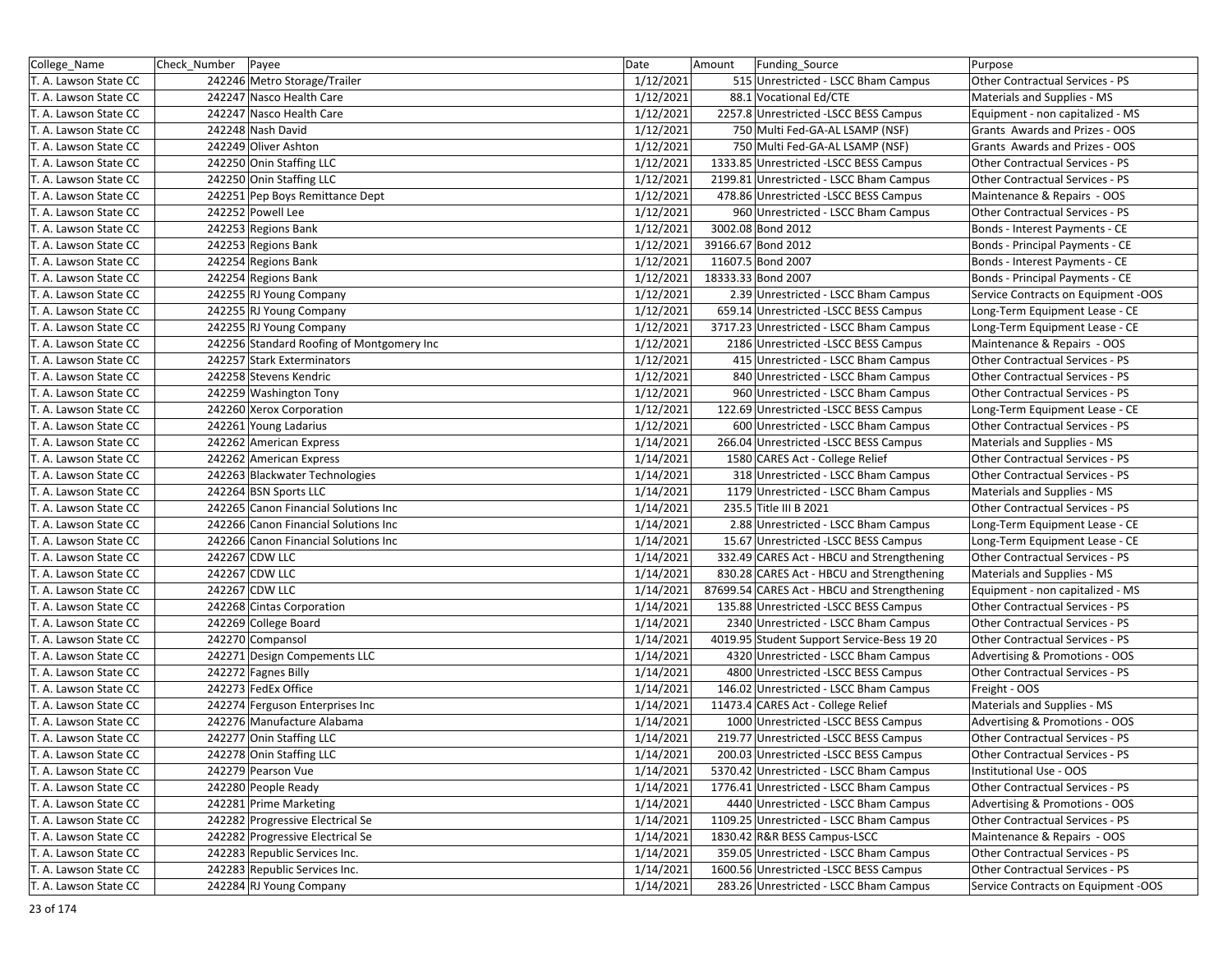| College_Name          | Check_Number Payee |                                           | Date      | Amount<br>Funding_Source                    | Purpose                                |
|-----------------------|--------------------|-------------------------------------------|-----------|---------------------------------------------|----------------------------------------|
| T. A. Lawson State CC |                    | 242246 Metro Storage/Trailer              | 1/12/2021 | 515 Unrestricted - LSCC Bham Campus         | Other Contractual Services - PS        |
| T. A. Lawson State CC |                    | 242247 Nasco Health Care                  | 1/12/2021 | 88.1 Vocational Ed/CTE                      | Materials and Supplies - MS            |
| T. A. Lawson State CC |                    | 242247 Nasco Health Care                  | 1/12/2021 | 2257.8 Unrestricted - LSCC BESS Campus      | Equipment - non capitalized - MS       |
| T. A. Lawson State CC |                    | 242248 Nash David                         | 1/12/2021 | 750 Multi Fed-GA-AL LSAMP (NSF)             | Grants Awards and Prizes - OOS         |
| T. A. Lawson State CC |                    | 242249 Oliver Ashton                      | 1/12/2021 | 750 Multi Fed-GA-AL LSAMP (NSF)             | Grants Awards and Prizes - OOS         |
| T. A. Lawson State CC |                    | 242250 Onin Staffing LLC                  | 1/12/2021 | 1333.85 Unrestricted - LSCC BESS Campus     | Other Contractual Services - PS        |
| T. A. Lawson State CC |                    | 242250 Onin Staffing LLC                  | 1/12/2021 | 2199.81 Unrestricted - LSCC Bham Campus     | Other Contractual Services - PS        |
| T. A. Lawson State CC |                    | 242251 Pep Boys Remittance Dept           | 1/12/2021 | 478.86 Unrestricted -LSCC BESS Campus       | Maintenance & Repairs - OOS            |
| T. A. Lawson State CC |                    | 242252 Powell Lee                         | 1/12/2021 | 960 Unrestricted - LSCC Bham Campus         | Other Contractual Services - PS        |
| T. A. Lawson State CC |                    | 242253 Regions Bank                       | 1/12/2021 | 3002.08 Bond 2012                           | Bonds - Interest Payments - CE         |
| T. A. Lawson State CC |                    | 242253 Regions Bank                       | 1/12/2021 | 39166.67 Bond 2012                          | Bonds - Principal Payments - CE        |
| T. A. Lawson State CC |                    | 242254 Regions Bank                       | 1/12/2021 | 11607.5 Bond 2007                           | Bonds - Interest Payments - CE         |
| T. A. Lawson State CC |                    | 242254 Regions Bank                       | 1/12/2021 | 18333.33 Bond 2007                          | Bonds - Principal Payments - CE        |
| T. A. Lawson State CC |                    | 242255 RJ Young Company                   | 1/12/2021 | 2.39 Unrestricted - LSCC Bham Campus        | Service Contracts on Equipment -OOS    |
| T. A. Lawson State CC |                    | 242255 RJ Young Company                   | 1/12/2021 | 659.14 Unrestricted -LSCC BESS Campus       | Long-Term Equipment Lease - CE         |
| T. A. Lawson State CC |                    | 242255 RJ Young Company                   | 1/12/2021 | 3717.23 Unrestricted - LSCC Bham Campus     | Long-Term Equipment Lease - CE         |
| T. A. Lawson State CC |                    | 242256 Standard Roofing of Montgomery Inc | 1/12/2021 | 2186 Unrestricted -LSCC BESS Campus         | Maintenance & Repairs - OOS            |
| T. A. Lawson State CC |                    | 242257 Stark Exterminators                | 1/12/2021 | 415 Unrestricted - LSCC Bham Campus         | Other Contractual Services - PS        |
| T. A. Lawson State CC |                    | 242258 Stevens Kendric                    | 1/12/2021 | 840 Unrestricted - LSCC Bham Campus         | Other Contractual Services - PS        |
| T. A. Lawson State CC |                    | 242259 Washington Tony                    | 1/12/2021 | 960 Unrestricted - LSCC Bham Campus         | Other Contractual Services - PS        |
| T. A. Lawson State CC |                    | 242260 Xerox Corporation                  | 1/12/2021 | 122.69 Unrestricted -LSCC BESS Campus       | Long-Term Equipment Lease - CE         |
| T. A. Lawson State CC |                    | 242261 Young Ladarius                     | 1/12/2021 | 600 Unrestricted - LSCC Bham Campus         | Other Contractual Services - PS        |
| T. A. Lawson State CC |                    | 242262 American Express                   | 1/14/2021 | 266.04 Unrestricted -LSCC BESS Campus       | Materials and Supplies - MS            |
| T. A. Lawson State CC |                    | 242262 American Express                   | 1/14/2021 | 1580 CARES Act - College Relief             | Other Contractual Services - PS        |
| T. A. Lawson State CC |                    | 242263 Blackwater Technologies            | 1/14/2021 | 318 Unrestricted - LSCC Bham Campus         | Other Contractual Services - PS        |
| T. A. Lawson State CC |                    | 242264 BSN Sports LLC                     | 1/14/2021 | 1179 Unrestricted - LSCC Bham Campus        | Materials and Supplies - MS            |
| T. A. Lawson State CC |                    | 242265 Canon Financial Solutions Inc      | 1/14/2021 | 235.5 Title III B 2021                      | Other Contractual Services - PS        |
| T. A. Lawson State CC |                    | 242266 Canon Financial Solutions Inc      | 1/14/2021 | 2.88 Unrestricted - LSCC Bham Campus        | Long-Term Equipment Lease - CE         |
| T. A. Lawson State CC |                    | 242266 Canon Financial Solutions Inc      | 1/14/2021 | 15.67 Unrestricted -LSCC BESS Campus        | Long-Term Equipment Lease - CE         |
| T. A. Lawson State CC |                    | 242267 CDW LLC                            | 1/14/2021 | 332.49 CARES Act - HBCU and Strengthening   | Other Contractual Services - PS        |
| T. A. Lawson State CC |                    | 242267 CDW LLC                            | 1/14/2021 | 830.28 CARES Act - HBCU and Strengthening   | Materials and Supplies - MS            |
| T. A. Lawson State CC |                    | 242267 CDW LLC                            | 1/14/2021 | 87699.54 CARES Act - HBCU and Strengthening | Equipment - non capitalized - MS       |
| T. A. Lawson State CC |                    | 242268 Cintas Corporation                 | 1/14/2021 | 135.88 Unrestricted - LSCC BESS Campus      | Other Contractual Services - PS        |
| T. A. Lawson State CC |                    | 242269 College Board                      | 1/14/2021 | 2340 Unrestricted - LSCC Bham Campus        | Other Contractual Services - PS        |
| T. A. Lawson State CC |                    | 242270 Compansol                          | 1/14/2021 | 4019.95 Student Support Service-Bess 19 20  | Other Contractual Services - PS        |
| T. A. Lawson State CC |                    | 242271 Design Compements LLC              | 1/14/2021 | 4320 Unrestricted - LSCC Bham Campus        | Advertising & Promotions - OOS         |
| T. A. Lawson State CC |                    | 242272 Fagnes Billy                       | 1/14/2021 | 4800 Unrestricted -LSCC BESS Campus         | Other Contractual Services - PS        |
| T. A. Lawson State CC |                    | 242273 FedEx Office                       | 1/14/2021 | 146.02 Unrestricted - LSCC Bham Campus      | Freight - OOS                          |
| T. A. Lawson State CC |                    | 242274 Ferguson Enterprises Inc           | 1/14/2021 | 11473.4 CARES Act - College Relief          | Materials and Supplies - MS            |
| T. A. Lawson State CC |                    | 242276 Manufacture Alabama                | 1/14/2021 | 1000 Unrestricted -LSCC BESS Campus         | Advertising & Promotions - OOS         |
| T. A. Lawson State CC |                    | 242277 Onin Staffing LLC                  | 1/14/2021 | 219.77 Unrestricted -LSCC BESS Campus       | <b>Other Contractual Services - PS</b> |
| T. A. Lawson State CC |                    | 242278 Onin Staffing LLC                  | 1/14/2021 | 200.03 Unrestricted -LSCC BESS Campus       | Other Contractual Services - PS        |
| T. A. Lawson State CC |                    | 242279 Pearson Vue                        | 1/14/2021 | 5370.42 Unrestricted - LSCC Bham Campus     | Institutional Use - OOS                |
| T. A. Lawson State CC |                    | 242280 People Ready                       | 1/14/2021 | 1776.41 Unrestricted - LSCC Bham Campus     | Other Contractual Services - PS        |
| T. A. Lawson State CC |                    | 242281 Prime Marketing                    | 1/14/2021 | 4440 Unrestricted - LSCC Bham Campus        | Advertising & Promotions - OOS         |
| T. A. Lawson State CC |                    | 242282 Progressive Electrical Se          | 1/14/2021 | 1109.25 Unrestricted - LSCC Bham Campus     | Other Contractual Services - PS        |
| T. A. Lawson State CC |                    | 242282 Progressive Electrical Se          | 1/14/2021 | 1830.42 R&R BESS Campus-LSCC                | Maintenance & Repairs - OOS            |
| T. A. Lawson State CC |                    | 242283 Republic Services Inc.             | 1/14/2021 | 359.05 Unrestricted - LSCC Bham Campus      | Other Contractual Services - PS        |
| T. A. Lawson State CC |                    | 242283 Republic Services Inc.             | 1/14/2021 | 1600.56 Unrestricted -LSCC BESS Campus      | Other Contractual Services - PS        |
| T. A. Lawson State CC |                    | 242284 RJ Young Company                   | 1/14/2021 | 283.26 Unrestricted - LSCC Bham Campus      | Service Contracts on Equipment -OOS    |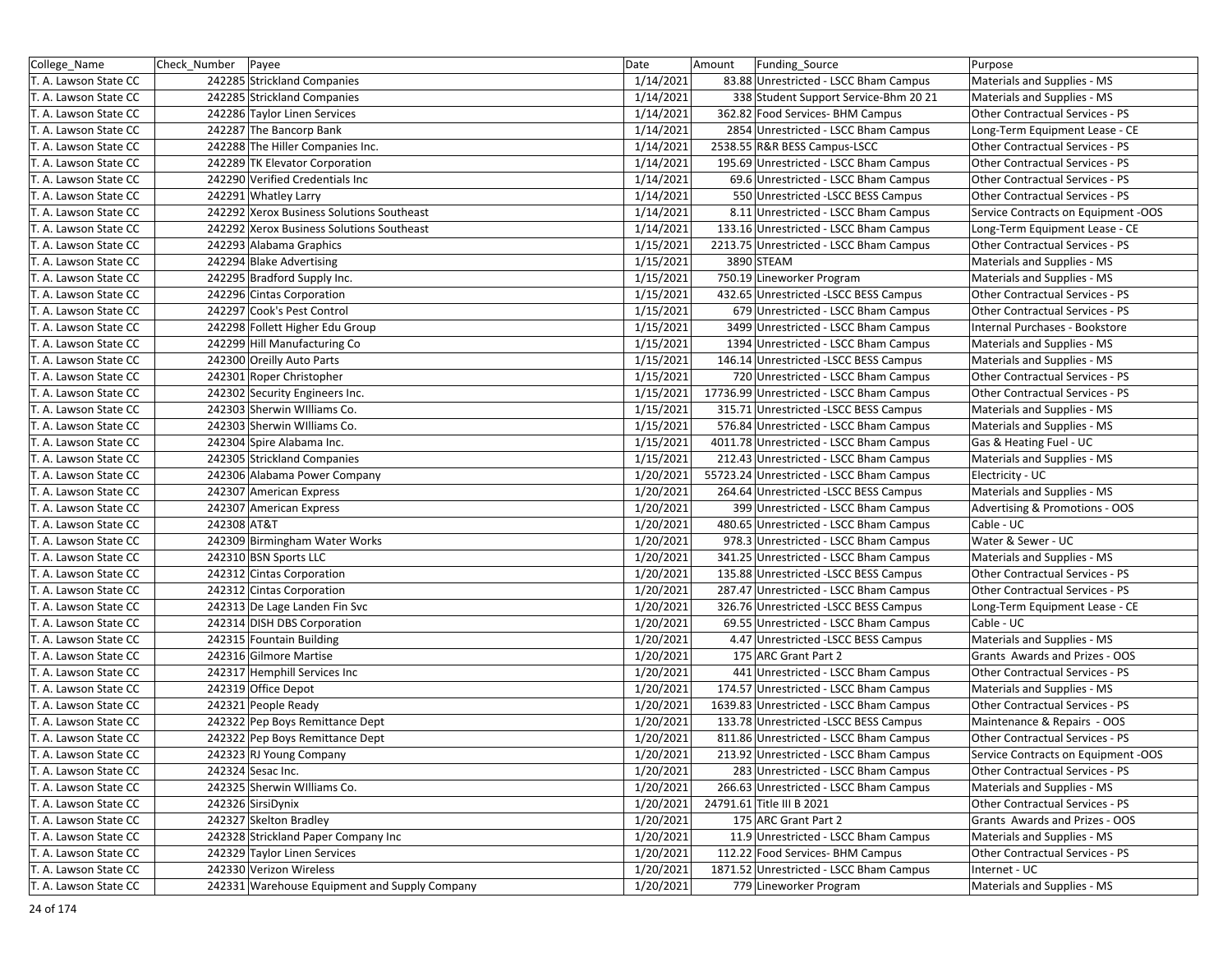| College Name          | Check Number | Payee                                         | Date      | Amount | Funding_Source                           | Purpose                             |
|-----------------------|--------------|-----------------------------------------------|-----------|--------|------------------------------------------|-------------------------------------|
| T. A. Lawson State CC |              | 242285 Strickland Companies                   | 1/14/2021 |        | 83.88 Unrestricted - LSCC Bham Campus    | Materials and Supplies - MS         |
| T. A. Lawson State CC |              | 242285 Strickland Companies                   | 1/14/2021 |        | 338 Student Support Service-Bhm 20 21    | Materials and Supplies - MS         |
| T. A. Lawson State CC |              | 242286 Taylor Linen Services                  | 1/14/2021 |        | 362.82 Food Services- BHM Campus         | Other Contractual Services - PS     |
| T. A. Lawson State CC |              | 242287 The Bancorp Bank                       | 1/14/2021 |        | 2854 Unrestricted - LSCC Bham Campus     | Long-Term Equipment Lease - CE      |
| T. A. Lawson State CC |              | 242288 The Hiller Companies Inc.              | 1/14/2021 |        | 2538.55 R&R BESS Campus-LSCC             | Other Contractual Services - PS     |
| T. A. Lawson State CC |              | 242289 TK Elevator Corporation                | 1/14/2021 |        | 195.69 Unrestricted - LSCC Bham Campus   | Other Contractual Services - PS     |
| T. A. Lawson State CC |              | 242290 Verified Credentials Inc               | 1/14/2021 |        | 69.6 Unrestricted - LSCC Bham Campus     | Other Contractual Services - PS     |
| T. A. Lawson State CC |              | 242291 Whatley Larry                          | 1/14/2021 |        | 550 Unrestricted - LSCC BESS Campus      | Other Contractual Services - PS     |
| T. A. Lawson State CC |              | 242292 Xerox Business Solutions Southeast     | 1/14/2021 |        | 8.11 Unrestricted - LSCC Bham Campus     | Service Contracts on Equipment -OOS |
| T. A. Lawson State CC |              | 242292 Xerox Business Solutions Southeast     | 1/14/2021 |        | 133.16 Unrestricted - LSCC Bham Campus   | Long-Term Equipment Lease - CE      |
| T. A. Lawson State CC |              | 242293 Alabama Graphics                       | 1/15/2021 |        | 2213.75 Unrestricted - LSCC Bham Campus  | Other Contractual Services - PS     |
| T. A. Lawson State CC |              | 242294 Blake Advertising                      | 1/15/2021 |        | 3890 STEAM                               | Materials and Supplies - MS         |
| T. A. Lawson State CC |              | 242295 Bradford Supply Inc.                   | 1/15/2021 |        | 750.19 Lineworker Program                | Materials and Supplies - MS         |
| T. A. Lawson State CC |              | 242296 Cintas Corporation                     | 1/15/2021 |        | 432.65 Unrestricted -LSCC BESS Campus    | Other Contractual Services - PS     |
| T. A. Lawson State CC |              | 242297 Cook's Pest Control                    | 1/15/2021 |        | 679 Unrestricted - LSCC Bham Campus      | Other Contractual Services - PS     |
| T. A. Lawson State CC |              | 242298 Follett Higher Edu Group               | 1/15/2021 |        | 3499 Unrestricted - LSCC Bham Campus     | Internal Purchases - Bookstore      |
| T. A. Lawson State CC |              | 242299 Hill Manufacturing Co                  | 1/15/2021 |        | 1394 Unrestricted - LSCC Bham Campus     | Materials and Supplies - MS         |
| T. A. Lawson State CC |              | 242300 Oreilly Auto Parts                     | 1/15/2021 |        | 146.14 Unrestricted -LSCC BESS Campus    | Materials and Supplies - MS         |
| T. A. Lawson State CC |              | 242301 Roper Christopher                      | 1/15/2021 |        | 720 Unrestricted - LSCC Bham Campus      | Other Contractual Services - PS     |
| T. A. Lawson State CC |              | 242302 Security Engineers Inc.                | 1/15/2021 |        | 17736.99 Unrestricted - LSCC Bham Campus | Other Contractual Services - PS     |
| T. A. Lawson State CC |              | 242303 Sherwin Williams Co.                   | 1/15/2021 |        | 315.71 Unrestricted -LSCC BESS Campus    | Materials and Supplies - MS         |
| T. A. Lawson State CC |              | 242303 Sherwin Williams Co.                   | 1/15/2021 |        | 576.84 Unrestricted - LSCC Bham Campus   | Materials and Supplies - MS         |
| T. A. Lawson State CC |              | 242304 Spire Alabama Inc.                     | 1/15/2021 |        | 4011.78 Unrestricted - LSCC Bham Campus  | Gas & Heating Fuel - UC             |
| T. A. Lawson State CC |              | 242305 Strickland Companies                   | 1/15/2021 |        | 212.43 Unrestricted - LSCC Bham Campus   | Materials and Supplies - MS         |
| T. A. Lawson State CC |              | 242306 Alabama Power Company                  | 1/20/2021 |        | 55723.24 Unrestricted - LSCC Bham Campus | Electricity - UC                    |
| T. A. Lawson State CC |              | 242307 American Express                       | 1/20/2021 |        | 264.64 Unrestricted -LSCC BESS Campus    | Materials and Supplies - MS         |
| T. A. Lawson State CC |              | 242307 American Express                       | 1/20/2021 |        | 399 Unrestricted - LSCC Bham Campus      | Advertising & Promotions - OOS      |
| T. A. Lawson State CC | 242308 AT&T  |                                               | 1/20/2021 |        | 480.65 Unrestricted - LSCC Bham Campus   | Cable - UC                          |
| T. A. Lawson State CC |              | 242309 Birmingham Water Works                 | 1/20/2021 |        | 978.3 Unrestricted - LSCC Bham Campus    | Water & Sewer - UC                  |
| T. A. Lawson State CC |              | 242310 BSN Sports LLC                         | 1/20/2021 |        | 341.25 Unrestricted - LSCC Bham Campus   | Materials and Supplies - MS         |
| T. A. Lawson State CC |              | 242312 Cintas Corporation                     | 1/20/2021 |        | 135.88 Unrestricted - LSCC BESS Campus   | Other Contractual Services - PS     |
| T. A. Lawson State CC |              | 242312 Cintas Corporation                     | 1/20/2021 |        | 287.47 Unrestricted - LSCC Bham Campus   | Other Contractual Services - PS     |
| T. A. Lawson State CC |              | 242313 De Lage Landen Fin Svc                 | 1/20/2021 |        | 326.76 Unrestricted - LSCC BESS Campus   | Long-Term Equipment Lease - CE      |
| T. A. Lawson State CC |              | 242314 DISH DBS Corporation                   | 1/20/2021 |        | 69.55 Unrestricted - LSCC Bham Campus    | Cable - UC                          |
| T. A. Lawson State CC |              | 242315 Fountain Building                      | 1/20/2021 |        | 4.47 Unrestricted -LSCC BESS Campus      | Materials and Supplies - MS         |
| T. A. Lawson State CC |              | 242316 Gilmore Martise                        | 1/20/2021 |        | 175 ARC Grant Part 2                     | Grants Awards and Prizes - OOS      |
| T. A. Lawson State CC |              | 242317 Hemphill Services Inc                  | 1/20/2021 |        | 441 Unrestricted - LSCC Bham Campus      | Other Contractual Services - PS     |
| T. A. Lawson State CC |              | 242319 Office Depot                           | 1/20/2021 |        | 174.57 Unrestricted - LSCC Bham Campus   | Materials and Supplies - MS         |
| T. A. Lawson State CC |              | 242321 People Ready                           | 1/20/2021 |        | 1639.83 Unrestricted - LSCC Bham Campus  | Other Contractual Services - PS     |
| T. A. Lawson State CC |              | 242322 Pep Boys Remittance Dept               | 1/20/2021 |        | 133.78 Unrestricted - LSCC BESS Campus   | Maintenance & Repairs - OOS         |
| T. A. Lawson State CC |              | 242322 Pep Boys Remittance Dept               | 1/20/2021 |        | 811.86 Unrestricted - LSCC Bham Campus   | Other Contractual Services - PS     |
| T. A. Lawson State CC |              | 242323 RJ Young Company                       | 1/20/2021 |        | 213.92 Unrestricted - LSCC Bham Campus   | Service Contracts on Equipment -OOS |
| T. A. Lawson State CC |              | 242324 Sesac Inc.                             | 1/20/2021 |        | 283 Unrestricted - LSCC Bham Campus      | Other Contractual Services - PS     |
| T. A. Lawson State CC |              | 242325 Sherwin Williams Co.                   | 1/20/2021 |        | 266.63 Unrestricted - LSCC Bham Campus   | Materials and Supplies - MS         |
| T. A. Lawson State CC |              | 242326 SirsiDynix                             | 1/20/2021 |        | 24791.61 Title III B 2021                | Other Contractual Services - PS     |
| T. A. Lawson State CC |              | 242327 Skelton Bradley                        | 1/20/2021 |        | 175 ARC Grant Part 2                     | Grants Awards and Prizes - OOS      |
| T. A. Lawson State CC |              | 242328 Strickland Paper Company Inc           | 1/20/2021 |        | 11.9 Unrestricted - LSCC Bham Campus     | Materials and Supplies - MS         |
| T. A. Lawson State CC |              | 242329 Taylor Linen Services                  | 1/20/2021 |        | 112.22 Food Services- BHM Campus         | Other Contractual Services - PS     |
| T. A. Lawson State CC |              | 242330 Verizon Wireless                       | 1/20/2021 |        | 1871.52 Unrestricted - LSCC Bham Campus  | Internet - UC                       |
| T. A. Lawson State CC |              | 242331 Warehouse Equipment and Supply Company | 1/20/2021 |        | 779 Lineworker Program                   | Materials and Supplies - MS         |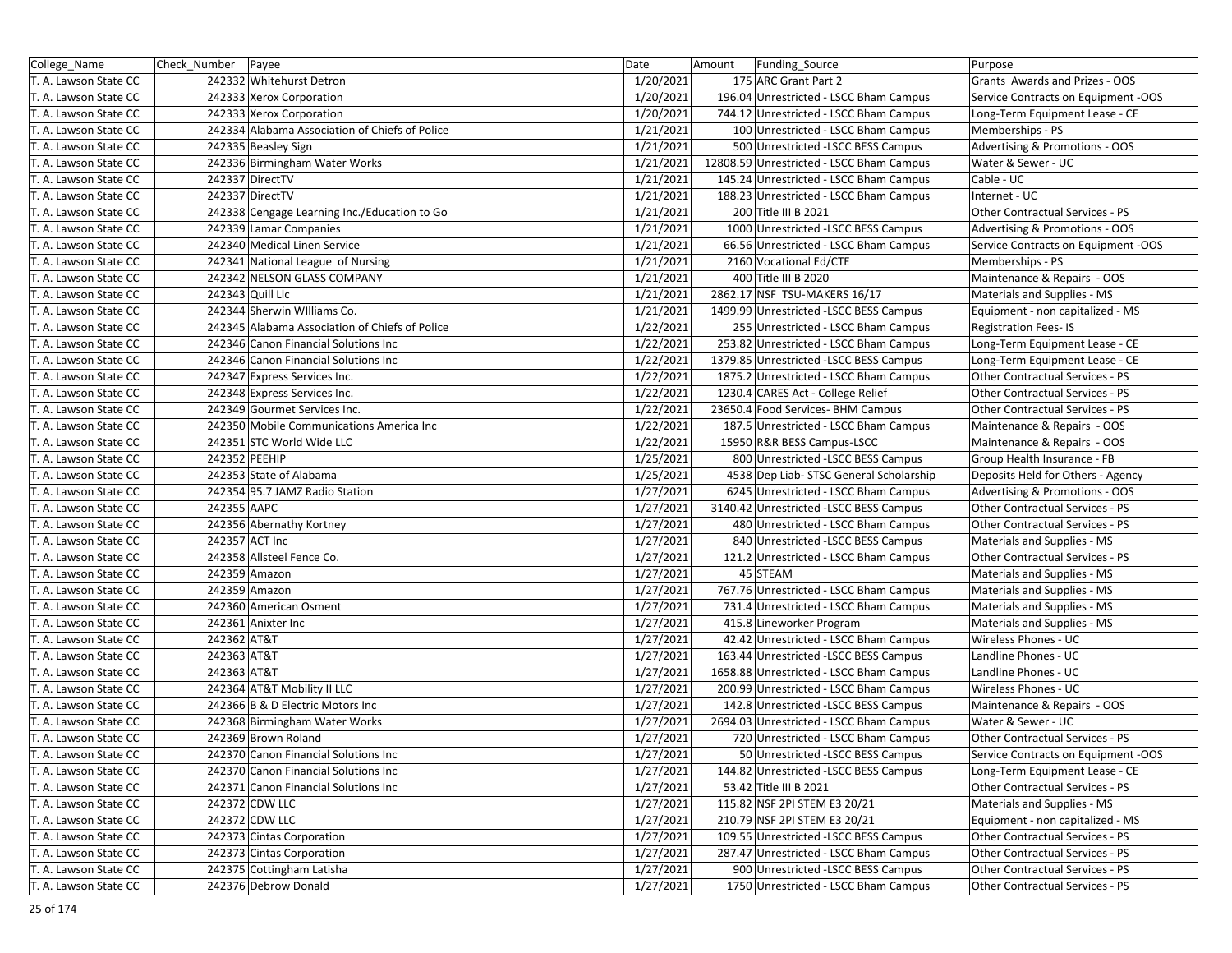| College_Name          | Check_Number   Payee |                                                | Date      | Amount<br><b>Funding Source</b>          | Purpose                             |
|-----------------------|----------------------|------------------------------------------------|-----------|------------------------------------------|-------------------------------------|
| T. A. Lawson State CC |                      | 242332 Whitehurst Detron                       | 1/20/2021 | 175 ARC Grant Part 2                     | Grants Awards and Prizes - OOS      |
| T. A. Lawson State CC |                      | 242333 Xerox Corporation                       | 1/20/2021 | 196.04 Unrestricted - LSCC Bham Campus   | Service Contracts on Equipment -OOS |
| T. A. Lawson State CC |                      | 242333 Xerox Corporation                       | 1/20/2021 | 744.12 Unrestricted - LSCC Bham Campus   | Long-Term Equipment Lease - CE      |
| T. A. Lawson State CC |                      | 242334 Alabama Association of Chiefs of Police | 1/21/2021 | 100 Unrestricted - LSCC Bham Campus      | Memberships - PS                    |
| T. A. Lawson State CC |                      | 242335 Beasley Sign                            | 1/21/2021 | 500 Unrestricted -LSCC BESS Campus       | Advertising & Promotions - OOS      |
| T. A. Lawson State CC |                      | 242336 Birmingham Water Works                  | 1/21/2021 | 12808.59 Unrestricted - LSCC Bham Campus | Water & Sewer - UC                  |
| T. A. Lawson State CC |                      | 242337 DirectTV                                | 1/21/2021 | 145.24 Unrestricted - LSCC Bham Campus   | Cable - UC                          |
| T. A. Lawson State CC |                      | 242337 DirectTV                                | 1/21/2021 | 188.23 Unrestricted - LSCC Bham Campus   | Internet - UC                       |
| T. A. Lawson State CC |                      | 242338 Cengage Learning Inc./Education to Go   | 1/21/2021 | 200 Title III B 2021                     | Other Contractual Services - PS     |
| T. A. Lawson State CC |                      | 242339 Lamar Companies                         | 1/21/2021 | 1000 Unrestricted -LSCC BESS Campus      | Advertising & Promotions - OOS      |
| T. A. Lawson State CC |                      | 242340 Medical Linen Service                   | 1/21/2021 | 66.56 Unrestricted - LSCC Bham Campus    | Service Contracts on Equipment -OOS |
| T. A. Lawson State CC |                      | 242341 National League of Nursing              | 1/21/2021 | 2160 Vocational Ed/CTE                   | Memberships - PS                    |
| T. A. Lawson State CC |                      | 242342 NELSON GLASS COMPANY                    | 1/21/2021 | 400 Title III B 2020                     | Maintenance & Repairs - OOS         |
| T. A. Lawson State CC |                      | 242343 Quill Llc                               | 1/21/2021 | 2862.17 NSF TSU-MAKERS 16/17             | Materials and Supplies - MS         |
| T. A. Lawson State CC |                      | 242344 Sherwin Williams Co.                    | 1/21/2021 | 1499.99 Unrestricted -LSCC BESS Campus   | Equipment - non capitalized - MS    |
| T. A. Lawson State CC |                      | 242345 Alabama Association of Chiefs of Police | 1/22/2021 | 255 Unrestricted - LSCC Bham Campus      | <b>Registration Fees-IS</b>         |
| T. A. Lawson State CC |                      | 242346 Canon Financial Solutions Inc           | 1/22/2021 | 253.82 Unrestricted - LSCC Bham Campus   | Long-Term Equipment Lease - CE      |
| T. A. Lawson State CC |                      | 242346 Canon Financial Solutions Inc           | 1/22/2021 | 1379.85 Unrestricted -LSCC BESS Campus   | Long-Term Equipment Lease - CE      |
| T. A. Lawson State CC |                      | 242347 Express Services Inc.                   | 1/22/2021 | 1875.2 Unrestricted - LSCC Bham Campus   | Other Contractual Services - PS     |
| T. A. Lawson State CC |                      | 242348 Express Services Inc.                   | 1/22/2021 | 1230.4 CARES Act - College Relief        | Other Contractual Services - PS     |
| T. A. Lawson State CC |                      | 242349 Gourmet Services Inc.                   | 1/22/2021 | 23650.4 Food Services- BHM Campus        | Other Contractual Services - PS     |
| T. A. Lawson State CC |                      | 242350 Mobile Communications America Inc       | 1/22/2021 | 187.5 Unrestricted - LSCC Bham Campus    | Maintenance & Repairs - OOS         |
| T. A. Lawson State CC |                      | 242351 STC World Wide LLC                      | 1/22/2021 | 15950 R&R BESS Campus-LSCC               | Maintenance & Repairs - OOS         |
| T. A. Lawson State CC | 242352 PEEHIP        |                                                | 1/25/2021 | 800 Unrestricted - LSCC BESS Campus      | Group Health Insurance - FB         |
| T. A. Lawson State CC |                      | 242353 State of Alabama                        | 1/25/2021 | 4538 Dep Liab- STSC General Scholarship  | Deposits Held for Others - Agency   |
| T. A. Lawson State CC |                      | 242354 95.7 JAMZ Radio Station                 | 1/27/2021 | 6245 Unrestricted - LSCC Bham Campus     | Advertising & Promotions - OOS      |
| T. A. Lawson State CC | 242355 AAPC          |                                                | 1/27/2021 | 3140.42 Unrestricted -LSCC BESS Campus   | Other Contractual Services - PS     |
| T. A. Lawson State CC |                      | 242356 Abernathy Kortney                       | 1/27/2021 | 480 Unrestricted - LSCC Bham Campus      | Other Contractual Services - PS     |
| T. A. Lawson State CC |                      | 242357 ACT Inc                                 | 1/27/2021 | 840 Unrestricted -LSCC BESS Campus       | Materials and Supplies - MS         |
| T. A. Lawson State CC |                      | 242358 Allsteel Fence Co.                      | 1/27/2021 | 121.2 Unrestricted - LSCC Bham Campus    | Other Contractual Services - PS     |
| T. A. Lawson State CC |                      | 242359 Amazon                                  | 1/27/2021 | 45 STEAM                                 | Materials and Supplies - MS         |
| T. A. Lawson State CC |                      | 242359 Amazon                                  | 1/27/2021 | 767.76 Unrestricted - LSCC Bham Campus   | Materials and Supplies - MS         |
| T. A. Lawson State CC |                      | 242360 American Osment                         | 1/27/2021 | 731.4 Unrestricted - LSCC Bham Campus    | Materials and Supplies - MS         |
| T. A. Lawson State CC |                      | 242361 Anixter Inc                             | 1/27/2021 | 415.8 Lineworker Program                 | Materials and Supplies - MS         |
| T. A. Lawson State CC | 242362 AT&T          |                                                | 1/27/2021 | 42.42 Unrestricted - LSCC Bham Campus    | Wireless Phones - UC                |
| T. A. Lawson State CC | 242363 AT&T          |                                                | 1/27/2021 | 163.44 Unrestricted -LSCC BESS Campus    | Landline Phones - UC                |
| T. A. Lawson State CC | 242363 AT&T          |                                                | 1/27/2021 | 1658.88 Unrestricted - LSCC Bham Campus  | Landline Phones - UC                |
| T. A. Lawson State CC |                      | 242364 AT&T Mobility II LLC                    | 1/27/2021 | 200.99 Unrestricted - LSCC Bham Campus   | Wireless Phones - UC                |
| T. A. Lawson State CC |                      | 242366 B & D Electric Motors Inc               | 1/27/2021 | 142.8 Unrestricted -LSCC BESS Campus     | Maintenance & Repairs - OOS         |
| T. A. Lawson State CC |                      | 242368 Birmingham Water Works                  | 1/27/2021 | 2694.03 Unrestricted - LSCC Bham Campus  | Water & Sewer - UC                  |
| T. A. Lawson State CC |                      | 242369 Brown Roland                            | 1/27/2021 | 720 Unrestricted - LSCC Bham Campus      | Other Contractual Services - PS     |
| T. A. Lawson State CC |                      | 242370 Canon Financial Solutions Inc           | 1/27/2021 | 50 Unrestricted -LSCC BESS Campus        | Service Contracts on Equipment -OOS |
| T. A. Lawson State CC |                      | 242370 Canon Financial Solutions Inc           | 1/27/2021 | 144.82 Unrestricted -LSCC BESS Campus    | Long-Term Equipment Lease - CE      |
| T. A. Lawson State CC |                      | 242371 Canon Financial Solutions Inc           | 1/27/2021 | 53.42 Title III B 2021                   | Other Contractual Services - PS     |
| T. A. Lawson State CC |                      | 242372 CDW LLC                                 | 1/27/2021 | 115.82 NSF 2PI STEM E3 20/21             | Materials and Supplies - MS         |
| T. A. Lawson State CC |                      | 242372 CDW LLC                                 | 1/27/2021 | 210.79 NSF 2PI STEM E3 20/21             | Equipment - non capitalized - MS    |
| T. A. Lawson State CC |                      | 242373 Cintas Corporation                      | 1/27/2021 | 109.55 Unrestricted -LSCC BESS Campus    | Other Contractual Services - PS     |
| T. A. Lawson State CC |                      | 242373 Cintas Corporation                      | 1/27/2021 | 287.47 Unrestricted - LSCC Bham Campus   | Other Contractual Services - PS     |
| T. A. Lawson State CC |                      | 242375 Cottingham Latisha                      | 1/27/2021 | 900 Unrestricted -LSCC BESS Campus       | Other Contractual Services - PS     |
| T. A. Lawson State CC |                      | 242376 Debrow Donald                           | 1/27/2021 | 1750 Unrestricted - LSCC Bham Campus     | Other Contractual Services - PS     |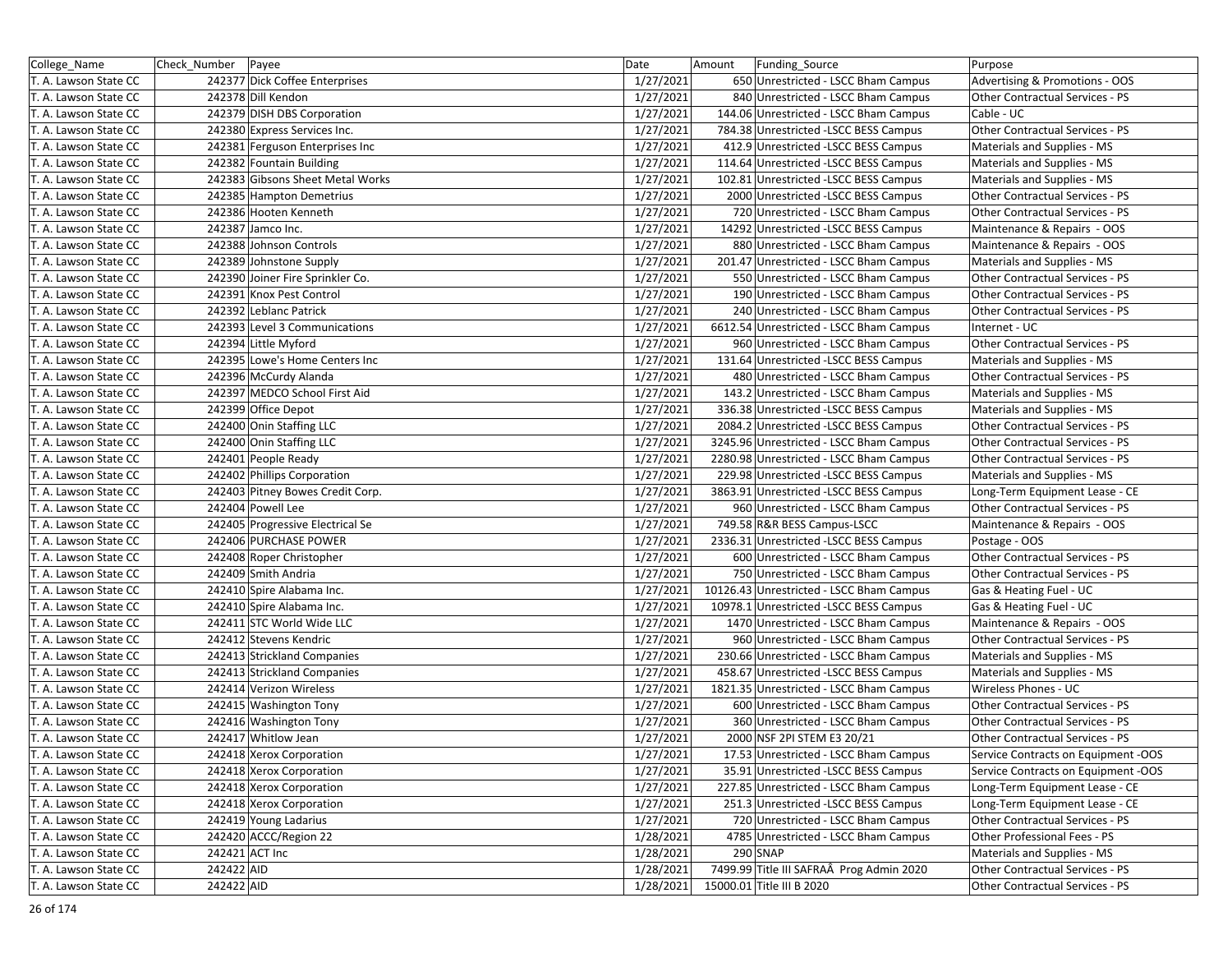| College Name          | Check_Number   Payee |                                  | Date      | Amount | Funding_Source                           | Purpose                             |
|-----------------------|----------------------|----------------------------------|-----------|--------|------------------------------------------|-------------------------------------|
| T. A. Lawson State CC |                      | 242377 Dick Coffee Enterprises   | 1/27/2021 |        | 650 Unrestricted - LSCC Bham Campus      | Advertising & Promotions - OOS      |
| T. A. Lawson State CC |                      | 242378 Dill Kendon               | 1/27/2021 |        | 840 Unrestricted - LSCC Bham Campus      | Other Contractual Services - PS     |
| T. A. Lawson State CC |                      | 242379 DISH DBS Corporation      | 1/27/2021 |        | 144.06 Unrestricted - LSCC Bham Campus   | Cable - UC                          |
| T. A. Lawson State CC |                      | 242380 Express Services Inc.     | 1/27/2021 |        | 784.38 Unrestricted -LSCC BESS Campus    | Other Contractual Services - PS     |
| T. A. Lawson State CC |                      | 242381 Ferguson Enterprises Inc  | 1/27/2021 |        | 412.9 Unrestricted -LSCC BESS Campus     | Materials and Supplies - MS         |
| T. A. Lawson State CC |                      | 242382 Fountain Building         | 1/27/2021 |        | 114.64 Unrestricted - LSCC BESS Campus   | Materials and Supplies - MS         |
| T. A. Lawson State CC |                      | 242383 Gibsons Sheet Metal Works | 1/27/2021 |        | 102.81 Unrestricted -LSCC BESS Campus    | Materials and Supplies - MS         |
| T. A. Lawson State CC |                      | 242385 Hampton Demetrius         | 1/27/2021 |        | 2000 Unrestricted -LSCC BESS Campus      | Other Contractual Services - PS     |
| T. A. Lawson State CC |                      | 242386 Hooten Kenneth            | 1/27/2021 |        | 720 Unrestricted - LSCC Bham Campus      | Other Contractual Services - PS     |
| T. A. Lawson State CC |                      | 242387 Jamco Inc.                | 1/27/2021 |        | 14292 Unrestricted -LSCC BESS Campus     | Maintenance & Repairs - OOS         |
| T. A. Lawson State CC |                      | 242388 Johnson Controls          | 1/27/2021 |        | 880 Unrestricted - LSCC Bham Campus      | Maintenance & Repairs - OOS         |
| T. A. Lawson State CC |                      | 242389 Johnstone Supply          | 1/27/2021 |        | 201.47 Unrestricted - LSCC Bham Campus   | Materials and Supplies - MS         |
| T. A. Lawson State CC |                      | 242390 Joiner Fire Sprinkler Co. | 1/27/2021 |        | 550 Unrestricted - LSCC Bham Campus      | Other Contractual Services - PS     |
| T. A. Lawson State CC |                      | 242391 Knox Pest Control         | 1/27/2021 |        | 190 Unrestricted - LSCC Bham Campus      | Other Contractual Services - PS     |
| T. A. Lawson State CC |                      | 242392 Leblanc Patrick           | 1/27/2021 |        | 240 Unrestricted - LSCC Bham Campus      | Other Contractual Services - PS     |
| T. A. Lawson State CC |                      | 242393 Level 3 Communications    | 1/27/2021 |        | 6612.54 Unrestricted - LSCC Bham Campus  | Internet - UC                       |
| T. A. Lawson State CC |                      | 242394 Little Myford             | 1/27/2021 |        | 960 Unrestricted - LSCC Bham Campus      | Other Contractual Services - PS     |
| T. A. Lawson State CC |                      | 242395 Lowe's Home Centers Inc   | 1/27/2021 |        | 131.64 Unrestricted - LSCC BESS Campus   | Materials and Supplies - MS         |
| T. A. Lawson State CC |                      | 242396 McCurdy Alanda            | 1/27/2021 |        | 480 Unrestricted - LSCC Bham Campus      | Other Contractual Services - PS     |
| T. A. Lawson State CC |                      | 242397 MEDCO School First Aid    | 1/27/2021 |        | 143.2 Unrestricted - LSCC Bham Campus    | Materials and Supplies - MS         |
| T. A. Lawson State CC |                      | 242399 Office Depot              | 1/27/2021 |        | 336.38 Unrestricted -LSCC BESS Campus    | Materials and Supplies - MS         |
| T. A. Lawson State CC |                      | 242400 Onin Staffing LLC         | 1/27/2021 |        | 2084.2 Unrestricted -LSCC BESS Campus    | Other Contractual Services - PS     |
| T. A. Lawson State CC |                      | 242400 Onin Staffing LLC         | 1/27/2021 |        | 3245.96 Unrestricted - LSCC Bham Campus  | Other Contractual Services - PS     |
| T. A. Lawson State CC |                      | 242401 People Ready              | 1/27/2021 |        | 2280.98 Unrestricted - LSCC Bham Campus  | Other Contractual Services - PS     |
| T. A. Lawson State CC |                      | 242402 Phillips Corporation      | 1/27/2021 |        | 229.98 Unrestricted -LSCC BESS Campus    | Materials and Supplies - MS         |
| T. A. Lawson State CC |                      | 242403 Pitney Bowes Credit Corp. | 1/27/2021 |        | 3863.91 Unrestricted - LSCC BESS Campus  | Long-Term Equipment Lease - CE      |
| T. A. Lawson State CC |                      | 242404 Powell Lee                | 1/27/2021 |        | 960 Unrestricted - LSCC Bham Campus      | Other Contractual Services - PS     |
| T. A. Lawson State CC |                      | 242405 Progressive Electrical Se | 1/27/2021 |        | 749.58 R&R BESS Campus-LSCC              | Maintenance & Repairs - OOS         |
| T. A. Lawson State CC |                      | 242406 PURCHASE POWER            | 1/27/2021 |        | 2336.31 Unrestricted -LSCC BESS Campus   | Postage - OOS                       |
| T. A. Lawson State CC |                      | 242408 Roper Christopher         | 1/27/2021 |        | 600 Unrestricted - LSCC Bham Campus      | Other Contractual Services - PS     |
| T. A. Lawson State CC |                      | 242409 Smith Andria              | 1/27/2021 |        | 750 Unrestricted - LSCC Bham Campus      | Other Contractual Services - PS     |
| T. A. Lawson State CC |                      | 242410 Spire Alabama Inc.        | 1/27/2021 |        | 10126.43 Unrestricted - LSCC Bham Campus | Gas & Heating Fuel - UC             |
| T. A. Lawson State CC |                      | 242410 Spire Alabama Inc.        | 1/27/2021 |        | 10978.1 Unrestricted -LSCC BESS Campus   | Gas & Heating Fuel - UC             |
| T. A. Lawson State CC |                      | 242411 STC World Wide LLC        | 1/27/2021 |        | 1470 Unrestricted - LSCC Bham Campus     | Maintenance & Repairs - OOS         |
| T. A. Lawson State CC |                      | 242412 Stevens Kendric           | 1/27/2021 |        | 960 Unrestricted - LSCC Bham Campus      | Other Contractual Services - PS     |
| T. A. Lawson State CC |                      | 242413 Strickland Companies      | 1/27/2021 |        | 230.66 Unrestricted - LSCC Bham Campus   | Materials and Supplies - MS         |
| T. A. Lawson State CC |                      | 242413 Strickland Companies      | 1/27/2021 |        | 458.67 Unrestricted -LSCC BESS Campus    | Materials and Supplies - MS         |
| T. A. Lawson State CC |                      | 242414 Verizon Wireless          | 1/27/2021 |        | 1821.35 Unrestricted - LSCC Bham Campus  | Wireless Phones - UC                |
| T. A. Lawson State CC |                      | 242415 Washington Tony           | 1/27/2021 |        | 600 Unrestricted - LSCC Bham Campus      | Other Contractual Services - PS     |
| T. A. Lawson State CC |                      | 242416 Washington Tony           | 1/27/2021 |        | 360 Unrestricted - LSCC Bham Campus      | Other Contractual Services - PS     |
| T. A. Lawson State CC |                      | 242417 Whitlow Jean              | 1/27/2021 |        | 2000 NSF 2PI STEM E3 20/21               | Other Contractual Services - PS     |
| T. A. Lawson State CC |                      | 242418 Xerox Corporation         | 1/27/2021 |        | 17.53 Unrestricted - LSCC Bham Campus    | Service Contracts on Equipment -OOS |
| T. A. Lawson State CC |                      | 242418 Xerox Corporation         | 1/27/2021 |        | 35.91 Unrestricted -LSCC BESS Campus     | Service Contracts on Equipment -OOS |
| T. A. Lawson State CC |                      | 242418 Xerox Corporation         | 1/27/2021 |        | 227.85 Unrestricted - LSCC Bham Campus   | Long-Term Equipment Lease - CE      |
| T. A. Lawson State CC |                      | 242418 Xerox Corporation         | 1/27/2021 |        | 251.3 Unrestricted -LSCC BESS Campus     | Long-Term Equipment Lease - CE      |
| T. A. Lawson State CC |                      | 242419 Young Ladarius            | 1/27/2021 |        | 720 Unrestricted - LSCC Bham Campus      | Other Contractual Services - PS     |
| T. A. Lawson State CC |                      | 242420 ACCC/Region 22            | 1/28/2021 |        | 4785 Unrestricted - LSCC Bham Campus     | Other Professional Fees - PS        |
| T. A. Lawson State CC |                      | 242421 ACT Inc                   | 1/28/2021 |        | 290 SNAP                                 | Materials and Supplies - MS         |
| T. A. Lawson State CC | 242422 AID           |                                  | 1/28/2021 |        | 7499.99 Title III SAFRAÂ Prog Admin 2020 | Other Contractual Services - PS     |
| T. A. Lawson State CC | 242422 AID           |                                  | 1/28/2021 |        | 15000.01 Title III B 2020                | Other Contractual Services - PS     |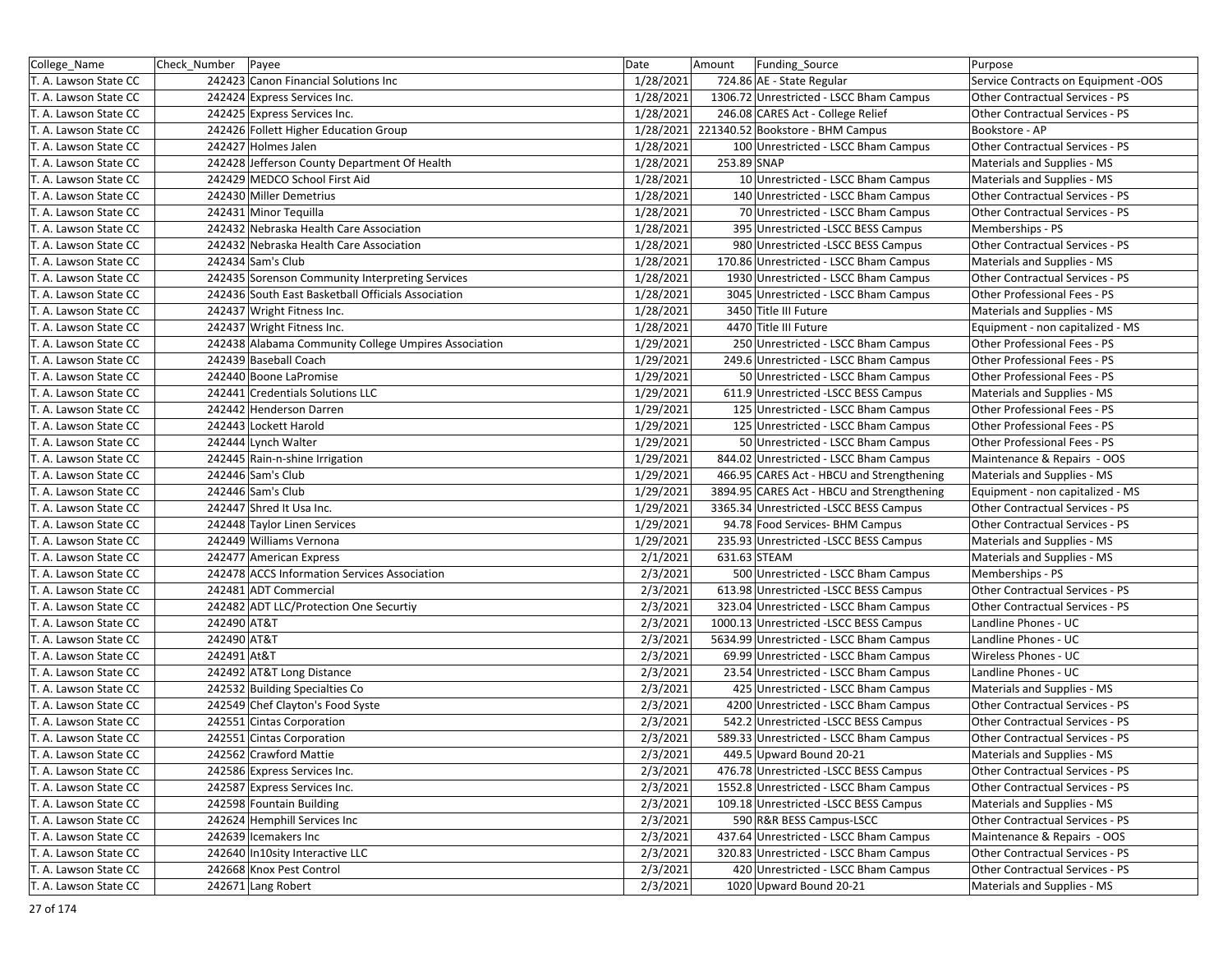| College_Name          | Check Number   Payee |                                                      | Date      | Amount<br>Funding_Source                   | Purpose                             |
|-----------------------|----------------------|------------------------------------------------------|-----------|--------------------------------------------|-------------------------------------|
| T. A. Lawson State CC |                      | 242423 Canon Financial Solutions Inc                 | 1/28/2021 | 724.86 AE - State Regular                  | Service Contracts on Equipment -OOS |
| T. A. Lawson State CC |                      | 242424 Express Services Inc.                         | 1/28/2021 | 1306.72 Unrestricted - LSCC Bham Campus    | Other Contractual Services - PS     |
| T. A. Lawson State CC |                      | 242425 Express Services Inc.                         | 1/28/2021 | 246.08 CARES Act - College Relief          | Other Contractual Services - PS     |
| T. A. Lawson State CC |                      | 242426 Follett Higher Education Group                |           | 1/28/2021 221340.52 Bookstore - BHM Campus | Bookstore - AP                      |
| T. A. Lawson State CC |                      | 242427 Holmes Jalen                                  | 1/28/2021 | 100 Unrestricted - LSCC Bham Campus        | Other Contractual Services - PS     |
| T. A. Lawson State CC |                      | 242428 Jefferson County Department Of Health         | 1/28/2021 | 253.89 SNAP                                | Materials and Supplies - MS         |
| T. A. Lawson State CC |                      | 242429 MEDCO School First Aid                        | 1/28/2021 | 10 Unrestricted - LSCC Bham Campus         | Materials and Supplies - MS         |
| T. A. Lawson State CC |                      | 242430 Miller Demetrius                              | 1/28/2021 | 140 Unrestricted - LSCC Bham Campus        | Other Contractual Services - PS     |
| T. A. Lawson State CC |                      | 242431 Minor Tequilla                                | 1/28/2021 | 70 Unrestricted - LSCC Bham Campus         | Other Contractual Services - PS     |
| T. A. Lawson State CC |                      | 242432 Nebraska Health Care Association              | 1/28/2021 | 395 Unrestricted -LSCC BESS Campus         | Memberships - PS                    |
| T. A. Lawson State CC |                      | 242432 Nebraska Health Care Association              | 1/28/2021 | 980 Unrestricted -LSCC BESS Campus         | Other Contractual Services - PS     |
| T. A. Lawson State CC |                      | 242434 Sam's Club                                    | 1/28/2021 | 170.86 Unrestricted - LSCC Bham Campus     | Materials and Supplies - MS         |
| T. A. Lawson State CC |                      | 242435 Sorenson Community Interpreting Services      | 1/28/2021 | 1930 Unrestricted - LSCC Bham Campus       | Other Contractual Services - PS     |
| T. A. Lawson State CC |                      | 242436 South East Basketball Officials Association   | 1/28/2021 | 3045 Unrestricted - LSCC Bham Campus       | Other Professional Fees - PS        |
| T. A. Lawson State CC |                      | 242437 Wright Fitness Inc.                           | 1/28/2021 | 3450 Title III Future                      | Materials and Supplies - MS         |
| T. A. Lawson State CC |                      | 242437 Wright Fitness Inc.                           | 1/28/2021 | 4470 Title III Future                      | Equipment - non capitalized - MS    |
| T. A. Lawson State CC |                      | 242438 Alabama Community College Umpires Association | 1/29/2021 | 250 Unrestricted - LSCC Bham Campus        | Other Professional Fees - PS        |
| T. A. Lawson State CC |                      | 242439 Baseball Coach                                | 1/29/2021 | 249.6 Unrestricted - LSCC Bham Campus      | Other Professional Fees - PS        |
| T. A. Lawson State CC |                      | 242440 Boone LaPromise                               | 1/29/2021 | 50 Unrestricted - LSCC Bham Campus         | Other Professional Fees - PS        |
| T. A. Lawson State CC |                      | 242441 Credentials Solutions LLC                     | 1/29/2021 | 611.9 Unrestricted -LSCC BESS Campus       | Materials and Supplies - MS         |
| T. A. Lawson State CC |                      | 242442 Henderson Darren                              | 1/29/2021 | 125 Unrestricted - LSCC Bham Campus        | Other Professional Fees - PS        |
| T. A. Lawson State CC |                      | 242443 Lockett Harold                                | 1/29/2021 | 125 Unrestricted - LSCC Bham Campus        | Other Professional Fees - PS        |
| T. A. Lawson State CC |                      | 242444 Lynch Walter                                  | 1/29/2021 | 50 Unrestricted - LSCC Bham Campus         | Other Professional Fees - PS        |
| T. A. Lawson State CC |                      | 242445 Rain-n-shine Irrigation                       | 1/29/2021 | 844.02 Unrestricted - LSCC Bham Campus     | Maintenance & Repairs - OOS         |
| T. A. Lawson State CC |                      | 242446 Sam's Club                                    | 1/29/2021 | 466.95 CARES Act - HBCU and Strengthening  | Materials and Supplies - MS         |
| T. A. Lawson State CC |                      | 242446 Sam's Club                                    | 1/29/2021 | 3894.95 CARES Act - HBCU and Strengthening | Equipment - non capitalized - MS    |
| T. A. Lawson State CC |                      | 242447 Shred It Usa Inc.                             | 1/29/2021 | 3365.34 Unrestricted -LSCC BESS Campus     | Other Contractual Services - PS     |
| T. A. Lawson State CC |                      | 242448 Taylor Linen Services                         | 1/29/2021 | 94.78 Food Services- BHM Campus            | Other Contractual Services - PS     |
| T. A. Lawson State CC |                      | 242449 Williams Vernona                              | 1/29/2021 | 235.93 Unrestricted -LSCC BESS Campus      | Materials and Supplies - MS         |
| T. A. Lawson State CC |                      | 242477 American Express                              | 2/1/2021  | 631.63 STEAM                               | Materials and Supplies - MS         |
| T. A. Lawson State CC |                      | 242478 ACCS Information Services Association         | 2/3/2021  | 500 Unrestricted - LSCC Bham Campus        | Memberships - PS                    |
| T. A. Lawson State CC |                      | 242481 ADT Commercial                                | 2/3/2021  | 613.98 Unrestricted -LSCC BESS Campus      | Other Contractual Services - PS     |
| T. A. Lawson State CC |                      | 242482 ADT LLC/Protection One Securtiy               | 2/3/2021  | 323.04 Unrestricted - LSCC Bham Campus     | Other Contractual Services - PS     |
| T. A. Lawson State CC | 242490 AT&T          |                                                      | 2/3/2021  | 1000.13 Unrestricted -LSCC BESS Campus     | Landline Phones - UC                |
| T. A. Lawson State CC | 242490 AT&T          |                                                      | 2/3/2021  | 5634.99 Unrestricted - LSCC Bham Campus    | Landline Phones - UC                |
| T. A. Lawson State CC | 242491 At&T          |                                                      | 2/3/2021  | 69.99 Unrestricted - LSCC Bham Campus      | Wireless Phones - UC                |
| T. A. Lawson State CC |                      | 242492 AT&T Long Distance                            | 2/3/2021  | 23.54 Unrestricted - LSCC Bham Campus      | Landline Phones - UC                |
| T. A. Lawson State CC |                      | 242532 Building Specialties Co                       | 2/3/2021  | 425 Unrestricted - LSCC Bham Campus        | Materials and Supplies - MS         |
| T. A. Lawson State CC |                      | 242549 Chef Clayton's Food Syste                     | 2/3/2021  | 4200 Unrestricted - LSCC Bham Campus       | Other Contractual Services - PS     |
| T. A. Lawson State CC |                      | 242551 Cintas Corporation                            | 2/3/2021  | 542.2 Unrestricted -LSCC BESS Campus       | Other Contractual Services - PS     |
| T. A. Lawson State CC |                      | 242551 Cintas Corporation                            | 2/3/2021  | 589.33 Unrestricted - LSCC Bham Campus     | Other Contractual Services - PS     |
| T. A. Lawson State CC |                      | 242562 Crawford Mattie                               | 2/3/2021  | 449.5 Upward Bound 20-21                   | Materials and Supplies - MS         |
| T. A. Lawson State CC |                      | 242586 Express Services Inc.                         | 2/3/2021  | 476.78 Unrestricted -LSCC BESS Campus      | Other Contractual Services - PS     |
| T. A. Lawson State CC |                      | 242587 Express Services Inc.                         | 2/3/2021  | 1552.8 Unrestricted - LSCC Bham Campus     | Other Contractual Services - PS     |
| T. A. Lawson State CC |                      | 242598 Fountain Building                             | 2/3/2021  | 109.18 Unrestricted -LSCC BESS Campus      | Materials and Supplies - MS         |
| T. A. Lawson State CC |                      | 242624 Hemphill Services Inc                         | 2/3/2021  | 590 R&R BESS Campus-LSCC                   | Other Contractual Services - PS     |
| T. A. Lawson State CC |                      | 242639 Icemakers Inc                                 | 2/3/2021  | 437.64 Unrestricted - LSCC Bham Campus     | Maintenance & Repairs - OOS         |
| T. A. Lawson State CC |                      | 242640 In10sity Interactive LLC                      | 2/3/2021  | 320.83 Unrestricted - LSCC Bham Campus     | Other Contractual Services - PS     |
| T. A. Lawson State CC |                      | 242668 Knox Pest Control                             | 2/3/2021  | 420 Unrestricted - LSCC Bham Campus        | Other Contractual Services - PS     |
| T. A. Lawson State CC |                      | 242671 Lang Robert                                   | 2/3/2021  | 1020 Upward Bound 20-21                    | Materials and Supplies - MS         |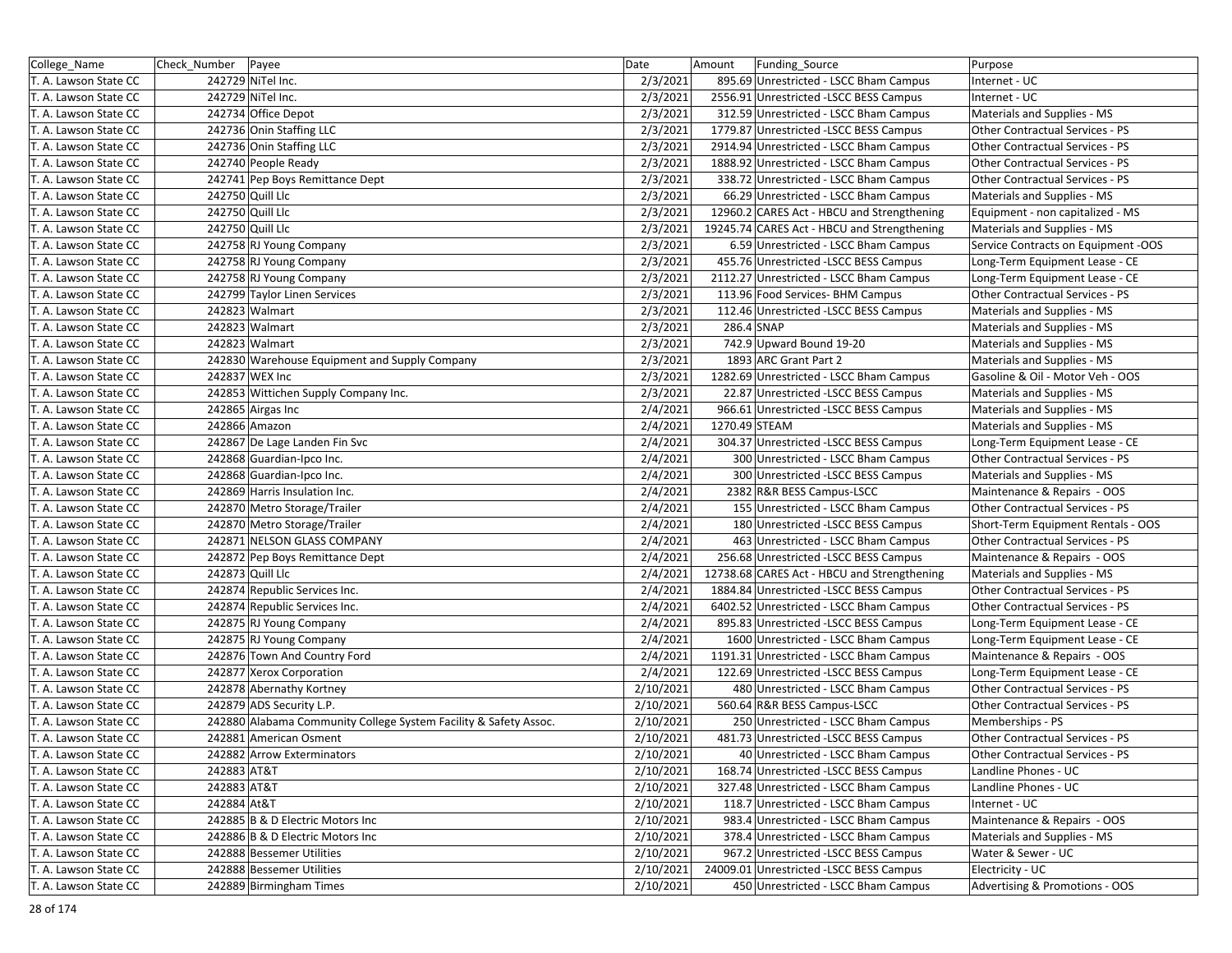| College_Name          | Check Number | Payee                                                            | Date      | Amount        | Funding_Source                              | Purpose                                |
|-----------------------|--------------|------------------------------------------------------------------|-----------|---------------|---------------------------------------------|----------------------------------------|
| T. A. Lawson State CC |              | 242729 NiTel Inc.                                                | 2/3/2021  |               | 895.69 Unrestricted - LSCC Bham Campus      | Internet - UC                          |
| T. A. Lawson State CC |              | 242729 NiTel Inc.                                                | 2/3/2021  |               | 2556.91 Unrestricted -LSCC BESS Campus      | Internet - UC                          |
| T. A. Lawson State CC |              | 242734 Office Depot                                              | 2/3/2021  |               | 312.59 Unrestricted - LSCC Bham Campus      | Materials and Supplies - MS            |
| T. A. Lawson State CC |              | 242736 Onin Staffing LLC                                         | 2/3/2021  |               | 1779.87 Unrestricted -LSCC BESS Campus      | Other Contractual Services - PS        |
| T. A. Lawson State CC |              | 242736 Onin Staffing LLC                                         | 2/3/2021  |               | 2914.94 Unrestricted - LSCC Bham Campus     | Other Contractual Services - PS        |
| T. A. Lawson State CC |              | 242740 People Ready                                              | 2/3/2021  |               | 1888.92 Unrestricted - LSCC Bham Campus     | Other Contractual Services - PS        |
| T. A. Lawson State CC |              | 242741 Pep Boys Remittance Dept                                  | 2/3/2021  |               | 338.72 Unrestricted - LSCC Bham Campus      | Other Contractual Services - PS        |
| T. A. Lawson State CC |              | 242750 Quill Llc                                                 | 2/3/2021  |               | 66.29 Unrestricted - LSCC Bham Campus       | Materials and Supplies - MS            |
| T. A. Lawson State CC |              | 242750 Quill Llc                                                 | 2/3/2021  |               | 12960.2 CARES Act - HBCU and Strengthening  | Equipment - non capitalized - MS       |
| T. A. Lawson State CC |              | 242750 Quill Llc                                                 | 2/3/2021  |               | 19245.74 CARES Act - HBCU and Strengthening | Materials and Supplies - MS            |
| T. A. Lawson State CC |              | 242758 RJ Young Company                                          | 2/3/2021  |               | 6.59 Unrestricted - LSCC Bham Campus        | Service Contracts on Equipment -OOS    |
| T. A. Lawson State CC |              | 242758 RJ Young Company                                          | 2/3/2021  |               | 455.76 Unrestricted -LSCC BESS Campus       | Long-Term Equipment Lease - CE         |
| T. A. Lawson State CC |              | 242758 RJ Young Company                                          | 2/3/2021  |               | 2112.27 Unrestricted - LSCC Bham Campus     | Long-Term Equipment Lease - CE         |
| T. A. Lawson State CC |              | 242799 Taylor Linen Services                                     | 2/3/2021  |               | 113.96 Food Services- BHM Campus            | Other Contractual Services - PS        |
| T. A. Lawson State CC |              | 242823 Walmart                                                   | 2/3/2021  |               | 112.46 Unrestricted -LSCC BESS Campus       | Materials and Supplies - MS            |
| T. A. Lawson State CC |              | 242823 Walmart                                                   | 2/3/2021  | 286.4 SNAP    |                                             | Materials and Supplies - MS            |
| T. A. Lawson State CC |              | 242823 Walmart                                                   | 2/3/2021  |               | 742.9 Upward Bound 19-20                    | Materials and Supplies - MS            |
| T. A. Lawson State CC |              | 242830 Warehouse Equipment and Supply Company                    | 2/3/2021  |               | 1893 ARC Grant Part 2                       | Materials and Supplies - MS            |
| T. A. Lawson State CC |              | 242837 WEX Inc                                                   | 2/3/2021  |               | 1282.69 Unrestricted - LSCC Bham Campus     | Gasoline & Oil - Motor Veh - OOS       |
| T. A. Lawson State CC |              | 242853 Wittichen Supply Company Inc.                             | 2/3/2021  |               | 22.87 Unrestricted -LSCC BESS Campus        | Materials and Supplies - MS            |
| T. A. Lawson State CC |              | 242865 Airgas Inc                                                | 2/4/2021  |               | 966.61 Unrestricted -LSCC BESS Campus       | Materials and Supplies - MS            |
| T. A. Lawson State CC |              | 242866 Amazon                                                    | 2/4/2021  | 1270.49 STEAM |                                             | Materials and Supplies - MS            |
| T. A. Lawson State CC |              | 242867 De Lage Landen Fin Svc                                    | 2/4/2021  |               | 304.37 Unrestricted -LSCC BESS Campus       | Long-Term Equipment Lease - CE         |
| T. A. Lawson State CC |              | 242868 Guardian-Ipco Inc.                                        | 2/4/2021  |               | 300 Unrestricted - LSCC Bham Campus         | Other Contractual Services - PS        |
| T. A. Lawson State CC |              | 242868 Guardian-Ipco Inc.                                        | 2/4/2021  |               | 300 Unrestricted -LSCC BESS Campus          | Materials and Supplies - MS            |
| T. A. Lawson State CC |              | 242869 Harris Insulation Inc.                                    | 2/4/2021  |               | 2382 R&R BESS Campus-LSCC                   | Maintenance & Repairs - OOS            |
| T. A. Lawson State CC |              | 242870 Metro Storage/Trailer                                     | 2/4/2021  |               | 155 Unrestricted - LSCC Bham Campus         | Other Contractual Services - PS        |
| T. A. Lawson State CC |              | 242870 Metro Storage/Trailer                                     | 2/4/2021  |               | 180 Unrestricted - LSCC BESS Campus         | Short-Term Equipment Rentals - OOS     |
| T. A. Lawson State CC |              | 242871 NELSON GLASS COMPANY                                      | 2/4/2021  |               | 463 Unrestricted - LSCC Bham Campus         | Other Contractual Services - PS        |
| T. A. Lawson State CC |              | 242872 Pep Boys Remittance Dept                                  | 2/4/2021  |               | 256.68 Unrestricted -LSCC BESS Campus       | Maintenance & Repairs - OOS            |
| T. A. Lawson State CC |              | 242873 Quill Llc                                                 | 2/4/2021  |               | 12738.68 CARES Act - HBCU and Strengthening | Materials and Supplies - MS            |
| T. A. Lawson State CC |              | 242874 Republic Services Inc.                                    | 2/4/2021  |               | 1884.84 Unrestricted -LSCC BESS Campus      | Other Contractual Services - PS        |
| T. A. Lawson State CC |              | 242874 Republic Services Inc.                                    | 2/4/2021  |               | 6402.52 Unrestricted - LSCC Bham Campus     | Other Contractual Services - PS        |
| T. A. Lawson State CC |              | 242875 RJ Young Company                                          | 2/4/2021  |               | 895.83 Unrestricted -LSCC BESS Campus       | Long-Term Equipment Lease - CE         |
| T. A. Lawson State CC |              | 242875 RJ Young Company                                          | 2/4/2021  |               | 1600 Unrestricted - LSCC Bham Campus        | Long-Term Equipment Lease - CE         |
| T. A. Lawson State CC |              | 242876 Town And Country Ford                                     | 2/4/2021  |               | 1191.31 Unrestricted - LSCC Bham Campus     | Maintenance & Repairs - OOS            |
| T. A. Lawson State CC |              | 242877 Xerox Corporation                                         | 2/4/2021  |               | 122.69 Unrestricted -LSCC BESS Campus       | Long-Term Equipment Lease - CE         |
| T. A. Lawson State CC |              | 242878 Abernathy Kortney                                         | 2/10/2021 |               | 480 Unrestricted - LSCC Bham Campus         | Other Contractual Services - PS        |
| T. A. Lawson State CC |              | 242879 ADS Security L.P.                                         | 2/10/2021 |               | 560.64 R&R BESS Campus-LSCC                 | Other Contractual Services - PS        |
| T. A. Lawson State CC |              | 242880 Alabama Community College System Facility & Safety Assoc. | 2/10/2021 |               | 250 Unrestricted - LSCC Bham Campus         | Memberships - PS                       |
| T. A. Lawson State CC |              | 242881 American Osment                                           | 2/10/2021 |               | 481.73 Unrestricted -LSCC BESS Campus       | <b>Other Contractual Services - PS</b> |
| T. A. Lawson State CC |              | 242882 Arrow Exterminators                                       | 2/10/2021 |               | 40 Unrestricted - LSCC Bham Campus          | Other Contractual Services - PS        |
| T. A. Lawson State CC | 242883 AT&T  |                                                                  | 2/10/2021 |               | 168.74 Unrestricted -LSCC BESS Campus       | Landline Phones - UC                   |
| T. A. Lawson State CC | 242883 AT&T  |                                                                  | 2/10/2021 |               | 327.48 Unrestricted - LSCC Bham Campus      | Landline Phones - UC                   |
| T. A. Lawson State CC | 242884 At&T  |                                                                  | 2/10/2021 |               | 118.7 Unrestricted - LSCC Bham Campus       | Internet - UC                          |
| T. A. Lawson State CC |              | 242885 B & D Electric Motors Inc                                 | 2/10/2021 |               | 983.4 Unrestricted - LSCC Bham Campus       | Maintenance & Repairs - OOS            |
| T. A. Lawson State CC |              | 242886 B & D Electric Motors Inc                                 | 2/10/2021 |               | 378.4 Unrestricted - LSCC Bham Campus       | Materials and Supplies - MS            |
| T. A. Lawson State CC |              | 242888 Bessemer Utilities                                        | 2/10/2021 |               | 967.2 Unrestricted -LSCC BESS Campus        | Water & Sewer - UC                     |
| T. A. Lawson State CC |              | 242888 Bessemer Utilities                                        | 2/10/2021 |               | 24009.01 Unrestricted -LSCC BESS Campus     | Electricity - UC                       |
| T. A. Lawson State CC |              | 242889 Birmingham Times                                          | 2/10/2021 |               | 450 Unrestricted - LSCC Bham Campus         | Advertising & Promotions - OOS         |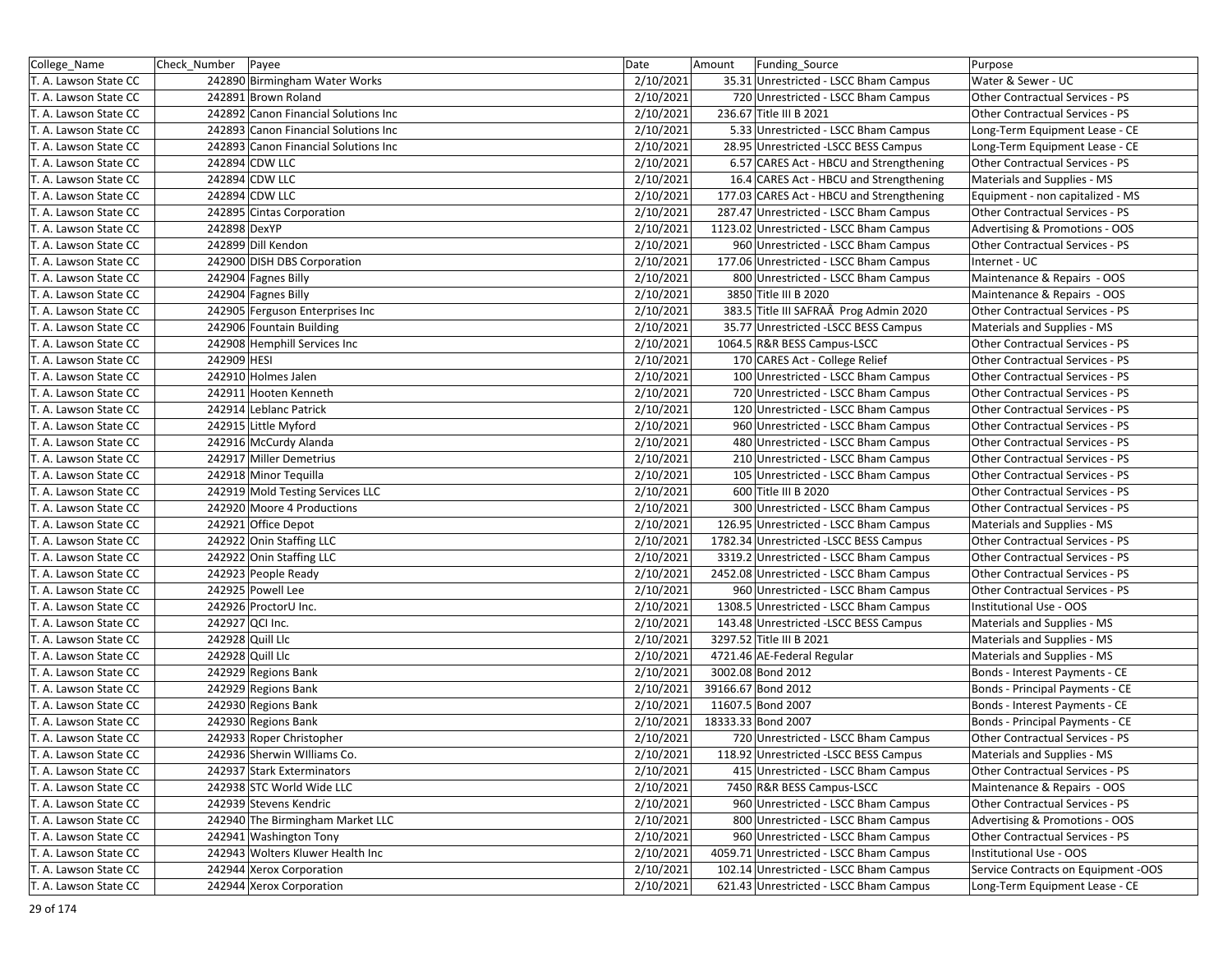| College_Name          | Check Number    | Payee                                | Date      | Funding_Source<br>Amount                  | Purpose                             |
|-----------------------|-----------------|--------------------------------------|-----------|-------------------------------------------|-------------------------------------|
| T. A. Lawson State CC |                 | 242890 Birmingham Water Works        | 2/10/2021 | 35.31 Unrestricted - LSCC Bham Campus     | Water & Sewer - UC                  |
| T. A. Lawson State CC |                 | 242891 Brown Roland                  | 2/10/2021 | 720 Unrestricted - LSCC Bham Campus       | Other Contractual Services - PS     |
| T. A. Lawson State CC |                 | 242892 Canon Financial Solutions Inc | 2/10/2021 | 236.67 Title III B 2021                   | Other Contractual Services - PS     |
| T. A. Lawson State CC |                 | 242893 Canon Financial Solutions Inc | 2/10/2021 | 5.33 Unrestricted - LSCC Bham Campus      | Long-Term Equipment Lease - CE      |
| T. A. Lawson State CC |                 | 242893 Canon Financial Solutions Inc | 2/10/2021 | 28.95 Unrestricted - LSCC BESS Campus     | Long-Term Equipment Lease - CE      |
| T. A. Lawson State CC |                 | 242894 CDW LLC                       | 2/10/2021 | 6.57 CARES Act - HBCU and Strengthening   | Other Contractual Services - PS     |
| T. A. Lawson State CC |                 | 242894 CDW LLC                       | 2/10/2021 | 16.4 CARES Act - HBCU and Strengthening   | Materials and Supplies - MS         |
| T. A. Lawson State CC |                 | 242894 CDW LLC                       | 2/10/2021 | 177.03 CARES Act - HBCU and Strengthening | Equipment - non capitalized - MS    |
| T. A. Lawson State CC |                 | 242895 Cintas Corporation            | 2/10/2021 | 287.47 Unrestricted - LSCC Bham Campus    | Other Contractual Services - PS     |
| T. A. Lawson State CC | 242898 DexYP    |                                      | 2/10/2021 | 1123.02 Unrestricted - LSCC Bham Campus   | Advertising & Promotions - OOS      |
| T. A. Lawson State CC |                 | 242899 Dill Kendon                   | 2/10/2021 | 960 Unrestricted - LSCC Bham Campus       | Other Contractual Services - PS     |
| T. A. Lawson State CC |                 | 242900 DISH DBS Corporation          | 2/10/2021 | 177.06 Unrestricted - LSCC Bham Campus    | Internet - UC                       |
| T. A. Lawson State CC |                 | 242904 Fagnes Billy                  | 2/10/2021 | 800 Unrestricted - LSCC Bham Campus       | Maintenance & Repairs - OOS         |
| T. A. Lawson State CC |                 | 242904 Fagnes Billy                  | 2/10/2021 | 3850 Title III B 2020                     | Maintenance & Repairs - OOS         |
| T. A. Lawson State CC |                 | 242905 Ferguson Enterprises Inc      | 2/10/2021 | 383.5 Title III SAFRAÂ Prog Admin 2020    | Other Contractual Services - PS     |
| T. A. Lawson State CC |                 | 242906 Fountain Building             | 2/10/2021 | 35.77 Unrestricted -LSCC BESS Campus      | Materials and Supplies - MS         |
| T. A. Lawson State CC |                 | 242908 Hemphill Services Inc         | 2/10/2021 | 1064.5 R&R BESS Campus-LSCC               | Other Contractual Services - PS     |
| T. A. Lawson State CC | 242909 HESI     |                                      | 2/10/2021 | 170 CARES Act - College Relief            | Other Contractual Services - PS     |
| T. A. Lawson State CC |                 | 242910 Holmes Jalen                  | 2/10/2021 | 100 Unrestricted - LSCC Bham Campus       | Other Contractual Services - PS     |
| T. A. Lawson State CC |                 | 242911 Hooten Kenneth                | 2/10/2021 | 720 Unrestricted - LSCC Bham Campus       | Other Contractual Services - PS     |
| T. A. Lawson State CC |                 | 242914 Leblanc Patrick               | 2/10/2021 | 120 Unrestricted - LSCC Bham Campus       | Other Contractual Services - PS     |
| T. A. Lawson State CC |                 | 242915 Little Myford                 | 2/10/2021 | 960 Unrestricted - LSCC Bham Campus       | Other Contractual Services - PS     |
| T. A. Lawson State CC |                 | 242916 McCurdy Alanda                | 2/10/2021 | 480 Unrestricted - LSCC Bham Campus       | Other Contractual Services - PS     |
| T. A. Lawson State CC |                 | 242917 Miller Demetrius              | 2/10/2021 | 210 Unrestricted - LSCC Bham Campus       | Other Contractual Services - PS     |
| T. A. Lawson State CC |                 | 242918 Minor Tequilla                | 2/10/2021 | 105 Unrestricted - LSCC Bham Campus       | Other Contractual Services - PS     |
| T. A. Lawson State CC |                 | 242919 Mold Testing Services LLC     | 2/10/2021 | 600 Title III B 2020                      | Other Contractual Services - PS     |
| T. A. Lawson State CC |                 | 242920 Moore 4 Productions           | 2/10/2021 | 300 Unrestricted - LSCC Bham Campus       | Other Contractual Services - PS     |
| T. A. Lawson State CC |                 | 242921 Office Depot                  | 2/10/2021 | 126.95 Unrestricted - LSCC Bham Campus    | Materials and Supplies - MS         |
| T. A. Lawson State CC |                 | 242922 Onin Staffing LLC             | 2/10/2021 | 1782.34 Unrestricted -LSCC BESS Campus    | Other Contractual Services - PS     |
| T. A. Lawson State CC |                 | 242922 Onin Staffing LLC             | 2/10/2021 | 3319.2 Unrestricted - LSCC Bham Campus    | Other Contractual Services - PS     |
| T. A. Lawson State CC |                 | 242923 People Ready                  | 2/10/2021 | 2452.08 Unrestricted - LSCC Bham Campus   | Other Contractual Services - PS     |
| T. A. Lawson State CC |                 | 242925 Powell Lee                    | 2/10/2021 | 960 Unrestricted - LSCC Bham Campus       | Other Contractual Services - PS     |
| T. A. Lawson State CC |                 | 242926 ProctorU Inc.                 | 2/10/2021 | 1308.5 Unrestricted - LSCC Bham Campus    | Institutional Use - OOS             |
| T. A. Lawson State CC | 242927 QCI Inc. |                                      | 2/10/2021 | 143.48 Unrestricted -LSCC BESS Campus     | Materials and Supplies - MS         |
| T. A. Lawson State CC |                 | 242928 Quill Llc                     | 2/10/2021 | 3297.52 Title III B 2021                  | Materials and Supplies - MS         |
| T. A. Lawson State CC |                 | 242928 Quill Llc                     | 2/10/2021 | 4721.46 AE-Federal Regular                | Materials and Supplies - MS         |
| T. A. Lawson State CC |                 | 242929 Regions Bank                  | 2/10/2021 | 3002.08 Bond 2012                         | Bonds - Interest Payments - CE      |
| T. A. Lawson State CC |                 | 242929 Regions Bank                  | 2/10/2021 | 39166.67 Bond 2012                        | Bonds - Principal Payments - CE     |
| T. A. Lawson State CC |                 | 242930 Regions Bank                  | 2/10/2021 | 11607.5 Bond 2007                         | Bonds - Interest Payments - CE      |
| T. A. Lawson State CC |                 | 242930 Regions Bank                  | 2/10/2021 | 18333.33 Bond 2007                        | Bonds - Principal Payments - CE     |
| T. A. Lawson State CC |                 | 242933 Roper Christopher             | 2/10/2021 | 720 Unrestricted - LSCC Bham Campus       | Other Contractual Services - PS     |
| T. A. Lawson State CC |                 | 242936 Sherwin Williams Co.          | 2/10/2021 | 118.92 Unrestricted -LSCC BESS Campus     | Materials and Supplies - MS         |
| T. A. Lawson State CC |                 | 242937 Stark Exterminators           | 2/10/2021 | 415 Unrestricted - LSCC Bham Campus       | Other Contractual Services - PS     |
| T. A. Lawson State CC |                 | 242938 STC World Wide LLC            | 2/10/2021 | 7450 R&R BESS Campus-LSCC                 | Maintenance & Repairs - OOS         |
| T. A. Lawson State CC |                 | 242939 Stevens Kendric               | 2/10/2021 | 960 Unrestricted - LSCC Bham Campus       | Other Contractual Services - PS     |
| T. A. Lawson State CC |                 | 242940 The Birmingham Market LLC     | 2/10/2021 | 800 Unrestricted - LSCC Bham Campus       | Advertising & Promotions - OOS      |
| T. A. Lawson State CC |                 | 242941 Washington Tony               | 2/10/2021 | 960 Unrestricted - LSCC Bham Campus       | Other Contractual Services - PS     |
| T. A. Lawson State CC |                 | 242943 Wolters Kluwer Health Inc     | 2/10/2021 | 4059.71 Unrestricted - LSCC Bham Campus   | Institutional Use - OOS             |
| T. A. Lawson State CC |                 | 242944 Xerox Corporation             | 2/10/2021 | 102.14 Unrestricted - LSCC Bham Campus    | Service Contracts on Equipment -OOS |
| T. A. Lawson State CC |                 | 242944 Xerox Corporation             | 2/10/2021 | 621.43 Unrestricted - LSCC Bham Campus    | Long-Term Equipment Lease - CE      |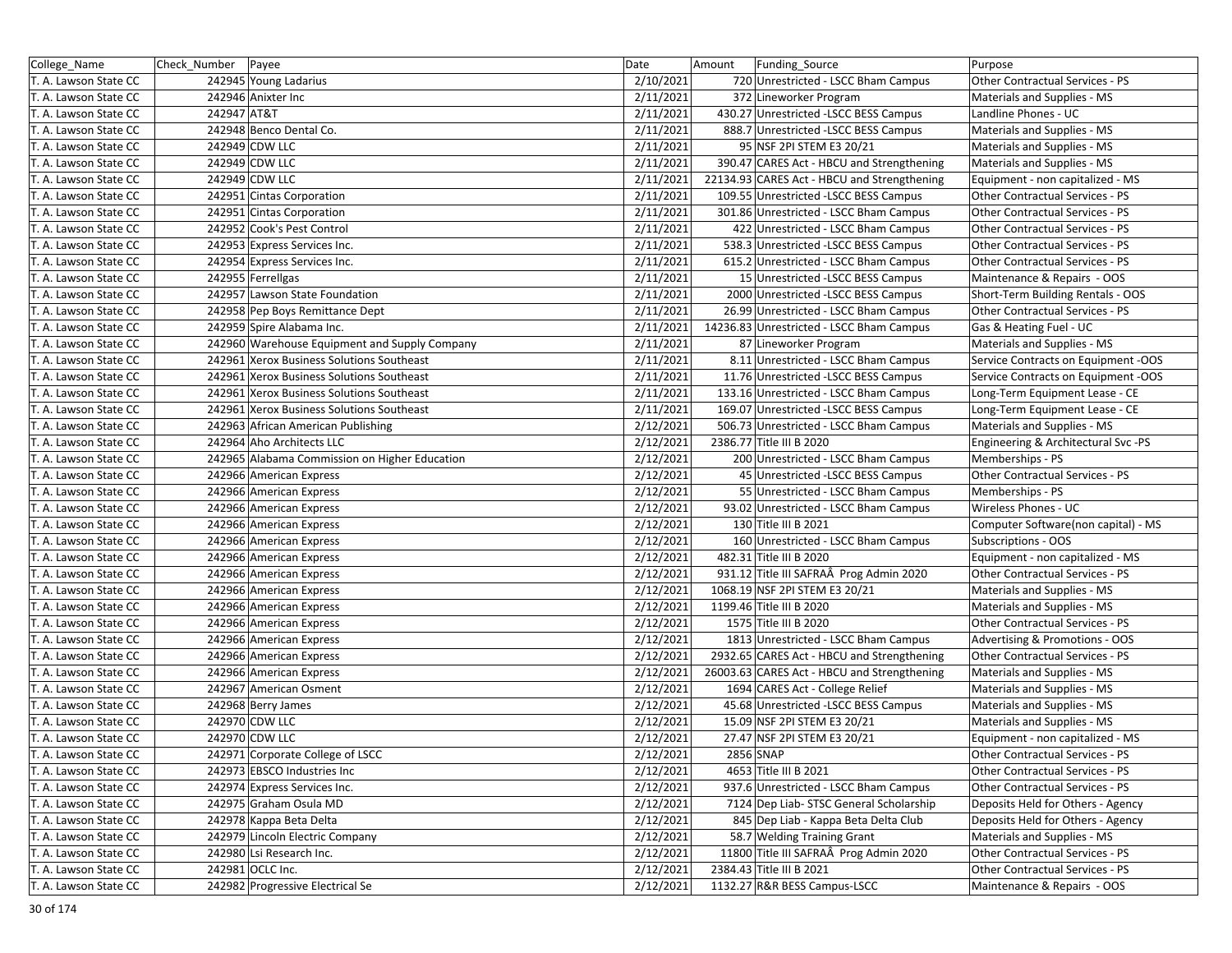| College_Name          | Check_Number Payee |                                               | Date      | Amount<br><b>Funding Source</b>             | Purpose                             |
|-----------------------|--------------------|-----------------------------------------------|-----------|---------------------------------------------|-------------------------------------|
| T. A. Lawson State CC |                    | 242945 Young Ladarius                         | 2/10/2021 | 720 Unrestricted - LSCC Bham Campus         | Other Contractual Services - PS     |
| T. A. Lawson State CC |                    | 242946 Anixter Inc                            | 2/11/2021 | 372 Lineworker Program                      | Materials and Supplies - MS         |
| T. A. Lawson State CC | 242947 AT&T        |                                               | 2/11/2021 | 430.27 Unrestricted -LSCC BESS Campus       | Landline Phones - UC                |
| T. A. Lawson State CC |                    | 242948 Benco Dental Co.                       | 2/11/2021 | 888.7 Unrestricted -LSCC BESS Campus        | Materials and Supplies - MS         |
| T. A. Lawson State CC |                    | 242949 CDW LLC                                | 2/11/2021 | 95 NSF 2PI STEM E3 20/21                    | Materials and Supplies - MS         |
| T. A. Lawson State CC |                    | 242949 CDW LLC                                | 2/11/2021 | 390.47 CARES Act - HBCU and Strengthening   | Materials and Supplies - MS         |
| T. A. Lawson State CC |                    | 242949 CDW LLC                                | 2/11/2021 | 22134.93 CARES Act - HBCU and Strengthening | Equipment - non capitalized - MS    |
| T. A. Lawson State CC |                    | 242951 Cintas Corporation                     | 2/11/2021 | 109.55 Unrestricted -LSCC BESS Campus       | Other Contractual Services - PS     |
| T. A. Lawson State CC |                    | 242951 Cintas Corporation                     | 2/11/2021 | 301.86 Unrestricted - LSCC Bham Campus      | Other Contractual Services - PS     |
| T. A. Lawson State CC |                    | 242952 Cook's Pest Control                    | 2/11/2021 | 422 Unrestricted - LSCC Bham Campus         | Other Contractual Services - PS     |
| T. A. Lawson State CC |                    | 242953 Express Services Inc.                  | 2/11/2021 | 538.3 Unrestricted -LSCC BESS Campus        | Other Contractual Services - PS     |
| T. A. Lawson State CC |                    | 242954 Express Services Inc.                  | 2/11/2021 | 615.2 Unrestricted - LSCC Bham Campus       | Other Contractual Services - PS     |
| T. A. Lawson State CC |                    | 242955 Ferrellgas                             | 2/11/2021 | 15 Unrestricted - LSCC BESS Campus          | Maintenance & Repairs - OOS         |
| T. A. Lawson State CC |                    | 242957 Lawson State Foundation                | 2/11/2021 | 2000 Unrestricted -LSCC BESS Campus         | Short-Term Building Rentals - OOS   |
| T. A. Lawson State CC |                    | 242958 Pep Boys Remittance Dept               | 2/11/2021 | 26.99 Unrestricted - LSCC Bham Campus       | Other Contractual Services - PS     |
| T. A. Lawson State CC |                    | 242959 Spire Alabama Inc.                     | 2/11/2021 | 14236.83 Unrestricted - LSCC Bham Campus    | Gas & Heating Fuel - UC             |
| T. A. Lawson State CC |                    | 242960 Warehouse Equipment and Supply Company | 2/11/2021 | 87 Lineworker Program                       | Materials and Supplies - MS         |
| T. A. Lawson State CC |                    | 242961 Xerox Business Solutions Southeast     | 2/11/2021 | 8.11 Unrestricted - LSCC Bham Campus        | Service Contracts on Equipment -OOS |
| T. A. Lawson State CC |                    | 242961 Xerox Business Solutions Southeast     | 2/11/2021 | 11.76 Unrestricted -LSCC BESS Campus        | Service Contracts on Equipment -OOS |
| T. A. Lawson State CC |                    | 242961 Xerox Business Solutions Southeast     | 2/11/2021 | 133.16 Unrestricted - LSCC Bham Campus      | Long-Term Equipment Lease - CE      |
| T. A. Lawson State CC |                    | 242961 Xerox Business Solutions Southeast     | 2/11/2021 | 169.07 Unrestricted -LSCC BESS Campus       | Long-Term Equipment Lease - CE      |
| T. A. Lawson State CC |                    | 242963 African American Publishing            | 2/12/2021 | 506.73 Unrestricted - LSCC Bham Campus      | Materials and Supplies - MS         |
| T. A. Lawson State CC |                    | 242964 Aho Architects LLC                     | 2/12/2021 | 2386.77 Title III B 2020                    | Engineering & Architectural Svc -PS |
| T. A. Lawson State CC |                    | 242965 Alabama Commission on Higher Education | 2/12/2021 | 200 Unrestricted - LSCC Bham Campus         | Memberships - PS                    |
| T. A. Lawson State CC |                    | 242966 American Express                       | 2/12/2021 | 45 Unrestricted - LSCC BESS Campus          | Other Contractual Services - PS     |
| T. A. Lawson State CC |                    | 242966 American Express                       | 2/12/2021 | 55 Unrestricted - LSCC Bham Campus          | Memberships - PS                    |
| T. A. Lawson State CC |                    | 242966 American Express                       | 2/12/2021 | 93.02 Unrestricted - LSCC Bham Campus       | Wireless Phones - UC                |
| T. A. Lawson State CC |                    | 242966 American Express                       | 2/12/2021 | 130 Title III B 2021                        | Computer Software(non capital) - MS |
| T. A. Lawson State CC |                    | 242966 American Express                       | 2/12/2021 | 160 Unrestricted - LSCC Bham Campus         | Subscriptions - OOS                 |
| T. A. Lawson State CC |                    | 242966 American Express                       | 2/12/2021 | 482.31 Title III B 2020                     | Equipment - non capitalized - MS    |
| T. A. Lawson State CC |                    | 242966 American Express                       | 2/12/2021 | 931.12 Title III SAFRAÂ Prog Admin 2020     | Other Contractual Services - PS     |
| T. A. Lawson State CC |                    | 242966 American Express                       | 2/12/2021 | 1068.19 NSF 2PI STEM E3 20/21               | Materials and Supplies - MS         |
| T. A. Lawson State CC |                    | 242966 American Express                       | 2/12/2021 | 1199.46 Title III B 2020                    | Materials and Supplies - MS         |
| T. A. Lawson State CC |                    | 242966 American Express                       | 2/12/2021 | 1575 Title III B 2020                       | Other Contractual Services - PS     |
| T. A. Lawson State CC |                    | 242966 American Express                       | 2/12/2021 | 1813 Unrestricted - LSCC Bham Campus        | Advertising & Promotions - OOS      |
| T. A. Lawson State CC |                    | 242966 American Express                       | 2/12/2021 | 2932.65 CARES Act - HBCU and Strengthening  | Other Contractual Services - PS     |
| T. A. Lawson State CC |                    | 242966 American Express                       | 2/12/2021 | 26003.63 CARES Act - HBCU and Strengthening | Materials and Supplies - MS         |
| T. A. Lawson State CC |                    | 242967 American Osment                        | 2/12/2021 | 1694 CARES Act - College Relief             | Materials and Supplies - MS         |
| T. A. Lawson State CC |                    | 242968 Berry James                            | 2/12/2021 | 45.68 Unrestricted -LSCC BESS Campus        | Materials and Supplies - MS         |
| T. A. Lawson State CC |                    | 242970 CDW LLC                                | 2/12/2021 | 15.09 NSF 2PI STEM E3 20/21                 | Materials and Supplies - MS         |
| T. A. Lawson State CC |                    | 242970 CDW LLC                                | 2/12/2021 | 27.47 NSF 2PI STEM E3 20/21                 | Equipment - non capitalized - MS    |
| T. A. Lawson State CC |                    | 242971 Corporate College of LSCC              | 2/12/2021 | 2856 SNAP                                   | Other Contractual Services - PS     |
| T. A. Lawson State CC |                    | 242973 EBSCO Industries Inc                   | 2/12/2021 | 4653 Title III B 2021                       | Other Contractual Services - PS     |
| T. A. Lawson State CC |                    | 242974 Express Services Inc.                  | 2/12/2021 | 937.6 Unrestricted - LSCC Bham Campus       | Other Contractual Services - PS     |
| T. A. Lawson State CC |                    | 242975 Graham Osula MD                        | 2/12/2021 | 7124 Dep Liab- STSC General Scholarship     | Deposits Held for Others - Agency   |
| T. A. Lawson State CC |                    | 242978 Kappa Beta Delta                       | 2/12/2021 | 845 Dep Liab - Kappa Beta Delta Club        | Deposits Held for Others - Agency   |
| T. A. Lawson State CC |                    | 242979 Lincoln Electric Company               | 2/12/2021 | 58.7 Welding Training Grant                 | Materials and Supplies - MS         |
| T. A. Lawson State CC |                    | 242980 Lsi Research Inc.                      | 2/12/2021 | 11800 Title III SAFRAÂ Prog Admin 2020      | Other Contractual Services - PS     |
| T. A. Lawson State CC |                    | 242981 OCLC Inc.                              | 2/12/2021 | 2384.43 Title III B 2021                    | Other Contractual Services - PS     |
| T. A. Lawson State CC |                    | 242982 Progressive Electrical Se              | 2/12/2021 | 1132.27 R&R BESS Campus-LSCC                | Maintenance & Repairs - OOS         |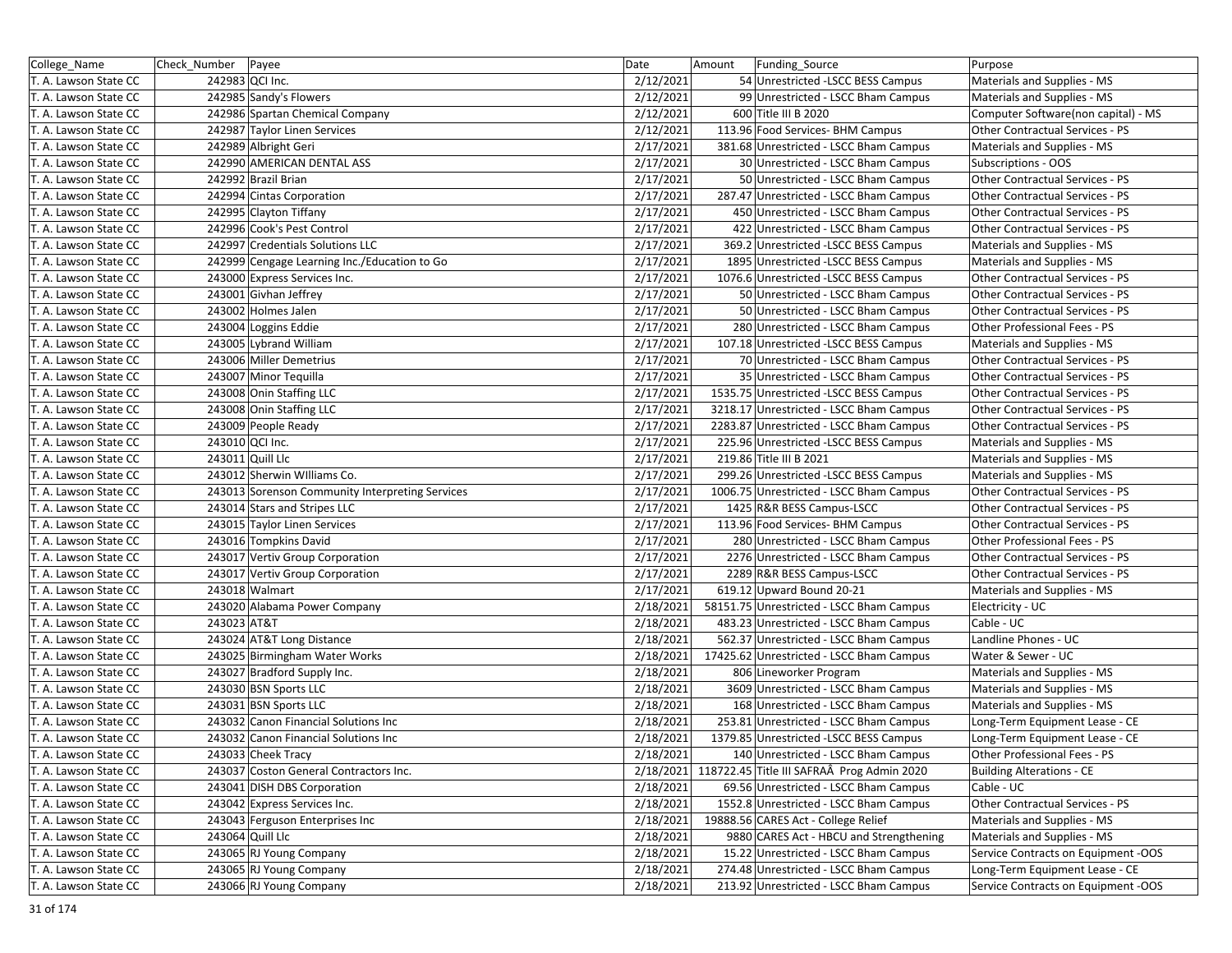| College_Name          | Check_Number   Payee |                                                 | Date      | Amount<br>Funding_Source                             | Purpose                             |
|-----------------------|----------------------|-------------------------------------------------|-----------|------------------------------------------------------|-------------------------------------|
| T. A. Lawson State CC | 242983 QCI Inc.      |                                                 | 2/12/2021 | 54 Unrestricted -LSCC BESS Campus                    | Materials and Supplies - MS         |
| T. A. Lawson State CC |                      | 242985 Sandy's Flowers                          | 2/12/2021 | 99 Unrestricted - LSCC Bham Campus                   | Materials and Supplies - MS         |
| T. A. Lawson State CC |                      | 242986 Spartan Chemical Company                 | 2/12/2021 | 600 Title III B 2020                                 | Computer Software(non capital) - MS |
| T. A. Lawson State CC |                      | 242987 Taylor Linen Services                    | 2/12/2021 | 113.96 Food Services- BHM Campus                     | Other Contractual Services - PS     |
| T. A. Lawson State CC |                      | 242989 Albright Geri                            | 2/17/2021 | 381.68 Unrestricted - LSCC Bham Campus               | Materials and Supplies - MS         |
| T. A. Lawson State CC |                      | 242990 AMERICAN DENTAL ASS                      | 2/17/2021 | 30 Unrestricted - LSCC Bham Campus                   | Subscriptions - OOS                 |
| T. A. Lawson State CC |                      | 242992 Brazil Brian                             | 2/17/2021 | 50 Unrestricted - LSCC Bham Campus                   | Other Contractual Services - PS     |
| T. A. Lawson State CC |                      | 242994 Cintas Corporation                       | 2/17/2021 | 287.47 Unrestricted - LSCC Bham Campus               | Other Contractual Services - PS     |
| T. A. Lawson State CC |                      | 242995 Clayton Tiffany                          | 2/17/2021 | 450 Unrestricted - LSCC Bham Campus                  | Other Contractual Services - PS     |
| T. A. Lawson State CC |                      | 242996 Cook's Pest Control                      | 2/17/2021 | 422 Unrestricted - LSCC Bham Campus                  | Other Contractual Services - PS     |
| T. A. Lawson State CC |                      | 242997 Credentials Solutions LLC                | 2/17/2021 | 369.2 Unrestricted -LSCC BESS Campus                 | Materials and Supplies - MS         |
| T. A. Lawson State CC |                      | 242999 Cengage Learning Inc./Education to Go    | 2/17/2021 | 1895 Unrestricted - LSCC BESS Campus                 | Materials and Supplies - MS         |
| T. A. Lawson State CC |                      | 243000 Express Services Inc.                    | 2/17/2021 | 1076.6 Unrestricted -LSCC BESS Campus                | Other Contractual Services - PS     |
| T. A. Lawson State CC |                      | 243001 Givhan Jeffrey                           | 2/17/2021 | 50 Unrestricted - LSCC Bham Campus                   | Other Contractual Services - PS     |
| T. A. Lawson State CC |                      | 243002 Holmes Jalen                             | 2/17/2021 | 50 Unrestricted - LSCC Bham Campus                   | Other Contractual Services - PS     |
| T. A. Lawson State CC |                      | 243004 Loggins Eddie                            | 2/17/2021 | 280 Unrestricted - LSCC Bham Campus                  | Other Professional Fees - PS        |
| T. A. Lawson State CC |                      | 243005 Lybrand William                          | 2/17/2021 | 107.18 Unrestricted -LSCC BESS Campus                | Materials and Supplies - MS         |
| T. A. Lawson State CC |                      | 243006 Miller Demetrius                         | 2/17/2021 | 70 Unrestricted - LSCC Bham Campus                   | Other Contractual Services - PS     |
| T. A. Lawson State CC |                      | 243007 Minor Tequilla                           | 2/17/2021 | 35 Unrestricted - LSCC Bham Campus                   | Other Contractual Services - PS     |
| T. A. Lawson State CC |                      | 243008 Onin Staffing LLC                        | 2/17/2021 | 1535.75 Unrestricted -LSCC BESS Campus               | Other Contractual Services - PS     |
| T. A. Lawson State CC |                      | 243008 Onin Staffing LLC                        | 2/17/2021 | 3218.17 Unrestricted - LSCC Bham Campus              | Other Contractual Services - PS     |
| T. A. Lawson State CC |                      | 243009 People Ready                             | 2/17/2021 | 2283.87 Unrestricted - LSCC Bham Campus              | Other Contractual Services - PS     |
| T. A. Lawson State CC | 243010 QCI Inc.      |                                                 | 2/17/2021 | 225.96 Unrestricted -LSCC BESS Campus                | Materials and Supplies - MS         |
| T. A. Lawson State CC | 243011 Quill Llc     |                                                 | 2/17/2021 | 219.86 Title III B 2021                              | Materials and Supplies - MS         |
| T. A. Lawson State CC |                      | 243012 Sherwin Williams Co.                     | 2/17/2021 | 299.26 Unrestricted -LSCC BESS Campus                | Materials and Supplies - MS         |
| T. A. Lawson State CC |                      | 243013 Sorenson Community Interpreting Services | 2/17/2021 | 1006.75 Unrestricted - LSCC Bham Campus              | Other Contractual Services - PS     |
| T. A. Lawson State CC |                      | 243014 Stars and Stripes LLC                    | 2/17/2021 | 1425 R&R BESS Campus-LSCC                            | Other Contractual Services - PS     |
| T. A. Lawson State CC |                      | 243015 Taylor Linen Services                    | 2/17/2021 | 113.96 Food Services- BHM Campus                     | Other Contractual Services - PS     |
| T. A. Lawson State CC |                      | 243016 Tompkins David                           | 2/17/2021 | 280 Unrestricted - LSCC Bham Campus                  | Other Professional Fees - PS        |
| T. A. Lawson State CC |                      | 243017 Vertiv Group Corporation                 | 2/17/2021 | 2276 Unrestricted - LSCC Bham Campus                 | Other Contractual Services - PS     |
| T. A. Lawson State CC |                      | 243017 Vertiv Group Corporation                 | 2/17/2021 | 2289 R&R BESS Campus-LSCC                            | Other Contractual Services - PS     |
| T. A. Lawson State CC |                      | 243018 Walmart                                  | 2/17/2021 | 619.12 Upward Bound 20-21                            | Materials and Supplies - MS         |
| T. A. Lawson State CC |                      | 243020 Alabama Power Company                    | 2/18/2021 | 58151.75 Unrestricted - LSCC Bham Campus             | Electricity - UC                    |
| T. A. Lawson State CC | 243023 AT&T          |                                                 | 2/18/2021 | 483.23 Unrestricted - LSCC Bham Campus               | Cable - UC                          |
| T. A. Lawson State CC |                      | 243024 AT&T Long Distance                       | 2/18/2021 | 562.37 Unrestricted - LSCC Bham Campus               | Landline Phones - UC                |
| T. A. Lawson State CC |                      | 243025 Birmingham Water Works                   | 2/18/2021 | 17425.62 Unrestricted - LSCC Bham Campus             | Water & Sewer - UC                  |
| T. A. Lawson State CC |                      | 243027 Bradford Supply Inc.                     | 2/18/2021 | 806 Lineworker Program                               | Materials and Supplies - MS         |
| T. A. Lawson State CC |                      | 243030 BSN Sports LLC                           | 2/18/2021 | 3609 Unrestricted - LSCC Bham Campus                 | Materials and Supplies - MS         |
| T. A. Lawson State CC |                      | 243031 BSN Sports LLC                           | 2/18/2021 | 168 Unrestricted - LSCC Bham Campus                  | Materials and Supplies - MS         |
| T. A. Lawson State CC |                      | 243032 Canon Financial Solutions Inc            | 2/18/2021 | 253.81 Unrestricted - LSCC Bham Campus               | Long-Term Equipment Lease - CE      |
| T. A. Lawson State CC |                      | 243032 Canon Financial Solutions Inc            | 2/18/2021 | 1379.85 Unrestricted -LSCC BESS Campus               | Long-Term Equipment Lease - CE      |
| T. A. Lawson State CC |                      | 243033 Cheek Tracy                              | 2/18/2021 | 140 Unrestricted - LSCC Bham Campus                  | Other Professional Fees - PS        |
| T. A. Lawson State CC |                      | 243037 Coston General Contractors Inc.          |           | 2/18/2021 118722.45 Title III SAFRAÂ Prog Admin 2020 | <b>Building Alterations - CE</b>    |
| T. A. Lawson State CC |                      | 243041 DISH DBS Corporation                     | 2/18/2021 | 69.56 Unrestricted - LSCC Bham Campus                | Cable - UC                          |
| T. A. Lawson State CC |                      | 243042 Express Services Inc.                    | 2/18/2021 | 1552.8 Unrestricted - LSCC Bham Campus               | Other Contractual Services - PS     |
| T. A. Lawson State CC |                      | 243043 Ferguson Enterprises Inc                 | 2/18/2021 | 19888.56 CARES Act - College Relief                  | Materials and Supplies - MS         |
| T. A. Lawson State CC | 243064 Quill Llc     |                                                 | 2/18/2021 | 9880 CARES Act - HBCU and Strengthening              | Materials and Supplies - MS         |
| T. A. Lawson State CC |                      | 243065 RJ Young Company                         | 2/18/2021 | 15.22 Unrestricted - LSCC Bham Campus                | Service Contracts on Equipment -OOS |
| T. A. Lawson State CC |                      | 243065 RJ Young Company                         | 2/18/2021 | 274.48 Unrestricted - LSCC Bham Campus               | Long-Term Equipment Lease - CE      |
| T. A. Lawson State CC |                      | 243066 RJ Young Company                         | 2/18/2021 | 213.92 Unrestricted - LSCC Bham Campus               | Service Contracts on Equipment -OOS |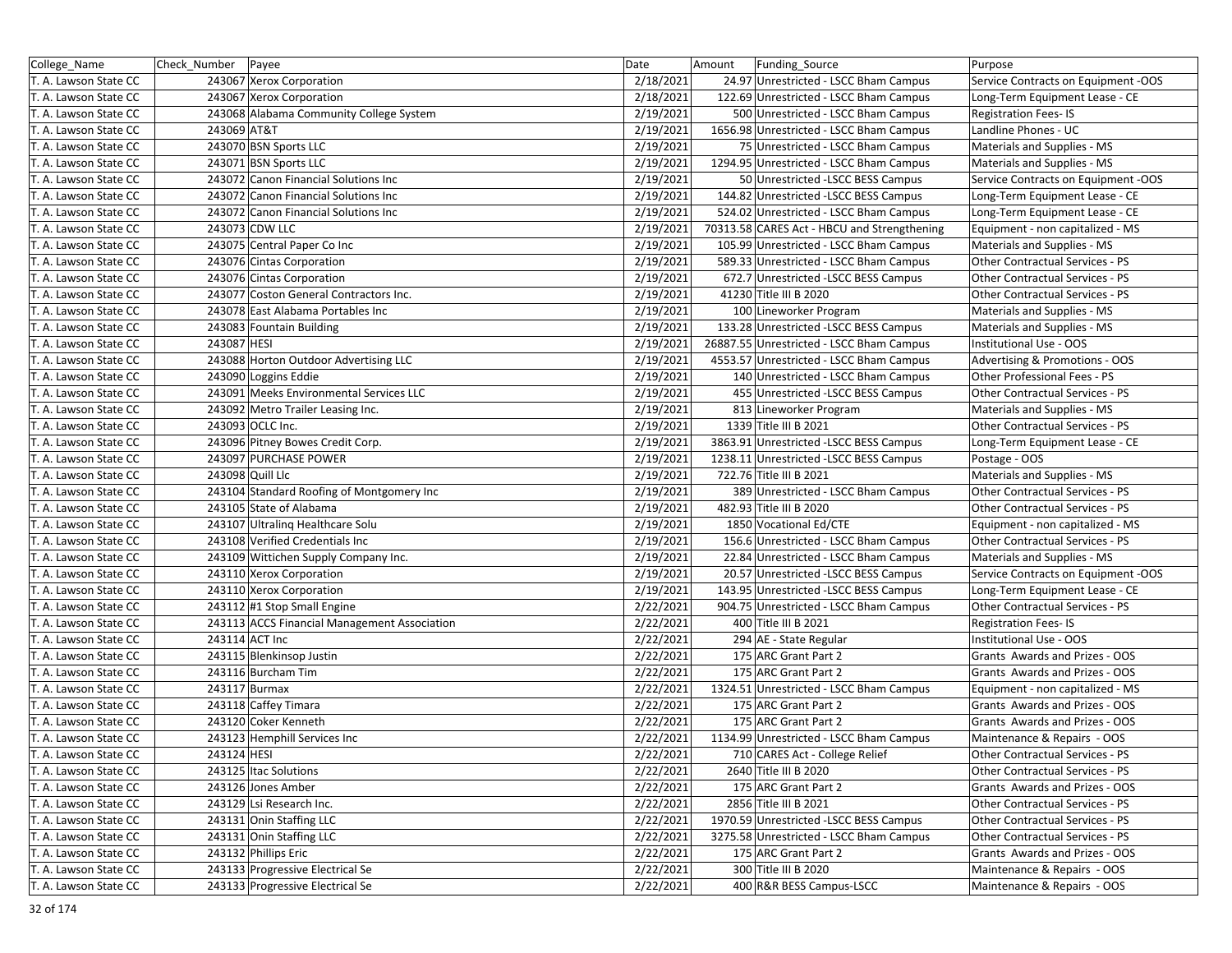| College_Name          | Check_Number Payee |                                              | Date      | Amount | Funding_Source                              | Purpose                             |
|-----------------------|--------------------|----------------------------------------------|-----------|--------|---------------------------------------------|-------------------------------------|
| T. A. Lawson State CC |                    | 243067 Xerox Corporation                     | 2/18/2021 |        | 24.97 Unrestricted - LSCC Bham Campus       | Service Contracts on Equipment -OOS |
| T. A. Lawson State CC |                    | 243067 Xerox Corporation                     | 2/18/2021 |        | 122.69 Unrestricted - LSCC Bham Campus      | Long-Term Equipment Lease - CE      |
| T. A. Lawson State CC |                    | 243068 Alabama Community College System      | 2/19/2021 |        | 500 Unrestricted - LSCC Bham Campus         | <b>Registration Fees-IS</b>         |
| T. A. Lawson State CC | 243069 AT&T        |                                              | 2/19/2021 |        | 1656.98 Unrestricted - LSCC Bham Campus     | Landline Phones - UC                |
| T. A. Lawson State CC |                    | 243070 BSN Sports LLC                        | 2/19/2021 |        | 75 Unrestricted - LSCC Bham Campus          | Materials and Supplies - MS         |
| T. A. Lawson State CC |                    | 243071 BSN Sports LLC                        | 2/19/2021 |        | 1294.95 Unrestricted - LSCC Bham Campus     | Materials and Supplies - MS         |
| T. A. Lawson State CC |                    | 243072 Canon Financial Solutions Inc         | 2/19/2021 |        | 50 Unrestricted - LSCC BESS Campus          | Service Contracts on Equipment -OOS |
| T. A. Lawson State CC |                    | 243072 Canon Financial Solutions Inc         | 2/19/2021 |        | 144.82 Unrestricted -LSCC BESS Campus       | Long-Term Equipment Lease - CE      |
| T. A. Lawson State CC |                    | 243072 Canon Financial Solutions Inc         | 2/19/2021 |        | 524.02 Unrestricted - LSCC Bham Campus      | Long-Term Equipment Lease - CE      |
| T. A. Lawson State CC |                    | 243073 CDW LLC                               | 2/19/2021 |        | 70313.58 CARES Act - HBCU and Strengthening | Equipment - non capitalized - MS    |
| T. A. Lawson State CC |                    | 243075 Central Paper Co Inc                  | 2/19/2021 |        | 105.99 Unrestricted - LSCC Bham Campus      | Materials and Supplies - MS         |
| T. A. Lawson State CC |                    | 243076 Cintas Corporation                    | 2/19/2021 |        | 589.33 Unrestricted - LSCC Bham Campus      | Other Contractual Services - PS     |
| T. A. Lawson State CC |                    | 243076 Cintas Corporation                    | 2/19/2021 |        | 672.7 Unrestricted -LSCC BESS Campus        | Other Contractual Services - PS     |
| T. A. Lawson State CC |                    | 243077 Coston General Contractors Inc.       | 2/19/2021 |        | 41230 Title III B 2020                      | Other Contractual Services - PS     |
| T. A. Lawson State CC |                    | 243078 East Alabama Portables Inc            | 2/19/2021 |        | 100 Lineworker Program                      | Materials and Supplies - MS         |
| T. A. Lawson State CC |                    | 243083 Fountain Building                     | 2/19/2021 |        | 133.28 Unrestricted - LSCC BESS Campus      | Materials and Supplies - MS         |
| T. A. Lawson State CC | 243087 HESI        |                                              | 2/19/2021 |        | 26887.55 Unrestricted - LSCC Bham Campus    | Institutional Use - OOS             |
| T. A. Lawson State CC |                    | 243088 Horton Outdoor Advertising LLC        | 2/19/2021 |        | 4553.57 Unrestricted - LSCC Bham Campus     | Advertising & Promotions - OOS      |
| T. A. Lawson State CC |                    | 243090 Loggins Eddie                         | 2/19/2021 |        | 140 Unrestricted - LSCC Bham Campus         | Other Professional Fees - PS        |
| T. A. Lawson State CC |                    | 243091 Meeks Environmental Services LLC      | 2/19/2021 |        | 455 Unrestricted - LSCC BESS Campus         | Other Contractual Services - PS     |
| T. A. Lawson State CC |                    | 243092 Metro Trailer Leasing Inc.            | 2/19/2021 |        | 813 Lineworker Program                      | Materials and Supplies - MS         |
| T. A. Lawson State CC |                    | 243093 OCLC Inc.                             | 2/19/2021 |        | 1339 Title III B 2021                       | Other Contractual Services - PS     |
| T. A. Lawson State CC |                    | 243096 Pitney Bowes Credit Corp.             | 2/19/2021 |        | 3863.91 Unrestricted -LSCC BESS Campus      | Long-Term Equipment Lease - CE      |
| T. A. Lawson State CC |                    | 243097 PURCHASE POWER                        | 2/19/2021 |        | 1238.11 Unrestricted -LSCC BESS Campus      | Postage - OOS                       |
| T. A. Lawson State CC |                    | 243098 Quill Llc                             | 2/19/2021 |        | 722.76 Title III B 2021                     | Materials and Supplies - MS         |
| T. A. Lawson State CC |                    | 243104 Standard Roofing of Montgomery Inc    | 2/19/2021 |        | 389 Unrestricted - LSCC Bham Campus         | Other Contractual Services - PS     |
| T. A. Lawson State CC |                    | 243105 State of Alabama                      | 2/19/2021 |        | 482.93 Title III B 2020                     | Other Contractual Services - PS     |
| T. A. Lawson State CC |                    | 243107 Ultraling Healthcare Solu             | 2/19/2021 |        | 1850 Vocational Ed/CTE                      | Equipment - non capitalized - MS    |
| T. A. Lawson State CC |                    | 243108 Verified Credentials Inc              | 2/19/2021 |        | 156.6 Unrestricted - LSCC Bham Campus       | Other Contractual Services - PS     |
| T. A. Lawson State CC |                    | 243109 Wittichen Supply Company Inc.         | 2/19/2021 |        | 22.84 Unrestricted - LSCC Bham Campus       | Materials and Supplies - MS         |
| T. A. Lawson State CC |                    | 243110 Xerox Corporation                     | 2/19/2021 |        | 20.57 Unrestricted -LSCC BESS Campus        | Service Contracts on Equipment -OOS |
| T. A. Lawson State CC |                    | 243110 Xerox Corporation                     | 2/19/2021 |        | 143.95 Unrestricted -LSCC BESS Campus       | Long-Term Equipment Lease - CE      |
| T. A. Lawson State CC |                    | 243112 #1 Stop Small Engine                  | 2/22/2021 |        | 904.75 Unrestricted - LSCC Bham Campus      | Other Contractual Services - PS     |
| T. A. Lawson State CC |                    | 243113 ACCS Financial Management Association | 2/22/2021 |        | 400 Title III B 2021                        | <b>Registration Fees-IS</b>         |
| T. A. Lawson State CC | 243114 ACT Inc     |                                              | 2/22/2021 |        | 294 AE - State Regular                      | Institutional Use - OOS             |
| T. A. Lawson State CC |                    | 243115 Blenkinsop Justin                     | 2/22/2021 |        | 175 ARC Grant Part 2                        | Grants Awards and Prizes - OOS      |
| T. A. Lawson State CC |                    | 243116 Burcham Tim                           | 2/22/2021 |        | 175 ARC Grant Part 2                        | Grants Awards and Prizes - OOS      |
| T. A. Lawson State CC |                    | 243117 Burmax                                | 2/22/2021 |        | 1324.51 Unrestricted - LSCC Bham Campus     | Equipment - non capitalized - MS    |
| T. A. Lawson State CC |                    | 243118 Caffey Timara                         | 2/22/2021 |        | 175 ARC Grant Part 2                        | Grants Awards and Prizes - OOS      |
| T. A. Lawson State CC |                    | 243120 Coker Kenneth                         | 2/22/2021 |        | 175 ARC Grant Part 2                        | Grants Awards and Prizes - OOS      |
| T. A. Lawson State CC |                    | 243123 Hemphill Services Inc                 | 2/22/2021 |        | 1134.99 Unrestricted - LSCC Bham Campus     | Maintenance & Repairs - OOS         |
| T. A. Lawson State CC | 243124 HESI        |                                              | 2/22/2021 |        | 710 CARES Act - College Relief              | Other Contractual Services - PS     |
| T. A. Lawson State CC |                    | 243125 Itac Solutions                        | 2/22/2021 |        | 2640 Title III B 2020                       | Other Contractual Services - PS     |
| T. A. Lawson State CC |                    | 243126 Jones Amber                           | 2/22/2021 |        | 175 ARC Grant Part 2                        | Grants Awards and Prizes - OOS      |
| T. A. Lawson State CC |                    | 243129 Lsi Research Inc.                     | 2/22/2021 |        | 2856 Title III B 2021                       | Other Contractual Services - PS     |
| T. A. Lawson State CC |                    | 243131 Onin Staffing LLC                     | 2/22/2021 |        | 1970.59 Unrestricted -LSCC BESS Campus      | Other Contractual Services - PS     |
| T. A. Lawson State CC |                    | 243131 Onin Staffing LLC                     | 2/22/2021 |        | 3275.58 Unrestricted - LSCC Bham Campus     | Other Contractual Services - PS     |
| T. A. Lawson State CC |                    | 243132 Phillips Eric                         | 2/22/2021 |        | 175 ARC Grant Part 2                        | Grants Awards and Prizes - OOS      |
| T. A. Lawson State CC |                    | 243133 Progressive Electrical Se             | 2/22/2021 |        | 300 Title III B 2020                        | Maintenance & Repairs - OOS         |
| T. A. Lawson State CC |                    | 243133 Progressive Electrical Se             | 2/22/2021 |        | 400 R&R BESS Campus-LSCC                    | Maintenance & Repairs - OOS         |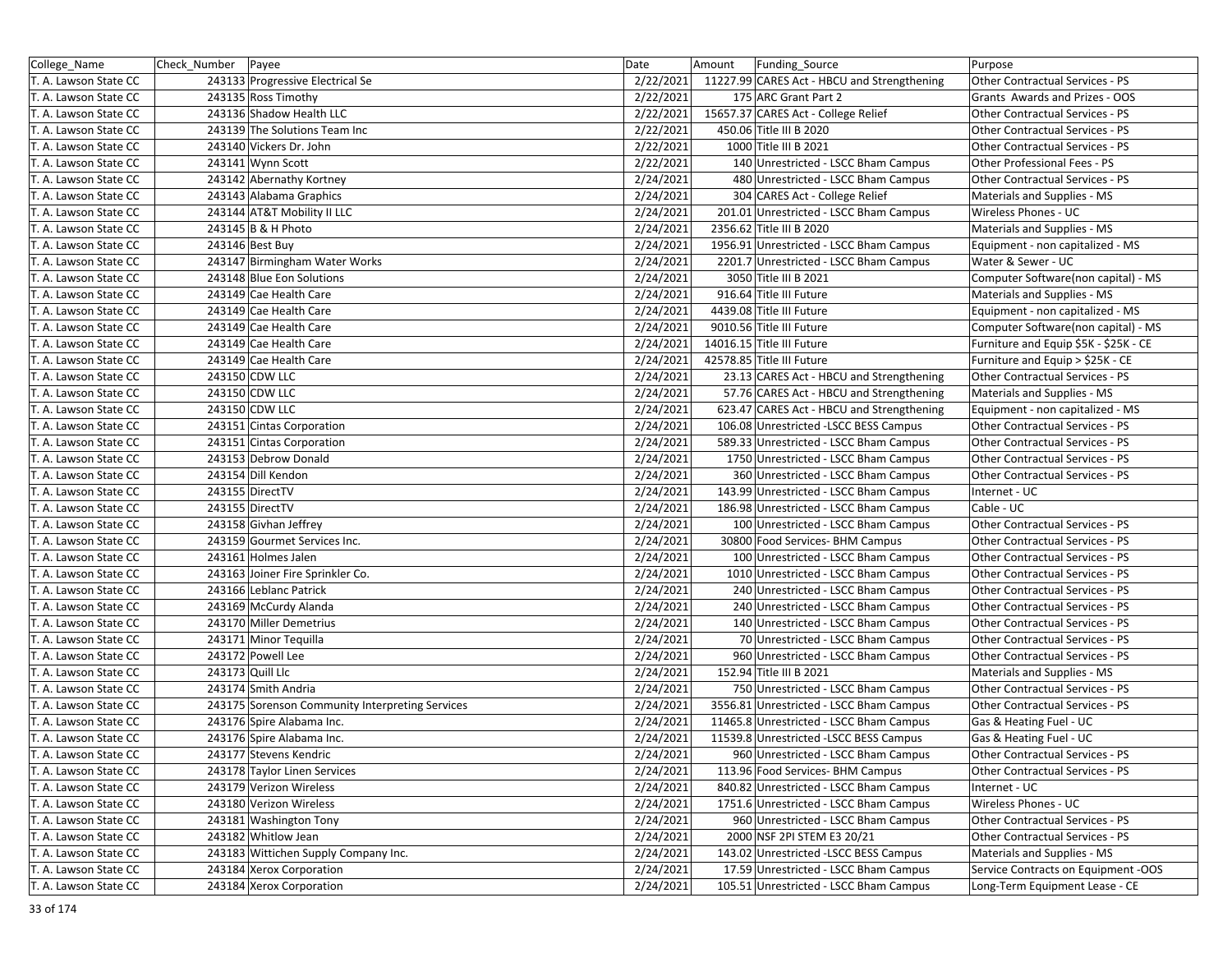| College_Name          | Check Number Payee |                                                 | Date      | Amount | Funding_Source                              | Purpose                               |
|-----------------------|--------------------|-------------------------------------------------|-----------|--------|---------------------------------------------|---------------------------------------|
| T. A. Lawson State CC |                    | 243133 Progressive Electrical Se                | 2/22/2021 |        | 11227.99 CARES Act - HBCU and Strengthening | Other Contractual Services - PS       |
| T. A. Lawson State CC |                    | 243135 Ross Timothy                             | 2/22/2021 |        | 175 ARC Grant Part 2                        | Grants Awards and Prizes - OOS        |
| T. A. Lawson State CC |                    | 243136 Shadow Health LLC                        | 2/22/2021 |        | 15657.37 CARES Act - College Relief         | Other Contractual Services - PS       |
| T. A. Lawson State CC |                    | 243139 The Solutions Team Inc                   | 2/22/2021 |        | 450.06 Title III B 2020                     | Other Contractual Services - PS       |
| T. A. Lawson State CC |                    | 243140 Vickers Dr. John                         | 2/22/2021 |        | 1000 Title III B 2021                       | Other Contractual Services - PS       |
| T. A. Lawson State CC |                    | 243141 Wynn Scott                               | 2/22/2021 |        | 140 Unrestricted - LSCC Bham Campus         | Other Professional Fees - PS          |
| T. A. Lawson State CC |                    | 243142 Abernathy Kortney                        | 2/24/2021 |        | 480 Unrestricted - LSCC Bham Campus         | Other Contractual Services - PS       |
| T. A. Lawson State CC |                    | 243143 Alabama Graphics                         | 2/24/2021 |        | 304 CARES Act - College Relief              | Materials and Supplies - MS           |
| T. A. Lawson State CC |                    | 243144 AT&T Mobility II LLC                     | 2/24/2021 |        | 201.01 Unrestricted - LSCC Bham Campus      | Wireless Phones - UC                  |
| T. A. Lawson State CC |                    | 243145 B & H Photo                              | 2/24/2021 |        | 2356.62 Title III B 2020                    | Materials and Supplies - MS           |
| T. A. Lawson State CC |                    | 243146 Best Buy                                 | 2/24/2021 |        | 1956.91 Unrestricted - LSCC Bham Campus     | Equipment - non capitalized - MS      |
| T. A. Lawson State CC |                    | 243147 Birmingham Water Works                   | 2/24/2021 |        | 2201.7 Unrestricted - LSCC Bham Campus      | Water & Sewer - UC                    |
| T. A. Lawson State CC |                    | 243148 Blue Eon Solutions                       | 2/24/2021 |        | 3050 Title III B 2021                       | Computer Software(non capital) - MS   |
| T. A. Lawson State CC |                    | 243149 Cae Health Care                          | 2/24/2021 |        | 916.64 Title III Future                     | Materials and Supplies - MS           |
| T. A. Lawson State CC |                    | 243149 Cae Health Care                          | 2/24/2021 |        | 4439.08 Title III Future                    | Equipment - non capitalized - MS      |
| T. A. Lawson State CC |                    | 243149 Cae Health Care                          | 2/24/2021 |        | 9010.56 Title III Future                    | Computer Software(non capital) - MS   |
| T. A. Lawson State CC |                    | 243149 Cae Health Care                          | 2/24/2021 |        | 14016.15 Title III Future                   | Furniture and Equip \$5K - \$25K - CE |
| T. A. Lawson State CC |                    | 243149 Cae Health Care                          | 2/24/2021 |        | 42578.85 Title III Future                   | Furniture and Equip > \$25K - CE      |
| T. A. Lawson State CC |                    | 243150 CDW LLC                                  | 2/24/2021 |        | 23.13 CARES Act - HBCU and Strengthening    | Other Contractual Services - PS       |
| T. A. Lawson State CC |                    | 243150 CDW LLC                                  | 2/24/2021 |        | 57.76 CARES Act - HBCU and Strengthening    | Materials and Supplies - MS           |
| T. A. Lawson State CC |                    | 243150 CDW LLC                                  | 2/24/2021 |        | 623.47 CARES Act - HBCU and Strengthening   | Equipment - non capitalized - MS      |
| T. A. Lawson State CC |                    | 243151 Cintas Corporation                       | 2/24/2021 |        | 106.08 Unrestricted -LSCC BESS Campus       | Other Contractual Services - PS       |
| T. A. Lawson State CC |                    | 243151 Cintas Corporation                       | 2/24/2021 |        | 589.33 Unrestricted - LSCC Bham Campus      | Other Contractual Services - PS       |
| T. A. Lawson State CC |                    | 243153 Debrow Donald                            | 2/24/2021 |        | 1750 Unrestricted - LSCC Bham Campus        | Other Contractual Services - PS       |
| T. A. Lawson State CC |                    | 243154 Dill Kendon                              | 2/24/2021 |        | 360 Unrestricted - LSCC Bham Campus         | Other Contractual Services - PS       |
| T. A. Lawson State CC |                    | 243155 DirectTV                                 | 2/24/2021 |        | 143.99 Unrestricted - LSCC Bham Campus      | Internet - UC                         |
| T. A. Lawson State CC |                    | 243155 DirectTV                                 | 2/24/2021 |        | 186.98 Unrestricted - LSCC Bham Campus      | Cable - UC                            |
| T. A. Lawson State CC |                    | 243158 Givhan Jeffrey                           | 2/24/2021 |        | 100 Unrestricted - LSCC Bham Campus         | Other Contractual Services - PS       |
| T. A. Lawson State CC |                    | 243159 Gourmet Services Inc.                    | 2/24/2021 |        | 30800 Food Services- BHM Campus             | Other Contractual Services - PS       |
| T. A. Lawson State CC |                    | 243161 Holmes Jalen                             | 2/24/2021 |        | 100 Unrestricted - LSCC Bham Campus         | Other Contractual Services - PS       |
| T. A. Lawson State CC |                    | 243163 Joiner Fire Sprinkler Co.                | 2/24/2021 |        | 1010 Unrestricted - LSCC Bham Campus        | Other Contractual Services - PS       |
| T. A. Lawson State CC |                    | 243166 Leblanc Patrick                          | 2/24/2021 |        | 240 Unrestricted - LSCC Bham Campus         | Other Contractual Services - PS       |
| T. A. Lawson State CC |                    | 243169 McCurdy Alanda                           | 2/24/2021 |        | 240 Unrestricted - LSCC Bham Campus         | Other Contractual Services - PS       |
| T. A. Lawson State CC |                    | 243170 Miller Demetrius                         | 2/24/2021 |        | 140 Unrestricted - LSCC Bham Campus         | Other Contractual Services - PS       |
| T. A. Lawson State CC |                    | 243171 Minor Tequilla                           | 2/24/2021 |        | 70 Unrestricted - LSCC Bham Campus          | Other Contractual Services - PS       |
| T. A. Lawson State CC |                    | 243172 Powell Lee                               | 2/24/2021 |        | 960 Unrestricted - LSCC Bham Campus         | Other Contractual Services - PS       |
| T. A. Lawson State CC |                    | 243173 Quill Llc                                | 2/24/2021 |        | 152.94 Title III B 2021                     | Materials and Supplies - MS           |
| T. A. Lawson State CC |                    | 243174 Smith Andria                             | 2/24/2021 |        | 750 Unrestricted - LSCC Bham Campus         | Other Contractual Services - PS       |
| T. A. Lawson State CC |                    | 243175 Sorenson Community Interpreting Services | 2/24/2021 |        | 3556.81 Unrestricted - LSCC Bham Campus     | Other Contractual Services - PS       |
| T. A. Lawson State CC |                    | 243176 Spire Alabama Inc.                       | 2/24/2021 |        | 11465.8 Unrestricted - LSCC Bham Campus     | Gas & Heating Fuel - UC               |
| T. A. Lawson State CC |                    | 243176 Spire Alabama Inc.                       | 2/24/2021 |        | 11539.8 Unrestricted -LSCC BESS Campus      | Gas & Heating Fuel - UC               |
| T. A. Lawson State CC |                    | 243177 Stevens Kendric                          | 2/24/2021 |        | 960 Unrestricted - LSCC Bham Campus         | Other Contractual Services - PS       |
| T. A. Lawson State CC |                    | 243178 Taylor Linen Services                    | 2/24/2021 |        | 113.96 Food Services- BHM Campus            | Other Contractual Services - PS       |
| T. A. Lawson State CC |                    | 243179 Verizon Wireless                         | 2/24/2021 |        | 840.82 Unrestricted - LSCC Bham Campus      | Internet - UC                         |
| T. A. Lawson State CC |                    | 243180 Verizon Wireless                         | 2/24/2021 |        | 1751.6 Unrestricted - LSCC Bham Campus      | Wireless Phones - UC                  |
| T. A. Lawson State CC |                    | 243181 Washington Tony                          | 2/24/2021 |        | 960 Unrestricted - LSCC Bham Campus         | Other Contractual Services - PS       |
| T. A. Lawson State CC |                    | 243182 Whitlow Jean                             | 2/24/2021 |        | 2000 NSF 2PI STEM E3 20/21                  | Other Contractual Services - PS       |
| T. A. Lawson State CC |                    | 243183 Wittichen Supply Company Inc.            | 2/24/2021 |        | 143.02 Unrestricted -LSCC BESS Campus       | Materials and Supplies - MS           |
| T. A. Lawson State CC |                    | 243184 Xerox Corporation                        | 2/24/2021 |        | 17.59 Unrestricted - LSCC Bham Campus       | Service Contracts on Equipment -OOS   |
| T. A. Lawson State CC |                    | 243184 Xerox Corporation                        | 2/24/2021 |        | 105.51 Unrestricted - LSCC Bham Campus      | Long-Term Equipment Lease - CE        |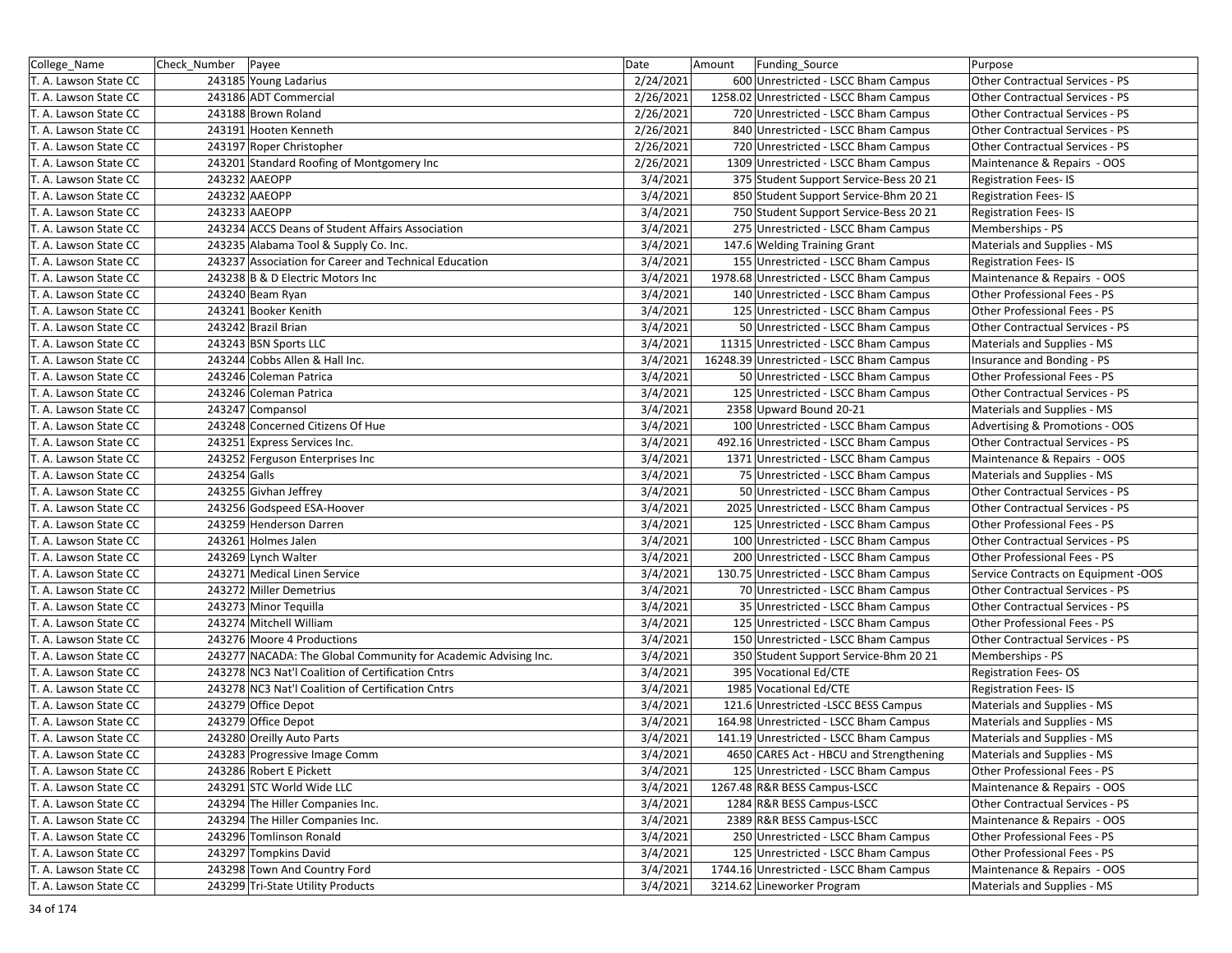| College_Name          | Check Number | Payee                                                          | Date      | Amount | <b>Funding Source</b>                    | Purpose                             |
|-----------------------|--------------|----------------------------------------------------------------|-----------|--------|------------------------------------------|-------------------------------------|
| T. A. Lawson State CC |              | 243185 Young Ladarius                                          | 2/24/2021 |        | 600 Unrestricted - LSCC Bham Campus      | Other Contractual Services - PS     |
| T. A. Lawson State CC |              | 243186 ADT Commercial                                          | 2/26/2021 |        | 1258.02 Unrestricted - LSCC Bham Campus  | Other Contractual Services - PS     |
| T. A. Lawson State CC |              | 243188 Brown Roland                                            | 2/26/2021 |        | 720 Unrestricted - LSCC Bham Campus      | Other Contractual Services - PS     |
| T. A. Lawson State CC |              | 243191 Hooten Kenneth                                          | 2/26/2021 |        | 840 Unrestricted - LSCC Bham Campus      | Other Contractual Services - PS     |
| T. A. Lawson State CC |              | 243197 Roper Christopher                                       | 2/26/2021 |        | 720 Unrestricted - LSCC Bham Campus      | Other Contractual Services - PS     |
| T. A. Lawson State CC |              | 243201 Standard Roofing of Montgomery Inc                      | 2/26/2021 |        | 1309 Unrestricted - LSCC Bham Campus     | Maintenance & Repairs - OOS         |
| T. A. Lawson State CC |              | 243232 AAEOPP                                                  | 3/4/2021  |        | 375 Student Support Service-Bess 20 21   | <b>Registration Fees-IS</b>         |
| T. A. Lawson State CC |              | 243232 AAEOPP                                                  | 3/4/2021  |        | 850 Student Support Service-Bhm 20 21    | <b>Registration Fees-IS</b>         |
| T. A. Lawson State CC |              | 243233 AAEOPP                                                  | 3/4/2021  |        | 750 Student Support Service-Bess 20 21   | <b>Registration Fees-IS</b>         |
| T. A. Lawson State CC |              | 243234 ACCS Deans of Student Affairs Association               | 3/4/2021  |        | 275 Unrestricted - LSCC Bham Campus      | Memberships - PS                    |
| T. A. Lawson State CC |              | 243235 Alabama Tool & Supply Co. Inc.                          | 3/4/2021  |        | 147.6 Welding Training Grant             | Materials and Supplies - MS         |
| T. A. Lawson State CC |              | 243237 Association for Career and Technical Education          | 3/4/2021  |        | 155 Unrestricted - LSCC Bham Campus      | <b>Registration Fees-IS</b>         |
| T. A. Lawson State CC |              | 243238 B & D Electric Motors Inc                               | 3/4/2021  |        | 1978.68 Unrestricted - LSCC Bham Campus  | Maintenance & Repairs - OOS         |
| T. A. Lawson State CC |              | 243240 Beam Ryan                                               | 3/4/2021  |        | 140 Unrestricted - LSCC Bham Campus      | Other Professional Fees - PS        |
| T. A. Lawson State CC |              | 243241 Booker Kenith                                           | 3/4/2021  |        | 125 Unrestricted - LSCC Bham Campus      | Other Professional Fees - PS        |
| T. A. Lawson State CC |              | 243242 Brazil Brian                                            | 3/4/2021  |        | 50 Unrestricted - LSCC Bham Campus       | Other Contractual Services - PS     |
| T. A. Lawson State CC |              | 243243 BSN Sports LLC                                          | 3/4/2021  |        | 11315 Unrestricted - LSCC Bham Campus    | Materials and Supplies - MS         |
| T. A. Lawson State CC |              | 243244 Cobbs Allen & Hall Inc.                                 | 3/4/2021  |        | 16248.39 Unrestricted - LSCC Bham Campus | Insurance and Bonding - PS          |
| T. A. Lawson State CC |              | 243246 Coleman Patrica                                         | 3/4/2021  |        | 50 Unrestricted - LSCC Bham Campus       | Other Professional Fees - PS        |
| T. A. Lawson State CC |              | 243246 Coleman Patrica                                         | 3/4/2021  |        | 125 Unrestricted - LSCC Bham Campus      | Other Contractual Services - PS     |
| T. A. Lawson State CC |              | 243247 Compansol                                               | 3/4/2021  |        | 2358 Upward Bound 20-21                  | Materials and Supplies - MS         |
| T. A. Lawson State CC |              | 243248 Concerned Citizens Of Hue                               | 3/4/2021  |        | 100 Unrestricted - LSCC Bham Campus      | Advertising & Promotions - OOS      |
| T. A. Lawson State CC |              | 243251 Express Services Inc.                                   | 3/4/2021  |        | 492.16 Unrestricted - LSCC Bham Campus   | Other Contractual Services - PS     |
| T. A. Lawson State CC |              | 243252 Ferguson Enterprises Inc                                | 3/4/2021  |        | 1371 Unrestricted - LSCC Bham Campus     | Maintenance & Repairs - OOS         |
| T. A. Lawson State CC | 243254 Galls |                                                                | 3/4/2021  |        | 75 Unrestricted - LSCC Bham Campus       | Materials and Supplies - MS         |
| T. A. Lawson State CC |              | 243255 Givhan Jeffrey                                          | 3/4/2021  |        | 50 Unrestricted - LSCC Bham Campus       | Other Contractual Services - PS     |
| T. A. Lawson State CC |              | 243256 Godspeed ESA-Hoover                                     | 3/4/2021  |        | 2025 Unrestricted - LSCC Bham Campus     | Other Contractual Services - PS     |
| T. A. Lawson State CC |              | 243259 Henderson Darren                                        | 3/4/2021  |        | 125 Unrestricted - LSCC Bham Campus      | Other Professional Fees - PS        |
| T. A. Lawson State CC |              | 243261 Holmes Jalen                                            | 3/4/2021  |        | 100 Unrestricted - LSCC Bham Campus      | Other Contractual Services - PS     |
| T. A. Lawson State CC |              | 243269 Lynch Walter                                            | 3/4/2021  |        | 200 Unrestricted - LSCC Bham Campus      | Other Professional Fees - PS        |
| T. A. Lawson State CC |              | 243271 Medical Linen Service                                   | 3/4/2021  |        | 130.75 Unrestricted - LSCC Bham Campus   | Service Contracts on Equipment -OOS |
| T. A. Lawson State CC |              | 243272 Miller Demetrius                                        | 3/4/2021  |        | 70 Unrestricted - LSCC Bham Campus       | Other Contractual Services - PS     |
| T. A. Lawson State CC |              | 243273 Minor Tequilla                                          | 3/4/2021  |        | 35 Unrestricted - LSCC Bham Campus       | Other Contractual Services - PS     |
| T. A. Lawson State CC |              | 243274 Mitchell William                                        | 3/4/2021  |        | 125 Unrestricted - LSCC Bham Campus      | Other Professional Fees - PS        |
| T. A. Lawson State CC |              | 243276 Moore 4 Productions                                     | 3/4/2021  |        | 150 Unrestricted - LSCC Bham Campus      | Other Contractual Services - PS     |
| T. A. Lawson State CC |              | 243277 NACADA: The Global Community for Academic Advising Inc. | 3/4/2021  |        | 350 Student Support Service-Bhm 20 21    | Memberships - PS                    |
| T. A. Lawson State CC |              | 243278 NC3 Nat'l Coalition of Certification Cntrs              | 3/4/2021  |        | 395 Vocational Ed/CTE                    | <b>Registration Fees-OS</b>         |
| T. A. Lawson State CC |              | 243278 NC3 Nat'l Coalition of Certification Cntrs              | 3/4/2021  |        | 1985 Vocational Ed/CTE                   | <b>Registration Fees-IS</b>         |
| T. A. Lawson State CC |              | 243279 Office Depot                                            | 3/4/2021  |        | 121.6 Unrestricted -LSCC BESS Campus     | Materials and Supplies - MS         |
| T. A. Lawson State CC |              | 243279 Office Depot                                            | 3/4/2021  |        | 164.98 Unrestricted - LSCC Bham Campus   | Materials and Supplies - MS         |
| T. A. Lawson State CC |              | 243280 Oreilly Auto Parts                                      | 3/4/2021  |        | 141.19 Unrestricted - LSCC Bham Campus   | Materials and Supplies - MS         |
| T. A. Lawson State CC |              | 243283 Progressive Image Comm                                  | 3/4/2021  |        | 4650 CARES Act - HBCU and Strengthening  | Materials and Supplies - MS         |
| T. A. Lawson State CC |              | 243286 Robert E Pickett                                        | 3/4/2021  |        | 125 Unrestricted - LSCC Bham Campus      | Other Professional Fees - PS        |
| T. A. Lawson State CC |              | 243291 STC World Wide LLC                                      | 3/4/2021  |        | 1267.48 R&R BESS Campus-LSCC             | Maintenance & Repairs - OOS         |
| T. A. Lawson State CC |              | 243294 The Hiller Companies Inc.                               | 3/4/2021  |        | 1284 R&R BESS Campus-LSCC                | Other Contractual Services - PS     |
| T. A. Lawson State CC |              | 243294 The Hiller Companies Inc.                               | 3/4/2021  |        | 2389 R&R BESS Campus-LSCC                | Maintenance & Repairs - OOS         |
| T. A. Lawson State CC |              | 243296 Tomlinson Ronald                                        | 3/4/2021  |        | 250 Unrestricted - LSCC Bham Campus      | Other Professional Fees - PS        |
| T. A. Lawson State CC |              | 243297 Tompkins David                                          | 3/4/2021  |        | 125 Unrestricted - LSCC Bham Campus      | Other Professional Fees - PS        |
| T. A. Lawson State CC |              | 243298 Town And Country Ford                                   | 3/4/2021  |        | 1744.16 Unrestricted - LSCC Bham Campus  | Maintenance & Repairs - OOS         |
| T. A. Lawson State CC |              | 243299 Tri-State Utility Products                              | 3/4/2021  |        | 3214.62 Lineworker Program               | Materials and Supplies - MS         |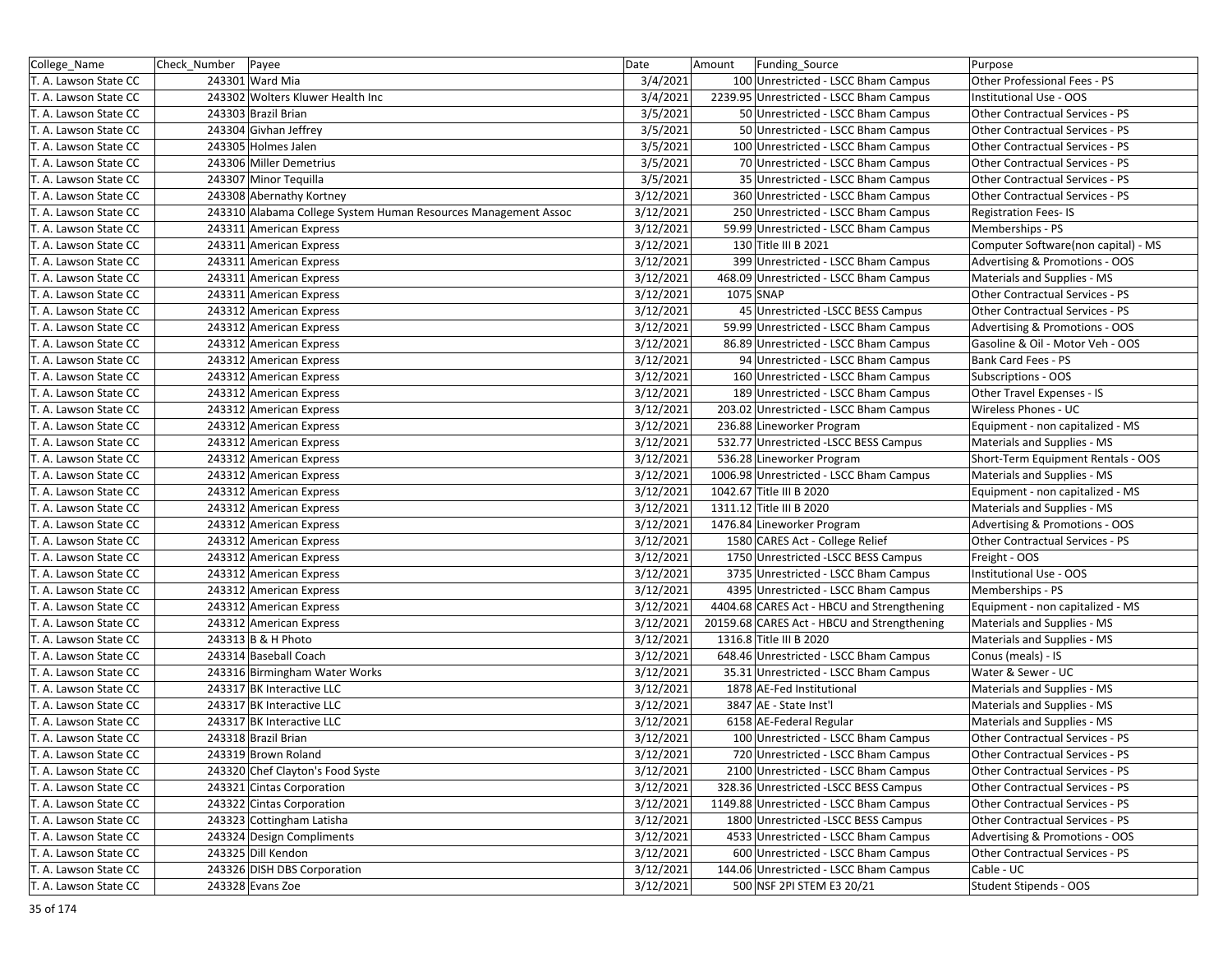| College_Name          | Check Number | Payee                                                          | Date      | Amount<br>Funding Source                    | Purpose                             |
|-----------------------|--------------|----------------------------------------------------------------|-----------|---------------------------------------------|-------------------------------------|
| T. A. Lawson State CC |              | 243301 Ward Mia                                                | 3/4/2021  | 100 Unrestricted - LSCC Bham Campus         | Other Professional Fees - PS        |
| T. A. Lawson State CC |              | 243302 Wolters Kluwer Health Inc                               | 3/4/2021  | 2239.95 Unrestricted - LSCC Bham Campus     | Institutional Use - OOS             |
| T. A. Lawson State CC |              | 243303 Brazil Brian                                            | 3/5/2021  | 50 Unrestricted - LSCC Bham Campus          | Other Contractual Services - PS     |
| T. A. Lawson State CC |              | 243304 Givhan Jeffrey                                          | 3/5/2021  | 50 Unrestricted - LSCC Bham Campus          | Other Contractual Services - PS     |
| T. A. Lawson State CC |              | 243305 Holmes Jalen                                            | 3/5/2021  | 100 Unrestricted - LSCC Bham Campus         | Other Contractual Services - PS     |
| T. A. Lawson State CC |              | 243306 Miller Demetrius                                        | 3/5/2021  | 70 Unrestricted - LSCC Bham Campus          | Other Contractual Services - PS     |
| T. A. Lawson State CC |              | 243307 Minor Tequilla                                          | 3/5/2021  | 35 Unrestricted - LSCC Bham Campus          | Other Contractual Services - PS     |
| T. A. Lawson State CC |              | 243308 Abernathy Kortney                                       | 3/12/2021 | 360 Unrestricted - LSCC Bham Campus         | Other Contractual Services - PS     |
| T. A. Lawson State CC |              | 243310 Alabama College System Human Resources Management Assoc | 3/12/2021 | 250 Unrestricted - LSCC Bham Campus         | <b>Registration Fees-IS</b>         |
| T. A. Lawson State CC |              | 243311 American Express                                        | 3/12/2021 | 59.99 Unrestricted - LSCC Bham Campus       | Memberships - PS                    |
| T. A. Lawson State CC |              | 243311 American Express                                        | 3/12/2021 | 130 Title III B 2021                        | Computer Software(non capital) - MS |
| T. A. Lawson State CC |              | 243311 American Express                                        | 3/12/2021 | 399 Unrestricted - LSCC Bham Campus         | Advertising & Promotions - OOS      |
| T. A. Lawson State CC |              | 243311 American Express                                        | 3/12/2021 | 468.09 Unrestricted - LSCC Bham Campus      | Materials and Supplies - MS         |
| T. A. Lawson State CC |              | 243311 American Express                                        | 3/12/2021 | 1075 SNAP                                   | Other Contractual Services - PS     |
| T. A. Lawson State CC |              | 243312 American Express                                        | 3/12/2021 | 45 Unrestricted - LSCC BESS Campus          | Other Contractual Services - PS     |
| T. A. Lawson State CC |              | 243312 American Express                                        | 3/12/2021 | 59.99 Unrestricted - LSCC Bham Campus       | Advertising & Promotions - OOS      |
| T. A. Lawson State CC |              | 243312 American Express                                        | 3/12/2021 | 86.89 Unrestricted - LSCC Bham Campus       | Gasoline & Oil - Motor Veh - OOS    |
| T. A. Lawson State CC |              | 243312 American Express                                        | 3/12/2021 | 94 Unrestricted - LSCC Bham Campus          | Bank Card Fees - PS                 |
| T. A. Lawson State CC |              | 243312 American Express                                        | 3/12/2021 | 160 Unrestricted - LSCC Bham Campus         | Subscriptions - OOS                 |
| T. A. Lawson State CC |              | 243312 American Express                                        | 3/12/2021 | 189 Unrestricted - LSCC Bham Campus         | Other Travel Expenses - IS          |
| T. A. Lawson State CC |              | 243312 American Express                                        | 3/12/2021 | 203.02 Unrestricted - LSCC Bham Campus      | Wireless Phones - UC                |
| T. A. Lawson State CC |              | 243312 American Express                                        | 3/12/2021 | 236.88 Lineworker Program                   | Equipment - non capitalized - MS    |
| T. A. Lawson State CC |              | 243312 American Express                                        | 3/12/2021 | 532.77 Unrestricted -LSCC BESS Campus       | Materials and Supplies - MS         |
| T. A. Lawson State CC |              | 243312 American Express                                        | 3/12/2021 | 536.28 Lineworker Program                   | Short-Term Equipment Rentals - OOS  |
| T. A. Lawson State CC |              | 243312 American Express                                        | 3/12/2021 | 1006.98 Unrestricted - LSCC Bham Campus     | Materials and Supplies - MS         |
| T. A. Lawson State CC |              | 243312 American Express                                        | 3/12/2021 | 1042.67 Title III B 2020                    | Equipment - non capitalized - MS    |
| T. A. Lawson State CC |              | 243312 American Express                                        | 3/12/2021 | 1311.12 Title III B 2020                    | Materials and Supplies - MS         |
| T. A. Lawson State CC |              | 243312 American Express                                        | 3/12/2021 | 1476.84 Lineworker Program                  | Advertising & Promotions - OOS      |
| T. A. Lawson State CC |              | 243312 American Express                                        | 3/12/2021 | 1580 CARES Act - College Relief             | Other Contractual Services - PS     |
| T. A. Lawson State CC |              | 243312 American Express                                        | 3/12/2021 | 1750 Unrestricted -LSCC BESS Campus         | Freight - OOS                       |
| T. A. Lawson State CC |              | 243312 American Express                                        | 3/12/2021 | 3735 Unrestricted - LSCC Bham Campus        | Institutional Use - OOS             |
| T. A. Lawson State CC |              | 243312 American Express                                        | 3/12/2021 | 4395 Unrestricted - LSCC Bham Campus        | Memberships - PS                    |
| T. A. Lawson State CC |              | 243312 American Express                                        | 3/12/2021 | 4404.68 CARES Act - HBCU and Strengthening  | Equipment - non capitalized - MS    |
| T. A. Lawson State CC |              | 243312 American Express                                        | 3/12/2021 | 20159.68 CARES Act - HBCU and Strengthening | Materials and Supplies - MS         |
| T. A. Lawson State CC |              | 243313 B & H Photo                                             | 3/12/2021 | 1316.8 Title III B 2020                     | Materials and Supplies - MS         |
| T. A. Lawson State CC |              | 243314 Baseball Coach                                          | 3/12/2021 | 648.46 Unrestricted - LSCC Bham Campus      | Conus (meals) - IS                  |
| T. A. Lawson State CC |              | 243316 Birmingham Water Works                                  | 3/12/2021 | 35.31 Unrestricted - LSCC Bham Campus       | Water & Sewer - UC                  |
| T. A. Lawson State CC |              | 243317 BK Interactive LLC                                      | 3/12/2021 | 1878 AE-Fed Institutional                   | Materials and Supplies - MS         |
| T. A. Lawson State CC |              | 243317 BK Interactive LLC                                      | 3/12/2021 | 3847 AE - State Inst'l                      | Materials and Supplies - MS         |
| T. A. Lawson State CC |              | 243317 BK Interactive LLC                                      | 3/12/2021 | 6158 AE-Federal Regular                     | Materials and Supplies - MS         |
| T. A. Lawson State CC |              | 243318 Brazil Brian                                            | 3/12/2021 | 100 Unrestricted - LSCC Bham Campus         | Other Contractual Services - PS     |
| T. A. Lawson State CC |              | 243319 Brown Roland                                            | 3/12/2021 | 720 Unrestricted - LSCC Bham Campus         | Other Contractual Services - PS     |
| T. A. Lawson State CC |              | 243320 Chef Clayton's Food Syste                               | 3/12/2021 | 2100 Unrestricted - LSCC Bham Campus        | Other Contractual Services - PS     |
| T. A. Lawson State CC |              | 243321 Cintas Corporation                                      | 3/12/2021 | 328.36 Unrestricted -LSCC BESS Campus       | Other Contractual Services - PS     |
| T. A. Lawson State CC |              | 243322 Cintas Corporation                                      | 3/12/2021 | 1149.88 Unrestricted - LSCC Bham Campus     | Other Contractual Services - PS     |
| T. A. Lawson State CC |              | 243323 Cottingham Latisha                                      | 3/12/2021 | 1800 Unrestricted -LSCC BESS Campus         | Other Contractual Services - PS     |
| T. A. Lawson State CC |              | 243324 Design Compliments                                      | 3/12/2021 | 4533 Unrestricted - LSCC Bham Campus        | Advertising & Promotions - OOS      |
| T. A. Lawson State CC |              | 243325 Dill Kendon                                             | 3/12/2021 | 600 Unrestricted - LSCC Bham Campus         | Other Contractual Services - PS     |
| T. A. Lawson State CC |              | 243326 DISH DBS Corporation                                    | 3/12/2021 | 144.06 Unrestricted - LSCC Bham Campus      | Cable - UC                          |
| T. A. Lawson State CC |              | 243328 Evans Zoe                                               | 3/12/2021 | 500 NSF 2PI STEM E3 20/21                   | Student Stipends - OOS              |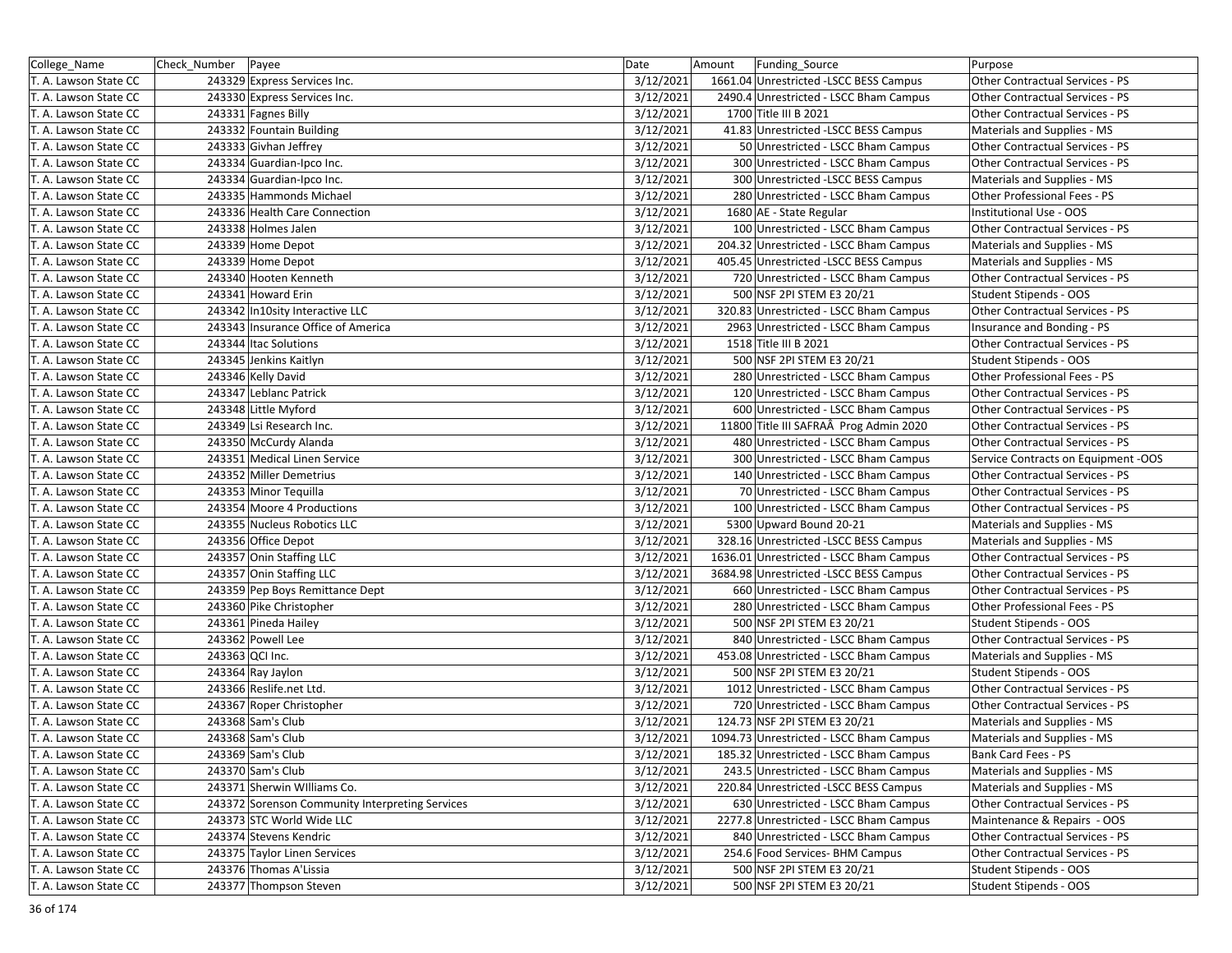| College_Name          | Check_Number   Payee |                                                 | Date      | Funding_Source<br>Amount                | Purpose                             |
|-----------------------|----------------------|-------------------------------------------------|-----------|-----------------------------------------|-------------------------------------|
| T. A. Lawson State CC |                      | 243329 Express Services Inc.                    | 3/12/2021 | 1661.04 Unrestricted -LSCC BESS Campus  | Other Contractual Services - PS     |
| T. A. Lawson State CC |                      | 243330 Express Services Inc.                    | 3/12/2021 | 2490.4 Unrestricted - LSCC Bham Campus  | Other Contractual Services - PS     |
| T. A. Lawson State CC |                      | 243331 Fagnes Billy                             | 3/12/2021 | 1700 Title III B 2021                   | Other Contractual Services - PS     |
| T. A. Lawson State CC |                      | 243332 Fountain Building                        | 3/12/2021 | 41.83 Unrestricted -LSCC BESS Campus    | Materials and Supplies - MS         |
| T. A. Lawson State CC |                      | 243333 Givhan Jeffrey                           | 3/12/2021 | 50 Unrestricted - LSCC Bham Campus      | Other Contractual Services - PS     |
| T. A. Lawson State CC |                      | 243334 Guardian-Ipco Inc.                       | 3/12/2021 | 300 Unrestricted - LSCC Bham Campus     | Other Contractual Services - PS     |
| T. A. Lawson State CC |                      | 243334 Guardian-Ipco Inc.                       | 3/12/2021 | 300 Unrestricted -LSCC BESS Campus      | Materials and Supplies - MS         |
| T. A. Lawson State CC |                      | 243335 Hammonds Michael                         | 3/12/2021 | 280 Unrestricted - LSCC Bham Campus     | Other Professional Fees - PS        |
| T. A. Lawson State CC |                      | 243336 Health Care Connection                   | 3/12/2021 | 1680 AE - State Regular                 | Institutional Use - OOS             |
| T. A. Lawson State CC |                      | 243338 Holmes Jalen                             | 3/12/2021 | 100 Unrestricted - LSCC Bham Campus     | Other Contractual Services - PS     |
| T. A. Lawson State CC |                      | 243339 Home Depot                               | 3/12/2021 | 204.32 Unrestricted - LSCC Bham Campus  | Materials and Supplies - MS         |
| T. A. Lawson State CC |                      | 243339 Home Depot                               | 3/12/2021 | 405.45 Unrestricted -LSCC BESS Campus   | Materials and Supplies - MS         |
| T. A. Lawson State CC |                      | 243340 Hooten Kenneth                           | 3/12/2021 | 720 Unrestricted - LSCC Bham Campus     | Other Contractual Services - PS     |
| T. A. Lawson State CC |                      | 243341 Howard Erin                              | 3/12/2021 | 500 NSF 2PI STEM E3 20/21               | Student Stipends - OOS              |
| T. A. Lawson State CC |                      | 243342 In10sity Interactive LLC                 | 3/12/2021 | 320.83 Unrestricted - LSCC Bham Campus  | Other Contractual Services - PS     |
| T. A. Lawson State CC |                      | 243343 Insurance Office of America              | 3/12/2021 | 2963 Unrestricted - LSCC Bham Campus    | Insurance and Bonding - PS          |
| T. A. Lawson State CC |                      | 243344 Itac Solutions                           | 3/12/2021 | 1518 Title III B 2021                   | Other Contractual Services - PS     |
| T. A. Lawson State CC |                      | 243345 Jenkins Kaitlyn                          | 3/12/2021 | 500 NSF 2PI STEM E3 20/21               | Student Stipends - OOS              |
| T. A. Lawson State CC |                      | 243346 Kelly David                              | 3/12/2021 | 280 Unrestricted - LSCC Bham Campus     | Other Professional Fees - PS        |
| T. A. Lawson State CC |                      | 243347 Leblanc Patrick                          | 3/12/2021 | 120 Unrestricted - LSCC Bham Campus     | Other Contractual Services - PS     |
| T. A. Lawson State CC |                      | 243348 Little Myford                            | 3/12/2021 | 600 Unrestricted - LSCC Bham Campus     | Other Contractual Services - PS     |
| T. A. Lawson State CC |                      | 243349 Lsi Research Inc.                        | 3/12/2021 | 11800 Title III SAFRAÂ Prog Admin 2020  | Other Contractual Services - PS     |
| T. A. Lawson State CC |                      | 243350 McCurdy Alanda                           | 3/12/2021 | 480 Unrestricted - LSCC Bham Campus     | Other Contractual Services - PS     |
| T. A. Lawson State CC |                      | 243351 Medical Linen Service                    | 3/12/2021 | 300 Unrestricted - LSCC Bham Campus     | Service Contracts on Equipment -OOS |
| T. A. Lawson State CC |                      | 243352 Miller Demetrius                         | 3/12/2021 | 140 Unrestricted - LSCC Bham Campus     | Other Contractual Services - PS     |
| T. A. Lawson State CC |                      | 243353 Minor Tequilla                           | 3/12/2021 | 70 Unrestricted - LSCC Bham Campus      | Other Contractual Services - PS     |
| T. A. Lawson State CC |                      | 243354 Moore 4 Productions                      | 3/12/2021 | 100 Unrestricted - LSCC Bham Campus     | Other Contractual Services - PS     |
| T. A. Lawson State CC |                      | 243355 Nucleus Robotics LLC                     | 3/12/2021 | 5300 Upward Bound 20-21                 | Materials and Supplies - MS         |
| T. A. Lawson State CC |                      | 243356 Office Depot                             | 3/12/2021 | 328.16 Unrestricted -LSCC BESS Campus   | Materials and Supplies - MS         |
| T. A. Lawson State CC |                      | 243357 Onin Staffing LLC                        | 3/12/2021 | 1636.01 Unrestricted - LSCC Bham Campus | Other Contractual Services - PS     |
| T. A. Lawson State CC |                      | 243357 Onin Staffing LLC                        | 3/12/2021 | 3684.98 Unrestricted -LSCC BESS Campus  | Other Contractual Services - PS     |
| T. A. Lawson State CC |                      | 243359 Pep Boys Remittance Dept                 | 3/12/2021 | 660 Unrestricted - LSCC Bham Campus     | Other Contractual Services - PS     |
| T. A. Lawson State CC |                      | 243360 Pike Christopher                         | 3/12/2021 | 280 Unrestricted - LSCC Bham Campus     | Other Professional Fees - PS        |
| T. A. Lawson State CC |                      | 243361 Pineda Hailey                            | 3/12/2021 | 500 NSF 2PI STEM E3 20/21               | Student Stipends - OOS              |
| T. A. Lawson State CC |                      | 243362 Powell Lee                               | 3/12/2021 | 840 Unrestricted - LSCC Bham Campus     | Other Contractual Services - PS     |
| T. A. Lawson State CC |                      | 243363 QCI Inc.                                 | 3/12/2021 | 453.08 Unrestricted - LSCC Bham Campus  | Materials and Supplies - MS         |
| T. A. Lawson State CC |                      | 243364 Ray Jaylon                               | 3/12/2021 | 500 NSF 2PI STEM E3 20/21               | Student Stipends - OOS              |
| T. A. Lawson State CC |                      | 243366 Reslife.net Ltd.                         | 3/12/2021 | 1012 Unrestricted - LSCC Bham Campus    | Other Contractual Services - PS     |
| T. A. Lawson State CC |                      | 243367 Roper Christopher                        | 3/12/2021 | 720 Unrestricted - LSCC Bham Campus     | Other Contractual Services - PS     |
| T. A. Lawson State CC |                      | 243368 Sam's Club                               | 3/12/2021 | 124.73 NSF 2PI STEM E3 20/21            | Materials and Supplies - MS         |
| T. A. Lawson State CC |                      | 243368 Sam's Club                               | 3/12/2021 | 1094.73 Unrestricted - LSCC Bham Campus | Materials and Supplies - MS         |
| T. A. Lawson State CC |                      | 243369 Sam's Club                               | 3/12/2021 | 185.32 Unrestricted - LSCC Bham Campus  | Bank Card Fees - PS                 |
| T. A. Lawson State CC |                      | 243370 Sam's Club                               | 3/12/2021 | 243.5 Unrestricted - LSCC Bham Campus   | Materials and Supplies - MS         |
| T. A. Lawson State CC |                      | 243371 Sherwin Williams Co.                     | 3/12/2021 | 220.84 Unrestricted -LSCC BESS Campus   | Materials and Supplies - MS         |
| T. A. Lawson State CC |                      | 243372 Sorenson Community Interpreting Services | 3/12/2021 | 630 Unrestricted - LSCC Bham Campus     | Other Contractual Services - PS     |
| T. A. Lawson State CC |                      | 243373 STC World Wide LLC                       | 3/12/2021 | 2277.8 Unrestricted - LSCC Bham Campus  | Maintenance & Repairs - OOS         |
| T. A. Lawson State CC |                      | 243374 Stevens Kendric                          | 3/12/2021 | 840 Unrestricted - LSCC Bham Campus     | Other Contractual Services - PS     |
| T. A. Lawson State CC |                      | 243375 Taylor Linen Services                    | 3/12/2021 | 254.6 Food Services- BHM Campus         | Other Contractual Services - PS     |
| T. A. Lawson State CC |                      | 243376 Thomas A'Lissia                          | 3/12/2021 | 500 NSF 2PI STEM E3 20/21               | Student Stipends - OOS              |
| T. A. Lawson State CC |                      | 243377 Thompson Steven                          | 3/12/2021 | 500 NSF 2PI STEM E3 20/21               | Student Stipends - OOS              |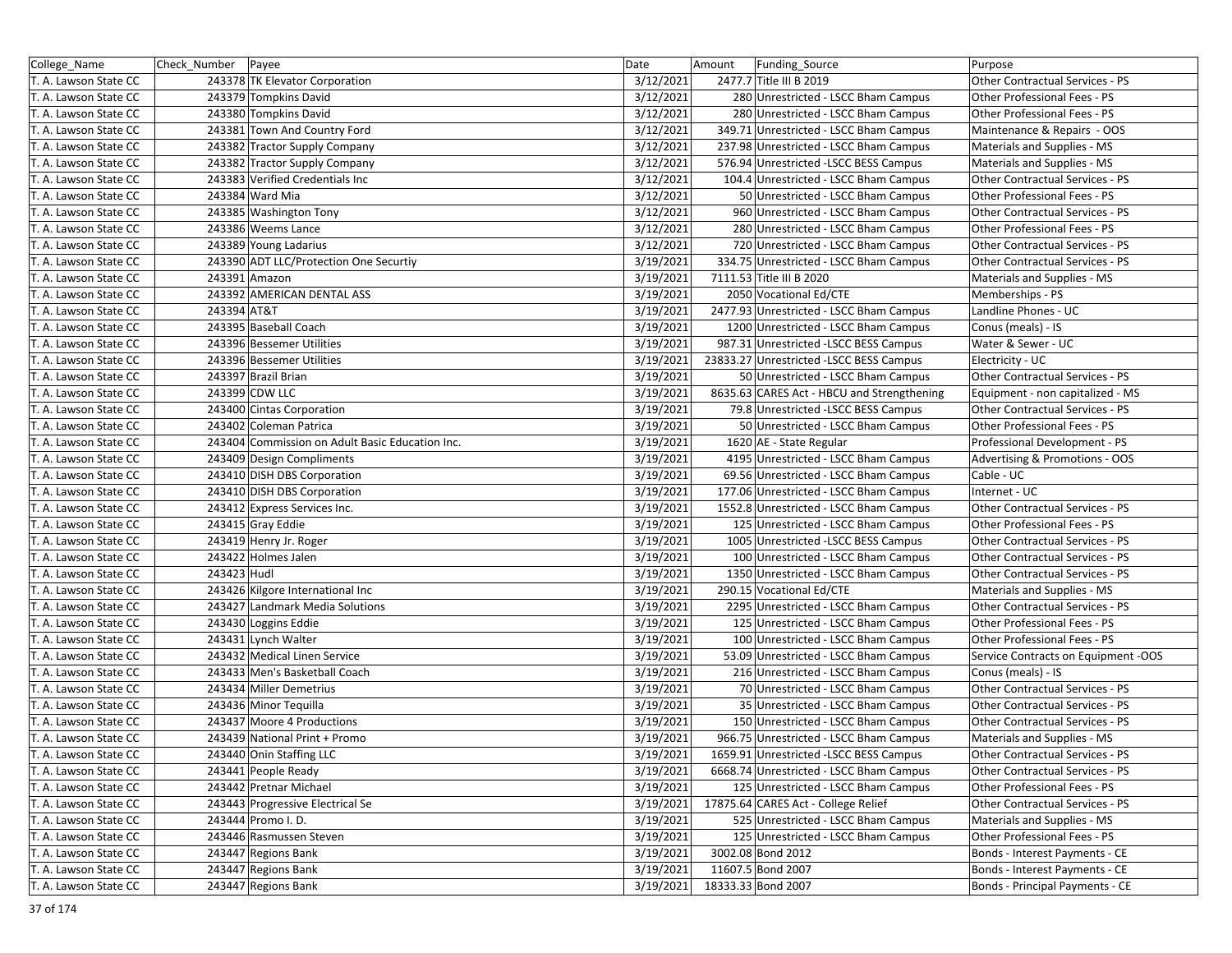| College Name          | Check_Number Payee |                                                 | Date      | Amount | Funding Source                             | Purpose                             |
|-----------------------|--------------------|-------------------------------------------------|-----------|--------|--------------------------------------------|-------------------------------------|
| T. A. Lawson State CC |                    | 243378 TK Elevator Corporation                  | 3/12/2021 |        | 2477.7 Title III B 2019                    | Other Contractual Services - PS     |
| T. A. Lawson State CC |                    | 243379 Tompkins David                           | 3/12/2021 |        | 280 Unrestricted - LSCC Bham Campus        | Other Professional Fees - PS        |
| T. A. Lawson State CC |                    | 243380 Tompkins David                           | 3/12/2021 |        | 280 Unrestricted - LSCC Bham Campus        | Other Professional Fees - PS        |
| T. A. Lawson State CC |                    | 243381 Town And Country Ford                    | 3/12/2021 |        | 349.71 Unrestricted - LSCC Bham Campus     | Maintenance & Repairs - OOS         |
| T. A. Lawson State CC |                    | 243382 Tractor Supply Company                   | 3/12/2021 |        | 237.98 Unrestricted - LSCC Bham Campus     | Materials and Supplies - MS         |
| T. A. Lawson State CC |                    | 243382 Tractor Supply Company                   | 3/12/2021 |        | 576.94 Unrestricted -LSCC BESS Campus      | Materials and Supplies - MS         |
| T. A. Lawson State CC |                    | 243383 Verified Credentials Inc                 | 3/12/2021 |        | 104.4 Unrestricted - LSCC Bham Campus      | Other Contractual Services - PS     |
| T. A. Lawson State CC |                    | 243384 Ward Mia                                 | 3/12/2021 |        | 50 Unrestricted - LSCC Bham Campus         | Other Professional Fees - PS        |
| T. A. Lawson State CC |                    | 243385 Washington Tony                          | 3/12/2021 |        | 960 Unrestricted - LSCC Bham Campus        | Other Contractual Services - PS     |
| T. A. Lawson State CC |                    | 243386 Weems Lance                              | 3/12/2021 |        | 280 Unrestricted - LSCC Bham Campus        | Other Professional Fees - PS        |
| T. A. Lawson State CC |                    | 243389 Young Ladarius                           | 3/12/2021 |        | 720 Unrestricted - LSCC Bham Campus        | Other Contractual Services - PS     |
| T. A. Lawson State CC |                    | 243390 ADT LLC/Protection One Securtiy          | 3/19/2021 |        | 334.75 Unrestricted - LSCC Bham Campus     | Other Contractual Services - PS     |
| T. A. Lawson State CC |                    | 243391 Amazon                                   | 3/19/2021 |        | 7111.53 Title III B 2020                   | Materials and Supplies - MS         |
| T. A. Lawson State CC |                    | 243392 AMERICAN DENTAL ASS                      | 3/19/2021 |        | 2050 Vocational Ed/CTE                     | Memberships - PS                    |
| T. A. Lawson State CC | 243394 AT&T        |                                                 | 3/19/2021 |        | 2477.93 Unrestricted - LSCC Bham Campus    | Landline Phones - UC                |
| T. A. Lawson State CC |                    | 243395 Baseball Coach                           | 3/19/2021 |        | 1200 Unrestricted - LSCC Bham Campus       | Conus (meals) - IS                  |
| T. A. Lawson State CC |                    | 243396 Bessemer Utilities                       | 3/19/2021 |        | 987.31 Unrestricted -LSCC BESS Campus      | Water & Sewer - UC                  |
| T. A. Lawson State CC |                    | 243396 Bessemer Utilities                       | 3/19/2021 |        | 23833.27 Unrestricted -LSCC BESS Campus    | Electricity - UC                    |
| T. A. Lawson State CC |                    | 243397 Brazil Brian                             | 3/19/2021 |        | 50 Unrestricted - LSCC Bham Campus         | Other Contractual Services - PS     |
| T. A. Lawson State CC |                    | 243399 CDW LLC                                  | 3/19/2021 |        | 8635.63 CARES Act - HBCU and Strengthening | Equipment - non capitalized - MS    |
| T. A. Lawson State CC |                    | 243400 Cintas Corporation                       | 3/19/2021 |        | 79.8 Unrestricted -LSCC BESS Campus        | Other Contractual Services - PS     |
| T. A. Lawson State CC |                    | 243402 Coleman Patrica                          | 3/19/2021 |        | 50 Unrestricted - LSCC Bham Campus         | Other Professional Fees - PS        |
| T. A. Lawson State CC |                    | 243404 Commission on Adult Basic Education Inc. | 3/19/2021 |        | 1620 AE - State Regular                    | Professional Development - PS       |
| T. A. Lawson State CC |                    | 243409 Design Compliments                       | 3/19/2021 |        | 4195 Unrestricted - LSCC Bham Campus       | Advertising & Promotions - OOS      |
| T. A. Lawson State CC |                    | 243410 DISH DBS Corporation                     | 3/19/2021 |        | 69.56 Unrestricted - LSCC Bham Campus      | Cable - UC                          |
| T. A. Lawson State CC |                    | 243410 DISH DBS Corporation                     | 3/19/2021 |        | 177.06 Unrestricted - LSCC Bham Campus     | Internet - UC                       |
| T. A. Lawson State CC |                    | 243412 Express Services Inc.                    | 3/19/2021 |        | 1552.8 Unrestricted - LSCC Bham Campus     | Other Contractual Services - PS     |
| T. A. Lawson State CC |                    | 243415 Gray Eddie                               | 3/19/2021 |        | 125 Unrestricted - LSCC Bham Campus        | Other Professional Fees - PS        |
| T. A. Lawson State CC |                    | 243419 Henry Jr. Roger                          | 3/19/2021 |        | 1005 Unrestricted -LSCC BESS Campus        | Other Contractual Services - PS     |
| T. A. Lawson State CC |                    | 243422 Holmes Jalen                             | 3/19/2021 |        | 100 Unrestricted - LSCC Bham Campus        | Other Contractual Services - PS     |
| T. A. Lawson State CC | 243423 Hudl        |                                                 | 3/19/2021 |        | 1350 Unrestricted - LSCC Bham Campus       | Other Contractual Services - PS     |
| T. A. Lawson State CC |                    | 243426 Kilgore International Inc                | 3/19/2021 |        | 290.15 Vocational Ed/CTE                   | Materials and Supplies - MS         |
| T. A. Lawson State CC |                    | 243427 Landmark Media Solutions                 | 3/19/2021 |        | 2295 Unrestricted - LSCC Bham Campus       | Other Contractual Services - PS     |
| T. A. Lawson State CC |                    | 243430 Loggins Eddie                            | 3/19/2021 |        | 125 Unrestricted - LSCC Bham Campus        | Other Professional Fees - PS        |
| T. A. Lawson State CC |                    | 243431 Lynch Walter                             | 3/19/2021 |        | 100 Unrestricted - LSCC Bham Campus        | Other Professional Fees - PS        |
| T. A. Lawson State CC |                    | 243432 Medical Linen Service                    | 3/19/2021 |        | 53.09 Unrestricted - LSCC Bham Campus      | Service Contracts on Equipment -OOS |
| T. A. Lawson State CC |                    | 243433 Men's Basketball Coach                   | 3/19/2021 |        | 216 Unrestricted - LSCC Bham Campus        | Conus (meals) - IS                  |
| T. A. Lawson State CC |                    | 243434 Miller Demetrius                         | 3/19/2021 |        | 70 Unrestricted - LSCC Bham Campus         | Other Contractual Services - PS     |
| T. A. Lawson State CC |                    | 243436 Minor Tequilla                           | 3/19/2021 |        | 35 Unrestricted - LSCC Bham Campus         | Other Contractual Services - PS     |
| T. A. Lawson State CC |                    | 243437 Moore 4 Productions                      | 3/19/2021 |        | 150 Unrestricted - LSCC Bham Campus        | Other Contractual Services - PS     |
| T. A. Lawson State CC |                    | 243439 National Print + Promo                   | 3/19/2021 |        | 966.75 Unrestricted - LSCC Bham Campus     | Materials and Supplies - MS         |
| T. A. Lawson State CC |                    | 243440 Onin Staffing LLC                        | 3/19/2021 |        | 1659.91 Unrestricted -LSCC BESS Campus     | Other Contractual Services - PS     |
| T. A. Lawson State CC |                    | 243441 People Ready                             | 3/19/2021 |        | 6668.74 Unrestricted - LSCC Bham Campus    | Other Contractual Services - PS     |
| T. A. Lawson State CC |                    | 243442 Pretnar Michael                          | 3/19/2021 |        | 125 Unrestricted - LSCC Bham Campus        | Other Professional Fees - PS        |
| T. A. Lawson State CC |                    | 243443 Progressive Electrical Se                | 3/19/2021 |        | 17875.64 CARES Act - College Relief        | Other Contractual Services - PS     |
| T. A. Lawson State CC |                    | 243444 Promo I.D.                               | 3/19/2021 |        | 525 Unrestricted - LSCC Bham Campus        | Materials and Supplies - MS         |
| T. A. Lawson State CC |                    | 243446 Rasmussen Steven                         | 3/19/2021 |        | 125 Unrestricted - LSCC Bham Campus        | Other Professional Fees - PS        |
| T. A. Lawson State CC |                    | 243447 Regions Bank                             | 3/19/2021 |        | 3002.08 Bond 2012                          | Bonds - Interest Payments - CE      |
| T. A. Lawson State CC |                    | 243447 Regions Bank                             | 3/19/2021 |        | 11607.5 Bond 2007                          | Bonds - Interest Payments - CE      |
| T. A. Lawson State CC |                    | 243447 Regions Bank                             | 3/19/2021 |        | 18333.33 Bond 2007                         | Bonds - Principal Payments - CE     |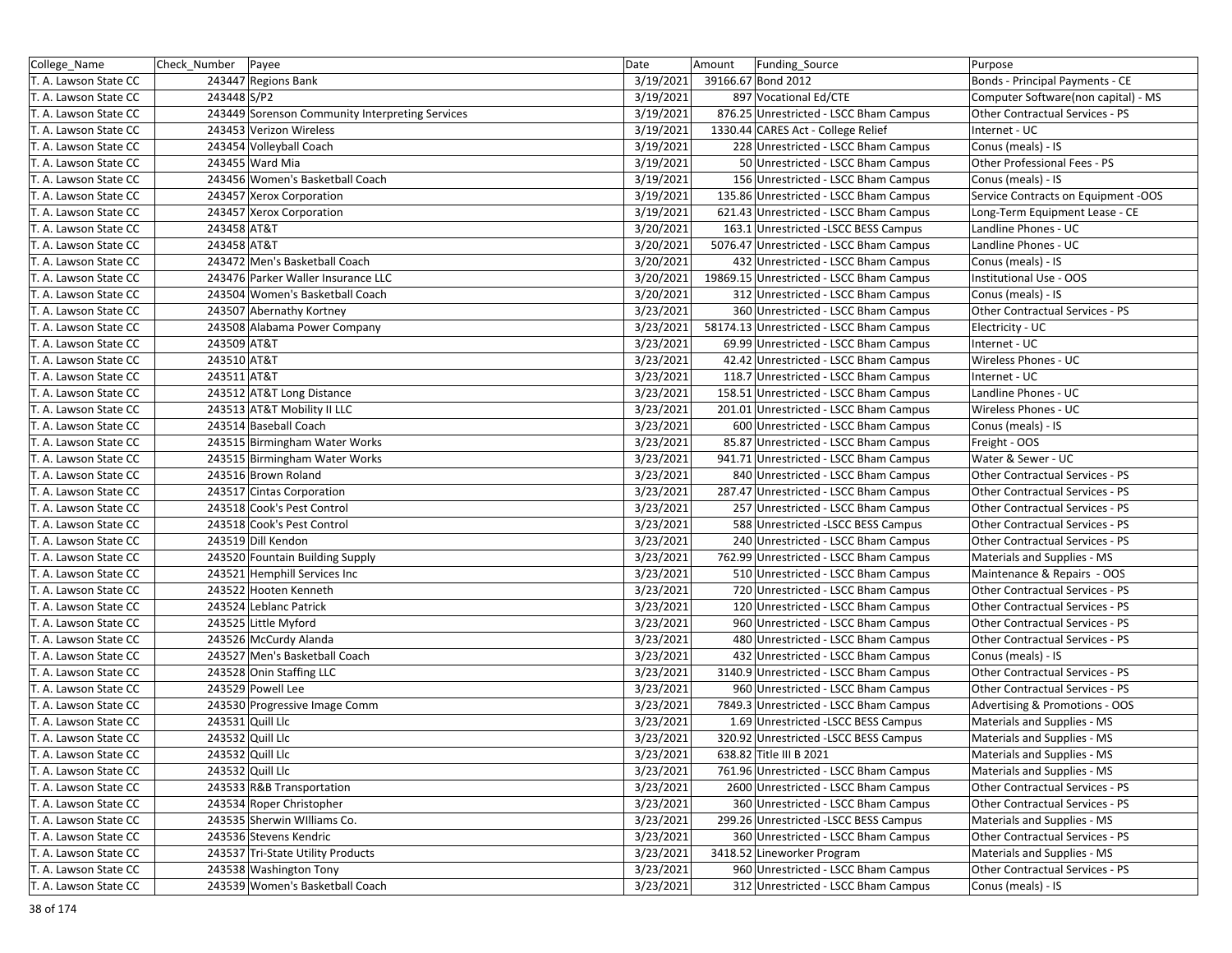| College_Name          | Check Number | Payee                                           | Date      | Amount<br><b>Funding Source</b>          | Purpose                             |
|-----------------------|--------------|-------------------------------------------------|-----------|------------------------------------------|-------------------------------------|
| T. A. Lawson State CC |              | 243447 Regions Bank                             | 3/19/2021 | 39166.67 Bond 2012                       | Bonds - Principal Payments - CE     |
| T. A. Lawson State CC | 243448 S/P2  |                                                 | 3/19/2021 | 897 Vocational Ed/CTE                    | Computer Software(non capital) - MS |
| T. A. Lawson State CC |              | 243449 Sorenson Community Interpreting Services | 3/19/2021 | 876.25 Unrestricted - LSCC Bham Campus   | Other Contractual Services - PS     |
| T. A. Lawson State CC |              | 243453 Verizon Wireless                         | 3/19/2021 | 1330.44 CARES Act - College Relief       | Internet - UC                       |
| T. A. Lawson State CC |              | 243454 Volleyball Coach                         | 3/19/2021 | 228 Unrestricted - LSCC Bham Campus      | Conus (meals) - IS                  |
| T. A. Lawson State CC |              | 243455 Ward Mia                                 | 3/19/2021 | 50 Unrestricted - LSCC Bham Campus       | Other Professional Fees - PS        |
| T. A. Lawson State CC |              | 243456 Women's Basketball Coach                 | 3/19/2021 | 156 Unrestricted - LSCC Bham Campus      | Conus (meals) - IS                  |
| T. A. Lawson State CC |              | 243457 Xerox Corporation                        | 3/19/2021 | 135.86 Unrestricted - LSCC Bham Campus   | Service Contracts on Equipment -OOS |
| T. A. Lawson State CC |              | 243457 Xerox Corporation                        | 3/19/2021 | 621.43 Unrestricted - LSCC Bham Campus   | Long-Term Equipment Lease - CE      |
| T. A. Lawson State CC | 243458 AT&T  |                                                 | 3/20/2021 | 163.1 Unrestricted -LSCC BESS Campus     | Landline Phones - UC                |
| T. A. Lawson State CC | 243458 AT&T  |                                                 | 3/20/2021 | 5076.47 Unrestricted - LSCC Bham Campus  | Landline Phones - UC                |
| T. A. Lawson State CC |              | 243472 Men's Basketball Coach                   | 3/20/2021 | 432 Unrestricted - LSCC Bham Campus      | Conus (meals) - IS                  |
| T. A. Lawson State CC |              | 243476 Parker Waller Insurance LLC              | 3/20/2021 | 19869.15 Unrestricted - LSCC Bham Campus | Institutional Use - OOS             |
| T. A. Lawson State CC |              | 243504 Women's Basketball Coach                 | 3/20/2021 | 312 Unrestricted - LSCC Bham Campus      | Conus (meals) - IS                  |
| T. A. Lawson State CC |              | 243507 Abernathy Kortney                        | 3/23/2021 | 360 Unrestricted - LSCC Bham Campus      | Other Contractual Services - PS     |
| T. A. Lawson State CC |              | 243508 Alabama Power Company                    | 3/23/2021 | 58174.13 Unrestricted - LSCC Bham Campus | Electricity - UC                    |
| T. A. Lawson State CC | 243509 AT&T  |                                                 | 3/23/2021 | 69.99 Unrestricted - LSCC Bham Campus    | Internet - UC                       |
| T. A. Lawson State CC | 243510 AT&T  |                                                 | 3/23/2021 | 42.42 Unrestricted - LSCC Bham Campus    | Wireless Phones - UC                |
| T. A. Lawson State CC | 243511 AT&T  |                                                 | 3/23/2021 | 118.7 Unrestricted - LSCC Bham Campus    | Internet - UC                       |
| T. A. Lawson State CC |              | 243512 AT&T Long Distance                       | 3/23/2021 | 158.51 Unrestricted - LSCC Bham Campus   | Landline Phones - UC                |
| T. A. Lawson State CC |              | 243513 AT&T Mobility II LLC                     | 3/23/2021 | 201.01 Unrestricted - LSCC Bham Campus   | Wireless Phones - UC                |
| T. A. Lawson State CC |              | 243514 Baseball Coach                           | 3/23/2021 | 600 Unrestricted - LSCC Bham Campus      | Conus (meals) - IS                  |
| T. A. Lawson State CC |              | 243515 Birmingham Water Works                   | 3/23/2021 | 85.87 Unrestricted - LSCC Bham Campus    | Freight - OOS                       |
| T. A. Lawson State CC |              | 243515 Birmingham Water Works                   | 3/23/2021 | 941.71 Unrestricted - LSCC Bham Campus   | Water & Sewer - UC                  |
| T. A. Lawson State CC |              | 243516 Brown Roland                             | 3/23/2021 | 840 Unrestricted - LSCC Bham Campus      | Other Contractual Services - PS     |
| T. A. Lawson State CC |              | 243517 Cintas Corporation                       | 3/23/2021 | 287.47 Unrestricted - LSCC Bham Campus   | Other Contractual Services - PS     |
| T. A. Lawson State CC |              | 243518 Cook's Pest Control                      | 3/23/2021 | 257 Unrestricted - LSCC Bham Campus      | Other Contractual Services - PS     |
| T. A. Lawson State CC |              | 243518 Cook's Pest Control                      | 3/23/2021 | 588 Unrestricted -LSCC BESS Campus       | Other Contractual Services - PS     |
| T. A. Lawson State CC |              | 243519 Dill Kendon                              | 3/23/2021 | 240 Unrestricted - LSCC Bham Campus      | Other Contractual Services - PS     |
| T. A. Lawson State CC |              | 243520 Fountain Building Supply                 | 3/23/2021 | 762.99 Unrestricted - LSCC Bham Campus   | Materials and Supplies - MS         |
| T. A. Lawson State CC |              | 243521 Hemphill Services Inc                    | 3/23/2021 | 510 Unrestricted - LSCC Bham Campus      | Maintenance & Repairs - OOS         |
| T. A. Lawson State CC |              | 243522 Hooten Kenneth                           | 3/23/2021 | 720 Unrestricted - LSCC Bham Campus      | Other Contractual Services - PS     |
| T. A. Lawson State CC |              | 243524 Leblanc Patrick                          | 3/23/2021 | 120 Unrestricted - LSCC Bham Campus      | Other Contractual Services - PS     |
| T. A. Lawson State CC |              | 243525 Little Myford                            | 3/23/2021 | 960 Unrestricted - LSCC Bham Campus      | Other Contractual Services - PS     |
| T. A. Lawson State CC |              | 243526 McCurdy Alanda                           | 3/23/2021 | 480 Unrestricted - LSCC Bham Campus      | Other Contractual Services - PS     |
| T. A. Lawson State CC |              | 243527 Men's Basketball Coach                   | 3/23/2021 | 432 Unrestricted - LSCC Bham Campus      | Conus (meals) - IS                  |
| T. A. Lawson State CC |              | 243528 Onin Staffing LLC                        | 3/23/2021 | 3140.9 Unrestricted - LSCC Bham Campus   | Other Contractual Services - PS     |
| T. A. Lawson State CC |              | 243529 Powell Lee                               | 3/23/2021 | 960 Unrestricted - LSCC Bham Campus      | Other Contractual Services - PS     |
| T. A. Lawson State CC |              | 243530 Progressive Image Comm                   | 3/23/2021 | 7849.3 Unrestricted - LSCC Bham Campus   | Advertising & Promotions - OOS      |
| T. A. Lawson State CC |              | 243531 Quill Llc                                | 3/23/2021 | 1.69 Unrestricted - LSCC BESS Campus     | Materials and Supplies - MS         |
| T. A. Lawson State CC |              | 243532 Quill Llc                                | 3/23/2021 | 320.92 Unrestricted -LSCC BESS Campus    | Materials and Supplies - MS         |
| T. A. Lawson State CC |              | 243532 Quill Llc                                | 3/23/2021 | 638.82 Title III B 2021                  | Materials and Supplies - MS         |
| T. A. Lawson State CC |              | 243532 Quill Llc                                | 3/23/2021 | 761.96 Unrestricted - LSCC Bham Campus   | Materials and Supplies - MS         |
| T. A. Lawson State CC |              | 243533 R&B Transportation                       | 3/23/2021 | 2600 Unrestricted - LSCC Bham Campus     | Other Contractual Services - PS     |
| T. A. Lawson State CC |              | 243534 Roper Christopher                        | 3/23/2021 | 360 Unrestricted - LSCC Bham Campus      | Other Contractual Services - PS     |
| T. A. Lawson State CC |              | 243535 Sherwin Williams Co.                     | 3/23/2021 | 299.26 Unrestricted -LSCC BESS Campus    | Materials and Supplies - MS         |
| T. A. Lawson State CC |              | 243536 Stevens Kendric                          | 3/23/2021 | 360 Unrestricted - LSCC Bham Campus      | Other Contractual Services - PS     |
| T. A. Lawson State CC |              | 243537 Tri-State Utility Products               | 3/23/2021 | 3418.52 Lineworker Program               | Materials and Supplies - MS         |
| T. A. Lawson State CC |              | 243538 Washington Tony                          | 3/23/2021 | 960 Unrestricted - LSCC Bham Campus      | Other Contractual Services - PS     |
| T. A. Lawson State CC |              | 243539 Women's Basketball Coach                 | 3/23/2021 | 312 Unrestricted - LSCC Bham Campus      | Conus (meals) - IS                  |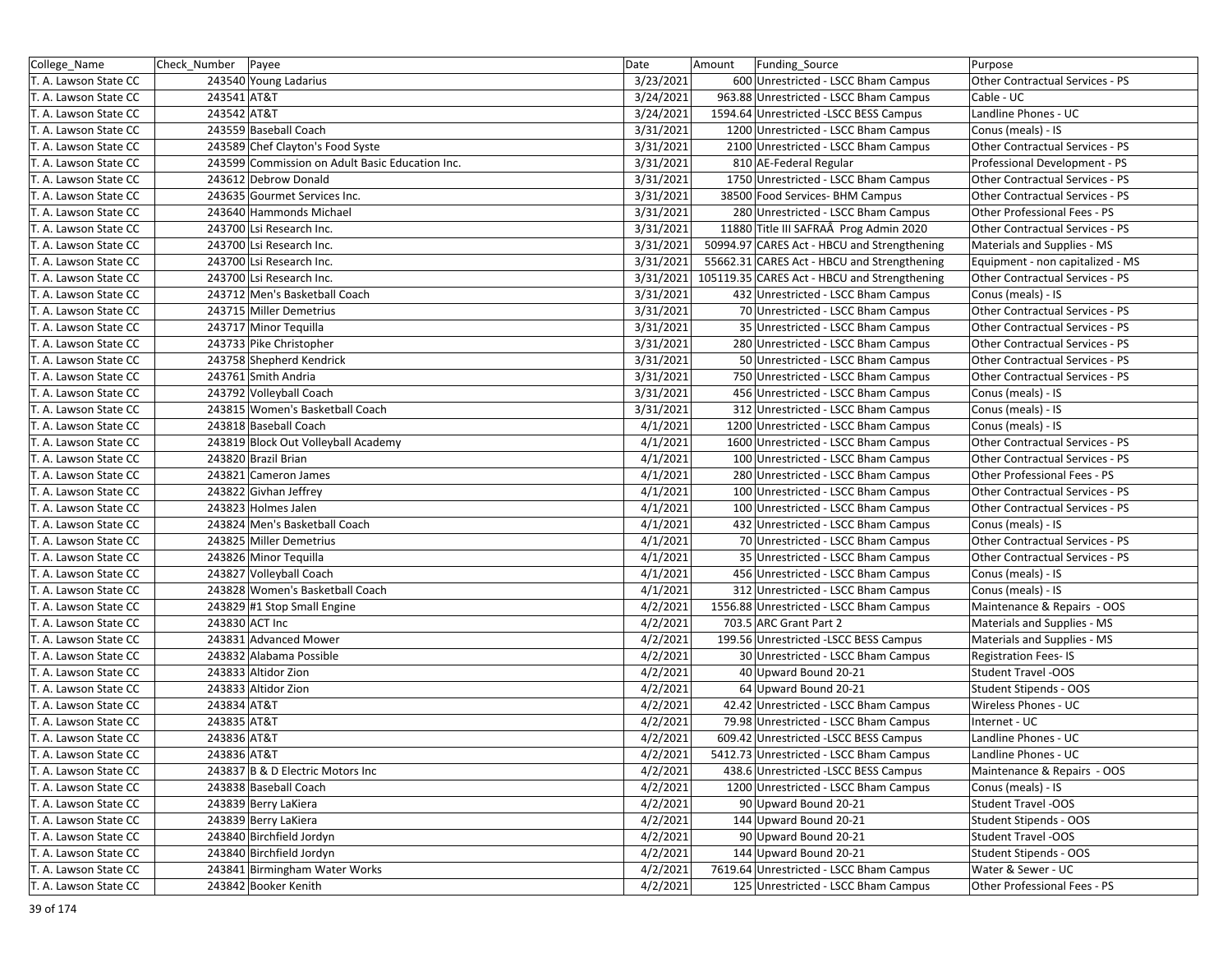| College_Name          | Check_Number   Payee |                                                 | Date      | Amount | <b>Funding Source</b>                        | Purpose                          |
|-----------------------|----------------------|-------------------------------------------------|-----------|--------|----------------------------------------------|----------------------------------|
| T. A. Lawson State CC |                      | 243540 Young Ladarius                           | 3/23/2021 |        | 600 Unrestricted - LSCC Bham Campus          | Other Contractual Services - PS  |
| T. A. Lawson State CC | 243541 AT&T          |                                                 | 3/24/2021 |        | 963.88 Unrestricted - LSCC Bham Campus       | Cable - UC                       |
| T. A. Lawson State CC | 243542 AT&T          |                                                 | 3/24/2021 |        | 1594.64 Unrestricted -LSCC BESS Campus       | Landline Phones - UC             |
| T. A. Lawson State CC |                      | 243559 Baseball Coach                           | 3/31/2021 |        | 1200 Unrestricted - LSCC Bham Campus         | Conus (meals) - IS               |
| T. A. Lawson State CC |                      | 243589 Chef Clayton's Food Syste                | 3/31/2021 |        | 2100 Unrestricted - LSCC Bham Campus         | Other Contractual Services - PS  |
| T. A. Lawson State CC |                      | 243599 Commission on Adult Basic Education Inc. | 3/31/2021 |        | 810 AE-Federal Regular                       | Professional Development - PS    |
| T. A. Lawson State CC |                      | 243612 Debrow Donald                            | 3/31/2021 |        | 1750 Unrestricted - LSCC Bham Campus         | Other Contractual Services - PS  |
| T. A. Lawson State CC |                      | 243635 Gourmet Services Inc.                    | 3/31/2021 |        | 38500 Food Services- BHM Campus              | Other Contractual Services - PS  |
| T. A. Lawson State CC |                      | 243640 Hammonds Michael                         | 3/31/2021 |        | 280 Unrestricted - LSCC Bham Campus          | Other Professional Fees - PS     |
| T. A. Lawson State CC |                      | 243700 Lsi Research Inc.                        | 3/31/2021 |        | 11880 Title III SAFRAÂ Prog Admin 2020       | Other Contractual Services - PS  |
| T. A. Lawson State CC |                      | 243700 Lsi Research Inc.                        | 3/31/2021 |        | 50994.97 CARES Act - HBCU and Strengthening  | Materials and Supplies - MS      |
| T. A. Lawson State CC |                      | 243700 Lsi Research Inc.                        | 3/31/2021 |        | 55662.31 CARES Act - HBCU and Strengthening  | Equipment - non capitalized - MS |
| T. A. Lawson State CC |                      | 243700 Lsi Research Inc.                        | 3/31/2021 |        | 105119.35 CARES Act - HBCU and Strengthening | Other Contractual Services - PS  |
| T. A. Lawson State CC |                      | 243712 Men's Basketball Coach                   | 3/31/2021 |        | 432 Unrestricted - LSCC Bham Campus          | Conus (meals) - IS               |
| T. A. Lawson State CC |                      | 243715 Miller Demetrius                         | 3/31/2021 |        | 70 Unrestricted - LSCC Bham Campus           | Other Contractual Services - PS  |
| T. A. Lawson State CC |                      | 243717 Minor Tequilla                           | 3/31/2021 |        | 35 Unrestricted - LSCC Bham Campus           | Other Contractual Services - PS  |
| T. A. Lawson State CC |                      | 243733 Pike Christopher                         | 3/31/2021 |        | 280 Unrestricted - LSCC Bham Campus          | Other Contractual Services - PS  |
| T. A. Lawson State CC |                      | 243758 Shepherd Kendrick                        | 3/31/2021 |        | 50 Unrestricted - LSCC Bham Campus           | Other Contractual Services - PS  |
| T. A. Lawson State CC |                      | 243761 Smith Andria                             | 3/31/2021 |        | 750 Unrestricted - LSCC Bham Campus          | Other Contractual Services - PS  |
| T. A. Lawson State CC |                      | 243792 Volleyball Coach                         | 3/31/2021 |        | 456 Unrestricted - LSCC Bham Campus          | Conus (meals) - IS               |
| T. A. Lawson State CC |                      | 243815 Women's Basketball Coach                 | 3/31/2021 |        | 312 Unrestricted - LSCC Bham Campus          | Conus (meals) - IS               |
| T. A. Lawson State CC |                      | 243818 Baseball Coach                           | 4/1/2021  |        | 1200 Unrestricted - LSCC Bham Campus         | Conus (meals) - IS               |
| T. A. Lawson State CC |                      | 243819 Block Out Volleyball Academy             | 4/1/2021  |        | 1600 Unrestricted - LSCC Bham Campus         | Other Contractual Services - PS  |
| T. A. Lawson State CC |                      | 243820 Brazil Brian                             | 4/1/2021  |        | 100 Unrestricted - LSCC Bham Campus          | Other Contractual Services - PS  |
| T. A. Lawson State CC |                      | 243821 Cameron James                            | 4/1/2021  |        | 280 Unrestricted - LSCC Bham Campus          | Other Professional Fees - PS     |
| T. A. Lawson State CC |                      | 243822 Givhan Jeffrey                           | 4/1/2021  |        | 100 Unrestricted - LSCC Bham Campus          | Other Contractual Services - PS  |
| T. A. Lawson State CC |                      | 243823 Holmes Jalen                             | 4/1/2021  |        | 100 Unrestricted - LSCC Bham Campus          | Other Contractual Services - PS  |
| T. A. Lawson State CC |                      | 243824 Men's Basketball Coach                   | 4/1/2021  |        | 432 Unrestricted - LSCC Bham Campus          | Conus (meals) - IS               |
| T. A. Lawson State CC |                      | 243825 Miller Demetrius                         | 4/1/2021  |        | 70 Unrestricted - LSCC Bham Campus           | Other Contractual Services - PS  |
| T. A. Lawson State CC |                      | 243826 Minor Tequilla                           | 4/1/2021  |        | 35 Unrestricted - LSCC Bham Campus           | Other Contractual Services - PS  |
| T. A. Lawson State CC |                      | 243827 Volleyball Coach                         | 4/1/2021  |        | 456 Unrestricted - LSCC Bham Campus          | Conus (meals) - IS               |
| T. A. Lawson State CC |                      | 243828 Women's Basketball Coach                 | 4/1/2021  |        | 312 Unrestricted - LSCC Bham Campus          | Conus (meals) - IS               |
| T. A. Lawson State CC |                      | 243829 #1 Stop Small Engine                     | 4/2/2021  |        | 1556.88 Unrestricted - LSCC Bham Campus      | Maintenance & Repairs - OOS      |
| T. A. Lawson State CC |                      | 243830 ACT Inc                                  | 4/2/2021  |        | 703.5 ARC Grant Part 2                       | Materials and Supplies - MS      |
| T. A. Lawson State CC |                      | 243831 Advanced Mower                           | 4/2/2021  |        | 199.56 Unrestricted -LSCC BESS Campus        | Materials and Supplies - MS      |
| T. A. Lawson State CC |                      | 243832 Alabama Possible                         | 4/2/2021  |        | 30 Unrestricted - LSCC Bham Campus           | Registration Fees-IS             |
| T. A. Lawson State CC |                      | 243833 Altidor Zion                             | 4/2/2021  |        | 40 Upward Bound 20-21                        | <b>Student Travel -OOS</b>       |
| T. A. Lawson State CC |                      | 243833 Altidor Zion                             | 4/2/2021  |        | 64 Upward Bound 20-21                        | Student Stipends - OOS           |
| T. A. Lawson State CC | 243834 AT&T          |                                                 | 4/2/2021  |        | 42.42 Unrestricted - LSCC Bham Campus        | Wireless Phones - UC             |
| T. A. Lawson State CC | 243835 AT&T          |                                                 | 4/2/2021  |        | 79.98 Unrestricted - LSCC Bham Campus        | Internet - UC                    |
| T. A. Lawson State CC | 243836 AT&T          |                                                 | 4/2/2021  |        | 609.42 Unrestricted -LSCC BESS Campus        | Landline Phones - UC             |
| T. A. Lawson State CC | 243836 AT&T          |                                                 | 4/2/2021  |        | 5412.73 Unrestricted - LSCC Bham Campus      | Landline Phones - UC             |
| T. A. Lawson State CC |                      | 243837 B & D Electric Motors Inc                | 4/2/2021  |        | 438.6 Unrestricted - LSCC BESS Campus        | Maintenance & Repairs - OOS      |
| T. A. Lawson State CC |                      | 243838 Baseball Coach                           | 4/2/2021  |        | 1200 Unrestricted - LSCC Bham Campus         | Conus (meals) - IS               |
| T. A. Lawson State CC |                      | 243839 Berry LaKiera                            | 4/2/2021  |        | 90 Upward Bound 20-21                        | <b>Student Travel -OOS</b>       |
| T. A. Lawson State CC |                      | 243839 Berry LaKiera                            | 4/2/2021  |        | 144 Upward Bound 20-21                       | Student Stipends - OOS           |
| T. A. Lawson State CC |                      | 243840 Birchfield Jordyn                        | 4/2/2021  |        | 90 Upward Bound 20-21                        | <b>Student Travel -OOS</b>       |
| T. A. Lawson State CC |                      | 243840 Birchfield Jordyn                        | 4/2/2021  |        | 144 Upward Bound 20-21                       | Student Stipends - OOS           |
| T. A. Lawson State CC |                      | 243841 Birmingham Water Works                   | 4/2/2021  |        | 7619.64 Unrestricted - LSCC Bham Campus      | Water & Sewer - UC               |
| T. A. Lawson State CC |                      | 243842 Booker Kenith                            | 4/2/2021  |        | 125 Unrestricted - LSCC Bham Campus          | Other Professional Fees - PS     |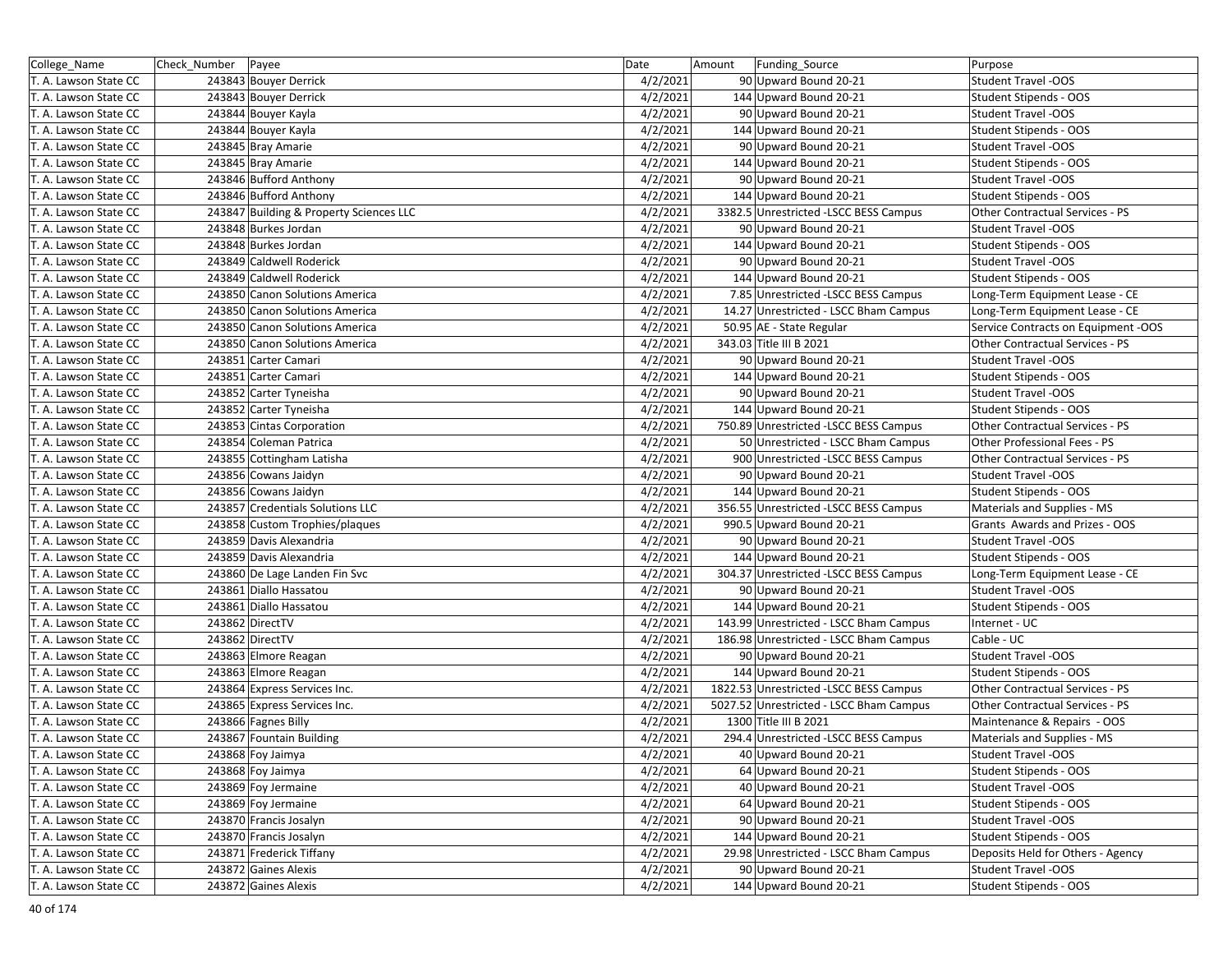| College_Name          | Check_Number   Payee                    | Date     | Amount | Funding_Source                          | Purpose                             |
|-----------------------|-----------------------------------------|----------|--------|-----------------------------------------|-------------------------------------|
| T. A. Lawson State CC | 243843 Bouyer Derrick                   | 4/2/2021 |        | 90 Upward Bound 20-21                   | Student Travel -OOS                 |
| T. A. Lawson State CC | 243843 Bouyer Derrick                   | 4/2/2021 |        | 144 Upward Bound 20-21                  | Student Stipends - OOS              |
| T. A. Lawson State CC | 243844 Bouyer Kayla                     | 4/2/2021 |        | 90 Upward Bound 20-21                   | Student Travel -OOS                 |
| T. A. Lawson State CC | 243844 Bouyer Kayla                     | 4/2/2021 |        | 144 Upward Bound 20-21                  | Student Stipends - OOS              |
| T. A. Lawson State CC | 243845 Bray Amarie                      | 4/2/2021 |        | 90 Upward Bound 20-21                   | <b>Student Travel -OOS</b>          |
| T. A. Lawson State CC | 243845 Bray Amarie                      | 4/2/2021 |        | 144 Upward Bound 20-21                  | Student Stipends - OOS              |
| T. A. Lawson State CC | 243846 Bufford Anthony                  | 4/2/2021 |        | 90 Upward Bound 20-21                   | Student Travel -OOS                 |
| T. A. Lawson State CC | 243846 Bufford Anthony                  | 4/2/2021 |        | 144 Upward Bound 20-21                  | Student Stipends - OOS              |
| T. A. Lawson State CC | 243847 Building & Property Sciences LLC | 4/2/2021 |        | 3382.5 Unrestricted - LSCC BESS Campus  | Other Contractual Services - PS     |
| T. A. Lawson State CC | 243848 Burkes Jordan                    | 4/2/2021 |        | 90 Upward Bound 20-21                   | <b>Student Travel -OOS</b>          |
| T. A. Lawson State CC | 243848 Burkes Jordan                    | 4/2/2021 |        | 144 Upward Bound 20-21                  | Student Stipends - OOS              |
| T. A. Lawson State CC | 243849 Caldwell Roderick                | 4/2/2021 |        | 90 Upward Bound 20-21                   | <b>Student Travel -OOS</b>          |
| T. A. Lawson State CC | 243849 Caldwell Roderick                | 4/2/2021 |        | 144 Upward Bound 20-21                  | Student Stipends - OOS              |
| T. A. Lawson State CC | 243850 Canon Solutions America          | 4/2/2021 |        | 7.85 Unrestricted - LSCC BESS Campus    | Long-Term Equipment Lease - CE      |
| T. A. Lawson State CC | 243850 Canon Solutions America          | 4/2/2021 |        | 14.27 Unrestricted - LSCC Bham Campus   | Long-Term Equipment Lease - CE      |
| T. A. Lawson State CC | 243850 Canon Solutions America          | 4/2/2021 |        | 50.95 AE - State Regular                | Service Contracts on Equipment -OOS |
| T. A. Lawson State CC | 243850 Canon Solutions America          | 4/2/2021 |        | 343.03 Title III B 2021                 | Other Contractual Services - PS     |
| T. A. Lawson State CC | 243851 Carter Camari                    | 4/2/2021 |        | 90 Upward Bound 20-21                   | Student Travel -OOS                 |
| T. A. Lawson State CC | 243851 Carter Camari                    | 4/2/2021 |        | 144 Upward Bound 20-21                  | Student Stipends - OOS              |
| T. A. Lawson State CC | 243852 Carter Tyneisha                  | 4/2/2021 |        | 90 Upward Bound 20-21                   | <b>Student Travel -OOS</b>          |
| T. A. Lawson State CC | 243852 Carter Tyneisha                  | 4/2/2021 |        | 144 Upward Bound 20-21                  | Student Stipends - OOS              |
| T. A. Lawson State CC | 243853 Cintas Corporation               | 4/2/2021 |        | 750.89 Unrestricted -LSCC BESS Campus   | Other Contractual Services - PS     |
| T. A. Lawson State CC | 243854 Coleman Patrica                  | 4/2/2021 |        | 50 Unrestricted - LSCC Bham Campus      | Other Professional Fees - PS        |
| T. A. Lawson State CC | 243855 Cottingham Latisha               | 4/2/2021 |        | 900 Unrestricted -LSCC BESS Campus      | Other Contractual Services - PS     |
| T. A. Lawson State CC | 243856 Cowans Jaidyn                    | 4/2/2021 |        | 90 Upward Bound 20-21                   | <b>Student Travel -OOS</b>          |
| T. A. Lawson State CC | 243856 Cowans Jaidyn                    | 4/2/2021 |        | 144 Upward Bound 20-21                  | Student Stipends - OOS              |
| T. A. Lawson State CC | 243857 Credentials Solutions LLC        | 4/2/2021 |        | 356.55 Unrestricted -LSCC BESS Campus   | Materials and Supplies - MS         |
| T. A. Lawson State CC | 243858 Custom Trophies/plaques          | 4/2/2021 |        | 990.5 Upward Bound 20-21                | Grants Awards and Prizes - OOS      |
| T. A. Lawson State CC | 243859 Davis Alexandria                 | 4/2/2021 |        | 90 Upward Bound 20-21                   | <b>Student Travel -OOS</b>          |
| T. A. Lawson State CC | 243859 Davis Alexandria                 | 4/2/2021 |        | 144 Upward Bound 20-21                  | Student Stipends - OOS              |
| T. A. Lawson State CC | 243860 De Lage Landen Fin Svc           | 4/2/2021 |        | 304.37 Unrestricted -LSCC BESS Campus   | Long-Term Equipment Lease - CE      |
| T. A. Lawson State CC | 243861 Diallo Hassatou                  | 4/2/2021 |        | 90 Upward Bound 20-21                   | Student Travel -OOS                 |
| T. A. Lawson State CC | 243861 Diallo Hassatou                  | 4/2/2021 |        | 144 Upward Bound 20-21                  | Student Stipends - OOS              |
| T. A. Lawson State CC | 243862 DirectTV                         | 4/2/2021 |        | 143.99 Unrestricted - LSCC Bham Campus  | Internet - UC                       |
| T. A. Lawson State CC | 243862 DirectTV                         | 4/2/2021 |        | 186.98 Unrestricted - LSCC Bham Campus  | Cable - UC                          |
| T. A. Lawson State CC | 243863 Elmore Reagan                    | 4/2/2021 |        | 90 Upward Bound 20-21                   | <b>Student Travel -OOS</b>          |
| T. A. Lawson State CC | 243863 Elmore Reagan                    | 4/2/2021 |        | 144 Upward Bound 20-21                  | Student Stipends - OOS              |
| T. A. Lawson State CC | 243864 Express Services Inc.            | 4/2/2021 |        | 1822.53 Unrestricted -LSCC BESS Campus  | Other Contractual Services - PS     |
| T. A. Lawson State CC | 243865 Express Services Inc.            | 4/2/2021 |        | 5027.52 Unrestricted - LSCC Bham Campus | Other Contractual Services - PS     |
| T. A. Lawson State CC | 243866 Fagnes Billy                     | 4/2/2021 |        | 1300 Title III B 2021                   | Maintenance & Repairs - OOS         |
| T. A. Lawson State CC | 243867 Fountain Building                | 4/2/2021 |        | 294.4 Unrestricted -LSCC BESS Campus    | Materials and Supplies - MS         |
| T. A. Lawson State CC | 243868 Foy Jaimya                       | 4/2/2021 |        | 40 Upward Bound 20-21                   | Student Travel -OOS                 |
| T. A. Lawson State CC | 243868 Foy Jaimya                       | 4/2/2021 |        | 64 Upward Bound 20-21                   | Student Stipends - OOS              |
| T. A. Lawson State CC | 243869 Foy Jermaine                     | 4/2/2021 |        | 40 Upward Bound 20-21                   | Student Travel -OOS                 |
| T. A. Lawson State CC | 243869 Foy Jermaine                     | 4/2/2021 |        | 64 Upward Bound 20-21                   | Student Stipends - OOS              |
| T. A. Lawson State CC | 243870 Francis Josalyn                  | 4/2/2021 |        | 90 Upward Bound 20-21                   | Student Travel -OOS                 |
| T. A. Lawson State CC | 243870 Francis Josalyn                  | 4/2/2021 |        | 144 Upward Bound 20-21                  | Student Stipends - OOS              |
| T. A. Lawson State CC | 243871 Frederick Tiffany                | 4/2/2021 |        | 29.98 Unrestricted - LSCC Bham Campus   | Deposits Held for Others - Agency   |
| T. A. Lawson State CC | 243872 Gaines Alexis                    | 4/2/2021 |        | 90 Upward Bound 20-21                   | Student Travel -OOS                 |
| T. A. Lawson State CC | 243872 Gaines Alexis                    | 4/2/2021 |        | 144 Upward Bound 20-21                  | Student Stipends - OOS              |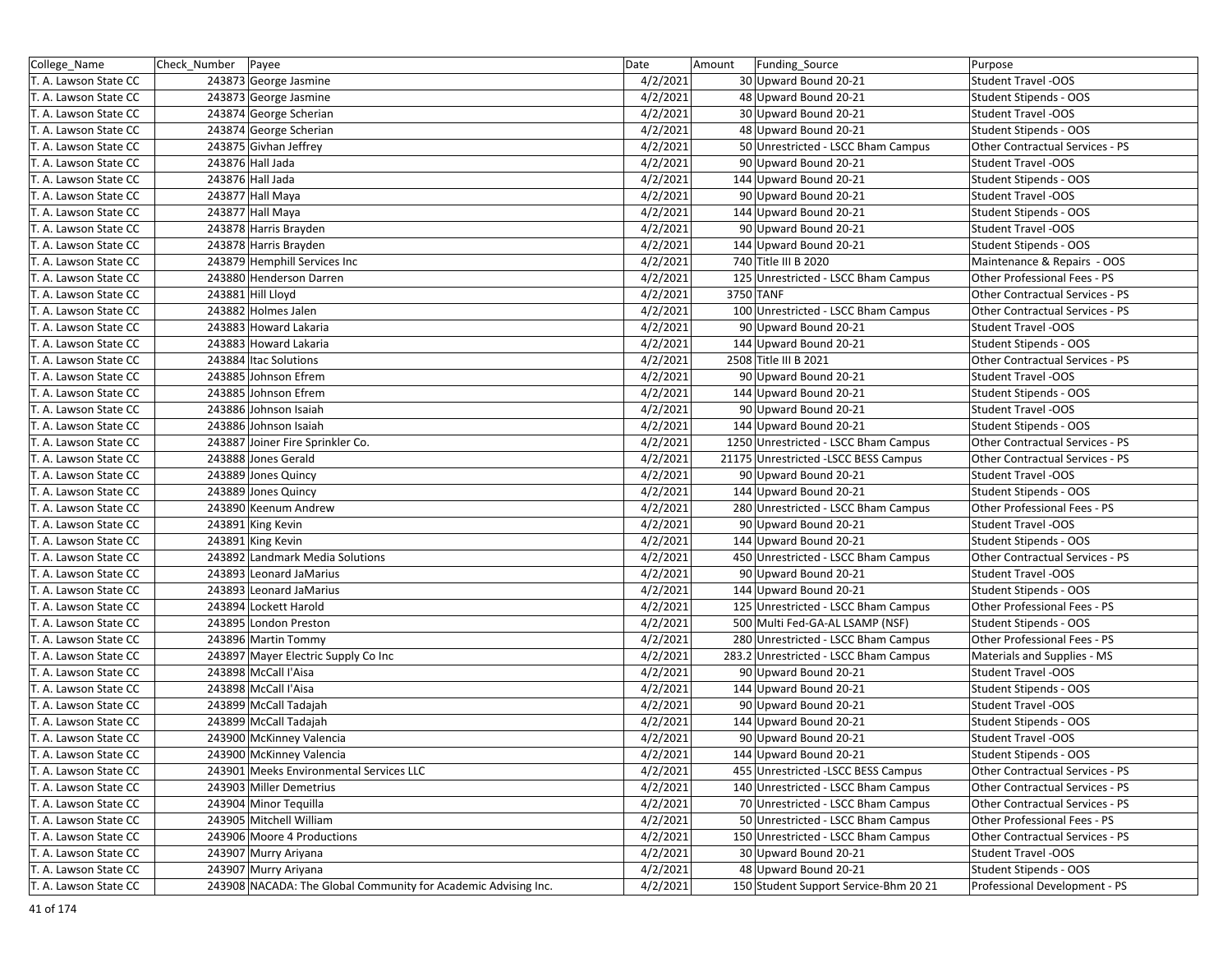| College_Name          | Check_Number   Payee |                                                                | Date     | Amount    | Funding Source                        | Purpose                         |
|-----------------------|----------------------|----------------------------------------------------------------|----------|-----------|---------------------------------------|---------------------------------|
| T. A. Lawson State CC |                      | 243873 George Jasmine                                          | 4/2/2021 |           | 30 Upward Bound 20-21                 | <b>Student Travel -OOS</b>      |
| T. A. Lawson State CC |                      | 243873 George Jasmine                                          | 4/2/2021 |           | 48 Upward Bound 20-21                 | Student Stipends - OOS          |
| T. A. Lawson State CC |                      | 243874 George Scherian                                         | 4/2/2021 |           | 30 Upward Bound 20-21                 | <b>Student Travel -OOS</b>      |
| T. A. Lawson State CC |                      | 243874 George Scherian                                         | 4/2/2021 |           | 48 Upward Bound 20-21                 | Student Stipends - OOS          |
| T. A. Lawson State CC |                      | 243875 Givhan Jeffrey                                          | 4/2/2021 |           | 50 Unrestricted - LSCC Bham Campus    | Other Contractual Services - PS |
| T. A. Lawson State CC |                      | 243876 Hall Jada                                               | 4/2/2021 |           | 90 Upward Bound 20-21                 | <b>Student Travel -OOS</b>      |
| T. A. Lawson State CC |                      | 243876 Hall Jada                                               | 4/2/2021 |           | 144 Upward Bound 20-21                | Student Stipends - OOS          |
| T. A. Lawson State CC |                      | 243877 Hall Maya                                               | 4/2/2021 |           | 90 Upward Bound 20-21                 | <b>Student Travel -OOS</b>      |
| T. A. Lawson State CC |                      | 243877 Hall Maya                                               | 4/2/2021 |           | 144 Upward Bound 20-21                | Student Stipends - OOS          |
| T. A. Lawson State CC |                      | 243878 Harris Brayden                                          | 4/2/2021 |           | 90 Upward Bound 20-21                 | <b>Student Travel -OOS</b>      |
| T. A. Lawson State CC |                      | 243878 Harris Brayden                                          | 4/2/2021 |           | 144 Upward Bound 20-21                | Student Stipends - OOS          |
| T. A. Lawson State CC |                      | 243879 Hemphill Services Inc                                   | 4/2/2021 |           | 740 Title III B 2020                  | Maintenance & Repairs - OOS     |
| T. A. Lawson State CC |                      | 243880 Henderson Darren                                        | 4/2/2021 |           | 125 Unrestricted - LSCC Bham Campus   | Other Professional Fees - PS    |
| T. A. Lawson State CC |                      | 243881 Hill Lloyd                                              | 4/2/2021 | 3750 TANF |                                       | Other Contractual Services - PS |
| T. A. Lawson State CC |                      | 243882 Holmes Jalen                                            | 4/2/2021 |           | 100 Unrestricted - LSCC Bham Campus   | Other Contractual Services - PS |
| T. A. Lawson State CC |                      | 243883 Howard Lakaria                                          | 4/2/2021 |           | 90 Upward Bound 20-21                 | <b>Student Travel -OOS</b>      |
| T. A. Lawson State CC |                      | 243883 Howard Lakaria                                          | 4/2/2021 |           | 144 Upward Bound 20-21                | Student Stipends - OOS          |
| T. A. Lawson State CC |                      | 243884 Itac Solutions                                          | 4/2/2021 |           | 2508 Title III B 2021                 | Other Contractual Services - PS |
| T. A. Lawson State CC |                      | 243885 Johnson Efrem                                           | 4/2/2021 |           | 90 Upward Bound 20-21                 | <b>Student Travel -OOS</b>      |
| T. A. Lawson State CC |                      | 243885 Johnson Efrem                                           | 4/2/2021 |           | 144 Upward Bound 20-21                | Student Stipends - OOS          |
| T. A. Lawson State CC |                      | 243886 Johnson Isaiah                                          | 4/2/2021 |           | 90 Upward Bound 20-21                 | <b>Student Travel -OOS</b>      |
| T. A. Lawson State CC |                      | 243886 Johnson Isaiah                                          | 4/2/2021 |           | 144 Upward Bound 20-21                | Student Stipends - OOS          |
| T. A. Lawson State CC |                      | 243887 Joiner Fire Sprinkler Co.                               | 4/2/2021 |           | 1250 Unrestricted - LSCC Bham Campus  | Other Contractual Services - PS |
| T. A. Lawson State CC |                      | 243888 Jones Gerald                                            | 4/2/2021 |           | 21175 Unrestricted -LSCC BESS Campus  | Other Contractual Services - PS |
| T. A. Lawson State CC |                      | 243889 Jones Quincy                                            | 4/2/2021 |           | 90 Upward Bound 20-21                 | <b>Student Travel -OOS</b>      |
| T. A. Lawson State CC |                      | 243889 Jones Quincy                                            | 4/2/2021 |           | 144 Upward Bound 20-21                | Student Stipends - OOS          |
| T. A. Lawson State CC |                      | 243890 Keenum Andrew                                           | 4/2/2021 |           | 280 Unrestricted - LSCC Bham Campus   | Other Professional Fees - PS    |
| T. A. Lawson State CC |                      | 243891 King Kevin                                              | 4/2/2021 |           | 90 Upward Bound 20-21                 | <b>Student Travel -OOS</b>      |
| T. A. Lawson State CC |                      | 243891 King Kevin                                              | 4/2/2021 |           | 144 Upward Bound 20-21                | Student Stipends - OOS          |
| T. A. Lawson State CC |                      | 243892 Landmark Media Solutions                                | 4/2/2021 |           | 450 Unrestricted - LSCC Bham Campus   | Other Contractual Services - PS |
| T. A. Lawson State CC |                      | 243893 Leonard JaMarius                                        | 4/2/2021 |           | 90 Upward Bound 20-21                 | <b>Student Travel -OOS</b>      |
| T. A. Lawson State CC |                      | 243893 Leonard JaMarius                                        | 4/2/2021 |           | 144 Upward Bound 20-21                | Student Stipends - OOS          |
| T. A. Lawson State CC |                      | 243894 Lockett Harold                                          | 4/2/2021 |           | 125 Unrestricted - LSCC Bham Campus   | Other Professional Fees - PS    |
| T. A. Lawson State CC |                      | 243895 London Preston                                          | 4/2/2021 |           | 500 Multi Fed-GA-AL LSAMP (NSF)       | Student Stipends - OOS          |
| T. A. Lawson State CC |                      | 243896 Martin Tommy                                            | 4/2/2021 |           | 280 Unrestricted - LSCC Bham Campus   | Other Professional Fees - PS    |
| T. A. Lawson State CC |                      | 243897 Mayer Electric Supply Co Inc                            | 4/2/2021 |           | 283.2 Unrestricted - LSCC Bham Campus | Materials and Supplies - MS     |
| T. A. Lawson State CC |                      | 243898 McCall l'Aisa                                           | 4/2/2021 |           | 90 Upward Bound 20-21                 | <b>Student Travel -OOS</b>      |
| T. A. Lawson State CC |                      | 243898 McCall l'Aisa                                           | 4/2/2021 |           | 144 Upward Bound 20-21                | Student Stipends - OOS          |
| T. A. Lawson State CC |                      | 243899 McCall Tadajah                                          | 4/2/2021 |           | 90 Upward Bound 20-21                 | <b>Student Travel -OOS</b>      |
| T. A. Lawson State CC |                      | 243899 McCall Tadajah                                          | 4/2/2021 |           | 144 Upward Bound 20-21                | Student Stipends - OOS          |
| T. A. Lawson State CC |                      | 243900 McKinney Valencia                                       | 4/2/2021 |           | 90 Upward Bound 20-21                 | <b>Student Travel -OOS</b>      |
| T. A. Lawson State CC |                      | 243900 McKinney Valencia                                       | 4/2/2021 |           | 144 Upward Bound 20-21                | Student Stipends - OOS          |
| T. A. Lawson State CC |                      | 243901 Meeks Environmental Services LLC                        | 4/2/2021 |           | 455 Unrestricted - LSCC BESS Campus   | Other Contractual Services - PS |
| T. A. Lawson State CC |                      | 243903 Miller Demetrius                                        | 4/2/2021 |           | 140 Unrestricted - LSCC Bham Campus   | Other Contractual Services - PS |
| T. A. Lawson State CC |                      | 243904 Minor Tequilla                                          | 4/2/2021 |           | 70 Unrestricted - LSCC Bham Campus    | Other Contractual Services - PS |
| T. A. Lawson State CC |                      | 243905 Mitchell William                                        | 4/2/2021 |           | 50 Unrestricted - LSCC Bham Campus    | Other Professional Fees - PS    |
| T. A. Lawson State CC |                      | 243906 Moore 4 Productions                                     | 4/2/2021 |           | 150 Unrestricted - LSCC Bham Campus   | Other Contractual Services - PS |
| T. A. Lawson State CC |                      | 243907 Murry Ariyana                                           | 4/2/2021 |           | 30 Upward Bound 20-21                 | <b>Student Travel -OOS</b>      |
| T. A. Lawson State CC |                      | 243907 Murry Ariyana                                           | 4/2/2021 |           | 48 Upward Bound 20-21                 | Student Stipends - OOS          |
| T. A. Lawson State CC |                      | 243908 NACADA: The Global Community for Academic Advising Inc. | 4/2/2021 |           | 150 Student Support Service-Bhm 20 21 | Professional Development - PS   |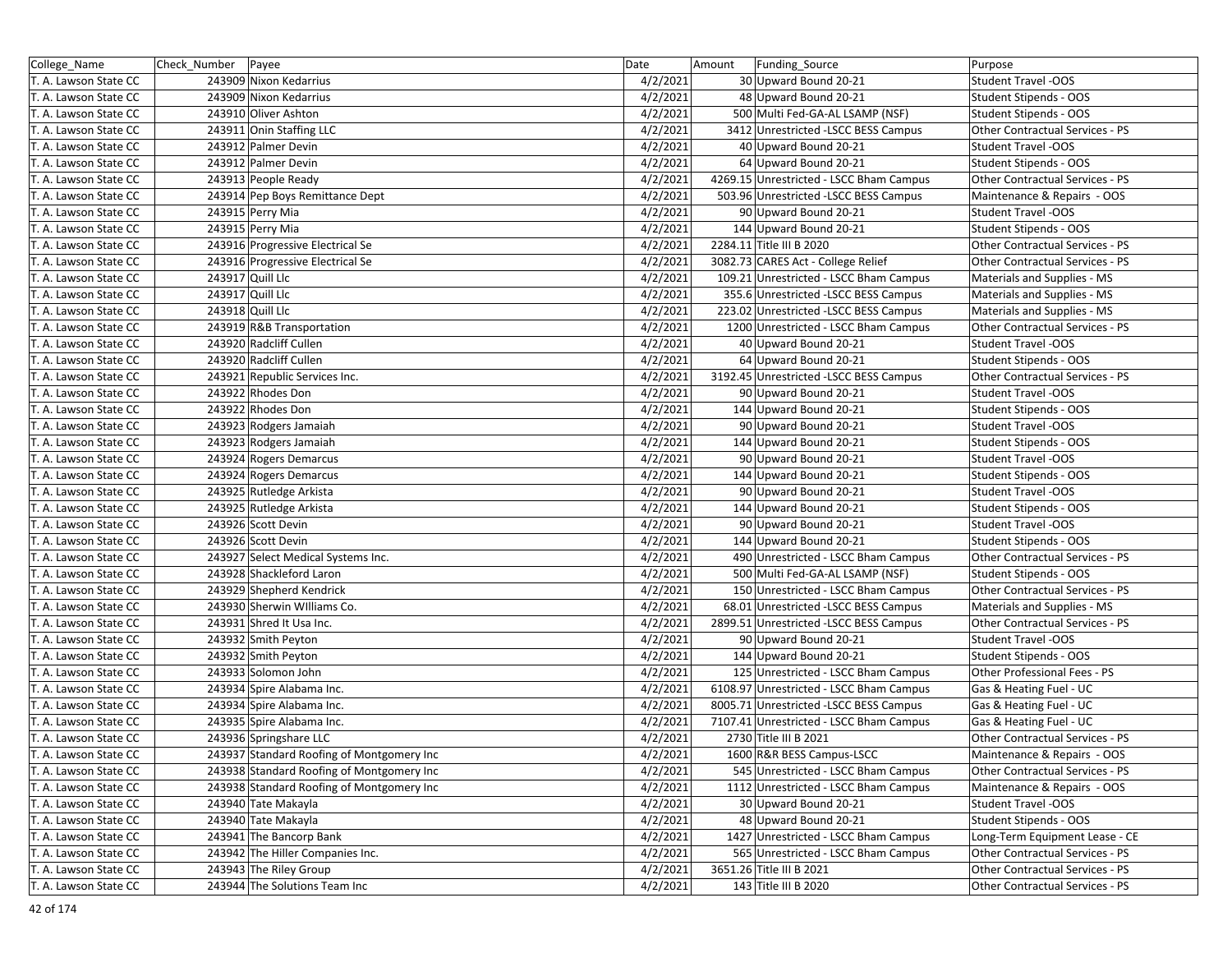| College_Name          | Check_Number   Payee                      | Date     | Amount | Funding_Source                          | Purpose                         |
|-----------------------|-------------------------------------------|----------|--------|-----------------------------------------|---------------------------------|
| T. A. Lawson State CC | 243909 Nixon Kedarrius                    | 4/2/2021 |        | 30 Upward Bound 20-21                   | <b>Student Travel -OOS</b>      |
| T. A. Lawson State CC | 243909 Nixon Kedarrius                    | 4/2/2021 |        | 48 Upward Bound 20-21                   | Student Stipends - OOS          |
| T. A. Lawson State CC | 243910 Oliver Ashton                      | 4/2/2021 |        | 500 Multi Fed-GA-AL LSAMP (NSF)         | Student Stipends - OOS          |
| T. A. Lawson State CC | 243911 Onin Staffing LLC                  | 4/2/2021 |        | 3412 Unrestricted -LSCC BESS Campus     | Other Contractual Services - PS |
| T. A. Lawson State CC | 243912 Palmer Devin                       | 4/2/2021 |        | 40 Upward Bound 20-21                   | Student Travel -OOS             |
| T. A. Lawson State CC | 243912 Palmer Devin                       | 4/2/2021 |        | 64 Upward Bound 20-21                   | Student Stipends - OOS          |
| T. A. Lawson State CC | 243913 People Ready                       | 4/2/2021 |        | 4269.15 Unrestricted - LSCC Bham Campus | Other Contractual Services - PS |
| T. A. Lawson State CC | 243914 Pep Boys Remittance Dept           | 4/2/2021 |        | 503.96 Unrestricted -LSCC BESS Campus   | Maintenance & Repairs - OOS     |
| T. A. Lawson State CC | 243915 Perry Mia                          | 4/2/2021 |        | 90 Upward Bound 20-21                   | <b>Student Travel -OOS</b>      |
| T. A. Lawson State CC | 243915 Perry Mia                          | 4/2/2021 |        | 144 Upward Bound 20-21                  | Student Stipends - OOS          |
| T. A. Lawson State CC | 243916 Progressive Electrical Se          | 4/2/2021 |        | 2284.11 Title III B 2020                | Other Contractual Services - PS |
| T. A. Lawson State CC | 243916 Progressive Electrical Se          | 4/2/2021 |        | 3082.73 CARES Act - College Relief      | Other Contractual Services - PS |
| T. A. Lawson State CC | 243917 Quill Llc                          | 4/2/2021 |        | 109.21 Unrestricted - LSCC Bham Campus  | Materials and Supplies - MS     |
| T. A. Lawson State CC | 243917 Quill Llc                          | 4/2/2021 |        | 355.6 Unrestricted -LSCC BESS Campus    | Materials and Supplies - MS     |
| T. A. Lawson State CC | 243918 Quill Llc                          | 4/2/2021 |        | 223.02 Unrestricted -LSCC BESS Campus   | Materials and Supplies - MS     |
| T. A. Lawson State CC | 243919 R&B Transportation                 | 4/2/2021 |        | 1200 Unrestricted - LSCC Bham Campus    | Other Contractual Services - PS |
| T. A. Lawson State CC | 243920 Radcliff Cullen                    | 4/2/2021 |        | 40 Upward Bound 20-21                   | Student Travel -OOS             |
| T. A. Lawson State CC | 243920 Radcliff Cullen                    | 4/2/2021 |        | 64 Upward Bound 20-21                   | Student Stipends - OOS          |
| T. A. Lawson State CC | 243921 Republic Services Inc.             | 4/2/2021 |        | 3192.45 Unrestricted -LSCC BESS Campus  | Other Contractual Services - PS |
| T. A. Lawson State CC | 243922 Rhodes Don                         | 4/2/2021 |        | 90 Upward Bound 20-21                   | <b>Student Travel -OOS</b>      |
| T. A. Lawson State CC | 243922 Rhodes Don                         | 4/2/2021 |        | 144 Upward Bound 20-21                  | Student Stipends - OOS          |
| T. A. Lawson State CC | 243923 Rodgers Jamaiah                    | 4/2/2021 |        | 90 Upward Bound 20-21                   | <b>Student Travel -OOS</b>      |
| T. A. Lawson State CC | 243923 Rodgers Jamaiah                    | 4/2/2021 |        | 144 Upward Bound 20-21                  | Student Stipends - OOS          |
| T. A. Lawson State CC | 243924 Rogers Demarcus                    | 4/2/2021 |        | 90 Upward Bound 20-21                   | Student Travel -OOS             |
| T. A. Lawson State CC | 243924 Rogers Demarcus                    | 4/2/2021 |        | 144 Upward Bound 20-21                  | Student Stipends - OOS          |
| T. A. Lawson State CC | 243925 Rutledge Arkista                   | 4/2/2021 |        | 90 Upward Bound 20-21                   | <b>Student Travel -OOS</b>      |
| T. A. Lawson State CC | 243925 Rutledge Arkista                   | 4/2/2021 |        | 144 Upward Bound 20-21                  | Student Stipends - OOS          |
| T. A. Lawson State CC | 243926 Scott Devin                        | 4/2/2021 |        | 90 Upward Bound 20-21                   | Student Travel -OOS             |
| T. A. Lawson State CC | 243926 Scott Devin                        | 4/2/2021 |        | 144 Upward Bound 20-21                  | Student Stipends - OOS          |
| T. A. Lawson State CC | 243927 Select Medical Systems Inc.        | 4/2/2021 |        | 490 Unrestricted - LSCC Bham Campus     | Other Contractual Services - PS |
| T. A. Lawson State CC | 243928 Shackleford Laron                  | 4/2/2021 |        | 500 Multi Fed-GA-AL LSAMP (NSF)         | Student Stipends - OOS          |
| T. A. Lawson State CC | 243929 Shepherd Kendrick                  | 4/2/2021 |        | 150 Unrestricted - LSCC Bham Campus     | Other Contractual Services - PS |
| T. A. Lawson State CC | 243930 Sherwin Williams Co.               | 4/2/2021 |        | 68.01 Unrestricted -LSCC BESS Campus    | Materials and Supplies - MS     |
| T. A. Lawson State CC | 243931 Shred It Usa Inc.                  | 4/2/2021 |        | 2899.51 Unrestricted -LSCC BESS Campus  | Other Contractual Services - PS |
| T. A. Lawson State CC | 243932 Smith Peyton                       | 4/2/2021 |        | 90 Upward Bound 20-21                   | <b>Student Travel -OOS</b>      |
| T. A. Lawson State CC | 243932 Smith Peyton                       | 4/2/2021 |        | 144 Upward Bound 20-21                  | Student Stipends - OOS          |
| T. A. Lawson State CC | 243933 Solomon John                       | 4/2/2021 |        | 125 Unrestricted - LSCC Bham Campus     | Other Professional Fees - PS    |
| T. A. Lawson State CC | 243934 Spire Alabama Inc.                 | 4/2/2021 |        | 6108.97 Unrestricted - LSCC Bham Campus | Gas & Heating Fuel - UC         |
| T. A. Lawson State CC | 243934 Spire Alabama Inc.                 | 4/2/2021 |        | 8005.71 Unrestricted -LSCC BESS Campus  | Gas & Heating Fuel - UC         |
| T. A. Lawson State CC | 243935 Spire Alabama Inc.                 | 4/2/2021 |        | 7107.41 Unrestricted - LSCC Bham Campus | Gas & Heating Fuel - UC         |
| T. A. Lawson State CC | 243936 Springshare LLC                    | 4/2/2021 |        | 2730 Title III B 2021                   | Other Contractual Services - PS |
| T. A. Lawson State CC | 243937 Standard Roofing of Montgomery Inc | 4/2/2021 |        | 1600 R&R BESS Campus-LSCC               | Maintenance & Repairs - OOS     |
| T. A. Lawson State CC | 243938 Standard Roofing of Montgomery Inc | 4/2/2021 |        | 545 Unrestricted - LSCC Bham Campus     | Other Contractual Services - PS |
| T. A. Lawson State CC | 243938 Standard Roofing of Montgomery Inc | 4/2/2021 |        | 1112 Unrestricted - LSCC Bham Campus    | Maintenance & Repairs - OOS     |
| T. A. Lawson State CC | 243940 Tate Makayla                       | 4/2/2021 |        | 30 Upward Bound 20-21                   | <b>Student Travel -OOS</b>      |
| T. A. Lawson State CC | 243940 Tate Makayla                       | 4/2/2021 |        | 48 Upward Bound 20-21                   | <b>Student Stipends - OOS</b>   |
| T. A. Lawson State CC | 243941 The Bancorp Bank                   | 4/2/2021 |        | 1427 Unrestricted - LSCC Bham Campus    | Long-Term Equipment Lease - CE  |
| T. A. Lawson State CC | 243942 The Hiller Companies Inc.          | 4/2/2021 |        | 565 Unrestricted - LSCC Bham Campus     | Other Contractual Services - PS |
| T. A. Lawson State CC | 243943 The Riley Group                    | 4/2/2021 |        | 3651.26 Title III B 2021                | Other Contractual Services - PS |
| T. A. Lawson State CC | 243944 The Solutions Team Inc             | 4/2/2021 |        | 143 Title III B 2020                    | Other Contractual Services - PS |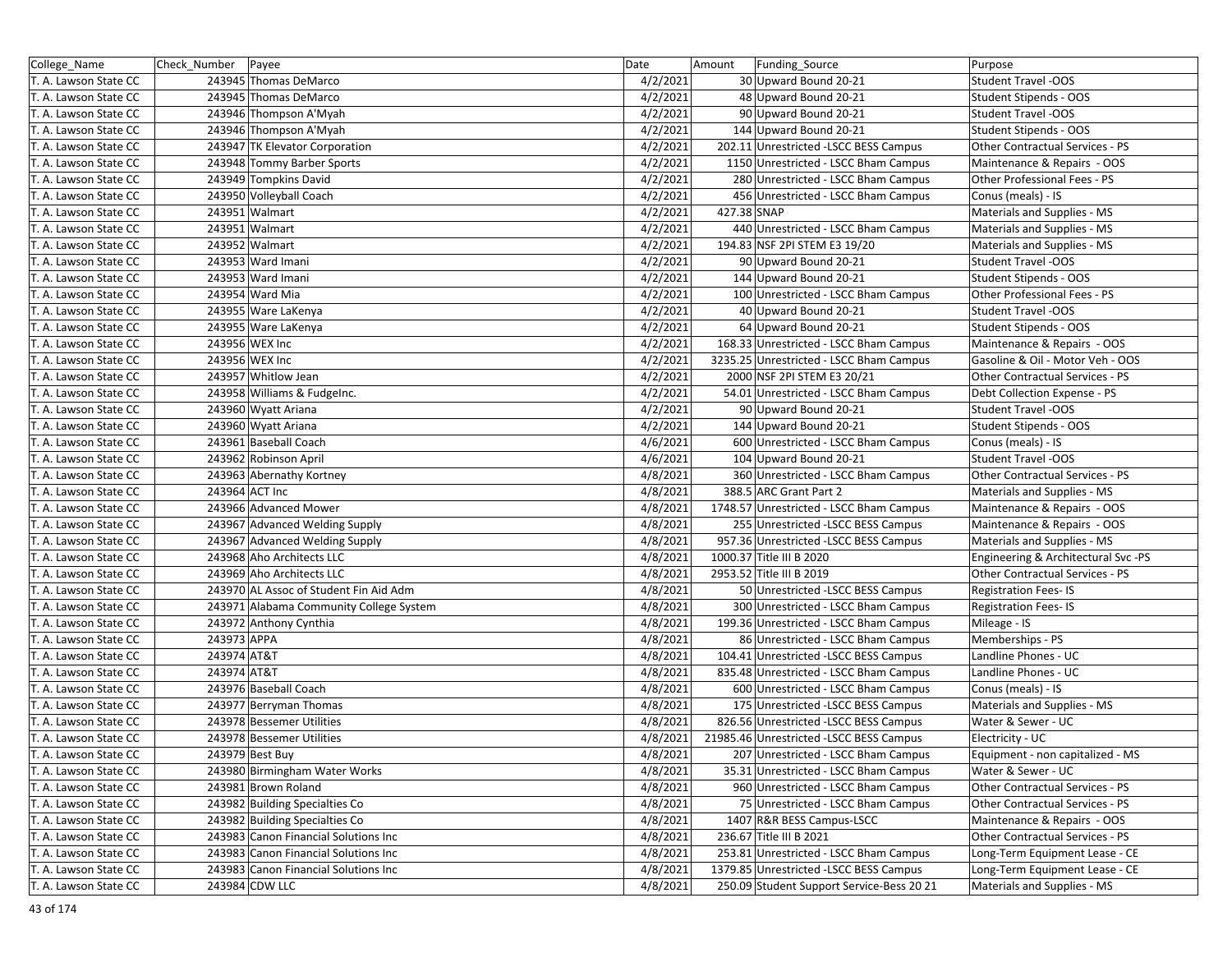| College_Name          | Check_Number   Payee                    | Date     | Amount      | Funding_Source                            | Purpose                             |
|-----------------------|-----------------------------------------|----------|-------------|-------------------------------------------|-------------------------------------|
| T. A. Lawson State CC | 243945 Thomas DeMarco                   | 4/2/2021 |             | 30 Upward Bound 20-21                     | <b>Student Travel -OOS</b>          |
| T. A. Lawson State CC | 243945 Thomas DeMarco                   | 4/2/2021 |             | 48 Upward Bound 20-21                     | Student Stipends - OOS              |
| T. A. Lawson State CC | 243946 Thompson A'Myah                  | 4/2/2021 |             | 90 Upward Bound 20-21                     | <b>Student Travel -OOS</b>          |
| T. A. Lawson State CC | 243946 Thompson A'Myah                  | 4/2/2021 |             | 144 Upward Bound 20-21                    | Student Stipends - OOS              |
| T. A. Lawson State CC | 243947 TK Elevator Corporation          | 4/2/2021 |             | 202.11 Unrestricted -LSCC BESS Campus     | Other Contractual Services - PS     |
| T. A. Lawson State CC | 243948 Tommy Barber Sports              | 4/2/2021 |             | 1150 Unrestricted - LSCC Bham Campus      | Maintenance & Repairs - OOS         |
| T. A. Lawson State CC | 243949 Tompkins David                   | 4/2/2021 |             | 280 Unrestricted - LSCC Bham Campus       | Other Professional Fees - PS        |
| T. A. Lawson State CC | 243950 Volleyball Coach                 | 4/2/2021 |             | 456 Unrestricted - LSCC Bham Campus       | Conus (meals) - IS                  |
| T. A. Lawson State CC | 243951 Walmart                          | 4/2/2021 | 427.38 SNAP |                                           | Materials and Supplies - MS         |
| T. A. Lawson State CC | 243951 Walmart                          | 4/2/2021 |             | 440 Unrestricted - LSCC Bham Campus       | Materials and Supplies - MS         |
| T. A. Lawson State CC | 243952 Walmart                          | 4/2/2021 |             | 194.83 NSF 2PI STEM E3 19/20              | Materials and Supplies - MS         |
| T. A. Lawson State CC | 243953 Ward Imani                       | 4/2/2021 |             | 90 Upward Bound 20-21                     | <b>Student Travel -OOS</b>          |
| T. A. Lawson State CC | 243953 Ward Imani                       | 4/2/2021 |             | 144 Upward Bound 20-21                    | Student Stipends - OOS              |
| T. A. Lawson State CC | 243954 Ward Mia                         | 4/2/2021 |             | 100 Unrestricted - LSCC Bham Campus       | Other Professional Fees - PS        |
| T. A. Lawson State CC | 243955 Ware LaKenya                     | 4/2/2021 |             | 40 Upward Bound 20-21                     | <b>Student Travel -OOS</b>          |
| T. A. Lawson State CC | 243955 Ware LaKenya                     | 4/2/2021 |             | 64 Upward Bound 20-21                     | Student Stipends - OOS              |
| T. A. Lawson State CC | 243956 WEX Inc                          | 4/2/2021 |             | 168.33 Unrestricted - LSCC Bham Campus    | Maintenance & Repairs - OOS         |
| T. A. Lawson State CC | 243956 WEX Inc                          | 4/2/2021 |             | 3235.25 Unrestricted - LSCC Bham Campus   | Gasoline & Oil - Motor Veh - OOS    |
| T. A. Lawson State CC | 243957 Whitlow Jean                     | 4/2/2021 |             | 2000 NSF 2PI STEM E3 20/21                | Other Contractual Services - PS     |
| T. A. Lawson State CC | 243958 Williams & Fudgelnc.             | 4/2/2021 |             | 54.01 Unrestricted - LSCC Bham Campus     | Debt Collection Expense - PS        |
| T. A. Lawson State CC | 243960 Wyatt Ariana                     | 4/2/2021 |             | 90 Upward Bound 20-21                     | <b>Student Travel -OOS</b>          |
| T. A. Lawson State CC | 243960 Wyatt Ariana                     | 4/2/2021 |             | 144 Upward Bound 20-21                    | Student Stipends - OOS              |
| T. A. Lawson State CC | 243961 Baseball Coach                   | 4/6/2021 |             | 600 Unrestricted - LSCC Bham Campus       | Conus (meals) - IS                  |
| T. A. Lawson State CC | 243962 Robinson April                   | 4/6/2021 |             | 104 Upward Bound 20-21                    | <b>Student Travel -OOS</b>          |
| T. A. Lawson State CC | 243963 Abernathy Kortney                | 4/8/2021 |             | 360 Unrestricted - LSCC Bham Campus       | Other Contractual Services - PS     |
| T. A. Lawson State CC | 243964 ACT Inc                          | 4/8/2021 |             | 388.5 ARC Grant Part 2                    | Materials and Supplies - MS         |
| T. A. Lawson State CC | 243966 Advanced Mower                   | 4/8/2021 |             | 1748.57 Unrestricted - LSCC Bham Campus   | Maintenance & Repairs - OOS         |
| T. A. Lawson State CC | 243967 Advanced Welding Supply          | 4/8/2021 |             | 255 Unrestricted -LSCC BESS Campus        | Maintenance & Repairs - OOS         |
| T. A. Lawson State CC | 243967 Advanced Welding Supply          | 4/8/2021 |             | 957.36 Unrestricted -LSCC BESS Campus     | Materials and Supplies - MS         |
| T. A. Lawson State CC | 243968 Aho Architects LLC               | 4/8/2021 |             | 1000.37 Title III B 2020                  | Engineering & Architectural Svc -PS |
| T. A. Lawson State CC | 243969 Aho Architects LLC               | 4/8/2021 |             | 2953.52 Title III B 2019                  | Other Contractual Services - PS     |
| T. A. Lawson State CC | 243970 AL Assoc of Student Fin Aid Adm  | 4/8/2021 |             | 50 Unrestricted - LSCC BESS Campus        | <b>Registration Fees-IS</b>         |
| T. A. Lawson State CC | 243971 Alabama Community College System | 4/8/2021 |             | 300 Unrestricted - LSCC Bham Campus       | <b>Registration Fees-IS</b>         |
| T. A. Lawson State CC | 243972 Anthony Cynthia                  | 4/8/2021 |             | 199.36 Unrestricted - LSCC Bham Campus    | Mileage - IS                        |
| T. A. Lawson State CC | 243973 APPA                             | 4/8/2021 |             | 86 Unrestricted - LSCC Bham Campus        | Memberships - PS                    |
| T. A. Lawson State CC | 243974 AT&T                             | 4/8/2021 |             | 104.41 Unrestricted -LSCC BESS Campus     | Landline Phones - UC                |
| T. A. Lawson State CC | 243974 AT&T                             | 4/8/2021 |             | 835.48 Unrestricted - LSCC Bham Campus    | Landline Phones - UC                |
| T. A. Lawson State CC | 243976 Baseball Coach                   | 4/8/2021 |             | 600 Unrestricted - LSCC Bham Campus       | Conus (meals) - IS                  |
| T. A. Lawson State CC | 243977 Berryman Thomas                  | 4/8/2021 |             | 175 Unrestricted - LSCC BESS Campus       | Materials and Supplies - MS         |
| T. A. Lawson State CC | 243978 Bessemer Utilities               | 4/8/2021 |             | 826.56 Unrestricted -LSCC BESS Campus     | Water & Sewer - UC                  |
| T. A. Lawson State CC | 243978 Bessemer Utilities               | 4/8/2021 |             | 21985.46 Unrestricted - LSCC BESS Campus  | Electricity - UC                    |
| T. A. Lawson State CC | 243979 Best Buy                         | 4/8/2021 |             | 207 Unrestricted - LSCC Bham Campus       | Equipment - non capitalized - MS    |
| T. A. Lawson State CC | 243980 Birmingham Water Works           | 4/8/2021 |             | 35.31 Unrestricted - LSCC Bham Campus     | Water & Sewer - UC                  |
| T. A. Lawson State CC | 243981 Brown Roland                     | 4/8/2021 |             | 960 Unrestricted - LSCC Bham Campus       | Other Contractual Services - PS     |
| T. A. Lawson State CC | 243982 Building Specialties Co          | 4/8/2021 |             | 75 Unrestricted - LSCC Bham Campus        | Other Contractual Services - PS     |
| T. A. Lawson State CC | 243982 Building Specialties Co          | 4/8/2021 |             | 1407 R&R BESS Campus-LSCC                 | Maintenance & Repairs - OOS         |
| T. A. Lawson State CC | 243983 Canon Financial Solutions Inc    | 4/8/2021 |             | 236.67 Title III B 2021                   | Other Contractual Services - PS     |
| T. A. Lawson State CC | 243983 Canon Financial Solutions Inc    | 4/8/2021 |             | 253.81 Unrestricted - LSCC Bham Campus    | Long-Term Equipment Lease - CE      |
| T. A. Lawson State CC | 243983 Canon Financial Solutions Inc    | 4/8/2021 |             | 1379.85 Unrestricted -LSCC BESS Campus    | Long-Term Equipment Lease - CE      |
| T. A. Lawson State CC | 243984 CDW LLC                          | 4/8/2021 |             | 250.09 Student Support Service-Bess 20 21 | Materials and Supplies - MS         |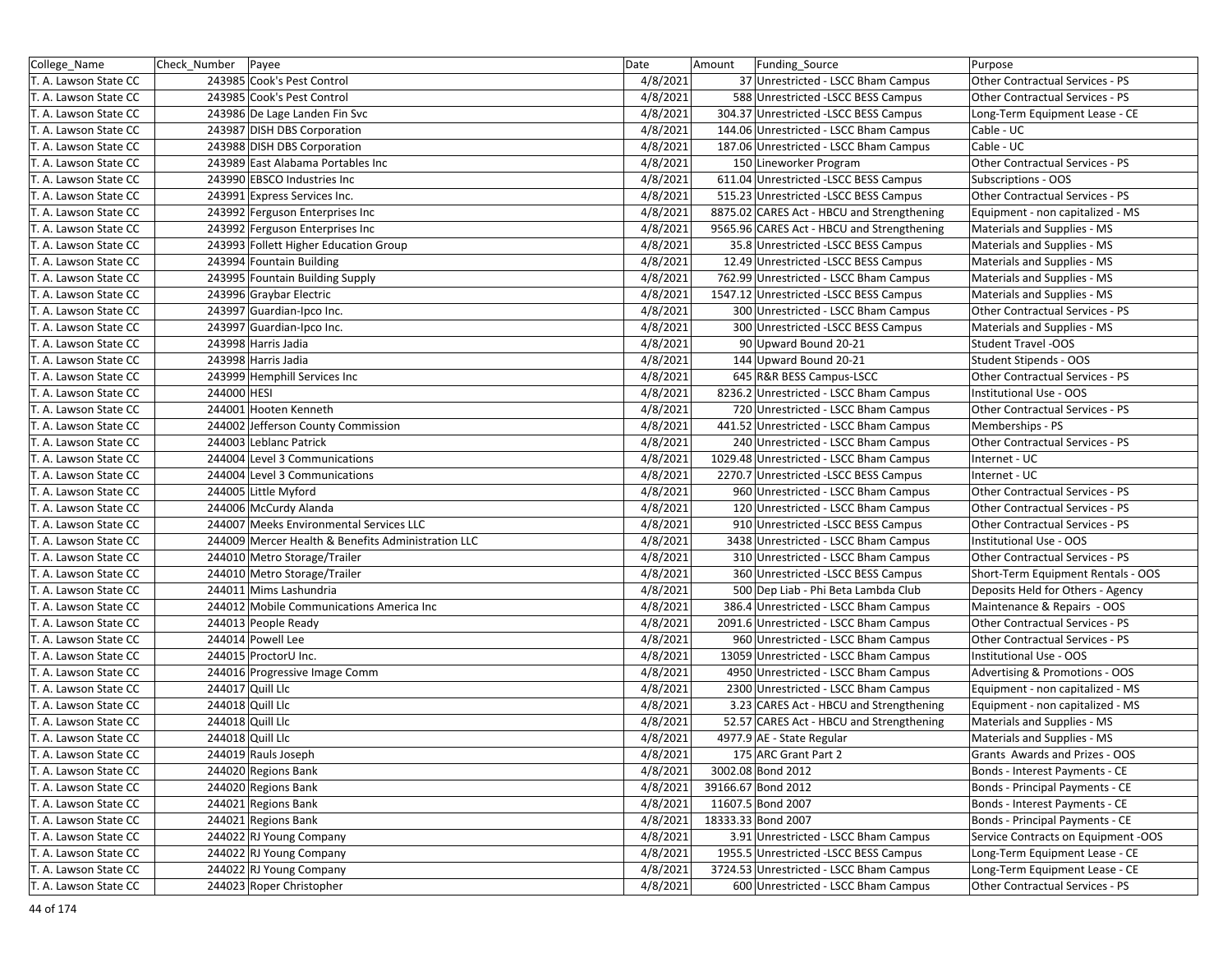| College_Name          | Check Number | Payee                                              | Date     | Amount | Funding Source                             | Purpose                                |
|-----------------------|--------------|----------------------------------------------------|----------|--------|--------------------------------------------|----------------------------------------|
| T. A. Lawson State CC |              | 243985 Cook's Pest Control                         | 4/8/2021 |        | 37 Unrestricted - LSCC Bham Campus         | Other Contractual Services - PS        |
| T. A. Lawson State CC |              | 243985 Cook's Pest Control                         | 4/8/2021 |        | 588 Unrestricted -LSCC BESS Campus         | <b>Other Contractual Services - PS</b> |
| T. A. Lawson State CC |              | 243986 De Lage Landen Fin Svc                      | 4/8/2021 |        | 304.37 Unrestricted -LSCC BESS Campus      | Long-Term Equipment Lease - CE         |
| T. A. Lawson State CC |              | 243987 DISH DBS Corporation                        | 4/8/2021 |        | 144.06 Unrestricted - LSCC Bham Campus     | Cable - UC                             |
| T. A. Lawson State CC |              | 243988 DISH DBS Corporation                        | 4/8/2021 |        | 187.06 Unrestricted - LSCC Bham Campus     | Cable - UC                             |
| T. A. Lawson State CC |              | 243989 East Alabama Portables Inc                  | 4/8/2021 |        | 150 Lineworker Program                     | Other Contractual Services - PS        |
| T. A. Lawson State CC |              | 243990 EBSCO Industries Inc                        | 4/8/2021 |        | 611.04 Unrestricted -LSCC BESS Campus      | Subscriptions - OOS                    |
| T. A. Lawson State CC |              | 243991 Express Services Inc.                       | 4/8/2021 |        | 515.23 Unrestricted -LSCC BESS Campus      | Other Contractual Services - PS        |
| T. A. Lawson State CC |              | 243992 Ferguson Enterprises Inc                    | 4/8/2021 |        | 8875.02 CARES Act - HBCU and Strengthening | Equipment - non capitalized - MS       |
| T. A. Lawson State CC |              | 243992 Ferguson Enterprises Inc                    | 4/8/2021 |        | 9565.96 CARES Act - HBCU and Strengthening | Materials and Supplies - MS            |
| T. A. Lawson State CC |              | 243993 Follett Higher Education Group              | 4/8/2021 |        | 35.8 Unrestricted -LSCC BESS Campus        | Materials and Supplies - MS            |
| T. A. Lawson State CC |              | 243994 Fountain Building                           | 4/8/2021 |        | 12.49 Unrestricted -LSCC BESS Campus       | Materials and Supplies - MS            |
| T. A. Lawson State CC |              | 243995 Fountain Building Supply                    | 4/8/2021 |        | 762.99 Unrestricted - LSCC Bham Campus     | Materials and Supplies - MS            |
| T. A. Lawson State CC |              | 243996 Graybar Electric                            | 4/8/2021 |        | 1547.12 Unrestricted -LSCC BESS Campus     | Materials and Supplies - MS            |
| T. A. Lawson State CC |              | 243997 Guardian-Ipco Inc.                          | 4/8/2021 |        | 300 Unrestricted - LSCC Bham Campus        | Other Contractual Services - PS        |
| T. A. Lawson State CC |              | 243997 Guardian-Ipco Inc.                          | 4/8/2021 |        | 300 Unrestricted -LSCC BESS Campus         | Materials and Supplies - MS            |
| T. A. Lawson State CC |              | 243998 Harris Jadia                                | 4/8/2021 |        | 90 Upward Bound 20-21                      | <b>Student Travel -OOS</b>             |
| T. A. Lawson State CC |              | 243998 Harris Jadia                                | 4/8/2021 |        | 144 Upward Bound 20-21                     | Student Stipends - OOS                 |
| T. A. Lawson State CC |              | 243999 Hemphill Services Inc                       | 4/8/2021 |        | 645 R&R BESS Campus-LSCC                   | <b>Other Contractual Services - PS</b> |
| T. A. Lawson State CC | 244000 HESI  |                                                    | 4/8/2021 |        | 8236.2 Unrestricted - LSCC Bham Campus     | Institutional Use - OOS                |
| T. A. Lawson State CC |              | 244001 Hooten Kenneth                              | 4/8/2021 |        | 720 Unrestricted - LSCC Bham Campus        | Other Contractual Services - PS        |
| T. A. Lawson State CC |              | 244002 Jefferson County Commission                 | 4/8/2021 |        | 441.52 Unrestricted - LSCC Bham Campus     | Memberships - PS                       |
| T. A. Lawson State CC |              | 244003 Leblanc Patrick                             | 4/8/2021 |        | 240 Unrestricted - LSCC Bham Campus        | Other Contractual Services - PS        |
| T. A. Lawson State CC |              | 244004 Level 3 Communications                      | 4/8/2021 |        | 1029.48 Unrestricted - LSCC Bham Campus    | Internet - UC                          |
| T. A. Lawson State CC |              | 244004 Level 3 Communications                      | 4/8/2021 |        | 2270.7 Unrestricted -LSCC BESS Campus      | Internet - UC                          |
| T. A. Lawson State CC |              | 244005 Little Myford                               | 4/8/2021 |        | 960 Unrestricted - LSCC Bham Campus        | Other Contractual Services - PS        |
| T. A. Lawson State CC |              | 244006 McCurdy Alanda                              | 4/8/2021 |        | 120 Unrestricted - LSCC Bham Campus        | Other Contractual Services - PS        |
| T. A. Lawson State CC |              | 244007 Meeks Environmental Services LLC            | 4/8/2021 |        | 910 Unrestricted -LSCC BESS Campus         | Other Contractual Services - PS        |
| T. A. Lawson State CC |              | 244009 Mercer Health & Benefits Administration LLC | 4/8/2021 |        | 3438 Unrestricted - LSCC Bham Campus       | Institutional Use - OOS                |
| T. A. Lawson State CC |              | 244010 Metro Storage/Trailer                       | 4/8/2021 |        | 310 Unrestricted - LSCC Bham Campus        | Other Contractual Services - PS        |
| T. A. Lawson State CC |              | 244010 Metro Storage/Trailer                       | 4/8/2021 |        | 360 Unrestricted -LSCC BESS Campus         | Short-Term Equipment Rentals - OOS     |
| T. A. Lawson State CC |              | 244011 Mims Lashundria                             | 4/8/2021 |        | 500 Dep Liab - Phi Beta Lambda Club        | Deposits Held for Others - Agency      |
| T. A. Lawson State CC |              | 244012 Mobile Communications America Inc           | 4/8/2021 |        | 386.4 Unrestricted - LSCC Bham Campus      | Maintenance & Repairs - OOS            |
| T. A. Lawson State CC |              | 244013 People Ready                                | 4/8/2021 |        | 2091.6 Unrestricted - LSCC Bham Campus     | Other Contractual Services - PS        |
| T. A. Lawson State CC |              | 244014 Powell Lee                                  | 4/8/2021 |        | 960 Unrestricted - LSCC Bham Campus        | Other Contractual Services - PS        |
| T. A. Lawson State CC |              | 244015 ProctorU Inc.                               | 4/8/2021 |        | 13059 Unrestricted - LSCC Bham Campus      | Institutional Use - OOS                |
| T. A. Lawson State CC |              | 244016 Progressive Image Comm                      | 4/8/2021 |        | 4950 Unrestricted - LSCC Bham Campus       | Advertising & Promotions - OOS         |
| T. A. Lawson State CC |              | 244017 Quill Llc                                   | 4/8/2021 |        | 2300 Unrestricted - LSCC Bham Campus       | Equipment - non capitalized - MS       |
| T. A. Lawson State CC |              | 244018 Quill Llc                                   | 4/8/2021 |        | 3.23 CARES Act - HBCU and Strengthening    | Equipment - non capitalized - MS       |
| T. A. Lawson State CC |              | 244018 Quill Llc                                   | 4/8/2021 |        | 52.57 CARES Act - HBCU and Strengthening   | Materials and Supplies - MS            |
| T. A. Lawson State CC |              | 244018 Quill Llc                                   | 4/8/2021 |        | 4977.9 AE - State Regular                  | Materials and Supplies - MS            |
| T. A. Lawson State CC |              | 244019 Rauls Joseph                                | 4/8/2021 |        | 175 ARC Grant Part 2                       | Grants Awards and Prizes - OOS         |
| T. A. Lawson State CC |              | 244020 Regions Bank                                | 4/8/2021 |        | 3002.08 Bond 2012                          | Bonds - Interest Payments - CE         |
| T. A. Lawson State CC |              | 244020 Regions Bank                                | 4/8/2021 |        | 39166.67 Bond 2012                         | <b>Bonds - Principal Payments - CE</b> |
| T. A. Lawson State CC |              | 244021 Regions Bank                                | 4/8/2021 |        | 11607.5 Bond 2007                          | Bonds - Interest Payments - CE         |
| T. A. Lawson State CC |              | 244021 Regions Bank                                | 4/8/2021 |        | 18333.33 Bond 2007                         | Bonds - Principal Payments - CE        |
| T. A. Lawson State CC |              | 244022 RJ Young Company                            | 4/8/2021 |        | 3.91 Unrestricted - LSCC Bham Campus       | Service Contracts on Equipment -OOS    |
| T. A. Lawson State CC |              | 244022 RJ Young Company                            | 4/8/2021 |        | 1955.5 Unrestricted -LSCC BESS Campus      | Long-Term Equipment Lease - CE         |
| T. A. Lawson State CC |              | 244022 RJ Young Company                            | 4/8/2021 |        | 3724.53 Unrestricted - LSCC Bham Campus    | Long-Term Equipment Lease - CE         |
| T. A. Lawson State CC |              | 244023 Roper Christopher                           | 4/8/2021 |        | 600 Unrestricted - LSCC Bham Campus        | Other Contractual Services - PS        |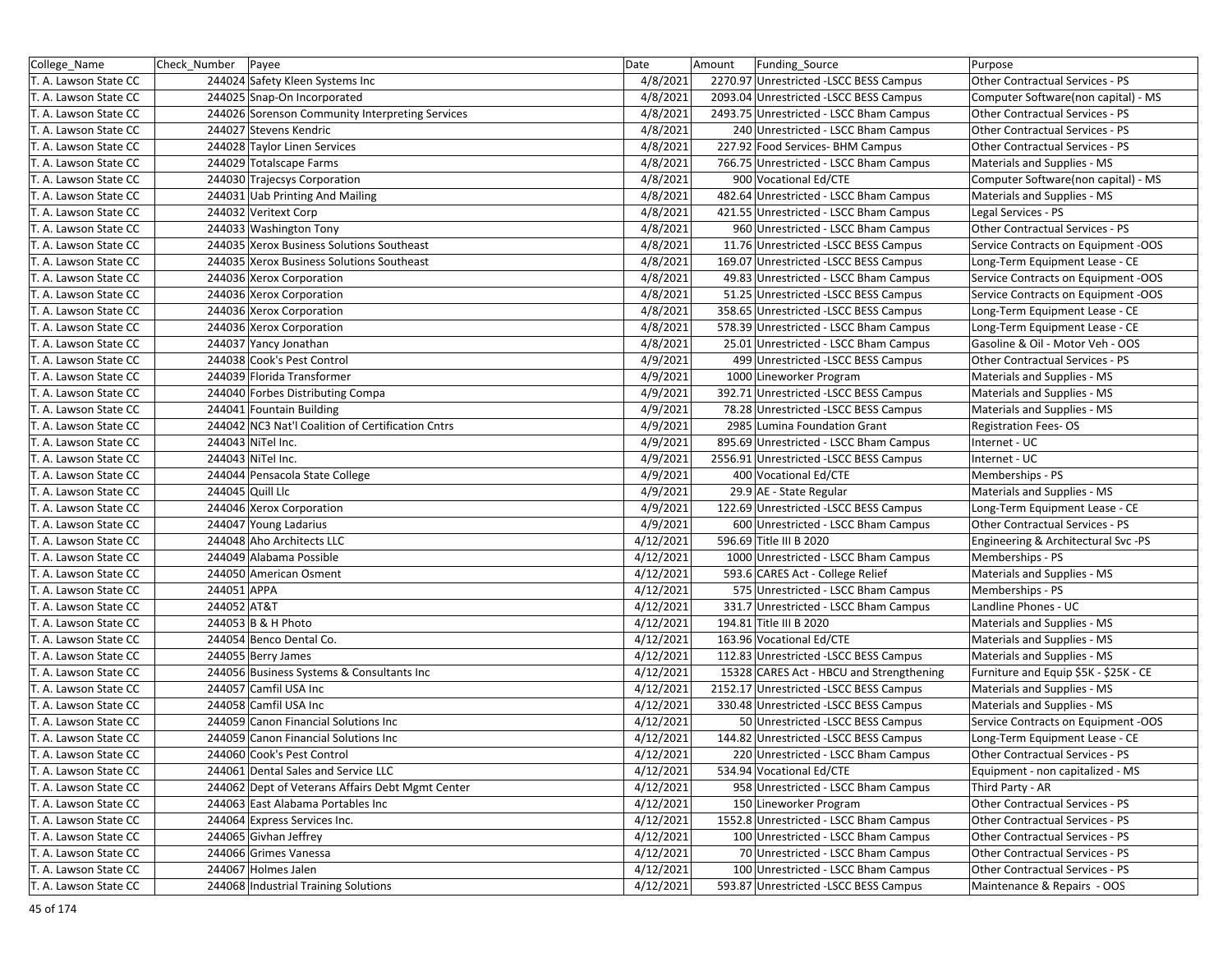| College_Name          | Check Number   Payee |                                                   | Date      | Amount | Funding_Source                           | Purpose                               |
|-----------------------|----------------------|---------------------------------------------------|-----------|--------|------------------------------------------|---------------------------------------|
| T. A. Lawson State CC |                      | 244024 Safety Kleen Systems Inc                   | 4/8/2021  |        | 2270.97 Unrestricted -LSCC BESS Campus   | Other Contractual Services - PS       |
| T. A. Lawson State CC |                      | 244025 Snap-On Incorporated                       | 4/8/2021  |        | 2093.04 Unrestricted -LSCC BESS Campus   | Computer Software(non capital) - MS   |
| T. A. Lawson State CC |                      | 244026 Sorenson Community Interpreting Services   | 4/8/2021  |        | 2493.75 Unrestricted - LSCC Bham Campus  | Other Contractual Services - PS       |
| T. A. Lawson State CC |                      | 244027 Stevens Kendric                            | 4/8/2021  |        | 240 Unrestricted - LSCC Bham Campus      | Other Contractual Services - PS       |
| T. A. Lawson State CC |                      | 244028 Taylor Linen Services                      | 4/8/2021  |        | 227.92 Food Services- BHM Campus         | Other Contractual Services - PS       |
| T. A. Lawson State CC |                      | 244029 Totalscape Farms                           | 4/8/2021  |        | 766.75 Unrestricted - LSCC Bham Campus   | Materials and Supplies - MS           |
| T. A. Lawson State CC |                      | 244030 Trajecsys Corporation                      | 4/8/2021  |        | 900 Vocational Ed/CTE                    | Computer Software(non capital) - MS   |
| T. A. Lawson State CC |                      | 244031 Uab Printing And Mailing                   | 4/8/2021  |        | 482.64 Unrestricted - LSCC Bham Campus   | Materials and Supplies - MS           |
| T. A. Lawson State CC |                      | 244032 Veritext Corp                              | 4/8/2021  |        | 421.55 Unrestricted - LSCC Bham Campus   | Legal Services - PS                   |
| T. A. Lawson State CC |                      | 244033 Washington Tony                            | 4/8/2021  |        | 960 Unrestricted - LSCC Bham Campus      | Other Contractual Services - PS       |
| T. A. Lawson State CC |                      | 244035 Xerox Business Solutions Southeast         | 4/8/2021  |        | 11.76 Unrestricted -LSCC BESS Campus     | Service Contracts on Equipment -OOS   |
| T. A. Lawson State CC |                      | 244035 Xerox Business Solutions Southeast         | 4/8/2021  |        | 169.07 Unrestricted -LSCC BESS Campus    | Long-Term Equipment Lease - CE        |
| T. A. Lawson State CC |                      | 244036 Xerox Corporation                          | 4/8/2021  |        | 49.83 Unrestricted - LSCC Bham Campus    | Service Contracts on Equipment -OOS   |
| T. A. Lawson State CC |                      | 244036 Xerox Corporation                          | 4/8/2021  |        | 51.25 Unrestricted -LSCC BESS Campus     | Service Contracts on Equipment -OOS   |
| T. A. Lawson State CC |                      | 244036 Xerox Corporation                          | 4/8/2021  |        | 358.65 Unrestricted -LSCC BESS Campus    | Long-Term Equipment Lease - CE        |
| T. A. Lawson State CC |                      | 244036 Xerox Corporation                          | 4/8/2021  |        | 578.39 Unrestricted - LSCC Bham Campus   | Long-Term Equipment Lease - CE        |
| T. A. Lawson State CC |                      | 244037 Yancy Jonathan                             | 4/8/2021  |        | 25.01 Unrestricted - LSCC Bham Campus    | Gasoline & Oil - Motor Veh - OOS      |
| T. A. Lawson State CC |                      | 244038 Cook's Pest Control                        | 4/9/2021  |        | 499 Unrestricted -LSCC BESS Campus       | Other Contractual Services - PS       |
| T. A. Lawson State CC |                      | 244039 Florida Transformer                        | 4/9/2021  |        | 1000 Lineworker Program                  | Materials and Supplies - MS           |
| T. A. Lawson State CC |                      | 244040 Forbes Distributing Compa                  | 4/9/2021  |        | 392.71 Unrestricted -LSCC BESS Campus    | Materials and Supplies - MS           |
| T. A. Lawson State CC |                      | 244041 Fountain Building                          | 4/9/2021  |        | 78.28 Unrestricted -LSCC BESS Campus     | Materials and Supplies - MS           |
| T. A. Lawson State CC |                      | 244042 NC3 Nat'l Coalition of Certification Cntrs | 4/9/2021  |        | 2985 Lumina Foundation Grant             | <b>Registration Fees-OS</b>           |
| T. A. Lawson State CC |                      | 244043 NiTel Inc.                                 | 4/9/2021  |        | 895.69 Unrestricted - LSCC Bham Campus   | Internet - UC                         |
| T. A. Lawson State CC |                      | 244043 NiTel Inc.                                 | 4/9/2021  |        | 2556.91 Unrestricted -LSCC BESS Campus   | Internet - UC                         |
| T. A. Lawson State CC |                      | 244044 Pensacola State College                    | 4/9/2021  |        | 400 Vocational Ed/CTE                    | Memberships - PS                      |
| T. A. Lawson State CC |                      | 244045 Quill Llc                                  | 4/9/2021  |        | 29.9 AE - State Regular                  | Materials and Supplies - MS           |
| T. A. Lawson State CC |                      | 244046 Xerox Corporation                          | 4/9/2021  |        | 122.69 Unrestricted -LSCC BESS Campus    | Long-Term Equipment Lease - CE        |
| T. A. Lawson State CC |                      | 244047 Young Ladarius                             | 4/9/2021  |        | 600 Unrestricted - LSCC Bham Campus      | Other Contractual Services - PS       |
| T. A. Lawson State CC |                      | 244048 Aho Architects LLC                         | 4/12/2021 |        | 596.69 Title III B 2020                  | Engineering & Architectural Svc -PS   |
| T. A. Lawson State CC |                      | 244049 Alabama Possible                           | 4/12/2021 |        | 1000 Unrestricted - LSCC Bham Campus     | Memberships - PS                      |
| T. A. Lawson State CC |                      | 244050 American Osment                            | 4/12/2021 |        | 593.6 CARES Act - College Relief         | Materials and Supplies - MS           |
| T. A. Lawson State CC | 244051 APPA          |                                                   | 4/12/2021 |        | 575 Unrestricted - LSCC Bham Campus      | Memberships - PS                      |
| T. A. Lawson State CC | 244052 AT&T          |                                                   | 4/12/2021 |        | 331.7 Unrestricted - LSCC Bham Campus    | Landline Phones - UC                  |
| T. A. Lawson State CC |                      | 244053 B & H Photo                                | 4/12/2021 |        | 194.81 Title III B 2020                  | Materials and Supplies - MS           |
| T. A. Lawson State CC |                      | 244054 Benco Dental Co.                           | 4/12/2021 |        | 163.96 Vocational Ed/CTE                 | Materials and Supplies - MS           |
| T. A. Lawson State CC |                      | 244055 Berry James                                | 4/12/2021 |        | 112.83 Unrestricted -LSCC BESS Campus    | Materials and Supplies - MS           |
| T. A. Lawson State CC |                      | 244056 Business Systems & Consultants Inc         | 4/12/2021 |        | 15328 CARES Act - HBCU and Strengthening | Furniture and Equip \$5K - \$25K - CE |
| T. A. Lawson State CC |                      | 244057 Camfil USA Inc                             | 4/12/2021 |        | 2152.17 Unrestricted -LSCC BESS Campus   | Materials and Supplies - MS           |
| T. A. Lawson State CC |                      | 244058 Camfil USA Inc                             | 4/12/2021 |        | 330.48 Unrestricted -LSCC BESS Campus    | Materials and Supplies - MS           |
| T. A. Lawson State CC |                      | 244059 Canon Financial Solutions Inc              | 4/12/2021 |        | 50 Unrestricted -LSCC BESS Campus        | Service Contracts on Equipment -OOS   |
| T. A. Lawson State CC |                      | 244059 Canon Financial Solutions Inc              | 4/12/2021 |        | 144.82 Unrestricted -LSCC BESS Campus    | Long-Term Equipment Lease - CE        |
| T. A. Lawson State CC |                      | 244060 Cook's Pest Control                        | 4/12/2021 |        | 220 Unrestricted - LSCC Bham Campus      | Other Contractual Services - PS       |
| T. A. Lawson State CC |                      | 244061 Dental Sales and Service LLC               | 4/12/2021 |        | 534.94 Vocational Ed/CTE                 | Equipment - non capitalized - MS      |
| T. A. Lawson State CC |                      | 244062 Dept of Veterans Affairs Debt Mgmt Center  | 4/12/2021 |        | 958 Unrestricted - LSCC Bham Campus      | Third Party - AR                      |
| T. A. Lawson State CC |                      | 244063 East Alabama Portables Inc                 | 4/12/2021 |        | 150 Lineworker Program                   | Other Contractual Services - PS       |
| T. A. Lawson State CC |                      | 244064 Express Services Inc.                      | 4/12/2021 |        | 1552.8 Unrestricted - LSCC Bham Campus   | Other Contractual Services - PS       |
| T. A. Lawson State CC |                      | 244065 Givhan Jeffrey                             | 4/12/2021 |        | 100 Unrestricted - LSCC Bham Campus      | Other Contractual Services - PS       |
| T. A. Lawson State CC |                      | 244066 Grimes Vanessa                             | 4/12/2021 |        | 70 Unrestricted - LSCC Bham Campus       | Other Contractual Services - PS       |
| T. A. Lawson State CC |                      | 244067 Holmes Jalen                               | 4/12/2021 |        | 100 Unrestricted - LSCC Bham Campus      | Other Contractual Services - PS       |
| T. A. Lawson State CC |                      | 244068 Industrial Training Solutions              | 4/12/2021 |        | 593.87 Unrestricted -LSCC BESS Campus    | Maintenance & Repairs - OOS           |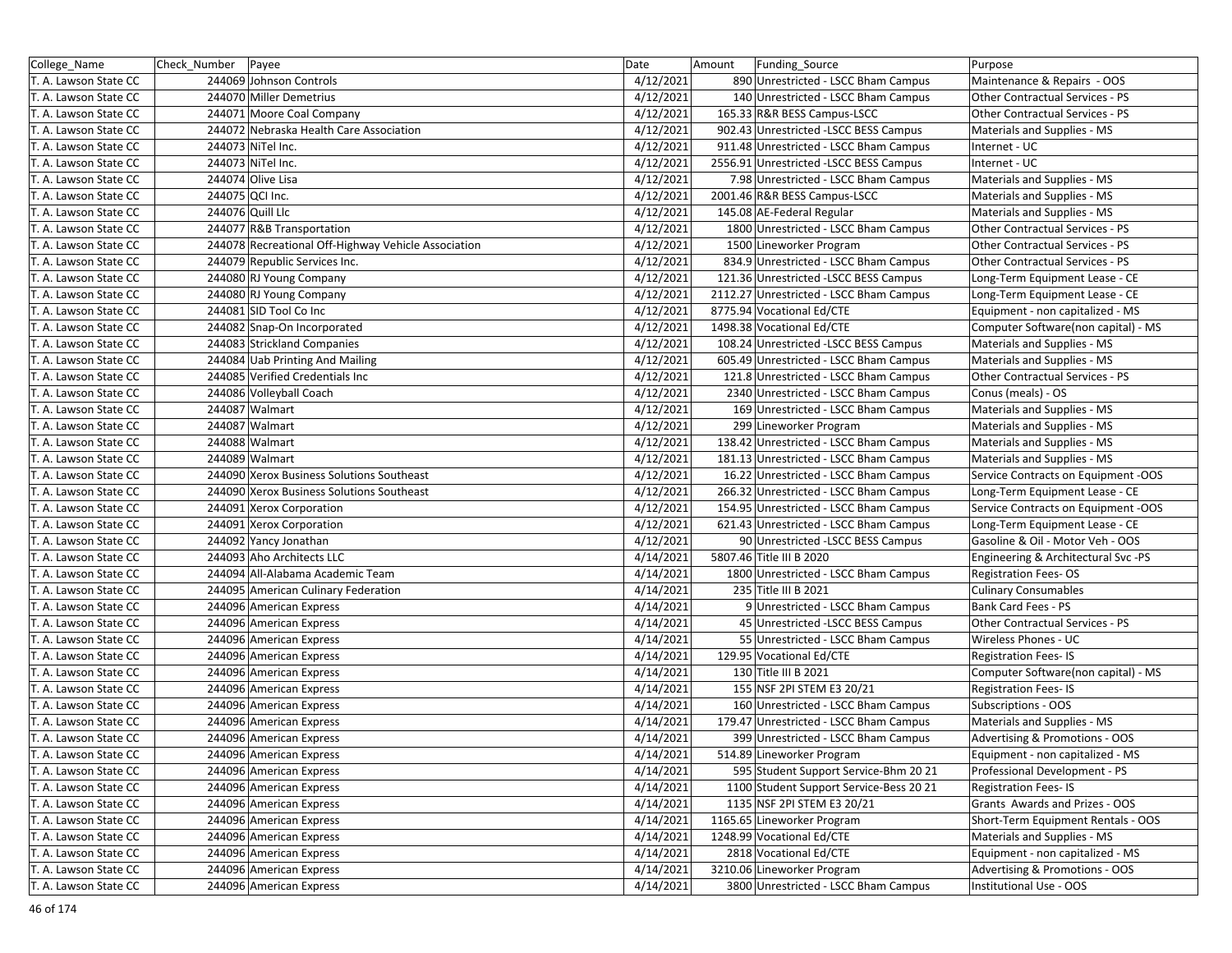| College_Name          | Check Number    | Payee                                               | Date      | Amount | Funding Source                          | Purpose                             |
|-----------------------|-----------------|-----------------------------------------------------|-----------|--------|-----------------------------------------|-------------------------------------|
| T. A. Lawson State CC |                 | 244069 Johnson Controls                             | 4/12/2021 |        | 890 Unrestricted - LSCC Bham Campus     | Maintenance & Repairs - OOS         |
| T. A. Lawson State CC |                 | 244070 Miller Demetrius                             | 4/12/2021 |        | 140 Unrestricted - LSCC Bham Campus     | Other Contractual Services - PS     |
| T. A. Lawson State CC |                 | 244071 Moore Coal Company                           | 4/12/2021 |        | 165.33 R&R BESS Campus-LSCC             | Other Contractual Services - PS     |
| T. A. Lawson State CC |                 | 244072 Nebraska Health Care Association             | 4/12/2021 |        | 902.43 Unrestricted -LSCC BESS Campus   | Materials and Supplies - MS         |
| T. A. Lawson State CC |                 | 244073 NiTel Inc.                                   | 4/12/2021 |        | 911.48 Unrestricted - LSCC Bham Campus  | Internet - UC                       |
| T. A. Lawson State CC |                 | 244073 NiTel Inc.                                   | 4/12/2021 |        | 2556.91 Unrestricted -LSCC BESS Campus  | Internet - UC                       |
| T. A. Lawson State CC |                 | 244074 Olive Lisa                                   | 4/12/2021 |        | 7.98 Unrestricted - LSCC Bham Campus    | Materials and Supplies - MS         |
| T. A. Lawson State CC | 244075 QCI Inc. |                                                     | 4/12/2021 |        | 2001.46 R&R BESS Campus-LSCC            | Materials and Supplies - MS         |
| T. A. Lawson State CC |                 | 244076 Quill Llc                                    | 4/12/2021 |        | 145.08 AE-Federal Regular               | Materials and Supplies - MS         |
| T. A. Lawson State CC |                 | 244077 R&B Transportation                           | 4/12/2021 |        | 1800 Unrestricted - LSCC Bham Campus    | Other Contractual Services - PS     |
| T. A. Lawson State CC |                 | 244078 Recreational Off-Highway Vehicle Association | 4/12/2021 |        | 1500 Lineworker Program                 | Other Contractual Services - PS     |
| T. A. Lawson State CC |                 | 244079 Republic Services Inc.                       | 4/12/2021 |        | 834.9 Unrestricted - LSCC Bham Campus   | Other Contractual Services - PS     |
| T. A. Lawson State CC |                 | 244080 RJ Young Company                             | 4/12/2021 |        | 121.36 Unrestricted -LSCC BESS Campus   | Long-Term Equipment Lease - CE      |
| T. A. Lawson State CC |                 | 244080 RJ Young Company                             | 4/12/2021 |        | 2112.27 Unrestricted - LSCC Bham Campus | Long-Term Equipment Lease - CE      |
| T. A. Lawson State CC |                 | 244081 SID Tool Co Inc                              | 4/12/2021 |        | 8775.94 Vocational Ed/CTE               | Equipment - non capitalized - MS    |
| T. A. Lawson State CC |                 | 244082 Snap-On Incorporated                         | 4/12/2021 |        | 1498.38 Vocational Ed/CTE               | Computer Software(non capital) - MS |
| T. A. Lawson State CC |                 | 244083 Strickland Companies                         | 4/12/2021 |        | 108.24 Unrestricted -LSCC BESS Campus   | Materials and Supplies - MS         |
| T. A. Lawson State CC |                 | 244084 Uab Printing And Mailing                     | 4/12/2021 |        | 605.49 Unrestricted - LSCC Bham Campus  | Materials and Supplies - MS         |
| T. A. Lawson State CC |                 | 244085 Verified Credentials Inc                     | 4/12/2021 |        | 121.8 Unrestricted - LSCC Bham Campus   | Other Contractual Services - PS     |
| T. A. Lawson State CC |                 | 244086 Volleyball Coach                             | 4/12/2021 |        | 2340 Unrestricted - LSCC Bham Campus    | Conus (meals) - OS                  |
| T. A. Lawson State CC |                 | 244087 Walmart                                      | 4/12/2021 |        | 169 Unrestricted - LSCC Bham Campus     | Materials and Supplies - MS         |
| T. A. Lawson State CC |                 | 244087 Walmart                                      | 4/12/2021 |        | 299 Lineworker Program                  | Materials and Supplies - MS         |
| T. A. Lawson State CC |                 | 244088 Walmart                                      | 4/12/2021 |        | 138.42 Unrestricted - LSCC Bham Campus  | Materials and Supplies - MS         |
| T. A. Lawson State CC |                 | 244089 Walmart                                      | 4/12/2021 |        | 181.13 Unrestricted - LSCC Bham Campus  | Materials and Supplies - MS         |
| T. A. Lawson State CC |                 | 244090 Xerox Business Solutions Southeast           | 4/12/2021 |        | 16.22 Unrestricted - LSCC Bham Campus   | Service Contracts on Equipment -OOS |
| T. A. Lawson State CC |                 | 244090 Xerox Business Solutions Southeast           | 4/12/2021 |        | 266.32 Unrestricted - LSCC Bham Campus  | Long-Term Equipment Lease - CE      |
| T. A. Lawson State CC |                 | 244091 Xerox Corporation                            | 4/12/2021 |        | 154.95 Unrestricted - LSCC Bham Campus  | Service Contracts on Equipment -OOS |
| T. A. Lawson State CC |                 | 244091 Xerox Corporation                            | 4/12/2021 |        | 621.43 Unrestricted - LSCC Bham Campus  | Long-Term Equipment Lease - CE      |
| T. A. Lawson State CC |                 | 244092 Yancy Jonathan                               | 4/12/2021 |        | 90 Unrestricted -LSCC BESS Campus       | Gasoline & Oil - Motor Veh - OOS    |
| T. A. Lawson State CC |                 | 244093 Aho Architects LLC                           | 4/14/2021 |        | 5807.46 Title III B 2020                | Engineering & Architectural Svc -PS |
| T. A. Lawson State CC |                 | 244094 All-Alabama Academic Team                    | 4/14/2021 |        | 1800 Unrestricted - LSCC Bham Campus    | <b>Registration Fees-OS</b>         |
| T. A. Lawson State CC |                 | 244095 American Culinary Federation                 | 4/14/2021 |        | 235 Title III B 2021                    | <b>Culinary Consumables</b>         |
| T. A. Lawson State CC |                 | 244096 American Express                             | 4/14/2021 |        | 9 Unrestricted - LSCC Bham Campus       | Bank Card Fees - PS                 |
| T. A. Lawson State CC |                 | 244096 American Express                             | 4/14/2021 |        | 45 Unrestricted - LSCC BESS Campus      | Other Contractual Services - PS     |
| T. A. Lawson State CC |                 | 244096 American Express                             | 4/14/2021 |        | 55 Unrestricted - LSCC Bham Campus      | Wireless Phones - UC                |
| T. A. Lawson State CC |                 | 244096 American Express                             | 4/14/2021 |        | 129.95 Vocational Ed/CTE                | <b>Registration Fees-IS</b>         |
| T. A. Lawson State CC |                 | 244096 American Express                             | 4/14/2021 |        | 130 Title III B 2021                    | Computer Software(non capital) - MS |
| T. A. Lawson State CC |                 | 244096 American Express                             | 4/14/2021 |        | 155 NSF 2PI STEM E3 20/21               | <b>Registration Fees-IS</b>         |
| T. A. Lawson State CC |                 | 244096 American Express                             | 4/14/2021 |        | 160 Unrestricted - LSCC Bham Campus     | Subscriptions - OOS                 |
| T. A. Lawson State CC |                 | 244096 American Express                             | 4/14/2021 |        | 179.47 Unrestricted - LSCC Bham Campus  | Materials and Supplies - MS         |
| T. A. Lawson State CC |                 | 244096 American Express                             | 4/14/2021 |        | 399 Unrestricted - LSCC Bham Campus     | Advertising & Promotions - OOS      |
| T. A. Lawson State CC |                 | 244096 American Express                             | 4/14/2021 |        | 514.89 Lineworker Program               | Equipment - non capitalized - MS    |
| T. A. Lawson State CC |                 | 244096 American Express                             | 4/14/2021 |        | 595 Student Support Service-Bhm 20 21   | Professional Development - PS       |
| T. A. Lawson State CC |                 | 244096 American Express                             | 4/14/2021 |        | 1100 Student Support Service-Bess 20 21 | <b>Registration Fees-IS</b>         |
| T. A. Lawson State CC |                 | 244096 American Express                             | 4/14/2021 |        | 1135 NSF 2PI STEM E3 20/21              | Grants Awards and Prizes - OOS      |
| T. A. Lawson State CC |                 | 244096 American Express                             | 4/14/2021 |        | 1165.65 Lineworker Program              | Short-Term Equipment Rentals - OOS  |
| T. A. Lawson State CC |                 | 244096 American Express                             | 4/14/2021 |        | 1248.99 Vocational Ed/CTE               | Materials and Supplies - MS         |
| T. A. Lawson State CC |                 | 244096 American Express                             | 4/14/2021 |        | 2818 Vocational Ed/CTE                  | Equipment - non capitalized - MS    |
| T. A. Lawson State CC |                 | 244096 American Express                             | 4/14/2021 |        | 3210.06 Lineworker Program              | Advertising & Promotions - OOS      |
| T. A. Lawson State CC |                 | 244096 American Express                             | 4/14/2021 |        | 3800 Unrestricted - LSCC Bham Campus    | Institutional Use - OOS             |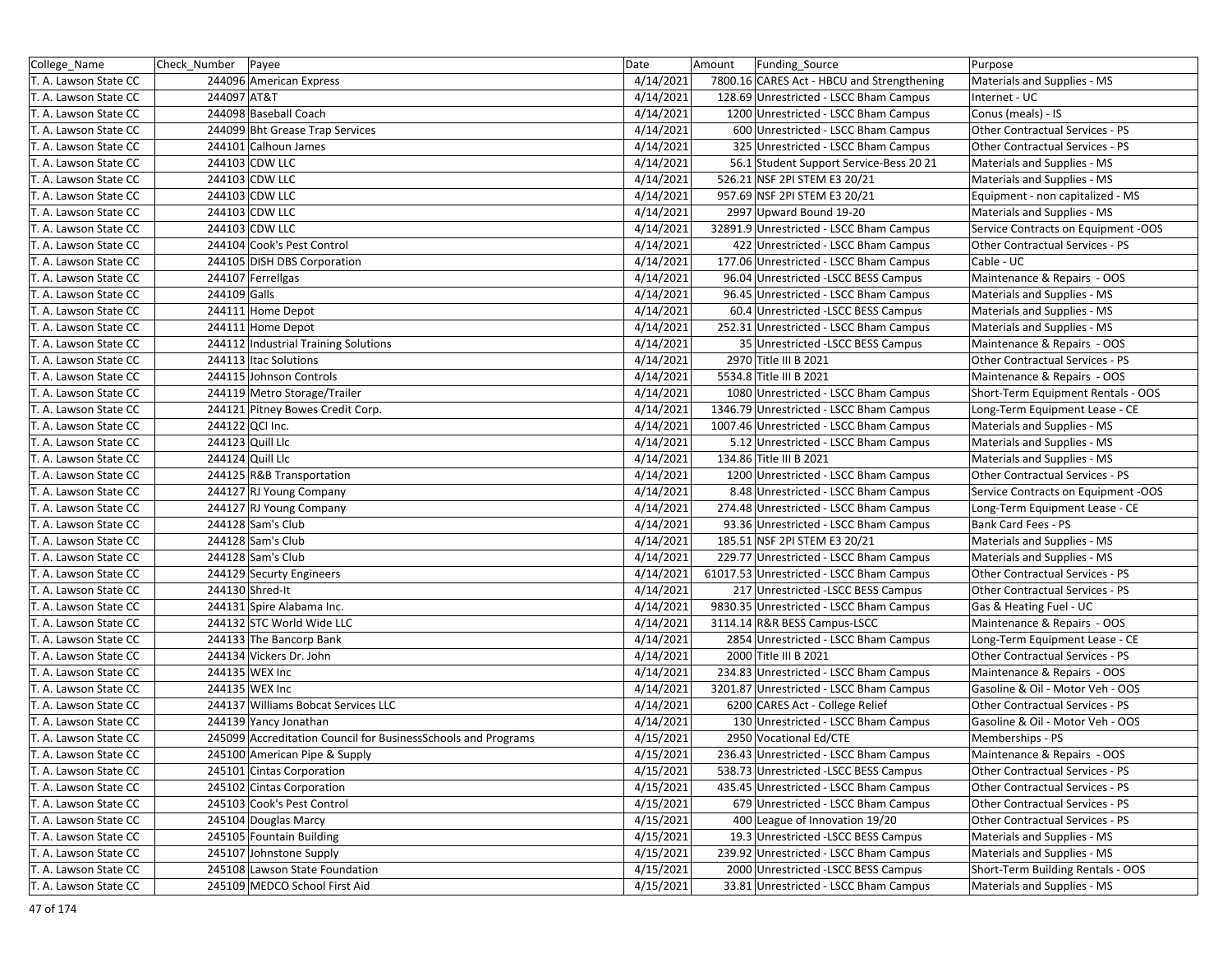| College_Name          | Check_Number Payee |                                                                | Date      | Amount | Funding_Source                             | Purpose                                |
|-----------------------|--------------------|----------------------------------------------------------------|-----------|--------|--------------------------------------------|----------------------------------------|
| T. A. Lawson State CC |                    | 244096 American Express                                        | 4/14/2021 |        | 7800.16 CARES Act - HBCU and Strengthening | Materials and Supplies - MS            |
| T. A. Lawson State CC | 244097 AT&T        |                                                                | 4/14/2021 |        | 128.69 Unrestricted - LSCC Bham Campus     | Internet - UC                          |
| T. A. Lawson State CC |                    | 244098 Baseball Coach                                          | 4/14/2021 |        | 1200 Unrestricted - LSCC Bham Campus       | Conus (meals) - IS                     |
| T. A. Lawson State CC |                    | 244099 Bht Grease Trap Services                                | 4/14/2021 |        | 600 Unrestricted - LSCC Bham Campus        | Other Contractual Services - PS        |
| T. A. Lawson State CC |                    | 244101 Calhoun James                                           | 4/14/2021 |        | 325 Unrestricted - LSCC Bham Campus        | Other Contractual Services - PS        |
| T. A. Lawson State CC |                    | 244103 CDW LLC                                                 | 4/14/2021 |        | 56.1 Student Support Service-Bess 20 21    | Materials and Supplies - MS            |
| T. A. Lawson State CC |                    | 244103 CDW LLC                                                 | 4/14/2021 |        | 526.21 NSF 2PI STEM E3 20/21               | Materials and Supplies - MS            |
| T. A. Lawson State CC |                    | 244103 CDW LLC                                                 | 4/14/2021 |        | 957.69 NSF 2PI STEM E3 20/21               | Equipment - non capitalized - MS       |
| T. A. Lawson State CC |                    | 244103 CDW LLC                                                 | 4/14/2021 |        | 2997 Upward Bound 19-20                    | Materials and Supplies - MS            |
| T. A. Lawson State CC |                    | 244103 CDW LLC                                                 | 4/14/2021 |        | 32891.9 Unrestricted - LSCC Bham Campus    | Service Contracts on Equipment -OOS    |
| T. A. Lawson State CC |                    | 244104 Cook's Pest Control                                     | 4/14/2021 |        | 422 Unrestricted - LSCC Bham Campus        | Other Contractual Services - PS        |
| T. A. Lawson State CC |                    | 244105 DISH DBS Corporation                                    | 4/14/2021 |        | 177.06 Unrestricted - LSCC Bham Campus     | Cable - UC                             |
| T. A. Lawson State CC |                    | 244107 Ferrellgas                                              | 4/14/2021 |        | 96.04 Unrestricted -LSCC BESS Campus       | Maintenance & Repairs - OOS            |
| T. A. Lawson State CC | 244109 Galls       |                                                                | 4/14/2021 |        | 96.45 Unrestricted - LSCC Bham Campus      | Materials and Supplies - MS            |
| T. A. Lawson State CC |                    | 244111 Home Depot                                              | 4/14/2021 |        | 60.4 Unrestricted -LSCC BESS Campus        | Materials and Supplies - MS            |
| T. A. Lawson State CC |                    | 244111 Home Depot                                              | 4/14/2021 |        | 252.31 Unrestricted - LSCC Bham Campus     | Materials and Supplies - MS            |
| T. A. Lawson State CC |                    | 244112 Industrial Training Solutions                           | 4/14/2021 |        | 35 Unrestricted - LSCC BESS Campus         | Maintenance & Repairs - OOS            |
| T. A. Lawson State CC |                    | 244113 Itac Solutions                                          | 4/14/2021 |        | 2970 Title III B 2021                      | <b>Other Contractual Services - PS</b> |
| T. A. Lawson State CC |                    | 244115 Johnson Controls                                        | 4/14/2021 |        | 5534.8 Title III B 2021                    | Maintenance & Repairs - OOS            |
| T. A. Lawson State CC |                    | 244119 Metro Storage/Trailer                                   | 4/14/2021 |        | 1080 Unrestricted - LSCC Bham Campus       | Short-Term Equipment Rentals - OOS     |
| T. A. Lawson State CC |                    | 244121 Pitney Bowes Credit Corp.                               | 4/14/2021 |        | 1346.79 Unrestricted - LSCC Bham Campus    | Long-Term Equipment Lease - CE         |
| T. A. Lawson State CC | 244122 QCI Inc.    |                                                                | 4/14/2021 |        | 1007.46 Unrestricted - LSCC Bham Campus    | Materials and Supplies - MS            |
| T. A. Lawson State CC |                    | 244123 Quill Llc                                               | 4/14/2021 |        | 5.12 Unrestricted - LSCC Bham Campus       | Materials and Supplies - MS            |
| T. A. Lawson State CC |                    | 244124 Quill Llc                                               | 4/14/2021 |        | 134.86 Title III B 2021                    | Materials and Supplies - MS            |
| T. A. Lawson State CC |                    | 244125 R&B Transportation                                      | 4/14/2021 |        | 1200 Unrestricted - LSCC Bham Campus       | Other Contractual Services - PS        |
| T. A. Lawson State CC |                    | 244127 RJ Young Company                                        | 4/14/2021 |        | 8.48 Unrestricted - LSCC Bham Campus       | Service Contracts on Equipment -OOS    |
| T. A. Lawson State CC |                    | 244127 RJ Young Company                                        | 4/14/2021 |        | 274.48 Unrestricted - LSCC Bham Campus     | Long-Term Equipment Lease - CE         |
| T. A. Lawson State CC |                    | 244128 Sam's Club                                              | 4/14/2021 |        | 93.36 Unrestricted - LSCC Bham Campus      | Bank Card Fees - PS                    |
| T. A. Lawson State CC |                    | 244128 Sam's Club                                              | 4/14/2021 |        | 185.51 NSF 2PI STEM E3 20/21               | Materials and Supplies - MS            |
| T. A. Lawson State CC |                    | 244128 Sam's Club                                              | 4/14/2021 |        | 229.77 Unrestricted - LSCC Bham Campus     | Materials and Supplies - MS            |
| T. A. Lawson State CC |                    | 244129 Securty Engineers                                       | 4/14/2021 |        | 61017.53 Unrestricted - LSCC Bham Campus   | Other Contractual Services - PS        |
| T. A. Lawson State CC |                    | 244130 Shred-It                                                | 4/14/2021 |        | 217 Unrestricted -LSCC BESS Campus         | Other Contractual Services - PS        |
| T. A. Lawson State CC |                    | 244131 Spire Alabama Inc.                                      | 4/14/2021 |        | 9830.35 Unrestricted - LSCC Bham Campus    | Gas & Heating Fuel - UC                |
| T. A. Lawson State CC |                    | 244132 STC World Wide LLC                                      | 4/14/2021 |        | 3114.14 R&R BESS Campus-LSCC               | Maintenance & Repairs - OOS            |
| T. A. Lawson State CC |                    | 244133 The Bancorp Bank                                        | 4/14/2021 |        | 2854 Unrestricted - LSCC Bham Campus       | Long-Term Equipment Lease - CE         |
| T. A. Lawson State CC |                    | 244134 Vickers Dr. John                                        | 4/14/2021 |        | 2000 Title III B 2021                      | Other Contractual Services - PS        |
| T. A. Lawson State CC |                    | 244135 WEX Inc                                                 | 4/14/2021 |        | 234.83 Unrestricted - LSCC Bham Campus     | Maintenance & Repairs - OOS            |
| T. A. Lawson State CC |                    | 244135 WEX Inc                                                 | 4/14/2021 |        | 3201.87 Unrestricted - LSCC Bham Campus    | Gasoline & Oil - Motor Veh - OOS       |
| T. A. Lawson State CC |                    | 244137 Williams Bobcat Services LLC                            | 4/14/2021 |        | 6200 CARES Act - College Relief            | Other Contractual Services - PS        |
| T. A. Lawson State CC |                    | 244139 Yancy Jonathan                                          | 4/14/2021 |        | 130 Unrestricted - LSCC Bham Campus        | Gasoline & Oil - Motor Veh - OOS       |
| T. A. Lawson State CC |                    | 245099 Accreditation Council for Business Schools and Programs | 4/15/2021 |        | 2950 Vocational Ed/CTE                     | Memberships - PS                       |
| T. A. Lawson State CC |                    | 245100 American Pipe & Supply                                  | 4/15/2021 |        | 236.43 Unrestricted - LSCC Bham Campus     | Maintenance & Repairs - OOS            |
| T. A. Lawson State CC |                    | 245101 Cintas Corporation                                      | 4/15/2021 |        | 538.73 Unrestricted -LSCC BESS Campus      | Other Contractual Services - PS        |
| T. A. Lawson State CC |                    | 245102 Cintas Corporation                                      | 4/15/2021 |        | 435.45 Unrestricted - LSCC Bham Campus     | Other Contractual Services - PS        |
| T. A. Lawson State CC |                    | 245103 Cook's Pest Control                                     | 4/15/2021 |        | 679 Unrestricted - LSCC Bham Campus        | Other Contractual Services - PS        |
| T. A. Lawson State CC |                    | 245104 Douglas Marcy                                           | 4/15/2021 |        | 400 League of Innovation 19/20             | Other Contractual Services - PS        |
| T. A. Lawson State CC |                    | 245105 Fountain Building                                       | 4/15/2021 |        | 19.3 Unrestricted -LSCC BESS Campus        | Materials and Supplies - MS            |
| T. A. Lawson State CC |                    | 245107 Johnstone Supply                                        | 4/15/2021 |        | 239.92 Unrestricted - LSCC Bham Campus     | Materials and Supplies - MS            |
| T. A. Lawson State CC |                    | 245108 Lawson State Foundation                                 | 4/15/2021 |        | 2000 Unrestricted -LSCC BESS Campus        | Short-Term Building Rentals - OOS      |
| T. A. Lawson State CC |                    | 245109 MEDCO School First Aid                                  | 4/15/2021 |        | 33.81 Unrestricted - LSCC Bham Campus      | Materials and Supplies - MS            |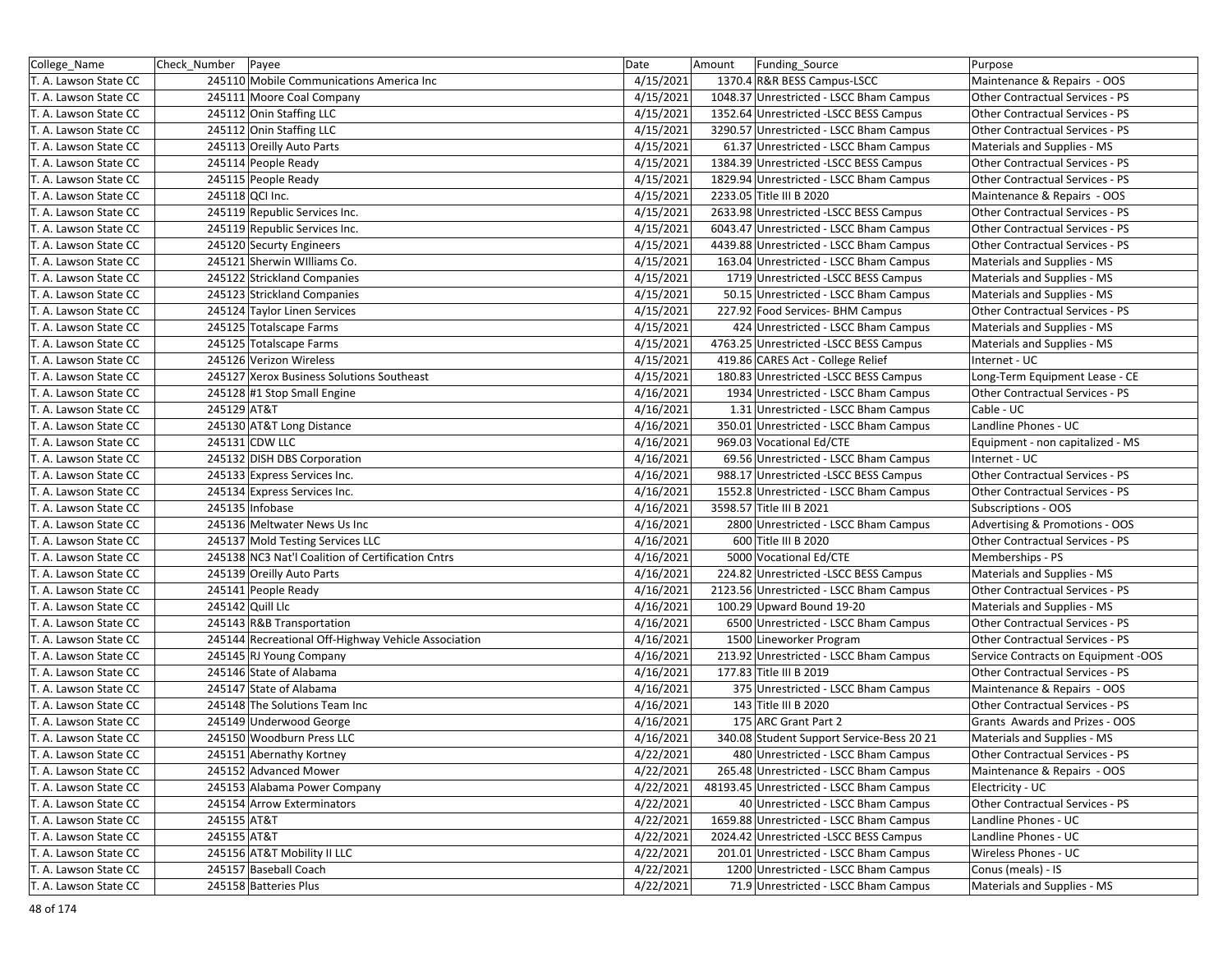| College Name          | Check Number Payee |                                                     | Date      | Amount | Funding_Source                            | Purpose                             |
|-----------------------|--------------------|-----------------------------------------------------|-----------|--------|-------------------------------------------|-------------------------------------|
| T. A. Lawson State CC |                    | 245110 Mobile Communications America Inc            | 4/15/2021 |        | 1370.4 R&R BESS Campus-LSCC               | Maintenance & Repairs - OOS         |
| T. A. Lawson State CC |                    | 245111 Moore Coal Company                           | 4/15/2021 |        | 1048.37 Unrestricted - LSCC Bham Campus   | Other Contractual Services - PS     |
| T. A. Lawson State CC |                    | 245112 Onin Staffing LLC                            | 4/15/2021 |        | 1352.64 Unrestricted -LSCC BESS Campus    | Other Contractual Services - PS     |
| T. A. Lawson State CC |                    | 245112 Onin Staffing LLC                            | 4/15/2021 |        | 3290.57 Unrestricted - LSCC Bham Campus   | Other Contractual Services - PS     |
| T. A. Lawson State CC |                    | 245113 Oreilly Auto Parts                           | 4/15/2021 |        | 61.37 Unrestricted - LSCC Bham Campus     | Materials and Supplies - MS         |
| T. A. Lawson State CC |                    | 245114 People Ready                                 | 4/15/2021 |        | 1384.39 Unrestricted -LSCC BESS Campus    | Other Contractual Services - PS     |
| T. A. Lawson State CC |                    | 245115 People Ready                                 | 4/15/2021 |        | 1829.94 Unrestricted - LSCC Bham Campus   | Other Contractual Services - PS     |
| T. A. Lawson State CC |                    | 245118 QCI Inc.                                     | 4/15/2021 |        | 2233.05 Title III B 2020                  | Maintenance & Repairs - OOS         |
| T. A. Lawson State CC |                    | 245119 Republic Services Inc.                       | 4/15/2021 |        | 2633.98 Unrestricted -LSCC BESS Campus    | Other Contractual Services - PS     |
| T. A. Lawson State CC |                    | 245119 Republic Services Inc.                       | 4/15/2021 |        | 6043.47 Unrestricted - LSCC Bham Campus   | Other Contractual Services - PS     |
| T. A. Lawson State CC |                    | 245120 Securty Engineers                            | 4/15/2021 |        | 4439.88 Unrestricted - LSCC Bham Campus   | Other Contractual Services - PS     |
| T. A. Lawson State CC |                    | 245121 Sherwin Williams Co.                         | 4/15/2021 |        | 163.04 Unrestricted - LSCC Bham Campus    | Materials and Supplies - MS         |
| T. A. Lawson State CC |                    | 245122 Strickland Companies                         | 4/15/2021 |        | 1719 Unrestricted -LSCC BESS Campus       | Materials and Supplies - MS         |
| T. A. Lawson State CC |                    | 245123 Strickland Companies                         | 4/15/2021 |        | 50.15 Unrestricted - LSCC Bham Campus     | Materials and Supplies - MS         |
| T. A. Lawson State CC |                    | 245124 Taylor Linen Services                        | 4/15/2021 |        | 227.92 Food Services- BHM Campus          | Other Contractual Services - PS     |
| T. A. Lawson State CC |                    | 245125 Totalscape Farms                             | 4/15/2021 |        | 424 Unrestricted - LSCC Bham Campus       | Materials and Supplies - MS         |
| T. A. Lawson State CC |                    | 245125 Totalscape Farms                             | 4/15/2021 |        | 4763.25 Unrestricted -LSCC BESS Campus    | Materials and Supplies - MS         |
| T. A. Lawson State CC |                    | 245126 Verizon Wireless                             | 4/15/2021 |        | 419.86 CARES Act - College Relief         | Internet - UC                       |
| T. A. Lawson State CC |                    | 245127 Xerox Business Solutions Southeast           | 4/15/2021 |        | 180.83 Unrestricted -LSCC BESS Campus     | Long-Term Equipment Lease - CE      |
| T. A. Lawson State CC |                    | 245128 #1 Stop Small Engine                         | 4/16/2021 |        | 1934 Unrestricted - LSCC Bham Campus      | Other Contractual Services - PS     |
| T. A. Lawson State CC | 245129 AT&T        |                                                     | 4/16/2021 |        | 1.31 Unrestricted - LSCC Bham Campus      | Cable - UC                          |
| T. A. Lawson State CC |                    | 245130 AT&T Long Distance                           | 4/16/2021 |        | 350.01 Unrestricted - LSCC Bham Campus    | Landline Phones - UC                |
| T. A. Lawson State CC |                    | 245131 CDW LLC                                      | 4/16/2021 |        | 969.03 Vocational Ed/CTE                  | Equipment - non capitalized - MS    |
| T. A. Lawson State CC |                    | 245132 DISH DBS Corporation                         | 4/16/2021 |        | 69.56 Unrestricted - LSCC Bham Campus     | Internet - UC                       |
| T. A. Lawson State CC |                    | 245133 Express Services Inc.                        | 4/16/2021 |        | 988.17 Unrestricted -LSCC BESS Campus     | Other Contractual Services - PS     |
| T. A. Lawson State CC |                    | 245134 Express Services Inc.                        | 4/16/2021 |        | 1552.8 Unrestricted - LSCC Bham Campus    | Other Contractual Services - PS     |
| T. A. Lawson State CC |                    | 245135 Infobase                                     | 4/16/2021 |        | 3598.57 Title III B 2021                  | Subscriptions - OOS                 |
| T. A. Lawson State CC |                    | 245136 Meltwater News Us Inc                        | 4/16/2021 |        | 2800 Unrestricted - LSCC Bham Campus      | Advertising & Promotions - OOS      |
| T. A. Lawson State CC |                    | 245137 Mold Testing Services LLC                    | 4/16/2021 |        | 600 Title III B 2020                      | Other Contractual Services - PS     |
| T. A. Lawson State CC |                    | 245138 NC3 Nat'l Coalition of Certification Cntrs   | 4/16/2021 |        | 5000 Vocational Ed/CTE                    | Memberships - PS                    |
| T. A. Lawson State CC |                    | 245139 Oreilly Auto Parts                           | 4/16/2021 |        | 224.82 Unrestricted -LSCC BESS Campus     | Materials and Supplies - MS         |
| T. A. Lawson State CC |                    | 245141 People Ready                                 | 4/16/2021 |        | 2123.56 Unrestricted - LSCC Bham Campus   | Other Contractual Services - PS     |
| T. A. Lawson State CC |                    | 245142 Quill Llc                                    | 4/16/2021 |        | 100.29 Upward Bound 19-20                 | Materials and Supplies - MS         |
| T. A. Lawson State CC |                    | 245143 R&B Transportation                           | 4/16/2021 |        | 6500 Unrestricted - LSCC Bham Campus      | Other Contractual Services - PS     |
| T. A. Lawson State CC |                    | 245144 Recreational Off-Highway Vehicle Association | 4/16/2021 |        | 1500 Lineworker Program                   | Other Contractual Services - PS     |
| T. A. Lawson State CC |                    | 245145 RJ Young Company                             | 4/16/2021 |        | 213.92 Unrestricted - LSCC Bham Campus    | Service Contracts on Equipment -OOS |
| T. A. Lawson State CC |                    | 245146 State of Alabama                             | 4/16/2021 |        | 177.83 Title III B 2019                   | Other Contractual Services - PS     |
| T. A. Lawson State CC |                    | 245147 State of Alabama                             | 4/16/2021 |        | 375 Unrestricted - LSCC Bham Campus       | Maintenance & Repairs - OOS         |
| T. A. Lawson State CC |                    | 245148 The Solutions Team Inc                       | 4/16/2021 |        | 143 Title III B 2020                      | Other Contractual Services - PS     |
| T. A. Lawson State CC |                    | 245149 Underwood George                             | 4/16/2021 |        | 175 ARC Grant Part 2                      | Grants Awards and Prizes - OOS      |
| T. A. Lawson State CC |                    | 245150 Woodburn Press LLC                           | 4/16/2021 |        | 340.08 Student Support Service-Bess 20 21 | Materials and Supplies - MS         |
| T. A. Lawson State CC |                    | 245151 Abernathy Kortney                            | 4/22/2021 |        | 480 Unrestricted - LSCC Bham Campus       | Other Contractual Services - PS     |
| T. A. Lawson State CC |                    | 245152 Advanced Mower                               | 4/22/2021 |        | 265.48 Unrestricted - LSCC Bham Campus    | Maintenance & Repairs - OOS         |
| T. A. Lawson State CC |                    | 245153 Alabama Power Company                        | 4/22/2021 |        | 48193.45 Unrestricted - LSCC Bham Campus  | Electricity - UC                    |
| T. A. Lawson State CC |                    | 245154 Arrow Exterminators                          | 4/22/2021 |        | 40 Unrestricted - LSCC Bham Campus        | Other Contractual Services - PS     |
| T. A. Lawson State CC | 245155 AT&T        |                                                     | 4/22/2021 |        | 1659.88 Unrestricted - LSCC Bham Campus   | Landline Phones - UC                |
| T. A. Lawson State CC | 245155 AT&T        |                                                     | 4/22/2021 |        | 2024.42 Unrestricted -LSCC BESS Campus    | Landline Phones - UC                |
| T. A. Lawson State CC |                    | 245156 AT&T Mobility II LLC                         | 4/22/2021 |        | 201.01 Unrestricted - LSCC Bham Campus    | Wireless Phones - UC                |
| T. A. Lawson State CC |                    | 245157 Baseball Coach                               | 4/22/2021 |        | 1200 Unrestricted - LSCC Bham Campus      | Conus (meals) - IS                  |
| T. A. Lawson State CC |                    | 245158 Batteries Plus                               | 4/22/2021 |        | 71.9 Unrestricted - LSCC Bham Campus      | Materials and Supplies - MS         |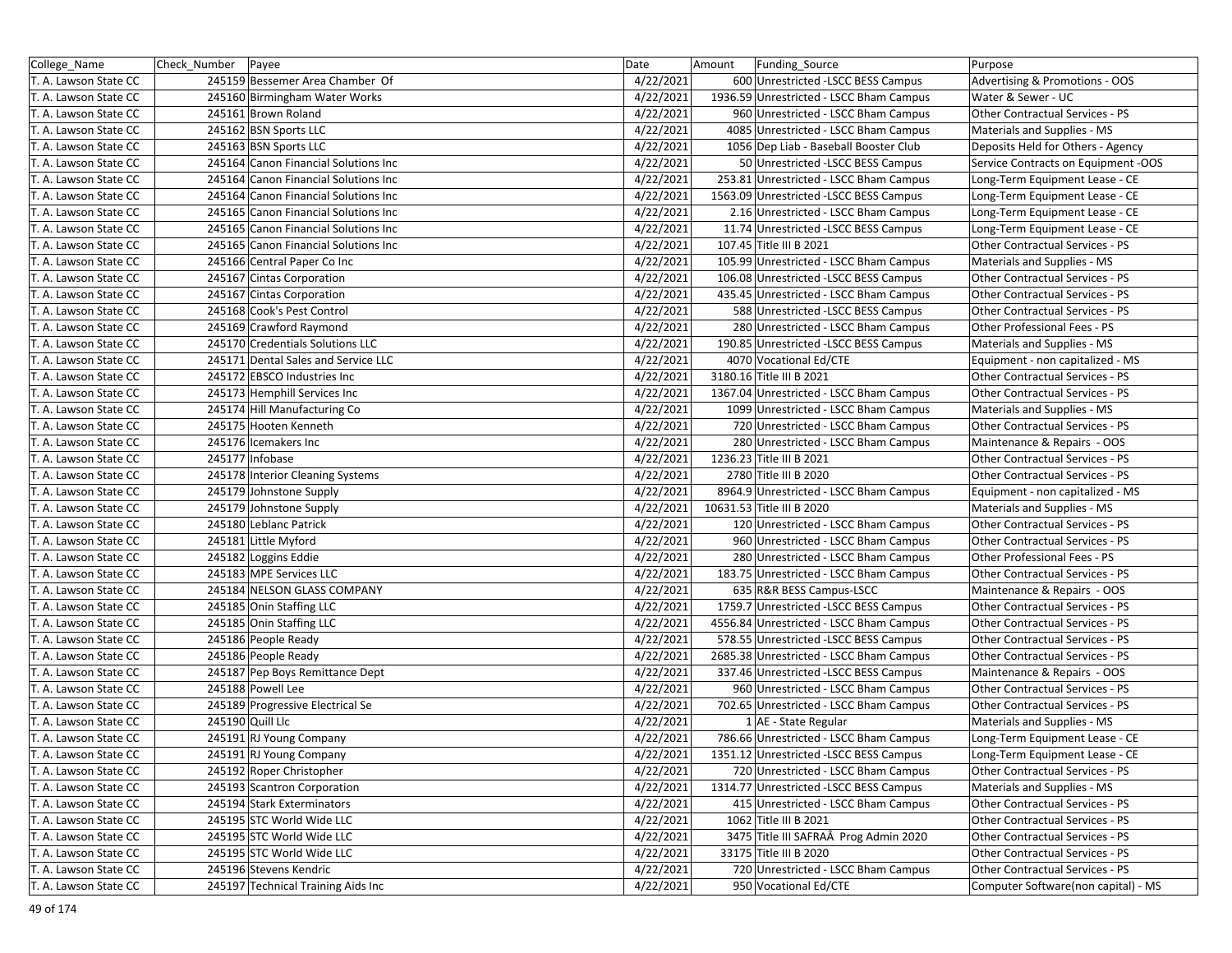| College_Name          | Check_Number   Payee |                                      | Date      | Amount<br>Funding_Source                | Purpose                             |
|-----------------------|----------------------|--------------------------------------|-----------|-----------------------------------------|-------------------------------------|
| T. A. Lawson State CC |                      | 245159 Bessemer Area Chamber Of      | 4/22/2021 | 600 Unrestricted - LSCC BESS Campus     | Advertising & Promotions - OOS      |
| T. A. Lawson State CC |                      | 245160 Birmingham Water Works        | 4/22/2021 | 1936.59 Unrestricted - LSCC Bham Campus | Water & Sewer - UC                  |
| T. A. Lawson State CC |                      | 245161 Brown Roland                  | 4/22/2021 | 960 Unrestricted - LSCC Bham Campus     | Other Contractual Services - PS     |
| T. A. Lawson State CC |                      | 245162 BSN Sports LLC                | 4/22/2021 | 4085 Unrestricted - LSCC Bham Campus    | Materials and Supplies - MS         |
| T. A. Lawson State CC |                      | 245163 BSN Sports LLC                | 4/22/2021 | 1056 Dep Liab - Baseball Booster Club   | Deposits Held for Others - Agency   |
| T. A. Lawson State CC |                      | 245164 Canon Financial Solutions Inc | 4/22/2021 | 50 Unrestricted - LSCC BESS Campus      | Service Contracts on Equipment -OOS |
| T. A. Lawson State CC |                      | 245164 Canon Financial Solutions Inc | 4/22/2021 | 253.81 Unrestricted - LSCC Bham Campus  | Long-Term Equipment Lease - CE      |
| T. A. Lawson State CC |                      | 245164 Canon Financial Solutions Inc | 4/22/2021 | 1563.09 Unrestricted -LSCC BESS Campus  | Long-Term Equipment Lease - CE      |
| T. A. Lawson State CC |                      | 245165 Canon Financial Solutions Inc | 4/22/2021 | 2.16 Unrestricted - LSCC Bham Campus    | Long-Term Equipment Lease - CE      |
| T. A. Lawson State CC |                      | 245165 Canon Financial Solutions Inc | 4/22/2021 | 11.74 Unrestricted -LSCC BESS Campus    | Long-Term Equipment Lease - CE      |
| T. A. Lawson State CC |                      | 245165 Canon Financial Solutions Inc | 4/22/2021 | 107.45 Title III B 2021                 | Other Contractual Services - PS     |
| T. A. Lawson State CC |                      | 245166 Central Paper Co Inc          | 4/22/2021 | 105.99 Unrestricted - LSCC Bham Campus  | Materials and Supplies - MS         |
| T. A. Lawson State CC |                      | 245167 Cintas Corporation            | 4/22/2021 | 106.08 Unrestricted -LSCC BESS Campus   | Other Contractual Services - PS     |
| T. A. Lawson State CC |                      | 245167 Cintas Corporation            | 4/22/2021 | 435.45 Unrestricted - LSCC Bham Campus  | Other Contractual Services - PS     |
| T. A. Lawson State CC |                      | 245168 Cook's Pest Control           | 4/22/2021 | 588 Unrestricted -LSCC BESS Campus      | Other Contractual Services - PS     |
| T. A. Lawson State CC |                      | 245169 Crawford Raymond              | 4/22/2021 | 280 Unrestricted - LSCC Bham Campus     | Other Professional Fees - PS        |
| T. A. Lawson State CC |                      | 245170 Credentials Solutions LLC     | 4/22/2021 | 190.85 Unrestricted -LSCC BESS Campus   | Materials and Supplies - MS         |
| T. A. Lawson State CC |                      | 245171 Dental Sales and Service LLC  | 4/22/2021 | 4070 Vocational Ed/CTE                  | Equipment - non capitalized - MS    |
| T. A. Lawson State CC |                      | 245172 EBSCO Industries Inc          | 4/22/2021 | 3180.16 Title III B 2021                | Other Contractual Services - PS     |
| T. A. Lawson State CC |                      | 245173 Hemphill Services Inc         | 4/22/2021 | 1367.04 Unrestricted - LSCC Bham Campus | Other Contractual Services - PS     |
| T. A. Lawson State CC |                      | 245174 Hill Manufacturing Co         | 4/22/2021 | 1099 Unrestricted - LSCC Bham Campus    | Materials and Supplies - MS         |
| T. A. Lawson State CC |                      | 245175 Hooten Kenneth                | 4/22/2021 | 720 Unrestricted - LSCC Bham Campus     | Other Contractual Services - PS     |
| T. A. Lawson State CC |                      | 245176 Icemakers Inc                 | 4/22/2021 | 280 Unrestricted - LSCC Bham Campus     | Maintenance & Repairs - OOS         |
| T. A. Lawson State CC |                      | 245177 Infobase                      | 4/22/2021 | 1236.23 Title III B 2021                | Other Contractual Services - PS     |
| T. A. Lawson State CC |                      | 245178 Interior Cleaning Systems     | 4/22/2021 | 2780 Title III B 2020                   | Other Contractual Services - PS     |
| T. A. Lawson State CC |                      | 245179 Johnstone Supply              | 4/22/2021 | 8964.9 Unrestricted - LSCC Bham Campus  | Equipment - non capitalized - MS    |
| T. A. Lawson State CC |                      | 245179 Johnstone Supply              | 4/22/2021 | 10631.53 Title III B 2020               | Materials and Supplies - MS         |
| T. A. Lawson State CC |                      | 245180 Leblanc Patrick               | 4/22/2021 | 120 Unrestricted - LSCC Bham Campus     | Other Contractual Services - PS     |
| T. A. Lawson State CC |                      | 245181 Little Myford                 | 4/22/2021 | 960 Unrestricted - LSCC Bham Campus     | Other Contractual Services - PS     |
| T. A. Lawson State CC |                      | 245182 Loggins Eddie                 | 4/22/2021 | 280 Unrestricted - LSCC Bham Campus     | Other Professional Fees - PS        |
| T. A. Lawson State CC |                      | 245183 MPE Services LLC              | 4/22/2021 | 183.75 Unrestricted - LSCC Bham Campus  | Other Contractual Services - PS     |
| T. A. Lawson State CC |                      | 245184 NELSON GLASS COMPANY          | 4/22/2021 | 635 R&R BESS Campus-LSCC                | Maintenance & Repairs - OOS         |
| T. A. Lawson State CC |                      | 245185 Onin Staffing LLC             | 4/22/2021 | 1759.7 Unrestricted -LSCC BESS Campus   | Other Contractual Services - PS     |
| T. A. Lawson State CC |                      | 245185 Onin Staffing LLC             | 4/22/2021 | 4556.84 Unrestricted - LSCC Bham Campus | Other Contractual Services - PS     |
| T. A. Lawson State CC |                      | 245186 People Ready                  | 4/22/2021 | 578.55 Unrestricted -LSCC BESS Campus   | Other Contractual Services - PS     |
| T. A. Lawson State CC |                      | 245186 People Ready                  | 4/22/2021 | 2685.38 Unrestricted - LSCC Bham Campus | Other Contractual Services - PS     |
| T. A. Lawson State CC |                      | 245187 Pep Boys Remittance Dept      | 4/22/2021 | 337.46 Unrestricted -LSCC BESS Campus   | Maintenance & Repairs - OOS         |
| T. A. Lawson State CC |                      | 245188 Powell Lee                    | 4/22/2021 | 960 Unrestricted - LSCC Bham Campus     | Other Contractual Services - PS     |
| T. A. Lawson State CC |                      | 245189 Progressive Electrical Se     | 4/22/2021 | 702.65 Unrestricted - LSCC Bham Campus  | Other Contractual Services - PS     |
| T. A. Lawson State CC |                      | 245190 Quill Llc                     | 4/22/2021 | 1 AE - State Regular                    | Materials and Supplies - MS         |
| T. A. Lawson State CC |                      | 245191 RJ Young Company              | 4/22/2021 | 786.66 Unrestricted - LSCC Bham Campus  | Long-Term Equipment Lease - CE      |
| T. A. Lawson State CC |                      | 245191 RJ Young Company              | 4/22/2021 | 1351.12 Unrestricted -LSCC BESS Campus  | Long-Term Equipment Lease - CE      |
| T. A. Lawson State CC |                      | 245192 Roper Christopher             | 4/22/2021 | 720 Unrestricted - LSCC Bham Campus     | Other Contractual Services - PS     |
| T. A. Lawson State CC |                      | 245193 Scantron Corporation          | 4/22/2021 | 1314.77 Unrestricted -LSCC BESS Campus  | Materials and Supplies - MS         |
| T. A. Lawson State CC |                      | 245194 Stark Exterminators           | 4/22/2021 | 415 Unrestricted - LSCC Bham Campus     | Other Contractual Services - PS     |
| T. A. Lawson State CC |                      | 245195 STC World Wide LLC            | 4/22/2021 | 1062 Title III B 2021                   | Other Contractual Services - PS     |
| T. A. Lawson State CC |                      | 245195 STC World Wide LLC            | 4/22/2021 | 3475 Title III SAFRAÂ Prog Admin 2020   | Other Contractual Services - PS     |
| T. A. Lawson State CC |                      | 245195 STC World Wide LLC            | 4/22/2021 | 33175 Title III B 2020                  | Other Contractual Services - PS     |
| T. A. Lawson State CC |                      | 245196 Stevens Kendric               | 4/22/2021 | 720 Unrestricted - LSCC Bham Campus     | Other Contractual Services - PS     |
| T. A. Lawson State CC |                      | 245197 Technical Training Aids Inc   | 4/22/2021 | 950 Vocational Ed/CTE                   | Computer Software(non capital) - MS |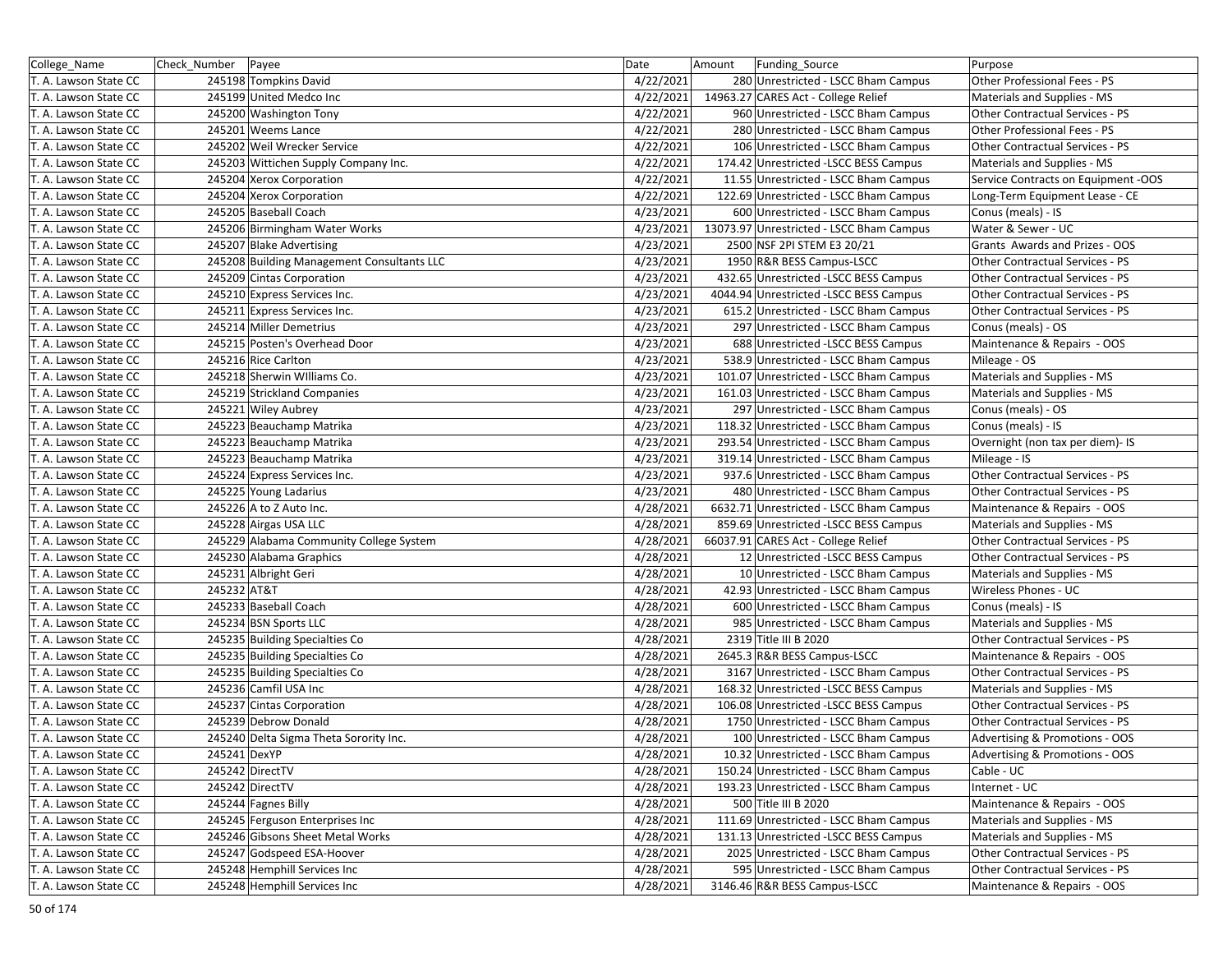| College_Name          | Check_Number   Payee |                                            | Date      | Amount | <b>Funding Source</b>                    | Purpose                             |
|-----------------------|----------------------|--------------------------------------------|-----------|--------|------------------------------------------|-------------------------------------|
| T. A. Lawson State CC |                      | 245198 Tompkins David                      | 4/22/2021 |        | 280 Unrestricted - LSCC Bham Campus      | Other Professional Fees - PS        |
| T. A. Lawson State CC |                      | 245199 United Medco Inc                    | 4/22/2021 |        | 14963.27 CARES Act - College Relief      | Materials and Supplies - MS         |
| T. A. Lawson State CC |                      | 245200 Washington Tony                     | 4/22/2021 |        | 960 Unrestricted - LSCC Bham Campus      | Other Contractual Services - PS     |
| T. A. Lawson State CC |                      | 245201 Weems Lance                         | 4/22/2021 |        | 280 Unrestricted - LSCC Bham Campus      | Other Professional Fees - PS        |
| T. A. Lawson State CC |                      | 245202 Weil Wrecker Service                | 4/22/2021 |        | 106 Unrestricted - LSCC Bham Campus      | Other Contractual Services - PS     |
| T. A. Lawson State CC |                      | 245203 Wittichen Supply Company Inc.       | 4/22/2021 |        | 174.42 Unrestricted -LSCC BESS Campus    | Materials and Supplies - MS         |
| T. A. Lawson State CC |                      | 245204 Xerox Corporation                   | 4/22/2021 |        | 11.55 Unrestricted - LSCC Bham Campus    | Service Contracts on Equipment -OOS |
| T. A. Lawson State CC |                      | 245204 Xerox Corporation                   | 4/22/2021 |        | 122.69 Unrestricted - LSCC Bham Campus   | Long-Term Equipment Lease - CE      |
| T. A. Lawson State CC |                      | 245205 Baseball Coach                      | 4/23/2021 |        | 600 Unrestricted - LSCC Bham Campus      | Conus (meals) - IS                  |
| T. A. Lawson State CC |                      | 245206 Birmingham Water Works              | 4/23/2021 |        | 13073.97 Unrestricted - LSCC Bham Campus | Water & Sewer - UC                  |
| T. A. Lawson State CC |                      | 245207 Blake Advertising                   | 4/23/2021 |        | 2500 NSF 2PI STEM E3 20/21               | Grants Awards and Prizes - OOS      |
| T. A. Lawson State CC |                      | 245208 Building Management Consultants LLC | 4/23/2021 |        | 1950 R&R BESS Campus-LSCC                | Other Contractual Services - PS     |
| T. A. Lawson State CC |                      | 245209 Cintas Corporation                  | 4/23/2021 |        | 432.65 Unrestricted -LSCC BESS Campus    | Other Contractual Services - PS     |
| T. A. Lawson State CC |                      | 245210 Express Services Inc.               | 4/23/2021 |        | 4044.94 Unrestricted -LSCC BESS Campus   | Other Contractual Services - PS     |
| T. A. Lawson State CC |                      | 245211 Express Services Inc.               | 4/23/2021 |        | 615.2 Unrestricted - LSCC Bham Campus    | Other Contractual Services - PS     |
| T. A. Lawson State CC |                      | 245214 Miller Demetrius                    | 4/23/2021 |        | 297 Unrestricted - LSCC Bham Campus      | Conus (meals) - OS                  |
| T. A. Lawson State CC |                      | 245215 Posten's Overhead Door              | 4/23/2021 |        | 688 Unrestricted - LSCC BESS Campus      | Maintenance & Repairs - OOS         |
| T. A. Lawson State CC |                      | 245216 Rice Carlton                        | 4/23/2021 |        | 538.9 Unrestricted - LSCC Bham Campus    | Mileage - OS                        |
| T. A. Lawson State CC |                      | 245218 Sherwin Williams Co.                | 4/23/2021 |        | 101.07 Unrestricted - LSCC Bham Campus   | Materials and Supplies - MS         |
| T. A. Lawson State CC |                      | 245219 Strickland Companies                | 4/23/2021 |        | 161.03 Unrestricted - LSCC Bham Campus   | Materials and Supplies - MS         |
| T. A. Lawson State CC |                      | 245221 Wiley Aubrey                        | 4/23/2021 |        | 297 Unrestricted - LSCC Bham Campus      | Conus (meals) - OS                  |
| T. A. Lawson State CC |                      | 245223 Beauchamp Matrika                   | 4/23/2021 |        | 118.32 Unrestricted - LSCC Bham Campus   | Conus (meals) - IS                  |
| T. A. Lawson State CC |                      | 245223 Beauchamp Matrika                   | 4/23/2021 |        | 293.54 Unrestricted - LSCC Bham Campus   | Overnight (non tax per diem)- IS    |
| T. A. Lawson State CC |                      | 245223 Beauchamp Matrika                   | 4/23/2021 |        | 319.14 Unrestricted - LSCC Bham Campus   | Mileage - IS                        |
| T. A. Lawson State CC |                      | 245224 Express Services Inc.               | 4/23/2021 |        | 937.6 Unrestricted - LSCC Bham Campus    | Other Contractual Services - PS     |
| T. A. Lawson State CC |                      | 245225 Young Ladarius                      | 4/23/2021 |        | 480 Unrestricted - LSCC Bham Campus      | Other Contractual Services - PS     |
| T. A. Lawson State CC |                      | 245226 A to Z Auto Inc.                    | 4/28/2021 |        | 6632.71 Unrestricted - LSCC Bham Campus  | Maintenance & Repairs - OOS         |
| T. A. Lawson State CC |                      | 245228 Airgas USA LLC                      | 4/28/2021 |        | 859.69 Unrestricted -LSCC BESS Campus    | Materials and Supplies - MS         |
| T. A. Lawson State CC |                      | 245229 Alabama Community College System    | 4/28/2021 |        | 66037.91 CARES Act - College Relief      | Other Contractual Services - PS     |
| T. A. Lawson State CC |                      | 245230 Alabama Graphics                    | 4/28/2021 |        | 12 Unrestricted -LSCC BESS Campus        | Other Contractual Services - PS     |
| T. A. Lawson State CC |                      | 245231 Albright Geri                       | 4/28/2021 |        | 10 Unrestricted - LSCC Bham Campus       | Materials and Supplies - MS         |
| T. A. Lawson State CC | 245232 AT&T          |                                            | 4/28/2021 |        | 42.93 Unrestricted - LSCC Bham Campus    | Wireless Phones - UC                |
| T. A. Lawson State CC |                      | 245233 Baseball Coach                      | 4/28/2021 |        | 600 Unrestricted - LSCC Bham Campus      | Conus (meals) - IS                  |
| T. A. Lawson State CC |                      | 245234 BSN Sports LLC                      | 4/28/2021 |        | 985 Unrestricted - LSCC Bham Campus      | Materials and Supplies - MS         |
| T. A. Lawson State CC |                      | 245235 Building Specialties Co             | 4/28/2021 |        | 2319 Title III B 2020                    | Other Contractual Services - PS     |
| T. A. Lawson State CC |                      | 245235 Building Specialties Co             | 4/28/2021 |        | 2645.3 R&R BESS Campus-LSCC              | Maintenance & Repairs - OOS         |
| T. A. Lawson State CC |                      | 245235 Building Specialties Co             | 4/28/2021 |        | 3167 Unrestricted - LSCC Bham Campus     | Other Contractual Services - PS     |
| T. A. Lawson State CC |                      | 245236 Camfil USA Inc                      | 4/28/2021 |        | 168.32 Unrestricted -LSCC BESS Campus    | Materials and Supplies - MS         |
| T. A. Lawson State CC |                      | 245237 Cintas Corporation                  | 4/28/2021 |        | 106.08 Unrestricted -LSCC BESS Campus    | Other Contractual Services - PS     |
| T. A. Lawson State CC |                      | 245239 Debrow Donald                       | 4/28/2021 |        | 1750 Unrestricted - LSCC Bham Campus     | Other Contractual Services - PS     |
| T. A. Lawson State CC |                      | 245240 Delta Sigma Theta Sorority Inc.     | 4/28/2021 |        | 100 Unrestricted - LSCC Bham Campus      | Advertising & Promotions - OOS      |
| T. A. Lawson State CC | 245241 DexYP         |                                            | 4/28/2021 |        | 10.32 Unrestricted - LSCC Bham Campus    | Advertising & Promotions - OOS      |
| T. A. Lawson State CC |                      | 245242 DirectTV                            | 4/28/2021 |        | 150.24 Unrestricted - LSCC Bham Campus   | Cable - UC                          |
| T. A. Lawson State CC |                      | 245242 DirectTV                            | 4/28/2021 |        | 193.23 Unrestricted - LSCC Bham Campus   | Internet - UC                       |
| T. A. Lawson State CC |                      | 245244 Fagnes Billy                        | 4/28/2021 |        | 500 Title III B 2020                     | Maintenance & Repairs - OOS         |
| T. A. Lawson State CC |                      | 245245 Ferguson Enterprises Inc            | 4/28/2021 |        | 111.69 Unrestricted - LSCC Bham Campus   | Materials and Supplies - MS         |
| T. A. Lawson State CC |                      | 245246 Gibsons Sheet Metal Works           | 4/28/2021 |        | 131.13 Unrestricted -LSCC BESS Campus    | Materials and Supplies - MS         |
| T. A. Lawson State CC |                      | 245247 Godspeed ESA-Hoover                 | 4/28/2021 |        | 2025 Unrestricted - LSCC Bham Campus     | Other Contractual Services - PS     |
| T. A. Lawson State CC |                      | 245248 Hemphill Services Inc               | 4/28/2021 |        | 595 Unrestricted - LSCC Bham Campus      | Other Contractual Services - PS     |
| T. A. Lawson State CC |                      | 245248 Hemphill Services Inc               | 4/28/2021 |        | 3146.46 R&R BESS Campus-LSCC             | Maintenance & Repairs - OOS         |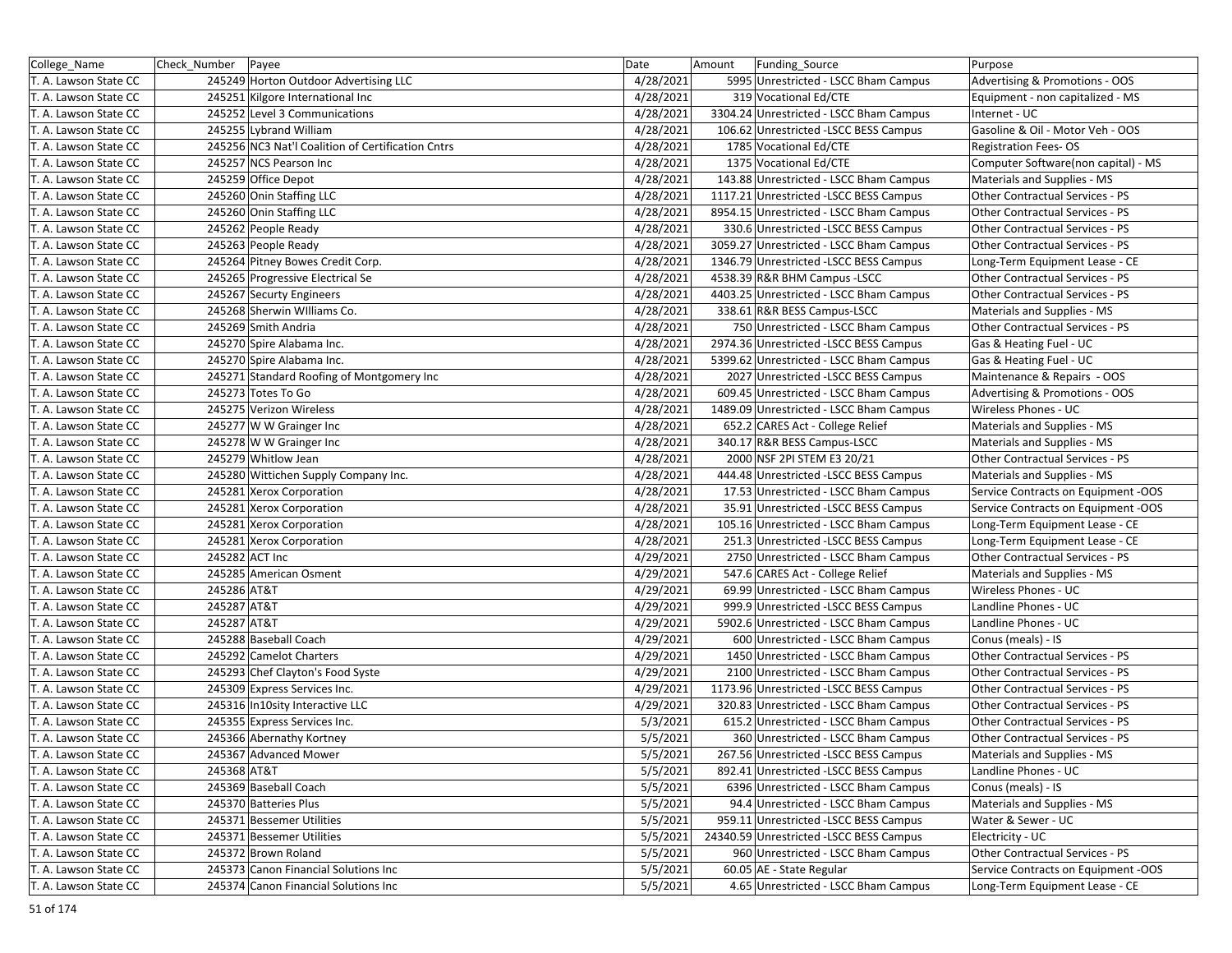| College_Name          | Check Number | Payee                                             | Date      | Amount | Funding_Source                          | Purpose                             |
|-----------------------|--------------|---------------------------------------------------|-----------|--------|-----------------------------------------|-------------------------------------|
| T. A. Lawson State CC |              | 245249 Horton Outdoor Advertising LLC             | 4/28/2021 |        | 5995 Unrestricted - LSCC Bham Campus    | Advertising & Promotions - OOS      |
| T. A. Lawson State CC |              | 245251 Kilgore International Inc                  | 4/28/2021 |        | 319 Vocational Ed/CTE                   | Equipment - non capitalized - MS    |
| T. A. Lawson State CC |              | 245252 Level 3 Communications                     | 4/28/2021 |        | 3304.24 Unrestricted - LSCC Bham Campus | Internet - UC                       |
| T. A. Lawson State CC |              | 245255 Lybrand William                            | 4/28/2021 |        | 106.62 Unrestricted -LSCC BESS Campus   | Gasoline & Oil - Motor Veh - OOS    |
| T. A. Lawson State CC |              | 245256 NC3 Nat'l Coalition of Certification Cntrs | 4/28/2021 |        | 1785 Vocational Ed/CTE                  | <b>Registration Fees-OS</b>         |
| T. A. Lawson State CC |              | 245257 NCS Pearson Inc                            | 4/28/2021 |        | 1375 Vocational Ed/CTE                  | Computer Software(non capital) - MS |
| T. A. Lawson State CC |              | 245259 Office Depot                               | 4/28/2021 |        | 143.88 Unrestricted - LSCC Bham Campus  | Materials and Supplies - MS         |
| T. A. Lawson State CC |              | 245260 Onin Staffing LLC                          | 4/28/2021 |        | 1117.21 Unrestricted -LSCC BESS Campus  | Other Contractual Services - PS     |
| T. A. Lawson State CC |              | 245260 Onin Staffing LLC                          | 4/28/2021 |        | 8954.15 Unrestricted - LSCC Bham Campus | Other Contractual Services - PS     |
| T. A. Lawson State CC |              | 245262 People Ready                               | 4/28/2021 |        | 330.6 Unrestricted -LSCC BESS Campus    | Other Contractual Services - PS     |
| T. A. Lawson State CC |              | 245263 People Ready                               | 4/28/2021 |        | 3059.27 Unrestricted - LSCC Bham Campus | Other Contractual Services - PS     |
| T. A. Lawson State CC |              | 245264 Pitney Bowes Credit Corp.                  | 4/28/2021 |        | 1346.79 Unrestricted -LSCC BESS Campus  | Long-Term Equipment Lease - CE      |
| T. A. Lawson State CC |              | 245265 Progressive Electrical Se                  | 4/28/2021 |        | 4538.39 R&R BHM Campus - LSCC           | Other Contractual Services - PS     |
| T. A. Lawson State CC |              | 245267 Securty Engineers                          | 4/28/2021 |        | 4403.25 Unrestricted - LSCC Bham Campus | Other Contractual Services - PS     |
| T. A. Lawson State CC |              | 245268 Sherwin Williams Co.                       | 4/28/2021 |        | 338.61 R&R BESS Campus-LSCC             | Materials and Supplies - MS         |
| T. A. Lawson State CC |              | 245269 Smith Andria                               | 4/28/2021 |        | 750 Unrestricted - LSCC Bham Campus     | Other Contractual Services - PS     |
| T. A. Lawson State CC |              | 245270 Spire Alabama Inc.                         | 4/28/2021 |        | 2974.36 Unrestricted -LSCC BESS Campus  | Gas & Heating Fuel - UC             |
| T. A. Lawson State CC |              | 245270 Spire Alabama Inc.                         | 4/28/2021 |        | 5399.62 Unrestricted - LSCC Bham Campus | Gas & Heating Fuel - UC             |
| T. A. Lawson State CC |              | 245271 Standard Roofing of Montgomery Inc         | 4/28/2021 |        | 2027 Unrestricted -LSCC BESS Campus     | Maintenance & Repairs - OOS         |
| T. A. Lawson State CC |              | 245273 Totes To Go                                | 4/28/2021 |        | 609.45 Unrestricted - LSCC Bham Campus  | Advertising & Promotions - OOS      |
| T. A. Lawson State CC |              | 245275 Verizon Wireless                           | 4/28/2021 |        | 1489.09 Unrestricted - LSCC Bham Campus | Wireless Phones - UC                |
| T. A. Lawson State CC |              | 245277 W W Grainger Inc                           | 4/28/2021 |        | 652.2 CARES Act - College Relief        | Materials and Supplies - MS         |
| T. A. Lawson State CC |              | 245278 W W Grainger Inc                           | 4/28/2021 |        | 340.17 R&R BESS Campus-LSCC             | Materials and Supplies - MS         |
| T. A. Lawson State CC |              | 245279 Whitlow Jean                               | 4/28/2021 |        | 2000 NSF 2PI STEM E3 20/21              | Other Contractual Services - PS     |
| T. A. Lawson State CC |              | 245280 Wittichen Supply Company Inc.              | 4/28/2021 |        | 444.48 Unrestricted -LSCC BESS Campus   | Materials and Supplies - MS         |
| T. A. Lawson State CC |              | 245281 Xerox Corporation                          | 4/28/2021 |        | 17.53 Unrestricted - LSCC Bham Campus   | Service Contracts on Equipment -OOS |
| T. A. Lawson State CC |              | 245281 Xerox Corporation                          | 4/28/2021 |        | 35.91 Unrestricted -LSCC BESS Campus    | Service Contracts on Equipment -OOS |
| T. A. Lawson State CC |              | 245281 Xerox Corporation                          | 4/28/2021 |        | 105.16 Unrestricted - LSCC Bham Campus  | Long-Term Equipment Lease - CE      |
| T. A. Lawson State CC |              | 245281 Xerox Corporation                          | 4/28/2021 |        | 251.3 Unrestricted -LSCC BESS Campus    | Long-Term Equipment Lease - CE      |
| T. A. Lawson State CC |              | 245282 ACT Inc                                    | 4/29/2021 |        | 2750 Unrestricted - LSCC Bham Campus    | Other Contractual Services - PS     |
| T. A. Lawson State CC |              | 245285 American Osment                            | 4/29/2021 |        | 547.6 CARES Act - College Relief        | Materials and Supplies - MS         |
| T. A. Lawson State CC | 245286 AT&T  |                                                   | 4/29/2021 |        | 69.99 Unrestricted - LSCC Bham Campus   | Wireless Phones - UC                |
| T. A. Lawson State CC | 245287 AT&T  |                                                   | 4/29/2021 |        | 999.9 Unrestricted -LSCC BESS Campus    | Landline Phones - UC                |
| T. A. Lawson State CC | 245287 AT&T  |                                                   | 4/29/2021 |        | 5902.6 Unrestricted - LSCC Bham Campus  | Landline Phones - UC                |
| T. A. Lawson State CC |              | 245288 Baseball Coach                             | 4/29/2021 |        | 600 Unrestricted - LSCC Bham Campus     | Conus (meals) - IS                  |
| T. A. Lawson State CC |              | 245292 Camelot Charters                           | 4/29/2021 |        | 1450 Unrestricted - LSCC Bham Campus    | Other Contractual Services - PS     |
| T. A. Lawson State CC |              | 245293 Chef Clayton's Food Syste                  | 4/29/2021 |        | 2100 Unrestricted - LSCC Bham Campus    | Other Contractual Services - PS     |
| T. A. Lawson State CC |              | 245309 Express Services Inc.                      | 4/29/2021 |        | 1173.96 Unrestricted -LSCC BESS Campus  | Other Contractual Services - PS     |
| T. A. Lawson State CC |              | 245316 In10sity Interactive LLC                   | 4/29/2021 |        | 320.83 Unrestricted - LSCC Bham Campus  | Other Contractual Services - PS     |
| T. A. Lawson State CC |              | 245355 Express Services Inc.                      | 5/3/2021  |        | 615.2 Unrestricted - LSCC Bham Campus   | Other Contractual Services - PS     |
| T. A. Lawson State CC |              | 245366 Abernathy Kortney                          | 5/5/2021  |        | 360 Unrestricted - LSCC Bham Campus     | Other Contractual Services - PS     |
| T. A. Lawson State CC |              | 245367 Advanced Mower                             | 5/5/2021  |        | 267.56 Unrestricted -LSCC BESS Campus   | Materials and Supplies - MS         |
| T. A. Lawson State CC | 245368 AT&T  |                                                   | 5/5/2021  |        | 892.41 Unrestricted -LSCC BESS Campus   | Landline Phones - UC                |
| T. A. Lawson State CC |              | 245369 Baseball Coach                             | 5/5/2021  |        | 6396 Unrestricted - LSCC Bham Campus    | Conus (meals) - IS                  |
| T. A. Lawson State CC |              | 245370 Batteries Plus                             | 5/5/2021  |        | 94.4 Unrestricted - LSCC Bham Campus    | Materials and Supplies - MS         |
| T. A. Lawson State CC |              | 245371 Bessemer Utilities                         | 5/5/2021  |        | 959.11 Unrestricted -LSCC BESS Campus   | Water & Sewer - UC                  |
| T. A. Lawson State CC |              | 245371 Bessemer Utilities                         | 5/5/2021  |        | 24340.59 Unrestricted -LSCC BESS Campus | Electricity - UC                    |
| T. A. Lawson State CC |              | 245372 Brown Roland                               | 5/5/2021  |        | 960 Unrestricted - LSCC Bham Campus     | Other Contractual Services - PS     |
| T. A. Lawson State CC |              | 245373 Canon Financial Solutions Inc              | 5/5/2021  |        | 60.05 AE - State Regular                | Service Contracts on Equipment -OOS |
| T. A. Lawson State CC |              | 245374 Canon Financial Solutions Inc              | 5/5/2021  |        | 4.65 Unrestricted - LSCC Bham Campus    | Long-Term Equipment Lease - CE      |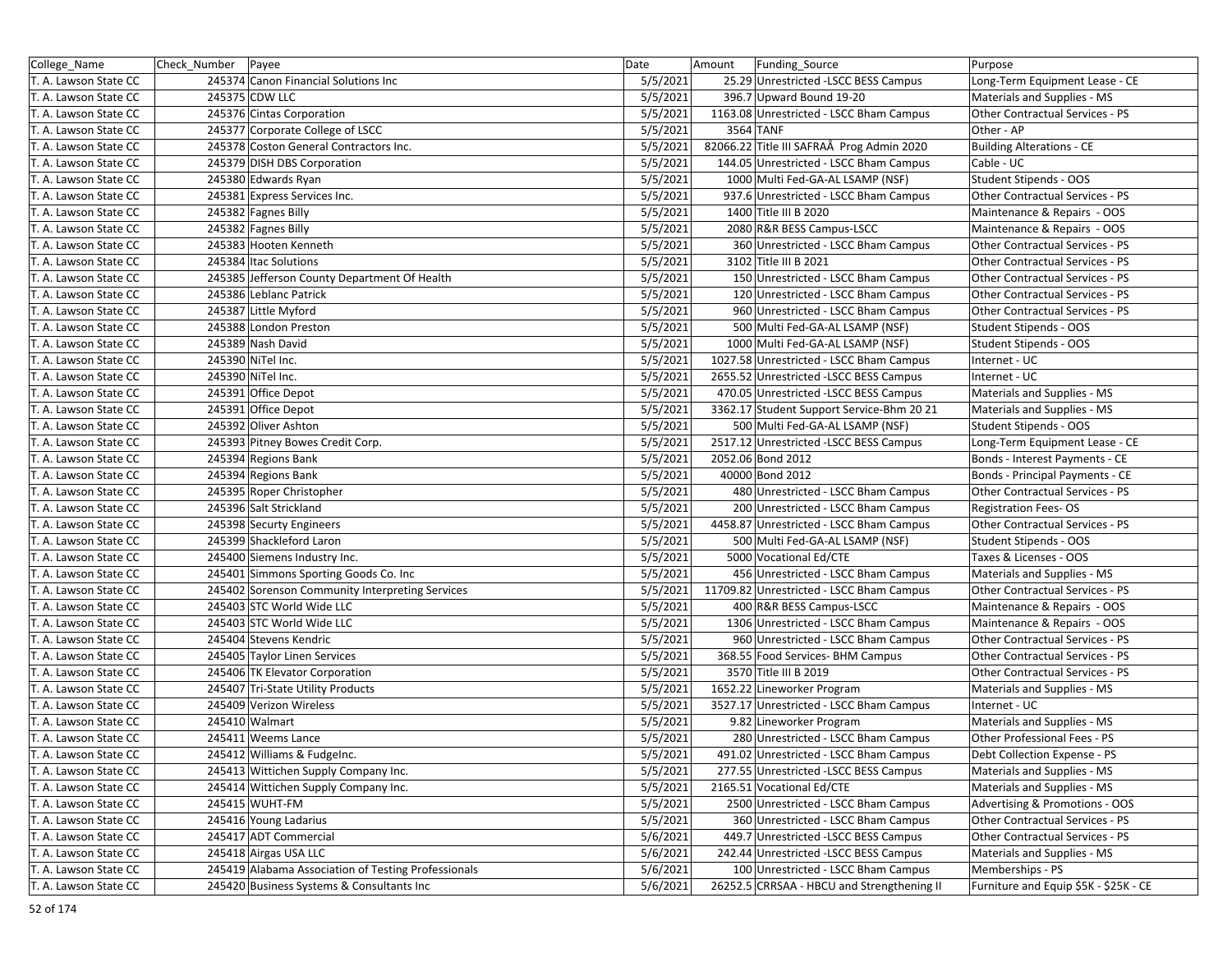| College_Name          | Check Number | Payee                                               | Date     | Amount | Funding Source                             | Purpose                               |
|-----------------------|--------------|-----------------------------------------------------|----------|--------|--------------------------------------------|---------------------------------------|
| T. A. Lawson State CC |              | 245374 Canon Financial Solutions Inc                | 5/5/2021 |        | 25.29 Unrestricted -LSCC BESS Campus       | Long-Term Equipment Lease - CE        |
| T. A. Lawson State CC |              | 245375 CDW LLC                                      | 5/5/2021 |        | 396.7 Upward Bound 19-20                   | Materials and Supplies - MS           |
| T. A. Lawson State CC |              | 245376 Cintas Corporation                           | 5/5/2021 |        | 1163.08 Unrestricted - LSCC Bham Campus    | Other Contractual Services - PS       |
| T. A. Lawson State CC |              | 245377 Corporate College of LSCC                    | 5/5/2021 |        | 3564 TANF                                  | Other - AP                            |
| T. A. Lawson State CC |              | 245378 Coston General Contractors Inc.              | 5/5/2021 |        | 82066.22 Title III SAFRAÂ Prog Admin 2020  | <b>Building Alterations - CE</b>      |
| T. A. Lawson State CC |              | 245379 DISH DBS Corporation                         | 5/5/2021 |        | 144.05 Unrestricted - LSCC Bham Campus     | Cable - UC                            |
| T. A. Lawson State CC |              | 245380 Edwards Ryan                                 | 5/5/2021 |        | 1000 Multi Fed-GA-AL LSAMP (NSF)           | Student Stipends - OOS                |
| T. A. Lawson State CC |              | 245381 Express Services Inc.                        | 5/5/2021 |        | 937.6 Unrestricted - LSCC Bham Campus      | Other Contractual Services - PS       |
| T. A. Lawson State CC |              | 245382 Fagnes Billy                                 | 5/5/2021 |        | 1400 Title III B 2020                      | Maintenance & Repairs - OOS           |
| T. A. Lawson State CC |              | 245382 Fagnes Billy                                 | 5/5/2021 |        | 2080 R&R BESS Campus-LSCC                  | Maintenance & Repairs - OOS           |
| T. A. Lawson State CC |              | 245383 Hooten Kenneth                               | 5/5/2021 |        | 360 Unrestricted - LSCC Bham Campus        | Other Contractual Services - PS       |
| T. A. Lawson State CC |              | 245384 Itac Solutions                               | 5/5/2021 |        | 3102 Title III B 2021                      | Other Contractual Services - PS       |
| T. A. Lawson State CC |              | 245385 Jefferson County Department Of Health        | 5/5/2021 |        | 150 Unrestricted - LSCC Bham Campus        | Other Contractual Services - PS       |
| T. A. Lawson State CC |              | 245386 Leblanc Patrick                              | 5/5/2021 |        | 120 Unrestricted - LSCC Bham Campus        | Other Contractual Services - PS       |
| T. A. Lawson State CC |              | 245387 Little Myford                                | 5/5/2021 |        | 960 Unrestricted - LSCC Bham Campus        | Other Contractual Services - PS       |
| T. A. Lawson State CC |              | 245388 London Preston                               | 5/5/2021 |        | 500 Multi Fed-GA-AL LSAMP (NSF)            | Student Stipends - OOS                |
| T. A. Lawson State CC |              | 245389 Nash David                                   | 5/5/2021 |        | 1000 Multi Fed-GA-AL LSAMP (NSF)           | Student Stipends - OOS                |
| T. A. Lawson State CC |              | 245390 NiTel Inc.                                   | 5/5/2021 |        | 1027.58 Unrestricted - LSCC Bham Campus    | Internet - UC                         |
| T. A. Lawson State CC |              | 245390 NiTel Inc.                                   | 5/5/2021 |        | 2655.52 Unrestricted -LSCC BESS Campus     | Internet - UC                         |
| T. A. Lawson State CC |              | 245391 Office Depot                                 | 5/5/2021 |        | 470.05 Unrestricted -LSCC BESS Campus      | Materials and Supplies - MS           |
| T. A. Lawson State CC |              | 245391 Office Depot                                 | 5/5/2021 |        | 3362.17 Student Support Service-Bhm 20 21  | Materials and Supplies - MS           |
| T. A. Lawson State CC |              | 245392 Oliver Ashton                                | 5/5/2021 |        | 500 Multi Fed-GA-AL LSAMP (NSF)            | Student Stipends - OOS                |
| T. A. Lawson State CC |              | 245393 Pitney Bowes Credit Corp.                    | 5/5/2021 |        | 2517.12 Unrestricted -LSCC BESS Campus     | Long-Term Equipment Lease - CE        |
| T. A. Lawson State CC |              | 245394 Regions Bank                                 | 5/5/2021 |        | 2052.06 Bond 2012                          | Bonds - Interest Payments - CE        |
| T. A. Lawson State CC |              | 245394 Regions Bank                                 | 5/5/2021 |        | 40000 Bond 2012                            | Bonds - Principal Payments - CE       |
| T. A. Lawson State CC |              | 245395 Roper Christopher                            | 5/5/2021 |        | 480 Unrestricted - LSCC Bham Campus        | Other Contractual Services - PS       |
| T. A. Lawson State CC |              | 245396 Salt Strickland                              | 5/5/2021 |        | 200 Unrestricted - LSCC Bham Campus        | <b>Registration Fees-OS</b>           |
| T. A. Lawson State CC |              | 245398 Securty Engineers                            | 5/5/2021 |        | 4458.87 Unrestricted - LSCC Bham Campus    | Other Contractual Services - PS       |
| T. A. Lawson State CC |              | 245399 Shackleford Laron                            | 5/5/2021 |        | 500 Multi Fed-GA-AL LSAMP (NSF)            | Student Stipends - OOS                |
| T. A. Lawson State CC |              | 245400 Siemens Industry Inc.                        | 5/5/2021 |        | 5000 Vocational Ed/CTE                     | Taxes & Licenses - OOS                |
| T. A. Lawson State CC |              | 245401 Simmons Sporting Goods Co. Inc               | 5/5/2021 |        | 456 Unrestricted - LSCC Bham Campus        | Materials and Supplies - MS           |
| T. A. Lawson State CC |              | 245402 Sorenson Community Interpreting Services     | 5/5/2021 |        | 11709.82 Unrestricted - LSCC Bham Campus   | Other Contractual Services - PS       |
| T. A. Lawson State CC |              | 245403 STC World Wide LLC                           | 5/5/2021 |        | 400 R&R BESS Campus-LSCC                   | Maintenance & Repairs - OOS           |
| T. A. Lawson State CC |              | 245403 STC World Wide LLC                           | 5/5/2021 |        | 1306 Unrestricted - LSCC Bham Campus       | Maintenance & Repairs - OOS           |
| T. A. Lawson State CC |              | 245404 Stevens Kendric                              | 5/5/2021 |        | 960 Unrestricted - LSCC Bham Campus        | Other Contractual Services - PS       |
| T. A. Lawson State CC |              | 245405 Taylor Linen Services                        | 5/5/2021 |        | 368.55 Food Services- BHM Campus           | Other Contractual Services - PS       |
| T. A. Lawson State CC |              | 245406 TK Elevator Corporation                      | 5/5/2021 |        | 3570 Title III B 2019                      | Other Contractual Services - PS       |
| T. A. Lawson State CC |              | 245407 Tri-State Utility Products                   | 5/5/2021 |        | 1652.22 Lineworker Program                 | Materials and Supplies - MS           |
| T. A. Lawson State CC |              | 245409 Verizon Wireless                             | 5/5/2021 |        | 3527.17 Unrestricted - LSCC Bham Campus    | Internet - UC                         |
| T. A. Lawson State CC |              | 245410 Walmart                                      | 5/5/2021 |        | 9.82 Lineworker Program                    | Materials and Supplies - MS           |
| T. A. Lawson State CC |              | 245411 Weems Lance                                  | 5/5/2021 |        | 280 Unrestricted - LSCC Bham Campus        | Other Professional Fees - PS          |
| T. A. Lawson State CC |              | 245412 Williams & FudgeInc.                         | 5/5/2021 |        | 491.02 Unrestricted - LSCC Bham Campus     | Debt Collection Expense - PS          |
| T. A. Lawson State CC |              | 245413 Wittichen Supply Company Inc.                | 5/5/2021 |        | 277.55 Unrestricted - LSCC BESS Campus     | Materials and Supplies - MS           |
| T. A. Lawson State CC |              | 245414 Wittichen Supply Company Inc.                | 5/5/2021 |        | 2165.51 Vocational Ed/CTE                  | Materials and Supplies - MS           |
| T. A. Lawson State CC |              | 245415 WUHT-FM                                      | 5/5/2021 |        | 2500 Unrestricted - LSCC Bham Campus       | Advertising & Promotions - OOS        |
| T. A. Lawson State CC |              | 245416 Young Ladarius                               | 5/5/2021 |        | 360 Unrestricted - LSCC Bham Campus        | Other Contractual Services - PS       |
| T. A. Lawson State CC |              | 245417 ADT Commercial                               | 5/6/2021 |        | 449.7 Unrestricted -LSCC BESS Campus       | Other Contractual Services - PS       |
| T. A. Lawson State CC |              | 245418 Airgas USA LLC                               | 5/6/2021 |        | 242.44 Unrestricted -LSCC BESS Campus      | Materials and Supplies - MS           |
| T. A. Lawson State CC |              | 245419 Alabama Association of Testing Professionals | 5/6/2021 |        | 100 Unrestricted - LSCC Bham Campus        | Memberships - PS                      |
| T. A. Lawson State CC |              | 245420 Business Systems & Consultants Inc           | 5/6/2021 |        | 26252.5 CRRSAA - HBCU and Strengthening II | Furniture and Equip \$5K - \$25K - CE |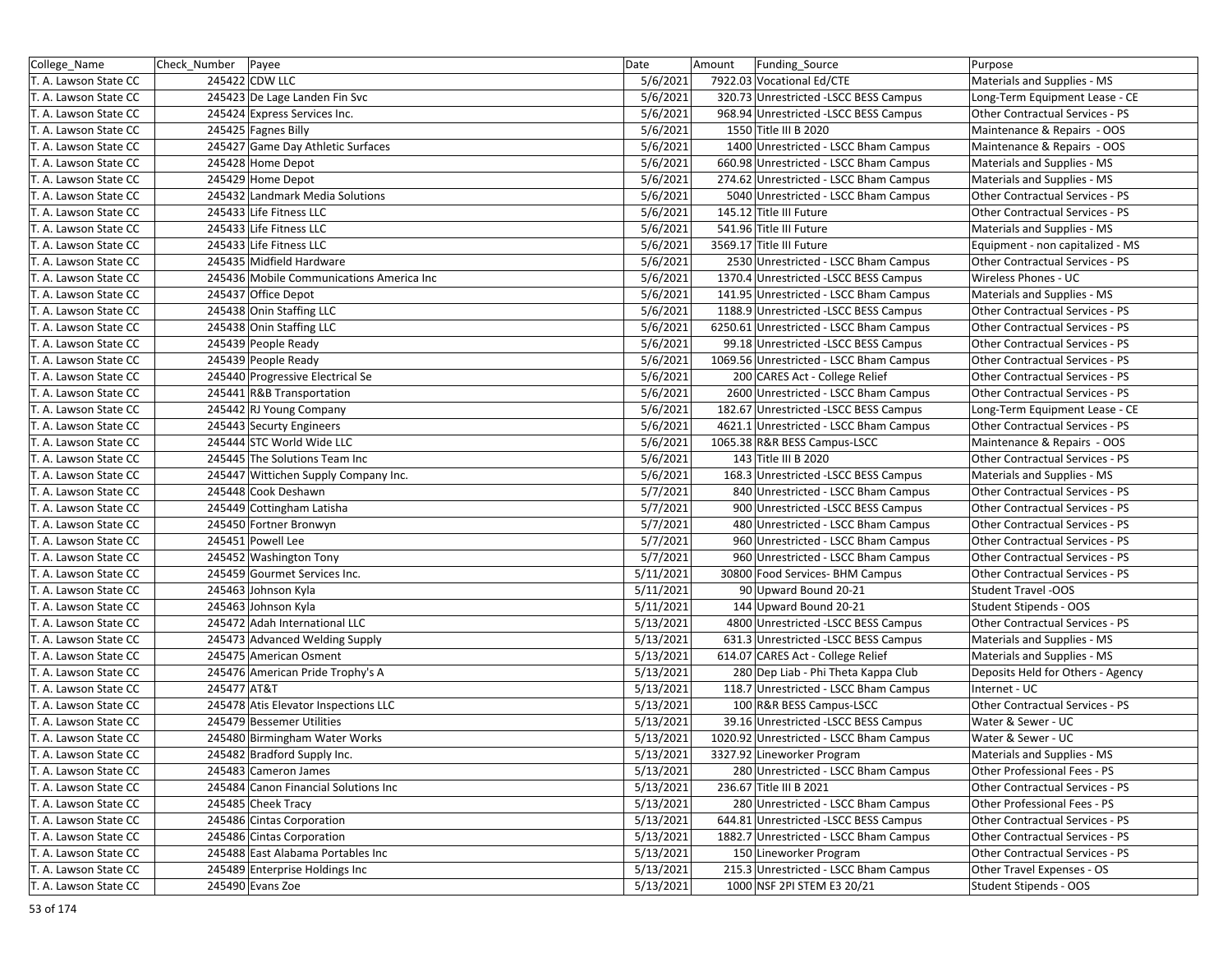| College Name          | Check_Number   Payee |                                          | Date      | Amount<br>Funding_Source                | Purpose                           |
|-----------------------|----------------------|------------------------------------------|-----------|-----------------------------------------|-----------------------------------|
| T. A. Lawson State CC |                      | 245422 CDW LLC                           | 5/6/2021  | 7922.03 Vocational Ed/CTE               | Materials and Supplies - MS       |
| T. A. Lawson State CC |                      | 245423 De Lage Landen Fin Svc            | 5/6/2021  | 320.73 Unrestricted -LSCC BESS Campus   | Long-Term Equipment Lease - CE    |
| T. A. Lawson State CC |                      | 245424 Express Services Inc.             | 5/6/2021  | 968.94 Unrestricted -LSCC BESS Campus   | Other Contractual Services - PS   |
| T. A. Lawson State CC |                      | 245425 Fagnes Billy                      | 5/6/2021  | 1550 Title III B 2020                   | Maintenance & Repairs - OOS       |
| T. A. Lawson State CC |                      | 245427 Game Day Athletic Surfaces        | 5/6/2021  | 1400 Unrestricted - LSCC Bham Campus    | Maintenance & Repairs - OOS       |
| T. A. Lawson State CC |                      | 245428 Home Depot                        | 5/6/2021  | 660.98 Unrestricted - LSCC Bham Campus  | Materials and Supplies - MS       |
| T. A. Lawson State CC |                      | 245429 Home Depot                        | 5/6/2021  | 274.62 Unrestricted - LSCC Bham Campus  | Materials and Supplies - MS       |
| T. A. Lawson State CC |                      | 245432 Landmark Media Solutions          | 5/6/2021  | 5040 Unrestricted - LSCC Bham Campus    | Other Contractual Services - PS   |
| T. A. Lawson State CC |                      | 245433 Life Fitness LLC                  | 5/6/2021  | 145.12 Title III Future                 | Other Contractual Services - PS   |
| T. A. Lawson State CC |                      | 245433 Life Fitness LLC                  | 5/6/2021  | 541.96 Title III Future                 | Materials and Supplies - MS       |
| T. A. Lawson State CC |                      | 245433 Life Fitness LLC                  | 5/6/2021  | 3569.17 Title III Future                | Equipment - non capitalized - MS  |
| T. A. Lawson State CC |                      | 245435 Midfield Hardware                 | 5/6/2021  | 2530 Unrestricted - LSCC Bham Campus    | Other Contractual Services - PS   |
| T. A. Lawson State CC |                      | 245436 Mobile Communications America Inc | 5/6/2021  | 1370.4 Unrestricted -LSCC BESS Campus   | Wireless Phones - UC              |
| T. A. Lawson State CC |                      | 245437 Office Depot                      | 5/6/2021  | 141.95 Unrestricted - LSCC Bham Campus  | Materials and Supplies - MS       |
| T. A. Lawson State CC |                      | 245438 Onin Staffing LLC                 | 5/6/2021  | 1188.9 Unrestricted -LSCC BESS Campus   | Other Contractual Services - PS   |
| T. A. Lawson State CC |                      | 245438 Onin Staffing LLC                 | 5/6/2021  | 6250.61 Unrestricted - LSCC Bham Campus | Other Contractual Services - PS   |
| T. A. Lawson State CC |                      | 245439 People Ready                      | 5/6/2021  | 99.18 Unrestricted -LSCC BESS Campus    | Other Contractual Services - PS   |
| T. A. Lawson State CC |                      | 245439 People Ready                      | 5/6/2021  | 1069.56 Unrestricted - LSCC Bham Campus | Other Contractual Services - PS   |
| T. A. Lawson State CC |                      | 245440 Progressive Electrical Se         | 5/6/2021  | 200 CARES Act - College Relief          | Other Contractual Services - PS   |
| T. A. Lawson State CC |                      | 245441 R&B Transportation                | 5/6/2021  | 2600 Unrestricted - LSCC Bham Campus    | Other Contractual Services - PS   |
| T. A. Lawson State CC |                      | 245442 RJ Young Company                  | 5/6/2021  | 182.67 Unrestricted -LSCC BESS Campus   | Long-Term Equipment Lease - CE    |
| T. A. Lawson State CC |                      | 245443 Securty Engineers                 | 5/6/2021  | 4621.1 Unrestricted - LSCC Bham Campus  | Other Contractual Services - PS   |
| T. A. Lawson State CC |                      | 245444 STC World Wide LLC                | 5/6/2021  | 1065.38 R&R BESS Campus-LSCC            | Maintenance & Repairs - OOS       |
| T. A. Lawson State CC |                      | 245445 The Solutions Team Inc            | 5/6/2021  | 143 Title III B 2020                    | Other Contractual Services - PS   |
| T. A. Lawson State CC |                      | 245447 Wittichen Supply Company Inc.     | 5/6/2021  | 168.3 Unrestricted -LSCC BESS Campus    | Materials and Supplies - MS       |
| T. A. Lawson State CC |                      | 245448 Cook Deshawn                      | 5/7/2021  | 840 Unrestricted - LSCC Bham Campus     | Other Contractual Services - PS   |
| T. A. Lawson State CC |                      | 245449 Cottingham Latisha                | 5/7/2021  | 900 Unrestricted -LSCC BESS Campus      | Other Contractual Services - PS   |
| T. A. Lawson State CC |                      | 245450 Fortner Bronwyn                   | 5/7/2021  | 480 Unrestricted - LSCC Bham Campus     | Other Contractual Services - PS   |
| T. A. Lawson State CC |                      | 245451 Powell Lee                        | 5/7/2021  | 960 Unrestricted - LSCC Bham Campus     | Other Contractual Services - PS   |
| T. A. Lawson State CC |                      | 245452 Washington Tony                   | 5/7/2021  | 960 Unrestricted - LSCC Bham Campus     | Other Contractual Services - PS   |
| T. A. Lawson State CC |                      | 245459 Gourmet Services Inc.             | 5/11/2021 | 30800 Food Services- BHM Campus         | Other Contractual Services - PS   |
| T. A. Lawson State CC |                      | 245463 Johnson Kyla                      | 5/11/2021 | 90 Upward Bound 20-21                   | <b>Student Travel -OOS</b>        |
| T. A. Lawson State CC |                      | 245463 Johnson Kyla                      | 5/11/2021 | 144 Upward Bound 20-21                  | Student Stipends - OOS            |
| T. A. Lawson State CC |                      | 245472 Adah International LLC            | 5/13/2021 | 4800 Unrestricted -LSCC BESS Campus     | Other Contractual Services - PS   |
| T. A. Lawson State CC |                      | 245473 Advanced Welding Supply           | 5/13/2021 | 631.3 Unrestricted -LSCC BESS Campus    | Materials and Supplies - MS       |
| T. A. Lawson State CC |                      | 245475 American Osment                   | 5/13/2021 | 614.07 CARES Act - College Relief       | Materials and Supplies - MS       |
| T. A. Lawson State CC |                      | 245476 American Pride Trophy's A         | 5/13/2021 | 280 Dep Liab - Phi Theta Kappa Club     | Deposits Held for Others - Agency |
| T. A. Lawson State CC | 245477 AT&T          |                                          | 5/13/2021 | 118.7 Unrestricted - LSCC Bham Campus   | Internet - UC                     |
| T. A. Lawson State CC |                      | 245478 Atis Elevator Inspections LLC     | 5/13/2021 | 100 R&R BESS Campus-LSCC                | Other Contractual Services - PS   |
| T. A. Lawson State CC |                      | 245479 Bessemer Utilities                | 5/13/2021 | 39.16 Unrestricted -LSCC BESS Campus    | Water & Sewer - UC                |
| T. A. Lawson State CC |                      | 245480 Birmingham Water Works            | 5/13/2021 | 1020.92 Unrestricted - LSCC Bham Campus | Water & Sewer - UC                |
| T. A. Lawson State CC |                      | 245482 Bradford Supply Inc.              | 5/13/2021 | 3327.92 Lineworker Program              | Materials and Supplies - MS       |
| T. A. Lawson State CC |                      | 245483 Cameron James                     | 5/13/2021 | 280 Unrestricted - LSCC Bham Campus     | Other Professional Fees - PS      |
| T. A. Lawson State CC |                      | 245484 Canon Financial Solutions Inc     | 5/13/2021 | 236.67 Title III B 2021                 | Other Contractual Services - PS   |
| T. A. Lawson State CC |                      | 245485 Cheek Tracy                       | 5/13/2021 | 280 Unrestricted - LSCC Bham Campus     | Other Professional Fees - PS      |
| T. A. Lawson State CC |                      | 245486 Cintas Corporation                | 5/13/2021 | 644.81 Unrestricted -LSCC BESS Campus   | Other Contractual Services - PS   |
| T. A. Lawson State CC |                      | 245486 Cintas Corporation                | 5/13/2021 | 1882.7 Unrestricted - LSCC Bham Campus  | Other Contractual Services - PS   |
| T. A. Lawson State CC |                      | 245488 East Alabama Portables Inc        | 5/13/2021 | 150 Lineworker Program                  | Other Contractual Services - PS   |
| T. A. Lawson State CC |                      | 245489 Enterprise Holdings Inc           | 5/13/2021 | 215.3 Unrestricted - LSCC Bham Campus   | Other Travel Expenses - OS        |
| T. A. Lawson State CC |                      | 245490 Evans Zoe                         | 5/13/2021 | 1000 NSF 2PI STEM E3 20/21              | Student Stipends - OOS            |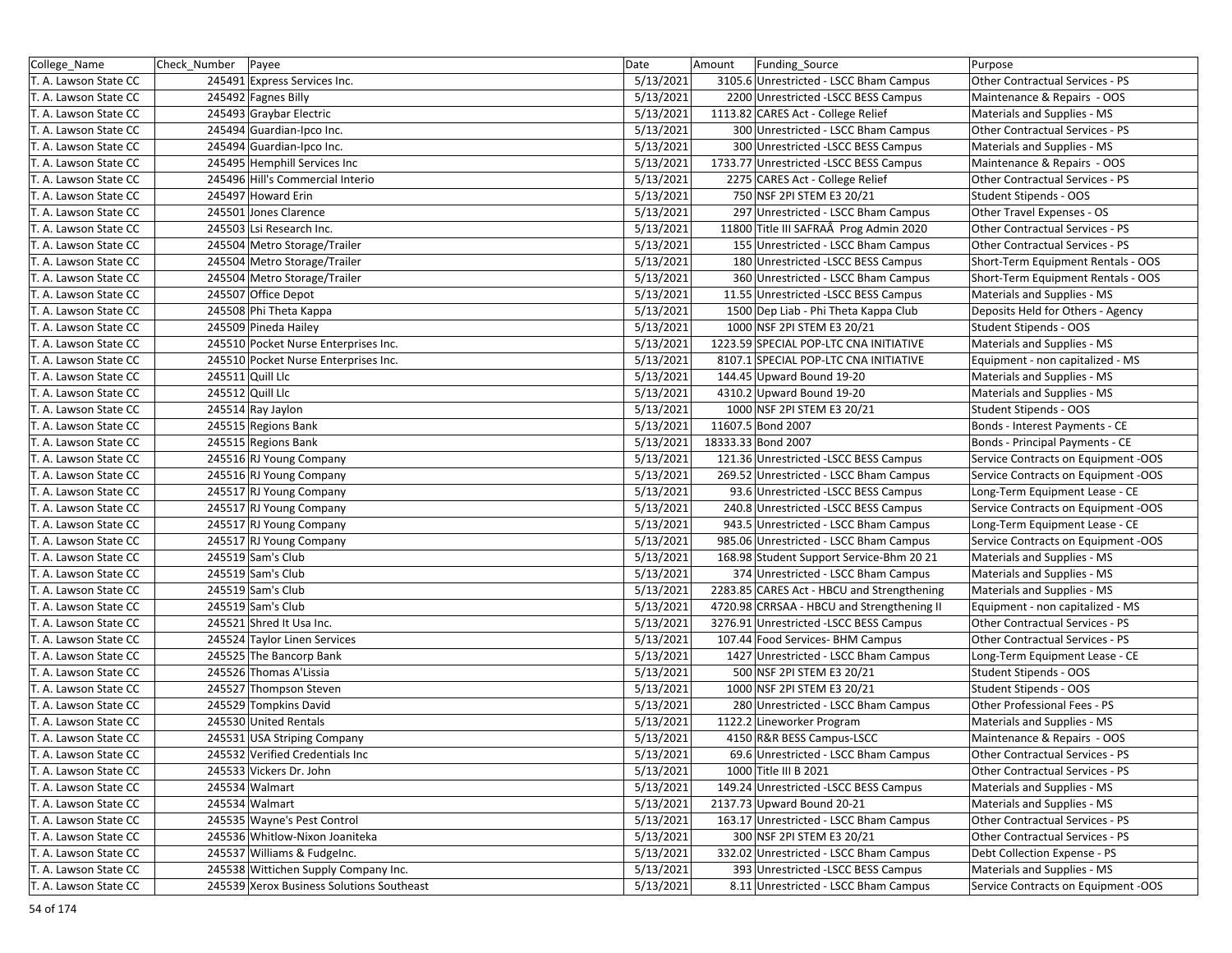| College_Name          | Check_Number   Payee |                                           | Date      | Funding_Source<br>Amount                   | Purpose                             |
|-----------------------|----------------------|-------------------------------------------|-----------|--------------------------------------------|-------------------------------------|
| T. A. Lawson State CC |                      | 245491 Express Services Inc.              | 5/13/2021 | 3105.6 Unrestricted - LSCC Bham Campus     | Other Contractual Services - PS     |
| T. A. Lawson State CC |                      | 245492 Fagnes Billy                       | 5/13/2021 | 2200 Unrestricted -LSCC BESS Campus        | Maintenance & Repairs - OOS         |
| T. A. Lawson State CC |                      | 245493 Graybar Electric                   | 5/13/2021 | 1113.82 CARES Act - College Relief         | Materials and Supplies - MS         |
| T. A. Lawson State CC |                      | 245494 Guardian-Ipco Inc.                 | 5/13/2021 | 300 Unrestricted - LSCC Bham Campus        | Other Contractual Services - PS     |
| T. A. Lawson State CC |                      | 245494 Guardian-Ipco Inc.                 | 5/13/2021 | 300 Unrestricted -LSCC BESS Campus         | Materials and Supplies - MS         |
| T. A. Lawson State CC |                      | 245495 Hemphill Services Inc              | 5/13/2021 | 1733.77 Unrestricted -LSCC BESS Campus     | Maintenance & Repairs - OOS         |
| T. A. Lawson State CC |                      | 245496 Hill's Commercial Interio          | 5/13/2021 | 2275 CARES Act - College Relief            | Other Contractual Services - PS     |
| T. A. Lawson State CC |                      | 245497 Howard Erin                        | 5/13/2021 | 750 NSF 2PI STEM E3 20/21                  | Student Stipends - OOS              |
| T. A. Lawson State CC |                      | 245501 Jones Clarence                     | 5/13/2021 | 297 Unrestricted - LSCC Bham Campus        | Other Travel Expenses - OS          |
| T. A. Lawson State CC |                      | 245503 Lsi Research Inc.                  | 5/13/2021 | 11800 Title III SAFRAÂ Prog Admin 2020     | Other Contractual Services - PS     |
| T. A. Lawson State CC |                      | 245504 Metro Storage/Trailer              | 5/13/2021 | 155 Unrestricted - LSCC Bham Campus        | Other Contractual Services - PS     |
| T. A. Lawson State CC |                      | 245504 Metro Storage/Trailer              | 5/13/2021 | 180 Unrestricted - LSCC BESS Campus        | Short-Term Equipment Rentals - OOS  |
| T. A. Lawson State CC |                      | 245504 Metro Storage/Trailer              | 5/13/2021 | 360 Unrestricted - LSCC Bham Campus        | Short-Term Equipment Rentals - OOS  |
| T. A. Lawson State CC |                      | 245507 Office Depot                       | 5/13/2021 | 11.55 Unrestricted -LSCC BESS Campus       | Materials and Supplies - MS         |
| T. A. Lawson State CC |                      | 245508 Phi Theta Kappa                    | 5/13/2021 | 1500 Dep Liab - Phi Theta Kappa Club       | Deposits Held for Others - Agency   |
| T. A. Lawson State CC |                      | 245509 Pineda Hailey                      | 5/13/2021 | 1000 NSF 2PI STEM E3 20/21                 | Student Stipends - OOS              |
| T. A. Lawson State CC |                      | 245510 Pocket Nurse Enterprises Inc.      | 5/13/2021 | 1223.59 SPECIAL POP-LTC CNA INITIATIVE     | Materials and Supplies - MS         |
| T. A. Lawson State CC |                      | 245510 Pocket Nurse Enterprises Inc.      | 5/13/2021 | 8107.1 SPECIAL POP-LTC CNA INITIATIVE      | Equipment - non capitalized - MS    |
| T. A. Lawson State CC |                      | 245511 Quill Llc                          | 5/13/2021 | 144.45 Upward Bound 19-20                  | Materials and Supplies - MS         |
| T. A. Lawson State CC |                      | 245512 Quill Llc                          | 5/13/2021 | 4310.2 Upward Bound 19-20                  | Materials and Supplies - MS         |
| T. A. Lawson State CC |                      | 245514 Ray Jaylon                         | 5/13/2021 | 1000 NSF 2PI STEM E3 20/21                 | Student Stipends - OOS              |
| T. A. Lawson State CC |                      | 245515 Regions Bank                       | 5/13/2021 | 11607.5 Bond 2007                          | Bonds - Interest Payments - CE      |
| T. A. Lawson State CC |                      | 245515 Regions Bank                       | 5/13/2021 | 18333.33 Bond 2007                         | Bonds - Principal Payments - CE     |
| T. A. Lawson State CC |                      | 245516 RJ Young Company                   | 5/13/2021 | 121.36 Unrestricted -LSCC BESS Campus      | Service Contracts on Equipment -OOS |
| T. A. Lawson State CC |                      | 245516 RJ Young Company                   | 5/13/2021 | 269.52 Unrestricted - LSCC Bham Campus     | Service Contracts on Equipment -OOS |
| T. A. Lawson State CC |                      | 245517 RJ Young Company                   | 5/13/2021 | 93.6 Unrestricted -LSCC BESS Campus        | Long-Term Equipment Lease - CE      |
| T. A. Lawson State CC |                      | 245517 RJ Young Company                   | 5/13/2021 | 240.8 Unrestricted -LSCC BESS Campus       | Service Contracts on Equipment -OOS |
| T. A. Lawson State CC |                      | 245517 RJ Young Company                   | 5/13/2021 | 943.5 Unrestricted - LSCC Bham Campus      | Long-Term Equipment Lease - CE      |
| T. A. Lawson State CC |                      | 245517 RJ Young Company                   | 5/13/2021 | 985.06 Unrestricted - LSCC Bham Campus     | Service Contracts on Equipment -OOS |
| T. A. Lawson State CC |                      | 245519 Sam's Club                         | 5/13/2021 | 168.98 Student Support Service-Bhm 20 21   | Materials and Supplies - MS         |
| T. A. Lawson State CC |                      | 245519 Sam's Club                         | 5/13/2021 | 374 Unrestricted - LSCC Bham Campus        | Materials and Supplies - MS         |
| T. A. Lawson State CC |                      | 245519 Sam's Club                         | 5/13/2021 | 2283.85 CARES Act - HBCU and Strengthening | Materials and Supplies - MS         |
| T. A. Lawson State CC |                      | 245519 Sam's Club                         | 5/13/2021 | 4720.98 CRRSAA - HBCU and Strengthening II | Equipment - non capitalized - MS    |
| T. A. Lawson State CC |                      | 245521 Shred It Usa Inc.                  | 5/13/2021 | 3276.91 Unrestricted -LSCC BESS Campus     | Other Contractual Services - PS     |
| T. A. Lawson State CC |                      | 245524 Taylor Linen Services              | 5/13/2021 | 107.44 Food Services- BHM Campus           | Other Contractual Services - PS     |
| T. A. Lawson State CC |                      | 245525 The Bancorp Bank                   | 5/13/2021 | 1427 Unrestricted - LSCC Bham Campus       | Long-Term Equipment Lease - CE      |
| T. A. Lawson State CC |                      | 245526 Thomas A'Lissia                    | 5/13/2021 | 500 NSF 2PI STEM E3 20/21                  | Student Stipends - OOS              |
| T. A. Lawson State CC |                      | 245527 Thompson Steven                    | 5/13/2021 | 1000 NSF 2PI STEM E3 20/21                 | Student Stipends - OOS              |
| T. A. Lawson State CC |                      | 245529 Tompkins David                     | 5/13/2021 | 280 Unrestricted - LSCC Bham Campus        | Other Professional Fees - PS        |
| T. A. Lawson State CC |                      | 245530 United Rentals                     | 5/13/2021 | 1122.2 Lineworker Program                  | Materials and Supplies - MS         |
| T. A. Lawson State CC |                      | 245531 USA Striping Company               | 5/13/2021 | 4150 R&R BESS Campus-LSCC                  | Maintenance & Repairs - OOS         |
| T. A. Lawson State CC |                      | 245532 Verified Credentials Inc           | 5/13/2021 | 69.6 Unrestricted - LSCC Bham Campus       | Other Contractual Services - PS     |
| T. A. Lawson State CC |                      | 245533 Vickers Dr. John                   | 5/13/2021 | 1000 Title III B 2021                      | Other Contractual Services - PS     |
| T. A. Lawson State CC |                      | 245534 Walmart                            | 5/13/2021 | 149.24 Unrestricted -LSCC BESS Campus      | Materials and Supplies - MS         |
| T. A. Lawson State CC |                      | 245534 Walmart                            | 5/13/2021 | 2137.73 Upward Bound 20-21                 | Materials and Supplies - MS         |
| T. A. Lawson State CC |                      | 245535 Wayne's Pest Control               | 5/13/2021 | 163.17 Unrestricted - LSCC Bham Campus     | Other Contractual Services - PS     |
| T. A. Lawson State CC |                      | 245536 Whitlow-Nixon Joaniteka            | 5/13/2021 | 300 NSF 2PI STEM E3 20/21                  | Other Contractual Services - PS     |
| T. A. Lawson State CC |                      | 245537 Williams & Fudgelnc.               | 5/13/2021 | 332.02 Unrestricted - LSCC Bham Campus     | Debt Collection Expense - PS        |
| T. A. Lawson State CC |                      | 245538 Wittichen Supply Company Inc.      | 5/13/2021 | 393 Unrestricted - LSCC BESS Campus        | Materials and Supplies - MS         |
| T. A. Lawson State CC |                      | 245539 Xerox Business Solutions Southeast | 5/13/2021 | 8.11 Unrestricted - LSCC Bham Campus       | Service Contracts on Equipment -OOS |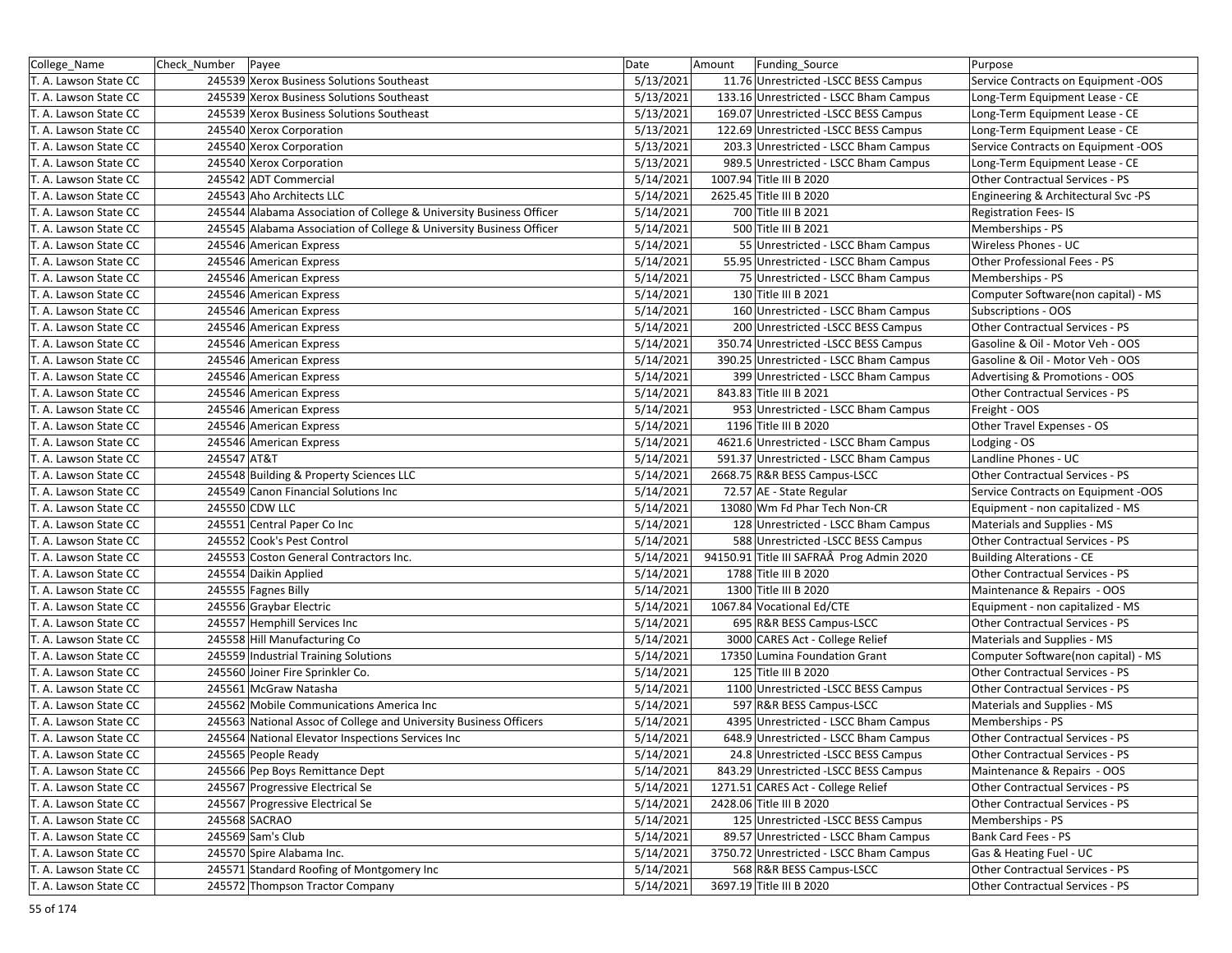| College_Name          | Check Number | Payee                                                               | Date      | Amount | Funding_Source                            | Purpose                             |
|-----------------------|--------------|---------------------------------------------------------------------|-----------|--------|-------------------------------------------|-------------------------------------|
| T. A. Lawson State CC |              | 245539 Xerox Business Solutions Southeast                           | 5/13/2021 |        | 11.76 Unrestricted -LSCC BESS Campus      | Service Contracts on Equipment -OOS |
| T. A. Lawson State CC |              | 245539 Xerox Business Solutions Southeast                           | 5/13/2021 |        | 133.16 Unrestricted - LSCC Bham Campus    | Long-Term Equipment Lease - CE      |
| T. A. Lawson State CC |              | 245539 Xerox Business Solutions Southeast                           | 5/13/2021 |        | 169.07 Unrestricted -LSCC BESS Campus     | Long-Term Equipment Lease - CE      |
| T. A. Lawson State CC |              | 245540 Xerox Corporation                                            | 5/13/2021 |        | 122.69 Unrestricted -LSCC BESS Campus     | Long-Term Equipment Lease - CE      |
| T. A. Lawson State CC |              | 245540 Xerox Corporation                                            | 5/13/2021 |        | 203.3 Unrestricted - LSCC Bham Campus     | Service Contracts on Equipment -OOS |
| T. A. Lawson State CC |              | 245540 Xerox Corporation                                            | 5/13/2021 |        | 989.5 Unrestricted - LSCC Bham Campus     | Long-Term Equipment Lease - CE      |
| T. A. Lawson State CC |              | 245542 ADT Commercial                                               | 5/14/2021 |        | 1007.94 Title III B 2020                  | Other Contractual Services - PS     |
| T. A. Lawson State CC |              | 245543 Aho Architects LLC                                           | 5/14/2021 |        | 2625.45 Title III B 2020                  | Engineering & Architectural Svc -PS |
| T. A. Lawson State CC |              | 245544 Alabama Association of College & University Business Officer | 5/14/2021 |        | 700 Title III B 2021                      | <b>Registration Fees-IS</b>         |
| T. A. Lawson State CC |              | 245545 Alabama Association of College & University Business Officer | 5/14/2021 |        | 500 Title III B 2021                      | Memberships - PS                    |
| T. A. Lawson State CC |              | 245546 American Express                                             | 5/14/2021 |        | 55 Unrestricted - LSCC Bham Campus        | Wireless Phones - UC                |
| T. A. Lawson State CC |              | 245546 American Express                                             | 5/14/2021 |        | 55.95 Unrestricted - LSCC Bham Campus     | Other Professional Fees - PS        |
| T. A. Lawson State CC |              | 245546 American Express                                             | 5/14/2021 |        | 75 Unrestricted - LSCC Bham Campus        | Memberships - PS                    |
| T. A. Lawson State CC |              | 245546 American Express                                             | 5/14/2021 |        | 130 Title III B 2021                      | Computer Software(non capital) - MS |
| T. A. Lawson State CC |              | 245546 American Express                                             | 5/14/2021 |        | 160 Unrestricted - LSCC Bham Campus       | Subscriptions - OOS                 |
| T. A. Lawson State CC |              | 245546 American Express                                             | 5/14/2021 |        | 200 Unrestricted -LSCC BESS Campus        | Other Contractual Services - PS     |
| T. A. Lawson State CC |              | 245546 American Express                                             | 5/14/2021 |        | 350.74 Unrestricted -LSCC BESS Campus     | Gasoline & Oil - Motor Veh - OOS    |
| T. A. Lawson State CC |              | 245546 American Express                                             | 5/14/2021 |        | 390.25 Unrestricted - LSCC Bham Campus    | Gasoline & Oil - Motor Veh - OOS    |
| T. A. Lawson State CC |              | 245546 American Express                                             | 5/14/2021 |        | 399 Unrestricted - LSCC Bham Campus       | Advertising & Promotions - OOS      |
| T. A. Lawson State CC |              | 245546 American Express                                             | 5/14/2021 |        | 843.83 Title III B 2021                   | Other Contractual Services - PS     |
| T. A. Lawson State CC |              | 245546 American Express                                             | 5/14/2021 |        | 953 Unrestricted - LSCC Bham Campus       | Freight - OOS                       |
| T. A. Lawson State CC |              | 245546 American Express                                             | 5/14/2021 |        | 1196 Title III B 2020                     | Other Travel Expenses - OS          |
| T. A. Lawson State CC |              | 245546 American Express                                             | 5/14/2021 |        | 4621.6 Unrestricted - LSCC Bham Campus    | Lodging - OS                        |
| T. A. Lawson State CC | 245547 AT&T  |                                                                     | 5/14/2021 |        | 591.37 Unrestricted - LSCC Bham Campus    | Landline Phones - UC                |
| T. A. Lawson State CC |              | 245548 Building & Property Sciences LLC                             | 5/14/2021 |        | 2668.75 R&R BESS Campus-LSCC              | Other Contractual Services - PS     |
| T. A. Lawson State CC |              | 245549 Canon Financial Solutions Inc                                | 5/14/2021 |        | 72.57 AE - State Regular                  | Service Contracts on Equipment -OOS |
| T. A. Lawson State CC |              | 245550 CDW LLC                                                      | 5/14/2021 |        | 13080 Wm Fd Phar Tech Non-CR              | Equipment - non capitalized - MS    |
| T. A. Lawson State CC |              | 245551 Central Paper Co Inc                                         | 5/14/2021 |        | 128 Unrestricted - LSCC Bham Campus       | Materials and Supplies - MS         |
| T. A. Lawson State CC |              | 245552 Cook's Pest Control                                          | 5/14/2021 |        | 588 Unrestricted -LSCC BESS Campus        | Other Contractual Services - PS     |
| T. A. Lawson State CC |              | 245553 Coston General Contractors Inc.                              | 5/14/2021 |        | 94150.91 Title III SAFRAÂ Prog Admin 2020 | <b>Building Alterations - CE</b>    |
| T. A. Lawson State CC |              | 245554 Daikin Applied                                               | 5/14/2021 |        | 1788 Title III B 2020                     | Other Contractual Services - PS     |
| T. A. Lawson State CC |              | 245555 Fagnes Billy                                                 | 5/14/2021 |        | 1300 Title III B 2020                     | Maintenance & Repairs - OOS         |
| T. A. Lawson State CC |              | 245556 Graybar Electric                                             | 5/14/2021 |        | 1067.84 Vocational Ed/CTE                 | Equipment - non capitalized - MS    |
| T. A. Lawson State CC |              | 245557 Hemphill Services Inc                                        | 5/14/2021 |        | 695 R&R BESS Campus-LSCC                  | Other Contractual Services - PS     |
| T. A. Lawson State CC |              | 245558 Hill Manufacturing Co                                        | 5/14/2021 |        | 3000 CARES Act - College Relief           | Materials and Supplies - MS         |
| T. A. Lawson State CC |              | 245559 Industrial Training Solutions                                | 5/14/2021 |        | 17350 Lumina Foundation Grant             | Computer Software(non capital) - MS |
| T. A. Lawson State CC |              | 245560 Joiner Fire Sprinkler Co.                                    | 5/14/2021 |        | 125 Title III B 2020                      | Other Contractual Services - PS     |
| T. A. Lawson State CC |              | 245561 McGraw Natasha                                               | 5/14/2021 |        | 1100 Unrestricted -LSCC BESS Campus       | Other Contractual Services - PS     |
| T. A. Lawson State CC |              | 245562 Mobile Communications America Inc                            | 5/14/2021 |        | 597 R&R BESS Campus-LSCC                  | Materials and Supplies - MS         |
| T. A. Lawson State CC |              | 245563 National Assoc of College and University Business Officers   | 5/14/2021 |        | 4395 Unrestricted - LSCC Bham Campus      | Memberships - PS                    |
| T. A. Lawson State CC |              | 245564 National Elevator Inspections Services Inc                   | 5/14/2021 |        | 648.9 Unrestricted - LSCC Bham Campus     | Other Contractual Services - PS     |
| T. A. Lawson State CC |              | 245565 People Ready                                                 | 5/14/2021 |        | 24.8 Unrestricted -LSCC BESS Campus       | Other Contractual Services - PS     |
| T. A. Lawson State CC |              | 245566 Pep Boys Remittance Dept                                     | 5/14/2021 |        | 843.29 Unrestricted - LSCC BESS Campus    | Maintenance & Repairs - OOS         |
| T. A. Lawson State CC |              | 245567 Progressive Electrical Se                                    | 5/14/2021 |        | 1271.51 CARES Act - College Relief        | Other Contractual Services - PS     |
| T. A. Lawson State CC |              | 245567 Progressive Electrical Se                                    | 5/14/2021 |        | 2428.06 Title III B 2020                  | Other Contractual Services - PS     |
| T. A. Lawson State CC |              | 245568 SACRAO                                                       | 5/14/2021 |        | 125 Unrestricted - LSCC BESS Campus       | Memberships - PS                    |
| T. A. Lawson State CC |              | 245569 Sam's Club                                                   | 5/14/2021 |        | 89.57 Unrestricted - LSCC Bham Campus     | Bank Card Fees - PS                 |
| T. A. Lawson State CC |              | 245570 Spire Alabama Inc.                                           | 5/14/2021 |        | 3750.72 Unrestricted - LSCC Bham Campus   | Gas & Heating Fuel - UC             |
| T. A. Lawson State CC |              | 245571 Standard Roofing of Montgomery Inc                           | 5/14/2021 |        | 568 R&R BESS Campus-LSCC                  | Other Contractual Services - PS     |
| T. A. Lawson State CC |              | 245572 Thompson Tractor Company                                     | 5/14/2021 |        | 3697.19 Title III B 2020                  | Other Contractual Services - PS     |
|                       |              |                                                                     |           |        |                                           |                                     |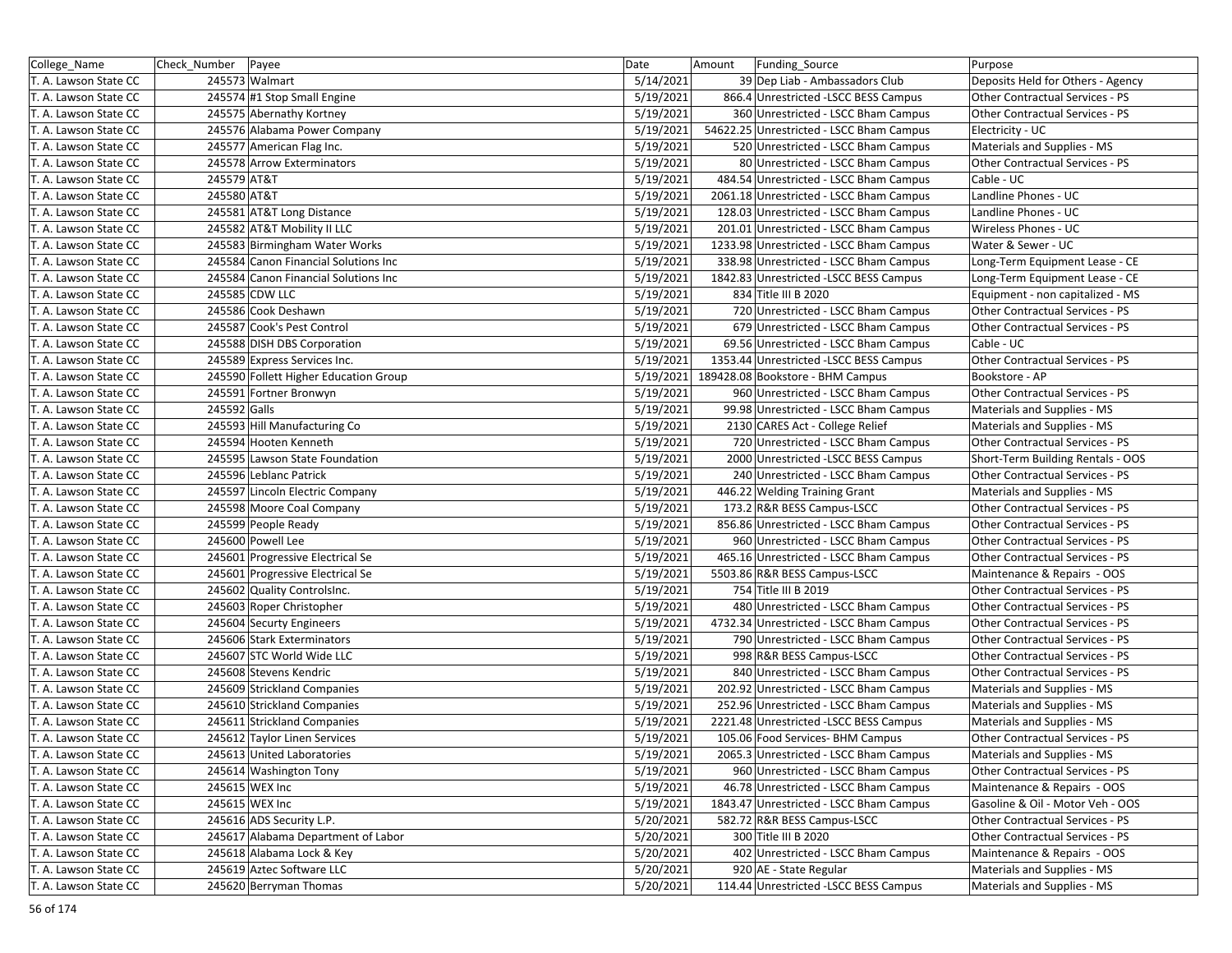| College_Name          | Check_Number Payee |                                       | Date      | Amount<br>Funding Source                 | Purpose                                |
|-----------------------|--------------------|---------------------------------------|-----------|------------------------------------------|----------------------------------------|
| T. A. Lawson State CC |                    | 245573 Walmart                        | 5/14/2021 | 39 Dep Liab - Ambassadors Club           | Deposits Held for Others - Agency      |
| T. A. Lawson State CC |                    | 245574 #1 Stop Small Engine           | 5/19/2021 | 866.4 Unrestricted -LSCC BESS Campus     | Other Contractual Services - PS        |
| T. A. Lawson State CC |                    | 245575 Abernathy Kortney              | 5/19/2021 | 360 Unrestricted - LSCC Bham Campus      | Other Contractual Services - PS        |
| T. A. Lawson State CC |                    | 245576 Alabama Power Company          | 5/19/2021 | 54622.25 Unrestricted - LSCC Bham Campus | Electricity - UC                       |
| T. A. Lawson State CC |                    | 245577 American Flag Inc.             | 5/19/2021 | 520 Unrestricted - LSCC Bham Campus      | Materials and Supplies - MS            |
| T. A. Lawson State CC |                    | 245578 Arrow Exterminators            | 5/19/2021 | 80 Unrestricted - LSCC Bham Campus       | Other Contractual Services - PS        |
| T. A. Lawson State CC | 245579 AT&T        |                                       | 5/19/2021 | 484.54 Unrestricted - LSCC Bham Campus   | Cable - UC                             |
| T. A. Lawson State CC | 245580 AT&T        |                                       | 5/19/2021 | 2061.18 Unrestricted - LSCC Bham Campus  | Landline Phones - UC                   |
| T. A. Lawson State CC |                    | 245581 AT&T Long Distance             | 5/19/2021 | 128.03 Unrestricted - LSCC Bham Campus   | Landline Phones - UC                   |
| T. A. Lawson State CC |                    | 245582 AT&T Mobility II LLC           | 5/19/2021 | 201.01 Unrestricted - LSCC Bham Campus   | Wireless Phones - UC                   |
| T. A. Lawson State CC |                    | 245583 Birmingham Water Works         | 5/19/2021 | 1233.98 Unrestricted - LSCC Bham Campus  | Water & Sewer - UC                     |
| T. A. Lawson State CC |                    | 245584 Canon Financial Solutions Inc  | 5/19/2021 | 338.98 Unrestricted - LSCC Bham Campus   | Long-Term Equipment Lease - CE         |
| T. A. Lawson State CC |                    | 245584 Canon Financial Solutions Inc  | 5/19/2021 | 1842.83 Unrestricted -LSCC BESS Campus   | Long-Term Equipment Lease - CE         |
| T. A. Lawson State CC |                    | 245585 CDW LLC                        | 5/19/2021 | 834 Title III B 2020                     | Equipment - non capitalized - MS       |
| T. A. Lawson State CC |                    | 245586 Cook Deshawn                   | 5/19/2021 | 720 Unrestricted - LSCC Bham Campus      | Other Contractual Services - PS        |
| T. A. Lawson State CC |                    | 245587 Cook's Pest Control            | 5/19/2021 | 679 Unrestricted - LSCC Bham Campus      | Other Contractual Services - PS        |
| T. A. Lawson State CC |                    | 245588 DISH DBS Corporation           | 5/19/2021 | 69.56 Unrestricted - LSCC Bham Campus    | Cable - UC                             |
| T. A. Lawson State CC |                    | 245589 Express Services Inc.          | 5/19/2021 | 1353.44 Unrestricted - LSCC BESS Campus  | Other Contractual Services - PS        |
| T. A. Lawson State CC |                    | 245590 Follett Higher Education Group | 5/19/2021 | 189428.08 Bookstore - BHM Campus         | Bookstore - AP                         |
| T. A. Lawson State CC |                    | 245591 Fortner Bronwyn                | 5/19/2021 | 960 Unrestricted - LSCC Bham Campus      | Other Contractual Services - PS        |
| T. A. Lawson State CC | 245592 Galls       |                                       | 5/19/2021 | 99.98 Unrestricted - LSCC Bham Campus    | Materials and Supplies - MS            |
| T. A. Lawson State CC |                    | 245593 Hill Manufacturing Co          | 5/19/2021 | 2130 CARES Act - College Relief          | Materials and Supplies - MS            |
| T. A. Lawson State CC |                    | 245594 Hooten Kenneth                 | 5/19/2021 | 720 Unrestricted - LSCC Bham Campus      | Other Contractual Services - PS        |
| T. A. Lawson State CC |                    | 245595 Lawson State Foundation        | 5/19/2021 | 2000 Unrestricted -LSCC BESS Campus      | Short-Term Building Rentals - OOS      |
| T. A. Lawson State CC |                    | 245596 Leblanc Patrick                | 5/19/2021 | 240 Unrestricted - LSCC Bham Campus      | Other Contractual Services - PS        |
| T. A. Lawson State CC |                    | 245597 Lincoln Electric Company       | 5/19/2021 | 446.22 Welding Training Grant            | Materials and Supplies - MS            |
| T. A. Lawson State CC |                    | 245598 Moore Coal Company             | 5/19/2021 | 173.2 R&R BESS Campus-LSCC               | Other Contractual Services - PS        |
| T. A. Lawson State CC |                    | 245599 People Ready                   | 5/19/2021 | 856.86 Unrestricted - LSCC Bham Campus   | Other Contractual Services - PS        |
| T. A. Lawson State CC |                    | 245600 Powell Lee                     | 5/19/2021 | 960 Unrestricted - LSCC Bham Campus      | Other Contractual Services - PS        |
| T. A. Lawson State CC |                    | 245601 Progressive Electrical Se      | 5/19/2021 | 465.16 Unrestricted - LSCC Bham Campus   | Other Contractual Services - PS        |
| T. A. Lawson State CC |                    | 245601 Progressive Electrical Se      | 5/19/2021 | 5503.86 R&R BESS Campus-LSCC             | Maintenance & Repairs - OOS            |
| T. A. Lawson State CC |                    | 245602 Quality ControlsInc.           | 5/19/2021 | 754 Title III B 2019                     | Other Contractual Services - PS        |
| T. A. Lawson State CC |                    | 245603 Roper Christopher              | 5/19/2021 | 480 Unrestricted - LSCC Bham Campus      | Other Contractual Services - PS        |
| T. A. Lawson State CC |                    | 245604 Securty Engineers              | 5/19/2021 | 4732.34 Unrestricted - LSCC Bham Campus  | Other Contractual Services - PS        |
| T. A. Lawson State CC |                    | 245606 Stark Exterminators            | 5/19/2021 | 790 Unrestricted - LSCC Bham Campus      | Other Contractual Services - PS        |
| T. A. Lawson State CC |                    | 245607 STC World Wide LLC             | 5/19/2021 | 998 R&R BESS Campus-LSCC                 | <b>Other Contractual Services - PS</b> |
| T. A. Lawson State CC |                    | 245608 Stevens Kendric                | 5/19/2021 | 840 Unrestricted - LSCC Bham Campus      | Other Contractual Services - PS        |
| T. A. Lawson State CC |                    | 245609 Strickland Companies           | 5/19/2021 | 202.92 Unrestricted - LSCC Bham Campus   | Materials and Supplies - MS            |
| T. A. Lawson State CC |                    | 245610 Strickland Companies           | 5/19/2021 | 252.96 Unrestricted - LSCC Bham Campus   | Materials and Supplies - MS            |
| T. A. Lawson State CC |                    | 245611 Strickland Companies           | 5/19/2021 | 2221.48 Unrestricted -LSCC BESS Campus   | Materials and Supplies - MS            |
| T. A. Lawson State CC |                    | 245612 Taylor Linen Services          | 5/19/2021 | 105.06 Food Services- BHM Campus         | Other Contractual Services - PS        |
| T. A. Lawson State CC |                    | 245613 United Laboratories            | 5/19/2021 | 2065.3 Unrestricted - LSCC Bham Campus   | Materials and Supplies - MS            |
| T. A. Lawson State CC |                    | 245614 Washington Tony                | 5/19/2021 | 960 Unrestricted - LSCC Bham Campus      | Other Contractual Services - PS        |
| T. A. Lawson State CC |                    | 245615 WEX Inc                        | 5/19/2021 | 46.78 Unrestricted - LSCC Bham Campus    | Maintenance & Repairs - OOS            |
| T. A. Lawson State CC |                    | 245615 WEX Inc                        | 5/19/2021 | 1843.47 Unrestricted - LSCC Bham Campus  | Gasoline & Oil - Motor Veh - OOS       |
| T. A. Lawson State CC |                    | 245616 ADS Security L.P.              | 5/20/2021 | 582.72 R&R BESS Campus-LSCC              | Other Contractual Services - PS        |
| T. A. Lawson State CC |                    | 245617 Alabama Department of Labor    | 5/20/2021 | 300 Title III B 2020                     | Other Contractual Services - PS        |
| T. A. Lawson State CC |                    | 245618 Alabama Lock & Key             | 5/20/2021 | 402 Unrestricted - LSCC Bham Campus      | Maintenance & Repairs - OOS            |
| T. A. Lawson State CC |                    | 245619 Aztec Software LLC             | 5/20/2021 | 920 AE - State Regular                   | Materials and Supplies - MS            |
| T. A. Lawson State CC |                    | 245620 Berryman Thomas                | 5/20/2021 | 114.44 Unrestricted -LSCC BESS Campus    | Materials and Supplies - MS            |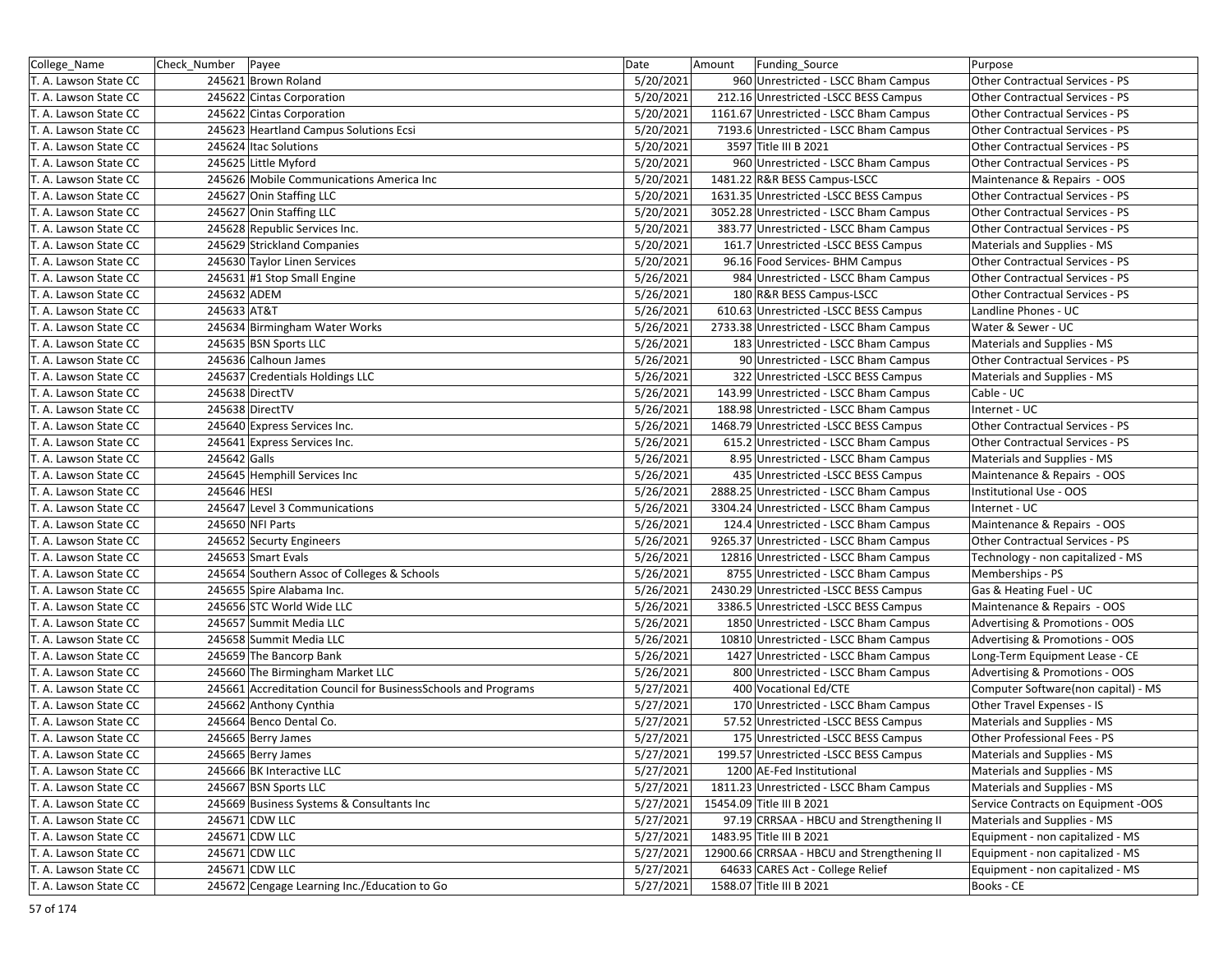| Date<br>College_Name<br>Check_Number   Payee<br>Amount<br>Funding_Source                                                     | Purpose                             |
|------------------------------------------------------------------------------------------------------------------------------|-------------------------------------|
| 5/20/2021<br>T. A. Lawson State CC<br>245621 Brown Roland<br>960 Unrestricted - LSCC Bham Campus                             | Other Contractual Services - PS     |
| 5/20/2021<br>212.16 Unrestricted -LSCC BESS Campus<br>T. A. Lawson State CC<br>245622 Cintas Corporation                     | Other Contractual Services - PS     |
| 245622 Cintas Corporation<br>5/20/2021<br>1161.67 Unrestricted - LSCC Bham Campus<br>T. A. Lawson State CC                   | Other Contractual Services - PS     |
| 5/20/2021<br>245623 Heartland Campus Solutions Ecsi<br>7193.6 Unrestricted - LSCC Bham Campus<br>T. A. Lawson State CC       | Other Contractual Services - PS     |
| 5/20/2021<br>3597 Title III B 2021<br>245624 Itac Solutions<br>T. A. Lawson State CC                                         | Other Contractual Services - PS     |
| 5/20/2021<br>245625 Little Myford<br>960 Unrestricted - LSCC Bham Campus<br>T. A. Lawson State CC                            | Other Contractual Services - PS     |
| 5/20/2021<br>1481.22 R&R BESS Campus-LSCC<br>T. A. Lawson State CC<br>245626 Mobile Communications America Inc               | Maintenance & Repairs - OOS         |
| 5/20/2021<br>1631.35 Unrestricted -LSCC BESS Campus<br>245627 Onin Staffing LLC<br>T. A. Lawson State CC                     | Other Contractual Services - PS     |
| 5/20/2021<br>245627 Onin Staffing LLC<br>3052.28 Unrestricted - LSCC Bham Campus<br>T. A. Lawson State CC                    | Other Contractual Services - PS     |
| 5/20/2021<br>245628 Republic Services Inc.<br>383.77 Unrestricted - LSCC Bham Campus<br>T. A. Lawson State CC                | Other Contractual Services - PS     |
| T. A. Lawson State CC<br>245629 Strickland Companies<br>5/20/2021<br>161.7 Unrestricted -LSCC BESS Campus                    | Materials and Supplies - MS         |
| T. A. Lawson State CC<br>245630 Taylor Linen Services<br>5/20/2021<br>96.16 Food Services- BHM Campus                        | Other Contractual Services - PS     |
| 245631 #1 Stop Small Engine<br>5/26/2021<br>984 Unrestricted - LSCC Bham Campus<br>T. A. Lawson State CC                     | Other Contractual Services - PS     |
| 5/26/2021<br>245632 ADEM<br>180 R&R BESS Campus-LSCC<br>T. A. Lawson State CC                                                | Other Contractual Services - PS     |
| 245633 AT&T<br>5/26/2021<br>T. A. Lawson State CC<br>610.63 Unrestricted -LSCC BESS Campus                                   | Landline Phones - UC                |
| 2733.38 Unrestricted - LSCC Bham Campus<br>T. A. Lawson State CC<br>245634 Birmingham Water Works<br>5/26/2021               | Water & Sewer - UC                  |
| 245635 BSN Sports LLC<br>5/26/2021<br>T. A. Lawson State CC<br>183 Unrestricted - LSCC Bham Campus                           | Materials and Supplies - MS         |
| 245636 Calhoun James<br>5/26/2021<br>90 Unrestricted - LSCC Bham Campus<br>T. A. Lawson State CC                             | Other Contractual Services - PS     |
| 5/26/2021<br>T. A. Lawson State CC<br>245637 Credentials Holdings LLC<br>322 Unrestricted -LSCC BESS Campus                  | Materials and Supplies - MS         |
| T. A. Lawson State CC<br>245638 DirectTV<br>5/26/2021<br>143.99 Unrestricted - LSCC Bham Campus                              | Cable - UC                          |
| 245638 DirectTV<br>5/26/2021<br>188.98 Unrestricted - LSCC Bham Campus<br>T. A. Lawson State CC                              | Internet - UC                       |
| 5/26/2021<br>245640 Express Services Inc.<br>1468.79 Unrestricted -LSCC BESS Campus<br>T. A. Lawson State CC                 | Other Contractual Services - PS     |
| 5/26/2021<br>245641 Express Services Inc.<br>615.2 Unrestricted - LSCC Bham Campus<br>T. A. Lawson State CC                  | Other Contractual Services - PS     |
| 245642 Galls<br>T. A. Lawson State CC<br>5/26/2021<br>8.95 Unrestricted - LSCC Bham Campus                                   | Materials and Supplies - MS         |
| 245645 Hemphill Services Inc<br>5/26/2021<br>435 Unrestricted - LSCC BESS Campus<br>T. A. Lawson State CC                    | Maintenance & Repairs - OOS         |
| 245646 HESI<br>5/26/2021<br>2888.25 Unrestricted - LSCC Bham Campus<br>T. A. Lawson State CC                                 | Institutional Use - OOS             |
| 245647 Level 3 Communications<br>5/26/2021<br>T. A. Lawson State CC<br>3304.24 Unrestricted - LSCC Bham Campus               | Internet - UC                       |
| 245650 NFI Parts<br>5/26/2021<br>124.4 Unrestricted - LSCC Bham Campus<br>T. A. Lawson State CC                              | Maintenance & Repairs - OOS         |
| 5/26/2021<br>245652 Securty Engineers<br>9265.37 Unrestricted - LSCC Bham Campus<br>T. A. Lawson State CC                    | Other Contractual Services - PS     |
| 245653 Smart Evals<br>5/26/2021<br>12816 Unrestricted - LSCC Bham Campus<br>T. A. Lawson State CC                            | Technology - non capitalized - MS   |
| 5/26/2021<br>245654 Southern Assoc of Colleges & Schools<br>8755 Unrestricted - LSCC Bham Campus<br>T. A. Lawson State CC    | Memberships - PS                    |
| 5/26/2021<br>T. A. Lawson State CC<br>245655 Spire Alabama Inc.<br>2430.29 Unrestricted -LSCC BESS Campus                    | Gas & Heating Fuel - UC             |
| 245656 STC World Wide LLC<br>5/26/2021<br>3386.5 Unrestricted -LSCC BESS Campus<br>T. A. Lawson State CC                     | Maintenance & Repairs - OOS         |
| 5/26/2021<br>245657 Summit Media LLC<br>1850 Unrestricted - LSCC Bham Campus<br>T. A. Lawson State CC                        | Advertising & Promotions - OOS      |
| 5/26/2021<br>245658 Summit Media LLC<br>10810 Unrestricted - LSCC Bham Campus<br>T. A. Lawson State CC                       | Advertising & Promotions - OOS      |
| T. A. Lawson State CC<br>245659 The Bancorp Bank<br>5/26/2021<br>1427 Unrestricted - LSCC Bham Campus                        | Long-Term Equipment Lease - CE      |
| 245660 The Birmingham Market LLC<br>5/26/2021<br>800 Unrestricted - LSCC Bham Campus<br>T. A. Lawson State CC                | Advertising & Promotions - OOS      |
| 245661 Accreditation Council for BusinessSchools and Programs<br>5/27/2021<br>400 Vocational Ed/CTE<br>T. A. Lawson State CC | Computer Software(non capital) - MS |
| 5/27/2021<br>245662 Anthony Cynthia<br>170 Unrestricted - LSCC Bham Campus<br>T. A. Lawson State CC                          | Other Travel Expenses - IS          |
| 245664 Benco Dental Co.<br>5/27/2021<br>T. A. Lawson State CC<br>57.52 Unrestricted -LSCC BESS Campus                        | Materials and Supplies - MS         |
| 245665 Berry James<br>T. A. Lawson State CC<br>5/27/2021<br>175 Unrestricted - LSCC BESS Campus                              | Other Professional Fees - PS        |
| 245665 Berry James<br>T. A. Lawson State CC<br>5/27/2021<br>199.57 Unrestricted -LSCC BESS Campus                            | Materials and Supplies - MS         |
| 5/27/2021<br>T. A. Lawson State CC<br>245666 BK Interactive LLC<br>1200 AE-Fed Institutional                                 | Materials and Supplies - MS         |
| T. A. Lawson State CC<br>245667 BSN Sports LLC<br>5/27/2021<br>1811.23 Unrestricted - LSCC Bham Campus                       | Materials and Supplies - MS         |
| T. A. Lawson State CC<br>245669 Business Systems & Consultants Inc<br>5/27/2021<br>15454.09 Title III B 2021                 | Service Contracts on Equipment -OOS |
| 245671 CDW LLC<br>5/27/2021<br>97.19 CRRSAA - HBCU and Strengthening II<br>T. A. Lawson State CC                             | Materials and Supplies - MS         |
| 245671 CDW LLC<br>5/27/2021<br>1483.95 Title III B 2021<br>T. A. Lawson State CC                                             | Equipment - non capitalized - MS    |
| 245671 CDW LLC<br>5/27/2021<br>12900.66 CRRSAA - HBCU and Strengthening II<br>T. A. Lawson State CC                          | Equipment - non capitalized - MS    |
| 5/27/2021<br>T. A. Lawson State CC<br>245671 CDW LLC<br>64633 CARES Act - College Relief                                     | Equipment - non capitalized - MS    |
| T. A. Lawson State CC<br>245672 Cengage Learning Inc./Education to Go<br>5/27/2021<br>1588.07 Title III B 2021               | Books - CE                          |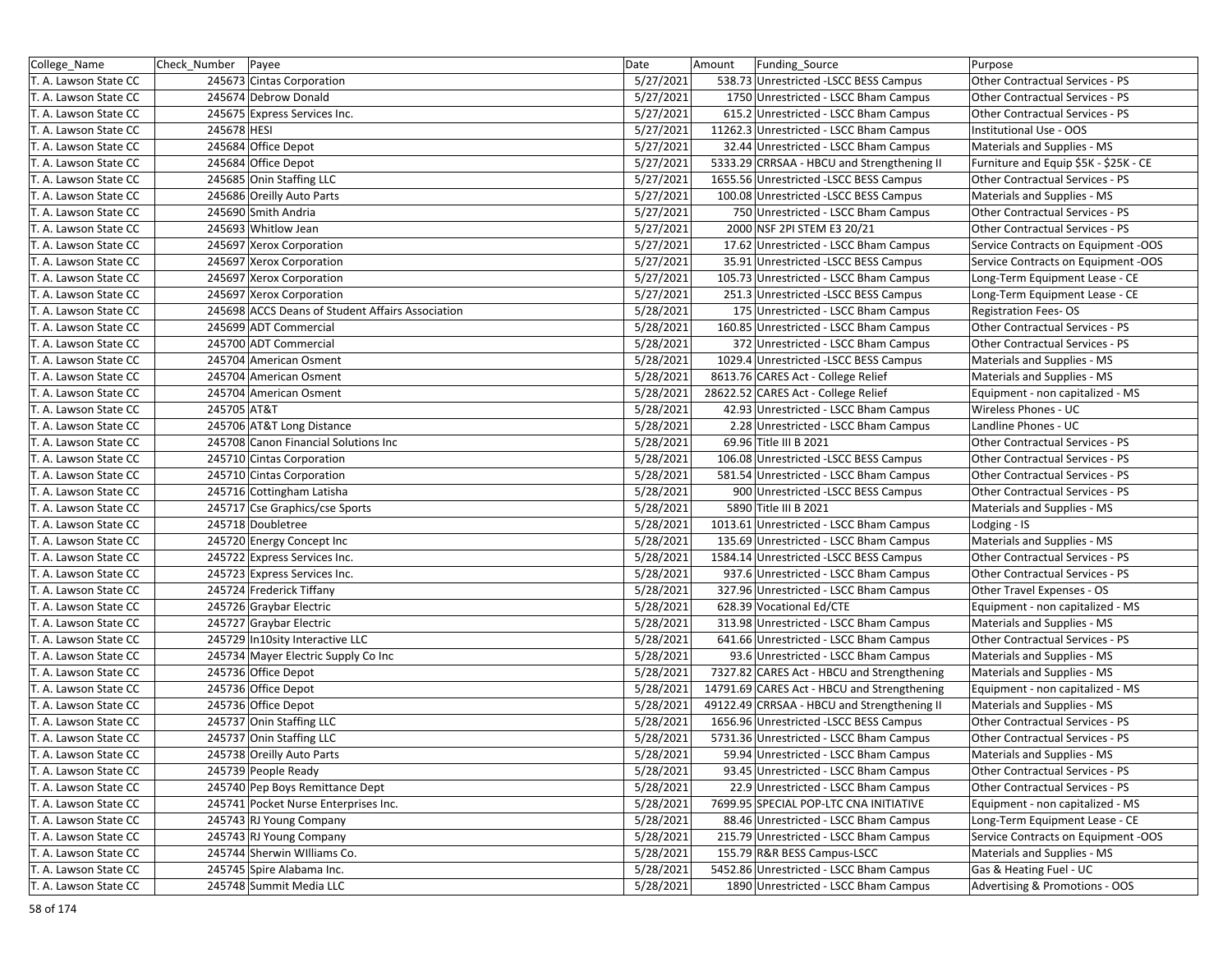| College Name          | Check Number | Payee                                            | Date      | Amount<br><b>Funding Source</b>             | Purpose                               |
|-----------------------|--------------|--------------------------------------------------|-----------|---------------------------------------------|---------------------------------------|
| T. A. Lawson State CC |              | 245673 Cintas Corporation                        | 5/27/2021 | 538.73 Unrestricted -LSCC BESS Campus       | Other Contractual Services - PS       |
| T. A. Lawson State CC |              | 245674 Debrow Donald                             | 5/27/2021 | 1750 Unrestricted - LSCC Bham Campus        | Other Contractual Services - PS       |
| T. A. Lawson State CC |              | 245675 Express Services Inc.                     | 5/27/2021 | 615.2 Unrestricted - LSCC Bham Campus       | Other Contractual Services - PS       |
| T. A. Lawson State CC | 245678 HESI  |                                                  | 5/27/2021 | 11262.3 Unrestricted - LSCC Bham Campus     | Institutional Use - OOS               |
| T. A. Lawson State CC |              | 245684 Office Depot                              | 5/27/2021 | 32.44 Unrestricted - LSCC Bham Campus       | Materials and Supplies - MS           |
| T. A. Lawson State CC |              | 245684 Office Depot                              | 5/27/2021 | 5333.29 CRRSAA - HBCU and Strengthening II  | Furniture and Equip \$5K - \$25K - CE |
| T. A. Lawson State CC |              | 245685 Onin Staffing LLC                         | 5/27/2021 | 1655.56 Unrestricted -LSCC BESS Campus      | Other Contractual Services - PS       |
| T. A. Lawson State CC |              | 245686 Oreilly Auto Parts                        | 5/27/2021 | 100.08 Unrestricted -LSCC BESS Campus       | Materials and Supplies - MS           |
| T. A. Lawson State CC |              | 245690 Smith Andria                              | 5/27/2021 | 750 Unrestricted - LSCC Bham Campus         | Other Contractual Services - PS       |
| T. A. Lawson State CC |              | 245693 Whitlow Jean                              | 5/27/2021 | 2000 NSF 2PI STEM E3 20/21                  | Other Contractual Services - PS       |
| T. A. Lawson State CC |              | 245697 Xerox Corporation                         | 5/27/2021 | 17.62 Unrestricted - LSCC Bham Campus       | Service Contracts on Equipment -OOS   |
| T. A. Lawson State CC |              | 245697 Xerox Corporation                         | 5/27/2021 | 35.91 Unrestricted -LSCC BESS Campus        | Service Contracts on Equipment -OOS   |
| T. A. Lawson State CC |              | 245697 Xerox Corporation                         | 5/27/2021 | 105.73 Unrestricted - LSCC Bham Campus      | Long-Term Equipment Lease - CE        |
| T. A. Lawson State CC |              | 245697 Xerox Corporation                         | 5/27/2021 | 251.3 Unrestricted -LSCC BESS Campus        | Long-Term Equipment Lease - CE        |
| T. A. Lawson State CC |              | 245698 ACCS Deans of Student Affairs Association | 5/28/2021 | 175 Unrestricted - LSCC Bham Campus         | <b>Registration Fees-OS</b>           |
| T. A. Lawson State CC |              | 245699 ADT Commercial                            | 5/28/2021 | 160.85 Unrestricted - LSCC Bham Campus      | Other Contractual Services - PS       |
| T. A. Lawson State CC |              | 245700 ADT Commercial                            | 5/28/2021 | 372 Unrestricted - LSCC Bham Campus         | Other Contractual Services - PS       |
| T. A. Lawson State CC |              | 245704 American Osment                           | 5/28/2021 | 1029.4 Unrestricted -LSCC BESS Campus       | Materials and Supplies - MS           |
| T. A. Lawson State CC |              | 245704 American Osment                           | 5/28/2021 | 8613.76 CARES Act - College Relief          | Materials and Supplies - MS           |
| T. A. Lawson State CC |              | 245704 American Osment                           | 5/28/2021 | 28622.52 CARES Act - College Relief         | Equipment - non capitalized - MS      |
| T. A. Lawson State CC | 245705 AT&T  |                                                  | 5/28/2021 | 42.93 Unrestricted - LSCC Bham Campus       | Wireless Phones - UC                  |
| T. A. Lawson State CC |              | 245706 AT&T Long Distance                        | 5/28/2021 | 2.28 Unrestricted - LSCC Bham Campus        | Landline Phones - UC                  |
| T. A. Lawson State CC |              | 245708 Canon Financial Solutions Inc             | 5/28/2021 | 69.96 Title III B 2021                      | Other Contractual Services - PS       |
| T. A. Lawson State CC |              | 245710 Cintas Corporation                        | 5/28/2021 | 106.08 Unrestricted -LSCC BESS Campus       | Other Contractual Services - PS       |
| T. A. Lawson State CC |              | 245710 Cintas Corporation                        | 5/28/2021 | 581.54 Unrestricted - LSCC Bham Campus      | Other Contractual Services - PS       |
| T. A. Lawson State CC |              | 245716 Cottingham Latisha                        | 5/28/2021 | 900 Unrestricted -LSCC BESS Campus          | Other Contractual Services - PS       |
| T. A. Lawson State CC |              | 245717 Cse Graphics/cse Sports                   | 5/28/2021 | 5890 Title III B 2021                       | Materials and Supplies - MS           |
| T. A. Lawson State CC |              | 245718 Doubletree                                | 5/28/2021 | 1013.61 Unrestricted - LSCC Bham Campus     | Lodging - IS                          |
| T. A. Lawson State CC |              | 245720 Energy Concept Inc                        | 5/28/2021 | 135.69 Unrestricted - LSCC Bham Campus      | Materials and Supplies - MS           |
| T. A. Lawson State CC |              | 245722 Express Services Inc.                     | 5/28/2021 | 1584.14 Unrestricted -LSCC BESS Campus      | Other Contractual Services - PS       |
| T. A. Lawson State CC |              | 245723 Express Services Inc.                     | 5/28/2021 | 937.6 Unrestricted - LSCC Bham Campus       | Other Contractual Services - PS       |
| T. A. Lawson State CC |              | 245724 Frederick Tiffany                         | 5/28/2021 | 327.96 Unrestricted - LSCC Bham Campus      | Other Travel Expenses - OS            |
| T. A. Lawson State CC |              | 245726 Graybar Electric                          | 5/28/2021 | 628.39 Vocational Ed/CTE                    | Equipment - non capitalized - MS      |
| T. A. Lawson State CC |              | 245727 Graybar Electric                          | 5/28/2021 | 313.98 Unrestricted - LSCC Bham Campus      | Materials and Supplies - MS           |
| T. A. Lawson State CC |              | 245729 In10sity Interactive LLC                  | 5/28/2021 | 641.66 Unrestricted - LSCC Bham Campus      | Other Contractual Services - PS       |
| T. A. Lawson State CC |              | 245734 Mayer Electric Supply Co Inc              | 5/28/2021 | 93.6 Unrestricted - LSCC Bham Campus        | Materials and Supplies - MS           |
| T. A. Lawson State CC |              | 245736 Office Depot                              | 5/28/2021 | 7327.82 CARES Act - HBCU and Strengthening  | Materials and Supplies - MS           |
| T. A. Lawson State CC |              | 245736 Office Depot                              | 5/28/2021 | 14791.69 CARES Act - HBCU and Strengthening | Equipment - non capitalized - MS      |
| T. A. Lawson State CC |              | 245736 Office Depot                              | 5/28/2021 | 49122.49 CRRSAA - HBCU and Strengthening II | Materials and Supplies - MS           |
| T. A. Lawson State CC |              | 245737 Onin Staffing LLC                         | 5/28/2021 | 1656.96 Unrestricted - LSCC BESS Campus     | Other Contractual Services - PS       |
| T. A. Lawson State CC |              | 245737 Onin Staffing LLC                         | 5/28/2021 | 5731.36 Unrestricted - LSCC Bham Campus     | Other Contractual Services - PS       |
| T. A. Lawson State CC |              | 245738 Oreilly Auto Parts                        | 5/28/2021 | 59.94 Unrestricted - LSCC Bham Campus       | Materials and Supplies - MS           |
| T. A. Lawson State CC |              | 245739 People Ready                              | 5/28/2021 | 93.45 Unrestricted - LSCC Bham Campus       | Other Contractual Services - PS       |
| T. A. Lawson State CC |              | 245740 Pep Boys Remittance Dept                  | 5/28/2021 | 22.9 Unrestricted - LSCC Bham Campus        | Other Contractual Services - PS       |
| T. A. Lawson State CC |              | 245741 Pocket Nurse Enterprises Inc.             | 5/28/2021 | 7699.95 SPECIAL POP-LTC CNA INITIATIVE      | Equipment - non capitalized - MS      |
| T. A. Lawson State CC |              | 245743 RJ Young Company                          | 5/28/2021 | 88.46 Unrestricted - LSCC Bham Campus       | Long-Term Equipment Lease - CE        |
| T. A. Lawson State CC |              | 245743 RJ Young Company                          | 5/28/2021 | 215.79 Unrestricted - LSCC Bham Campus      | Service Contracts on Equipment -OOS   |
| T. A. Lawson State CC |              | 245744 Sherwin Williams Co.                      | 5/28/2021 | 155.79 R&R BESS Campus-LSCC                 | Materials and Supplies - MS           |
| T. A. Lawson State CC |              | 245745 Spire Alabama Inc.                        | 5/28/2021 | 5452.86 Unrestricted - LSCC Bham Campus     | Gas & Heating Fuel - UC               |
| T. A. Lawson State CC |              | 245748 Summit Media LLC                          | 5/28/2021 | 1890 Unrestricted - LSCC Bham Campus        | Advertising & Promotions - OOS        |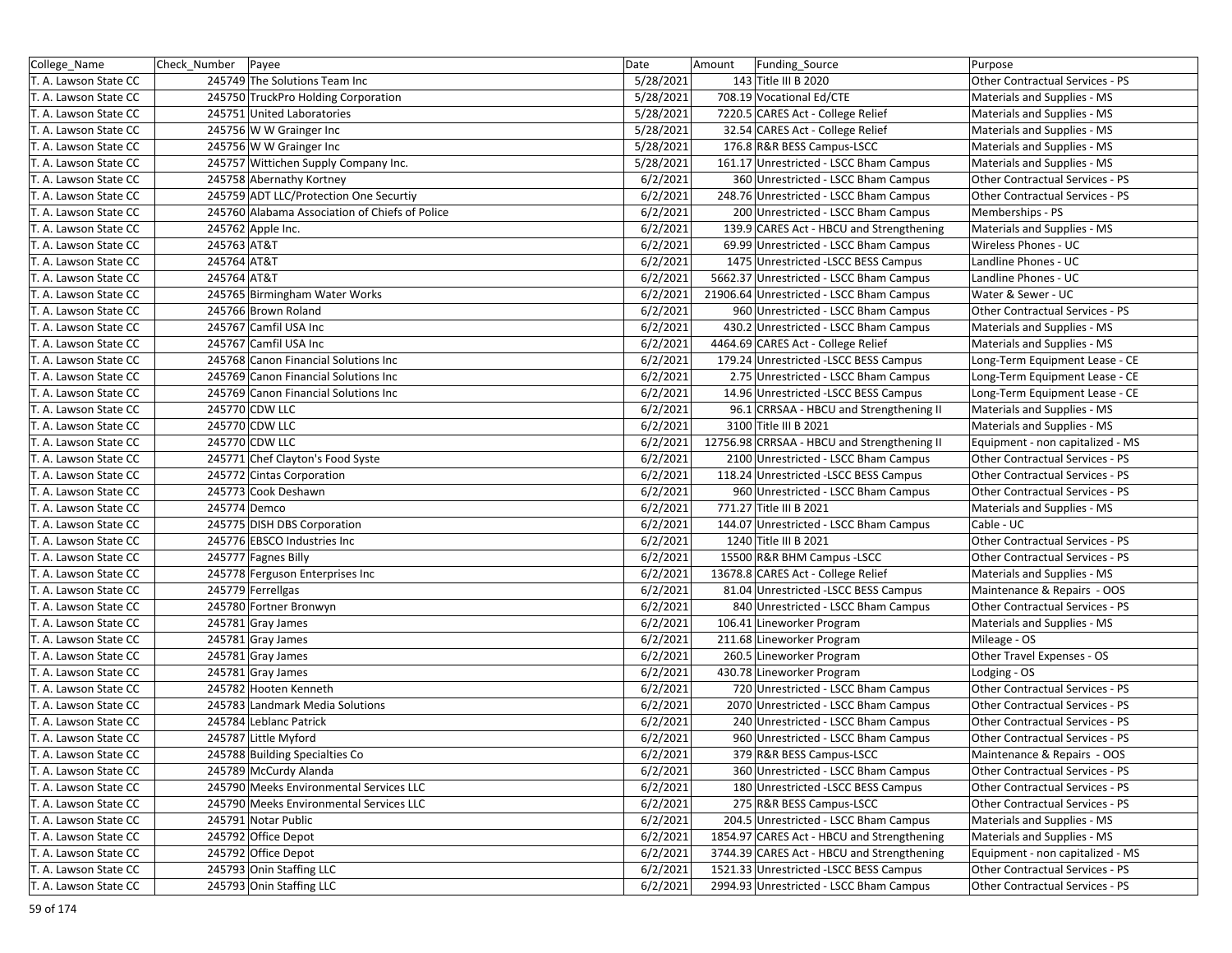| College_Name          | Check_Number   Payee |                                                | Date      | Amount | Funding_Source                              | Purpose                                   |
|-----------------------|----------------------|------------------------------------------------|-----------|--------|---------------------------------------------|-------------------------------------------|
| T. A. Lawson State CC |                      | 245749 The Solutions Team Inc                  | 5/28/2021 |        | 143 Title III B 2020                        | Other Contractual Services - PS           |
| T. A. Lawson State CC |                      | 245750 TruckPro Holding Corporation            | 5/28/2021 |        | 708.19 Vocational Ed/CTE                    | Materials and Supplies - MS               |
| T. A. Lawson State CC |                      | 245751 United Laboratories                     | 5/28/2021 |        | 7220.5 CARES Act - College Relief           | Materials and Supplies - MS               |
| T. A. Lawson State CC |                      | 245756 W W Grainger Inc                        | 5/28/2021 |        | 32.54 CARES Act - College Relief            | Materials and Supplies - MS               |
| T. A. Lawson State CC |                      | 245756 W W Grainger Inc                        | 5/28/2021 |        | 176.8 R&R BESS Campus-LSCC                  | Materials and Supplies - MS               |
| T. A. Lawson State CC |                      | 245757 Wittichen Supply Company Inc.           | 5/28/2021 |        | 161.17 Unrestricted - LSCC Bham Campus      | Materials and Supplies - MS               |
| T. A. Lawson State CC |                      | 245758 Abernathy Kortney                       | 6/2/2021  |        | 360 Unrestricted - LSCC Bham Campus         | Other Contractual Services - PS           |
| T. A. Lawson State CC |                      | 245759 ADT LLC/Protection One Securtiy         | 6/2/2021  |        | 248.76 Unrestricted - LSCC Bham Campus      | Other Contractual Services - PS           |
| T. A. Lawson State CC |                      | 245760 Alabama Association of Chiefs of Police | 6/2/2021  |        | 200 Unrestricted - LSCC Bham Campus         | Memberships - PS                          |
| T. A. Lawson State CC |                      | 245762 Apple Inc.                              | 6/2/2021  |        | 139.9 CARES Act - HBCU and Strengthening    | Materials and Supplies - MS               |
| T. A. Lawson State CC | 245763 AT&T          |                                                | 6/2/2021  |        | 69.99 Unrestricted - LSCC Bham Campus       | Wireless Phones - UC                      |
| T. A. Lawson State CC | 245764 AT&T          |                                                | 6/2/2021  |        | 1475 Unrestricted -LSCC BESS Campus         | Landline Phones - UC                      |
| T. A. Lawson State CC | 245764 AT&T          |                                                | 6/2/2021  |        | 5662.37 Unrestricted - LSCC Bham Campus     | Landline Phones - UC                      |
| T. A. Lawson State CC |                      | 245765 Birmingham Water Works                  | 6/2/2021  |        | 21906.64 Unrestricted - LSCC Bham Campus    | Water & Sewer - UC                        |
| T. A. Lawson State CC |                      | 245766 Brown Roland                            | 6/2/2021  |        | 960 Unrestricted - LSCC Bham Campus         | Other Contractual Services - PS           |
| T. A. Lawson State CC |                      | 245767 Camfil USA Inc                          | 6/2/2021  |        | 430.2 Unrestricted - LSCC Bham Campus       | Materials and Supplies - MS               |
| T. A. Lawson State CC |                      | 245767 Camfil USA Inc                          | 6/2/2021  |        | 4464.69 CARES Act - College Relief          | Materials and Supplies - MS               |
| T. A. Lawson State CC |                      | 245768 Canon Financial Solutions Inc           | 6/2/2021  |        | 179.24 Unrestricted -LSCC BESS Campus       | Long-Term Equipment Lease - CE            |
| T. A. Lawson State CC |                      | 245769 Canon Financial Solutions Inc           | 6/2/2021  |        | 2.75 Unrestricted - LSCC Bham Campus        | Long-Term Equipment Lease - CE            |
| T. A. Lawson State CC |                      | 245769 Canon Financial Solutions Inc           | 6/2/2021  |        | 14.96 Unrestricted -LSCC BESS Campus        | Long-Term Equipment Lease - CE            |
| T. A. Lawson State CC |                      | 245770 CDW LLC                                 | 6/2/2021  |        | 96.1 CRRSAA - HBCU and Strengthening II     | Materials and Supplies - MS               |
| T. A. Lawson State CC |                      | 245770 CDW LLC                                 | 6/2/2021  |        | 3100 Title III B 2021                       | Materials and Supplies - MS               |
| T. A. Lawson State CC |                      | 245770 CDW LLC                                 | 6/2/2021  |        | 12756.98 CRRSAA - HBCU and Strengthening II | Equipment - non capitalized - MS          |
| T. A. Lawson State CC |                      | 245771 Chef Clayton's Food Syste               | 6/2/2021  |        | 2100 Unrestricted - LSCC Bham Campus        | Other Contractual Services - PS           |
| T. A. Lawson State CC |                      | 245772 Cintas Corporation                      | 6/2/2021  |        | 118.24 Unrestricted -LSCC BESS Campus       | Other Contractual Services - PS           |
| T. A. Lawson State CC |                      | 245773 Cook Deshawn                            | 6/2/2021  |        | 960 Unrestricted - LSCC Bham Campus         | Other Contractual Services - PS           |
| T. A. Lawson State CC | 245774 Demco         |                                                | 6/2/2021  |        | 771.27 Title III B 2021                     |                                           |
| T. A. Lawson State CC |                      | 245775 DISH DBS Corporation                    | 6/2/2021  |        | 144.07 Unrestricted - LSCC Bham Campus      | Materials and Supplies - MS<br>Cable - UC |
|                       |                      | 245776 EBSCO Industries Inc                    | 6/2/2021  |        | 1240 Title III B 2021                       | Other Contractual Services - PS           |
| T. A. Lawson State CC |                      | 245777 Fagnes Billy                            | 6/2/2021  |        | 15500 R&R BHM Campus - LSCC                 | Other Contractual Services - PS           |
| T. A. Lawson State CC |                      |                                                | 6/2/2021  |        |                                             |                                           |
| T. A. Lawson State CC |                      | 245778 Ferguson Enterprises Inc                |           |        | 13678.8 CARES Act - College Relief          | Materials and Supplies - MS               |
| T. A. Lawson State CC |                      | 245779 Ferrellgas                              | 6/2/2021  |        | 81.04 Unrestricted -LSCC BESS Campus        | Maintenance & Repairs - OOS               |
| T. A. Lawson State CC |                      | 245780 Fortner Bronwyn                         | 6/2/2021  |        | 840 Unrestricted - LSCC Bham Campus         | Other Contractual Services - PS           |
| T. A. Lawson State CC |                      | 245781 Gray James                              | 6/2/2021  |        | 106.41 Lineworker Program                   | Materials and Supplies - MS               |
| T. A. Lawson State CC |                      | 245781 Gray James                              | 6/2/2021  |        | 211.68 Lineworker Program                   | Mileage - OS                              |
| T. A. Lawson State CC |                      | 245781 Gray James                              | 6/2/2021  |        | 260.5 Lineworker Program                    | Other Travel Expenses - OS                |
| T. A. Lawson State CC |                      | 245781 Gray James                              | 6/2/2021  |        | 430.78 Lineworker Program                   | Lodging - OS                              |
| T. A. Lawson State CC |                      | 245782 Hooten Kenneth                          | 6/2/2021  |        | 720 Unrestricted - LSCC Bham Campus         | Other Contractual Services - PS           |
| T. A. Lawson State CC |                      | 245783 Landmark Media Solutions                | 6/2/2021  |        | 2070 Unrestricted - LSCC Bham Campus        | Other Contractual Services - PS           |
| T. A. Lawson State CC |                      | 245784 Leblanc Patrick                         | 6/2/2021  |        | 240 Unrestricted - LSCC Bham Campus         | Other Contractual Services - PS           |
| T. A. Lawson State CC |                      | 245787 Little Myford                           | 6/2/2021  |        | 960 Unrestricted - LSCC Bham Campus         | Other Contractual Services - PS           |
| T. A. Lawson State CC |                      | 245788 Building Specialties Co                 | 6/2/2021  |        | 379 R&R BESS Campus-LSCC                    | Maintenance & Repairs - OOS               |
| T. A. Lawson State CC |                      | 245789 McCurdy Alanda                          | 6/2/2021  |        | 360 Unrestricted - LSCC Bham Campus         | Other Contractual Services - PS           |
| T. A. Lawson State CC |                      | 245790 Meeks Environmental Services LLC        | 6/2/2021  |        | 180 Unrestricted - LSCC BESS Campus         | Other Contractual Services - PS           |
| T. A. Lawson State CC |                      | 245790 Meeks Environmental Services LLC        | 6/2/2021  |        | 275 R&R BESS Campus-LSCC                    | Other Contractual Services - PS           |
| T. A. Lawson State CC |                      | 245791 Notar Public                            | 6/2/2021  |        | 204.5 Unrestricted - LSCC Bham Campus       | Materials and Supplies - MS               |
| T. A. Lawson State CC |                      | 245792 Office Depot                            | 6/2/2021  |        | 1854.97 CARES Act - HBCU and Strengthening  | Materials and Supplies - MS               |
| T. A. Lawson State CC |                      | 245792 Office Depot                            | 6/2/2021  |        | 3744.39 CARES Act - HBCU and Strengthening  | Equipment - non capitalized - MS          |
| T. A. Lawson State CC |                      | 245793 Onin Staffing LLC                       | 6/2/2021  |        | 1521.33 Unrestricted -LSCC BESS Campus      | Other Contractual Services - PS           |
| T. A. Lawson State CC |                      | 245793 Onin Staffing LLC                       | 6/2/2021  |        | 2994.93 Unrestricted - LSCC Bham Campus     | Other Contractual Services - PS           |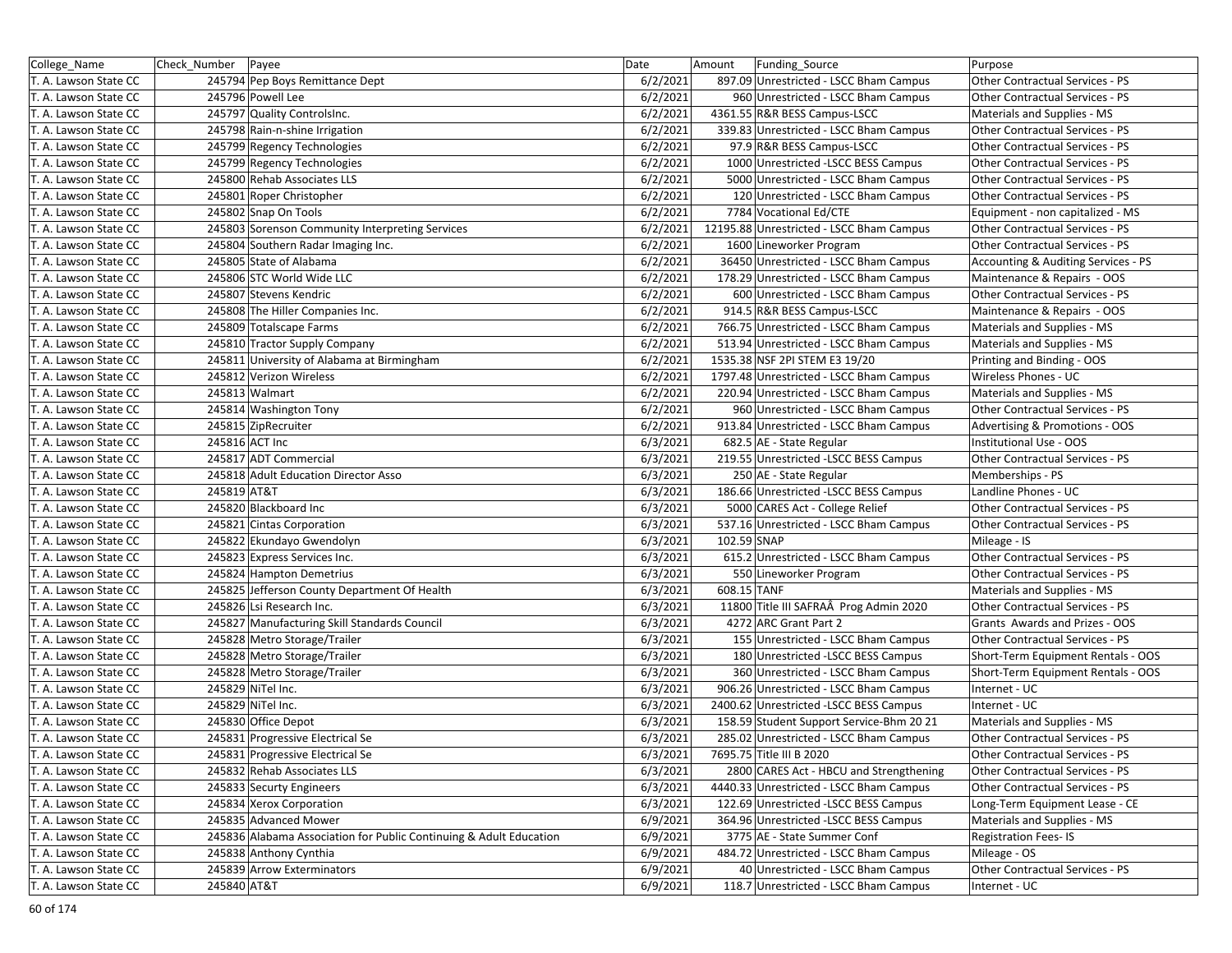| College_Name          | Check_Number Payee                                                 | Date     | Amount<br><b>Funding Source</b>          | Purpose                             |
|-----------------------|--------------------------------------------------------------------|----------|------------------------------------------|-------------------------------------|
| T. A. Lawson State CC | 245794 Pep Boys Remittance Dept                                    | 6/2/2021 | 897.09 Unrestricted - LSCC Bham Campus   | Other Contractual Services - PS     |
| T. A. Lawson State CC | 245796 Powell Lee                                                  | 6/2/2021 | 960 Unrestricted - LSCC Bham Campus      | Other Contractual Services - PS     |
| T. A. Lawson State CC | 245797 Quality Controlsinc.                                        | 6/2/2021 | 4361.55 R&R BESS Campus-LSCC             | Materials and Supplies - MS         |
| T. A. Lawson State CC | 245798 Rain-n-shine Irrigation                                     | 6/2/2021 | 339.83 Unrestricted - LSCC Bham Campus   | Other Contractual Services - PS     |
| T. A. Lawson State CC | 245799 Regency Technologies                                        | 6/2/2021 | 97.9 R&R BESS Campus-LSCC                | Other Contractual Services - PS     |
| T. A. Lawson State CC | 245799 Regency Technologies                                        | 6/2/2021 | 1000 Unrestricted -LSCC BESS Campus      | Other Contractual Services - PS     |
| T. A. Lawson State CC | 245800 Rehab Associates LLS                                        | 6/2/2021 | 5000 Unrestricted - LSCC Bham Campus     | Other Contractual Services - PS     |
| T. A. Lawson State CC | 245801 Roper Christopher                                           | 6/2/2021 | 120 Unrestricted - LSCC Bham Campus      | Other Contractual Services - PS     |
| T. A. Lawson State CC | 245802 Snap On Tools                                               | 6/2/2021 | 7784 Vocational Ed/CTE                   | Equipment - non capitalized - MS    |
| T. A. Lawson State CC | 245803 Sorenson Community Interpreting Services                    | 6/2/2021 | 12195.88 Unrestricted - LSCC Bham Campus | Other Contractual Services - PS     |
| T. A. Lawson State CC | 245804 Southern Radar Imaging Inc.                                 | 6/2/2021 | 1600 Lineworker Program                  | Other Contractual Services - PS     |
| T. A. Lawson State CC | 245805 State of Alabama                                            | 6/2/2021 | 36450 Unrestricted - LSCC Bham Campus    | Accounting & Auditing Services - PS |
| T. A. Lawson State CC | 245806 STC World Wide LLC                                          | 6/2/2021 | 178.29 Unrestricted - LSCC Bham Campus   | Maintenance & Repairs - OOS         |
| T. A. Lawson State CC | 245807 Stevens Kendric                                             | 6/2/2021 | 600 Unrestricted - LSCC Bham Campus      | Other Contractual Services - PS     |
| T. A. Lawson State CC | 245808 The Hiller Companies Inc.                                   | 6/2/2021 | 914.5 R&R BESS Campus-LSCC               | Maintenance & Repairs - OOS         |
| T. A. Lawson State CC | 245809 Totalscape Farms                                            | 6/2/2021 | 766.75 Unrestricted - LSCC Bham Campus   | Materials and Supplies - MS         |
| T. A. Lawson State CC | 245810 Tractor Supply Company                                      | 6/2/2021 | 513.94 Unrestricted - LSCC Bham Campus   | Materials and Supplies - MS         |
| T. A. Lawson State CC | 245811 University of Alabama at Birmingham                         | 6/2/2021 | 1535.38 NSF 2PI STEM E3 19/20            | Printing and Binding - OOS          |
| T. A. Lawson State CC | 245812 Verizon Wireless                                            | 6/2/2021 | 1797.48 Unrestricted - LSCC Bham Campus  | Wireless Phones - UC                |
| T. A. Lawson State CC | 245813 Walmart                                                     | 6/2/2021 | 220.94 Unrestricted - LSCC Bham Campus   | Materials and Supplies - MS         |
| T. A. Lawson State CC | 245814 Washington Tony                                             | 6/2/2021 | 960 Unrestricted - LSCC Bham Campus      | Other Contractual Services - PS     |
| T. A. Lawson State CC | 245815 ZipRecruiter                                                | 6/2/2021 | 913.84 Unrestricted - LSCC Bham Campus   | Advertising & Promotions - OOS      |
| T. A. Lawson State CC | 245816 ACT Inc                                                     | 6/3/2021 | 682.5 AE - State Regular                 | Institutional Use - OOS             |
| T. A. Lawson State CC | 245817 ADT Commercial                                              | 6/3/2021 | 219.55 Unrestricted -LSCC BESS Campus    | Other Contractual Services - PS     |
| T. A. Lawson State CC | 245818 Adult Education Director Asso                               | 6/3/2021 | 250 AE - State Regular                   | Memberships - PS                    |
| T. A. Lawson State CC | 245819 AT&T                                                        | 6/3/2021 | 186.66 Unrestricted -LSCC BESS Campus    | Landline Phones - UC                |
| T. A. Lawson State CC | 245820 Blackboard Inc                                              | 6/3/2021 | 5000 CARES Act - College Relief          | Other Contractual Services - PS     |
| T. A. Lawson State CC | 245821 Cintas Corporation                                          | 6/3/2021 | 537.16 Unrestricted - LSCC Bham Campus   | Other Contractual Services - PS     |
| T. A. Lawson State CC | 245822 Ekundayo Gwendolyn                                          | 6/3/2021 | 102.59 SNAP                              | Mileage - IS                        |
| T. A. Lawson State CC | 245823 Express Services Inc.                                       | 6/3/2021 | 615.2 Unrestricted - LSCC Bham Campus    | Other Contractual Services - PS     |
| T. A. Lawson State CC | 245824 Hampton Demetrius                                           | 6/3/2021 | 550 Lineworker Program                   | Other Contractual Services - PS     |
| T. A. Lawson State CC | 245825 Jefferson County Department Of Health                       | 6/3/2021 | 608.15 TANF                              | Materials and Supplies - MS         |
| T. A. Lawson State CC | 245826 Lsi Research Inc.                                           | 6/3/2021 | 11800 Title III SAFRAÂ Prog Admin 2020   | Other Contractual Services - PS     |
| T. A. Lawson State CC | 245827 Manufacturing Skill Standards Council                       | 6/3/2021 | 4272 ARC Grant Part 2                    | Grants Awards and Prizes - OOS      |
| T. A. Lawson State CC | 245828 Metro Storage/Trailer                                       | 6/3/2021 | 155 Unrestricted - LSCC Bham Campus      | Other Contractual Services - PS     |
| T. A. Lawson State CC | 245828 Metro Storage/Trailer                                       | 6/3/2021 | 180 Unrestricted - LSCC BESS Campus      | Short-Term Equipment Rentals - OOS  |
| T. A. Lawson State CC | 245828 Metro Storage/Trailer                                       | 6/3/2021 | 360 Unrestricted - LSCC Bham Campus      | Short-Term Equipment Rentals - OOS  |
| T. A. Lawson State CC | 245829 NiTel Inc.                                                  | 6/3/2021 | 906.26 Unrestricted - LSCC Bham Campus   | Internet - UC                       |
| T. A. Lawson State CC | 245829 NiTel Inc.                                                  | 6/3/2021 | 2400.62 Unrestricted -LSCC BESS Campus   | Internet - UC                       |
| T. A. Lawson State CC | 245830 Office Depot                                                | 6/3/2021 | 158.59 Student Support Service-Bhm 20 21 | Materials and Supplies - MS         |
| T. A. Lawson State CC | 245831 Progressive Electrical Se                                   | 6/3/2021 | 285.02 Unrestricted - LSCC Bham Campus   | Other Contractual Services - PS     |
| T. A. Lawson State CC | 245831 Progressive Electrical Se                                   | 6/3/2021 | 7695.75 Title III B 2020                 | Other Contractual Services - PS     |
| T. A. Lawson State CC | 245832 Rehab Associates LLS                                        | 6/3/2021 | 2800 CARES Act - HBCU and Strengthening  | Other Contractual Services - PS     |
| T. A. Lawson State CC | 245833 Securty Engineers                                           | 6/3/2021 | 4440.33 Unrestricted - LSCC Bham Campus  | Other Contractual Services - PS     |
| T. A. Lawson State CC | 245834 Xerox Corporation                                           | 6/3/2021 | 122.69 Unrestricted -LSCC BESS Campus    | Long-Term Equipment Lease - CE      |
| T. A. Lawson State CC | 245835 Advanced Mower                                              | 6/9/2021 | 364.96 Unrestricted -LSCC BESS Campus    | Materials and Supplies - MS         |
| T. A. Lawson State CC | 245836 Alabama Association for Public Continuing & Adult Education | 6/9/2021 | 3775 AE - State Summer Conf              | Registration Fees-IS                |
| T. A. Lawson State CC | 245838 Anthony Cynthia                                             | 6/9/2021 | 484.72 Unrestricted - LSCC Bham Campus   | Mileage - OS                        |
| T. A. Lawson State CC | 245839 Arrow Exterminators                                         | 6/9/2021 | 40 Unrestricted - LSCC Bham Campus       | Other Contractual Services - PS     |
| T. A. Lawson State CC | 245840 AT&T                                                        | 6/9/2021 | 118.7 Unrestricted - LSCC Bham Campus    | Internet - UC                       |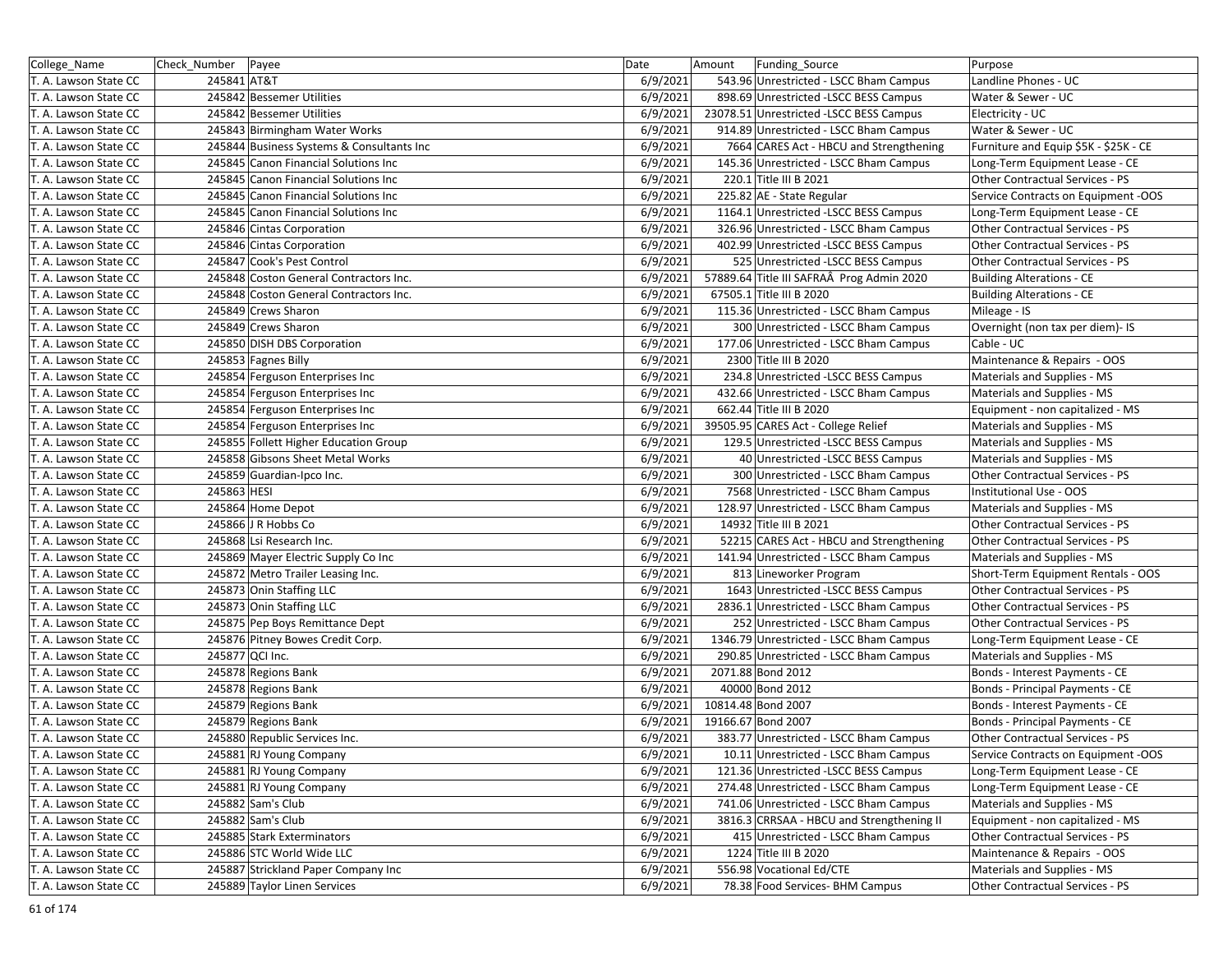| College_Name          | Check Number    | Payee                                     | Date     | Amount | Funding Source                            | Purpose                                |
|-----------------------|-----------------|-------------------------------------------|----------|--------|-------------------------------------------|----------------------------------------|
| T. A. Lawson State CC | 245841 AT&T     |                                           | 6/9/2021 |        | 543.96 Unrestricted - LSCC Bham Campus    | Landline Phones - UC                   |
| T. A. Lawson State CC |                 | 245842 Bessemer Utilities                 | 6/9/2021 |        | 898.69 Unrestricted -LSCC BESS Campus     | Water & Sewer - UC                     |
| T. A. Lawson State CC |                 | 245842 Bessemer Utilities                 | 6/9/2021 |        | 23078.51 Unrestricted -LSCC BESS Campus   | Electricity - UC                       |
| T. A. Lawson State CC |                 | 245843 Birmingham Water Works             | 6/9/2021 |        | 914.89 Unrestricted - LSCC Bham Campus    | Water & Sewer - UC                     |
| T. A. Lawson State CC |                 | 245844 Business Systems & Consultants Inc | 6/9/2021 |        | 7664 CARES Act - HBCU and Strengthening   | Furniture and Equip \$5K - \$25K - CE  |
| T. A. Lawson State CC |                 | 245845 Canon Financial Solutions Inc      | 6/9/2021 |        | 145.36 Unrestricted - LSCC Bham Campus    | Long-Term Equipment Lease - CE         |
| T. A. Lawson State CC |                 | 245845 Canon Financial Solutions Inc      | 6/9/2021 |        | 220.1 Title III B 2021                    | Other Contractual Services - PS        |
| T. A. Lawson State CC |                 | 245845 Canon Financial Solutions Inc      | 6/9/2021 |        | 225.82 AE - State Regular                 | Service Contracts on Equipment -OOS    |
| T. A. Lawson State CC |                 | 245845 Canon Financial Solutions Inc      | 6/9/2021 |        | 1164.1 Unrestricted -LSCC BESS Campus     | Long-Term Equipment Lease - CE         |
| T. A. Lawson State CC |                 | 245846 Cintas Corporation                 | 6/9/2021 |        | 326.96 Unrestricted - LSCC Bham Campus    | Other Contractual Services - PS        |
| T. A. Lawson State CC |                 | 245846 Cintas Corporation                 | 6/9/2021 |        | 402.99 Unrestricted -LSCC BESS Campus     | Other Contractual Services - PS        |
| T. A. Lawson State CC |                 | 245847 Cook's Pest Control                | 6/9/2021 |        | 525 Unrestricted -LSCC BESS Campus        | <b>Other Contractual Services - PS</b> |
| T. A. Lawson State CC |                 | 245848 Coston General Contractors Inc.    | 6/9/2021 |        | 57889.64 Title III SAFRAÂ Prog Admin 2020 | <b>Building Alterations - CE</b>       |
| T. A. Lawson State CC |                 | 245848 Coston General Contractors Inc.    | 6/9/2021 |        | 67505.1 Title III B 2020                  | <b>Building Alterations - CE</b>       |
| T. A. Lawson State CC |                 | 245849 Crews Sharon                       | 6/9/2021 |        | 115.36 Unrestricted - LSCC Bham Campus    | Mileage - IS                           |
| T. A. Lawson State CC |                 | 245849 Crews Sharon                       | 6/9/2021 |        | 300 Unrestricted - LSCC Bham Campus       | Overnight (non tax per diem)- IS       |
| T. A. Lawson State CC |                 | 245850 DISH DBS Corporation               | 6/9/2021 |        | 177.06 Unrestricted - LSCC Bham Campus    | Cable - UC                             |
| T. A. Lawson State CC |                 | 245853 Fagnes Billy                       | 6/9/2021 |        | 2300 Title III B 2020                     | Maintenance & Repairs - OOS            |
| T. A. Lawson State CC |                 | 245854 Ferguson Enterprises Inc           | 6/9/2021 |        | 234.8 Unrestricted -LSCC BESS Campus      | Materials and Supplies - MS            |
| T. A. Lawson State CC |                 | 245854 Ferguson Enterprises Inc           | 6/9/2021 |        | 432.66 Unrestricted - LSCC Bham Campus    | Materials and Supplies - MS            |
| T. A. Lawson State CC |                 | 245854 Ferguson Enterprises Inc           | 6/9/2021 |        | 662.44 Title III B 2020                   | Equipment - non capitalized - MS       |
| T. A. Lawson State CC |                 | 245854 Ferguson Enterprises Inc           | 6/9/2021 |        | 39505.95 CARES Act - College Relief       | Materials and Supplies - MS            |
| T. A. Lawson State CC |                 | 245855 Follett Higher Education Group     | 6/9/2021 |        | 129.5 Unrestricted - LSCC BESS Campus     | Materials and Supplies - MS            |
| T. A. Lawson State CC |                 | 245858 Gibsons Sheet Metal Works          | 6/9/2021 |        | 40 Unrestricted - LSCC BESS Campus        | Materials and Supplies - MS            |
| T. A. Lawson State CC |                 | 245859 Guardian-Ipco Inc.                 | 6/9/2021 |        | 300 Unrestricted - LSCC Bham Campus       | Other Contractual Services - PS        |
| T. A. Lawson State CC | 245863 HESI     |                                           | 6/9/2021 |        | 7568 Unrestricted - LSCC Bham Campus      | Institutional Use - OOS                |
| T. A. Lawson State CC |                 | 245864 Home Depot                         | 6/9/2021 |        | 128.97 Unrestricted - LSCC Bham Campus    | Materials and Supplies - MS            |
| T. A. Lawson State CC |                 | 245866 J R Hobbs Co                       | 6/9/2021 |        | 14932 Title III B 2021                    | Other Contractual Services - PS        |
| T. A. Lawson State CC |                 | 245868 Lsi Research Inc.                  | 6/9/2021 |        | 52215 CARES Act - HBCU and Strengthening  | Other Contractual Services - PS        |
| T. A. Lawson State CC |                 | 245869 Mayer Electric Supply Co Inc       | 6/9/2021 |        | 141.94 Unrestricted - LSCC Bham Campus    | Materials and Supplies - MS            |
| T. A. Lawson State CC |                 | 245872 Metro Trailer Leasing Inc.         | 6/9/2021 |        | 813 Lineworker Program                    | Short-Term Equipment Rentals - OOS     |
| T. A. Lawson State CC |                 | 245873 Onin Staffing LLC                  | 6/9/2021 |        | 1643 Unrestricted -LSCC BESS Campus       | Other Contractual Services - PS        |
| T. A. Lawson State CC |                 | 245873 Onin Staffing LLC                  | 6/9/2021 |        | 2836.1 Unrestricted - LSCC Bham Campus    | Other Contractual Services - PS        |
| T. A. Lawson State CC |                 | 245875 Pep Boys Remittance Dept           | 6/9/2021 |        | 252 Unrestricted - LSCC Bham Campus       | Other Contractual Services - PS        |
| T. A. Lawson State CC |                 | 245876 Pitney Bowes Credit Corp.          | 6/9/2021 |        | 1346.79 Unrestricted - LSCC Bham Campus   | Long-Term Equipment Lease - CE         |
| T. A. Lawson State CC | 245877 QCI Inc. |                                           | 6/9/2021 |        | 290.85 Unrestricted - LSCC Bham Campus    | Materials and Supplies - MS            |
| T. A. Lawson State CC |                 | 245878 Regions Bank                       | 6/9/2021 |        | 2071.88 Bond 2012                         | Bonds - Interest Payments - CE         |
| T. A. Lawson State CC |                 | 245878 Regions Bank                       | 6/9/2021 |        | 40000 Bond 2012                           | Bonds - Principal Payments - CE        |
| T. A. Lawson State CC |                 | 245879 Regions Bank                       | 6/9/2021 |        | 10814.48 Bond 2007                        | Bonds - Interest Payments - CE         |
| T. A. Lawson State CC |                 | 245879 Regions Bank                       | 6/9/2021 |        | 19166.67 Bond 2007                        | Bonds - Principal Payments - CE        |
| T. A. Lawson State CC |                 | 245880 Republic Services Inc.             | 6/9/2021 |        | 383.77 Unrestricted - LSCC Bham Campus    | Other Contractual Services - PS        |
| T. A. Lawson State CC |                 | 245881 RJ Young Company                   | 6/9/2021 |        | 10.11 Unrestricted - LSCC Bham Campus     | Service Contracts on Equipment -OOS    |
| T. A. Lawson State CC |                 | 245881 RJ Young Company                   | 6/9/2021 |        | 121.36 Unrestricted -LSCC BESS Campus     | Long-Term Equipment Lease - CE         |
| T. A. Lawson State CC |                 | 245881 RJ Young Company                   | 6/9/2021 |        | 274.48 Unrestricted - LSCC Bham Campus    | Long-Term Equipment Lease - CE         |
| T. A. Lawson State CC |                 | 245882 Sam's Club                         | 6/9/2021 |        | 741.06 Unrestricted - LSCC Bham Campus    | Materials and Supplies - MS            |
| T. A. Lawson State CC |                 | 245882 Sam's Club                         | 6/9/2021 |        | 3816.3 CRRSAA - HBCU and Strengthening II | Equipment - non capitalized - MS       |
| T. A. Lawson State CC |                 | 245885 Stark Exterminators                | 6/9/2021 |        | 415 Unrestricted - LSCC Bham Campus       | Other Contractual Services - PS        |
| T. A. Lawson State CC |                 | 245886 STC World Wide LLC                 | 6/9/2021 |        | 1224 Title III B 2020                     | Maintenance & Repairs - OOS            |
| T. A. Lawson State CC |                 | 245887 Strickland Paper Company Inc       | 6/9/2021 |        | 556.98 Vocational Ed/CTE                  | Materials and Supplies - MS            |
| T. A. Lawson State CC |                 | 245889 Taylor Linen Services              | 6/9/2021 |        | 78.38 Food Services- BHM Campus           | Other Contractual Services - PS        |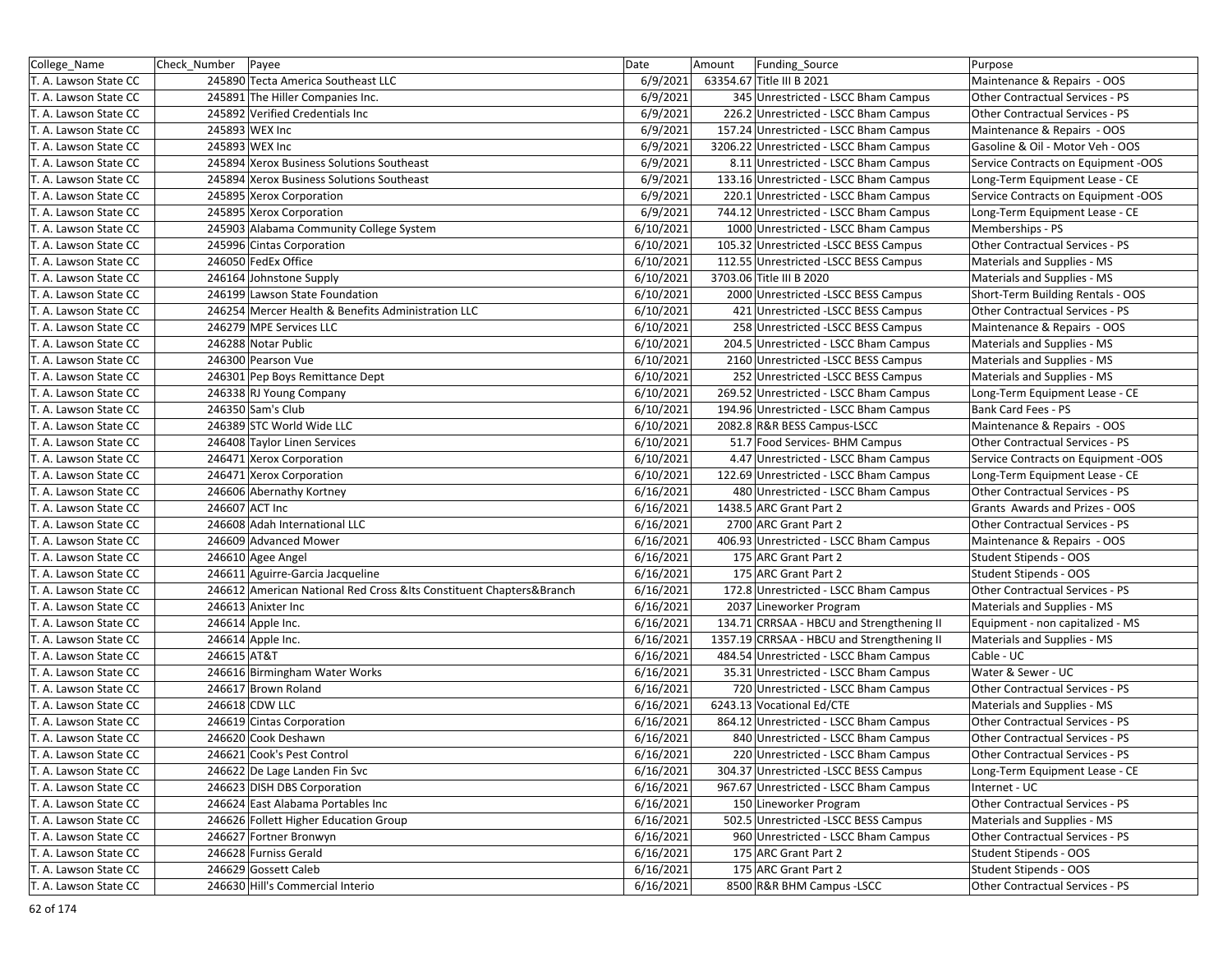| College_Name          | Check Number   Payee |                                                                       | Date      | Amount | Funding Source                             | Purpose                             |
|-----------------------|----------------------|-----------------------------------------------------------------------|-----------|--------|--------------------------------------------|-------------------------------------|
| T. A. Lawson State CC |                      | 245890 Tecta America Southeast LLC                                    | 6/9/2021  |        | 63354.67 Title III B 2021                  | Maintenance & Repairs - OOS         |
| T. A. Lawson State CC |                      | 245891 The Hiller Companies Inc.                                      | 6/9/2021  |        | 345 Unrestricted - LSCC Bham Campus        | Other Contractual Services - PS     |
| T. A. Lawson State CC |                      | 245892 Verified Credentials Inc                                       | 6/9/2021  |        | 226.2 Unrestricted - LSCC Bham Campus      | Other Contractual Services - PS     |
| T. A. Lawson State CC |                      | 245893 WEX Inc                                                        | 6/9/2021  |        | 157.24 Unrestricted - LSCC Bham Campus     | Maintenance & Repairs - OOS         |
| T. A. Lawson State CC |                      | 245893 WEX Inc                                                        | 6/9/2021  |        | 3206.22 Unrestricted - LSCC Bham Campus    | Gasoline & Oil - Motor Veh - OOS    |
| T. A. Lawson State CC |                      | 245894 Xerox Business Solutions Southeast                             | 6/9/2021  |        | 8.11 Unrestricted - LSCC Bham Campus       | Service Contracts on Equipment -OOS |
| T. A. Lawson State CC |                      | 245894 Xerox Business Solutions Southeast                             | 6/9/2021  |        | 133.16 Unrestricted - LSCC Bham Campus     | Long-Term Equipment Lease - CE      |
| T. A. Lawson State CC |                      | 245895 Xerox Corporation                                              | 6/9/2021  |        | 220.1 Unrestricted - LSCC Bham Campus      | Service Contracts on Equipment -OOS |
| T. A. Lawson State CC |                      | 245895 Xerox Corporation                                              | 6/9/2021  |        | 744.12 Unrestricted - LSCC Bham Campus     | Long-Term Equipment Lease - CE      |
| T. A. Lawson State CC |                      | 245903 Alabama Community College System                               | 6/10/2021 |        | 1000 Unrestricted - LSCC Bham Campus       | Memberships - PS                    |
| T. A. Lawson State CC |                      | 245996 Cintas Corporation                                             | 6/10/2021 |        | 105.32 Unrestricted -LSCC BESS Campus      | Other Contractual Services - PS     |
| T. A. Lawson State CC |                      | 246050 FedEx Office                                                   | 6/10/2021 |        | 112.55 Unrestricted -LSCC BESS Campus      | Materials and Supplies - MS         |
| T. A. Lawson State CC |                      | 246164 Johnstone Supply                                               | 6/10/2021 |        | 3703.06 Title III B 2020                   | Materials and Supplies - MS         |
| T. A. Lawson State CC |                      | 246199 Lawson State Foundation                                        | 6/10/2021 |        | 2000 Unrestricted -LSCC BESS Campus        | Short-Term Building Rentals - OOS   |
| T. A. Lawson State CC |                      | 246254 Mercer Health & Benefits Administration LLC                    | 6/10/2021 |        | 421 Unrestricted -LSCC BESS Campus         | Other Contractual Services - PS     |
| T. A. Lawson State CC |                      | 246279 MPE Services LLC                                               | 6/10/2021 |        | 258 Unrestricted - LSCC BESS Campus        | Maintenance & Repairs - OOS         |
| T. A. Lawson State CC |                      | 246288 Notar Public                                                   | 6/10/2021 |        | 204.5 Unrestricted - LSCC Bham Campus      | Materials and Supplies - MS         |
| T. A. Lawson State CC |                      | 246300 Pearson Vue                                                    | 6/10/2021 |        | 2160 Unrestricted -LSCC BESS Campus        | Materials and Supplies - MS         |
| T. A. Lawson State CC |                      | 246301 Pep Boys Remittance Dept                                       | 6/10/2021 |        | 252 Unrestricted - LSCC BESS Campus        | Materials and Supplies - MS         |
| T. A. Lawson State CC |                      | 246338 RJ Young Company                                               | 6/10/2021 |        | 269.52 Unrestricted - LSCC Bham Campus     | Long-Term Equipment Lease - CE      |
| T. A. Lawson State CC |                      | 246350 Sam's Club                                                     | 6/10/2021 |        | 194.96 Unrestricted - LSCC Bham Campus     | Bank Card Fees - PS                 |
| T. A. Lawson State CC |                      | 246389 STC World Wide LLC                                             | 6/10/2021 |        | 2082.8 R&R BESS Campus-LSCC                | Maintenance & Repairs - OOS         |
| T. A. Lawson State CC |                      | 246408 Taylor Linen Services                                          | 6/10/2021 |        | 51.7 Food Services- BHM Campus             | Other Contractual Services - PS     |
| T. A. Lawson State CC |                      | 246471 Xerox Corporation                                              | 6/10/2021 |        | 4.47 Unrestricted - LSCC Bham Campus       | Service Contracts on Equipment -OOS |
| T. A. Lawson State CC |                      | 246471 Xerox Corporation                                              | 6/10/2021 |        | 122.69 Unrestricted - LSCC Bham Campus     | Long-Term Equipment Lease - CE      |
| T. A. Lawson State CC |                      | 246606 Abernathy Kortney                                              | 6/16/2021 |        | 480 Unrestricted - LSCC Bham Campus        | Other Contractual Services - PS     |
| T. A. Lawson State CC |                      | 246607 ACT Inc                                                        | 6/16/2021 |        | 1438.5 ARC Grant Part 2                    | Grants Awards and Prizes - OOS      |
| T. A. Lawson State CC |                      | 246608 Adah International LLC                                         | 6/16/2021 |        | 2700 ARC Grant Part 2                      | Other Contractual Services - PS     |
| T. A. Lawson State CC |                      | 246609 Advanced Mower                                                 | 6/16/2021 |        | 406.93 Unrestricted - LSCC Bham Campus     | Maintenance & Repairs - OOS         |
| T. A. Lawson State CC |                      | 246610 Agee Angel                                                     | 6/16/2021 |        | 175 ARC Grant Part 2                       | Student Stipends - OOS              |
| T. A. Lawson State CC |                      | 246611 Aguirre-Garcia Jacqueline                                      | 6/16/2021 |        | 175 ARC Grant Part 2                       | Student Stipends - OOS              |
| T. A. Lawson State CC |                      | 246612 American National Red Cross & Its Constituent Chapters& Branch | 6/16/2021 |        | 172.8 Unrestricted - LSCC Bham Campus      | Other Contractual Services - PS     |
| T. A. Lawson State CC |                      | 246613 Anixter Inc                                                    | 6/16/2021 |        | 2037 Lineworker Program                    | Materials and Supplies - MS         |
| T. A. Lawson State CC |                      | 246614 Apple Inc.                                                     | 6/16/2021 |        | 134.71 CRRSAA - HBCU and Strengthening II  | Equipment - non capitalized - MS    |
| T. A. Lawson State CC |                      | 246614 Apple Inc.                                                     | 6/16/2021 |        | 1357.19 CRRSAA - HBCU and Strengthening II | Materials and Supplies - MS         |
| T. A. Lawson State CC | 246615 AT&T          |                                                                       | 6/16/2021 |        | 484.54 Unrestricted - LSCC Bham Campus     | Cable - UC                          |
| T. A. Lawson State CC |                      | 246616 Birmingham Water Works                                         | 6/16/2021 |        | 35.31 Unrestricted - LSCC Bham Campus      | Water & Sewer - UC                  |
| T. A. Lawson State CC |                      | 246617 Brown Roland                                                   | 6/16/2021 |        | 720 Unrestricted - LSCC Bham Campus        | Other Contractual Services - PS     |
| T. A. Lawson State CC |                      | 246618 CDW LLC                                                        | 6/16/2021 |        | 6243.13 Vocational Ed/CTE                  | Materials and Supplies - MS         |
| T. A. Lawson State CC |                      | 246619 Cintas Corporation                                             | 6/16/2021 |        | 864.12 Unrestricted - LSCC Bham Campus     | Other Contractual Services - PS     |
| T. A. Lawson State CC |                      | 246620 Cook Deshawn                                                   | 6/16/2021 |        | 840 Unrestricted - LSCC Bham Campus        | Other Contractual Services - PS     |
| T. A. Lawson State CC |                      | 246621 Cook's Pest Control                                            | 6/16/2021 |        | 220 Unrestricted - LSCC Bham Campus        | Other Contractual Services - PS     |
| T. A. Lawson State CC |                      | 246622 De Lage Landen Fin Svc                                         | 6/16/2021 |        | 304.37 Unrestricted -LSCC BESS Campus      | Long-Term Equipment Lease - CE      |
| T. A. Lawson State CC |                      | 246623 DISH DBS Corporation                                           | 6/16/2021 |        | 967.67 Unrestricted - LSCC Bham Campus     | Internet - UC                       |
| T. A. Lawson State CC |                      | 246624 East Alabama Portables Inc                                     | 6/16/2021 |        | 150 Lineworker Program                     | Other Contractual Services - PS     |
| T. A. Lawson State CC |                      | 246626 Follett Higher Education Group                                 | 6/16/2021 |        | 502.5 Unrestricted -LSCC BESS Campus       | Materials and Supplies - MS         |
| T. A. Lawson State CC |                      | 246627 Fortner Bronwyn                                                | 6/16/2021 |        | 960 Unrestricted - LSCC Bham Campus        | Other Contractual Services - PS     |
| T. A. Lawson State CC |                      | 246628 Furniss Gerald                                                 | 6/16/2021 |        | 175 ARC Grant Part 2                       | Student Stipends - OOS              |
| T. A. Lawson State CC |                      | 246629 Gossett Caleb                                                  | 6/16/2021 |        | 175 ARC Grant Part 2                       | Student Stipends - OOS              |
| T. A. Lawson State CC |                      | 246630 Hill's Commercial Interio                                      | 6/16/2021 |        | 8500 R&R BHM Campus - LSCC                 | Other Contractual Services - PS     |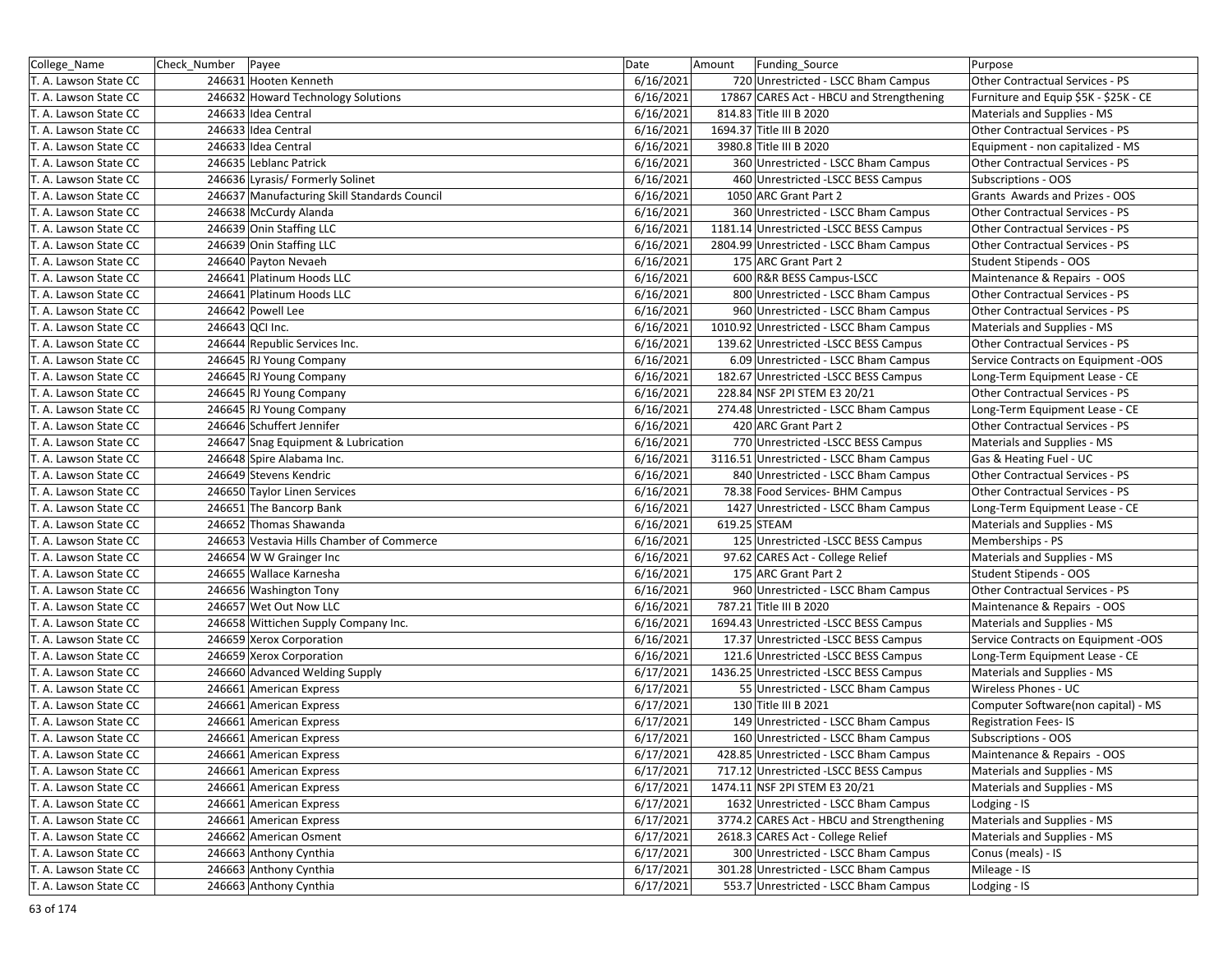| College_Name          | Check Number    | Payee                                        | Date      | Amount | Funding_Source                            | Purpose                               |
|-----------------------|-----------------|----------------------------------------------|-----------|--------|-------------------------------------------|---------------------------------------|
| T. A. Lawson State CC |                 | 246631 Hooten Kenneth                        | 6/16/2021 |        | 720 Unrestricted - LSCC Bham Campus       | Other Contractual Services - PS       |
| T. A. Lawson State CC |                 | 246632 Howard Technology Solutions           | 6/16/2021 |        | 17867 CARES Act - HBCU and Strengthening  | Furniture and Equip \$5K - \$25K - CE |
| T. A. Lawson State CC |                 | 246633 Idea Central                          | 6/16/2021 |        | 814.83 Title III B 2020                   | Materials and Supplies - MS           |
| T. A. Lawson State CC |                 | 246633 Idea Central                          | 6/16/2021 |        | 1694.37 Title III B 2020                  | Other Contractual Services - PS       |
| T. A. Lawson State CC |                 | 246633 Idea Central                          | 6/16/2021 |        | 3980.8 Title III B 2020                   | Equipment - non capitalized - MS      |
| T. A. Lawson State CC |                 | 246635 Leblanc Patrick                       | 6/16/2021 |        | 360 Unrestricted - LSCC Bham Campus       | Other Contractual Services - PS       |
| T. A. Lawson State CC |                 | 246636 Lyrasis/ Formerly Solinet             | 6/16/2021 |        | 460 Unrestricted - LSCC BESS Campus       | Subscriptions - OOS                   |
| T. A. Lawson State CC |                 | 246637 Manufacturing Skill Standards Council | 6/16/2021 |        | 1050 ARC Grant Part 2                     | Grants Awards and Prizes - OOS        |
| T. A. Lawson State CC |                 | 246638 McCurdy Alanda                        | 6/16/2021 |        | 360 Unrestricted - LSCC Bham Campus       | Other Contractual Services - PS       |
| T. A. Lawson State CC |                 | 246639 Onin Staffing LLC                     | 6/16/2021 |        | 1181.14 Unrestricted -LSCC BESS Campus    | Other Contractual Services - PS       |
| T. A. Lawson State CC |                 | 246639 Onin Staffing LLC                     | 6/16/2021 |        | 2804.99 Unrestricted - LSCC Bham Campus   | Other Contractual Services - PS       |
| T. A. Lawson State CC |                 | 246640 Payton Nevaeh                         | 6/16/2021 |        | 175 ARC Grant Part 2                      | <b>Student Stipends - OOS</b>         |
| T. A. Lawson State CC |                 | 246641 Platinum Hoods LLC                    | 6/16/2021 |        | 600 R&R BESS Campus-LSCC                  | Maintenance & Repairs - OOS           |
| T. A. Lawson State CC |                 | 246641 Platinum Hoods LLC                    | 6/16/2021 |        | 800 Unrestricted - LSCC Bham Campus       | Other Contractual Services - PS       |
| T. A. Lawson State CC |                 | 246642 Powell Lee                            | 6/16/2021 |        | 960 Unrestricted - LSCC Bham Campus       | Other Contractual Services - PS       |
| T. A. Lawson State CC | 246643 QCI Inc. |                                              | 6/16/2021 |        | 1010.92 Unrestricted - LSCC Bham Campus   | Materials and Supplies - MS           |
| T. A. Lawson State CC |                 | 246644 Republic Services Inc.                | 6/16/2021 |        | 139.62 Unrestricted -LSCC BESS Campus     | Other Contractual Services - PS       |
| T. A. Lawson State CC |                 | 246645 RJ Young Company                      | 6/16/2021 |        | 6.09 Unrestricted - LSCC Bham Campus      | Service Contracts on Equipment -OOS   |
| T. A. Lawson State CC |                 | 246645 RJ Young Company                      | 6/16/2021 |        | 182.67 Unrestricted -LSCC BESS Campus     | Long-Term Equipment Lease - CE        |
| T. A. Lawson State CC |                 | 246645 RJ Young Company                      | 6/16/2021 |        | 228.84 NSF 2PI STEM E3 20/21              | Other Contractual Services - PS       |
| T. A. Lawson State CC |                 | 246645 RJ Young Company                      | 6/16/2021 |        | 274.48 Unrestricted - LSCC Bham Campus    | Long-Term Equipment Lease - CE        |
| T. A. Lawson State CC |                 | 246646 Schuffert Jennifer                    | 6/16/2021 |        | 420 ARC Grant Part 2                      | Other Contractual Services - PS       |
| T. A. Lawson State CC |                 | 246647 Snag Equipment & Lubrication          | 6/16/2021 |        | 770 Unrestricted - LSCC BESS Campus       | Materials and Supplies - MS           |
| T. A. Lawson State CC |                 | 246648 Spire Alabama Inc.                    | 6/16/2021 |        | 3116.51 Unrestricted - LSCC Bham Campus   | Gas & Heating Fuel - UC               |
| T. A. Lawson State CC |                 | 246649 Stevens Kendric                       | 6/16/2021 |        | 840 Unrestricted - LSCC Bham Campus       | Other Contractual Services - PS       |
| T. A. Lawson State CC |                 | 246650 Taylor Linen Services                 | 6/16/2021 |        | 78.38 Food Services- BHM Campus           | Other Contractual Services - PS       |
| T. A. Lawson State CC |                 | 246651 The Bancorp Bank                      | 6/16/2021 |        | 1427 Unrestricted - LSCC Bham Campus      | Long-Term Equipment Lease - CE        |
| T. A. Lawson State CC |                 | 246652 Thomas Shawanda                       | 6/16/2021 |        | 619.25 STEAM                              | Materials and Supplies - MS           |
| T. A. Lawson State CC |                 | 246653 Vestavia Hills Chamber of Commerce    | 6/16/2021 |        | 125 Unrestricted - LSCC BESS Campus       | Memberships - PS                      |
| T. A. Lawson State CC |                 | 246654 W W Grainger Inc                      | 6/16/2021 |        | 97.62 CARES Act - College Relief          | Materials and Supplies - MS           |
| T. A. Lawson State CC |                 | 246655 Wallace Karnesha                      | 6/16/2021 |        | 175 ARC Grant Part 2                      | Student Stipends - OOS                |
| T. A. Lawson State CC |                 | 246656 Washington Tony                       | 6/16/2021 |        | 960 Unrestricted - LSCC Bham Campus       | Other Contractual Services - PS       |
| T. A. Lawson State CC |                 | 246657 Wet Out Now LLC                       | 6/16/2021 |        | 787.21 Title III B 2020                   | Maintenance & Repairs - OOS           |
| T. A. Lawson State CC |                 | 246658 Wittichen Supply Company Inc.         | 6/16/2021 |        | 1694.43 Unrestricted - LSCC BESS Campus   | Materials and Supplies - MS           |
| T. A. Lawson State CC |                 | 246659 Xerox Corporation                     | 6/16/2021 |        | 17.37 Unrestricted -LSCC BESS Campus      | Service Contracts on Equipment -OOS   |
| T. A. Lawson State CC |                 | 246659 Xerox Corporation                     | 6/16/2021 |        | 121.6 Unrestricted -LSCC BESS Campus      | Long-Term Equipment Lease - CE        |
| T. A. Lawson State CC |                 | 246660 Advanced Welding Supply               | 6/17/2021 |        | 1436.25 Unrestricted -LSCC BESS Campus    | Materials and Supplies - MS           |
| T. A. Lawson State CC |                 | 246661 American Express                      | 6/17/2021 |        | 55 Unrestricted - LSCC Bham Campus        | Wireless Phones - UC                  |
| T. A. Lawson State CC |                 | 246661 American Express                      | 6/17/2021 |        | 130 Title III B 2021                      | Computer Software(non capital) - MS   |
| T. A. Lawson State CC |                 | 246661 American Express                      | 6/17/2021 |        | 149 Unrestricted - LSCC Bham Campus       | Registration Fees-IS                  |
| T. A. Lawson State CC |                 | 246661 American Express                      | 6/17/2021 |        | 160 Unrestricted - LSCC Bham Campus       | <b>Subscriptions - OOS</b>            |
| T. A. Lawson State CC |                 | 246661 American Express                      | 6/17/2021 |        | 428.85 Unrestricted - LSCC Bham Campus    | Maintenance & Repairs - OOS           |
| T. A. Lawson State CC |                 | 246661 American Express                      | 6/17/2021 |        | 717.12 Unrestricted -LSCC BESS Campus     | Materials and Supplies - MS           |
| T. A. Lawson State CC |                 | 246661 American Express                      | 6/17/2021 |        | 1474.11 NSF 2PI STEM E3 20/21             | Materials and Supplies - MS           |
| T. A. Lawson State CC |                 | 246661 American Express                      | 6/17/2021 |        | 1632 Unrestricted - LSCC Bham Campus      | Lodging - IS                          |
| T. A. Lawson State CC |                 | 246661 American Express                      | 6/17/2021 |        | 3774.2 CARES Act - HBCU and Strengthening | Materials and Supplies - MS           |
| T. A. Lawson State CC |                 | 246662 American Osment                       | 6/17/2021 |        | 2618.3 CARES Act - College Relief         | Materials and Supplies - MS           |
| T. A. Lawson State CC |                 | 246663 Anthony Cynthia                       | 6/17/2021 |        | 300 Unrestricted - LSCC Bham Campus       | Conus (meals) - IS                    |
| T. A. Lawson State CC |                 | 246663 Anthony Cynthia                       | 6/17/2021 |        | 301.28 Unrestricted - LSCC Bham Campus    | Mileage - IS                          |
| T. A. Lawson State CC |                 | 246663 Anthony Cynthia                       | 6/17/2021 |        | 553.7 Unrestricted - LSCC Bham Campus     | Lodging - IS                          |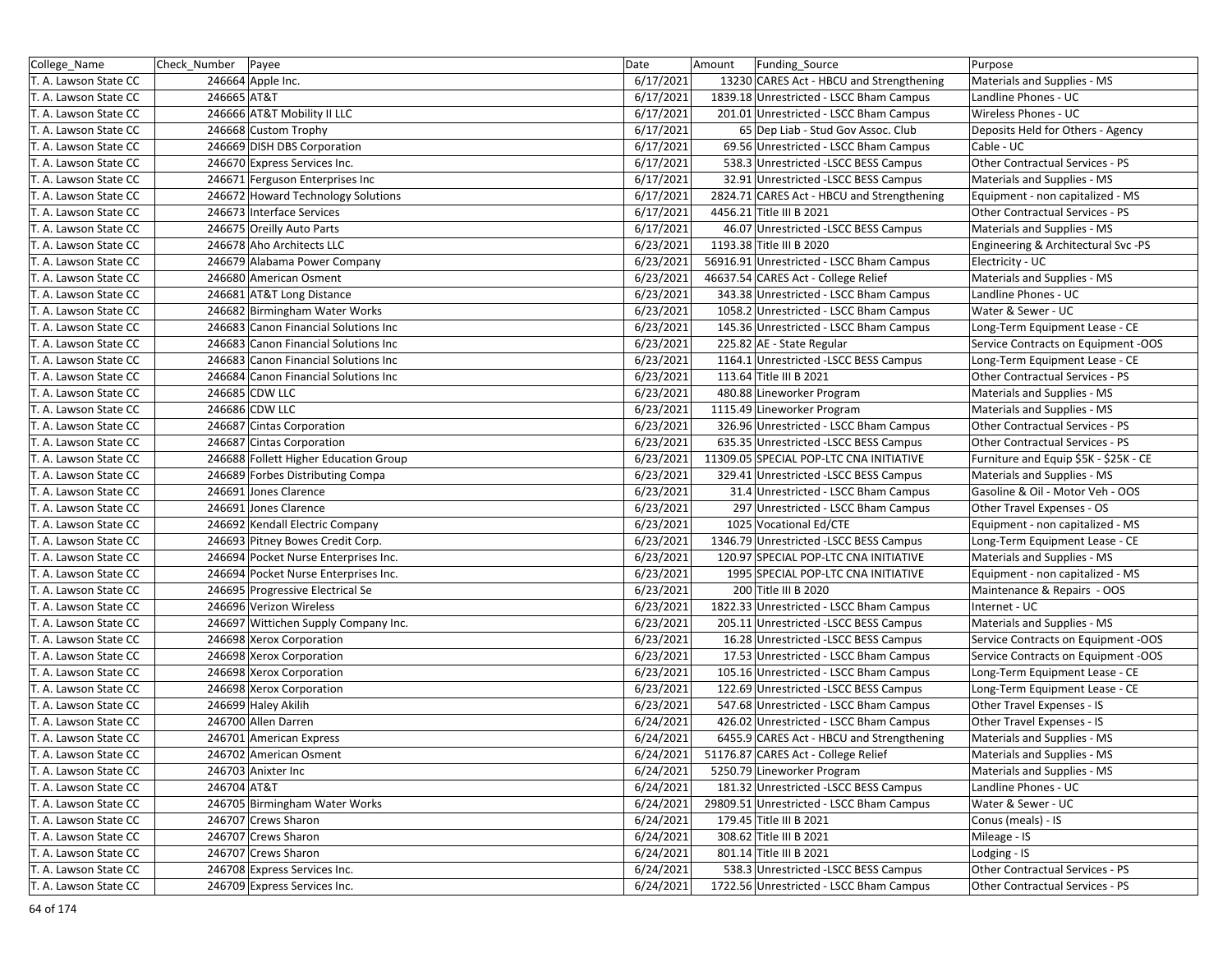| College_Name          | Check Number | Payee                                 | Date      | Amount<br>Funding_Source                   | Purpose                               |
|-----------------------|--------------|---------------------------------------|-----------|--------------------------------------------|---------------------------------------|
| T. A. Lawson State CC |              | 246664 Apple Inc.                     | 6/17/2021 | 13230 CARES Act - HBCU and Strengthening   | Materials and Supplies - MS           |
| T. A. Lawson State CC | 246665 AT&T  |                                       | 6/17/2021 | 1839.18 Unrestricted - LSCC Bham Campus    | Landline Phones - UC                  |
| T. A. Lawson State CC |              | 246666 AT&T Mobility II LLC           | 6/17/2021 | 201.01 Unrestricted - LSCC Bham Campus     | Wireless Phones - UC                  |
| T. A. Lawson State CC |              | 246668 Custom Trophy                  | 6/17/2021 | 65 Dep Liab - Stud Gov Assoc. Club         | Deposits Held for Others - Agency     |
| T. A. Lawson State CC |              | 246669 DISH DBS Corporation           | 6/17/2021 | 69.56 Unrestricted - LSCC Bham Campus      | Cable - UC                            |
| T. A. Lawson State CC |              | 246670 Express Services Inc.          | 6/17/2021 | 538.3 Unrestricted -LSCC BESS Campus       | Other Contractual Services - PS       |
| T. A. Lawson State CC |              | 246671 Ferguson Enterprises Inc       | 6/17/2021 | 32.91 Unrestricted -LSCC BESS Campus       | Materials and Supplies - MS           |
| T. A. Lawson State CC |              | 246672 Howard Technology Solutions    | 6/17/2021 | 2824.71 CARES Act - HBCU and Strengthening | Equipment - non capitalized - MS      |
| T. A. Lawson State CC |              | 246673 Interface Services             | 6/17/2021 | 4456.21 Title III B 2021                   | Other Contractual Services - PS       |
| T. A. Lawson State CC |              | 246675 Oreilly Auto Parts             | 6/17/2021 | 46.07 Unrestricted -LSCC BESS Campus       | Materials and Supplies - MS           |
| T. A. Lawson State CC |              | 246678 Aho Architects LLC             | 6/23/2021 | 1193.38 Title III B 2020                   | Engineering & Architectural Svc -PS   |
| T. A. Lawson State CC |              | 246679 Alabama Power Company          | 6/23/2021 | 56916.91 Unrestricted - LSCC Bham Campus   | Electricity - UC                      |
| T. A. Lawson State CC |              | 246680 American Osment                | 6/23/2021 | 46637.54 CARES Act - College Relief        | Materials and Supplies - MS           |
| T. A. Lawson State CC |              | 246681 AT&T Long Distance             | 6/23/2021 | 343.38 Unrestricted - LSCC Bham Campus     | Landline Phones - UC                  |
| T. A. Lawson State CC |              | 246682 Birmingham Water Works         | 6/23/2021 | 1058.2 Unrestricted - LSCC Bham Campus     | Water & Sewer - UC                    |
| T. A. Lawson State CC |              | 246683 Canon Financial Solutions Inc  | 6/23/2021 | 145.36 Unrestricted - LSCC Bham Campus     | Long-Term Equipment Lease - CE        |
| T. A. Lawson State CC |              | 246683 Canon Financial Solutions Inc  | 6/23/2021 | 225.82 AE - State Regular                  | Service Contracts on Equipment -OOS   |
| T. A. Lawson State CC |              | 246683 Canon Financial Solutions Inc  | 6/23/2021 | 1164.1 Unrestricted -LSCC BESS Campus      | Long-Term Equipment Lease - CE        |
| T. A. Lawson State CC |              | 246684 Canon Financial Solutions Inc  | 6/23/2021 | 113.64 Title III B 2021                    | Other Contractual Services - PS       |
| T. A. Lawson State CC |              | 246685 CDW LLC                        | 6/23/2021 | 480.88 Lineworker Program                  | Materials and Supplies - MS           |
| T. A. Lawson State CC |              | 246686 CDW LLC                        | 6/23/2021 | 1115.49 Lineworker Program                 | Materials and Supplies - MS           |
| T. A. Lawson State CC |              | 246687 Cintas Corporation             | 6/23/2021 | 326.96 Unrestricted - LSCC Bham Campus     | Other Contractual Services - PS       |
| T. A. Lawson State CC |              | 246687 Cintas Corporation             | 6/23/2021 | 635.35 Unrestricted -LSCC BESS Campus      | Other Contractual Services - PS       |
| T. A. Lawson State CC |              | 246688 Follett Higher Education Group | 6/23/2021 | 11309.05 SPECIAL POP-LTC CNA INITIATIVE    | Furniture and Equip \$5K - \$25K - CE |
| T. A. Lawson State CC |              | 246689 Forbes Distributing Compa      | 6/23/2021 | 329.41 Unrestricted -LSCC BESS Campus      | Materials and Supplies - MS           |
| T. A. Lawson State CC |              | 246691 Jones Clarence                 | 6/23/2021 | 31.4 Unrestricted - LSCC Bham Campus       | Gasoline & Oil - Motor Veh - OOS      |
| T. A. Lawson State CC |              | 246691 Jones Clarence                 | 6/23/2021 | 297 Unrestricted - LSCC Bham Campus        | Other Travel Expenses - OS            |
| T. A. Lawson State CC |              | 246692 Kendall Electric Company       | 6/23/2021 | 1025 Vocational Ed/CTE                     | Equipment - non capitalized - MS      |
| T. A. Lawson State CC |              | 246693 Pitney Bowes Credit Corp.      | 6/23/2021 | 1346.79 Unrestricted -LSCC BESS Campus     | Long-Term Equipment Lease - CE        |
| T. A. Lawson State CC |              | 246694 Pocket Nurse Enterprises Inc.  | 6/23/2021 | 120.97 SPECIAL POP-LTC CNA INITIATIVE      | Materials and Supplies - MS           |
| T. A. Lawson State CC |              | 246694 Pocket Nurse Enterprises Inc.  | 6/23/2021 | 1995 SPECIAL POP-LTC CNA INITIATIVE        | Equipment - non capitalized - MS      |
| T. A. Lawson State CC |              | 246695 Progressive Electrical Se      | 6/23/2021 | 200 Title III B 2020                       | Maintenance & Repairs - OOS           |
| T. A. Lawson State CC |              | 246696 Verizon Wireless               | 6/23/2021 | 1822.33 Unrestricted - LSCC Bham Campus    | Internet - UC                         |
| T. A. Lawson State CC |              | 246697 Wittichen Supply Company Inc.  | 6/23/2021 | 205.11 Unrestricted -LSCC BESS Campus      | Materials and Supplies - MS           |
| T. A. Lawson State CC |              | 246698 Xerox Corporation              | 6/23/2021 | 16.28 Unrestricted -LSCC BESS Campus       | Service Contracts on Equipment -OOS   |
| T. A. Lawson State CC |              | 246698 Xerox Corporation              | 6/23/2021 | 17.53 Unrestricted - LSCC Bham Campus      | Service Contracts on Equipment -OOS   |
| T. A. Lawson State CC |              | 246698 Xerox Corporation              | 6/23/2021 | 105.16 Unrestricted - LSCC Bham Campus     | Long-Term Equipment Lease - CE        |
| T. A. Lawson State CC |              | 246698 Xerox Corporation              | 6/23/2021 | 122.69 Unrestricted -LSCC BESS Campus      | Long-Term Equipment Lease - CE        |
| T. A. Lawson State CC |              | 246699 Haley Akilih                   | 6/23/2021 | 547.68 Unrestricted - LSCC Bham Campus     | Other Travel Expenses - IS            |
| T. A. Lawson State CC |              | 246700 Allen Darren                   | 6/24/2021 | 426.02 Unrestricted - LSCC Bham Campus     | Other Travel Expenses - IS            |
| T. A. Lawson State CC |              | 246701 American Express               | 6/24/2021 | 6455.9 CARES Act - HBCU and Strengthening  | Materials and Supplies - MS           |
| T. A. Lawson State CC |              | 246702 American Osment                | 6/24/2021 | 51176.87 CARES Act - College Relief        | Materials and Supplies - MS           |
| T. A. Lawson State CC |              | 246703 Anixter Inc                    | 6/24/2021 | 5250.79 Lineworker Program                 | Materials and Supplies - MS           |
| T. A. Lawson State CC | 246704 AT&T  |                                       | 6/24/2021 | 181.32 Unrestricted -LSCC BESS Campus      | Landline Phones - UC                  |
| T. A. Lawson State CC |              | 246705 Birmingham Water Works         | 6/24/2021 | 29809.51 Unrestricted - LSCC Bham Campus   | Water & Sewer - UC                    |
| T. A. Lawson State CC |              | 246707 Crews Sharon                   | 6/24/2021 | 179.45 Title III B 2021                    | Conus (meals) - IS                    |
| T. A. Lawson State CC |              | 246707 Crews Sharon                   | 6/24/2021 | 308.62 Title III B 2021                    | Mileage - IS                          |
| T. A. Lawson State CC |              | 246707 Crews Sharon                   | 6/24/2021 | 801.14 Title III B 2021                    | Lodging - IS                          |
| T. A. Lawson State CC |              | 246708 Express Services Inc.          | 6/24/2021 | 538.3 Unrestricted -LSCC BESS Campus       | Other Contractual Services - PS       |
| T. A. Lawson State CC |              | 246709 Express Services Inc.          | 6/24/2021 | 1722.56 Unrestricted - LSCC Bham Campus    | Other Contractual Services - PS       |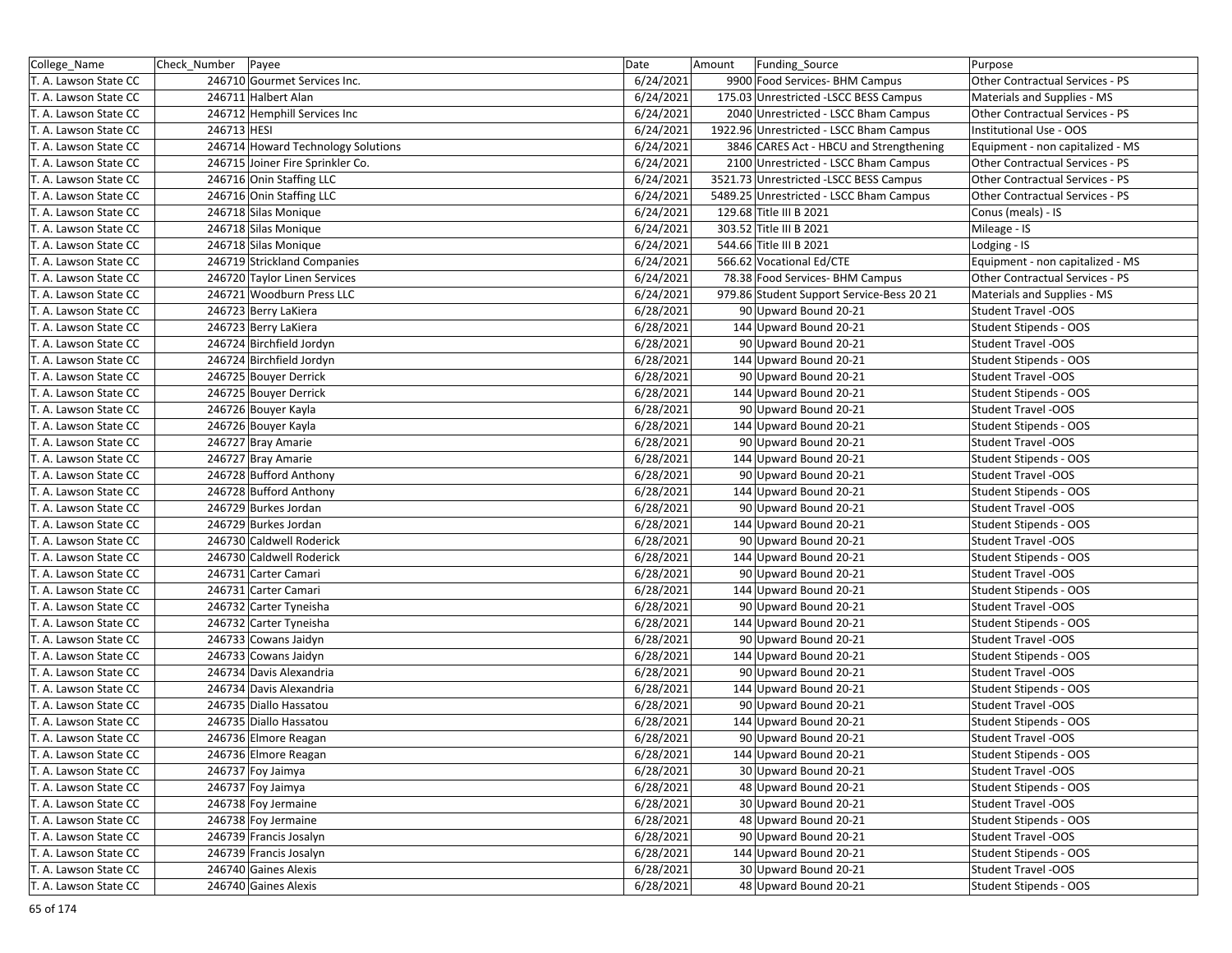| College_Name          | Check_Number   Payee |                                    | Date      | Amount<br>Funding_Source                  | Purpose                          |
|-----------------------|----------------------|------------------------------------|-----------|-------------------------------------------|----------------------------------|
| T. A. Lawson State CC |                      | 246710 Gourmet Services Inc.       | 6/24/2021 | 9900 Food Services- BHM Campus            | Other Contractual Services - PS  |
| T. A. Lawson State CC |                      | 246711 Halbert Alan                | 6/24/2021 | 175.03 Unrestricted -LSCC BESS Campus     | Materials and Supplies - MS      |
| T. A. Lawson State CC |                      | 246712 Hemphill Services Inc       | 6/24/2021 | 2040 Unrestricted - LSCC Bham Campus      | Other Contractual Services - PS  |
| T. A. Lawson State CC | 246713 HESI          |                                    | 6/24/2021 | 1922.96 Unrestricted - LSCC Bham Campus   | Institutional Use - OOS          |
| T. A. Lawson State CC |                      | 246714 Howard Technology Solutions | 6/24/2021 | 3846 CARES Act - HBCU and Strengthening   | Equipment - non capitalized - MS |
| T. A. Lawson State CC |                      | 246715 Joiner Fire Sprinkler Co.   | 6/24/2021 | 2100 Unrestricted - LSCC Bham Campus      | Other Contractual Services - PS  |
| T. A. Lawson State CC |                      | 246716 Onin Staffing LLC           | 6/24/2021 | 3521.73 Unrestricted -LSCC BESS Campus    | Other Contractual Services - PS  |
| T. A. Lawson State CC |                      | 246716 Onin Staffing LLC           | 6/24/2021 | 5489.25 Unrestricted - LSCC Bham Campus   | Other Contractual Services - PS  |
| T. A. Lawson State CC |                      | 246718 Silas Monique               | 6/24/2021 | 129.68 Title III B 2021                   | Conus (meals) - IS               |
| T. A. Lawson State CC |                      | 246718 Silas Monique               | 6/24/2021 | 303.52 Title III B 2021                   | Mileage - IS                     |
| T. A. Lawson State CC |                      | 246718 Silas Monique               | 6/24/2021 | 544.66 Title III B 2021                   | Lodging - IS                     |
| T. A. Lawson State CC |                      | 246719 Strickland Companies        | 6/24/2021 | 566.62 Vocational Ed/CTE                  | Equipment - non capitalized - MS |
| T. A. Lawson State CC |                      | 246720 Taylor Linen Services       | 6/24/2021 | 78.38 Food Services- BHM Campus           | Other Contractual Services - PS  |
| T. A. Lawson State CC |                      | 246721 Woodburn Press LLC          | 6/24/2021 | 979.86 Student Support Service-Bess 20 21 | Materials and Supplies - MS      |
| T. A. Lawson State CC |                      | 246723 Berry LaKiera               | 6/28/2021 | 90 Upward Bound 20-21                     | Student Travel -OOS              |
| T. A. Lawson State CC |                      | 246723 Berry LaKiera               | 6/28/2021 | 144 Upward Bound 20-21                    | Student Stipends - OOS           |
| T. A. Lawson State CC |                      | 246724 Birchfield Jordyn           | 6/28/2021 | 90 Upward Bound 20-21                     | Student Travel -OOS              |
| T. A. Lawson State CC |                      | 246724 Birchfield Jordyn           | 6/28/2021 | 144 Upward Bound 20-21                    | Student Stipends - OOS           |
| T. A. Lawson State CC |                      | 246725 Bouyer Derrick              | 6/28/2021 | 90 Upward Bound 20-21                     | <b>Student Travel -OOS</b>       |
| T. A. Lawson State CC |                      | 246725 Bouyer Derrick              | 6/28/2021 | 144 Upward Bound 20-21                    | Student Stipends - OOS           |
| T. A. Lawson State CC |                      | 246726 Bouyer Kayla                | 6/28/2021 | 90 Upward Bound 20-21                     | <b>Student Travel -OOS</b>       |
| T. A. Lawson State CC |                      | 246726 Bouyer Kayla                | 6/28/2021 | 144 Upward Bound 20-21                    | Student Stipends - OOS           |
| T. A. Lawson State CC |                      | 246727 Bray Amarie                 | 6/28/2021 | 90 Upward Bound 20-21                     | <b>Student Travel -OOS</b>       |
| T. A. Lawson State CC |                      | 246727 Bray Amarie                 | 6/28/2021 | 144 Upward Bound 20-21                    | Student Stipends - OOS           |
| T. A. Lawson State CC |                      | 246728 Bufford Anthony             | 6/28/2021 | 90 Upward Bound 20-21                     | <b>Student Travel -OOS</b>       |
| T. A. Lawson State CC |                      | 246728 Bufford Anthony             | 6/28/2021 | 144 Upward Bound 20-21                    | Student Stipends - OOS           |
| T. A. Lawson State CC |                      | 246729 Burkes Jordan               | 6/28/2021 | 90 Upward Bound 20-21                     | <b>Student Travel -OOS</b>       |
| T. A. Lawson State CC |                      | 246729 Burkes Jordan               | 6/28/2021 | 144 Upward Bound 20-21                    | Student Stipends - OOS           |
| T. A. Lawson State CC |                      | 246730 Caldwell Roderick           | 6/28/2021 | 90 Upward Bound 20-21                     | <b>Student Travel -OOS</b>       |
| T. A. Lawson State CC |                      | 246730 Caldwell Roderick           | 6/28/2021 | 144 Upward Bound 20-21                    | Student Stipends - OOS           |
| T. A. Lawson State CC |                      | 246731 Carter Camari               | 6/28/2021 | 90 Upward Bound 20-21                     | <b>Student Travel -OOS</b>       |
| T. A. Lawson State CC |                      | 246731 Carter Camari               | 6/28/2021 | 144 Upward Bound 20-21                    | Student Stipends - OOS           |
| T. A. Lawson State CC |                      | 246732 Carter Tyneisha             | 6/28/2021 | 90 Upward Bound 20-21                     | <b>Student Travel -OOS</b>       |
| T. A. Lawson State CC |                      | 246732 Carter Tyneisha             | 6/28/2021 | 144 Upward Bound 20-21                    | Student Stipends - OOS           |
| T. A. Lawson State CC |                      | 246733 Cowans Jaidyn               | 6/28/2021 | 90 Upward Bound 20-21                     | <b>Student Travel -OOS</b>       |
| T. A. Lawson State CC |                      | 246733 Cowans Jaidyn               | 6/28/2021 | 144 Upward Bound 20-21                    | <b>Student Stipends - OOS</b>    |
| T. A. Lawson State CC |                      | 246734 Davis Alexandria            | 6/28/2021 | 90 Upward Bound 20-21                     | <b>Student Travel -OOS</b>       |
| T. A. Lawson State CC |                      | 246734 Davis Alexandria            | 6/28/2021 | 144 Upward Bound 20-21                    | Student Stipends - OOS           |
| T. A. Lawson State CC |                      | 246735 Diallo Hassatou             | 6/28/2021 | 90 Upward Bound 20-21                     | <b>Student Travel -OOS</b>       |
| T. A. Lawson State CC |                      | 246735 Diallo Hassatou             | 6/28/2021 | 144 Upward Bound 20-21                    | Student Stipends - OOS           |
| T. A. Lawson State CC |                      | 246736 Elmore Reagan               | 6/28/2021 | 90 Upward Bound 20-21                     | <b>Student Travel -OOS</b>       |
| T. A. Lawson State CC |                      | 246736 Elmore Reagan               | 6/28/2021 | 144 Upward Bound 20-21                    | Student Stipends - OOS           |
| T. A. Lawson State CC |                      | 246737 Foy Jaimya                  | 6/28/2021 | 30 Upward Bound 20-21                     | Student Travel -OOS              |
| T. A. Lawson State CC |                      | 246737 Foy Jaimya                  | 6/28/2021 | 48 Upward Bound 20-21                     | Student Stipends - OOS           |
| T. A. Lawson State CC |                      | 246738 Foy Jermaine                | 6/28/2021 | 30 Upward Bound 20-21                     | <b>Student Travel -OOS</b>       |
| T. A. Lawson State CC |                      | 246738 Foy Jermaine                | 6/28/2021 | 48 Upward Bound 20-21                     | Student Stipends - OOS           |
| T. A. Lawson State CC |                      | 246739 Francis Josalyn             | 6/28/2021 | 90 Upward Bound 20-21                     | <b>Student Travel -OOS</b>       |
| T. A. Lawson State CC |                      | 246739 Francis Josalyn             | 6/28/2021 | 144 Upward Bound 20-21                    | Student Stipends - OOS           |
| T. A. Lawson State CC |                      | 246740 Gaines Alexis               | 6/28/2021 | 30 Upward Bound 20-21                     | <b>Student Travel -OOS</b>       |
| T. A. Lawson State CC |                      | 246740 Gaines Alexis               | 6/28/2021 | 48 Upward Bound 20-21                     | Student Stipends - OOS           |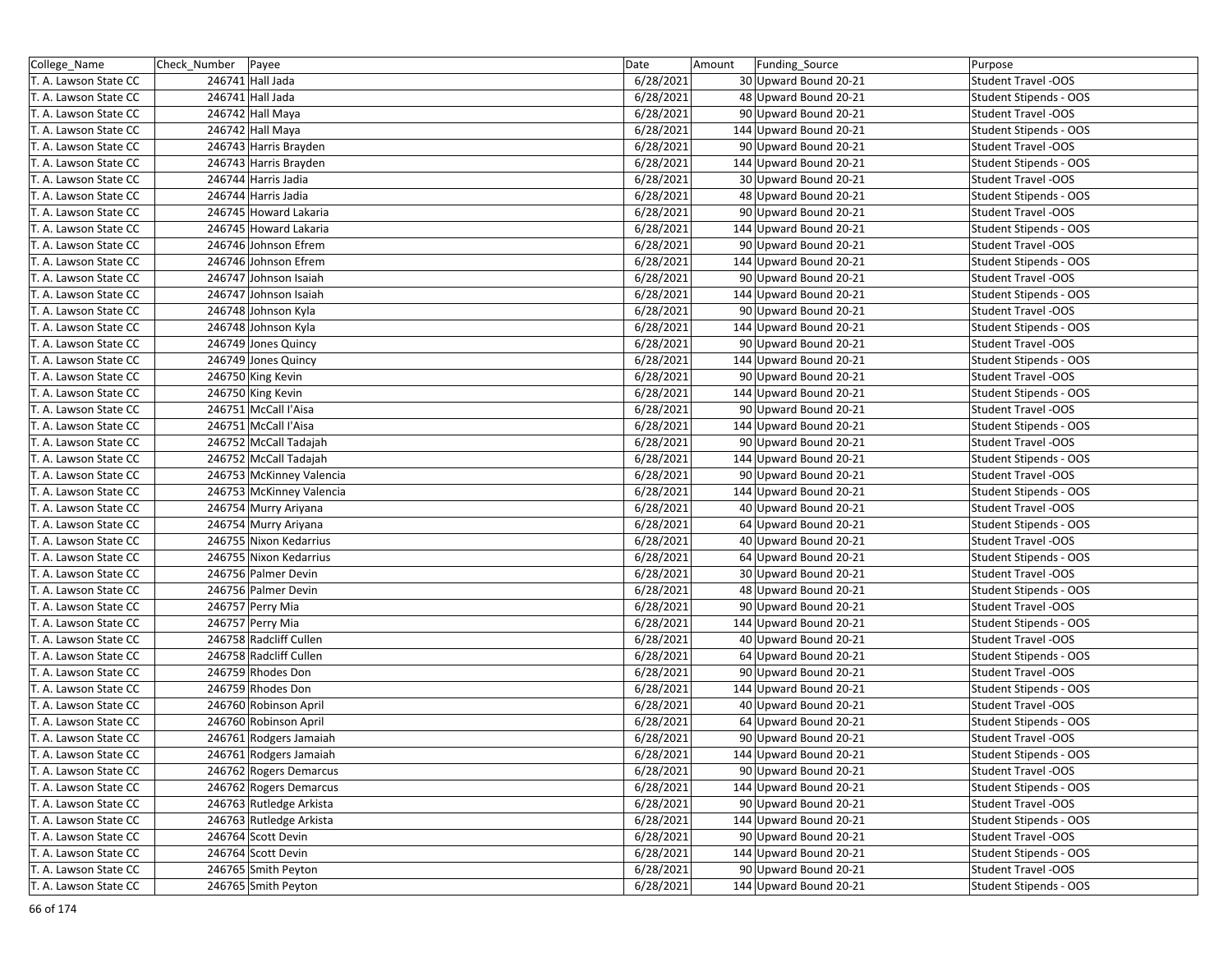| College_Name          | Check Number   Payee     | Date      | Funding_Source<br>Amount | Purpose                    |
|-----------------------|--------------------------|-----------|--------------------------|----------------------------|
| T. A. Lawson State CC | 246741 Hall Jada         | 6/28/2021 | 30 Upward Bound 20-21    | <b>Student Travel -OOS</b> |
| T. A. Lawson State CC | 246741 Hall Jada         | 6/28/2021 | 48 Upward Bound 20-21    | Student Stipends - OOS     |
| T. A. Lawson State CC | 246742 Hall Maya         | 6/28/2021 | 90 Upward Bound 20-21    | <b>Student Travel -OOS</b> |
| T. A. Lawson State CC | 246742 Hall Maya         | 6/28/2021 | 144 Upward Bound 20-21   | Student Stipends - OOS     |
| T. A. Lawson State CC | 246743 Harris Brayden    | 6/28/2021 | 90 Upward Bound 20-21    | <b>Student Travel -OOS</b> |
| T. A. Lawson State CC | 246743 Harris Brayden    | 6/28/2021 | 144 Upward Bound 20-21   | Student Stipends - OOS     |
| T. A. Lawson State CC | 246744 Harris Jadia      | 6/28/2021 | 30 Upward Bound 20-21    | <b>Student Travel -OOS</b> |
| T. A. Lawson State CC | 246744 Harris Jadia      | 6/28/2021 | 48 Upward Bound 20-21    | Student Stipends - OOS     |
| T. A. Lawson State CC | 246745 Howard Lakaria    | 6/28/2021 | 90 Upward Bound 20-21    | <b>Student Travel -OOS</b> |
| T. A. Lawson State CC | 246745 Howard Lakaria    | 6/28/2021 | 144 Upward Bound 20-21   | Student Stipends - OOS     |
| T. A. Lawson State CC | 246746 Johnson Efrem     | 6/28/2021 | 90 Upward Bound 20-21    | <b>Student Travel -OOS</b> |
| T. A. Lawson State CC | 246746 Johnson Efrem     | 6/28/2021 | 144 Upward Bound 20-21   | Student Stipends - OOS     |
| T. A. Lawson State CC | 246747 Johnson Isaiah    | 6/28/2021 | 90 Upward Bound 20-21    | <b>Student Travel -OOS</b> |
| T. A. Lawson State CC | 246747 Johnson Isaiah    | 6/28/2021 | 144 Upward Bound 20-21   | Student Stipends - OOS     |
| T. A. Lawson State CC | 246748 Johnson Kyla      | 6/28/2021 | 90 Upward Bound 20-21    | <b>Student Travel -OOS</b> |
| T. A. Lawson State CC | 246748 Johnson Kyla      | 6/28/2021 | 144 Upward Bound 20-21   | Student Stipends - OOS     |
| T. A. Lawson State CC | 246749 Jones Quincy      | 6/28/2021 | 90 Upward Bound 20-21    | <b>Student Travel -OOS</b> |
| T. A. Lawson State CC | 246749 Jones Quincy      | 6/28/2021 | 144 Upward Bound 20-21   | Student Stipends - OOS     |
| T. A. Lawson State CC | 246750 King Kevin        | 6/28/2021 | 90 Upward Bound 20-21    | <b>Student Travel -OOS</b> |
| T. A. Lawson State CC | 246750 King Kevin        | 6/28/2021 | 144 Upward Bound 20-21   | Student Stipends - OOS     |
| T. A. Lawson State CC | 246751 McCall l'Aisa     | 6/28/2021 | 90 Upward Bound 20-21    | <b>Student Travel -OOS</b> |
| T. A. Lawson State CC | 246751 McCall l'Aisa     | 6/28/2021 | 144 Upward Bound 20-21   | Student Stipends - OOS     |
| T. A. Lawson State CC | 246752 McCall Tadajah    | 6/28/2021 | 90 Upward Bound 20-21    | <b>Student Travel -OOS</b> |
| T. A. Lawson State CC | 246752 McCall Tadajah    | 6/28/2021 | 144 Upward Bound 20-21   | Student Stipends - OOS     |
| T. A. Lawson State CC | 246753 McKinney Valencia | 6/28/2021 | 90 Upward Bound 20-21    | <b>Student Travel -OOS</b> |
| T. A. Lawson State CC | 246753 McKinney Valencia | 6/28/2021 | 144 Upward Bound 20-21   | Student Stipends - OOS     |
| T. A. Lawson State CC | 246754 Murry Ariyana     | 6/28/2021 | 40 Upward Bound 20-21    | <b>Student Travel -OOS</b> |
| T. A. Lawson State CC | 246754 Murry Ariyana     | 6/28/2021 | 64 Upward Bound 20-21    | Student Stipends - OOS     |
| T. A. Lawson State CC | 246755 Nixon Kedarrius   | 6/28/2021 | 40 Upward Bound 20-21    | <b>Student Travel -OOS</b> |
| T. A. Lawson State CC | 246755 Nixon Kedarrius   | 6/28/2021 | 64 Upward Bound 20-21    | Student Stipends - OOS     |
| T. A. Lawson State CC | 246756 Palmer Devin      | 6/28/2021 | 30 Upward Bound 20-21    | <b>Student Travel -OOS</b> |
| T. A. Lawson State CC | 246756 Palmer Devin      | 6/28/2021 | 48 Upward Bound 20-21    | Student Stipends - OOS     |
| T. A. Lawson State CC | 246757 Perry Mia         | 6/28/2021 | 90 Upward Bound 20-21    | <b>Student Travel -OOS</b> |
| T. A. Lawson State CC | 246757 Perry Mia         | 6/28/2021 | 144 Upward Bound 20-21   | Student Stipends - OOS     |
| T. A. Lawson State CC | 246758 Radcliff Cullen   | 6/28/2021 | 40 Upward Bound 20-21    | <b>Student Travel -OOS</b> |
| T. A. Lawson State CC | 246758 Radcliff Cullen   | 6/28/2021 | 64 Upward Bound 20-21    | Student Stipends - OOS     |
| T. A. Lawson State CC | 246759 Rhodes Don        | 6/28/2021 | 90 Upward Bound 20-21    | <b>Student Travel -OOS</b> |
| T. A. Lawson State CC | 246759 Rhodes Don        | 6/28/2021 | 144 Upward Bound 20-21   | Student Stipends - OOS     |
| T. A. Lawson State CC | 246760 Robinson April    | 6/28/2021 | 40 Upward Bound 20-21    | <b>Student Travel -OOS</b> |
| T. A. Lawson State CC | 246760 Robinson April    | 6/28/2021 | 64 Upward Bound 20-21    | Student Stipends - OOS     |
| T. A. Lawson State CC | 246761 Rodgers Jamaiah   | 6/28/2021 | 90 Upward Bound 20-21    | <b>Student Travel -OOS</b> |
| T. A. Lawson State CC | 246761 Rodgers Jamaiah   | 6/28/2021 | 144 Upward Bound 20-21   | Student Stipends - OOS     |
| T. A. Lawson State CC | 246762 Rogers Demarcus   | 6/28/2021 | 90 Upward Bound 20-21    | <b>Student Travel -OOS</b> |
| T. A. Lawson State CC | 246762 Rogers Demarcus   | 6/28/2021 | 144 Upward Bound 20-21   | Student Stipends - OOS     |
| T. A. Lawson State CC | 246763 Rutledge Arkista  | 6/28/2021 | 90 Upward Bound 20-21    | <b>Student Travel -OOS</b> |
| T. A. Lawson State CC | 246763 Rutledge Arkista  | 6/28/2021 | 144 Upward Bound 20-21   | Student Stipends - OOS     |
| T. A. Lawson State CC | 246764 Scott Devin       | 6/28/2021 | 90 Upward Bound 20-21    | <b>Student Travel -OOS</b> |
| T. A. Lawson State CC | 246764 Scott Devin       | 6/28/2021 | 144 Upward Bound 20-21   | Student Stipends - OOS     |
| T. A. Lawson State CC | 246765 Smith Peyton      | 6/28/2021 | 90 Upward Bound 20-21    | <b>Student Travel -OOS</b> |
| T. A. Lawson State CC | 246765 Smith Peyton      | 6/28/2021 | 144 Upward Bound 20-21   | Student Stipends - OOS     |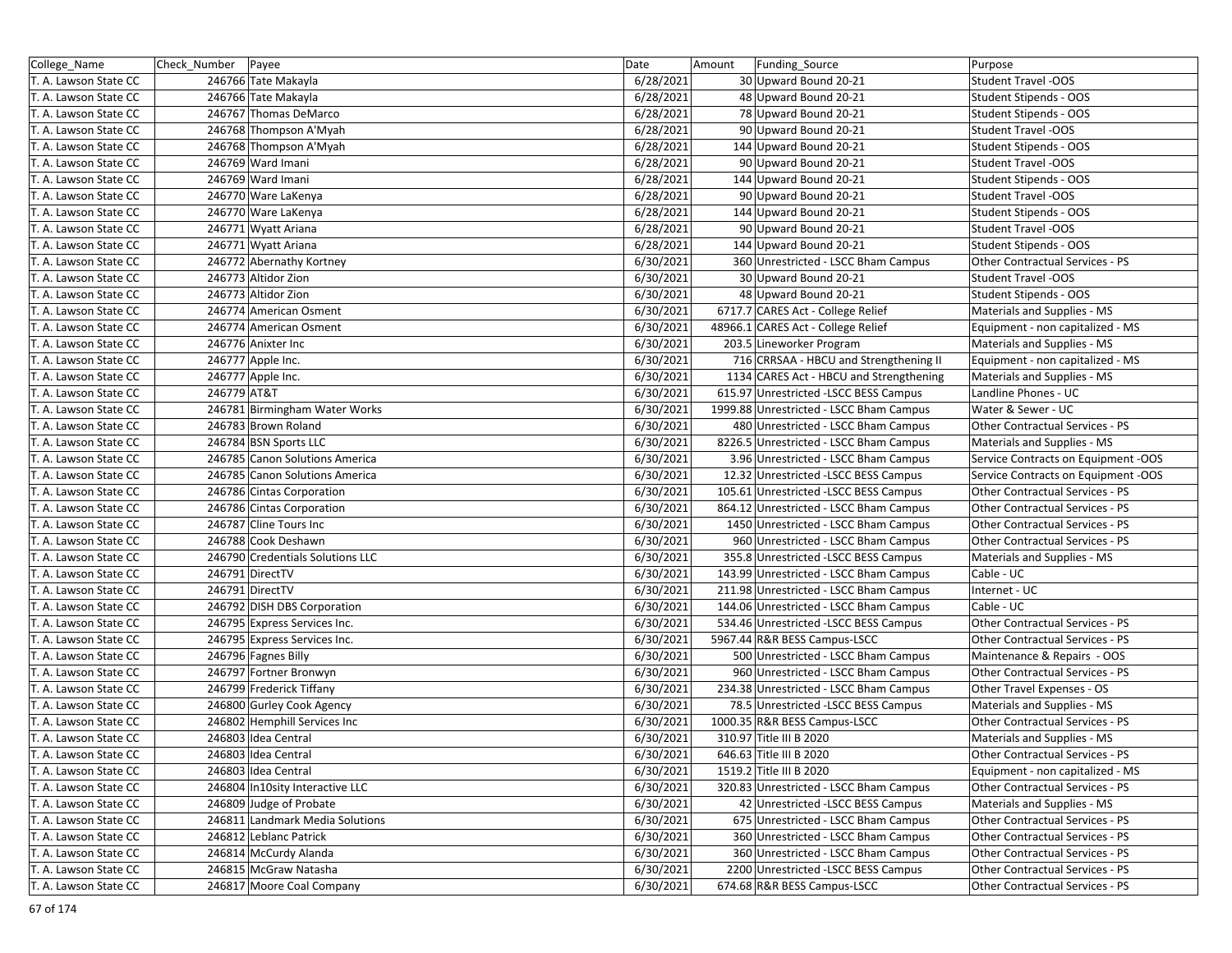| College_Name          | Check_Number   Payee             | Date      | Amount | Funding_Source                          | Purpose                             |
|-----------------------|----------------------------------|-----------|--------|-----------------------------------------|-------------------------------------|
| T. A. Lawson State CC | 246766 Tate Makayla              | 6/28/2021 |        | 30 Upward Bound 20-21                   | <b>Student Travel -OOS</b>          |
| T. A. Lawson State CC | 246766 Tate Makayla              | 6/28/2021 |        | 48 Upward Bound 20-21                   | Student Stipends - OOS              |
| T. A. Lawson State CC | 246767 Thomas DeMarco            | 6/28/2021 |        | 78 Upward Bound 20-21                   | Student Stipends - OOS              |
| T. A. Lawson State CC | 246768 Thompson A'Myah           | 6/28/2021 |        | 90 Upward Bound 20-21                   | <b>Student Travel -OOS</b>          |
| T. A. Lawson State CC | 246768 Thompson A'Myah           | 6/28/2021 |        | 144 Upward Bound 20-21                  | Student Stipends - OOS              |
| T. A. Lawson State CC | 246769 Ward Imani                | 6/28/2021 |        | 90 Upward Bound 20-21                   | <b>Student Travel -OOS</b>          |
| T. A. Lawson State CC | 246769 Ward Imani                | 6/28/2021 |        | 144 Upward Bound 20-21                  | Student Stipends - OOS              |
| T. A. Lawson State CC | 246770 Ware LaKenya              | 6/28/2021 |        | 90 Upward Bound 20-21                   | <b>Student Travel -OOS</b>          |
| T. A. Lawson State CC | 246770 Ware LaKenya              | 6/28/2021 |        | 144 Upward Bound 20-21                  | Student Stipends - OOS              |
| T. A. Lawson State CC | 246771 Wyatt Ariana              | 6/28/2021 |        | 90 Upward Bound 20-21                   | <b>Student Travel -OOS</b>          |
| T. A. Lawson State CC | 246771 Wyatt Ariana              | 6/28/2021 |        | 144 Upward Bound 20-21                  | Student Stipends - OOS              |
| T. A. Lawson State CC | 246772 Abernathy Kortney         | 6/30/2021 |        | 360 Unrestricted - LSCC Bham Campus     | Other Contractual Services - PS     |
| T. A. Lawson State CC | 246773 Altidor Zion              | 6/30/2021 |        | 30 Upward Bound 20-21                   | <b>Student Travel -OOS</b>          |
| T. A. Lawson State CC | 246773 Altidor Zion              | 6/30/2021 |        | 48 Upward Bound 20-21                   | Student Stipends - OOS              |
| T. A. Lawson State CC | 246774 American Osment           | 6/30/2021 |        | 6717.7 CARES Act - College Relief       | Materials and Supplies - MS         |
| T. A. Lawson State CC | 246774 American Osment           | 6/30/2021 |        | 48966.1 CARES Act - College Relief      | Equipment - non capitalized - MS    |
| T. A. Lawson State CC | 246776 Anixter Inc               | 6/30/2021 |        | 203.5 Lineworker Program                | Materials and Supplies - MS         |
| T. A. Lawson State CC | 246777 Apple Inc.                | 6/30/2021 |        | 716 CRRSAA - HBCU and Strengthening II  | Equipment - non capitalized - MS    |
| T. A. Lawson State CC | 246777 Apple Inc.                | 6/30/2021 |        | 1134 CARES Act - HBCU and Strengthening | Materials and Supplies - MS         |
| T. A. Lawson State CC | 246779 AT&T                      | 6/30/2021 |        | 615.97 Unrestricted -LSCC BESS Campus   | Landline Phones - UC                |
| T. A. Lawson State CC | 246781 Birmingham Water Works    | 6/30/2021 |        | 1999.88 Unrestricted - LSCC Bham Campus | Water & Sewer - UC                  |
| T. A. Lawson State CC | 246783 Brown Roland              | 6/30/2021 |        | 480 Unrestricted - LSCC Bham Campus     | Other Contractual Services - PS     |
| T. A. Lawson State CC | 246784 BSN Sports LLC            | 6/30/2021 |        | 8226.5 Unrestricted - LSCC Bham Campus  | Materials and Supplies - MS         |
| T. A. Lawson State CC | 246785 Canon Solutions America   | 6/30/2021 |        | 3.96 Unrestricted - LSCC Bham Campus    | Service Contracts on Equipment -OOS |
| T. A. Lawson State CC | 246785 Canon Solutions America   | 6/30/2021 |        | 12.32 Unrestricted -LSCC BESS Campus    | Service Contracts on Equipment -OOS |
| T. A. Lawson State CC | 246786 Cintas Corporation        | 6/30/2021 |        | 105.61 Unrestricted -LSCC BESS Campus   | Other Contractual Services - PS     |
| T. A. Lawson State CC | 246786 Cintas Corporation        | 6/30/2021 |        | 864.12 Unrestricted - LSCC Bham Campus  | Other Contractual Services - PS     |
| T. A. Lawson State CC | 246787 Cline Tours Inc           | 6/30/2021 |        | 1450 Unrestricted - LSCC Bham Campus    | Other Contractual Services - PS     |
| T. A. Lawson State CC | 246788 Cook Deshawn              | 6/30/2021 |        | 960 Unrestricted - LSCC Bham Campus     | Other Contractual Services - PS     |
| T. A. Lawson State CC | 246790 Credentials Solutions LLC | 6/30/2021 |        | 355.8 Unrestricted -LSCC BESS Campus    | Materials and Supplies - MS         |
| T. A. Lawson State CC | 246791 DirectTV                  | 6/30/2021 |        | 143.99 Unrestricted - LSCC Bham Campus  | Cable - UC                          |
| T. A. Lawson State CC | 246791 DirectTV                  | 6/30/2021 |        | 211.98 Unrestricted - LSCC Bham Campus  | Internet - UC                       |
| T. A. Lawson State CC | 246792 DISH DBS Corporation      | 6/30/2021 |        | 144.06 Unrestricted - LSCC Bham Campus  | Cable - UC                          |
| T. A. Lawson State CC | 246795 Express Services Inc.     | 6/30/2021 |        | 534.46 Unrestricted -LSCC BESS Campus   | Other Contractual Services - PS     |
| T. A. Lawson State CC | 246795 Express Services Inc.     | 6/30/2021 |        | 5967.44 R&R BESS Campus-LSCC            | Other Contractual Services - PS     |
| T. A. Lawson State CC | 246796 Fagnes Billy              | 6/30/2021 |        | 500 Unrestricted - LSCC Bham Campus     | Maintenance & Repairs - OOS         |
| T. A. Lawson State CC | 246797 Fortner Bronwyn           | 6/30/2021 |        | 960 Unrestricted - LSCC Bham Campus     | Other Contractual Services - PS     |
| T. A. Lawson State CC | 246799 Frederick Tiffany         | 6/30/2021 |        | 234.38 Unrestricted - LSCC Bham Campus  | Other Travel Expenses - OS          |
| T. A. Lawson State CC | 246800 Gurley Cook Agency        | 6/30/2021 |        | 78.5 Unrestricted -LSCC BESS Campus     | Materials and Supplies - MS         |
| T. A. Lawson State CC | 246802 Hemphill Services Inc     | 6/30/2021 |        | 1000.35 R&R BESS Campus-LSCC            | Other Contractual Services - PS     |
| T. A. Lawson State CC | 246803 Idea Central              | 6/30/2021 |        | 310.97 Title III B 2020                 | Materials and Supplies - MS         |
| T. A. Lawson State CC | 246803 Idea Central              | 6/30/2021 |        | 646.63 Title III B 2020                 | Other Contractual Services - PS     |
| T. A. Lawson State CC | 246803 Idea Central              | 6/30/2021 |        | 1519.2 Title III B 2020                 | Equipment - non capitalized - MS    |
| T. A. Lawson State CC | 246804 In10sity Interactive LLC  | 6/30/2021 |        | 320.83 Unrestricted - LSCC Bham Campus  | Other Contractual Services - PS     |
| T. A. Lawson State CC | 246809 Judge of Probate          | 6/30/2021 |        | 42 Unrestricted - LSCC BESS Campus      | Materials and Supplies - MS         |
| T. A. Lawson State CC | 246811 Landmark Media Solutions  | 6/30/2021 |        | 675 Unrestricted - LSCC Bham Campus     | Other Contractual Services - PS     |
| T. A. Lawson State CC | 246812 Leblanc Patrick           | 6/30/2021 |        | 360 Unrestricted - LSCC Bham Campus     | Other Contractual Services - PS     |
| T. A. Lawson State CC | 246814 McCurdy Alanda            | 6/30/2021 |        | 360 Unrestricted - LSCC Bham Campus     | Other Contractual Services - PS     |
| T. A. Lawson State CC | 246815 McGraw Natasha            | 6/30/2021 |        | 2200 Unrestricted -LSCC BESS Campus     | Other Contractual Services - PS     |
| T. A. Lawson State CC | 246817 Moore Coal Company        | 6/30/2021 |        | 674.68 R&R BESS Campus-LSCC             | Other Contractual Services - PS     |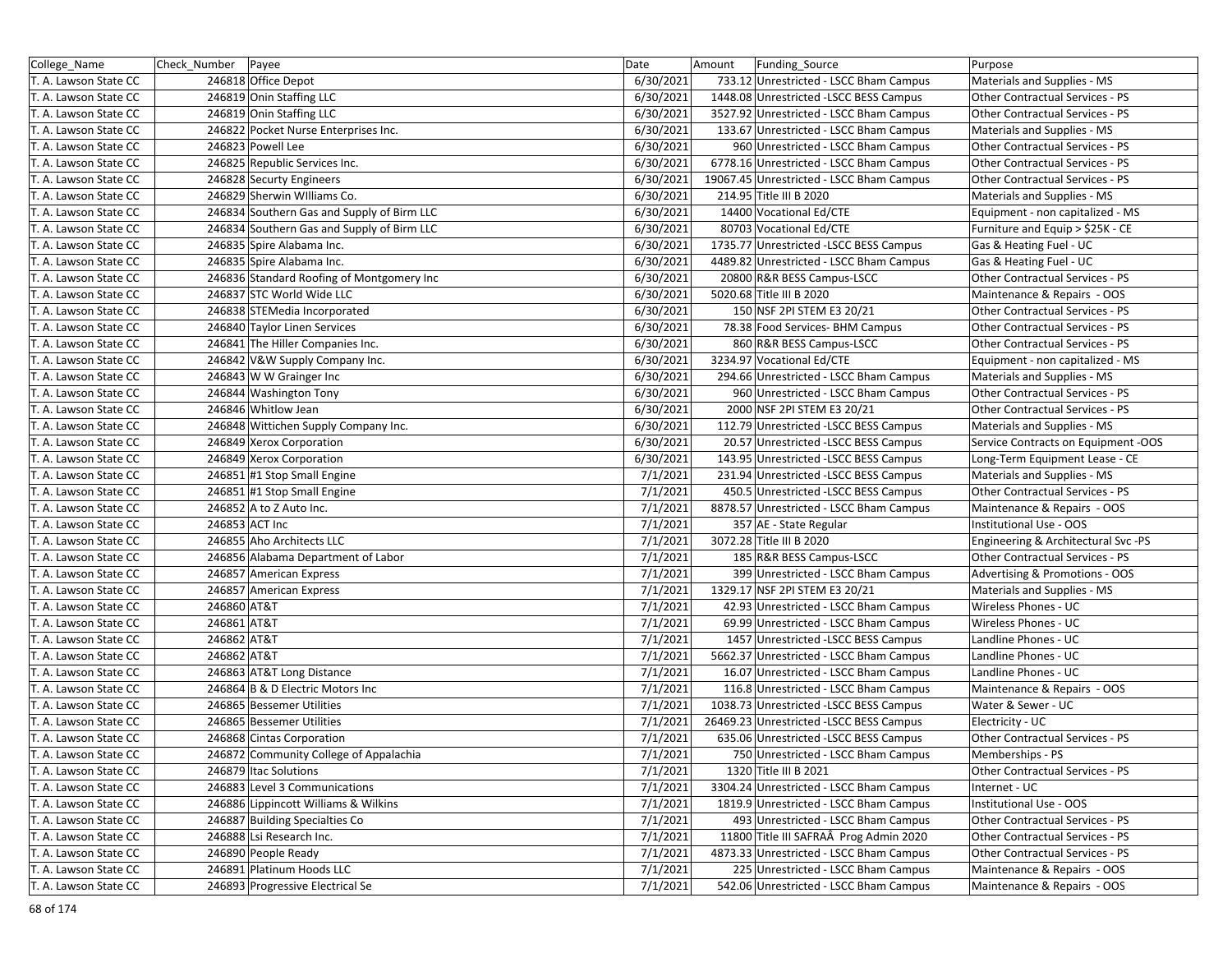| College_Name          | Check Number | Payee                                      | Date      | Amount | Funding_Source                           | Purpose                                |
|-----------------------|--------------|--------------------------------------------|-----------|--------|------------------------------------------|----------------------------------------|
| T. A. Lawson State CC |              | 246818 Office Depot                        | 6/30/2021 |        | 733.12 Unrestricted - LSCC Bham Campus   | Materials and Supplies - MS            |
| T. A. Lawson State CC |              | 246819 Onin Staffing LLC                   | 6/30/2021 |        | 1448.08 Unrestricted -LSCC BESS Campus   | Other Contractual Services - PS        |
| T. A. Lawson State CC |              | 246819 Onin Staffing LLC                   | 6/30/2021 |        | 3527.92 Unrestricted - LSCC Bham Campus  | Other Contractual Services - PS        |
| T. A. Lawson State CC |              | 246822 Pocket Nurse Enterprises Inc.       | 6/30/2021 |        | 133.67 Unrestricted - LSCC Bham Campus   | Materials and Supplies - MS            |
| T. A. Lawson State CC |              | 246823 Powell Lee                          | 6/30/2021 |        | 960 Unrestricted - LSCC Bham Campus      | Other Contractual Services - PS        |
| T. A. Lawson State CC |              | 246825 Republic Services Inc.              | 6/30/2021 |        | 6778.16 Unrestricted - LSCC Bham Campus  | Other Contractual Services - PS        |
| T. A. Lawson State CC |              | 246828 Securty Engineers                   | 6/30/2021 |        | 19067.45 Unrestricted - LSCC Bham Campus | Other Contractual Services - PS        |
| T. A. Lawson State CC |              | 246829 Sherwin Williams Co.                | 6/30/2021 |        | 214.95 Title III B 2020                  | Materials and Supplies - MS            |
| T. A. Lawson State CC |              | 246834 Southern Gas and Supply of Birm LLC | 6/30/2021 |        | 14400 Vocational Ed/CTE                  | Equipment - non capitalized - MS       |
| T. A. Lawson State CC |              | 246834 Southern Gas and Supply of Birm LLC | 6/30/2021 |        | 80703 Vocational Ed/CTE                  | Furniture and Equip > \$25K - CE       |
| T. A. Lawson State CC |              | 246835 Spire Alabama Inc.                  | 6/30/2021 |        | 1735.77 Unrestricted -LSCC BESS Campus   | Gas & Heating Fuel - UC                |
| T. A. Lawson State CC |              | 246835 Spire Alabama Inc.                  | 6/30/2021 |        | 4489.82 Unrestricted - LSCC Bham Campus  | Gas & Heating Fuel - UC                |
| T. A. Lawson State CC |              | 246836 Standard Roofing of Montgomery Inc  | 6/30/2021 |        | 20800 R&R BESS Campus-LSCC               | Other Contractual Services - PS        |
| T. A. Lawson State CC |              | 246837 STC World Wide LLC                  | 6/30/2021 |        | 5020.68 Title III B 2020                 | Maintenance & Repairs - OOS            |
| T. A. Lawson State CC |              | 246838 STEMedia Incorporated               | 6/30/2021 |        | 150 NSF 2PI STEM E3 20/21                | Other Contractual Services - PS        |
| T. A. Lawson State CC |              | 246840 Taylor Linen Services               | 6/30/2021 |        | 78.38 Food Services- BHM Campus          | Other Contractual Services - PS        |
| T. A. Lawson State CC |              | 246841 The Hiller Companies Inc.           | 6/30/2021 |        | 860 R&R BESS Campus-LSCC                 | Other Contractual Services - PS        |
| T. A. Lawson State CC |              | 246842 V&W Supply Company Inc.             | 6/30/2021 |        | 3234.97 Vocational Ed/CTE                | Equipment - non capitalized - MS       |
| T. A. Lawson State CC |              | 246843 W W Grainger Inc                    | 6/30/2021 |        | 294.66 Unrestricted - LSCC Bham Campus   | Materials and Supplies - MS            |
| T. A. Lawson State CC |              | 246844 Washington Tony                     | 6/30/2021 |        | 960 Unrestricted - LSCC Bham Campus      | Other Contractual Services - PS        |
| T. A. Lawson State CC |              | 246846 Whitlow Jean                        | 6/30/2021 |        | 2000 NSF 2PI STEM E3 20/21               | Other Contractual Services - PS        |
| T. A. Lawson State CC |              | 246848 Wittichen Supply Company Inc.       | 6/30/2021 |        | 112.79 Unrestricted -LSCC BESS Campus    | Materials and Supplies - MS            |
| T. A. Lawson State CC |              | 246849 Xerox Corporation                   | 6/30/2021 |        | 20.57 Unrestricted -LSCC BESS Campus     | Service Contracts on Equipment -OOS    |
| T. A. Lawson State CC |              | 246849 Xerox Corporation                   | 6/30/2021 |        | 143.95 Unrestricted -LSCC BESS Campus    | Long-Term Equipment Lease - CE         |
| T. A. Lawson State CC |              | 246851 #1 Stop Small Engine                | 7/1/2021  |        | 231.94 Unrestricted -LSCC BESS Campus    | Materials and Supplies - MS            |
| T. A. Lawson State CC |              | 246851 #1 Stop Small Engine                | 7/1/2021  |        | 450.5 Unrestricted -LSCC BESS Campus     | Other Contractual Services - PS        |
| T. A. Lawson State CC |              | 246852 A to Z Auto Inc.                    | 7/1/2021  |        | 8878.57 Unrestricted - LSCC Bham Campus  | Maintenance & Repairs - OOS            |
| T. A. Lawson State CC |              | 246853 ACT Inc                             | 7/1/2021  |        | 357 AE - State Regular                   | Institutional Use - OOS                |
| T. A. Lawson State CC |              | 246855 Aho Architects LLC                  | 7/1/2021  |        | 3072.28 Title III B 2020                 | Engineering & Architectural Svc -PS    |
| T. A. Lawson State CC |              | 246856 Alabama Department of Labor         | 7/1/2021  |        | 185 R&R BESS Campus-LSCC                 | <b>Other Contractual Services - PS</b> |
| T. A. Lawson State CC |              | 246857 American Express                    | 7/1/2021  |        | 399 Unrestricted - LSCC Bham Campus      | Advertising & Promotions - OOS         |
| T. A. Lawson State CC |              | 246857 American Express                    | 7/1/2021  |        | 1329.17 NSF 2PI STEM E3 20/21            | Materials and Supplies - MS            |
| T. A. Lawson State CC | 246860 AT&T  |                                            | 7/1/2021  |        | 42.93 Unrestricted - LSCC Bham Campus    | Wireless Phones - UC                   |
| T. A. Lawson State CC | 246861 AT&T  |                                            | 7/1/2021  |        | 69.99 Unrestricted - LSCC Bham Campus    | Wireless Phones - UC                   |
| T. A. Lawson State CC | 246862 AT&T  |                                            | 7/1/2021  |        | 1457 Unrestricted -LSCC BESS Campus      | Landline Phones - UC                   |
| T. A. Lawson State CC | 246862 AT&T  |                                            | 7/1/2021  |        | 5662.37 Unrestricted - LSCC Bham Campus  | Landline Phones - UC                   |
| T. A. Lawson State CC |              | 246863 AT&T Long Distance                  | 7/1/2021  |        | 16.07 Unrestricted - LSCC Bham Campus    | Landline Phones - UC                   |
| T. A. Lawson State CC |              | 246864 B & D Electric Motors Inc           | 7/1/2021  |        | 116.8 Unrestricted - LSCC Bham Campus    | Maintenance & Repairs - OOS            |
| T. A. Lawson State CC |              | 246865 Bessemer Utilities                  | 7/1/2021  |        | 1038.73 Unrestricted -LSCC BESS Campus   | Water & Sewer - UC                     |
| T. A. Lawson State CC |              | 246865 Bessemer Utilities                  | 7/1/2021  |        | 26469.23 Unrestricted -LSCC BESS Campus  | Electricity - UC                       |
| T. A. Lawson State CC |              | 246868 Cintas Corporation                  | 7/1/2021  |        | 635.06 Unrestricted -LSCC BESS Campus    | Other Contractual Services - PS        |
| T. A. Lawson State CC |              | 246872 Community College of Appalachia     | 7/1/2021  |        | 750 Unrestricted - LSCC Bham Campus      | Memberships - PS                       |
| T. A. Lawson State CC |              | 246879 Itac Solutions                      | 7/1/2021  |        | 1320 Title III B 2021                    | Other Contractual Services - PS        |
| T. A. Lawson State CC |              | 246883 Level 3 Communications              | 7/1/2021  |        | 3304.24 Unrestricted - LSCC Bham Campus  | Internet - UC                          |
| T. A. Lawson State CC |              | 246886 Lippincott Williams & Wilkins       | 7/1/2021  |        | 1819.9 Unrestricted - LSCC Bham Campus   | Institutional Use - OOS                |
| T. A. Lawson State CC |              | 246887 Building Specialties Co             | 7/1/2021  |        | 493 Unrestricted - LSCC Bham Campus      | Other Contractual Services - PS        |
| T. A. Lawson State CC |              | 246888 Lsi Research Inc.                   | 7/1/2021  |        | 11800 Title III SAFRAÂ Prog Admin 2020   | Other Contractual Services - PS        |
| T. A. Lawson State CC |              | 246890 People Ready                        | 7/1/2021  |        | 4873.33 Unrestricted - LSCC Bham Campus  | Other Contractual Services - PS        |
| T. A. Lawson State CC |              | 246891 Platinum Hoods LLC                  | 7/1/2021  |        | 225 Unrestricted - LSCC Bham Campus      | Maintenance & Repairs - OOS            |
| T. A. Lawson State CC |              | 246893 Progressive Electrical Se           | 7/1/2021  |        | 542.06 Unrestricted - LSCC Bham Campus   | Maintenance & Repairs - OOS            |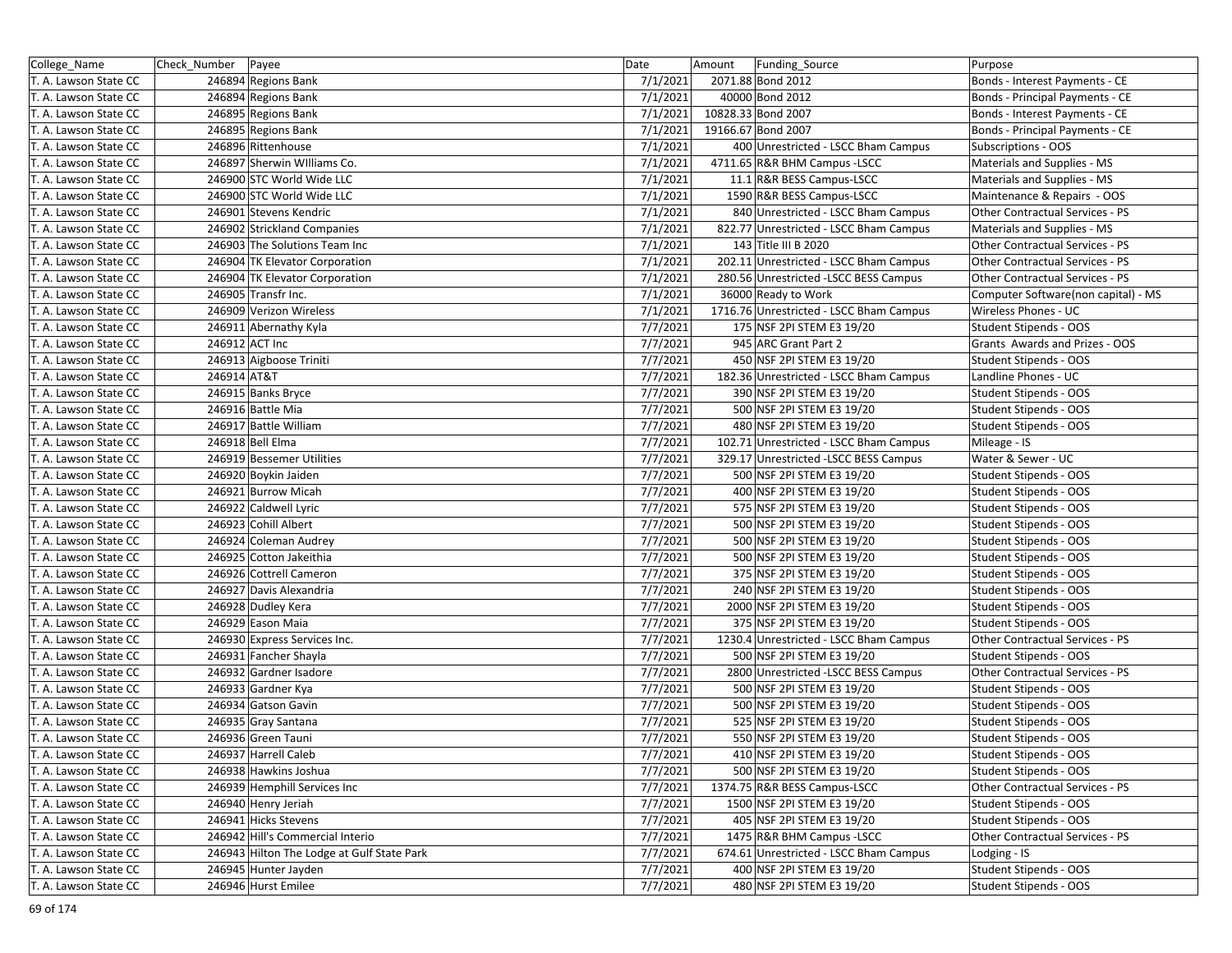| College_Name          | Check_Number   Payee |                                            | Date     | Amount<br>Funding_Source                | Purpose                             |
|-----------------------|----------------------|--------------------------------------------|----------|-----------------------------------------|-------------------------------------|
| T. A. Lawson State CC |                      | 246894 Regions Bank                        | 7/1/2021 | 2071.88 Bond 2012                       | Bonds - Interest Payments - CE      |
| T. A. Lawson State CC |                      | 246894 Regions Bank                        | 7/1/2021 | 40000 Bond 2012                         | Bonds - Principal Payments - CE     |
| T. A. Lawson State CC |                      | 246895 Regions Bank                        | 7/1/2021 | 10828.33 Bond 2007                      | Bonds - Interest Payments - CE      |
| T. A. Lawson State CC |                      | 246895 Regions Bank                        | 7/1/2021 | 19166.67 Bond 2007                      | Bonds - Principal Payments - CE     |
| T. A. Lawson State CC |                      | 246896 Rittenhouse                         | 7/1/2021 | 400 Unrestricted - LSCC Bham Campus     | Subscriptions - OOS                 |
| T. A. Lawson State CC |                      | 246897 Sherwin Williams Co.                | 7/1/2021 | 4711.65 R&R BHM Campus - LSCC           | Materials and Supplies - MS         |
| T. A. Lawson State CC |                      | 246900 STC World Wide LLC                  | 7/1/2021 | 11.1 R&R BESS Campus-LSCC               | Materials and Supplies - MS         |
| T. A. Lawson State CC |                      | 246900 STC World Wide LLC                  | 7/1/2021 | 1590 R&R BESS Campus-LSCC               | Maintenance & Repairs - OOS         |
| T. A. Lawson State CC |                      | 246901 Stevens Kendric                     | 7/1/2021 | 840 Unrestricted - LSCC Bham Campus     | Other Contractual Services - PS     |
| T. A. Lawson State CC |                      | 246902 Strickland Companies                | 7/1/2021 | 822.77 Unrestricted - LSCC Bham Campus  | Materials and Supplies - MS         |
| T. A. Lawson State CC |                      | 246903 The Solutions Team Inc              | 7/1/2021 | 143 Title III B 2020                    | Other Contractual Services - PS     |
| T. A. Lawson State CC |                      | 246904 TK Elevator Corporation             | 7/1/2021 | 202.11 Unrestricted - LSCC Bham Campus  | Other Contractual Services - PS     |
| T. A. Lawson State CC |                      | 246904 TK Elevator Corporation             | 7/1/2021 | 280.56 Unrestricted -LSCC BESS Campus   | Other Contractual Services - PS     |
| T. A. Lawson State CC |                      | 246905 Transfr Inc.                        | 7/1/2021 | 36000 Ready to Work                     | Computer Software(non capital) - MS |
| T. A. Lawson State CC |                      | 246909 Verizon Wireless                    | 7/1/2021 | 1716.76 Unrestricted - LSCC Bham Campus | Wireless Phones - UC                |
| T. A. Lawson State CC |                      | 246911 Abernathy Kyla                      | 7/7/2021 | 175 NSF 2PI STEM E3 19/20               | Student Stipends - OOS              |
| T. A. Lawson State CC |                      | 246912 ACT Inc                             | 7/7/2021 | 945 ARC Grant Part 2                    | Grants Awards and Prizes - OOS      |
| T. A. Lawson State CC |                      | 246913 Aigboose Triniti                    | 7/7/2021 | 450 NSF 2PI STEM E3 19/20               | Student Stipends - OOS              |
| T. A. Lawson State CC | 246914 AT&T          |                                            | 7/7/2021 | 182.36 Unrestricted - LSCC Bham Campus  | Landline Phones - UC                |
| T. A. Lawson State CC |                      | 246915 Banks Bryce                         | 7/7/2021 | 390 NSF 2PI STEM E3 19/20               | Student Stipends - OOS              |
| T. A. Lawson State CC |                      | 246916 Battle Mia                          | 7/7/2021 | 500 NSF 2PI STEM E3 19/20               | Student Stipends - OOS              |
| T. A. Lawson State CC |                      | 246917 Battle William                      | 7/7/2021 | 480 NSF 2PI STEM E3 19/20               | Student Stipends - OOS              |
| T. A. Lawson State CC |                      | 246918 Bell Elma                           | 7/7/2021 | 102.71 Unrestricted - LSCC Bham Campus  | Mileage - IS                        |
| T. A. Lawson State CC |                      | 246919 Bessemer Utilities                  | 7/7/2021 | 329.17 Unrestricted -LSCC BESS Campus   | Water & Sewer - UC                  |
| T. A. Lawson State CC |                      | 246920 Boykin Jaiden                       | 7/7/2021 | 500 NSF 2PI STEM E3 19/20               | Student Stipends - OOS              |
| T. A. Lawson State CC |                      | 246921 Burrow Micah                        | 7/7/2021 | 400 NSF 2PI STEM E3 19/20               | Student Stipends - OOS              |
| T. A. Lawson State CC |                      | 246922 Caldwell Lyric                      | 7/7/2021 | 575 NSF 2PI STEM E3 19/20               | Student Stipends - OOS              |
| T. A. Lawson State CC |                      | 246923 Cohill Albert                       | 7/7/2021 | 500 NSF 2PI STEM E3 19/20               | Student Stipends - OOS              |
| T. A. Lawson State CC |                      | 246924 Coleman Audrey                      | 7/7/2021 | 500 NSF 2PI STEM E3 19/20               | Student Stipends - OOS              |
| T. A. Lawson State CC |                      | 246925 Cotton Jakeithia                    | 7/7/2021 | 500 NSF 2PI STEM E3 19/20               | Student Stipends - OOS              |
| T. A. Lawson State CC |                      | 246926 Cottrell Cameron                    | 7/7/2021 | 375 NSF 2PI STEM E3 19/20               | Student Stipends - OOS              |
| T. A. Lawson State CC |                      | 246927 Davis Alexandria                    | 7/7/2021 | 240 NSF 2PI STEM E3 19/20               | Student Stipends - OOS              |
| T. A. Lawson State CC |                      | 246928 Dudley Kera                         | 7/7/2021 | 2000 NSF 2PI STEM E3 19/20              | Student Stipends - OOS              |
| T. A. Lawson State CC |                      | 246929 Eason Maia                          | 7/7/2021 | 375 NSF 2PI STEM E3 19/20               | Student Stipends - OOS              |
| T. A. Lawson State CC |                      | 246930 Express Services Inc.               | 7/7/2021 | 1230.4 Unrestricted - LSCC Bham Campus  | Other Contractual Services - PS     |
| T. A. Lawson State CC |                      | 246931 Fancher Shayla                      | 7/7/2021 | 500 NSF 2PI STEM E3 19/20               | Student Stipends - OOS              |
| T. A. Lawson State CC |                      | 246932 Gardner Isadore                     | 7/7/2021 | 2800 Unrestricted -LSCC BESS Campus     | Other Contractual Services - PS     |
| T. A. Lawson State CC |                      | 246933 Gardner Kya                         | 7/7/2021 | 500 NSF 2PI STEM E3 19/20               | Student Stipends - OOS              |
| T. A. Lawson State CC |                      | 246934 Gatson Gavin                        | 7/7/2021 | 500 NSF 2PI STEM E3 19/20               | Student Stipends - OOS              |
| T. A. Lawson State CC |                      | 246935 Gray Santana                        | 7/7/2021 | 525 NSF 2PI STEM E3 19/20               | Student Stipends - OOS              |
| T. A. Lawson State CC |                      | 246936 Green Tauni                         | 7/7/2021 | 550 NSF 2PI STEM E3 19/20               | Student Stipends - OOS              |
| T. A. Lawson State CC |                      | 246937 Harrell Caleb                       | 7/7/2021 | 410 NSF 2PI STEM E3 19/20               | Student Stipends - OOS              |
| T. A. Lawson State CC |                      | 246938 Hawkins Joshua                      | 7/7/2021 | 500 NSF 2PI STEM E3 19/20               | Student Stipends - OOS              |
| T. A. Lawson State CC |                      | 246939 Hemphill Services Inc               | 7/7/2021 | 1374.75 R&R BESS Campus-LSCC            | Other Contractual Services - PS     |
| T. A. Lawson State CC |                      | 246940 Henry Jeriah                        | 7/7/2021 | 1500 NSF 2PI STEM E3 19/20              | Student Stipends - OOS              |
| T. A. Lawson State CC |                      | 246941 Hicks Stevens                       | 7/7/2021 | 405 NSF 2PI STEM E3 19/20               | <b>Student Stipends - OOS</b>       |
| T. A. Lawson State CC |                      | 246942 Hill's Commercial Interio           | 7/7/2021 | 1475 R&R BHM Campus - LSCC              | Other Contractual Services - PS     |
| T. A. Lawson State CC |                      | 246943 Hilton The Lodge at Gulf State Park | 7/7/2021 | 674.61 Unrestricted - LSCC Bham Campus  | Lodging - IS                        |
| T. A. Lawson State CC |                      | 246945 Hunter Jayden                       | 7/7/2021 | 400 NSF 2PI STEM E3 19/20               | Student Stipends - OOS              |
| T. A. Lawson State CC |                      | 246946 Hurst Emilee                        | 7/7/2021 | 480 NSF 2PI STEM E3 19/20               | Student Stipends - OOS              |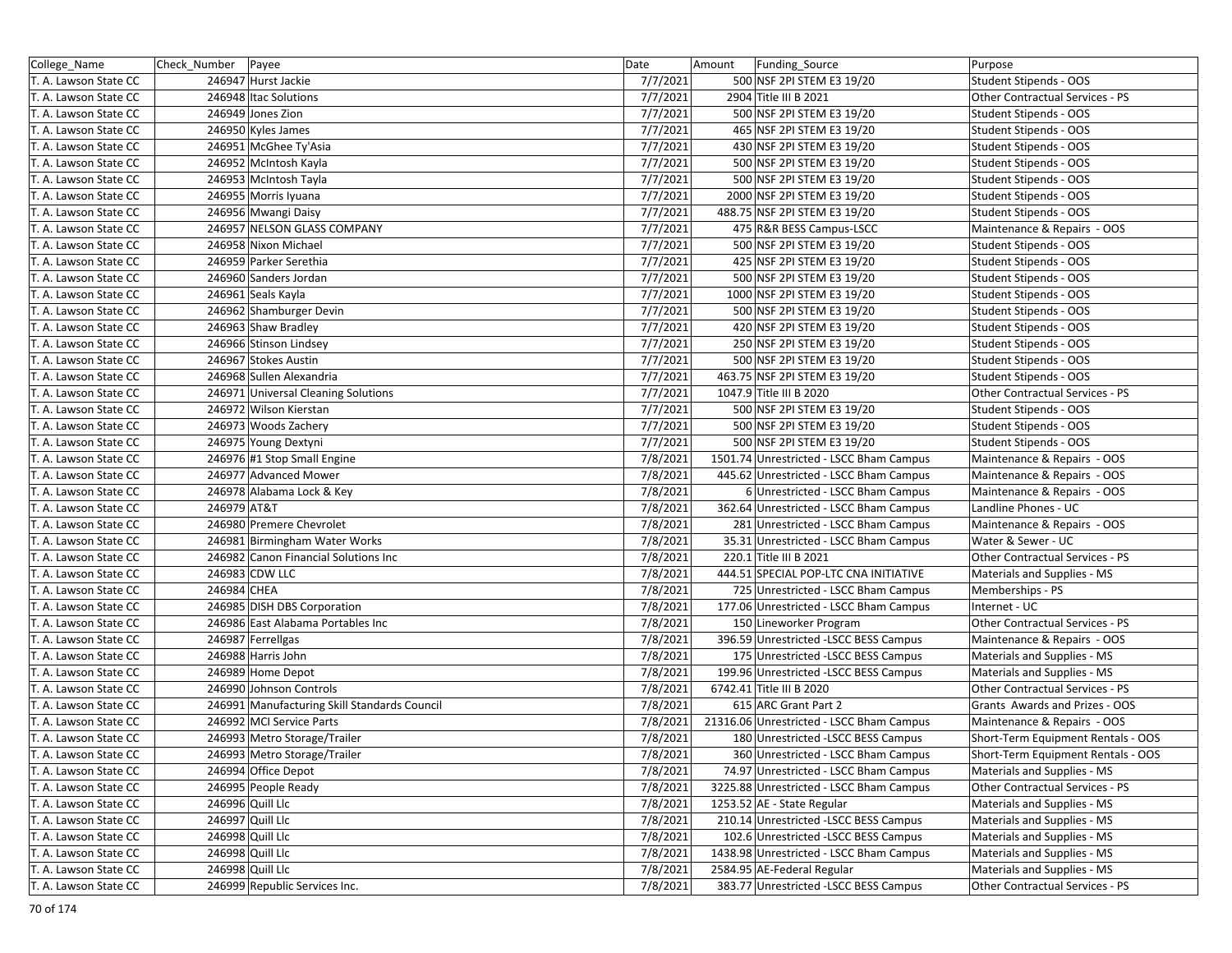| College_Name          | Check_Number   Payee                         | Date     | Amount | Funding_Source                           | Purpose                            |
|-----------------------|----------------------------------------------|----------|--------|------------------------------------------|------------------------------------|
| T. A. Lawson State CC | 246947 Hurst Jackie                          | 7/7/2021 |        | 500 NSF 2PI STEM E3 19/20                | Student Stipends - OOS             |
| T. A. Lawson State CC | 246948 Itac Solutions                        | 7/7/2021 |        | 2904 Title III B 2021                    | Other Contractual Services - PS    |
| T. A. Lawson State CC | 246949 Jones Zion                            | 7/7/2021 |        | 500 NSF 2PI STEM E3 19/20                | Student Stipends - OOS             |
| T. A. Lawson State CC | 246950 Kyles James                           | 7/7/2021 |        | 465 NSF 2PI STEM E3 19/20                | Student Stipends - OOS             |
| T. A. Lawson State CC | 246951 McGhee Ty'Asia                        | 7/7/2021 |        | 430 NSF 2PI STEM E3 19/20                | Student Stipends - OOS             |
| T. A. Lawson State CC | 246952 McIntosh Kayla                        | 7/7/2021 |        | 500 NSF 2PI STEM E3 19/20                | Student Stipends - OOS             |
| T. A. Lawson State CC | 246953 McIntosh Tayla                        | 7/7/2021 |        | 500 NSF 2PI STEM E3 19/20                | Student Stipends - OOS             |
| T. A. Lawson State CC | 246955 Morris Iyuana                         | 7/7/2021 |        | 2000 NSF 2PI STEM E3 19/20               | Student Stipends - OOS             |
| T. A. Lawson State CC | 246956 Mwangi Daisy                          | 7/7/2021 |        | 488.75 NSF 2PI STEM E3 19/20             | Student Stipends - OOS             |
| T. A. Lawson State CC | 246957 NELSON GLASS COMPANY                  | 7/7/2021 |        | 475 R&R BESS Campus-LSCC                 | Maintenance & Repairs - OOS        |
| T. A. Lawson State CC | 246958 Nixon Michael                         | 7/7/2021 |        | 500 NSF 2PI STEM E3 19/20                | Student Stipends - OOS             |
| T. A. Lawson State CC | 246959 Parker Serethia                       | 7/7/2021 |        | 425 NSF 2PI STEM E3 19/20                | Student Stipends - OOS             |
| T. A. Lawson State CC | 246960 Sanders Jordan                        | 7/7/2021 |        | 500 NSF 2PI STEM E3 19/20                | Student Stipends - OOS             |
| T. A. Lawson State CC | 246961 Seals Kayla                           | 7/7/2021 |        | 1000 NSF 2PI STEM E3 19/20               | Student Stipends - OOS             |
| T. A. Lawson State CC | 246962 Shamburger Devin                      | 7/7/2021 |        | 500 NSF 2PI STEM E3 19/20                | Student Stipends - OOS             |
| T. A. Lawson State CC | 246963 Shaw Bradley                          | 7/7/2021 |        | 420 NSF 2PI STEM E3 19/20                | Student Stipends - OOS             |
| T. A. Lawson State CC | 246966 Stinson Lindsey                       | 7/7/2021 |        | 250 NSF 2PI STEM E3 19/20                | Student Stipends - OOS             |
| T. A. Lawson State CC | 246967 Stokes Austin                         | 7/7/2021 |        | 500 NSF 2PI STEM E3 19/20                | Student Stipends - OOS             |
| T. A. Lawson State CC | 246968 Sullen Alexandria                     | 7/7/2021 |        | 463.75 NSF 2PI STEM E3 19/20             | Student Stipends - OOS             |
| T. A. Lawson State CC | 246971 Universal Cleaning Solutions          | 7/7/2021 |        | 1047.9 Title III B 2020                  | Other Contractual Services - PS    |
| T. A. Lawson State CC | 246972 Wilson Kierstan                       | 7/7/2021 |        | 500 NSF 2PI STEM E3 19/20                | Student Stipends - OOS             |
| T. A. Lawson State CC | 246973 Woods Zachery                         | 7/7/2021 |        | 500 NSF 2PI STEM E3 19/20                | Student Stipends - OOS             |
| T. A. Lawson State CC | 246975 Young Dextyni                         | 7/7/2021 |        | 500 NSF 2PI STEM E3 19/20                | Student Stipends - OOS             |
| T. A. Lawson State CC | 246976 #1 Stop Small Engine                  | 7/8/2021 |        | 1501.74 Unrestricted - LSCC Bham Campus  | Maintenance & Repairs - OOS        |
| T. A. Lawson State CC | 246977 Advanced Mower                        | 7/8/2021 |        | 445.62 Unrestricted - LSCC Bham Campus   | Maintenance & Repairs - OOS        |
| T. A. Lawson State CC | 246978 Alabama Lock & Key                    | 7/8/2021 |        | 6 Unrestricted - LSCC Bham Campus        | Maintenance & Repairs - OOS        |
| T. A. Lawson State CC | 246979 AT&T                                  | 7/8/2021 |        | 362.64 Unrestricted - LSCC Bham Campus   | Landline Phones - UC               |
| T. A. Lawson State CC | 246980 Premere Chevrolet                     | 7/8/2021 |        | 281 Unrestricted - LSCC Bham Campus      | Maintenance & Repairs - OOS        |
| T. A. Lawson State CC | 246981 Birmingham Water Works                | 7/8/2021 |        | 35.31 Unrestricted - LSCC Bham Campus    | Water & Sewer - UC                 |
| T. A. Lawson State CC | 246982 Canon Financial Solutions Inc         | 7/8/2021 |        | 220.1 Title III B 2021                   | Other Contractual Services - PS    |
| T. A. Lawson State CC | 246983 CDW LLC                               | 7/8/2021 |        | 444.51 SPECIAL POP-LTC CNA INITIATIVE    | Materials and Supplies - MS        |
| T. A. Lawson State CC | 246984 CHEA                                  | 7/8/2021 |        | 725 Unrestricted - LSCC Bham Campus      | Memberships - PS                   |
| T. A. Lawson State CC | 246985 DISH DBS Corporation                  | 7/8/2021 |        | 177.06 Unrestricted - LSCC Bham Campus   | Internet - UC                      |
| T. A. Lawson State CC | 246986 East Alabama Portables Inc            | 7/8/2021 |        | 150 Lineworker Program                   | Other Contractual Services - PS    |
| T. A. Lawson State CC | 246987 Ferrellgas                            | 7/8/2021 |        | 396.59 Unrestricted -LSCC BESS Campus    | Maintenance & Repairs - OOS        |
| T. A. Lawson State CC | 246988 Harris John                           | 7/8/2021 |        | 175 Unrestricted -LSCC BESS Campus       | Materials and Supplies - MS        |
| T. A. Lawson State CC | 246989 Home Depot                            | 7/8/2021 |        | 199.96 Unrestricted -LSCC BESS Campus    | Materials and Supplies - MS        |
| T. A. Lawson State CC | 246990 Johnson Controls                      | 7/8/2021 |        | 6742.41 Title III B 2020                 | Other Contractual Services - PS    |
| T. A. Lawson State CC | 246991 Manufacturing Skill Standards Council | 7/8/2021 |        | 615 ARC Grant Part 2                     | Grants Awards and Prizes - OOS     |
| T. A. Lawson State CC | 246992 MCI Service Parts                     | 7/8/2021 |        | 21316.06 Unrestricted - LSCC Bham Campus | Maintenance & Repairs - OOS        |
| T. A. Lawson State CC | 246993 Metro Storage/Trailer                 | 7/8/2021 |        | 180 Unrestricted - LSCC BESS Campus      | Short-Term Equipment Rentals - OOS |
| T. A. Lawson State CC | 246993 Metro Storage/Trailer                 | 7/8/2021 |        | 360 Unrestricted - LSCC Bham Campus      | Short-Term Equipment Rentals - OOS |
| T. A. Lawson State CC | 246994 Office Depot                          | 7/8/2021 |        | 74.97 Unrestricted - LSCC Bham Campus    | Materials and Supplies - MS        |
| T. A. Lawson State CC | 246995 People Ready                          | 7/8/2021 |        | 3225.88 Unrestricted - LSCC Bham Campus  | Other Contractual Services - PS    |
| T. A. Lawson State CC | 246996 Quill Llc                             | 7/8/2021 |        | 1253.52 AE - State Regular               | Materials and Supplies - MS        |
| T. A. Lawson State CC | 246997 Quill Llc                             | 7/8/2021 |        | 210.14 Unrestricted -LSCC BESS Campus    | Materials and Supplies - MS        |
| T. A. Lawson State CC | 246998 Quill Llc                             | 7/8/2021 |        | 102.6 Unrestricted -LSCC BESS Campus     | Materials and Supplies - MS        |
| T. A. Lawson State CC | 246998 Quill Llc                             | 7/8/2021 |        | 1438.98 Unrestricted - LSCC Bham Campus  | Materials and Supplies - MS        |
| T. A. Lawson State CC | 246998 Quill Llc                             | 7/8/2021 |        | 2584.95 AE-Federal Regular               | Materials and Supplies - MS        |
| T. A. Lawson State CC | 246999 Republic Services Inc.                | 7/8/2021 |        | 383.77 Unrestricted -LSCC BESS Campus    | Other Contractual Services - PS    |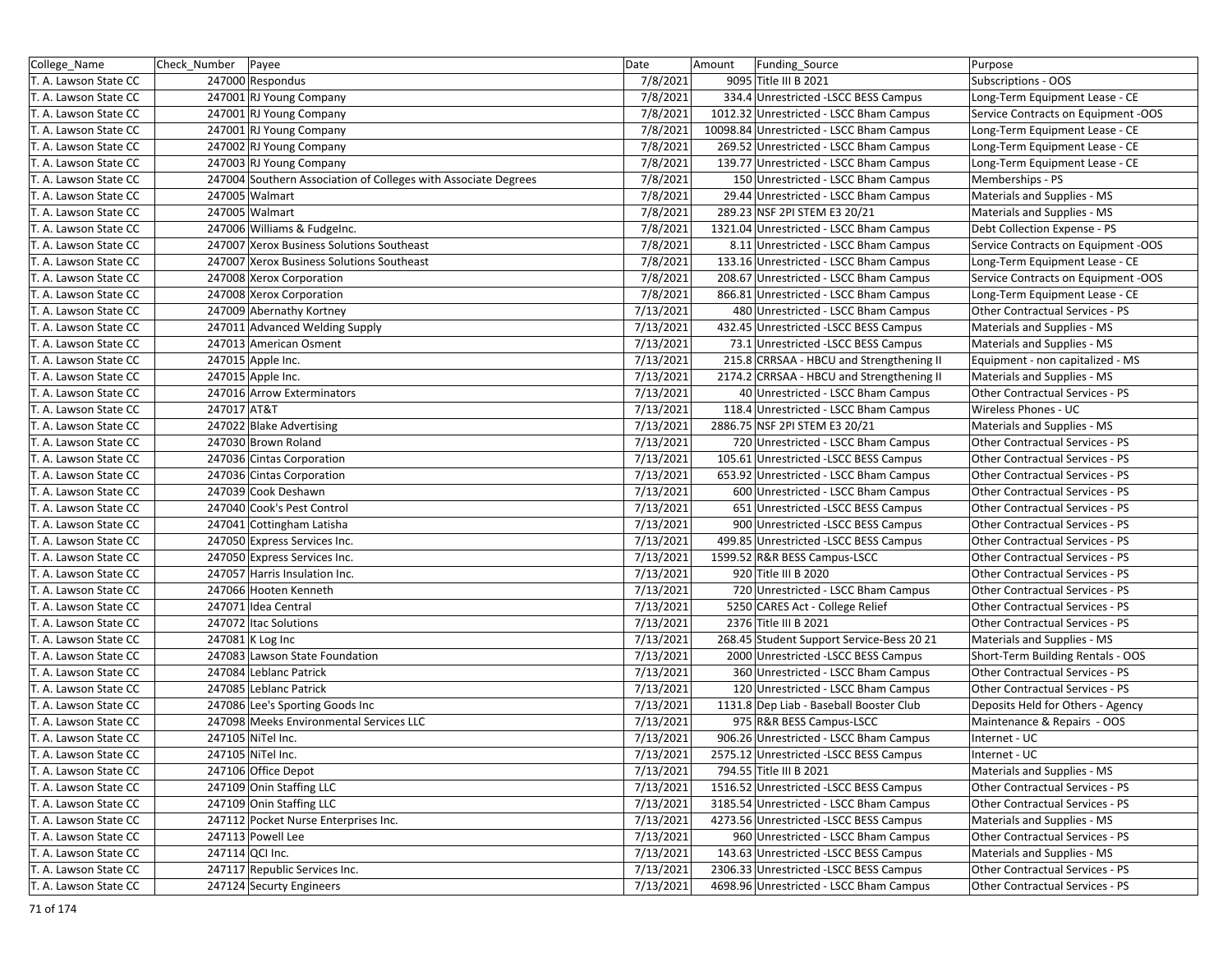| College_Name          | Check_Number   Payee |                                                                | Date      | Amount | Funding_Source                            | Purpose                                |
|-----------------------|----------------------|----------------------------------------------------------------|-----------|--------|-------------------------------------------|----------------------------------------|
| T. A. Lawson State CC |                      | 247000 Respondus                                               | 7/8/2021  |        | 9095 Title III B 2021                     | <b>Subscriptions - OOS</b>             |
| T. A. Lawson State CC |                      | 247001 RJ Young Company                                        | 7/8/2021  |        | 334.4 Unrestricted -LSCC BESS Campus      | Long-Term Equipment Lease - CE         |
| T. A. Lawson State CC |                      | 247001 RJ Young Company                                        | 7/8/2021  |        | 1012.32 Unrestricted - LSCC Bham Campus   | Service Contracts on Equipment -OOS    |
| T. A. Lawson State CC |                      | 247001 RJ Young Company                                        | 7/8/2021  |        | 10098.84 Unrestricted - LSCC Bham Campus  | Long-Term Equipment Lease - CE         |
| T. A. Lawson State CC |                      | 247002 RJ Young Company                                        | 7/8/2021  |        | 269.52 Unrestricted - LSCC Bham Campus    | Long-Term Equipment Lease - CE         |
| T. A. Lawson State CC |                      | 247003 RJ Young Company                                        | 7/8/2021  |        | 139.77 Unrestricted - LSCC Bham Campus    | Long-Term Equipment Lease - CE         |
| T. A. Lawson State CC |                      | 247004 Southern Association of Colleges with Associate Degrees | 7/8/2021  |        | 150 Unrestricted - LSCC Bham Campus       | Memberships - PS                       |
| T. A. Lawson State CC |                      | 247005 Walmart                                                 | 7/8/2021  |        | 29.44 Unrestricted - LSCC Bham Campus     | Materials and Supplies - MS            |
| T. A. Lawson State CC |                      | 247005 Walmart                                                 | 7/8/2021  |        | 289.23 NSF 2PI STEM E3 20/21              | Materials and Supplies - MS            |
| T. A. Lawson State CC |                      | 247006 Williams & FudgeInc.                                    | 7/8/2021  |        | 1321.04 Unrestricted - LSCC Bham Campus   | Debt Collection Expense - PS           |
| T. A. Lawson State CC |                      | 247007 Xerox Business Solutions Southeast                      | 7/8/2021  |        | 8.11 Unrestricted - LSCC Bham Campus      | Service Contracts on Equipment -OOS    |
| T. A. Lawson State CC |                      | 247007 Xerox Business Solutions Southeast                      | 7/8/2021  |        | 133.16 Unrestricted - LSCC Bham Campus    | Long-Term Equipment Lease - CE         |
| T. A. Lawson State CC |                      | 247008 Xerox Corporation                                       | 7/8/2021  |        | 208.67 Unrestricted - LSCC Bham Campus    | Service Contracts on Equipment -OOS    |
| T. A. Lawson State CC |                      | 247008 Xerox Corporation                                       | 7/8/2021  |        | 866.81 Unrestricted - LSCC Bham Campus    | Long-Term Equipment Lease - CE         |
| T. A. Lawson State CC |                      | 247009 Abernathy Kortney                                       | 7/13/2021 |        | 480 Unrestricted - LSCC Bham Campus       | Other Contractual Services - PS        |
| T. A. Lawson State CC |                      | 247011 Advanced Welding Supply                                 | 7/13/2021 |        | 432.45 Unrestricted -LSCC BESS Campus     | Materials and Supplies - MS            |
| T. A. Lawson State CC |                      | 247013 American Osment                                         | 7/13/2021 |        | 73.1 Unrestricted -LSCC BESS Campus       | Materials and Supplies - MS            |
| T. A. Lawson State CC |                      | 247015 Apple Inc.                                              | 7/13/2021 |        | 215.8 CRRSAA - HBCU and Strengthening II  | Equipment - non capitalized - MS       |
| T. A. Lawson State CC |                      | 247015 Apple Inc.                                              | 7/13/2021 |        | 2174.2 CRRSAA - HBCU and Strengthening II | Materials and Supplies - MS            |
| T. A. Lawson State CC |                      | 247016 Arrow Exterminators                                     | 7/13/2021 |        | 40 Unrestricted - LSCC Bham Campus        | Other Contractual Services - PS        |
| T. A. Lawson State CC | 247017 AT&T          |                                                                | 7/13/2021 |        | 118.4 Unrestricted - LSCC Bham Campus     | Wireless Phones - UC                   |
| T. A. Lawson State CC |                      | 247022 Blake Advertising                                       | 7/13/2021 |        | 2886.75 NSF 2PI STEM E3 20/21             | Materials and Supplies - MS            |
| T. A. Lawson State CC |                      | 247030 Brown Roland                                            | 7/13/2021 |        | 720 Unrestricted - LSCC Bham Campus       | Other Contractual Services - PS        |
| T. A. Lawson State CC |                      | 247036 Cintas Corporation                                      | 7/13/2021 |        | 105.61 Unrestricted -LSCC BESS Campus     | Other Contractual Services - PS        |
| T. A. Lawson State CC |                      | 247036 Cintas Corporation                                      | 7/13/2021 |        | 653.92 Unrestricted - LSCC Bham Campus    | Other Contractual Services - PS        |
| T. A. Lawson State CC |                      | 247039 Cook Deshawn                                            | 7/13/2021 |        | 600 Unrestricted - LSCC Bham Campus       | Other Contractual Services - PS        |
| T. A. Lawson State CC |                      | 247040 Cook's Pest Control                                     | 7/13/2021 |        | 651 Unrestricted -LSCC BESS Campus        | <b>Other Contractual Services - PS</b> |
| T. A. Lawson State CC |                      | 247041 Cottingham Latisha                                      | 7/13/2021 |        | 900 Unrestricted -LSCC BESS Campus        | Other Contractual Services - PS        |
| T. A. Lawson State CC |                      | 247050 Express Services Inc.                                   | 7/13/2021 |        | 499.85 Unrestricted -LSCC BESS Campus     | Other Contractual Services - PS        |
| T. A. Lawson State CC |                      | 247050 Express Services Inc.                                   | 7/13/2021 |        | 1599.52 R&R BESS Campus-LSCC              | Other Contractual Services - PS        |
| T. A. Lawson State CC |                      | 247057 Harris Insulation Inc.                                  | 7/13/2021 |        | 920 Title III B 2020                      | Other Contractual Services - PS        |
| T. A. Lawson State CC |                      | 247066 Hooten Kenneth                                          | 7/13/2021 |        | 720 Unrestricted - LSCC Bham Campus       | Other Contractual Services - PS        |
| T. A. Lawson State CC |                      | 247071 Idea Central                                            | 7/13/2021 |        | 5250 CARES Act - College Relief           | Other Contractual Services - PS        |
| T. A. Lawson State CC |                      | 247072 Itac Solutions                                          | 7/13/2021 |        | 2376 Title III B 2021                     | Other Contractual Services - PS        |
| T. A. Lawson State CC |                      | 247081 K Log Inc                                               | 7/13/2021 |        | 268.45 Student Support Service-Bess 20 21 | Materials and Supplies - MS            |
| T. A. Lawson State CC |                      | 247083 Lawson State Foundation                                 | 7/13/2021 |        | 2000 Unrestricted -LSCC BESS Campus       | Short-Term Building Rentals - OOS      |
| T. A. Lawson State CC |                      | 247084 Leblanc Patrick                                         | 7/13/2021 |        | 360 Unrestricted - LSCC Bham Campus       | Other Contractual Services - PS        |
| T. A. Lawson State CC |                      | 247085 Leblanc Patrick                                         | 7/13/2021 |        | 120 Unrestricted - LSCC Bham Campus       | Other Contractual Services - PS        |
| T. A. Lawson State CC |                      | 247086 Lee's Sporting Goods Inc                                | 7/13/2021 |        | 1131.8 Dep Liab - Baseball Booster Club   | Deposits Held for Others - Agency      |
| T. A. Lawson State CC |                      | 247098 Meeks Environmental Services LLC                        | 7/13/2021 |        | 975 R&R BESS Campus-LSCC                  | Maintenance & Repairs - OOS            |
| T. A. Lawson State CC |                      | 247105 NiTel Inc.                                              | 7/13/2021 |        | 906.26 Unrestricted - LSCC Bham Campus    | Internet - UC                          |
| T. A. Lawson State CC |                      | 247105 NiTel Inc.                                              | 7/13/2021 |        | 2575.12 Unrestricted -LSCC BESS Campus    | Internet - UC                          |
| T. A. Lawson State CC |                      | 247106 Office Depot                                            | 7/13/2021 |        | 794.55 Title III B 2021                   | Materials and Supplies - MS            |
| T. A. Lawson State CC |                      | 247109 Onin Staffing LLC                                       | 7/13/2021 |        | 1516.52 Unrestricted -LSCC BESS Campus    | Other Contractual Services - PS        |
| T. A. Lawson State CC |                      | 247109 Onin Staffing LLC                                       | 7/13/2021 |        | 3185.54 Unrestricted - LSCC Bham Campus   | Other Contractual Services - PS        |
| T. A. Lawson State CC |                      | 247112 Pocket Nurse Enterprises Inc.                           | 7/13/2021 |        | 4273.56 Unrestricted -LSCC BESS Campus    | Materials and Supplies - MS            |
| T. A. Lawson State CC |                      | 247113 Powell Lee                                              | 7/13/2021 |        | 960 Unrestricted - LSCC Bham Campus       | Other Contractual Services - PS        |
| T. A. Lawson State CC |                      | 247114 QCI Inc.                                                | 7/13/2021 |        | 143.63 Unrestricted -LSCC BESS Campus     | Materials and Supplies - MS            |
| T. A. Lawson State CC |                      | 247117 Republic Services Inc.                                  | 7/13/2021 |        | 2306.33 Unrestricted -LSCC BESS Campus    | Other Contractual Services - PS        |
| T. A. Lawson State CC |                      | 247124 Securty Engineers                                       | 7/13/2021 |        | 4698.96 Unrestricted - LSCC Bham Campus   | Other Contractual Services - PS        |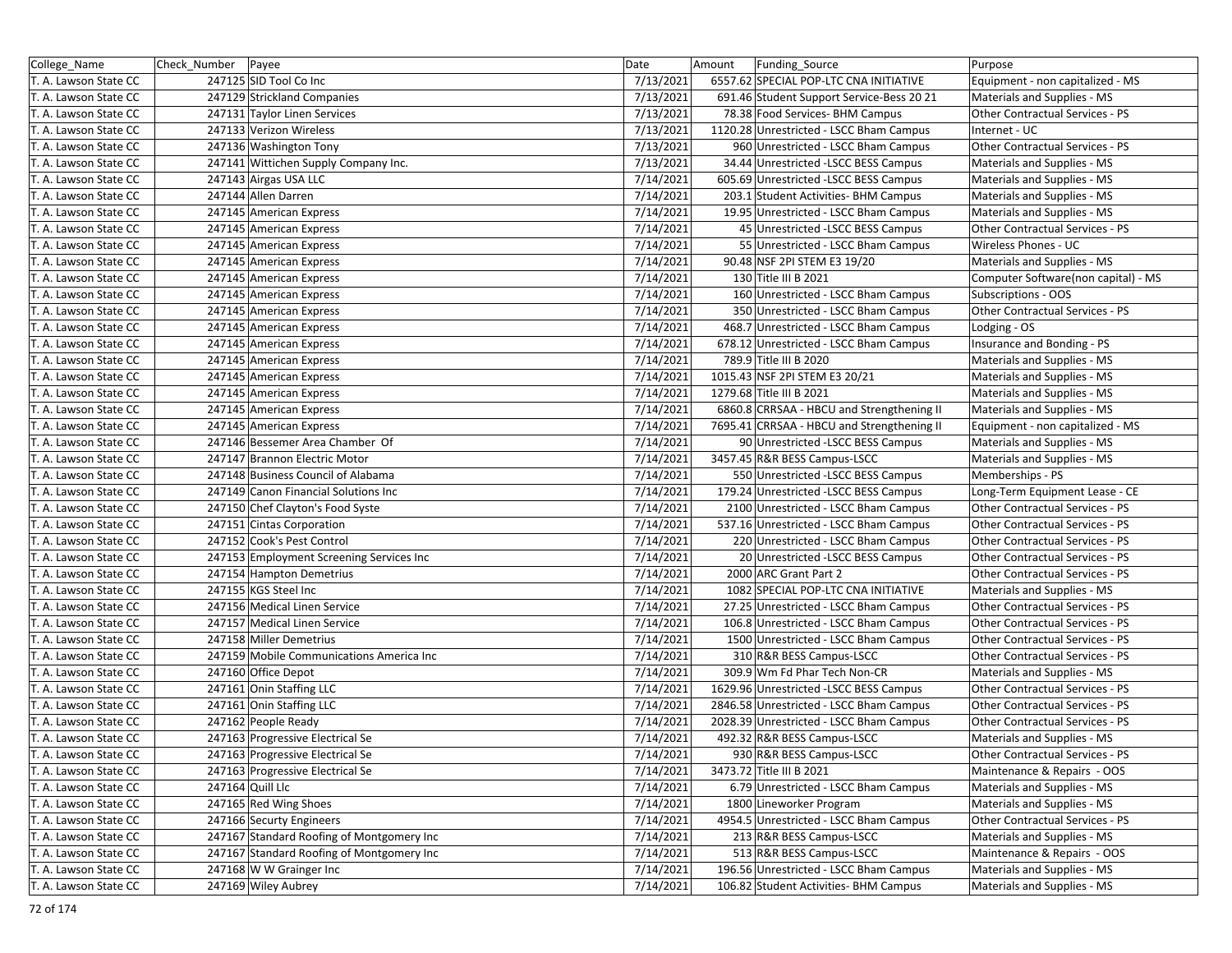| College Name          | Check_Number   Payee |                                           | Date      | Amount<br>Funding Source                   | Purpose                                |
|-----------------------|----------------------|-------------------------------------------|-----------|--------------------------------------------|----------------------------------------|
| T. A. Lawson State CC |                      | 247125 SID Tool Co Inc                    | 7/13/2021 | 6557.62 SPECIAL POP-LTC CNA INITIATIVE     | Equipment - non capitalized - MS       |
| T. A. Lawson State CC |                      | 247129 Strickland Companies               | 7/13/2021 | 691.46 Student Support Service-Bess 20 21  | Materials and Supplies - MS            |
| T. A. Lawson State CC |                      | 247131 Taylor Linen Services              | 7/13/2021 | 78.38 Food Services- BHM Campus            | Other Contractual Services - PS        |
| T. A. Lawson State CC |                      | 247133 Verizon Wireless                   | 7/13/2021 | 1120.28 Unrestricted - LSCC Bham Campus    | Internet - UC                          |
| T. A. Lawson State CC |                      | 247136 Washington Tony                    | 7/13/2021 | 960 Unrestricted - LSCC Bham Campus        | Other Contractual Services - PS        |
| T. A. Lawson State CC |                      | 247141 Wittichen Supply Company Inc.      | 7/13/2021 | 34.44 Unrestricted -LSCC BESS Campus       | Materials and Supplies - MS            |
| T. A. Lawson State CC |                      | 247143 Airgas USA LLC                     | 7/14/2021 | 605.69 Unrestricted -LSCC BESS Campus      | Materials and Supplies - MS            |
| T. A. Lawson State CC |                      | 247144 Allen Darren                       | 7/14/2021 | 203.1 Student Activities- BHM Campus       | Materials and Supplies - MS            |
| T. A. Lawson State CC |                      | 247145 American Express                   | 7/14/2021 | 19.95 Unrestricted - LSCC Bham Campus      | Materials and Supplies - MS            |
| T. A. Lawson State CC |                      | 247145 American Express                   | 7/14/2021 | 45 Unrestricted - LSCC BESS Campus         | Other Contractual Services - PS        |
| T. A. Lawson State CC |                      | 247145 American Express                   | 7/14/2021 | 55 Unrestricted - LSCC Bham Campus         | Wireless Phones - UC                   |
| T. A. Lawson State CC |                      | 247145 American Express                   | 7/14/2021 | 90.48 NSF 2PI STEM E3 19/20                | Materials and Supplies - MS            |
| T. A. Lawson State CC |                      | 247145 American Express                   | 7/14/2021 | 130 Title III B 2021                       | Computer Software(non capital) - MS    |
| T. A. Lawson State CC |                      | 247145 American Express                   | 7/14/2021 | 160 Unrestricted - LSCC Bham Campus        | Subscriptions - OOS                    |
| T. A. Lawson State CC |                      | 247145 American Express                   | 7/14/2021 | 350 Unrestricted - LSCC Bham Campus        | Other Contractual Services - PS        |
| T. A. Lawson State CC |                      | 247145 American Express                   | 7/14/2021 | 468.7 Unrestricted - LSCC Bham Campus      | Lodging - OS                           |
| T. A. Lawson State CC |                      | 247145 American Express                   | 7/14/2021 | 678.12 Unrestricted - LSCC Bham Campus     | Insurance and Bonding - PS             |
| T. A. Lawson State CC |                      | 247145 American Express                   | 7/14/2021 | 789.9 Title III B 2020                     | Materials and Supplies - MS            |
| T. A. Lawson State CC |                      | 247145 American Express                   | 7/14/2021 | 1015.43 NSF 2PI STEM E3 20/21              | Materials and Supplies - MS            |
| T. A. Lawson State CC |                      | 247145 American Express                   | 7/14/2021 | 1279.68 Title III B 2021                   | Materials and Supplies - MS            |
| T. A. Lawson State CC |                      | 247145 American Express                   | 7/14/2021 | 6860.8 CRRSAA - HBCU and Strengthening II  | Materials and Supplies - MS            |
| T. A. Lawson State CC |                      | 247145 American Express                   | 7/14/2021 | 7695.41 CRRSAA - HBCU and Strengthening II | Equipment - non capitalized - MS       |
| T. A. Lawson State CC |                      | 247146 Bessemer Area Chamber Of           | 7/14/2021 | 90 Unrestricted - LSCC BESS Campus         | Materials and Supplies - MS            |
| T. A. Lawson State CC |                      | 247147 Brannon Electric Motor             | 7/14/2021 | 3457.45 R&R BESS Campus-LSCC               | Materials and Supplies - MS            |
| T. A. Lawson State CC |                      | 247148 Business Council of Alabama        | 7/14/2021 | 550 Unrestricted -LSCC BESS Campus         | Memberships - PS                       |
| T. A. Lawson State CC |                      | 247149 Canon Financial Solutions Inc      | 7/14/2021 | 179.24 Unrestricted -LSCC BESS Campus      | Long-Term Equipment Lease - CE         |
| T. A. Lawson State CC |                      | 247150 Chef Clayton's Food Syste          | 7/14/2021 | 2100 Unrestricted - LSCC Bham Campus       | Other Contractual Services - PS        |
| T. A. Lawson State CC |                      | 247151 Cintas Corporation                 | 7/14/2021 | 537.16 Unrestricted - LSCC Bham Campus     | Other Contractual Services - PS        |
| T. A. Lawson State CC |                      | 247152 Cook's Pest Control                | 7/14/2021 | 220 Unrestricted - LSCC Bham Campus        | Other Contractual Services - PS        |
| T. A. Lawson State CC |                      | 247153 Employment Screening Services Inc  | 7/14/2021 | 20 Unrestricted - LSCC BESS Campus         | Other Contractual Services - PS        |
| T. A. Lawson State CC |                      | 247154 Hampton Demetrius                  | 7/14/2021 | 2000 ARC Grant Part 2                      | Other Contractual Services - PS        |
| T. A. Lawson State CC |                      | 247155 KGS Steel Inc                      | 7/14/2021 | 1082 SPECIAL POP-LTC CNA INITIATIVE        | Materials and Supplies - MS            |
| T. A. Lawson State CC |                      | 247156 Medical Linen Service              | 7/14/2021 | 27.25 Unrestricted - LSCC Bham Campus      | <b>Other Contractual Services - PS</b> |
| T. A. Lawson State CC |                      | 247157 Medical Linen Service              | 7/14/2021 | 106.8 Unrestricted - LSCC Bham Campus      | Other Contractual Services - PS        |
| T. A. Lawson State CC |                      | 247158 Miller Demetrius                   | 7/14/2021 | 1500 Unrestricted - LSCC Bham Campus       | Other Contractual Services - PS        |
| T. A. Lawson State CC |                      | 247159 Mobile Communications America Inc  | 7/14/2021 | 310 R&R BESS Campus-LSCC                   | Other Contractual Services - PS        |
| T. A. Lawson State CC |                      | 247160 Office Depot                       | 7/14/2021 | 309.9 Wm Fd Phar Tech Non-CR               | Materials and Supplies - MS            |
| T. A. Lawson State CC |                      | 247161 Onin Staffing LLC                  | 7/14/2021 | 1629.96 Unrestricted -LSCC BESS Campus     | Other Contractual Services - PS        |
| T. A. Lawson State CC |                      | 247161 Onin Staffing LLC                  | 7/14/2021 | 2846.58 Unrestricted - LSCC Bham Campus    | Other Contractual Services - PS        |
| T. A. Lawson State CC |                      | 247162 People Ready                       | 7/14/2021 | 2028.39 Unrestricted - LSCC Bham Campus    | Other Contractual Services - PS        |
| T. A. Lawson State CC |                      | 247163 Progressive Electrical Se          | 7/14/2021 | 492.32 R&R BESS Campus-LSCC                | Materials and Supplies - MS            |
| T. A. Lawson State CC |                      | 247163 Progressive Electrical Se          | 7/14/2021 | 930 R&R BESS Campus-LSCC                   | Other Contractual Services - PS        |
| T. A. Lawson State CC |                      | 247163 Progressive Electrical Se          | 7/14/2021 | 3473.72 Title III B 2021                   | Maintenance & Repairs - OOS            |
| T. A. Lawson State CC |                      | 247164 Quill Llc                          | 7/14/2021 | 6.79 Unrestricted - LSCC Bham Campus       | Materials and Supplies - MS            |
| T. A. Lawson State CC |                      | 247165 Red Wing Shoes                     | 7/14/2021 | 1800 Lineworker Program                    | Materials and Supplies - MS            |
| T. A. Lawson State CC |                      | 247166 Securty Engineers                  | 7/14/2021 | 4954.5 Unrestricted - LSCC Bham Campus     | Other Contractual Services - PS        |
| T. A. Lawson State CC |                      | 247167 Standard Roofing of Montgomery Inc | 7/14/2021 | 213 R&R BESS Campus-LSCC                   | Materials and Supplies - MS            |
| T. A. Lawson State CC |                      | 247167 Standard Roofing of Montgomery Inc | 7/14/2021 | 513 R&R BESS Campus-LSCC                   | Maintenance & Repairs - OOS            |
| T. A. Lawson State CC |                      | 247168 W W Grainger Inc                   | 7/14/2021 | 196.56 Unrestricted - LSCC Bham Campus     | Materials and Supplies - MS            |
| T. A. Lawson State CC |                      | 247169 Wiley Aubrey                       | 7/14/2021 | 106.82 Student Activities- BHM Campus      | Materials and Supplies - MS            |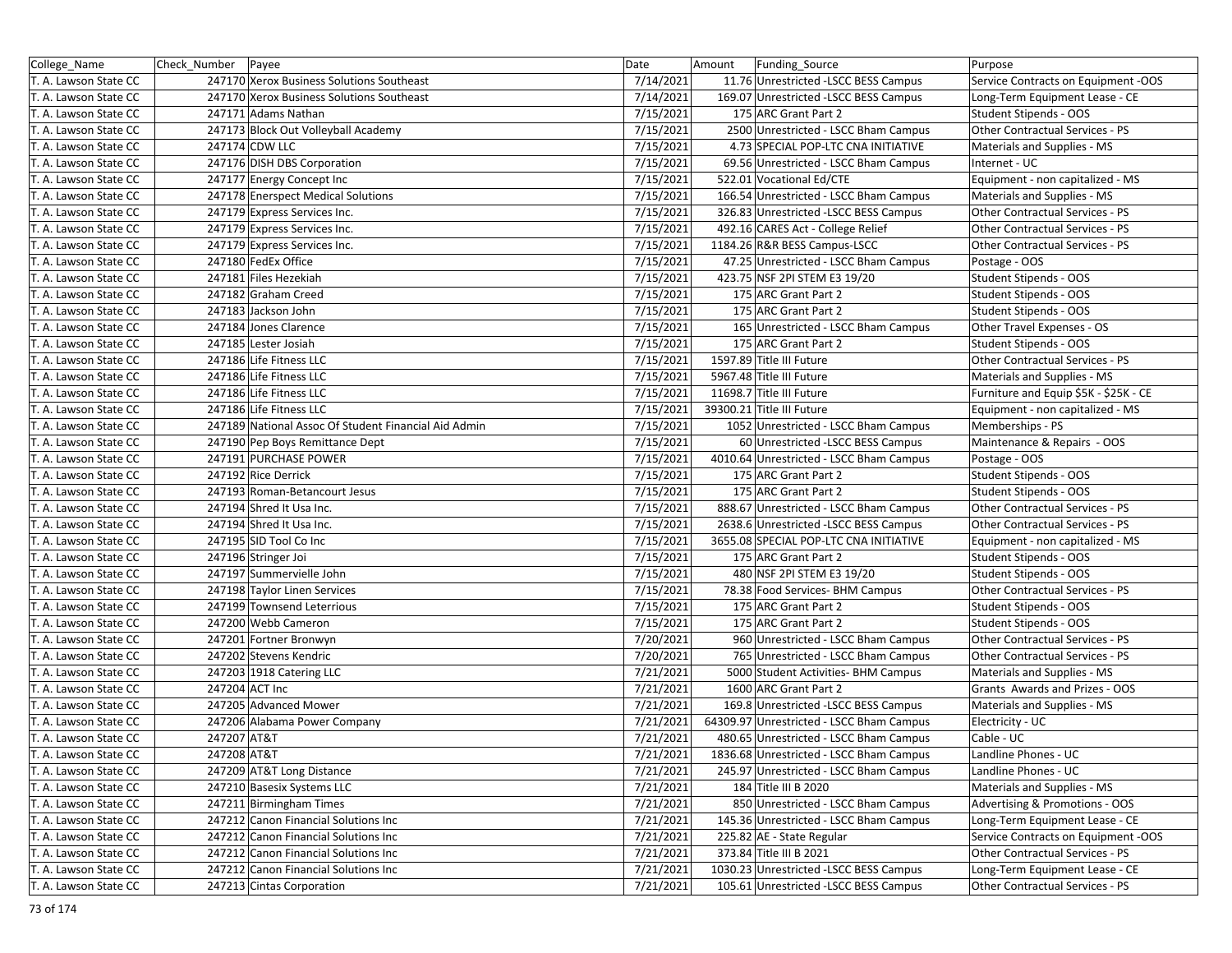| College_Name          | Check Number   Payee |                                                      | Date      | Funding_Source<br>Amount                 | Purpose                               |
|-----------------------|----------------------|------------------------------------------------------|-----------|------------------------------------------|---------------------------------------|
| T. A. Lawson State CC |                      | 247170 Xerox Business Solutions Southeast            | 7/14/2021 | 11.76 Unrestricted -LSCC BESS Campus     | Service Contracts on Equipment -OOS   |
| T. A. Lawson State CC |                      | 247170 Xerox Business Solutions Southeast            | 7/14/2021 | 169.07 Unrestricted -LSCC BESS Campus    | Long-Term Equipment Lease - CE        |
| T. A. Lawson State CC |                      | 247171 Adams Nathan                                  | 7/15/2021 | 175 ARC Grant Part 2                     | Student Stipends - OOS                |
| T. A. Lawson State CC |                      | 247173 Block Out Volleyball Academy                  | 7/15/2021 | 2500 Unrestricted - LSCC Bham Campus     | Other Contractual Services - PS       |
| T. A. Lawson State CC |                      | 247174 CDW LLC                                       | 7/15/2021 | 4.73 SPECIAL POP-LTC CNA INITIATIVE      | Materials and Supplies - MS           |
| T. A. Lawson State CC |                      | 247176 DISH DBS Corporation                          | 7/15/2021 | 69.56 Unrestricted - LSCC Bham Campus    | Internet - UC                         |
| T. A. Lawson State CC |                      | 247177 Energy Concept Inc                            | 7/15/2021 | 522.01 Vocational Ed/CTE                 | Equipment - non capitalized - MS      |
| T. A. Lawson State CC |                      | 247178 Enerspect Medical Solutions                   | 7/15/2021 | 166.54 Unrestricted - LSCC Bham Campus   | Materials and Supplies - MS           |
| T. A. Lawson State CC |                      | 247179 Express Services Inc.                         | 7/15/2021 | 326.83 Unrestricted -LSCC BESS Campus    | Other Contractual Services - PS       |
| T. A. Lawson State CC |                      | 247179 Express Services Inc.                         | 7/15/2021 | 492.16 CARES Act - College Relief        | Other Contractual Services - PS       |
| T. A. Lawson State CC |                      | 247179 Express Services Inc.                         | 7/15/2021 | 1184.26 R&R BESS Campus-LSCC             | Other Contractual Services - PS       |
| T. A. Lawson State CC |                      | 247180 FedEx Office                                  | 7/15/2021 | 47.25 Unrestricted - LSCC Bham Campus    | Postage - OOS                         |
| T. A. Lawson State CC |                      | 247181 Files Hezekiah                                | 7/15/2021 | 423.75 NSF 2PI STEM E3 19/20             | Student Stipends - OOS                |
| T. A. Lawson State CC |                      | 247182 Graham Creed                                  | 7/15/2021 | 175 ARC Grant Part 2                     | Student Stipends - OOS                |
| T. A. Lawson State CC |                      | 247183 Jackson John                                  | 7/15/2021 | 175 ARC Grant Part 2                     | Student Stipends - OOS                |
| T. A. Lawson State CC |                      | 247184 Jones Clarence                                | 7/15/2021 | 165 Unrestricted - LSCC Bham Campus      | Other Travel Expenses - OS            |
| T. A. Lawson State CC |                      | 247185 Lester Josiah                                 | 7/15/2021 | 175 ARC Grant Part 2                     | Student Stipends - OOS                |
| T. A. Lawson State CC |                      | 247186 Life Fitness LLC                              | 7/15/2021 | 1597.89 Title III Future                 | Other Contractual Services - PS       |
| T. A. Lawson State CC |                      | 247186 Life Fitness LLC                              | 7/15/2021 | 5967.48 Title III Future                 | Materials and Supplies - MS           |
| T. A. Lawson State CC |                      | 247186 Life Fitness LLC                              | 7/15/2021 | 11698.7 Title III Future                 | Furniture and Equip \$5K - \$25K - CE |
| T. A. Lawson State CC |                      | 247186 Life Fitness LLC                              | 7/15/2021 | 39300.21 Title III Future                | Equipment - non capitalized - MS      |
| T. A. Lawson State CC |                      | 247189 National Assoc Of Student Financial Aid Admin | 7/15/2021 | 1052 Unrestricted - LSCC Bham Campus     | Memberships - PS                      |
| T. A. Lawson State CC |                      | 247190 Pep Boys Remittance Dept                      | 7/15/2021 | 60 Unrestricted - LSCC BESS Campus       | Maintenance & Repairs - OOS           |
| T. A. Lawson State CC |                      | 247191 PURCHASE POWER                                | 7/15/2021 | 4010.64 Unrestricted - LSCC Bham Campus  | Postage - OOS                         |
| T. A. Lawson State CC |                      | 247192 Rice Derrick                                  | 7/15/2021 | 175 ARC Grant Part 2                     | Student Stipends - OOS                |
| T. A. Lawson State CC |                      | 247193 Roman-Betancourt Jesus                        | 7/15/2021 | 175 ARC Grant Part 2                     | Student Stipends - OOS                |
| T. A. Lawson State CC |                      | 247194 Shred It Usa Inc.                             | 7/15/2021 | 888.67 Unrestricted - LSCC Bham Campus   | Other Contractual Services - PS       |
| T. A. Lawson State CC |                      | 247194 Shred It Usa Inc.                             | 7/15/2021 | 2638.6 Unrestricted -LSCC BESS Campus    | Other Contractual Services - PS       |
| T. A. Lawson State CC |                      | 247195 SID Tool Co Inc                               | 7/15/2021 | 3655.08 SPECIAL POP-LTC CNA INITIATIVE   | Equipment - non capitalized - MS      |
| T. A. Lawson State CC |                      | 247196 Stringer Joi                                  | 7/15/2021 | 175 ARC Grant Part 2                     | Student Stipends - OOS                |
| T. A. Lawson State CC |                      | 247197 Summervielle John                             | 7/15/2021 | 480 NSF 2PI STEM E3 19/20                | Student Stipends - OOS                |
| T. A. Lawson State CC |                      | 247198 Taylor Linen Services                         | 7/15/2021 | 78.38 Food Services- BHM Campus          | Other Contractual Services - PS       |
| T. A. Lawson State CC |                      | 247199 Townsend Leterrious                           | 7/15/2021 | 175 ARC Grant Part 2                     | Student Stipends - OOS                |
| T. A. Lawson State CC |                      | 247200 Webb Cameron                                  | 7/15/2021 | 175 ARC Grant Part 2                     | Student Stipends - OOS                |
| T. A. Lawson State CC |                      | 247201 Fortner Bronwyn                               | 7/20/2021 | 960 Unrestricted - LSCC Bham Campus      | Other Contractual Services - PS       |
| T. A. Lawson State CC |                      | 247202 Stevens Kendric                               | 7/20/2021 | 765 Unrestricted - LSCC Bham Campus      | Other Contractual Services - PS       |
| T. A. Lawson State CC |                      | 247203 1918 Catering LLC                             | 7/21/2021 | 5000 Student Activities- BHM Campus      | Materials and Supplies - MS           |
| T. A. Lawson State CC |                      | 247204 ACT Inc                                       | 7/21/2021 | 1600 ARC Grant Part 2                    | Grants Awards and Prizes - OOS        |
| T. A. Lawson State CC |                      | 247205 Advanced Mower                                | 7/21/2021 | 169.8 Unrestricted -LSCC BESS Campus     | Materials and Supplies - MS           |
| T. A. Lawson State CC |                      | 247206 Alabama Power Company                         | 7/21/2021 | 64309.97 Unrestricted - LSCC Bham Campus | Electricity - UC                      |
| T. A. Lawson State CC | 247207 AT&T          |                                                      | 7/21/2021 | 480.65 Unrestricted - LSCC Bham Campus   | Cable - UC                            |
| T. A. Lawson State CC | 247208 AT&T          |                                                      | 7/21/2021 | 1836.68 Unrestricted - LSCC Bham Campus  | Landline Phones - UC                  |
| T. A. Lawson State CC |                      | 247209 AT&T Long Distance                            | 7/21/2021 | 245.97 Unrestricted - LSCC Bham Campus   | Landline Phones - UC                  |
| T. A. Lawson State CC |                      | 247210 Basesix Systems LLC                           | 7/21/2021 | 184 Title III B 2020                     | Materials and Supplies - MS           |
| T. A. Lawson State CC |                      | 247211 Birmingham Times                              | 7/21/2021 | 850 Unrestricted - LSCC Bham Campus      | Advertising & Promotions - OOS        |
| T. A. Lawson State CC |                      | 247212 Canon Financial Solutions Inc                 | 7/21/2021 | 145.36 Unrestricted - LSCC Bham Campus   | Long-Term Equipment Lease - CE        |
| T. A. Lawson State CC |                      | 247212 Canon Financial Solutions Inc                 | 7/21/2021 | 225.82 AE - State Regular                | Service Contracts on Equipment -OOS   |
| T. A. Lawson State CC |                      | 247212 Canon Financial Solutions Inc                 | 7/21/2021 | 373.84 Title III B 2021                  | Other Contractual Services - PS       |
| T. A. Lawson State CC |                      | 247212 Canon Financial Solutions Inc                 | 7/21/2021 | 1030.23 Unrestricted -LSCC BESS Campus   | Long-Term Equipment Lease - CE        |
| T. A. Lawson State CC |                      | 247213 Cintas Corporation                            | 7/21/2021 | 105.61 Unrestricted - LSCC BESS Campus   | Other Contractual Services - PS       |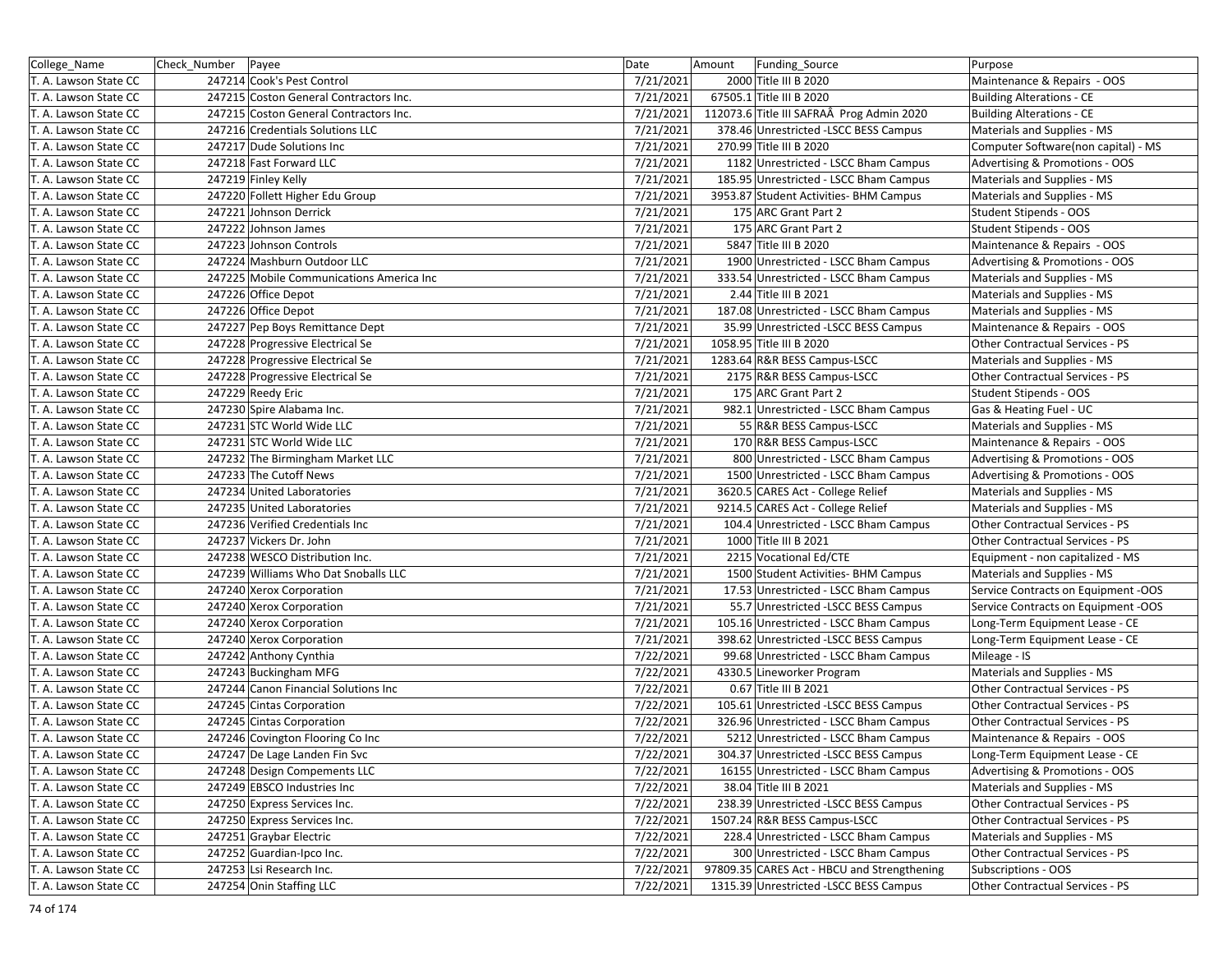| College_Name          | Check_Number   Payee |                                          | Date      | Amount | Funding_Source                              | Purpose                             |
|-----------------------|----------------------|------------------------------------------|-----------|--------|---------------------------------------------|-------------------------------------|
| T. A. Lawson State CC |                      | 247214 Cook's Pest Control               | 7/21/2021 |        | 2000 Title III B 2020                       | Maintenance & Repairs - OOS         |
| T. A. Lawson State CC |                      | 247215 Coston General Contractors Inc.   | 7/21/2021 |        | 67505.1 Title III B 2020                    | <b>Building Alterations - CE</b>    |
| T. A. Lawson State CC |                      | 247215 Coston General Contractors Inc.   | 7/21/2021 |        | 112073.6 Title III SAFRAÂ Prog Admin 2020   | <b>Building Alterations - CE</b>    |
| T. A. Lawson State CC |                      | 247216 Credentials Solutions LLC         | 7/21/2021 |        | 378.46 Unrestricted -LSCC BESS Campus       | Materials and Supplies - MS         |
| T. A. Lawson State CC |                      | 247217 Dude Solutions Inc                | 7/21/2021 |        | 270.99 Title III B 2020                     | Computer Software(non capital) - MS |
| T. A. Lawson State CC |                      | 247218 Fast Forward LLC                  | 7/21/2021 |        | 1182 Unrestricted - LSCC Bham Campus        | Advertising & Promotions - OOS      |
| T. A. Lawson State CC |                      | 247219 Finley Kelly                      | 7/21/2021 |        | 185.95 Unrestricted - LSCC Bham Campus      | Materials and Supplies - MS         |
| T. A. Lawson State CC |                      | 247220 Follett Higher Edu Group          | 7/21/2021 |        | 3953.87 Student Activities- BHM Campus      | Materials and Supplies - MS         |
| T. A. Lawson State CC |                      | 247221 Johnson Derrick                   | 7/21/2021 |        | 175 ARC Grant Part 2                        | <b>Student Stipends - OOS</b>       |
| T. A. Lawson State CC |                      | 247222 Johnson James                     | 7/21/2021 |        | 175 ARC Grant Part 2                        | <b>Student Stipends - OOS</b>       |
| T. A. Lawson State CC |                      | 247223 Johnson Controls                  | 7/21/2021 |        | 5847 Title III B 2020                       | Maintenance & Repairs - OOS         |
| T. A. Lawson State CC |                      | 247224 Mashburn Outdoor LLC              | 7/21/2021 |        | 1900 Unrestricted - LSCC Bham Campus        | Advertising & Promotions - OOS      |
| T. A. Lawson State CC |                      | 247225 Mobile Communications America Inc | 7/21/2021 |        | 333.54 Unrestricted - LSCC Bham Campus      | Materials and Supplies - MS         |
| T. A. Lawson State CC |                      | 247226 Office Depot                      | 7/21/2021 |        | 2.44 Title III B 2021                       | Materials and Supplies - MS         |
| T. A. Lawson State CC |                      | 247226 Office Depot                      | 7/21/2021 |        | 187.08 Unrestricted - LSCC Bham Campus      | Materials and Supplies - MS         |
| T. A. Lawson State CC |                      | 247227 Pep Boys Remittance Dept          | 7/21/2021 |        | 35.99 Unrestricted -LSCC BESS Campus        | Maintenance & Repairs - OOS         |
| T. A. Lawson State CC |                      | 247228 Progressive Electrical Se         | 7/21/2021 |        | 1058.95 Title III B 2020                    | Other Contractual Services - PS     |
| T. A. Lawson State CC |                      | 247228 Progressive Electrical Se         | 7/21/2021 |        | 1283.64 R&R BESS Campus-LSCC                | Materials and Supplies - MS         |
| T. A. Lawson State CC |                      | 247228 Progressive Electrical Se         | 7/21/2021 |        | 2175 R&R BESS Campus-LSCC                   | Other Contractual Services - PS     |
| T. A. Lawson State CC |                      | 247229 Reedy Eric                        | 7/21/2021 |        | 175 ARC Grant Part 2                        | Student Stipends - OOS              |
| T. A. Lawson State CC |                      | 247230 Spire Alabama Inc.                | 7/21/2021 |        | 982.1 Unrestricted - LSCC Bham Campus       | Gas & Heating Fuel - UC             |
| T. A. Lawson State CC |                      | 247231 STC World Wide LLC                | 7/21/2021 |        | 55 R&R BESS Campus-LSCC                     | Materials and Supplies - MS         |
| T. A. Lawson State CC |                      | 247231 STC World Wide LLC                | 7/21/2021 |        | 170 R&R BESS Campus-LSCC                    | Maintenance & Repairs - OOS         |
| T. A. Lawson State CC |                      | 247232 The Birmingham Market LLC         | 7/21/2021 |        | 800 Unrestricted - LSCC Bham Campus         | Advertising & Promotions - OOS      |
| T. A. Lawson State CC |                      | 247233 The Cutoff News                   | 7/21/2021 |        | 1500 Unrestricted - LSCC Bham Campus        | Advertising & Promotions - OOS      |
| T. A. Lawson State CC |                      | 247234 United Laboratories               | 7/21/2021 |        | 3620.5 CARES Act - College Relief           | Materials and Supplies - MS         |
| T. A. Lawson State CC |                      | 247235 United Laboratories               | 7/21/2021 |        | 9214.5 CARES Act - College Relief           | Materials and Supplies - MS         |
| T. A. Lawson State CC |                      | 247236 Verified Credentials Inc          | 7/21/2021 |        | 104.4 Unrestricted - LSCC Bham Campus       | Other Contractual Services - PS     |
| T. A. Lawson State CC |                      | 247237 Vickers Dr. John                  | 7/21/2021 |        | 1000 Title III B 2021                       | Other Contractual Services - PS     |
| T. A. Lawson State CC |                      | 247238 WESCO Distribution Inc.           | 7/21/2021 |        | 2215 Vocational Ed/CTE                      | Equipment - non capitalized - MS    |
| T. A. Lawson State CC |                      | 247239 Williams Who Dat Snoballs LLC     | 7/21/2021 |        | 1500 Student Activities- BHM Campus         | Materials and Supplies - MS         |
| T. A. Lawson State CC |                      | 247240 Xerox Corporation                 | 7/21/2021 |        | 17.53 Unrestricted - LSCC Bham Campus       | Service Contracts on Equipment -OOS |
| T. A. Lawson State CC |                      | 247240 Xerox Corporation                 | 7/21/2021 |        | 55.7 Unrestricted -LSCC BESS Campus         | Service Contracts on Equipment -OOS |
| T. A. Lawson State CC |                      | 247240 Xerox Corporation                 | 7/21/2021 |        | 105.16 Unrestricted - LSCC Bham Campus      | Long-Term Equipment Lease - CE      |
| T. A. Lawson State CC |                      | 247240 Xerox Corporation                 | 7/21/2021 |        | 398.62 Unrestricted -LSCC BESS Campus       | Long-Term Equipment Lease - CE      |
| T. A. Lawson State CC |                      | 247242 Anthony Cynthia                   | 7/22/2021 |        | 99.68 Unrestricted - LSCC Bham Campus       | Mileage - IS                        |
| T. A. Lawson State CC |                      | 247243 Buckingham MFG                    | 7/22/2021 |        | 4330.5 Lineworker Program                   | Materials and Supplies - MS         |
| T. A. Lawson State CC |                      | 247244 Canon Financial Solutions Inc     | 7/22/2021 |        | 0.67 Title III B 2021                       | Other Contractual Services - PS     |
| T. A. Lawson State CC |                      | 247245 Cintas Corporation                | 7/22/2021 |        | 105.61 Unrestricted -LSCC BESS Campus       | Other Contractual Services - PS     |
| T. A. Lawson State CC |                      | 247245 Cintas Corporation                | 7/22/2021 |        | 326.96 Unrestricted - LSCC Bham Campus      | Other Contractual Services - PS     |
| T. A. Lawson State CC |                      | 247246 Covington Flooring Co Inc         | 7/22/2021 |        | 5212 Unrestricted - LSCC Bham Campus        | Maintenance & Repairs - OOS         |
| T. A. Lawson State CC |                      | 247247 De Lage Landen Fin Svc            | 7/22/2021 |        | 304.37 Unrestricted -LSCC BESS Campus       | Long-Term Equipment Lease - CE      |
| T. A. Lawson State CC |                      | 247248 Design Compements LLC             | 7/22/2021 |        | 16155 Unrestricted - LSCC Bham Campus       | Advertising & Promotions - OOS      |
| T. A. Lawson State CC |                      | 247249 EBSCO Industries Inc              | 7/22/2021 |        | 38.04 Title III B 2021                      | Materials and Supplies - MS         |
| T. A. Lawson State CC |                      | 247250 Express Services Inc.             | 7/22/2021 |        | 238.39 Unrestricted -LSCC BESS Campus       | Other Contractual Services - PS     |
| T. A. Lawson State CC |                      | 247250 Express Services Inc.             | 7/22/2021 |        | 1507.24 R&R BESS Campus-LSCC                | Other Contractual Services - PS     |
| T. A. Lawson State CC |                      | 247251 Graybar Electric                  | 7/22/2021 |        | 228.4 Unrestricted - LSCC Bham Campus       | Materials and Supplies - MS         |
| T. A. Lawson State CC |                      | 247252 Guardian-Ipco Inc.                | 7/22/2021 |        | 300 Unrestricted - LSCC Bham Campus         | Other Contractual Services - PS     |
| T. A. Lawson State CC |                      | 247253 Lsi Research Inc.                 | 7/22/2021 |        | 97809.35 CARES Act - HBCU and Strengthening | Subscriptions - OOS                 |
| T. A. Lawson State CC |                      | 247254 Onin Staffing LLC                 | 7/22/2021 |        | 1315.39 Unrestricted - LSCC BESS Campus     | Other Contractual Services - PS     |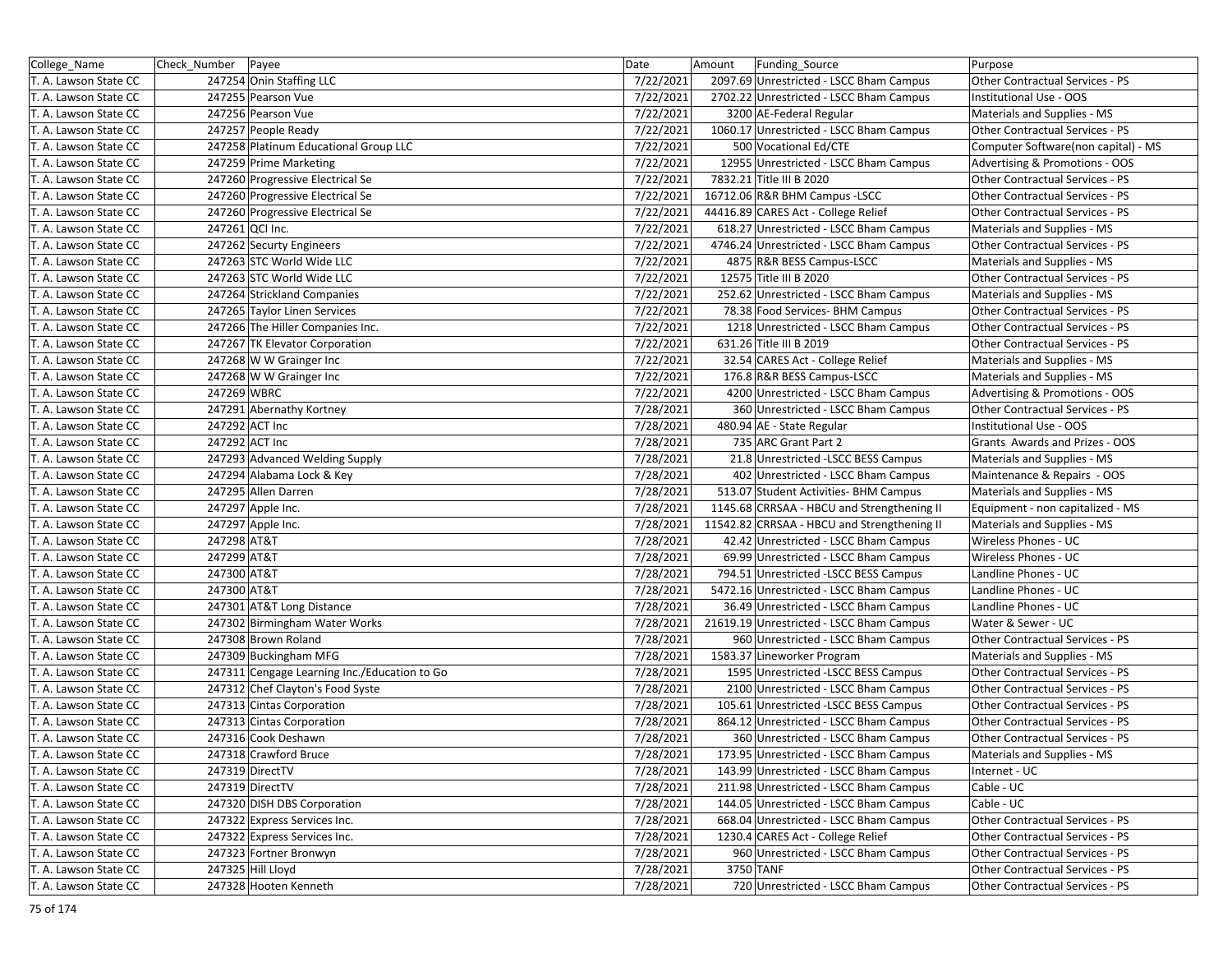| College_Name                                   | Check_Number Payee                           | Date      | Amount    | Funding Source                              | Purpose                             |
|------------------------------------------------|----------------------------------------------|-----------|-----------|---------------------------------------------|-------------------------------------|
| T. A. Lawson State CC                          | 247254 Onin Staffing LLC                     | 7/22/2021 |           | 2097.69 Unrestricted - LSCC Bham Campus     | Other Contractual Services - PS     |
| T. A. Lawson State CC                          | 247255 Pearson Vue                           | 7/22/2021 |           | 2702.22 Unrestricted - LSCC Bham Campus     | Institutional Use - OOS             |
| T. A. Lawson State CC                          | 247256 Pearson Vue                           | 7/22/2021 |           | 3200 AE-Federal Regular                     | Materials and Supplies - MS         |
| T. A. Lawson State CC                          | 247257 People Ready                          | 7/22/2021 |           | 1060.17 Unrestricted - LSCC Bham Campus     | Other Contractual Services - PS     |
| T. A. Lawson State CC                          | 247258 Platinum Educational Group LLC        | 7/22/2021 |           | 500 Vocational Ed/CTE                       | Computer Software(non capital) - MS |
| T. A. Lawson State CC                          | 247259 Prime Marketing                       | 7/22/2021 |           | 12955 Unrestricted - LSCC Bham Campus       | Advertising & Promotions - OOS      |
| T. A. Lawson State CC                          | 247260 Progressive Electrical Se             | 7/22/2021 |           | 7832.21 Title III B 2020                    | Other Contractual Services - PS     |
| T. A. Lawson State CC                          | 247260 Progressive Electrical Se             | 7/22/2021 |           | 16712.06 R&R BHM Campus -LSCC               | Other Contractual Services - PS     |
| T. A. Lawson State CC                          | 247260 Progressive Electrical Se             | 7/22/2021 |           | 44416.89 CARES Act - College Relief         | Other Contractual Services - PS     |
| T. A. Lawson State CC                          | 247261 QCI Inc.                              | 7/22/2021 |           | 618.27 Unrestricted - LSCC Bham Campus      | Materials and Supplies - MS         |
| T. A. Lawson State CC                          | 247262 Securty Engineers                     | 7/22/2021 |           | 4746.24 Unrestricted - LSCC Bham Campus     | Other Contractual Services - PS     |
| T. A. Lawson State CC                          | 247263 STC World Wide LLC                    | 7/22/2021 |           | 4875 R&R BESS Campus-LSCC                   | Materials and Supplies - MS         |
| T. A. Lawson State CC                          | 247263 STC World Wide LLC                    | 7/22/2021 |           | 12575 Title III B 2020                      | Other Contractual Services - PS     |
| T. A. Lawson State CC                          | 247264 Strickland Companies                  | 7/22/2021 |           | 252.62 Unrestricted - LSCC Bham Campus      | Materials and Supplies - MS         |
| T. A. Lawson State CC                          | 247265 Taylor Linen Services                 | 7/22/2021 |           | 78.38 Food Services- BHM Campus             | Other Contractual Services - PS     |
| T. A. Lawson State CC                          | 247266 The Hiller Companies Inc.             | 7/22/2021 |           | 1218 Unrestricted - LSCC Bham Campus        | Other Contractual Services - PS     |
| T. A. Lawson State CC                          | 247267 TK Elevator Corporation               | 7/22/2021 |           | 631.26 Title III B 2019                     | Other Contractual Services - PS     |
| T. A. Lawson State CC                          | 247268 W W Grainger Inc                      | 7/22/2021 |           | 32.54 CARES Act - College Relief            | Materials and Supplies - MS         |
| T. A. Lawson State CC                          | 247268 W W Grainger Inc                      | 7/22/2021 |           | 176.8 R&R BESS Campus-LSCC                  | Materials and Supplies - MS         |
| T. A. Lawson State CC                          | 247269 WBRC                                  | 7/22/2021 |           | 4200 Unrestricted - LSCC Bham Campus        | Advertising & Promotions - OOS      |
| T. A. Lawson State CC                          | 247291 Abernathy Kortney                     | 7/28/2021 |           | 360 Unrestricted - LSCC Bham Campus         | Other Contractual Services - PS     |
| T. A. Lawson State CC                          | 247292 ACT Inc                               | 7/28/2021 |           | 480.94 AE - State Regular                   | Institutional Use - OOS             |
| T. A. Lawson State CC                          | 247292 ACT Inc                               | 7/28/2021 |           | 735 ARC Grant Part 2                        | Grants Awards and Prizes - OOS      |
| T. A. Lawson State CC                          | 247293 Advanced Welding Supply               | 7/28/2021 |           | 21.8 Unrestricted - LSCC BESS Campus        | Materials and Supplies - MS         |
| T. A. Lawson State CC                          | 247294 Alabama Lock & Key                    | 7/28/2021 |           | 402 Unrestricted - LSCC Bham Campus         | Maintenance & Repairs - OOS         |
| T. A. Lawson State CC                          | 247295 Allen Darren                          | 7/28/2021 |           | 513.07 Student Activities- BHM Campus       | Materials and Supplies - MS         |
| T. A. Lawson State CC                          | 247297 Apple Inc.                            | 7/28/2021 |           | 1145.68 CRRSAA - HBCU and Strengthening II  | Equipment - non capitalized - MS    |
| T. A. Lawson State CC                          | 247297 Apple Inc.                            | 7/28/2021 |           | 11542.82 CRRSAA - HBCU and Strengthening II | Materials and Supplies - MS         |
| T. A. Lawson State CC                          | 247298 AT&T                                  | 7/28/2021 |           | 42.42 Unrestricted - LSCC Bham Campus       | Wireless Phones - UC                |
| T. A. Lawson State CC                          | 247299 AT&T                                  | 7/28/2021 |           | 69.99 Unrestricted - LSCC Bham Campus       | Wireless Phones - UC                |
| T. A. Lawson State CC                          | 247300 AT&T                                  | 7/28/2021 |           | 794.51 Unrestricted -LSCC BESS Campus       | Landline Phones - UC                |
| T. A. Lawson State CC                          | 247300 AT&T                                  | 7/28/2021 |           | 5472.16 Unrestricted - LSCC Bham Campus     | Landline Phones - UC                |
| T. A. Lawson State CC                          | 247301 AT&T Long Distance                    | 7/28/2021 |           | 36.49 Unrestricted - LSCC Bham Campus       | Landline Phones - UC                |
| T. A. Lawson State CC                          | 247302 Birmingham Water Works                | 7/28/2021 |           | 21619.19 Unrestricted - LSCC Bham Campus    | Water & Sewer - UC                  |
| T. A. Lawson State CC                          | 247308 Brown Roland                          | 7/28/2021 |           | 960 Unrestricted - LSCC Bham Campus         | Other Contractual Services - PS     |
| T. A. Lawson State CC                          | 247309 Buckingham MFG                        | 7/28/2021 |           | 1583.37 Lineworker Program                  | Materials and Supplies - MS         |
| T. A. Lawson State CC                          | 247311 Cengage Learning Inc./Education to Go | 7/28/2021 |           | 1595 Unrestricted -LSCC BESS Campus         | Other Contractual Services - PS     |
| T. A. Lawson State CC                          | 247312 Chef Clayton's Food Syste             | 7/28/2021 |           | 2100 Unrestricted - LSCC Bham Campus        | Other Contractual Services - PS     |
|                                                | 247313 Cintas Corporation                    | 7/28/2021 |           | 105.61 Unrestricted -LSCC BESS Campus       | Other Contractual Services - PS     |
| T. A. Lawson State CC<br>T. A. Lawson State CC | 247313 Cintas Corporation                    | 7/28/2021 |           | 864.12 Unrestricted - LSCC Bham Campus      | Other Contractual Services - PS     |
|                                                |                                              |           |           | 360 Unrestricted - LSCC Bham Campus         |                                     |
| T. A. Lawson State CC                          | 247316 Cook Deshawn                          | 7/28/2021 |           |                                             | Other Contractual Services - PS     |
| T. A. Lawson State CC                          | 247318 Crawford Bruce                        | 7/28/2021 |           | 173.95 Unrestricted - LSCC Bham Campus      | Materials and Supplies - MS         |
| T. A. Lawson State CC                          | 247319 DirectTV                              | 7/28/2021 |           | 143.99 Unrestricted - LSCC Bham Campus      | Internet - UC                       |
| T. A. Lawson State CC                          | 247319 DirectTV                              | 7/28/2021 |           | 211.98 Unrestricted - LSCC Bham Campus      | Cable - UC                          |
| T. A. Lawson State CC                          | 247320 DISH DBS Corporation                  | 7/28/2021 |           | 144.05 Unrestricted - LSCC Bham Campus      | Cable - UC                          |
| T. A. Lawson State CC                          | 247322 Express Services Inc.                 | 7/28/2021 |           | 668.04 Unrestricted - LSCC Bham Campus      | Other Contractual Services - PS     |
| T. A. Lawson State CC                          | 247322 Express Services Inc.                 | 7/28/2021 |           | 1230.4 CARES Act - College Relief           | Other Contractual Services - PS     |
| T. A. Lawson State CC                          | 247323 Fortner Bronwyn                       | 7/28/2021 |           | 960 Unrestricted - LSCC Bham Campus         | Other Contractual Services - PS     |
| T. A. Lawson State CC                          | 247325 Hill Lloyd                            | 7/28/2021 | 3750 TANF |                                             | Other Contractual Services - PS     |
| T. A. Lawson State CC                          | 247328 Hooten Kenneth                        | 7/28/2021 |           | 720 Unrestricted - LSCC Bham Campus         | Other Contractual Services - PS     |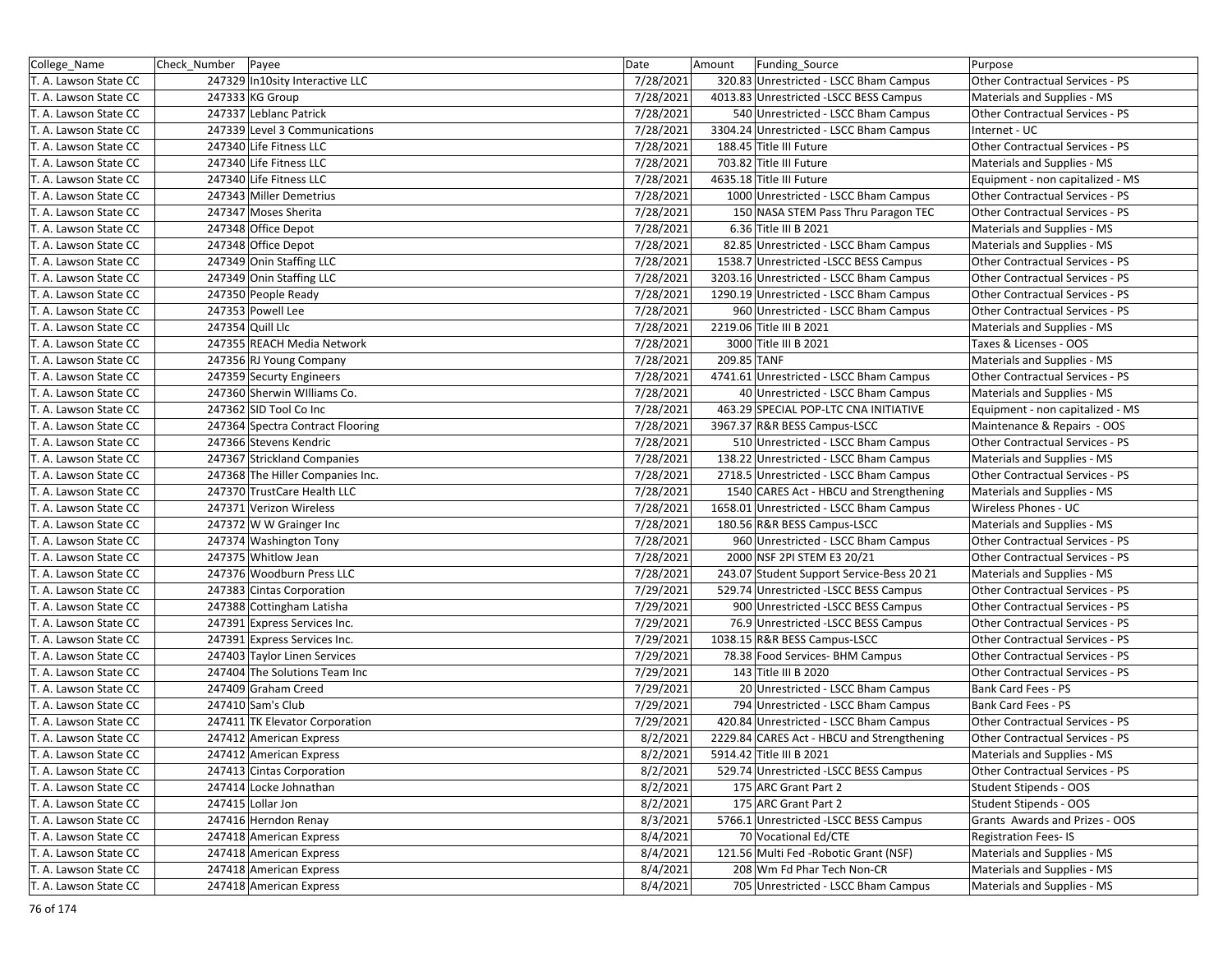| College_Name          | Check Number   Payee |                                  | Date      | Amount<br>Funding_Source                   | Purpose                          |
|-----------------------|----------------------|----------------------------------|-----------|--------------------------------------------|----------------------------------|
| T. A. Lawson State CC |                      | 247329 In10sity Interactive LLC  | 7/28/2021 | 320.83 Unrestricted - LSCC Bham Campus     | Other Contractual Services - PS  |
| T. A. Lawson State CC |                      | 247333 KG Group                  | 7/28/2021 | 4013.83 Unrestricted -LSCC BESS Campus     | Materials and Supplies - MS      |
| T. A. Lawson State CC |                      | 247337 Leblanc Patrick           | 7/28/2021 | 540 Unrestricted - LSCC Bham Campus        | Other Contractual Services - PS  |
| T. A. Lawson State CC |                      | 247339 Level 3 Communications    | 7/28/2021 | 3304.24 Unrestricted - LSCC Bham Campus    | Internet - UC                    |
| T. A. Lawson State CC |                      | 247340 Life Fitness LLC          | 7/28/2021 | 188.45 Title III Future                    | Other Contractual Services - PS  |
| T. A. Lawson State CC |                      | 247340 Life Fitness LLC          | 7/28/2021 | 703.82 Title III Future                    | Materials and Supplies - MS      |
| T. A. Lawson State CC |                      | 247340 Life Fitness LLC          | 7/28/2021 | 4635.18 Title III Future                   | Equipment - non capitalized - MS |
| T. A. Lawson State CC |                      | 247343 Miller Demetrius          | 7/28/2021 | 1000 Unrestricted - LSCC Bham Campus       | Other Contractual Services - PS  |
| T. A. Lawson State CC |                      | 247347 Moses Sherita             | 7/28/2021 | 150 NASA STEM Pass Thru Paragon TEC        | Other Contractual Services - PS  |
| T. A. Lawson State CC |                      | 247348 Office Depot              | 7/28/2021 | 6.36 Title III B 2021                      | Materials and Supplies - MS      |
| T. A. Lawson State CC |                      | 247348 Office Depot              | 7/28/2021 | 82.85 Unrestricted - LSCC Bham Campus      | Materials and Supplies - MS      |
| T. A. Lawson State CC |                      | 247349 Onin Staffing LLC         | 7/28/2021 | 1538.7 Unrestricted - LSCC BESS Campus     | Other Contractual Services - PS  |
| T. A. Lawson State CC |                      | 247349 Onin Staffing LLC         | 7/28/2021 | 3203.16 Unrestricted - LSCC Bham Campus    | Other Contractual Services - PS  |
| T. A. Lawson State CC |                      | 247350 People Ready              | 7/28/2021 | 1290.19 Unrestricted - LSCC Bham Campus    | Other Contractual Services - PS  |
| T. A. Lawson State CC |                      | 247353 Powell Lee                | 7/28/2021 | 960 Unrestricted - LSCC Bham Campus        | Other Contractual Services - PS  |
| T. A. Lawson State CC |                      | 247354 Quill Llc                 | 7/28/2021 | 2219.06 Title III B 2021                   | Materials and Supplies - MS      |
| T. A. Lawson State CC |                      | 247355 REACH Media Network       | 7/28/2021 | 3000 Title III B 2021                      | Taxes & Licenses - OOS           |
| T. A. Lawson State CC |                      | 247356 RJ Young Company          | 7/28/2021 | 209.85 TANF                                | Materials and Supplies - MS      |
| T. A. Lawson State CC |                      | 247359 Securty Engineers         | 7/28/2021 | 4741.61 Unrestricted - LSCC Bham Campus    | Other Contractual Services - PS  |
| T. A. Lawson State CC |                      | 247360 Sherwin Williams Co.      | 7/28/2021 | 40 Unrestricted - LSCC Bham Campus         | Materials and Supplies - MS      |
| T. A. Lawson State CC |                      | 247362 SID Tool Co Inc           | 7/28/2021 | 463.29 SPECIAL POP-LTC CNA INITIATIVE      | Equipment - non capitalized - MS |
| T. A. Lawson State CC |                      | 247364 Spectra Contract Flooring | 7/28/2021 | 3967.37 R&R BESS Campus-LSCC               | Maintenance & Repairs - OOS      |
| T. A. Lawson State CC |                      | 247366 Stevens Kendric           | 7/28/2021 | 510 Unrestricted - LSCC Bham Campus        | Other Contractual Services - PS  |
| T. A. Lawson State CC |                      | 247367 Strickland Companies      | 7/28/2021 | 138.22 Unrestricted - LSCC Bham Campus     | Materials and Supplies - MS      |
| T. A. Lawson State CC |                      | 247368 The Hiller Companies Inc. | 7/28/2021 | 2718.5 Unrestricted - LSCC Bham Campus     | Other Contractual Services - PS  |
| T. A. Lawson State CC |                      | 247370 TrustCare Health LLC      | 7/28/2021 | 1540 CARES Act - HBCU and Strengthening    | Materials and Supplies - MS      |
| T. A. Lawson State CC |                      | 247371 Verizon Wireless          | 7/28/2021 | 1658.01 Unrestricted - LSCC Bham Campus    | Wireless Phones - UC             |
| T. A. Lawson State CC |                      | 247372 W W Grainger Inc          | 7/28/2021 | 180.56 R&R BESS Campus-LSCC                | Materials and Supplies - MS      |
| T. A. Lawson State CC |                      | 247374 Washington Tony           | 7/28/2021 | 960 Unrestricted - LSCC Bham Campus        | Other Contractual Services - PS  |
| T. A. Lawson State CC |                      | 247375 Whitlow Jean              | 7/28/2021 | 2000 NSF 2PI STEM E3 20/21                 | Other Contractual Services - PS  |
| T. A. Lawson State CC |                      | 247376 Woodburn Press LLC        | 7/28/2021 | 243.07 Student Support Service-Bess 20 21  | Materials and Supplies - MS      |
| T. A. Lawson State CC |                      | 247383 Cintas Corporation        | 7/29/2021 | 529.74 Unrestricted -LSCC BESS Campus      | Other Contractual Services - PS  |
| T. A. Lawson State CC |                      | 247388 Cottingham Latisha        | 7/29/2021 | 900 Unrestricted -LSCC BESS Campus         | Other Contractual Services - PS  |
| T. A. Lawson State CC |                      | 247391 Express Services Inc.     | 7/29/2021 | 76.9 Unrestricted -LSCC BESS Campus        | Other Contractual Services - PS  |
| T. A. Lawson State CC |                      | 247391 Express Services Inc.     | 7/29/2021 | 1038.15 R&R BESS Campus-LSCC               | Other Contractual Services - PS  |
| T. A. Lawson State CC |                      | 247403 Taylor Linen Services     | 7/29/2021 | 78.38 Food Services- BHM Campus            | Other Contractual Services - PS  |
| T. A. Lawson State CC |                      | 247404 The Solutions Team Inc    | 7/29/2021 | 143 Title III B 2020                       | Other Contractual Services - PS  |
| T. A. Lawson State CC |                      | 247409 Graham Creed              | 7/29/2021 | 20 Unrestricted - LSCC Bham Campus         | Bank Card Fees - PS              |
| T. A. Lawson State CC |                      | 247410 Sam's Club                | 7/29/2021 | 794 Unrestricted - LSCC Bham Campus        | Bank Card Fees - PS              |
| T. A. Lawson State CC |                      | 247411 TK Elevator Corporation   | 7/29/2021 | 420.84 Unrestricted - LSCC Bham Campus     | Other Contractual Services - PS  |
| T. A. Lawson State CC |                      | 247412 American Express          | 8/2/2021  | 2229.84 CARES Act - HBCU and Strengthening | Other Contractual Services - PS  |
| T. A. Lawson State CC |                      | 247412 American Express          | 8/2/2021  | 5914.42 Title III B 2021                   | Materials and Supplies - MS      |
| T. A. Lawson State CC |                      | 247413 Cintas Corporation        | 8/2/2021  | 529.74 Unrestricted - LSCC BESS Campus     | Other Contractual Services - PS  |
| T. A. Lawson State CC |                      | 247414 Locke Johnathan           | 8/2/2021  | 175 ARC Grant Part 2                       | Student Stipends - OOS           |
| T. A. Lawson State CC |                      | 247415 Lollar Jon                | 8/2/2021  | 175 ARC Grant Part 2                       | Student Stipends - OOS           |
| T. A. Lawson State CC |                      | 247416 Herndon Renay             | 8/3/2021  | 5766.1 Unrestricted -LSCC BESS Campus      | Grants Awards and Prizes - OOS   |
| T. A. Lawson State CC |                      | 247418 American Express          | 8/4/2021  | 70 Vocational Ed/CTE                       | <b>Registration Fees-IS</b>      |
| T. A. Lawson State CC |                      | 247418 American Express          | 8/4/2021  | 121.56 Multi Fed -Robotic Grant (NSF)      | Materials and Supplies - MS      |
| T. A. Lawson State CC |                      | 247418 American Express          | 8/4/2021  | 208 Wm Fd Phar Tech Non-CR                 | Materials and Supplies - MS      |
| T. A. Lawson State CC |                      | 247418 American Express          | 8/4/2021  | 705 Unrestricted - LSCC Bham Campus        | Materials and Supplies - MS      |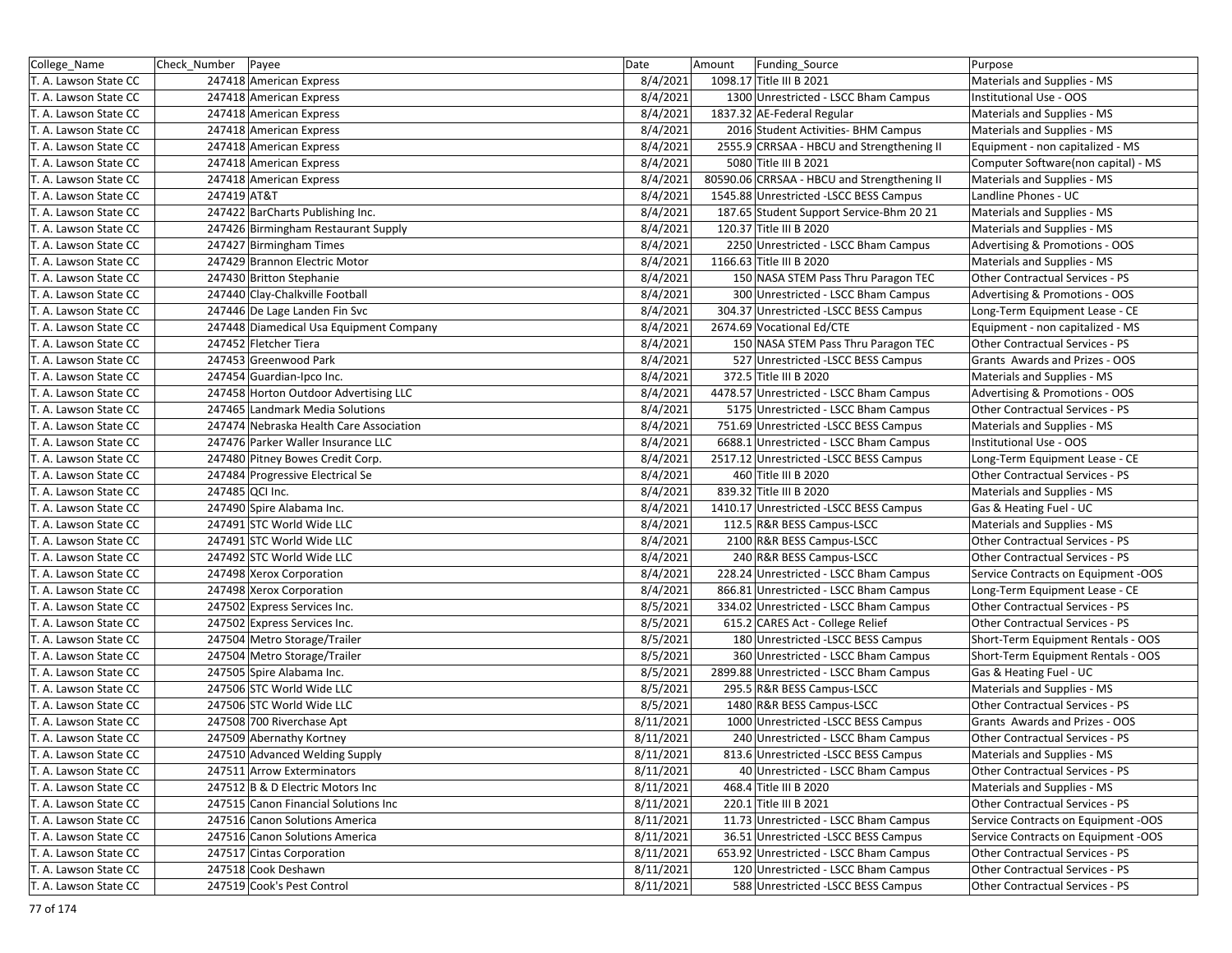| College Name          | Check_Number   Payee |                                         | Date      | Amount<br>Funding Source                    | Purpose                             |
|-----------------------|----------------------|-----------------------------------------|-----------|---------------------------------------------|-------------------------------------|
| T. A. Lawson State CC |                      | 247418 American Express                 | 8/4/2021  | 1098.17 Title III B 2021                    | Materials and Supplies - MS         |
| T. A. Lawson State CC |                      | 247418 American Express                 | 8/4/2021  | 1300 Unrestricted - LSCC Bham Campus        | Institutional Use - OOS             |
| T. A. Lawson State CC |                      | 247418 American Express                 | 8/4/2021  | 1837.32 AE-Federal Regular                  | Materials and Supplies - MS         |
| T. A. Lawson State CC |                      | 247418 American Express                 | 8/4/2021  | 2016 Student Activities- BHM Campus         | Materials and Supplies - MS         |
| T. A. Lawson State CC |                      | 247418 American Express                 | 8/4/2021  | 2555.9 CRRSAA - HBCU and Strengthening II   | Equipment - non capitalized - MS    |
| T. A. Lawson State CC |                      | 247418 American Express                 | 8/4/2021  | 5080 Title III B 2021                       | Computer Software(non capital) - MS |
| T. A. Lawson State CC |                      | 247418 American Express                 | 8/4/2021  | 80590.06 CRRSAA - HBCU and Strengthening II | Materials and Supplies - MS         |
| T. A. Lawson State CC | 247419 AT&T          |                                         | 8/4/2021  | 1545.88 Unrestricted -LSCC BESS Campus      | Landline Phones - UC                |
| T. A. Lawson State CC |                      | 247422 BarCharts Publishing Inc.        | 8/4/2021  | 187.65 Student Support Service-Bhm 20 21    | Materials and Supplies - MS         |
| T. A. Lawson State CC |                      | 247426 Birmingham Restaurant Supply     | 8/4/2021  | 120.37 Title III B 2020                     | Materials and Supplies - MS         |
| T. A. Lawson State CC |                      | 247427 Birmingham Times                 | 8/4/2021  | 2250 Unrestricted - LSCC Bham Campus        | Advertising & Promotions - OOS      |
| T. A. Lawson State CC |                      | 247429 Brannon Electric Motor           | 8/4/2021  | 1166.63 Title III B 2020                    | Materials and Supplies - MS         |
| T. A. Lawson State CC |                      | 247430 Britton Stephanie                | 8/4/2021  | 150 NASA STEM Pass Thru Paragon TEC         | Other Contractual Services - PS     |
| T. A. Lawson State CC |                      | 247440 Clay-Chalkville Football         | 8/4/2021  | 300 Unrestricted - LSCC Bham Campus         | Advertising & Promotions - OOS      |
| T. A. Lawson State CC |                      | 247446 De Lage Landen Fin Svc           | 8/4/2021  | 304.37 Unrestricted -LSCC BESS Campus       | Long-Term Equipment Lease - CE      |
| T. A. Lawson State CC |                      | 247448 Diamedical Usa Equipment Company | 8/4/2021  | 2674.69 Vocational Ed/CTE                   | Equipment - non capitalized - MS    |
| T. A. Lawson State CC |                      | 247452 Fletcher Tiera                   | 8/4/2021  | 150 NASA STEM Pass Thru Paragon TEC         | Other Contractual Services - PS     |
| T. A. Lawson State CC |                      | 247453 Greenwood Park                   | 8/4/2021  | 527 Unrestricted -LSCC BESS Campus          | Grants Awards and Prizes - OOS      |
| T. A. Lawson State CC |                      | 247454 Guardian-Ipco Inc.               | 8/4/2021  | 372.5 Title III B 2020                      | Materials and Supplies - MS         |
| T. A. Lawson State CC |                      | 247458 Horton Outdoor Advertising LLC   | 8/4/2021  | 4478.57 Unrestricted - LSCC Bham Campus     | Advertising & Promotions - OOS      |
| T. A. Lawson State CC |                      | 247465 Landmark Media Solutions         | 8/4/2021  | 5175 Unrestricted - LSCC Bham Campus        | Other Contractual Services - PS     |
| T. A. Lawson State CC |                      | 247474 Nebraska Health Care Association | 8/4/2021  | 751.69 Unrestricted -LSCC BESS Campus       | Materials and Supplies - MS         |
| T. A. Lawson State CC |                      | 247476 Parker Waller Insurance LLC      | 8/4/2021  | 6688.1 Unrestricted - LSCC Bham Campus      | Institutional Use - OOS             |
| T. A. Lawson State CC |                      | 247480 Pitney Bowes Credit Corp.        | 8/4/2021  | 2517.12 Unrestricted -LSCC BESS Campus      | Long-Term Equipment Lease - CE      |
| T. A. Lawson State CC |                      | 247484 Progressive Electrical Se        | 8/4/2021  | 460 Title III B 2020                        | Other Contractual Services - PS     |
| T. A. Lawson State CC | 247485 QCI Inc.      |                                         | 8/4/2021  | 839.32 Title III B 2020                     | Materials and Supplies - MS         |
| T. A. Lawson State CC |                      | 247490 Spire Alabama Inc.               | 8/4/2021  | 1410.17 Unrestricted - LSCC BESS Campus     | Gas & Heating Fuel - UC             |
| T. A. Lawson State CC |                      | 247491 STC World Wide LLC               | 8/4/2021  | 112.5 R&R BESS Campus-LSCC                  | Materials and Supplies - MS         |
| T. A. Lawson State CC |                      | 247491 STC World Wide LLC               | 8/4/2021  | 2100 R&R BESS Campus-LSCC                   | Other Contractual Services - PS     |
| T. A. Lawson State CC |                      | 247492 STC World Wide LLC               | 8/4/2021  | 240 R&R BESS Campus-LSCC                    | Other Contractual Services - PS     |
| T. A. Lawson State CC |                      | 247498 Xerox Corporation                | 8/4/2021  | 228.24 Unrestricted - LSCC Bham Campus      | Service Contracts on Equipment -OOS |
| T. A. Lawson State CC |                      | 247498 Xerox Corporation                | 8/4/2021  | 866.81 Unrestricted - LSCC Bham Campus      | Long-Term Equipment Lease - CE      |
| T. A. Lawson State CC |                      | 247502 Express Services Inc.            | 8/5/2021  | 334.02 Unrestricted - LSCC Bham Campus      | Other Contractual Services - PS     |
| T. A. Lawson State CC |                      | 247502 Express Services Inc.            | 8/5/2021  | 615.2 CARES Act - College Relief            | Other Contractual Services - PS     |
| T. A. Lawson State CC |                      | 247504 Metro Storage/Trailer            | 8/5/2021  | 180 Unrestricted - LSCC BESS Campus         | Short-Term Equipment Rentals - OOS  |
| T. A. Lawson State CC |                      | 247504 Metro Storage/Trailer            | 8/5/2021  | 360 Unrestricted - LSCC Bham Campus         | Short-Term Equipment Rentals - OOS  |
| T. A. Lawson State CC |                      | 247505 Spire Alabama Inc.               | 8/5/2021  | 2899.88 Unrestricted - LSCC Bham Campus     | Gas & Heating Fuel - UC             |
| T. A. Lawson State CC |                      | 247506 STC World Wide LLC               | 8/5/2021  | 295.5 R&R BESS Campus-LSCC                  | Materials and Supplies - MS         |
| T. A. Lawson State CC |                      | 247506 STC World Wide LLC               | 8/5/2021  | 1480 R&R BESS Campus-LSCC                   | Other Contractual Services - PS     |
| T. A. Lawson State CC |                      | 247508 700 Riverchase Apt               | 8/11/2021 | 1000 Unrestricted -LSCC BESS Campus         | Grants Awards and Prizes - OOS      |
| T. A. Lawson State CC |                      | 247509 Abernathy Kortney                | 8/11/2021 | 240 Unrestricted - LSCC Bham Campus         | Other Contractual Services - PS     |
| T. A. Lawson State CC |                      | 247510 Advanced Welding Supply          | 8/11/2021 | 813.6 Unrestricted -LSCC BESS Campus        | Materials and Supplies - MS         |
| T. A. Lawson State CC |                      | 247511 Arrow Exterminators              | 8/11/2021 | 40 Unrestricted - LSCC Bham Campus          | Other Contractual Services - PS     |
| T. A. Lawson State CC |                      | 247512 B & D Electric Motors Inc        | 8/11/2021 | 468.4 Title III B 2020                      | Materials and Supplies - MS         |
| T. A. Lawson State CC |                      | 247515 Canon Financial Solutions Inc    | 8/11/2021 | 220.1 Title III B 2021                      | Other Contractual Services - PS     |
| T. A. Lawson State CC |                      | 247516 Canon Solutions America          | 8/11/2021 | 11.73 Unrestricted - LSCC Bham Campus       | Service Contracts on Equipment -OOS |
| T. A. Lawson State CC |                      | 247516 Canon Solutions America          | 8/11/2021 | 36.51 Unrestricted -LSCC BESS Campus        | Service Contracts on Equipment -OOS |
| T. A. Lawson State CC |                      | 247517 Cintas Corporation               | 8/11/2021 | 653.92 Unrestricted - LSCC Bham Campus      | Other Contractual Services - PS     |
| T. A. Lawson State CC |                      | 247518 Cook Deshawn                     | 8/11/2021 | 120 Unrestricted - LSCC Bham Campus         | Other Contractual Services - PS     |
| T. A. Lawson State CC |                      | 247519 Cook's Pest Control              | 8/11/2021 | 588 Unrestricted -LSCC BESS Campus          | Other Contractual Services - PS     |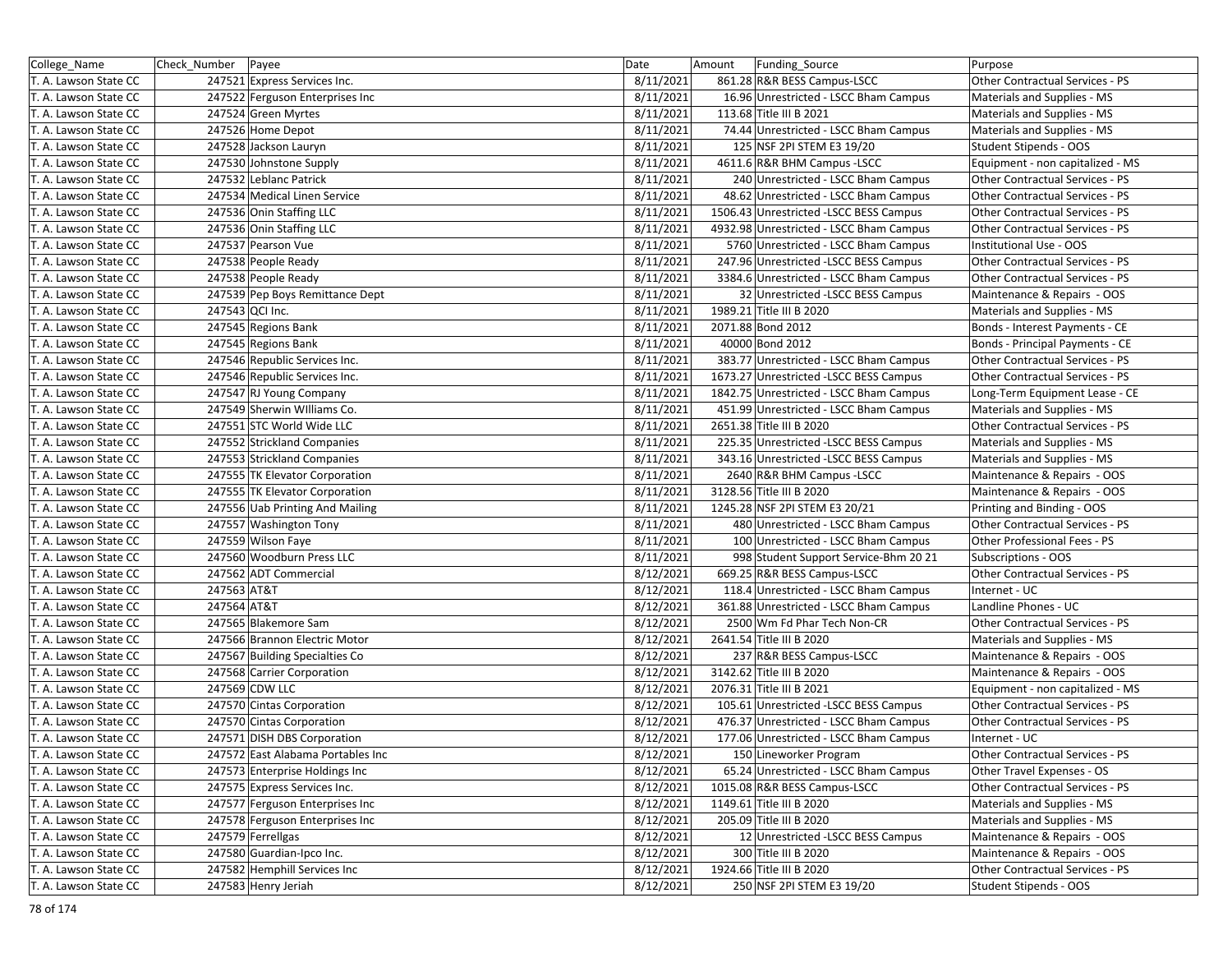| College_Name          | Check_Number   Payee              | Date      | Amount | Funding_Source                          | Purpose                          |
|-----------------------|-----------------------------------|-----------|--------|-----------------------------------------|----------------------------------|
| T. A. Lawson State CC | 247521 Express Services Inc.      | 8/11/2021 |        | 861.28 R&R BESS Campus-LSCC             | Other Contractual Services - PS  |
| T. A. Lawson State CC | 247522 Ferguson Enterprises Inc   | 8/11/2021 |        | 16.96 Unrestricted - LSCC Bham Campus   | Materials and Supplies - MS      |
| T. A. Lawson State CC | 247524 Green Myrtes               | 8/11/2021 |        | 113.68 Title III B 2021                 | Materials and Supplies - MS      |
| T. A. Lawson State CC | 247526 Home Depot                 | 8/11/2021 |        | 74.44 Unrestricted - LSCC Bham Campus   | Materials and Supplies - MS      |
| T. A. Lawson State CC | 247528 Jackson Lauryn             | 8/11/2021 |        | 125 NSF 2PI STEM E3 19/20               | Student Stipends - OOS           |
| T. A. Lawson State CC | 247530 Johnstone Supply           | 8/11/2021 |        | 4611.6 R&R BHM Campus - LSCC            | Equipment - non capitalized - MS |
| T. A. Lawson State CC | 247532 Leblanc Patrick            | 8/11/2021 |        | 240 Unrestricted - LSCC Bham Campus     | Other Contractual Services - PS  |
| T. A. Lawson State CC | 247534 Medical Linen Service      | 8/11/2021 |        | 48.62 Unrestricted - LSCC Bham Campus   | Other Contractual Services - PS  |
| T. A. Lawson State CC | 247536 Onin Staffing LLC          | 8/11/2021 |        | 1506.43 Unrestricted -LSCC BESS Campus  | Other Contractual Services - PS  |
| T. A. Lawson State CC | 247536 Onin Staffing LLC          | 8/11/2021 |        | 4932.98 Unrestricted - LSCC Bham Campus | Other Contractual Services - PS  |
| T. A. Lawson State CC | 247537 Pearson Vue                | 8/11/2021 |        | 5760 Unrestricted - LSCC Bham Campus    | Institutional Use - OOS          |
| T. A. Lawson State CC | 247538 People Ready               | 8/11/2021 |        | 247.96 Unrestricted -LSCC BESS Campus   | Other Contractual Services - PS  |
| T. A. Lawson State CC | 247538 People Ready               | 8/11/2021 |        | 3384.6 Unrestricted - LSCC Bham Campus  | Other Contractual Services - PS  |
| T. A. Lawson State CC | 247539 Pep Boys Remittance Dept   | 8/11/2021 |        | 32 Unrestricted - LSCC BESS Campus      | Maintenance & Repairs - OOS      |
| T. A. Lawson State CC | 247543 QCI Inc.                   | 8/11/2021 |        | 1989.21 Title III B 2020                | Materials and Supplies - MS      |
| T. A. Lawson State CC | 247545 Regions Bank               | 8/11/2021 |        | 2071.88 Bond 2012                       | Bonds - Interest Payments - CE   |
| T. A. Lawson State CC | 247545 Regions Bank               | 8/11/2021 |        | 40000 Bond 2012                         | Bonds - Principal Payments - CE  |
| T. A. Lawson State CC | 247546 Republic Services Inc.     | 8/11/2021 |        | 383.77 Unrestricted - LSCC Bham Campus  | Other Contractual Services - PS  |
| T. A. Lawson State CC | 247546 Republic Services Inc.     | 8/11/2021 |        | 1673.27 Unrestricted -LSCC BESS Campus  | Other Contractual Services - PS  |
| T. A. Lawson State CC | 247547 RJ Young Company           | 8/11/2021 |        | 1842.75 Unrestricted - LSCC Bham Campus | Long-Term Equipment Lease - CE   |
| T. A. Lawson State CC | 247549 Sherwin Williams Co.       | 8/11/2021 |        | 451.99 Unrestricted - LSCC Bham Campus  | Materials and Supplies - MS      |
| T. A. Lawson State CC | 247551 STC World Wide LLC         | 8/11/2021 |        | 2651.38 Title III B 2020                | Other Contractual Services - PS  |
| T. A. Lawson State CC | 247552 Strickland Companies       | 8/11/2021 |        | 225.35 Unrestricted -LSCC BESS Campus   | Materials and Supplies - MS      |
| T. A. Lawson State CC | 247553 Strickland Companies       | 8/11/2021 |        | 343.16 Unrestricted -LSCC BESS Campus   | Materials and Supplies - MS      |
| T. A. Lawson State CC | 247555 TK Elevator Corporation    | 8/11/2021 |        | 2640 R&R BHM Campus - LSCC              | Maintenance & Repairs - OOS      |
| T. A. Lawson State CC | 247555 TK Elevator Corporation    | 8/11/2021 |        | 3128.56 Title III B 2020                | Maintenance & Repairs - OOS      |
| T. A. Lawson State CC | 247556 Uab Printing And Mailing   | 8/11/2021 |        | 1245.28 NSF 2PI STEM E3 20/21           | Printing and Binding - OOS       |
| T. A. Lawson State CC | 247557 Washington Tony            | 8/11/2021 |        | 480 Unrestricted - LSCC Bham Campus     | Other Contractual Services - PS  |
| T. A. Lawson State CC | 247559 Wilson Faye                | 8/11/2021 |        | 100 Unrestricted - LSCC Bham Campus     | Other Professional Fees - PS     |
| T. A. Lawson State CC | 247560 Woodburn Press LLC         | 8/11/2021 |        | 998 Student Support Service-Bhm 20 21   | Subscriptions - OOS              |
| T. A. Lawson State CC | 247562 ADT Commercial             | 8/12/2021 |        | 669.25 R&R BESS Campus-LSCC             | Other Contractual Services - PS  |
| T. A. Lawson State CC | 247563 AT&T                       | 8/12/2021 |        | 118.4 Unrestricted - LSCC Bham Campus   | Internet - UC                    |
| T. A. Lawson State CC | 247564 AT&T                       | 8/12/2021 |        | 361.88 Unrestricted - LSCC Bham Campus  | Landline Phones - UC             |
| T. A. Lawson State CC | 247565 Blakemore Sam              | 8/12/2021 |        | 2500 Wm Fd Phar Tech Non-CR             | Other Contractual Services - PS  |
| T. A. Lawson State CC | 247566 Brannon Electric Motor     | 8/12/2021 |        | 2641.54 Title III B 2020                | Materials and Supplies - MS      |
| T. A. Lawson State CC | 247567 Building Specialties Co    | 8/12/2021 |        | 237 R&R BESS Campus-LSCC                | Maintenance & Repairs - OOS      |
| T. A. Lawson State CC | 247568 Carrier Corporation        | 8/12/2021 |        | 3142.62 Title III B 2020                | Maintenance & Repairs - OOS      |
| T. A. Lawson State CC | 247569 CDW LLC                    | 8/12/2021 |        | 2076.31 Title III B 2021                | Equipment - non capitalized - MS |
| T. A. Lawson State CC | 247570 Cintas Corporation         | 8/12/2021 |        | 105.61 Unrestricted -LSCC BESS Campus   | Other Contractual Services - PS  |
| T. A. Lawson State CC | 247570 Cintas Corporation         | 8/12/2021 |        | 476.37 Unrestricted - LSCC Bham Campus  | Other Contractual Services - PS  |
| T. A. Lawson State CC | 247571 DISH DBS Corporation       | 8/12/2021 |        | 177.06 Unrestricted - LSCC Bham Campus  | Internet - UC                    |
| T. A. Lawson State CC | 247572 East Alabama Portables Inc | 8/12/2021 |        | 150 Lineworker Program                  | Other Contractual Services - PS  |
| T. A. Lawson State CC | 247573 Enterprise Holdings Inc    | 8/12/2021 |        | 65.24 Unrestricted - LSCC Bham Campus   | Other Travel Expenses - OS       |
| T. A. Lawson State CC | 247575 Express Services Inc.      | 8/12/2021 |        | 1015.08 R&R BESS Campus-LSCC            | Other Contractual Services - PS  |
| T. A. Lawson State CC | 247577 Ferguson Enterprises Inc   | 8/12/2021 |        | 1149.61 Title III B 2020                | Materials and Supplies - MS      |
| T. A. Lawson State CC | 247578 Ferguson Enterprises Inc   | 8/12/2021 |        | 205.09 Title III B 2020                 | Materials and Supplies - MS      |
| T. A. Lawson State CC | 247579 Ferrellgas                 | 8/12/2021 |        | 12 Unrestricted - LSCC BESS Campus      | Maintenance & Repairs - OOS      |
| T. A. Lawson State CC | 247580 Guardian-Ipco Inc.         | 8/12/2021 |        | 300 Title III B 2020                    | Maintenance & Repairs - OOS      |
| T. A. Lawson State CC | 247582 Hemphill Services Inc      | 8/12/2021 |        | 1924.66 Title III B 2020                | Other Contractual Services - PS  |
| T. A. Lawson State CC | 247583 Henry Jeriah               | 8/12/2021 |        | 250 NSF 2PI STEM E3 19/20               | Student Stipends - OOS           |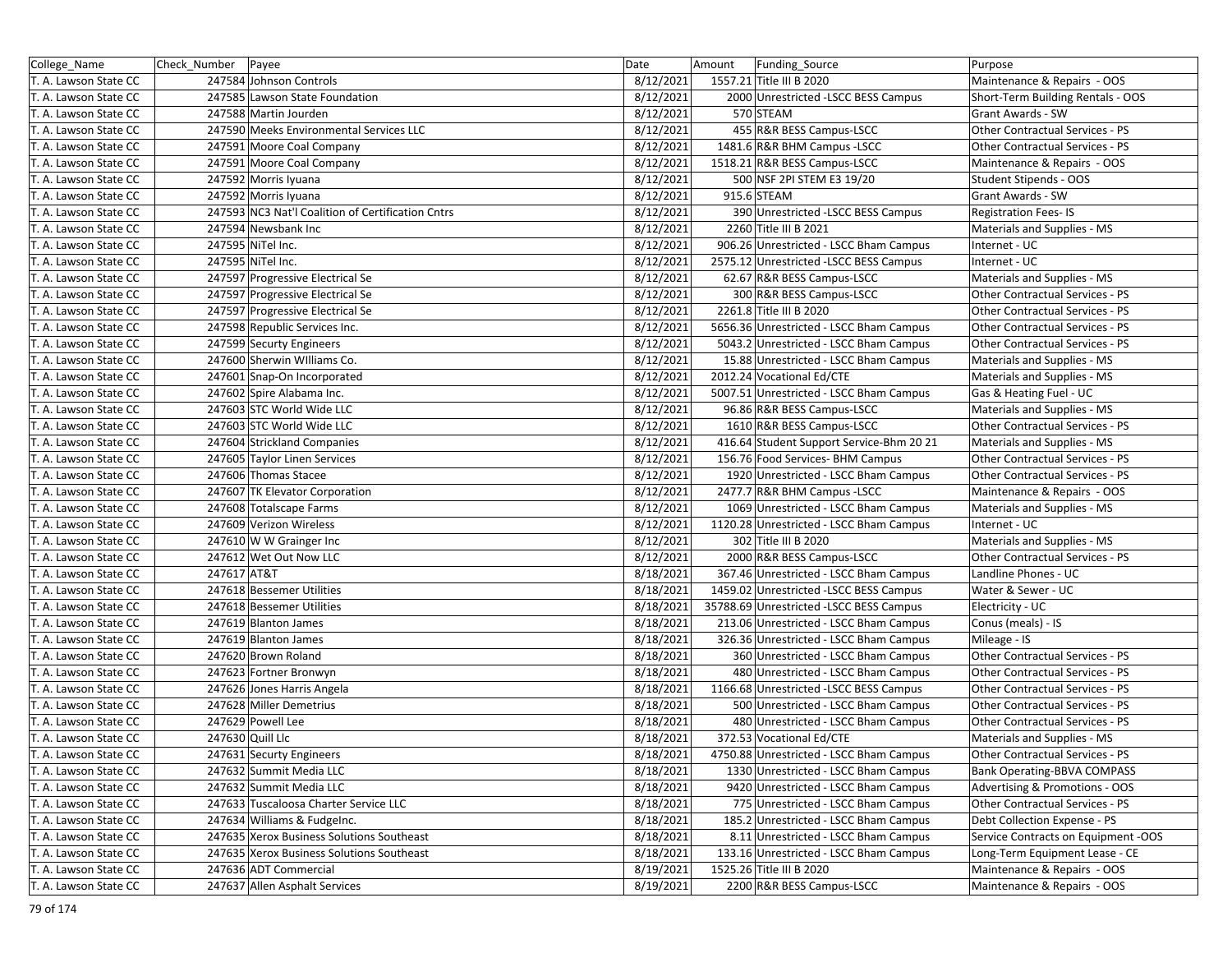| College_Name          | Check Number   Payee                              | Date      | Amount | Funding_Source                           | Purpose                             |
|-----------------------|---------------------------------------------------|-----------|--------|------------------------------------------|-------------------------------------|
| T. A. Lawson State CC | 247584 Johnson Controls                           | 8/12/2021 |        | 1557.21 Title III B 2020                 | Maintenance & Repairs - OOS         |
| T. A. Lawson State CC | 247585 Lawson State Foundation                    | 8/12/2021 |        | 2000 Unrestricted -LSCC BESS Campus      | Short-Term Building Rentals - OOS   |
| T. A. Lawson State CC | 247588 Martin Jourden                             | 8/12/2021 |        | 570 STEAM                                | Grant Awards - SW                   |
| T. A. Lawson State CC | 247590 Meeks Environmental Services LLC           | 8/12/2021 |        | 455 R&R BESS Campus-LSCC                 | Other Contractual Services - PS     |
| T. A. Lawson State CC | 247591 Moore Coal Company                         | 8/12/2021 |        | 1481.6 R&R BHM Campus - LSCC             | Other Contractual Services - PS     |
| T. A. Lawson State CC | 247591 Moore Coal Company                         | 8/12/2021 |        | 1518.21 R&R BESS Campus-LSCC             | Maintenance & Repairs - OOS         |
| T. A. Lawson State CC | 247592 Morris Iyuana                              | 8/12/2021 |        | 500 NSF 2PI STEM E3 19/20                | Student Stipends - OOS              |
| T. A. Lawson State CC | 247592 Morris Iyuana                              | 8/12/2021 |        | 915.6 STEAM                              | Grant Awards - SW                   |
| T. A. Lawson State CC | 247593 NC3 Nat'l Coalition of Certification Cntrs | 8/12/2021 |        | 390 Unrestricted - LSCC BESS Campus      | <b>Registration Fees-IS</b>         |
| T. A. Lawson State CC | 247594 Newsbank Inc                               | 8/12/2021 |        | 2260 Title III B 2021                    | Materials and Supplies - MS         |
| T. A. Lawson State CC | 247595 NiTel Inc.                                 | 8/12/2021 |        | 906.26 Unrestricted - LSCC Bham Campus   | Internet - UC                       |
| T. A. Lawson State CC | 247595 NiTel Inc.                                 | 8/12/2021 |        | 2575.12 Unrestricted -LSCC BESS Campus   | Internet - UC                       |
| T. A. Lawson State CC | 247597 Progressive Electrical Se                  | 8/12/2021 |        | 62.67 R&R BESS Campus-LSCC               | Materials and Supplies - MS         |
| T. A. Lawson State CC | 247597 Progressive Electrical Se                  | 8/12/2021 |        | 300 R&R BESS Campus-LSCC                 | Other Contractual Services - PS     |
| T. A. Lawson State CC | 247597 Progressive Electrical Se                  | 8/12/2021 |        | 2261.8 Title III B 2020                  | Other Contractual Services - PS     |
| T. A. Lawson State CC | 247598 Republic Services Inc.                     | 8/12/2021 |        | 5656.36 Unrestricted - LSCC Bham Campus  | Other Contractual Services - PS     |
| T. A. Lawson State CC | 247599 Securty Engineers                          | 8/12/2021 |        | 5043.2 Unrestricted - LSCC Bham Campus   | Other Contractual Services - PS     |
| T. A. Lawson State CC | 247600 Sherwin Williams Co.                       | 8/12/2021 |        | 15.88 Unrestricted - LSCC Bham Campus    | Materials and Supplies - MS         |
| T. A. Lawson State CC | 247601 Snap-On Incorporated                       | 8/12/2021 |        | 2012.24 Vocational Ed/CTE                | Materials and Supplies - MS         |
| T. A. Lawson State CC | 247602 Spire Alabama Inc.                         | 8/12/2021 |        | 5007.51 Unrestricted - LSCC Bham Campus  | Gas & Heating Fuel - UC             |
| T. A. Lawson State CC | 247603 STC World Wide LLC                         | 8/12/2021 |        | 96.86 R&R BESS Campus-LSCC               | Materials and Supplies - MS         |
| T. A. Lawson State CC | 247603 STC World Wide LLC                         | 8/12/2021 |        | 1610 R&R BESS Campus-LSCC                | Other Contractual Services - PS     |
| T. A. Lawson State CC | 247604 Strickland Companies                       | 8/12/2021 |        | 416.64 Student Support Service-Bhm 20 21 | Materials and Supplies - MS         |
| T. A. Lawson State CC | 247605 Taylor Linen Services                      | 8/12/2021 |        | 156.76 Food Services- BHM Campus         | Other Contractual Services - PS     |
| T. A. Lawson State CC | 247606 Thomas Stacee                              | 8/12/2021 |        | 1920 Unrestricted - LSCC Bham Campus     | Other Contractual Services - PS     |
| T. A. Lawson State CC | 247607 TK Elevator Corporation                    | 8/12/2021 |        | 2477.7 R&R BHM Campus - LSCC             | Maintenance & Repairs - OOS         |
| T. A. Lawson State CC | 247608 Totalscape Farms                           | 8/12/2021 |        | 1069 Unrestricted - LSCC Bham Campus     | Materials and Supplies - MS         |
| T. A. Lawson State CC | 247609 Verizon Wireless                           | 8/12/2021 |        | 1120.28 Unrestricted - LSCC Bham Campus  | Internet - UC                       |
| T. A. Lawson State CC | 247610 W W Grainger Inc                           | 8/12/2021 |        | 302 Title III B 2020                     | Materials and Supplies - MS         |
| T. A. Lawson State CC | 247612 Wet Out Now LLC                            | 8/12/2021 |        | 2000 R&R BESS Campus-LSCC                | Other Contractual Services - PS     |
| T. A. Lawson State CC | 247617 AT&T                                       | 8/18/2021 |        | 367.46 Unrestricted - LSCC Bham Campus   | Landline Phones - UC                |
| T. A. Lawson State CC | 247618 Bessemer Utilities                         | 8/18/2021 |        | 1459.02 Unrestricted -LSCC BESS Campus   | Water & Sewer - UC                  |
| T. A. Lawson State CC | 247618 Bessemer Utilities                         | 8/18/2021 |        | 35788.69 Unrestricted -LSCC BESS Campus  | Electricity - UC                    |
| T. A. Lawson State CC | 247619 Blanton James                              | 8/18/2021 |        | 213.06 Unrestricted - LSCC Bham Campus   | Conus (meals) - IS                  |
| T. A. Lawson State CC | 247619 Blanton James                              | 8/18/2021 |        | 326.36 Unrestricted - LSCC Bham Campus   | Mileage - IS                        |
| T. A. Lawson State CC | 247620 Brown Roland                               | 8/18/2021 |        | 360 Unrestricted - LSCC Bham Campus      | Other Contractual Services - PS     |
| T. A. Lawson State CC | 247623 Fortner Bronwyn                            | 8/18/2021 |        | 480 Unrestricted - LSCC Bham Campus      | Other Contractual Services - PS     |
| T. A. Lawson State CC | 247626 Jones Harris Angela                        | 8/18/2021 |        | 1166.68 Unrestricted -LSCC BESS Campus   | Other Contractual Services - PS     |
| T. A. Lawson State CC | 247628 Miller Demetrius                           | 8/18/2021 |        | 500 Unrestricted - LSCC Bham Campus      | Other Contractual Services - PS     |
| T. A. Lawson State CC | 247629 Powell Lee                                 | 8/18/2021 |        | 480 Unrestricted - LSCC Bham Campus      | Other Contractual Services - PS     |
| T. A. Lawson State CC | 247630 Quill Llc                                  | 8/18/2021 |        | 372.53 Vocational Ed/CTE                 | Materials and Supplies - MS         |
| T. A. Lawson State CC | 247631 Securty Engineers                          | 8/18/2021 |        | 4750.88 Unrestricted - LSCC Bham Campus  | Other Contractual Services - PS     |
| T. A. Lawson State CC | 247632 Summit Media LLC                           | 8/18/2021 |        | 1330 Unrestricted - LSCC Bham Campus     | Bank Operating-BBVA COMPASS         |
| T. A. Lawson State CC | 247632 Summit Media LLC                           | 8/18/2021 |        | 9420 Unrestricted - LSCC Bham Campus     | Advertising & Promotions - OOS      |
| T. A. Lawson State CC | 247633 Tuscaloosa Charter Service LLC             | 8/18/2021 |        | 775 Unrestricted - LSCC Bham Campus      | Other Contractual Services - PS     |
| T. A. Lawson State CC | 247634 Williams & Fudgelnc.                       | 8/18/2021 |        | 185.2 Unrestricted - LSCC Bham Campus    | Debt Collection Expense - PS        |
| T. A. Lawson State CC | 247635 Xerox Business Solutions Southeast         | 8/18/2021 |        | 8.11 Unrestricted - LSCC Bham Campus     | Service Contracts on Equipment -OOS |
| T. A. Lawson State CC | 247635 Xerox Business Solutions Southeast         | 8/18/2021 |        | 133.16 Unrestricted - LSCC Bham Campus   | Long-Term Equipment Lease - CE      |
| T. A. Lawson State CC | 247636 ADT Commercial                             | 8/19/2021 |        | 1525.26 Title III B 2020                 | Maintenance & Repairs - OOS         |
| T. A. Lawson State CC | 247637 Allen Asphalt Services                     | 8/19/2021 |        | 2200 R&R BESS Campus-LSCC                | Maintenance & Repairs - OOS         |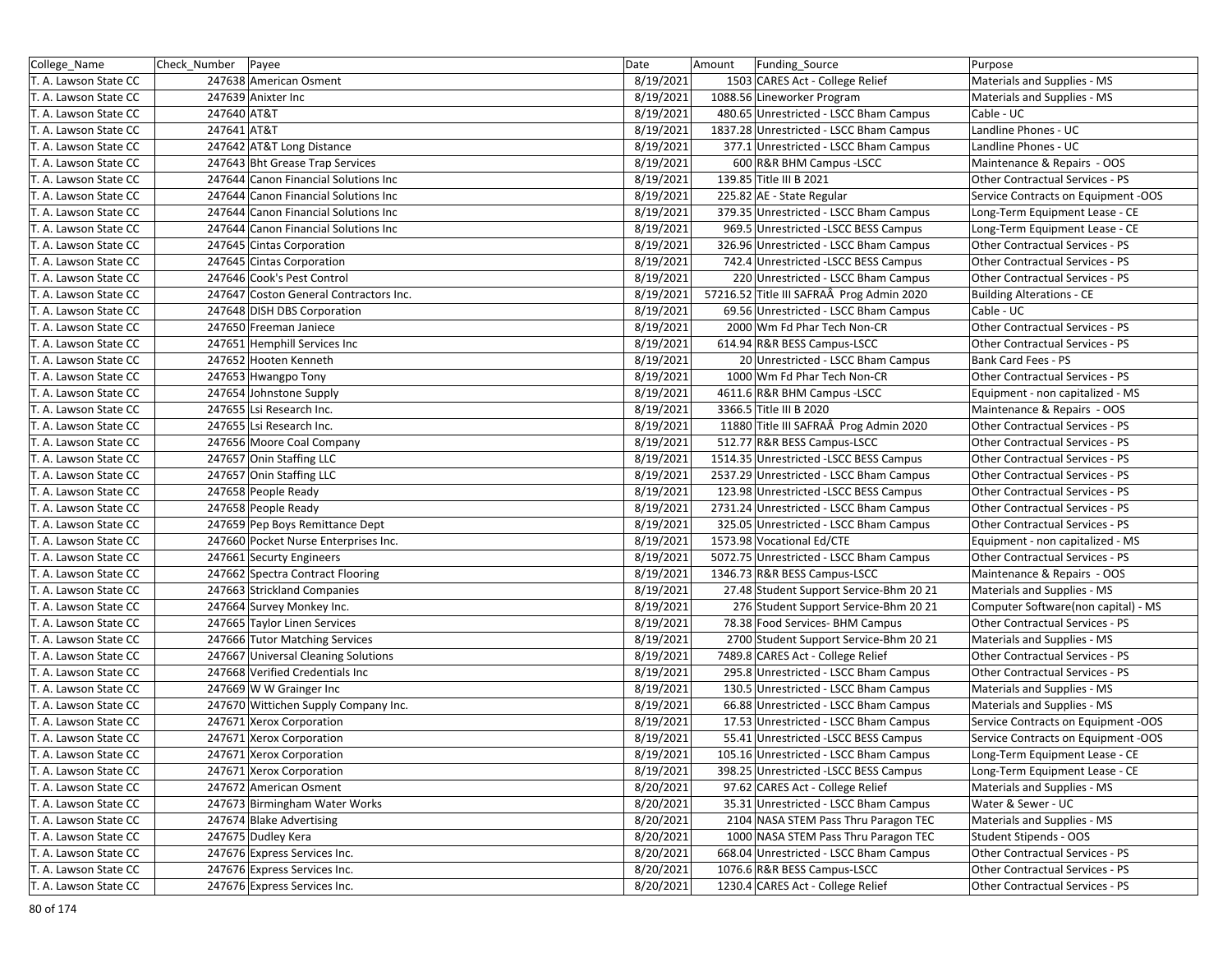| College_Name          | Check Number | Payee                                  | Date      | Amount | Funding Source                            | Purpose                                |
|-----------------------|--------------|----------------------------------------|-----------|--------|-------------------------------------------|----------------------------------------|
| T. A. Lawson State CC |              | 247638 American Osment                 | 8/19/2021 |        | 1503 CARES Act - College Relief           | Materials and Supplies - MS            |
| T. A. Lawson State CC |              | 247639 Anixter Inc                     | 8/19/2021 |        | 1088.56 Lineworker Program                | Materials and Supplies - MS            |
| T. A. Lawson State CC | 247640 AT&T  |                                        | 8/19/2021 |        | 480.65 Unrestricted - LSCC Bham Campus    | Cable - UC                             |
| T. A. Lawson State CC | 247641 AT&T  |                                        | 8/19/2021 |        | 1837.28 Unrestricted - LSCC Bham Campus   | Landline Phones - UC                   |
| T. A. Lawson State CC |              | 247642 AT&T Long Distance              | 8/19/2021 |        | 377.1 Unrestricted - LSCC Bham Campus     | Landline Phones - UC                   |
| T. A. Lawson State CC |              | 247643 Bht Grease Trap Services        | 8/19/2021 |        | 600 R&R BHM Campus -LSCC                  | Maintenance & Repairs - OOS            |
| T. A. Lawson State CC |              | 247644 Canon Financial Solutions Inc   | 8/19/2021 |        | 139.85 Title III B 2021                   | Other Contractual Services - PS        |
| T. A. Lawson State CC |              | 247644 Canon Financial Solutions Inc   | 8/19/2021 |        | 225.82 AE - State Regular                 | Service Contracts on Equipment -OOS    |
| T. A. Lawson State CC |              | 247644 Canon Financial Solutions Inc   | 8/19/2021 |        | 379.35 Unrestricted - LSCC Bham Campus    | Long-Term Equipment Lease - CE         |
| T. A. Lawson State CC |              | 247644 Canon Financial Solutions Inc   | 8/19/2021 |        | 969.5 Unrestricted -LSCC BESS Campus      | Long-Term Equipment Lease - CE         |
| T. A. Lawson State CC |              | 247645 Cintas Corporation              | 8/19/2021 |        | 326.96 Unrestricted - LSCC Bham Campus    | Other Contractual Services - PS        |
| T. A. Lawson State CC |              | 247645 Cintas Corporation              | 8/19/2021 |        | 742.4 Unrestricted -LSCC BESS Campus      | Other Contractual Services - PS        |
| T. A. Lawson State CC |              | 247646 Cook's Pest Control             | 8/19/2021 |        | 220 Unrestricted - LSCC Bham Campus       | Other Contractual Services - PS        |
| T. A. Lawson State CC |              | 247647 Coston General Contractors Inc. | 8/19/2021 |        | 57216.52 Title III SAFRAÂ Prog Admin 2020 | <b>Building Alterations - CE</b>       |
| T. A. Lawson State CC |              | 247648 DISH DBS Corporation            | 8/19/2021 |        | 69.56 Unrestricted - LSCC Bham Campus     | Cable - UC                             |
| T. A. Lawson State CC |              | 247650 Freeman Janiece                 | 8/19/2021 |        | 2000 Wm Fd Phar Tech Non-CR               | Other Contractual Services - PS        |
| T. A. Lawson State CC |              | 247651 Hemphill Services Inc           | 8/19/2021 |        | 614.94 R&R BESS Campus-LSCC               | Other Contractual Services - PS        |
| T. A. Lawson State CC |              | 247652 Hooten Kenneth                  | 8/19/2021 |        | 20 Unrestricted - LSCC Bham Campus        | Bank Card Fees - PS                    |
| T. A. Lawson State CC |              | 247653 Hwangpo Tony                    | 8/19/2021 |        | 1000 Wm Fd Phar Tech Non-CR               | Other Contractual Services - PS        |
| T. A. Lawson State CC |              | 247654 Johnstone Supply                | 8/19/2021 |        | 4611.6 R&R BHM Campus - LSCC              | Equipment - non capitalized - MS       |
| T. A. Lawson State CC |              | 247655 Lsi Research Inc.               | 8/19/2021 |        | 3366.5 Title III B 2020                   | Maintenance & Repairs - OOS            |
| T. A. Lawson State CC |              | 247655 Lsi Research Inc.               | 8/19/2021 |        | 11880 Title III SAFRAÂ Prog Admin 2020    | Other Contractual Services - PS        |
| T. A. Lawson State CC |              | 247656 Moore Coal Company              | 8/19/2021 |        | 512.77 R&R BESS Campus-LSCC               | <b>Other Contractual Services - PS</b> |
| T. A. Lawson State CC |              | 247657 Onin Staffing LLC               | 8/19/2021 |        | 1514.35 Unrestricted - LSCC BESS Campus   | Other Contractual Services - PS        |
| T. A. Lawson State CC |              | 247657 Onin Staffing LLC               | 8/19/2021 |        | 2537.29 Unrestricted - LSCC Bham Campus   | Other Contractual Services - PS        |
| T. A. Lawson State CC |              | 247658 People Ready                    | 8/19/2021 |        | 123.98 Unrestricted -LSCC BESS Campus     | <b>Other Contractual Services - PS</b> |
| T. A. Lawson State CC |              | 247658 People Ready                    | 8/19/2021 |        | 2731.24 Unrestricted - LSCC Bham Campus   | Other Contractual Services - PS        |
| T. A. Lawson State CC |              | 247659 Pep Boys Remittance Dept        | 8/19/2021 |        | 325.05 Unrestricted - LSCC Bham Campus    | Other Contractual Services - PS        |
| T. A. Lawson State CC |              | 247660 Pocket Nurse Enterprises Inc.   | 8/19/2021 |        | 1573.98 Vocational Ed/CTE                 | Equipment - non capitalized - MS       |
| T. A. Lawson State CC |              | 247661 Securty Engineers               | 8/19/2021 |        | 5072.75 Unrestricted - LSCC Bham Campus   | Other Contractual Services - PS        |
| T. A. Lawson State CC |              | 247662 Spectra Contract Flooring       | 8/19/2021 |        | 1346.73 R&R BESS Campus-LSCC              | Maintenance & Repairs - OOS            |
| T. A. Lawson State CC |              | 247663 Strickland Companies            | 8/19/2021 |        | 27.48 Student Support Service-Bhm 20 21   | Materials and Supplies - MS            |
| T. A. Lawson State CC |              | 247664 Survey Monkey Inc.              | 8/19/2021 |        | 276 Student Support Service-Bhm 20 21     | Computer Software(non capital) - MS    |
| T. A. Lawson State CC |              | 247665 Taylor Linen Services           | 8/19/2021 |        | 78.38 Food Services- BHM Campus           | Other Contractual Services - PS        |
| T. A. Lawson State CC |              | 247666 Tutor Matching Services         | 8/19/2021 |        | 2700 Student Support Service-Bhm 20 21    | Materials and Supplies - MS            |
| T. A. Lawson State CC |              | 247667 Universal Cleaning Solutions    | 8/19/2021 |        | 7489.8 CARES Act - College Relief         | Other Contractual Services - PS        |
| T. A. Lawson State CC |              | 247668 Verified Credentials Inc        | 8/19/2021 |        | 295.8 Unrestricted - LSCC Bham Campus     | Other Contractual Services - PS        |
| T. A. Lawson State CC |              | 247669 W W Grainger Inc                | 8/19/2021 |        | 130.5 Unrestricted - LSCC Bham Campus     | Materials and Supplies - MS            |
| T. A. Lawson State CC |              | 247670 Wittichen Supply Company Inc.   | 8/19/2021 |        | 66.88 Unrestricted - LSCC Bham Campus     | Materials and Supplies - MS            |
| T. A. Lawson State CC |              | 247671 Xerox Corporation               | 8/19/2021 |        | 17.53 Unrestricted - LSCC Bham Campus     | Service Contracts on Equipment -OOS    |
| T. A. Lawson State CC |              | 247671 Xerox Corporation               | 8/19/2021 |        | 55.41 Unrestricted -LSCC BESS Campus      | Service Contracts on Equipment -OOS    |
| T. A. Lawson State CC |              | 247671 Xerox Corporation               | 8/19/2021 |        | 105.16 Unrestricted - LSCC Bham Campus    | Long-Term Equipment Lease - CE         |
| T. A. Lawson State CC |              | 247671 Xerox Corporation               | 8/19/2021 |        | 398.25 Unrestricted -LSCC BESS Campus     | Long-Term Equipment Lease - CE         |
| T. A. Lawson State CC |              | 247672 American Osment                 | 8/20/2021 |        | 97.62 CARES Act - College Relief          | Materials and Supplies - MS            |
| T. A. Lawson State CC |              | 247673 Birmingham Water Works          | 8/20/2021 |        | 35.31 Unrestricted - LSCC Bham Campus     | Water & Sewer - UC                     |
| T. A. Lawson State CC |              | 247674 Blake Advertising               | 8/20/2021 |        | 2104 NASA STEM Pass Thru Paragon TEC      | Materials and Supplies - MS            |
| T. A. Lawson State CC |              | 247675 Dudley Kera                     | 8/20/2021 |        | 1000 NASA STEM Pass Thru Paragon TEC      | Student Stipends - OOS                 |
| T. A. Lawson State CC |              | 247676 Express Services Inc.           | 8/20/2021 |        | 668.04 Unrestricted - LSCC Bham Campus    | Other Contractual Services - PS        |
| T. A. Lawson State CC |              | 247676 Express Services Inc.           | 8/20/2021 |        | 1076.6 R&R BESS Campus-LSCC               | Other Contractual Services - PS        |
| T. A. Lawson State CC |              | 247676 Express Services Inc.           | 8/20/2021 |        | 1230.4 CARES Act - College Relief         | Other Contractual Services - PS        |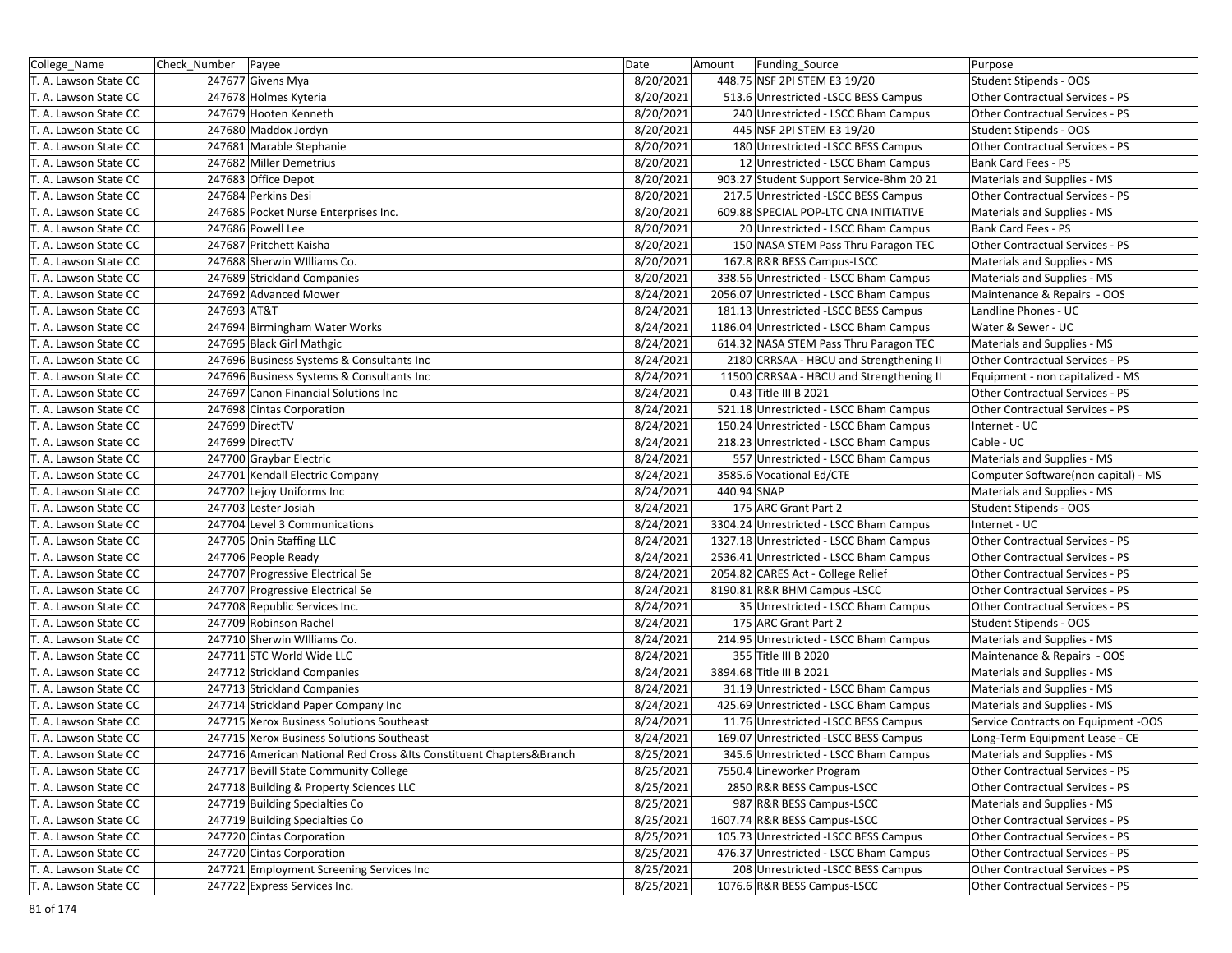| 8/20/2021<br>T. A. Lawson State CC<br>247677 Givens Mya<br>448.75 NSF 2PI STEM E3 19/20<br>Student Stipends - OOS<br>8/20/2021<br>513.6 Unrestricted -LSCC BESS Campus<br>T. A. Lawson State CC<br>247678 Holmes Kyteria<br><b>Other Contractual Services - PS</b><br>T. A. Lawson State CC<br>247679 Hooten Kenneth<br>8/20/2021<br>240 Unrestricted - LSCC Bham Campus<br>Other Contractual Services - PS<br>247680 Maddox Jordyn<br>8/20/2021<br>445 NSF 2PI STEM E3 19/20<br>T. A. Lawson State CC<br>Student Stipends - OOS<br>8/20/2021<br>247681 Marable Stephanie<br>180 Unrestricted - LSCC BESS Campus<br>Other Contractual Services - PS<br>T. A. Lawson State CC<br>247682 Miller Demetrius<br>8/20/2021<br>12 Unrestricted - LSCC Bham Campus<br>Bank Card Fees - PS<br>T. A. Lawson State CC<br>T. A. Lawson State CC<br>247683 Office Depot<br>8/20/2021<br>903.27 Student Support Service-Bhm 20 21<br>Materials and Supplies - MS<br>247684 Perkins Desi<br>217.5 Unrestricted -LSCC BESS Campus<br>Other Contractual Services - PS<br>T. A. Lawson State CC<br>8/20/2021<br>247685 Pocket Nurse Enterprises Inc.<br>8/20/2021<br>609.88 SPECIAL POP-LTC CNA INITIATIVE<br>Materials and Supplies - MS<br>T. A. Lawson State CC<br>247686 Powell Lee<br>8/20/2021<br>20 Unrestricted - LSCC Bham Campus<br>Bank Card Fees - PS<br>T. A. Lawson State CC<br>247687 Pritchett Kaisha<br>8/20/2021<br>150 NASA STEM Pass Thru Paragon TEC<br>Other Contractual Services - PS<br>T. A. Lawson State CC<br>247688 Sherwin Williams Co.<br>8/20/2021<br>167.8 R&R BESS Campus-LSCC<br>T. A. Lawson State CC<br>Materials and Supplies - MS<br>247689 Strickland Companies<br>8/20/2021<br>338.56 Unrestricted - LSCC Bham Campus<br>Materials and Supplies - MS<br>T. A. Lawson State CC<br>247692 Advanced Mower<br>8/24/2021<br>2056.07 Unrestricted - LSCC Bham Campus<br>Maintenance & Repairs - OOS<br>T. A. Lawson State CC<br>247693 AT&T<br>8/24/2021<br>181.13 Unrestricted -LSCC BESS Campus<br>Landline Phones - UC<br>T. A. Lawson State CC<br>247694 Birmingham Water Works<br>8/24/2021<br>1186.04 Unrestricted - LSCC Bham Campus<br>Water & Sewer - UC<br>T. A. Lawson State CC<br>247695 Black Girl Mathgic<br>8/24/2021<br>614.32 NASA STEM Pass Thru Paragon TEC<br>Materials and Supplies - MS<br>T. A. Lawson State CC<br>247696 Business Systems & Consultants Inc<br>8/24/2021<br>2180 CRRSAA - HBCU and Strengthening II<br>Other Contractual Services - PS<br>T. A. Lawson State CC<br>247696 Business Systems & Consultants Inc<br>8/24/2021<br>11500 CRRSAA - HBCU and Strengthening II<br>Equipment - non capitalized - MS<br>T. A. Lawson State CC<br>247697 Canon Financial Solutions Inc<br>8/24/2021<br>0.43 Title III B 2021<br>Other Contractual Services - PS<br>T. A. Lawson State CC<br>8/24/2021<br>521.18 Unrestricted - LSCC Bham Campus<br>Other Contractual Services - PS<br>T. A. Lawson State CC<br>247698 Cintas Corporation<br>247699 DirectTV<br>8/24/2021<br>150.24 Unrestricted - LSCC Bham Campus<br>Internet - UC<br>T. A. Lawson State CC<br>247699 DirectTV<br>8/24/2021<br>218.23 Unrestricted - LSCC Bham Campus<br>Cable - UC<br>T. A. Lawson State CC<br>T. A. Lawson State CC<br>247700 Graybar Electric<br>8/24/2021<br>557 Unrestricted - LSCC Bham Campus<br>Materials and Supplies - MS<br>247701 Kendall Electric Company<br>8/24/2021<br>3585.6 Vocational Ed/CTE<br>Computer Software(non capital) - MS<br>T. A. Lawson State CC<br>8/24/2021<br>440.94 SNAP<br>247702 Lejoy Uniforms Inc<br>Materials and Supplies - MS<br>T. A. Lawson State CC<br>247703 Lester Josiah<br>8/24/2021<br>175 ARC Grant Part 2<br>Student Stipends - OOS<br>T. A. Lawson State CC<br>8/24/2021<br>T. A. Lawson State CC<br>247704 Level 3 Communications<br>3304.24 Unrestricted - LSCC Bham Campus<br>Internet - UC<br>247705 Onin Staffing LLC<br>8/24/2021<br>1327.18 Unrestricted - LSCC Bham Campus<br>T. A. Lawson State CC<br>Other Contractual Services - PS<br>247706 People Ready<br>8/24/2021<br>2536.41 Unrestricted - LSCC Bham Campus<br>Other Contractual Services - PS<br>T. A. Lawson State CC<br>2054.82 CARES Act - College Relief<br>247707 Progressive Electrical Se<br>8/24/2021<br>Other Contractual Services - PS<br>T. A. Lawson State CC<br>8190.81 R&R BHM Campus -LSCC<br>T. A. Lawson State CC<br>247707 Progressive Electrical Se<br>8/24/2021<br>Other Contractual Services - PS<br>8/24/2021<br>35 Unrestricted - LSCC Bham Campus<br>T. A. Lawson State CC<br>247708 Republic Services Inc.<br>Other Contractual Services - PS<br>247709 Robinson Rachel<br>175 ARC Grant Part 2<br>8/24/2021<br>Student Stipends - OOS<br>T. A. Lawson State CC<br>247710 Sherwin Williams Co.<br>8/24/2021<br>214.95 Unrestricted - LSCC Bham Campus<br>T. A. Lawson State CC<br>Materials and Supplies - MS<br>355 Title III B 2020<br>247711 STC World Wide LLC<br>8/24/2021<br>Maintenance & Repairs - OOS<br>T. A. Lawson State CC<br>8/24/2021<br>3894.68 Title III B 2021<br>T. A. Lawson State CC<br>247712 Strickland Companies<br>Materials and Supplies - MS<br>247713 Strickland Companies<br>8/24/2021<br>Materials and Supplies - MS<br>T. A. Lawson State CC<br>31.19 Unrestricted - LSCC Bham Campus<br>247714 Strickland Paper Company Inc<br>8/24/2021<br>425.69 Unrestricted - LSCC Bham Campus<br>Materials and Supplies - MS<br>T. A. Lawson State CC<br>247715 Xerox Business Solutions Southeast<br>8/24/2021<br>11.76 Unrestricted -LSCC BESS Campus<br>T. A. Lawson State CC<br>247715 Xerox Business Solutions Southeast<br>8/24/2021<br>169.07 Unrestricted - LSCC BESS Campus<br>Long-Term Equipment Lease - CE<br>T. A. Lawson State CC<br>345.6 Unrestricted - LSCC Bham Campus | College_Name          | Check Number   Payee                                                  | Date      | Amount | <b>Funding Source</b> | Purpose                             |
|---------------------------------------------------------------------------------------------------------------------------------------------------------------------------------------------------------------------------------------------------------------------------------------------------------------------------------------------------------------------------------------------------------------------------------------------------------------------------------------------------------------------------------------------------------------------------------------------------------------------------------------------------------------------------------------------------------------------------------------------------------------------------------------------------------------------------------------------------------------------------------------------------------------------------------------------------------------------------------------------------------------------------------------------------------------------------------------------------------------------------------------------------------------------------------------------------------------------------------------------------------------------------------------------------------------------------------------------------------------------------------------------------------------------------------------------------------------------------------------------------------------------------------------------------------------------------------------------------------------------------------------------------------------------------------------------------------------------------------------------------------------------------------------------------------------------------------------------------------------------------------------------------------------------------------------------------------------------------------------------------------------------------------------------------------------------------------------------------------------------------------------------------------------------------------------------------------------------------------------------------------------------------------------------------------------------------------------------------------------------------------------------------------------------------------------------------------------------------------------------------------------------------------------------------------------------------------------------------------------------------------------------------------------------------------------------------------------------------------------------------------------------------------------------------------------------------------------------------------------------------------------------------------------------------------------------------------------------------------------------------------------------------------------------------------------------------------------------------------------------------------------------------------------------------------------------------------------------------------------------------------------------------------------------------------------------------------------------------------------------------------------------------------------------------------------------------------------------------------------------------------------------------------------------------------------------------------------------------------------------------------------------------------------------------------------------------------------------------------------------------------------------------------------------------------------------------------------------------------------------------------------------------------------------------------------------------------------------------------------------------------------------------------------------------------------------------------------------------------------------------------------------------------------------------------------------------------------------------------------------------------------------------------------------------------------------------------------------------------------------------------------------------------------------------------------------------------------------------------------------------------------------------------------------------------------------------------------------------------------------------------------------------------------------------------------------------------------------------------------------------------------------------------------------------------------------------------------------------------------------------------------------------------------------------------------------------------------------------------------------------------------------------------------------------------------------------------------------------------------------------------------------------------------------------------------------------------------------------------------------------------------------------------------------------------------------------------------------------------------------------------------------------------------------------------------------------------------------------------------------------------------------------------------------------------------------------------------------------------------------------------------------------------------------------------------------------------------------------------------------------------------------------------------------|-----------------------|-----------------------------------------------------------------------|-----------|--------|-----------------------|-------------------------------------|
|                                                                                                                                                                                                                                                                                                                                                                                                                                                                                                                                                                                                                                                                                                                                                                                                                                                                                                                                                                                                                                                                                                                                                                                                                                                                                                                                                                                                                                                                                                                                                                                                                                                                                                                                                                                                                                                                                                                                                                                                                                                                                                                                                                                                                                                                                                                                                                                                                                                                                                                                                                                                                                                                                                                                                                                                                                                                                                                                                                                                                                                                                                                                                                                                                                                                                                                                                                                                                                                                                                                                                                                                                                                                                                                                                                                                                                                                                                                                                                                                                                                                                                                                                                                                                                                                                                                                                                                                                                                                                                                                                                                                                                                                                                                                                                                                                                                                                                                                                                                                                                                                                                                                                                                                                                                                                                                                                                                                                                                                                                                                                                                                                                                                                                                                                                                             |                       |                                                                       |           |        |                       |                                     |
|                                                                                                                                                                                                                                                                                                                                                                                                                                                                                                                                                                                                                                                                                                                                                                                                                                                                                                                                                                                                                                                                                                                                                                                                                                                                                                                                                                                                                                                                                                                                                                                                                                                                                                                                                                                                                                                                                                                                                                                                                                                                                                                                                                                                                                                                                                                                                                                                                                                                                                                                                                                                                                                                                                                                                                                                                                                                                                                                                                                                                                                                                                                                                                                                                                                                                                                                                                                                                                                                                                                                                                                                                                                                                                                                                                                                                                                                                                                                                                                                                                                                                                                                                                                                                                                                                                                                                                                                                                                                                                                                                                                                                                                                                                                                                                                                                                                                                                                                                                                                                                                                                                                                                                                                                                                                                                                                                                                                                                                                                                                                                                                                                                                                                                                                                                                             |                       |                                                                       |           |        |                       |                                     |
|                                                                                                                                                                                                                                                                                                                                                                                                                                                                                                                                                                                                                                                                                                                                                                                                                                                                                                                                                                                                                                                                                                                                                                                                                                                                                                                                                                                                                                                                                                                                                                                                                                                                                                                                                                                                                                                                                                                                                                                                                                                                                                                                                                                                                                                                                                                                                                                                                                                                                                                                                                                                                                                                                                                                                                                                                                                                                                                                                                                                                                                                                                                                                                                                                                                                                                                                                                                                                                                                                                                                                                                                                                                                                                                                                                                                                                                                                                                                                                                                                                                                                                                                                                                                                                                                                                                                                                                                                                                                                                                                                                                                                                                                                                                                                                                                                                                                                                                                                                                                                                                                                                                                                                                                                                                                                                                                                                                                                                                                                                                                                                                                                                                                                                                                                                                             |                       |                                                                       |           |        |                       |                                     |
|                                                                                                                                                                                                                                                                                                                                                                                                                                                                                                                                                                                                                                                                                                                                                                                                                                                                                                                                                                                                                                                                                                                                                                                                                                                                                                                                                                                                                                                                                                                                                                                                                                                                                                                                                                                                                                                                                                                                                                                                                                                                                                                                                                                                                                                                                                                                                                                                                                                                                                                                                                                                                                                                                                                                                                                                                                                                                                                                                                                                                                                                                                                                                                                                                                                                                                                                                                                                                                                                                                                                                                                                                                                                                                                                                                                                                                                                                                                                                                                                                                                                                                                                                                                                                                                                                                                                                                                                                                                                                                                                                                                                                                                                                                                                                                                                                                                                                                                                                                                                                                                                                                                                                                                                                                                                                                                                                                                                                                                                                                                                                                                                                                                                                                                                                                                             |                       |                                                                       |           |        |                       |                                     |
|                                                                                                                                                                                                                                                                                                                                                                                                                                                                                                                                                                                                                                                                                                                                                                                                                                                                                                                                                                                                                                                                                                                                                                                                                                                                                                                                                                                                                                                                                                                                                                                                                                                                                                                                                                                                                                                                                                                                                                                                                                                                                                                                                                                                                                                                                                                                                                                                                                                                                                                                                                                                                                                                                                                                                                                                                                                                                                                                                                                                                                                                                                                                                                                                                                                                                                                                                                                                                                                                                                                                                                                                                                                                                                                                                                                                                                                                                                                                                                                                                                                                                                                                                                                                                                                                                                                                                                                                                                                                                                                                                                                                                                                                                                                                                                                                                                                                                                                                                                                                                                                                                                                                                                                                                                                                                                                                                                                                                                                                                                                                                                                                                                                                                                                                                                                             |                       |                                                                       |           |        |                       |                                     |
|                                                                                                                                                                                                                                                                                                                                                                                                                                                                                                                                                                                                                                                                                                                                                                                                                                                                                                                                                                                                                                                                                                                                                                                                                                                                                                                                                                                                                                                                                                                                                                                                                                                                                                                                                                                                                                                                                                                                                                                                                                                                                                                                                                                                                                                                                                                                                                                                                                                                                                                                                                                                                                                                                                                                                                                                                                                                                                                                                                                                                                                                                                                                                                                                                                                                                                                                                                                                                                                                                                                                                                                                                                                                                                                                                                                                                                                                                                                                                                                                                                                                                                                                                                                                                                                                                                                                                                                                                                                                                                                                                                                                                                                                                                                                                                                                                                                                                                                                                                                                                                                                                                                                                                                                                                                                                                                                                                                                                                                                                                                                                                                                                                                                                                                                                                                             |                       |                                                                       |           |        |                       |                                     |
|                                                                                                                                                                                                                                                                                                                                                                                                                                                                                                                                                                                                                                                                                                                                                                                                                                                                                                                                                                                                                                                                                                                                                                                                                                                                                                                                                                                                                                                                                                                                                                                                                                                                                                                                                                                                                                                                                                                                                                                                                                                                                                                                                                                                                                                                                                                                                                                                                                                                                                                                                                                                                                                                                                                                                                                                                                                                                                                                                                                                                                                                                                                                                                                                                                                                                                                                                                                                                                                                                                                                                                                                                                                                                                                                                                                                                                                                                                                                                                                                                                                                                                                                                                                                                                                                                                                                                                                                                                                                                                                                                                                                                                                                                                                                                                                                                                                                                                                                                                                                                                                                                                                                                                                                                                                                                                                                                                                                                                                                                                                                                                                                                                                                                                                                                                                             |                       |                                                                       |           |        |                       |                                     |
|                                                                                                                                                                                                                                                                                                                                                                                                                                                                                                                                                                                                                                                                                                                                                                                                                                                                                                                                                                                                                                                                                                                                                                                                                                                                                                                                                                                                                                                                                                                                                                                                                                                                                                                                                                                                                                                                                                                                                                                                                                                                                                                                                                                                                                                                                                                                                                                                                                                                                                                                                                                                                                                                                                                                                                                                                                                                                                                                                                                                                                                                                                                                                                                                                                                                                                                                                                                                                                                                                                                                                                                                                                                                                                                                                                                                                                                                                                                                                                                                                                                                                                                                                                                                                                                                                                                                                                                                                                                                                                                                                                                                                                                                                                                                                                                                                                                                                                                                                                                                                                                                                                                                                                                                                                                                                                                                                                                                                                                                                                                                                                                                                                                                                                                                                                                             |                       |                                                                       |           |        |                       |                                     |
|                                                                                                                                                                                                                                                                                                                                                                                                                                                                                                                                                                                                                                                                                                                                                                                                                                                                                                                                                                                                                                                                                                                                                                                                                                                                                                                                                                                                                                                                                                                                                                                                                                                                                                                                                                                                                                                                                                                                                                                                                                                                                                                                                                                                                                                                                                                                                                                                                                                                                                                                                                                                                                                                                                                                                                                                                                                                                                                                                                                                                                                                                                                                                                                                                                                                                                                                                                                                                                                                                                                                                                                                                                                                                                                                                                                                                                                                                                                                                                                                                                                                                                                                                                                                                                                                                                                                                                                                                                                                                                                                                                                                                                                                                                                                                                                                                                                                                                                                                                                                                                                                                                                                                                                                                                                                                                                                                                                                                                                                                                                                                                                                                                                                                                                                                                                             |                       |                                                                       |           |        |                       |                                     |
|                                                                                                                                                                                                                                                                                                                                                                                                                                                                                                                                                                                                                                                                                                                                                                                                                                                                                                                                                                                                                                                                                                                                                                                                                                                                                                                                                                                                                                                                                                                                                                                                                                                                                                                                                                                                                                                                                                                                                                                                                                                                                                                                                                                                                                                                                                                                                                                                                                                                                                                                                                                                                                                                                                                                                                                                                                                                                                                                                                                                                                                                                                                                                                                                                                                                                                                                                                                                                                                                                                                                                                                                                                                                                                                                                                                                                                                                                                                                                                                                                                                                                                                                                                                                                                                                                                                                                                                                                                                                                                                                                                                                                                                                                                                                                                                                                                                                                                                                                                                                                                                                                                                                                                                                                                                                                                                                                                                                                                                                                                                                                                                                                                                                                                                                                                                             |                       |                                                                       |           |        |                       |                                     |
|                                                                                                                                                                                                                                                                                                                                                                                                                                                                                                                                                                                                                                                                                                                                                                                                                                                                                                                                                                                                                                                                                                                                                                                                                                                                                                                                                                                                                                                                                                                                                                                                                                                                                                                                                                                                                                                                                                                                                                                                                                                                                                                                                                                                                                                                                                                                                                                                                                                                                                                                                                                                                                                                                                                                                                                                                                                                                                                                                                                                                                                                                                                                                                                                                                                                                                                                                                                                                                                                                                                                                                                                                                                                                                                                                                                                                                                                                                                                                                                                                                                                                                                                                                                                                                                                                                                                                                                                                                                                                                                                                                                                                                                                                                                                                                                                                                                                                                                                                                                                                                                                                                                                                                                                                                                                                                                                                                                                                                                                                                                                                                                                                                                                                                                                                                                             |                       |                                                                       |           |        |                       |                                     |
|                                                                                                                                                                                                                                                                                                                                                                                                                                                                                                                                                                                                                                                                                                                                                                                                                                                                                                                                                                                                                                                                                                                                                                                                                                                                                                                                                                                                                                                                                                                                                                                                                                                                                                                                                                                                                                                                                                                                                                                                                                                                                                                                                                                                                                                                                                                                                                                                                                                                                                                                                                                                                                                                                                                                                                                                                                                                                                                                                                                                                                                                                                                                                                                                                                                                                                                                                                                                                                                                                                                                                                                                                                                                                                                                                                                                                                                                                                                                                                                                                                                                                                                                                                                                                                                                                                                                                                                                                                                                                                                                                                                                                                                                                                                                                                                                                                                                                                                                                                                                                                                                                                                                                                                                                                                                                                                                                                                                                                                                                                                                                                                                                                                                                                                                                                                             |                       |                                                                       |           |        |                       |                                     |
|                                                                                                                                                                                                                                                                                                                                                                                                                                                                                                                                                                                                                                                                                                                                                                                                                                                                                                                                                                                                                                                                                                                                                                                                                                                                                                                                                                                                                                                                                                                                                                                                                                                                                                                                                                                                                                                                                                                                                                                                                                                                                                                                                                                                                                                                                                                                                                                                                                                                                                                                                                                                                                                                                                                                                                                                                                                                                                                                                                                                                                                                                                                                                                                                                                                                                                                                                                                                                                                                                                                                                                                                                                                                                                                                                                                                                                                                                                                                                                                                                                                                                                                                                                                                                                                                                                                                                                                                                                                                                                                                                                                                                                                                                                                                                                                                                                                                                                                                                                                                                                                                                                                                                                                                                                                                                                                                                                                                                                                                                                                                                                                                                                                                                                                                                                                             |                       |                                                                       |           |        |                       |                                     |
|                                                                                                                                                                                                                                                                                                                                                                                                                                                                                                                                                                                                                                                                                                                                                                                                                                                                                                                                                                                                                                                                                                                                                                                                                                                                                                                                                                                                                                                                                                                                                                                                                                                                                                                                                                                                                                                                                                                                                                                                                                                                                                                                                                                                                                                                                                                                                                                                                                                                                                                                                                                                                                                                                                                                                                                                                                                                                                                                                                                                                                                                                                                                                                                                                                                                                                                                                                                                                                                                                                                                                                                                                                                                                                                                                                                                                                                                                                                                                                                                                                                                                                                                                                                                                                                                                                                                                                                                                                                                                                                                                                                                                                                                                                                                                                                                                                                                                                                                                                                                                                                                                                                                                                                                                                                                                                                                                                                                                                                                                                                                                                                                                                                                                                                                                                                             |                       |                                                                       |           |        |                       |                                     |
|                                                                                                                                                                                                                                                                                                                                                                                                                                                                                                                                                                                                                                                                                                                                                                                                                                                                                                                                                                                                                                                                                                                                                                                                                                                                                                                                                                                                                                                                                                                                                                                                                                                                                                                                                                                                                                                                                                                                                                                                                                                                                                                                                                                                                                                                                                                                                                                                                                                                                                                                                                                                                                                                                                                                                                                                                                                                                                                                                                                                                                                                                                                                                                                                                                                                                                                                                                                                                                                                                                                                                                                                                                                                                                                                                                                                                                                                                                                                                                                                                                                                                                                                                                                                                                                                                                                                                                                                                                                                                                                                                                                                                                                                                                                                                                                                                                                                                                                                                                                                                                                                                                                                                                                                                                                                                                                                                                                                                                                                                                                                                                                                                                                                                                                                                                                             |                       |                                                                       |           |        |                       |                                     |
|                                                                                                                                                                                                                                                                                                                                                                                                                                                                                                                                                                                                                                                                                                                                                                                                                                                                                                                                                                                                                                                                                                                                                                                                                                                                                                                                                                                                                                                                                                                                                                                                                                                                                                                                                                                                                                                                                                                                                                                                                                                                                                                                                                                                                                                                                                                                                                                                                                                                                                                                                                                                                                                                                                                                                                                                                                                                                                                                                                                                                                                                                                                                                                                                                                                                                                                                                                                                                                                                                                                                                                                                                                                                                                                                                                                                                                                                                                                                                                                                                                                                                                                                                                                                                                                                                                                                                                                                                                                                                                                                                                                                                                                                                                                                                                                                                                                                                                                                                                                                                                                                                                                                                                                                                                                                                                                                                                                                                                                                                                                                                                                                                                                                                                                                                                                             |                       |                                                                       |           |        |                       |                                     |
|                                                                                                                                                                                                                                                                                                                                                                                                                                                                                                                                                                                                                                                                                                                                                                                                                                                                                                                                                                                                                                                                                                                                                                                                                                                                                                                                                                                                                                                                                                                                                                                                                                                                                                                                                                                                                                                                                                                                                                                                                                                                                                                                                                                                                                                                                                                                                                                                                                                                                                                                                                                                                                                                                                                                                                                                                                                                                                                                                                                                                                                                                                                                                                                                                                                                                                                                                                                                                                                                                                                                                                                                                                                                                                                                                                                                                                                                                                                                                                                                                                                                                                                                                                                                                                                                                                                                                                                                                                                                                                                                                                                                                                                                                                                                                                                                                                                                                                                                                                                                                                                                                                                                                                                                                                                                                                                                                                                                                                                                                                                                                                                                                                                                                                                                                                                             |                       |                                                                       |           |        |                       |                                     |
|                                                                                                                                                                                                                                                                                                                                                                                                                                                                                                                                                                                                                                                                                                                                                                                                                                                                                                                                                                                                                                                                                                                                                                                                                                                                                                                                                                                                                                                                                                                                                                                                                                                                                                                                                                                                                                                                                                                                                                                                                                                                                                                                                                                                                                                                                                                                                                                                                                                                                                                                                                                                                                                                                                                                                                                                                                                                                                                                                                                                                                                                                                                                                                                                                                                                                                                                                                                                                                                                                                                                                                                                                                                                                                                                                                                                                                                                                                                                                                                                                                                                                                                                                                                                                                                                                                                                                                                                                                                                                                                                                                                                                                                                                                                                                                                                                                                                                                                                                                                                                                                                                                                                                                                                                                                                                                                                                                                                                                                                                                                                                                                                                                                                                                                                                                                             |                       |                                                                       |           |        |                       |                                     |
|                                                                                                                                                                                                                                                                                                                                                                                                                                                                                                                                                                                                                                                                                                                                                                                                                                                                                                                                                                                                                                                                                                                                                                                                                                                                                                                                                                                                                                                                                                                                                                                                                                                                                                                                                                                                                                                                                                                                                                                                                                                                                                                                                                                                                                                                                                                                                                                                                                                                                                                                                                                                                                                                                                                                                                                                                                                                                                                                                                                                                                                                                                                                                                                                                                                                                                                                                                                                                                                                                                                                                                                                                                                                                                                                                                                                                                                                                                                                                                                                                                                                                                                                                                                                                                                                                                                                                                                                                                                                                                                                                                                                                                                                                                                                                                                                                                                                                                                                                                                                                                                                                                                                                                                                                                                                                                                                                                                                                                                                                                                                                                                                                                                                                                                                                                                             |                       |                                                                       |           |        |                       |                                     |
|                                                                                                                                                                                                                                                                                                                                                                                                                                                                                                                                                                                                                                                                                                                                                                                                                                                                                                                                                                                                                                                                                                                                                                                                                                                                                                                                                                                                                                                                                                                                                                                                                                                                                                                                                                                                                                                                                                                                                                                                                                                                                                                                                                                                                                                                                                                                                                                                                                                                                                                                                                                                                                                                                                                                                                                                                                                                                                                                                                                                                                                                                                                                                                                                                                                                                                                                                                                                                                                                                                                                                                                                                                                                                                                                                                                                                                                                                                                                                                                                                                                                                                                                                                                                                                                                                                                                                                                                                                                                                                                                                                                                                                                                                                                                                                                                                                                                                                                                                                                                                                                                                                                                                                                                                                                                                                                                                                                                                                                                                                                                                                                                                                                                                                                                                                                             |                       |                                                                       |           |        |                       |                                     |
|                                                                                                                                                                                                                                                                                                                                                                                                                                                                                                                                                                                                                                                                                                                                                                                                                                                                                                                                                                                                                                                                                                                                                                                                                                                                                                                                                                                                                                                                                                                                                                                                                                                                                                                                                                                                                                                                                                                                                                                                                                                                                                                                                                                                                                                                                                                                                                                                                                                                                                                                                                                                                                                                                                                                                                                                                                                                                                                                                                                                                                                                                                                                                                                                                                                                                                                                                                                                                                                                                                                                                                                                                                                                                                                                                                                                                                                                                                                                                                                                                                                                                                                                                                                                                                                                                                                                                                                                                                                                                                                                                                                                                                                                                                                                                                                                                                                                                                                                                                                                                                                                                                                                                                                                                                                                                                                                                                                                                                                                                                                                                                                                                                                                                                                                                                                             |                       |                                                                       |           |        |                       |                                     |
|                                                                                                                                                                                                                                                                                                                                                                                                                                                                                                                                                                                                                                                                                                                                                                                                                                                                                                                                                                                                                                                                                                                                                                                                                                                                                                                                                                                                                                                                                                                                                                                                                                                                                                                                                                                                                                                                                                                                                                                                                                                                                                                                                                                                                                                                                                                                                                                                                                                                                                                                                                                                                                                                                                                                                                                                                                                                                                                                                                                                                                                                                                                                                                                                                                                                                                                                                                                                                                                                                                                                                                                                                                                                                                                                                                                                                                                                                                                                                                                                                                                                                                                                                                                                                                                                                                                                                                                                                                                                                                                                                                                                                                                                                                                                                                                                                                                                                                                                                                                                                                                                                                                                                                                                                                                                                                                                                                                                                                                                                                                                                                                                                                                                                                                                                                                             |                       |                                                                       |           |        |                       |                                     |
|                                                                                                                                                                                                                                                                                                                                                                                                                                                                                                                                                                                                                                                                                                                                                                                                                                                                                                                                                                                                                                                                                                                                                                                                                                                                                                                                                                                                                                                                                                                                                                                                                                                                                                                                                                                                                                                                                                                                                                                                                                                                                                                                                                                                                                                                                                                                                                                                                                                                                                                                                                                                                                                                                                                                                                                                                                                                                                                                                                                                                                                                                                                                                                                                                                                                                                                                                                                                                                                                                                                                                                                                                                                                                                                                                                                                                                                                                                                                                                                                                                                                                                                                                                                                                                                                                                                                                                                                                                                                                                                                                                                                                                                                                                                                                                                                                                                                                                                                                                                                                                                                                                                                                                                                                                                                                                                                                                                                                                                                                                                                                                                                                                                                                                                                                                                             |                       |                                                                       |           |        |                       |                                     |
|                                                                                                                                                                                                                                                                                                                                                                                                                                                                                                                                                                                                                                                                                                                                                                                                                                                                                                                                                                                                                                                                                                                                                                                                                                                                                                                                                                                                                                                                                                                                                                                                                                                                                                                                                                                                                                                                                                                                                                                                                                                                                                                                                                                                                                                                                                                                                                                                                                                                                                                                                                                                                                                                                                                                                                                                                                                                                                                                                                                                                                                                                                                                                                                                                                                                                                                                                                                                                                                                                                                                                                                                                                                                                                                                                                                                                                                                                                                                                                                                                                                                                                                                                                                                                                                                                                                                                                                                                                                                                                                                                                                                                                                                                                                                                                                                                                                                                                                                                                                                                                                                                                                                                                                                                                                                                                                                                                                                                                                                                                                                                                                                                                                                                                                                                                                             |                       |                                                                       |           |        |                       |                                     |
|                                                                                                                                                                                                                                                                                                                                                                                                                                                                                                                                                                                                                                                                                                                                                                                                                                                                                                                                                                                                                                                                                                                                                                                                                                                                                                                                                                                                                                                                                                                                                                                                                                                                                                                                                                                                                                                                                                                                                                                                                                                                                                                                                                                                                                                                                                                                                                                                                                                                                                                                                                                                                                                                                                                                                                                                                                                                                                                                                                                                                                                                                                                                                                                                                                                                                                                                                                                                                                                                                                                                                                                                                                                                                                                                                                                                                                                                                                                                                                                                                                                                                                                                                                                                                                                                                                                                                                                                                                                                                                                                                                                                                                                                                                                                                                                                                                                                                                                                                                                                                                                                                                                                                                                                                                                                                                                                                                                                                                                                                                                                                                                                                                                                                                                                                                                             |                       |                                                                       |           |        |                       |                                     |
|                                                                                                                                                                                                                                                                                                                                                                                                                                                                                                                                                                                                                                                                                                                                                                                                                                                                                                                                                                                                                                                                                                                                                                                                                                                                                                                                                                                                                                                                                                                                                                                                                                                                                                                                                                                                                                                                                                                                                                                                                                                                                                                                                                                                                                                                                                                                                                                                                                                                                                                                                                                                                                                                                                                                                                                                                                                                                                                                                                                                                                                                                                                                                                                                                                                                                                                                                                                                                                                                                                                                                                                                                                                                                                                                                                                                                                                                                                                                                                                                                                                                                                                                                                                                                                                                                                                                                                                                                                                                                                                                                                                                                                                                                                                                                                                                                                                                                                                                                                                                                                                                                                                                                                                                                                                                                                                                                                                                                                                                                                                                                                                                                                                                                                                                                                                             |                       |                                                                       |           |        |                       |                                     |
|                                                                                                                                                                                                                                                                                                                                                                                                                                                                                                                                                                                                                                                                                                                                                                                                                                                                                                                                                                                                                                                                                                                                                                                                                                                                                                                                                                                                                                                                                                                                                                                                                                                                                                                                                                                                                                                                                                                                                                                                                                                                                                                                                                                                                                                                                                                                                                                                                                                                                                                                                                                                                                                                                                                                                                                                                                                                                                                                                                                                                                                                                                                                                                                                                                                                                                                                                                                                                                                                                                                                                                                                                                                                                                                                                                                                                                                                                                                                                                                                                                                                                                                                                                                                                                                                                                                                                                                                                                                                                                                                                                                                                                                                                                                                                                                                                                                                                                                                                                                                                                                                                                                                                                                                                                                                                                                                                                                                                                                                                                                                                                                                                                                                                                                                                                                             |                       |                                                                       |           |        |                       |                                     |
|                                                                                                                                                                                                                                                                                                                                                                                                                                                                                                                                                                                                                                                                                                                                                                                                                                                                                                                                                                                                                                                                                                                                                                                                                                                                                                                                                                                                                                                                                                                                                                                                                                                                                                                                                                                                                                                                                                                                                                                                                                                                                                                                                                                                                                                                                                                                                                                                                                                                                                                                                                                                                                                                                                                                                                                                                                                                                                                                                                                                                                                                                                                                                                                                                                                                                                                                                                                                                                                                                                                                                                                                                                                                                                                                                                                                                                                                                                                                                                                                                                                                                                                                                                                                                                                                                                                                                                                                                                                                                                                                                                                                                                                                                                                                                                                                                                                                                                                                                                                                                                                                                                                                                                                                                                                                                                                                                                                                                                                                                                                                                                                                                                                                                                                                                                                             |                       |                                                                       |           |        |                       |                                     |
|                                                                                                                                                                                                                                                                                                                                                                                                                                                                                                                                                                                                                                                                                                                                                                                                                                                                                                                                                                                                                                                                                                                                                                                                                                                                                                                                                                                                                                                                                                                                                                                                                                                                                                                                                                                                                                                                                                                                                                                                                                                                                                                                                                                                                                                                                                                                                                                                                                                                                                                                                                                                                                                                                                                                                                                                                                                                                                                                                                                                                                                                                                                                                                                                                                                                                                                                                                                                                                                                                                                                                                                                                                                                                                                                                                                                                                                                                                                                                                                                                                                                                                                                                                                                                                                                                                                                                                                                                                                                                                                                                                                                                                                                                                                                                                                                                                                                                                                                                                                                                                                                                                                                                                                                                                                                                                                                                                                                                                                                                                                                                                                                                                                                                                                                                                                             |                       |                                                                       |           |        |                       |                                     |
|                                                                                                                                                                                                                                                                                                                                                                                                                                                                                                                                                                                                                                                                                                                                                                                                                                                                                                                                                                                                                                                                                                                                                                                                                                                                                                                                                                                                                                                                                                                                                                                                                                                                                                                                                                                                                                                                                                                                                                                                                                                                                                                                                                                                                                                                                                                                                                                                                                                                                                                                                                                                                                                                                                                                                                                                                                                                                                                                                                                                                                                                                                                                                                                                                                                                                                                                                                                                                                                                                                                                                                                                                                                                                                                                                                                                                                                                                                                                                                                                                                                                                                                                                                                                                                                                                                                                                                                                                                                                                                                                                                                                                                                                                                                                                                                                                                                                                                                                                                                                                                                                                                                                                                                                                                                                                                                                                                                                                                                                                                                                                                                                                                                                                                                                                                                             |                       |                                                                       |           |        |                       |                                     |
|                                                                                                                                                                                                                                                                                                                                                                                                                                                                                                                                                                                                                                                                                                                                                                                                                                                                                                                                                                                                                                                                                                                                                                                                                                                                                                                                                                                                                                                                                                                                                                                                                                                                                                                                                                                                                                                                                                                                                                                                                                                                                                                                                                                                                                                                                                                                                                                                                                                                                                                                                                                                                                                                                                                                                                                                                                                                                                                                                                                                                                                                                                                                                                                                                                                                                                                                                                                                                                                                                                                                                                                                                                                                                                                                                                                                                                                                                                                                                                                                                                                                                                                                                                                                                                                                                                                                                                                                                                                                                                                                                                                                                                                                                                                                                                                                                                                                                                                                                                                                                                                                                                                                                                                                                                                                                                                                                                                                                                                                                                                                                                                                                                                                                                                                                                                             |                       |                                                                       |           |        |                       |                                     |
|                                                                                                                                                                                                                                                                                                                                                                                                                                                                                                                                                                                                                                                                                                                                                                                                                                                                                                                                                                                                                                                                                                                                                                                                                                                                                                                                                                                                                                                                                                                                                                                                                                                                                                                                                                                                                                                                                                                                                                                                                                                                                                                                                                                                                                                                                                                                                                                                                                                                                                                                                                                                                                                                                                                                                                                                                                                                                                                                                                                                                                                                                                                                                                                                                                                                                                                                                                                                                                                                                                                                                                                                                                                                                                                                                                                                                                                                                                                                                                                                                                                                                                                                                                                                                                                                                                                                                                                                                                                                                                                                                                                                                                                                                                                                                                                                                                                                                                                                                                                                                                                                                                                                                                                                                                                                                                                                                                                                                                                                                                                                                                                                                                                                                                                                                                                             |                       |                                                                       |           |        |                       |                                     |
|                                                                                                                                                                                                                                                                                                                                                                                                                                                                                                                                                                                                                                                                                                                                                                                                                                                                                                                                                                                                                                                                                                                                                                                                                                                                                                                                                                                                                                                                                                                                                                                                                                                                                                                                                                                                                                                                                                                                                                                                                                                                                                                                                                                                                                                                                                                                                                                                                                                                                                                                                                                                                                                                                                                                                                                                                                                                                                                                                                                                                                                                                                                                                                                                                                                                                                                                                                                                                                                                                                                                                                                                                                                                                                                                                                                                                                                                                                                                                                                                                                                                                                                                                                                                                                                                                                                                                                                                                                                                                                                                                                                                                                                                                                                                                                                                                                                                                                                                                                                                                                                                                                                                                                                                                                                                                                                                                                                                                                                                                                                                                                                                                                                                                                                                                                                             |                       |                                                                       |           |        |                       |                                     |
|                                                                                                                                                                                                                                                                                                                                                                                                                                                                                                                                                                                                                                                                                                                                                                                                                                                                                                                                                                                                                                                                                                                                                                                                                                                                                                                                                                                                                                                                                                                                                                                                                                                                                                                                                                                                                                                                                                                                                                                                                                                                                                                                                                                                                                                                                                                                                                                                                                                                                                                                                                                                                                                                                                                                                                                                                                                                                                                                                                                                                                                                                                                                                                                                                                                                                                                                                                                                                                                                                                                                                                                                                                                                                                                                                                                                                                                                                                                                                                                                                                                                                                                                                                                                                                                                                                                                                                                                                                                                                                                                                                                                                                                                                                                                                                                                                                                                                                                                                                                                                                                                                                                                                                                                                                                                                                                                                                                                                                                                                                                                                                                                                                                                                                                                                                                             |                       |                                                                       |           |        |                       |                                     |
|                                                                                                                                                                                                                                                                                                                                                                                                                                                                                                                                                                                                                                                                                                                                                                                                                                                                                                                                                                                                                                                                                                                                                                                                                                                                                                                                                                                                                                                                                                                                                                                                                                                                                                                                                                                                                                                                                                                                                                                                                                                                                                                                                                                                                                                                                                                                                                                                                                                                                                                                                                                                                                                                                                                                                                                                                                                                                                                                                                                                                                                                                                                                                                                                                                                                                                                                                                                                                                                                                                                                                                                                                                                                                                                                                                                                                                                                                                                                                                                                                                                                                                                                                                                                                                                                                                                                                                                                                                                                                                                                                                                                                                                                                                                                                                                                                                                                                                                                                                                                                                                                                                                                                                                                                                                                                                                                                                                                                                                                                                                                                                                                                                                                                                                                                                                             |                       |                                                                       |           |        |                       |                                     |
|                                                                                                                                                                                                                                                                                                                                                                                                                                                                                                                                                                                                                                                                                                                                                                                                                                                                                                                                                                                                                                                                                                                                                                                                                                                                                                                                                                                                                                                                                                                                                                                                                                                                                                                                                                                                                                                                                                                                                                                                                                                                                                                                                                                                                                                                                                                                                                                                                                                                                                                                                                                                                                                                                                                                                                                                                                                                                                                                                                                                                                                                                                                                                                                                                                                                                                                                                                                                                                                                                                                                                                                                                                                                                                                                                                                                                                                                                                                                                                                                                                                                                                                                                                                                                                                                                                                                                                                                                                                                                                                                                                                                                                                                                                                                                                                                                                                                                                                                                                                                                                                                                                                                                                                                                                                                                                                                                                                                                                                                                                                                                                                                                                                                                                                                                                                             |                       |                                                                       |           |        |                       |                                     |
|                                                                                                                                                                                                                                                                                                                                                                                                                                                                                                                                                                                                                                                                                                                                                                                                                                                                                                                                                                                                                                                                                                                                                                                                                                                                                                                                                                                                                                                                                                                                                                                                                                                                                                                                                                                                                                                                                                                                                                                                                                                                                                                                                                                                                                                                                                                                                                                                                                                                                                                                                                                                                                                                                                                                                                                                                                                                                                                                                                                                                                                                                                                                                                                                                                                                                                                                                                                                                                                                                                                                                                                                                                                                                                                                                                                                                                                                                                                                                                                                                                                                                                                                                                                                                                                                                                                                                                                                                                                                                                                                                                                                                                                                                                                                                                                                                                                                                                                                                                                                                                                                                                                                                                                                                                                                                                                                                                                                                                                                                                                                                                                                                                                                                                                                                                                             |                       |                                                                       |           |        |                       |                                     |
|                                                                                                                                                                                                                                                                                                                                                                                                                                                                                                                                                                                                                                                                                                                                                                                                                                                                                                                                                                                                                                                                                                                                                                                                                                                                                                                                                                                                                                                                                                                                                                                                                                                                                                                                                                                                                                                                                                                                                                                                                                                                                                                                                                                                                                                                                                                                                                                                                                                                                                                                                                                                                                                                                                                                                                                                                                                                                                                                                                                                                                                                                                                                                                                                                                                                                                                                                                                                                                                                                                                                                                                                                                                                                                                                                                                                                                                                                                                                                                                                                                                                                                                                                                                                                                                                                                                                                                                                                                                                                                                                                                                                                                                                                                                                                                                                                                                                                                                                                                                                                                                                                                                                                                                                                                                                                                                                                                                                                                                                                                                                                                                                                                                                                                                                                                                             |                       |                                                                       |           |        |                       |                                     |
|                                                                                                                                                                                                                                                                                                                                                                                                                                                                                                                                                                                                                                                                                                                                                                                                                                                                                                                                                                                                                                                                                                                                                                                                                                                                                                                                                                                                                                                                                                                                                                                                                                                                                                                                                                                                                                                                                                                                                                                                                                                                                                                                                                                                                                                                                                                                                                                                                                                                                                                                                                                                                                                                                                                                                                                                                                                                                                                                                                                                                                                                                                                                                                                                                                                                                                                                                                                                                                                                                                                                                                                                                                                                                                                                                                                                                                                                                                                                                                                                                                                                                                                                                                                                                                                                                                                                                                                                                                                                                                                                                                                                                                                                                                                                                                                                                                                                                                                                                                                                                                                                                                                                                                                                                                                                                                                                                                                                                                                                                                                                                                                                                                                                                                                                                                                             |                       |                                                                       |           |        |                       |                                     |
|                                                                                                                                                                                                                                                                                                                                                                                                                                                                                                                                                                                                                                                                                                                                                                                                                                                                                                                                                                                                                                                                                                                                                                                                                                                                                                                                                                                                                                                                                                                                                                                                                                                                                                                                                                                                                                                                                                                                                                                                                                                                                                                                                                                                                                                                                                                                                                                                                                                                                                                                                                                                                                                                                                                                                                                                                                                                                                                                                                                                                                                                                                                                                                                                                                                                                                                                                                                                                                                                                                                                                                                                                                                                                                                                                                                                                                                                                                                                                                                                                                                                                                                                                                                                                                                                                                                                                                                                                                                                                                                                                                                                                                                                                                                                                                                                                                                                                                                                                                                                                                                                                                                                                                                                                                                                                                                                                                                                                                                                                                                                                                                                                                                                                                                                                                                             |                       |                                                                       |           |        |                       | Service Contracts on Equipment -OOS |
|                                                                                                                                                                                                                                                                                                                                                                                                                                                                                                                                                                                                                                                                                                                                                                                                                                                                                                                                                                                                                                                                                                                                                                                                                                                                                                                                                                                                                                                                                                                                                                                                                                                                                                                                                                                                                                                                                                                                                                                                                                                                                                                                                                                                                                                                                                                                                                                                                                                                                                                                                                                                                                                                                                                                                                                                                                                                                                                                                                                                                                                                                                                                                                                                                                                                                                                                                                                                                                                                                                                                                                                                                                                                                                                                                                                                                                                                                                                                                                                                                                                                                                                                                                                                                                                                                                                                                                                                                                                                                                                                                                                                                                                                                                                                                                                                                                                                                                                                                                                                                                                                                                                                                                                                                                                                                                                                                                                                                                                                                                                                                                                                                                                                                                                                                                                             |                       |                                                                       |           |        |                       |                                     |
|                                                                                                                                                                                                                                                                                                                                                                                                                                                                                                                                                                                                                                                                                                                                                                                                                                                                                                                                                                                                                                                                                                                                                                                                                                                                                                                                                                                                                                                                                                                                                                                                                                                                                                                                                                                                                                                                                                                                                                                                                                                                                                                                                                                                                                                                                                                                                                                                                                                                                                                                                                                                                                                                                                                                                                                                                                                                                                                                                                                                                                                                                                                                                                                                                                                                                                                                                                                                                                                                                                                                                                                                                                                                                                                                                                                                                                                                                                                                                                                                                                                                                                                                                                                                                                                                                                                                                                                                                                                                                                                                                                                                                                                                                                                                                                                                                                                                                                                                                                                                                                                                                                                                                                                                                                                                                                                                                                                                                                                                                                                                                                                                                                                                                                                                                                                             | T. A. Lawson State CC | 247716 American National Red Cross & Its Constituent Chapters& Branch | 8/25/2021 |        |                       | Materials and Supplies - MS         |
| 8/25/2021<br>T. A. Lawson State CC<br>247717 Bevill State Community College<br>7550.4 Lineworker Program<br>Other Contractual Services - PS                                                                                                                                                                                                                                                                                                                                                                                                                                                                                                                                                                                                                                                                                                                                                                                                                                                                                                                                                                                                                                                                                                                                                                                                                                                                                                                                                                                                                                                                                                                                                                                                                                                                                                                                                                                                                                                                                                                                                                                                                                                                                                                                                                                                                                                                                                                                                                                                                                                                                                                                                                                                                                                                                                                                                                                                                                                                                                                                                                                                                                                                                                                                                                                                                                                                                                                                                                                                                                                                                                                                                                                                                                                                                                                                                                                                                                                                                                                                                                                                                                                                                                                                                                                                                                                                                                                                                                                                                                                                                                                                                                                                                                                                                                                                                                                                                                                                                                                                                                                                                                                                                                                                                                                                                                                                                                                                                                                                                                                                                                                                                                                                                                                 |                       |                                                                       |           |        |                       |                                     |
| T. A. Lawson State CC<br>247718 Building & Property Sciences LLC<br>8/25/2021<br>2850 R&R BESS Campus-LSCC<br>Other Contractual Services - PS                                                                                                                                                                                                                                                                                                                                                                                                                                                                                                                                                                                                                                                                                                                                                                                                                                                                                                                                                                                                                                                                                                                                                                                                                                                                                                                                                                                                                                                                                                                                                                                                                                                                                                                                                                                                                                                                                                                                                                                                                                                                                                                                                                                                                                                                                                                                                                                                                                                                                                                                                                                                                                                                                                                                                                                                                                                                                                                                                                                                                                                                                                                                                                                                                                                                                                                                                                                                                                                                                                                                                                                                                                                                                                                                                                                                                                                                                                                                                                                                                                                                                                                                                                                                                                                                                                                                                                                                                                                                                                                                                                                                                                                                                                                                                                                                                                                                                                                                                                                                                                                                                                                                                                                                                                                                                                                                                                                                                                                                                                                                                                                                                                               |                       |                                                                       |           |        |                       |                                     |
| T. A. Lawson State CC<br>8/25/2021<br>987 R&R BESS Campus-LSCC<br>Materials and Supplies - MS<br>247719 Building Specialties Co                                                                                                                                                                                                                                                                                                                                                                                                                                                                                                                                                                                                                                                                                                                                                                                                                                                                                                                                                                                                                                                                                                                                                                                                                                                                                                                                                                                                                                                                                                                                                                                                                                                                                                                                                                                                                                                                                                                                                                                                                                                                                                                                                                                                                                                                                                                                                                                                                                                                                                                                                                                                                                                                                                                                                                                                                                                                                                                                                                                                                                                                                                                                                                                                                                                                                                                                                                                                                                                                                                                                                                                                                                                                                                                                                                                                                                                                                                                                                                                                                                                                                                                                                                                                                                                                                                                                                                                                                                                                                                                                                                                                                                                                                                                                                                                                                                                                                                                                                                                                                                                                                                                                                                                                                                                                                                                                                                                                                                                                                                                                                                                                                                                             |                       |                                                                       |           |        |                       |                                     |
| 247719 Building Specialties Co<br>8/25/2021<br>1607.74 R&R BESS Campus-LSCC<br>Other Contractual Services - PS<br>T. A. Lawson State CC                                                                                                                                                                                                                                                                                                                                                                                                                                                                                                                                                                                                                                                                                                                                                                                                                                                                                                                                                                                                                                                                                                                                                                                                                                                                                                                                                                                                                                                                                                                                                                                                                                                                                                                                                                                                                                                                                                                                                                                                                                                                                                                                                                                                                                                                                                                                                                                                                                                                                                                                                                                                                                                                                                                                                                                                                                                                                                                                                                                                                                                                                                                                                                                                                                                                                                                                                                                                                                                                                                                                                                                                                                                                                                                                                                                                                                                                                                                                                                                                                                                                                                                                                                                                                                                                                                                                                                                                                                                                                                                                                                                                                                                                                                                                                                                                                                                                                                                                                                                                                                                                                                                                                                                                                                                                                                                                                                                                                                                                                                                                                                                                                                                     |                       |                                                                       |           |        |                       |                                     |
| T. A. Lawson State CC<br>247720 Cintas Corporation<br>8/25/2021<br>105.73 Unrestricted -LSCC BESS Campus<br>Other Contractual Services - PS                                                                                                                                                                                                                                                                                                                                                                                                                                                                                                                                                                                                                                                                                                                                                                                                                                                                                                                                                                                                                                                                                                                                                                                                                                                                                                                                                                                                                                                                                                                                                                                                                                                                                                                                                                                                                                                                                                                                                                                                                                                                                                                                                                                                                                                                                                                                                                                                                                                                                                                                                                                                                                                                                                                                                                                                                                                                                                                                                                                                                                                                                                                                                                                                                                                                                                                                                                                                                                                                                                                                                                                                                                                                                                                                                                                                                                                                                                                                                                                                                                                                                                                                                                                                                                                                                                                                                                                                                                                                                                                                                                                                                                                                                                                                                                                                                                                                                                                                                                                                                                                                                                                                                                                                                                                                                                                                                                                                                                                                                                                                                                                                                                                 |                       |                                                                       |           |        |                       |                                     |
| 247720 Cintas Corporation<br>T. A. Lawson State CC<br>8/25/2021<br>476.37 Unrestricted - LSCC Bham Campus<br>Other Contractual Services - PS                                                                                                                                                                                                                                                                                                                                                                                                                                                                                                                                                                                                                                                                                                                                                                                                                                                                                                                                                                                                                                                                                                                                                                                                                                                                                                                                                                                                                                                                                                                                                                                                                                                                                                                                                                                                                                                                                                                                                                                                                                                                                                                                                                                                                                                                                                                                                                                                                                                                                                                                                                                                                                                                                                                                                                                                                                                                                                                                                                                                                                                                                                                                                                                                                                                                                                                                                                                                                                                                                                                                                                                                                                                                                                                                                                                                                                                                                                                                                                                                                                                                                                                                                                                                                                                                                                                                                                                                                                                                                                                                                                                                                                                                                                                                                                                                                                                                                                                                                                                                                                                                                                                                                                                                                                                                                                                                                                                                                                                                                                                                                                                                                                                |                       |                                                                       |           |        |                       |                                     |
| T. A. Lawson State CC<br>247721 Employment Screening Services Inc<br>8/25/2021<br>208 Unrestricted - LSCC BESS Campus<br>Other Contractual Services - PS                                                                                                                                                                                                                                                                                                                                                                                                                                                                                                                                                                                                                                                                                                                                                                                                                                                                                                                                                                                                                                                                                                                                                                                                                                                                                                                                                                                                                                                                                                                                                                                                                                                                                                                                                                                                                                                                                                                                                                                                                                                                                                                                                                                                                                                                                                                                                                                                                                                                                                                                                                                                                                                                                                                                                                                                                                                                                                                                                                                                                                                                                                                                                                                                                                                                                                                                                                                                                                                                                                                                                                                                                                                                                                                                                                                                                                                                                                                                                                                                                                                                                                                                                                                                                                                                                                                                                                                                                                                                                                                                                                                                                                                                                                                                                                                                                                                                                                                                                                                                                                                                                                                                                                                                                                                                                                                                                                                                                                                                                                                                                                                                                                    |                       |                                                                       |           |        |                       |                                     |
| T. A. Lawson State CC<br>247722 Express Services Inc.<br>8/25/2021<br>1076.6 R&R BESS Campus-LSCC<br>Other Contractual Services - PS                                                                                                                                                                                                                                                                                                                                                                                                                                                                                                                                                                                                                                                                                                                                                                                                                                                                                                                                                                                                                                                                                                                                                                                                                                                                                                                                                                                                                                                                                                                                                                                                                                                                                                                                                                                                                                                                                                                                                                                                                                                                                                                                                                                                                                                                                                                                                                                                                                                                                                                                                                                                                                                                                                                                                                                                                                                                                                                                                                                                                                                                                                                                                                                                                                                                                                                                                                                                                                                                                                                                                                                                                                                                                                                                                                                                                                                                                                                                                                                                                                                                                                                                                                                                                                                                                                                                                                                                                                                                                                                                                                                                                                                                                                                                                                                                                                                                                                                                                                                                                                                                                                                                                                                                                                                                                                                                                                                                                                                                                                                                                                                                                                                        |                       |                                                                       |           |        |                       |                                     |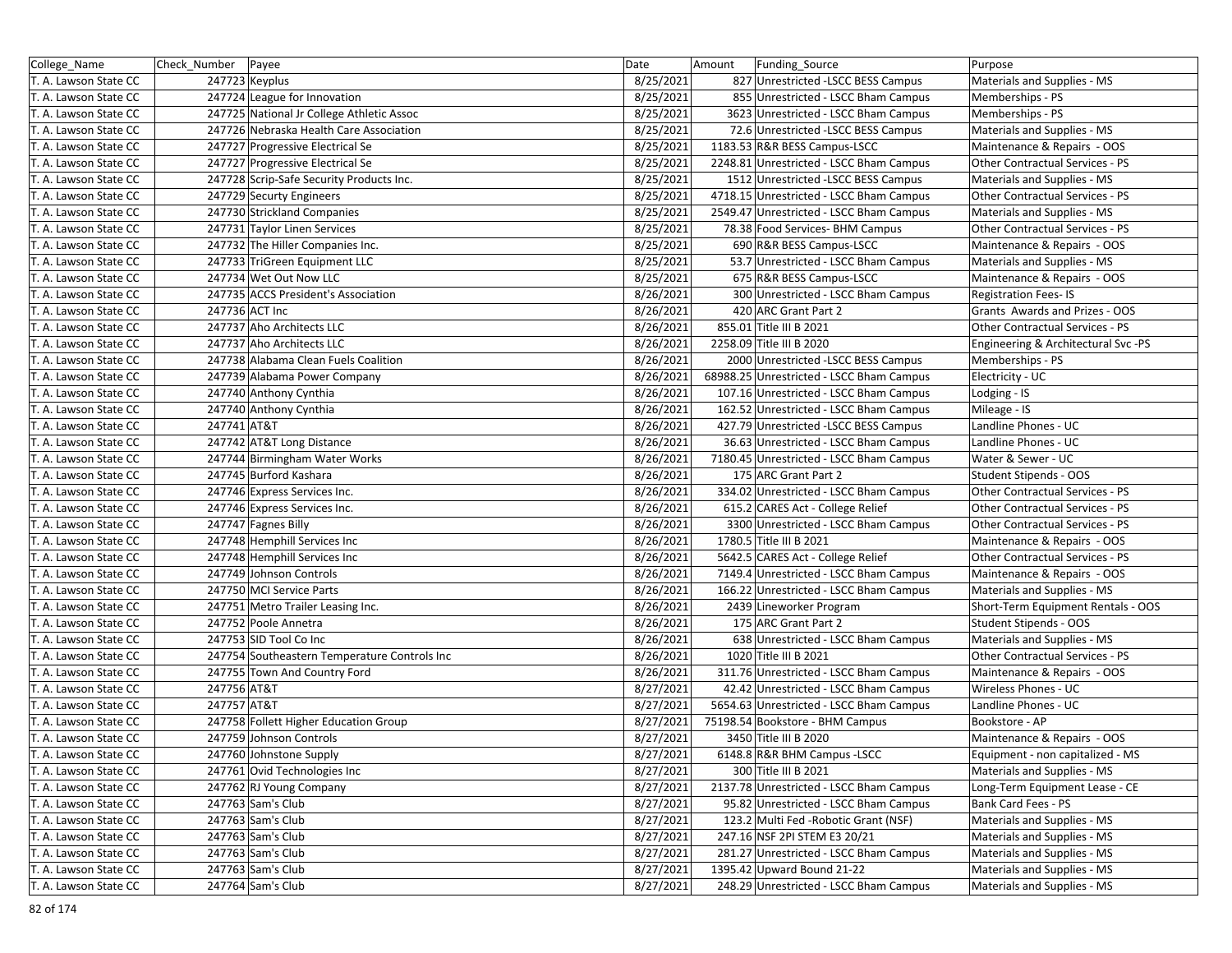| College_Name          | Check Number | Payee                                        | Date      | Amount | Funding_Source                           | Purpose                             |
|-----------------------|--------------|----------------------------------------------|-----------|--------|------------------------------------------|-------------------------------------|
| T. A. Lawson State CC |              | 247723 Keyplus                               | 8/25/2021 |        | 827 Unrestricted -LSCC BESS Campus       | Materials and Supplies - MS         |
| T. A. Lawson State CC |              | 247724 League for Innovation                 | 8/25/2021 |        | 855 Unrestricted - LSCC Bham Campus      | Memberships - PS                    |
| T. A. Lawson State CC |              | 247725 National Jr College Athletic Assoc    | 8/25/2021 |        | 3623 Unrestricted - LSCC Bham Campus     | Memberships - PS                    |
| T. A. Lawson State CC |              | 247726 Nebraska Health Care Association      | 8/25/2021 |        | 72.6 Unrestricted -LSCC BESS Campus      | Materials and Supplies - MS         |
| T. A. Lawson State CC |              | 247727 Progressive Electrical Se             | 8/25/2021 |        | 1183.53 R&R BESS Campus-LSCC             | Maintenance & Repairs - OOS         |
| T. A. Lawson State CC |              | 247727 Progressive Electrical Se             | 8/25/2021 |        | 2248.81 Unrestricted - LSCC Bham Campus  | Other Contractual Services - PS     |
| T. A. Lawson State CC |              | 247728 Scrip-Safe Security Products Inc.     | 8/25/2021 |        | 1512 Unrestricted -LSCC BESS Campus      | Materials and Supplies - MS         |
| T. A. Lawson State CC |              | 247729 Securty Engineers                     | 8/25/2021 |        | 4718.15 Unrestricted - LSCC Bham Campus  | Other Contractual Services - PS     |
| T. A. Lawson State CC |              | 247730 Strickland Companies                  | 8/25/2021 |        | 2549.47 Unrestricted - LSCC Bham Campus  | Materials and Supplies - MS         |
| T. A. Lawson State CC |              | 247731 Taylor Linen Services                 | 8/25/2021 |        | 78.38 Food Services- BHM Campus          | Other Contractual Services - PS     |
| T. A. Lawson State CC |              | 247732 The Hiller Companies Inc.             | 8/25/2021 |        | 690 R&R BESS Campus-LSCC                 | Maintenance & Repairs - OOS         |
| T. A. Lawson State CC |              | 247733 TriGreen Equipment LLC                | 8/25/2021 |        | 53.7 Unrestricted - LSCC Bham Campus     | Materials and Supplies - MS         |
| T. A. Lawson State CC |              | 247734 Wet Out Now LLC                       | 8/25/2021 |        | 675 R&R BESS Campus-LSCC                 | Maintenance & Repairs - OOS         |
| T. A. Lawson State CC |              | 247735 ACCS President's Association          | 8/26/2021 |        | 300 Unrestricted - LSCC Bham Campus      | <b>Registration Fees-IS</b>         |
| T. A. Lawson State CC |              | 247736 ACT Inc                               | 8/26/2021 |        | 420 ARC Grant Part 2                     | Grants Awards and Prizes - OOS      |
| T. A. Lawson State CC |              | 247737 Aho Architects LLC                    | 8/26/2021 |        | 855.01 Title III B 2021                  | Other Contractual Services - PS     |
| T. A. Lawson State CC |              | 247737 Aho Architects LLC                    | 8/26/2021 |        | 2258.09 Title III B 2020                 | Engineering & Architectural Svc -PS |
| T. A. Lawson State CC |              | 247738 Alabama Clean Fuels Coalition         | 8/26/2021 |        | 2000 Unrestricted -LSCC BESS Campus      | Memberships - PS                    |
| T. A. Lawson State CC |              | 247739 Alabama Power Company                 | 8/26/2021 |        | 68988.25 Unrestricted - LSCC Bham Campus | Electricity - UC                    |
| T. A. Lawson State CC |              | 247740 Anthony Cynthia                       | 8/26/2021 |        | 107.16 Unrestricted - LSCC Bham Campus   | Lodging - IS                        |
| T. A. Lawson State CC |              | 247740 Anthony Cynthia                       | 8/26/2021 |        | 162.52 Unrestricted - LSCC Bham Campus   | Mileage - IS                        |
| T. A. Lawson State CC | 247741 AT&T  |                                              | 8/26/2021 |        | 427.79 Unrestricted -LSCC BESS Campus    | Landline Phones - UC                |
| T. A. Lawson State CC |              | 247742 AT&T Long Distance                    | 8/26/2021 |        | 36.63 Unrestricted - LSCC Bham Campus    | Landline Phones - UC                |
| T. A. Lawson State CC |              | 247744 Birmingham Water Works                | 8/26/2021 |        | 7180.45 Unrestricted - LSCC Bham Campus  | Water & Sewer - UC                  |
| T. A. Lawson State CC |              | 247745 Burford Kashara                       | 8/26/2021 |        | 175 ARC Grant Part 2                     | Student Stipends - OOS              |
| T. A. Lawson State CC |              | 247746 Express Services Inc.                 | 8/26/2021 |        | 334.02 Unrestricted - LSCC Bham Campus   | Other Contractual Services - PS     |
| T. A. Lawson State CC |              | 247746 Express Services Inc.                 | 8/26/2021 |        | 615.2 CARES Act - College Relief         | Other Contractual Services - PS     |
| T. A. Lawson State CC |              | 247747 Fagnes Billy                          | 8/26/2021 |        | 3300 Unrestricted - LSCC Bham Campus     | Other Contractual Services - PS     |
| T. A. Lawson State CC |              | 247748 Hemphill Services Inc                 | 8/26/2021 |        | 1780.5 Title III B 2021                  | Maintenance & Repairs - OOS         |
| T. A. Lawson State CC |              | 247748 Hemphill Services Inc                 | 8/26/2021 |        | 5642.5 CARES Act - College Relief        | Other Contractual Services - PS     |
| T. A. Lawson State CC |              | 247749 Johnson Controls                      | 8/26/2021 |        | 7149.4 Unrestricted - LSCC Bham Campus   | Maintenance & Repairs - OOS         |
| T. A. Lawson State CC |              | 247750 MCI Service Parts                     | 8/26/2021 |        | 166.22 Unrestricted - LSCC Bham Campus   | Materials and Supplies - MS         |
| T. A. Lawson State CC |              | 247751 Metro Trailer Leasing Inc.            | 8/26/2021 |        | 2439 Lineworker Program                  | Short-Term Equipment Rentals - OOS  |
| T. A. Lawson State CC |              | 247752 Poole Annetra                         | 8/26/2021 |        | 175 ARC Grant Part 2                     | Student Stipends - OOS              |
| T. A. Lawson State CC |              | 247753 SID Tool Co Inc                       | 8/26/2021 |        | 638 Unrestricted - LSCC Bham Campus      | Materials and Supplies - MS         |
| T. A. Lawson State CC |              | 247754 Southeastern Temperature Controls Inc | 8/26/2021 |        | 1020 Title III B 2021                    | Other Contractual Services - PS     |
| T. A. Lawson State CC |              | 247755 Town And Country Ford                 | 8/26/2021 |        | 311.76 Unrestricted - LSCC Bham Campus   | Maintenance & Repairs - OOS         |
| T. A. Lawson State CC | 247756 AT&T  |                                              | 8/27/2021 |        | 42.42 Unrestricted - LSCC Bham Campus    | Wireless Phones - UC                |
| T. A. Lawson State CC | 247757 AT&T  |                                              | 8/27/2021 |        | 5654.63 Unrestricted - LSCC Bham Campus  | Landline Phones - UC                |
| T. A. Lawson State CC |              | 247758 Follett Higher Education Group        | 8/27/2021 |        | 75198.54 Bookstore - BHM Campus          | Bookstore - AP                      |
| T. A. Lawson State CC |              | 247759 Johnson Controls                      | 8/27/2021 |        | 3450 Title III B 2020                    | Maintenance & Repairs - OOS         |
| T. A. Lawson State CC |              | 247760 Johnstone Supply                      | 8/27/2021 |        | 6148.8 R&R BHM Campus -LSCC              | Equipment - non capitalized - MS    |
| T. A. Lawson State CC |              | 247761 Ovid Technologies Inc                 | 8/27/2021 |        | 300 Title III B 2021                     | Materials and Supplies - MS         |
| T. A. Lawson State CC |              | 247762 RJ Young Company                      | 8/27/2021 |        | 2137.78 Unrestricted - LSCC Bham Campus  | Long-Term Equipment Lease - CE      |
| T. A. Lawson State CC |              | 247763 Sam's Club                            | 8/27/2021 |        | 95.82 Unrestricted - LSCC Bham Campus    | Bank Card Fees - PS                 |
| T. A. Lawson State CC |              | 247763 Sam's Club                            | 8/27/2021 |        | 123.2 Multi Fed - Robotic Grant (NSF)    | Materials and Supplies - MS         |
| T. A. Lawson State CC |              | 247763 Sam's Club                            | 8/27/2021 |        | 247.16 NSF 2PI STEM E3 20/21             | Materials and Supplies - MS         |
| T. A. Lawson State CC |              | 247763 Sam's Club                            | 8/27/2021 |        | 281.27 Unrestricted - LSCC Bham Campus   | Materials and Supplies - MS         |
| T. A. Lawson State CC |              | 247763 Sam's Club                            | 8/27/2021 |        | 1395.42 Upward Bound 21-22               | Materials and Supplies - MS         |
| T. A. Lawson State CC |              | 247764 Sam's Club                            | 8/27/2021 |        | 248.29 Unrestricted - LSCC Bham Campus   | Materials and Supplies - MS         |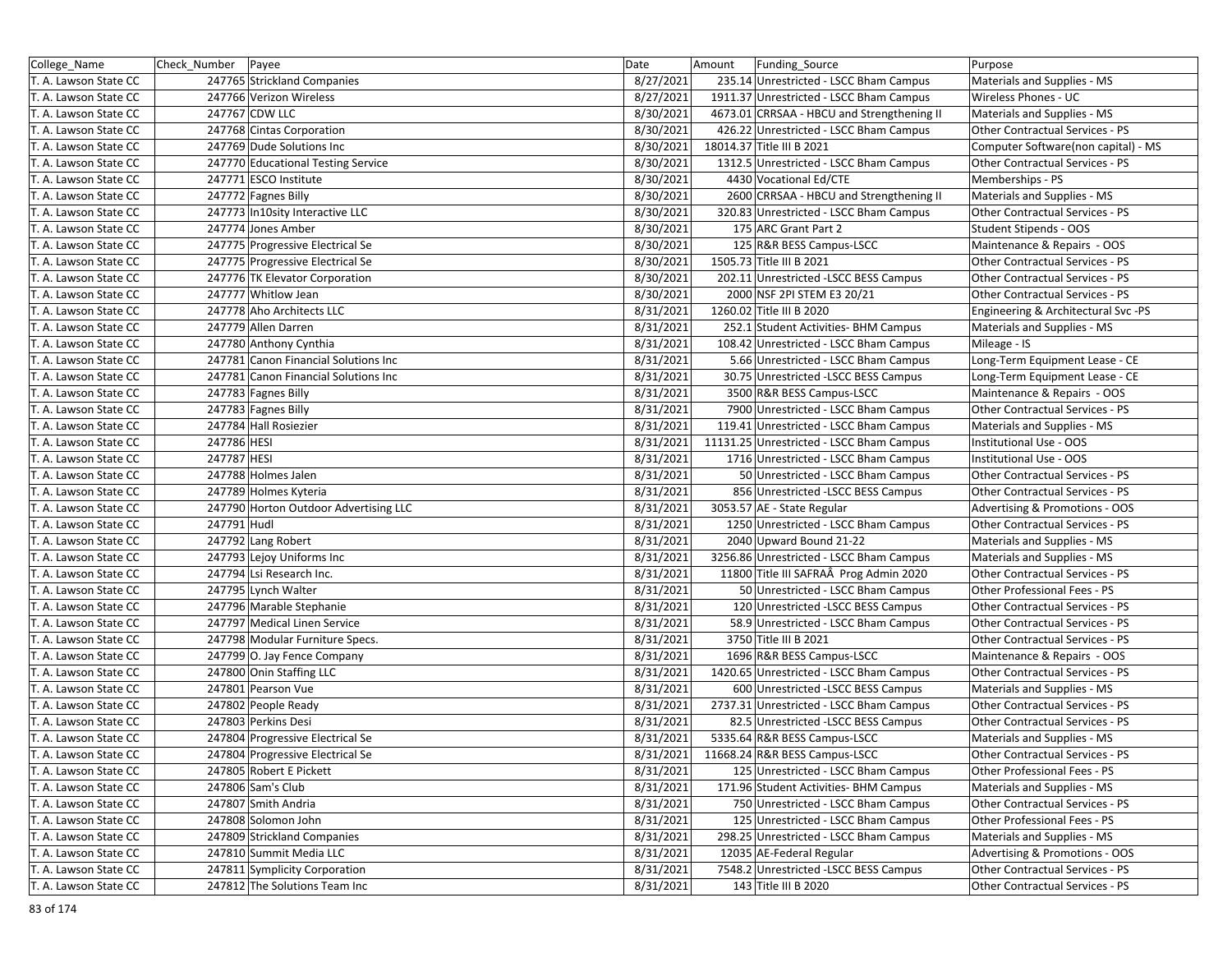| College_Name          | Check_Number Payee |                                       | Date      | Amount<br><b>Funding Source</b>            | Purpose                             |
|-----------------------|--------------------|---------------------------------------|-----------|--------------------------------------------|-------------------------------------|
| T. A. Lawson State CC |                    | 247765 Strickland Companies           | 8/27/2021 | 235.14 Unrestricted - LSCC Bham Campus     | Materials and Supplies - MS         |
| T. A. Lawson State CC |                    | 247766 Verizon Wireless               | 8/27/2021 | 1911.37 Unrestricted - LSCC Bham Campus    | Wireless Phones - UC                |
| T. A. Lawson State CC |                    | 247767 CDW LLC                        | 8/30/2021 | 4673.01 CRRSAA - HBCU and Strengthening II | Materials and Supplies - MS         |
| T. A. Lawson State CC |                    | 247768 Cintas Corporation             | 8/30/2021 | 426.22 Unrestricted - LSCC Bham Campus     | Other Contractual Services - PS     |
| T. A. Lawson State CC |                    | 247769 Dude Solutions Inc             | 8/30/2021 | 18014.37 Title III B 2021                  | Computer Software(non capital) - MS |
| T. A. Lawson State CC |                    | 247770 Educational Testing Service    | 8/30/2021 | 1312.5 Unrestricted - LSCC Bham Campus     | Other Contractual Services - PS     |
| T. A. Lawson State CC |                    | 247771 ESCO Institute                 | 8/30/2021 | 4430 Vocational Ed/CTE                     | Memberships - PS                    |
| T. A. Lawson State CC |                    | 247772 Fagnes Billy                   | 8/30/2021 | 2600 CRRSAA - HBCU and Strengthening II    | Materials and Supplies - MS         |
| T. A. Lawson State CC |                    | 247773 In10sity Interactive LLC       | 8/30/2021 | 320.83 Unrestricted - LSCC Bham Campus     | Other Contractual Services - PS     |
| T. A. Lawson State CC |                    | 247774 Jones Amber                    | 8/30/2021 | 175 ARC Grant Part 2                       | Student Stipends - OOS              |
| T. A. Lawson State CC |                    | 247775 Progressive Electrical Se      | 8/30/2021 | 125 R&R BESS Campus-LSCC                   | Maintenance & Repairs - OOS         |
| T. A. Lawson State CC |                    | 247775 Progressive Electrical Se      | 8/30/2021 | 1505.73 Title III B 2021                   | Other Contractual Services - PS     |
| T. A. Lawson State CC |                    | 247776 TK Elevator Corporation        | 8/30/2021 | 202.11 Unrestricted -LSCC BESS Campus      | Other Contractual Services - PS     |
| T. A. Lawson State CC |                    | 247777 Whitlow Jean                   | 8/30/2021 | 2000 NSF 2PI STEM E3 20/21                 | Other Contractual Services - PS     |
| T. A. Lawson State CC |                    | 247778 Aho Architects LLC             | 8/31/2021 | 1260.02 Title III B 2020                   | Engineering & Architectural Svc -PS |
| T. A. Lawson State CC |                    | 247779 Allen Darren                   | 8/31/2021 | 252.1 Student Activities- BHM Campus       | Materials and Supplies - MS         |
| T. A. Lawson State CC |                    | 247780 Anthony Cynthia                | 8/31/2021 | 108.42 Unrestricted - LSCC Bham Campus     | Mileage - IS                        |
| T. A. Lawson State CC |                    | 247781 Canon Financial Solutions Inc  | 8/31/2021 | 5.66 Unrestricted - LSCC Bham Campus       | Long-Term Equipment Lease - CE      |
| T. A. Lawson State CC |                    | 247781 Canon Financial Solutions Inc  | 8/31/2021 | 30.75 Unrestricted -LSCC BESS Campus       | Long-Term Equipment Lease - CE      |
| T. A. Lawson State CC |                    | 247783 Fagnes Billy                   | 8/31/2021 | 3500 R&R BESS Campus-LSCC                  | Maintenance & Repairs - OOS         |
| T. A. Lawson State CC |                    | 247783 Fagnes Billy                   | 8/31/2021 | 7900 Unrestricted - LSCC Bham Campus       | Other Contractual Services - PS     |
| T. A. Lawson State CC |                    | 247784 Hall Rosiezier                 | 8/31/2021 | 119.41 Unrestricted - LSCC Bham Campus     | Materials and Supplies - MS         |
| T. A. Lawson State CC | 247786 HESI        |                                       | 8/31/2021 | 11131.25 Unrestricted - LSCC Bham Campus   | Institutional Use - OOS             |
| T. A. Lawson State CC | 247787 HESI        |                                       | 8/31/2021 | 1716 Unrestricted - LSCC Bham Campus       | Institutional Use - OOS             |
| T. A. Lawson State CC |                    | 247788 Holmes Jalen                   | 8/31/2021 | 50 Unrestricted - LSCC Bham Campus         | Other Contractual Services - PS     |
| T. A. Lawson State CC |                    | 247789 Holmes Kyteria                 | 8/31/2021 | 856 Unrestricted -LSCC BESS Campus         | Other Contractual Services - PS     |
| T. A. Lawson State CC |                    | 247790 Horton Outdoor Advertising LLC | 8/31/2021 | 3053.57 AE - State Regular                 | Advertising & Promotions - OOS      |
| T. A. Lawson State CC | 247791 Hudl        |                                       | 8/31/2021 | 1250 Unrestricted - LSCC Bham Campus       | Other Contractual Services - PS     |
| T. A. Lawson State CC |                    | 247792 Lang Robert                    | 8/31/2021 | 2040 Upward Bound 21-22                    | Materials and Supplies - MS         |
| T. A. Lawson State CC |                    | 247793 Lejoy Uniforms Inc             | 8/31/2021 | 3256.86 Unrestricted - LSCC Bham Campus    | Materials and Supplies - MS         |
| T. A. Lawson State CC |                    | 247794 Lsi Research Inc.              | 8/31/2021 | 11800 Title III SAFRAÂ Prog Admin 2020     | Other Contractual Services - PS     |
| T. A. Lawson State CC |                    | 247795 Lynch Walter                   | 8/31/2021 | 50 Unrestricted - LSCC Bham Campus         | Other Professional Fees - PS        |
| T. A. Lawson State CC |                    | 247796 Marable Stephanie              | 8/31/2021 | 120 Unrestricted - LSCC BESS Campus        | Other Contractual Services - PS     |
| T. A. Lawson State CC |                    | 247797 Medical Linen Service          | 8/31/2021 | 58.9 Unrestricted - LSCC Bham Campus       | Other Contractual Services - PS     |
| T. A. Lawson State CC |                    | 247798 Modular Furniture Specs.       | 8/31/2021 | 3750 Title III B 2021                      | Other Contractual Services - PS     |
| T. A. Lawson State CC |                    | 247799 O. Jay Fence Company           | 8/31/2021 | 1696 R&R BESS Campus-LSCC                  | Maintenance & Repairs - OOS         |
| T. A. Lawson State CC |                    | 247800 Onin Staffing LLC              | 8/31/2021 | 1420.65 Unrestricted - LSCC Bham Campus    | Other Contractual Services - PS     |
| T. A. Lawson State CC |                    | 247801 Pearson Vue                    | 8/31/2021 | 600 Unrestricted -LSCC BESS Campus         | Materials and Supplies - MS         |
| T. A. Lawson State CC |                    | 247802 People Ready                   | 8/31/2021 | 2737.31 Unrestricted - LSCC Bham Campus    | Other Contractual Services - PS     |
| T. A. Lawson State CC |                    | 247803 Perkins Desi                   | 8/31/2021 | 82.5 Unrestricted -LSCC BESS Campus        | Other Contractual Services - PS     |
| T. A. Lawson State CC |                    | 247804 Progressive Electrical Se      | 8/31/2021 | 5335.64 R&R BESS Campus-LSCC               | Materials and Supplies - MS         |
| T. A. Lawson State CC |                    | 247804 Progressive Electrical Se      | 8/31/2021 | 11668.24 R&R BESS Campus-LSCC              | Other Contractual Services - PS     |
| T. A. Lawson State CC |                    | 247805 Robert E Pickett               | 8/31/2021 | 125 Unrestricted - LSCC Bham Campus        | Other Professional Fees - PS        |
| T. A. Lawson State CC |                    | 247806 Sam's Club                     | 8/31/2021 | 171.96 Student Activities- BHM Campus      | Materials and Supplies - MS         |
| T. A. Lawson State CC |                    | 247807 Smith Andria                   | 8/31/2021 | 750 Unrestricted - LSCC Bham Campus        | Other Contractual Services - PS     |
| T. A. Lawson State CC |                    | 247808 Solomon John                   | 8/31/2021 | 125 Unrestricted - LSCC Bham Campus        | Other Professional Fees - PS        |
| T. A. Lawson State CC |                    | 247809 Strickland Companies           | 8/31/2021 | 298.25 Unrestricted - LSCC Bham Campus     | Materials and Supplies - MS         |
| T. A. Lawson State CC |                    | 247810 Summit Media LLC               | 8/31/2021 | 12035 AE-Federal Regular                   | Advertising & Promotions - OOS      |
| T. A. Lawson State CC |                    | 247811 Symplicity Corporation         | 8/31/2021 | 7548.2 Unrestricted -LSCC BESS Campus      | Other Contractual Services - PS     |
| T. A. Lawson State CC |                    | 247812 The Solutions Team Inc         | 8/31/2021 | 143 Title III B 2020                       | Other Contractual Services - PS     |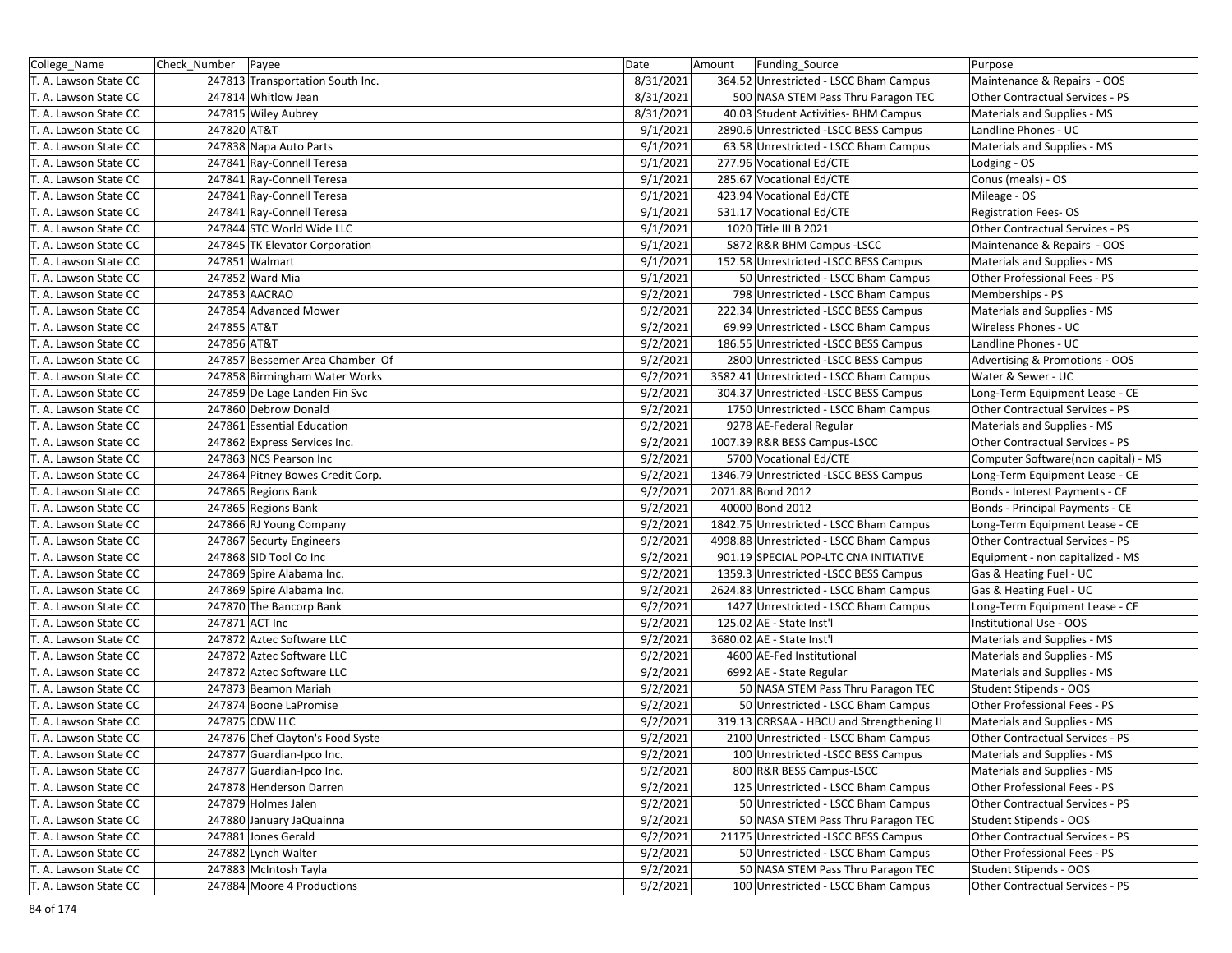| College_Name          | Check_Number Payee |                                  | Date      | Amount<br>Funding_Source                  | Purpose                                |
|-----------------------|--------------------|----------------------------------|-----------|-------------------------------------------|----------------------------------------|
| T. A. Lawson State CC |                    | 247813 Transportation South Inc. | 8/31/2021 | 364.52 Unrestricted - LSCC Bham Campus    | Maintenance & Repairs - OOS            |
| T. A. Lawson State CC |                    | 247814 Whitlow Jean              | 8/31/2021 | 500 NASA STEM Pass Thru Paragon TEC       | <b>Other Contractual Services - PS</b> |
| T. A. Lawson State CC |                    | 247815 Wiley Aubrey              | 8/31/2021 | 40.03 Student Activities- BHM Campus      | Materials and Supplies - MS            |
| T. A. Lawson State CC | 247820 AT&T        |                                  | 9/1/2021  | 2890.6 Unrestricted -LSCC BESS Campus     | Landline Phones - UC                   |
| T. A. Lawson State CC |                    | 247838 Napa Auto Parts           | 9/1/2021  | 63.58 Unrestricted - LSCC Bham Campus     | Materials and Supplies - MS            |
| T. A. Lawson State CC |                    | 247841 Ray-Connell Teresa        | 9/1/2021  | 277.96 Vocational Ed/CTE                  | Lodging - OS                           |
| T. A. Lawson State CC |                    | 247841 Ray-Connell Teresa        | 9/1/2021  | 285.67 Vocational Ed/CTE                  | Conus (meals) - OS                     |
| T. A. Lawson State CC |                    | 247841 Ray-Connell Teresa        | 9/1/2021  | 423.94 Vocational Ed/CTE                  | Mileage - OS                           |
| T. A. Lawson State CC |                    | 247841 Ray-Connell Teresa        | 9/1/2021  | 531.17 Vocational Ed/CTE                  | <b>Registration Fees-OS</b>            |
| T. A. Lawson State CC |                    | 247844 STC World Wide LLC        | 9/1/2021  | 1020 Title III B 2021                     | Other Contractual Services - PS        |
| T. A. Lawson State CC |                    | 247845 TK Elevator Corporation   | 9/1/2021  | 5872 R&R BHM Campus -LSCC                 | Maintenance & Repairs - OOS            |
| T. A. Lawson State CC |                    | 247851 Walmart                   | 9/1/2021  | 152.58 Unrestricted -LSCC BESS Campus     | Materials and Supplies - MS            |
| T. A. Lawson State CC |                    | 247852 Ward Mia                  | 9/1/2021  | 50 Unrestricted - LSCC Bham Campus        | Other Professional Fees - PS           |
| T. A. Lawson State CC |                    | 247853 AACRAO                    | 9/2/2021  | 798 Unrestricted - LSCC Bham Campus       | Memberships - PS                       |
| T. A. Lawson State CC |                    | 247854 Advanced Mower            | 9/2/2021  | 222.34 Unrestricted -LSCC BESS Campus     | Materials and Supplies - MS            |
| T. A. Lawson State CC | 247855 AT&T        |                                  | 9/2/2021  | 69.99 Unrestricted - LSCC Bham Campus     | Wireless Phones - UC                   |
| T. A. Lawson State CC | 247856 AT&T        |                                  | 9/2/2021  | 186.55 Unrestricted -LSCC BESS Campus     | Landline Phones - UC                   |
| T. A. Lawson State CC |                    | 247857 Bessemer Area Chamber Of  | 9/2/2021  | 2800 Unrestricted -LSCC BESS Campus       | Advertising & Promotions - OOS         |
| T. A. Lawson State CC |                    | 247858 Birmingham Water Works    | 9/2/2021  | 3582.41 Unrestricted - LSCC Bham Campus   | Water & Sewer - UC                     |
| T. A. Lawson State CC |                    | 247859 De Lage Landen Fin Svc    | 9/2/2021  | 304.37 Unrestricted -LSCC BESS Campus     | Long-Term Equipment Lease - CE         |
| T. A. Lawson State CC |                    | 247860 Debrow Donald             | 9/2/2021  | 1750 Unrestricted - LSCC Bham Campus      | Other Contractual Services - PS        |
| T. A. Lawson State CC |                    | 247861 Essential Education       | 9/2/2021  | 9278 AE-Federal Regular                   | Materials and Supplies - MS            |
| T. A. Lawson State CC |                    | 247862 Express Services Inc.     | 9/2/2021  | 1007.39 R&R BESS Campus-LSCC              | <b>Other Contractual Services - PS</b> |
| T. A. Lawson State CC |                    | 247863 NCS Pearson Inc           | 9/2/2021  | 5700 Vocational Ed/CTE                    | Computer Software(non capital) - MS    |
| T. A. Lawson State CC |                    | 247864 Pitney Bowes Credit Corp. | 9/2/2021  | 1346.79 Unrestricted -LSCC BESS Campus    | Long-Term Equipment Lease - CE         |
| T. A. Lawson State CC |                    | 247865 Regions Bank              | 9/2/2021  | 2071.88 Bond 2012                         | Bonds - Interest Payments - CE         |
| T. A. Lawson State CC |                    | 247865 Regions Bank              | 9/2/2021  | 40000 Bond 2012                           | Bonds - Principal Payments - CE        |
| T. A. Lawson State CC |                    | 247866 RJ Young Company          | 9/2/2021  | 1842.75 Unrestricted - LSCC Bham Campus   | Long-Term Equipment Lease - CE         |
| T. A. Lawson State CC |                    | 247867 Securty Engineers         | 9/2/2021  | 4998.88 Unrestricted - LSCC Bham Campus   | Other Contractual Services - PS        |
| T. A. Lawson State CC |                    | 247868 SID Tool Co Inc           | 9/2/2021  | 901.19 SPECIAL POP-LTC CNA INITIATIVE     | Equipment - non capitalized - MS       |
| T. A. Lawson State CC |                    | 247869 Spire Alabama Inc.        | 9/2/2021  | 1359.3 Unrestricted - LSCC BESS Campus    | Gas & Heating Fuel - UC                |
| T. A. Lawson State CC |                    | 247869 Spire Alabama Inc.        | 9/2/2021  | 2624.83 Unrestricted - LSCC Bham Campus   | Gas & Heating Fuel - UC                |
| T. A. Lawson State CC |                    | 247870 The Bancorp Bank          | 9/2/2021  | 1427 Unrestricted - LSCC Bham Campus      | Long-Term Equipment Lease - CE         |
| T. A. Lawson State CC |                    | 247871 ACT Inc                   | 9/2/2021  | 125.02 AE - State Inst'l                  | Institutional Use - OOS                |
| T. A. Lawson State CC |                    | 247872 Aztec Software LLC        | 9/2/2021  | 3680.02 AE - State Inst'l                 | Materials and Supplies - MS            |
| T. A. Lawson State CC |                    | 247872 Aztec Software LLC        | 9/2/2021  | 4600 AE-Fed Institutional                 | Materials and Supplies - MS            |
| T. A. Lawson State CC |                    | 247872 Aztec Software LLC        | 9/2/2021  | 6992 AE - State Regular                   | Materials and Supplies - MS            |
| T. A. Lawson State CC |                    | 247873 Beamon Mariah             | 9/2/2021  | 50 NASA STEM Pass Thru Paragon TEC        | Student Stipends - OOS                 |
| T. A. Lawson State CC |                    | 247874 Boone LaPromise           | 9/2/2021  | 50 Unrestricted - LSCC Bham Campus        | Other Professional Fees - PS           |
| T. A. Lawson State CC |                    | 247875 CDW LLC                   | 9/2/2021  | 319.13 CRRSAA - HBCU and Strengthening II | Materials and Supplies - MS            |
| T. A. Lawson State CC |                    | 247876 Chef Clayton's Food Syste | 9/2/2021  | 2100 Unrestricted - LSCC Bham Campus      | Other Contractual Services - PS        |
| T. A. Lawson State CC |                    | 247877 Guardian-Ipco Inc.        | 9/2/2021  | 100 Unrestricted -LSCC BESS Campus        | Materials and Supplies - MS            |
| T. A. Lawson State CC |                    | 247877 Guardian-Ipco Inc.        | 9/2/2021  | 800 R&R BESS Campus-LSCC                  | Materials and Supplies - MS            |
| T. A. Lawson State CC |                    | 247878 Henderson Darren          | 9/2/2021  | 125 Unrestricted - LSCC Bham Campus       | Other Professional Fees - PS           |
| T. A. Lawson State CC |                    | 247879 Holmes Jalen              | 9/2/2021  | 50 Unrestricted - LSCC Bham Campus        | Other Contractual Services - PS        |
| T. A. Lawson State CC |                    | 247880 January JaQuainna         | 9/2/2021  | 50 NASA STEM Pass Thru Paragon TEC        | Student Stipends - OOS                 |
| T. A. Lawson State CC |                    | 247881 Jones Gerald              | 9/2/2021  | 21175 Unrestricted -LSCC BESS Campus      | Other Contractual Services - PS        |
| T. A. Lawson State CC |                    | 247882 Lynch Walter              | 9/2/2021  | 50 Unrestricted - LSCC Bham Campus        | Other Professional Fees - PS           |
| T. A. Lawson State CC |                    | 247883 McIntosh Tayla            | 9/2/2021  | 50 NASA STEM Pass Thru Paragon TEC        | Student Stipends - OOS                 |
| T. A. Lawson State CC |                    | 247884 Moore 4 Productions       | 9/2/2021  | 100 Unrestricted - LSCC Bham Campus       | Other Contractual Services - PS        |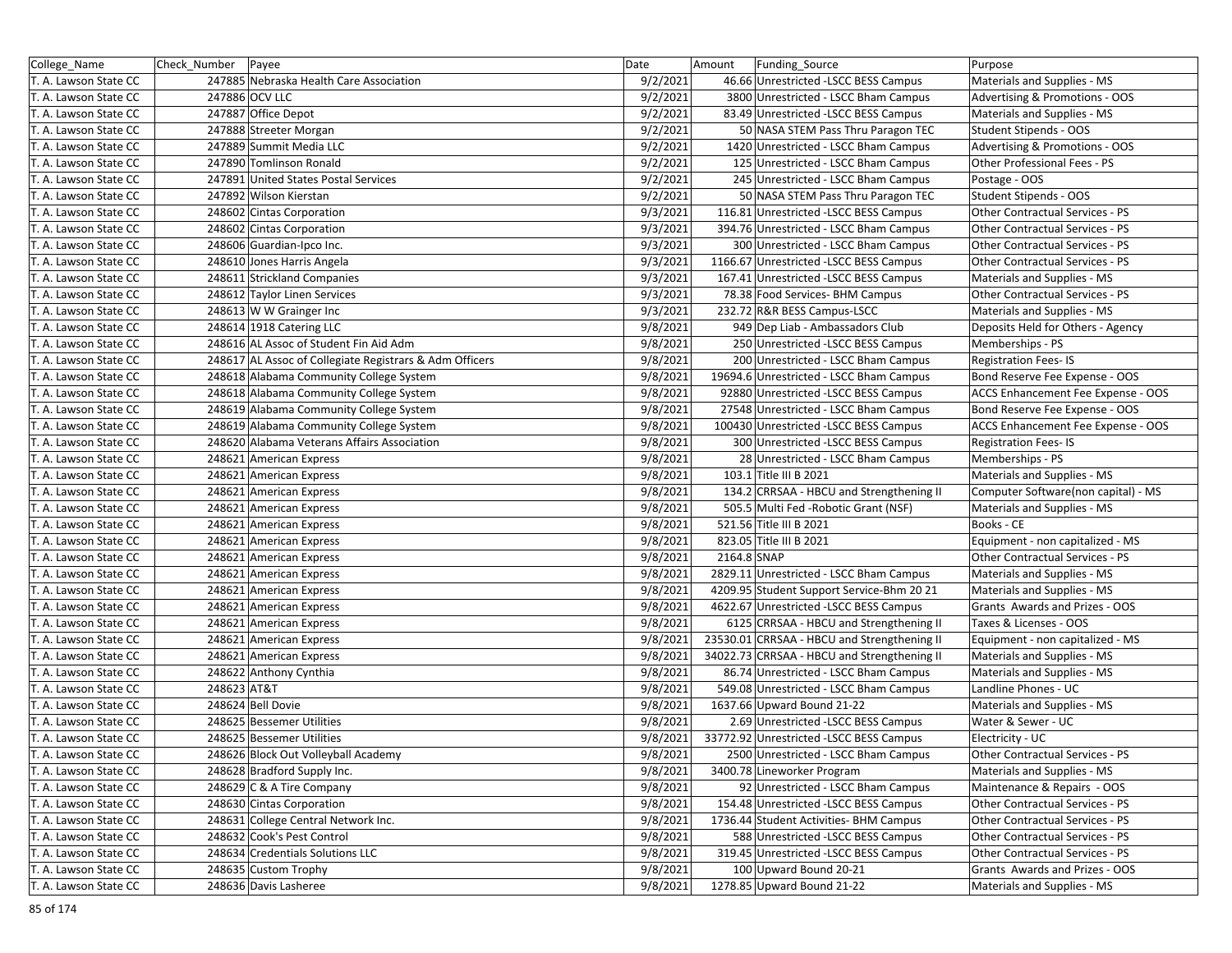| College Name          | Check Number | Payee                                                   | Date     | Amount      | Funding_Source                              | Purpose                             |
|-----------------------|--------------|---------------------------------------------------------|----------|-------------|---------------------------------------------|-------------------------------------|
| T. A. Lawson State CC |              | 247885 Nebraska Health Care Association                 | 9/2/2021 |             | 46.66 Unrestricted -LSCC BESS Campus        | Materials and Supplies - MS         |
| T. A. Lawson State CC |              | 247886 OCV LLC                                          | 9/2/2021 |             | 3800 Unrestricted - LSCC Bham Campus        | Advertising & Promotions - OOS      |
| T. A. Lawson State CC |              | 247887 Office Depot                                     | 9/2/2021 |             | 83.49 Unrestricted -LSCC BESS Campus        | Materials and Supplies - MS         |
| T. A. Lawson State CC |              | 247888 Streeter Morgan                                  | 9/2/2021 |             | 50 NASA STEM Pass Thru Paragon TEC          | Student Stipends - OOS              |
| T. A. Lawson State CC |              | 247889 Summit Media LLC                                 | 9/2/2021 |             | 1420 Unrestricted - LSCC Bham Campus        | Advertising & Promotions - OOS      |
| T. A. Lawson State CC |              | 247890 Tomlinson Ronald                                 | 9/2/2021 |             | 125 Unrestricted - LSCC Bham Campus         | Other Professional Fees - PS        |
| T. A. Lawson State CC |              | 247891 United States Postal Services                    | 9/2/2021 |             | 245 Unrestricted - LSCC Bham Campus         | Postage - OOS                       |
| T. A. Lawson State CC |              | 247892 Wilson Kierstan                                  | 9/2/2021 |             | 50 NASA STEM Pass Thru Paragon TEC          | Student Stipends - OOS              |
| T. A. Lawson State CC |              | 248602 Cintas Corporation                               | 9/3/2021 |             | 116.81 Unrestricted -LSCC BESS Campus       | Other Contractual Services - PS     |
| T. A. Lawson State CC |              | 248602 Cintas Corporation                               | 9/3/2021 |             | 394.76 Unrestricted - LSCC Bham Campus      | Other Contractual Services - PS     |
| T. A. Lawson State CC |              | 248606 Guardian-Ipco Inc.                               | 9/3/2021 |             | 300 Unrestricted - LSCC Bham Campus         | Other Contractual Services - PS     |
| T. A. Lawson State CC |              | 248610 Jones Harris Angela                              | 9/3/2021 |             | 1166.67 Unrestricted -LSCC BESS Campus      | Other Contractual Services - PS     |
| T. A. Lawson State CC |              | 248611 Strickland Companies                             | 9/3/2021 |             | 167.41 Unrestricted -LSCC BESS Campus       | Materials and Supplies - MS         |
| T. A. Lawson State CC |              | 248612 Taylor Linen Services                            | 9/3/2021 |             | 78.38 Food Services- BHM Campus             | Other Contractual Services - PS     |
| T. A. Lawson State CC |              | 248613 W W Grainger Inc                                 | 9/3/2021 |             | 232.72 R&R BESS Campus-LSCC                 | Materials and Supplies - MS         |
| T. A. Lawson State CC |              | 248614 1918 Catering LLC                                | 9/8/2021 |             | 949 Dep Liab - Ambassadors Club             | Deposits Held for Others - Agency   |
| T. A. Lawson State CC |              | 248616 AL Assoc of Student Fin Aid Adm                  | 9/8/2021 |             | 250 Unrestricted - LSCC BESS Campus         | Memberships - PS                    |
| T. A. Lawson State CC |              | 248617 AL Assoc of Collegiate Registrars & Adm Officers | 9/8/2021 |             | 200 Unrestricted - LSCC Bham Campus         | <b>Registration Fees-IS</b>         |
| T. A. Lawson State CC |              | 248618 Alabama Community College System                 | 9/8/2021 |             | 19694.6 Unrestricted - LSCC Bham Campus     | Bond Reserve Fee Expense - OOS      |
| T. A. Lawson State CC |              | 248618 Alabama Community College System                 | 9/8/2021 |             | 92880 Unrestricted - LSCC BESS Campus       | ACCS Enhancement Fee Expense - OOS  |
| T. A. Lawson State CC |              | 248619 Alabama Community College System                 | 9/8/2021 |             | 27548 Unrestricted - LSCC Bham Campus       | Bond Reserve Fee Expense - OOS      |
| T. A. Lawson State CC |              | 248619 Alabama Community College System                 | 9/8/2021 |             | 100430 Unrestricted -LSCC BESS Campus       | ACCS Enhancement Fee Expense - OOS  |
| T. A. Lawson State CC |              | 248620 Alabama Veterans Affairs Association             | 9/8/2021 |             | 300 Unrestricted -LSCC BESS Campus          | <b>Registration Fees-IS</b>         |
| T. A. Lawson State CC |              | 248621 American Express                                 | 9/8/2021 |             | 28 Unrestricted - LSCC Bham Campus          | Memberships - PS                    |
| T. A. Lawson State CC |              | 248621 American Express                                 | 9/8/2021 |             | 103.1 Title III B 2021                      | Materials and Supplies - MS         |
| T. A. Lawson State CC |              | 248621 American Express                                 | 9/8/2021 |             | 134.2 CRRSAA - HBCU and Strengthening II    | Computer Software(non capital) - MS |
| T. A. Lawson State CC |              | 248621 American Express                                 | 9/8/2021 |             | 505.5 Multi Fed - Robotic Grant (NSF)       | Materials and Supplies - MS         |
| T. A. Lawson State CC |              | 248621 American Express                                 | 9/8/2021 |             | 521.56 Title III B 2021                     | Books - CE                          |
| T. A. Lawson State CC |              | 248621 American Express                                 | 9/8/2021 |             | 823.05 Title III B 2021                     | Equipment - non capitalized - MS    |
| T. A. Lawson State CC |              | 248621 American Express                                 | 9/8/2021 | 2164.8 SNAP |                                             | Other Contractual Services - PS     |
| T. A. Lawson State CC |              | 248621 American Express                                 | 9/8/2021 |             | 2829.11 Unrestricted - LSCC Bham Campus     | Materials and Supplies - MS         |
| T. A. Lawson State CC |              | 248621 American Express                                 | 9/8/2021 |             | 4209.95 Student Support Service-Bhm 20 21   | Materials and Supplies - MS         |
| T. A. Lawson State CC |              | 248621 American Express                                 | 9/8/2021 |             | 4622.67 Unrestricted -LSCC BESS Campus      | Grants Awards and Prizes - OOS      |
| T. A. Lawson State CC |              | 248621 American Express                                 | 9/8/2021 |             | 6125 CRRSAA - HBCU and Strengthening II     | Taxes & Licenses - OOS              |
| T. A. Lawson State CC |              | 248621 American Express                                 | 9/8/2021 |             | 23530.01 CRRSAA - HBCU and Strengthening II | Equipment - non capitalized - MS    |
| T. A. Lawson State CC |              | 248621 American Express                                 | 9/8/2021 |             | 34022.73 CRRSAA - HBCU and Strengthening II | Materials and Supplies - MS         |
| T. A. Lawson State CC |              | 248622 Anthony Cynthia                                  | 9/8/2021 |             | 86.74 Unrestricted - LSCC Bham Campus       | Materials and Supplies - MS         |
| T. A. Lawson State CC | 248623 AT&T  |                                                         | 9/8/2021 |             | 549.08 Unrestricted - LSCC Bham Campus      | Landline Phones - UC                |
| T. A. Lawson State CC |              | 248624 Bell Dovie                                       | 9/8/2021 |             | 1637.66 Upward Bound 21-22                  | Materials and Supplies - MS         |
| T. A. Lawson State CC |              | 248625 Bessemer Utilities                               | 9/8/2021 |             | 2.69 Unrestricted -LSCC BESS Campus         | Water & Sewer - UC                  |
| T. A. Lawson State CC |              | 248625 Bessemer Utilities                               | 9/8/2021 |             | 33772.92 Unrestricted - LSCC BESS Campus    | Electricity - UC                    |
| T. A. Lawson State CC |              | 248626 Block Out Volleyball Academy                     | 9/8/2021 |             | 2500 Unrestricted - LSCC Bham Campus        | Other Contractual Services - PS     |
| T. A. Lawson State CC |              | 248628 Bradford Supply Inc.                             | 9/8/2021 |             | 3400.78 Lineworker Program                  | Materials and Supplies - MS         |
| T. A. Lawson State CC |              | 248629 C & A Tire Company                               | 9/8/2021 |             | 92 Unrestricted - LSCC Bham Campus          | Maintenance & Repairs - OOS         |
| T. A. Lawson State CC |              | 248630 Cintas Corporation                               | 9/8/2021 |             | 154.48 Unrestricted -LSCC BESS Campus       | Other Contractual Services - PS     |
| T. A. Lawson State CC |              | 248631 College Central Network Inc.                     | 9/8/2021 |             | 1736.44 Student Activities- BHM Campus      | Other Contractual Services - PS     |
| T. A. Lawson State CC |              | 248632 Cook's Pest Control                              | 9/8/2021 |             | 588 Unrestricted -LSCC BESS Campus          | Other Contractual Services - PS     |
| T. A. Lawson State CC |              | 248634 Credentials Solutions LLC                        | 9/8/2021 |             | 319.45 Unrestricted -LSCC BESS Campus       | Other Contractual Services - PS     |
| T. A. Lawson State CC |              | 248635 Custom Trophy                                    | 9/8/2021 |             | 100 Upward Bound 20-21                      | Grants Awards and Prizes - OOS      |
| T. A. Lawson State CC |              | 248636 Davis Lasheree                                   | 9/8/2021 |             | 1278.85 Upward Bound 21-22                  | Materials and Supplies - MS         |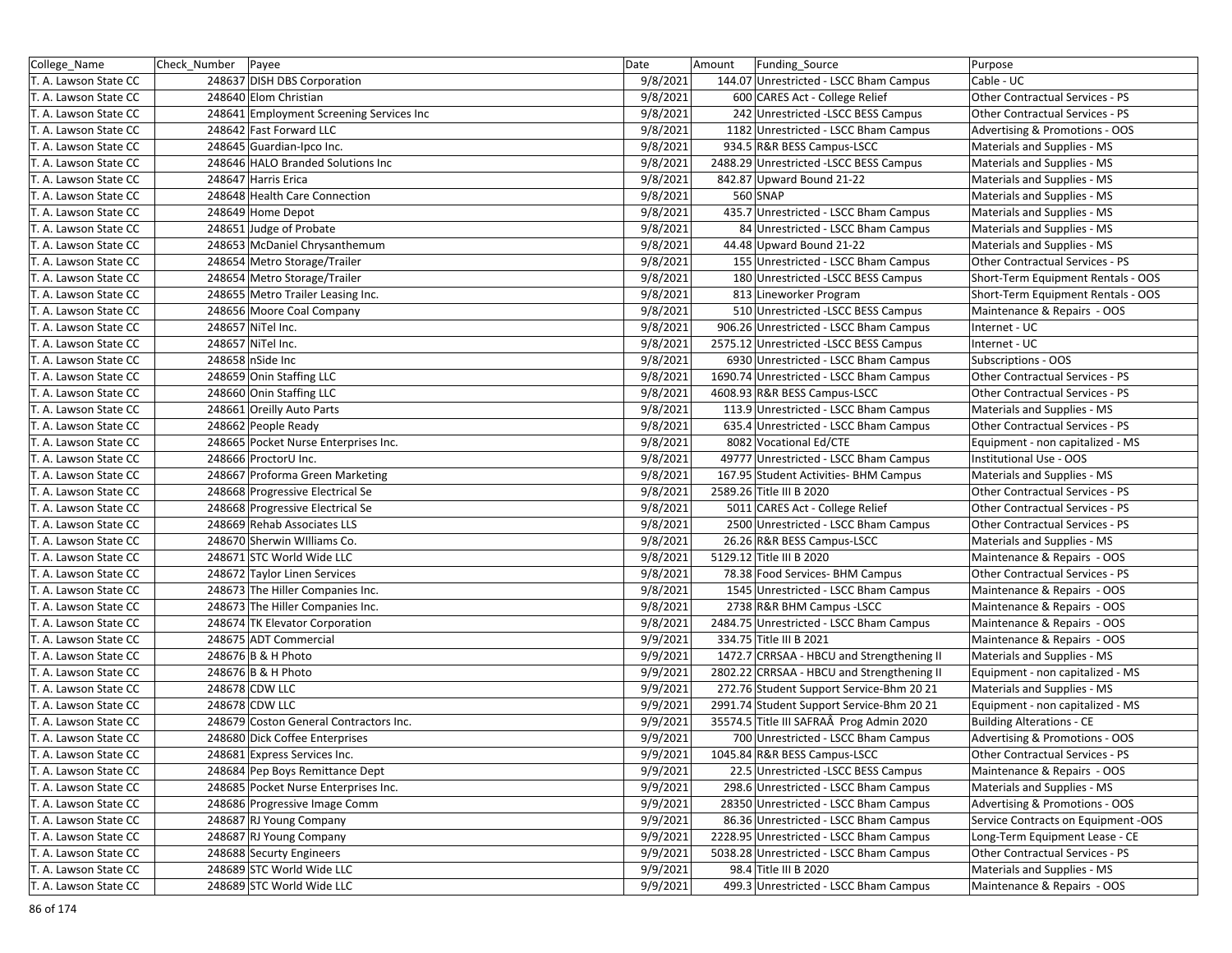| College_Name          | Check_Number   Payee |                                          | Date     | Amount<br>Funding_Source                   | Purpose                             |
|-----------------------|----------------------|------------------------------------------|----------|--------------------------------------------|-------------------------------------|
| T. A. Lawson State CC |                      | 248637 DISH DBS Corporation              | 9/8/2021 | 144.07 Unrestricted - LSCC Bham Campus     | Cable - UC                          |
| T. A. Lawson State CC |                      | 248640 Elom Christian                    | 9/8/2021 | 600 CARES Act - College Relief             | Other Contractual Services - PS     |
| T. A. Lawson State CC |                      | 248641 Employment Screening Services Inc | 9/8/2021 | 242 Unrestricted - LSCC BESS Campus        | Other Contractual Services - PS     |
| T. A. Lawson State CC |                      | 248642 Fast Forward LLC                  | 9/8/2021 | 1182 Unrestricted - LSCC Bham Campus       | Advertising & Promotions - OOS      |
| T. A. Lawson State CC |                      | 248645 Guardian-Ipco Inc.                | 9/8/2021 | 934.5 R&R BESS Campus-LSCC                 | Materials and Supplies - MS         |
| T. A. Lawson State CC |                      | 248646 HALO Branded Solutions Inc        | 9/8/2021 | 2488.29 Unrestricted -LSCC BESS Campus     | Materials and Supplies - MS         |
| T. A. Lawson State CC |                      | 248647 Harris Erica                      | 9/8/2021 | 842.87 Upward Bound 21-22                  | Materials and Supplies - MS         |
| T. A. Lawson State CC |                      | 248648 Health Care Connection            | 9/8/2021 | 560 SNAP                                   | Materials and Supplies - MS         |
| T. A. Lawson State CC |                      | 248649 Home Depot                        | 9/8/2021 | 435.7 Unrestricted - LSCC Bham Campus      | Materials and Supplies - MS         |
| T. A. Lawson State CC |                      | 248651 Judge of Probate                  | 9/8/2021 | 84 Unrestricted - LSCC Bham Campus         | Materials and Supplies - MS         |
| T. A. Lawson State CC |                      | 248653 McDaniel Chrysanthemum            | 9/8/2021 | 44.48 Upward Bound 21-22                   | Materials and Supplies - MS         |
| T. A. Lawson State CC |                      | 248654 Metro Storage/Trailer             | 9/8/2021 | 155 Unrestricted - LSCC Bham Campus        | Other Contractual Services - PS     |
| T. A. Lawson State CC |                      | 248654 Metro Storage/Trailer             | 9/8/2021 | 180 Unrestricted - LSCC BESS Campus        | Short-Term Equipment Rentals - OOS  |
| T. A. Lawson State CC |                      | 248655 Metro Trailer Leasing Inc.        | 9/8/2021 | 813 Lineworker Program                     | Short-Term Equipment Rentals - OOS  |
| T. A. Lawson State CC |                      | 248656 Moore Coal Company                | 9/8/2021 | 510 Unrestricted -LSCC BESS Campus         | Maintenance & Repairs - OOS         |
| T. A. Lawson State CC |                      | 248657 NiTel Inc.                        | 9/8/2021 | 906.26 Unrestricted - LSCC Bham Campus     | Internet - UC                       |
| T. A. Lawson State CC |                      | 248657 NiTel Inc.                        | 9/8/2021 | 2575.12 Unrestricted -LSCC BESS Campus     | Internet - UC                       |
| T. A. Lawson State CC |                      | 248658 nSide Inc                         | 9/8/2021 | 6930 Unrestricted - LSCC Bham Campus       | <b>Subscriptions - OOS</b>          |
| T. A. Lawson State CC |                      | 248659 Onin Staffing LLC                 | 9/8/2021 | 1690.74 Unrestricted - LSCC Bham Campus    | Other Contractual Services - PS     |
| T. A. Lawson State CC |                      | 248660 Onin Staffing LLC                 | 9/8/2021 | 4608.93 R&R BESS Campus-LSCC               | Other Contractual Services - PS     |
| T. A. Lawson State CC |                      | 248661 Oreilly Auto Parts                | 9/8/2021 | 113.9 Unrestricted - LSCC Bham Campus      | Materials and Supplies - MS         |
| T. A. Lawson State CC |                      | 248662 People Ready                      | 9/8/2021 | 635.4 Unrestricted - LSCC Bham Campus      | Other Contractual Services - PS     |
| T. A. Lawson State CC |                      | 248665 Pocket Nurse Enterprises Inc.     | 9/8/2021 | 8082 Vocational Ed/CTE                     | Equipment - non capitalized - MS    |
| T. A. Lawson State CC |                      | 248666 ProctorU Inc.                     | 9/8/2021 | 49777 Unrestricted - LSCC Bham Campus      | Institutional Use - OOS             |
| T. A. Lawson State CC |                      | 248667 Proforma Green Marketing          | 9/8/2021 | 167.95 Student Activities- BHM Campus      | Materials and Supplies - MS         |
| T. A. Lawson State CC |                      | 248668 Progressive Electrical Se         | 9/8/2021 | 2589.26 Title III B 2020                   | Other Contractual Services - PS     |
| T. A. Lawson State CC |                      | 248668 Progressive Electrical Se         | 9/8/2021 | 5011 CARES Act - College Relief            | Other Contractual Services - PS     |
| T. A. Lawson State CC |                      | 248669 Rehab Associates LLS              | 9/8/2021 | 2500 Unrestricted - LSCC Bham Campus       | Other Contractual Services - PS     |
| T. A. Lawson State CC |                      | 248670 Sherwin Williams Co.              | 9/8/2021 | 26.26 R&R BESS Campus-LSCC                 | Materials and Supplies - MS         |
| T. A. Lawson State CC |                      | 248671 STC World Wide LLC                | 9/8/2021 | 5129.12 Title III B 2020                   | Maintenance & Repairs - OOS         |
| T. A. Lawson State CC |                      | 248672 Taylor Linen Services             | 9/8/2021 | 78.38 Food Services- BHM Campus            | Other Contractual Services - PS     |
| T. A. Lawson State CC |                      | 248673 The Hiller Companies Inc.         | 9/8/2021 | 1545 Unrestricted - LSCC Bham Campus       | Maintenance & Repairs - OOS         |
| T. A. Lawson State CC |                      | 248673 The Hiller Companies Inc.         | 9/8/2021 | 2738 R&R BHM Campus - LSCC                 | Maintenance & Repairs - OOS         |
| T. A. Lawson State CC |                      | 248674 TK Elevator Corporation           | 9/8/2021 | 2484.75 Unrestricted - LSCC Bham Campus    | Maintenance & Repairs - OOS         |
| T. A. Lawson State CC |                      | 248675 ADT Commercial                    | 9/9/2021 | 334.75 Title III B 2021                    | Maintenance & Repairs - OOS         |
| T. A. Lawson State CC |                      | 248676 B & H Photo                       | 9/9/2021 | 1472.7 CRRSAA - HBCU and Strengthening II  | Materials and Supplies - MS         |
| T. A. Lawson State CC |                      | 248676 B & H Photo                       | 9/9/2021 | 2802.22 CRRSAA - HBCU and Strengthening II | Equipment - non capitalized - MS    |
| T. A. Lawson State CC |                      | 248678 CDW LLC                           | 9/9/2021 | 272.76 Student Support Service-Bhm 20 21   | Materials and Supplies - MS         |
| T. A. Lawson State CC |                      | 248678 CDW LLC                           | 9/9/2021 | 2991.74 Student Support Service-Bhm 20 21  | Equipment - non capitalized - MS    |
| T. A. Lawson State CC |                      | 248679 Coston General Contractors Inc.   | 9/9/2021 | 35574.5 Title III SAFRAÂ Prog Admin 2020   | <b>Building Alterations - CE</b>    |
| T. A. Lawson State CC |                      | 248680 Dick Coffee Enterprises           | 9/9/2021 | 700 Unrestricted - LSCC Bham Campus        | Advertising & Promotions - OOS      |
| T. A. Lawson State CC |                      | 248681 Express Services Inc.             | 9/9/2021 | 1045.84 R&R BESS Campus-LSCC               | Other Contractual Services - PS     |
| T. A. Lawson State CC |                      | 248684 Pep Boys Remittance Dept          | 9/9/2021 | 22.5 Unrestricted - LSCC BESS Campus       | Maintenance & Repairs - OOS         |
| T. A. Lawson State CC |                      | 248685 Pocket Nurse Enterprises Inc.     | 9/9/2021 | 298.6 Unrestricted - LSCC Bham Campus      | Materials and Supplies - MS         |
| T. A. Lawson State CC |                      | 248686 Progressive Image Comm            | 9/9/2021 | 28350 Unrestricted - LSCC Bham Campus      | Advertising & Promotions - OOS      |
| T. A. Lawson State CC |                      | 248687 RJ Young Company                  | 9/9/2021 | 86.36 Unrestricted - LSCC Bham Campus      | Service Contracts on Equipment -OOS |
| T. A. Lawson State CC |                      | 248687 RJ Young Company                  | 9/9/2021 | 2228.95 Unrestricted - LSCC Bham Campus    | Long-Term Equipment Lease - CE      |
| T. A. Lawson State CC |                      | 248688 Securty Engineers                 | 9/9/2021 | 5038.28 Unrestricted - LSCC Bham Campus    | Other Contractual Services - PS     |
| T. A. Lawson State CC |                      | 248689 STC World Wide LLC                | 9/9/2021 | 98.4 Title III B 2020                      | Materials and Supplies - MS         |
| T. A. Lawson State CC |                      | 248689 STC World Wide LLC                | 9/9/2021 | 499.3 Unrestricted - LSCC Bham Campus      | Maintenance & Repairs - OOS         |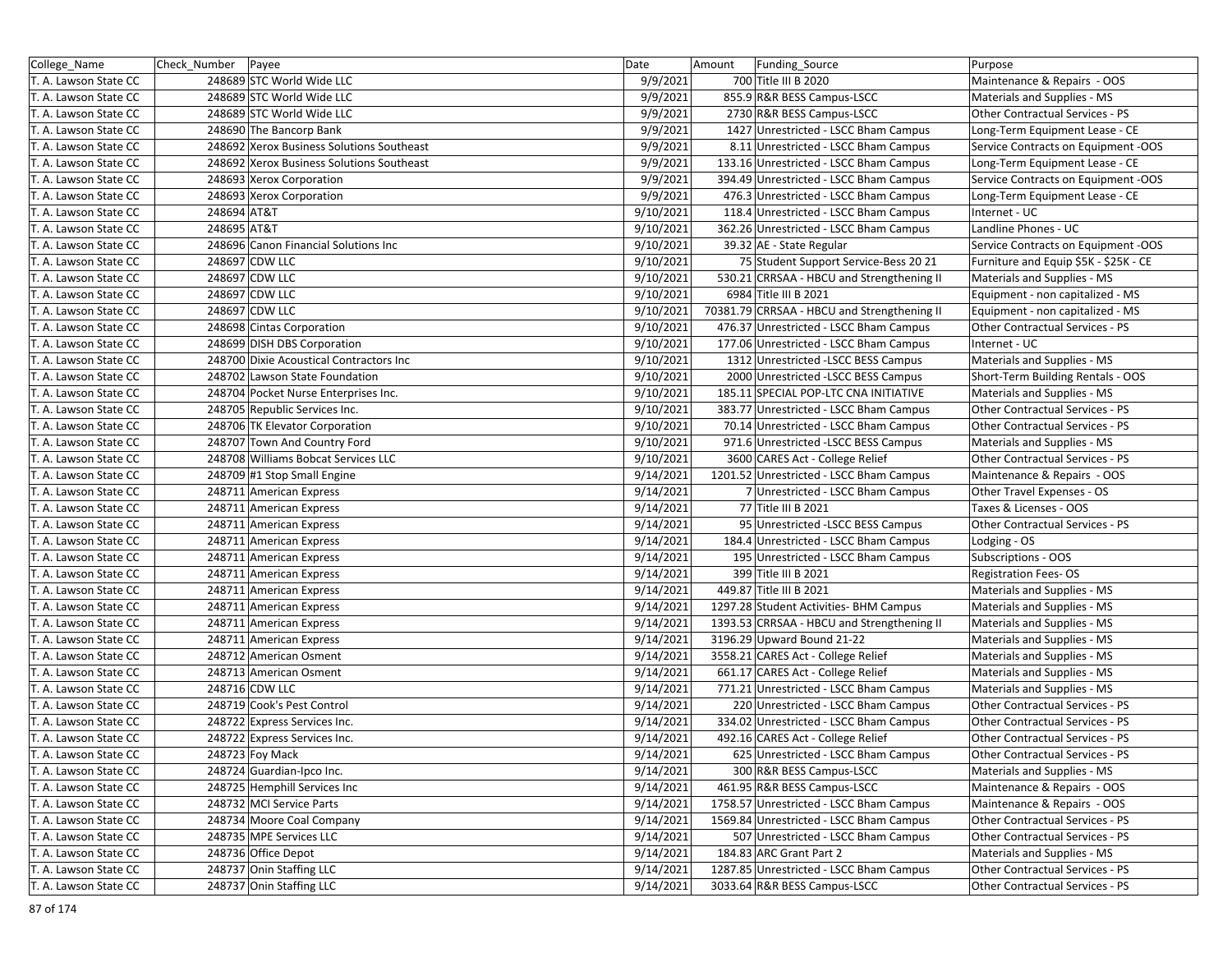| College_Name          | Check_Number   Payee |                                           | Date      | Amount | Funding_Source                              | Purpose                                |
|-----------------------|----------------------|-------------------------------------------|-----------|--------|---------------------------------------------|----------------------------------------|
| T. A. Lawson State CC |                      | 248689 STC World Wide LLC                 | 9/9/2021  |        | 700 Title III B 2020                        | Maintenance & Repairs - OOS            |
| T. A. Lawson State CC |                      | 248689 STC World Wide LLC                 | 9/9/2021  |        | 855.9 R&R BESS Campus-LSCC                  | Materials and Supplies - MS            |
| T. A. Lawson State CC |                      | 248689 STC World Wide LLC                 | 9/9/2021  |        | 2730 R&R BESS Campus-LSCC                   | Other Contractual Services - PS        |
| T. A. Lawson State CC |                      | 248690 The Bancorp Bank                   | 9/9/2021  |        | 1427 Unrestricted - LSCC Bham Campus        | Long-Term Equipment Lease - CE         |
| T. A. Lawson State CC |                      | 248692 Xerox Business Solutions Southeast | 9/9/2021  |        | 8.11 Unrestricted - LSCC Bham Campus        | Service Contracts on Equipment -OOS    |
| T. A. Lawson State CC |                      | 248692 Xerox Business Solutions Southeast | 9/9/2021  |        | 133.16 Unrestricted - LSCC Bham Campus      | Long-Term Equipment Lease - CE         |
| T. A. Lawson State CC |                      | 248693 Xerox Corporation                  | 9/9/2021  |        | 394.49 Unrestricted - LSCC Bham Campus      | Service Contracts on Equipment -OOS    |
| T. A. Lawson State CC |                      | 248693 Xerox Corporation                  | 9/9/2021  |        | 476.3 Unrestricted - LSCC Bham Campus       | Long-Term Equipment Lease - CE         |
| T. A. Lawson State CC | 248694 AT&T          |                                           | 9/10/2021 |        | 118.4 Unrestricted - LSCC Bham Campus       | Internet - UC                          |
| T. A. Lawson State CC | 248695 AT&T          |                                           | 9/10/2021 |        | 362.26 Unrestricted - LSCC Bham Campus      | Landline Phones - UC                   |
| T. A. Lawson State CC |                      | 248696 Canon Financial Solutions Inc      | 9/10/2021 |        | 39.32 AE - State Regular                    | Service Contracts on Equipment -OOS    |
| T. A. Lawson State CC |                      | 248697 CDW LLC                            | 9/10/2021 |        | 75 Student Support Service-Bess 20 21       | Furniture and Equip \$5K - \$25K - CE  |
| T. A. Lawson State CC |                      | 248697 CDW LLC                            | 9/10/2021 |        | 530.21 CRRSAA - HBCU and Strengthening II   | Materials and Supplies - MS            |
| T. A. Lawson State CC |                      | 248697 CDW LLC                            | 9/10/2021 |        | 6984 Title III B 2021                       | Equipment - non capitalized - MS       |
| T. A. Lawson State CC |                      | 248697 CDW LLC                            | 9/10/2021 |        | 70381.79 CRRSAA - HBCU and Strengthening II | Equipment - non capitalized - MS       |
| T. A. Lawson State CC |                      | 248698 Cintas Corporation                 | 9/10/2021 |        | 476.37 Unrestricted - LSCC Bham Campus      | Other Contractual Services - PS        |
| T. A. Lawson State CC |                      | 248699 DISH DBS Corporation               | 9/10/2021 |        | 177.06 Unrestricted - LSCC Bham Campus      | Internet - UC                          |
| T. A. Lawson State CC |                      | 248700 Dixie Acoustical Contractors Inc   | 9/10/2021 |        | 1312 Unrestricted - LSCC BESS Campus        | Materials and Supplies - MS            |
| T. A. Lawson State CC |                      | 248702 Lawson State Foundation            | 9/10/2021 |        | 2000 Unrestricted -LSCC BESS Campus         | Short-Term Building Rentals - OOS      |
| T. A. Lawson State CC |                      | 248704 Pocket Nurse Enterprises Inc.      | 9/10/2021 |        | 185.11 SPECIAL POP-LTC CNA INITIATIVE       | Materials and Supplies - MS            |
| T. A. Lawson State CC |                      | 248705 Republic Services Inc.             | 9/10/2021 |        | 383.77 Unrestricted - LSCC Bham Campus      | Other Contractual Services - PS        |
| T. A. Lawson State CC |                      | 248706 TK Elevator Corporation            | 9/10/2021 |        | 70.14 Unrestricted - LSCC Bham Campus       | Other Contractual Services - PS        |
| T. A. Lawson State CC |                      | 248707 Town And Country Ford              | 9/10/2021 |        | 971.6 Unrestricted -LSCC BESS Campus        | Materials and Supplies - MS            |
| T. A. Lawson State CC |                      | 248708 Williams Bobcat Services LLC       | 9/10/2021 |        | 3600 CARES Act - College Relief             | Other Contractual Services - PS        |
| T. A. Lawson State CC |                      | 248709 #1 Stop Small Engine               | 9/14/2021 |        | 1201.52 Unrestricted - LSCC Bham Campus     | Maintenance & Repairs - OOS            |
| T. A. Lawson State CC |                      | 248711 American Express                   | 9/14/2021 |        | 7 Unrestricted - LSCC Bham Campus           | Other Travel Expenses - OS             |
| T. A. Lawson State CC |                      | 248711 American Express                   | 9/14/2021 |        | 77 Title III B 2021                         | Taxes & Licenses - OOS                 |
| T. A. Lawson State CC |                      | 248711 American Express                   | 9/14/2021 |        | 95 Unrestricted - LSCC BESS Campus          | Other Contractual Services - PS        |
| T. A. Lawson State CC |                      | 248711 American Express                   | 9/14/2021 |        | 184.4 Unrestricted - LSCC Bham Campus       | Lodging - OS                           |
| T. A. Lawson State CC |                      | 248711 American Express                   | 9/14/2021 |        | 195 Unrestricted - LSCC Bham Campus         | Subscriptions - OOS                    |
| T. A. Lawson State CC |                      | 248711 American Express                   | 9/14/2021 |        | 399 Title III B 2021                        | <b>Registration Fees-OS</b>            |
| T. A. Lawson State CC |                      | 248711 American Express                   | 9/14/2021 |        | 449.87 Title III B 2021                     | Materials and Supplies - MS            |
| T. A. Lawson State CC |                      | 248711 American Express                   | 9/14/2021 |        | 1297.28 Student Activities- BHM Campus      | Materials and Supplies - MS            |
| T. A. Lawson State CC |                      | 248711 American Express                   | 9/14/2021 |        | 1393.53 CRRSAA - HBCU and Strengthening II  | Materials and Supplies - MS            |
| T. A. Lawson State CC |                      | 248711 American Express                   | 9/14/2021 |        | 3196.29 Upward Bound 21-22                  | Materials and Supplies - MS            |
| T. A. Lawson State CC |                      | 248712 American Osment                    | 9/14/2021 |        | 3558.21 CARES Act - College Relief          | Materials and Supplies - MS            |
| T. A. Lawson State CC |                      | 248713 American Osment                    | 9/14/2021 |        | 661.17 CARES Act - College Relief           | Materials and Supplies - MS            |
| T. A. Lawson State CC |                      | 248716 CDW LLC                            | 9/14/2021 |        | 771.21 Unrestricted - LSCC Bham Campus      | Materials and Supplies - MS            |
| T. A. Lawson State CC |                      | 248719 Cook's Pest Control                | 9/14/2021 |        | 220 Unrestricted - LSCC Bham Campus         | Other Contractual Services - PS        |
| T. A. Lawson State CC |                      | 248722 Express Services Inc.              | 9/14/2021 |        | 334.02 Unrestricted - LSCC Bham Campus      | Other Contractual Services - PS        |
| T. A. Lawson State CC |                      | 248722 Express Services Inc.              | 9/14/2021 |        | 492.16 CARES Act - College Relief           | <b>Other Contractual Services - PS</b> |
| T. A. Lawson State CC |                      | 248723 Foy Mack                           | 9/14/2021 |        | 625 Unrestricted - LSCC Bham Campus         | Other Contractual Services - PS        |
| T. A. Lawson State CC |                      | 248724 Guardian-Ipco Inc.                 | 9/14/2021 |        | 300 R&R BESS Campus-LSCC                    | Materials and Supplies - MS            |
| T. A. Lawson State CC |                      | 248725 Hemphill Services Inc              | 9/14/2021 |        | 461.95 R&R BESS Campus-LSCC                 | Maintenance & Repairs - OOS            |
| T. A. Lawson State CC |                      | 248732 MCI Service Parts                  | 9/14/2021 |        | 1758.57 Unrestricted - LSCC Bham Campus     | Maintenance & Repairs - OOS            |
| T. A. Lawson State CC |                      | 248734 Moore Coal Company                 | 9/14/2021 |        | 1569.84 Unrestricted - LSCC Bham Campus     | Other Contractual Services - PS        |
| T. A. Lawson State CC |                      | 248735 MPE Services LLC                   | 9/14/2021 |        | 507 Unrestricted - LSCC Bham Campus         | Other Contractual Services - PS        |
| T. A. Lawson State CC |                      | 248736 Office Depot                       | 9/14/2021 |        | 184.83 ARC Grant Part 2                     | Materials and Supplies - MS            |
| T. A. Lawson State CC |                      | 248737 Onin Staffing LLC                  | 9/14/2021 |        | 1287.85 Unrestricted - LSCC Bham Campus     | Other Contractual Services - PS        |
| T. A. Lawson State CC |                      | 248737 Onin Staffing LLC                  | 9/14/2021 |        | 3033.64 R&R BESS Campus-LSCC                | Other Contractual Services - PS        |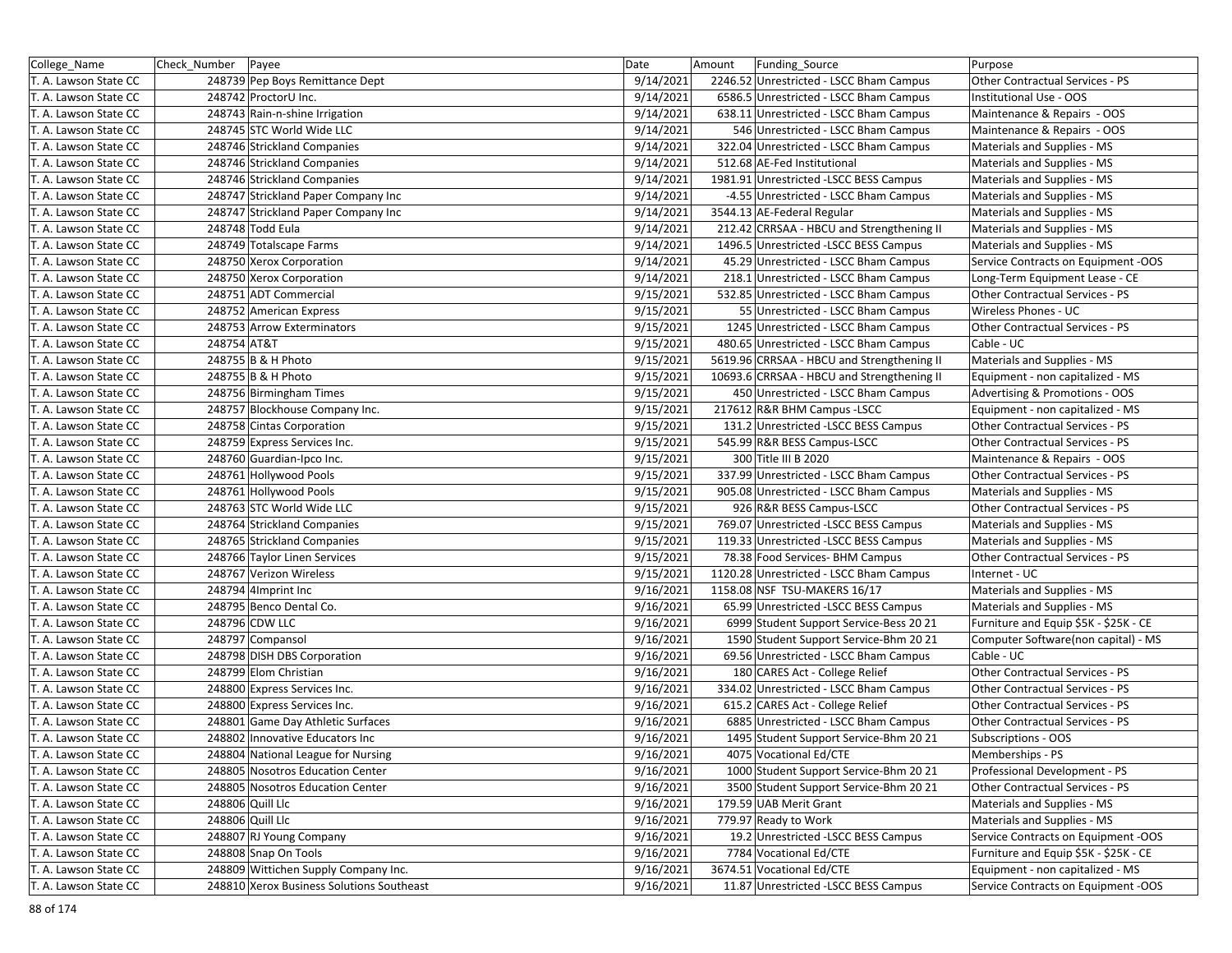| College_Name          | Check_Number Payee |                                           | Date      | Amount | Funding Source                             | Purpose                               |
|-----------------------|--------------------|-------------------------------------------|-----------|--------|--------------------------------------------|---------------------------------------|
| T. A. Lawson State CC |                    | 248739 Pep Boys Remittance Dept           | 9/14/2021 |        | 2246.52 Unrestricted - LSCC Bham Campus    | Other Contractual Services - PS       |
| T. A. Lawson State CC |                    | 248742 ProctorU Inc.                      | 9/14/2021 |        | 6586.5 Unrestricted - LSCC Bham Campus     | Institutional Use - OOS               |
| T. A. Lawson State CC |                    | 248743 Rain-n-shine Irrigation            | 9/14/2021 |        | 638.11 Unrestricted - LSCC Bham Campus     | Maintenance & Repairs - OOS           |
| T. A. Lawson State CC |                    | 248745 STC World Wide LLC                 | 9/14/2021 |        | 546 Unrestricted - LSCC Bham Campus        | Maintenance & Repairs - OOS           |
| T. A. Lawson State CC |                    | 248746 Strickland Companies               | 9/14/2021 |        | 322.04 Unrestricted - LSCC Bham Campus     | Materials and Supplies - MS           |
| T. A. Lawson State CC |                    | 248746 Strickland Companies               | 9/14/2021 |        | 512.68 AE-Fed Institutional                | Materials and Supplies - MS           |
| T. A. Lawson State CC |                    | 248746 Strickland Companies               | 9/14/2021 |        | 1981.91 Unrestricted -LSCC BESS Campus     | Materials and Supplies - MS           |
| T. A. Lawson State CC |                    | 248747 Strickland Paper Company Inc       | 9/14/2021 |        | -4.55 Unrestricted - LSCC Bham Campus      | Materials and Supplies - MS           |
| T. A. Lawson State CC |                    | 248747 Strickland Paper Company Inc       | 9/14/2021 |        | 3544.13 AE-Federal Regular                 | Materials and Supplies - MS           |
| T. A. Lawson State CC |                    | 248748 Todd Eula                          | 9/14/2021 |        | 212.42 CRRSAA - HBCU and Strengthening II  | Materials and Supplies - MS           |
| T. A. Lawson State CC |                    | 248749 Totalscape Farms                   | 9/14/2021 |        | 1496.5 Unrestricted -LSCC BESS Campus      | Materials and Supplies - MS           |
| T. A. Lawson State CC |                    | 248750 Xerox Corporation                  | 9/14/2021 |        | 45.29 Unrestricted - LSCC Bham Campus      | Service Contracts on Equipment -OOS   |
| T. A. Lawson State CC |                    | 248750 Xerox Corporation                  | 9/14/2021 |        | 218.1 Unrestricted - LSCC Bham Campus      | Long-Term Equipment Lease - CE        |
| T. A. Lawson State CC |                    | 248751 ADT Commercial                     | 9/15/2021 |        | 532.85 Unrestricted - LSCC Bham Campus     | Other Contractual Services - PS       |
| T. A. Lawson State CC |                    | 248752 American Express                   | 9/15/2021 |        | 55 Unrestricted - LSCC Bham Campus         | Wireless Phones - UC                  |
| T. A. Lawson State CC |                    | 248753 Arrow Exterminators                | 9/15/2021 |        | 1245 Unrestricted - LSCC Bham Campus       | Other Contractual Services - PS       |
| T. A. Lawson State CC | 248754 AT&T        |                                           | 9/15/2021 |        | 480.65 Unrestricted - LSCC Bham Campus     | Cable - UC                            |
| T. A. Lawson State CC |                    | 248755 B & H Photo                        | 9/15/2021 |        | 5619.96 CRRSAA - HBCU and Strengthening II | Materials and Supplies - MS           |
| T. A. Lawson State CC |                    | 248755 B & H Photo                        | 9/15/2021 |        | 10693.6 CRRSAA - HBCU and Strengthening II | Equipment - non capitalized - MS      |
| T. A. Lawson State CC |                    | 248756 Birmingham Times                   | 9/15/2021 |        | 450 Unrestricted - LSCC Bham Campus        | Advertising & Promotions - OOS        |
| T. A. Lawson State CC |                    | 248757 Blockhouse Company Inc.            | 9/15/2021 |        | 217612 R&R BHM Campus - LSCC               | Equipment - non capitalized - MS      |
| T. A. Lawson State CC |                    | 248758 Cintas Corporation                 | 9/15/2021 |        | 131.2 Unrestricted - LSCC BESS Campus      | Other Contractual Services - PS       |
| T. A. Lawson State CC |                    | 248759 Express Services Inc.              | 9/15/2021 |        | 545.99 R&R BESS Campus-LSCC                | Other Contractual Services - PS       |
| T. A. Lawson State CC |                    | 248760 Guardian-Ipco Inc.                 | 9/15/2021 |        | 300 Title III B 2020                       | Maintenance & Repairs - OOS           |
| T. A. Lawson State CC |                    | 248761 Hollywood Pools                    | 9/15/2021 |        | 337.99 Unrestricted - LSCC Bham Campus     | Other Contractual Services - PS       |
| T. A. Lawson State CC |                    | 248761 Hollywood Pools                    | 9/15/2021 |        | 905.08 Unrestricted - LSCC Bham Campus     | Materials and Supplies - MS           |
| T. A. Lawson State CC |                    | 248763 STC World Wide LLC                 | 9/15/2021 |        | 926 R&R BESS Campus-LSCC                   | Other Contractual Services - PS       |
| T. A. Lawson State CC |                    | 248764 Strickland Companies               | 9/15/2021 |        | 769.07 Unrestricted -LSCC BESS Campus      | Materials and Supplies - MS           |
| T. A. Lawson State CC |                    | 248765 Strickland Companies               | 9/15/2021 |        | 119.33 Unrestricted -LSCC BESS Campus      | Materials and Supplies - MS           |
| T. A. Lawson State CC |                    | 248766 Taylor Linen Services              | 9/15/2021 |        | 78.38 Food Services- BHM Campus            | Other Contractual Services - PS       |
| T. A. Lawson State CC |                    | 248767 Verizon Wireless                   | 9/15/2021 |        | 1120.28 Unrestricted - LSCC Bham Campus    | Internet - UC                         |
| T. A. Lawson State CC |                    | 248794 4Imprint Inc                       | 9/16/2021 |        | 1158.08 NSF TSU-MAKERS 16/17               | Materials and Supplies - MS           |
| T. A. Lawson State CC |                    | 248795 Benco Dental Co.                   | 9/16/2021 |        | 65.99 Unrestricted -LSCC BESS Campus       | Materials and Supplies - MS           |
| T. A. Lawson State CC |                    | 248796 CDW LLC                            | 9/16/2021 |        | 6999 Student Support Service-Bess 20 21    | Furniture and Equip \$5K - \$25K - CE |
| T. A. Lawson State CC |                    | 248797 Compansol                          | 9/16/2021 |        | 1590 Student Support Service-Bhm 20 21     | Computer Software(non capital) - MS   |
| T. A. Lawson State CC |                    | 248798 DISH DBS Corporation               | 9/16/2021 |        | 69.56 Unrestricted - LSCC Bham Campus      | Cable - UC                            |
| T. A. Lawson State CC |                    | 248799 Elom Christian                     | 9/16/2021 |        | 180 CARES Act - College Relief             | Other Contractual Services - PS       |
| T. A. Lawson State CC |                    | 248800 Express Services Inc.              | 9/16/2021 |        | 334.02 Unrestricted - LSCC Bham Campus     | Other Contractual Services - PS       |
| T. A. Lawson State CC |                    | 248800 Express Services Inc.              | 9/16/2021 |        | 615.2 CARES Act - College Relief           | Other Contractual Services - PS       |
| T. A. Lawson State CC |                    | 248801 Game Day Athletic Surfaces         | 9/16/2021 |        | 6885 Unrestricted - LSCC Bham Campus       | Other Contractual Services - PS       |
| T. A. Lawson State CC |                    | 248802 Innovative Educators Inc           | 9/16/2021 |        | 1495 Student Support Service-Bhm 20 21     | Subscriptions - OOS                   |
| T. A. Lawson State CC |                    | 248804 National League for Nursing        | 9/16/2021 |        | 4075 Vocational Ed/CTE                     | Memberships - PS                      |
| T. A. Lawson State CC |                    | 248805 Nosotros Education Center          | 9/16/2021 |        | 1000 Student Support Service-Bhm 20 21     | Professional Development - PS         |
| T. A. Lawson State CC |                    | 248805 Nosotros Education Center          | 9/16/2021 |        | 3500 Student Support Service-Bhm 20 21     | Other Contractual Services - PS       |
| T. A. Lawson State CC |                    | 248806 Quill Llc                          | 9/16/2021 |        | 179.59 UAB Merit Grant                     | Materials and Supplies - MS           |
| T. A. Lawson State CC |                    | 248806 Quill Llc                          | 9/16/2021 |        | 779.97 Ready to Work                       | Materials and Supplies - MS           |
| T. A. Lawson State CC |                    | 248807 RJ Young Company                   | 9/16/2021 |        | 19.2 Unrestricted -LSCC BESS Campus        | Service Contracts on Equipment -OOS   |
| T. A. Lawson State CC |                    | 248808 Snap On Tools                      | 9/16/2021 |        | 7784 Vocational Ed/CTE                     | Furniture and Equip \$5K - \$25K - CE |
| T. A. Lawson State CC |                    | 248809 Wittichen Supply Company Inc.      | 9/16/2021 |        | 3674.51 Vocational Ed/CTE                  | Equipment - non capitalized - MS      |
| T. A. Lawson State CC |                    | 248810 Xerox Business Solutions Southeast | 9/16/2021 |        | 11.87 Unrestricted -LSCC BESS Campus       | Service Contracts on Equipment -OOS   |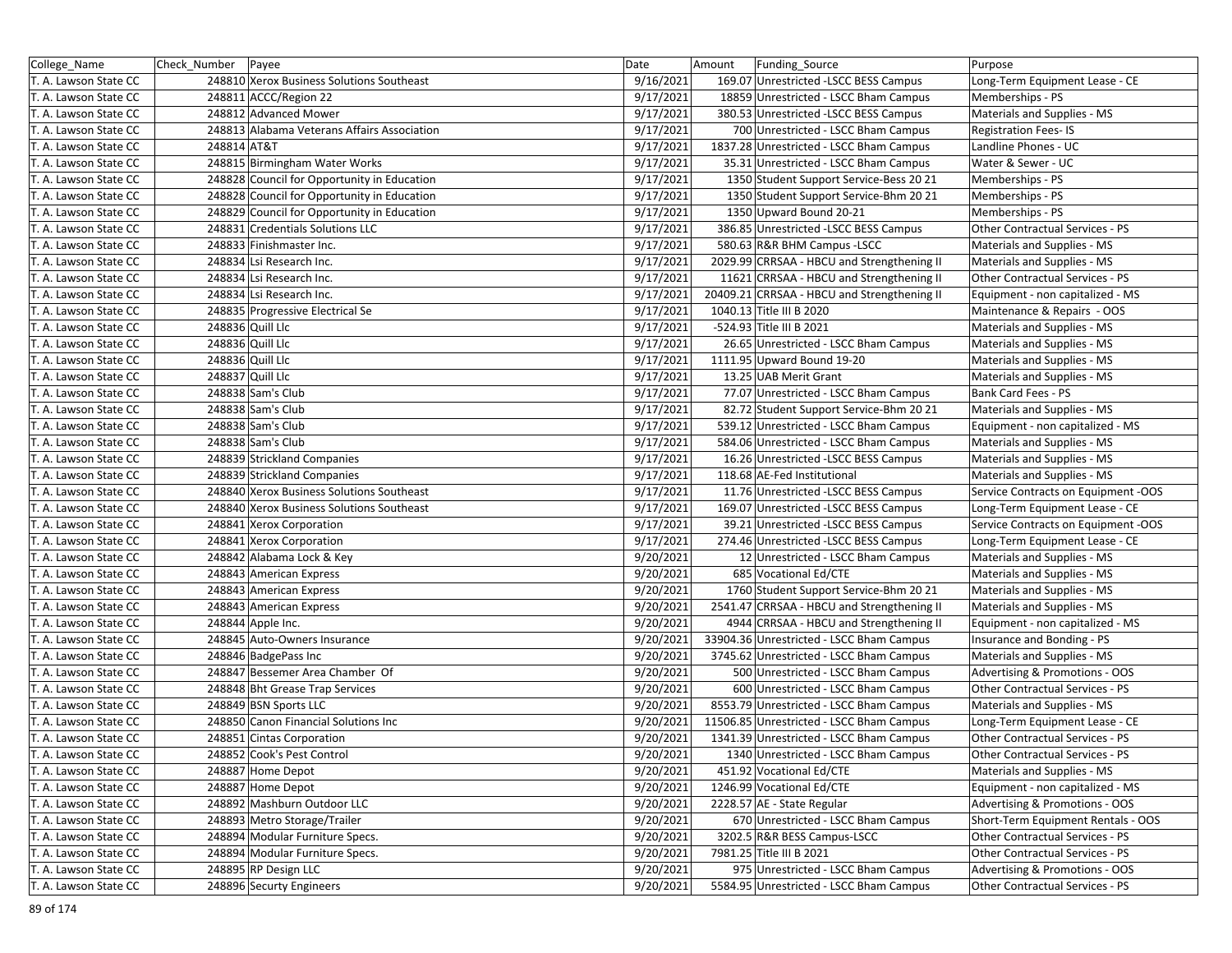| College_Name          | Check_Number Payee |                                             | Date      | Amount | Funding Source                              | Purpose                                |
|-----------------------|--------------------|---------------------------------------------|-----------|--------|---------------------------------------------|----------------------------------------|
| T. A. Lawson State CC |                    | 248810 Xerox Business Solutions Southeast   | 9/16/2021 |        | 169.07 Unrestricted -LSCC BESS Campus       | Long-Term Equipment Lease - CE         |
| T. A. Lawson State CC |                    | 248811 ACCC/Region 22                       | 9/17/2021 |        | 18859 Unrestricted - LSCC Bham Campus       | Memberships - PS                       |
| T. A. Lawson State CC |                    | 248812 Advanced Mower                       | 9/17/2021 |        | 380.53 Unrestricted -LSCC BESS Campus       | Materials and Supplies - MS            |
| T. A. Lawson State CC |                    | 248813 Alabama Veterans Affairs Association | 9/17/2021 |        | 700 Unrestricted - LSCC Bham Campus         | <b>Registration Fees-IS</b>            |
| T. A. Lawson State CC | 248814 AT&T        |                                             | 9/17/2021 |        | 1837.28 Unrestricted - LSCC Bham Campus     | Landline Phones - UC                   |
| T. A. Lawson State CC |                    | 248815 Birmingham Water Works               | 9/17/2021 |        | 35.31 Unrestricted - LSCC Bham Campus       | Water & Sewer - UC                     |
| T. A. Lawson State CC |                    | 248828 Council for Opportunity in Education | 9/17/2021 |        | 1350 Student Support Service-Bess 20 21     | Memberships - PS                       |
| T. A. Lawson State CC |                    | 248828 Council for Opportunity in Education | 9/17/2021 |        | 1350 Student Support Service-Bhm 20 21      | Memberships - PS                       |
| T. A. Lawson State CC |                    | 248829 Council for Opportunity in Education | 9/17/2021 |        | 1350 Upward Bound 20-21                     | Memberships - PS                       |
| T. A. Lawson State CC |                    | 248831 Credentials Solutions LLC            | 9/17/2021 |        | 386.85 Unrestricted - LSCC BESS Campus      | Other Contractual Services - PS        |
| T. A. Lawson State CC |                    | 248833 Finishmaster Inc.                    | 9/17/2021 |        | 580.63 R&R BHM Campus - LSCC                | Materials and Supplies - MS            |
| T. A. Lawson State CC |                    | 248834 Lsi Research Inc.                    | 9/17/2021 |        | 2029.99 CRRSAA - HBCU and Strengthening II  | Materials and Supplies - MS            |
| T. A. Lawson State CC |                    | 248834 Lsi Research Inc.                    | 9/17/2021 |        | 11621 CRRSAA - HBCU and Strengthening II    | Other Contractual Services - PS        |
| T. A. Lawson State CC |                    | 248834 Lsi Research Inc.                    | 9/17/2021 |        | 20409.21 CRRSAA - HBCU and Strengthening II | Equipment - non capitalized - MS       |
| T. A. Lawson State CC |                    | 248835 Progressive Electrical Se            | 9/17/2021 |        | 1040.13 Title III B 2020                    | Maintenance & Repairs - OOS            |
| T. A. Lawson State CC |                    | 248836 Quill Llc                            | 9/17/2021 |        | -524.93 Title III B 2021                    | Materials and Supplies - MS            |
| T. A. Lawson State CC |                    | 248836 Quill Llc                            | 9/17/2021 |        | 26.65 Unrestricted - LSCC Bham Campus       | Materials and Supplies - MS            |
| T. A. Lawson State CC |                    | 248836 Quill Llc                            | 9/17/2021 |        | 1111.95 Upward Bound 19-20                  | Materials and Supplies - MS            |
| T. A. Lawson State CC |                    | 248837 Quill Llc                            | 9/17/2021 |        | 13.25 UAB Merit Grant                       | Materials and Supplies - MS            |
| T. A. Lawson State CC |                    | 248838 Sam's Club                           | 9/17/2021 |        | 77.07 Unrestricted - LSCC Bham Campus       | Bank Card Fees - PS                    |
| T. A. Lawson State CC |                    | 248838 Sam's Club                           | 9/17/2021 |        | 82.72 Student Support Service-Bhm 20 21     | Materials and Supplies - MS            |
| T. A. Lawson State CC |                    | 248838 Sam's Club                           | 9/17/2021 |        | 539.12 Unrestricted - LSCC Bham Campus      | Equipment - non capitalized - MS       |
| T. A. Lawson State CC |                    | 248838 Sam's Club                           | 9/17/2021 |        | 584.06 Unrestricted - LSCC Bham Campus      | Materials and Supplies - MS            |
| T. A. Lawson State CC |                    | 248839 Strickland Companies                 | 9/17/2021 |        | 16.26 Unrestricted -LSCC BESS Campus        | Materials and Supplies - MS            |
| T. A. Lawson State CC |                    | 248839 Strickland Companies                 | 9/17/2021 |        | 118.68 AE-Fed Institutional                 | Materials and Supplies - MS            |
| T. A. Lawson State CC |                    | 248840 Xerox Business Solutions Southeast   | 9/17/2021 |        | 11.76 Unrestricted -LSCC BESS Campus        | Service Contracts on Equipment -OOS    |
| T. A. Lawson State CC |                    | 248840 Xerox Business Solutions Southeast   | 9/17/2021 |        | 169.07 Unrestricted -LSCC BESS Campus       | Long-Term Equipment Lease - CE         |
| T. A. Lawson State CC |                    | 248841 Xerox Corporation                    | 9/17/2021 |        | 39.21 Unrestricted -LSCC BESS Campus        | Service Contracts on Equipment -OOS    |
| T. A. Lawson State CC |                    | 248841 Xerox Corporation                    | 9/17/2021 |        | 274.46 Unrestricted -LSCC BESS Campus       | Long-Term Equipment Lease - CE         |
| T. A. Lawson State CC |                    | 248842 Alabama Lock & Key                   | 9/20/2021 |        | 12 Unrestricted - LSCC Bham Campus          | Materials and Supplies - MS            |
| T. A. Lawson State CC |                    | 248843 American Express                     | 9/20/2021 |        | 685 Vocational Ed/CTE                       | Materials and Supplies - MS            |
| T. A. Lawson State CC |                    | 248843 American Express                     | 9/20/2021 |        | 1760 Student Support Service-Bhm 20 21      | Materials and Supplies - MS            |
| T. A. Lawson State CC |                    | 248843 American Express                     | 9/20/2021 |        | 2541.47 CRRSAA - HBCU and Strengthening II  | Materials and Supplies - MS            |
| T. A. Lawson State CC |                    | 248844 Apple Inc.                           | 9/20/2021 |        | 4944 CRRSAA - HBCU and Strengthening II     | Equipment - non capitalized - MS       |
| T. A. Lawson State CC |                    | 248845 Auto-Owners Insurance                | 9/20/2021 |        | 33904.36 Unrestricted - LSCC Bham Campus    | Insurance and Bonding - PS             |
| T. A. Lawson State CC |                    | 248846 BadgePass Inc                        | 9/20/2021 |        | 3745.62 Unrestricted - LSCC Bham Campus     | Materials and Supplies - MS            |
| T. A. Lawson State CC |                    | 248847 Bessemer Area Chamber Of             | 9/20/2021 |        | 500 Unrestricted - LSCC Bham Campus         | Advertising & Promotions - OOS         |
| T. A. Lawson State CC |                    | 248848 Bht Grease Trap Services             | 9/20/2021 |        | 600 Unrestricted - LSCC Bham Campus         | Other Contractual Services - PS        |
| T. A. Lawson State CC |                    | 248849 BSN Sports LLC                       | 9/20/2021 |        | 8553.79 Unrestricted - LSCC Bham Campus     | Materials and Supplies - MS            |
| T. A. Lawson State CC |                    | 248850 Canon Financial Solutions Inc        | 9/20/2021 |        | 11506.85 Unrestricted - LSCC Bham Campus    | Long-Term Equipment Lease - CE         |
| T. A. Lawson State CC |                    | 248851 Cintas Corporation                   | 9/20/2021 |        | 1341.39 Unrestricted - LSCC Bham Campus     | <b>Other Contractual Services - PS</b> |
| T. A. Lawson State CC |                    | 248852 Cook's Pest Control                  | 9/20/2021 |        | 1340 Unrestricted - LSCC Bham Campus        | Other Contractual Services - PS        |
| T. A. Lawson State CC |                    | 248887 Home Depot                           | 9/20/2021 |        | 451.92 Vocational Ed/CTE                    | Materials and Supplies - MS            |
| T. A. Lawson State CC |                    | 248887 Home Depot                           | 9/20/2021 |        | 1246.99 Vocational Ed/CTE                   | Equipment - non capitalized - MS       |
| T. A. Lawson State CC |                    | 248892 Mashburn Outdoor LLC                 | 9/20/2021 |        | 2228.57 AE - State Regular                  | Advertising & Promotions - OOS         |
| T. A. Lawson State CC |                    | 248893 Metro Storage/Trailer                | 9/20/2021 |        | 670 Unrestricted - LSCC Bham Campus         | Short-Term Equipment Rentals - OOS     |
| T. A. Lawson State CC |                    | 248894 Modular Furniture Specs.             | 9/20/2021 |        | 3202.5 R&R BESS Campus-LSCC                 | Other Contractual Services - PS        |
| T. A. Lawson State CC |                    | 248894 Modular Furniture Specs.             | 9/20/2021 |        | 7981.25 Title III B 2021                    | Other Contractual Services - PS        |
| T. A. Lawson State CC |                    | 248895 RP Design LLC                        | 9/20/2021 |        | 975 Unrestricted - LSCC Bham Campus         | Advertising & Promotions - OOS         |
| T. A. Lawson State CC |                    | 248896 Securty Engineers                    | 9/20/2021 |        | 5584.95 Unrestricted - LSCC Bham Campus     | Other Contractual Services - PS        |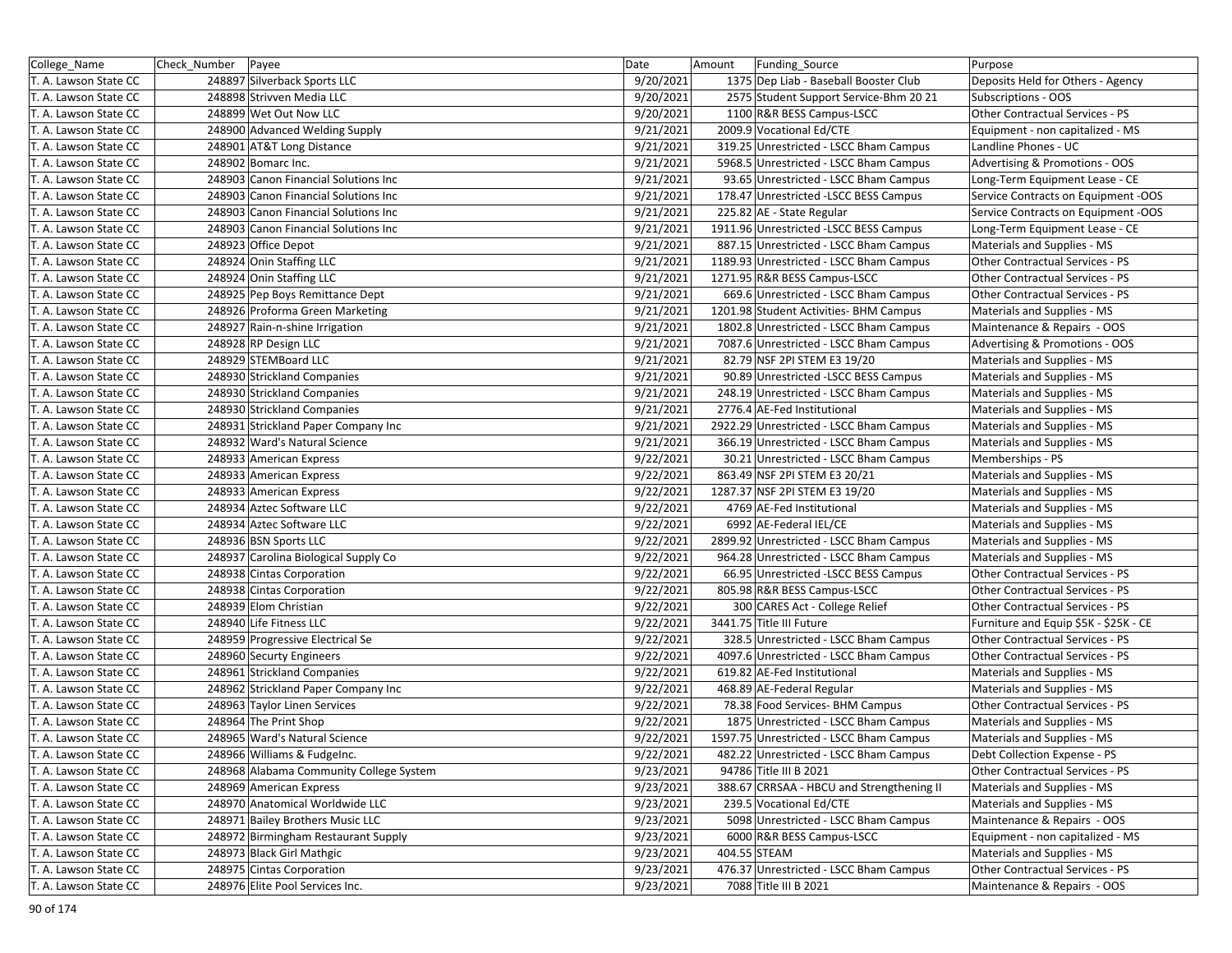| College_Name          | Check Number | Payee                                   | Date      | Amount       | Funding Source                            | Purpose                               |
|-----------------------|--------------|-----------------------------------------|-----------|--------------|-------------------------------------------|---------------------------------------|
| T. A. Lawson State CC |              | 248897 Silverback Sports LLC            | 9/20/2021 |              | 1375 Dep Liab - Baseball Booster Club     | Deposits Held for Others - Agency     |
| T. A. Lawson State CC |              | 248898 Strivven Media LLC               | 9/20/2021 |              | 2575 Student Support Service-Bhm 20 21    | Subscriptions - OOS                   |
| T. A. Lawson State CC |              | 248899 Wet Out Now LLC                  | 9/20/2021 |              | 1100 R&R BESS Campus-LSCC                 | Other Contractual Services - PS       |
| T. A. Lawson State CC |              | 248900 Advanced Welding Supply          | 9/21/2021 |              | 2009.9 Vocational Ed/CTE                  | Equipment - non capitalized - MS      |
| T. A. Lawson State CC |              | 248901 AT&T Long Distance               | 9/21/2021 |              | 319.25 Unrestricted - LSCC Bham Campus    | Landline Phones - UC                  |
| T. A. Lawson State CC |              | 248902 Bomarc Inc.                      | 9/21/2021 |              | 5968.5 Unrestricted - LSCC Bham Campus    | Advertising & Promotions - OOS        |
| T. A. Lawson State CC |              | 248903 Canon Financial Solutions Inc    | 9/21/2021 |              | 93.65 Unrestricted - LSCC Bham Campus     | Long-Term Equipment Lease - CE        |
| T. A. Lawson State CC |              | 248903 Canon Financial Solutions Inc    | 9/21/2021 |              | 178.47 Unrestricted - LSCC BESS Campus    | Service Contracts on Equipment -OOS   |
| T. A. Lawson State CC |              | 248903 Canon Financial Solutions Inc    | 9/21/2021 |              | 225.82 AE - State Regular                 | Service Contracts on Equipment -OOS   |
| T. A. Lawson State CC |              | 248903 Canon Financial Solutions Inc    | 9/21/2021 |              | 1911.96 Unrestricted - LSCC BESS Campus   | Long-Term Equipment Lease - CE        |
| T. A. Lawson State CC |              | 248923 Office Depot                     | 9/21/2021 |              | 887.15 Unrestricted - LSCC Bham Campus    | Materials and Supplies - MS           |
| T. A. Lawson State CC |              | 248924 Onin Staffing LLC                | 9/21/2021 |              | 1189.93 Unrestricted - LSCC Bham Campus   | Other Contractual Services - PS       |
| T. A. Lawson State CC |              | 248924 Onin Staffing LLC                | 9/21/2021 |              | 1271.95 R&R BESS Campus-LSCC              | Other Contractual Services - PS       |
| T. A. Lawson State CC |              | 248925 Pep Boys Remittance Dept         | 9/21/2021 |              | 669.6 Unrestricted - LSCC Bham Campus     | Other Contractual Services - PS       |
| T. A. Lawson State CC |              | 248926 Proforma Green Marketing         | 9/21/2021 |              | 1201.98 Student Activities- BHM Campus    | Materials and Supplies - MS           |
| T. A. Lawson State CC |              | 248927 Rain-n-shine Irrigation          | 9/21/2021 |              | 1802.8 Unrestricted - LSCC Bham Campus    | Maintenance & Repairs - OOS           |
| T. A. Lawson State CC |              | 248928 RP Design LLC                    | 9/21/2021 |              | 7087.6 Unrestricted - LSCC Bham Campus    | Advertising & Promotions - OOS        |
| T. A. Lawson State CC |              | 248929 STEMBoard LLC                    | 9/21/2021 |              | 82.79 NSF 2PI STEM E3 19/20               | Materials and Supplies - MS           |
| T. A. Lawson State CC |              | 248930 Strickland Companies             | 9/21/2021 |              | 90.89 Unrestricted -LSCC BESS Campus      | Materials and Supplies - MS           |
| T. A. Lawson State CC |              | 248930 Strickland Companies             | 9/21/2021 |              | 248.19 Unrestricted - LSCC Bham Campus    | Materials and Supplies - MS           |
| T. A. Lawson State CC |              | 248930 Strickland Companies             | 9/21/2021 |              | 2776.4 AE-Fed Institutional               | Materials and Supplies - MS           |
| T. A. Lawson State CC |              | 248931 Strickland Paper Company Inc     | 9/21/2021 |              | 2922.29 Unrestricted - LSCC Bham Campus   | Materials and Supplies - MS           |
| T. A. Lawson State CC |              | 248932 Ward's Natural Science           | 9/21/2021 |              | 366.19 Unrestricted - LSCC Bham Campus    | Materials and Supplies - MS           |
| T. A. Lawson State CC |              | 248933 American Express                 | 9/22/2021 |              | 30.21 Unrestricted - LSCC Bham Campus     | Memberships - PS                      |
| T. A. Lawson State CC |              | 248933 American Express                 | 9/22/2021 |              | 863.49 NSF 2PI STEM E3 20/21              | Materials and Supplies - MS           |
| T. A. Lawson State CC |              | 248933 American Express                 | 9/22/2021 |              | 1287.37 NSF 2PI STEM E3 19/20             | Materials and Supplies - MS           |
| T. A. Lawson State CC |              | 248934 Aztec Software LLC               | 9/22/2021 |              | 4769 AE-Fed Institutional                 | Materials and Supplies - MS           |
| T. A. Lawson State CC |              | 248934 Aztec Software LLC               | 9/22/2021 |              | 6992 AE-Federal IEL/CE                    | Materials and Supplies - MS           |
| T. A. Lawson State CC |              | 248936 BSN Sports LLC                   | 9/22/2021 |              | 2899.92 Unrestricted - LSCC Bham Campus   | Materials and Supplies - MS           |
| T. A. Lawson State CC |              | 248937 Carolina Biological Supply Co    | 9/22/2021 |              | 964.28 Unrestricted - LSCC Bham Campus    | Materials and Supplies - MS           |
| T. A. Lawson State CC |              | 248938 Cintas Corporation               | 9/22/2021 |              | 66.95 Unrestricted -LSCC BESS Campus      | Other Contractual Services - PS       |
| T. A. Lawson State CC |              | 248938 Cintas Corporation               | 9/22/2021 |              | 805.98 R&R BESS Campus-LSCC               | Other Contractual Services - PS       |
| T. A. Lawson State CC |              | 248939 Elom Christian                   | 9/22/2021 |              | 300 CARES Act - College Relief            | Other Contractual Services - PS       |
| T. A. Lawson State CC |              | 248940 Life Fitness LLC                 | 9/22/2021 |              | 3441.75 Title III Future                  | Furniture and Equip \$5K - \$25K - CE |
| T. A. Lawson State CC |              | 248959 Progressive Electrical Se        | 9/22/2021 |              | 328.5 Unrestricted - LSCC Bham Campus     | Other Contractual Services - PS       |
| T. A. Lawson State CC |              | 248960 Securty Engineers                | 9/22/2021 |              | 4097.6 Unrestricted - LSCC Bham Campus    | Other Contractual Services - PS       |
| T. A. Lawson State CC |              | 248961 Strickland Companies             | 9/22/2021 |              | 619.82 AE-Fed Institutional               | Materials and Supplies - MS           |
| T. A. Lawson State CC |              | 248962 Strickland Paper Company Inc     | 9/22/2021 |              | 468.89 AE-Federal Regular                 | Materials and Supplies - MS           |
| T. A. Lawson State CC |              | 248963 Taylor Linen Services            | 9/22/2021 |              | 78.38 Food Services- BHM Campus           | Other Contractual Services - PS       |
| T. A. Lawson State CC |              | 248964 The Print Shop                   | 9/22/2021 |              | 1875 Unrestricted - LSCC Bham Campus      | Materials and Supplies - MS           |
| T. A. Lawson State CC |              | 248965 Ward's Natural Science           | 9/22/2021 |              | 1597.75 Unrestricted - LSCC Bham Campus   | Materials and Supplies - MS           |
| T. A. Lawson State CC |              | 248966 Williams & Fudgelnc.             | 9/22/2021 |              | 482.22 Unrestricted - LSCC Bham Campus    | Debt Collection Expense - PS          |
| T. A. Lawson State CC |              | 248968 Alabama Community College System | 9/23/2021 |              | 94786 Title III B 2021                    | Other Contractual Services - PS       |
| T. A. Lawson State CC |              | 248969 American Express                 | 9/23/2021 |              | 388.67 CRRSAA - HBCU and Strengthening II | Materials and Supplies - MS           |
| T. A. Lawson State CC |              | 248970 Anatomical Worldwide LLC         | 9/23/2021 |              | 239.5 Vocational Ed/CTE                   | Materials and Supplies - MS           |
| T. A. Lawson State CC |              | 248971 Bailey Brothers Music LLC        | 9/23/2021 |              | 5098 Unrestricted - LSCC Bham Campus      | Maintenance & Repairs - OOS           |
| T. A. Lawson State CC |              | 248972 Birmingham Restaurant Supply     | 9/23/2021 |              | 6000 R&R BESS Campus-LSCC                 | Equipment - non capitalized - MS      |
| T. A. Lawson State CC |              | 248973 Black Girl Mathgic               | 9/23/2021 | 404.55 STEAM |                                           | Materials and Supplies - MS           |
| T. A. Lawson State CC |              | 248975 Cintas Corporation               | 9/23/2021 |              | 476.37 Unrestricted - LSCC Bham Campus    | Other Contractual Services - PS       |
| T. A. Lawson State CC |              | 248976 Elite Pool Services Inc.         | 9/23/2021 |              | 7088 Title III B 2021                     | Maintenance & Repairs - OOS           |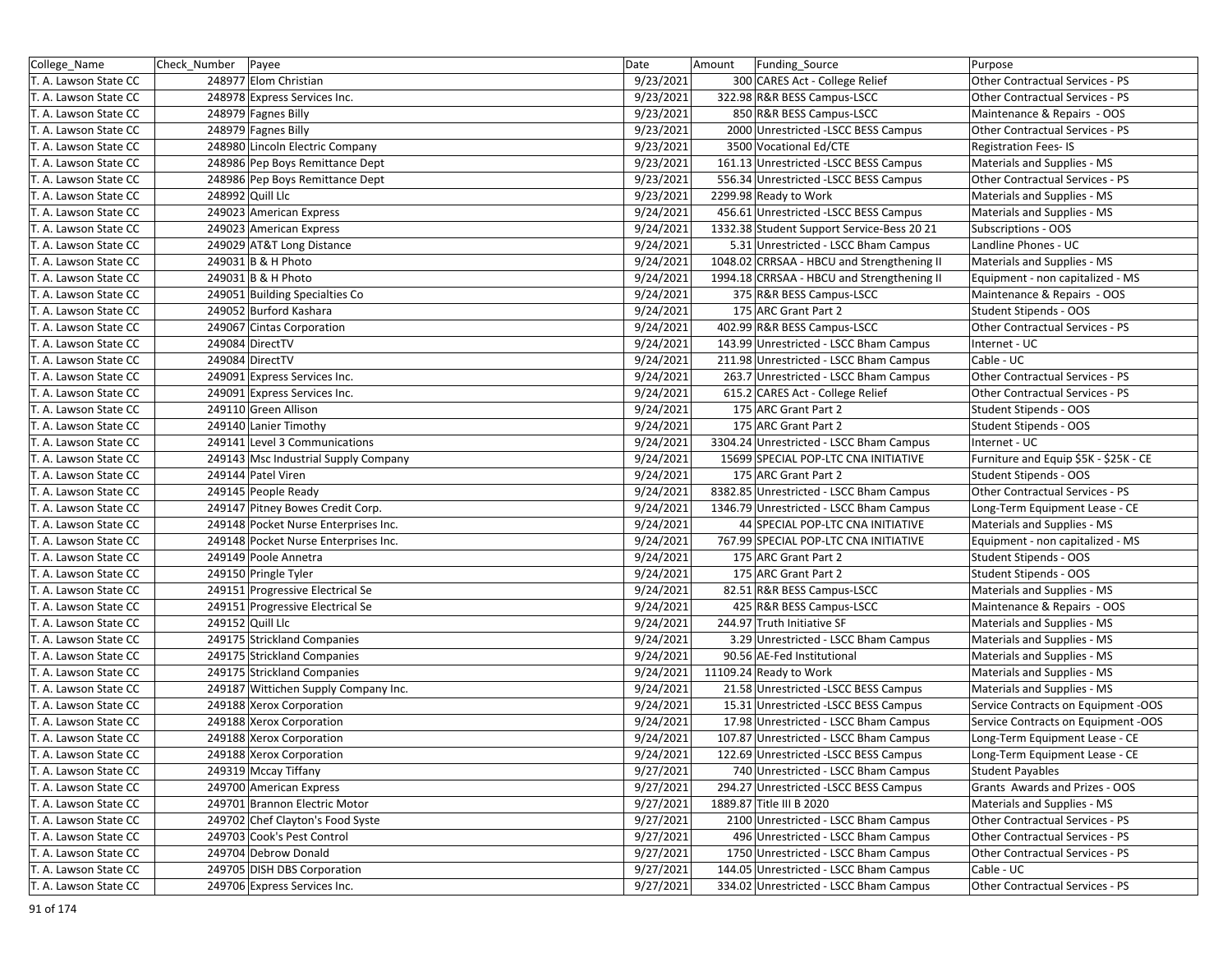| College_Name          | Check_Number Payee |                                      | Date      | Amount<br>Funding_Source                   | Purpose                                |
|-----------------------|--------------------|--------------------------------------|-----------|--------------------------------------------|----------------------------------------|
| T. A. Lawson State CC |                    | 248977 Elom Christian                | 9/23/2021 | 300 CARES Act - College Relief             | Other Contractual Services - PS        |
| T. A. Lawson State CC |                    | 248978 Express Services Inc.         | 9/23/2021 | 322.98 R&R BESS Campus-LSCC                | <b>Other Contractual Services - PS</b> |
| T. A. Lawson State CC |                    | 248979 Fagnes Billy                  | 9/23/2021 | 850 R&R BESS Campus-LSCC                   | Maintenance & Repairs - OOS            |
| T. A. Lawson State CC |                    | 248979 Fagnes Billy                  | 9/23/2021 | 2000 Unrestricted -LSCC BESS Campus        | Other Contractual Services - PS        |
| T. A. Lawson State CC |                    | 248980 Lincoln Electric Company      | 9/23/2021 | 3500 Vocational Ed/CTE                     | <b>Registration Fees-IS</b>            |
| T. A. Lawson State CC |                    | 248986 Pep Boys Remittance Dept      | 9/23/2021 | 161.13 Unrestricted -LSCC BESS Campus      | Materials and Supplies - MS            |
| T. A. Lawson State CC |                    | 248986 Pep Boys Remittance Dept      | 9/23/2021 | 556.34 Unrestricted -LSCC BESS Campus      | Other Contractual Services - PS        |
| T. A. Lawson State CC |                    | 248992 Quill Llc                     | 9/23/2021 | 2299.98 Ready to Work                      | Materials and Supplies - MS            |
| T. A. Lawson State CC |                    | 249023 American Express              | 9/24/2021 | 456.61 Unrestricted -LSCC BESS Campus      | Materials and Supplies - MS            |
| T. A. Lawson State CC |                    | 249023 American Express              | 9/24/2021 | 1332.38 Student Support Service-Bess 20 21 | Subscriptions - OOS                    |
| T. A. Lawson State CC |                    | 249029 AT&T Long Distance            | 9/24/2021 | 5.31 Unrestricted - LSCC Bham Campus       | Landline Phones - UC                   |
| T. A. Lawson State CC |                    | 249031 B & H Photo                   | 9/24/2021 | 1048.02 CRRSAA - HBCU and Strengthening II | Materials and Supplies - MS            |
| T. A. Lawson State CC |                    | 249031 B & H Photo                   | 9/24/2021 | 1994.18 CRRSAA - HBCU and Strengthening II | Equipment - non capitalized - MS       |
| T. A. Lawson State CC |                    | 249051 Building Specialties Co       | 9/24/2021 | 375 R&R BESS Campus-LSCC                   | Maintenance & Repairs - OOS            |
| T. A. Lawson State CC |                    | 249052 Burford Kashara               | 9/24/2021 | 175 ARC Grant Part 2                       | Student Stipends - OOS                 |
| T. A. Lawson State CC |                    | 249067 Cintas Corporation            | 9/24/2021 | 402.99 R&R BESS Campus-LSCC                | <b>Other Contractual Services - PS</b> |
| T. A. Lawson State CC |                    | 249084 DirectTV                      | 9/24/2021 | 143.99 Unrestricted - LSCC Bham Campus     | Internet - UC                          |
| T. A. Lawson State CC |                    | 249084 DirectTV                      | 9/24/2021 | 211.98 Unrestricted - LSCC Bham Campus     | Cable - UC                             |
| T. A. Lawson State CC |                    | 249091 Express Services Inc.         | 9/24/2021 | 263.7 Unrestricted - LSCC Bham Campus      | Other Contractual Services - PS        |
| T. A. Lawson State CC |                    | 249091 Express Services Inc.         | 9/24/2021 | 615.2 CARES Act - College Relief           | Other Contractual Services - PS        |
| T. A. Lawson State CC |                    | 249110 Green Allison                 | 9/24/2021 | 175 ARC Grant Part 2                       | Student Stipends - OOS                 |
| T. A. Lawson State CC |                    | 249140 Lanier Timothy                | 9/24/2021 | 175 ARC Grant Part 2                       | Student Stipends - OOS                 |
| T. A. Lawson State CC |                    | 249141 Level 3 Communications        | 9/24/2021 | 3304.24 Unrestricted - LSCC Bham Campus    | Internet - UC                          |
| T. A. Lawson State CC |                    | 249143 Msc Industrial Supply Company | 9/24/2021 | 15699 SPECIAL POP-LTC CNA INITIATIVE       | Furniture and Equip \$5K - \$25K - CE  |
| T. A. Lawson State CC |                    | 249144 Patel Viren                   | 9/24/2021 | 175 ARC Grant Part 2                       | Student Stipends - OOS                 |
| T. A. Lawson State CC |                    | 249145 People Ready                  | 9/24/2021 | 8382.85 Unrestricted - LSCC Bham Campus    | Other Contractual Services - PS        |
| T. A. Lawson State CC |                    | 249147 Pitney Bowes Credit Corp.     | 9/24/2021 | 1346.79 Unrestricted - LSCC Bham Campus    | Long-Term Equipment Lease - CE         |
| T. A. Lawson State CC |                    | 249148 Pocket Nurse Enterprises Inc. | 9/24/2021 | 44 SPECIAL POP-LTC CNA INITIATIVE          | Materials and Supplies - MS            |
| T. A. Lawson State CC |                    | 249148 Pocket Nurse Enterprises Inc. | 9/24/2021 | 767.99 SPECIAL POP-LTC CNA INITIATIVE      | Equipment - non capitalized - MS       |
| T. A. Lawson State CC |                    | 249149 Poole Annetra                 | 9/24/2021 | 175 ARC Grant Part 2                       | Student Stipends - OOS                 |
| T. A. Lawson State CC |                    | 249150 Pringle Tyler                 | 9/24/2021 | 175 ARC Grant Part 2                       | Student Stipends - OOS                 |
| T. A. Lawson State CC |                    | 249151 Progressive Electrical Se     | 9/24/2021 | 82.51 R&R BESS Campus-LSCC                 | Materials and Supplies - MS            |
| T. A. Lawson State CC |                    | 249151 Progressive Electrical Se     | 9/24/2021 | 425 R&R BESS Campus-LSCC                   | Maintenance & Repairs - OOS            |
| T. A. Lawson State CC |                    | 249152 Quill Llc                     | 9/24/2021 | 244.97 Truth Initiative SF                 | Materials and Supplies - MS            |
| T. A. Lawson State CC |                    | 249175 Strickland Companies          | 9/24/2021 | 3.29 Unrestricted - LSCC Bham Campus       | Materials and Supplies - MS            |
| T. A. Lawson State CC |                    | 249175 Strickland Companies          | 9/24/2021 | 90.56 AE-Fed Institutional                 | Materials and Supplies - MS            |
| T. A. Lawson State CC |                    | 249175 Strickland Companies          | 9/24/2021 | 11109.24 Ready to Work                     | Materials and Supplies - MS            |
| T. A. Lawson State CC |                    | 249187 Wittichen Supply Company Inc. | 9/24/2021 | 21.58 Unrestricted -LSCC BESS Campus       | Materials and Supplies - MS            |
| T. A. Lawson State CC |                    | 249188 Xerox Corporation             | 9/24/2021 | 15.31 Unrestricted -LSCC BESS Campus       | Service Contracts on Equipment -OOS    |
| T. A. Lawson State CC |                    | 249188 Xerox Corporation             | 9/24/2021 | 17.98 Unrestricted - LSCC Bham Campus      | Service Contracts on Equipment -OOS    |
| T. A. Lawson State CC |                    | 249188 Xerox Corporation             | 9/24/2021 | 107.87 Unrestricted - LSCC Bham Campus     | Long-Term Equipment Lease - CE         |
| T. A. Lawson State CC |                    | 249188 Xerox Corporation             | 9/24/2021 | 122.69 Unrestricted -LSCC BESS Campus      | Long-Term Equipment Lease - CE         |
| T. A. Lawson State CC |                    | 249319 Mccay Tiffany                 | 9/27/2021 | 740 Unrestricted - LSCC Bham Campus        | <b>Student Payables</b>                |
| T. A. Lawson State CC |                    | 249700 American Express              | 9/27/2021 | 294.27 Unrestricted -LSCC BESS Campus      | Grants Awards and Prizes - OOS         |
| T. A. Lawson State CC |                    | 249701 Brannon Electric Motor        | 9/27/2021 | 1889.87 Title III B 2020                   | Materials and Supplies - MS            |
| T. A. Lawson State CC |                    | 249702 Chef Clayton's Food Syste     | 9/27/2021 | 2100 Unrestricted - LSCC Bham Campus       | Other Contractual Services - PS        |
| T. A. Lawson State CC |                    | 249703 Cook's Pest Control           | 9/27/2021 | 496 Unrestricted - LSCC Bham Campus        | Other Contractual Services - PS        |
| T. A. Lawson State CC |                    | 249704 Debrow Donald                 | 9/27/2021 | 1750 Unrestricted - LSCC Bham Campus       | Other Contractual Services - PS        |
| T. A. Lawson State CC |                    | 249705 DISH DBS Corporation          | 9/27/2021 | 144.05 Unrestricted - LSCC Bham Campus     | Cable - UC                             |
| T. A. Lawson State CC |                    | 249706 Express Services Inc.         | 9/27/2021 | 334.02 Unrestricted - LSCC Bham Campus     | Other Contractual Services - PS        |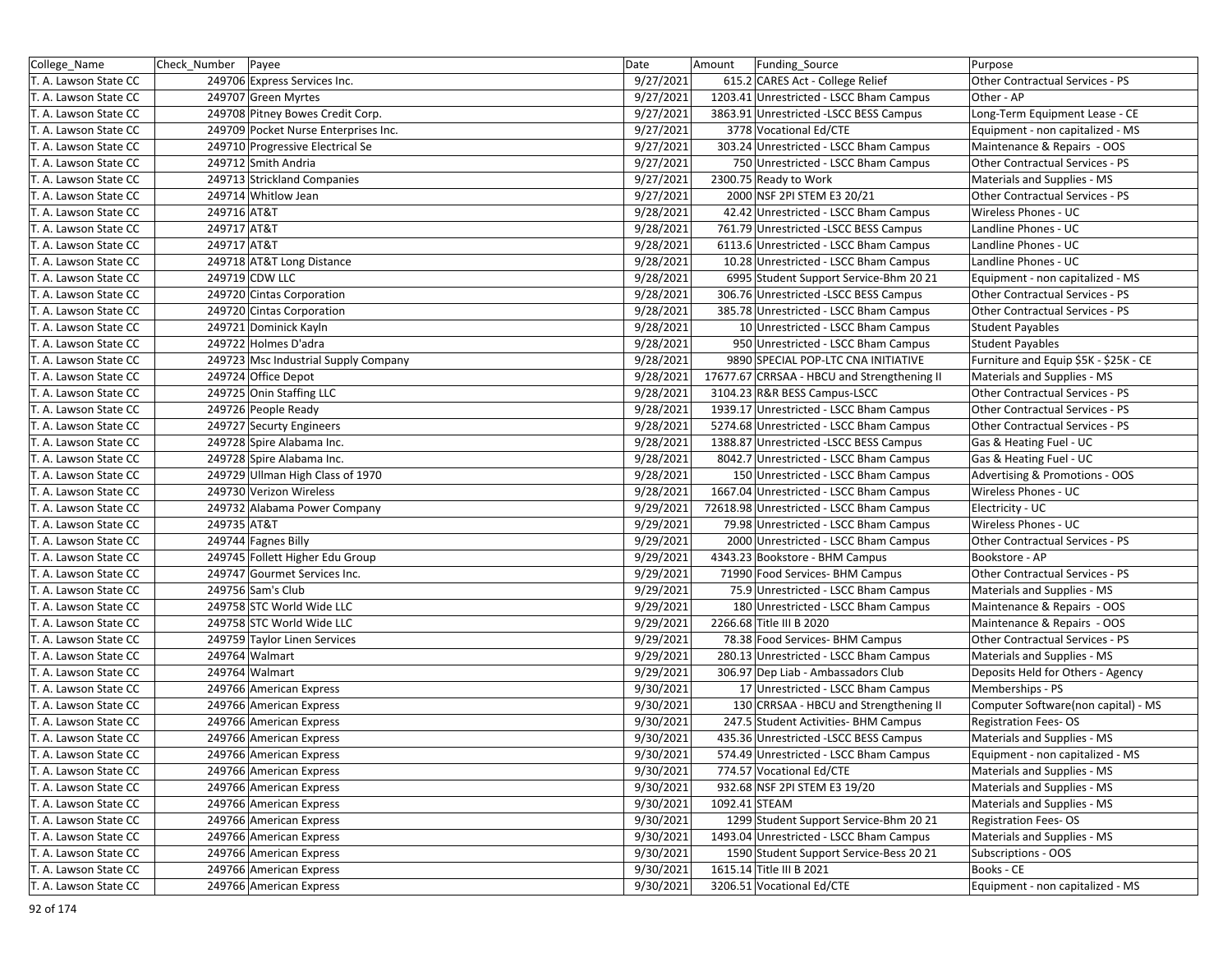| College_Name          | Check_Number Payee |                                      | Date      | Amount        | Funding Source                              | Purpose                                |
|-----------------------|--------------------|--------------------------------------|-----------|---------------|---------------------------------------------|----------------------------------------|
| T. A. Lawson State CC |                    | 249706 Express Services Inc.         | 9/27/2021 |               | 615.2 CARES Act - College Relief            | Other Contractual Services - PS        |
| T. A. Lawson State CC |                    | 249707 Green Myrtes                  | 9/27/2021 |               | 1203.41 Unrestricted - LSCC Bham Campus     | Other - AP                             |
| T. A. Lawson State CC |                    | 249708 Pitney Bowes Credit Corp.     | 9/27/2021 |               | 3863.91 Unrestricted -LSCC BESS Campus      | Long-Term Equipment Lease - CE         |
| T. A. Lawson State CC |                    | 249709 Pocket Nurse Enterprises Inc. | 9/27/2021 |               | 3778 Vocational Ed/CTE                      | Equipment - non capitalized - MS       |
| T. A. Lawson State CC |                    | 249710 Progressive Electrical Se     | 9/27/2021 |               | 303.24 Unrestricted - LSCC Bham Campus      | Maintenance & Repairs - OOS            |
| T. A. Lawson State CC |                    | 249712 Smith Andria                  | 9/27/2021 |               | 750 Unrestricted - LSCC Bham Campus         | Other Contractual Services - PS        |
| T. A. Lawson State CC |                    | 249713 Strickland Companies          | 9/27/2021 |               | 2300.75 Ready to Work                       | Materials and Supplies - MS            |
| T. A. Lawson State CC |                    | 249714 Whitlow Jean                  | 9/27/2021 |               | 2000 NSF 2PI STEM E3 20/21                  | Other Contractual Services - PS        |
| T. A. Lawson State CC | 249716 AT&T        |                                      | 9/28/2021 |               | 42.42 Unrestricted - LSCC Bham Campus       | Wireless Phones - UC                   |
| T. A. Lawson State CC | 249717 AT&T        |                                      | 9/28/2021 |               | 761.79 Unrestricted -LSCC BESS Campus       | Landline Phones - UC                   |
| T. A. Lawson State CC | 249717 AT&T        |                                      | 9/28/2021 |               | 6113.6 Unrestricted - LSCC Bham Campus      | Landline Phones - UC                   |
| T. A. Lawson State CC |                    | 249718 AT&T Long Distance            | 9/28/2021 |               | 10.28 Unrestricted - LSCC Bham Campus       | Landline Phones - UC                   |
| T. A. Lawson State CC |                    | 249719 CDW LLC                       | 9/28/2021 |               | 6995 Student Support Service-Bhm 20 21      | Equipment - non capitalized - MS       |
| T. A. Lawson State CC |                    | 249720 Cintas Corporation            | 9/28/2021 |               | 306.76 Unrestricted -LSCC BESS Campus       | Other Contractual Services - PS        |
| T. A. Lawson State CC |                    | 249720 Cintas Corporation            | 9/28/2021 |               | 385.78 Unrestricted - LSCC Bham Campus      | Other Contractual Services - PS        |
| T. A. Lawson State CC |                    | 249721 Dominick Kayln                | 9/28/2021 |               | 10 Unrestricted - LSCC Bham Campus          | <b>Student Payables</b>                |
| T. A. Lawson State CC |                    | 249722 Holmes D'adra                 | 9/28/2021 |               | 950 Unrestricted - LSCC Bham Campus         | <b>Student Payables</b>                |
| T. A. Lawson State CC |                    | 249723 Msc Industrial Supply Company | 9/28/2021 |               | 9890 SPECIAL POP-LTC CNA INITIATIVE         | Furniture and Equip \$5K - \$25K - CE  |
| T. A. Lawson State CC |                    | 249724 Office Depot                  | 9/28/2021 |               | 17677.67 CRRSAA - HBCU and Strengthening II | Materials and Supplies - MS            |
| T. A. Lawson State CC |                    | 249725 Onin Staffing LLC             | 9/28/2021 |               | 3104.23 R&R BESS Campus-LSCC                | <b>Other Contractual Services - PS</b> |
| T. A. Lawson State CC |                    | 249726 People Ready                  | 9/28/2021 |               | 1939.17 Unrestricted - LSCC Bham Campus     | Other Contractual Services - PS        |
| T. A. Lawson State CC |                    | 249727 Securty Engineers             | 9/28/2021 |               | 5274.68 Unrestricted - LSCC Bham Campus     | Other Contractual Services - PS        |
| T. A. Lawson State CC |                    | 249728 Spire Alabama Inc.            | 9/28/2021 |               | 1388.87 Unrestricted -LSCC BESS Campus      | Gas & Heating Fuel - UC                |
| T. A. Lawson State CC |                    | 249728 Spire Alabama Inc.            | 9/28/2021 |               | 8042.7 Unrestricted - LSCC Bham Campus      | Gas & Heating Fuel - UC                |
| T. A. Lawson State CC |                    | 249729 Ullman High Class of 1970     | 9/28/2021 |               | 150 Unrestricted - LSCC Bham Campus         | Advertising & Promotions - OOS         |
| T. A. Lawson State CC |                    | 249730 Verizon Wireless              | 9/28/2021 |               | 1667.04 Unrestricted - LSCC Bham Campus     | Wireless Phones - UC                   |
| T. A. Lawson State CC |                    | 249732 Alabama Power Company         | 9/29/2021 |               | 72618.98 Unrestricted - LSCC Bham Campus    | Electricity - UC                       |
| T. A. Lawson State CC | 249735 AT&T        |                                      | 9/29/2021 |               | 79.98 Unrestricted - LSCC Bham Campus       | Wireless Phones - UC                   |
| T. A. Lawson State CC |                    | 249744 Fagnes Billy                  | 9/29/2021 |               | 2000 Unrestricted - LSCC Bham Campus        | Other Contractual Services - PS        |
| T. A. Lawson State CC |                    | 249745 Follett Higher Edu Group      | 9/29/2021 |               | 4343.23 Bookstore - BHM Campus              | Bookstore - AP                         |
| T. A. Lawson State CC |                    | 249747 Gourmet Services Inc.         | 9/29/2021 |               | 71990 Food Services- BHM Campus             | Other Contractual Services - PS        |
| T. A. Lawson State CC |                    | 249756 Sam's Club                    | 9/29/2021 |               | 75.9 Unrestricted - LSCC Bham Campus        | Materials and Supplies - MS            |
| T. A. Lawson State CC |                    | 249758 STC World Wide LLC            | 9/29/2021 |               | 180 Unrestricted - LSCC Bham Campus         | Maintenance & Repairs - OOS            |
| T. A. Lawson State CC |                    | 249758 STC World Wide LLC            | 9/29/2021 |               | 2266.68 Title III B 2020                    | Maintenance & Repairs - OOS            |
| T. A. Lawson State CC |                    | 249759 Taylor Linen Services         | 9/29/2021 |               | 78.38 Food Services- BHM Campus             | Other Contractual Services - PS        |
| T. A. Lawson State CC |                    | 249764 Walmart                       | 9/29/2021 |               | 280.13 Unrestricted - LSCC Bham Campus      | Materials and Supplies - MS            |
| T. A. Lawson State CC |                    | 249764 Walmart                       | 9/29/2021 |               | 306.97 Dep Liab - Ambassadors Club          | Deposits Held for Others - Agency      |
| T. A. Lawson State CC |                    | 249766 American Express              | 9/30/2021 |               | 17 Unrestricted - LSCC Bham Campus          | Memberships - PS                       |
| T. A. Lawson State CC |                    | 249766 American Express              | 9/30/2021 |               | 130 CRRSAA - HBCU and Strengthening II      | Computer Software(non capital) - MS    |
| T. A. Lawson State CC |                    | 249766 American Express              | 9/30/2021 |               | 247.5 Student Activities- BHM Campus        | <b>Registration Fees-OS</b>            |
| T. A. Lawson State CC |                    | 249766 American Express              | 9/30/2021 |               | 435.36 Unrestricted -LSCC BESS Campus       | Materials and Supplies - MS            |
| T. A. Lawson State CC |                    | 249766 American Express              | 9/30/2021 |               | 574.49 Unrestricted - LSCC Bham Campus      | Equipment - non capitalized - MS       |
| T. A. Lawson State CC |                    | 249766 American Express              | 9/30/2021 |               | 774.57 Vocational Ed/CTE                    | Materials and Supplies - MS            |
| T. A. Lawson State CC |                    | 249766 American Express              | 9/30/2021 |               | 932.68 NSF 2PI STEM E3 19/20                | Materials and Supplies - MS            |
| T. A. Lawson State CC |                    | 249766 American Express              | 9/30/2021 | 1092.41 STEAM |                                             | Materials and Supplies - MS            |
| T. A. Lawson State CC |                    | 249766 American Express              | 9/30/2021 |               | 1299 Student Support Service-Bhm 20 21      | <b>Registration Fees-OS</b>            |
| T. A. Lawson State CC |                    | 249766 American Express              | 9/30/2021 |               | 1493.04 Unrestricted - LSCC Bham Campus     | Materials and Supplies - MS            |
| T. A. Lawson State CC |                    | 249766 American Express              | 9/30/2021 |               | 1590 Student Support Service-Bess 20 21     | Subscriptions - OOS                    |
| T. A. Lawson State CC |                    | 249766 American Express              | 9/30/2021 |               | 1615.14 Title III B 2021                    | Books - CE                             |
| T. A. Lawson State CC |                    | 249766 American Express              | 9/30/2021 |               | 3206.51 Vocational Ed/CTE                   | Equipment - non capitalized - MS       |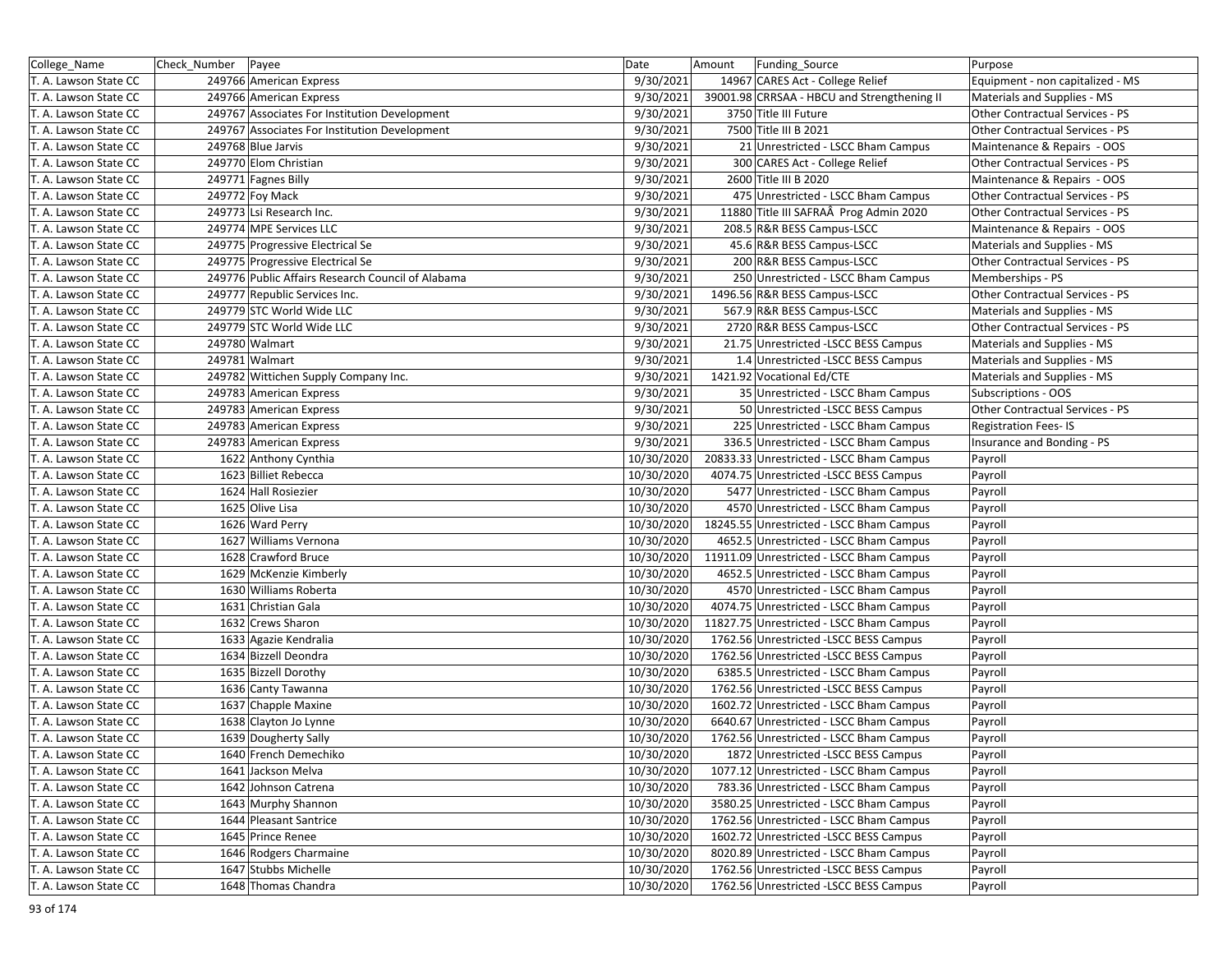| College_Name          | Check Number | Payee                                             | Date       | Amount | Funding Source                              | Purpose                                |
|-----------------------|--------------|---------------------------------------------------|------------|--------|---------------------------------------------|----------------------------------------|
| T. A. Lawson State CC |              | 249766 American Express                           | 9/30/2021  |        | 14967 CARES Act - College Relief            | Equipment - non capitalized - MS       |
| T. A. Lawson State CC |              | 249766 American Express                           | 9/30/2021  |        | 39001.98 CRRSAA - HBCU and Strengthening II | Materials and Supplies - MS            |
| T. A. Lawson State CC |              | 249767 Associates For Institution Development     | 9/30/2021  |        | 3750 Title III Future                       | Other Contractual Services - PS        |
| T. A. Lawson State CC |              | 249767 Associates For Institution Development     | 9/30/2021  |        | 7500 Title III B 2021                       | Other Contractual Services - PS        |
| T. A. Lawson State CC |              | 249768 Blue Jarvis                                | 9/30/2021  |        | 21 Unrestricted - LSCC Bham Campus          | Maintenance & Repairs - OOS            |
| T. A. Lawson State CC |              | 249770 Elom Christian                             | 9/30/2021  |        | 300 CARES Act - College Relief              | Other Contractual Services - PS        |
| T. A. Lawson State CC |              | 249771 Fagnes Billy                               | 9/30/2021  |        | 2600 Title III B 2020                       | Maintenance & Repairs - OOS            |
| T. A. Lawson State CC |              | 249772 Foy Mack                                   | 9/30/2021  |        | 475 Unrestricted - LSCC Bham Campus         | Other Contractual Services - PS        |
| T. A. Lawson State CC |              | 249773 Lsi Research Inc.                          | 9/30/2021  |        | 11880 Title III SAFRAÂ Prog Admin 2020      | Other Contractual Services - PS        |
| T. A. Lawson State CC |              | 249774 MPE Services LLC                           | 9/30/2021  |        | 208.5 R&R BESS Campus-LSCC                  | Maintenance & Repairs - OOS            |
| T. A. Lawson State CC |              | 249775 Progressive Electrical Se                  | 9/30/2021  |        | 45.6 R&R BESS Campus-LSCC                   | Materials and Supplies - MS            |
| T. A. Lawson State CC |              | 249775 Progressive Electrical Se                  | 9/30/2021  |        | 200 R&R BESS Campus-LSCC                    | Other Contractual Services - PS        |
| T. A. Lawson State CC |              | 249776 Public Affairs Research Council of Alabama | 9/30/2021  |        | 250 Unrestricted - LSCC Bham Campus         | Memberships - PS                       |
| T. A. Lawson State CC |              | 249777 Republic Services Inc.                     | 9/30/2021  |        | 1496.56 R&R BESS Campus-LSCC                | Other Contractual Services - PS        |
| T. A. Lawson State CC |              | 249779 STC World Wide LLC                         | 9/30/2021  |        | 567.9 R&R BESS Campus-LSCC                  | Materials and Supplies - MS            |
| T. A. Lawson State CC |              | 249779 STC World Wide LLC                         | 9/30/2021  |        | 2720 R&R BESS Campus-LSCC                   | Other Contractual Services - PS        |
| T. A. Lawson State CC |              | 249780 Walmart                                    | 9/30/2021  |        | 21.75 Unrestricted -LSCC BESS Campus        | Materials and Supplies - MS            |
| T. A. Lawson State CC |              | 249781 Walmart                                    | 9/30/2021  |        | 1.4 Unrestricted -LSCC BESS Campus          | Materials and Supplies - MS            |
| T. A. Lawson State CC |              | 249782 Wittichen Supply Company Inc.              | 9/30/2021  |        | 1421.92 Vocational Ed/CTE                   | Materials and Supplies - MS            |
| T. A. Lawson State CC |              | 249783 American Express                           | 9/30/2021  |        | 35 Unrestricted - LSCC Bham Campus          | Subscriptions - OOS                    |
| T. A. Lawson State CC |              | 249783 American Express                           | 9/30/2021  |        | 50 Unrestricted -LSCC BESS Campus           | <b>Other Contractual Services - PS</b> |
| T. A. Lawson State CC |              | 249783 American Express                           | 9/30/2021  |        | 225 Unrestricted - LSCC Bham Campus         | <b>Registration Fees-IS</b>            |
| T. A. Lawson State CC |              | 249783 American Express                           | 9/30/2021  |        | 336.5 Unrestricted - LSCC Bham Campus       | Insurance and Bonding - PS             |
| T. A. Lawson State CC |              | 1622 Anthony Cynthia                              | 10/30/2020 |        | 20833.33 Unrestricted - LSCC Bham Campus    | Payroll                                |
| T. A. Lawson State CC |              | 1623 Billiet Rebecca                              | 10/30/2020 |        | 4074.75 Unrestricted -LSCC BESS Campus      | Payroll                                |
| T. A. Lawson State CC |              | 1624 Hall Rosiezier                               | 10/30/2020 |        | 5477 Unrestricted - LSCC Bham Campus        | Payroll                                |
| T. A. Lawson State CC |              | 1625 Olive Lisa                                   | 10/30/2020 |        | 4570 Unrestricted - LSCC Bham Campus        | Payroll                                |
| T. A. Lawson State CC |              | 1626 Ward Perry                                   | 10/30/2020 |        | 18245.55 Unrestricted - LSCC Bham Campus    | Payroll                                |
| T. A. Lawson State CC |              | 1627 Williams Vernona                             | 10/30/2020 |        | 4652.5 Unrestricted - LSCC Bham Campus      | Payroll                                |
| T. A. Lawson State CC |              | 1628 Crawford Bruce                               | 10/30/2020 |        | 11911.09 Unrestricted - LSCC Bham Campus    | Payroll                                |
| T. A. Lawson State CC |              | 1629 McKenzie Kimberly                            | 10/30/2020 |        | 4652.5 Unrestricted - LSCC Bham Campus      | Payroll                                |
| T. A. Lawson State CC |              | 1630 Williams Roberta                             | 10/30/2020 |        | 4570 Unrestricted - LSCC Bham Campus        | Payroll                                |
| T. A. Lawson State CC |              | 1631 Christian Gala                               | 10/30/2020 |        | 4074.75 Unrestricted - LSCC Bham Campus     | Payroll                                |
| T. A. Lawson State CC |              | 1632 Crews Sharon                                 | 10/30/2020 |        | 11827.75 Unrestricted - LSCC Bham Campus    | Payroll                                |
| T. A. Lawson State CC |              | 1633 Agazie Kendralia                             | 10/30/2020 |        | 1762.56 Unrestricted -LSCC BESS Campus      | Payroll                                |
| T. A. Lawson State CC |              | 1634 Bizzell Deondra                              | 10/30/2020 |        | 1762.56 Unrestricted -LSCC BESS Campus      | Payroll                                |
| T. A. Lawson State CC |              | 1635 Bizzell Dorothy                              | 10/30/2020 |        | 6385.5 Unrestricted - LSCC Bham Campus      | Payroll                                |
| T. A. Lawson State CC |              | 1636 Canty Tawanna                                | 10/30/2020 |        | 1762.56 Unrestricted -LSCC BESS Campus      | Payroll                                |
| T. A. Lawson State CC |              | 1637 Chapple Maxine                               | 10/30/2020 |        | 1602.72 Unrestricted - LSCC Bham Campus     | Payroll                                |
| T. A. Lawson State CC |              | 1638 Clayton Jo Lynne                             | 10/30/2020 |        | 6640.67 Unrestricted - LSCC Bham Campus     | Payroll                                |
| T. A. Lawson State CC |              | 1639 Dougherty Sally                              | 10/30/2020 |        | 1762.56 Unrestricted - LSCC Bham Campus     | Payroll                                |
| T. A. Lawson State CC |              | 1640 French Demechiko                             | 10/30/2020 |        | 1872 Unrestricted -LSCC BESS Campus         | Payroll                                |
| T. A. Lawson State CC |              | 1641 Jackson Melva                                | 10/30/2020 |        | 1077.12 Unrestricted - LSCC Bham Campus     | Payroll                                |
| T. A. Lawson State CC |              | 1642 Johnson Catrena                              | 10/30/2020 |        | 783.36 Unrestricted - LSCC Bham Campus      | Payroll                                |
| T. A. Lawson State CC |              | 1643 Murphy Shannon                               | 10/30/2020 |        | 3580.25 Unrestricted - LSCC Bham Campus     | Payroll                                |
| T. A. Lawson State CC |              | 1644 Pleasant Santrice                            | 10/30/2020 |        | 1762.56 Unrestricted - LSCC Bham Campus     | Payroll                                |
| T. A. Lawson State CC |              | 1645 Prince Renee                                 | 10/30/2020 |        | 1602.72 Unrestricted -LSCC BESS Campus      | Payroll                                |
| T. A. Lawson State CC |              | 1646 Rodgers Charmaine                            | 10/30/2020 |        | 8020.89 Unrestricted - LSCC Bham Campus     | Payroll                                |
| T. A. Lawson State CC |              | 1647 Stubbs Michelle                              | 10/30/2020 |        | 1762.56 Unrestricted -LSCC BESS Campus      | Payroll                                |
| T. A. Lawson State CC |              | 1648 Thomas Chandra                               | 10/30/2020 |        | 1762.56 Unrestricted -LSCC BESS Campus      | Payroll                                |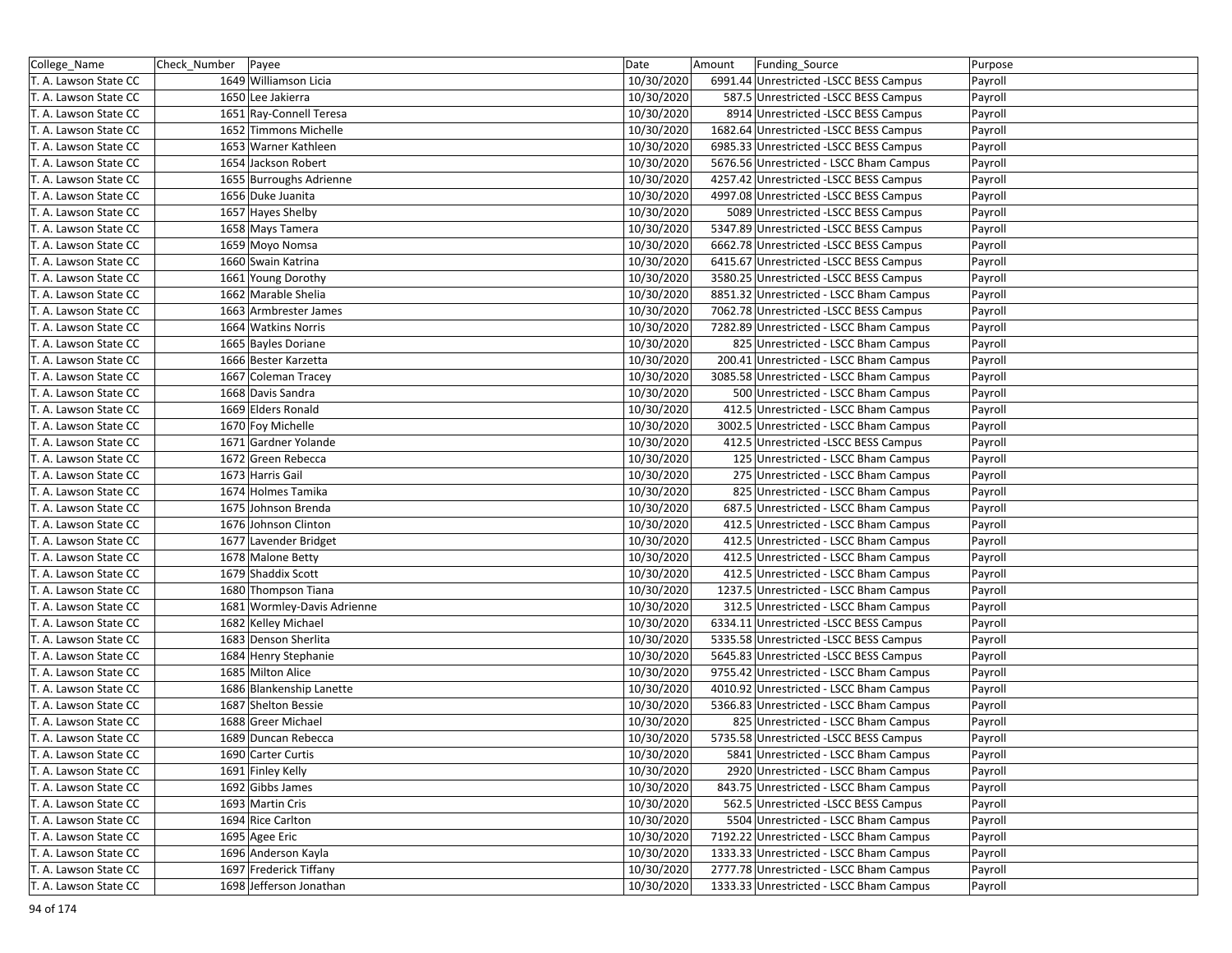| College_Name          | Check_Number   Payee |                             | Date       | Amount | Funding_Source                          | Purpose |
|-----------------------|----------------------|-----------------------------|------------|--------|-----------------------------------------|---------|
| T. A. Lawson State CC |                      | 1649 Williamson Licia       | 10/30/2020 |        | 6991.44 Unrestricted -LSCC BESS Campus  | Payroll |
| T. A. Lawson State CC |                      | 1650 Lee Jakierra           | 10/30/2020 |        | 587.5 Unrestricted -LSCC BESS Campus    | Payroll |
| T. A. Lawson State CC |                      | 1651 Ray-Connell Teresa     | 10/30/2020 |        | 8914 Unrestricted -LSCC BESS Campus     | Payroll |
| T. A. Lawson State CC |                      | 1652 Timmons Michelle       | 10/30/2020 |        | 1682.64 Unrestricted -LSCC BESS Campus  | Payroll |
| T. A. Lawson State CC |                      | 1653 Warner Kathleen        | 10/30/2020 |        | 6985.33 Unrestricted -LSCC BESS Campus  | Payroll |
| T. A. Lawson State CC |                      | 1654 Jackson Robert         | 10/30/2020 |        | 5676.56 Unrestricted - LSCC Bham Campus | Payroll |
| T. A. Lawson State CC |                      | 1655 Burroughs Adrienne     | 10/30/2020 |        | 4257.42 Unrestricted - LSCC BESS Campus | Payroll |
| T. A. Lawson State CC |                      | 1656 Duke Juanita           | 10/30/2020 |        | 4997.08 Unrestricted -LSCC BESS Campus  | Payroll |
| T. A. Lawson State CC |                      | 1657 Hayes Shelby           | 10/30/2020 |        | 5089 Unrestricted -LSCC BESS Campus     | Payroll |
| T. A. Lawson State CC |                      | 1658 Mays Tamera            | 10/30/2020 |        | 5347.89 Unrestricted -LSCC BESS Campus  | Payroll |
| T. A. Lawson State CC |                      | 1659 Moyo Nomsa             | 10/30/2020 |        | 6662.78 Unrestricted -LSCC BESS Campus  | Payroll |
| T. A. Lawson State CC |                      | 1660 Swain Katrina          | 10/30/2020 |        | 6415.67 Unrestricted -LSCC BESS Campus  | Payroll |
| T. A. Lawson State CC |                      | 1661 Young Dorothy          | 10/30/2020 |        | 3580.25 Unrestricted - LSCC BESS Campus | Payroll |
| T. A. Lawson State CC |                      | 1662 Marable Shelia         | 10/30/2020 |        | 8851.32 Unrestricted - LSCC Bham Campus | Payroll |
| T. A. Lawson State CC |                      | 1663 Armbrester James       | 10/30/2020 |        | 7062.78 Unrestricted -LSCC BESS Campus  | Payroll |
| T. A. Lawson State CC |                      | 1664 Watkins Norris         | 10/30/2020 |        | 7282.89 Unrestricted - LSCC Bham Campus | Payroll |
| T. A. Lawson State CC |                      | 1665 Bayles Doriane         | 10/30/2020 |        | 825 Unrestricted - LSCC Bham Campus     | Payroll |
| T. A. Lawson State CC |                      | 1666 Bester Karzetta        | 10/30/2020 |        | 200.41 Unrestricted - LSCC Bham Campus  | Payroll |
| T. A. Lawson State CC |                      | 1667 Coleman Tracey         | 10/30/2020 |        | 3085.58 Unrestricted - LSCC Bham Campus | Payroll |
| T. A. Lawson State CC |                      | 1668 Davis Sandra           | 10/30/2020 |        | 500 Unrestricted - LSCC Bham Campus     | Payroll |
| T. A. Lawson State CC |                      | 1669 Elders Ronald          | 10/30/2020 |        | 412.5 Unrestricted - LSCC Bham Campus   | Payroll |
| T. A. Lawson State CC |                      | 1670 Foy Michelle           | 10/30/2020 |        | 3002.5 Unrestricted - LSCC Bham Campus  | Payroll |
| T. A. Lawson State CC |                      | 1671 Gardner Yolande        | 10/30/2020 |        | 412.5 Unrestricted -LSCC BESS Campus    | Payroll |
| T. A. Lawson State CC |                      | 1672 Green Rebecca          | 10/30/2020 |        | 125 Unrestricted - LSCC Bham Campus     | Payroll |
| T. A. Lawson State CC |                      | 1673 Harris Gail            | 10/30/2020 |        | 275 Unrestricted - LSCC Bham Campus     | Payroll |
| T. A. Lawson State CC |                      | 1674 Holmes Tamika          | 10/30/2020 |        | 825 Unrestricted - LSCC Bham Campus     | Payroll |
| T. A. Lawson State CC |                      | 1675 Johnson Brenda         | 10/30/2020 |        | 687.5 Unrestricted - LSCC Bham Campus   | Payroll |
| T. A. Lawson State CC |                      | 1676 Johnson Clinton        | 10/30/2020 |        | 412.5 Unrestricted - LSCC Bham Campus   | Payroll |
| T. A. Lawson State CC |                      | 1677 Lavender Bridget       | 10/30/2020 |        | 412.5 Unrestricted - LSCC Bham Campus   | Payroll |
| T. A. Lawson State CC |                      | 1678 Malone Betty           | 10/30/2020 |        | 412.5 Unrestricted - LSCC Bham Campus   | Payroll |
| T. A. Lawson State CC |                      | 1679 Shaddix Scott          | 10/30/2020 |        | 412.5 Unrestricted - LSCC Bham Campus   | Payroll |
| T. A. Lawson State CC |                      | 1680 Thompson Tiana         | 10/30/2020 |        | 1237.5 Unrestricted - LSCC Bham Campus  | Payroll |
| T. A. Lawson State CC |                      | 1681 Wormley-Davis Adrienne | 10/30/2020 |        | 312.5 Unrestricted - LSCC Bham Campus   | Payroll |
| T. A. Lawson State CC |                      | 1682 Kelley Michael         | 10/30/2020 |        | 6334.11 Unrestricted -LSCC BESS Campus  | Payroll |
| T. A. Lawson State CC |                      | 1683 Denson Sherlita        | 10/30/2020 |        | 5335.58 Unrestricted -LSCC BESS Campus  | Payroll |
| T. A. Lawson State CC |                      | 1684 Henry Stephanie        | 10/30/2020 |        | 5645.83 Unrestricted -LSCC BESS Campus  | Payroll |
| T. A. Lawson State CC |                      | 1685 Milton Alice           | 10/30/2020 |        | 9755.42 Unrestricted - LSCC Bham Campus | Payroll |
| T. A. Lawson State CC |                      | 1686 Blankenship Lanette    | 10/30/2020 |        | 4010.92 Unrestricted - LSCC Bham Campus | Payroll |
| T. A. Lawson State CC |                      | 1687 Shelton Bessie         | 10/30/2020 |        | 5366.83 Unrestricted - LSCC Bham Campus | Payroll |
| T. A. Lawson State CC |                      | 1688 Greer Michael          | 10/30/2020 |        | 825 Unrestricted - LSCC Bham Campus     | Payroll |
| T. A. Lawson State CC |                      | 1689 Duncan Rebecca         | 10/30/2020 |        | 5735.58 Unrestricted -LSCC BESS Campus  | Payroll |
| T. A. Lawson State CC |                      | 1690 Carter Curtis          | 10/30/2020 |        | 5841 Unrestricted - LSCC Bham Campus    | Payroll |
| T. A. Lawson State CC |                      | 1691 Finley Kelly           | 10/30/2020 |        | 2920 Unrestricted - LSCC Bham Campus    | Payroll |
| T. A. Lawson State CC |                      | 1692 Gibbs James            | 10/30/2020 |        | 843.75 Unrestricted - LSCC Bham Campus  | Payroll |
| T. A. Lawson State CC |                      | 1693 Martin Cris            | 10/30/2020 |        | 562.5 Unrestricted -LSCC BESS Campus    | Payroll |
| T. A. Lawson State CC |                      | 1694 Rice Carlton           | 10/30/2020 |        | 5504 Unrestricted - LSCC Bham Campus    | Payroll |
| T. A. Lawson State CC |                      | 1695 Agee Eric              | 10/30/2020 |        | 7192.22 Unrestricted - LSCC Bham Campus | Payroll |
| T. A. Lawson State CC |                      | 1696 Anderson Kayla         | 10/30/2020 |        | 1333.33 Unrestricted - LSCC Bham Campus | Payroll |
| T. A. Lawson State CC |                      | 1697 Frederick Tiffany      | 10/30/2020 |        | 2777.78 Unrestricted - LSCC Bham Campus | Payroll |
| T. A. Lawson State CC |                      | 1698 Jefferson Jonathan     | 10/30/2020 |        | 1333.33 Unrestricted - LSCC Bham Campus | Payroll |
|                       |                      |                             |            |        |                                         |         |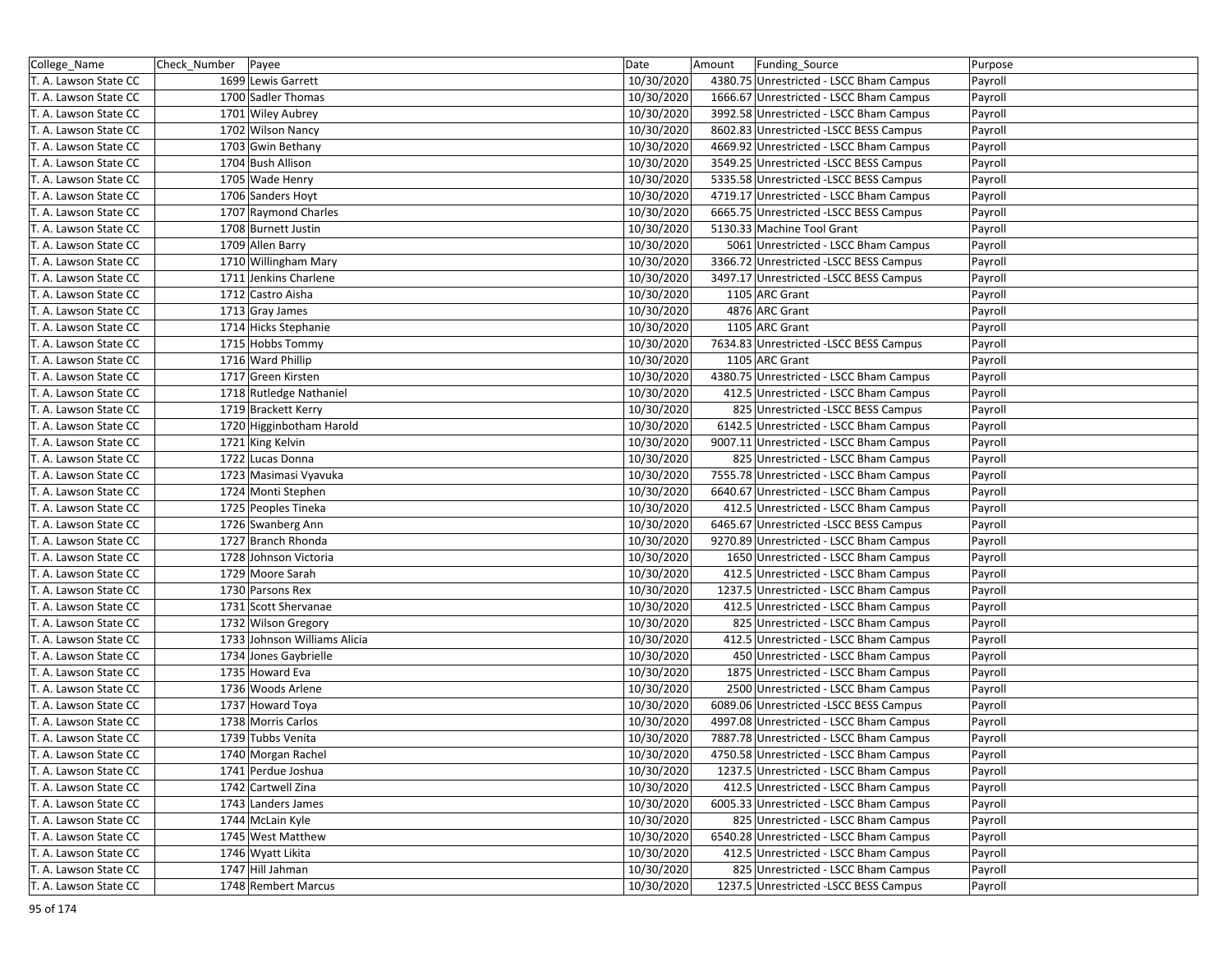| College_Name          | Check_Number   Payee |                              | Date       | Amount | Funding_Source                          | Purpose |
|-----------------------|----------------------|------------------------------|------------|--------|-----------------------------------------|---------|
| T. A. Lawson State CC |                      | 1699 Lewis Garrett           | 10/30/2020 |        | 4380.75 Unrestricted - LSCC Bham Campus | Payroll |
| T. A. Lawson State CC |                      | 1700 Sadler Thomas           | 10/30/2020 |        | 1666.67 Unrestricted - LSCC Bham Campus | Payroll |
| T. A. Lawson State CC |                      | 1701 Wiley Aubrey            | 10/30/2020 |        | 3992.58 Unrestricted - LSCC Bham Campus | Payroll |
| T. A. Lawson State CC |                      | 1702 Wilson Nancy            | 10/30/2020 |        | 8602.83 Unrestricted -LSCC BESS Campus  | Payroll |
| T. A. Lawson State CC |                      | 1703 Gwin Bethany            | 10/30/2020 |        | 4669.92 Unrestricted - LSCC Bham Campus | Payroll |
| T. A. Lawson State CC |                      | 1704 Bush Allison            | 10/30/2020 |        | 3549.25 Unrestricted -LSCC BESS Campus  | Payroll |
| T. A. Lawson State CC |                      | 1705 Wade Henry              | 10/30/2020 |        | 5335.58 Unrestricted -LSCC BESS Campus  | Payroll |
| T. A. Lawson State CC |                      | 1706 Sanders Hoyt            | 10/30/2020 |        | 4719.17 Unrestricted - LSCC Bham Campus | Payroll |
| T. A. Lawson State CC |                      | 1707 Raymond Charles         | 10/30/2020 |        | 6665.75 Unrestricted -LSCC BESS Campus  | Payroll |
| T. A. Lawson State CC |                      | 1708 Burnett Justin          | 10/30/2020 |        | 5130.33 Machine Tool Grant              | Payroll |
| T. A. Lawson State CC |                      | 1709 Allen Barry             | 10/30/2020 |        | 5061 Unrestricted - LSCC Bham Campus    | Payroll |
| T. A. Lawson State CC |                      | 1710 Willingham Mary         | 10/30/2020 |        | 3366.72 Unrestricted -LSCC BESS Campus  | Payroll |
| T. A. Lawson State CC |                      | 1711 Jenkins Charlene        | 10/30/2020 |        | 3497.17 Unrestricted -LSCC BESS Campus  | Payroll |
| T. A. Lawson State CC |                      | 1712 Castro Aisha            | 10/30/2020 |        | 1105 ARC Grant                          | Payroll |
| T. A. Lawson State CC |                      | 1713 Gray James              | 10/30/2020 |        | 4876 ARC Grant                          | Payroll |
| T. A. Lawson State CC |                      | 1714 Hicks Stephanie         | 10/30/2020 |        | 1105 ARC Grant                          | Payroll |
| T. A. Lawson State CC |                      | 1715 Hobbs Tommy             | 10/30/2020 |        | 7634.83 Unrestricted -LSCC BESS Campus  | Payroll |
| T. A. Lawson State CC |                      | 1716 Ward Phillip            | 10/30/2020 |        | 1105 ARC Grant                          | Payroll |
| T. A. Lawson State CC |                      | 1717 Green Kirsten           | 10/30/2020 |        | 4380.75 Unrestricted - LSCC Bham Campus | Payroll |
| T. A. Lawson State CC |                      | 1718 Rutledge Nathaniel      | 10/30/2020 |        | 412.5 Unrestricted - LSCC Bham Campus   | Payroll |
| T. A. Lawson State CC |                      | 1719 Brackett Kerry          | 10/30/2020 |        | 825 Unrestricted - LSCC BESS Campus     | Payroll |
| T. A. Lawson State CC |                      | 1720 Higginbotham Harold     | 10/30/2020 |        | 6142.5 Unrestricted - LSCC Bham Campus  | Payroll |
| T. A. Lawson State CC |                      | 1721 King Kelvin             | 10/30/2020 |        | 9007.11 Unrestricted - LSCC Bham Campus | Payroll |
| T. A. Lawson State CC |                      | 1722 Lucas Donna             | 10/30/2020 |        | 825 Unrestricted - LSCC Bham Campus     | Payroll |
| T. A. Lawson State CC |                      | 1723 Masimasi Vyavuka        | 10/30/2020 |        | 7555.78 Unrestricted - LSCC Bham Campus | Payroll |
| T. A. Lawson State CC |                      | 1724 Monti Stephen           | 10/30/2020 |        | 6640.67 Unrestricted - LSCC Bham Campus | Payroll |
| T. A. Lawson State CC |                      | 1725 Peoples Tineka          | 10/30/2020 |        | 412.5 Unrestricted - LSCC Bham Campus   | Payroll |
| T. A. Lawson State CC |                      | 1726 Swanberg Ann            | 10/30/2020 |        | 6465.67 Unrestricted -LSCC BESS Campus  | Payroll |
| T. A. Lawson State CC |                      | 1727 Branch Rhonda           | 10/30/2020 |        | 9270.89 Unrestricted - LSCC Bham Campus | Payroll |
| T. A. Lawson State CC |                      | 1728 Johnson Victoria        | 10/30/2020 |        | 1650 Unrestricted - LSCC Bham Campus    | Payroll |
| T. A. Lawson State CC |                      | 1729 Moore Sarah             | 10/30/2020 |        | 412.5 Unrestricted - LSCC Bham Campus   | Payroll |
| T. A. Lawson State CC |                      | 1730 Parsons Rex             | 10/30/2020 |        | 1237.5 Unrestricted - LSCC Bham Campus  | Payroll |
| T. A. Lawson State CC |                      | 1731 Scott Shervanae         | 10/30/2020 |        | 412.5 Unrestricted - LSCC Bham Campus   | Payroll |
| T. A. Lawson State CC |                      | 1732 Wilson Gregory          | 10/30/2020 |        | 825 Unrestricted - LSCC Bham Campus     | Payroll |
| T. A. Lawson State CC |                      | 1733 Johnson Williams Alicia | 10/30/2020 |        | 412.5 Unrestricted - LSCC Bham Campus   | Payroll |
| T. A. Lawson State CC |                      | 1734 Jones Gaybrielle        | 10/30/2020 |        | 450 Unrestricted - LSCC Bham Campus     | Payroll |
| T. A. Lawson State CC |                      | 1735 Howard Eva              | 10/30/2020 |        | 1875 Unrestricted - LSCC Bham Campus    | Payroll |
| T. A. Lawson State CC |                      | 1736 Woods Arlene            | 10/30/2020 |        | 2500 Unrestricted - LSCC Bham Campus    | Payroll |
| T. A. Lawson State CC |                      | 1737 Howard Toya             | 10/30/2020 |        | 6089.06 Unrestricted -LSCC BESS Campus  | Payroll |
| T. A. Lawson State CC |                      | 1738 Morris Carlos           | 10/30/2020 |        | 4997.08 Unrestricted - LSCC Bham Campus | Payroll |
| T. A. Lawson State CC |                      | 1739 Tubbs Venita            | 10/30/2020 |        | 7887.78 Unrestricted - LSCC Bham Campus | Payroll |
| T. A. Lawson State CC |                      | 1740 Morgan Rachel           | 10/30/2020 |        | 4750.58 Unrestricted - LSCC Bham Campus | Payroll |
| T. A. Lawson State CC |                      | 1741 Perdue Joshua           | 10/30/2020 |        | 1237.5 Unrestricted - LSCC Bham Campus  | Payroll |
| T. A. Lawson State CC |                      | 1742 Cartwell Zina           | 10/30/2020 |        | 412.5 Unrestricted - LSCC Bham Campus   | Payroll |
| T. A. Lawson State CC |                      | 1743 Landers James           | 10/30/2020 |        | 6005.33 Unrestricted - LSCC Bham Campus | Payroll |
| T. A. Lawson State CC |                      | 1744 McLain Kyle             | 10/30/2020 |        | 825 Unrestricted - LSCC Bham Campus     | Payroll |
| T. A. Lawson State CC |                      | 1745 West Matthew            | 10/30/2020 |        | 6540.28 Unrestricted - LSCC Bham Campus | Payroll |
| T. A. Lawson State CC |                      | 1746 Wyatt Likita            | 10/30/2020 |        | 412.5 Unrestricted - LSCC Bham Campus   | Payroll |
| T. A. Lawson State CC |                      | 1747 Hill Jahman             | 10/30/2020 |        | 825 Unrestricted - LSCC Bham Campus     | Payroll |
| T. A. Lawson State CC |                      | 1748 Rembert Marcus          | 10/30/2020 |        | 1237.5 Unrestricted -LSCC BESS Campus   | Payroll |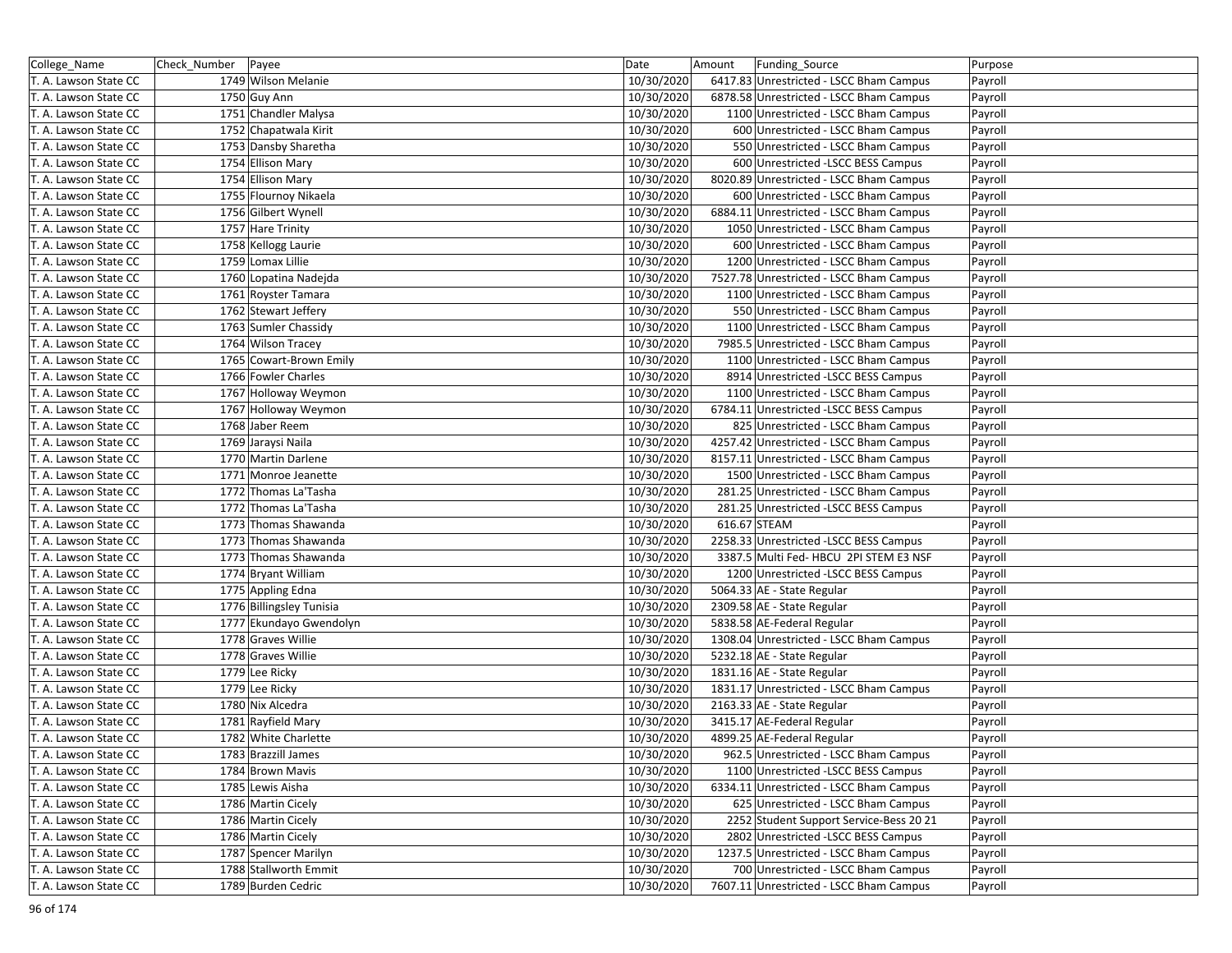| College_Name          | Check_Number | Payee                    | Date       | Amount       | Funding_Source                          | Purpose |
|-----------------------|--------------|--------------------------|------------|--------------|-----------------------------------------|---------|
| T. A. Lawson State CC |              | 1749 Wilson Melanie      | 10/30/2020 |              | 6417.83 Unrestricted - LSCC Bham Campus | Payroll |
| T. A. Lawson State CC |              | 1750 Guy Ann             | 10/30/2020 |              | 6878.58 Unrestricted - LSCC Bham Campus | Payroll |
| T. A. Lawson State CC |              | 1751 Chandler Malysa     | 10/30/2020 |              | 1100 Unrestricted - LSCC Bham Campus    | Payroll |
| T. A. Lawson State CC |              | 1752 Chapatwala Kirit    | 10/30/2020 |              | 600 Unrestricted - LSCC Bham Campus     | Payroll |
| T. A. Lawson State CC |              | 1753 Dansby Sharetha     | 10/30/2020 |              | 550 Unrestricted - LSCC Bham Campus     | Payroll |
| T. A. Lawson State CC |              | 1754 Ellison Mary        | 10/30/2020 |              | 600 Unrestricted -LSCC BESS Campus      | Payroll |
| T. A. Lawson State CC |              | 1754 Ellison Mary        | 10/30/2020 |              | 8020.89 Unrestricted - LSCC Bham Campus | Payroll |
| T. A. Lawson State CC |              | 1755 Flournoy Nikaela    | 10/30/2020 |              | 600 Unrestricted - LSCC Bham Campus     | Payroll |
| T. A. Lawson State CC |              | 1756 Gilbert Wynell      | 10/30/2020 |              | 6884.11 Unrestricted - LSCC Bham Campus | Payroll |
| T. A. Lawson State CC |              | 1757 Hare Trinity        | 10/30/2020 |              | 1050 Unrestricted - LSCC Bham Campus    | Payroll |
| T. A. Lawson State CC |              | 1758 Kellogg Laurie      | 10/30/2020 |              | 600 Unrestricted - LSCC Bham Campus     | Payroll |
| T. A. Lawson State CC |              | 1759 Lomax Lillie        | 10/30/2020 |              | 1200 Unrestricted - LSCC Bham Campus    | Payroll |
| T. A. Lawson State CC |              | 1760 Lopatina Nadejda    | 10/30/2020 |              | 7527.78 Unrestricted - LSCC Bham Campus | Payroll |
| T. A. Lawson State CC |              | 1761 Royster Tamara      | 10/30/2020 |              | 1100 Unrestricted - LSCC Bham Campus    | Payroll |
| T. A. Lawson State CC |              | 1762 Stewart Jeffery     | 10/30/2020 |              | 550 Unrestricted - LSCC Bham Campus     | Payroll |
| T. A. Lawson State CC |              | 1763 Sumler Chassidy     | 10/30/2020 |              | 1100 Unrestricted - LSCC Bham Campus    | Payroll |
| T. A. Lawson State CC |              | 1764 Wilson Tracey       | 10/30/2020 |              | 7985.5 Unrestricted - LSCC Bham Campus  | Payroll |
| T. A. Lawson State CC |              | 1765 Cowart-Brown Emily  | 10/30/2020 |              | 1100 Unrestricted - LSCC Bham Campus    | Payroll |
| T. A. Lawson State CC |              | 1766 Fowler Charles      | 10/30/2020 |              | 8914 Unrestricted -LSCC BESS Campus     | Payroll |
| T. A. Lawson State CC |              | 1767 Holloway Weymon     | 10/30/2020 |              | 1100 Unrestricted - LSCC Bham Campus    | Payroll |
| T. A. Lawson State CC |              | 1767 Holloway Weymon     | 10/30/2020 |              | 6784.11 Unrestricted -LSCC BESS Campus  | Payroll |
| T. A. Lawson State CC |              | 1768 Jaber Reem          | 10/30/2020 |              | 825 Unrestricted - LSCC Bham Campus     | Payroll |
| T. A. Lawson State CC |              | 1769 Jaraysi Naila       | 10/30/2020 |              | 4257.42 Unrestricted - LSCC Bham Campus | Payroll |
| T. A. Lawson State CC |              | 1770 Martin Darlene      | 10/30/2020 |              | 8157.11 Unrestricted - LSCC Bham Campus | Payroll |
| T. A. Lawson State CC |              | 1771 Monroe Jeanette     | 10/30/2020 |              | 1500 Unrestricted - LSCC Bham Campus    | Payroll |
| T. A. Lawson State CC |              | 1772 Thomas La'Tasha     | 10/30/2020 |              | 281.25 Unrestricted - LSCC Bham Campus  | Payroll |
| T. A. Lawson State CC |              | 1772 Thomas La'Tasha     | 10/30/2020 |              | 281.25 Unrestricted -LSCC BESS Campus   | Payroll |
| T. A. Lawson State CC |              | 1773 Thomas Shawanda     | 10/30/2020 | 616.67 STEAM |                                         | Payroll |
| T. A. Lawson State CC |              | 1773 Thomas Shawanda     | 10/30/2020 |              | 2258.33 Unrestricted -LSCC BESS Campus  | Payroll |
| T. A. Lawson State CC |              | 1773 Thomas Shawanda     | 10/30/2020 |              | 3387.5 Multi Fed- HBCU 2PI STEM E3 NSF  | Payroll |
| T. A. Lawson State CC |              | 1774 Bryant William      | 10/30/2020 |              | 1200 Unrestricted -LSCC BESS Campus     | Payroll |
| T. A. Lawson State CC |              | 1775 Appling Edna        | 10/30/2020 |              | 5064.33 AE - State Regular              | Payroll |
| T. A. Lawson State CC |              | 1776 Billingsley Tunisia | 10/30/2020 |              | 2309.58 AE - State Regular              | Payroll |
| T. A. Lawson State CC |              | 1777 Ekundayo Gwendolyn  | 10/30/2020 |              | 5838.58 AE-Federal Regular              | Payroll |
| T. A. Lawson State CC |              | 1778 Graves Willie       | 10/30/2020 |              | 1308.04 Unrestricted - LSCC Bham Campus | Payroll |
| T. A. Lawson State CC |              | 1778 Graves Willie       | 10/30/2020 |              | 5232.18 AE - State Regular              | Payroll |
| T. A. Lawson State CC |              | 1779 Lee Ricky           | 10/30/2020 |              | 1831.16 AE - State Regular              | Payroll |
| T. A. Lawson State CC |              | 1779 Lee Ricky           | 10/30/2020 |              | 1831.17 Unrestricted - LSCC Bham Campus | Payroll |
| T. A. Lawson State CC |              | 1780 Nix Alcedra         | 10/30/2020 |              | 2163.33 AE - State Regular              | Payroll |
| T. A. Lawson State CC |              | 1781 Rayfield Mary       | 10/30/2020 |              | 3415.17 AE-Federal Regular              | Payroll |
| T. A. Lawson State CC |              | 1782 White Charlette     | 10/30/2020 |              | 4899.25 AE-Federal Regular              | Payroll |
| T. A. Lawson State CC |              | 1783 Brazzill James      | 10/30/2020 |              | 962.5 Unrestricted - LSCC Bham Campus   | Payroll |
| T. A. Lawson State CC |              | 1784 Brown Mavis         | 10/30/2020 |              | 1100 Unrestricted -LSCC BESS Campus     | Payroll |
| T. A. Lawson State CC |              | 1785 Lewis Aisha         | 10/30/2020 |              | 6334.11 Unrestricted - LSCC Bham Campus | Payroll |
| T. A. Lawson State CC |              | 1786 Martin Cicely       | 10/30/2020 |              | 625 Unrestricted - LSCC Bham Campus     | Payroll |
| T. A. Lawson State CC |              | 1786 Martin Cicely       | 10/30/2020 |              | 2252 Student Support Service-Bess 20 21 | Payroll |
| T. A. Lawson State CC |              | 1786 Martin Cicely       | 10/30/2020 |              | 2802 Unrestricted -LSCC BESS Campus     | Payroll |
| T. A. Lawson State CC |              | 1787 Spencer Marilyn     | 10/30/2020 |              | 1237.5 Unrestricted - LSCC Bham Campus  | Payroll |
| T. A. Lawson State CC |              | 1788 Stallworth Emmit    | 10/30/2020 |              | 700 Unrestricted - LSCC Bham Campus     | Payroll |
| T. A. Lawson State CC |              | 1789 Burden Cedric       | 10/30/2020 |              | 7607.11 Unrestricted - LSCC Bham Campus | Payroll |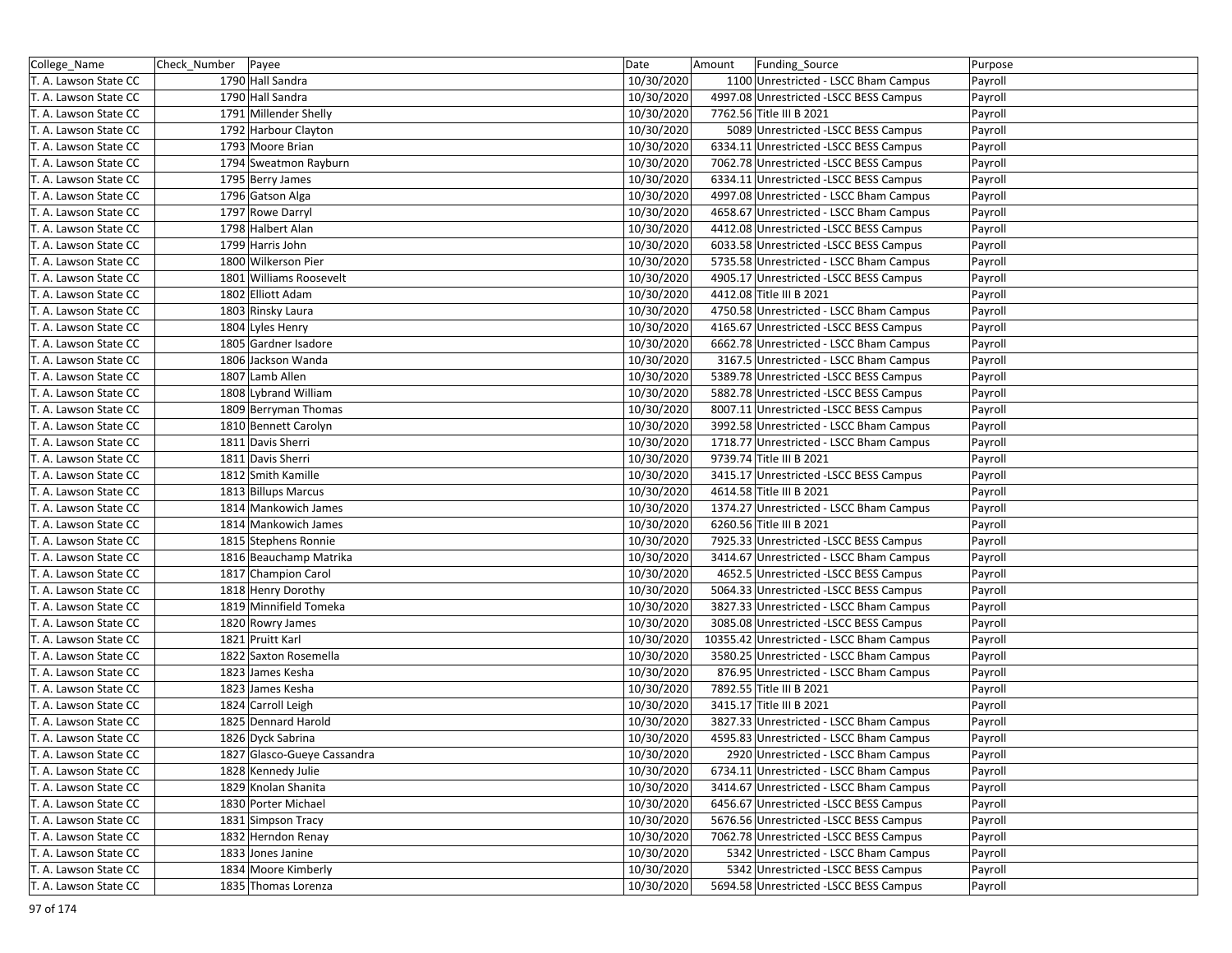| College_Name          | Check_Number Payee |                             | Date       | Amount | Funding_Source                           | Purpose |
|-----------------------|--------------------|-----------------------------|------------|--------|------------------------------------------|---------|
| T. A. Lawson State CC |                    | 1790 Hall Sandra            | 10/30/2020 |        | 1100 Unrestricted - LSCC Bham Campus     | Payroll |
| T. A. Lawson State CC |                    | 1790 Hall Sandra            | 10/30/2020 |        | 4997.08 Unrestricted -LSCC BESS Campus   | Payroll |
| T. A. Lawson State CC |                    | 1791 Millender Shelly       | 10/30/2020 |        | 7762.56 Title III B 2021                 | Payroll |
| T. A. Lawson State CC |                    | 1792 Harbour Clayton        | 10/30/2020 |        | 5089 Unrestricted -LSCC BESS Campus      | Payroll |
| T. A. Lawson State CC |                    | 1793 Moore Brian            | 10/30/2020 |        | 6334.11 Unrestricted -LSCC BESS Campus   | Payroll |
| T. A. Lawson State CC |                    | 1794 Sweatmon Rayburn       | 10/30/2020 |        | 7062.78 Unrestricted -LSCC BESS Campus   | Payroll |
| T. A. Lawson State CC |                    | 1795 Berry James            | 10/30/2020 |        | 6334.11 Unrestricted -LSCC BESS Campus   | Payroll |
| T. A. Lawson State CC |                    | 1796 Gatson Alga            | 10/30/2020 |        | 4997.08 Unrestricted - LSCC Bham Campus  | Payroll |
| T. A. Lawson State CC |                    | 1797 Rowe Darryl            | 10/30/2020 |        | 4658.67 Unrestricted - LSCC Bham Campus  | Payroll |
| T. A. Lawson State CC |                    | 1798 Halbert Alan           | 10/30/2020 |        | 4412.08 Unrestricted -LSCC BESS Campus   | Payroll |
| T. A. Lawson State CC |                    | 1799 Harris John            | 10/30/2020 |        | 6033.58 Unrestricted -LSCC BESS Campus   | Payroll |
| T. A. Lawson State CC |                    | 1800 Wilkerson Pier         | 10/30/2020 |        | 5735.58 Unrestricted - LSCC Bham Campus  | Payroll |
| T. A. Lawson State CC |                    | 1801 Williams Roosevelt     | 10/30/2020 |        | 4905.17 Unrestricted -LSCC BESS Campus   | Payroll |
| T. A. Lawson State CC |                    | 1802 Elliott Adam           | 10/30/2020 |        | 4412.08 Title III B 2021                 | Payroll |
| T. A. Lawson State CC |                    | 1803 Rinsky Laura           | 10/30/2020 |        | 4750.58 Unrestricted - LSCC Bham Campus  | Payroll |
| T. A. Lawson State CC |                    | 1804 Lyles Henry            | 10/30/2020 |        | 4165.67 Unrestricted -LSCC BESS Campus   | Payroll |
| T. A. Lawson State CC |                    | 1805 Gardner Isadore        | 10/30/2020 |        | 6662.78 Unrestricted - LSCC Bham Campus  | Payroll |
| T. A. Lawson State CC |                    | 1806 Jackson Wanda          | 10/30/2020 |        | 3167.5 Unrestricted - LSCC Bham Campus   | Payroll |
| T. A. Lawson State CC |                    | 1807 Lamb Allen             | 10/30/2020 |        | 5389.78 Unrestricted -LSCC BESS Campus   | Payroll |
| T. A. Lawson State CC |                    | 1808 Lybrand William        | 10/30/2020 |        | 5882.78 Unrestricted -LSCC BESS Campus   | Payroll |
| T. A. Lawson State CC |                    | 1809 Berryman Thomas        | 10/30/2020 |        | 8007.11 Unrestricted -LSCC BESS Campus   | Payroll |
| T. A. Lawson State CC |                    | 1810 Bennett Carolyn        | 10/30/2020 |        | 3992.58 Unrestricted - LSCC Bham Campus  | Payroll |
| T. A. Lawson State CC |                    | 1811 Davis Sherri           | 10/30/2020 |        | 1718.77 Unrestricted - LSCC Bham Campus  | Payroll |
| T. A. Lawson State CC |                    | 1811 Davis Sherri           | 10/30/2020 |        | 9739.74 Title III B 2021                 | Payroll |
| T. A. Lawson State CC |                    | 1812 Smith Kamille          | 10/30/2020 |        | 3415.17 Unrestricted -LSCC BESS Campus   | Payroll |
| T. A. Lawson State CC |                    | 1813 Billups Marcus         | 10/30/2020 |        | 4614.58 Title III B 2021                 | Payroll |
| T. A. Lawson State CC |                    | 1814 Mankowich James        | 10/30/2020 |        | 1374.27 Unrestricted - LSCC Bham Campus  | Payroll |
| T. A. Lawson State CC |                    | 1814 Mankowich James        | 10/30/2020 |        | 6260.56 Title III B 2021                 | Payroll |
| T. A. Lawson State CC |                    | 1815 Stephens Ronnie        | 10/30/2020 |        | 7925.33 Unrestricted -LSCC BESS Campus   | Payroll |
| T. A. Lawson State CC |                    | 1816 Beauchamp Matrika      | 10/30/2020 |        | 3414.67 Unrestricted - LSCC Bham Campus  | Payroll |
| T. A. Lawson State CC |                    | 1817 Champion Carol         | 10/30/2020 |        | 4652.5 Unrestricted -LSCC BESS Campus    | Payroll |
| T. A. Lawson State CC |                    | 1818 Henry Dorothy          | 10/30/2020 |        | 5064.33 Unrestricted -LSCC BESS Campus   | Payroll |
| T. A. Lawson State CC |                    | 1819 Minnifield Tomeka      | 10/30/2020 |        | 3827.33 Unrestricted - LSCC Bham Campus  | Payroll |
| T. A. Lawson State CC |                    | 1820 Rowry James            | 10/30/2020 |        | 3085.08 Unrestricted -LSCC BESS Campus   | Payroll |
| T. A. Lawson State CC |                    | 1821 Pruitt Karl            | 10/30/2020 |        | 10355.42 Unrestricted - LSCC Bham Campus | Payroll |
| T. A. Lawson State CC |                    | 1822 Saxton Rosemella       | 10/30/2020 |        | 3580.25 Unrestricted - LSCC Bham Campus  | Payroll |
| T. A. Lawson State CC |                    | 1823 James Kesha            | 10/30/2020 |        | 876.95 Unrestricted - LSCC Bham Campus   | Payroll |
| T. A. Lawson State CC |                    | 1823 James Kesha            | 10/30/2020 |        | 7892.55 Title III B 2021                 | Payroll |
| T. A. Lawson State CC |                    | 1824 Carroll Leigh          | 10/30/2020 |        | 3415.17 Title III B 2021                 | Payroll |
| T. A. Lawson State CC |                    | 1825 Dennard Harold         | 10/30/2020 |        | 3827.33 Unrestricted - LSCC Bham Campus  | Payroll |
| T. A. Lawson State CC |                    | 1826 Dyck Sabrina           | 10/30/2020 |        | 4595.83 Unrestricted - LSCC Bham Campus  | Payroll |
| T. A. Lawson State CC |                    | 1827 Glasco-Gueye Cassandra | 10/30/2020 |        | 2920 Unrestricted - LSCC Bham Campus     | Payroll |
| T. A. Lawson State CC |                    | 1828 Kennedy Julie          | 10/30/2020 |        | 6734.11 Unrestricted - LSCC Bham Campus  | Payroll |
| T. A. Lawson State CC |                    | 1829 Knolan Shanita         | 10/30/2020 |        | 3414.67 Unrestricted - LSCC Bham Campus  | Payroll |
| T. A. Lawson State CC |                    | 1830 Porter Michael         | 10/30/2020 |        | 6456.67 Unrestricted -LSCC BESS Campus   | Payroll |
| T. A. Lawson State CC |                    | 1831 Simpson Tracy          | 10/30/2020 |        | 5676.56 Unrestricted -LSCC BESS Campus   | Payroll |
| T. A. Lawson State CC |                    | 1832 Herndon Renay          | 10/30/2020 |        | 7062.78 Unrestricted -LSCC BESS Campus   | Payroll |
| T. A. Lawson State CC |                    | 1833 Jones Janine           | 10/30/2020 |        | 5342 Unrestricted - LSCC Bham Campus     | Payroll |
| T. A. Lawson State CC |                    | 1834 Moore Kimberly         | 10/30/2020 |        | 5342 Unrestricted -LSCC BESS Campus      | Payroll |
| T. A. Lawson State CC |                    | 1835 Thomas Lorenza         | 10/30/2020 |        | 5694.58 Unrestricted -LSCC BESS Campus   | Payroll |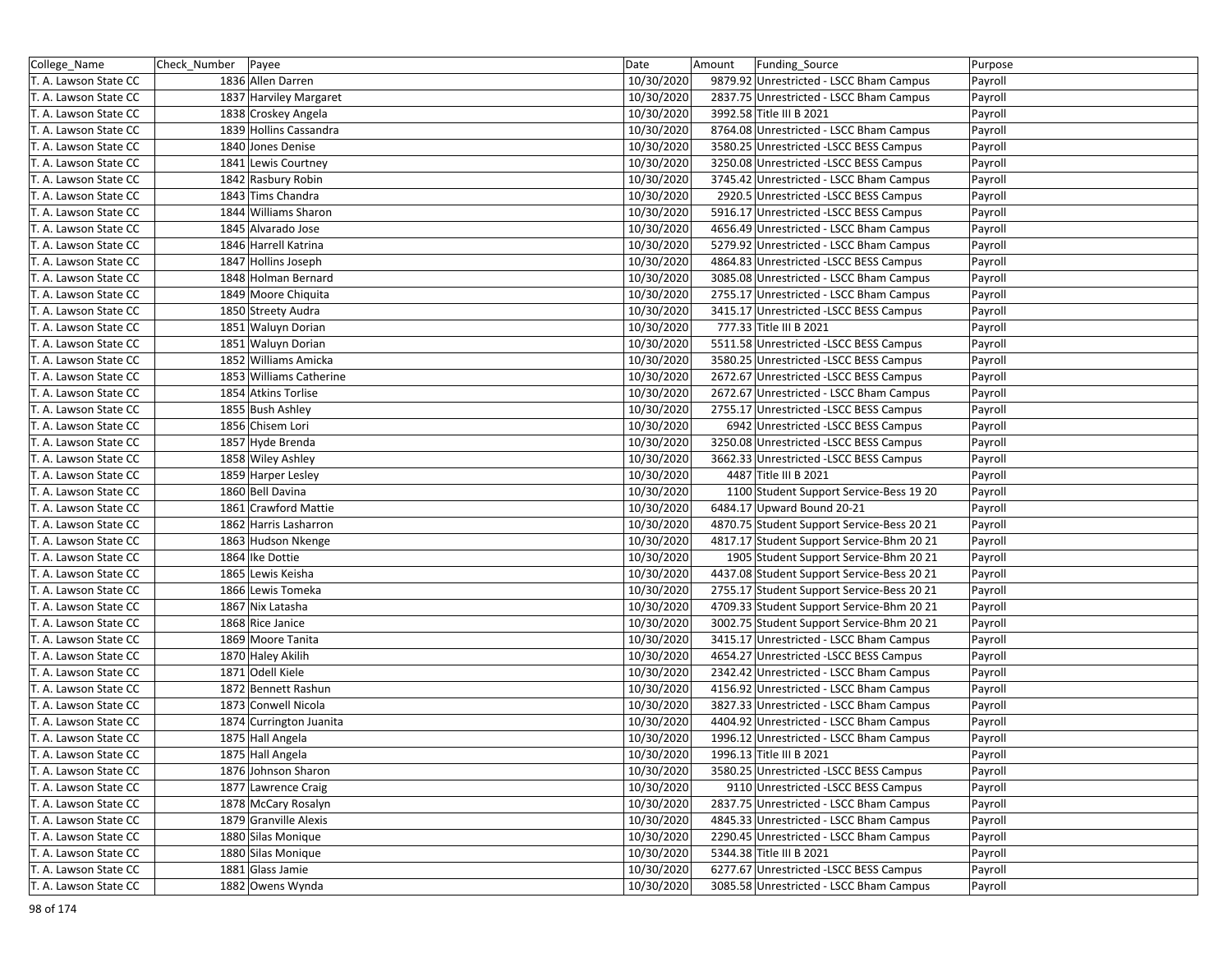| College_Name          | Check_Number   Payee |                         | Date       | Amount | Funding_Source                             | Purpose |
|-----------------------|----------------------|-------------------------|------------|--------|--------------------------------------------|---------|
| T. A. Lawson State CC |                      | 1836 Allen Darren       | 10/30/2020 |        | 9879.92 Unrestricted - LSCC Bham Campus    | Payroll |
| T. A. Lawson State CC |                      | 1837 Harviley Margaret  | 10/30/2020 |        | 2837.75 Unrestricted - LSCC Bham Campus    | Payroll |
| T. A. Lawson State CC |                      | 1838 Croskey Angela     | 10/30/2020 |        | 3992.58 Title III B 2021                   | Payroll |
| T. A. Lawson State CC |                      | 1839 Hollins Cassandra  | 10/30/2020 |        | 8764.08 Unrestricted - LSCC Bham Campus    | Payroll |
| T. A. Lawson State CC |                      | 1840 Jones Denise       | 10/30/2020 |        | 3580.25 Unrestricted -LSCC BESS Campus     | Payroll |
| T. A. Lawson State CC |                      | 1841 Lewis Courtney     | 10/30/2020 |        | 3250.08 Unrestricted -LSCC BESS Campus     | Payroll |
| T. A. Lawson State CC |                      | 1842 Rasbury Robin      | 10/30/2020 |        | 3745.42 Unrestricted - LSCC Bham Campus    | Payroll |
| T. A. Lawson State CC |                      | 1843 Tims Chandra       | 10/30/2020 |        | 2920.5 Unrestricted -LSCC BESS Campus      | Payroll |
| T. A. Lawson State CC |                      | 1844 Williams Sharon    | 10/30/2020 |        | 5916.17 Unrestricted -LSCC BESS Campus     | Payroll |
| T. A. Lawson State CC |                      | 1845 Alvarado Jose      | 10/30/2020 |        | 4656.49 Unrestricted - LSCC Bham Campus    | Payroll |
| T. A. Lawson State CC |                      | 1846 Harrell Katrina    | 10/30/2020 |        | 5279.92 Unrestricted - LSCC Bham Campus    | Payroll |
| T. A. Lawson State CC |                      | 1847 Hollins Joseph     | 10/30/2020 |        | 4864.83 Unrestricted -LSCC BESS Campus     | Payroll |
| T. A. Lawson State CC |                      | 1848 Holman Bernard     | 10/30/2020 |        | 3085.08 Unrestricted - LSCC Bham Campus    | Payroll |
| T. A. Lawson State CC |                      | 1849 Moore Chiquita     | 10/30/2020 |        | 2755.17 Unrestricted - LSCC Bham Campus    | Payroll |
| T. A. Lawson State CC |                      | 1850 Streety Audra      | 10/30/2020 |        | 3415.17 Unrestricted -LSCC BESS Campus     | Payroll |
| T. A. Lawson State CC |                      | 1851 Waluyn Dorian      | 10/30/2020 |        | 777.33 Title III B 2021                    | Payroll |
| T. A. Lawson State CC |                      | 1851 Waluyn Dorian      | 10/30/2020 |        | 5511.58 Unrestricted -LSCC BESS Campus     | Payroll |
| T. A. Lawson State CC |                      | 1852 Williams Amicka    | 10/30/2020 |        | 3580.25 Unrestricted -LSCC BESS Campus     | Payroll |
| T. A. Lawson State CC |                      | 1853 Williams Catherine | 10/30/2020 |        | 2672.67 Unrestricted -LSCC BESS Campus     | Payroll |
| T. A. Lawson State CC |                      | 1854 Atkins Torlise     | 10/30/2020 |        | 2672.67 Unrestricted - LSCC Bham Campus    | Payroll |
| T. A. Lawson State CC |                      | 1855 Bush Ashley        | 10/30/2020 |        | 2755.17 Unrestricted - LSCC BESS Campus    | Payroll |
| T. A. Lawson State CC |                      | 1856 Chisem Lori        | 10/30/2020 |        | 6942 Unrestricted -LSCC BESS Campus        | Payroll |
| T. A. Lawson State CC |                      | 1857 Hyde Brenda        | 10/30/2020 |        | 3250.08 Unrestricted -LSCC BESS Campus     | Payroll |
| T. A. Lawson State CC |                      | 1858 Wiley Ashley       | 10/30/2020 |        | 3662.33 Unrestricted -LSCC BESS Campus     | Payroll |
| T. A. Lawson State CC |                      | 1859 Harper Lesley      | 10/30/2020 |        | 4487 Title III B 2021                      | Payroll |
| T. A. Lawson State CC |                      | 1860 Bell Davina        | 10/30/2020 |        | 1100 Student Support Service-Bess 19 20    | Payroll |
| T. A. Lawson State CC |                      | 1861 Crawford Mattie    | 10/30/2020 |        | 6484.17 Upward Bound 20-21                 | Payroll |
| T. A. Lawson State CC |                      | 1862 Harris Lasharron   | 10/30/2020 |        | 4870.75 Student Support Service-Bess 20 21 | Payroll |
| T. A. Lawson State CC |                      | 1863 Hudson Nkenge      | 10/30/2020 |        | 4817.17 Student Support Service-Bhm 20 21  | Payroll |
| T. A. Lawson State CC |                      | 1864 Ike Dottie         | 10/30/2020 |        | 1905 Student Support Service-Bhm 20 21     | Payroll |
| T. A. Lawson State CC |                      | 1865 Lewis Keisha       | 10/30/2020 |        | 4437.08 Student Support Service-Bess 20 21 | Payroll |
| T. A. Lawson State CC |                      | 1866 Lewis Tomeka       | 10/30/2020 |        | 2755.17 Student Support Service-Bess 20 21 | Payroll |
| T. A. Lawson State CC |                      | 1867 Nix Latasha        | 10/30/2020 |        | 4709.33 Student Support Service-Bhm 20 21  | Payroll |
| T. A. Lawson State CC |                      | 1868 Rice Janice        | 10/30/2020 |        | 3002.75 Student Support Service-Bhm 20 21  | Payroll |
| T. A. Lawson State CC |                      | 1869 Moore Tanita       | 10/30/2020 |        | 3415.17 Unrestricted - LSCC Bham Campus    | Payroll |
| T. A. Lawson State CC |                      | 1870 Haley Akilih       | 10/30/2020 |        | 4654.27 Unrestricted -LSCC BESS Campus     | Payroll |
| T. A. Lawson State CC |                      | 1871 Odell Kiele        | 10/30/2020 |        | 2342.42 Unrestricted - LSCC Bham Campus    | Payroll |
| T. A. Lawson State CC |                      | 1872 Bennett Rashun     | 10/30/2020 |        | 4156.92 Unrestricted - LSCC Bham Campus    | Payroll |
| T. A. Lawson State CC |                      | 1873 Conwell Nicola     | 10/30/2020 |        | 3827.33 Unrestricted - LSCC Bham Campus    | Payroll |
| T. A. Lawson State CC |                      | 1874 Currington Juanita | 10/30/2020 |        | 4404.92 Unrestricted - LSCC Bham Campus    | Payroll |
| T. A. Lawson State CC |                      | 1875 Hall Angela        | 10/30/2020 |        | 1996.12 Unrestricted - LSCC Bham Campus    | Payroll |
| T. A. Lawson State CC |                      | 1875 Hall Angela        | 10/30/2020 |        | 1996.13 Title III B 2021                   | Payroll |
| T. A. Lawson State CC |                      | 1876 Johnson Sharon     | 10/30/2020 |        | 3580.25 Unrestricted -LSCC BESS Campus     | Payroll |
| T. A. Lawson State CC |                      | 1877 Lawrence Craig     | 10/30/2020 |        | 9110 Unrestricted -LSCC BESS Campus        | Payroll |
| T. A. Lawson State CC |                      | 1878 McCary Rosalyn     | 10/30/2020 |        | 2837.75 Unrestricted - LSCC Bham Campus    | Payroll |
| T. A. Lawson State CC |                      | 1879 Granville Alexis   | 10/30/2020 |        | 4845.33 Unrestricted - LSCC Bham Campus    | Payroll |
| T. A. Lawson State CC |                      | 1880 Silas Monique      | 10/30/2020 |        | 2290.45 Unrestricted - LSCC Bham Campus    | Payroll |
| T. A. Lawson State CC |                      | 1880 Silas Monique      | 10/30/2020 |        | 5344.38 Title III B 2021                   | Payroll |
| T. A. Lawson State CC |                      | 1881 Glass Jamie        | 10/30/2020 |        | 6277.67 Unrestricted -LSCC BESS Campus     | Payroll |
| T. A. Lawson State CC |                      | 1882 Owens Wynda        | 10/30/2020 |        | 3085.58 Unrestricted - LSCC Bham Campus    | Payroll |
|                       |                      |                         |            |        |                                            |         |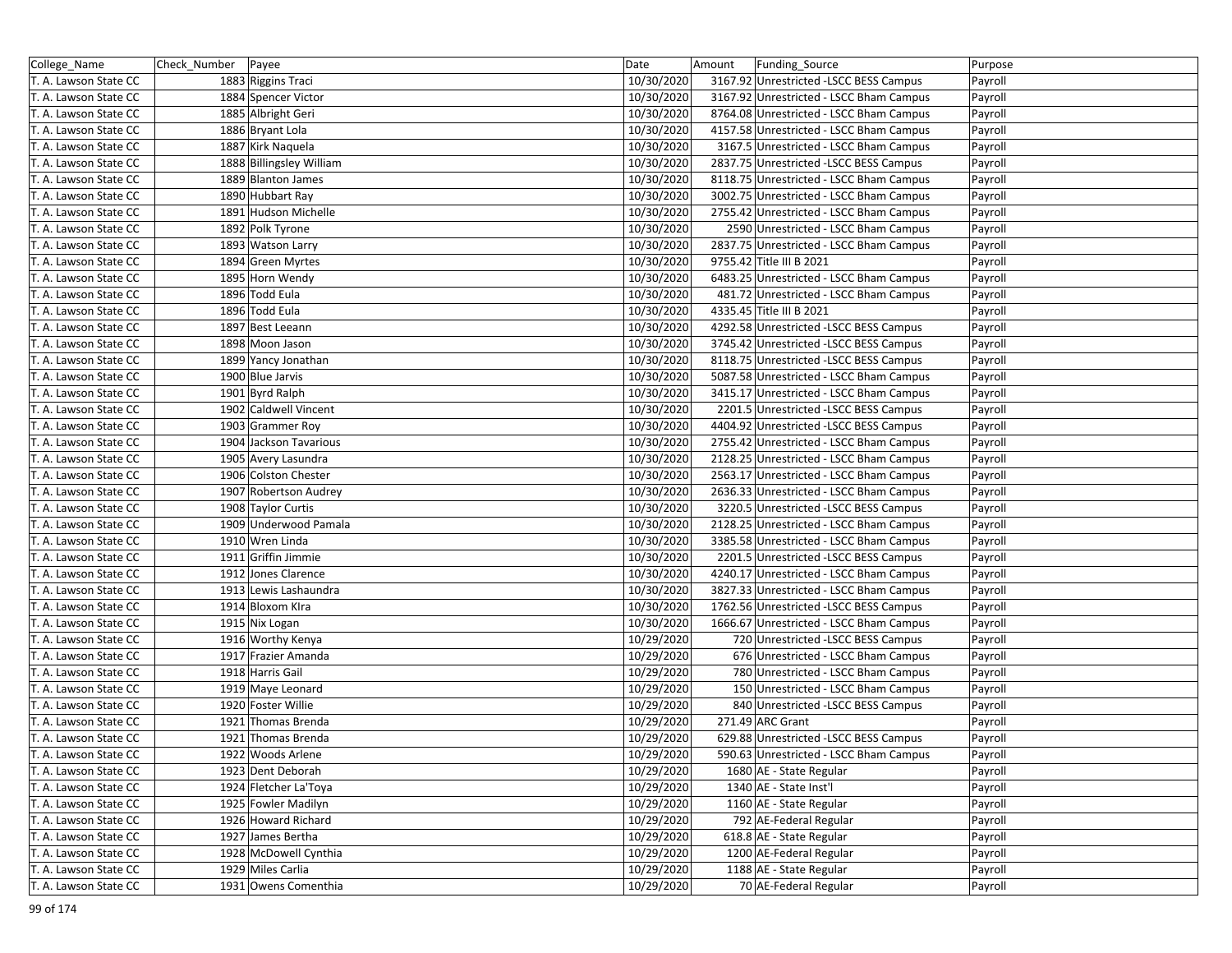| College_Name          | Check_Number Payee |                                            | Date                     | Amount | Funding_Source                          | Purpose |
|-----------------------|--------------------|--------------------------------------------|--------------------------|--------|-----------------------------------------|---------|
| T. A. Lawson State CC |                    | 1883 Riggins Traci                         | 10/30/2020               |        | 3167.92 Unrestricted -LSCC BESS Campus  | Payroll |
| T. A. Lawson State CC |                    | 1884 Spencer Victor                        | 10/30/2020               |        | 3167.92 Unrestricted - LSCC Bham Campus | Payroll |
| T. A. Lawson State CC |                    | 1885 Albright Geri                         | 10/30/2020               |        | 8764.08 Unrestricted - LSCC Bham Campus | Payroll |
| T. A. Lawson State CC |                    | 1886 Bryant Lola                           | 10/30/2020               |        | 4157.58 Unrestricted - LSCC Bham Campus | Payroll |
| T. A. Lawson State CC |                    | 1887 Kirk Naquela                          | 10/30/2020               |        | 3167.5 Unrestricted - LSCC Bham Campus  | Payroll |
| T. A. Lawson State CC |                    | 1888 Billingsley William                   | 10/30/2020               |        | 2837.75 Unrestricted -LSCC BESS Campus  | Payroll |
| T. A. Lawson State CC |                    | 1889 Blanton James                         | 10/30/2020               |        | 8118.75 Unrestricted - LSCC Bham Campus | Payroll |
| T. A. Lawson State CC |                    | 1890 Hubbart Ray                           | 10/30/2020               |        | 3002.75 Unrestricted - LSCC Bham Campus | Payroll |
| T. A. Lawson State CC |                    | 1891 Hudson Michelle                       | 10/30/2020               |        | 2755.42 Unrestricted - LSCC Bham Campus | Payroll |
| T. A. Lawson State CC |                    | 1892 Polk Tyrone                           | 10/30/2020               |        | 2590 Unrestricted - LSCC Bham Campus    | Payroll |
| T. A. Lawson State CC |                    | 1893 Watson Larry                          | 10/30/2020               |        | 2837.75 Unrestricted - LSCC Bham Campus | Payroll |
| T. A. Lawson State CC |                    | 1894 Green Myrtes                          | 10/30/2020               |        | 9755.42 Title III B 2021                | Payroll |
| T. A. Lawson State CC |                    | 1895 Horn Wendy                            | 10/30/2020               |        | 6483.25 Unrestricted - LSCC Bham Campus | Payroll |
| T. A. Lawson State CC |                    | 1896 Todd Eula                             | 10/30/2020               |        | 481.72 Unrestricted - LSCC Bham Campus  | Payroll |
| T. A. Lawson State CC |                    | 1896 Todd Eula                             | 10/30/2020               |        | 4335.45 Title III B 2021                | Payroll |
| T. A. Lawson State CC |                    | 1897 Best Leeann                           | 10/30/2020               |        | 4292.58 Unrestricted -LSCC BESS Campus  | Payroll |
| T. A. Lawson State CC |                    | 1898 Moon Jason                            | 10/30/2020               |        | 3745.42 Unrestricted -LSCC BESS Campus  | Payroll |
| T. A. Lawson State CC |                    | 1899 Yancy Jonathan                        | 10/30/2020               |        | 8118.75 Unrestricted -LSCC BESS Campus  | Payroll |
| T. A. Lawson State CC |                    | 1900 Blue Jarvis                           | 10/30/2020               |        | 5087.58 Unrestricted - LSCC Bham Campus | Payroll |
| T. A. Lawson State CC |                    | 1901 Byrd Ralph                            | 10/30/2020               |        | 3415.17 Unrestricted - LSCC Bham Campus | Payroll |
| T. A. Lawson State CC |                    | 1902 Caldwell Vincent                      | 10/30/2020               |        | 2201.5 Unrestricted - LSCC BESS Campus  | Payroll |
| T. A. Lawson State CC |                    | 1903 Grammer Roy                           | 10/30/2020               |        | 4404.92 Unrestricted -LSCC BESS Campus  | Payroll |
| T. A. Lawson State CC |                    | 1904 Jackson Tavarious                     | 10/30/2020               |        | 2755.42 Unrestricted - LSCC Bham Campus | Payroll |
| T. A. Lawson State CC |                    | 1905 Avery Lasundra                        | 10/30/2020               |        | 2128.25 Unrestricted - LSCC Bham Campus | Payroll |
| T. A. Lawson State CC |                    | 1906 Colston Chester                       | 10/30/2020               |        | 2563.17 Unrestricted - LSCC Bham Campus | Payroll |
| T. A. Lawson State CC |                    | 1907 Robertson Audrey                      | 10/30/2020               |        | 2636.33 Unrestricted - LSCC Bham Campus | Payroll |
| T. A. Lawson State CC |                    | 1908 Taylor Curtis                         | 10/30/2020               |        | 3220.5 Unrestricted -LSCC BESS Campus   | Payroll |
| T. A. Lawson State CC |                    | 1909 Underwood Pamala                      | 10/30/2020               |        | 2128.25 Unrestricted - LSCC Bham Campus | Payroll |
| T. A. Lawson State CC |                    | 1910 Wren Linda                            | 10/30/2020               |        | 3385.58 Unrestricted - LSCC Bham Campus | Payroll |
| T. A. Lawson State CC |                    | 1911 Griffin Jimmie                        | 10/30/2020               |        | 2201.5 Unrestricted -LSCC BESS Campus   | Payroll |
| T. A. Lawson State CC |                    | 1912 Jones Clarence                        | 10/30/2020               |        | 4240.17 Unrestricted - LSCC Bham Campus | Payroll |
| T. A. Lawson State CC |                    | 1913 Lewis Lashaundra                      | 10/30/2020               |        | 3827.33 Unrestricted - LSCC Bham Campus | Payroll |
| T. A. Lawson State CC |                    | 1914 Bloxom Klra                           | 10/30/2020               |        | 1762.56 Unrestricted -LSCC BESS Campus  | Payroll |
| T. A. Lawson State CC |                    | 1915 Nix Logan                             | 10/30/2020               |        | 1666.67 Unrestricted - LSCC Bham Campus | Payroll |
| T. A. Lawson State CC |                    | 1916 Worthy Kenya                          | 10/29/2020               |        | 720 Unrestricted -LSCC BESS Campus      | Payroll |
| T. A. Lawson State CC |                    | 1917 Frazier Amanda                        | 10/29/2020               |        | 676 Unrestricted - LSCC Bham Campus     | Payroll |
| T. A. Lawson State CC |                    | 1918 Harris Gail                           | 10/29/2020               |        | 780 Unrestricted - LSCC Bham Campus     | Payroll |
| T. A. Lawson State CC |                    | 1919 Maye Leonard                          | 10/29/2020               |        | 150 Unrestricted - LSCC Bham Campus     | Payroll |
| T. A. Lawson State CC |                    | 1920 Foster Willie                         | 10/29/2020               |        | 840 Unrestricted -LSCC BESS Campus      | Payroll |
| T. A. Lawson State CC |                    | 1921 Thomas Brenda                         | 10/29/2020               |        | 271.49 ARC Grant                        | Payroll |
| T. A. Lawson State CC |                    | 1921 Thomas Brenda                         | 10/29/2020               |        | 629.88 Unrestricted -LSCC BESS Campus   | Payroll |
| T. A. Lawson State CC |                    | 1922 Woods Arlene                          | 10/29/2020               |        | 590.63 Unrestricted - LSCC Bham Campus  | Payroll |
| T. A. Lawson State CC |                    | 1923 Dent Deborah                          | 10/29/2020               |        | 1680 AE - State Regular                 | Payroll |
| T. A. Lawson State CC |                    | 1924 Fletcher La'Toya                      | 10/29/2020               |        | 1340 AE - State Inst'l                  | Payroll |
| T. A. Lawson State CC |                    | 1925 Fowler Madilyn                        | 10/29/2020               |        | 1160 AE - State Regular                 | Payroll |
| T. A. Lawson State CC |                    | 1926 Howard Richard                        | 10/29/2020               |        | 792 AE-Federal Regular                  | Payroll |
| T. A. Lawson State CC |                    |                                            |                          |        | 618.8 AE - State Regular                |         |
| T. A. Lawson State CC |                    | 1927 James Bertha<br>1928 McDowell Cynthia | 10/29/2020<br>10/29/2020 |        | 1200 AE-Federal Regular                 | Payroll |
|                       |                    | 1929 Miles Carlia                          |                          |        | 1188 AE - State Regular                 | Payroll |
| T. A. Lawson State CC |                    | 1931 Owens Comenthia                       | 10/29/2020               |        |                                         | Payroll |
| T. A. Lawson State CC |                    |                                            | 10/29/2020               |        | 70 AE-Federal Regular                   | Payroll |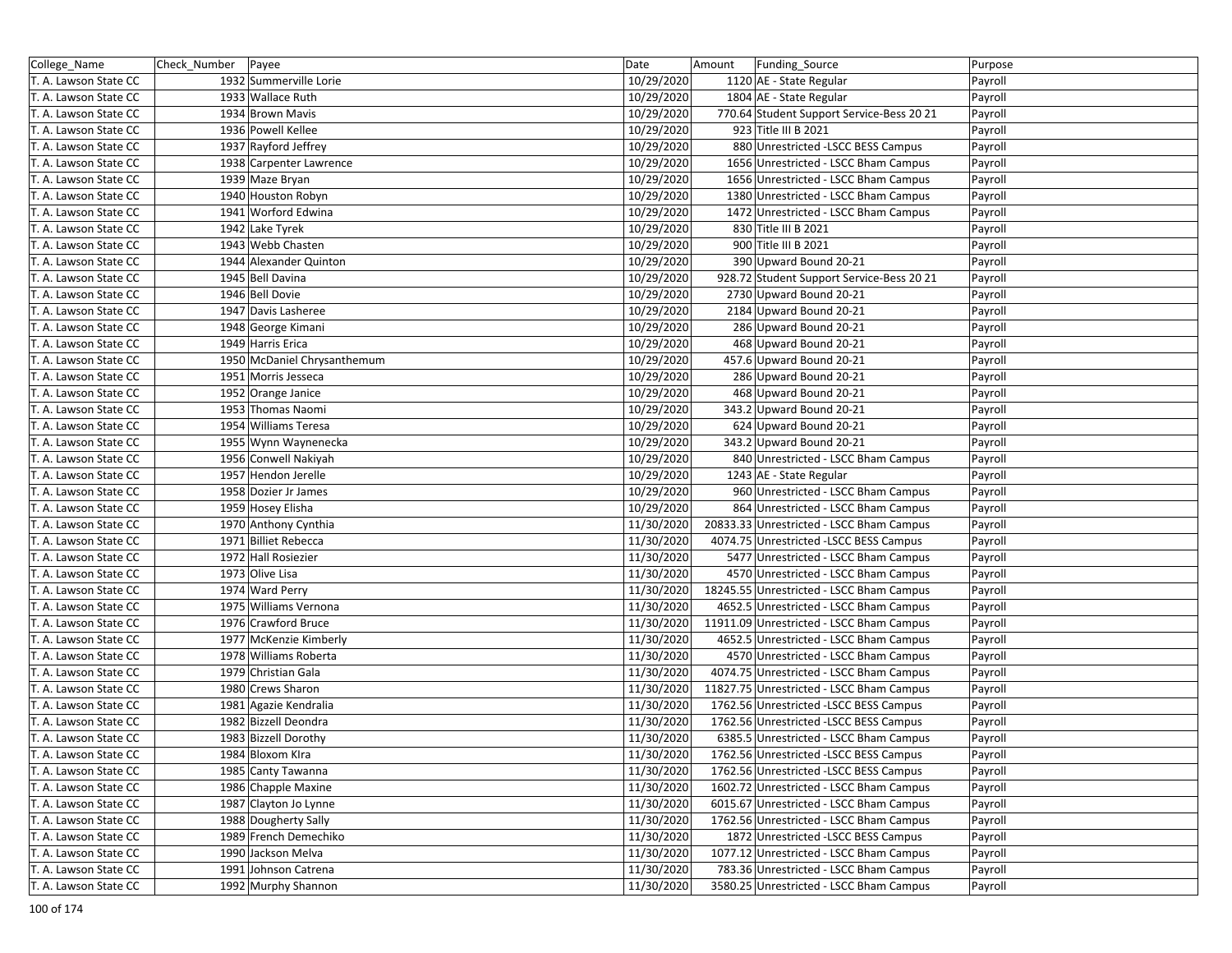| College_Name          | Check_Number Payee |                             | Date       | Amount | Funding_Source                            | Purpose |
|-----------------------|--------------------|-----------------------------|------------|--------|-------------------------------------------|---------|
| T. A. Lawson State CC |                    | 1932 Summerville Lorie      | 10/29/2020 |        | 1120 AE - State Regular                   | Payroll |
| T. A. Lawson State CC |                    | 1933 Wallace Ruth           | 10/29/2020 |        | 1804 AE - State Regular                   | Payroll |
| T. A. Lawson State CC |                    | 1934 Brown Mavis            | 10/29/2020 |        | 770.64 Student Support Service-Bess 20 21 | Payroll |
| T. A. Lawson State CC |                    | 1936 Powell Kellee          | 10/29/2020 |        | 923 Title III B 2021                      | Payroll |
| T. A. Lawson State CC |                    | 1937 Rayford Jeffrey        | 10/29/2020 |        | 880 Unrestricted -LSCC BESS Campus        | Payroll |
| T. A. Lawson State CC |                    | 1938 Carpenter Lawrence     | 10/29/2020 |        | 1656 Unrestricted - LSCC Bham Campus      | Payroll |
| T. A. Lawson State CC |                    | 1939 Maze Bryan             | 10/29/2020 |        | 1656 Unrestricted - LSCC Bham Campus      | Payroll |
| T. A. Lawson State CC |                    | 1940 Houston Robyn          | 10/29/2020 |        | 1380 Unrestricted - LSCC Bham Campus      | Payroll |
| T. A. Lawson State CC |                    | 1941 Worford Edwina         | 10/29/2020 |        | 1472 Unrestricted - LSCC Bham Campus      | Payroll |
| T. A. Lawson State CC |                    | 1942 Lake Tyrek             | 10/29/2020 |        | 830 Title III B 2021                      | Payroll |
| T. A. Lawson State CC |                    | 1943 Webb Chasten           | 10/29/2020 |        | 900 Title III B 2021                      | Payroll |
| T. A. Lawson State CC |                    | 1944 Alexander Quinton      | 10/29/2020 |        | 390 Upward Bound 20-21                    | Payroll |
| T. A. Lawson State CC |                    | 1945 Bell Davina            | 10/29/2020 |        | 928.72 Student Support Service-Bess 20 21 | Payroll |
| T. A. Lawson State CC |                    | 1946 Bell Dovie             | 10/29/2020 |        | 2730 Upward Bound 20-21                   | Payroll |
| T. A. Lawson State CC |                    | 1947 Davis Lasheree         | 10/29/2020 |        | 2184 Upward Bound 20-21                   | Payroll |
| T. A. Lawson State CC |                    | 1948 George Kimani          | 10/29/2020 |        | 286 Upward Bound 20-21                    | Payroll |
| T. A. Lawson State CC |                    | 1949 Harris Erica           | 10/29/2020 |        | 468 Upward Bound 20-21                    | Payroll |
| T. A. Lawson State CC |                    | 1950 McDaniel Chrysanthemum | 10/29/2020 |        | 457.6 Upward Bound 20-21                  | Payroll |
| T. A. Lawson State CC |                    | 1951 Morris Jesseca         | 10/29/2020 |        | 286 Upward Bound 20-21                    | Payroll |
| T. A. Lawson State CC |                    | 1952 Orange Janice          | 10/29/2020 |        | 468 Upward Bound 20-21                    | Payroll |
| T. A. Lawson State CC |                    | 1953 Thomas Naomi           | 10/29/2020 |        | 343.2 Upward Bound 20-21                  | Payroll |
| T. A. Lawson State CC |                    | 1954 Williams Teresa        | 10/29/2020 |        | 624 Upward Bound 20-21                    | Payroll |
| T. A. Lawson State CC |                    | 1955 Wynn Waynenecka        | 10/29/2020 |        | 343.2 Upward Bound 20-21                  | Payroll |
| T. A. Lawson State CC |                    | 1956 Conwell Nakiyah        | 10/29/2020 |        | 840 Unrestricted - LSCC Bham Campus       | Payroll |
| T. A. Lawson State CC |                    | 1957 Hendon Jerelle         | 10/29/2020 |        | 1243 AE - State Regular                   | Payroll |
| T. A. Lawson State CC |                    | 1958 Dozier Jr James        | 10/29/2020 |        | 960 Unrestricted - LSCC Bham Campus       | Payroll |
| T. A. Lawson State CC |                    | 1959 Hosey Elisha           | 10/29/2020 |        | 864 Unrestricted - LSCC Bham Campus       | Payroll |
| T. A. Lawson State CC |                    | 1970 Anthony Cynthia        | 11/30/2020 |        | 20833.33 Unrestricted - LSCC Bham Campus  | Payroll |
| T. A. Lawson State CC |                    | 1971 Billiet Rebecca        | 11/30/2020 |        | 4074.75 Unrestricted -LSCC BESS Campus    | Payroll |
| T. A. Lawson State CC |                    | 1972 Hall Rosiezier         | 11/30/2020 |        | 5477 Unrestricted - LSCC Bham Campus      | Payroll |
| T. A. Lawson State CC |                    | 1973 Olive Lisa             | 11/30/2020 |        | 4570 Unrestricted - LSCC Bham Campus      | Payroll |
| T. A. Lawson State CC |                    | 1974 Ward Perry             | 11/30/2020 |        | 18245.55 Unrestricted - LSCC Bham Campus  | Payroll |
| T. A. Lawson State CC |                    | 1975 Williams Vernona       | 11/30/2020 |        | 4652.5 Unrestricted - LSCC Bham Campus    | Payroll |
| T. A. Lawson State CC |                    | 1976 Crawford Bruce         | 11/30/2020 |        | 11911.09 Unrestricted - LSCC Bham Campus  | Payroll |
| T. A. Lawson State CC |                    | 1977 McKenzie Kimberly      | 11/30/2020 |        | 4652.5 Unrestricted - LSCC Bham Campus    | Payroll |
| T. A. Lawson State CC |                    | 1978 Williams Roberta       | 11/30/2020 |        | 4570 Unrestricted - LSCC Bham Campus      | Payroll |
| T. A. Lawson State CC |                    | 1979 Christian Gala         | 11/30/2020 |        | 4074.75 Unrestricted - LSCC Bham Campus   | Payroll |
| T. A. Lawson State CC |                    | 1980 Crews Sharon           | 11/30/2020 |        | 11827.75 Unrestricted - LSCC Bham Campus  | Payroll |
| T. A. Lawson State CC |                    | 1981 Agazie Kendralia       | 11/30/2020 |        | 1762.56 Unrestricted -LSCC BESS Campus    | Payroll |
| T. A. Lawson State CC |                    | 1982 Bizzell Deondra        | 11/30/2020 |        | 1762.56 Unrestricted -LSCC BESS Campus    | Payroll |
| T. A. Lawson State CC |                    | 1983 Bizzell Dorothy        | 11/30/2020 |        | 6385.5 Unrestricted - LSCC Bham Campus    | Payroll |
| T. A. Lawson State CC |                    | 1984 Bloxom Kira            | 11/30/2020 |        | 1762.56 Unrestricted -LSCC BESS Campus    | Payroll |
| T. A. Lawson State CC |                    | 1985 Canty Tawanna          | 11/30/2020 |        | 1762.56 Unrestricted -LSCC BESS Campus    | Payroll |
| T. A. Lawson State CC |                    | 1986 Chapple Maxine         | 11/30/2020 |        | 1602.72 Unrestricted - LSCC Bham Campus   | Payroll |
| T. A. Lawson State CC |                    | 1987 Clayton Jo Lynne       | 11/30/2020 |        | 6015.67 Unrestricted - LSCC Bham Campus   | Payroll |
| T. A. Lawson State CC |                    | 1988 Dougherty Sally        | 11/30/2020 |        | 1762.56 Unrestricted - LSCC Bham Campus   | Payroll |
| T. A. Lawson State CC |                    | 1989 French Demechiko       | 11/30/2020 |        | 1872 Unrestricted -LSCC BESS Campus       | Payroll |
| T. A. Lawson State CC |                    | 1990 Jackson Melva          | 11/30/2020 |        | 1077.12 Unrestricted - LSCC Bham Campus   | Payroll |
| T. A. Lawson State CC |                    | 1991 Johnson Catrena        | 11/30/2020 |        | 783.36 Unrestricted - LSCC Bham Campus    | Payroll |
| T. A. Lawson State CC |                    | 1992 Murphy Shannon         | 11/30/2020 |        | 3580.25 Unrestricted - LSCC Bham Campus   | Payroll |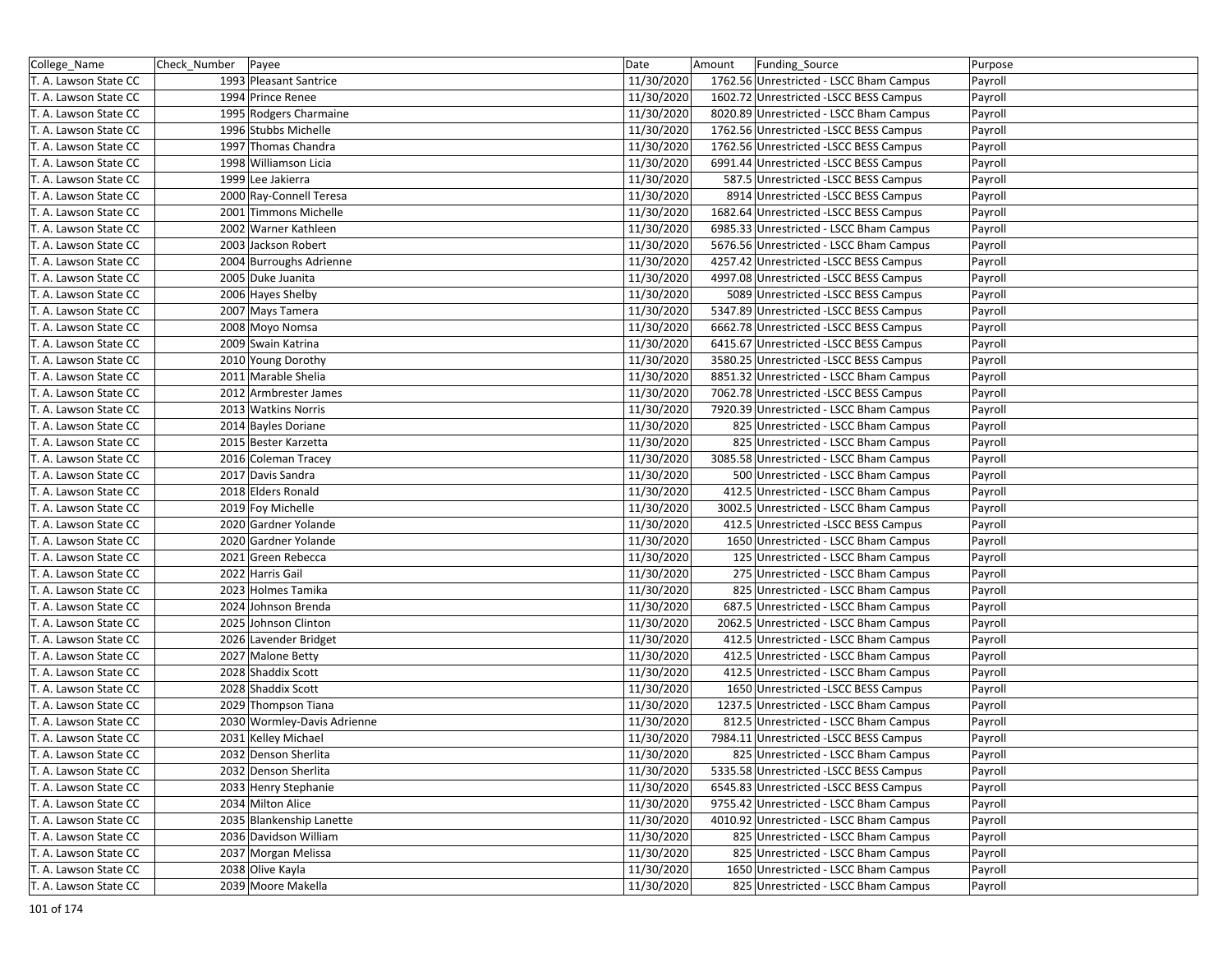| College_Name          | Check_Number   Payee |                             | Date       | Amount | Funding_Source                          | Purpose |
|-----------------------|----------------------|-----------------------------|------------|--------|-----------------------------------------|---------|
| T. A. Lawson State CC |                      | 1993 Pleasant Santrice      | 11/30/2020 |        | 1762.56 Unrestricted - LSCC Bham Campus | Payroll |
| T. A. Lawson State CC |                      | 1994 Prince Renee           | 11/30/2020 |        | 1602.72 Unrestricted -LSCC BESS Campus  | Payroll |
| T. A. Lawson State CC |                      | 1995 Rodgers Charmaine      | 11/30/2020 |        | 8020.89 Unrestricted - LSCC Bham Campus | Payroll |
| T. A. Lawson State CC |                      | 1996 Stubbs Michelle        | 11/30/2020 |        | 1762.56 Unrestricted -LSCC BESS Campus  | Payroll |
| T. A. Lawson State CC |                      | 1997 Thomas Chandra         | 11/30/2020 |        | 1762.56 Unrestricted -LSCC BESS Campus  | Payroll |
| T. A. Lawson State CC |                      | 1998 Williamson Licia       | 11/30/2020 |        | 6991.44 Unrestricted -LSCC BESS Campus  | Payroll |
| T. A. Lawson State CC |                      | 1999 Lee Jakierra           | 11/30/2020 |        | 587.5 Unrestricted -LSCC BESS Campus    | Payroll |
| T. A. Lawson State CC |                      | 2000 Ray-Connell Teresa     | 11/30/2020 |        | 8914 Unrestricted -LSCC BESS Campus     | Payroll |
| T. A. Lawson State CC |                      | 2001 Timmons Michelle       | 11/30/2020 |        | 1682.64 Unrestricted -LSCC BESS Campus  | Payroll |
| T. A. Lawson State CC |                      | 2002 Warner Kathleen        | 11/30/2020 |        | 6985.33 Unrestricted - LSCC Bham Campus | Payroll |
| T. A. Lawson State CC |                      | 2003 Jackson Robert         | 11/30/2020 |        | 5676.56 Unrestricted - LSCC Bham Campus | Payroll |
| T. A. Lawson State CC |                      | 2004 Burroughs Adrienne     | 11/30/2020 |        | 4257.42 Unrestricted -LSCC BESS Campus  | Payroll |
| T. A. Lawson State CC |                      | 2005 Duke Juanita           | 11/30/2020 |        | 4997.08 Unrestricted -LSCC BESS Campus  | Payroll |
| T. A. Lawson State CC |                      | 2006 Hayes Shelby           | 11/30/2020 |        | 5089 Unrestricted -LSCC BESS Campus     | Payroll |
| T. A. Lawson State CC |                      | 2007 Mays Tamera            | 11/30/2020 |        | 5347.89 Unrestricted -LSCC BESS Campus  | Payroll |
| T. A. Lawson State CC |                      | 2008 Moyo Nomsa             | 11/30/2020 |        | 6662.78 Unrestricted -LSCC BESS Campus  | Payroll |
| T. A. Lawson State CC |                      | 2009 Swain Katrina          | 11/30/2020 |        | 6415.67 Unrestricted -LSCC BESS Campus  | Payroll |
| T. A. Lawson State CC |                      | 2010 Young Dorothy          | 11/30/2020 |        | 3580.25 Unrestricted -LSCC BESS Campus  | Payroll |
| T. A. Lawson State CC |                      | 2011 Marable Shelia         | 11/30/2020 |        | 8851.32 Unrestricted - LSCC Bham Campus | Payroll |
| T. A. Lawson State CC |                      | 2012 Armbrester James       | 11/30/2020 |        | 7062.78 Unrestricted -LSCC BESS Campus  | Payroll |
| T. A. Lawson State CC |                      | 2013 Watkins Norris         | 11/30/2020 |        | 7920.39 Unrestricted - LSCC Bham Campus | Payroll |
| T. A. Lawson State CC |                      | 2014 Bayles Doriane         | 11/30/2020 |        | 825 Unrestricted - LSCC Bham Campus     | Payroll |
| T. A. Lawson State CC |                      | 2015 Bester Karzetta        | 11/30/2020 |        | 825 Unrestricted - LSCC Bham Campus     | Payroll |
| T. A. Lawson State CC |                      | 2016 Coleman Tracey         | 11/30/2020 |        | 3085.58 Unrestricted - LSCC Bham Campus | Payroll |
| T. A. Lawson State CC |                      | 2017 Davis Sandra           | 11/30/2020 |        | 500 Unrestricted - LSCC Bham Campus     | Payroll |
| T. A. Lawson State CC |                      | 2018 Elders Ronald          | 11/30/2020 |        | 412.5 Unrestricted - LSCC Bham Campus   | Payroll |
| T. A. Lawson State CC |                      | 2019 Foy Michelle           | 11/30/2020 |        | 3002.5 Unrestricted - LSCC Bham Campus  | Payroll |
| T. A. Lawson State CC |                      | 2020 Gardner Yolande        | 11/30/2020 |        | 412.5 Unrestricted -LSCC BESS Campus    | Payroll |
| T. A. Lawson State CC |                      | 2020 Gardner Yolande        | 11/30/2020 |        | 1650 Unrestricted - LSCC Bham Campus    | Payroll |
| T. A. Lawson State CC |                      | 2021 Green Rebecca          | 11/30/2020 |        | 125 Unrestricted - LSCC Bham Campus     | Payroll |
| T. A. Lawson State CC |                      | 2022 Harris Gail            | 11/30/2020 |        | 275 Unrestricted - LSCC Bham Campus     | Payroll |
| T. A. Lawson State CC |                      | 2023 Holmes Tamika          | 11/30/2020 |        | 825 Unrestricted - LSCC Bham Campus     | Payroll |
| T. A. Lawson State CC |                      | 2024 Johnson Brenda         | 11/30/2020 |        | 687.5 Unrestricted - LSCC Bham Campus   | Payroll |
| T. A. Lawson State CC |                      | 2025 Johnson Clinton        | 11/30/2020 |        | 2062.5 Unrestricted - LSCC Bham Campus  | Payroll |
| T. A. Lawson State CC |                      | 2026 Lavender Bridget       | 11/30/2020 |        | 412.5 Unrestricted - LSCC Bham Campus   | Payroll |
| T. A. Lawson State CC |                      | 2027 Malone Betty           | 11/30/2020 |        | 412.5 Unrestricted - LSCC Bham Campus   | Payroll |
| T. A. Lawson State CC |                      | 2028 Shaddix Scott          | 11/30/2020 |        | 412.5 Unrestricted - LSCC Bham Campus   | Payroll |
| T. A. Lawson State CC |                      | 2028 Shaddix Scott          | 11/30/2020 |        | 1650 Unrestricted -LSCC BESS Campus     | Payroll |
| T. A. Lawson State CC |                      | 2029 Thompson Tiana         | 11/30/2020 |        | 1237.5 Unrestricted - LSCC Bham Campus  | Payroll |
| T. A. Lawson State CC |                      | 2030 Wormley-Davis Adrienne | 11/30/2020 |        | 812.5 Unrestricted - LSCC Bham Campus   | Payroll |
| T. A. Lawson State CC |                      | 2031 Kelley Michael         | 11/30/2020 |        | 7984.11 Unrestricted -LSCC BESS Campus  | Payroll |
| T. A. Lawson State CC |                      | 2032 Denson Sherlita        | 11/30/2020 |        | 825 Unrestricted - LSCC Bham Campus     | Payroll |
| T. A. Lawson State CC |                      | 2032 Denson Sherlita        | 11/30/2020 |        | 5335.58 Unrestricted - LSCC BESS Campus | Payroll |
| T. A. Lawson State CC |                      | 2033 Henry Stephanie        | 11/30/2020 |        | 6545.83 Unrestricted -LSCC BESS Campus  | Payroll |
| T. A. Lawson State CC |                      | 2034 Milton Alice           | 11/30/2020 |        | 9755.42 Unrestricted - LSCC Bham Campus | Payroll |
| T. A. Lawson State CC |                      | 2035 Blankenship Lanette    | 11/30/2020 |        | 4010.92 Unrestricted - LSCC Bham Campus | Payroll |
| T. A. Lawson State CC |                      | 2036 Davidson William       | 11/30/2020 |        | 825 Unrestricted - LSCC Bham Campus     | Payroll |
| T. A. Lawson State CC |                      | 2037 Morgan Melissa         | 11/30/2020 |        | 825 Unrestricted - LSCC Bham Campus     | Payroll |
| T. A. Lawson State CC |                      | 2038 Olive Kayla            | 11/30/2020 |        | 1650 Unrestricted - LSCC Bham Campus    | Payroll |
| T. A. Lawson State CC |                      | 2039 Moore Makella          | 11/30/2020 |        | 825 Unrestricted - LSCC Bham Campus     | Payroll |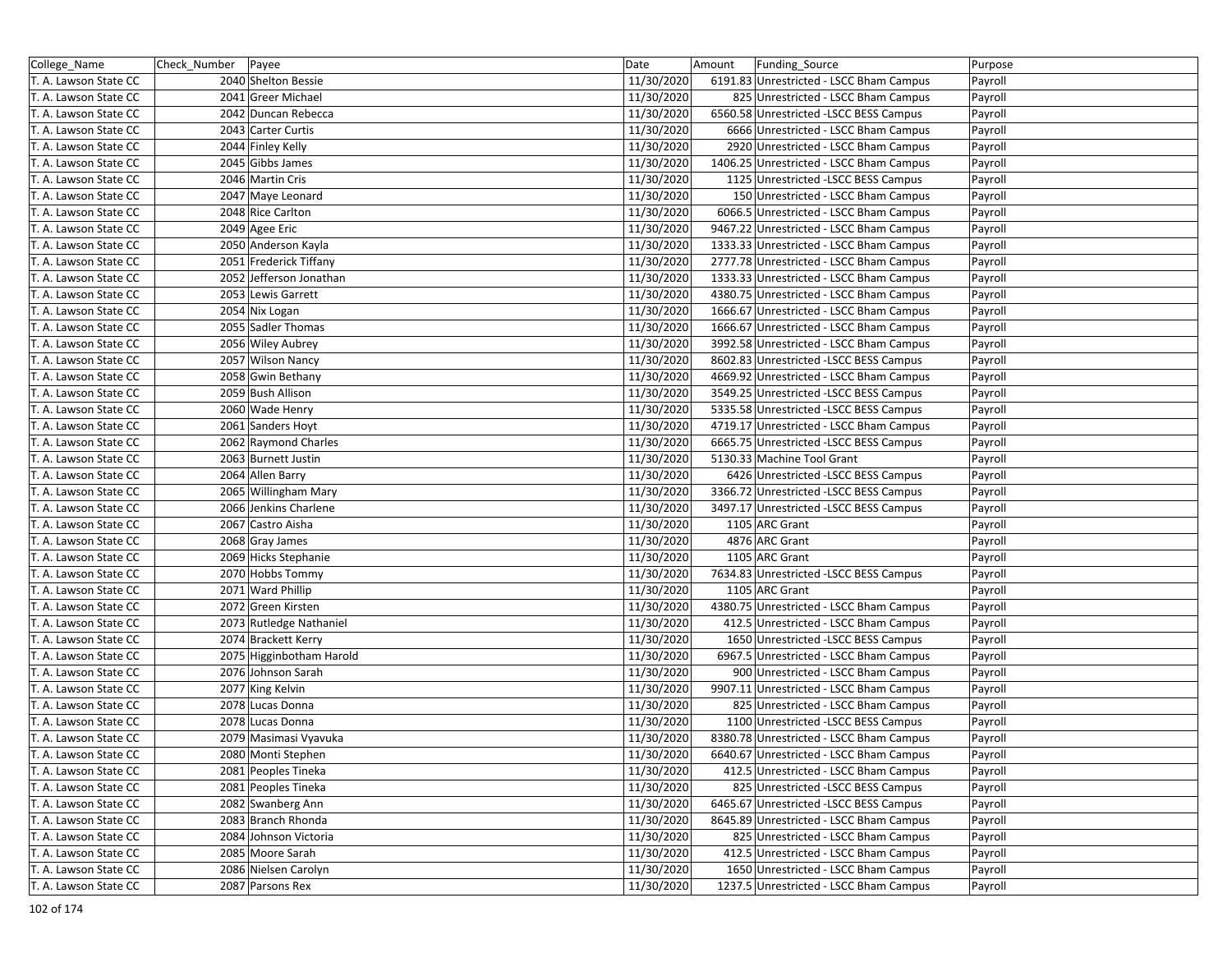| College_Name          | Check_Number Payee |                          | Date       | Amount | Funding_Source                          | Purpose |
|-----------------------|--------------------|--------------------------|------------|--------|-----------------------------------------|---------|
| T. A. Lawson State CC |                    | 2040 Shelton Bessie      | 11/30/2020 |        | 6191.83 Unrestricted - LSCC Bham Campus | Payroll |
| T. A. Lawson State CC |                    | 2041 Greer Michael       | 11/30/2020 |        | 825 Unrestricted - LSCC Bham Campus     | Payroll |
| T. A. Lawson State CC |                    | 2042 Duncan Rebecca      | 11/30/2020 |        | 6560.58 Unrestricted -LSCC BESS Campus  | Payroll |
| T. A. Lawson State CC |                    | 2043 Carter Curtis       | 11/30/2020 |        | 6666 Unrestricted - LSCC Bham Campus    | Payroll |
| T. A. Lawson State CC |                    | 2044 Finley Kelly        | 11/30/2020 |        | 2920 Unrestricted - LSCC Bham Campus    | Payroll |
| T. A. Lawson State CC |                    | 2045 Gibbs James         | 11/30/2020 |        | 1406.25 Unrestricted - LSCC Bham Campus | Payroll |
| T. A. Lawson State CC |                    | 2046 Martin Cris         | 11/30/2020 |        | 1125 Unrestricted -LSCC BESS Campus     | Payroll |
| T. A. Lawson State CC |                    | 2047 Maye Leonard        | 11/30/2020 |        | 150 Unrestricted - LSCC Bham Campus     | Payroll |
| T. A. Lawson State CC |                    | 2048 Rice Carlton        | 11/30/2020 |        | 6066.5 Unrestricted - LSCC Bham Campus  | Payroll |
| T. A. Lawson State CC |                    | 2049 Agee Eric           | 11/30/2020 |        | 9467.22 Unrestricted - LSCC Bham Campus | Payroll |
| T. A. Lawson State CC |                    | 2050 Anderson Kayla      | 11/30/2020 |        | 1333.33 Unrestricted - LSCC Bham Campus | Payroll |
| T. A. Lawson State CC |                    | 2051 Frederick Tiffany   | 11/30/2020 |        | 2777.78 Unrestricted - LSCC Bham Campus | Payroll |
| T. A. Lawson State CC |                    | 2052 Jefferson Jonathan  | 11/30/2020 |        | 1333.33 Unrestricted - LSCC Bham Campus | Payroll |
| T. A. Lawson State CC |                    | 2053 Lewis Garrett       | 11/30/2020 |        | 4380.75 Unrestricted - LSCC Bham Campus | Payroll |
| T. A. Lawson State CC |                    | 2054 Nix Logan           | 11/30/2020 |        | 1666.67 Unrestricted - LSCC Bham Campus | Payroll |
| T. A. Lawson State CC |                    | 2055 Sadler Thomas       | 11/30/2020 |        | 1666.67 Unrestricted - LSCC Bham Campus | Payroll |
| T. A. Lawson State CC |                    | 2056 Wiley Aubrey        | 11/30/2020 |        | 3992.58 Unrestricted - LSCC Bham Campus | Payroll |
| T. A. Lawson State CC |                    | 2057 Wilson Nancy        | 11/30/2020 |        | 8602.83 Unrestricted -LSCC BESS Campus  | Payroll |
| T. A. Lawson State CC |                    | 2058 Gwin Bethany        | 11/30/2020 |        | 4669.92 Unrestricted - LSCC Bham Campus | Payroll |
| T. A. Lawson State CC |                    | 2059 Bush Allison        | 11/30/2020 |        | 3549.25 Unrestricted -LSCC BESS Campus  | Payroll |
| T. A. Lawson State CC |                    | 2060 Wade Henry          | 11/30/2020 |        | 5335.58 Unrestricted -LSCC BESS Campus  | Payroll |
| T. A. Lawson State CC |                    | 2061 Sanders Hoyt        | 11/30/2020 |        | 4719.17 Unrestricted - LSCC Bham Campus | Payroll |
| T. A. Lawson State CC |                    | 2062 Raymond Charles     | 11/30/2020 |        | 6665.75 Unrestricted -LSCC BESS Campus  | Payroll |
| T. A. Lawson State CC |                    | 2063 Burnett Justin      | 11/30/2020 |        | 5130.33 Machine Tool Grant              | Payroll |
| T. A. Lawson State CC |                    | 2064 Allen Barry         | 11/30/2020 |        | 6426 Unrestricted -LSCC BESS Campus     | Payroll |
| T. A. Lawson State CC |                    | 2065 Willingham Mary     | 11/30/2020 |        | 3366.72 Unrestricted -LSCC BESS Campus  | Payroll |
| T. A. Lawson State CC |                    | 2066 Jenkins Charlene    | 11/30/2020 |        | 3497.17 Unrestricted - LSCC BESS Campus | Payroll |
| T. A. Lawson State CC |                    | 2067 Castro Aisha        | 11/30/2020 |        | 1105 ARC Grant                          | Payroll |
| T. A. Lawson State CC |                    | 2068 Gray James          | 11/30/2020 |        | 4876 ARC Grant                          | Payroll |
| T. A. Lawson State CC |                    | 2069 Hicks Stephanie     | 11/30/2020 |        | 1105 ARC Grant                          | Payroll |
| T. A. Lawson State CC |                    | 2070 Hobbs Tommy         | 11/30/2020 |        | 7634.83 Unrestricted -LSCC BESS Campus  | Payroll |
| T. A. Lawson State CC |                    | 2071 Ward Phillip        | 11/30/2020 |        | 1105 ARC Grant                          | Payroll |
| T. A. Lawson State CC |                    | 2072 Green Kirsten       | 11/30/2020 |        | 4380.75 Unrestricted - LSCC Bham Campus | Payroll |
| T. A. Lawson State CC |                    | 2073 Rutledge Nathaniel  | 11/30/2020 |        | 412.5 Unrestricted - LSCC Bham Campus   | Payroll |
| T. A. Lawson State CC |                    | 2074 Brackett Kerry      | 11/30/2020 |        | 1650 Unrestricted -LSCC BESS Campus     | Payroll |
| T. A. Lawson State CC |                    | 2075 Higginbotham Harold | 11/30/2020 |        | 6967.5 Unrestricted - LSCC Bham Campus  | Payroll |
| T. A. Lawson State CC |                    | 2076 Johnson Sarah       | 11/30/2020 |        | 900 Unrestricted - LSCC Bham Campus     | Payroll |
| T. A. Lawson State CC |                    | 2077 King Kelvin         | 11/30/2020 |        | 9907.11 Unrestricted - LSCC Bham Campus | Payroll |
| T. A. Lawson State CC |                    | 2078 Lucas Donna         | 11/30/2020 |        | 825 Unrestricted - LSCC Bham Campus     | Payroll |
| T. A. Lawson State CC |                    | 2078 Lucas Donna         | 11/30/2020 |        | 1100 Unrestricted -LSCC BESS Campus     | Payroll |
| T. A. Lawson State CC |                    | 2079 Masimasi Vyavuka    | 11/30/2020 |        | 8380.78 Unrestricted - LSCC Bham Campus | Payroll |
| T. A. Lawson State CC |                    | 2080 Monti Stephen       | 11/30/2020 |        | 6640.67 Unrestricted - LSCC Bham Campus | Payroll |
| T. A. Lawson State CC |                    | 2081 Peoples Tineka      | 11/30/2020 |        | 412.5 Unrestricted - LSCC Bham Campus   | Payroll |
| T. A. Lawson State CC |                    | 2081 Peoples Tineka      | 11/30/2020 |        | 825 Unrestricted -LSCC BESS Campus      | Payroll |
| T. A. Lawson State CC |                    | 2082 Swanberg Ann        | 11/30/2020 |        | 6465.67 Unrestricted -LSCC BESS Campus  | Payroll |
| T. A. Lawson State CC |                    | 2083 Branch Rhonda       | 11/30/2020 |        | 8645.89 Unrestricted - LSCC Bham Campus | Payroll |
| T. A. Lawson State CC |                    | 2084 Johnson Victoria    | 11/30/2020 |        | 825 Unrestricted - LSCC Bham Campus     | Payroll |
| T. A. Lawson State CC |                    | 2085 Moore Sarah         | 11/30/2020 |        | 412.5 Unrestricted - LSCC Bham Campus   | Payroll |
| T. A. Lawson State CC |                    | 2086 Nielsen Carolyn     | 11/30/2020 |        | 1650 Unrestricted - LSCC Bham Campus    | Payroll |
| T. A. Lawson State CC |                    | 2087 Parsons Rex         | 11/30/2020 |        | 1237.5 Unrestricted - LSCC Bham Campus  | Payroll |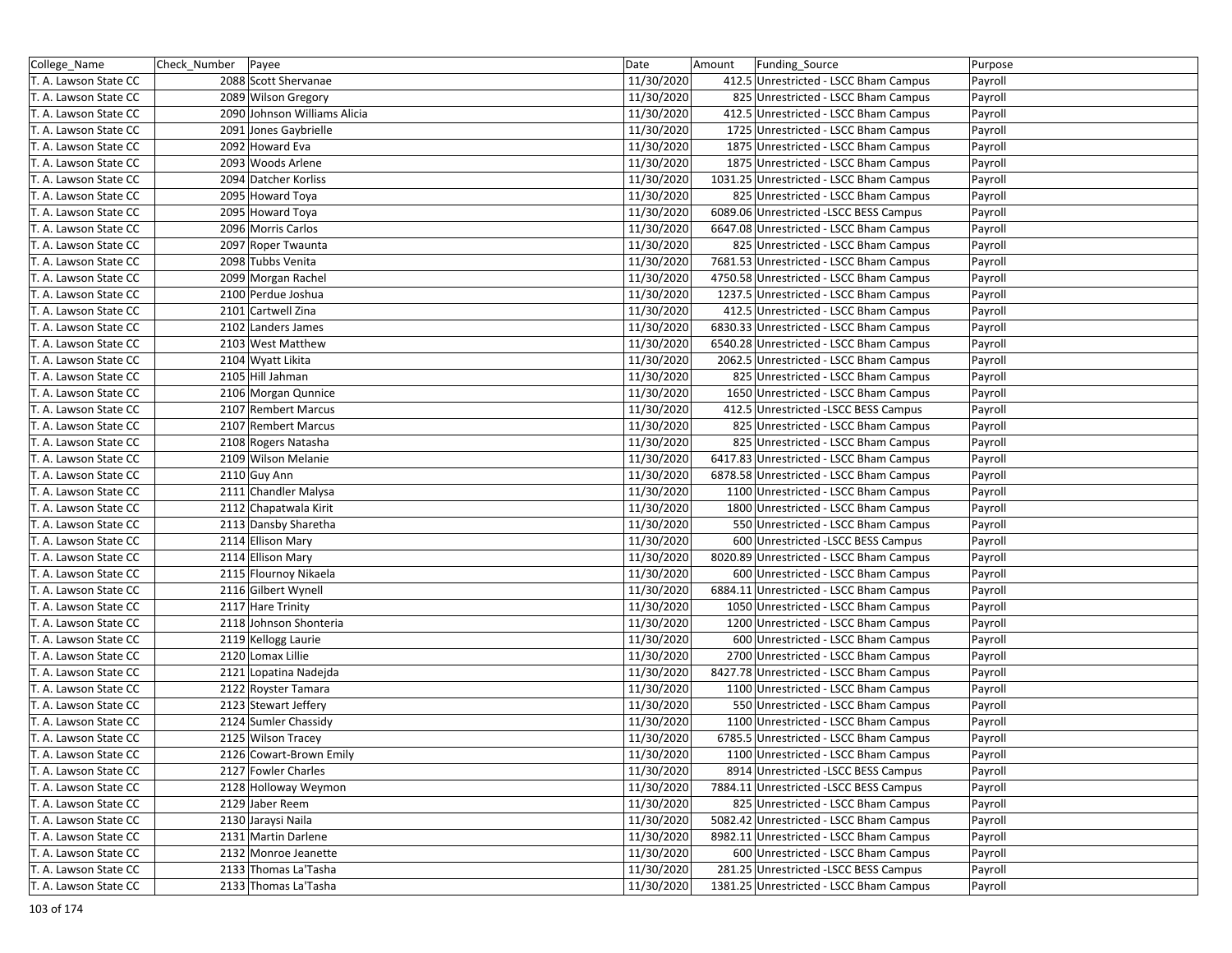| College_Name          | Check_Number Payee |                              | Date       | Amount | Funding_Source                          | Purpose |
|-----------------------|--------------------|------------------------------|------------|--------|-----------------------------------------|---------|
| T. A. Lawson State CC |                    | 2088 Scott Shervanae         | 11/30/2020 |        | 412.5 Unrestricted - LSCC Bham Campus   | Payroll |
| T. A. Lawson State CC |                    | 2089 Wilson Gregory          | 11/30/2020 |        | 825 Unrestricted - LSCC Bham Campus     | Payroll |
| T. A. Lawson State CC |                    | 2090 Johnson Williams Alicia | 11/30/2020 |        | 412.5 Unrestricted - LSCC Bham Campus   | Payroll |
| T. A. Lawson State CC |                    | 2091 Jones Gaybrielle        | 11/30/2020 |        | 1725 Unrestricted - LSCC Bham Campus    | Payroll |
| T. A. Lawson State CC |                    | 2092 Howard Eva              | 11/30/2020 |        | 1875 Unrestricted - LSCC Bham Campus    | Payroll |
| T. A. Lawson State CC |                    | 2093 Woods Arlene            | 11/30/2020 |        | 1875 Unrestricted - LSCC Bham Campus    | Payroll |
| T. A. Lawson State CC |                    | 2094 Datcher Korliss         | 11/30/2020 |        | 1031.25 Unrestricted - LSCC Bham Campus | Payroll |
| T. A. Lawson State CC |                    | 2095 Howard Toya             | 11/30/2020 |        | 825 Unrestricted - LSCC Bham Campus     | Payroll |
| T. A. Lawson State CC |                    | 2095 Howard Toya             | 11/30/2020 |        | 6089.06 Unrestricted -LSCC BESS Campus  | Payroll |
| T. A. Lawson State CC |                    | 2096 Morris Carlos           | 11/30/2020 |        | 6647.08 Unrestricted - LSCC Bham Campus | Payroll |
| T. A. Lawson State CC |                    | 2097 Roper Twaunta           | 11/30/2020 |        | 825 Unrestricted - LSCC Bham Campus     | Payroll |
| T. A. Lawson State CC |                    | 2098 Tubbs Venita            | 11/30/2020 |        | 7681.53 Unrestricted - LSCC Bham Campus | Payroll |
| T. A. Lawson State CC |                    | 2099 Morgan Rachel           | 11/30/2020 |        | 4750.58 Unrestricted - LSCC Bham Campus | Payroll |
| T. A. Lawson State CC |                    | 2100 Perdue Joshua           | 11/30/2020 |        | 1237.5 Unrestricted - LSCC Bham Campus  | Payroll |
| T. A. Lawson State CC |                    | 2101 Cartwell Zina           | 11/30/2020 |        | 412.5 Unrestricted - LSCC Bham Campus   | Payroll |
| T. A. Lawson State CC |                    | 2102 Landers James           | 11/30/2020 |        | 6830.33 Unrestricted - LSCC Bham Campus | Payroll |
| T. A. Lawson State CC |                    | 2103 West Matthew            | 11/30/2020 |        | 6540.28 Unrestricted - LSCC Bham Campus | Payroll |
| T. A. Lawson State CC |                    | 2104 Wyatt Likita            | 11/30/2020 |        | 2062.5 Unrestricted - LSCC Bham Campus  | Payroll |
| T. A. Lawson State CC |                    | 2105 Hill Jahman             | 11/30/2020 |        | 825 Unrestricted - LSCC Bham Campus     | Payroll |
| T. A. Lawson State CC |                    | 2106 Morgan Qunnice          | 11/30/2020 |        | 1650 Unrestricted - LSCC Bham Campus    | Payroll |
| T. A. Lawson State CC |                    | 2107 Rembert Marcus          | 11/30/2020 |        | 412.5 Unrestricted -LSCC BESS Campus    | Payroll |
| T. A. Lawson State CC |                    | 2107 Rembert Marcus          | 11/30/2020 |        | 825 Unrestricted - LSCC Bham Campus     | Payroll |
| T. A. Lawson State CC |                    | 2108 Rogers Natasha          | 11/30/2020 |        | 825 Unrestricted - LSCC Bham Campus     | Payroll |
| T. A. Lawson State CC |                    | 2109 Wilson Melanie          | 11/30/2020 |        | 6417.83 Unrestricted - LSCC Bham Campus | Payroll |
| T. A. Lawson State CC |                    | 2110 Guy Ann                 | 11/30/2020 |        | 6878.58 Unrestricted - LSCC Bham Campus | Payroll |
| T. A. Lawson State CC |                    | 2111 Chandler Malysa         | 11/30/2020 |        | 1100 Unrestricted - LSCC Bham Campus    | Payroll |
| T. A. Lawson State CC |                    | 2112 Chapatwala Kirit        | 11/30/2020 |        | 1800 Unrestricted - LSCC Bham Campus    | Payroll |
| T. A. Lawson State CC |                    | 2113 Dansby Sharetha         | 11/30/2020 |        | 550 Unrestricted - LSCC Bham Campus     | Payroll |
| T. A. Lawson State CC |                    | 2114 Ellison Mary            | 11/30/2020 |        | 600 Unrestricted -LSCC BESS Campus      | Payroll |
| T. A. Lawson State CC |                    | 2114 Ellison Mary            | 11/30/2020 |        | 8020.89 Unrestricted - LSCC Bham Campus | Payroll |
| T. A. Lawson State CC |                    | 2115 Flournoy Nikaela        | 11/30/2020 |        | 600 Unrestricted - LSCC Bham Campus     | Payroll |
| T. A. Lawson State CC |                    | 2116 Gilbert Wynell          | 11/30/2020 |        | 6884.11 Unrestricted - LSCC Bham Campus | Payroll |
| T. A. Lawson State CC |                    | 2117 Hare Trinity            | 11/30/2020 |        | 1050 Unrestricted - LSCC Bham Campus    | Payroll |
| T. A. Lawson State CC |                    | 2118 Johnson Shonteria       | 11/30/2020 |        | 1200 Unrestricted - LSCC Bham Campus    | Payroll |
| T. A. Lawson State CC |                    | 2119 Kellogg Laurie          | 11/30/2020 |        | 600 Unrestricted - LSCC Bham Campus     | Payroll |
| T. A. Lawson State CC |                    | 2120 Lomax Lillie            | 11/30/2020 |        | 2700 Unrestricted - LSCC Bham Campus    | Payroll |
| T. A. Lawson State CC |                    | 2121 Lopatina Nadejda        | 11/30/2020 |        | 8427.78 Unrestricted - LSCC Bham Campus | Payroll |
| T. A. Lawson State CC |                    | 2122 Royster Tamara          | 11/30/2020 |        | 1100 Unrestricted - LSCC Bham Campus    | Payroll |
| T. A. Lawson State CC |                    | 2123 Stewart Jeffery         | 11/30/2020 |        | 550 Unrestricted - LSCC Bham Campus     | Payroll |
| T. A. Lawson State CC |                    | 2124 Sumler Chassidy         | 11/30/2020 |        | 1100 Unrestricted - LSCC Bham Campus    | Payroll |
| T. A. Lawson State CC |                    | 2125 Wilson Tracey           | 11/30/2020 |        | 6785.5 Unrestricted - LSCC Bham Campus  | Payroll |
| T. A. Lawson State CC |                    | 2126 Cowart-Brown Emily      | 11/30/2020 |        | 1100 Unrestricted - LSCC Bham Campus    | Payroll |
| T. A. Lawson State CC |                    | 2127 Fowler Charles          | 11/30/2020 |        | 8914 Unrestricted -LSCC BESS Campus     | Payroll |
| T. A. Lawson State CC |                    | 2128 Holloway Weymon         | 11/30/2020 |        | 7884.11 Unrestricted -LSCC BESS Campus  | Payroll |
| T. A. Lawson State CC |                    | 2129 Jaber Reem              | 11/30/2020 |        | 825 Unrestricted - LSCC Bham Campus     | Payroll |
| T. A. Lawson State CC |                    | 2130 Jaraysi Naila           | 11/30/2020 |        | 5082.42 Unrestricted - LSCC Bham Campus | Payroll |
| T. A. Lawson State CC |                    | 2131 Martin Darlene          | 11/30/2020 |        | 8982.11 Unrestricted - LSCC Bham Campus | Payroll |
| T. A. Lawson State CC |                    | 2132 Monroe Jeanette         | 11/30/2020 |        | 600 Unrestricted - LSCC Bham Campus     | Payroll |
| T. A. Lawson State CC |                    | 2133 Thomas La'Tasha         | 11/30/2020 |        | 281.25 Unrestricted -LSCC BESS Campus   | Payroll |
| T. A. Lawson State CC |                    | 2133 Thomas La'Tasha         | 11/30/2020 |        | 1381.25 Unrestricted - LSCC Bham Campus | Payroll |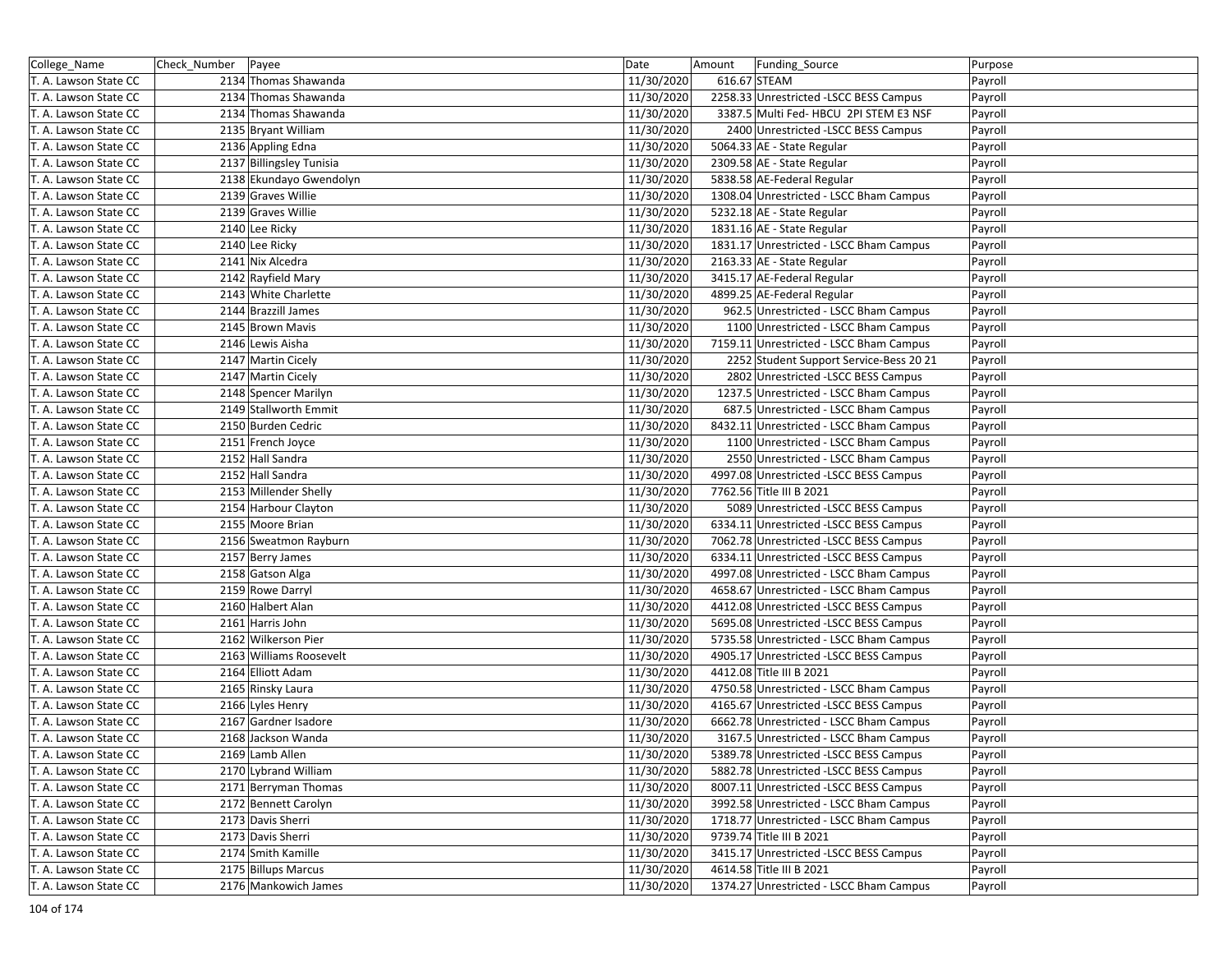| College_Name          | Check_Number   Payee     | Date       | Amount<br>Funding_Source                | Purpose |
|-----------------------|--------------------------|------------|-----------------------------------------|---------|
| T. A. Lawson State CC | 2134 Thomas Shawanda     | 11/30/2020 | 616.67 STEAM                            | Payroll |
| T. A. Lawson State CC | 2134 Thomas Shawanda     | 11/30/2020 | 2258.33 Unrestricted -LSCC BESS Campus  | Payroll |
| T. A. Lawson State CC | 2134 Thomas Shawanda     | 11/30/2020 | 3387.5 Multi Fed- HBCU 2PI STEM E3 NSF  | Payroll |
| T. A. Lawson State CC | 2135 Bryant William      | 11/30/2020 | 2400 Unrestricted -LSCC BESS Campus     | Payroll |
| T. A. Lawson State CC | 2136 Appling Edna        | 11/30/2020 | 5064.33 AE - State Regular              | Payroll |
| T. A. Lawson State CC | 2137 Billingsley Tunisia | 11/30/2020 | 2309.58 AE - State Regular              | Payroll |
| T. A. Lawson State CC | 2138 Ekundayo Gwendolyn  | 11/30/2020 | 5838.58 AE-Federal Regular              | Payroll |
| T. A. Lawson State CC | 2139 Graves Willie       | 11/30/2020 | 1308.04 Unrestricted - LSCC Bham Campus | Payroll |
| T. A. Lawson State CC | 2139 Graves Willie       | 11/30/2020 | 5232.18 AE - State Regular              | Payroll |
| T. A. Lawson State CC | 2140 Lee Ricky           | 11/30/2020 | 1831.16 AE - State Regular              | Payroll |
| T. A. Lawson State CC | 2140 Lee Ricky           | 11/30/2020 | 1831.17 Unrestricted - LSCC Bham Campus | Payroll |
| T. A. Lawson State CC | 2141 Nix Alcedra         | 11/30/2020 | 2163.33 AE - State Regular              | Payroll |
| T. A. Lawson State CC | 2142 Rayfield Mary       | 11/30/2020 | 3415.17 AE-Federal Regular              | Payroll |
| T. A. Lawson State CC | 2143 White Charlette     | 11/30/2020 | 4899.25 AE-Federal Regular              | Payroll |
| T. A. Lawson State CC | 2144 Brazzill James      | 11/30/2020 | 962.5 Unrestricted - LSCC Bham Campus   | Payroll |
| T. A. Lawson State CC | 2145 Brown Mavis         | 11/30/2020 | 1100 Unrestricted - LSCC Bham Campus    | Payroll |
| T. A. Lawson State CC | 2146 Lewis Aisha         | 11/30/2020 | 7159.11 Unrestricted - LSCC Bham Campus | Payroll |
| T. A. Lawson State CC | 2147 Martin Cicely       | 11/30/2020 | 2252 Student Support Service-Bess 20 21 | Payroll |
| T. A. Lawson State CC | 2147 Martin Cicely       | 11/30/2020 | 2802 Unrestricted -LSCC BESS Campus     | Payroll |
| T. A. Lawson State CC | 2148 Spencer Marilyn     | 11/30/2020 | 1237.5 Unrestricted - LSCC Bham Campus  | Payroll |
| T. A. Lawson State CC | 2149 Stallworth Emmit    | 11/30/2020 | 687.5 Unrestricted - LSCC Bham Campus   | Payroll |
| T. A. Lawson State CC | 2150 Burden Cedric       | 11/30/2020 | 8432.11 Unrestricted - LSCC Bham Campus | Payroll |
| T. A. Lawson State CC | 2151 French Joyce        | 11/30/2020 | 1100 Unrestricted - LSCC Bham Campus    | Payroll |
| T. A. Lawson State CC | 2152 Hall Sandra         | 11/30/2020 | 2550 Unrestricted - LSCC Bham Campus    | Payroll |
| T. A. Lawson State CC | 2152 Hall Sandra         | 11/30/2020 | 4997.08 Unrestricted -LSCC BESS Campus  | Payroll |
| T. A. Lawson State CC | 2153 Millender Shelly    | 11/30/2020 | 7762.56 Title III B 2021                | Payroll |
| T. A. Lawson State CC | 2154 Harbour Clayton     | 11/30/2020 | 5089 Unrestricted -LSCC BESS Campus     | Payroll |
| T. A. Lawson State CC | 2155 Moore Brian         | 11/30/2020 | 6334.11 Unrestricted -LSCC BESS Campus  | Payroll |
| T. A. Lawson State CC | 2156 Sweatmon Rayburn    | 11/30/2020 | 7062.78 Unrestricted -LSCC BESS Campus  | Payroll |
| T. A. Lawson State CC | 2157 Berry James         | 11/30/2020 | 6334.11 Unrestricted -LSCC BESS Campus  | Payroll |
| T. A. Lawson State CC | 2158 Gatson Alga         | 11/30/2020 | 4997.08 Unrestricted - LSCC Bham Campus | Payroll |
| T. A. Lawson State CC | 2159 Rowe Darryl         | 11/30/2020 | 4658.67 Unrestricted - LSCC Bham Campus | Payroll |
| T. A. Lawson State CC | 2160 Halbert Alan        | 11/30/2020 | 4412.08 Unrestricted -LSCC BESS Campus  | Payroll |
| T. A. Lawson State CC | 2161 Harris John         | 11/30/2020 | 5695.08 Unrestricted -LSCC BESS Campus  | Payroll |
| T. A. Lawson State CC | 2162 Wilkerson Pier      | 11/30/2020 | 5735.58 Unrestricted - LSCC Bham Campus | Payroll |
| T. A. Lawson State CC | 2163 Williams Roosevelt  | 11/30/2020 | 4905.17 Unrestricted -LSCC BESS Campus  | Payroll |
| T. A. Lawson State CC | 2164 Elliott Adam        | 11/30/2020 | 4412.08 Title III B 2021                | Payroll |
| T. A. Lawson State CC | 2165 Rinsky Laura        | 11/30/2020 | 4750.58 Unrestricted - LSCC Bham Campus | Payroll |
| T. A. Lawson State CC | 2166 Lyles Henry         | 11/30/2020 | 4165.67 Unrestricted -LSCC BESS Campus  | Payroll |
| T. A. Lawson State CC | 2167 Gardner Isadore     | 11/30/2020 | 6662.78 Unrestricted - LSCC Bham Campus | Payroll |
| T. A. Lawson State CC | 2168 Jackson Wanda       | 11/30/2020 | 3167.5 Unrestricted - LSCC Bham Campus  | Payroll |
| T. A. Lawson State CC | 2169 Lamb Allen          | 11/30/2020 | 5389.78 Unrestricted -LSCC BESS Campus  | Payroll |
| T. A. Lawson State CC | 2170 Lybrand William     | 11/30/2020 | 5882.78 Unrestricted -LSCC BESS Campus  | Payroll |
| T. A. Lawson State CC | 2171 Berryman Thomas     | 11/30/2020 | 8007.11 Unrestricted -LSCC BESS Campus  | Payroll |
| T. A. Lawson State CC | 2172 Bennett Carolyn     | 11/30/2020 | 3992.58 Unrestricted - LSCC Bham Campus | Payroll |
| T. A. Lawson State CC | 2173 Davis Sherri        | 11/30/2020 | 1718.77 Unrestricted - LSCC Bham Campus | Payroll |
| T. A. Lawson State CC | 2173 Davis Sherri        | 11/30/2020 | 9739.74 Title III B 2021                | Payroll |
| T. A. Lawson State CC | 2174 Smith Kamille       | 11/30/2020 | 3415.17 Unrestricted -LSCC BESS Campus  | Payroll |
| T. A. Lawson State CC | 2175 Billups Marcus      | 11/30/2020 | 4614.58 Title III B 2021                | Payroll |
| T. A. Lawson State CC | 2176 Mankowich James     | 11/30/2020 | 1374.27 Unrestricted - LSCC Bham Campus | Payroll |
|                       |                          |            |                                         |         |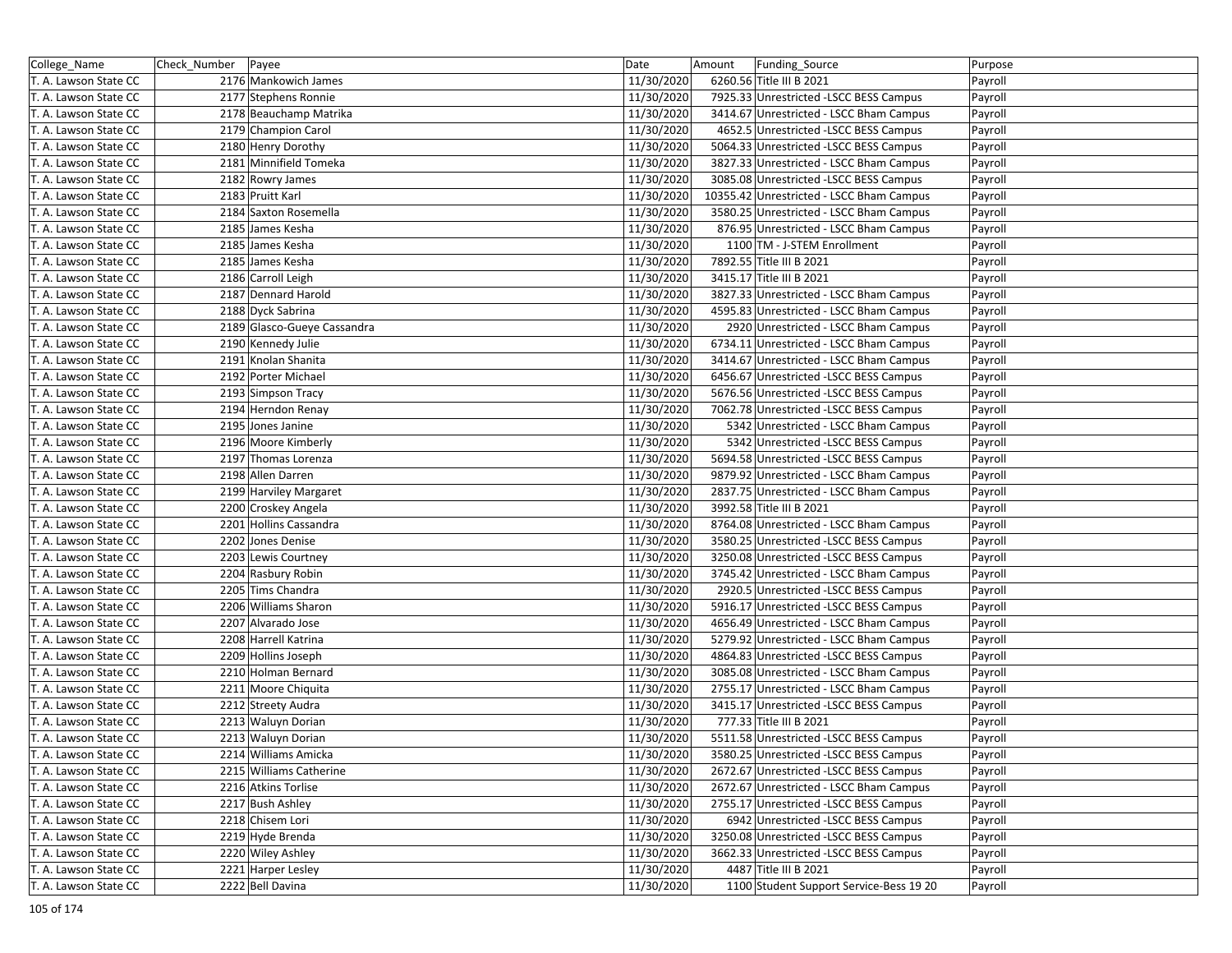| College_Name          | Check_Number   Payee |                                         | Date       | Amount | Funding_Source                           | Purpose |
|-----------------------|----------------------|-----------------------------------------|------------|--------|------------------------------------------|---------|
| T. A. Lawson State CC |                      | 2176 Mankowich James                    | 11/30/2020 |        | 6260.56 Title III B 2021                 | Payroll |
| T. A. Lawson State CC |                      | 2177 Stephens Ronnie                    | 11/30/2020 |        | 7925.33 Unrestricted -LSCC BESS Campus   | Payroll |
| T. A. Lawson State CC |                      | 2178 Beauchamp Matrika                  | 11/30/2020 |        | 3414.67 Unrestricted - LSCC Bham Campus  | Payroll |
| T. A. Lawson State CC |                      | 2179 Champion Carol                     | 11/30/2020 |        | 4652.5 Unrestricted -LSCC BESS Campus    | Payroll |
| T. A. Lawson State CC |                      | 2180 Henry Dorothy                      | 11/30/2020 |        | 5064.33 Unrestricted -LSCC BESS Campus   | Payroll |
| T. A. Lawson State CC |                      | 2181 Minnifield Tomeka                  | 11/30/2020 |        | 3827.33 Unrestricted - LSCC Bham Campus  | Payroll |
| T. A. Lawson State CC |                      | 2182 Rowry James                        | 11/30/2020 |        | 3085.08 Unrestricted -LSCC BESS Campus   | Payroll |
| T. A. Lawson State CC |                      | 2183 Pruitt Karl                        | 11/30/2020 |        | 10355.42 Unrestricted - LSCC Bham Campus | Payroll |
| T. A. Lawson State CC |                      | 2184 Saxton Rosemella                   | 11/30/2020 |        | 3580.25 Unrestricted - LSCC Bham Campus  | Payroll |
| T. A. Lawson State CC |                      | 2185 James Kesha                        | 11/30/2020 |        | 876.95 Unrestricted - LSCC Bham Campus   | Payroll |
| T. A. Lawson State CC |                      | 2185 James Kesha                        | 11/30/2020 |        | 1100 TM - J-STEM Enrollment              | Payroll |
| T. A. Lawson State CC |                      | 2185 James Kesha                        | 11/30/2020 |        | 7892.55 Title III B 2021                 | Payroll |
| T. A. Lawson State CC |                      | 2186 Carroll Leigh                      | 11/30/2020 |        | 3415.17 Title III B 2021                 | Payroll |
| T. A. Lawson State CC |                      | 2187 Dennard Harold                     | 11/30/2020 |        | 3827.33 Unrestricted - LSCC Bham Campus  | Payroll |
| T. A. Lawson State CC |                      | 2188 Dyck Sabrina                       | 11/30/2020 |        | 4595.83 Unrestricted - LSCC Bham Campus  | Payroll |
| T. A. Lawson State CC |                      | 2189 Glasco-Gueye Cassandra             | 11/30/2020 |        | 2920 Unrestricted - LSCC Bham Campus     | Payroll |
| T. A. Lawson State CC |                      | 2190 Kennedy Julie                      | 11/30/2020 |        | 6734.11 Unrestricted - LSCC Bham Campus  | Payroll |
| T. A. Lawson State CC |                      | 2191 Knolan Shanita                     | 11/30/2020 |        | 3414.67 Unrestricted - LSCC Bham Campus  | Payroll |
| T. A. Lawson State CC |                      | 2192 Porter Michael                     | 11/30/2020 |        | 6456.67 Unrestricted -LSCC BESS Campus   | Payroll |
| T. A. Lawson State CC |                      | 2193 Simpson Tracy                      | 11/30/2020 |        | 5676.56 Unrestricted -LSCC BESS Campus   | Payroll |
| T. A. Lawson State CC |                      | 2194 Herndon Renay                      | 11/30/2020 |        | 7062.78 Unrestricted - LSCC BESS Campus  | Payroll |
| T. A. Lawson State CC |                      | 2195 Jones Janine                       | 11/30/2020 |        | 5342 Unrestricted - LSCC Bham Campus     | Payroll |
| T. A. Lawson State CC |                      | 2196 Moore Kimberly                     | 11/30/2020 |        | 5342 Unrestricted -LSCC BESS Campus      | Payroll |
| T. A. Lawson State CC |                      | 2197 Thomas Lorenza                     | 11/30/2020 |        | 5694.58 Unrestricted -LSCC BESS Campus   | Payroll |
| T. A. Lawson State CC |                      | 2198 Allen Darren                       | 11/30/2020 |        | 9879.92 Unrestricted - LSCC Bham Campus  | Payroll |
| T. A. Lawson State CC |                      | 2199 Harviley Margaret                  | 11/30/2020 |        | 2837.75 Unrestricted - LSCC Bham Campus  | Payroll |
| T. A. Lawson State CC |                      | 2200 Croskey Angela                     | 11/30/2020 |        | 3992.58 Title III B 2021                 | Payroll |
| T. A. Lawson State CC |                      | 2201 Hollins Cassandra                  | 11/30/2020 |        | 8764.08 Unrestricted - LSCC Bham Campus  | Payroll |
| T. A. Lawson State CC |                      | 2202 Jones Denise                       | 11/30/2020 |        | 3580.25 Unrestricted -LSCC BESS Campus   |         |
| T. A. Lawson State CC |                      | 2203 Lewis Courtney                     | 11/30/2020 |        | 3250.08 Unrestricted -LSCC BESS Campus   | Payroll |
|                       |                      |                                         | 11/30/2020 |        |                                          | Payroll |
| T. A. Lawson State CC |                      | 2204 Rasbury Robin<br>2205 Tims Chandra | 11/30/2020 |        | 3745.42 Unrestricted - LSCC Bham Campus  | Payroll |
| T. A. Lawson State CC |                      |                                         |            |        | 2920.5 Unrestricted -LSCC BESS Campus    | Payroll |
| T. A. Lawson State CC |                      | 2206 Williams Sharon                    | 11/30/2020 |        | 5916.17 Unrestricted -LSCC BESS Campus   | Payroll |
| T. A. Lawson State CC |                      | 2207 Alvarado Jose                      | 11/30/2020 |        | 4656.49 Unrestricted - LSCC Bham Campus  | Payroll |
| T. A. Lawson State CC |                      | 2208 Harrell Katrina                    | 11/30/2020 |        | 5279.92 Unrestricted - LSCC Bham Campus  | Payroll |
| T. A. Lawson State CC |                      | 2209 Hollins Joseph                     | 11/30/2020 |        | 4864.83 Unrestricted -LSCC BESS Campus   | Payroll |
| T. A. Lawson State CC |                      | 2210 Holman Bernard                     | 11/30/2020 |        | 3085.08 Unrestricted - LSCC Bham Campus  | Payroll |
| T. A. Lawson State CC |                      | 2211 Moore Chiquita                     | 11/30/2020 |        | 2755.17 Unrestricted - LSCC Bham Campus  | Payroll |
| T. A. Lawson State CC |                      | 2212 Streety Audra                      | 11/30/2020 |        | 3415.17 Unrestricted -LSCC BESS Campus   | Payroll |
| T. A. Lawson State CC |                      | 2213 Waluyn Dorian                      | 11/30/2020 |        | 777.33 Title III B 2021                  | Payroll |
| T. A. Lawson State CC |                      | 2213 Waluyn Dorian                      | 11/30/2020 |        | 5511.58 Unrestricted -LSCC BESS Campus   | Payroll |
| T. A. Lawson State CC |                      | 2214 Williams Amicka                    | 11/30/2020 |        | 3580.25 Unrestricted -LSCC BESS Campus   | Payroll |
| T. A. Lawson State CC |                      | 2215 Williams Catherine                 | 11/30/2020 |        | 2672.67 Unrestricted - LSCC BESS Campus  | Payroll |
| T. A. Lawson State CC |                      | 2216 Atkins Torlise                     | 11/30/2020 |        | 2672.67 Unrestricted - LSCC Bham Campus  | Payroll |
| T. A. Lawson State CC |                      | 2217 Bush Ashley                        | 11/30/2020 |        | 2755.17 Unrestricted -LSCC BESS Campus   | Payroll |
| T. A. Lawson State CC |                      | 2218 Chisem Lori                        | 11/30/2020 |        | 6942 Unrestricted -LSCC BESS Campus      | Payroll |
| T. A. Lawson State CC |                      | 2219 Hyde Brenda                        | 11/30/2020 |        | 3250.08 Unrestricted -LSCC BESS Campus   | Payroll |
| T. A. Lawson State CC |                      | 2220 Wiley Ashley                       | 11/30/2020 |        | 3662.33 Unrestricted -LSCC BESS Campus   | Payroll |
| T. A. Lawson State CC |                      | 2221 Harper Lesley                      | 11/30/2020 |        | 4487 Title III B 2021                    | Payroll |
| T. A. Lawson State CC |                      | 2222 Bell Davina                        | 11/30/2020 |        | 1100 Student Support Service-Bess 19 20  | Payroll |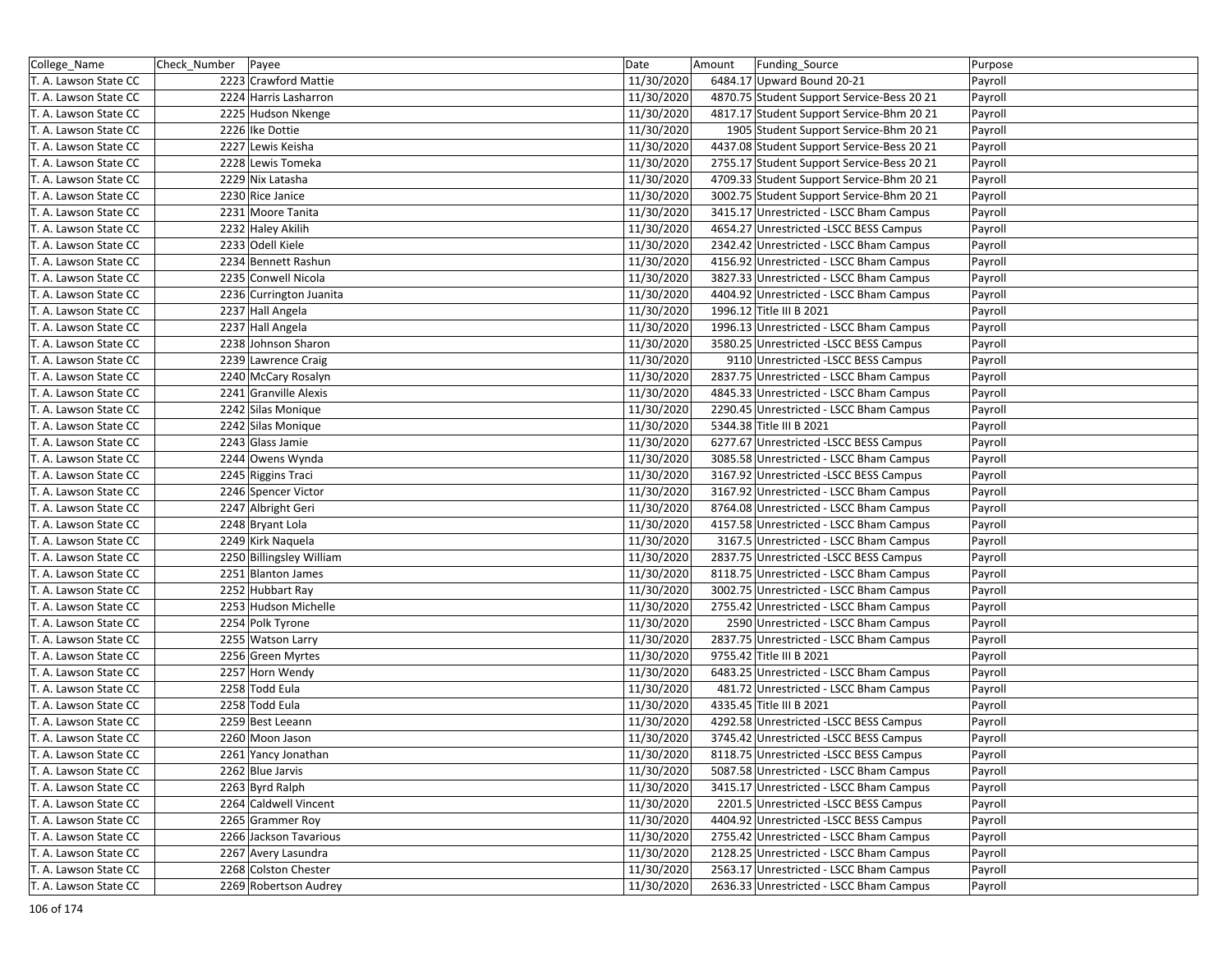| College_Name          | Check Number Payee |                          | Date       | Amount | Funding_Source                             | Purpose |
|-----------------------|--------------------|--------------------------|------------|--------|--------------------------------------------|---------|
| T. A. Lawson State CC |                    | 2223 Crawford Mattie     | 11/30/2020 |        | 6484.17 Upward Bound 20-21                 | Payroll |
| T. A. Lawson State CC |                    | 2224 Harris Lasharron    | 11/30/2020 |        | 4870.75 Student Support Service-Bess 20 21 | Payroll |
| T. A. Lawson State CC |                    | 2225 Hudson Nkenge       | 11/30/2020 |        | 4817.17 Student Support Service-Bhm 20 21  | Payroll |
| T. A. Lawson State CC |                    | 2226 Ike Dottie          | 11/30/2020 |        | 1905 Student Support Service-Bhm 20 21     | Payroll |
| T. A. Lawson State CC |                    | 2227 Lewis Keisha        | 11/30/2020 |        | 4437.08 Student Support Service-Bess 20 21 | Payroll |
| T. A. Lawson State CC |                    | 2228 Lewis Tomeka        | 11/30/2020 |        | 2755.17 Student Support Service-Bess 20 21 | Payroll |
| T. A. Lawson State CC |                    | 2229 Nix Latasha         | 11/30/2020 |        | 4709.33 Student Support Service-Bhm 20 21  | Payroll |
| T. A. Lawson State CC |                    | 2230 Rice Janice         | 11/30/2020 |        | 3002.75 Student Support Service-Bhm 20 21  | Payroll |
| T. A. Lawson State CC |                    | 2231 Moore Tanita        | 11/30/2020 |        | 3415.17 Unrestricted - LSCC Bham Campus    | Payroll |
| T. A. Lawson State CC |                    | 2232 Haley Akilih        | 11/30/2020 |        | 4654.27 Unrestricted -LSCC BESS Campus     | Payroll |
| T. A. Lawson State CC |                    | 2233 Odell Kiele         | 11/30/2020 |        | 2342.42 Unrestricted - LSCC Bham Campus    | Payroll |
| T. A. Lawson State CC |                    | 2234 Bennett Rashun      | 11/30/2020 |        | 4156.92 Unrestricted - LSCC Bham Campus    | Payroll |
| T. A. Lawson State CC |                    | 2235 Conwell Nicola      | 11/30/2020 |        | 3827.33 Unrestricted - LSCC Bham Campus    | Payroll |
| T. A. Lawson State CC |                    | 2236 Currington Juanita  | 11/30/2020 |        | 4404.92 Unrestricted - LSCC Bham Campus    | Payroll |
| T. A. Lawson State CC |                    | 2237 Hall Angela         | 11/30/2020 |        | 1996.12 Title III B 2021                   | Payroll |
| T. A. Lawson State CC |                    | 2237 Hall Angela         | 11/30/2020 |        | 1996.13 Unrestricted - LSCC Bham Campus    | Payroll |
| T. A. Lawson State CC |                    | 2238 Johnson Sharon      | 11/30/2020 |        | 3580.25 Unrestricted -LSCC BESS Campus     | Payroll |
| T. A. Lawson State CC |                    | 2239 Lawrence Craig      | 11/30/2020 |        | 9110 Unrestricted -LSCC BESS Campus        | Payroll |
| T. A. Lawson State CC |                    | 2240 McCary Rosalyn      | 11/30/2020 |        | 2837.75 Unrestricted - LSCC Bham Campus    | Payroll |
| T. A. Lawson State CC |                    | 2241 Granville Alexis    | 11/30/2020 |        | 4845.33 Unrestricted - LSCC Bham Campus    | Payroll |
| T. A. Lawson State CC |                    | 2242 Silas Monique       | 11/30/2020 |        | 2290.45 Unrestricted - LSCC Bham Campus    | Payroll |
| T. A. Lawson State CC |                    | 2242 Silas Monique       | 11/30/2020 |        | 5344.38 Title III B 2021                   | Payroll |
| T. A. Lawson State CC |                    | 2243 Glass Jamie         | 11/30/2020 |        | 6277.67 Unrestricted -LSCC BESS Campus     | Payroll |
| T. A. Lawson State CC |                    | 2244 Owens Wynda         | 11/30/2020 |        | 3085.58 Unrestricted - LSCC Bham Campus    | Payroll |
| T. A. Lawson State CC |                    | 2245 Riggins Traci       | 11/30/2020 |        | 3167.92 Unrestricted -LSCC BESS Campus     | Payroll |
| T. A. Lawson State CC |                    | 2246 Spencer Victor      | 11/30/2020 |        | 3167.92 Unrestricted - LSCC Bham Campus    | Payroll |
| T. A. Lawson State CC |                    | 2247 Albright Geri       | 11/30/2020 |        | 8764.08 Unrestricted - LSCC Bham Campus    | Payroll |
| T. A. Lawson State CC |                    | 2248 Bryant Lola         | 11/30/2020 |        | 4157.58 Unrestricted - LSCC Bham Campus    | Payroll |
| T. A. Lawson State CC |                    | 2249 Kirk Naquela        | 11/30/2020 |        | 3167.5 Unrestricted - LSCC Bham Campus     | Payroll |
| T. A. Lawson State CC |                    | 2250 Billingsley William | 11/30/2020 |        | 2837.75 Unrestricted -LSCC BESS Campus     | Payroll |
| T. A. Lawson State CC |                    | 2251 Blanton James       | 11/30/2020 |        | 8118.75 Unrestricted - LSCC Bham Campus    | Payroll |
| T. A. Lawson State CC |                    | 2252 Hubbart Ray         | 11/30/2020 |        | 3002.75 Unrestricted - LSCC Bham Campus    | Payroll |
| T. A. Lawson State CC |                    | 2253 Hudson Michelle     | 11/30/2020 |        | 2755.42 Unrestricted - LSCC Bham Campus    | Payroll |
| T. A. Lawson State CC |                    | 2254 Polk Tyrone         | 11/30/2020 |        | 2590 Unrestricted - LSCC Bham Campus       | Payroll |
| T. A. Lawson State CC |                    | 2255 Watson Larry        | 11/30/2020 |        | 2837.75 Unrestricted - LSCC Bham Campus    | Payroll |
| T. A. Lawson State CC |                    | 2256 Green Myrtes        | 11/30/2020 |        | 9755.42 Title III B 2021                   | Payroll |
| T. A. Lawson State CC |                    | 2257 Horn Wendy          | 11/30/2020 |        | 6483.25 Unrestricted - LSCC Bham Campus    | Payroll |
| T. A. Lawson State CC |                    | 2258 Todd Eula           | 11/30/2020 |        | 481.72 Unrestricted - LSCC Bham Campus     | Payroll |
| T. A. Lawson State CC |                    | 2258 Todd Eula           | 11/30/2020 |        | 4335.45 Title III B 2021                   | Payroll |
| T. A. Lawson State CC |                    | 2259 Best Leeann         | 11/30/2020 |        | 4292.58 Unrestricted -LSCC BESS Campus     | Payroll |
| T. A. Lawson State CC |                    | 2260 Moon Jason          | 11/30/2020 |        | 3745.42 Unrestricted -LSCC BESS Campus     | Payroll |
| T. A. Lawson State CC |                    | 2261 Yancy Jonathan      | 11/30/2020 |        | 8118.75 Unrestricted -LSCC BESS Campus     | Payroll |
| T. A. Lawson State CC |                    | 2262 Blue Jarvis         | 11/30/2020 |        | 5087.58 Unrestricted - LSCC Bham Campus    | Payroll |
| T. A. Lawson State CC |                    | 2263 Byrd Ralph          | 11/30/2020 |        | 3415.17 Unrestricted - LSCC Bham Campus    | Payroll |
| T. A. Lawson State CC |                    | 2264 Caldwell Vincent    | 11/30/2020 |        | 2201.5 Unrestricted -LSCC BESS Campus      | Payroll |
| T. A. Lawson State CC |                    | 2265 Grammer Roy         | 11/30/2020 |        | 4404.92 Unrestricted -LSCC BESS Campus     | Payroll |
| T. A. Lawson State CC |                    | 2266 Jackson Tavarious   | 11/30/2020 |        | 2755.42 Unrestricted - LSCC Bham Campus    | Payroll |
| T. A. Lawson State CC |                    | 2267 Avery Lasundra      | 11/30/2020 |        | 2128.25 Unrestricted - LSCC Bham Campus    | Payroll |
| T. A. Lawson State CC |                    | 2268 Colston Chester     | 11/30/2020 |        | 2563.17 Unrestricted - LSCC Bham Campus    | Payroll |
| T. A. Lawson State CC |                    | 2269 Robertson Audrey    | 11/30/2020 |        | 2636.33 Unrestricted - LSCC Bham Campus    | Payroll |
|                       |                    |                          |            |        |                                            |         |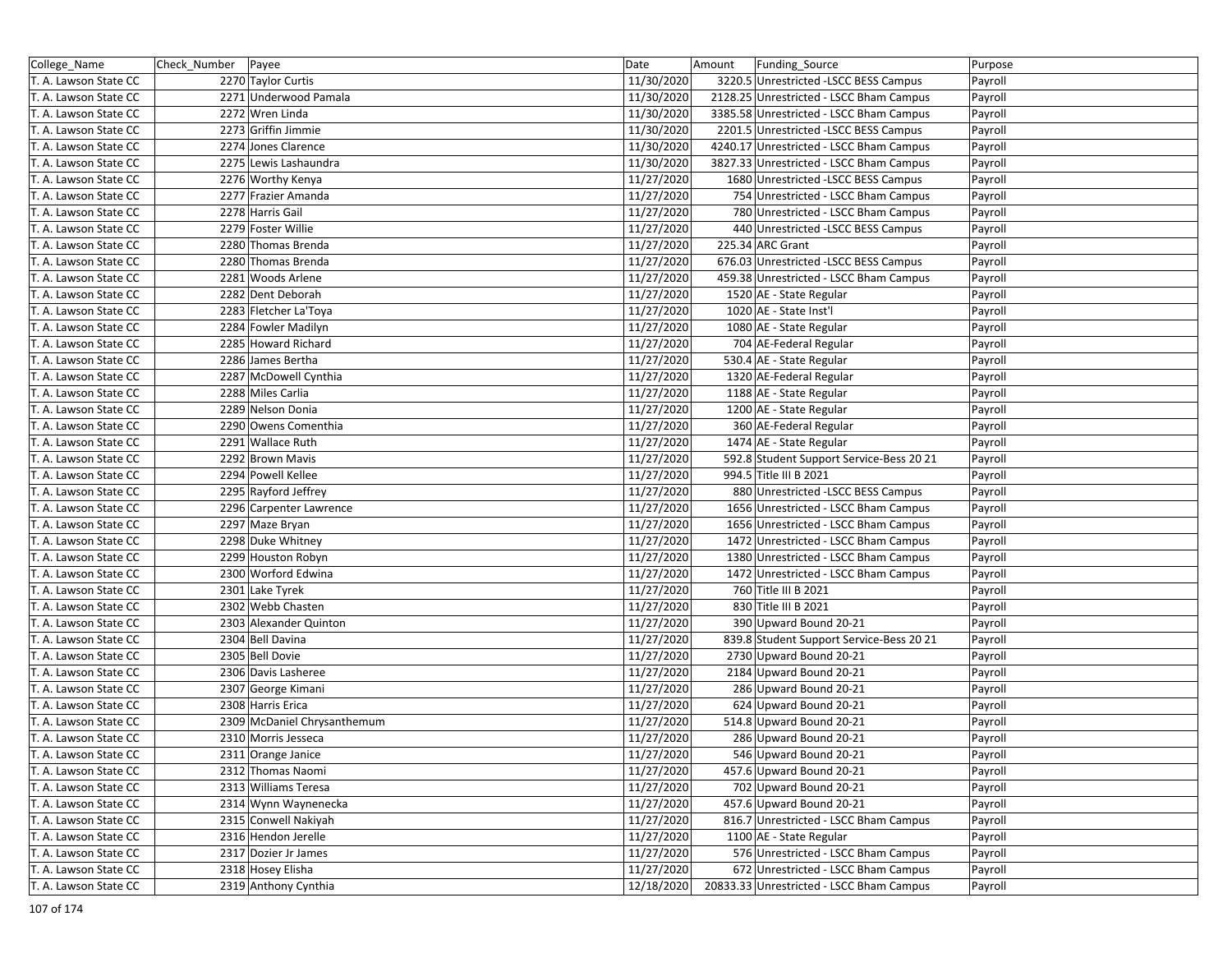| College_Name          | Check_Number   Payee |                             | Date       | Amount | Funding_Source                           | Purpose |
|-----------------------|----------------------|-----------------------------|------------|--------|------------------------------------------|---------|
| T. A. Lawson State CC |                      | 2270 Taylor Curtis          | 11/30/2020 |        | 3220.5 Unrestricted -LSCC BESS Campus    | Payroll |
| T. A. Lawson State CC |                      | 2271 Underwood Pamala       | 11/30/2020 |        | 2128.25 Unrestricted - LSCC Bham Campus  | Payroll |
| T. A. Lawson State CC |                      | 2272 Wren Linda             | 11/30/2020 |        | 3385.58 Unrestricted - LSCC Bham Campus  | Payroll |
| T. A. Lawson State CC |                      | 2273 Griffin Jimmie         | 11/30/2020 |        | 2201.5 Unrestricted -LSCC BESS Campus    | Payroll |
| T. A. Lawson State CC |                      | 2274 Jones Clarence         | 11/30/2020 |        | 4240.17 Unrestricted - LSCC Bham Campus  | Payroll |
| T. A. Lawson State CC |                      | 2275 Lewis Lashaundra       | 11/30/2020 |        | 3827.33 Unrestricted - LSCC Bham Campus  | Payroll |
| T. A. Lawson State CC |                      | 2276 Worthy Kenya           | 11/27/2020 |        | 1680 Unrestricted -LSCC BESS Campus      | Payroll |
| T. A. Lawson State CC |                      | 2277 Frazier Amanda         | 11/27/2020 |        | 754 Unrestricted - LSCC Bham Campus      | Payroll |
| T. A. Lawson State CC |                      | 2278 Harris Gail            | 11/27/2020 |        | 780 Unrestricted - LSCC Bham Campus      | Payroll |
| T. A. Lawson State CC |                      | 2279 Foster Willie          | 11/27/2020 |        | 440 Unrestricted -LSCC BESS Campus       | Payroll |
| T. A. Lawson State CC |                      | 2280 Thomas Brenda          | 11/27/2020 |        | 225.34 ARC Grant                         | Payroll |
| T. A. Lawson State CC |                      | 2280 Thomas Brenda          | 11/27/2020 |        | 676.03 Unrestricted -LSCC BESS Campus    | Payroll |
| T. A. Lawson State CC |                      | 2281 Woods Arlene           | 11/27/2020 |        | 459.38 Unrestricted - LSCC Bham Campus   | Payroll |
| T. A. Lawson State CC |                      | 2282 Dent Deborah           | 11/27/2020 |        | 1520 AE - State Regular                  | Payroll |
| T. A. Lawson State CC |                      | 2283 Fletcher La'Toya       | 11/27/2020 |        | 1020 AE - State Inst'l                   | Payroll |
| T. A. Lawson State CC |                      | 2284 Fowler Madilyn         | 11/27/2020 |        | 1080 AE - State Regular                  | Payroll |
| T. A. Lawson State CC |                      | 2285 Howard Richard         | 11/27/2020 |        | 704 AE-Federal Regular                   | Payroll |
| T. A. Lawson State CC |                      | 2286 James Bertha           | 11/27/2020 |        | 530.4 AE - State Regular                 | Payroll |
| T. A. Lawson State CC |                      | 2287 McDowell Cynthia       | 11/27/2020 |        | 1320 AE-Federal Regular                  | Payroll |
| T. A. Lawson State CC |                      | 2288 Miles Carlia           | 11/27/2020 |        | 1188 AE - State Regular                  | Payroll |
| T. A. Lawson State CC |                      | 2289 Nelson Donia           | 11/27/2020 |        | 1200 AE - State Regular                  | Payroll |
| T. A. Lawson State CC |                      | 2290 Owens Comenthia        | 11/27/2020 |        | 360 AE-Federal Regular                   | Payroll |
| T. A. Lawson State CC |                      | 2291 Wallace Ruth           | 11/27/2020 |        | 1474 AE - State Regular                  | Payroll |
| T. A. Lawson State CC |                      | 2292 Brown Mavis            | 11/27/2020 |        | 592.8 Student Support Service-Bess 20 21 | Payroll |
| T. A. Lawson State CC |                      | 2294 Powell Kellee          | 11/27/2020 |        | 994.5 Title III B 2021                   | Payroll |
| T. A. Lawson State CC |                      | 2295 Rayford Jeffrey        | 11/27/2020 |        | 880 Unrestricted -LSCC BESS Campus       | Payroll |
| T. A. Lawson State CC |                      | 2296 Carpenter Lawrence     | 11/27/2020 |        | 1656 Unrestricted - LSCC Bham Campus     | Payroll |
| T. A. Lawson State CC |                      | 2297 Maze Bryan             | 11/27/2020 |        | 1656 Unrestricted - LSCC Bham Campus     | Payroll |
| T. A. Lawson State CC |                      | 2298 Duke Whitney           | 11/27/2020 |        | 1472 Unrestricted - LSCC Bham Campus     | Payroll |
| T. A. Lawson State CC |                      | 2299 Houston Robyn          | 11/27/2020 |        | 1380 Unrestricted - LSCC Bham Campus     | Payroll |
| T. A. Lawson State CC |                      | 2300 Worford Edwina         | 11/27/2020 |        | 1472 Unrestricted - LSCC Bham Campus     | Payroll |
| T. A. Lawson State CC |                      | 2301 Lake Tyrek             | 11/27/2020 |        | 760 Title III B 2021                     | Payroll |
| T. A. Lawson State CC |                      | 2302 Webb Chasten           | 11/27/2020 |        | 830 Title III B 2021                     | Payroll |
| T. A. Lawson State CC |                      | 2303 Alexander Quinton      | 11/27/2020 |        | 390 Upward Bound 20-21                   | Payroll |
| T. A. Lawson State CC |                      | 2304 Bell Davina            | 11/27/2020 |        | 839.8 Student Support Service-Bess 20 21 | Payroll |
| T. A. Lawson State CC |                      | 2305 Bell Dovie             | 11/27/2020 |        | 2730 Upward Bound 20-21                  | Payroll |
| T. A. Lawson State CC |                      | 2306 Davis Lasheree         | 11/27/2020 |        | 2184 Upward Bound 20-21                  | Payroll |
| T. A. Lawson State CC |                      | 2307 George Kimani          | 11/27/2020 |        | 286 Upward Bound 20-21                   | Payroll |
| T. A. Lawson State CC |                      | 2308 Harris Erica           | 11/27/2020 |        | 624 Upward Bound 20-21                   | Payroll |
| T. A. Lawson State CC |                      | 2309 McDaniel Chrysanthemum | 11/27/2020 |        | 514.8 Upward Bound 20-21                 | Payroll |
| T. A. Lawson State CC |                      | 2310 Morris Jesseca         | 11/27/2020 |        | 286 Upward Bound 20-21                   | Payroll |
| T. A. Lawson State CC |                      | 2311 Orange Janice          | 11/27/2020 |        | 546 Upward Bound 20-21                   | Payroll |
| T. A. Lawson State CC |                      | 2312 Thomas Naomi           | 11/27/2020 |        | 457.6 Upward Bound 20-21                 | Payroll |
| T. A. Lawson State CC |                      | 2313 Williams Teresa        | 11/27/2020 |        | 702 Upward Bound 20-21                   | Payroll |
| T. A. Lawson State CC |                      | 2314 Wynn Waynenecka        | 11/27/2020 |        | 457.6 Upward Bound 20-21                 | Payroll |
| T. A. Lawson State CC |                      | 2315 Conwell Nakiyah        | 11/27/2020 |        | 816.7 Unrestricted - LSCC Bham Campus    | Payroll |
| T. A. Lawson State CC |                      | 2316 Hendon Jerelle         | 11/27/2020 |        | 1100 AE - State Regular                  | Payroll |
| T. A. Lawson State CC |                      | 2317 Dozier Jr James        | 11/27/2020 |        | 576 Unrestricted - LSCC Bham Campus      | Payroll |
| T. A. Lawson State CC |                      | 2318 Hosey Elisha           | 11/27/2020 |        | 672 Unrestricted - LSCC Bham Campus      | Payroll |
| T. A. Lawson State CC |                      | 2319 Anthony Cynthia        | 12/18/2020 |        | 20833.33 Unrestricted - LSCC Bham Campus | Payroll |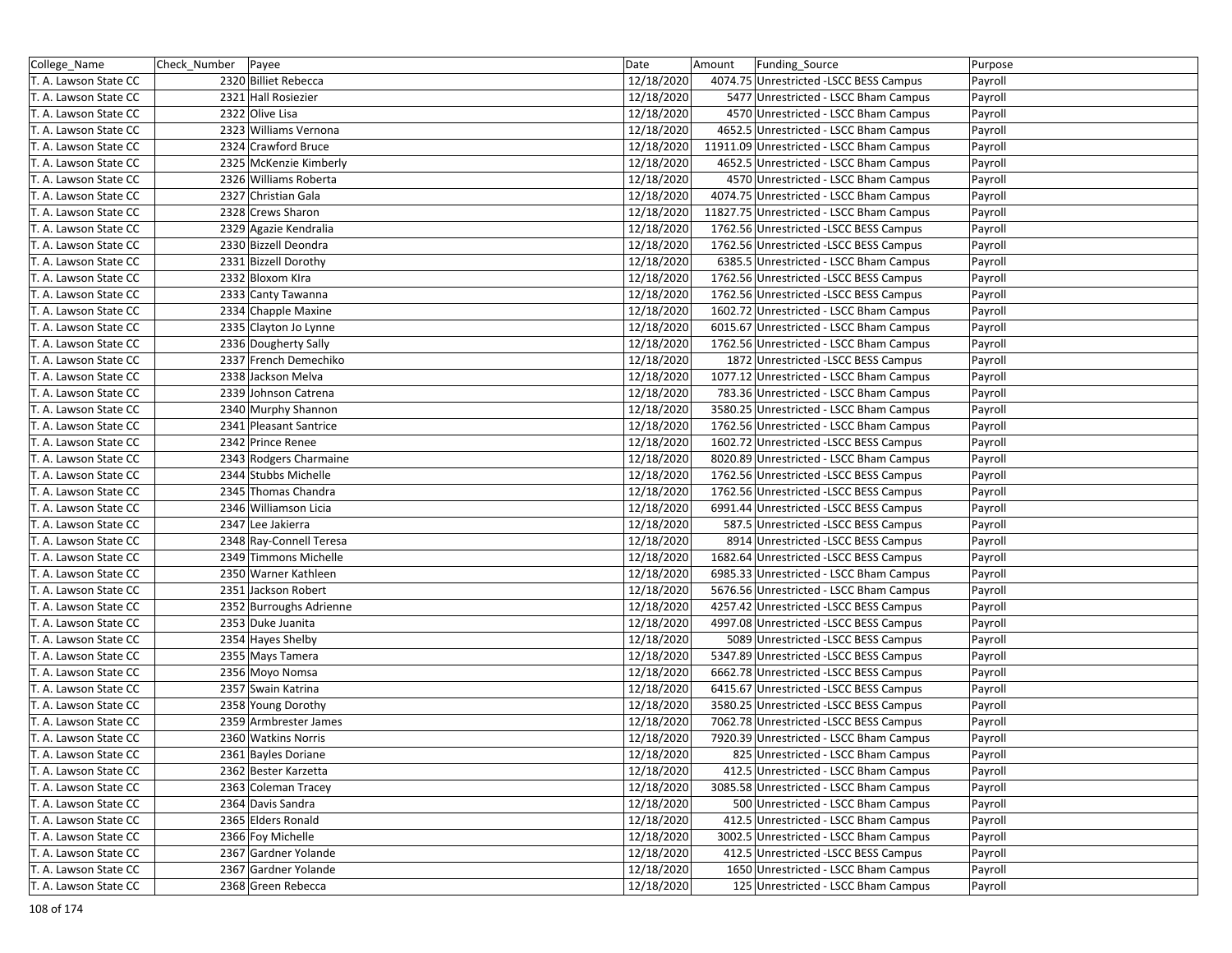| College_Name          | Check_Number   Payee |                         | Date       | Amount | Funding_Source                           | Purpose |
|-----------------------|----------------------|-------------------------|------------|--------|------------------------------------------|---------|
| T. A. Lawson State CC |                      | 2320 Billiet Rebecca    | 12/18/2020 |        | 4074.75 Unrestricted -LSCC BESS Campus   | Payroll |
| T. A. Lawson State CC |                      | 2321 Hall Rosiezier     | 12/18/2020 |        | 5477 Unrestricted - LSCC Bham Campus     | Payroll |
| T. A. Lawson State CC |                      | 2322 Olive Lisa         | 12/18/2020 |        | 4570 Unrestricted - LSCC Bham Campus     | Payroll |
| T. A. Lawson State CC |                      | 2323 Williams Vernona   | 12/18/2020 |        | 4652.5 Unrestricted - LSCC Bham Campus   | Payroll |
| T. A. Lawson State CC |                      | 2324 Crawford Bruce     | 12/18/2020 |        | 11911.09 Unrestricted - LSCC Bham Campus | Payroll |
| T. A. Lawson State CC |                      | 2325 McKenzie Kimberly  | 12/18/2020 |        | 4652.5 Unrestricted - LSCC Bham Campus   | Payroll |
| T. A. Lawson State CC |                      | 2326 Williams Roberta   | 12/18/2020 |        | 4570 Unrestricted - LSCC Bham Campus     | Payroll |
| T. A. Lawson State CC |                      | 2327 Christian Gala     | 12/18/2020 |        | 4074.75 Unrestricted - LSCC Bham Campus  | Payroll |
| T. A. Lawson State CC |                      | 2328 Crews Sharon       | 12/18/2020 |        | 11827.75 Unrestricted - LSCC Bham Campus | Payroll |
| T. A. Lawson State CC |                      | 2329 Agazie Kendralia   | 12/18/2020 |        | 1762.56 Unrestricted -LSCC BESS Campus   | Payroll |
| T. A. Lawson State CC |                      | 2330 Bizzell Deondra    | 12/18/2020 |        | 1762.56 Unrestricted -LSCC BESS Campus   | Payroll |
| T. A. Lawson State CC |                      | 2331 Bizzell Dorothy    | 12/18/2020 |        | 6385.5 Unrestricted - LSCC Bham Campus   | Payroll |
| T. A. Lawson State CC |                      | 2332 Bloxom Kira        | 12/18/2020 |        | 1762.56 Unrestricted - LSCC BESS Campus  | Payroll |
| T. A. Lawson State CC |                      | 2333 Canty Tawanna      | 12/18/2020 |        | 1762.56 Unrestricted -LSCC BESS Campus   | Payroll |
| T. A. Lawson State CC |                      | 2334 Chapple Maxine     | 12/18/2020 |        | 1602.72 Unrestricted - LSCC Bham Campus  | Payroll |
| T. A. Lawson State CC |                      | 2335 Clayton Jo Lynne   | 12/18/2020 |        | 6015.67 Unrestricted - LSCC Bham Campus  | Payroll |
| T. A. Lawson State CC |                      | 2336 Dougherty Sally    | 12/18/2020 |        | 1762.56 Unrestricted - LSCC Bham Campus  | Payroll |
| T. A. Lawson State CC |                      | 2337 French Demechiko   | 12/18/2020 |        | 1872 Unrestricted -LSCC BESS Campus      | Payroll |
| T. A. Lawson State CC |                      | 2338 Jackson Melva      | 12/18/2020 |        | 1077.12 Unrestricted - LSCC Bham Campus  | Payroll |
| T. A. Lawson State CC |                      | 2339 Johnson Catrena    | 12/18/2020 |        | 783.36 Unrestricted - LSCC Bham Campus   | Payroll |
| T. A. Lawson State CC |                      | 2340 Murphy Shannon     | 12/18/2020 |        | 3580.25 Unrestricted - LSCC Bham Campus  | Payroll |
| T. A. Lawson State CC |                      | 2341 Pleasant Santrice  | 12/18/2020 |        | 1762.56 Unrestricted - LSCC Bham Campus  | Payroll |
| T. A. Lawson State CC |                      | 2342 Prince Renee       | 12/18/2020 |        | 1602.72 Unrestricted -LSCC BESS Campus   | Payroll |
| T. A. Lawson State CC |                      | 2343 Rodgers Charmaine  | 12/18/2020 |        | 8020.89 Unrestricted - LSCC Bham Campus  | Payroll |
| T. A. Lawson State CC |                      | 2344 Stubbs Michelle    | 12/18/2020 |        | 1762.56 Unrestricted -LSCC BESS Campus   | Payroll |
| T. A. Lawson State CC |                      | 2345 Thomas Chandra     | 12/18/2020 |        | 1762.56 Unrestricted -LSCC BESS Campus   | Payroll |
| T. A. Lawson State CC |                      | 2346 Williamson Licia   | 12/18/2020 |        | 6991.44 Unrestricted -LSCC BESS Campus   | Payroll |
| T. A. Lawson State CC |                      | 2347 Lee Jakierra       | 12/18/2020 |        | 587.5 Unrestricted -LSCC BESS Campus     | Payroll |
| T. A. Lawson State CC |                      | 2348 Ray-Connell Teresa | 12/18/2020 |        | 8914 Unrestricted -LSCC BESS Campus      | Payroll |
| T. A. Lawson State CC |                      | 2349 Timmons Michelle   | 12/18/2020 |        | 1682.64 Unrestricted -LSCC BESS Campus   | Payroll |
| T. A. Lawson State CC |                      | 2350 Warner Kathleen    | 12/18/2020 |        | 6985.33 Unrestricted - LSCC Bham Campus  | Payroll |
| T. A. Lawson State CC |                      | 2351 Jackson Robert     | 12/18/2020 |        | 5676.56 Unrestricted - LSCC Bham Campus  | Payroll |
| T. A. Lawson State CC |                      | 2352 Burroughs Adrienne | 12/18/2020 |        | 4257.42 Unrestricted - LSCC BESS Campus  | Payroll |
| T. A. Lawson State CC |                      | 2353 Duke Juanita       | 12/18/2020 |        | 4997.08 Unrestricted -LSCC BESS Campus   | Payroll |
| T. A. Lawson State CC |                      | 2354 Hayes Shelby       | 12/18/2020 |        | 5089 Unrestricted -LSCC BESS Campus      | Payroll |
| T. A. Lawson State CC |                      | 2355 Mays Tamera        | 12/18/2020 |        | 5347.89 Unrestricted -LSCC BESS Campus   | Payroll |
| T. A. Lawson State CC |                      | 2356 Moyo Nomsa         | 12/18/2020 |        | 6662.78 Unrestricted -LSCC BESS Campus   | Payroll |
| T. A. Lawson State CC |                      | 2357 Swain Katrina      | 12/18/2020 |        | 6415.67 Unrestricted -LSCC BESS Campus   | Payroll |
| T. A. Lawson State CC |                      | 2358 Young Dorothy      | 12/18/2020 |        | 3580.25 Unrestricted -LSCC BESS Campus   | Payroll |
| T. A. Lawson State CC |                      | 2359 Armbrester James   | 12/18/2020 |        | 7062.78 Unrestricted -LSCC BESS Campus   | Payroll |
| T. A. Lawson State CC |                      | 2360 Watkins Norris     | 12/18/2020 |        | 7920.39 Unrestricted - LSCC Bham Campus  | Payroll |
| T. A. Lawson State CC |                      | 2361 Bayles Doriane     | 12/18/2020 |        | 825 Unrestricted - LSCC Bham Campus      | Payroll |
| T. A. Lawson State CC |                      | 2362 Bester Karzetta    | 12/18/2020 |        | 412.5 Unrestricted - LSCC Bham Campus    | Payroll |
| T. A. Lawson State CC |                      | 2363 Coleman Tracey     | 12/18/2020 |        | 3085.58 Unrestricted - LSCC Bham Campus  | Payroll |
| T. A. Lawson State CC |                      | 2364 Davis Sandra       | 12/18/2020 |        | 500 Unrestricted - LSCC Bham Campus      | Payroll |
| T. A. Lawson State CC |                      | 2365 Elders Ronald      | 12/18/2020 |        | 412.5 Unrestricted - LSCC Bham Campus    | Payroll |
| T. A. Lawson State CC |                      | 2366 Foy Michelle       | 12/18/2020 |        | 3002.5 Unrestricted - LSCC Bham Campus   | Payroll |
| T. A. Lawson State CC |                      | 2367 Gardner Yolande    | 12/18/2020 |        | 412.5 Unrestricted -LSCC BESS Campus     | Payroll |
| T. A. Lawson State CC |                      | 2367 Gardner Yolande    | 12/18/2020 |        | 1650 Unrestricted - LSCC Bham Campus     | Payroll |
| T. A. Lawson State CC |                      | 2368 Green Rebecca      | 12/18/2020 |        | 125 Unrestricted - LSCC Bham Campus      | Payroll |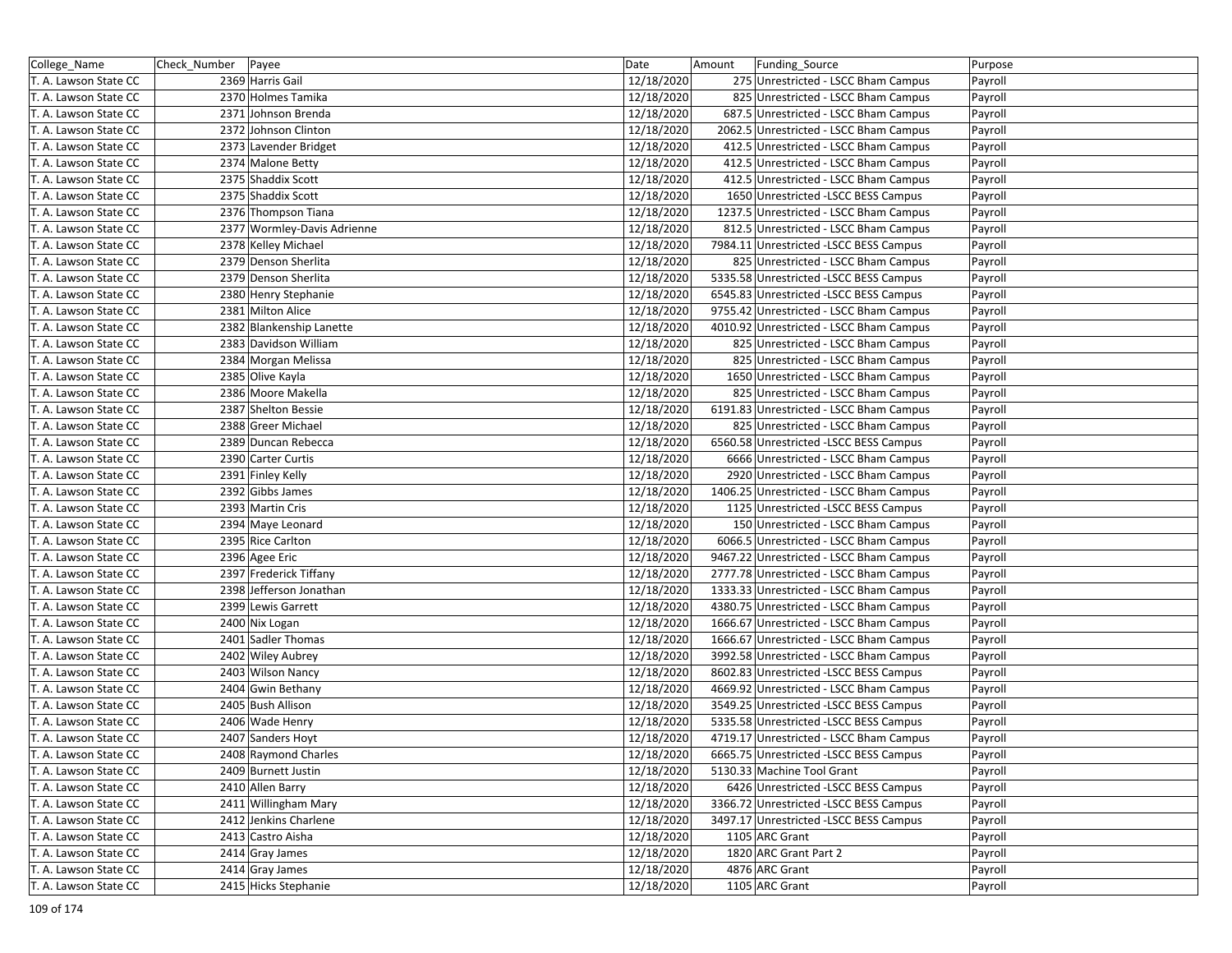| College_Name          | Check_Number   Payee |                             | Date       | Amount | Funding_Source                          | Purpose |
|-----------------------|----------------------|-----------------------------|------------|--------|-----------------------------------------|---------|
| T. A. Lawson State CC |                      | 2369 Harris Gail            | 12/18/2020 |        | 275 Unrestricted - LSCC Bham Campus     | Payroll |
| T. A. Lawson State CC |                      | 2370 Holmes Tamika          | 12/18/2020 |        | 825 Unrestricted - LSCC Bham Campus     | Payroll |
| T. A. Lawson State CC |                      | 2371 Johnson Brenda         | 12/18/2020 |        | 687.5 Unrestricted - LSCC Bham Campus   | Payroll |
| T. A. Lawson State CC |                      | 2372 Johnson Clinton        | 12/18/2020 |        | 2062.5 Unrestricted - LSCC Bham Campus  | Payroll |
| T. A. Lawson State CC |                      | 2373 Lavender Bridget       | 12/18/2020 |        | 412.5 Unrestricted - LSCC Bham Campus   | Payroll |
| T. A. Lawson State CC |                      | 2374 Malone Betty           | 12/18/2020 |        | 412.5 Unrestricted - LSCC Bham Campus   | Payroll |
| T. A. Lawson State CC |                      | 2375 Shaddix Scott          | 12/18/2020 |        | 412.5 Unrestricted - LSCC Bham Campus   | Payroll |
| T. A. Lawson State CC |                      | 2375 Shaddix Scott          | 12/18/2020 |        | 1650 Unrestricted -LSCC BESS Campus     | Payroll |
| T. A. Lawson State CC |                      | 2376 Thompson Tiana         | 12/18/2020 |        | 1237.5 Unrestricted - LSCC Bham Campus  | Payroll |
| T. A. Lawson State CC |                      | 2377 Wormley-Davis Adrienne | 12/18/2020 |        | 812.5 Unrestricted - LSCC Bham Campus   | Payroll |
| T. A. Lawson State CC |                      | 2378 Kelley Michael         | 12/18/2020 |        | 7984.11 Unrestricted -LSCC BESS Campus  | Payroll |
| T. A. Lawson State CC |                      | 2379 Denson Sherlita        | 12/18/2020 |        | 825 Unrestricted - LSCC Bham Campus     | Payroll |
| T. A. Lawson State CC |                      | 2379 Denson Sherlita        | 12/18/2020 |        | 5335.58 Unrestricted -LSCC BESS Campus  | Payroll |
| T. A. Lawson State CC |                      | 2380 Henry Stephanie        | 12/18/2020 |        | 6545.83 Unrestricted -LSCC BESS Campus  | Payroll |
| T. A. Lawson State CC |                      | 2381 Milton Alice           | 12/18/2020 |        | 9755.42 Unrestricted - LSCC Bham Campus | Payroll |
| T. A. Lawson State CC |                      | 2382 Blankenship Lanette    | 12/18/2020 |        | 4010.92 Unrestricted - LSCC Bham Campus | Payroll |
| T. A. Lawson State CC |                      | 2383 Davidson William       | 12/18/2020 |        | 825 Unrestricted - LSCC Bham Campus     | Payroll |
| T. A. Lawson State CC |                      | 2384 Morgan Melissa         | 12/18/2020 |        | 825 Unrestricted - LSCC Bham Campus     | Payroll |
| T. A. Lawson State CC |                      | 2385 Olive Kayla            | 12/18/2020 |        | 1650 Unrestricted - LSCC Bham Campus    | Payroll |
| T. A. Lawson State CC |                      | 2386 Moore Makella          | 12/18/2020 |        | 825 Unrestricted - LSCC Bham Campus     | Payroll |
| T. A. Lawson State CC |                      | 2387 Shelton Bessie         | 12/18/2020 |        | 6191.83 Unrestricted - LSCC Bham Campus | Payroll |
| T. A. Lawson State CC |                      | 2388 Greer Michael          | 12/18/2020 |        | 825 Unrestricted - LSCC Bham Campus     | Payroll |
| T. A. Lawson State CC |                      | 2389 Duncan Rebecca         | 12/18/2020 |        | 6560.58 Unrestricted -LSCC BESS Campus  | Payroll |
| T. A. Lawson State CC |                      | 2390 Carter Curtis          | 12/18/2020 |        | 6666 Unrestricted - LSCC Bham Campus    | Payroll |
| T. A. Lawson State CC |                      | 2391 Finley Kelly           | 12/18/2020 |        | 2920 Unrestricted - LSCC Bham Campus    | Payroll |
| T. A. Lawson State CC |                      | 2392 Gibbs James            | 12/18/2020 |        | 1406.25 Unrestricted - LSCC Bham Campus | Payroll |
| T. A. Lawson State CC |                      | 2393 Martin Cris            | 12/18/2020 |        | 1125 Unrestricted -LSCC BESS Campus     | Payroll |
| T. A. Lawson State CC |                      | 2394 Maye Leonard           | 12/18/2020 |        | 150 Unrestricted - LSCC Bham Campus     | Payroll |
| T. A. Lawson State CC |                      | 2395 Rice Carlton           | 12/18/2020 |        | 6066.5 Unrestricted - LSCC Bham Campus  | Payroll |
| T. A. Lawson State CC |                      | 2396 Agee Eric              | 12/18/2020 |        | 9467.22 Unrestricted - LSCC Bham Campus | Payroll |
| T. A. Lawson State CC |                      | 2397 Frederick Tiffany      | 12/18/2020 |        | 2777.78 Unrestricted - LSCC Bham Campus | Payroll |
| T. A. Lawson State CC |                      | 2398 Jefferson Jonathan     | 12/18/2020 |        | 1333.33 Unrestricted - LSCC Bham Campus | Payroll |
| T. A. Lawson State CC |                      | 2399 Lewis Garrett          | 12/18/2020 |        | 4380.75 Unrestricted - LSCC Bham Campus | Payroll |
| T. A. Lawson State CC |                      | 2400 Nix Logan              | 12/18/2020 |        | 1666.67 Unrestricted - LSCC Bham Campus | Payroll |
| T. A. Lawson State CC |                      | 2401 Sadler Thomas          | 12/18/2020 |        | 1666.67 Unrestricted - LSCC Bham Campus | Payroll |
| T. A. Lawson State CC |                      | 2402 Wiley Aubrey           | 12/18/2020 |        | 3992.58 Unrestricted - LSCC Bham Campus | Payroll |
| T. A. Lawson State CC |                      | 2403 Wilson Nancy           | 12/18/2020 |        | 8602.83 Unrestricted -LSCC BESS Campus  | Payroll |
| T. A. Lawson State CC |                      | 2404 Gwin Bethany           | 12/18/2020 |        | 4669.92 Unrestricted - LSCC Bham Campus | Payroll |
| T. A. Lawson State CC |                      | 2405 Bush Allison           | 12/18/2020 |        | 3549.25 Unrestricted -LSCC BESS Campus  | Payroll |
| T. A. Lawson State CC |                      | 2406 Wade Henry             | 12/18/2020 |        | 5335.58 Unrestricted -LSCC BESS Campus  | Payroll |
| T. A. Lawson State CC |                      | 2407 Sanders Hoyt           | 12/18/2020 |        | 4719.17 Unrestricted - LSCC Bham Campus | Payroll |
| T. A. Lawson State CC |                      | 2408 Raymond Charles        | 12/18/2020 |        | 6665.75 Unrestricted -LSCC BESS Campus  | Payroll |
| T. A. Lawson State CC |                      | 2409 Burnett Justin         | 12/18/2020 |        | 5130.33 Machine Tool Grant              | Payroll |
| T. A. Lawson State CC |                      | 2410 Allen Barry            | 12/18/2020 |        | 6426 Unrestricted -LSCC BESS Campus     | Payroll |
| T. A. Lawson State CC |                      | 2411 Willingham Mary        | 12/18/2020 |        | 3366.72 Unrestricted -LSCC BESS Campus  | Payroll |
| T. A. Lawson State CC |                      | 2412 Jenkins Charlene       | 12/18/2020 |        | 3497.17 Unrestricted -LSCC BESS Campus  | Payroll |
| T. A. Lawson State CC |                      | 2413 Castro Aisha           | 12/18/2020 |        | 1105 ARC Grant                          | Payroll |
| T. A. Lawson State CC |                      | 2414 Gray James             | 12/18/2020 |        | 1820 ARC Grant Part 2                   | Payroll |
| T. A. Lawson State CC |                      | 2414 Gray James             | 12/18/2020 |        | 4876 ARC Grant                          | Payroll |
| T. A. Lawson State CC |                      | 2415 Hicks Stephanie        | 12/18/2020 |        | 1105 ARC Grant                          | Payroll |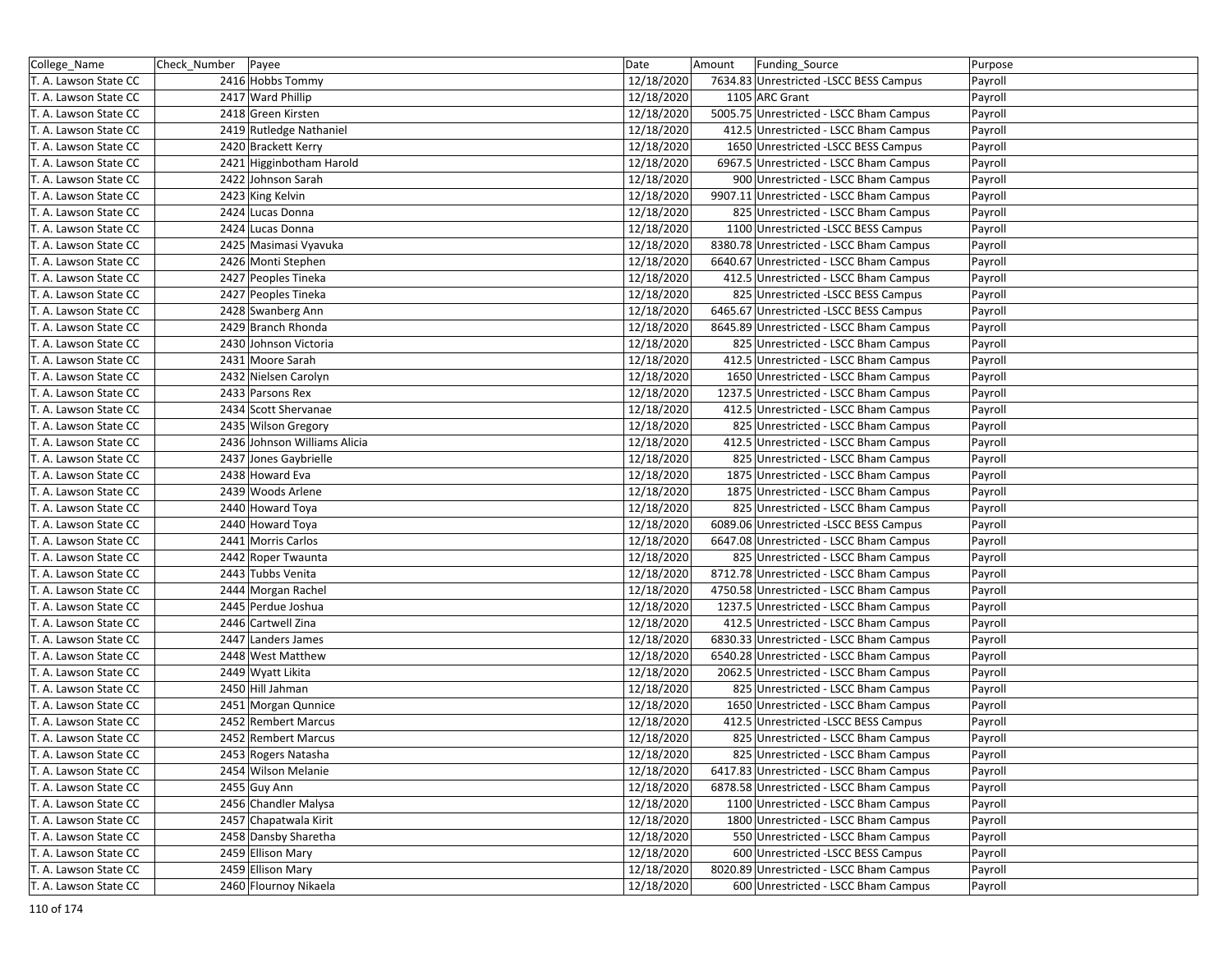| College_Name          | Check_Number | Payee                        | Date       | Amount | Funding_Source                          | Purpose |
|-----------------------|--------------|------------------------------|------------|--------|-----------------------------------------|---------|
| T. A. Lawson State CC |              | 2416 Hobbs Tommy             | 12/18/2020 |        | 7634.83 Unrestricted -LSCC BESS Campus  | Payroll |
| T. A. Lawson State CC |              | 2417 Ward Phillip            | 12/18/2020 |        | 1105 ARC Grant                          | Payroll |
| T. A. Lawson State CC |              | 2418 Green Kirsten           | 12/18/2020 |        | 5005.75 Unrestricted - LSCC Bham Campus | Payroll |
| T. A. Lawson State CC |              | 2419 Rutledge Nathaniel      | 12/18/2020 |        | 412.5 Unrestricted - LSCC Bham Campus   | Payroll |
| T. A. Lawson State CC |              | 2420 Brackett Kerry          | 12/18/2020 |        | 1650 Unrestricted -LSCC BESS Campus     | Payroll |
| T. A. Lawson State CC |              | 2421 Higginbotham Harold     | 12/18/2020 |        | 6967.5 Unrestricted - LSCC Bham Campus  | Payroll |
| T. A. Lawson State CC |              | 2422 Johnson Sarah           | 12/18/2020 |        | 900 Unrestricted - LSCC Bham Campus     | Payroll |
| T. A. Lawson State CC |              | 2423 King Kelvin             | 12/18/2020 |        | 9907.11 Unrestricted - LSCC Bham Campus | Payroll |
| T. A. Lawson State CC |              | 2424 Lucas Donna             | 12/18/2020 |        | 825 Unrestricted - LSCC Bham Campus     | Payroll |
| T. A. Lawson State CC |              | 2424 Lucas Donna             | 12/18/2020 |        | 1100 Unrestricted -LSCC BESS Campus     | Payroll |
| T. A. Lawson State CC |              | 2425 Masimasi Vyavuka        | 12/18/2020 |        | 8380.78 Unrestricted - LSCC Bham Campus | Payroll |
| T. A. Lawson State CC |              | 2426 Monti Stephen           | 12/18/2020 |        | 6640.67 Unrestricted - LSCC Bham Campus | Payroll |
| T. A. Lawson State CC |              | 2427 Peoples Tineka          | 12/18/2020 |        | 412.5 Unrestricted - LSCC Bham Campus   | Payroll |
| T. A. Lawson State CC |              | 2427 Peoples Tineka          | 12/18/2020 |        | 825 Unrestricted -LSCC BESS Campus      | Payroll |
| T. A. Lawson State CC |              | 2428 Swanberg Ann            | 12/18/2020 |        | 6465.67 Unrestricted -LSCC BESS Campus  | Payroll |
| T. A. Lawson State CC |              | 2429 Branch Rhonda           | 12/18/2020 |        | 8645.89 Unrestricted - LSCC Bham Campus | Payroll |
| T. A. Lawson State CC |              | 2430 Johnson Victoria        | 12/18/2020 |        | 825 Unrestricted - LSCC Bham Campus     | Payroll |
| T. A. Lawson State CC |              | 2431 Moore Sarah             | 12/18/2020 |        | 412.5 Unrestricted - LSCC Bham Campus   | Payroll |
| T. A. Lawson State CC |              | 2432 Nielsen Carolyn         | 12/18/2020 |        | 1650 Unrestricted - LSCC Bham Campus    | Payroll |
| T. A. Lawson State CC |              | 2433 Parsons Rex             | 12/18/2020 |        | 1237.5 Unrestricted - LSCC Bham Campus  | Payroll |
| T. A. Lawson State CC |              | 2434 Scott Shervanae         | 12/18/2020 |        | 412.5 Unrestricted - LSCC Bham Campus   | Payroll |
| T. A. Lawson State CC |              | 2435 Wilson Gregory          | 12/18/2020 |        | 825 Unrestricted - LSCC Bham Campus     | Payroll |
| T. A. Lawson State CC |              | 2436 Johnson Williams Alicia | 12/18/2020 |        | 412.5 Unrestricted - LSCC Bham Campus   | Payroll |
| T. A. Lawson State CC |              | 2437 Jones Gaybrielle        | 12/18/2020 |        | 825 Unrestricted - LSCC Bham Campus     | Payroll |
| T. A. Lawson State CC |              | 2438 Howard Eva              | 12/18/2020 |        | 1875 Unrestricted - LSCC Bham Campus    | Payroll |
| T. A. Lawson State CC |              | 2439 Woods Arlene            | 12/18/2020 |        | 1875 Unrestricted - LSCC Bham Campus    | Payroll |
| T. A. Lawson State CC |              | 2440 Howard Toya             | 12/18/2020 |        | 825 Unrestricted - LSCC Bham Campus     | Payroll |
| T. A. Lawson State CC |              | 2440 Howard Toya             | 12/18/2020 |        | 6089.06 Unrestricted -LSCC BESS Campus  | Payroll |
| T. A. Lawson State CC |              | 2441 Morris Carlos           | 12/18/2020 |        | 6647.08 Unrestricted - LSCC Bham Campus | Payroll |
| T. A. Lawson State CC |              | 2442 Roper Twaunta           | 12/18/2020 |        | 825 Unrestricted - LSCC Bham Campus     | Payroll |
| T. A. Lawson State CC |              | 2443 Tubbs Venita            | 12/18/2020 |        | 8712.78 Unrestricted - LSCC Bham Campus | Payroll |
| T. A. Lawson State CC |              | 2444 Morgan Rachel           | 12/18/2020 |        | 4750.58 Unrestricted - LSCC Bham Campus | Payroll |
| T. A. Lawson State CC |              | 2445 Perdue Joshua           | 12/18/2020 |        | 1237.5 Unrestricted - LSCC Bham Campus  | Payroll |
| T. A. Lawson State CC |              | 2446 Cartwell Zina           | 12/18/2020 |        | 412.5 Unrestricted - LSCC Bham Campus   | Payroll |
| T. A. Lawson State CC |              | 2447 Landers James           | 12/18/2020 |        | 6830.33 Unrestricted - LSCC Bham Campus | Payroll |
| T. A. Lawson State CC |              | 2448 West Matthew            | 12/18/2020 |        | 6540.28 Unrestricted - LSCC Bham Campus | Payroll |
| T. A. Lawson State CC |              | 2449 Wyatt Likita            | 12/18/2020 |        | 2062.5 Unrestricted - LSCC Bham Campus  | Payroll |
| T. A. Lawson State CC |              | 2450 Hill Jahman             | 12/18/2020 |        | 825 Unrestricted - LSCC Bham Campus     | Payroll |
| T. A. Lawson State CC |              | 2451 Morgan Qunnice          | 12/18/2020 |        | 1650 Unrestricted - LSCC Bham Campus    | Payroll |
| T. A. Lawson State CC |              | 2452 Rembert Marcus          | 12/18/2020 |        | 412.5 Unrestricted -LSCC BESS Campus    | Payroll |
| T. A. Lawson State CC |              | 2452 Rembert Marcus          | 12/18/2020 |        | 825 Unrestricted - LSCC Bham Campus     | Payroll |
| T. A. Lawson State CC |              | 2453 Rogers Natasha          | 12/18/2020 |        | 825 Unrestricted - LSCC Bham Campus     | Payroll |
| T. A. Lawson State CC |              | 2454 Wilson Melanie          | 12/18/2020 |        | 6417.83 Unrestricted - LSCC Bham Campus | Payroll |
| T. A. Lawson State CC |              | 2455 Guy Ann                 | 12/18/2020 |        | 6878.58 Unrestricted - LSCC Bham Campus | Payroll |
| T. A. Lawson State CC |              | 2456 Chandler Malysa         | 12/18/2020 |        | 1100 Unrestricted - LSCC Bham Campus    | Payroll |
| T. A. Lawson State CC |              | 2457 Chapatwala Kirit        | 12/18/2020 |        | 1800 Unrestricted - LSCC Bham Campus    | Payroll |
| T. A. Lawson State CC |              | 2458 Dansby Sharetha         | 12/18/2020 |        | 550 Unrestricted - LSCC Bham Campus     | Payroll |
| T. A. Lawson State CC |              | 2459 Ellison Mary            | 12/18/2020 |        | 600 Unrestricted -LSCC BESS Campus      | Payroll |
| T. A. Lawson State CC |              | 2459 Ellison Mary            | 12/18/2020 |        | 8020.89 Unrestricted - LSCC Bham Campus | Payroll |
| T. A. Lawson State CC |              | 2460 Flournoy Nikaela        | 12/18/2020 |        | 600 Unrestricted - LSCC Bham Campus     | Payroll |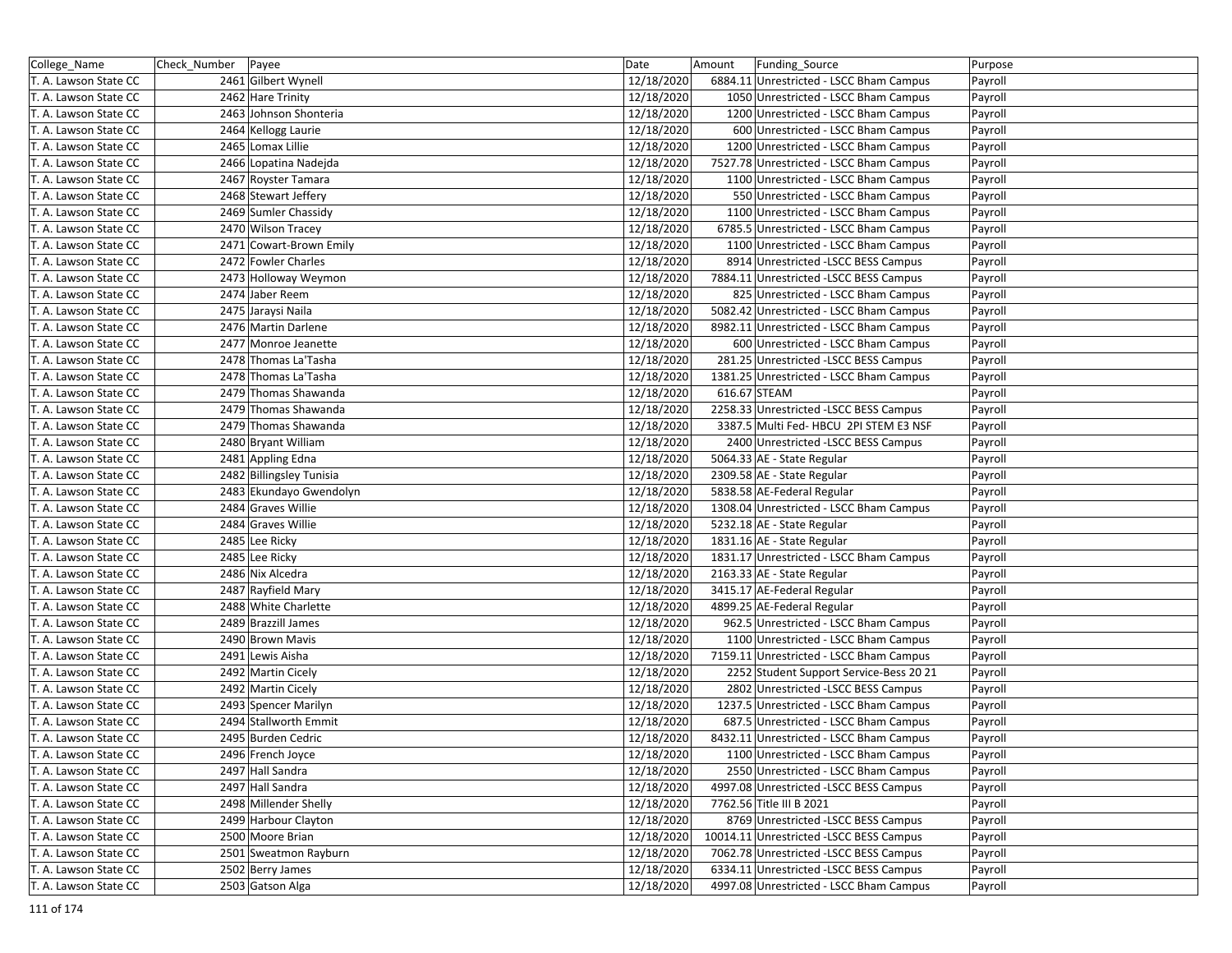| College_Name          | Check_Number Payee |                          | Date       | Amount       | Funding_Source                          | Purpose |
|-----------------------|--------------------|--------------------------|------------|--------------|-----------------------------------------|---------|
| T. A. Lawson State CC |                    | 2461 Gilbert Wynell      | 12/18/2020 |              | 6884.11 Unrestricted - LSCC Bham Campus | Payroll |
| T. A. Lawson State CC |                    | 2462 Hare Trinity        | 12/18/2020 |              | 1050 Unrestricted - LSCC Bham Campus    | Payroll |
| T. A. Lawson State CC |                    | 2463 Johnson Shonteria   | 12/18/2020 |              | 1200 Unrestricted - LSCC Bham Campus    | Payroll |
| T. A. Lawson State CC |                    | 2464 Kellogg Laurie      | 12/18/2020 |              | 600 Unrestricted - LSCC Bham Campus     | Payroll |
| T. A. Lawson State CC |                    | 2465 Lomax Lillie        | 12/18/2020 |              | 1200 Unrestricted - LSCC Bham Campus    | Payroll |
| T. A. Lawson State CC |                    | 2466 Lopatina Nadejda    | 12/18/2020 |              | 7527.78 Unrestricted - LSCC Bham Campus | Payroll |
| T. A. Lawson State CC |                    | 2467 Royster Tamara      | 12/18/2020 |              | 1100 Unrestricted - LSCC Bham Campus    | Payroll |
| T. A. Lawson State CC |                    | 2468 Stewart Jeffery     | 12/18/2020 |              | 550 Unrestricted - LSCC Bham Campus     | Payroll |
| T. A. Lawson State CC |                    | 2469 Sumler Chassidy     | 12/18/2020 |              | 1100 Unrestricted - LSCC Bham Campus    | Payroll |
| T. A. Lawson State CC |                    | 2470 Wilson Tracey       | 12/18/2020 |              | 6785.5 Unrestricted - LSCC Bham Campus  | Payroll |
| T. A. Lawson State CC |                    | 2471 Cowart-Brown Emily  | 12/18/2020 |              | 1100 Unrestricted - LSCC Bham Campus    | Payroll |
| T. A. Lawson State CC |                    | 2472 Fowler Charles      | 12/18/2020 |              | 8914 Unrestricted -LSCC BESS Campus     | Payroll |
| T. A. Lawson State CC |                    | 2473 Holloway Weymon     | 12/18/2020 |              | 7884.11 Unrestricted -LSCC BESS Campus  | Payroll |
| T. A. Lawson State CC |                    | 2474 Jaber Reem          | 12/18/2020 |              | 825 Unrestricted - LSCC Bham Campus     | Payroll |
| T. A. Lawson State CC |                    | 2475 Jaraysi Naila       | 12/18/2020 |              | 5082.42 Unrestricted - LSCC Bham Campus | Payroll |
| T. A. Lawson State CC |                    | 2476 Martin Darlene      | 12/18/2020 |              | 8982.11 Unrestricted - LSCC Bham Campus | Payroll |
| T. A. Lawson State CC |                    | 2477 Monroe Jeanette     | 12/18/2020 |              | 600 Unrestricted - LSCC Bham Campus     | Payroll |
| T. A. Lawson State CC |                    | 2478 Thomas La'Tasha     | 12/18/2020 |              | 281.25 Unrestricted -LSCC BESS Campus   | Payroll |
| T. A. Lawson State CC |                    | 2478 Thomas La'Tasha     | 12/18/2020 |              | 1381.25 Unrestricted - LSCC Bham Campus | Payroll |
| T. A. Lawson State CC |                    | 2479 Thomas Shawanda     | 12/18/2020 | 616.67 STEAM |                                         | Payroll |
| T. A. Lawson State CC |                    | 2479 Thomas Shawanda     | 12/18/2020 |              | 2258.33 Unrestricted -LSCC BESS Campus  | Payroll |
| T. A. Lawson State CC |                    | 2479 Thomas Shawanda     | 12/18/2020 |              | 3387.5 Multi Fed- HBCU 2PI STEM E3 NSF  | Payroll |
| T. A. Lawson State CC |                    | 2480 Bryant William      | 12/18/2020 |              | 2400 Unrestricted -LSCC BESS Campus     | Payroll |
| T. A. Lawson State CC |                    | 2481 Appling Edna        | 12/18/2020 |              | 5064.33 AE - State Regular              | Payroll |
| T. A. Lawson State CC |                    | 2482 Billingsley Tunisia | 12/18/2020 |              | 2309.58 AE - State Regular              | Payroll |
| T. A. Lawson State CC |                    | 2483 Ekundayo Gwendolyn  | 12/18/2020 |              | 5838.58 AE-Federal Regular              | Payroll |
| T. A. Lawson State CC |                    | 2484 Graves Willie       | 12/18/2020 |              | 1308.04 Unrestricted - LSCC Bham Campus | Payroll |
| T. A. Lawson State CC |                    | 2484 Graves Willie       | 12/18/2020 |              | 5232.18 AE - State Regular              | Payroll |
| T. A. Lawson State CC |                    | 2485 Lee Ricky           | 12/18/2020 |              | 1831.16 AE - State Regular              | Payroll |
| T. A. Lawson State CC |                    | 2485 Lee Ricky           | 12/18/2020 |              | 1831.17 Unrestricted - LSCC Bham Campus | Payroll |
| T. A. Lawson State CC |                    | 2486 Nix Alcedra         | 12/18/2020 |              | 2163.33 AE - State Regular              | Payroll |
| T. A. Lawson State CC |                    | 2487 Rayfield Mary       | 12/18/2020 |              | 3415.17 AE-Federal Regular              | Payroll |
| T. A. Lawson State CC |                    | 2488 White Charlette     | 12/18/2020 |              | 4899.25 AE-Federal Regular              | Payroll |
| T. A. Lawson State CC |                    | 2489 Brazzill James      | 12/18/2020 |              | 962.5 Unrestricted - LSCC Bham Campus   | Payroll |
| T. A. Lawson State CC |                    | 2490 Brown Mavis         | 12/18/2020 |              | 1100 Unrestricted - LSCC Bham Campus    | Payroll |
| T. A. Lawson State CC |                    | 2491 Lewis Aisha         | 12/18/2020 |              | 7159.11 Unrestricted - LSCC Bham Campus | Payroll |
| T. A. Lawson State CC |                    | 2492 Martin Cicely       | 12/18/2020 |              | 2252 Student Support Service-Bess 20 21 | Payroll |
| T. A. Lawson State CC |                    | 2492 Martin Cicely       | 12/18/2020 |              | 2802 Unrestricted -LSCC BESS Campus     | Payroll |
| T. A. Lawson State CC |                    | 2493 Spencer Marilyn     | 12/18/2020 |              | 1237.5 Unrestricted - LSCC Bham Campus  | Payroll |
| T. A. Lawson State CC |                    | 2494 Stallworth Emmit    | 12/18/2020 |              | 687.5 Unrestricted - LSCC Bham Campus   | Payroll |
| T. A. Lawson State CC |                    | 2495 Burden Cedric       | 12/18/2020 |              | 8432.11 Unrestricted - LSCC Bham Campus | Payroll |
| T. A. Lawson State CC |                    | 2496 French Joyce        | 12/18/2020 |              | 1100 Unrestricted - LSCC Bham Campus    | Payroll |
| T. A. Lawson State CC |                    | 2497 Hall Sandra         | 12/18/2020 |              | 2550 Unrestricted - LSCC Bham Campus    | Payroll |
| T. A. Lawson State CC |                    | 2497 Hall Sandra         | 12/18/2020 |              | 4997.08 Unrestricted -LSCC BESS Campus  | Payroll |
| T. A. Lawson State CC |                    | 2498 Millender Shelly    | 12/18/2020 |              | 7762.56 Title III B 2021                | Payroll |
| T. A. Lawson State CC |                    | 2499 Harbour Clayton     | 12/18/2020 |              | 8769 Unrestricted -LSCC BESS Campus     | Payroll |
| T. A. Lawson State CC |                    | 2500 Moore Brian         | 12/18/2020 |              | 10014.11 Unrestricted -LSCC BESS Campus | Payroll |
| T. A. Lawson State CC |                    | 2501 Sweatmon Rayburn    | 12/18/2020 |              | 7062.78 Unrestricted -LSCC BESS Campus  | Payroll |
| T. A. Lawson State CC |                    | 2502 Berry James         | 12/18/2020 |              | 6334.11 Unrestricted -LSCC BESS Campus  | Payroll |
| T. A. Lawson State CC |                    | 2503 Gatson Alga         | 12/18/2020 |              | 4997.08 Unrestricted - LSCC Bham Campus | Payroll |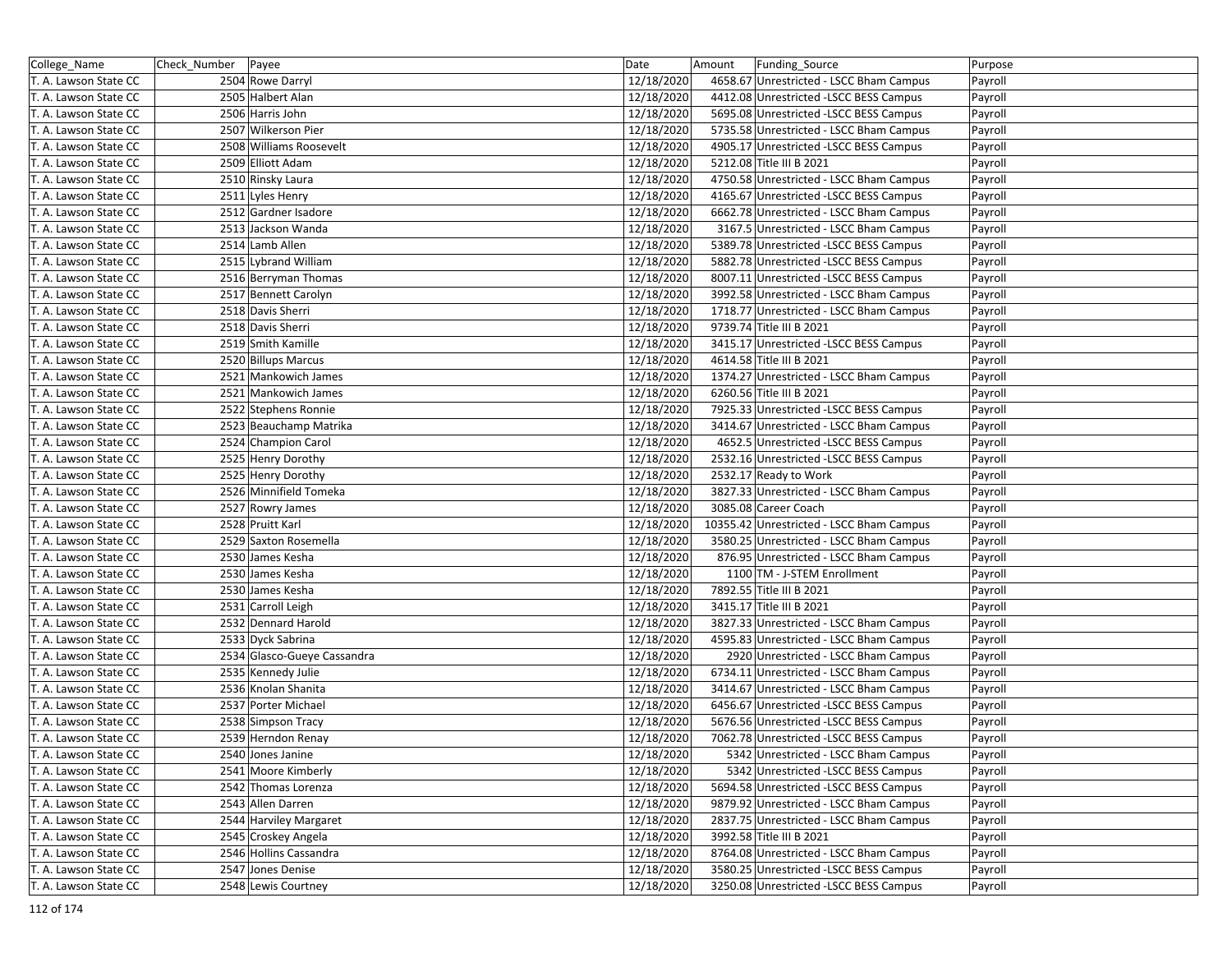| College_Name          | Check_Number   Payee                  | Date<br>12/18/2020       | Amount<br>Funding_Source<br>4658.67 Unrestricted - LSCC Bham Campus             | Purpose            |
|-----------------------|---------------------------------------|--------------------------|---------------------------------------------------------------------------------|--------------------|
| T. A. Lawson State CC | 2504 Rowe Darryl<br>2505 Halbert Alan | 12/18/2020               | 4412.08 Unrestricted -LSCC BESS Campus                                          | Payroll            |
| T. A. Lawson State CC | 2506 Harris John                      |                          |                                                                                 | Payroll            |
| T. A. Lawson State CC |                                       | 12/18/2020               | 5695.08 Unrestricted -LSCC BESS Campus                                          | Payroll            |
| T. A. Lawson State CC | 2507 Wilkerson Pier                   | 12/18/2020               | 5735.58 Unrestricted - LSCC Bham Campus                                         | Payroll            |
| T. A. Lawson State CC | 2508 Williams Roosevelt               | 12/18/2020               | 4905.17 Unrestricted -LSCC BESS Campus                                          | Payroll            |
| T. A. Lawson State CC | 2509 Elliott Adam                     | 12/18/2020               | 5212.08 Title III B 2021                                                        | Payroll            |
| T. A. Lawson State CC | 2510 Rinsky Laura                     | 12/18/2020               | 4750.58 Unrestricted - LSCC Bham Campus                                         | Payroll            |
| T. A. Lawson State CC | 2511 Lyles Henry                      | 12/18/2020               | 4165.67 Unrestricted -LSCC BESS Campus                                          | Payroll            |
| T. A. Lawson State CC | 2512 Gardner Isadore                  | 12/18/2020               | 6662.78 Unrestricted - LSCC Bham Campus                                         | Payroll            |
| T. A. Lawson State CC | 2513 Jackson Wanda                    | 12/18/2020               | 3167.5 Unrestricted - LSCC Bham Campus                                          | Payroll            |
| T. A. Lawson State CC | 2514 Lamb Allen                       | 12/18/2020               | 5389.78 Unrestricted -LSCC BESS Campus                                          | Payroll            |
| T. A. Lawson State CC | 2515 Lybrand William                  | 12/18/2020               | 5882.78 Unrestricted -LSCC BESS Campus                                          | Payroll            |
| T. A. Lawson State CC | 2516 Berryman Thomas                  | 12/18/2020               | 8007.11 Unrestricted -LSCC BESS Campus                                          | Payroll            |
| T. A. Lawson State CC | 2517 Bennett Carolyn                  | 12/18/2020               | 3992.58 Unrestricted - LSCC Bham Campus                                         | Payroll            |
| T. A. Lawson State CC | 2518 Davis Sherri                     | 12/18/2020               | 1718.77 Unrestricted - LSCC Bham Campus                                         | Payroll            |
| T. A. Lawson State CC | 2518 Davis Sherri                     | 12/18/2020               | 9739.74 Title III B 2021                                                        | Payroll            |
| T. A. Lawson State CC | 2519 Smith Kamille                    | 12/18/2020               | 3415.17 Unrestricted -LSCC BESS Campus                                          | Payroll            |
| T. A. Lawson State CC | 2520 Billups Marcus                   | 12/18/2020               | 4614.58 Title III B 2021                                                        | Payroll            |
| T. A. Lawson State CC | 2521 Mankowich James                  | 12/18/2020               | 1374.27 Unrestricted - LSCC Bham Campus                                         | Payroll            |
| T. A. Lawson State CC | 2521 Mankowich James                  | 12/18/2020               | 6260.56 Title III B 2021                                                        | Payroll            |
| T. A. Lawson State CC | 2522 Stephens Ronnie                  | 12/18/2020               | 7925.33 Unrestricted -LSCC BESS Campus                                          | Payroll            |
| T. A. Lawson State CC | 2523 Beauchamp Matrika                | 12/18/2020               | 3414.67 Unrestricted - LSCC Bham Campus                                         | Payroll            |
| T. A. Lawson State CC | 2524 Champion Carol                   | 12/18/2020               | 4652.5 Unrestricted -LSCC BESS Campus                                           | Payroll            |
| T. A. Lawson State CC | 2525 Henry Dorothy                    | 12/18/2020               | 2532.16 Unrestricted -LSCC BESS Campus                                          | Payroll            |
| T. A. Lawson State CC | 2525 Henry Dorothy                    | 12/18/2020               | 2532.17 Ready to Work                                                           | Payroll            |
| T. A. Lawson State CC | 2526 Minnifield Tomeka                | 12/18/2020               | 3827.33 Unrestricted - LSCC Bham Campus                                         | Payroll            |
| T. A. Lawson State CC | 2527 Rowry James                      | 12/18/2020               | 3085.08 Career Coach                                                            | Payroll            |
| T. A. Lawson State CC | 2528 Pruitt Karl                      | 12/18/2020               | 10355.42 Unrestricted - LSCC Bham Campus                                        | Payroll            |
| T. A. Lawson State CC | 2529 Saxton Rosemella                 | 12/18/2020               | 3580.25 Unrestricted - LSCC Bham Campus                                         | Payroll            |
| T. A. Lawson State CC | 2530 James Kesha                      | 12/18/2020               | 876.95 Unrestricted - LSCC Bham Campus                                          | Payroll            |
| T. A. Lawson State CC | 2530 James Kesha                      | 12/18/2020               | 1100 TM - J-STEM Enrollment                                                     | Payroll            |
| T. A. Lawson State CC | 2530 James Kesha                      | 12/18/2020               | 7892.55 Title III B 2021                                                        | Payroll            |
| T. A. Lawson State CC | 2531 Carroll Leigh                    | 12/18/2020               | 3415.17 Title III B 2021                                                        | Payroll            |
| T. A. Lawson State CC | 2532 Dennard Harold                   | 12/18/2020               | 3827.33 Unrestricted - LSCC Bham Campus                                         | Payroll            |
| T. A. Lawson State CC | 2533 Dyck Sabrina                     | 12/18/2020               | 4595.83 Unrestricted - LSCC Bham Campus                                         | Payroll            |
| T. A. Lawson State CC |                                       | 12/18/2020               |                                                                                 |                    |
| T. A. Lawson State CC | 2534 Glasco-Gueye Cassandra           |                          | 2920 Unrestricted - LSCC Bham Campus<br>6734.11 Unrestricted - LSCC Bham Campus | Payroll<br>Payroll |
|                       | 2535 Kennedy Julie                    | 12/18/2020<br>12/18/2020 |                                                                                 |                    |
| T. A. Lawson State CC | 2536 Knolan Shanita                   |                          | 3414.67 Unrestricted - LSCC Bham Campus                                         | Payroll            |
| T. A. Lawson State CC | 2537 Porter Michael                   | 12/18/2020               | 6456.67 Unrestricted -LSCC BESS Campus                                          | Payroll            |
| T. A. Lawson State CC | 2538 Simpson Tracy                    | 12/18/2020               | 5676.56 Unrestricted -LSCC BESS Campus                                          | Payroll            |
| T. A. Lawson State CC | 2539 Herndon Renay                    | 12/18/2020               | 7062.78 Unrestricted -LSCC BESS Campus                                          | Payroll            |
| T. A. Lawson State CC | $\overline{2540}$ Jones Janine        | 12/18/2020               | 5342 Unrestricted - LSCC Bham Campus                                            | Payroll            |
| T. A. Lawson State CC | 2541 Moore Kimberly                   | 12/18/2020               | 5342 Unrestricted -LSCC BESS Campus                                             | Payroll            |
| T. A. Lawson State CC | 2542 Thomas Lorenza                   | 12/18/2020               | 5694.58 Unrestricted -LSCC BESS Campus                                          | Payroll            |
| T. A. Lawson State CC | 2543 Allen Darren                     | 12/18/2020               | 9879.92 Unrestricted - LSCC Bham Campus                                         | Payroll            |
| T. A. Lawson State CC | 2544 Harviley Margaret                | 12/18/2020               | 2837.75 Unrestricted - LSCC Bham Campus                                         | Payroll            |
| T. A. Lawson State CC | 2545 Croskey Angela                   | 12/18/2020               | 3992.58 Title III B 2021                                                        | Payroll            |
| T. A. Lawson State CC | 2546 Hollins Cassandra                | 12/18/2020               | 8764.08 Unrestricted - LSCC Bham Campus                                         | Payroll            |
| T. A. Lawson State CC | 2547 Jones Denise                     | 12/18/2020               | 3580.25 Unrestricted -LSCC BESS Campus                                          | Payroll            |
| T. A. Lawson State CC | 2548 Lewis Courtney                   | 12/18/2020               | 3250.08 Unrestricted -LSCC BESS Campus                                          | Payroll            |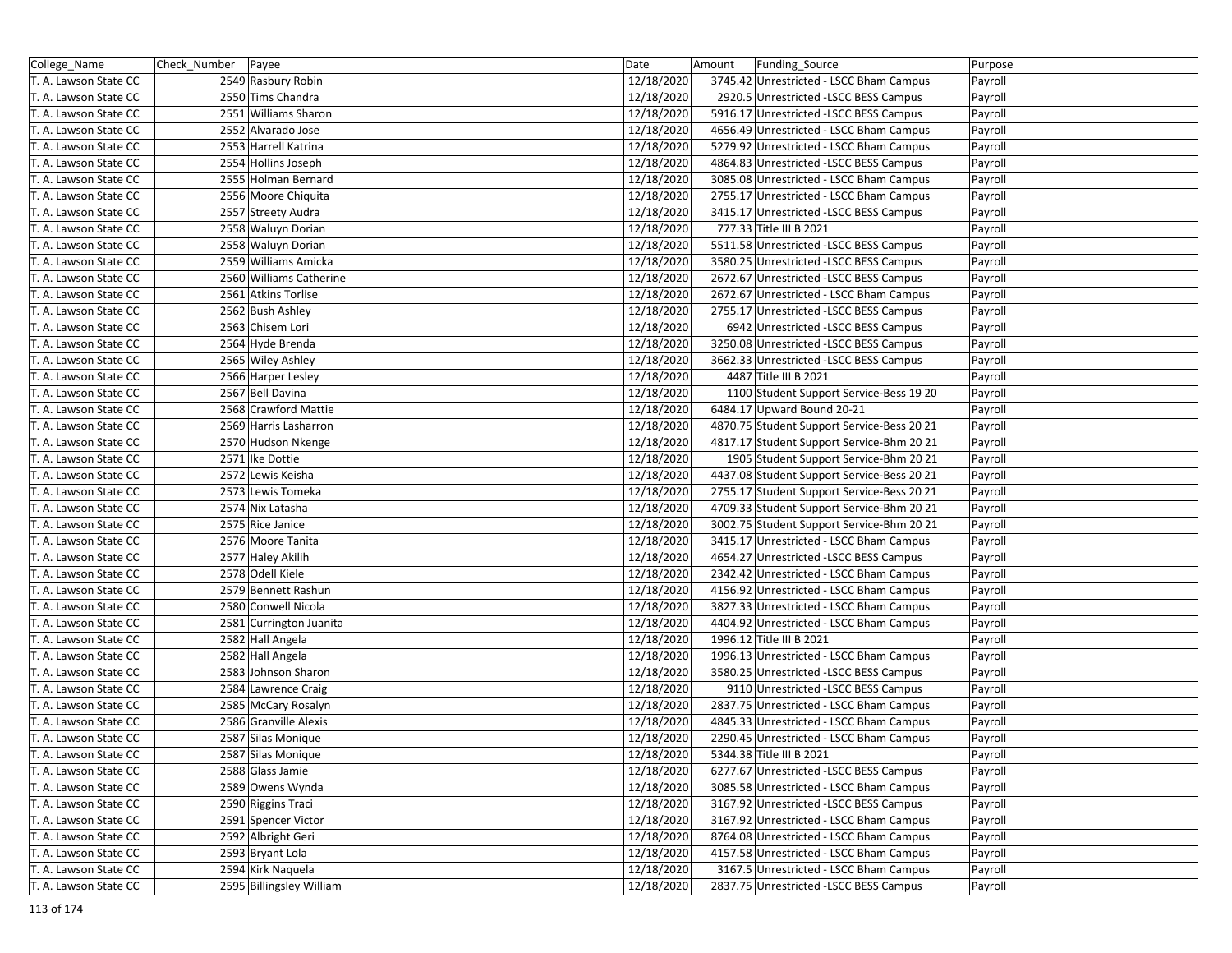| College_Name          | Check_Number | Payee                    | Date       | Funding_Source<br>Amount                   | Purpose |
|-----------------------|--------------|--------------------------|------------|--------------------------------------------|---------|
| T. A. Lawson State CC |              | 2549 Rasbury Robin       | 12/18/2020 | 3745.42 Unrestricted - LSCC Bham Campus    | Payroll |
| T. A. Lawson State CC |              | 2550 Tims Chandra        | 12/18/2020 | 2920.5 Unrestricted -LSCC BESS Campus      | Payroll |
| T. A. Lawson State CC |              | 2551 Williams Sharon     | 12/18/2020 | 5916.17 Unrestricted -LSCC BESS Campus     | Payroll |
| T. A. Lawson State CC |              | 2552 Alvarado Jose       | 12/18/2020 | 4656.49 Unrestricted - LSCC Bham Campus    | Payroll |
| T. A. Lawson State CC |              | 2553 Harrell Katrina     | 12/18/2020 | 5279.92 Unrestricted - LSCC Bham Campus    | Payroll |
| T. A. Lawson State CC |              | 2554 Hollins Joseph      | 12/18/2020 | 4864.83 Unrestricted -LSCC BESS Campus     | Payroll |
| T. A. Lawson State CC |              | 2555 Holman Bernard      | 12/18/2020 | 3085.08 Unrestricted - LSCC Bham Campus    | Payroll |
| T. A. Lawson State CC |              | 2556 Moore Chiquita      | 12/18/2020 | 2755.17 Unrestricted - LSCC Bham Campus    | Payroll |
| T. A. Lawson State CC |              | 2557 Streety Audra       | 12/18/2020 | 3415.17 Unrestricted -LSCC BESS Campus     | Payroll |
| T. A. Lawson State CC |              | 2558 Waluyn Dorian       | 12/18/2020 | 777.33 Title III B 2021                    | Payroll |
| T. A. Lawson State CC |              | 2558 Waluyn Dorian       | 12/18/2020 | 5511.58 Unrestricted -LSCC BESS Campus     | Payroll |
| T. A. Lawson State CC |              | 2559 Williams Amicka     | 12/18/2020 | 3580.25 Unrestricted -LSCC BESS Campus     | Payroll |
| T. A. Lawson State CC |              | 2560 Williams Catherine  | 12/18/2020 | 2672.67 Unrestricted - LSCC BESS Campus    | Payroll |
| T. A. Lawson State CC |              | 2561 Atkins Torlise      | 12/18/2020 | 2672.67 Unrestricted - LSCC Bham Campus    | Payroll |
| T. A. Lawson State CC |              | 2562 Bush Ashley         | 12/18/2020 | 2755.17 Unrestricted -LSCC BESS Campus     | Payroll |
| T. A. Lawson State CC |              | 2563 Chisem Lori         | 12/18/2020 | 6942 Unrestricted -LSCC BESS Campus        | Payroll |
| T. A. Lawson State CC |              | 2564 Hyde Brenda         | 12/18/2020 | 3250.08 Unrestricted -LSCC BESS Campus     | Payroll |
| T. A. Lawson State CC |              | 2565 Wiley Ashley        | 12/18/2020 | 3662.33 Unrestricted - LSCC BESS Campus    | Payroll |
| T. A. Lawson State CC |              | 2566 Harper Lesley       | 12/18/2020 | 4487 Title III B 2021                      | Payroll |
| T. A. Lawson State CC |              | 2567 Bell Davina         | 12/18/2020 | 1100 Student Support Service-Bess 19 20    | Payroll |
| T. A. Lawson State CC |              | 2568 Crawford Mattie     | 12/18/2020 | 6484.17 Upward Bound 20-21                 | Payroll |
| T. A. Lawson State CC |              | 2569 Harris Lasharron    | 12/18/2020 | 4870.75 Student Support Service-Bess 20 21 | Payroll |
| T. A. Lawson State CC |              | 2570 Hudson Nkenge       | 12/18/2020 | 4817.17 Student Support Service-Bhm 20 21  | Payroll |
| T. A. Lawson State CC |              | 2571 Ike Dottie          | 12/18/2020 | 1905 Student Support Service-Bhm 20 21     | Payroll |
| T. A. Lawson State CC |              | 2572 Lewis Keisha        | 12/18/2020 | 4437.08 Student Support Service-Bess 20 21 | Payroll |
| T. A. Lawson State CC |              | 2573 Lewis Tomeka        | 12/18/2020 | 2755.17 Student Support Service-Bess 20 21 | Payroll |
| T. A. Lawson State CC |              | 2574 Nix Latasha         | 12/18/2020 | 4709.33 Student Support Service-Bhm 20 21  | Payroll |
| T. A. Lawson State CC |              | 2575 Rice Janice         | 12/18/2020 | 3002.75 Student Support Service-Bhm 20 21  | Payroll |
| T. A. Lawson State CC |              | 2576 Moore Tanita        | 12/18/2020 | 3415.17 Unrestricted - LSCC Bham Campus    | Payroll |
| T. A. Lawson State CC |              | 2577 Haley Akilih        | 12/18/2020 | 4654.27 Unrestricted -LSCC BESS Campus     | Payroll |
| T. A. Lawson State CC |              | 2578 Odell Kiele         | 12/18/2020 | 2342.42 Unrestricted - LSCC Bham Campus    | Payroll |
| T. A. Lawson State CC |              | 2579 Bennett Rashun      | 12/18/2020 | 4156.92 Unrestricted - LSCC Bham Campus    | Payroll |
| T. A. Lawson State CC |              | 2580 Conwell Nicola      | 12/18/2020 | 3827.33 Unrestricted - LSCC Bham Campus    | Payroll |
| T. A. Lawson State CC |              | 2581 Currington Juanita  | 12/18/2020 | 4404.92 Unrestricted - LSCC Bham Campus    | Payroll |
| T. A. Lawson State CC |              | 2582 Hall Angela         | 12/18/2020 | 1996.12 Title III B 2021                   | Payroll |
| T. A. Lawson State CC |              | 2582 Hall Angela         | 12/18/2020 | 1996.13 Unrestricted - LSCC Bham Campus    | Payroll |
| T. A. Lawson State CC |              | 2583 Johnson Sharon      | 12/18/2020 | 3580.25 Unrestricted -LSCC BESS Campus     | Payroll |
| T. A. Lawson State CC |              | 2584 Lawrence Craig      | 12/18/2020 | 9110 Unrestricted -LSCC BESS Campus        | Payroll |
| T. A. Lawson State CC |              | 2585 McCary Rosalyn      | 12/18/2020 | 2837.75 Unrestricted - LSCC Bham Campus    | Payroll |
| T. A. Lawson State CC |              | 2586 Granville Alexis    | 12/18/2020 | 4845.33 Unrestricted - LSCC Bham Campus    | Payroll |
| T. A. Lawson State CC |              | 2587 Silas Monique       | 12/18/2020 | 2290.45 Unrestricted - LSCC Bham Campus    | Payroll |
| T. A. Lawson State CC |              | 2587 Silas Monique       | 12/18/2020 | 5344.38 Title III B 2021                   | Payroll |
| T. A. Lawson State CC |              | 2588 Glass Jamie         | 12/18/2020 | 6277.67 Unrestricted -LSCC BESS Campus     | Payroll |
| T. A. Lawson State CC |              | 2589 Owens Wynda         | 12/18/2020 | 3085.58 Unrestricted - LSCC Bham Campus    | Payroll |
| T. A. Lawson State CC |              | 2590 Riggins Traci       | 12/18/2020 | 3167.92 Unrestricted -LSCC BESS Campus     | Payroll |
| T. A. Lawson State CC |              | 2591 Spencer Victor      | 12/18/2020 | 3167.92 Unrestricted - LSCC Bham Campus    | Payroll |
| T. A. Lawson State CC |              | 2592 Albright Geri       | 12/18/2020 | 8764.08 Unrestricted - LSCC Bham Campus    | Payroll |
| T. A. Lawson State CC |              | 2593 Bryant Lola         | 12/18/2020 | 4157.58 Unrestricted - LSCC Bham Campus    | Payroll |
| T. A. Lawson State CC |              | 2594 Kirk Naquela        | 12/18/2020 | 3167.5 Unrestricted - LSCC Bham Campus     | Payroll |
| T. A. Lawson State CC |              | 2595 Billingsley William | 12/18/2020 | 2837.75 Unrestricted -LSCC BESS Campus     | Payroll |
|                       |              |                          |            |                                            |         |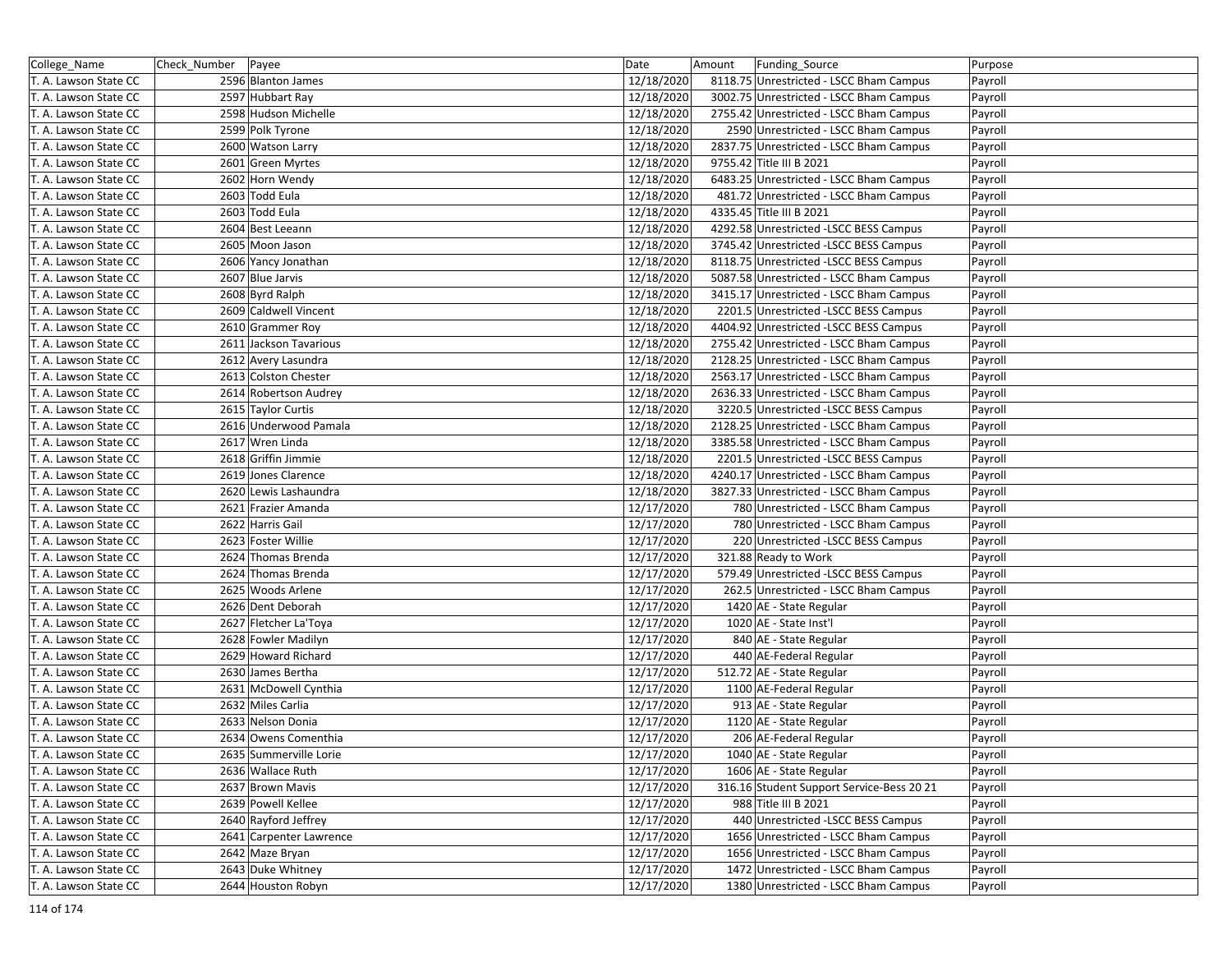| College_Name                                   | Check_Number Payee |                                                | Date                     | Funding Source<br>Amount                          | Purpose |
|------------------------------------------------|--------------------|------------------------------------------------|--------------------------|---------------------------------------------------|---------|
| T. A. Lawson State CC                          |                    | 2596 Blanton James                             | 12/18/2020               | 8118.75 Unrestricted - LSCC Bham Campus           | Payroll |
| T. A. Lawson State CC                          |                    | 2597 Hubbart Ray                               | 12/18/2020               | 3002.75 Unrestricted - LSCC Bham Campus           | Payroll |
| T. A. Lawson State CC                          |                    | 2598 Hudson Michelle                           | 12/18/2020               | 2755.42 Unrestricted - LSCC Bham Campus           | Payroll |
| T. A. Lawson State CC                          |                    | 2599 Polk Tyrone                               | 12/18/2020               | 2590 Unrestricted - LSCC Bham Campus              | Payroll |
| T. A. Lawson State CC                          |                    | 2600 Watson Larry                              | 12/18/2020               | 2837.75 Unrestricted - LSCC Bham Campus           | Payroll |
| T. A. Lawson State CC                          |                    | 2601 Green Myrtes                              | 12/18/2020               | 9755.42 Title III B 2021                          | Payroll |
| T. A. Lawson State CC                          |                    | 2602 Horn Wendy                                | 12/18/2020               | 6483.25 Unrestricted - LSCC Bham Campus           | Payroll |
| T. A. Lawson State CC                          |                    | 2603 Todd Eula                                 | 12/18/2020               | 481.72 Unrestricted - LSCC Bham Campus            | Payroll |
| T. A. Lawson State CC                          |                    | 2603 Todd Eula                                 | 12/18/2020               | 4335.45 Title III B 2021                          | Payroll |
| T. A. Lawson State CC                          |                    | 2604 Best Leeann                               | 12/18/2020               | 4292.58 Unrestricted -LSCC BESS Campus            | Payroll |
| T. A. Lawson State CC                          |                    | 2605 Moon Jason                                | 12/18/2020               | 3745.42 Unrestricted -LSCC BESS Campus            | Payroll |
| T. A. Lawson State CC                          |                    | 2606 Yancy Jonathan                            | 12/18/2020               | 8118.75 Unrestricted -LSCC BESS Campus            | Payroll |
| T. A. Lawson State CC                          |                    | 2607 Blue Jarvis                               | 12/18/2020               | 5087.58 Unrestricted - LSCC Bham Campus           | Payroll |
| T. A. Lawson State CC                          |                    | 2608 Byrd Ralph                                | 12/18/2020               | 3415.17 Unrestricted - LSCC Bham Campus           | Payroll |
| T. A. Lawson State CC                          |                    | 2609 Caldwell Vincent                          | 12/18/2020               | 2201.5 Unrestricted - LSCC BESS Campus            | Payroll |
| T. A. Lawson State CC                          |                    | 2610 Grammer Roy                               | 12/18/2020               | 4404.92 Unrestricted -LSCC BESS Campus            | Payroll |
| T. A. Lawson State CC                          |                    | 2611 Jackson Tavarious                         | 12/18/2020               | 2755.42 Unrestricted - LSCC Bham Campus           | Payroll |
| T. A. Lawson State CC                          |                    | 2612 Avery Lasundra                            | 12/18/2020               | 2128.25 Unrestricted - LSCC Bham Campus           | Payroll |
| T. A. Lawson State CC                          |                    | 2613 Colston Chester                           | 12/18/2020               | 2563.17 Unrestricted - LSCC Bham Campus           | Payroll |
| T. A. Lawson State CC                          |                    | 2614 Robertson Audrey                          | 12/18/2020               | 2636.33 Unrestricted - LSCC Bham Campus           | Payroll |
| T. A. Lawson State CC                          |                    | 2615 Taylor Curtis                             | 12/18/2020               | 3220.5 Unrestricted -LSCC BESS Campus             | Payroll |
| T. A. Lawson State CC                          |                    | 2616 Underwood Pamala                          | 12/18/2020               | 2128.25 Unrestricted - LSCC Bham Campus           | Payroll |
| T. A. Lawson State CC                          |                    | 2617 Wren Linda                                | 12/18/2020               | 3385.58 Unrestricted - LSCC Bham Campus           | Payroll |
| T. A. Lawson State CC                          |                    | 2618 Griffin Jimmie                            | 12/18/2020               | 2201.5 Unrestricted -LSCC BESS Campus             | Payroll |
| T. A. Lawson State CC                          |                    | 2619 Jones Clarence                            | 12/18/2020               | 4240.17 Unrestricted - LSCC Bham Campus           | Payroll |
| T. A. Lawson State CC                          |                    | 2620 Lewis Lashaundra                          | 12/18/2020               | 3827.33 Unrestricted - LSCC Bham Campus           | Payroll |
| T. A. Lawson State CC                          |                    | 2621 Frazier Amanda                            | 12/17/2020               | 780 Unrestricted - LSCC Bham Campus               | Payroll |
| T. A. Lawson State CC                          |                    | 2622 Harris Gail                               | 12/17/2020               | 780 Unrestricted - LSCC Bham Campus               | Payroll |
| T. A. Lawson State CC                          |                    | 2623 Foster Willie                             | 12/17/2020               | 220 Unrestricted -LSCC BESS Campus                | Payroll |
| T. A. Lawson State CC                          |                    | 2624 Thomas Brenda                             | 12/17/2020               | 321.88 Ready to Work                              | Payroll |
| T. A. Lawson State CC                          |                    | 2624 Thomas Brenda                             | 12/17/2020               | 579.49 Unrestricted -LSCC BESS Campus             | Payroll |
| T. A. Lawson State CC                          |                    | 2625 Woods Arlene                              | 12/17/2020               | 262.5 Unrestricted - LSCC Bham Campus             | Payroll |
| T. A. Lawson State CC                          |                    | 2626 Dent Deborah                              | 12/17/2020               | 1420 AE - State Regular                           | Payroll |
| T. A. Lawson State CC                          |                    | 2627 Fletcher La'Toya                          | 12/17/2020               | 1020 AE - State Inst'l                            | Payroll |
| T. A. Lawson State CC                          |                    | 2628 Fowler Madilyn                            | 12/17/2020               | 840 AE - State Regular                            | Payroll |
| T. A. Lawson State CC                          |                    | 2629 Howard Richard                            | 12/17/2020               | 440 AE-Federal Regular                            | Payroll |
| T. A. Lawson State CC                          |                    | 2630 James Bertha                              | 12/17/2020               | 512.72 AE - State Regular                         | Payroll |
| T. A. Lawson State CC                          |                    | 2631 McDowell Cynthia                          | 12/17/2020               | 1100 AE-Federal Regular                           | Payroll |
| T. A. Lawson State CC                          |                    | 2632 Miles Carlia                              | 12/17/2020               | 913 AE - State Regular                            | Payroll |
| T. A. Lawson State CC                          |                    | 2633 Nelson Donia                              | 12/17/2020               | 1120 AE - State Regular                           | Payroll |
|                                                |                    |                                                |                          |                                                   |         |
| T. A. Lawson State CC<br>T. A. Lawson State CC |                    | 2634 Owens Comenthia<br>2635 Summerville Lorie | 12/17/2020<br>12/17/2020 | 206 AE-Federal Regular<br>1040 AE - State Regular | Payroll |
|                                                |                    |                                                |                          |                                                   | Payroll |
| T. A. Lawson State CC                          |                    | 2636 Wallace Ruth                              | 12/17/2020               | 1606 AE - State Regular                           | Payroll |
| T. A. Lawson State CC                          |                    | 2637 Brown Mavis                               | 12/17/2020               | 316.16 Student Support Service-Bess 20 21         | Payroll |
| T. A. Lawson State CC                          |                    | 2639 Powell Kellee                             | 12/17/2020               | 988 Title III B 2021                              | Payroll |
| T. A. Lawson State CC                          |                    | 2640 Rayford Jeffrey                           | 12/17/2020               | 440 Unrestricted - LSCC BESS Campus               | Payroll |
| T. A. Lawson State CC                          |                    | 2641 Carpenter Lawrence                        | 12/17/2020               | 1656 Unrestricted - LSCC Bham Campus              | Payroll |
| T. A. Lawson State CC                          |                    | 2642 Maze Bryan                                | 12/17/2020               | 1656 Unrestricted - LSCC Bham Campus              | Payroll |
| T. A. Lawson State CC                          |                    | 2643 Duke Whitney                              | 12/17/2020               | 1472 Unrestricted - LSCC Bham Campus              | Payroll |
| T. A. Lawson State CC                          |                    | 2644 Houston Robyn                             | 12/17/2020               | 1380 Unrestricted - LSCC Bham Campus              | Payroll |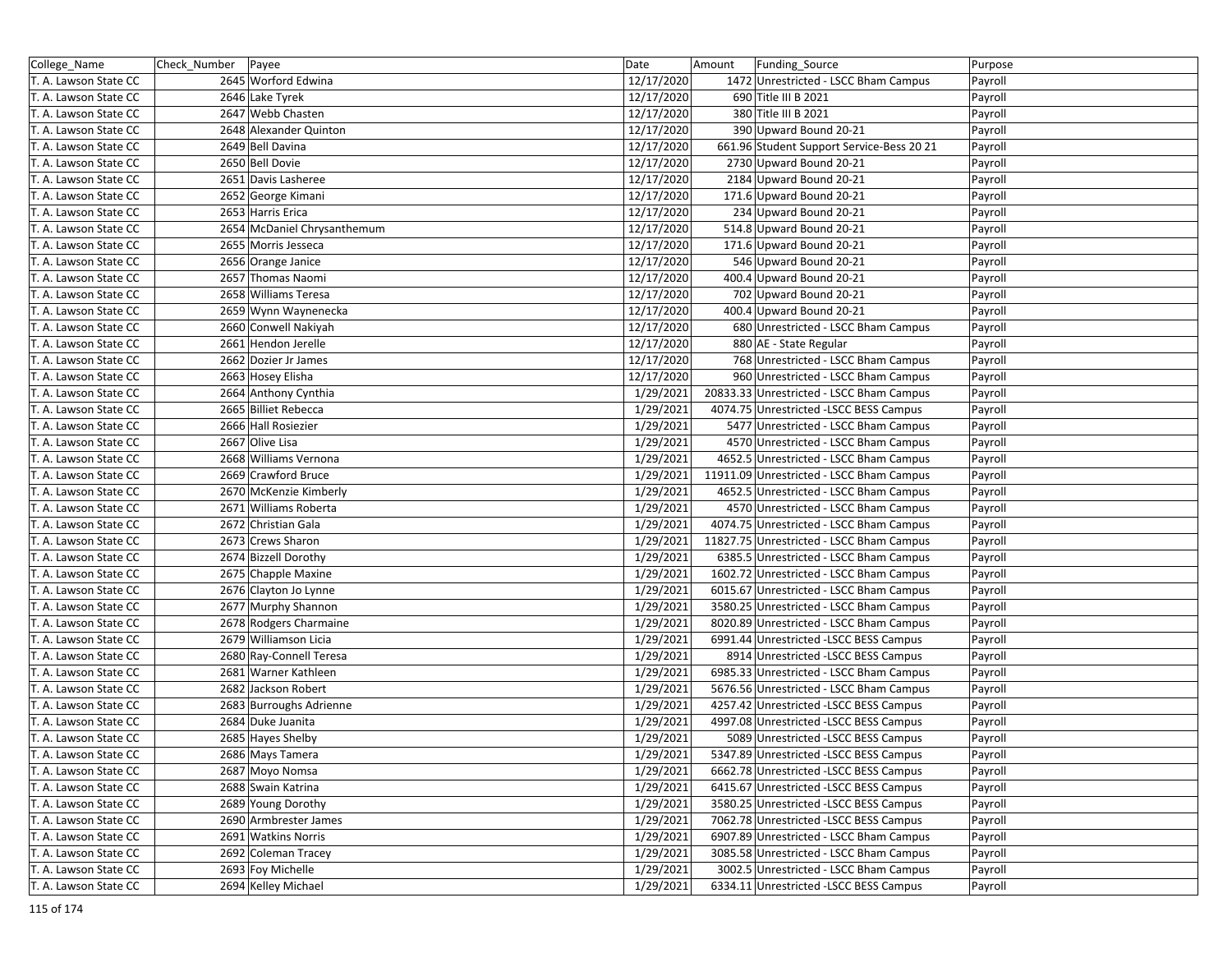| College_Name          | Check_Number   Payee |                             | Date       | Amount | Funding_Source                            | Purpose |
|-----------------------|----------------------|-----------------------------|------------|--------|-------------------------------------------|---------|
| T. A. Lawson State CC |                      | 2645 Worford Edwina         | 12/17/2020 |        | 1472 Unrestricted - LSCC Bham Campus      | Payroll |
| T. A. Lawson State CC |                      | 2646 Lake Tyrek             | 12/17/2020 |        | 690 Title III B 2021                      | Payroll |
| T. A. Lawson State CC |                      | 2647 Webb Chasten           | 12/17/2020 |        | 380 Title III B 2021                      | Payroll |
| T. A. Lawson State CC |                      | 2648 Alexander Quinton      | 12/17/2020 |        | 390 Upward Bound 20-21                    | Payroll |
| T. A. Lawson State CC |                      | 2649 Bell Davina            | 12/17/2020 |        | 661.96 Student Support Service-Bess 20 21 | Payroll |
| T. A. Lawson State CC |                      | 2650 Bell Dovie             | 12/17/2020 |        | 2730 Upward Bound 20-21                   | Payroll |
| T. A. Lawson State CC |                      | 2651 Davis Lasheree         | 12/17/2020 |        | 2184 Upward Bound 20-21                   | Payroll |
| T. A. Lawson State CC |                      | 2652 George Kimani          | 12/17/2020 |        | 171.6 Upward Bound 20-21                  | Payroll |
| T. A. Lawson State CC |                      | 2653 Harris Erica           | 12/17/2020 |        | 234 Upward Bound 20-21                    | Payroll |
| T. A. Lawson State CC |                      | 2654 McDaniel Chrysanthemum | 12/17/2020 |        | 514.8 Upward Bound 20-21                  | Payroll |
| T. A. Lawson State CC |                      | 2655 Morris Jesseca         | 12/17/2020 |        | 171.6 Upward Bound 20-21                  | Payroll |
| T. A. Lawson State CC |                      | 2656 Orange Janice          | 12/17/2020 |        | 546 Upward Bound 20-21                    | Payroll |
| T. A. Lawson State CC |                      | 2657 Thomas Naomi           | 12/17/2020 |        | 400.4 Upward Bound 20-21                  | Payroll |
| T. A. Lawson State CC |                      | 2658 Williams Teresa        | 12/17/2020 |        | 702 Upward Bound 20-21                    | Payroll |
| T. A. Lawson State CC |                      | 2659 Wynn Waynenecka        | 12/17/2020 |        | 400.4 Upward Bound 20-21                  | Payroll |
| T. A. Lawson State CC |                      | 2660 Conwell Nakiyah        | 12/17/2020 |        | 680 Unrestricted - LSCC Bham Campus       | Payroll |
| T. A. Lawson State CC |                      | 2661 Hendon Jerelle         | 12/17/2020 |        | 880 AE - State Regular                    | Payroll |
| T. A. Lawson State CC |                      | 2662 Dozier Jr James        | 12/17/2020 |        | 768 Unrestricted - LSCC Bham Campus       | Payroll |
| T. A. Lawson State CC |                      | 2663 Hosey Elisha           | 12/17/2020 |        | 960 Unrestricted - LSCC Bham Campus       | Payroll |
| T. A. Lawson State CC |                      | 2664 Anthony Cynthia        | 1/29/2021  |        | 20833.33 Unrestricted - LSCC Bham Campus  | Payroll |
| T. A. Lawson State CC |                      | 2665 Billiet Rebecca        | 1/29/2021  |        | 4074.75 Unrestricted -LSCC BESS Campus    | Payroll |
| T. A. Lawson State CC |                      | 2666 Hall Rosiezier         | 1/29/2021  |        | 5477 Unrestricted - LSCC Bham Campus      | Payroll |
| T. A. Lawson State CC |                      | 2667 Olive Lisa             | 1/29/2021  |        | 4570 Unrestricted - LSCC Bham Campus      | Payroll |
| T. A. Lawson State CC |                      | 2668 Williams Vernona       | 1/29/2021  |        | 4652.5 Unrestricted - LSCC Bham Campus    | Payroll |
| T. A. Lawson State CC |                      | 2669 Crawford Bruce         | 1/29/2021  |        | 11911.09 Unrestricted - LSCC Bham Campus  | Payroll |
| T. A. Lawson State CC |                      | 2670 McKenzie Kimberly      | 1/29/2021  |        | 4652.5 Unrestricted - LSCC Bham Campus    | Payroll |
| T. A. Lawson State CC |                      | 2671 Williams Roberta       | 1/29/2021  |        | 4570 Unrestricted - LSCC Bham Campus      | Payroll |
| T. A. Lawson State CC |                      | 2672 Christian Gala         | 1/29/2021  |        | 4074.75 Unrestricted - LSCC Bham Campus   | Payroll |
| T. A. Lawson State CC |                      | 2673 Crews Sharon           | 1/29/2021  |        | 11827.75 Unrestricted - LSCC Bham Campus  | Payroll |
| T. A. Lawson State CC |                      | 2674 Bizzell Dorothy        | 1/29/2021  |        | 6385.5 Unrestricted - LSCC Bham Campus    | Payroll |
| T. A. Lawson State CC |                      | 2675 Chapple Maxine         | 1/29/2021  |        | 1602.72 Unrestricted - LSCC Bham Campus   | Payroll |
| T. A. Lawson State CC |                      | 2676 Clayton Jo Lynne       | 1/29/2021  |        | 6015.67 Unrestricted - LSCC Bham Campus   | Payroll |
| T. A. Lawson State CC |                      | 2677 Murphy Shannon         | 1/29/2021  |        | 3580.25 Unrestricted - LSCC Bham Campus   | Payroll |
| T. A. Lawson State CC |                      | 2678 Rodgers Charmaine      | 1/29/2021  |        | 8020.89 Unrestricted - LSCC Bham Campus   | Payroll |
| T. A. Lawson State CC |                      | 2679 Williamson Licia       | 1/29/2021  |        | 6991.44 Unrestricted -LSCC BESS Campus    | Payroll |
| T. A. Lawson State CC |                      | 2680 Ray-Connell Teresa     | 1/29/2021  |        | 8914 Unrestricted -LSCC BESS Campus       | Payroll |
| T. A. Lawson State CC |                      | 2681 Warner Kathleen        | 1/29/2021  |        | 6985.33 Unrestricted - LSCC Bham Campus   | Payroll |
| T. A. Lawson State CC |                      | 2682 Jackson Robert         | 1/29/2021  |        | 5676.56 Unrestricted - LSCC Bham Campus   | Payroll |
| T. A. Lawson State CC |                      | 2683 Burroughs Adrienne     | 1/29/2021  |        | 4257.42 Unrestricted - LSCC BESS Campus   | Payroll |
| T. A. Lawson State CC |                      | 2684 Duke Juanita           | 1/29/2021  |        | 4997.08 Unrestricted -LSCC BESS Campus    | Payroll |
| T. A. Lawson State CC |                      | 2685 Hayes Shelby           | 1/29/2021  |        | 5089 Unrestricted -LSCC BESS Campus       | Payroll |
| T. A. Lawson State CC |                      | 2686 Mays Tamera            | 1/29/2021  |        | 5347.89 Unrestricted -LSCC BESS Campus    | Payroll |
| T. A. Lawson State CC |                      | 2687 Moyo Nomsa             | 1/29/2021  |        | 6662.78 Unrestricted -LSCC BESS Campus    | Payroll |
| T. A. Lawson State CC |                      | 2688 Swain Katrina          | 1/29/2021  |        | 6415.67 Unrestricted -LSCC BESS Campus    | Payroll |
| T. A. Lawson State CC |                      | 2689 Young Dorothy          | 1/29/2021  |        | 3580.25 Unrestricted -LSCC BESS Campus    | Payroll |
| T. A. Lawson State CC |                      | 2690 Armbrester James       | 1/29/2021  |        | 7062.78 Unrestricted -LSCC BESS Campus    | Payroll |
| T. A. Lawson State CC |                      | 2691 Watkins Norris         | 1/29/2021  |        | 6907.89 Unrestricted - LSCC Bham Campus   | Payroll |
| T. A. Lawson State CC |                      | 2692 Coleman Tracey         | 1/29/2021  |        | 3085.58 Unrestricted - LSCC Bham Campus   | Payroll |
| T. A. Lawson State CC |                      | 2693 Foy Michelle           | 1/29/2021  |        | 3002.5 Unrestricted - LSCC Bham Campus    | Payroll |
| T. A. Lawson State CC |                      | 2694 Kelley Michael         | 1/29/2021  |        | 6334.11 Unrestricted -LSCC BESS Campus    | Payroll |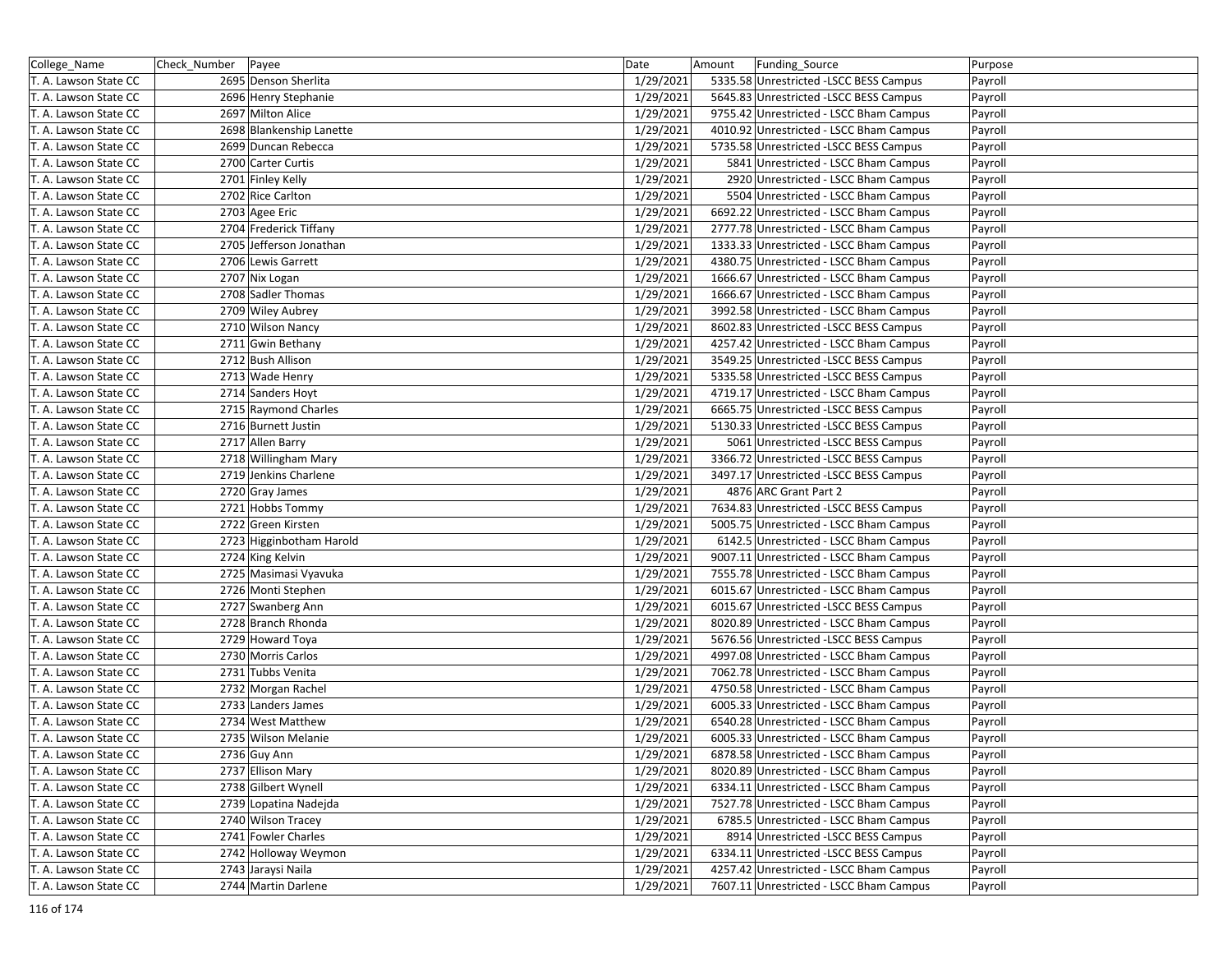| College_Name          | Check_Number | Payee                    | Date      | Amount | Funding_Source                          | Purpose |
|-----------------------|--------------|--------------------------|-----------|--------|-----------------------------------------|---------|
| T. A. Lawson State CC |              | 2695 Denson Sherlita     | 1/29/2021 |        | 5335.58 Unrestricted -LSCC BESS Campus  | Payroll |
| T. A. Lawson State CC |              | 2696 Henry Stephanie     | 1/29/2021 |        | 5645.83 Unrestricted -LSCC BESS Campus  | Payroll |
| T. A. Lawson State CC |              | 2697 Milton Alice        | 1/29/2021 |        | 9755.42 Unrestricted - LSCC Bham Campus | Payroll |
| T. A. Lawson State CC |              | 2698 Blankenship Lanette | 1/29/2021 |        | 4010.92 Unrestricted - LSCC Bham Campus | Payroll |
| T. A. Lawson State CC |              | 2699 Duncan Rebecca      | 1/29/2021 |        | 5735.58 Unrestricted -LSCC BESS Campus  | Payroll |
| T. A. Lawson State CC |              | 2700 Carter Curtis       | 1/29/2021 |        | 5841 Unrestricted - LSCC Bham Campus    | Payroll |
| T. A. Lawson State CC |              | 2701 Finley Kelly        | 1/29/2021 |        | 2920 Unrestricted - LSCC Bham Campus    | Payroll |
| T. A. Lawson State CC |              | 2702 Rice Carlton        | 1/29/2021 |        | 5504 Unrestricted - LSCC Bham Campus    | Payroll |
| T. A. Lawson State CC |              | 2703 Agee Eric           | 1/29/2021 |        | 6692.22 Unrestricted - LSCC Bham Campus | Payroll |
| T. A. Lawson State CC |              | 2704 Frederick Tiffany   | 1/29/2021 |        | 2777.78 Unrestricted - LSCC Bham Campus | Payroll |
| T. A. Lawson State CC |              | 2705 Jefferson Jonathan  | 1/29/2021 |        | 1333.33 Unrestricted - LSCC Bham Campus | Payroll |
| T. A. Lawson State CC |              | 2706 Lewis Garrett       | 1/29/2021 |        | 4380.75 Unrestricted - LSCC Bham Campus | Payroll |
| T. A. Lawson State CC |              | 2707 Nix Logan           | 1/29/2021 |        | 1666.67 Unrestricted - LSCC Bham Campus | Payroll |
| T. A. Lawson State CC |              | 2708 Sadler Thomas       | 1/29/2021 |        | 1666.67 Unrestricted - LSCC Bham Campus | Payroll |
| T. A. Lawson State CC |              | 2709 Wiley Aubrey        | 1/29/2021 |        | 3992.58 Unrestricted - LSCC Bham Campus | Payroll |
| T. A. Lawson State CC |              | 2710 Wilson Nancy        | 1/29/2021 |        | 8602.83 Unrestricted -LSCC BESS Campus  | Payroll |
| T. A. Lawson State CC |              | 2711 Gwin Bethany        | 1/29/2021 |        | 4257.42 Unrestricted - LSCC Bham Campus | Payroll |
| T. A. Lawson State CC |              | 2712 Bush Allison        | 1/29/2021 |        | 3549.25 Unrestricted -LSCC BESS Campus  | Payroll |
| T. A. Lawson State CC |              | 2713 Wade Henry          | 1/29/2021 |        | 5335.58 Unrestricted -LSCC BESS Campus  | Payroll |
| T. A. Lawson State CC |              | 2714 Sanders Hoyt        | 1/29/2021 |        | 4719.17 Unrestricted - LSCC Bham Campus | Payroll |
| T. A. Lawson State CC |              | 2715 Raymond Charles     | 1/29/2021 |        | 6665.75 Unrestricted -LSCC BESS Campus  | Payroll |
| T. A. Lawson State CC |              | 2716 Burnett Justin      | 1/29/2021 |        | 5130.33 Unrestricted -LSCC BESS Campus  | Payroll |
| T. A. Lawson State CC |              | 2717 Allen Barry         | 1/29/2021 |        | 5061 Unrestricted -LSCC BESS Campus     | Payroll |
| T. A. Lawson State CC |              | 2718 Willingham Mary     | 1/29/2021 |        | 3366.72 Unrestricted -LSCC BESS Campus  | Payroll |
| T. A. Lawson State CC |              | 2719 Jenkins Charlene    | 1/29/2021 |        | 3497.17 Unrestricted - LSCC BESS Campus | Payroll |
| T. A. Lawson State CC |              | 2720 Gray James          | 1/29/2021 |        | 4876 ARC Grant Part 2                   | Payroll |
| T. A. Lawson State CC |              | 2721 Hobbs Tommy         | 1/29/2021 |        | 7634.83 Unrestricted -LSCC BESS Campus  | Payroll |
| T. A. Lawson State CC |              | 2722 Green Kirsten       | 1/29/2021 |        | 5005.75 Unrestricted - LSCC Bham Campus | Payroll |
| T. A. Lawson State CC |              | 2723 Higginbotham Harold | 1/29/2021 |        | 6142.5 Unrestricted - LSCC Bham Campus  | Payroll |
| T. A. Lawson State CC |              | 2724 King Kelvin         | 1/29/2021 |        | 9007.11 Unrestricted - LSCC Bham Campus | Payroll |
| T. A. Lawson State CC |              | 2725 Masimasi Vyavuka    | 1/29/2021 |        | 7555.78 Unrestricted - LSCC Bham Campus | Payroll |
| T. A. Lawson State CC |              | 2726 Monti Stephen       | 1/29/2021 |        | 6015.67 Unrestricted - LSCC Bham Campus | Payroll |
| T. A. Lawson State CC |              | 2727 Swanberg Ann        | 1/29/2021 |        | 6015.67 Unrestricted -LSCC BESS Campus  | Payroll |
| T. A. Lawson State CC |              | 2728 Branch Rhonda       | 1/29/2021 |        | 8020.89 Unrestricted - LSCC Bham Campus | Payroll |
| T. A. Lawson State CC |              | 2729 Howard Toya         | 1/29/2021 |        | 5676.56 Unrestricted -LSCC BESS Campus  | Payroll |
| T. A. Lawson State CC |              | 2730 Morris Carlos       | 1/29/2021 |        | 4997.08 Unrestricted - LSCC Bham Campus | Payroll |
| T. A. Lawson State CC |              | 2731 Tubbs Venita        | 1/29/2021 |        | 7062.78 Unrestricted - LSCC Bham Campus | Payroll |
| T. A. Lawson State CC |              | 2732 Morgan Rachel       | 1/29/2021 |        | 4750.58 Unrestricted - LSCC Bham Campus | Payroll |
| T. A. Lawson State CC |              | 2733 Landers James       | 1/29/2021 |        | 6005.33 Unrestricted - LSCC Bham Campus | Payroll |
| T. A. Lawson State CC |              | 2734 West Matthew        | 1/29/2021 |        | 6540.28 Unrestricted - LSCC Bham Campus | Payroll |
| T. A. Lawson State CC |              | 2735 Wilson Melanie      | 1/29/2021 |        | 6005.33 Unrestricted - LSCC Bham Campus | Payroll |
| T. A. Lawson State CC |              | 2736 Guy Ann             | 1/29/2021 |        | 6878.58 Unrestricted - LSCC Bham Campus | Payroll |
| T. A. Lawson State CC |              | 2737 Ellison Mary        | 1/29/2021 |        | 8020.89 Unrestricted - LSCC Bham Campus | Payroll |
| T. A. Lawson State CC |              | 2738 Gilbert Wynell      | 1/29/2021 |        | 6334.11 Unrestricted - LSCC Bham Campus | Payroll |
| T. A. Lawson State CC |              | 2739 Lopatina Nadejda    | 1/29/2021 |        | 7527.78 Unrestricted - LSCC Bham Campus | Payroll |
| T. A. Lawson State CC |              | 2740 Wilson Tracey       | 1/29/2021 |        | 6785.5 Unrestricted - LSCC Bham Campus  | Payroll |
| T. A. Lawson State CC |              | 2741 Fowler Charles      | 1/29/2021 |        | 8914 Unrestricted -LSCC BESS Campus     | Payroll |
| T. A. Lawson State CC |              | 2742 Holloway Weymon     | 1/29/2021 |        | 6334.11 Unrestricted -LSCC BESS Campus  | Payroll |
| T. A. Lawson State CC |              | 2743 Jaraysi Naila       | 1/29/2021 |        | 4257.42 Unrestricted - LSCC Bham Campus | Payroll |
| T. A. Lawson State CC |              | 2744 Martin Darlene      | 1/29/2021 |        | 7607.11 Unrestricted - LSCC Bham Campus | Payroll |
|                       |              |                          |           |        |                                         |         |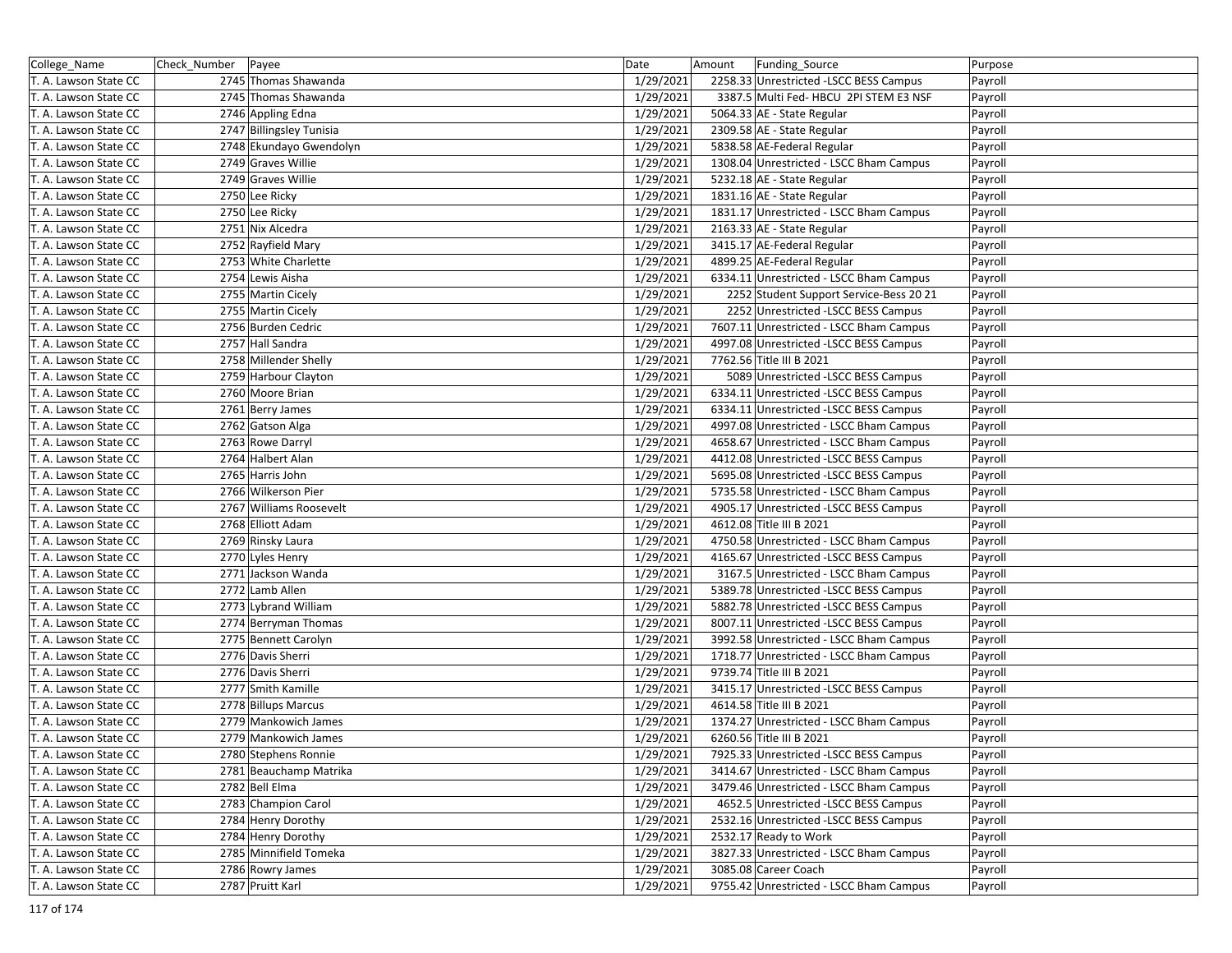| College_Name          | Check_Number<br>Payee                 | Date                   | Funding_Source<br>Amount                | Purpose |
|-----------------------|---------------------------------------|------------------------|-----------------------------------------|---------|
| T. A. Lawson State CC | 2745 Thomas Shawanda                  | 1/29/2021              | 2258.33 Unrestricted -LSCC BESS Campus  | Payroll |
| T. A. Lawson State CC | 2745 Thomas Shawanda                  | 1/29/2021              | 3387.5 Multi Fed- HBCU 2PI STEM E3 NSF  | Payroll |
| T. A. Lawson State CC | 2746 Appling Edna                     | 1/29/2021              | 5064.33 AE - State Regular              | Payroll |
| T. A. Lawson State CC | 2747 Billingsley Tunisia              | 1/29/2021              | 2309.58 AE - State Regular              | Payroll |
| T. A. Lawson State CC | 2748 Ekundayo Gwendolyn               | 1/29/2021              | 5838.58 AE-Federal Regular              | Payroll |
| T. A. Lawson State CC | 2749 Graves Willie                    | 1/29/2021              | 1308.04 Unrestricted - LSCC Bham Campus | Payroll |
| T. A. Lawson State CC | 2749 Graves Willie                    | 1/29/2021              | 5232.18 AE - State Regular              | Payroll |
| T. A. Lawson State CC | 2750 Lee Ricky                        | 1/29/2021              | 1831.16 AE - State Regular              | Payroll |
| T. A. Lawson State CC | 2750 Lee Ricky                        | 1/29/2021              | 1831.17 Unrestricted - LSCC Bham Campus | Payroll |
| T. A. Lawson State CC | 2751 Nix Alcedra                      | 1/29/2021              | 2163.33 AE - State Regular              | Payroll |
| T. A. Lawson State CC | 2752 Rayfield Mary                    | 1/29/2021              | 3415.17 AE-Federal Regular              | Payroll |
| T. A. Lawson State CC | 2753 White Charlette                  | 1/29/2021              | 4899.25 AE-Federal Regular              | Payroll |
| T. A. Lawson State CC | 2754 Lewis Aisha                      | 1/29/2021              | 6334.11 Unrestricted - LSCC Bham Campus | Payroll |
| T. A. Lawson State CC | 2755 Martin Cicely                    | 1/29/2021              | 2252 Student Support Service-Bess 20 21 | Payroll |
| T. A. Lawson State CC | 2755 Martin Cicely                    | 1/29/2021              | 2252 Unrestricted -LSCC BESS Campus     | Payroll |
| T. A. Lawson State CC | 2756 Burden Cedric                    | 1/29/2021              | 7607.11 Unrestricted - LSCC Bham Campus | Payroll |
| T. A. Lawson State CC | 2757 Hall Sandra                      | 1/29/2021              | 4997.08 Unrestricted -LSCC BESS Campus  | Payroll |
| T. A. Lawson State CC | 2758 Millender Shelly                 | 1/29/2021              | 7762.56 Title III B 2021                | Payroll |
| T. A. Lawson State CC | 2759 Harbour Clayton                  | 1/29/2021              | 5089 Unrestricted -LSCC BESS Campus     | Payroll |
| T. A. Lawson State CC | 2760 Moore Brian                      | 1/29/2021              | 6334.11 Unrestricted -LSCC BESS Campus  | Payroll |
| T. A. Lawson State CC | 2761 Berry James                      | 1/29/2021              | 6334.11 Unrestricted -LSCC BESS Campus  | Payroll |
| T. A. Lawson State CC | 2762 Gatson Alga                      | 1/29/2021              | 4997.08 Unrestricted - LSCC Bham Campus | Payroll |
| T. A. Lawson State CC | 2763 Rowe Darryl                      | 1/29/2021              | 4658.67 Unrestricted - LSCC Bham Campus | Payroll |
| T. A. Lawson State CC | 2764 Halbert Alan                     | 1/29/2021              | 4412.08 Unrestricted -LSCC BESS Campus  | Payroll |
| T. A. Lawson State CC | 2765 Harris John                      | 1/29/2021              | 5695.08 Unrestricted -LSCC BESS Campus  | Payroll |
| T. A. Lawson State CC | 2766 Wilkerson Pier                   | 1/29/2021              | 5735.58 Unrestricted - LSCC Bham Campus | Payroll |
| T. A. Lawson State CC | 2767 Williams Roosevelt               | 1/29/2021              | 4905.17 Unrestricted - LSCC BESS Campus | Payroll |
| T. A. Lawson State CC | 2768 Elliott Adam                     | 1/29/2021              | 4612.08 Title III B 2021                | Payroll |
|                       |                                       |                        | 4750.58 Unrestricted - LSCC Bham Campus |         |
| T. A. Lawson State CC | 2769 Rinsky Laura<br>2770 Lyles Henry | 1/29/2021<br>1/29/2021 | 4165.67 Unrestricted -LSCC BESS Campus  | Payroll |
| T. A. Lawson State CC |                                       |                        |                                         | Payroll |
| T. A. Lawson State CC | 2771 Jackson Wanda                    | 1/29/2021              | 3167.5 Unrestricted - LSCC Bham Campus  | Payroll |
| T. A. Lawson State CC | 2772 Lamb Allen                       | 1/29/2021              | 5389.78 Unrestricted -LSCC BESS Campus  | Payroll |
| T. A. Lawson State CC | 2773 Lybrand William                  | 1/29/2021              | 5882.78 Unrestricted -LSCC BESS Campus  | Payroll |
| T. A. Lawson State CC | 2774 Berryman Thomas                  | 1/29/2021              | 8007.11 Unrestricted -LSCC BESS Campus  | Payroll |
| T. A. Lawson State CC | 2775 Bennett Carolyn                  | 1/29/2021              | 3992.58 Unrestricted - LSCC Bham Campus | Payroll |
| T. A. Lawson State CC | 2776 Davis Sherri                     | 1/29/2021              | 1718.77 Unrestricted - LSCC Bham Campus | Payroll |
| T. A. Lawson State CC | 2776 Davis Sherri                     | 1/29/2021              | 9739.74 Title III B 2021                | Payroll |
| T. A. Lawson State CC | 2777 Smith Kamille                    | 1/29/2021              | 3415.17 Unrestricted -LSCC BESS Campus  | Payroll |
| T. A. Lawson State CC | 2778 Billups Marcus                   | 1/29/2021              | 4614.58 Title III B 2021                | Payroll |
| T. A. Lawson State CC | 2779 Mankowich James                  | 1/29/2021              | 1374.27 Unrestricted - LSCC Bham Campus | Payroll |
| T. A. Lawson State CC | 2779 Mankowich James                  | 1/29/2021              | 6260.56 Title III B 2021                | Payroll |
| T. A. Lawson State CC | 2780 Stephens Ronnie                  | 1/29/2021              | 7925.33 Unrestricted -LSCC BESS Campus  | Payroll |
| T. A. Lawson State CC | 2781 Beauchamp Matrika                | 1/29/2021              | 3414.67 Unrestricted - LSCC Bham Campus | Payroll |
| T. A. Lawson State CC | 2782 Bell Elma                        | 1/29/2021              | 3479.46 Unrestricted - LSCC Bham Campus | Payroll |
| T. A. Lawson State CC | 2783 Champion Carol                   | 1/29/2021              | 4652.5 Unrestricted -LSCC BESS Campus   | Payroll |
| T. A. Lawson State CC | 2784 Henry Dorothy                    | 1/29/2021              | 2532.16 Unrestricted -LSCC BESS Campus  | Payroll |
| T. A. Lawson State CC | 2784 Henry Dorothy                    | 1/29/2021              | 2532.17 Ready to Work                   | Payroll |
| T. A. Lawson State CC | 2785 Minnifield Tomeka                | 1/29/2021              | 3827.33 Unrestricted - LSCC Bham Campus | Payroll |
| T. A. Lawson State CC | 2786 Rowry James                      | 1/29/2021              | 3085.08 Career Coach                    | Payroll |
| T. A. Lawson State CC | 2787 Pruitt Karl                      | 1/29/2021              | 9755.42 Unrestricted - LSCC Bham Campus | Payroll |
|                       |                                       |                        |                                         |         |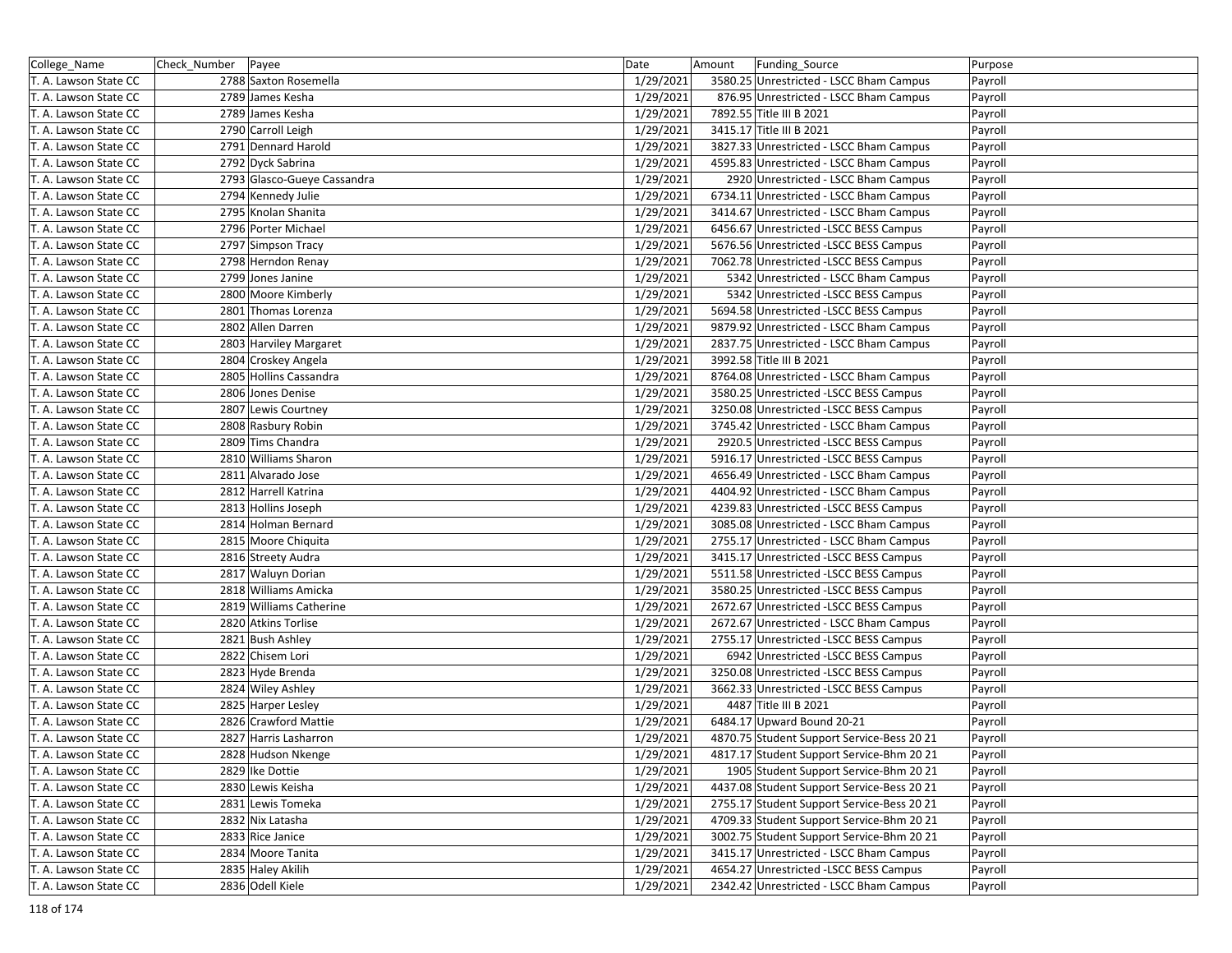| College_Name          | Check_Number | Payee                       | Date      | Amount | Funding_Source                             | Purpose |
|-----------------------|--------------|-----------------------------|-----------|--------|--------------------------------------------|---------|
| T. A. Lawson State CC |              | 2788 Saxton Rosemella       | 1/29/2021 |        | 3580.25 Unrestricted - LSCC Bham Campus    | Payroll |
| T. A. Lawson State CC |              | 2789 James Kesha            | 1/29/2021 |        | 876.95 Unrestricted - LSCC Bham Campus     | Payroll |
| T. A. Lawson State CC |              | 2789 James Kesha            | 1/29/2021 |        | 7892.55 Title III B 2021                   | Payroll |
| T. A. Lawson State CC |              | 2790 Carroll Leigh          | 1/29/2021 |        | 3415.17 Title III B 2021                   | Payroll |
| T. A. Lawson State CC |              | 2791 Dennard Harold         | 1/29/2021 |        | 3827.33 Unrestricted - LSCC Bham Campus    | Payroll |
| T. A. Lawson State CC |              | 2792 Dyck Sabrina           | 1/29/2021 |        | 4595.83 Unrestricted - LSCC Bham Campus    | Payroll |
| T. A. Lawson State CC |              | 2793 Glasco-Gueye Cassandra | 1/29/2021 |        | 2920 Unrestricted - LSCC Bham Campus       | Payroll |
| T. A. Lawson State CC |              | 2794 Kennedy Julie          | 1/29/2021 |        | 6734.11 Unrestricted - LSCC Bham Campus    | Payroll |
| T. A. Lawson State CC |              | 2795 Knolan Shanita         | 1/29/2021 |        | 3414.67 Unrestricted - LSCC Bham Campus    | Payroll |
| T. A. Lawson State CC |              | 2796 Porter Michael         | 1/29/2021 |        | 6456.67 Unrestricted -LSCC BESS Campus     | Payroll |
| T. A. Lawson State CC |              | 2797 Simpson Tracy          | 1/29/2021 |        | 5676.56 Unrestricted -LSCC BESS Campus     | Payroll |
| T. A. Lawson State CC |              | 2798 Herndon Renay          | 1/29/2021 |        | 7062.78 Unrestricted -LSCC BESS Campus     | Payroll |
| T. A. Lawson State CC |              | 2799 Jones Janine           | 1/29/2021 |        | 5342 Unrestricted - LSCC Bham Campus       | Payroll |
| T. A. Lawson State CC |              | 2800 Moore Kimberly         | 1/29/2021 |        | 5342 Unrestricted -LSCC BESS Campus        | Payroll |
| T. A. Lawson State CC |              | 2801 Thomas Lorenza         | 1/29/2021 |        | 5694.58 Unrestricted -LSCC BESS Campus     | Payroll |
| T. A. Lawson State CC |              | 2802 Allen Darren           | 1/29/2021 |        | 9879.92 Unrestricted - LSCC Bham Campus    | Payroll |
| T. A. Lawson State CC |              | 2803 Harviley Margaret      | 1/29/2021 |        | 2837.75 Unrestricted - LSCC Bham Campus    | Payroll |
| T. A. Lawson State CC |              | 2804 Croskey Angela         | 1/29/2021 |        | 3992.58 Title III B 2021                   | Payroll |
| T. A. Lawson State CC |              | 2805 Hollins Cassandra      | 1/29/2021 |        | 8764.08 Unrestricted - LSCC Bham Campus    | Payroll |
| T. A. Lawson State CC |              | 2806 Jones Denise           | 1/29/2021 |        | 3580.25 Unrestricted -LSCC BESS Campus     | Payroll |
| T. A. Lawson State CC |              | 2807 Lewis Courtney         | 1/29/2021 |        | 3250.08 Unrestricted - LSCC BESS Campus    | Payroll |
| T. A. Lawson State CC |              | 2808 Rasbury Robin          | 1/29/2021 |        | 3745.42 Unrestricted - LSCC Bham Campus    | Payroll |
| T. A. Lawson State CC |              | 2809 Tims Chandra           | 1/29/2021 |        | 2920.5 Unrestricted -LSCC BESS Campus      | Payroll |
| T. A. Lawson State CC |              | 2810 Williams Sharon        | 1/29/2021 |        | 5916.17 Unrestricted -LSCC BESS Campus     | Payroll |
| T. A. Lawson State CC |              | 2811 Alvarado Jose          | 1/29/2021 |        | 4656.49 Unrestricted - LSCC Bham Campus    | Payroll |
| T. A. Lawson State CC |              | 2812 Harrell Katrina        | 1/29/2021 |        | 4404.92 Unrestricted - LSCC Bham Campus    | Payroll |
| T. A. Lawson State CC |              | 2813 Hollins Joseph         | 1/29/2021 |        | 4239.83 Unrestricted -LSCC BESS Campus     | Payroll |
| T. A. Lawson State CC |              | 2814 Holman Bernard         | 1/29/2021 |        | 3085.08 Unrestricted - LSCC Bham Campus    | Payroll |
| T. A. Lawson State CC |              | 2815 Moore Chiquita         | 1/29/2021 |        | 2755.17 Unrestricted - LSCC Bham Campus    | Payroll |
| T. A. Lawson State CC |              | 2816 Streety Audra          | 1/29/2021 |        | 3415.17 Unrestricted -LSCC BESS Campus     | Payroll |
| T. A. Lawson State CC |              | 2817 Waluyn Dorian          | 1/29/2021 |        | 5511.58 Unrestricted -LSCC BESS Campus     | Payroll |
| T. A. Lawson State CC |              | 2818 Williams Amicka        | 1/29/2021 |        | 3580.25 Unrestricted -LSCC BESS Campus     | Payroll |
| T. A. Lawson State CC |              | 2819 Williams Catherine     | 1/29/2021 |        | 2672.67 Unrestricted -LSCC BESS Campus     | Payroll |
| T. A. Lawson State CC |              | 2820 Atkins Torlise         | 1/29/2021 |        | 2672.67 Unrestricted - LSCC Bham Campus    | Payroll |
| T. A. Lawson State CC |              | 2821 Bush Ashley            | 1/29/2021 |        | 2755.17 Unrestricted - LSCC BESS Campus    | Payroll |
| T. A. Lawson State CC |              | 2822 Chisem Lori            | 1/29/2021 |        | 6942 Unrestricted -LSCC BESS Campus        | Payroll |
| T. A. Lawson State CC |              | 2823 Hyde Brenda            | 1/29/2021 |        | 3250.08 Unrestricted -LSCC BESS Campus     | Payroll |
| T. A. Lawson State CC |              | 2824 Wiley Ashley           | 1/29/2021 |        | 3662.33 Unrestricted -LSCC BESS Campus     | Payroll |
| T. A. Lawson State CC |              | 2825 Harper Lesley          | 1/29/2021 |        | 4487 Title III B 2021                      | Payroll |
| T. A. Lawson State CC |              | 2826 Crawford Mattie        | 1/29/2021 |        | 6484.17 Upward Bound 20-21                 | Payroll |
| T. A. Lawson State CC |              | 2827 Harris Lasharron       | 1/29/2021 |        | 4870.75 Student Support Service-Bess 20 21 | Payroll |
| T. A. Lawson State CC |              | 2828 Hudson Nkenge          | 1/29/2021 |        | 4817.17 Student Support Service-Bhm 20 21  | Payroll |
| T. A. Lawson State CC |              | 2829 Ike Dottie             | 1/29/2021 |        | 1905 Student Support Service-Bhm 20 21     | Payroll |
| T. A. Lawson State CC |              | 2830 Lewis Keisha           | 1/29/2021 |        | 4437.08 Student Support Service-Bess 20 21 | Payroll |
| T. A. Lawson State CC |              | 2831 Lewis Tomeka           | 1/29/2021 |        | 2755.17 Student Support Service-Bess 20 21 | Payroll |
| T. A. Lawson State CC |              | 2832 Nix Latasha            | 1/29/2021 |        | 4709.33 Student Support Service-Bhm 20 21  | Payroll |
| T. A. Lawson State CC |              | 2833 Rice Janice            | 1/29/2021 |        | 3002.75 Student Support Service-Bhm 20 21  | Payroll |
| T. A. Lawson State CC |              | 2834 Moore Tanita           | 1/29/2021 |        | 3415.17 Unrestricted - LSCC Bham Campus    | Payroll |
| T. A. Lawson State CC |              | 2835 Haley Akilih           | 1/29/2021 |        | 4654.27 Unrestricted -LSCC BESS Campus     | Payroll |
| T. A. Lawson State CC |              | 2836 Odell Kiele            | 1/29/2021 |        | 2342.42 Unrestricted - LSCC Bham Campus    | Payroll |
|                       |              |                             |           |        |                                            |         |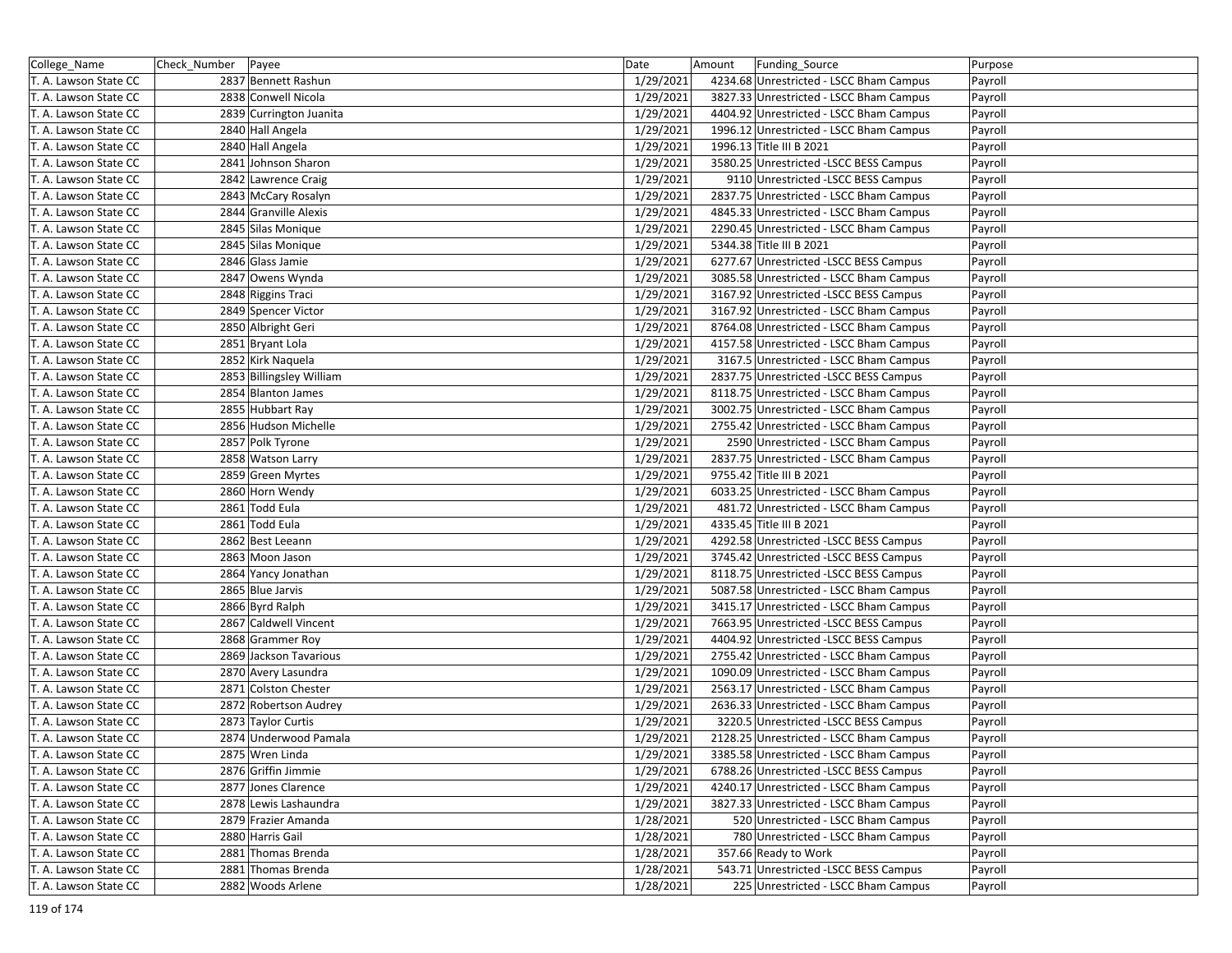| College_Name          | Check_Number   Payee |                          | Date      | Amount | Funding Source                          | Purpose |
|-----------------------|----------------------|--------------------------|-----------|--------|-----------------------------------------|---------|
| T. A. Lawson State CC |                      | 2837 Bennett Rashun      | 1/29/2021 |        | 4234.68 Unrestricted - LSCC Bham Campus | Payroll |
| T. A. Lawson State CC |                      | 2838 Conwell Nicola      | 1/29/2021 |        | 3827.33 Unrestricted - LSCC Bham Campus | Payroll |
| T. A. Lawson State CC |                      | 2839 Currington Juanita  | 1/29/2021 |        | 4404.92 Unrestricted - LSCC Bham Campus | Payroll |
| T. A. Lawson State CC |                      | 2840 Hall Angela         | 1/29/2021 |        | 1996.12 Unrestricted - LSCC Bham Campus | Payroll |
| T. A. Lawson State CC |                      | 2840 Hall Angela         | 1/29/2021 |        | 1996.13 Title III B 2021                | Payroll |
| T. A. Lawson State CC |                      | 2841 Johnson Sharon      | 1/29/2021 |        | 3580.25 Unrestricted -LSCC BESS Campus  | Payroll |
| T. A. Lawson State CC |                      | 2842 Lawrence Craig      | 1/29/2021 |        | 9110 Unrestricted -LSCC BESS Campus     | Payroll |
| T. A. Lawson State CC |                      | 2843 McCary Rosalyn      | 1/29/2021 |        | 2837.75 Unrestricted - LSCC Bham Campus | Payroll |
| T. A. Lawson State CC |                      | 2844 Granville Alexis    | 1/29/2021 |        | 4845.33 Unrestricted - LSCC Bham Campus | Payroll |
| T. A. Lawson State CC |                      | 2845 Silas Monique       | 1/29/2021 |        | 2290.45 Unrestricted - LSCC Bham Campus | Payroll |
| T. A. Lawson State CC |                      | 2845 Silas Monique       | 1/29/2021 |        | 5344.38 Title III B 2021                | Payroll |
| T. A. Lawson State CC |                      | 2846 Glass Jamie         | 1/29/2021 |        | 6277.67 Unrestricted -LSCC BESS Campus  | Payroll |
| T. A. Lawson State CC |                      | 2847 Owens Wynda         | 1/29/2021 |        | 3085.58 Unrestricted - LSCC Bham Campus | Payroll |
| T. A. Lawson State CC |                      | 2848 Riggins Traci       | 1/29/2021 |        | 3167.92 Unrestricted -LSCC BESS Campus  | Payroll |
| T. A. Lawson State CC |                      | 2849 Spencer Victor      | 1/29/2021 |        | 3167.92 Unrestricted - LSCC Bham Campus | Payroll |
| T. A. Lawson State CC |                      | 2850 Albright Geri       | 1/29/2021 |        | 8764.08 Unrestricted - LSCC Bham Campus | Payroll |
| T. A. Lawson State CC |                      | 2851 Bryant Lola         | 1/29/2021 |        | 4157.58 Unrestricted - LSCC Bham Campus | Payroll |
| T. A. Lawson State CC |                      | 2852 Kirk Naquela        | 1/29/2021 |        | 3167.5 Unrestricted - LSCC Bham Campus  | Payroll |
| T. A. Lawson State CC |                      | 2853 Billingsley William | 1/29/2021 |        | 2837.75 Unrestricted -LSCC BESS Campus  | Payroll |
| T. A. Lawson State CC |                      | 2854 Blanton James       | 1/29/2021 |        | 8118.75 Unrestricted - LSCC Bham Campus | Payroll |
| T. A. Lawson State CC |                      | 2855 Hubbart Ray         | 1/29/2021 |        | 3002.75 Unrestricted - LSCC Bham Campus | Payroll |
| T. A. Lawson State CC |                      | 2856 Hudson Michelle     | 1/29/2021 |        | 2755.42 Unrestricted - LSCC Bham Campus | Payroll |
| T. A. Lawson State CC |                      | 2857 Polk Tyrone         | 1/29/2021 |        | 2590 Unrestricted - LSCC Bham Campus    | Payroll |
| T. A. Lawson State CC |                      | 2858 Watson Larry        | 1/29/2021 |        | 2837.75 Unrestricted - LSCC Bham Campus | Payroll |
| T. A. Lawson State CC |                      | 2859 Green Myrtes        | 1/29/2021 |        | 9755.42 Title III B 2021                | Payroll |
| T. A. Lawson State CC |                      | 2860 Horn Wendy          | 1/29/2021 |        | 6033.25 Unrestricted - LSCC Bham Campus | Payroll |
| T. A. Lawson State CC |                      | 2861 Todd Eula           | 1/29/2021 |        | 481.72 Unrestricted - LSCC Bham Campus  | Payroll |
| T. A. Lawson State CC |                      | 2861 Todd Eula           | 1/29/2021 |        | 4335.45 Title III B 2021                | Payroll |
| T. A. Lawson State CC |                      | 2862 Best Leeann         | 1/29/2021 |        | 4292.58 Unrestricted -LSCC BESS Campus  | Payroll |
| T. A. Lawson State CC |                      | 2863 Moon Jason          | 1/29/2021 |        | 3745.42 Unrestricted -LSCC BESS Campus  | Payroll |
| T. A. Lawson State CC |                      | 2864 Yancy Jonathan      | 1/29/2021 |        | 8118.75 Unrestricted -LSCC BESS Campus  | Payroll |
| T. A. Lawson State CC |                      | 2865 Blue Jarvis         | 1/29/2021 |        | 5087.58 Unrestricted - LSCC Bham Campus | Payroll |
| T. A. Lawson State CC |                      | 2866 Byrd Ralph          | 1/29/2021 |        | 3415.17 Unrestricted - LSCC Bham Campus | Payroll |
| T. A. Lawson State CC |                      | 2867 Caldwell Vincent    | 1/29/2021 |        | 7663.95 Unrestricted -LSCC BESS Campus  | Payroll |
| T. A. Lawson State CC |                      | 2868 Grammer Roy         | 1/29/2021 |        | 4404.92 Unrestricted -LSCC BESS Campus  | Payroll |
| T. A. Lawson State CC |                      | 2869 Jackson Tavarious   | 1/29/2021 |        | 2755.42 Unrestricted - LSCC Bham Campus | Payroll |
| T. A. Lawson State CC |                      | 2870 Avery Lasundra      | 1/29/2021 |        | 1090.09 Unrestricted - LSCC Bham Campus | Payroll |
| T. A. Lawson State CC |                      | 2871 Colston Chester     | 1/29/2021 |        | 2563.17 Unrestricted - LSCC Bham Campus | Payroll |
| T. A. Lawson State CC |                      | 2872 Robertson Audrey    | 1/29/2021 |        | 2636.33 Unrestricted - LSCC Bham Campus | Payroll |
| T. A. Lawson State CC |                      | 2873 Taylor Curtis       | 1/29/2021 |        | 3220.5 Unrestricted -LSCC BESS Campus   | Payroll |
| T. A. Lawson State CC |                      | 2874 Underwood Pamala    | 1/29/2021 |        | 2128.25 Unrestricted - LSCC Bham Campus | Payroll |
| T. A. Lawson State CC |                      | 2875 Wren Linda          | 1/29/2021 |        | 3385.58 Unrestricted - LSCC Bham Campus | Payroll |
| T. A. Lawson State CC |                      | 2876 Griffin Jimmie      | 1/29/2021 |        | 6788.26 Unrestricted -LSCC BESS Campus  | Payroll |
| T. A. Lawson State CC |                      | 2877 Jones Clarence      | 1/29/2021 |        | 4240.17 Unrestricted - LSCC Bham Campus | Payroll |
| T. A. Lawson State CC |                      | 2878 Lewis Lashaundra    | 1/29/2021 |        | 3827.33 Unrestricted - LSCC Bham Campus | Payroll |
| T. A. Lawson State CC |                      | 2879 Frazier Amanda      | 1/28/2021 |        | 520 Unrestricted - LSCC Bham Campus     | Payroll |
| T. A. Lawson State CC |                      | 2880 Harris Gail         | 1/28/2021 |        | 780 Unrestricted - LSCC Bham Campus     | Payroll |
| T. A. Lawson State CC |                      | 2881 Thomas Brenda       | 1/28/2021 |        | 357.66 Ready to Work                    | Payroll |
| T. A. Lawson State CC |                      | 2881 Thomas Brenda       | 1/28/2021 |        | 543.71 Unrestricted -LSCC BESS Campus   | Payroll |
| T. A. Lawson State CC |                      | 2882 Woods Arlene        | 1/28/2021 |        | 225 Unrestricted - LSCC Bham Campus     | Payroll |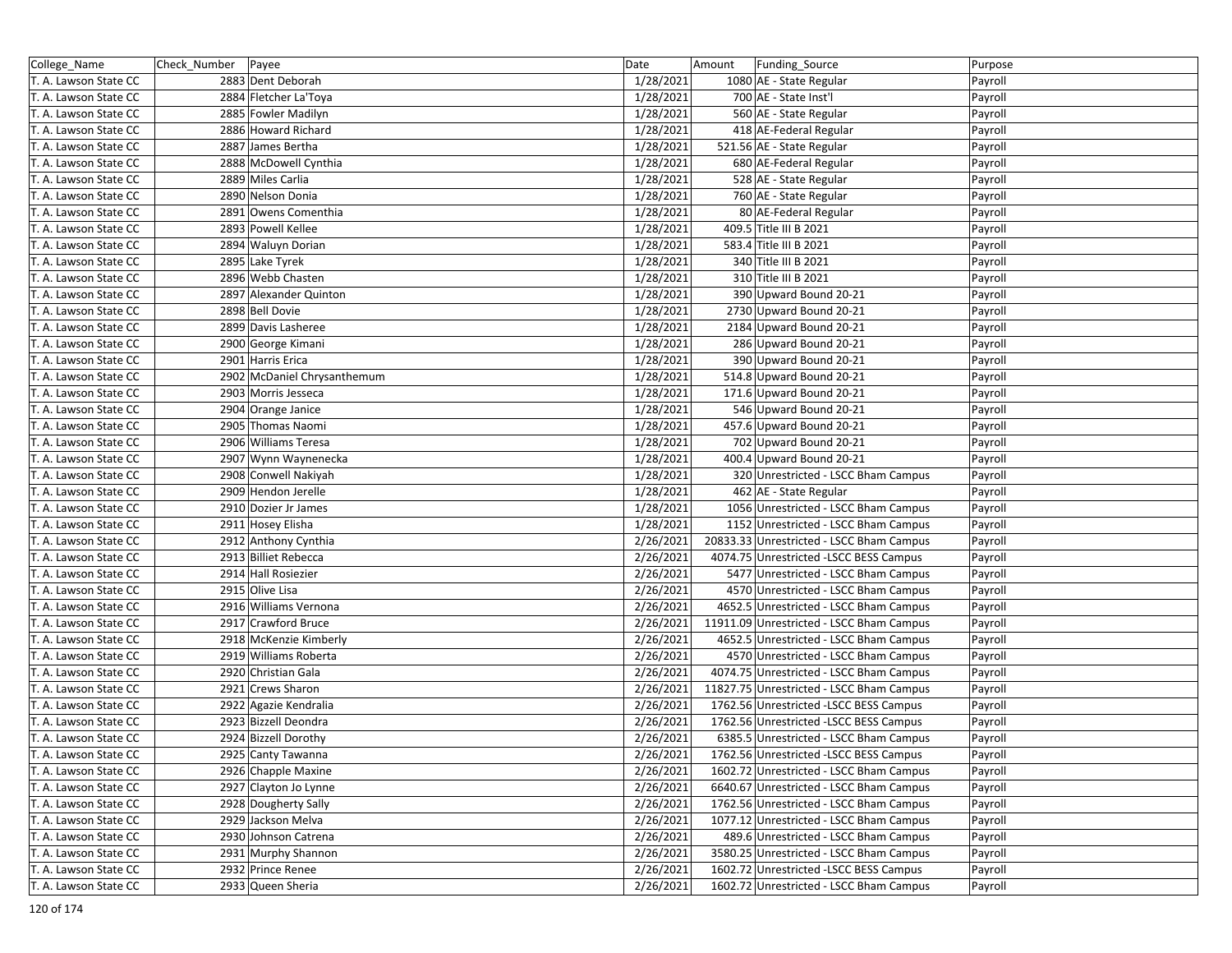| College_Name          | Check Number   Payee |                             | Date      | Amount | Funding_Source                           | Purpose |
|-----------------------|----------------------|-----------------------------|-----------|--------|------------------------------------------|---------|
| T. A. Lawson State CC |                      | 2883 Dent Deborah           | 1/28/2021 |        | 1080 AE - State Regular                  | Payroll |
| T. A. Lawson State CC |                      | 2884 Fletcher La'Toya       | 1/28/2021 |        | 700 AE - State Inst'l                    | Payroll |
| T. A. Lawson State CC |                      | 2885 Fowler Madilyn         | 1/28/2021 |        | 560 AE - State Regular                   | Payroll |
| T. A. Lawson State CC |                      | 2886 Howard Richard         | 1/28/2021 |        | 418 AE-Federal Regular                   | Payroll |
| T. A. Lawson State CC |                      | 2887 James Bertha           | 1/28/2021 |        | 521.56 AE - State Regular                | Payroll |
| T. A. Lawson State CC |                      | 2888 McDowell Cynthia       | 1/28/2021 |        | 680 AE-Federal Regular                   | Payroll |
| T. A. Lawson State CC |                      | 2889 Miles Carlia           | 1/28/2021 |        | 528 AE - State Regular                   | Payroll |
| T. A. Lawson State CC |                      | 2890 Nelson Donia           | 1/28/2021 |        | 760 AE - State Regular                   | Payroll |
| T. A. Lawson State CC |                      | 2891 Owens Comenthia        | 1/28/2021 |        | 80 AE-Federal Regular                    | Payroll |
| T. A. Lawson State CC |                      | 2893 Powell Kellee          | 1/28/2021 |        | 409.5 Title III B 2021                   | Payroll |
| T. A. Lawson State CC |                      | 2894 Waluyn Dorian          | 1/28/2021 |        | 583.4 Title III B 2021                   | Payroll |
| T. A. Lawson State CC |                      | 2895 Lake Tyrek             | 1/28/2021 |        | 340 Title III B 2021                     | Payroll |
| T. A. Lawson State CC |                      | 2896 Webb Chasten           | 1/28/2021 |        | 310 Title III B 2021                     | Payroll |
| T. A. Lawson State CC |                      | 2897 Alexander Quinton      | 1/28/2021 |        | 390 Upward Bound 20-21                   | Payroll |
| T. A. Lawson State CC |                      | 2898 Bell Dovie             | 1/28/2021 |        | 2730 Upward Bound 20-21                  | Payroll |
| T. A. Lawson State CC |                      | 2899 Davis Lasheree         | 1/28/2021 |        | 2184 Upward Bound 20-21                  | Payroll |
| T. A. Lawson State CC |                      | 2900 George Kimani          | 1/28/2021 |        | 286 Upward Bound 20-21                   | Payroll |
| T. A. Lawson State CC |                      | 2901 Harris Erica           | 1/28/2021 |        | 390 Upward Bound 20-21                   | Payroll |
| T. A. Lawson State CC |                      | 2902 McDaniel Chrysanthemum | 1/28/2021 |        | 514.8 Upward Bound 20-21                 | Payroll |
| T. A. Lawson State CC |                      | 2903 Morris Jesseca         | 1/28/2021 |        | 171.6 Upward Bound 20-21                 | Payroll |
| T. A. Lawson State CC |                      | 2904 Orange Janice          | 1/28/2021 |        | 546 Upward Bound 20-21                   | Payroll |
| T. A. Lawson State CC |                      | 2905 Thomas Naomi           | 1/28/2021 |        | 457.6 Upward Bound 20-21                 | Payroll |
| T. A. Lawson State CC |                      | 2906 Williams Teresa        | 1/28/2021 |        | 702 Upward Bound 20-21                   | Payroll |
| T. A. Lawson State CC |                      | 2907 Wynn Waynenecka        | 1/28/2021 |        | 400.4 Upward Bound 20-21                 | Payroll |
| T. A. Lawson State CC |                      | 2908 Conwell Nakiyah        | 1/28/2021 |        | 320 Unrestricted - LSCC Bham Campus      | Payroll |
| T. A. Lawson State CC |                      | 2909 Hendon Jerelle         | 1/28/2021 |        | 462 AE - State Regular                   | Payroll |
| T. A. Lawson State CC |                      | 2910 Dozier Jr James        | 1/28/2021 |        | 1056 Unrestricted - LSCC Bham Campus     | Payroll |
| T. A. Lawson State CC |                      | 2911 Hosey Elisha           | 1/28/2021 |        | 1152 Unrestricted - LSCC Bham Campus     | Payroll |
| T. A. Lawson State CC |                      | 2912 Anthony Cynthia        | 2/26/2021 |        | 20833.33 Unrestricted - LSCC Bham Campus | Payroll |
| T. A. Lawson State CC |                      | 2913 Billiet Rebecca        | 2/26/2021 |        | 4074.75 Unrestricted -LSCC BESS Campus   | Payroll |
| T. A. Lawson State CC |                      | 2914 Hall Rosiezier         | 2/26/2021 |        | 5477 Unrestricted - LSCC Bham Campus     | Payroll |
| T. A. Lawson State CC |                      | 2915 Olive Lisa             | 2/26/2021 |        | 4570 Unrestricted - LSCC Bham Campus     | Payroll |
| T. A. Lawson State CC |                      | 2916 Williams Vernona       | 2/26/2021 |        | 4652.5 Unrestricted - LSCC Bham Campus   | Payroll |
| T. A. Lawson State CC |                      | 2917 Crawford Bruce         | 2/26/2021 |        | 11911.09 Unrestricted - LSCC Bham Campus | Payroll |
| T. A. Lawson State CC |                      | 2918 McKenzie Kimberly      | 2/26/2021 |        | 4652.5 Unrestricted - LSCC Bham Campus   | Payroll |
| T. A. Lawson State CC |                      | 2919 Williams Roberta       | 2/26/2021 |        | 4570 Unrestricted - LSCC Bham Campus     | Payroll |
| T. A. Lawson State CC |                      | 2920 Christian Gala         | 2/26/2021 |        | 4074.75 Unrestricted - LSCC Bham Campus  | Payroll |
| T. A. Lawson State CC |                      | 2921 Crews Sharon           | 2/26/2021 |        | 11827.75 Unrestricted - LSCC Bham Campus | Payroll |
| T. A. Lawson State CC |                      | 2922 Agazie Kendralia       | 2/26/2021 |        | 1762.56 Unrestricted -LSCC BESS Campus   | Payroll |
| T. A. Lawson State CC |                      | 2923 Bizzell Deondra        | 2/26/2021 |        | 1762.56 Unrestricted -LSCC BESS Campus   | Payroll |
| T. A. Lawson State CC |                      | 2924 Bizzell Dorothy        | 2/26/2021 |        | 6385.5 Unrestricted - LSCC Bham Campus   | Payroll |
| T. A. Lawson State CC |                      | 2925 Canty Tawanna          | 2/26/2021 |        | 1762.56 Unrestricted -LSCC BESS Campus   | Payroll |
| T. A. Lawson State CC |                      | 2926 Chapple Maxine         | 2/26/2021 |        | 1602.72 Unrestricted - LSCC Bham Campus  | Payroll |
| T. A. Lawson State CC |                      | 2927 Clayton Jo Lynne       | 2/26/2021 |        | 6640.67 Unrestricted - LSCC Bham Campus  | Payroll |
| T. A. Lawson State CC |                      | 2928 Dougherty Sally        | 2/26/2021 |        | 1762.56 Unrestricted - LSCC Bham Campus  | Payroll |
| T. A. Lawson State CC |                      | 2929 Jackson Melva          | 2/26/2021 |        | 1077.12 Unrestricted - LSCC Bham Campus  | Payroll |
| T. A. Lawson State CC |                      | 2930 Johnson Catrena        | 2/26/2021 |        | 489.6 Unrestricted - LSCC Bham Campus    | Payroll |
| T. A. Lawson State CC |                      | 2931 Murphy Shannon         | 2/26/2021 |        | 3580.25 Unrestricted - LSCC Bham Campus  | Payroll |
| T. A. Lawson State CC |                      | 2932 Prince Renee           | 2/26/2021 |        | 1602.72 Unrestricted -LSCC BESS Campus   | Payroll |
| T. A. Lawson State CC |                      | 2933 Queen Sheria           | 2/26/2021 |        | 1602.72 Unrestricted - LSCC Bham Campus  | Payroll |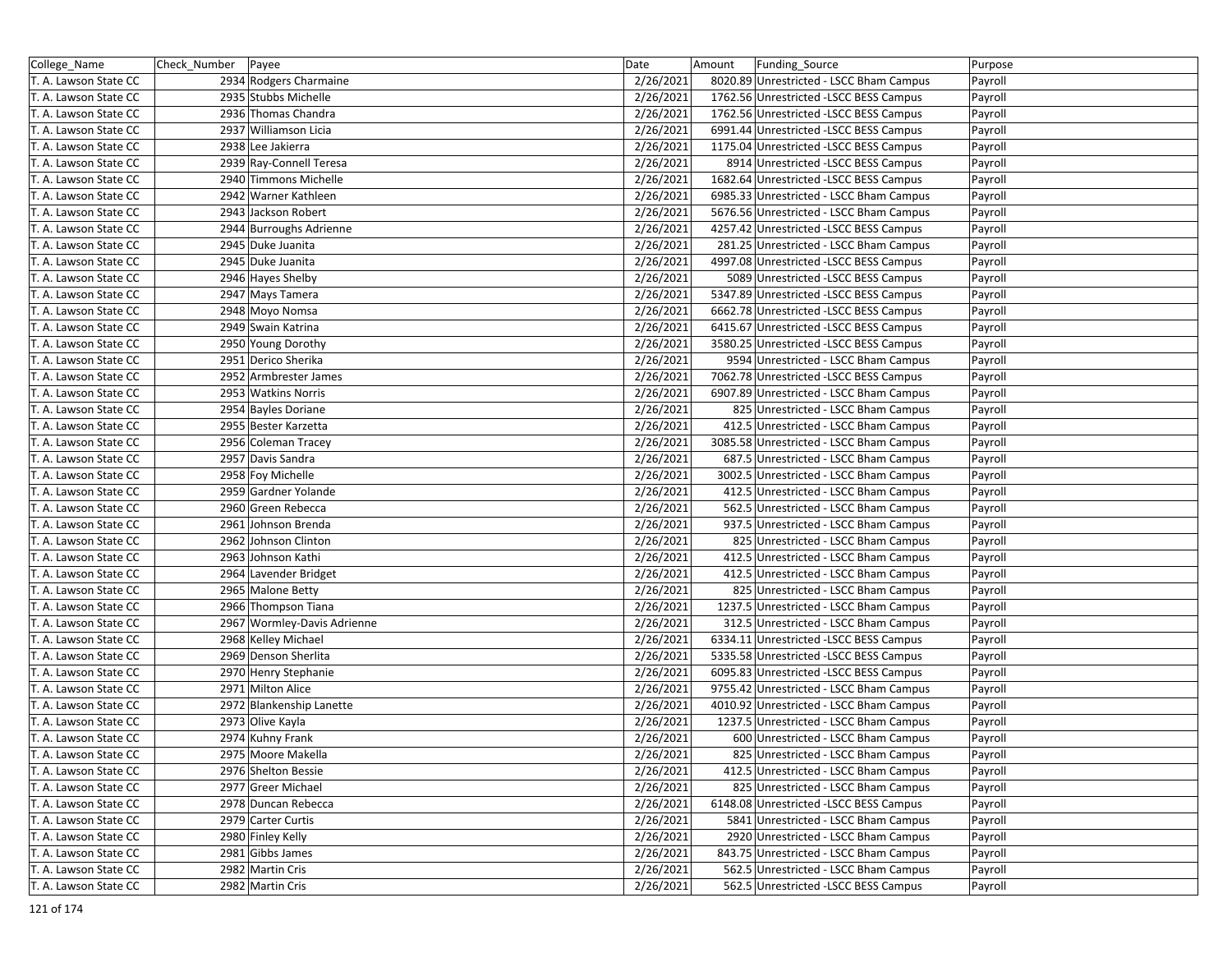| College_Name          | Check_Number   Payee |                             | Date      | Amount | Funding Source                          | Purpose |
|-----------------------|----------------------|-----------------------------|-----------|--------|-----------------------------------------|---------|
| T. A. Lawson State CC |                      | 2934 Rodgers Charmaine      | 2/26/2021 |        | 8020.89 Unrestricted - LSCC Bham Campus | Payroll |
| T. A. Lawson State CC |                      | 2935 Stubbs Michelle        | 2/26/2021 |        | 1762.56 Unrestricted -LSCC BESS Campus  | Payroll |
| T. A. Lawson State CC |                      | 2936 Thomas Chandra         | 2/26/2021 |        | 1762.56 Unrestricted -LSCC BESS Campus  | Payroll |
| T. A. Lawson State CC |                      | 2937 Williamson Licia       | 2/26/2021 |        | 6991.44 Unrestricted -LSCC BESS Campus  | Payroll |
| T. A. Lawson State CC |                      | 2938 Lee Jakierra           | 2/26/2021 |        | 1175.04 Unrestricted -LSCC BESS Campus  | Payroll |
| T. A. Lawson State CC |                      | 2939 Ray-Connell Teresa     | 2/26/2021 |        | 8914 Unrestricted -LSCC BESS Campus     | Payroll |
| T. A. Lawson State CC |                      | 2940 Timmons Michelle       | 2/26/2021 |        | 1682.64 Unrestricted -LSCC BESS Campus  | Payroll |
| T. A. Lawson State CC |                      | 2942 Warner Kathleen        | 2/26/2021 |        | 6985.33 Unrestricted - LSCC Bham Campus | Payroll |
| T. A. Lawson State CC |                      | 2943 Jackson Robert         | 2/26/2021 |        | 5676.56 Unrestricted - LSCC Bham Campus | Payroll |
| T. A. Lawson State CC |                      | 2944 Burroughs Adrienne     | 2/26/2021 |        | 4257.42 Unrestricted -LSCC BESS Campus  | Payroll |
| T. A. Lawson State CC |                      | 2945 Duke Juanita           | 2/26/2021 |        | 281.25 Unrestricted - LSCC Bham Campus  | Payroll |
| T. A. Lawson State CC |                      | 2945 Duke Juanita           | 2/26/2021 |        | 4997.08 Unrestricted -LSCC BESS Campus  | Payroll |
| T. A. Lawson State CC |                      | 2946 Hayes Shelby           | 2/26/2021 |        | 5089 Unrestricted -LSCC BESS Campus     | Payroll |
| T. A. Lawson State CC |                      | 2947 Mays Tamera            | 2/26/2021 |        | 5347.89 Unrestricted -LSCC BESS Campus  | Payroll |
| T. A. Lawson State CC |                      | 2948 Moyo Nomsa             | 2/26/2021 |        | 6662.78 Unrestricted -LSCC BESS Campus  | Payroll |
| T. A. Lawson State CC |                      | 2949 Swain Katrina          | 2/26/2021 |        | 6415.67 Unrestricted -LSCC BESS Campus  | Payroll |
| T. A. Lawson State CC |                      | 2950 Young Dorothy          | 2/26/2021 |        | 3580.25 Unrestricted - LSCC BESS Campus | Payroll |
| T. A. Lawson State CC |                      | 2951 Derico Sherika         | 2/26/2021 |        | 9594 Unrestricted - LSCC Bham Campus    | Payroll |
| T. A. Lawson State CC |                      | 2952 Armbrester James       | 2/26/2021 |        | 7062.78 Unrestricted -LSCC BESS Campus  | Payroll |
| T. A. Lawson State CC |                      | 2953 Watkins Norris         | 2/26/2021 |        | 6907.89 Unrestricted - LSCC Bham Campus | Payroll |
| T. A. Lawson State CC |                      | 2954 Bayles Doriane         | 2/26/2021 |        | 825 Unrestricted - LSCC Bham Campus     | Payroll |
| T. A. Lawson State CC |                      | 2955 Bester Karzetta        | 2/26/2021 |        | 412.5 Unrestricted - LSCC Bham Campus   | Payroll |
| T. A. Lawson State CC |                      | 2956 Coleman Tracey         | 2/26/2021 |        | 3085.58 Unrestricted - LSCC Bham Campus | Payroll |
| T. A. Lawson State CC |                      | 2957 Davis Sandra           | 2/26/2021 |        | 687.5 Unrestricted - LSCC Bham Campus   | Payroll |
| T. A. Lawson State CC |                      | 2958 Foy Michelle           | 2/26/2021 |        | 3002.5 Unrestricted - LSCC Bham Campus  | Payroll |
| T. A. Lawson State CC |                      | 2959 Gardner Yolande        | 2/26/2021 |        | 412.5 Unrestricted - LSCC Bham Campus   | Payroll |
| T. A. Lawson State CC |                      | 2960 Green Rebecca          | 2/26/2021 |        | 562.5 Unrestricted - LSCC Bham Campus   | Payroll |
| T. A. Lawson State CC |                      | 2961 Johnson Brenda         | 2/26/2021 |        | 937.5 Unrestricted - LSCC Bham Campus   | Payroll |
| T. A. Lawson State CC |                      | 2962 Johnson Clinton        | 2/26/2021 |        | 825 Unrestricted - LSCC Bham Campus     | Payroll |
| T. A. Lawson State CC |                      | 2963 Johnson Kathi          | 2/26/2021 |        | 412.5 Unrestricted - LSCC Bham Campus   | Payroll |
| T. A. Lawson State CC |                      | 2964 Lavender Bridget       | 2/26/2021 |        | 412.5 Unrestricted - LSCC Bham Campus   | Payroll |
| T. A. Lawson State CC |                      | 2965 Malone Betty           | 2/26/2021 |        | 825 Unrestricted - LSCC Bham Campus     | Payroll |
| T. A. Lawson State CC |                      | 2966 Thompson Tiana         | 2/26/2021 |        | 1237.5 Unrestricted - LSCC Bham Campus  | Payroll |
| T. A. Lawson State CC |                      | 2967 Wormley-Davis Adrienne | 2/26/2021 |        | 312.5 Unrestricted - LSCC Bham Campus   | Payroll |
| T. A. Lawson State CC |                      | 2968 Kelley Michael         | 2/26/2021 |        | 6334.11 Unrestricted -LSCC BESS Campus  | Payroll |
| T. A. Lawson State CC |                      | 2969 Denson Sherlita        | 2/26/2021 |        | 5335.58 Unrestricted -LSCC BESS Campus  | Payroll |
| T. A. Lawson State CC |                      | 2970 Henry Stephanie        | 2/26/2021 |        | 6095.83 Unrestricted -LSCC BESS Campus  | Payroll |
| T. A. Lawson State CC |                      | 2971 Milton Alice           | 2/26/2021 |        | 9755.42 Unrestricted - LSCC Bham Campus | Payroll |
| T. A. Lawson State CC |                      | 2972 Blankenship Lanette    | 2/26/2021 |        | 4010.92 Unrestricted - LSCC Bham Campus | Payroll |
| T. A. Lawson State CC |                      | 2973 Olive Kayla            | 2/26/2021 |        | 1237.5 Unrestricted - LSCC Bham Campus  | Payroll |
| T. A. Lawson State CC |                      | 2974 Kuhny Frank            | 2/26/2021 |        | 600 Unrestricted - LSCC Bham Campus     | Payroll |
| T. A. Lawson State CC |                      | 2975 Moore Makella          | 2/26/2021 |        | 825 Unrestricted - LSCC Bham Campus     | Payroll |
| T. A. Lawson State CC |                      | 2976 Shelton Bessie         | 2/26/2021 |        | 412.5 Unrestricted - LSCC Bham Campus   | Payroll |
| T. A. Lawson State CC |                      | 2977 Greer Michael          | 2/26/2021 |        | 825 Unrestricted - LSCC Bham Campus     | Payroll |
| T. A. Lawson State CC |                      | 2978 Duncan Rebecca         | 2/26/2021 |        | 6148.08 Unrestricted -LSCC BESS Campus  | Payroll |
| T. A. Lawson State CC |                      | 2979 Carter Curtis          | 2/26/2021 |        | 5841 Unrestricted - LSCC Bham Campus    | Payroll |
| T. A. Lawson State CC |                      | 2980 Finley Kelly           | 2/26/2021 |        | 2920 Unrestricted - LSCC Bham Campus    | Payroll |
| T. A. Lawson State CC |                      | 2981 Gibbs James            | 2/26/2021 |        | 843.75 Unrestricted - LSCC Bham Campus  | Payroll |
| T. A. Lawson State CC |                      | 2982 Martin Cris            | 2/26/2021 |        | 562.5 Unrestricted - LSCC Bham Campus   | Payroll |
| T. A. Lawson State CC |                      | 2982 Martin Cris            | 2/26/2021 |        | 562.5 Unrestricted -LSCC BESS Campus    | Payroll |
|                       |                      |                             |           |        |                                         |         |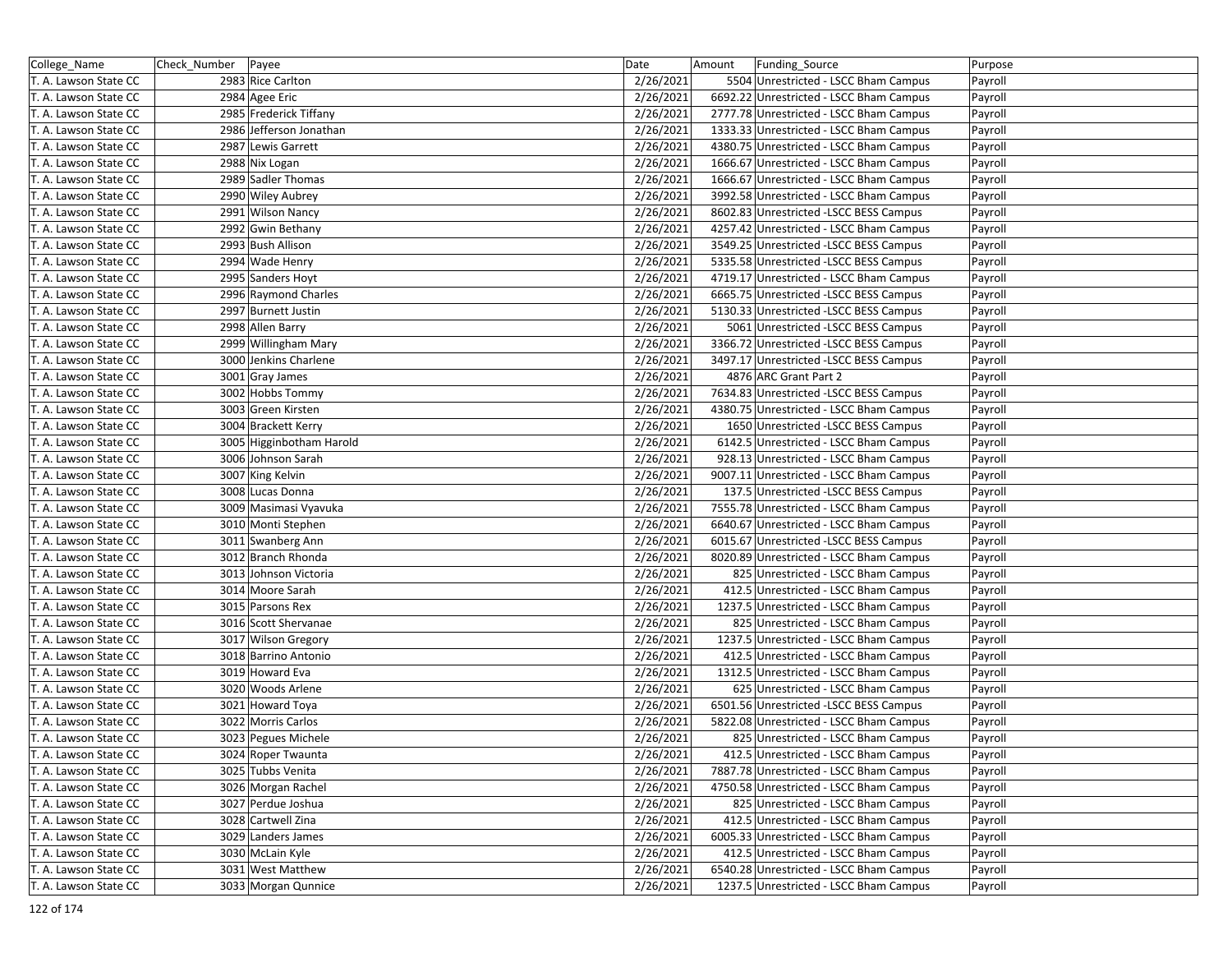| College_Name          | Check Number   Payee |                          | Date      | Amount | <b>Funding Source</b>                   | Purpose |
|-----------------------|----------------------|--------------------------|-----------|--------|-----------------------------------------|---------|
| T. A. Lawson State CC |                      | 2983 Rice Carlton        | 2/26/2021 |        | 5504 Unrestricted - LSCC Bham Campus    | Payroll |
| T. A. Lawson State CC |                      | 2984 Agee Eric           | 2/26/2021 |        | 6692.22 Unrestricted - LSCC Bham Campus | Payroll |
| T. A. Lawson State CC |                      | 2985 Frederick Tiffany   | 2/26/2021 |        | 2777.78 Unrestricted - LSCC Bham Campus | Payroll |
| T. A. Lawson State CC |                      | 2986 Jefferson Jonathan  | 2/26/2021 |        | 1333.33 Unrestricted - LSCC Bham Campus | Payroll |
| T. A. Lawson State CC |                      | 2987 Lewis Garrett       | 2/26/2021 |        | 4380.75 Unrestricted - LSCC Bham Campus | Payroll |
| T. A. Lawson State CC |                      | 2988 Nix Logan           | 2/26/2021 |        | 1666.67 Unrestricted - LSCC Bham Campus | Payroll |
| T. A. Lawson State CC |                      | 2989 Sadler Thomas       | 2/26/2021 |        | 1666.67 Unrestricted - LSCC Bham Campus | Payroll |
| T. A. Lawson State CC |                      | 2990 Wiley Aubrey        | 2/26/2021 |        | 3992.58 Unrestricted - LSCC Bham Campus | Payroll |
| T. A. Lawson State CC |                      | 2991 Wilson Nancy        | 2/26/2021 |        | 8602.83 Unrestricted -LSCC BESS Campus  | Payroll |
| T. A. Lawson State CC |                      | 2992 Gwin Bethany        | 2/26/2021 |        | 4257.42 Unrestricted - LSCC Bham Campus | Payroll |
| T. A. Lawson State CC |                      | 2993 Bush Allison        | 2/26/2021 |        | 3549.25 Unrestricted -LSCC BESS Campus  | Payroll |
| T. A. Lawson State CC |                      | 2994 Wade Henry          | 2/26/2021 |        | 5335.58 Unrestricted -LSCC BESS Campus  | Payroll |
| T. A. Lawson State CC |                      | 2995 Sanders Hoyt        | 2/26/2021 |        | 4719.17 Unrestricted - LSCC Bham Campus | Payroll |
| T. A. Lawson State CC |                      | 2996 Raymond Charles     | 2/26/2021 |        | 6665.75 Unrestricted -LSCC BESS Campus  | Payroll |
| T. A. Lawson State CC |                      | 2997 Burnett Justin      | 2/26/2021 |        | 5130.33 Unrestricted -LSCC BESS Campus  | Payroll |
| T. A. Lawson State CC |                      | 2998 Allen Barry         | 2/26/2021 |        | 5061 Unrestricted -LSCC BESS Campus     | Payroll |
| T. A. Lawson State CC |                      | 2999 Willingham Mary     | 2/26/2021 |        | 3366.72 Unrestricted -LSCC BESS Campus  | Payroll |
| T. A. Lawson State CC |                      | 3000 Jenkins Charlene    | 2/26/2021 |        | 3497.17 Unrestricted -LSCC BESS Campus  | Payroll |
| T. A. Lawson State CC |                      | 3001 Gray James          | 2/26/2021 |        | 4876 ARC Grant Part 2                   | Payroll |
| T. A. Lawson State CC |                      | 3002 Hobbs Tommy         | 2/26/2021 |        | 7634.83 Unrestricted -LSCC BESS Campus  | Payroll |
| T. A. Lawson State CC |                      | 3003 Green Kirsten       | 2/26/2021 |        | 4380.75 Unrestricted - LSCC Bham Campus | Payroll |
| T. A. Lawson State CC |                      | 3004 Brackett Kerry      | 2/26/2021 |        | 1650 Unrestricted -LSCC BESS Campus     | Payroll |
| T. A. Lawson State CC |                      | 3005 Higginbotham Harold | 2/26/2021 |        | 6142.5 Unrestricted - LSCC Bham Campus  | Payroll |
| T. A. Lawson State CC |                      | 3006 Johnson Sarah       | 2/26/2021 |        | 928.13 Unrestricted - LSCC Bham Campus  | Payroll |
| T. A. Lawson State CC |                      | 3007 King Kelvin         | 2/26/2021 |        | 9007.11 Unrestricted - LSCC Bham Campus | Payroll |
| T. A. Lawson State CC |                      | 3008 Lucas Donna         | 2/26/2021 |        | 137.5 Unrestricted -LSCC BESS Campus    | Payroll |
| T. A. Lawson State CC |                      | 3009 Masimasi Vyavuka    | 2/26/2021 |        | 7555.78 Unrestricted - LSCC Bham Campus | Payroll |
| T. A. Lawson State CC |                      | 3010 Monti Stephen       | 2/26/2021 |        | 6640.67 Unrestricted - LSCC Bham Campus | Payroll |
| T. A. Lawson State CC |                      | 3011 Swanberg Ann        | 2/26/2021 |        | 6015.67 Unrestricted -LSCC BESS Campus  | Payroll |
| T. A. Lawson State CC |                      | 3012 Branch Rhonda       | 2/26/2021 |        | 8020.89 Unrestricted - LSCC Bham Campus | Payroll |
| T. A. Lawson State CC |                      | 3013 Johnson Victoria    | 2/26/2021 |        | 825 Unrestricted - LSCC Bham Campus     | Payroll |
| T. A. Lawson State CC |                      | 3014 Moore Sarah         | 2/26/2021 |        | 412.5 Unrestricted - LSCC Bham Campus   | Payroll |
| T. A. Lawson State CC |                      | 3015 Parsons Rex         | 2/26/2021 |        | 1237.5 Unrestricted - LSCC Bham Campus  | Payroll |
| T. A. Lawson State CC |                      | 3016 Scott Shervanae     | 2/26/2021 |        | 825 Unrestricted - LSCC Bham Campus     | Payroll |
| T. A. Lawson State CC |                      | 3017 Wilson Gregory      | 2/26/2021 |        | 1237.5 Unrestricted - LSCC Bham Campus  | Payroll |
| T. A. Lawson State CC |                      | 3018 Barrino Antonio     | 2/26/2021 |        | 412.5 Unrestricted - LSCC Bham Campus   | Payroll |
| T. A. Lawson State CC |                      | 3019 Howard Eva          | 2/26/2021 |        | 1312.5 Unrestricted - LSCC Bham Campus  | Payroll |
| T. A. Lawson State CC |                      | 3020 Woods Arlene        | 2/26/2021 |        | 625 Unrestricted - LSCC Bham Campus     | Payroll |
| T. A. Lawson State CC |                      | 3021 Howard Toya         | 2/26/2021 |        | 6501.56 Unrestricted -LSCC BESS Campus  | Payroll |
| T. A. Lawson State CC |                      | 3022 Morris Carlos       | 2/26/2021 |        | 5822.08 Unrestricted - LSCC Bham Campus | Payroll |
| T. A. Lawson State CC |                      | 3023 Pegues Michele      | 2/26/2021 |        | 825 Unrestricted - LSCC Bham Campus     | Payroll |
| T. A. Lawson State CC |                      | 3024 Roper Twaunta       | 2/26/2021 |        | 412.5 Unrestricted - LSCC Bham Campus   | Payroll |
| T. A. Lawson State CC |                      | 3025 Tubbs Venita        | 2/26/2021 |        | 7887.78 Unrestricted - LSCC Bham Campus | Payroll |
| T. A. Lawson State CC |                      | 3026 Morgan Rachel       | 2/26/2021 |        | 4750.58 Unrestricted - LSCC Bham Campus | Payroll |
| T. A. Lawson State CC |                      | 3027 Perdue Joshua       | 2/26/2021 |        | 825 Unrestricted - LSCC Bham Campus     | Payroll |
| T. A. Lawson State CC |                      | 3028 Cartwell Zina       | 2/26/2021 |        | 412.5 Unrestricted - LSCC Bham Campus   | Payroll |
| T. A. Lawson State CC |                      | 3029 Landers James       | 2/26/2021 |        | 6005.33 Unrestricted - LSCC Bham Campus | Payroll |
| T. A. Lawson State CC |                      | 3030 McLain Kyle         | 2/26/2021 |        | 412.5 Unrestricted - LSCC Bham Campus   | Payroll |
| T. A. Lawson State CC |                      | 3031 West Matthew        | 2/26/2021 |        | 6540.28 Unrestricted - LSCC Bham Campus | Payroll |
| T. A. Lawson State CC |                      | 3033 Morgan Qunnice      | 2/26/2021 |        | 1237.5 Unrestricted - LSCC Bham Campus  | Payroll |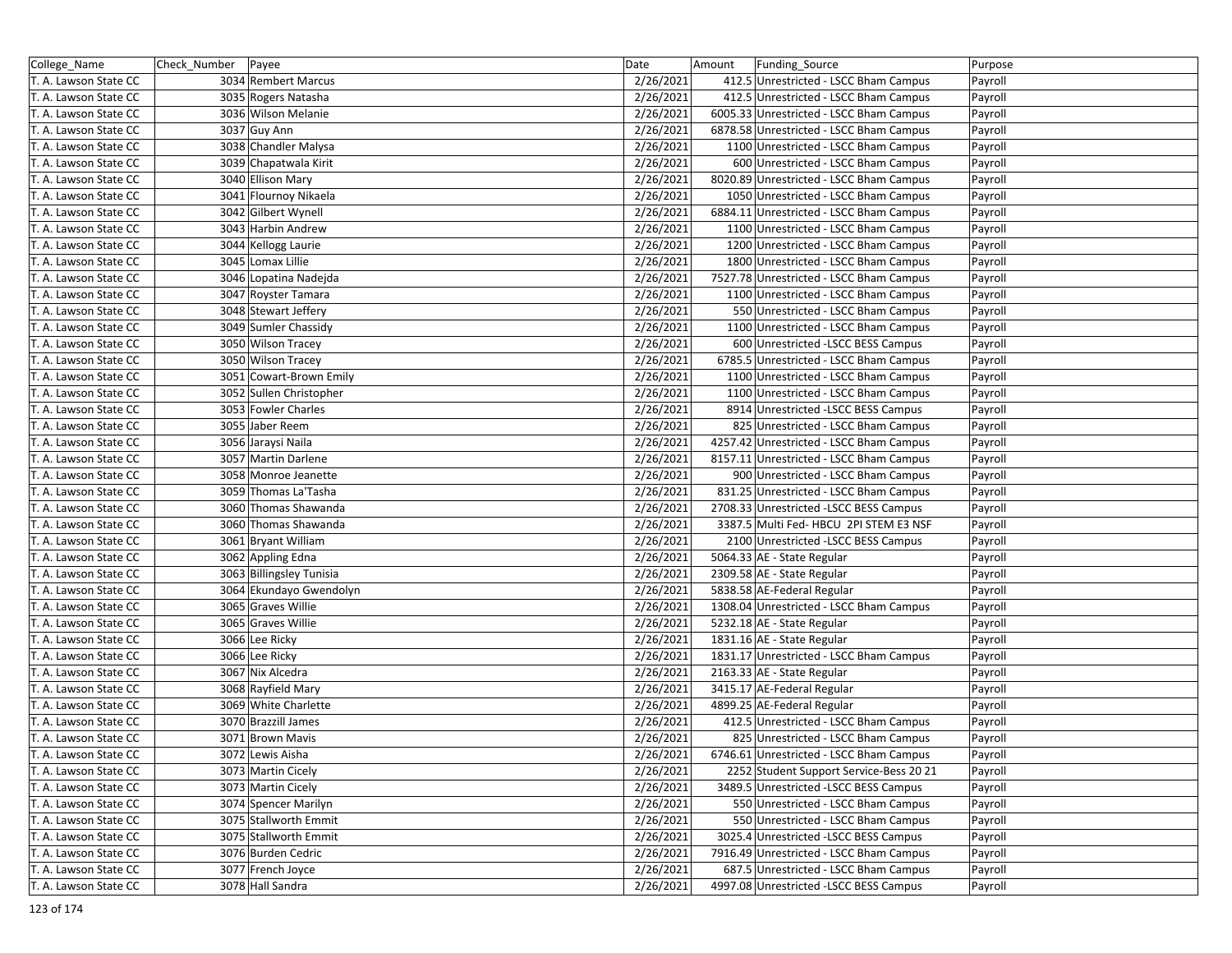| College_Name          | Check_Number | Payee                    | Date      | Amount | Funding_Source                          | Purpose |
|-----------------------|--------------|--------------------------|-----------|--------|-----------------------------------------|---------|
| T. A. Lawson State CC |              | 3034 Rembert Marcus      | 2/26/2021 |        | 412.5 Unrestricted - LSCC Bham Campus   | Payroll |
| T. A. Lawson State CC |              | 3035 Rogers Natasha      | 2/26/2021 |        | 412.5 Unrestricted - LSCC Bham Campus   | Payroll |
| T. A. Lawson State CC |              | 3036 Wilson Melanie      | 2/26/2021 |        | 6005.33 Unrestricted - LSCC Bham Campus | Payroll |
| T. A. Lawson State CC |              | 3037 Guy Ann             | 2/26/2021 |        | 6878.58 Unrestricted - LSCC Bham Campus | Payroll |
| T. A. Lawson State CC |              | 3038 Chandler Malysa     | 2/26/2021 |        | 1100 Unrestricted - LSCC Bham Campus    | Payroll |
| T. A. Lawson State CC |              | 3039 Chapatwala Kirit    | 2/26/2021 |        | 600 Unrestricted - LSCC Bham Campus     | Payroll |
| T. A. Lawson State CC |              | 3040 Ellison Mary        | 2/26/2021 |        | 8020.89 Unrestricted - LSCC Bham Campus | Payroll |
| T. A. Lawson State CC |              | 3041 Flournoy Nikaela    | 2/26/2021 |        | 1050 Unrestricted - LSCC Bham Campus    | Payroll |
| T. A. Lawson State CC |              | 3042 Gilbert Wynell      | 2/26/2021 |        | 6884.11 Unrestricted - LSCC Bham Campus | Payroll |
| T. A. Lawson State CC |              | 3043 Harbin Andrew       | 2/26/2021 |        | 1100 Unrestricted - LSCC Bham Campus    | Payroll |
| T. A. Lawson State CC |              | 3044 Kellogg Laurie      | 2/26/2021 |        | 1200 Unrestricted - LSCC Bham Campus    | Payroll |
| T. A. Lawson State CC |              | 3045 Lomax Lillie        | 2/26/2021 |        | 1800 Unrestricted - LSCC Bham Campus    | Payroll |
| T. A. Lawson State CC |              | 3046 Lopatina Nadejda    | 2/26/2021 |        | 7527.78 Unrestricted - LSCC Bham Campus | Payroll |
| T. A. Lawson State CC |              | 3047 Royster Tamara      | 2/26/2021 |        | 1100 Unrestricted - LSCC Bham Campus    | Payroll |
| T. A. Lawson State CC |              | 3048 Stewart Jeffery     | 2/26/2021 |        | 550 Unrestricted - LSCC Bham Campus     | Payroll |
| T. A. Lawson State CC |              | 3049 Sumler Chassidy     | 2/26/2021 |        | 1100 Unrestricted - LSCC Bham Campus    | Payroll |
| T. A. Lawson State CC |              | 3050 Wilson Tracey       | 2/26/2021 |        | 600 Unrestricted -LSCC BESS Campus      | Payroll |
| T. A. Lawson State CC |              | 3050 Wilson Tracey       | 2/26/2021 |        | 6785.5 Unrestricted - LSCC Bham Campus  | Payroll |
| T. A. Lawson State CC |              | 3051 Cowart-Brown Emily  | 2/26/2021 |        | 1100 Unrestricted - LSCC Bham Campus    | Payroll |
| T. A. Lawson State CC |              | 3052 Sullen Christopher  | 2/26/2021 |        | 1100 Unrestricted - LSCC Bham Campus    | Payroll |
| T. A. Lawson State CC |              | 3053 Fowler Charles      | 2/26/2021 |        | 8914 Unrestricted -LSCC BESS Campus     | Payroll |
| T. A. Lawson State CC |              | 3055 Jaber Reem          | 2/26/2021 |        | 825 Unrestricted - LSCC Bham Campus     | Payroll |
| T. A. Lawson State CC |              | 3056 Jaraysi Naila       | 2/26/2021 |        | 4257.42 Unrestricted - LSCC Bham Campus | Payroll |
| T. A. Lawson State CC |              | 3057 Martin Darlene      | 2/26/2021 |        | 8157.11 Unrestricted - LSCC Bham Campus | Payroll |
| T. A. Lawson State CC |              | 3058 Monroe Jeanette     | 2/26/2021 |        | 900 Unrestricted - LSCC Bham Campus     | Payroll |
| T. A. Lawson State CC |              | 3059 Thomas La'Tasha     | 2/26/2021 |        | 831.25 Unrestricted - LSCC Bham Campus  | Payroll |
| T. A. Lawson State CC |              | 3060 Thomas Shawanda     | 2/26/2021 |        | 2708.33 Unrestricted -LSCC BESS Campus  | Payroll |
| T. A. Lawson State CC |              | 3060 Thomas Shawanda     | 2/26/2021 |        | 3387.5 Multi Fed- HBCU 2PI STEM E3 NSF  | Payroll |
| T. A. Lawson State CC |              | 3061 Bryant William      | 2/26/2021 |        | 2100 Unrestricted -LSCC BESS Campus     | Payroll |
| T. A. Lawson State CC |              | 3062 Appling Edna        | 2/26/2021 |        | 5064.33 AE - State Regular              | Payroll |
| T. A. Lawson State CC |              | 3063 Billingsley Tunisia | 2/26/2021 |        | 2309.58 AE - State Regular              | Payroll |
| T. A. Lawson State CC |              | 3064 Ekundayo Gwendolyn  | 2/26/2021 |        | 5838.58 AE-Federal Regular              | Payroll |
| T. A. Lawson State CC |              | 3065 Graves Willie       | 2/26/2021 |        | 1308.04 Unrestricted - LSCC Bham Campus | Payroll |
| T. A. Lawson State CC |              | 3065 Graves Willie       | 2/26/2021 |        | 5232.18 AE - State Regular              | Payroll |
| T. A. Lawson State CC |              | 3066 Lee Ricky           | 2/26/2021 |        | 1831.16 AE - State Regular              | Payroll |
| T. A. Lawson State CC |              | 3066 Lee Ricky           | 2/26/2021 |        | 1831.17 Unrestricted - LSCC Bham Campus | Payroll |
| T. A. Lawson State CC |              | 3067 Nix Alcedra         | 2/26/2021 |        | 2163.33 AE - State Regular              | Payroll |
| T. A. Lawson State CC |              | 3068 Rayfield Mary       | 2/26/2021 |        | 3415.17 AE-Federal Regular              | Payroll |
| T. A. Lawson State CC |              | 3069 White Charlette     | 2/26/2021 |        | 4899.25 AE-Federal Regular              | Payroll |
| T. A. Lawson State CC |              | 3070 Brazzill James      | 2/26/2021 |        | 412.5 Unrestricted - LSCC Bham Campus   | Payroll |
| T. A. Lawson State CC |              | 3071 Brown Mavis         | 2/26/2021 |        | 825 Unrestricted - LSCC Bham Campus     | Payroll |
| T. A. Lawson State CC |              | 3072 Lewis Aisha         | 2/26/2021 |        | 6746.61 Unrestricted - LSCC Bham Campus | Payroll |
| T. A. Lawson State CC |              | 3073 Martin Cicely       | 2/26/2021 |        | 2252 Student Support Service-Bess 20 21 | Payroll |
| T. A. Lawson State CC |              | 3073 Martin Cicely       | 2/26/2021 |        | 3489.5 Unrestricted -LSCC BESS Campus   | Payroll |
| T. A. Lawson State CC |              | 3074 Spencer Marilyn     | 2/26/2021 |        | 550 Unrestricted - LSCC Bham Campus     | Payroll |
| T. A. Lawson State CC |              | 3075 Stallworth Emmit    | 2/26/2021 |        | 550 Unrestricted - LSCC Bham Campus     | Payroll |
| T. A. Lawson State CC |              | 3075 Stallworth Emmit    | 2/26/2021 |        | 3025.4 Unrestricted -LSCC BESS Campus   | Payroll |
| T. A. Lawson State CC |              | 3076 Burden Cedric       | 2/26/2021 |        | 7916.49 Unrestricted - LSCC Bham Campus | Payroll |
| T. A. Lawson State CC |              | 3077 French Joyce        | 2/26/2021 |        | 687.5 Unrestricted - LSCC Bham Campus   | Payroll |
| T. A. Lawson State CC |              | 3078 Hall Sandra         | 2/26/2021 |        | 4997.08 Unrestricted -LSCC BESS Campus  | Payroll |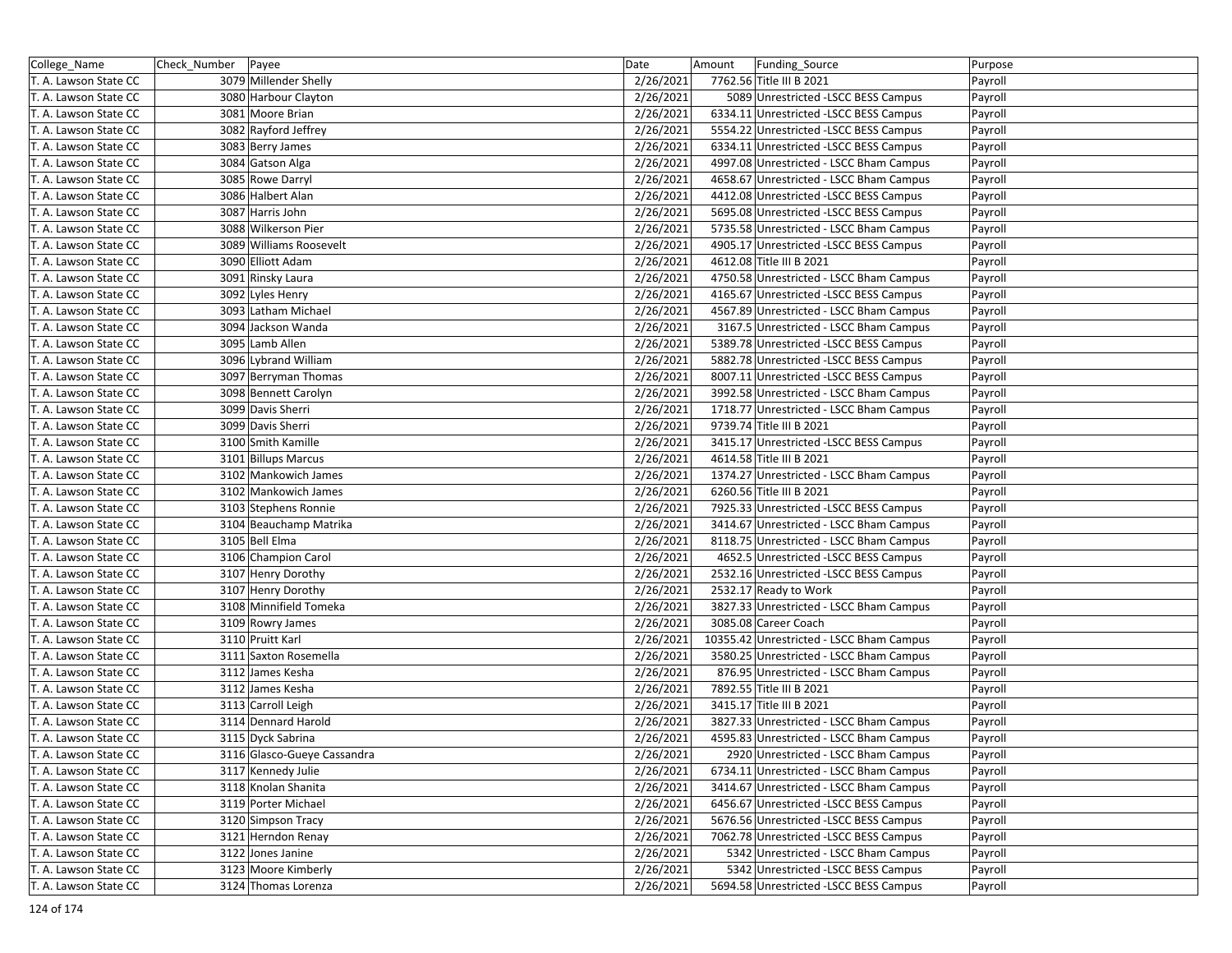| College_Name          | Check_Number Payee |                             | Date      | Amount | Funding Source                                                                   | Purpose |
|-----------------------|--------------------|-----------------------------|-----------|--------|----------------------------------------------------------------------------------|---------|
| T. A. Lawson State CC |                    | 3079 Millender Shelly       | 2/26/2021 |        | 7762.56 Title III B 2021                                                         | Payroll |
| T. A. Lawson State CC |                    | 3080 Harbour Clayton        | 2/26/2021 |        | 5089 Unrestricted -LSCC BESS Campus                                              | Payroll |
| T. A. Lawson State CC |                    | 3081 Moore Brian            | 2/26/2021 |        | 6334.11 Unrestricted -LSCC BESS Campus                                           | Payroll |
| T. A. Lawson State CC |                    | 3082 Rayford Jeffrey        | 2/26/2021 |        | 5554.22 Unrestricted -LSCC BESS Campus                                           | Payroll |
| T. A. Lawson State CC |                    | 3083 Berry James            | 2/26/2021 |        | 6334.11 Unrestricted -LSCC BESS Campus                                           | Payroll |
| T. A. Lawson State CC |                    | 3084 Gatson Alga            | 2/26/2021 |        | 4997.08 Unrestricted - LSCC Bham Campus                                          | Payroll |
| T. A. Lawson State CC |                    | 3085 Rowe Darryl            | 2/26/2021 |        | 4658.67 Unrestricted - LSCC Bham Campus                                          | Payroll |
| T. A. Lawson State CC |                    | 3086 Halbert Alan           | 2/26/2021 |        | 4412.08 Unrestricted -LSCC BESS Campus                                           | Payroll |
| T. A. Lawson State CC |                    | 3087 Harris John            | 2/26/2021 |        | 5695.08 Unrestricted -LSCC BESS Campus                                           | Payroll |
| T. A. Lawson State CC |                    | 3088 Wilkerson Pier         | 2/26/2021 |        | 5735.58 Unrestricted - LSCC Bham Campus                                          | Payroll |
| T. A. Lawson State CC |                    | 3089 Williams Roosevelt     | 2/26/2021 |        | 4905.17 Unrestricted -LSCC BESS Campus                                           | Payroll |
| T. A. Lawson State CC |                    | 3090 Elliott Adam           | 2/26/2021 |        | 4612.08 Title III B 2021                                                         | Payroll |
| T. A. Lawson State CC |                    | 3091 Rinsky Laura           | 2/26/2021 |        | 4750.58 Unrestricted - LSCC Bham Campus                                          | Payroll |
| T. A. Lawson State CC |                    | 3092 Lyles Henry            | 2/26/2021 |        | 4165.67 Unrestricted -LSCC BESS Campus                                           | Payroll |
| T. A. Lawson State CC |                    | 3093 Latham Michael         | 2/26/2021 |        | 4567.89 Unrestricted - LSCC Bham Campus                                          | Payroll |
|                       |                    |                             |           |        |                                                                                  |         |
| T. A. Lawson State CC |                    | 3094 Jackson Wanda          | 2/26/2021 |        | 3167.5 Unrestricted - LSCC Bham Campus                                           | Payroll |
| T. A. Lawson State CC |                    | 3095 Lamb Allen             | 2/26/2021 |        | 5389.78 Unrestricted -LSCC BESS Campus<br>5882.78 Unrestricted -LSCC BESS Campus | Payroll |
| T. A. Lawson State CC |                    | 3096 Lybrand William        | 2/26/2021 |        |                                                                                  | Payroll |
| T. A. Lawson State CC |                    | 3097 Berryman Thomas        | 2/26/2021 |        | 8007.11 Unrestricted -LSCC BESS Campus                                           | Payroll |
| T. A. Lawson State CC |                    | 3098 Bennett Carolyn        | 2/26/2021 |        | 3992.58 Unrestricted - LSCC Bham Campus                                          | Payroll |
| T. A. Lawson State CC |                    | 3099 Davis Sherri           | 2/26/2021 |        | 1718.77 Unrestricted - LSCC Bham Campus                                          | Payroll |
| T. A. Lawson State CC |                    | 3099 Davis Sherri           | 2/26/2021 |        | 9739.74 Title III B 2021                                                         | Payroll |
| T. A. Lawson State CC |                    | 3100 Smith Kamille          | 2/26/2021 |        | 3415.17 Unrestricted -LSCC BESS Campus                                           | Payroll |
| T. A. Lawson State CC |                    | 3101 Billups Marcus         | 2/26/2021 |        | 4614.58 Title III B 2021                                                         | Payroll |
| T. A. Lawson State CC |                    | 3102 Mankowich James        | 2/26/2021 |        | 1374.27 Unrestricted - LSCC Bham Campus                                          | Payroll |
| T. A. Lawson State CC |                    | 3102 Mankowich James        | 2/26/2021 |        | 6260.56 Title III B 2021                                                         | Payroll |
| T. A. Lawson State CC |                    | 3103 Stephens Ronnie        | 2/26/2021 |        | 7925.33 Unrestricted -LSCC BESS Campus                                           | Payroll |
| T. A. Lawson State CC |                    | 3104 Beauchamp Matrika      | 2/26/2021 |        | 3414.67 Unrestricted - LSCC Bham Campus                                          | Payroll |
| T. A. Lawson State CC |                    | 3105 Bell Elma              | 2/26/2021 |        | 8118.75 Unrestricted - LSCC Bham Campus                                          | Payroll |
| T. A. Lawson State CC |                    | 3106 Champion Carol         | 2/26/2021 |        | 4652.5 Unrestricted -LSCC BESS Campus                                            | Payroll |
| T. A. Lawson State CC |                    | 3107 Henry Dorothy          | 2/26/2021 |        | 2532.16 Unrestricted - LSCC BESS Campus                                          | Payroll |
| T. A. Lawson State CC |                    | 3107 Henry Dorothy          | 2/26/2021 |        | 2532.17 Ready to Work                                                            | Payroll |
| T. A. Lawson State CC |                    | 3108 Minnifield Tomeka      | 2/26/2021 |        | 3827.33 Unrestricted - LSCC Bham Campus                                          | Payroll |
| T. A. Lawson State CC |                    | 3109 Rowry James            | 2/26/2021 |        | 3085.08 Career Coach                                                             | Payroll |
| T. A. Lawson State CC |                    | 3110 Pruitt Karl            | 2/26/2021 |        | 10355.42 Unrestricted - LSCC Bham Campus                                         | Payroll |
| T. A. Lawson State CC |                    | 3111 Saxton Rosemella       | 2/26/2021 |        | 3580.25 Unrestricted - LSCC Bham Campus                                          | Payroll |
| T. A. Lawson State CC |                    | 3112 James Kesha            | 2/26/2021 |        | 876.95 Unrestricted - LSCC Bham Campus                                           | Payroll |
| T. A. Lawson State CC |                    | 3112 James Kesha            | 2/26/2021 |        | 7892.55 Title III B 2021                                                         | Payroll |
| T. A. Lawson State CC |                    | 3113 Carroll Leigh          | 2/26/2021 |        | 3415.17 Title III B 2021                                                         | Payroll |
| T. A. Lawson State CC |                    | 3114 Dennard Harold         | 2/26/2021 |        | 3827.33 Unrestricted - LSCC Bham Campus                                          | Payroll |
| T. A. Lawson State CC |                    | 3115 Dyck Sabrina           | 2/26/2021 |        | 4595.83 Unrestricted - LSCC Bham Campus                                          | Payroll |
| T. A. Lawson State CC |                    | 3116 Glasco-Gueye Cassandra | 2/26/2021 |        | 2920 Unrestricted - LSCC Bham Campus                                             | Payroll |
| T. A. Lawson State CC |                    | 3117 Kennedy Julie          | 2/26/2021 |        | 6734.11 Unrestricted - LSCC Bham Campus                                          | Payroll |
| T. A. Lawson State CC |                    | 3118 Knolan Shanita         | 2/26/2021 |        | 3414.67 Unrestricted - LSCC Bham Campus                                          | Payroll |
| T. A. Lawson State CC |                    | 3119 Porter Michael         | 2/26/2021 |        | 6456.67 Unrestricted -LSCC BESS Campus                                           | Payroll |
| T. A. Lawson State CC |                    | 3120 Simpson Tracy          | 2/26/2021 |        | 5676.56 Unrestricted -LSCC BESS Campus                                           | Payroll |
| T. A. Lawson State CC |                    | 3121 Herndon Renay          | 2/26/2021 |        | 7062.78 Unrestricted -LSCC BESS Campus                                           | Payroll |
| T. A. Lawson State CC |                    | 3122 Jones Janine           | 2/26/2021 |        | 5342 Unrestricted - LSCC Bham Campus                                             | Payroll |
| T. A. Lawson State CC |                    | 3123 Moore Kimberly         | 2/26/2021 |        | 5342 Unrestricted -LSCC BESS Campus                                              | Payroll |
| T. A. Lawson State CC |                    | 3124 Thomas Lorenza         | 2/26/2021 |        | 5694.58 Unrestricted -LSCC BESS Campus                                           | Payroll |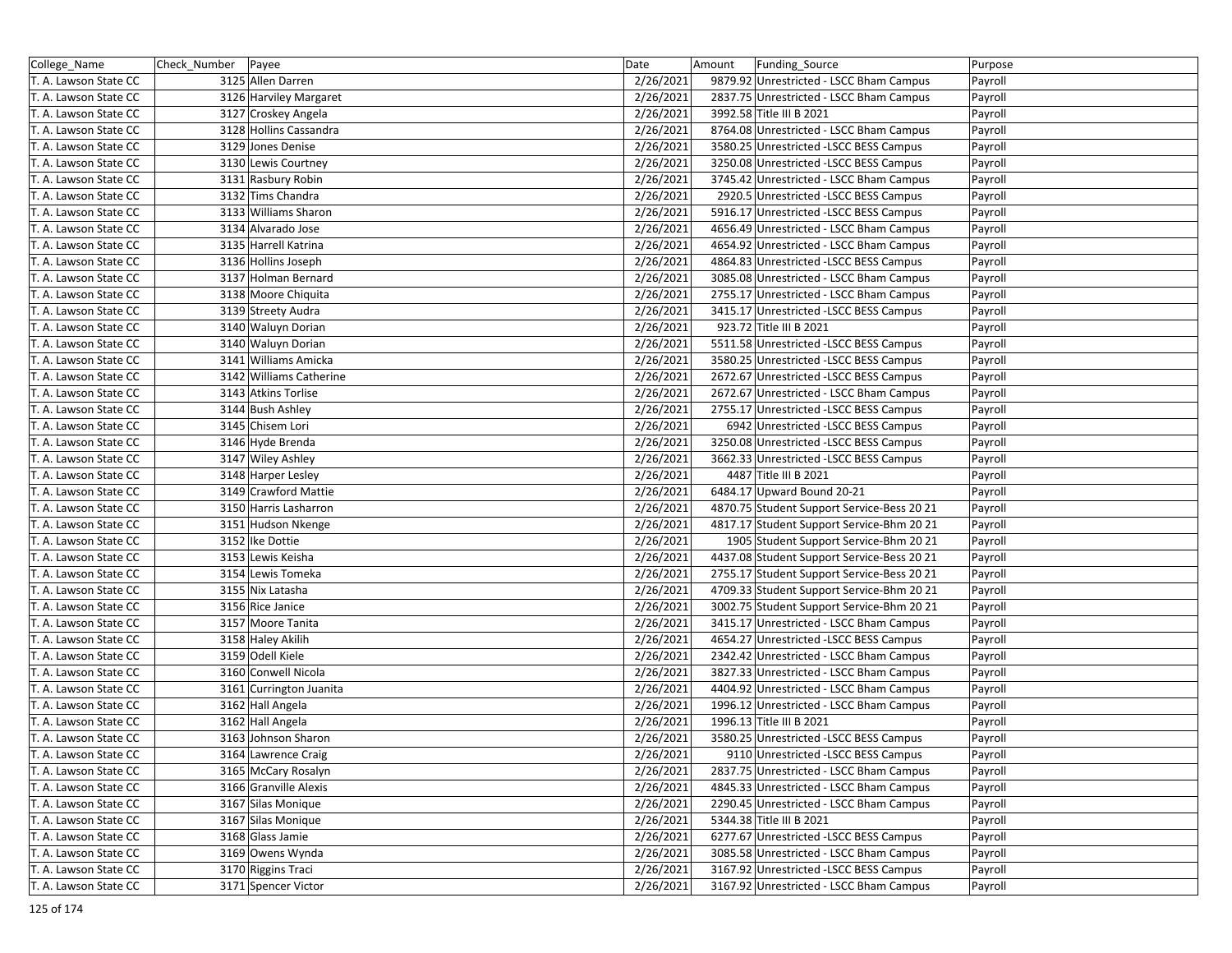| College_Name          | Check_Number   Payee |                         | Date      | Amount | Funding_Source                             | Purpose |
|-----------------------|----------------------|-------------------------|-----------|--------|--------------------------------------------|---------|
| T. A. Lawson State CC |                      | 3125 Allen Darren       | 2/26/2021 |        | 9879.92 Unrestricted - LSCC Bham Campus    | Payroll |
| T. A. Lawson State CC |                      | 3126 Harviley Margaret  | 2/26/2021 |        | 2837.75 Unrestricted - LSCC Bham Campus    | Payroll |
| T. A. Lawson State CC |                      | 3127 Croskey Angela     | 2/26/2021 |        | 3992.58 Title III B 2021                   | Payroll |
| T. A. Lawson State CC |                      | 3128 Hollins Cassandra  | 2/26/2021 |        | 8764.08 Unrestricted - LSCC Bham Campus    | Payroll |
| T. A. Lawson State CC |                      | 3129 Jones Denise       | 2/26/2021 |        | 3580.25 Unrestricted -LSCC BESS Campus     | Payroll |
| T. A. Lawson State CC |                      | 3130 Lewis Courtney     | 2/26/2021 |        | 3250.08 Unrestricted -LSCC BESS Campus     | Payroll |
| T. A. Lawson State CC |                      | 3131 Rasbury Robin      | 2/26/2021 |        | 3745.42 Unrestricted - LSCC Bham Campus    | Payroll |
| T. A. Lawson State CC |                      | 3132 Tims Chandra       | 2/26/2021 |        | 2920.5 Unrestricted -LSCC BESS Campus      | Payroll |
| T. A. Lawson State CC |                      | 3133 Williams Sharon    | 2/26/2021 |        | 5916.17 Unrestricted -LSCC BESS Campus     | Payroll |
| T. A. Lawson State CC |                      | 3134 Alvarado Jose      | 2/26/2021 |        | 4656.49 Unrestricted - LSCC Bham Campus    | Payroll |
| T. A. Lawson State CC |                      | 3135 Harrell Katrina    | 2/26/2021 |        | 4654.92 Unrestricted - LSCC Bham Campus    | Payroll |
| T. A. Lawson State CC |                      | 3136 Hollins Joseph     | 2/26/2021 |        | 4864.83 Unrestricted -LSCC BESS Campus     | Payroll |
| T. A. Lawson State CC |                      | 3137 Holman Bernard     | 2/26/2021 |        | 3085.08 Unrestricted - LSCC Bham Campus    | Payroll |
| T. A. Lawson State CC |                      | 3138 Moore Chiquita     | 2/26/2021 |        | 2755.17 Unrestricted - LSCC Bham Campus    | Payroll |
| T. A. Lawson State CC |                      | 3139 Streety Audra      | 2/26/2021 |        | 3415.17 Unrestricted -LSCC BESS Campus     | Payroll |
| T. A. Lawson State CC |                      | 3140 Waluyn Dorian      | 2/26/2021 |        | 923.72 Title III B 2021                    | Payroll |
| T. A. Lawson State CC |                      | 3140 Waluyn Dorian      | 2/26/2021 |        | 5511.58 Unrestricted -LSCC BESS Campus     | Payroll |
| T. A. Lawson State CC |                      | 3141 Williams Amicka    | 2/26/2021 |        | 3580.25 Unrestricted -LSCC BESS Campus     | Payroll |
| T. A. Lawson State CC |                      | 3142 Williams Catherine | 2/26/2021 |        | 2672.67 Unrestricted -LSCC BESS Campus     | Payroll |
| T. A. Lawson State CC |                      | 3143 Atkins Torlise     | 2/26/2021 |        | 2672.67 Unrestricted - LSCC Bham Campus    | Payroll |
| T. A. Lawson State CC |                      | 3144 Bush Ashley        | 2/26/2021 |        | 2755.17 Unrestricted - LSCC BESS Campus    | Payroll |
| T. A. Lawson State CC |                      | 3145 Chisem Lori        | 2/26/2021 |        | 6942 Unrestricted -LSCC BESS Campus        | Payroll |
| T. A. Lawson State CC |                      | 3146 Hyde Brenda        | 2/26/2021 |        | 3250.08 Unrestricted -LSCC BESS Campus     | Payroll |
| T. A. Lawson State CC |                      | 3147 Wiley Ashley       | 2/26/2021 |        | 3662.33 Unrestricted -LSCC BESS Campus     | Payroll |
| T. A. Lawson State CC |                      | 3148 Harper Lesley      | 2/26/2021 |        | 4487 Title III B 2021                      | Payroll |
| T. A. Lawson State CC |                      | 3149 Crawford Mattie    | 2/26/2021 |        | 6484.17 Upward Bound 20-21                 | Payroll |
| T. A. Lawson State CC |                      | 3150 Harris Lasharron   | 2/26/2021 |        | 4870.75 Student Support Service-Bess 20 21 | Payroll |
| T. A. Lawson State CC |                      | 3151 Hudson Nkenge      | 2/26/2021 |        | 4817.17 Student Support Service-Bhm 20 21  | Payroll |
| T. A. Lawson State CC |                      | 3152 Ike Dottie         | 2/26/2021 |        | 1905 Student Support Service-Bhm 20 21     | Payroll |
| T. A. Lawson State CC |                      | 3153 Lewis Keisha       | 2/26/2021 |        | 4437.08 Student Support Service-Bess 20 21 | Payroll |
| T. A. Lawson State CC |                      | 3154 Lewis Tomeka       | 2/26/2021 |        | 2755.17 Student Support Service-Bess 20 21 | Payroll |
| T. A. Lawson State CC |                      | 3155 Nix Latasha        | 2/26/2021 |        | 4709.33 Student Support Service-Bhm 20 21  | Payroll |
| T. A. Lawson State CC |                      | 3156 Rice Janice        | 2/26/2021 |        | 3002.75 Student Support Service-Bhm 20 21  | Payroll |
| T. A. Lawson State CC |                      | 3157 Moore Tanita       | 2/26/2021 |        | 3415.17 Unrestricted - LSCC Bham Campus    | Payroll |
| T. A. Lawson State CC |                      | 3158 Haley Akilih       | 2/26/2021 |        | 4654.27 Unrestricted -LSCC BESS Campus     | Payroll |
| T. A. Lawson State CC |                      | 3159 Odell Kiele        | 2/26/2021 |        | 2342.42 Unrestricted - LSCC Bham Campus    | Payroll |
| T. A. Lawson State CC |                      | 3160 Conwell Nicola     | 2/26/2021 |        | 3827.33 Unrestricted - LSCC Bham Campus    | Payroll |
| T. A. Lawson State CC |                      | 3161 Currington Juanita | 2/26/2021 |        | 4404.92 Unrestricted - LSCC Bham Campus    | Payroll |
| T. A. Lawson State CC |                      | 3162 Hall Angela        | 2/26/2021 |        | 1996.12 Unrestricted - LSCC Bham Campus    | Payroll |
| T. A. Lawson State CC |                      | 3162 Hall Angela        | 2/26/2021 |        | 1996.13 Title III B 2021                   | Payroll |
| T. A. Lawson State CC |                      | 3163 Johnson Sharon     | 2/26/2021 |        | 3580.25 Unrestricted -LSCC BESS Campus     | Payroll |
| T. A. Lawson State CC |                      | 3164 Lawrence Craig     | 2/26/2021 |        | 9110 Unrestricted -LSCC BESS Campus        | Payroll |
| T. A. Lawson State CC |                      | 3165 McCary Rosalyn     | 2/26/2021 |        | 2837.75 Unrestricted - LSCC Bham Campus    | Payroll |
| T. A. Lawson State CC |                      | 3166 Granville Alexis   | 2/26/2021 |        | 4845.33 Unrestricted - LSCC Bham Campus    | Payroll |
| T. A. Lawson State CC |                      | 3167 Silas Monique      | 2/26/2021 |        | 2290.45 Unrestricted - LSCC Bham Campus    | Payroll |
| T. A. Lawson State CC |                      | 3167 Silas Monique      | 2/26/2021 |        | 5344.38 Title III B 2021                   | Payroll |
| T. A. Lawson State CC |                      | 3168 Glass Jamie        | 2/26/2021 |        | 6277.67 Unrestricted -LSCC BESS Campus     | Payroll |
| T. A. Lawson State CC |                      | 3169 Owens Wynda        | 2/26/2021 |        | 3085.58 Unrestricted - LSCC Bham Campus    | Payroll |
| T. A. Lawson State CC |                      | 3170 Riggins Traci      | 2/26/2021 |        | 3167.92 Unrestricted -LSCC BESS Campus     | Payroll |
| T. A. Lawson State CC |                      | 3171 Spencer Victor     | 2/26/2021 |        | 3167.92 Unrestricted - LSCC Bham Campus    | Payroll |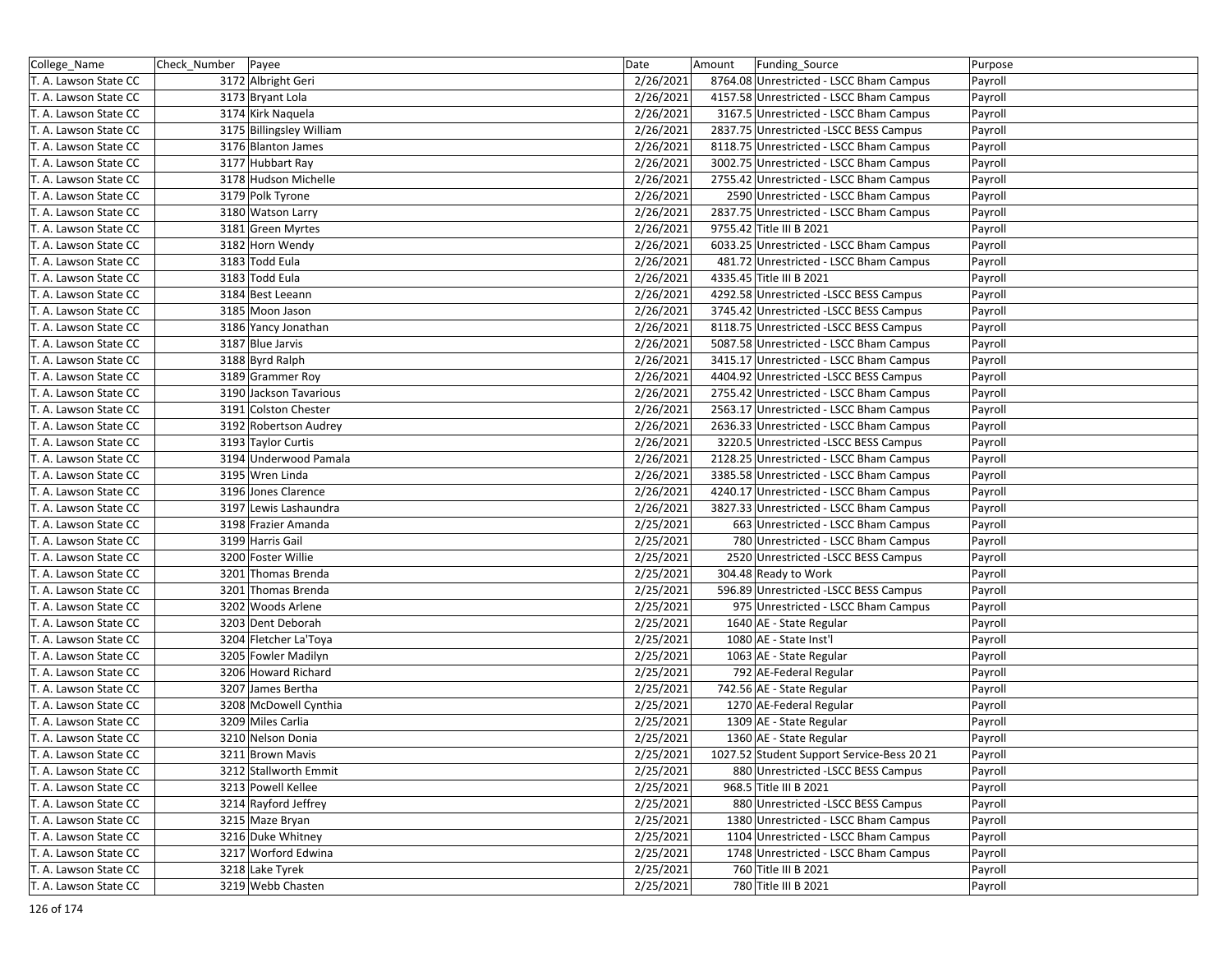| College_Name          | Check_Number Payee |                          | Date      | Amount | Funding Source                             | Purpose |
|-----------------------|--------------------|--------------------------|-----------|--------|--------------------------------------------|---------|
| T. A. Lawson State CC |                    | 3172 Albright Geri       | 2/26/2021 |        | 8764.08 Unrestricted - LSCC Bham Campus    | Payroll |
| T. A. Lawson State CC |                    | 3173 Bryant Lola         | 2/26/2021 |        | 4157.58 Unrestricted - LSCC Bham Campus    | Payroll |
| T. A. Lawson State CC |                    | 3174 Kirk Naquela        | 2/26/2021 |        | 3167.5 Unrestricted - LSCC Bham Campus     | Payroll |
| T. A. Lawson State CC |                    | 3175 Billingsley William | 2/26/2021 |        | 2837.75 Unrestricted -LSCC BESS Campus     | Payroll |
| T. A. Lawson State CC |                    | 3176 Blanton James       | 2/26/2021 |        | 8118.75 Unrestricted - LSCC Bham Campus    | Payroll |
| T. A. Lawson State CC |                    | 3177 Hubbart Ray         | 2/26/2021 |        | 3002.75 Unrestricted - LSCC Bham Campus    | Payroll |
| T. A. Lawson State CC |                    | 3178 Hudson Michelle     | 2/26/2021 |        | 2755.42 Unrestricted - LSCC Bham Campus    | Payroll |
| T. A. Lawson State CC |                    | 3179 Polk Tyrone         | 2/26/2021 |        | 2590 Unrestricted - LSCC Bham Campus       | Payroll |
| T. A. Lawson State CC |                    | 3180 Watson Larry        | 2/26/2021 |        | 2837.75 Unrestricted - LSCC Bham Campus    | Payroll |
| T. A. Lawson State CC |                    | 3181 Green Myrtes        | 2/26/2021 |        | 9755.42 Title III B 2021                   | Payroll |
| T. A. Lawson State CC |                    | 3182 Horn Wendy          | 2/26/2021 |        | 6033.25 Unrestricted - LSCC Bham Campus    | Payroll |
| T. A. Lawson State CC |                    | 3183 Todd Eula           | 2/26/2021 |        | 481.72 Unrestricted - LSCC Bham Campus     | Payroll |
| T. A. Lawson State CC |                    | 3183 Todd Eula           | 2/26/2021 |        | 4335.45 Title III B 2021                   | Payroll |
| T. A. Lawson State CC |                    | 3184 Best Leeann         | 2/26/2021 |        | 4292.58 Unrestricted -LSCC BESS Campus     | Payroll |
| T. A. Lawson State CC |                    | 3185 Moon Jason          | 2/26/2021 |        | 3745.42 Unrestricted -LSCC BESS Campus     | Payroll |
| T. A. Lawson State CC |                    | 3186 Yancy Jonathan      | 2/26/2021 |        | 8118.75 Unrestricted -LSCC BESS Campus     | Payroll |
| T. A. Lawson State CC |                    | 3187 Blue Jarvis         | 2/26/2021 |        | 5087.58 Unrestricted - LSCC Bham Campus    | Payroll |
| T. A. Lawson State CC |                    | 3188 Byrd Ralph          | 2/26/2021 |        | 3415.17 Unrestricted - LSCC Bham Campus    | Payroll |
| T. A. Lawson State CC |                    | 3189 Grammer Roy         | 2/26/2021 |        | 4404.92 Unrestricted -LSCC BESS Campus     | Payroll |
| T. A. Lawson State CC |                    | 3190 Jackson Tavarious   | 2/26/2021 |        | 2755.42 Unrestricted - LSCC Bham Campus    | Payroll |
| T. A. Lawson State CC |                    | 3191 Colston Chester     | 2/26/2021 |        | 2563.17 Unrestricted - LSCC Bham Campus    | Payroll |
| T. A. Lawson State CC |                    | 3192 Robertson Audrey    | 2/26/2021 |        | 2636.33 Unrestricted - LSCC Bham Campus    | Payroll |
| T. A. Lawson State CC |                    | 3193 Taylor Curtis       | 2/26/2021 |        | 3220.5 Unrestricted -LSCC BESS Campus      | Payroll |
| T. A. Lawson State CC |                    | 3194 Underwood Pamala    | 2/26/2021 |        | 2128.25 Unrestricted - LSCC Bham Campus    | Payroll |
| T. A. Lawson State CC |                    | 3195 Wren Linda          | 2/26/2021 |        | 3385.58 Unrestricted - LSCC Bham Campus    | Payroll |
| T. A. Lawson State CC |                    | 3196 Jones Clarence      | 2/26/2021 |        | 4240.17 Unrestricted - LSCC Bham Campus    | Payroll |
| T. A. Lawson State CC |                    | 3197 Lewis Lashaundra    | 2/26/2021 |        | 3827.33 Unrestricted - LSCC Bham Campus    | Payroll |
| T. A. Lawson State CC |                    | 3198 Frazier Amanda      | 2/25/2021 |        | 663 Unrestricted - LSCC Bham Campus        | Payroll |
| T. A. Lawson State CC |                    | 3199 Harris Gail         | 2/25/2021 |        | 780 Unrestricted - LSCC Bham Campus        | Payroll |
| T. A. Lawson State CC |                    | 3200 Foster Willie       | 2/25/2021 |        | 2520 Unrestricted -LSCC BESS Campus        | Payroll |
| T. A. Lawson State CC |                    | 3201 Thomas Brenda       | 2/25/2021 |        | 304.48 Ready to Work                       | Payroll |
| T. A. Lawson State CC |                    | 3201 Thomas Brenda       | 2/25/2021 |        | 596.89 Unrestricted -LSCC BESS Campus      | Payroll |
| T. A. Lawson State CC |                    | 3202 Woods Arlene        | 2/25/2021 |        | 975 Unrestricted - LSCC Bham Campus        | Payroll |
| T. A. Lawson State CC |                    | 3203 Dent Deborah        | 2/25/2021 |        | 1640 AE - State Regular                    | Payroll |
| T. A. Lawson State CC |                    | 3204 Fletcher La'Toya    | 2/25/2021 |        | 1080 AE - State Inst'l                     | Payroll |
| T. A. Lawson State CC |                    | 3205 Fowler Madilyn      | 2/25/2021 |        | 1063 AE - State Regular                    | Payroll |
| T. A. Lawson State CC |                    | 3206 Howard Richard      | 2/25/2021 |        | 792 AE-Federal Regular                     | Payroll |
| T. A. Lawson State CC |                    | 3207 James Bertha        | 2/25/2021 |        | 742.56 AE - State Regular                  | Payroll |
| T. A. Lawson State CC |                    | 3208 McDowell Cynthia    | 2/25/2021 |        | 1270 AE-Federal Regular                    | Payroll |
| T. A. Lawson State CC |                    | 3209 Miles Carlia        | 2/25/2021 |        | 1309 AE - State Regular                    | Payroll |
| T. A. Lawson State CC |                    | 3210 Nelson Donia        | 2/25/2021 |        | 1360 AE - State Regular                    | Payroll |
| T. A. Lawson State CC |                    | 3211 Brown Mavis         | 2/25/2021 |        | 1027.52 Student Support Service-Bess 20 21 | Payroll |
| T. A. Lawson State CC |                    | 3212 Stallworth Emmit    | 2/25/2021 |        | 880 Unrestricted - LSCC BESS Campus        | Payroll |
| T. A. Lawson State CC |                    | 3213 Powell Kellee       | 2/25/2021 |        | 968.5 Title III B 2021                     | Payroll |
| T. A. Lawson State CC |                    | 3214 Rayford Jeffrey     | 2/25/2021 |        | 880 Unrestricted - LSCC BESS Campus        | Payroll |
| T. A. Lawson State CC |                    | 3215 Maze Bryan          | 2/25/2021 |        | 1380 Unrestricted - LSCC Bham Campus       | Payroll |
| T. A. Lawson State CC |                    | 3216 Duke Whitney        | 2/25/2021 |        | 1104 Unrestricted - LSCC Bham Campus       | Payroll |
| T. A. Lawson State CC |                    | 3217 Worford Edwina      | 2/25/2021 |        | 1748 Unrestricted - LSCC Bham Campus       | Payroll |
| T. A. Lawson State CC |                    | 3218 Lake Tyrek          | 2/25/2021 |        | 760 Title III B 2021                       | Payroll |
| T. A. Lawson State CC |                    | 3219 Webb Chasten        | 2/25/2021 |        | 780 Title III B 2021                       | Payroll |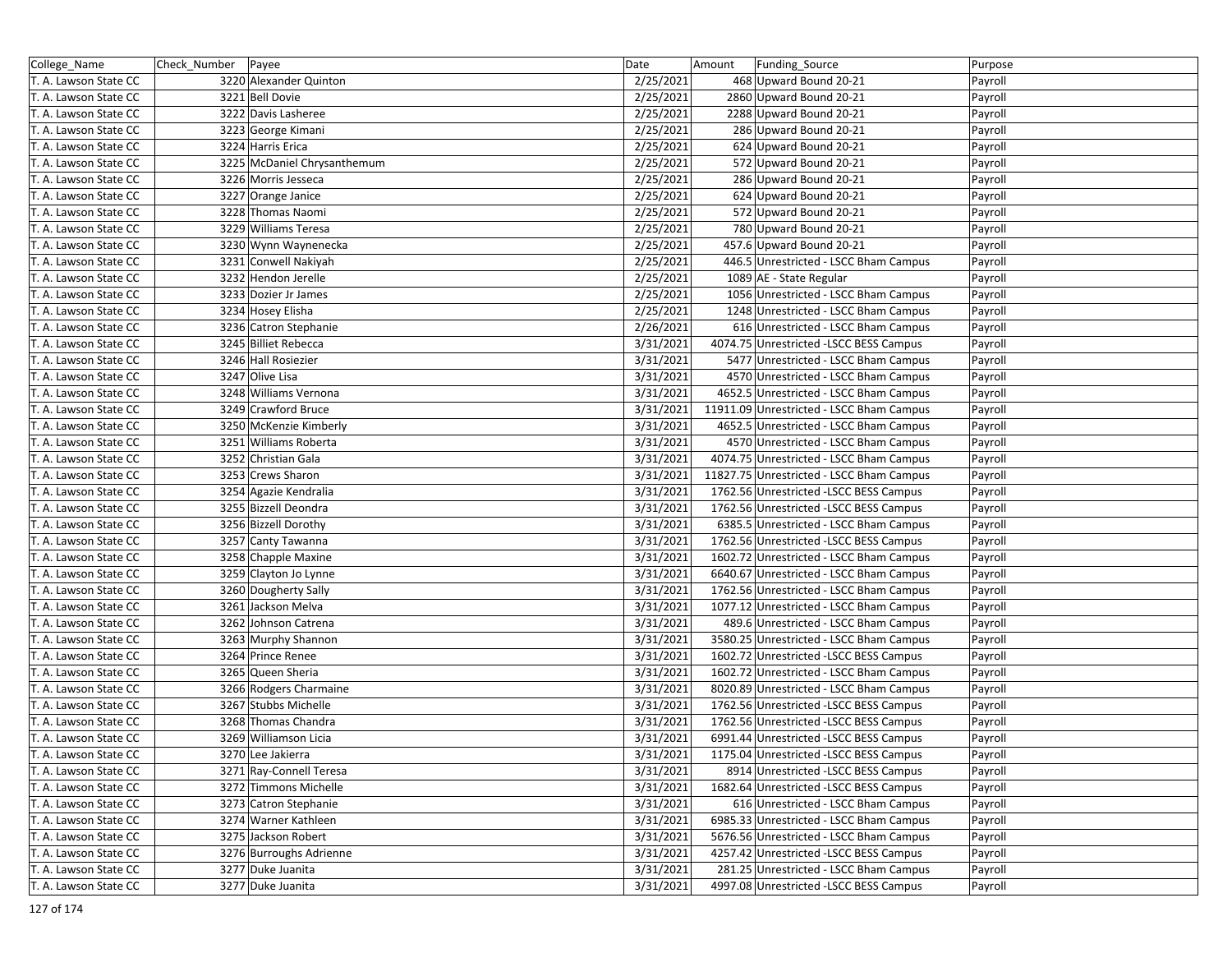| College_Name          | Check_Number | Payee                       | Date      | Amount | Funding_Source                           | Purpose |
|-----------------------|--------------|-----------------------------|-----------|--------|------------------------------------------|---------|
| T. A. Lawson State CC |              | 3220 Alexander Quinton      | 2/25/2021 |        | 468 Upward Bound 20-21                   | Payroll |
| T. A. Lawson State CC |              | 3221 Bell Dovie             | 2/25/2021 |        | 2860 Upward Bound 20-21                  | Payroll |
| T. A. Lawson State CC |              | 3222 Davis Lasheree         | 2/25/2021 |        | 2288 Upward Bound 20-21                  | Payroll |
| T. A. Lawson State CC |              | 3223 George Kimani          | 2/25/2021 |        | 286 Upward Bound 20-21                   | Payroll |
| T. A. Lawson State CC |              | 3224 Harris Erica           | 2/25/2021 |        | 624 Upward Bound 20-21                   | Payroll |
| T. A. Lawson State CC |              | 3225 McDaniel Chrysanthemum | 2/25/2021 |        | 572 Upward Bound 20-21                   | Payroll |
| T. A. Lawson State CC |              | 3226 Morris Jesseca         | 2/25/2021 |        | 286 Upward Bound 20-21                   | Payroll |
| T. A. Lawson State CC |              | 3227 Orange Janice          | 2/25/2021 |        | 624 Upward Bound 20-21                   | Payroll |
| T. A. Lawson State CC |              | 3228 Thomas Naomi           | 2/25/2021 |        | 572 Upward Bound 20-21                   | Payroll |
| T. A. Lawson State CC |              | 3229 Williams Teresa        | 2/25/2021 |        | 780 Upward Bound 20-21                   | Payroll |
| T. A. Lawson State CC |              | 3230 Wynn Waynenecka        | 2/25/2021 |        | 457.6 Upward Bound 20-21                 | Payroll |
| T. A. Lawson State CC |              | 3231 Conwell Nakiyah        | 2/25/2021 |        | 446.5 Unrestricted - LSCC Bham Campus    | Payroll |
| T. A. Lawson State CC |              | 3232 Hendon Jerelle         | 2/25/2021 |        | 1089 AE - State Regular                  | Payroll |
| T. A. Lawson State CC |              | 3233 Dozier Jr James        | 2/25/2021 |        | 1056 Unrestricted - LSCC Bham Campus     | Payroll |
| T. A. Lawson State CC |              | 3234 Hosey Elisha           | 2/25/2021 |        | 1248 Unrestricted - LSCC Bham Campus     | Payroll |
| T. A. Lawson State CC |              | 3236 Catron Stephanie       | 2/26/2021 |        | 616 Unrestricted - LSCC Bham Campus      | Payroll |
| T. A. Lawson State CC |              | 3245 Billiet Rebecca        | 3/31/2021 |        | 4074.75 Unrestricted -LSCC BESS Campus   | Payroll |
| T. A. Lawson State CC |              | 3246 Hall Rosiezier         | 3/31/2021 |        | 5477 Unrestricted - LSCC Bham Campus     | Payroll |
| T. A. Lawson State CC |              | 3247 Olive Lisa             | 3/31/2021 |        | 4570 Unrestricted - LSCC Bham Campus     | Payroll |
| T. A. Lawson State CC |              | 3248 Williams Vernona       | 3/31/2021 |        | 4652.5 Unrestricted - LSCC Bham Campus   | Payroll |
| T. A. Lawson State CC |              | 3249 Crawford Bruce         | 3/31/2021 |        | 11911.09 Unrestricted - LSCC Bham Campus | Payroll |
| T. A. Lawson State CC |              | 3250 McKenzie Kimberly      | 3/31/2021 |        | 4652.5 Unrestricted - LSCC Bham Campus   | Payroll |
| T. A. Lawson State CC |              | 3251 Williams Roberta       | 3/31/2021 |        | 4570 Unrestricted - LSCC Bham Campus     | Payroll |
| T. A. Lawson State CC |              | 3252 Christian Gala         | 3/31/2021 |        | 4074.75 Unrestricted - LSCC Bham Campus  | Payroll |
| T. A. Lawson State CC |              | 3253 Crews Sharon           | 3/31/2021 |        | 11827.75 Unrestricted - LSCC Bham Campus | Payroll |
| T. A. Lawson State CC |              | 3254 Agazie Kendralia       | 3/31/2021 |        | 1762.56 Unrestricted -LSCC BESS Campus   | Payroll |
| T. A. Lawson State CC |              | 3255 Bizzell Deondra        | 3/31/2021 |        | 1762.56 Unrestricted -LSCC BESS Campus   | Payroll |
| T. A. Lawson State CC |              | 3256 Bizzell Dorothy        | 3/31/2021 |        | 6385.5 Unrestricted - LSCC Bham Campus   | Payroll |
| T. A. Lawson State CC |              | 3257 Canty Tawanna          | 3/31/2021 |        | 1762.56 Unrestricted -LSCC BESS Campus   | Payroll |
| T. A. Lawson State CC |              | 3258 Chapple Maxine         | 3/31/2021 |        | 1602.72 Unrestricted - LSCC Bham Campus  | Payroll |
| T. A. Lawson State CC |              | 3259 Clayton Jo Lynne       | 3/31/2021 |        | 6640.67 Unrestricted - LSCC Bham Campus  | Payroll |
| T. A. Lawson State CC |              | 3260 Dougherty Sally        | 3/31/2021 |        | 1762.56 Unrestricted - LSCC Bham Campus  | Payroll |
| T. A. Lawson State CC |              | 3261 Jackson Melva          | 3/31/2021 |        | 1077.12 Unrestricted - LSCC Bham Campus  | Payroll |
| T. A. Lawson State CC |              | 3262 Johnson Catrena        | 3/31/2021 |        | 489.6 Unrestricted - LSCC Bham Campus    | Payroll |
| T. A. Lawson State CC |              | 3263 Murphy Shannon         | 3/31/2021 |        | 3580.25 Unrestricted - LSCC Bham Campus  | Payroll |
| T. A. Lawson State CC |              | 3264 Prince Renee           | 3/31/2021 |        | 1602.72 Unrestricted -LSCC BESS Campus   | Payroll |
| T. A. Lawson State CC |              | 3265 Queen Sheria           | 3/31/2021 |        | 1602.72 Unrestricted - LSCC Bham Campus  | Payroll |
| T. A. Lawson State CC |              | 3266 Rodgers Charmaine      | 3/31/2021 |        | 8020.89 Unrestricted - LSCC Bham Campus  | Payroll |
| T. A. Lawson State CC |              | 3267 Stubbs Michelle        | 3/31/2021 |        | 1762.56 Unrestricted - LSCC BESS Campus  | Payroll |
| T. A. Lawson State CC |              | 3268 Thomas Chandra         | 3/31/2021 |        | 1762.56 Unrestricted -LSCC BESS Campus   | Payroll |
| T. A. Lawson State CC |              | 3269 Williamson Licia       | 3/31/2021 |        | 6991.44 Unrestricted -LSCC BESS Campus   | Payroll |
| T. A. Lawson State CC |              | 3270 Lee Jakierra           | 3/31/2021 |        | 1175.04 Unrestricted -LSCC BESS Campus   | Payroll |
| T. A. Lawson State CC |              | 3271 Ray-Connell Teresa     | 3/31/2021 |        | 8914 Unrestricted -LSCC BESS Campus      | Payroll |
| T. A. Lawson State CC |              | 3272 Timmons Michelle       | 3/31/2021 |        | 1682.64 Unrestricted -LSCC BESS Campus   | Payroll |
| T. A. Lawson State CC |              | 3273 Catron Stephanie       | 3/31/2021 |        | 616 Unrestricted - LSCC Bham Campus      | Payroll |
| T. A. Lawson State CC |              | 3274 Warner Kathleen        | 3/31/2021 |        | 6985.33 Unrestricted - LSCC Bham Campus  | Payroll |
| T. A. Lawson State CC |              | 3275 Jackson Robert         | 3/31/2021 |        | 5676.56 Unrestricted - LSCC Bham Campus  | Payroll |
| T. A. Lawson State CC |              | 3276 Burroughs Adrienne     | 3/31/2021 |        | 4257.42 Unrestricted -LSCC BESS Campus   | Payroll |
| T. A. Lawson State CC |              | 3277 Duke Juanita           | 3/31/2021 |        | 281.25 Unrestricted - LSCC Bham Campus   | Payroll |
| T. A. Lawson State CC |              | 3277 Duke Juanita           | 3/31/2021 |        | 4997.08 Unrestricted -LSCC BESS Campus   | Payroll |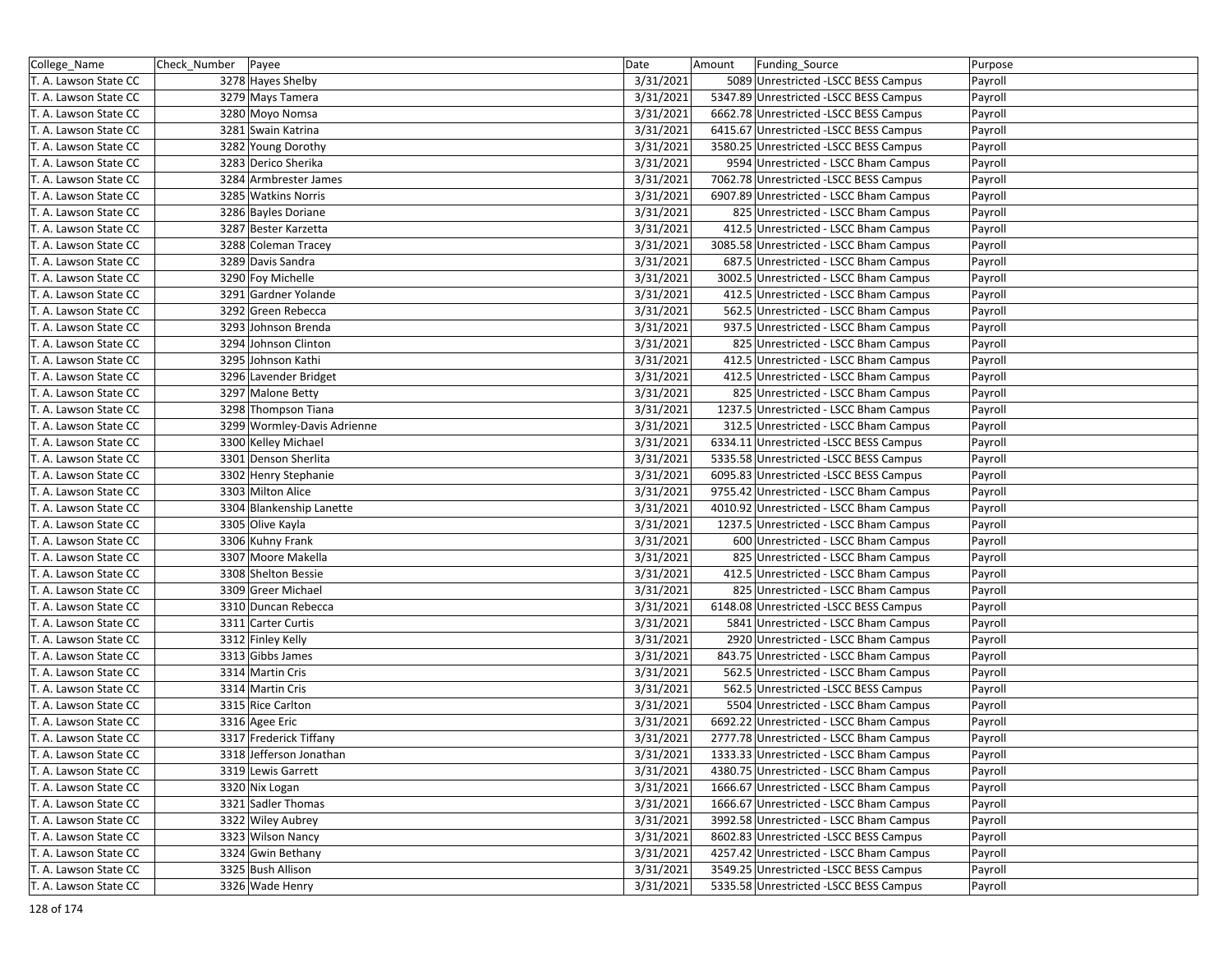| College_Name          | Check_Number   Payee |                             | Date      | Amount | Funding_Source                          | Purpose |
|-----------------------|----------------------|-----------------------------|-----------|--------|-----------------------------------------|---------|
| T. A. Lawson State CC |                      | 3278 Hayes Shelby           | 3/31/2021 |        | 5089 Unrestricted -LSCC BESS Campus     | Payroll |
| T. A. Lawson State CC |                      | 3279 Mays Tamera            | 3/31/2021 |        | 5347.89 Unrestricted -LSCC BESS Campus  | Payroll |
| T. A. Lawson State CC |                      | 3280 Moyo Nomsa             | 3/31/2021 |        | 6662.78 Unrestricted -LSCC BESS Campus  | Payroll |
| T. A. Lawson State CC |                      | 3281 Swain Katrina          | 3/31/2021 |        | 6415.67 Unrestricted -LSCC BESS Campus  | Payroll |
| T. A. Lawson State CC |                      | 3282 Young Dorothy          | 3/31/2021 |        | 3580.25 Unrestricted -LSCC BESS Campus  | Payroll |
| T. A. Lawson State CC |                      | 3283 Derico Sherika         | 3/31/2021 |        | 9594 Unrestricted - LSCC Bham Campus    | Payroll |
| T. A. Lawson State CC |                      | 3284 Armbrester James       | 3/31/2021 |        | 7062.78 Unrestricted -LSCC BESS Campus  | Payroll |
| T. A. Lawson State CC |                      | 3285 Watkins Norris         | 3/31/2021 |        | 6907.89 Unrestricted - LSCC Bham Campus | Payroll |
| T. A. Lawson State CC |                      | 3286 Bayles Doriane         | 3/31/2021 |        | 825 Unrestricted - LSCC Bham Campus     | Payroll |
| T. A. Lawson State CC |                      | 3287 Bester Karzetta        | 3/31/2021 |        | 412.5 Unrestricted - LSCC Bham Campus   | Payroll |
| T. A. Lawson State CC |                      | 3288 Coleman Tracey         | 3/31/2021 |        | 3085.58 Unrestricted - LSCC Bham Campus | Payroll |
| T. A. Lawson State CC |                      | 3289 Davis Sandra           | 3/31/2021 |        | 687.5 Unrestricted - LSCC Bham Campus   | Payroll |
| T. A. Lawson State CC |                      | 3290 Foy Michelle           | 3/31/2021 |        | 3002.5 Unrestricted - LSCC Bham Campus  | Payroll |
| T. A. Lawson State CC |                      | 3291 Gardner Yolande        | 3/31/2021 |        | 412.5 Unrestricted - LSCC Bham Campus   | Payroll |
| T. A. Lawson State CC |                      | 3292 Green Rebecca          | 3/31/2021 |        | 562.5 Unrestricted - LSCC Bham Campus   | Payroll |
| T. A. Lawson State CC |                      | 3293 Johnson Brenda         | 3/31/2021 |        | 937.5 Unrestricted - LSCC Bham Campus   | Payroll |
| T. A. Lawson State CC |                      | 3294 Johnson Clinton        | 3/31/2021 |        | 825 Unrestricted - LSCC Bham Campus     | Payroll |
| T. A. Lawson State CC |                      | 3295 Johnson Kathi          | 3/31/2021 |        | 412.5 Unrestricted - LSCC Bham Campus   | Payroll |
| T. A. Lawson State CC |                      | 3296 Lavender Bridget       | 3/31/2021 |        | 412.5 Unrestricted - LSCC Bham Campus   | Payroll |
| T. A. Lawson State CC |                      | 3297 Malone Betty           | 3/31/2021 |        | 825 Unrestricted - LSCC Bham Campus     | Payroll |
| T. A. Lawson State CC |                      | 3298 Thompson Tiana         | 3/31/2021 |        | 1237.5 Unrestricted - LSCC Bham Campus  | Payroll |
| T. A. Lawson State CC |                      | 3299 Wormley-Davis Adrienne | 3/31/2021 |        | 312.5 Unrestricted - LSCC Bham Campus   | Payroll |
| T. A. Lawson State CC |                      | 3300 Kelley Michael         | 3/31/2021 |        | 6334.11 Unrestricted -LSCC BESS Campus  | Payroll |
| T. A. Lawson State CC |                      | 3301 Denson Sherlita        | 3/31/2021 |        | 5335.58 Unrestricted -LSCC BESS Campus  | Payroll |
| T. A. Lawson State CC |                      | 3302 Henry Stephanie        | 3/31/2021 |        | 6095.83 Unrestricted -LSCC BESS Campus  | Payroll |
| T. A. Lawson State CC |                      | 3303 Milton Alice           | 3/31/2021 |        | 9755.42 Unrestricted - LSCC Bham Campus | Payroll |
| T. A. Lawson State CC |                      | 3304 Blankenship Lanette    | 3/31/2021 |        | 4010.92 Unrestricted - LSCC Bham Campus | Payroll |
| T. A. Lawson State CC |                      | 3305 Olive Kayla            | 3/31/2021 |        | 1237.5 Unrestricted - LSCC Bham Campus  | Payroll |
| T. A. Lawson State CC |                      | 3306 Kuhny Frank            | 3/31/2021 |        | 600 Unrestricted - LSCC Bham Campus     | Payroll |
| T. A. Lawson State CC |                      | 3307 Moore Makella          | 3/31/2021 |        | 825 Unrestricted - LSCC Bham Campus     | Payroll |
| T. A. Lawson State CC |                      | 3308 Shelton Bessie         | 3/31/2021 |        | 412.5 Unrestricted - LSCC Bham Campus   | Payroll |
| T. A. Lawson State CC |                      | 3309 Greer Michael          | 3/31/2021 |        | 825 Unrestricted - LSCC Bham Campus     | Payroll |
| T. A. Lawson State CC |                      | 3310 Duncan Rebecca         | 3/31/2021 |        | 6148.08 Unrestricted -LSCC BESS Campus  | Payroll |
| T. A. Lawson State CC |                      | 3311 Carter Curtis          | 3/31/2021 |        | 5841 Unrestricted - LSCC Bham Campus    | Payroll |
| T. A. Lawson State CC |                      | 3312 Finley Kelly           | 3/31/2021 |        | 2920 Unrestricted - LSCC Bham Campus    | Payroll |
| T. A. Lawson State CC |                      | 3313 Gibbs James            | 3/31/2021 |        | 843.75 Unrestricted - LSCC Bham Campus  | Payroll |
| T. A. Lawson State CC |                      | 3314 Martin Cris            | 3/31/2021 |        | 562.5 Unrestricted - LSCC Bham Campus   | Payroll |
| T. A. Lawson State CC |                      | 3314 Martin Cris            | 3/31/2021 |        | 562.5 Unrestricted -LSCC BESS Campus    | Payroll |
| T. A. Lawson State CC |                      | 3315 Rice Carlton           | 3/31/2021 |        | 5504 Unrestricted - LSCC Bham Campus    | Payroll |
| T. A. Lawson State CC |                      | 3316 Agee Eric              | 3/31/2021 |        | 6692.22 Unrestricted - LSCC Bham Campus | Payroll |
| T. A. Lawson State CC |                      | 3317 Frederick Tiffany      | 3/31/2021 |        | 2777.78 Unrestricted - LSCC Bham Campus | Payroll |
| T. A. Lawson State CC |                      | 3318 Jefferson Jonathan     | 3/31/2021 |        | 1333.33 Unrestricted - LSCC Bham Campus | Payroll |
| T. A. Lawson State CC |                      | 3319 Lewis Garrett          | 3/31/2021 |        | 4380.75 Unrestricted - LSCC Bham Campus | Payroll |
| T. A. Lawson State CC |                      | 3320 Nix Logan              | 3/31/2021 |        | 1666.67 Unrestricted - LSCC Bham Campus | Payroll |
| T. A. Lawson State CC |                      | 3321 Sadler Thomas          | 3/31/2021 |        | 1666.67 Unrestricted - LSCC Bham Campus | Payroll |
| T. A. Lawson State CC |                      | 3322 Wiley Aubrey           | 3/31/2021 |        | 3992.58 Unrestricted - LSCC Bham Campus | Payroll |
| T. A. Lawson State CC |                      | 3323 Wilson Nancy           | 3/31/2021 |        | 8602.83 Unrestricted -LSCC BESS Campus  | Payroll |
| T. A. Lawson State CC |                      | 3324 Gwin Bethany           | 3/31/2021 |        | 4257.42 Unrestricted - LSCC Bham Campus | Payroll |
| T. A. Lawson State CC |                      | 3325 Bush Allison           | 3/31/2021 |        | 3549.25 Unrestricted -LSCC BESS Campus  | Payroll |
| T. A. Lawson State CC |                      | 3326 Wade Henry             | 3/31/2021 |        | 5335.58 Unrestricted - LSCC BESS Campus | Payroll |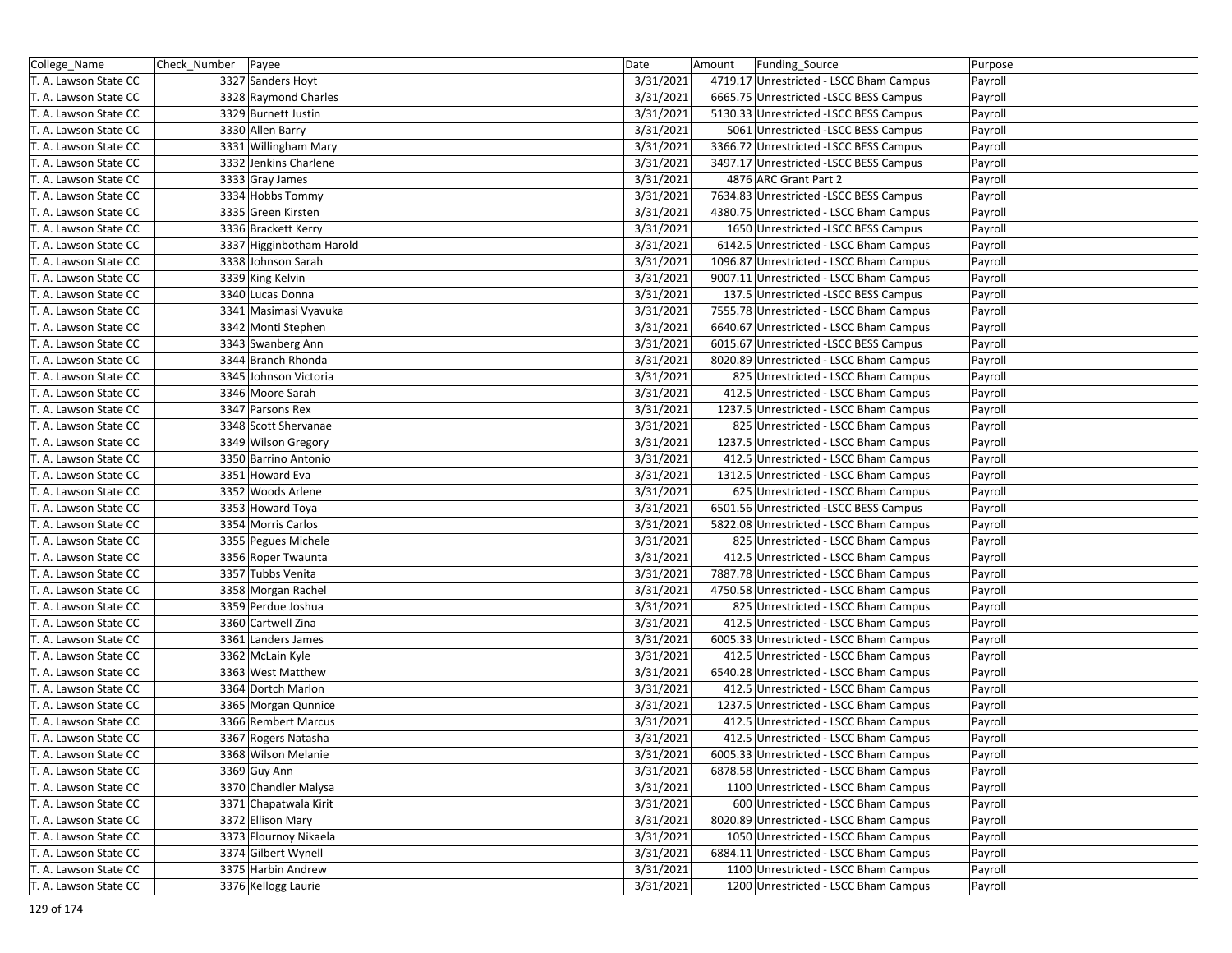| College_Name          | Check_Number   Payee |                          | Date      | Amount | Funding_Source                          | Purpose |
|-----------------------|----------------------|--------------------------|-----------|--------|-----------------------------------------|---------|
| T. A. Lawson State CC |                      | 3327 Sanders Hoyt        | 3/31/2021 |        | 4719.17 Unrestricted - LSCC Bham Campus | Payroll |
| T. A. Lawson State CC |                      | 3328 Raymond Charles     | 3/31/2021 |        | 6665.75 Unrestricted -LSCC BESS Campus  | Payroll |
| T. A. Lawson State CC |                      | 3329 Burnett Justin      | 3/31/2021 |        | 5130.33 Unrestricted -LSCC BESS Campus  | Payroll |
| T. A. Lawson State CC |                      | 3330 Allen Barry         | 3/31/2021 |        | 5061 Unrestricted -LSCC BESS Campus     | Payroll |
| T. A. Lawson State CC |                      | 3331 Willingham Mary     | 3/31/2021 |        | 3366.72 Unrestricted -LSCC BESS Campus  | Payroll |
| T. A. Lawson State CC |                      | 3332 Jenkins Charlene    | 3/31/2021 |        | 3497.17 Unrestricted - LSCC BESS Campus | Payroll |
| T. A. Lawson State CC |                      | 3333 Gray James          | 3/31/2021 |        | 4876 ARC Grant Part 2                   | Payroll |
| T. A. Lawson State CC |                      | 3334 Hobbs Tommy         | 3/31/2021 |        | 7634.83 Unrestricted -LSCC BESS Campus  | Payroll |
| T. A. Lawson State CC |                      | 3335 Green Kirsten       | 3/31/2021 |        | 4380.75 Unrestricted - LSCC Bham Campus | Payroll |
| T. A. Lawson State CC |                      | 3336 Brackett Kerry      | 3/31/2021 |        | 1650 Unrestricted -LSCC BESS Campus     | Payroll |
| T. A. Lawson State CC |                      | 3337 Higginbotham Harold | 3/31/2021 |        | 6142.5 Unrestricted - LSCC Bham Campus  | Payroll |
| T. A. Lawson State CC |                      | 3338 Johnson Sarah       | 3/31/2021 |        | 1096.87 Unrestricted - LSCC Bham Campus | Payroll |
| T. A. Lawson State CC |                      | 3339 King Kelvin         | 3/31/2021 |        | 9007.11 Unrestricted - LSCC Bham Campus | Payroll |
| T. A. Lawson State CC |                      | 3340 Lucas Donna         | 3/31/2021 |        | 137.5 Unrestricted -LSCC BESS Campus    | Payroll |
| T. A. Lawson State CC |                      | 3341 Masimasi Vyavuka    | 3/31/2021 |        | 7555.78 Unrestricted - LSCC Bham Campus | Payroll |
| T. A. Lawson State CC |                      | 3342 Monti Stephen       | 3/31/2021 |        | 6640.67 Unrestricted - LSCC Bham Campus | Payroll |
| T. A. Lawson State CC |                      | 3343 Swanberg Ann        | 3/31/2021 |        | 6015.67 Unrestricted -LSCC BESS Campus  | Payroll |
| T. A. Lawson State CC |                      | 3344 Branch Rhonda       | 3/31/2021 |        | 8020.89 Unrestricted - LSCC Bham Campus | Payroll |
| T. A. Lawson State CC |                      | 3345 Johnson Victoria    | 3/31/2021 |        | 825 Unrestricted - LSCC Bham Campus     | Payroll |
| T. A. Lawson State CC |                      | 3346 Moore Sarah         | 3/31/2021 |        | 412.5 Unrestricted - LSCC Bham Campus   | Payroll |
| T. A. Lawson State CC |                      | 3347 Parsons Rex         | 3/31/2021 |        | 1237.5 Unrestricted - LSCC Bham Campus  | Payroll |
| T. A. Lawson State CC |                      | 3348 Scott Shervanae     | 3/31/2021 |        | 825 Unrestricted - LSCC Bham Campus     | Payroll |
| T. A. Lawson State CC |                      | 3349 Wilson Gregory      | 3/31/2021 |        | 1237.5 Unrestricted - LSCC Bham Campus  | Payroll |
| T. A. Lawson State CC |                      | 3350 Barrino Antonio     | 3/31/2021 |        | 412.5 Unrestricted - LSCC Bham Campus   | Payroll |
| T. A. Lawson State CC |                      | 3351 Howard Eva          | 3/31/2021 |        | 1312.5 Unrestricted - LSCC Bham Campus  | Payroll |
| T. A. Lawson State CC |                      | 3352 Woods Arlene        | 3/31/2021 |        | 625 Unrestricted - LSCC Bham Campus     | Payroll |
| T. A. Lawson State CC |                      | 3353 Howard Toya         | 3/31/2021 |        | 6501.56 Unrestricted -LSCC BESS Campus  | Payroll |
| T. A. Lawson State CC |                      | 3354 Morris Carlos       | 3/31/2021 |        | 5822.08 Unrestricted - LSCC Bham Campus | Payroll |
| T. A. Lawson State CC |                      | 3355 Pegues Michele      | 3/31/2021 |        | 825 Unrestricted - LSCC Bham Campus     | Payroll |
| T. A. Lawson State CC |                      | 3356 Roper Twaunta       | 3/31/2021 |        | 412.5 Unrestricted - LSCC Bham Campus   | Payroll |
| T. A. Lawson State CC |                      | 3357 Tubbs Venita        | 3/31/2021 |        | 7887.78 Unrestricted - LSCC Bham Campus | Payroll |
| T. A. Lawson State CC |                      | 3358 Morgan Rachel       | 3/31/2021 |        | 4750.58 Unrestricted - LSCC Bham Campus | Payroll |
| T. A. Lawson State CC |                      | 3359 Perdue Joshua       | 3/31/2021 |        | 825 Unrestricted - LSCC Bham Campus     | Payroll |
| T. A. Lawson State CC |                      | 3360 Cartwell Zina       | 3/31/2021 |        | 412.5 Unrestricted - LSCC Bham Campus   | Payroll |
| T. A. Lawson State CC |                      | 3361 Landers James       | 3/31/2021 |        | 6005.33 Unrestricted - LSCC Bham Campus | Payroll |
| T. A. Lawson State CC |                      | 3362 McLain Kyle         | 3/31/2021 |        | 412.5 Unrestricted - LSCC Bham Campus   | Payroll |
| T. A. Lawson State CC |                      | 3363 West Matthew        | 3/31/2021 |        | 6540.28 Unrestricted - LSCC Bham Campus | Payroll |
| T. A. Lawson State CC |                      | 3364 Dortch Marlon       | 3/31/2021 |        | 412.5 Unrestricted - LSCC Bham Campus   | Payroll |
| T. A. Lawson State CC |                      | 3365 Morgan Qunnice      | 3/31/2021 |        | 1237.5 Unrestricted - LSCC Bham Campus  | Payroll |
| T. A. Lawson State CC |                      | 3366 Rembert Marcus      | 3/31/2021 |        | 412.5 Unrestricted - LSCC Bham Campus   | Payroll |
| T. A. Lawson State CC |                      | 3367 Rogers Natasha      | 3/31/2021 |        | 412.5 Unrestricted - LSCC Bham Campus   | Payroll |
| T. A. Lawson State CC |                      | 3368 Wilson Melanie      | 3/31/2021 |        | 6005.33 Unrestricted - LSCC Bham Campus | Payroll |
| T. A. Lawson State CC |                      | 3369 Guy Ann             | 3/31/2021 |        | 6878.58 Unrestricted - LSCC Bham Campus | Payroll |
| T. A. Lawson State CC |                      | 3370 Chandler Malysa     | 3/31/2021 |        | 1100 Unrestricted - LSCC Bham Campus    | Payroll |
| T. A. Lawson State CC |                      | 3371 Chapatwala Kirit    | 3/31/2021 |        | 600 Unrestricted - LSCC Bham Campus     | Payroll |
| T. A. Lawson State CC |                      | 3372 Ellison Mary        | 3/31/2021 |        | 8020.89 Unrestricted - LSCC Bham Campus | Payroll |
| T. A. Lawson State CC |                      | 3373 Flournoy Nikaela    | 3/31/2021 |        | 1050 Unrestricted - LSCC Bham Campus    | Payroll |
| T. A. Lawson State CC |                      | 3374 Gilbert Wynell      | 3/31/2021 |        | 6884.11 Unrestricted - LSCC Bham Campus | Payroll |
| T. A. Lawson State CC |                      | 3375 Harbin Andrew       | 3/31/2021 |        | 1100 Unrestricted - LSCC Bham Campus    | Payroll |
| T. A. Lawson State CC |                      | 3376 Kellogg Laurie      | 3/31/2021 |        | 1200 Unrestricted - LSCC Bham Campus    | Payroll |
|                       |                      |                          |           |        |                                         |         |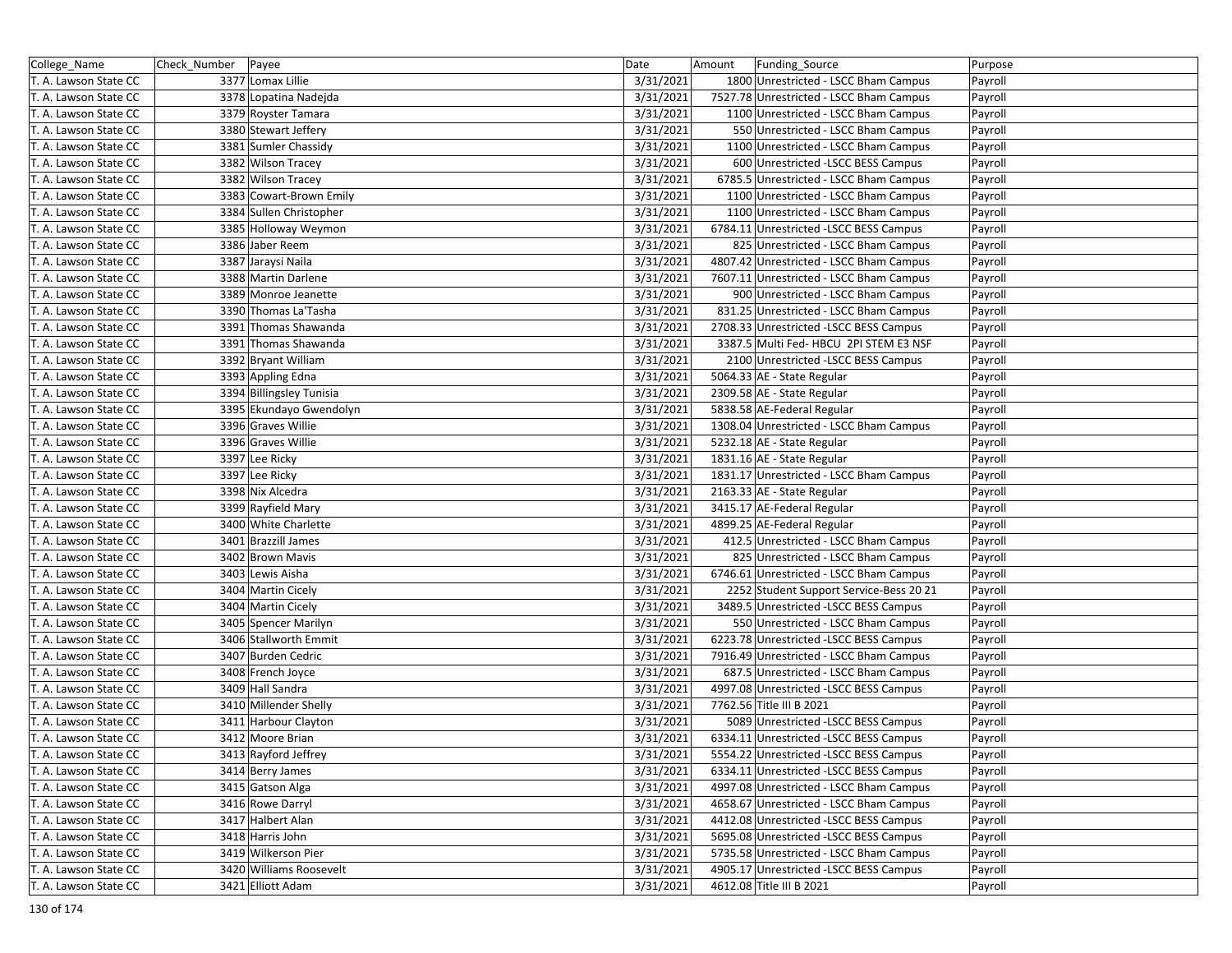| College_Name          | Check_Number   Payee |                          | Date      | Amount | Funding_Source                          | Purpose |
|-----------------------|----------------------|--------------------------|-----------|--------|-----------------------------------------|---------|
| T. A. Lawson State CC |                      | 3377 Lomax Lillie        | 3/31/2021 |        | 1800 Unrestricted - LSCC Bham Campus    | Payroll |
| T. A. Lawson State CC |                      | 3378 Lopatina Nadejda    | 3/31/2021 |        | 7527.78 Unrestricted - LSCC Bham Campus | Payroll |
| T. A. Lawson State CC |                      | 3379 Royster Tamara      | 3/31/2021 |        | 1100 Unrestricted - LSCC Bham Campus    | Payroll |
| T. A. Lawson State CC |                      | 3380 Stewart Jeffery     | 3/31/2021 |        | 550 Unrestricted - LSCC Bham Campus     | Payroll |
| T. A. Lawson State CC |                      | 3381 Sumler Chassidy     | 3/31/2021 |        | 1100 Unrestricted - LSCC Bham Campus    | Payroll |
| T. A. Lawson State CC |                      | 3382 Wilson Tracey       | 3/31/2021 |        | 600 Unrestricted -LSCC BESS Campus      | Payroll |
| T. A. Lawson State CC |                      | 3382 Wilson Tracey       | 3/31/2021 |        | 6785.5 Unrestricted - LSCC Bham Campus  | Payroll |
| T. A. Lawson State CC |                      | 3383 Cowart-Brown Emily  | 3/31/2021 |        | 1100 Unrestricted - LSCC Bham Campus    | Payroll |
| T. A. Lawson State CC |                      | 3384 Sullen Christopher  | 3/31/2021 |        | 1100 Unrestricted - LSCC Bham Campus    | Payroll |
| T. A. Lawson State CC |                      | 3385 Holloway Weymon     | 3/31/2021 |        | 6784.11 Unrestricted -LSCC BESS Campus  | Payroll |
| T. A. Lawson State CC |                      | 3386 Jaber Reem          | 3/31/2021 |        | 825 Unrestricted - LSCC Bham Campus     | Payroll |
| T. A. Lawson State CC |                      | 3387 Jaraysi Naila       | 3/31/2021 |        | 4807.42 Unrestricted - LSCC Bham Campus | Payroll |
| T. A. Lawson State CC |                      | 3388 Martin Darlene      | 3/31/2021 |        | 7607.11 Unrestricted - LSCC Bham Campus | Payroll |
| T. A. Lawson State CC |                      | 3389 Monroe Jeanette     | 3/31/2021 |        | 900 Unrestricted - LSCC Bham Campus     | Payroll |
| T. A. Lawson State CC |                      | 3390 Thomas La'Tasha     | 3/31/2021 |        | 831.25 Unrestricted - LSCC Bham Campus  | Payroll |
| T. A. Lawson State CC |                      | 3391 Thomas Shawanda     | 3/31/2021 |        | 2708.33 Unrestricted -LSCC BESS Campus  | Payroll |
| T. A. Lawson State CC |                      | 3391 Thomas Shawanda     | 3/31/2021 |        | 3387.5 Multi Fed- HBCU 2PI STEM E3 NSF  | Payroll |
| T. A. Lawson State CC |                      | 3392 Bryant William      | 3/31/2021 |        | 2100 Unrestricted -LSCC BESS Campus     | Payroll |
| T. A. Lawson State CC |                      | 3393 Appling Edna        | 3/31/2021 |        | 5064.33 AE - State Regular              | Payroll |
| T. A. Lawson State CC |                      | 3394 Billingsley Tunisia | 3/31/2021 |        | 2309.58 AE - State Regular              | Payroll |
| T. A. Lawson State CC |                      | 3395 Ekundayo Gwendolyn  | 3/31/2021 |        | 5838.58 AE-Federal Regular              | Payroll |
| T. A. Lawson State CC |                      | 3396 Graves Willie       | 3/31/2021 |        | 1308.04 Unrestricted - LSCC Bham Campus | Payroll |
| T. A. Lawson State CC |                      | 3396 Graves Willie       | 3/31/2021 |        | 5232.18 AE - State Regular              | Payroll |
| T. A. Lawson State CC |                      | 3397 Lee Ricky           | 3/31/2021 |        | 1831.16 AE - State Regular              | Payroll |
| T. A. Lawson State CC |                      | 3397 Lee Ricky           | 3/31/2021 |        | 1831.17 Unrestricted - LSCC Bham Campus | Payroll |
| T. A. Lawson State CC |                      | 3398 Nix Alcedra         | 3/31/2021 |        | 2163.33 AE - State Regular              | Payroll |
| T. A. Lawson State CC |                      | 3399 Rayfield Mary       | 3/31/2021 |        | 3415.17 AE-Federal Regular              | Payroll |
| T. A. Lawson State CC |                      | 3400 White Charlette     | 3/31/2021 |        | 4899.25 AE-Federal Regular              | Payroll |
| T. A. Lawson State CC |                      | 3401 Brazzill James      | 3/31/2021 |        | 412.5 Unrestricted - LSCC Bham Campus   | Payroll |
| T. A. Lawson State CC |                      | 3402 Brown Mavis         | 3/31/2021 |        | 825 Unrestricted - LSCC Bham Campus     | Payroll |
| T. A. Lawson State CC |                      | 3403 Lewis Aisha         | 3/31/2021 |        | 6746.61 Unrestricted - LSCC Bham Campus | Payroll |
| T. A. Lawson State CC |                      | 3404 Martin Cicely       | 3/31/2021 |        | 2252 Student Support Service-Bess 20 21 | Payroll |
| T. A. Lawson State CC |                      | 3404 Martin Cicely       | 3/31/2021 |        | 3489.5 Unrestricted -LSCC BESS Campus   | Payroll |
| T. A. Lawson State CC |                      | 3405 Spencer Marilyn     | 3/31/2021 |        | 550 Unrestricted - LSCC Bham Campus     | Payroll |
| T. A. Lawson State CC |                      | 3406 Stallworth Emmit    | 3/31/2021 |        | 6223.78 Unrestricted -LSCC BESS Campus  | Payroll |
| T. A. Lawson State CC |                      | 3407 Burden Cedric       | 3/31/2021 |        | 7916.49 Unrestricted - LSCC Bham Campus | Payroll |
| T. A. Lawson State CC |                      | 3408 French Joyce        | 3/31/2021 |        | 687.5 Unrestricted - LSCC Bham Campus   | Payroll |
| T. A. Lawson State CC |                      | 3409 Hall Sandra         | 3/31/2021 |        | 4997.08 Unrestricted -LSCC BESS Campus  | Payroll |
| T. A. Lawson State CC |                      | 3410 Millender Shelly    | 3/31/2021 |        | 7762.56 Title III B 2021                | Payroll |
| T. A. Lawson State CC |                      | 3411 Harbour Clayton     | 3/31/2021 |        | 5089 Unrestricted -LSCC BESS Campus     | Payroll |
| T. A. Lawson State CC |                      | 3412 Moore Brian         | 3/31/2021 |        | 6334.11 Unrestricted -LSCC BESS Campus  | Payroll |
| T. A. Lawson State CC |                      | 3413 Rayford Jeffrey     | 3/31/2021 |        | 5554.22 Unrestricted -LSCC BESS Campus  | Payroll |
| T. A. Lawson State CC |                      | 3414 Berry James         | 3/31/2021 |        | 6334.11 Unrestricted -LSCC BESS Campus  | Payroll |
| T. A. Lawson State CC |                      | 3415 Gatson Alga         | 3/31/2021 |        | 4997.08 Unrestricted - LSCC Bham Campus | Payroll |
| T. A. Lawson State CC |                      | 3416 Rowe Darryl         | 3/31/2021 |        | 4658.67 Unrestricted - LSCC Bham Campus | Payroll |
| T. A. Lawson State CC |                      | 3417 Halbert Alan        | 3/31/2021 |        | 4412.08 Unrestricted -LSCC BESS Campus  | Payroll |
| T. A. Lawson State CC |                      | 3418 Harris John         | 3/31/2021 |        | 5695.08 Unrestricted -LSCC BESS Campus  | Payroll |
| T. A. Lawson State CC |                      | 3419 Wilkerson Pier      | 3/31/2021 |        | 5735.58 Unrestricted - LSCC Bham Campus | Payroll |
| T. A. Lawson State CC |                      | 3420 Williams Roosevelt  | 3/31/2021 |        | 4905.17 Unrestricted -LSCC BESS Campus  | Payroll |
| T. A. Lawson State CC |                      | 3421 Elliott Adam        | 3/31/2021 |        | 4612.08 Title III B 2021                | Payroll |
|                       |                      |                          |           |        |                                         |         |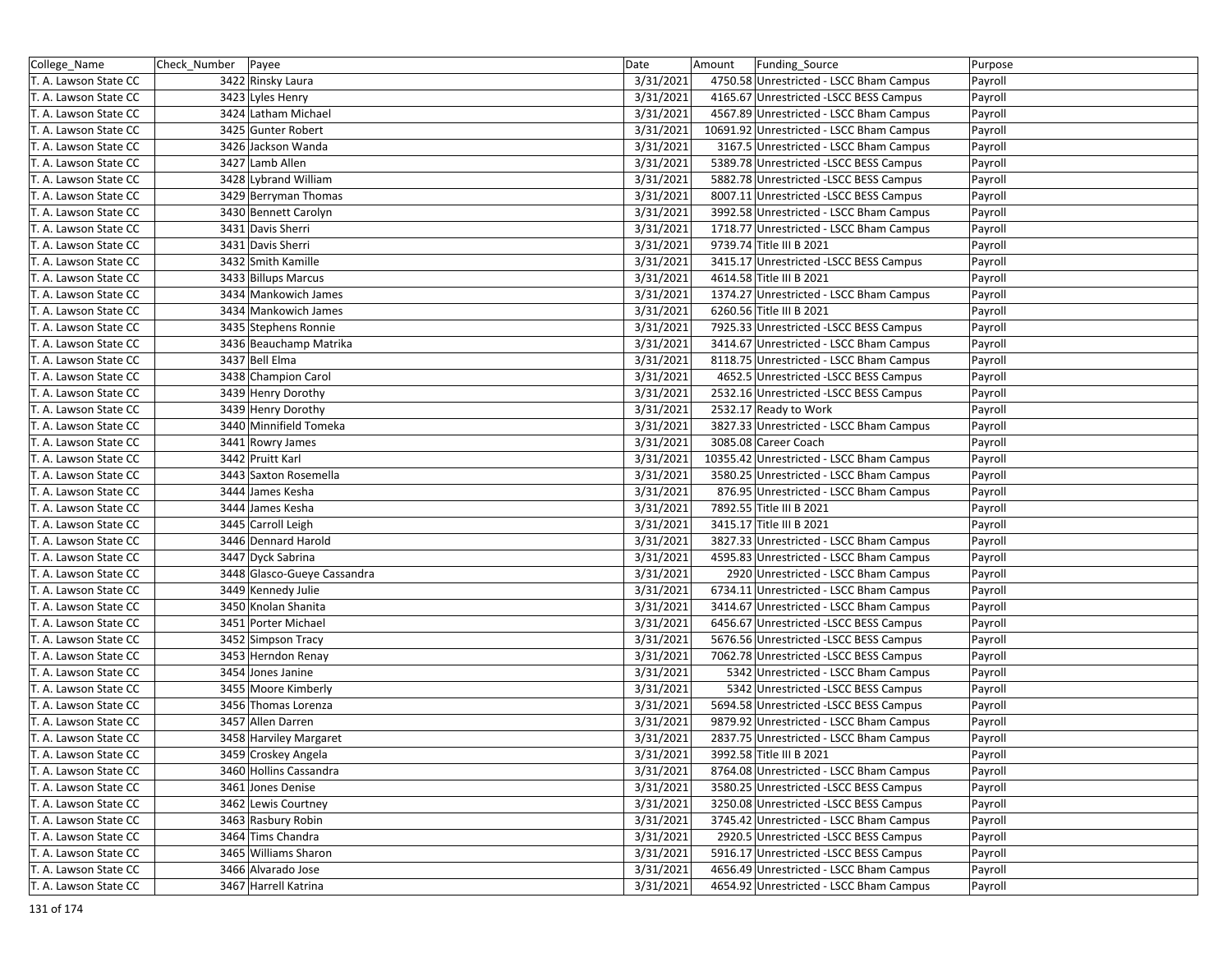| College_Name          | Check_Number   Payee |                             | Date      | Amount | Funding_Source                           | Purpose |
|-----------------------|----------------------|-----------------------------|-----------|--------|------------------------------------------|---------|
| T. A. Lawson State CC |                      | 3422 Rinsky Laura           | 3/31/2021 |        | 4750.58 Unrestricted - LSCC Bham Campus  | Payroll |
| T. A. Lawson State CC |                      | 3423 Lyles Henry            | 3/31/2021 |        | 4165.67 Unrestricted -LSCC BESS Campus   | Payroll |
| T. A. Lawson State CC |                      | 3424 Latham Michael         | 3/31/2021 |        | 4567.89 Unrestricted - LSCC Bham Campus  | Payroll |
| T. A. Lawson State CC |                      | 3425 Gunter Robert          | 3/31/2021 |        | 10691.92 Unrestricted - LSCC Bham Campus | Payroll |
| T. A. Lawson State CC |                      | 3426 Jackson Wanda          | 3/31/2021 |        | 3167.5 Unrestricted - LSCC Bham Campus   | Payroll |
| T. A. Lawson State CC |                      | 3427 Lamb Allen             | 3/31/2021 |        | 5389.78 Unrestricted -LSCC BESS Campus   | Payroll |
| T. A. Lawson State CC |                      | 3428 Lybrand William        | 3/31/2021 |        | 5882.78 Unrestricted -LSCC BESS Campus   | Payroll |
| T. A. Lawson State CC |                      | 3429 Berryman Thomas        | 3/31/2021 |        | 8007.11 Unrestricted -LSCC BESS Campus   | Payroll |
| T. A. Lawson State CC |                      | 3430 Bennett Carolyn        | 3/31/2021 |        | 3992.58 Unrestricted - LSCC Bham Campus  | Payroll |
| T. A. Lawson State CC |                      | 3431 Davis Sherri           | 3/31/2021 |        | 1718.77 Unrestricted - LSCC Bham Campus  | Payroll |
| T. A. Lawson State CC |                      | 3431 Davis Sherri           | 3/31/2021 |        | 9739.74 Title III B 2021                 | Payroll |
| T. A. Lawson State CC |                      | 3432 Smith Kamille          | 3/31/2021 |        | 3415.17 Unrestricted -LSCC BESS Campus   | Payroll |
| T. A. Lawson State CC |                      | 3433 Billups Marcus         | 3/31/2021 |        | 4614.58 Title III B 2021                 | Payroll |
| T. A. Lawson State CC |                      | 3434 Mankowich James        | 3/31/2021 |        | 1374.27 Unrestricted - LSCC Bham Campus  | Payroll |
| T. A. Lawson State CC |                      | 3434 Mankowich James        | 3/31/2021 |        | 6260.56 Title III B 2021                 | Payroll |
| T. A. Lawson State CC |                      | 3435 Stephens Ronnie        | 3/31/2021 |        | 7925.33 Unrestricted -LSCC BESS Campus   | Payroll |
| T. A. Lawson State CC |                      | 3436 Beauchamp Matrika      | 3/31/2021 |        | 3414.67 Unrestricted - LSCC Bham Campus  | Payroll |
| T. A. Lawson State CC |                      | 3437 Bell Elma              | 3/31/2021 |        | 8118.75 Unrestricted - LSCC Bham Campus  | Payroll |
| T. A. Lawson State CC |                      | 3438 Champion Carol         | 3/31/2021 |        | 4652.5 Unrestricted -LSCC BESS Campus    | Payroll |
| T. A. Lawson State CC |                      | 3439 Henry Dorothy          | 3/31/2021 |        | 2532.16 Unrestricted -LSCC BESS Campus   | Payroll |
| T. A. Lawson State CC |                      | 3439 Henry Dorothy          | 3/31/2021 |        | 2532.17 Ready to Work                    | Payroll |
| T. A. Lawson State CC |                      | 3440 Minnifield Tomeka      | 3/31/2021 |        | 3827.33 Unrestricted - LSCC Bham Campus  | Payroll |
| T. A. Lawson State CC |                      | 3441 Rowry James            | 3/31/2021 |        | 3085.08 Career Coach                     | Payroll |
| T. A. Lawson State CC |                      | 3442 Pruitt Karl            | 3/31/2021 |        | 10355.42 Unrestricted - LSCC Bham Campus | Payroll |
| T. A. Lawson State CC |                      | 3443 Saxton Rosemella       | 3/31/2021 |        | 3580.25 Unrestricted - LSCC Bham Campus  | Payroll |
| T. A. Lawson State CC |                      | 3444 James Kesha            | 3/31/2021 |        | 876.95 Unrestricted - LSCC Bham Campus   | Payroll |
| T. A. Lawson State CC |                      | 3444 James Kesha            | 3/31/2021 |        | 7892.55 Title III B 2021                 | Payroll |
| T. A. Lawson State CC |                      | 3445 Carroll Leigh          | 3/31/2021 |        | 3415.17 Title III B 2021                 | Payroll |
| T. A. Lawson State CC |                      | 3446 Dennard Harold         | 3/31/2021 |        | 3827.33 Unrestricted - LSCC Bham Campus  | Payroll |
| T. A. Lawson State CC |                      | 3447 Dyck Sabrina           | 3/31/2021 |        | 4595.83 Unrestricted - LSCC Bham Campus  | Payroll |
| T. A. Lawson State CC |                      | 3448 Glasco-Gueye Cassandra | 3/31/2021 |        | 2920 Unrestricted - LSCC Bham Campus     | Payroll |
| T. A. Lawson State CC |                      | 3449 Kennedy Julie          | 3/31/2021 |        | 6734.11 Unrestricted - LSCC Bham Campus  | Payroll |
| T. A. Lawson State CC |                      | 3450 Knolan Shanita         | 3/31/2021 |        | 3414.67 Unrestricted - LSCC Bham Campus  | Payroll |
| T. A. Lawson State CC |                      | 3451 Porter Michael         | 3/31/2021 |        | 6456.67 Unrestricted -LSCC BESS Campus   | Payroll |
| T. A. Lawson State CC |                      | 3452 Simpson Tracy          | 3/31/2021 |        | 5676.56 Unrestricted -LSCC BESS Campus   | Payroll |
| T. A. Lawson State CC |                      | 3453 Herndon Renay          | 3/31/2021 |        | 7062.78 Unrestricted - LSCC BESS Campus  | Payroll |
| T. A. Lawson State CC |                      | 3454 Jones Janine           | 3/31/2021 |        | 5342 Unrestricted - LSCC Bham Campus     | Payroll |
| T. A. Lawson State CC |                      | 3455 Moore Kimberly         | 3/31/2021 |        | 5342 Unrestricted -LSCC BESS Campus      | Payroll |
| T. A. Lawson State CC |                      | 3456 Thomas Lorenza         | 3/31/2021 |        | 5694.58 Unrestricted -LSCC BESS Campus   | Payroll |
| T. A. Lawson State CC |                      | 3457 Allen Darren           | 3/31/2021 |        | 9879.92 Unrestricted - LSCC Bham Campus  | Payroll |
| T. A. Lawson State CC |                      | 3458 Harviley Margaret      | 3/31/2021 |        | 2837.75 Unrestricted - LSCC Bham Campus  | Payroll |
| T. A. Lawson State CC |                      | 3459 Croskey Angela         | 3/31/2021 |        | 3992.58 Title III B 2021                 | Payroll |
| T. A. Lawson State CC |                      | 3460 Hollins Cassandra      | 3/31/2021 |        | 8764.08 Unrestricted - LSCC Bham Campus  | Payroll |
| T. A. Lawson State CC |                      | 3461 Jones Denise           | 3/31/2021 |        | 3580.25 Unrestricted -LSCC BESS Campus   | Payroll |
| T. A. Lawson State CC |                      | 3462 Lewis Courtney         | 3/31/2021 |        | 3250.08 Unrestricted -LSCC BESS Campus   | Payroll |
| T. A. Lawson State CC |                      | 3463 Rasbury Robin          | 3/31/2021 |        | 3745.42 Unrestricted - LSCC Bham Campus  | Payroll |
| T. A. Lawson State CC |                      | 3464 Tims Chandra           | 3/31/2021 |        | 2920.5 Unrestricted -LSCC BESS Campus    | Payroll |
| T. A. Lawson State CC |                      | 3465 Williams Sharon        | 3/31/2021 |        | 5916.17 Unrestricted -LSCC BESS Campus   | Payroll |
| T. A. Lawson State CC |                      | 3466 Alvarado Jose          | 3/31/2021 |        | 4656.49 Unrestricted - LSCC Bham Campus  | Payroll |
| T. A. Lawson State CC |                      | 3467 Harrell Katrina        | 3/31/2021 |        | 4654.92 Unrestricted - LSCC Bham Campus  | Payroll |
|                       |                      |                             |           |        |                                          |         |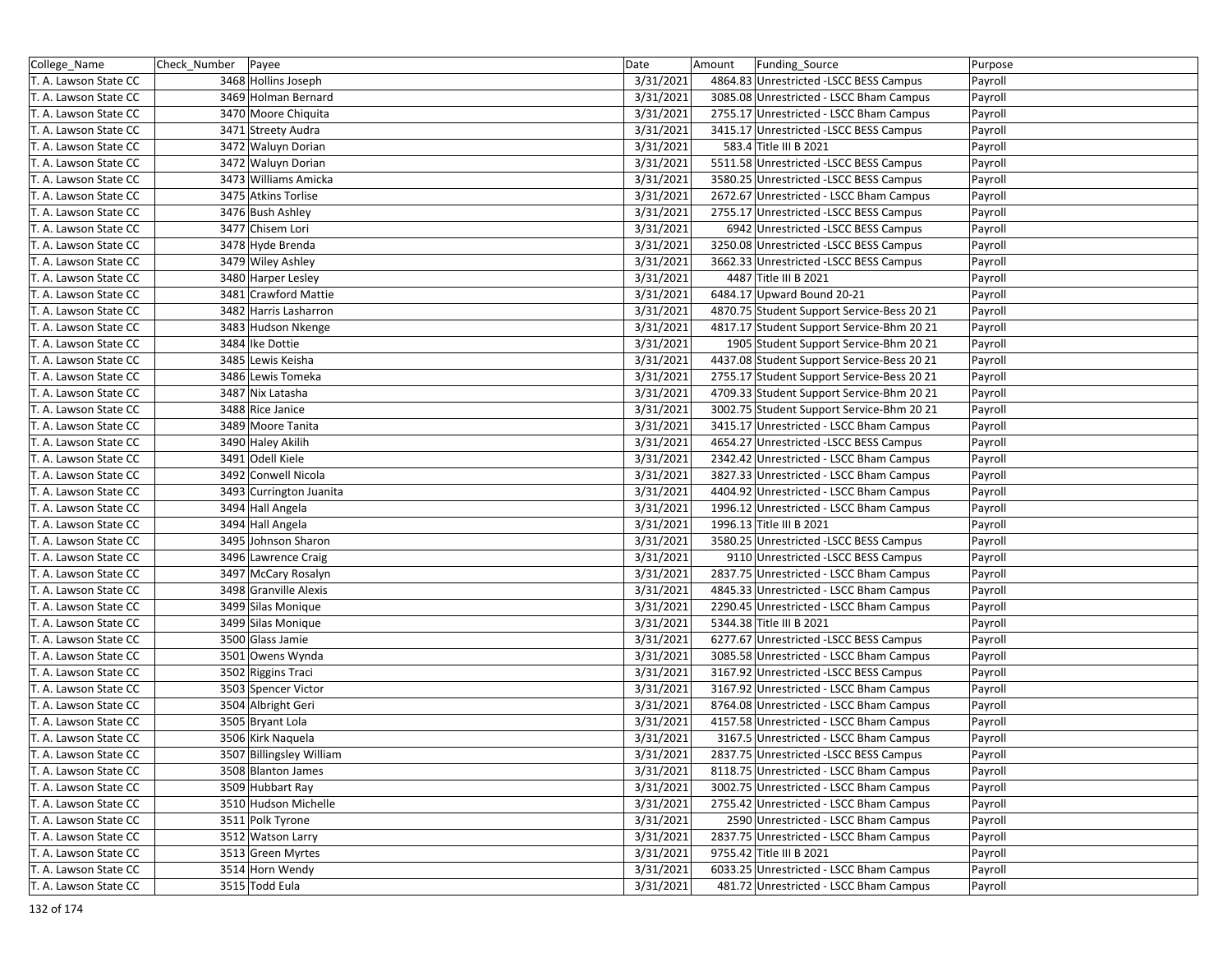| College_Name          | Check_Number   Payee |                          | Date      | Amount | Funding Source                             | Purpose |
|-----------------------|----------------------|--------------------------|-----------|--------|--------------------------------------------|---------|
| T. A. Lawson State CC |                      | 3468 Hollins Joseph      | 3/31/2021 |        | 4864.83 Unrestricted -LSCC BESS Campus     | Payroll |
| T. A. Lawson State CC |                      | 3469 Holman Bernard      | 3/31/2021 |        | 3085.08 Unrestricted - LSCC Bham Campus    | Payroll |
| T. A. Lawson State CC |                      | 3470 Moore Chiquita      | 3/31/2021 |        | 2755.17 Unrestricted - LSCC Bham Campus    | Payroll |
| T. A. Lawson State CC |                      | 3471 Streety Audra       | 3/31/2021 |        | 3415.17 Unrestricted -LSCC BESS Campus     | Payroll |
| T. A. Lawson State CC |                      | 3472 Waluyn Dorian       | 3/31/2021 |        | 583.4 Title III B 2021                     | Payroll |
| T. A. Lawson State CC |                      | 3472 Waluyn Dorian       | 3/31/2021 |        | 5511.58 Unrestricted -LSCC BESS Campus     | Payroll |
| T. A. Lawson State CC |                      | 3473 Williams Amicka     | 3/31/2021 |        | 3580.25 Unrestricted -LSCC BESS Campus     | Payroll |
| T. A. Lawson State CC |                      | 3475 Atkins Torlise      | 3/31/2021 |        | 2672.67 Unrestricted - LSCC Bham Campus    | Payroll |
| T. A. Lawson State CC |                      | 3476 Bush Ashley         | 3/31/2021 |        | 2755.17 Unrestricted -LSCC BESS Campus     | Payroll |
| T. A. Lawson State CC |                      | 3477 Chisem Lori         | 3/31/2021 |        | 6942 Unrestricted -LSCC BESS Campus        | Payroll |
| T. A. Lawson State CC |                      | 3478 Hyde Brenda         | 3/31/2021 |        | 3250.08 Unrestricted -LSCC BESS Campus     | Payroll |
| T. A. Lawson State CC |                      | 3479 Wiley Ashley        | 3/31/2021 |        | 3662.33 Unrestricted -LSCC BESS Campus     | Payroll |
| T. A. Lawson State CC |                      | 3480 Harper Lesley       | 3/31/2021 |        | 4487 Title III B 2021                      | Payroll |
| T. A. Lawson State CC |                      | 3481 Crawford Mattie     | 3/31/2021 |        | 6484.17 Upward Bound 20-21                 | Payroll |
| T. A. Lawson State CC |                      | 3482 Harris Lasharron    | 3/31/2021 |        | 4870.75 Student Support Service-Bess 20 21 | Payroll |
| T. A. Lawson State CC |                      | 3483 Hudson Nkenge       | 3/31/2021 |        | 4817.17 Student Support Service-Bhm 20 21  | Payroll |
| T. A. Lawson State CC |                      | 3484 Ike Dottie          | 3/31/2021 |        | 1905 Student Support Service-Bhm 20 21     | Payroll |
| T. A. Lawson State CC |                      | 3485 Lewis Keisha        | 3/31/2021 |        | 4437.08 Student Support Service-Bess 20 21 | Payroll |
| T. A. Lawson State CC |                      | 3486 Lewis Tomeka        | 3/31/2021 |        | 2755.17 Student Support Service-Bess 20 21 | Payroll |
| T. A. Lawson State CC |                      | 3487 Nix Latasha         | 3/31/2021 |        | 4709.33 Student Support Service-Bhm 20 21  | Payroll |
| T. A. Lawson State CC |                      | 3488 Rice Janice         | 3/31/2021 |        | 3002.75 Student Support Service-Bhm 20 21  | Payroll |
| T. A. Lawson State CC |                      | 3489 Moore Tanita        | 3/31/2021 |        | 3415.17 Unrestricted - LSCC Bham Campus    | Payroll |
| T. A. Lawson State CC |                      | 3490 Haley Akilih        | 3/31/2021 |        | 4654.27 Unrestricted -LSCC BESS Campus     | Payroll |
| T. A. Lawson State CC |                      | 3491 Odell Kiele         | 3/31/2021 |        | 2342.42 Unrestricted - LSCC Bham Campus    | Payroll |
| T. A. Lawson State CC |                      | 3492 Conwell Nicola      | 3/31/2021 |        | 3827.33 Unrestricted - LSCC Bham Campus    | Payroll |
| T. A. Lawson State CC |                      | 3493 Currington Juanita  | 3/31/2021 |        | 4404.92 Unrestricted - LSCC Bham Campus    | Payroll |
| T. A. Lawson State CC |                      | 3494 Hall Angela         | 3/31/2021 |        | 1996.12 Unrestricted - LSCC Bham Campus    | Payroll |
| T. A. Lawson State CC |                      | 3494 Hall Angela         | 3/31/2021 |        | 1996.13 Title III B 2021                   | Payroll |
| T. A. Lawson State CC |                      | 3495 Johnson Sharon      | 3/31/2021 |        | 3580.25 Unrestricted -LSCC BESS Campus     | Payroll |
| T. A. Lawson State CC |                      | 3496 Lawrence Craig      | 3/31/2021 |        | 9110 Unrestricted -LSCC BESS Campus        | Payroll |
| T. A. Lawson State CC |                      | 3497 McCary Rosalyn      | 3/31/2021 |        | 2837.75 Unrestricted - LSCC Bham Campus    | Payroll |
| T. A. Lawson State CC |                      | 3498 Granville Alexis    | 3/31/2021 |        | 4845.33 Unrestricted - LSCC Bham Campus    | Payroll |
| T. A. Lawson State CC |                      | 3499 Silas Monique       | 3/31/2021 |        | 2290.45 Unrestricted - LSCC Bham Campus    | Payroll |
| T. A. Lawson State CC |                      | 3499 Silas Monique       | 3/31/2021 |        | 5344.38 Title III B 2021                   | Payroll |
| T. A. Lawson State CC |                      | 3500 Glass Jamie         | 3/31/2021 |        | 6277.67 Unrestricted -LSCC BESS Campus     | Payroll |
| T. A. Lawson State CC |                      | 3501 Owens Wynda         | 3/31/2021 |        | 3085.58 Unrestricted - LSCC Bham Campus    | Payroll |
| T. A. Lawson State CC |                      | 3502 Riggins Traci       | 3/31/2021 |        | 3167.92 Unrestricted -LSCC BESS Campus     | Payroll |
| T. A. Lawson State CC |                      | 3503 Spencer Victor      | 3/31/2021 |        | 3167.92 Unrestricted - LSCC Bham Campus    | Payroll |
| T. A. Lawson State CC |                      | 3504 Albright Geri       | 3/31/2021 |        | 8764.08 Unrestricted - LSCC Bham Campus    | Payroll |
| T. A. Lawson State CC |                      | 3505 Bryant Lola         | 3/31/2021 |        | 4157.58 Unrestricted - LSCC Bham Campus    | Payroll |
| T. A. Lawson State CC |                      | 3506 Kirk Naquela        | 3/31/2021 |        | 3167.5 Unrestricted - LSCC Bham Campus     | Payroll |
| T. A. Lawson State CC |                      | 3507 Billingsley William | 3/31/2021 |        | 2837.75 Unrestricted -LSCC BESS Campus     | Payroll |
| T. A. Lawson State CC |                      | 3508 Blanton James       | 3/31/2021 |        | 8118.75 Unrestricted - LSCC Bham Campus    | Payroll |
| T. A. Lawson State CC |                      | 3509 Hubbart Ray         | 3/31/2021 |        | 3002.75 Unrestricted - LSCC Bham Campus    | Payroll |
| T. A. Lawson State CC |                      | 3510 Hudson Michelle     | 3/31/2021 |        | 2755.42 Unrestricted - LSCC Bham Campus    | Payroll |
| T. A. Lawson State CC |                      | 3511 Polk Tyrone         | 3/31/2021 |        | 2590 Unrestricted - LSCC Bham Campus       | Payroll |
| T. A. Lawson State CC |                      | 3512 Watson Larry        | 3/31/2021 |        | 2837.75 Unrestricted - LSCC Bham Campus    | Payroll |
| T. A. Lawson State CC |                      | 3513 Green Myrtes        | 3/31/2021 |        | 9755.42 Title III B 2021                   | Payroll |
| T. A. Lawson State CC |                      | 3514 Horn Wendy          | 3/31/2021 |        | 6033.25 Unrestricted - LSCC Bham Campus    | Payroll |
| T. A. Lawson State CC |                      | 3515 Todd Eula           | 3/31/2021 |        | 481.72 Unrestricted - LSCC Bham Campus     | Payroll |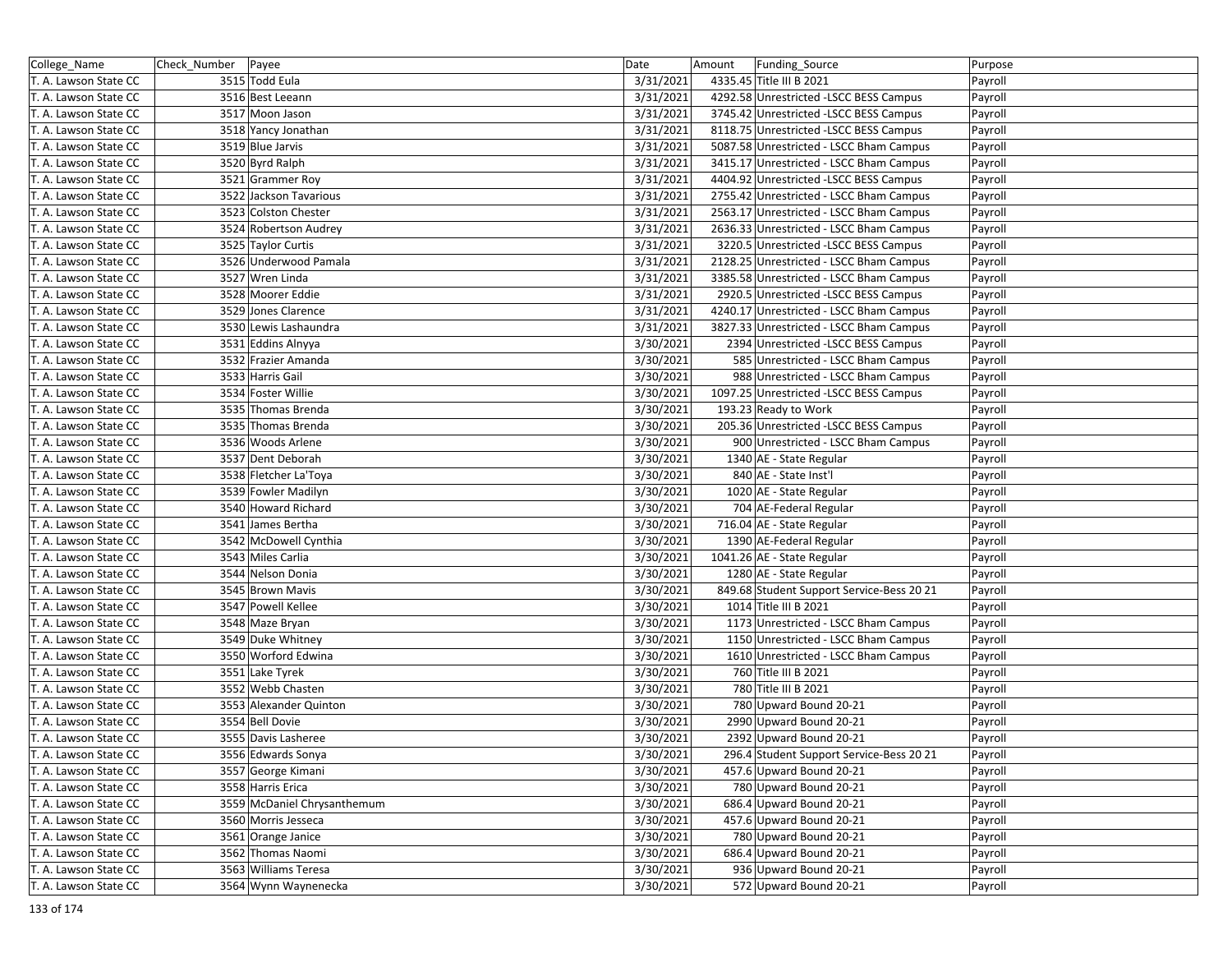| College_Name          | Check_Number   Payee |                             | Date      | Amount | Funding_Source                            | Purpose |
|-----------------------|----------------------|-----------------------------|-----------|--------|-------------------------------------------|---------|
| T. A. Lawson State CC |                      | 3515 Todd Eula              | 3/31/2021 |        | 4335.45 Title III B 2021                  | Payroll |
| T. A. Lawson State CC |                      | 3516 Best Leeann            | 3/31/2021 |        | 4292.58 Unrestricted -LSCC BESS Campus    | Payroll |
| T. A. Lawson State CC |                      | 3517 Moon Jason             | 3/31/2021 |        | 3745.42 Unrestricted -LSCC BESS Campus    | Payroll |
| T. A. Lawson State CC |                      | 3518 Yancy Jonathan         | 3/31/2021 |        | 8118.75 Unrestricted -LSCC BESS Campus    | Payroll |
| T. A. Lawson State CC |                      | 3519 Blue Jarvis            | 3/31/2021 |        | 5087.58 Unrestricted - LSCC Bham Campus   | Payroll |
| T. A. Lawson State CC |                      | 3520 Byrd Ralph             | 3/31/2021 |        | 3415.17 Unrestricted - LSCC Bham Campus   | Payroll |
| T. A. Lawson State CC |                      | 3521 Grammer Roy            | 3/31/2021 |        | 4404.92 Unrestricted -LSCC BESS Campus    | Payroll |
| T. A. Lawson State CC |                      | 3522 Jackson Tavarious      | 3/31/2021 |        | 2755.42 Unrestricted - LSCC Bham Campus   | Payroll |
| T. A. Lawson State CC |                      | 3523 Colston Chester        | 3/31/2021 |        | 2563.17 Unrestricted - LSCC Bham Campus   | Payroll |
| T. A. Lawson State CC |                      | 3524 Robertson Audrey       | 3/31/2021 |        | 2636.33 Unrestricted - LSCC Bham Campus   | Payroll |
| T. A. Lawson State CC |                      | 3525 Taylor Curtis          | 3/31/2021 |        | 3220.5 Unrestricted -LSCC BESS Campus     | Payroll |
| T. A. Lawson State CC |                      | 3526 Underwood Pamala       | 3/31/2021 |        | 2128.25 Unrestricted - LSCC Bham Campus   | Payroll |
| T. A. Lawson State CC |                      | 3527 Wren Linda             | 3/31/2021 |        | 3385.58 Unrestricted - LSCC Bham Campus   | Payroll |
| T. A. Lawson State CC |                      | 3528 Moorer Eddie           | 3/31/2021 |        | 2920.5 Unrestricted -LSCC BESS Campus     | Payroll |
| T. A. Lawson State CC |                      | 3529 Jones Clarence         | 3/31/2021 |        | 4240.17 Unrestricted - LSCC Bham Campus   | Payroll |
| T. A. Lawson State CC |                      | 3530 Lewis Lashaundra       | 3/31/2021 |        | 3827.33 Unrestricted - LSCC Bham Campus   | Payroll |
| T. A. Lawson State CC |                      | 3531 Eddins Alnyya          | 3/30/2021 |        | 2394 Unrestricted -LSCC BESS Campus       | Payroll |
| T. A. Lawson State CC |                      | 3532 Frazier Amanda         | 3/30/2021 |        | 585 Unrestricted - LSCC Bham Campus       | Payroll |
| T. A. Lawson State CC |                      | 3533 Harris Gail            | 3/30/2021 |        | 988 Unrestricted - LSCC Bham Campus       | Payroll |
| T. A. Lawson State CC |                      | 3534 Foster Willie          | 3/30/2021 |        | 1097.25 Unrestricted -LSCC BESS Campus    | Payroll |
| T. A. Lawson State CC |                      | 3535 Thomas Brenda          | 3/30/2021 |        | 193.23 Ready to Work                      | Payroll |
| T. A. Lawson State CC |                      | 3535 Thomas Brenda          | 3/30/2021 |        | 205.36 Unrestricted -LSCC BESS Campus     | Payroll |
| T. A. Lawson State CC |                      | 3536 Woods Arlene           | 3/30/2021 |        | 900 Unrestricted - LSCC Bham Campus       | Payroll |
| T. A. Lawson State CC |                      | 3537 Dent Deborah           | 3/30/2021 |        | 1340 AE - State Regular                   | Payroll |
| T. A. Lawson State CC |                      | 3538 Fletcher La'Toya       | 3/30/2021 |        | 840 AE - State Inst'l                     | Payroll |
| T. A. Lawson State CC |                      | 3539 Fowler Madilyn         | 3/30/2021 |        | 1020 AE - State Regular                   | Payroll |
| T. A. Lawson State CC |                      | 3540 Howard Richard         | 3/30/2021 |        | 704 AE-Federal Regular                    | Payroll |
| T. A. Lawson State CC |                      | 3541 James Bertha           | 3/30/2021 |        | 716.04 AE - State Regular                 | Payroll |
| T. A. Lawson State CC |                      | 3542 McDowell Cynthia       | 3/30/2021 |        | 1390 AE-Federal Regular                   | Payroll |
| T. A. Lawson State CC |                      | 3543 Miles Carlia           | 3/30/2021 |        | 1041.26 AE - State Regular                | Payroll |
| T. A. Lawson State CC |                      | 3544 Nelson Donia           | 3/30/2021 |        | 1280 AE - State Regular                   | Payroll |
| T. A. Lawson State CC |                      | 3545 Brown Mavis            | 3/30/2021 |        | 849.68 Student Support Service-Bess 20 21 | Payroll |
| T. A. Lawson State CC |                      | 3547 Powell Kellee          | 3/30/2021 |        | 1014 Title III B 2021                     | Payroll |
| T. A. Lawson State CC |                      | 3548 Maze Bryan             | 3/30/2021 |        | 1173 Unrestricted - LSCC Bham Campus      | Payroll |
| T. A. Lawson State CC |                      | 3549 Duke Whitney           | 3/30/2021 |        | 1150 Unrestricted - LSCC Bham Campus      | Payroll |
| T. A. Lawson State CC |                      | 3550 Worford Edwina         | 3/30/2021 |        | 1610 Unrestricted - LSCC Bham Campus      | Payroll |
| T. A. Lawson State CC |                      | 3551 Lake Tyrek             | 3/30/2021 |        | 760 Title III B 2021                      | Payroll |
| T. A. Lawson State CC |                      | 3552 Webb Chasten           | 3/30/2021 |        | 780 Title III B 2021                      | Payroll |
| T. A. Lawson State CC |                      | 3553 Alexander Quinton      | 3/30/2021 |        | 780 Upward Bound 20-21                    | Payroll |
| T. A. Lawson State CC |                      | 3554 Bell Dovie             | 3/30/2021 |        | 2990 Upward Bound 20-21                   | Payroll |
| T. A. Lawson State CC |                      | 3555 Davis Lasheree         | 3/30/2021 |        | 2392 Upward Bound 20-21                   | Payroll |
| T. A. Lawson State CC |                      | 3556 Edwards Sonya          | 3/30/2021 |        | 296.4 Student Support Service-Bess 20 21  | Payroll |
| T. A. Lawson State CC |                      | 3557 George Kimani          | 3/30/2021 |        | 457.6 Upward Bound 20-21                  | Payroll |
| T. A. Lawson State CC |                      | 3558 Harris Erica           | 3/30/2021 |        | 780 Upward Bound 20-21                    | Payroll |
| T. A. Lawson State CC |                      | 3559 McDaniel Chrysanthemum | 3/30/2021 |        | 686.4 Upward Bound 20-21                  | Payroll |
| T. A. Lawson State CC |                      | 3560 Morris Jesseca         | 3/30/2021 |        | 457.6 Upward Bound 20-21                  | Payroll |
| T. A. Lawson State CC |                      | 3561 Orange Janice          | 3/30/2021 |        | 780 Upward Bound 20-21                    | Payroll |
| T. A. Lawson State CC |                      | 3562 Thomas Naomi           | 3/30/2021 |        | 686.4 Upward Bound 20-21                  | Payroll |
| T. A. Lawson State CC |                      | 3563 Williams Teresa        | 3/30/2021 |        | 936 Upward Bound 20-21                    | Payroll |
| T. A. Lawson State CC |                      | 3564 Wynn Waynenecka        | 3/30/2021 |        | 572 Upward Bound 20-21                    | Payroll |
|                       |                      |                             |           |        |                                           |         |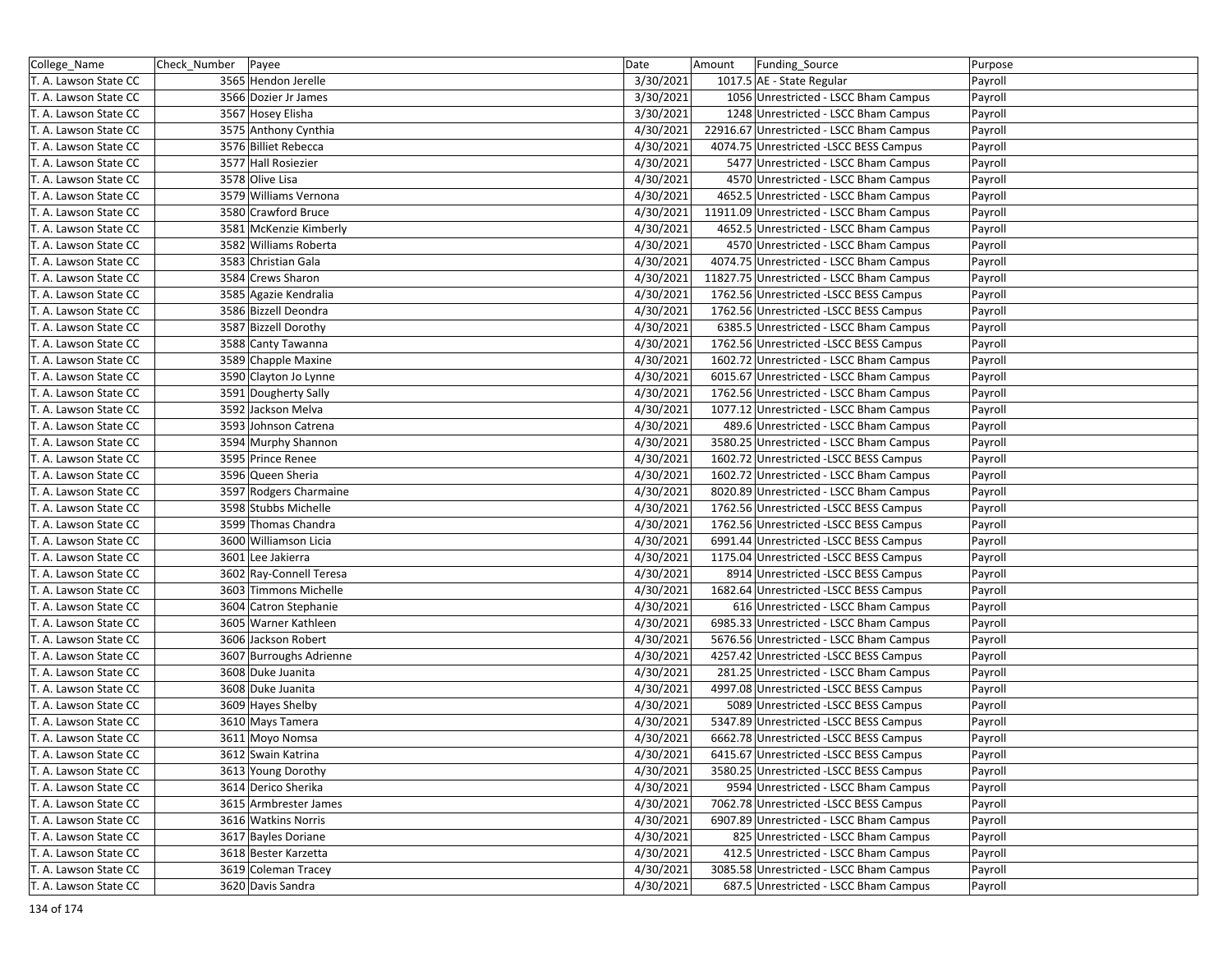| College_Name          | Check_Number   Payee |                         | Date      | Amount | Funding_Source                           | Purpose |
|-----------------------|----------------------|-------------------------|-----------|--------|------------------------------------------|---------|
| T. A. Lawson State CC |                      | 3565 Hendon Jerelle     | 3/30/2021 |        | 1017.5 AE - State Regular                | Payroll |
| T. A. Lawson State CC |                      | 3566 Dozier Jr James    | 3/30/2021 |        | 1056 Unrestricted - LSCC Bham Campus     | Payroll |
| T. A. Lawson State CC |                      | 3567 Hosey Elisha       | 3/30/2021 |        | 1248 Unrestricted - LSCC Bham Campus     | Payroll |
| T. A. Lawson State CC |                      | 3575 Anthony Cynthia    | 4/30/2021 |        | 22916.67 Unrestricted - LSCC Bham Campus | Payroll |
| T. A. Lawson State CC |                      | 3576 Billiet Rebecca    | 4/30/2021 |        | 4074.75 Unrestricted -LSCC BESS Campus   | Payroll |
| T. A. Lawson State CC |                      | 3577 Hall Rosiezier     | 4/30/2021 |        | 5477 Unrestricted - LSCC Bham Campus     | Payroll |
| T. A. Lawson State CC |                      | 3578 Olive Lisa         | 4/30/2021 |        | 4570 Unrestricted - LSCC Bham Campus     | Payroll |
| T. A. Lawson State CC |                      | 3579 Williams Vernona   | 4/30/2021 |        | 4652.5 Unrestricted - LSCC Bham Campus   | Payroll |
| T. A. Lawson State CC |                      | 3580 Crawford Bruce     | 4/30/2021 |        | 11911.09 Unrestricted - LSCC Bham Campus | Payroll |
| T. A. Lawson State CC |                      | 3581 McKenzie Kimberly  | 4/30/2021 |        | 4652.5 Unrestricted - LSCC Bham Campus   | Payroll |
| T. A. Lawson State CC |                      | 3582 Williams Roberta   | 4/30/2021 |        | 4570 Unrestricted - LSCC Bham Campus     | Payroll |
| T. A. Lawson State CC |                      | 3583 Christian Gala     | 4/30/2021 |        | 4074.75 Unrestricted - LSCC Bham Campus  | Payroll |
| T. A. Lawson State CC |                      | 3584 Crews Sharon       | 4/30/2021 |        | 11827.75 Unrestricted - LSCC Bham Campus | Payroll |
| T. A. Lawson State CC |                      | 3585 Agazie Kendralia   | 4/30/2021 |        | 1762.56 Unrestricted -LSCC BESS Campus   | Payroll |
| T. A. Lawson State CC |                      | 3586 Bizzell Deondra    | 4/30/2021 |        | 1762.56 Unrestricted -LSCC BESS Campus   | Payroll |
| T. A. Lawson State CC |                      | 3587 Bizzell Dorothy    | 4/30/2021 |        | 6385.5 Unrestricted - LSCC Bham Campus   | Payroll |
| T. A. Lawson State CC |                      | 3588 Canty Tawanna      | 4/30/2021 |        | 1762.56 Unrestricted -LSCC BESS Campus   | Payroll |
| T. A. Lawson State CC |                      | 3589 Chapple Maxine     | 4/30/2021 |        | 1602.72 Unrestricted - LSCC Bham Campus  | Payroll |
| T. A. Lawson State CC |                      | 3590 Clayton Jo Lynne   | 4/30/2021 |        | 6015.67 Unrestricted - LSCC Bham Campus  | Payroll |
| T. A. Lawson State CC |                      | 3591 Dougherty Sally    | 4/30/2021 |        | 1762.56 Unrestricted - LSCC Bham Campus  | Payroll |
| T. A. Lawson State CC |                      | 3592 Jackson Melva      | 4/30/2021 |        | 1077.12 Unrestricted - LSCC Bham Campus  | Payroll |
| T. A. Lawson State CC |                      | 3593 Johnson Catrena    | 4/30/2021 |        | 489.6 Unrestricted - LSCC Bham Campus    | Payroll |
| T. A. Lawson State CC |                      | 3594 Murphy Shannon     | 4/30/2021 |        | 3580.25 Unrestricted - LSCC Bham Campus  | Payroll |
| T. A. Lawson State CC |                      | 3595 Prince Renee       | 4/30/2021 |        | 1602.72 Unrestricted -LSCC BESS Campus   | Payroll |
| T. A. Lawson State CC |                      | 3596 Queen Sheria       | 4/30/2021 |        | 1602.72 Unrestricted - LSCC Bham Campus  | Payroll |
| T. A. Lawson State CC |                      | 3597 Rodgers Charmaine  | 4/30/2021 |        | 8020.89 Unrestricted - LSCC Bham Campus  | Payroll |
| T. A. Lawson State CC |                      | 3598 Stubbs Michelle    | 4/30/2021 |        | 1762.56 Unrestricted -LSCC BESS Campus   | Payroll |
| T. A. Lawson State CC |                      | 3599 Thomas Chandra     | 4/30/2021 |        | 1762.56 Unrestricted -LSCC BESS Campus   | Payroll |
| T. A. Lawson State CC |                      | 3600 Williamson Licia   | 4/30/2021 |        | 6991.44 Unrestricted -LSCC BESS Campus   | Payroll |
| T. A. Lawson State CC |                      | 3601 Lee Jakierra       | 4/30/2021 |        | 1175.04 Unrestricted -LSCC BESS Campus   | Payroll |
| T. A. Lawson State CC |                      | 3602 Ray-Connell Teresa | 4/30/2021 |        | 8914 Unrestricted -LSCC BESS Campus      | Payroll |
| T. A. Lawson State CC |                      | 3603 Timmons Michelle   | 4/30/2021 |        | 1682.64 Unrestricted -LSCC BESS Campus   | Payroll |
| T. A. Lawson State CC |                      | 3604 Catron Stephanie   | 4/30/2021 |        | 616 Unrestricted - LSCC Bham Campus      | Payroll |
| T. A. Lawson State CC |                      | 3605 Warner Kathleen    | 4/30/2021 |        | 6985.33 Unrestricted - LSCC Bham Campus  | Payroll |
| T. A. Lawson State CC |                      | 3606 Jackson Robert     | 4/30/2021 |        | 5676.56 Unrestricted - LSCC Bham Campus  | Payroll |
| T. A. Lawson State CC |                      | 3607 Burroughs Adrienne | 4/30/2021 |        | 4257.42 Unrestricted - LSCC BESS Campus  | Payroll |
| T. A. Lawson State CC |                      | 3608 Duke Juanita       | 4/30/2021 |        | 281.25 Unrestricted - LSCC Bham Campus   | Payroll |
| T. A. Lawson State CC |                      | 3608 Duke Juanita       | 4/30/2021 |        | 4997.08 Unrestricted -LSCC BESS Campus   | Payroll |
| T. A. Lawson State CC |                      | 3609 Hayes Shelby       | 4/30/2021 |        | 5089 Unrestricted -LSCC BESS Campus      | Payroll |
| T. A. Lawson State CC |                      | 3610 Mays Tamera        | 4/30/2021 |        | 5347.89 Unrestricted -LSCC BESS Campus   | Payroll |
| T. A. Lawson State CC |                      | 3611 Moyo Nomsa         | 4/30/2021 |        | 6662.78 Unrestricted -LSCC BESS Campus   | Payroll |
| T. A. Lawson State CC |                      | 3612 Swain Katrina      | 4/30/2021 |        | 6415.67 Unrestricted -LSCC BESS Campus   | Payroll |
| T. A. Lawson State CC |                      | 3613 Young Dorothy      | 4/30/2021 |        | 3580.25 Unrestricted - LSCC BESS Campus  | Payroll |
| T. A. Lawson State CC |                      | 3614 Derico Sherika     | 4/30/2021 |        | 9594 Unrestricted - LSCC Bham Campus     | Payroll |
| T. A. Lawson State CC |                      | 3615 Armbrester James   | 4/30/2021 |        | 7062.78 Unrestricted -LSCC BESS Campus   | Payroll |
| T. A. Lawson State CC |                      | 3616 Watkins Norris     | 4/30/2021 |        | 6907.89 Unrestricted - LSCC Bham Campus  | Payroll |
| T. A. Lawson State CC |                      | 3617 Bayles Doriane     | 4/30/2021 |        | 825 Unrestricted - LSCC Bham Campus      | Payroll |
| T. A. Lawson State CC |                      | 3618 Bester Karzetta    | 4/30/2021 |        | 412.5 Unrestricted - LSCC Bham Campus    | Payroll |
| T. A. Lawson State CC |                      | 3619 Coleman Tracey     | 4/30/2021 |        | 3085.58 Unrestricted - LSCC Bham Campus  | Payroll |
| T. A. Lawson State CC |                      | 3620 Davis Sandra       | 4/30/2021 |        | 687.5 Unrestricted - LSCC Bham Campus    | Payroll |
|                       |                      |                         |           |        |                                          |         |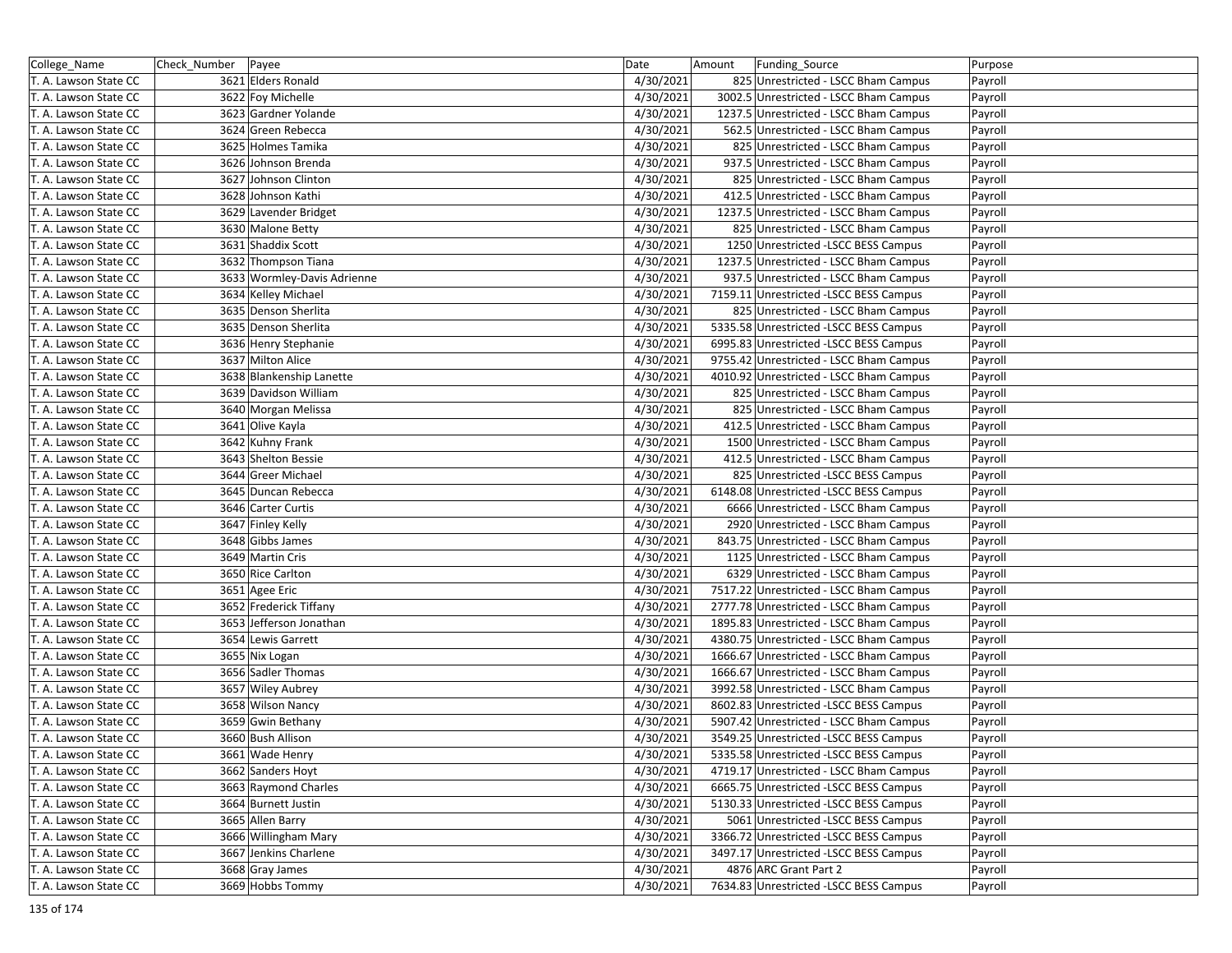| College_Name          | Check_Number   Payee |                             | Date      | Amount | Funding_Source                          | Purpose |
|-----------------------|----------------------|-----------------------------|-----------|--------|-----------------------------------------|---------|
| T. A. Lawson State CC |                      | 3621 Elders Ronald          | 4/30/2021 |        | 825 Unrestricted - LSCC Bham Campus     | Payroll |
| T. A. Lawson State CC |                      | 3622 Foy Michelle           | 4/30/2021 |        | 3002.5 Unrestricted - LSCC Bham Campus  | Payroll |
| T. A. Lawson State CC |                      | 3623 Gardner Yolande        | 4/30/2021 |        | 1237.5 Unrestricted - LSCC Bham Campus  | Payroll |
| T. A. Lawson State CC |                      | 3624 Green Rebecca          | 4/30/2021 |        | 562.5 Unrestricted - LSCC Bham Campus   | Payroll |
| T. A. Lawson State CC |                      | 3625 Holmes Tamika          | 4/30/2021 |        | 825 Unrestricted - LSCC Bham Campus     | Payroll |
| T. A. Lawson State CC |                      | 3626 Johnson Brenda         | 4/30/2021 |        | 937.5 Unrestricted - LSCC Bham Campus   | Payroll |
| T. A. Lawson State CC |                      | 3627 Johnson Clinton        | 4/30/2021 |        | 825 Unrestricted - LSCC Bham Campus     | Payroll |
| T. A. Lawson State CC |                      | 3628 Johnson Kathi          | 4/30/2021 |        | 412.5 Unrestricted - LSCC Bham Campus   | Payroll |
| T. A. Lawson State CC |                      | 3629 Lavender Bridget       | 4/30/2021 |        | 1237.5 Unrestricted - LSCC Bham Campus  | Payroll |
| T. A. Lawson State CC |                      | 3630 Malone Betty           | 4/30/2021 |        | 825 Unrestricted - LSCC Bham Campus     | Payroll |
| T. A. Lawson State CC |                      | 3631 Shaddix Scott          | 4/30/2021 |        | 1250 Unrestricted - LSCC BESS Campus    | Payroll |
| T. A. Lawson State CC |                      | 3632 Thompson Tiana         | 4/30/2021 |        | 1237.5 Unrestricted - LSCC Bham Campus  | Payroll |
| T. A. Lawson State CC |                      | 3633 Wormley-Davis Adrienne | 4/30/2021 |        | 937.5 Unrestricted - LSCC Bham Campus   | Payroll |
| T. A. Lawson State CC |                      | 3634 Kelley Michael         | 4/30/2021 |        | 7159.11 Unrestricted -LSCC BESS Campus  | Payroll |
| T. A. Lawson State CC |                      | 3635 Denson Sherlita        | 4/30/2021 |        | 825 Unrestricted - LSCC Bham Campus     | Payroll |
| T. A. Lawson State CC |                      | 3635 Denson Sherlita        | 4/30/2021 |        | 5335.58 Unrestricted -LSCC BESS Campus  | Payroll |
| T. A. Lawson State CC |                      | 3636 Henry Stephanie        | 4/30/2021 |        | 6995.83 Unrestricted -LSCC BESS Campus  | Payroll |
| T. A. Lawson State CC |                      | 3637 Milton Alice           | 4/30/2021 |        | 9755.42 Unrestricted - LSCC Bham Campus | Payroll |
| T. A. Lawson State CC |                      | 3638 Blankenship Lanette    | 4/30/2021 |        | 4010.92 Unrestricted - LSCC Bham Campus | Payroll |
| T. A. Lawson State CC |                      | 3639 Davidson William       | 4/30/2021 |        | 825 Unrestricted - LSCC Bham Campus     | Payroll |
| T. A. Lawson State CC |                      | 3640 Morgan Melissa         | 4/30/2021 |        | 825 Unrestricted - LSCC Bham Campus     | Payroll |
| T. A. Lawson State CC |                      | 3641 Olive Kayla            | 4/30/2021 |        | 412.5 Unrestricted - LSCC Bham Campus   | Payroll |
| T. A. Lawson State CC |                      | 3642 Kuhny Frank            | 4/30/2021 |        | 1500 Unrestricted - LSCC Bham Campus    | Payroll |
| T. A. Lawson State CC |                      | 3643 Shelton Bessie         | 4/30/2021 |        | 412.5 Unrestricted - LSCC Bham Campus   | Payroll |
| T. A. Lawson State CC |                      | 3644 Greer Michael          | 4/30/2021 |        | 825 Unrestricted - LSCC BESS Campus     | Payroll |
| T. A. Lawson State CC |                      | 3645 Duncan Rebecca         | 4/30/2021 |        | 6148.08 Unrestricted -LSCC BESS Campus  | Payroll |
| T. A. Lawson State CC |                      | 3646 Carter Curtis          | 4/30/2021 |        | 6666 Unrestricted - LSCC Bham Campus    | Payroll |
| T. A. Lawson State CC |                      | 3647 Finley Kelly           | 4/30/2021 |        | 2920 Unrestricted - LSCC Bham Campus    | Payroll |
| T. A. Lawson State CC |                      | 3648 Gibbs James            | 4/30/2021 |        | 843.75 Unrestricted - LSCC Bham Campus  | Payroll |
| T. A. Lawson State CC |                      | 3649 Martin Cris            | 4/30/2021 |        | 1125 Unrestricted - LSCC Bham Campus    | Payroll |
| T. A. Lawson State CC |                      | 3650 Rice Carlton           | 4/30/2021 |        | 6329 Unrestricted - LSCC Bham Campus    | Payroll |
| T. A. Lawson State CC |                      | 3651 Agee Eric              | 4/30/2021 |        | 7517.22 Unrestricted - LSCC Bham Campus | Payroll |
| T. A. Lawson State CC |                      | 3652 Frederick Tiffany      | 4/30/2021 |        | 2777.78 Unrestricted - LSCC Bham Campus | Payroll |
| T. A. Lawson State CC |                      | 3653 Jefferson Jonathan     | 4/30/2021 |        | 1895.83 Unrestricted - LSCC Bham Campus | Payroll |
| T. A. Lawson State CC |                      | 3654 Lewis Garrett          | 4/30/2021 |        | 4380.75 Unrestricted - LSCC Bham Campus | Payroll |
| T. A. Lawson State CC |                      | 3655 Nix Logan              | 4/30/2021 |        | 1666.67 Unrestricted - LSCC Bham Campus | Payroll |
| T. A. Lawson State CC |                      | 3656 Sadler Thomas          | 4/30/2021 |        | 1666.67 Unrestricted - LSCC Bham Campus | Payroll |
| T. A. Lawson State CC |                      | 3657 Wiley Aubrey           | 4/30/2021 |        | 3992.58 Unrestricted - LSCC Bham Campus | Payroll |
| T. A. Lawson State CC |                      | 3658 Wilson Nancy           | 4/30/2021 |        | 8602.83 Unrestricted -LSCC BESS Campus  | Payroll |
| T. A. Lawson State CC |                      | 3659 Gwin Bethany           | 4/30/2021 |        | 5907.42 Unrestricted - LSCC Bham Campus | Payroll |
| T. A. Lawson State CC |                      | 3660 Bush Allison           | 4/30/2021 |        | 3549.25 Unrestricted -LSCC BESS Campus  | Payroll |
| T. A. Lawson State CC |                      | 3661 Wade Henry             | 4/30/2021 |        | 5335.58 Unrestricted -LSCC BESS Campus  | Payroll |
| T. A. Lawson State CC |                      | 3662 Sanders Hoyt           | 4/30/2021 |        | 4719.17 Unrestricted - LSCC Bham Campus | Payroll |
| T. A. Lawson State CC |                      | 3663 Raymond Charles        | 4/30/2021 |        | 6665.75 Unrestricted -LSCC BESS Campus  | Payroll |
| T. A. Lawson State CC |                      | 3664 Burnett Justin         | 4/30/2021 |        | 5130.33 Unrestricted -LSCC BESS Campus  | Payroll |
| T. A. Lawson State CC |                      | 3665 Allen Barry            | 4/30/2021 |        | 5061 Unrestricted -LSCC BESS Campus     | Payroll |
| T. A. Lawson State CC |                      | 3666 Willingham Mary        | 4/30/2021 |        | 3366.72 Unrestricted -LSCC BESS Campus  | Payroll |
| T. A. Lawson State CC |                      | 3667 Jenkins Charlene       | 4/30/2021 |        | 3497.17 Unrestricted -LSCC BESS Campus  | Payroll |
| T. A. Lawson State CC |                      | 3668 Gray James             | 4/30/2021 |        | 4876 ARC Grant Part 2                   | Payroll |
| T. A. Lawson State CC |                      | 3669 Hobbs Tommy            | 4/30/2021 |        | 7634.83 Unrestricted -LSCC BESS Campus  | Payroll |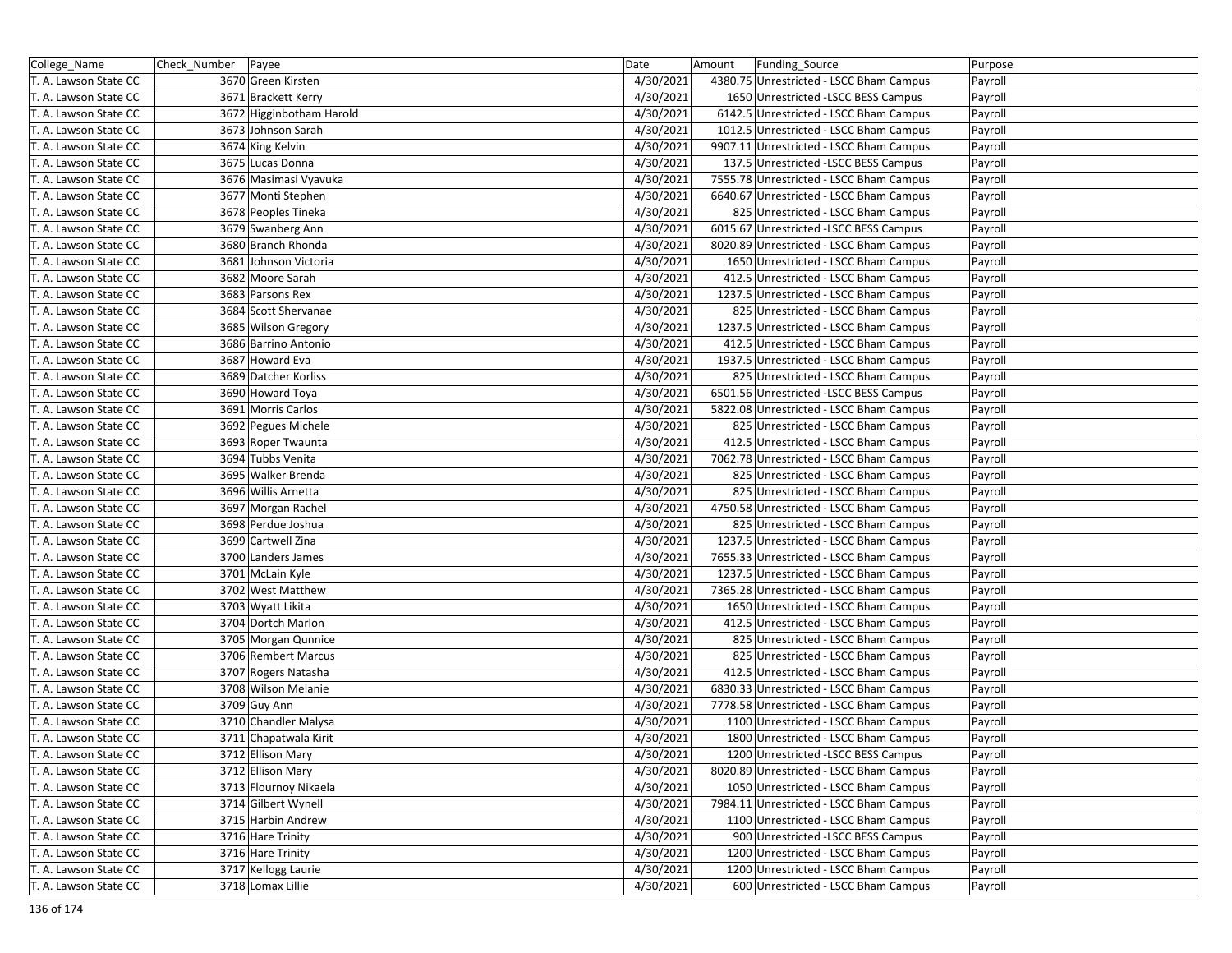| College_Name          | Check_Number   Payee |                          | Date      | Amount | Funding_Source                          | Purpose |
|-----------------------|----------------------|--------------------------|-----------|--------|-----------------------------------------|---------|
| T. A. Lawson State CC |                      | 3670 Green Kirsten       | 4/30/2021 |        | 4380.75 Unrestricted - LSCC Bham Campus | Payroll |
| T. A. Lawson State CC |                      | 3671 Brackett Kerry      | 4/30/2021 |        | 1650 Unrestricted -LSCC BESS Campus     | Payroll |
| T. A. Lawson State CC |                      | 3672 Higginbotham Harold | 4/30/2021 |        | 6142.5 Unrestricted - LSCC Bham Campus  | Payroll |
| T. A. Lawson State CC |                      | 3673 Johnson Sarah       | 4/30/2021 |        | 1012.5 Unrestricted - LSCC Bham Campus  | Payroll |
| T. A. Lawson State CC |                      | 3674 King Kelvin         | 4/30/2021 |        | 9907.11 Unrestricted - LSCC Bham Campus | Payroll |
| T. A. Lawson State CC |                      | 3675 Lucas Donna         | 4/30/2021 |        | 137.5 Unrestricted -LSCC BESS Campus    | Payroll |
| T. A. Lawson State CC |                      | 3676 Masimasi Vyavuka    | 4/30/2021 |        | 7555.78 Unrestricted - LSCC Bham Campus | Payroll |
| T. A. Lawson State CC |                      | 3677 Monti Stephen       | 4/30/2021 |        | 6640.67 Unrestricted - LSCC Bham Campus | Payroll |
| T. A. Lawson State CC |                      | 3678 Peoples Tineka      | 4/30/2021 |        | 825 Unrestricted - LSCC Bham Campus     | Payroll |
| T. A. Lawson State CC |                      | 3679 Swanberg Ann        | 4/30/2021 |        | 6015.67 Unrestricted -LSCC BESS Campus  | Payroll |
| T. A. Lawson State CC |                      | 3680 Branch Rhonda       | 4/30/2021 |        | 8020.89 Unrestricted - LSCC Bham Campus | Payroll |
| T. A. Lawson State CC |                      | 3681 Johnson Victoria    | 4/30/2021 |        | 1650 Unrestricted - LSCC Bham Campus    | Payroll |
| T. A. Lawson State CC |                      | 3682 Moore Sarah         | 4/30/2021 |        | 412.5 Unrestricted - LSCC Bham Campus   | Payroll |
| T. A. Lawson State CC |                      | 3683 Parsons Rex         | 4/30/2021 |        | 1237.5 Unrestricted - LSCC Bham Campus  | Payroll |
| T. A. Lawson State CC |                      | 3684 Scott Shervanae     | 4/30/2021 |        | 825 Unrestricted - LSCC Bham Campus     | Payroll |
| T. A. Lawson State CC |                      | 3685 Wilson Gregory      | 4/30/2021 |        | 1237.5 Unrestricted - LSCC Bham Campus  | Payroll |
| T. A. Lawson State CC |                      | 3686 Barrino Antonio     | 4/30/2021 |        | 412.5 Unrestricted - LSCC Bham Campus   | Payroll |
| T. A. Lawson State CC |                      | 3687 Howard Eva          | 4/30/2021 |        | 1937.5 Unrestricted - LSCC Bham Campus  | Payroll |
| T. A. Lawson State CC |                      | 3689 Datcher Korliss     | 4/30/2021 |        | 825 Unrestricted - LSCC Bham Campus     | Payroll |
| T. A. Lawson State CC |                      | 3690 Howard Toya         | 4/30/2021 |        | 6501.56 Unrestricted -LSCC BESS Campus  | Payroll |
| T. A. Lawson State CC |                      | 3691 Morris Carlos       | 4/30/2021 |        | 5822.08 Unrestricted - LSCC Bham Campus | Payroll |
| T. A. Lawson State CC |                      | 3692 Pegues Michele      | 4/30/2021 |        | 825 Unrestricted - LSCC Bham Campus     | Payroll |
| T. A. Lawson State CC |                      | 3693 Roper Twaunta       | 4/30/2021 |        | 412.5 Unrestricted - LSCC Bham Campus   | Payroll |
| T. A. Lawson State CC |                      | 3694 Tubbs Venita        | 4/30/2021 |        | 7062.78 Unrestricted - LSCC Bham Campus | Payroll |
| T. A. Lawson State CC |                      | 3695 Walker Brenda       | 4/30/2021 |        | 825 Unrestricted - LSCC Bham Campus     | Payroll |
| T. A. Lawson State CC |                      | 3696 Willis Arnetta      | 4/30/2021 |        | 825 Unrestricted - LSCC Bham Campus     | Payroll |
| T. A. Lawson State CC |                      | 3697 Morgan Rachel       | 4/30/2021 |        | 4750.58 Unrestricted - LSCC Bham Campus | Payroll |
| T. A. Lawson State CC |                      | 3698 Perdue Joshua       | 4/30/2021 |        | 825 Unrestricted - LSCC Bham Campus     | Payroll |
| T. A. Lawson State CC |                      | 3699 Cartwell Zina       | 4/30/2021 |        | 1237.5 Unrestricted - LSCC Bham Campus  | Payroll |
| T. A. Lawson State CC |                      | 3700 Landers James       | 4/30/2021 |        | 7655.33 Unrestricted - LSCC Bham Campus | Payroll |
| T. A. Lawson State CC |                      | 3701 McLain Kyle         | 4/30/2021 |        | 1237.5 Unrestricted - LSCC Bham Campus  | Payroll |
| T. A. Lawson State CC |                      | 3702 West Matthew        | 4/30/2021 |        | 7365.28 Unrestricted - LSCC Bham Campus | Payroll |
| T. A. Lawson State CC |                      | 3703 Wyatt Likita        | 4/30/2021 |        | 1650 Unrestricted - LSCC Bham Campus    | Payroll |
| T. A. Lawson State CC |                      | 3704 Dortch Marlon       | 4/30/2021 |        | 412.5 Unrestricted - LSCC Bham Campus   | Payroll |
| T. A. Lawson State CC |                      | 3705 Morgan Qunnice      | 4/30/2021 |        | 825 Unrestricted - LSCC Bham Campus     | Payroll |
| T. A. Lawson State CC |                      | 3706 Rembert Marcus      | 4/30/2021 |        | 825 Unrestricted - LSCC Bham Campus     | Payroll |
| T. A. Lawson State CC |                      | 3707 Rogers Natasha      | 4/30/2021 |        | 412.5 Unrestricted - LSCC Bham Campus   | Payroll |
| T. A. Lawson State CC |                      | 3708 Wilson Melanie      | 4/30/2021 |        | 6830.33 Unrestricted - LSCC Bham Campus | Payroll |
| T. A. Lawson State CC |                      | 3709 Guy Ann             | 4/30/2021 |        | 7778.58 Unrestricted - LSCC Bham Campus | Payroll |
| T. A. Lawson State CC |                      | 3710 Chandler Malysa     | 4/30/2021 |        | 1100 Unrestricted - LSCC Bham Campus    | Payroll |
| T. A. Lawson State CC |                      | 3711 Chapatwala Kirit    | 4/30/2021 |        | 1800 Unrestricted - LSCC Bham Campus    | Payroll |
| T. A. Lawson State CC |                      | 3712 Ellison Mary        | 4/30/2021 |        | 1200 Unrestricted -LSCC BESS Campus     | Payroll |
| T. A. Lawson State CC |                      | 3712 Ellison Mary        | 4/30/2021 |        | 8020.89 Unrestricted - LSCC Bham Campus | Payroll |
| T. A. Lawson State CC |                      | 3713 Flournoy Nikaela    | 4/30/2021 |        | 1050 Unrestricted - LSCC Bham Campus    | Payroll |
| T. A. Lawson State CC |                      | 3714 Gilbert Wynell      | 4/30/2021 |        | 7984.11 Unrestricted - LSCC Bham Campus | Payroll |
| T. A. Lawson State CC |                      | 3715 Harbin Andrew       | 4/30/2021 |        | 1100 Unrestricted - LSCC Bham Campus    | Payroll |
| T. A. Lawson State CC |                      | 3716 Hare Trinity        | 4/30/2021 |        | 900 Unrestricted - LSCC BESS Campus     | Payroll |
| T. A. Lawson State CC |                      | 3716 Hare Trinity        | 4/30/2021 |        | 1200 Unrestricted - LSCC Bham Campus    | Payroll |
| T. A. Lawson State CC |                      | 3717 Kellogg Laurie      | 4/30/2021 |        | 1200 Unrestricted - LSCC Bham Campus    | Payroll |
| T. A. Lawson State CC |                      | 3718 Lomax Lillie        | 4/30/2021 |        | 600 Unrestricted - LSCC Bham Campus     | Payroll |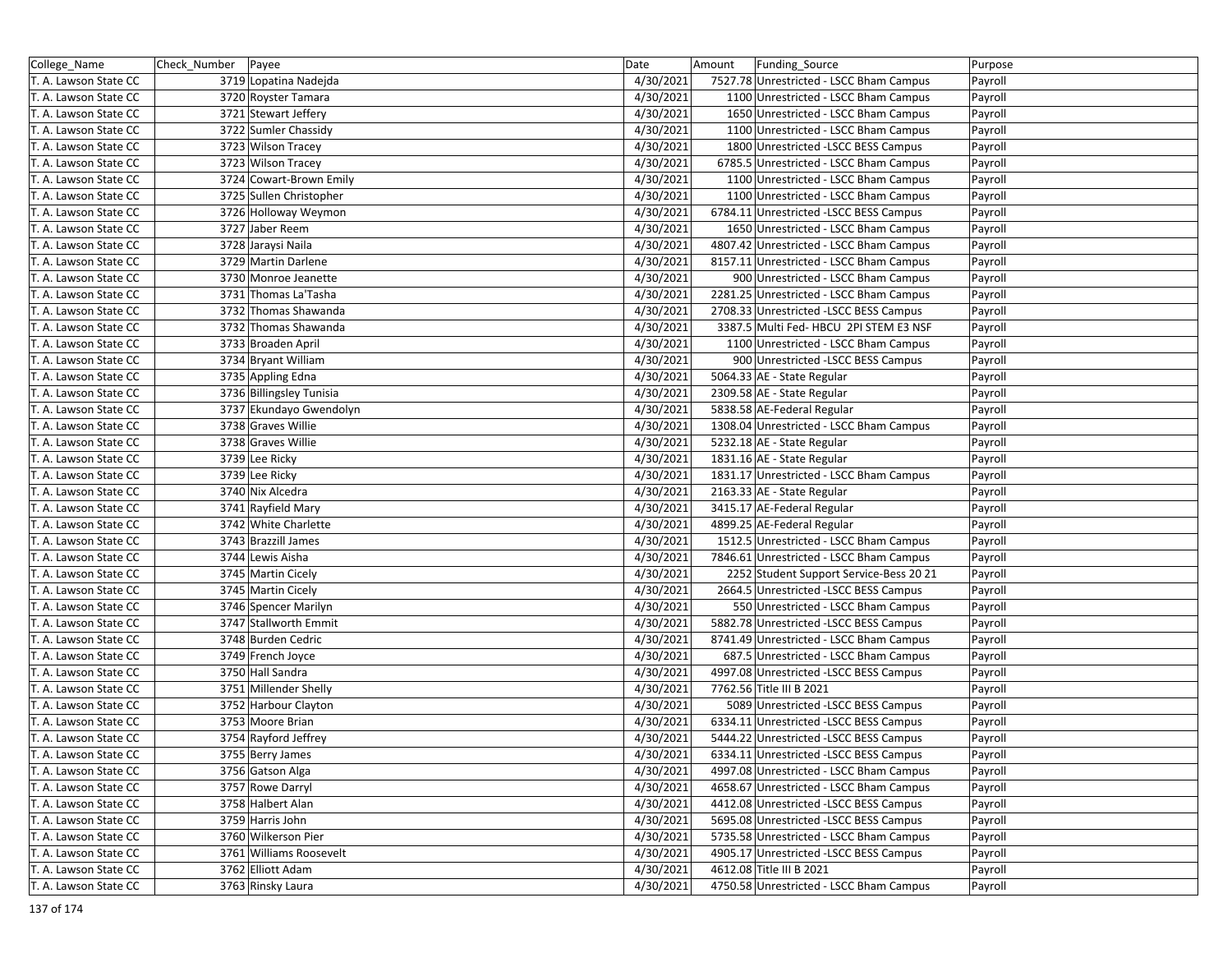| College_Name          | Check_Number   Payee     | Date      | Amount<br>Funding_Source                | Purpose |
|-----------------------|--------------------------|-----------|-----------------------------------------|---------|
| T. A. Lawson State CC | 3719 Lopatina Nadejda    | 4/30/2021 | 7527.78 Unrestricted - LSCC Bham Campus | Payroll |
| T. A. Lawson State CC | 3720 Royster Tamara      | 4/30/2021 | 1100 Unrestricted - LSCC Bham Campus    | Payroll |
| T. A. Lawson State CC | 3721 Stewart Jeffery     | 4/30/2021 | 1650 Unrestricted - LSCC Bham Campus    | Payroll |
| T. A. Lawson State CC | 3722 Sumler Chassidy     | 4/30/2021 | 1100 Unrestricted - LSCC Bham Campus    | Payroll |
| T. A. Lawson State CC | 3723 Wilson Tracey       | 4/30/2021 | 1800 Unrestricted -LSCC BESS Campus     | Payroll |
| T. A. Lawson State CC | 3723 Wilson Tracey       | 4/30/2021 | 6785.5 Unrestricted - LSCC Bham Campus  | Payroll |
| T. A. Lawson State CC | 3724 Cowart-Brown Emily  | 4/30/2021 | 1100 Unrestricted - LSCC Bham Campus    | Payroll |
| T. A. Lawson State CC | 3725 Sullen Christopher  | 4/30/2021 | 1100 Unrestricted - LSCC Bham Campus    | Payroll |
| T. A. Lawson State CC | 3726 Holloway Weymon     | 4/30/2021 | 6784.11 Unrestricted -LSCC BESS Campus  | Payroll |
| T. A. Lawson State CC | 3727 Jaber Reem          | 4/30/2021 | 1650 Unrestricted - LSCC Bham Campus    | Payroll |
| T. A. Lawson State CC | 3728 Jaraysi Naila       | 4/30/2021 | 4807.42 Unrestricted - LSCC Bham Campus | Payroll |
| T. A. Lawson State CC | 3729 Martin Darlene      | 4/30/2021 | 8157.11 Unrestricted - LSCC Bham Campus | Payroll |
| T. A. Lawson State CC | 3730 Monroe Jeanette     | 4/30/2021 | 900 Unrestricted - LSCC Bham Campus     | Payroll |
| T. A. Lawson State CC | 3731 Thomas La'Tasha     | 4/30/2021 | 2281.25 Unrestricted - LSCC Bham Campus | Payroll |
| T. A. Lawson State CC | 3732 Thomas Shawanda     | 4/30/2021 | 2708.33 Unrestricted -LSCC BESS Campus  | Payroll |
| T. A. Lawson State CC | 3732 Thomas Shawanda     | 4/30/2021 | 3387.5 Multi Fed- HBCU 2PI STEM E3 NSF  | Payroll |
| T. A. Lawson State CC | 3733 Broaden April       | 4/30/2021 | 1100 Unrestricted - LSCC Bham Campus    | Payroll |
| T. A. Lawson State CC | 3734 Bryant William      | 4/30/2021 | 900 Unrestricted -LSCC BESS Campus      | Payroll |
| T. A. Lawson State CC | 3735 Appling Edna        | 4/30/2021 | 5064.33 AE - State Regular              | Payroll |
| T. A. Lawson State CC | 3736 Billingsley Tunisia | 4/30/2021 | 2309.58 AE - State Regular              | Payroll |
| T. A. Lawson State CC | 3737 Ekundayo Gwendolyn  | 4/30/2021 | 5838.58 AE-Federal Regular              | Payroll |
| T. A. Lawson State CC | 3738 Graves Willie       | 4/30/2021 | 1308.04 Unrestricted - LSCC Bham Campus | Payroll |
| T. A. Lawson State CC | 3738 Graves Willie       | 4/30/2021 | 5232.18 AE - State Regular              | Payroll |
| T. A. Lawson State CC | 3739 Lee Ricky           | 4/30/2021 | 1831.16 AE - State Regular              | Payroll |
| T. A. Lawson State CC | 3739 Lee Ricky           | 4/30/2021 | 1831.17 Unrestricted - LSCC Bham Campus | Payroll |
| T. A. Lawson State CC | 3740 Nix Alcedra         | 4/30/2021 | 2163.33 AE - State Regular              | Payroll |
| T. A. Lawson State CC | 3741 Rayfield Mary       | 4/30/2021 | 3415.17 AE-Federal Regular              | Payroll |
| T. A. Lawson State CC | 3742 White Charlette     | 4/30/2021 | 4899.25 AE-Federal Regular              | Payroll |
| T. A. Lawson State CC | 3743 Brazzill James      | 4/30/2021 | 1512.5 Unrestricted - LSCC Bham Campus  | Payroll |
| T. A. Lawson State CC | 3744 Lewis Aisha         | 4/30/2021 | 7846.61 Unrestricted - LSCC Bham Campus | Payroll |
| T. A. Lawson State CC | 3745 Martin Cicely       | 4/30/2021 | 2252 Student Support Service-Bess 20 21 | Payroll |
| T. A. Lawson State CC | 3745 Martin Cicely       | 4/30/2021 | 2664.5 Unrestricted -LSCC BESS Campus   | Payroll |
| T. A. Lawson State CC | 3746 Spencer Marilyn     | 4/30/2021 | 550 Unrestricted - LSCC Bham Campus     | Payroll |
| T. A. Lawson State CC | 3747 Stallworth Emmit    | 4/30/2021 | 5882.78 Unrestricted -LSCC BESS Campus  | Payroll |
| T. A. Lawson State CC | 3748 Burden Cedric       | 4/30/2021 | 8741.49 Unrestricted - LSCC Bham Campus | Payroll |
| T. A. Lawson State CC | 3749 French Joyce        | 4/30/2021 | 687.5 Unrestricted - LSCC Bham Campus   | Payroll |
| T. A. Lawson State CC | 3750 Hall Sandra         | 4/30/2021 | 4997.08 Unrestricted -LSCC BESS Campus  | Payroll |
| T. A. Lawson State CC | 3751 Millender Shelly    | 4/30/2021 | 7762.56 Title III B 2021                | Payroll |
| T. A. Lawson State CC | 3752 Harbour Clayton     | 4/30/2021 | 5089 Unrestricted -LSCC BESS Campus     | Payroll |
| T. A. Lawson State CC | 3753 Moore Brian         | 4/30/2021 | 6334.11 Unrestricted -LSCC BESS Campus  | Payroll |
| T. A. Lawson State CC | 3754 Rayford Jeffrey     | 4/30/2021 | 5444.22 Unrestricted -LSCC BESS Campus  | Payroll |
| T. A. Lawson State CC | 3755 Berry James         | 4/30/2021 | 6334.11 Unrestricted -LSCC BESS Campus  | Payroll |
| T. A. Lawson State CC | 3756 Gatson Alga         | 4/30/2021 | 4997.08 Unrestricted - LSCC Bham Campus | Payroll |
| T. A. Lawson State CC | 3757 Rowe Darryl         | 4/30/2021 | 4658.67 Unrestricted - LSCC Bham Campus | Payroll |
| T. A. Lawson State CC | 3758 Halbert Alan        | 4/30/2021 | 4412.08 Unrestricted -LSCC BESS Campus  | Payroll |
| T. A. Lawson State CC | 3759 Harris John         | 4/30/2021 | 5695.08 Unrestricted -LSCC BESS Campus  | Payroll |
| T. A. Lawson State CC | 3760 Wilkerson Pier      | 4/30/2021 | 5735.58 Unrestricted - LSCC Bham Campus | Payroll |
| T. A. Lawson State CC | 3761 Williams Roosevelt  | 4/30/2021 | 4905.17 Unrestricted -LSCC BESS Campus  | Payroll |
| T. A. Lawson State CC | 3762 Elliott Adam        | 4/30/2021 | 4612.08 Title III B 2021                | Payroll |
| T. A. Lawson State CC | 3763 Rinsky Laura        | 4/30/2021 | 4750.58 Unrestricted - LSCC Bham Campus | Payroll |
|                       |                          |           |                                         |         |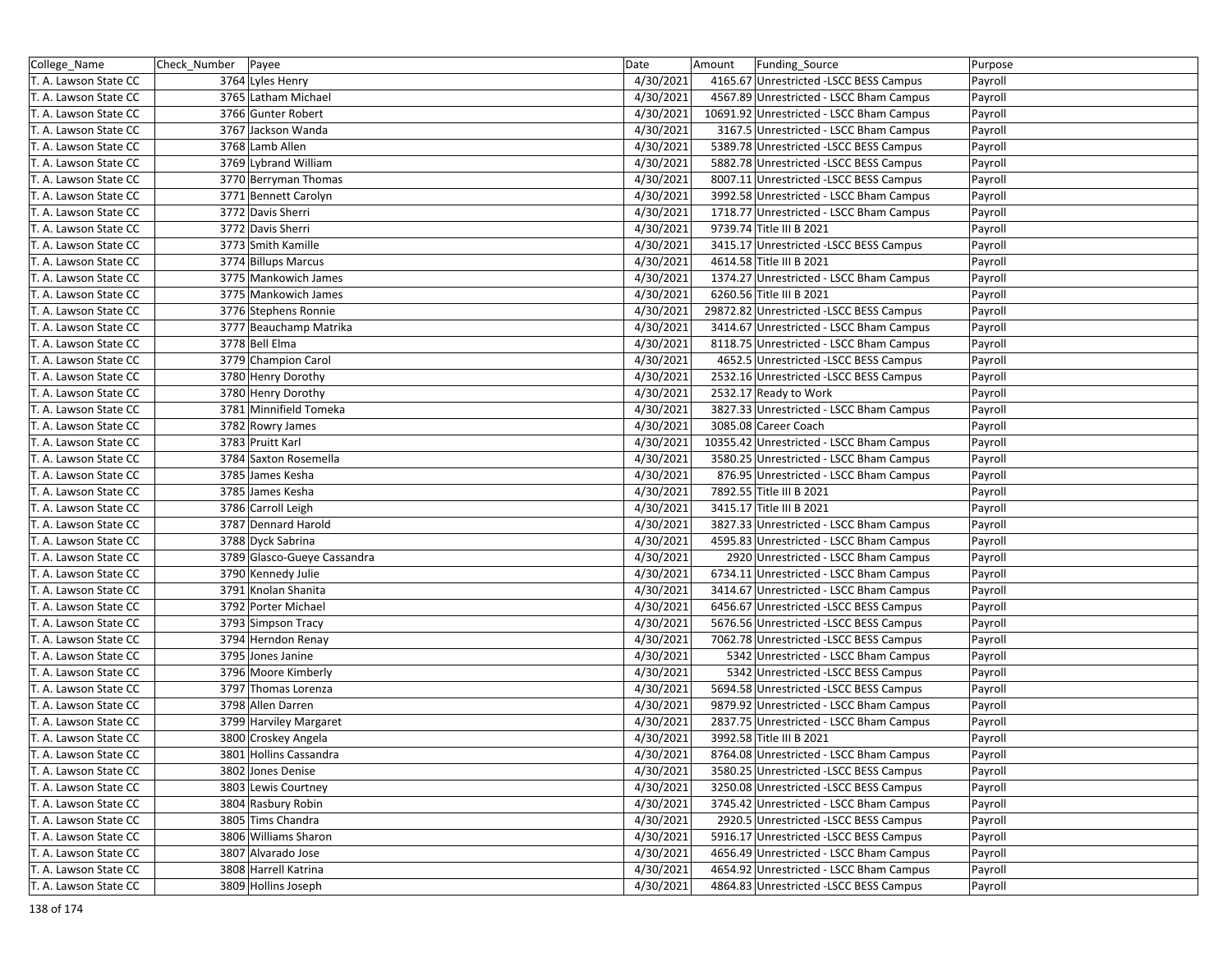| College_Name          | Check_Number   Payee        | Date      | Amount<br>Funding_Source                 | Purpose |
|-----------------------|-----------------------------|-----------|------------------------------------------|---------|
| T. A. Lawson State CC | 3764 Lyles Henry            | 4/30/2021 | 4165.67 Unrestricted -LSCC BESS Campus   | Payroll |
| T. A. Lawson State CC | 3765 Latham Michael         | 4/30/2021 | 4567.89 Unrestricted - LSCC Bham Campus  | Payroll |
| T. A. Lawson State CC | 3766 Gunter Robert          | 4/30/2021 | 10691.92 Unrestricted - LSCC Bham Campus | Payroll |
| T. A. Lawson State CC | 3767 Jackson Wanda          | 4/30/2021 | 3167.5 Unrestricted - LSCC Bham Campus   |         |
|                       | 3768 Lamb Allen             | 4/30/2021 | 5389.78 Unrestricted -LSCC BESS Campus   | Payroll |
| T. A. Lawson State CC |                             |           |                                          | Payroll |
| T. A. Lawson State CC | 3769 Lybrand William        | 4/30/2021 | 5882.78 Unrestricted -LSCC BESS Campus   | Payroll |
| T. A. Lawson State CC | 3770 Berryman Thomas        | 4/30/2021 | 8007.11 Unrestricted -LSCC BESS Campus   | Payroll |
| T. A. Lawson State CC | 3771 Bennett Carolyn        | 4/30/2021 | 3992.58 Unrestricted - LSCC Bham Campus  | Payroll |
| T. A. Lawson State CC | 3772 Davis Sherri           | 4/30/2021 | 1718.77 Unrestricted - LSCC Bham Campus  | Payroll |
| T. A. Lawson State CC | 3772 Davis Sherri           | 4/30/2021 | 9739.74 Title III B 2021                 | Payroll |
| T. A. Lawson State CC | 3773 Smith Kamille          | 4/30/2021 | 3415.17 Unrestricted -LSCC BESS Campus   | Payroll |
| T. A. Lawson State CC | 3774 Billups Marcus         | 4/30/2021 | 4614.58 Title III B 2021                 | Payroll |
| T. A. Lawson State CC | 3775 Mankowich James        | 4/30/2021 | 1374.27 Unrestricted - LSCC Bham Campus  | Payroll |
| T. A. Lawson State CC | 3775 Mankowich James        | 4/30/2021 | 6260.56 Title III B 2021                 | Payroll |
| T. A. Lawson State CC | 3776 Stephens Ronnie        | 4/30/2021 | 29872.82 Unrestricted -LSCC BESS Campus  | Payroll |
| T. A. Lawson State CC | 3777 Beauchamp Matrika      | 4/30/2021 | 3414.67 Unrestricted - LSCC Bham Campus  | Payroll |
| T. A. Lawson State CC | 3778 Bell Elma              | 4/30/2021 | 8118.75 Unrestricted - LSCC Bham Campus  | Payroll |
| T. A. Lawson State CC | 3779 Champion Carol         | 4/30/2021 | 4652.5 Unrestricted -LSCC BESS Campus    | Payroll |
| T. A. Lawson State CC | 3780 Henry Dorothy          | 4/30/2021 | 2532.16 Unrestricted -LSCC BESS Campus   | Payroll |
| T. A. Lawson State CC | 3780 Henry Dorothy          | 4/30/2021 | 2532.17 Ready to Work                    | Payroll |
| T. A. Lawson State CC | 3781 Minnifield Tomeka      | 4/30/2021 | 3827.33 Unrestricted - LSCC Bham Campus  | Payroll |
| T. A. Lawson State CC | 3782 Rowry James            | 4/30/2021 | 3085.08 Career Coach                     | Payroll |
| T. A. Lawson State CC | 3783 Pruitt Karl            | 4/30/2021 | 10355.42 Unrestricted - LSCC Bham Campus | Payroll |
| T. A. Lawson State CC | 3784 Saxton Rosemella       | 4/30/2021 | 3580.25 Unrestricted - LSCC Bham Campus  | Payroll |
| T. A. Lawson State CC | 3785 James Kesha            | 4/30/2021 | 876.95 Unrestricted - LSCC Bham Campus   | Payroll |
| T. A. Lawson State CC | 3785 James Kesha            | 4/30/2021 | 7892.55 Title III B 2021                 | Payroll |
| T. A. Lawson State CC | 3786 Carroll Leigh          | 4/30/2021 | 3415.17 Title III B 2021                 | Payroll |
| T. A. Lawson State CC | 3787 Dennard Harold         | 4/30/2021 | 3827.33 Unrestricted - LSCC Bham Campus  | Payroll |
| T. A. Lawson State CC | 3788 Dyck Sabrina           | 4/30/2021 | 4595.83 Unrestricted - LSCC Bham Campus  | Payroll |
| T. A. Lawson State CC | 3789 Glasco-Gueye Cassandra | 4/30/2021 | 2920 Unrestricted - LSCC Bham Campus     | Payroll |
| T. A. Lawson State CC | 3790 Kennedy Julie          | 4/30/2021 | 6734.11 Unrestricted - LSCC Bham Campus  | Payroll |
| T. A. Lawson State CC | 3791 Knolan Shanita         | 4/30/2021 | 3414.67 Unrestricted - LSCC Bham Campus  | Payroll |
| T. A. Lawson State CC | 3792 Porter Michael         | 4/30/2021 | 6456.67 Unrestricted -LSCC BESS Campus   | Payroll |
| T. A. Lawson State CC | 3793 Simpson Tracy          | 4/30/2021 | 5676.56 Unrestricted -LSCC BESS Campus   | Payroll |
| T. A. Lawson State CC | 3794 Herndon Renay          | 4/30/2021 | 7062.78 Unrestricted -LSCC BESS Campus   | Payroll |
| T. A. Lawson State CC | 3795 Jones Janine           | 4/30/2021 | 5342 Unrestricted - LSCC Bham Campus     | Payroll |
| T. A. Lawson State CC | 3796 Moore Kimberly         | 4/30/2021 | 5342 Unrestricted -LSCC BESS Campus      | Payroll |
| T. A. Lawson State CC | 3797 Thomas Lorenza         | 4/30/2021 | 5694.58 Unrestricted -LSCC BESS Campus   | Payroll |
| T. A. Lawson State CC | 3798 Allen Darren           | 4/30/2021 | 9879.92 Unrestricted - LSCC Bham Campus  | Payroll |
| T. A. Lawson State CC | 3799 Harviley Margaret      | 4/30/2021 | 2837.75 Unrestricted - LSCC Bham Campus  | Payroll |
| T. A. Lawson State CC | 3800 Croskey Angela         | 4/30/2021 | 3992.58 Title III B 2021                 | Payroll |
| T. A. Lawson State CC | 3801 Hollins Cassandra      | 4/30/2021 | 8764.08 Unrestricted - LSCC Bham Campus  |         |
|                       |                             |           |                                          | Payroll |
| T. A. Lawson State CC | 3802 Jones Denise           | 4/30/2021 | 3580.25 Unrestricted -LSCC BESS Campus   | Payroll |
| T. A. Lawson State CC | 3803 Lewis Courtney         | 4/30/2021 | 3250.08 Unrestricted -LSCC BESS Campus   | Payroll |
| T. A. Lawson State CC | 3804 Rasbury Robin          | 4/30/2021 | 3745.42 Unrestricted - LSCC Bham Campus  | Payroll |
| T. A. Lawson State CC | 3805 Tims Chandra           | 4/30/2021 | 2920.5 Unrestricted -LSCC BESS Campus    | Payroll |
| T. A. Lawson State CC | 3806 Williams Sharon        | 4/30/2021 | 5916.17 Unrestricted -LSCC BESS Campus   | Payroll |
| T. A. Lawson State CC | 3807 Alvarado Jose          | 4/30/2021 | 4656.49 Unrestricted - LSCC Bham Campus  | Payroll |
| T. A. Lawson State CC | 3808 Harrell Katrina        | 4/30/2021 | 4654.92 Unrestricted - LSCC Bham Campus  | Payroll |
| T. A. Lawson State CC | 3809 Hollins Joseph         | 4/30/2021 | 4864.83 Unrestricted -LSCC BESS Campus   | Payroll |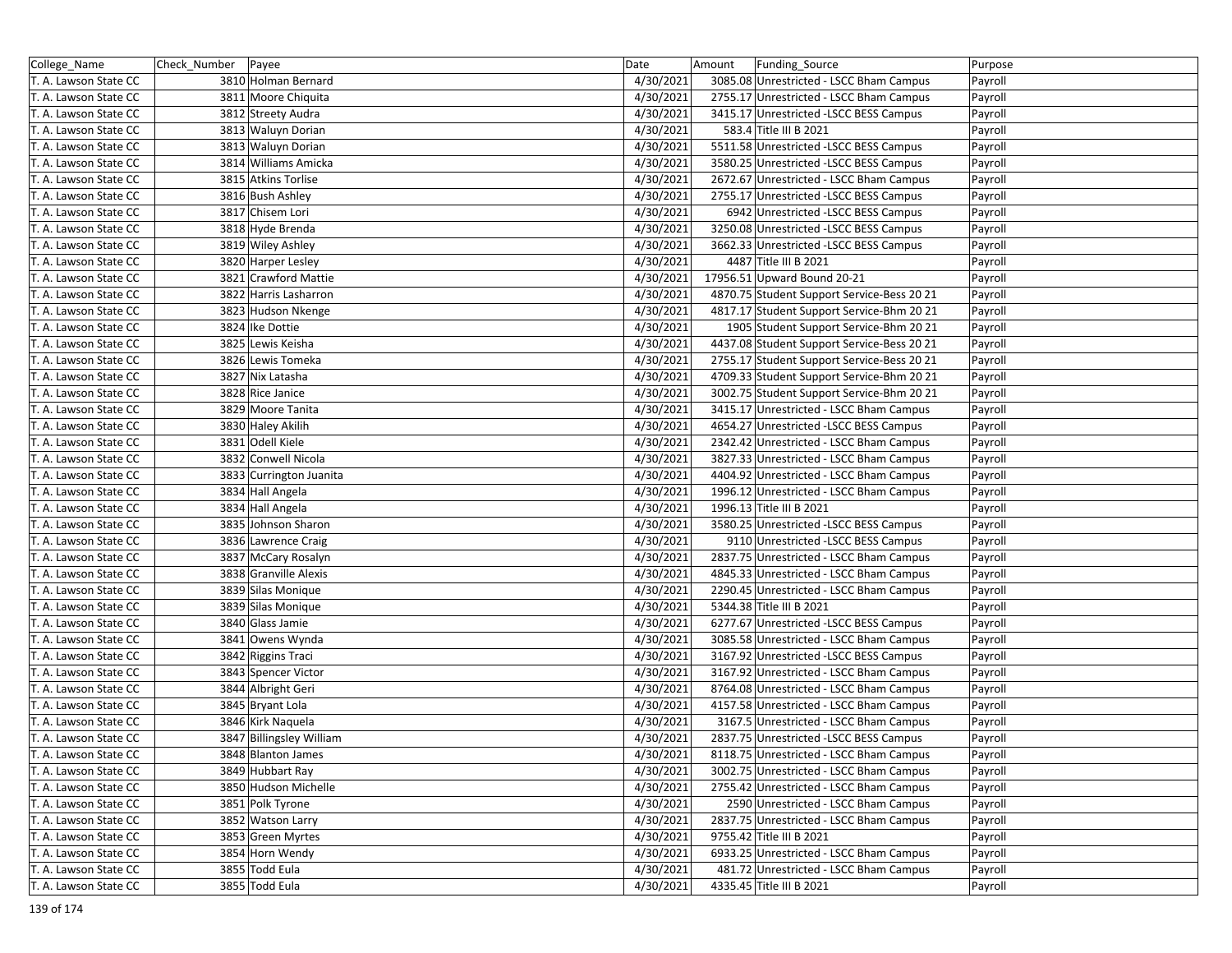| College_Name          | Check_Number   Payee |                          | Date      | Amount | Funding Source                             | Purpose |
|-----------------------|----------------------|--------------------------|-----------|--------|--------------------------------------------|---------|
| T. A. Lawson State CC |                      | 3810 Holman Bernard      | 4/30/2021 |        | 3085.08 Unrestricted - LSCC Bham Campus    | Payroll |
| T. A. Lawson State CC |                      | 3811 Moore Chiquita      | 4/30/2021 |        | 2755.17 Unrestricted - LSCC Bham Campus    | Payroll |
| T. A. Lawson State CC |                      | 3812 Streety Audra       | 4/30/2021 |        | 3415.17 Unrestricted -LSCC BESS Campus     | Payroll |
| T. A. Lawson State CC |                      | 3813 Waluyn Dorian       | 4/30/2021 |        | 583.4 Title III B 2021                     | Payroll |
| T. A. Lawson State CC |                      | 3813 Waluyn Dorian       | 4/30/2021 |        | 5511.58 Unrestricted -LSCC BESS Campus     | Payroll |
| T. A. Lawson State CC |                      | 3814 Williams Amicka     | 4/30/2021 |        | 3580.25 Unrestricted -LSCC BESS Campus     | Payroll |
| T. A. Lawson State CC |                      | 3815 Atkins Torlise      | 4/30/2021 |        | 2672.67 Unrestricted - LSCC Bham Campus    | Payroll |
| T. A. Lawson State CC |                      | 3816 Bush Ashley         | 4/30/2021 |        | 2755.17 Unrestricted -LSCC BESS Campus     | Payroll |
| T. A. Lawson State CC |                      | 3817 Chisem Lori         | 4/30/2021 |        | 6942 Unrestricted -LSCC BESS Campus        | Payroll |
| T. A. Lawson State CC |                      | 3818 Hyde Brenda         | 4/30/2021 |        | 3250.08 Unrestricted -LSCC BESS Campus     | Payroll |
| T. A. Lawson State CC |                      | 3819 Wiley Ashley        | 4/30/2021 |        | 3662.33 Unrestricted -LSCC BESS Campus     | Payroll |
| T. A. Lawson State CC |                      | 3820 Harper Lesley       | 4/30/2021 |        | 4487 Title III B 2021                      | Payroll |
| T. A. Lawson State CC |                      | 3821 Crawford Mattie     | 4/30/2021 |        | 17956.51 Upward Bound 20-21                | Payroll |
| T. A. Lawson State CC |                      | 3822 Harris Lasharron    | 4/30/2021 |        | 4870.75 Student Support Service-Bess 20 21 | Payroll |
| T. A. Lawson State CC |                      | 3823 Hudson Nkenge       | 4/30/2021 |        | 4817.17 Student Support Service-Bhm 20 21  | Payroll |
| T. A. Lawson State CC |                      | 3824 Ike Dottie          | 4/30/2021 |        | 1905 Student Support Service-Bhm 20 21     | Payroll |
| T. A. Lawson State CC |                      | 3825 Lewis Keisha        | 4/30/2021 |        | 4437.08 Student Support Service-Bess 20 21 | Payroll |
| T. A. Lawson State CC |                      | 3826 Lewis Tomeka        | 4/30/2021 |        | 2755.17 Student Support Service-Bess 20 21 | Payroll |
| T. A. Lawson State CC |                      | 3827 Nix Latasha         | 4/30/2021 |        | 4709.33 Student Support Service-Bhm 20 21  | Payroll |
| T. A. Lawson State CC |                      | 3828 Rice Janice         | 4/30/2021 |        | 3002.75 Student Support Service-Bhm 20 21  | Payroll |
| T. A. Lawson State CC |                      | 3829 Moore Tanita        | 4/30/2021 |        | 3415.17 Unrestricted - LSCC Bham Campus    | Payroll |
| T. A. Lawson State CC |                      | 3830 Haley Akilih        | 4/30/2021 |        | 4654.27 Unrestricted -LSCC BESS Campus     | Payroll |
| T. A. Lawson State CC |                      | 3831 Odell Kiele         | 4/30/2021 |        | 2342.42 Unrestricted - LSCC Bham Campus    | Payroll |
| T. A. Lawson State CC |                      | 3832 Conwell Nicola      | 4/30/2021 |        | 3827.33 Unrestricted - LSCC Bham Campus    | Payroll |
| T. A. Lawson State CC |                      | 3833 Currington Juanita  | 4/30/2021 |        | 4404.92 Unrestricted - LSCC Bham Campus    | Payroll |
| T. A. Lawson State CC |                      | 3834 Hall Angela         | 4/30/2021 |        | 1996.12 Unrestricted - LSCC Bham Campus    | Payroll |
| T. A. Lawson State CC |                      | 3834 Hall Angela         | 4/30/2021 |        | 1996.13 Title III B 2021                   | Payroll |
| T. A. Lawson State CC |                      | 3835 Johnson Sharon      | 4/30/2021 |        | 3580.25 Unrestricted -LSCC BESS Campus     | Payroll |
| T. A. Lawson State CC |                      | 3836 Lawrence Craig      | 4/30/2021 |        | 9110 Unrestricted -LSCC BESS Campus        | Payroll |
| T. A. Lawson State CC |                      | 3837 McCary Rosalyn      | 4/30/2021 |        | 2837.75 Unrestricted - LSCC Bham Campus    | Payroll |
| T. A. Lawson State CC |                      | 3838 Granville Alexis    | 4/30/2021 |        | 4845.33 Unrestricted - LSCC Bham Campus    | Payroll |
| T. A. Lawson State CC |                      | 3839 Silas Monique       | 4/30/2021 |        | 2290.45 Unrestricted - LSCC Bham Campus    | Payroll |
| T. A. Lawson State CC |                      | 3839 Silas Monique       | 4/30/2021 |        | 5344.38 Title III B 2021                   | Payroll |
| T. A. Lawson State CC |                      | 3840 Glass Jamie         | 4/30/2021 |        | 6277.67 Unrestricted -LSCC BESS Campus     | Payroll |
| T. A. Lawson State CC |                      | 3841 Owens Wynda         | 4/30/2021 |        | 3085.58 Unrestricted - LSCC Bham Campus    | Payroll |
| T. A. Lawson State CC |                      | 3842 Riggins Traci       | 4/30/2021 |        | 3167.92 Unrestricted -LSCC BESS Campus     | Payroll |
| T. A. Lawson State CC |                      | 3843 Spencer Victor      | 4/30/2021 |        | 3167.92 Unrestricted - LSCC Bham Campus    | Payroll |
| T. A. Lawson State CC |                      | 3844 Albright Geri       | 4/30/2021 |        | 8764.08 Unrestricted - LSCC Bham Campus    | Payroll |
| T. A. Lawson State CC |                      | 3845 Bryant Lola         | 4/30/2021 |        | 4157.58 Unrestricted - LSCC Bham Campus    | Payroll |
| T. A. Lawson State CC |                      | 3846 Kirk Naquela        | 4/30/2021 |        | 3167.5 Unrestricted - LSCC Bham Campus     | Payroll |
| T. A. Lawson State CC |                      | 3847 Billingsley William | 4/30/2021 |        | 2837.75 Unrestricted - LSCC BESS Campus    | Payroll |
| T. A. Lawson State CC |                      | 3848 Blanton James       | 4/30/2021 |        | 8118.75 Unrestricted - LSCC Bham Campus    | Payroll |
| T. A. Lawson State CC |                      | 3849 Hubbart Ray         | 4/30/2021 |        | 3002.75 Unrestricted - LSCC Bham Campus    | Payroll |
| T. A. Lawson State CC |                      | 3850 Hudson Michelle     | 4/30/2021 |        | 2755.42 Unrestricted - LSCC Bham Campus    | Payroll |
| T. A. Lawson State CC |                      | 3851 Polk Tyrone         | 4/30/2021 |        | 2590 Unrestricted - LSCC Bham Campus       | Payroll |
| T. A. Lawson State CC |                      | 3852 Watson Larry        | 4/30/2021 |        | 2837.75 Unrestricted - LSCC Bham Campus    | Payroll |
| T. A. Lawson State CC |                      | 3853 Green Myrtes        | 4/30/2021 |        | 9755.42 Title III B 2021                   | Payroll |
| T. A. Lawson State CC |                      | 3854 Horn Wendy          | 4/30/2021 |        | 6933.25 Unrestricted - LSCC Bham Campus    | Payroll |
| T. A. Lawson State CC |                      | 3855 Todd Eula           | 4/30/2021 |        | 481.72 Unrestricted - LSCC Bham Campus     | Payroll |
| T. A. Lawson State CC |                      | 3855 Todd Eula           | 4/30/2021 |        | 4335.45 Title III B 2021                   | Payroll |
|                       |                      |                          |           |        |                                            |         |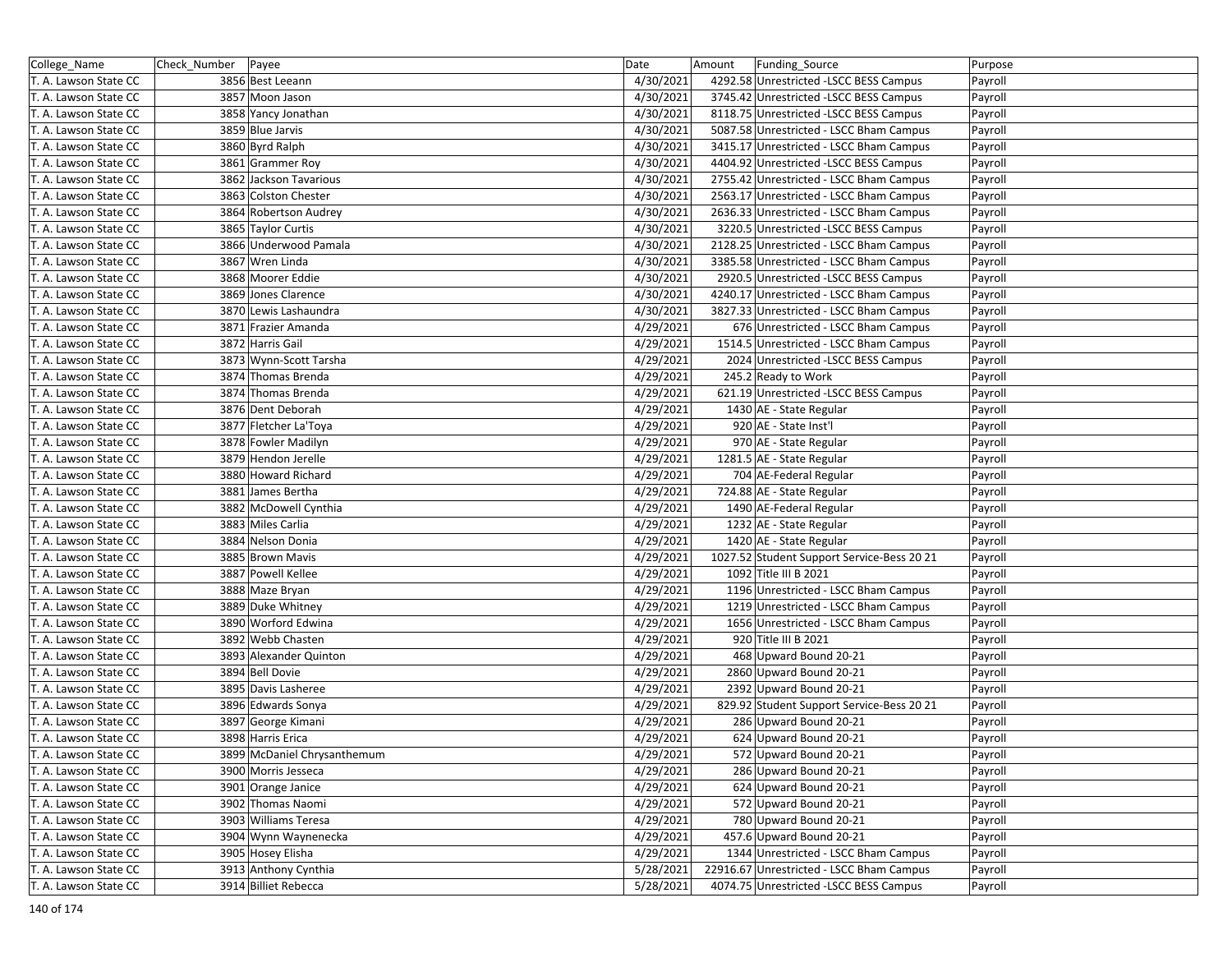| College_Name          | Check_Number   Payee |                             | Date      | Amount | Funding_Source                             | Purpose |
|-----------------------|----------------------|-----------------------------|-----------|--------|--------------------------------------------|---------|
| T. A. Lawson State CC |                      | 3856 Best Leeann            | 4/30/2021 |        | 4292.58 Unrestricted -LSCC BESS Campus     | Payroll |
| T. A. Lawson State CC |                      | 3857 Moon Jason             | 4/30/2021 |        | 3745.42 Unrestricted -LSCC BESS Campus     | Payroll |
| T. A. Lawson State CC |                      | 3858 Yancy Jonathan         | 4/30/2021 |        | 8118.75 Unrestricted -LSCC BESS Campus     | Payroll |
| T. A. Lawson State CC |                      | 3859 Blue Jarvis            | 4/30/2021 |        | 5087.58 Unrestricted - LSCC Bham Campus    | Payroll |
| T. A. Lawson State CC |                      | 3860 Byrd Ralph             | 4/30/2021 |        | 3415.17 Unrestricted - LSCC Bham Campus    | Payroll |
| T. A. Lawson State CC |                      | 3861 Grammer Roy            | 4/30/2021 |        | 4404.92 Unrestricted -LSCC BESS Campus     | Payroll |
| T. A. Lawson State CC |                      | 3862 Jackson Tavarious      | 4/30/2021 |        | 2755.42 Unrestricted - LSCC Bham Campus    | Payroll |
| T. A. Lawson State CC |                      | 3863 Colston Chester        | 4/30/2021 |        | 2563.17 Unrestricted - LSCC Bham Campus    | Payroll |
| T. A. Lawson State CC |                      | 3864 Robertson Audrey       | 4/30/2021 |        | 2636.33 Unrestricted - LSCC Bham Campus    | Payroll |
| T. A. Lawson State CC |                      | 3865 Taylor Curtis          | 4/30/2021 |        | 3220.5 Unrestricted -LSCC BESS Campus      | Payroll |
| T. A. Lawson State CC |                      | 3866 Underwood Pamala       | 4/30/2021 |        | 2128.25 Unrestricted - LSCC Bham Campus    | Payroll |
| T. A. Lawson State CC |                      | 3867 Wren Linda             | 4/30/2021 |        | 3385.58 Unrestricted - LSCC Bham Campus    | Payroll |
| T. A. Lawson State CC |                      | 3868 Moorer Eddie           | 4/30/2021 |        | 2920.5 Unrestricted -LSCC BESS Campus      | Payroll |
| T. A. Lawson State CC |                      | 3869 Jones Clarence         | 4/30/2021 |        | 4240.17 Unrestricted - LSCC Bham Campus    | Payroll |
| T. A. Lawson State CC |                      | 3870 Lewis Lashaundra       | 4/30/2021 |        | 3827.33 Unrestricted - LSCC Bham Campus    | Payroll |
| T. A. Lawson State CC |                      | 3871 Frazier Amanda         | 4/29/2021 |        | 676 Unrestricted - LSCC Bham Campus        | Payroll |
| T. A. Lawson State CC |                      | 3872 Harris Gail            | 4/29/2021 |        | 1514.5 Unrestricted - LSCC Bham Campus     | Payroll |
| T. A. Lawson State CC |                      | 3873 Wynn-Scott Tarsha      | 4/29/2021 |        | 2024 Unrestricted -LSCC BESS Campus        | Payroll |
| T. A. Lawson State CC |                      | 3874 Thomas Brenda          | 4/29/2021 |        | 245.2 Ready to Work                        | Payroll |
| T. A. Lawson State CC |                      | 3874 Thomas Brenda          | 4/29/2021 |        | 621.19 Unrestricted -LSCC BESS Campus      | Payroll |
| T. A. Lawson State CC |                      | 3876 Dent Deborah           | 4/29/2021 |        | 1430 AE - State Regular                    | Payroll |
| T. A. Lawson State CC |                      | 3877 Fletcher La'Toya       | 4/29/2021 |        | 920 AE - State Inst'l                      | Payroll |
| T. A. Lawson State CC |                      | 3878 Fowler Madilyn         | 4/29/2021 |        | 970 AE - State Regular                     | Payroll |
| T. A. Lawson State CC |                      | 3879 Hendon Jerelle         | 4/29/2021 |        | 1281.5 AE - State Regular                  | Payroll |
| T. A. Lawson State CC |                      | 3880 Howard Richard         | 4/29/2021 |        | 704 AE-Federal Regular                     | Payroll |
| T. A. Lawson State CC |                      | 3881 James Bertha           | 4/29/2021 |        | 724.88 AE - State Regular                  | Payroll |
| T. A. Lawson State CC |                      | 3882 McDowell Cynthia       | 4/29/2021 |        | 1490 AE-Federal Regular                    | Payroll |
| T. A. Lawson State CC |                      | 3883 Miles Carlia           | 4/29/2021 |        | 1232 AE - State Regular                    | Payroll |
| T. A. Lawson State CC |                      | 3884 Nelson Donia           | 4/29/2021 |        | 1420 AE - State Regular                    | Payroll |
| T. A. Lawson State CC |                      | 3885 Brown Mavis            | 4/29/2021 |        | 1027.52 Student Support Service-Bess 20 21 | Payroll |
| T. A. Lawson State CC |                      | 3887 Powell Kellee          | 4/29/2021 |        | 1092 Title III B 2021                      | Payroll |
| T. A. Lawson State CC |                      | 3888 Maze Bryan             | 4/29/2021 |        | 1196 Unrestricted - LSCC Bham Campus       | Payroll |
| T. A. Lawson State CC |                      | 3889 Duke Whitney           | 4/29/2021 |        | 1219 Unrestricted - LSCC Bham Campus       | Payroll |
| T. A. Lawson State CC |                      | 3890 Worford Edwina         | 4/29/2021 |        | 1656 Unrestricted - LSCC Bham Campus       | Payroll |
| T. A. Lawson State CC |                      | 3892 Webb Chasten           | 4/29/2021 |        | 920 Title III B 2021                       | Payroll |
| T. A. Lawson State CC |                      | 3893 Alexander Quinton      | 4/29/2021 |        | 468 Upward Bound 20-21                     | Payroll |
| T. A. Lawson State CC |                      | 3894 Bell Dovie             | 4/29/2021 |        | 2860 Upward Bound 20-21                    | Payroll |
| T. A. Lawson State CC |                      | 3895 Davis Lasheree         | 4/29/2021 |        | 2392 Upward Bound 20-21                    | Payroll |
| T. A. Lawson State CC |                      | 3896 Edwards Sonya          | 4/29/2021 |        | 829.92 Student Support Service-Bess 20 21  | Payroll |
| T. A. Lawson State CC |                      | 3897 George Kimani          | 4/29/2021 |        | 286 Upward Bound 20-21                     | Payroll |
| T. A. Lawson State CC |                      | 3898 Harris Erica           | 4/29/2021 |        | 624 Upward Bound 20-21                     | Payroll |
| T. A. Lawson State CC |                      | 3899 McDaniel Chrysanthemum | 4/29/2021 |        | 572 Upward Bound 20-21                     | Payroll |
| T. A. Lawson State CC |                      | 3900 Morris Jesseca         | 4/29/2021 |        | 286 Upward Bound 20-21                     | Payroll |
| T. A. Lawson State CC |                      | 3901 Orange Janice          | 4/29/2021 |        | 624 Upward Bound 20-21                     | Payroll |
| T. A. Lawson State CC |                      | 3902 Thomas Naomi           | 4/29/2021 |        | 572 Upward Bound 20-21                     | Payroll |
| T. A. Lawson State CC |                      | 3903 Williams Teresa        | 4/29/2021 |        | 780 Upward Bound 20-21                     | Payroll |
| T. A. Lawson State CC |                      | 3904 Wynn Waynenecka        | 4/29/2021 |        | 457.6 Upward Bound 20-21                   | Payroll |
| T. A. Lawson State CC |                      | 3905 Hosey Elisha           | 4/29/2021 |        | 1344 Unrestricted - LSCC Bham Campus       | Payroll |
| T. A. Lawson State CC |                      | 3913 Anthony Cynthia        | 5/28/2021 |        | 22916.67 Unrestricted - LSCC Bham Campus   | Payroll |
| T. A. Lawson State CC |                      | 3914 Billiet Rebecca        | 5/28/2021 |        | 4074.75 Unrestricted -LSCC BESS Campus     | Payroll |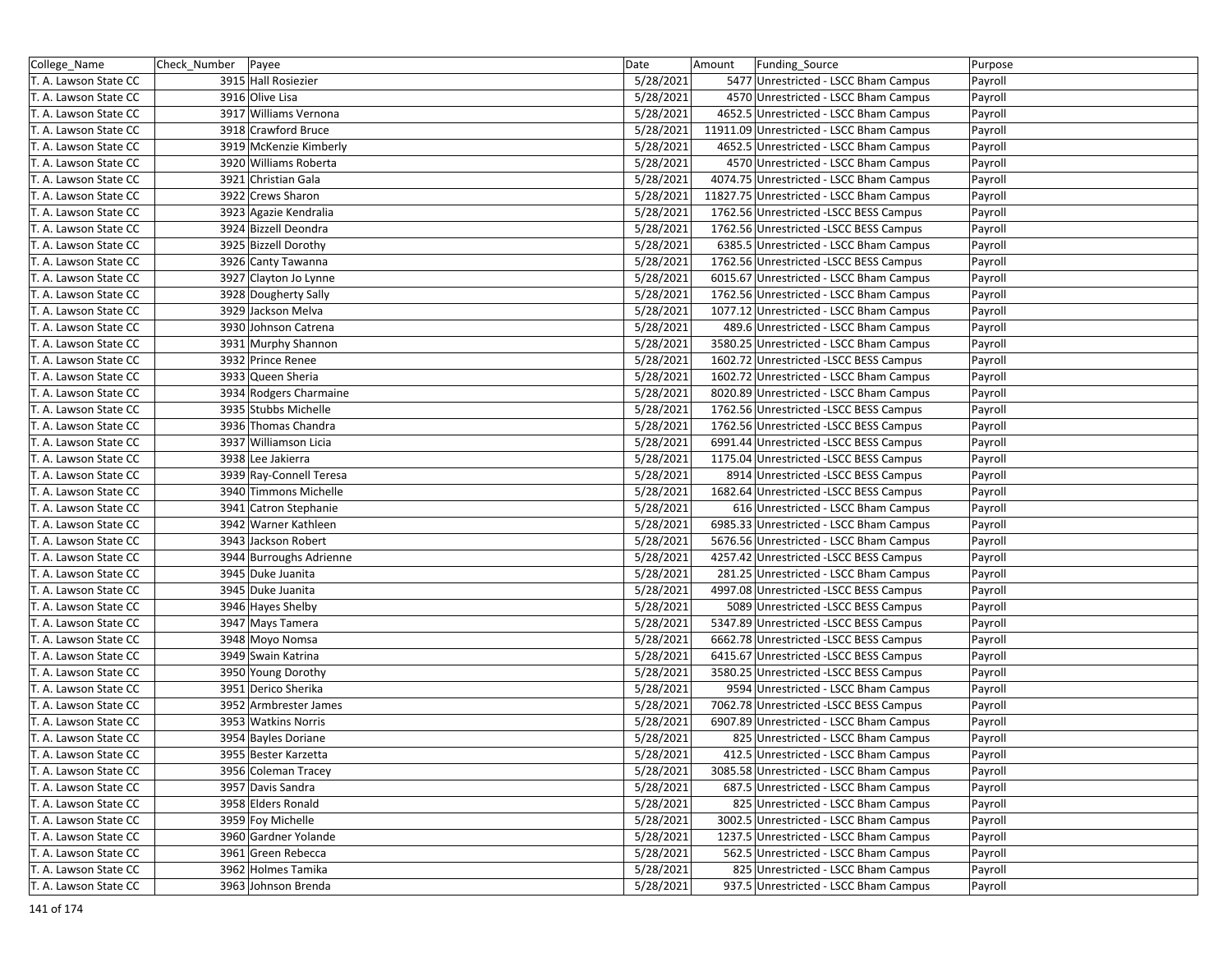| College_Name          | Check_Number   Payee |                         | Date      | Amount | Funding_Source                           | Purpose |
|-----------------------|----------------------|-------------------------|-----------|--------|------------------------------------------|---------|
| T. A. Lawson State CC |                      | 3915 Hall Rosiezier     | 5/28/2021 |        | 5477 Unrestricted - LSCC Bham Campus     | Payroll |
| T. A. Lawson State CC |                      | 3916 Olive Lisa         | 5/28/2021 |        | 4570 Unrestricted - LSCC Bham Campus     | Payroll |
| T. A. Lawson State CC |                      | 3917 Williams Vernona   | 5/28/2021 |        | 4652.5 Unrestricted - LSCC Bham Campus   | Payroll |
| T. A. Lawson State CC |                      | 3918 Crawford Bruce     | 5/28/2021 |        | 11911.09 Unrestricted - LSCC Bham Campus | Payroll |
| T. A. Lawson State CC |                      | 3919 McKenzie Kimberly  | 5/28/2021 |        | 4652.5 Unrestricted - LSCC Bham Campus   | Payroll |
| T. A. Lawson State CC |                      | 3920 Williams Roberta   | 5/28/2021 |        | 4570 Unrestricted - LSCC Bham Campus     | Payroll |
| T. A. Lawson State CC |                      | 3921 Christian Gala     | 5/28/2021 |        | 4074.75 Unrestricted - LSCC Bham Campus  | Payroll |
| T. A. Lawson State CC |                      | 3922 Crews Sharon       | 5/28/2021 |        | 11827.75 Unrestricted - LSCC Bham Campus | Payroll |
| T. A. Lawson State CC |                      | 3923 Agazie Kendralia   | 5/28/2021 |        | 1762.56 Unrestricted -LSCC BESS Campus   | Payroll |
| T. A. Lawson State CC |                      | 3924 Bizzell Deondra    | 5/28/2021 |        | 1762.56 Unrestricted -LSCC BESS Campus   | Payroll |
| T. A. Lawson State CC |                      | 3925 Bizzell Dorothy    | 5/28/2021 |        | 6385.5 Unrestricted - LSCC Bham Campus   | Payroll |
| T. A. Lawson State CC |                      | 3926 Canty Tawanna      | 5/28/2021 |        | 1762.56 Unrestricted -LSCC BESS Campus   | Payroll |
| T. A. Lawson State CC |                      | 3927 Clayton Jo Lynne   | 5/28/2021 |        | 6015.67 Unrestricted - LSCC Bham Campus  | Payroll |
| T. A. Lawson State CC |                      | 3928 Dougherty Sally    | 5/28/2021 |        | 1762.56 Unrestricted - LSCC Bham Campus  | Payroll |
| T. A. Lawson State CC |                      | 3929 Jackson Melva      | 5/28/2021 |        | 1077.12 Unrestricted - LSCC Bham Campus  | Payroll |
| T. A. Lawson State CC |                      | 3930 Johnson Catrena    | 5/28/2021 |        | 489.6 Unrestricted - LSCC Bham Campus    | Payroll |
| T. A. Lawson State CC |                      | 3931 Murphy Shannon     | 5/28/2021 |        | 3580.25 Unrestricted - LSCC Bham Campus  | Payroll |
| T. A. Lawson State CC |                      | 3932 Prince Renee       | 5/28/2021 |        | 1602.72 Unrestricted -LSCC BESS Campus   | Payroll |
| T. A. Lawson State CC |                      | 3933 Queen Sheria       | 5/28/2021 |        | 1602.72 Unrestricted - LSCC Bham Campus  | Payroll |
| T. A. Lawson State CC |                      | 3934 Rodgers Charmaine  | 5/28/2021 |        | 8020.89 Unrestricted - LSCC Bham Campus  | Payroll |
| T. A. Lawson State CC |                      | 3935 Stubbs Michelle    | 5/28/2021 |        | 1762.56 Unrestricted -LSCC BESS Campus   | Payroll |
| T. A. Lawson State CC |                      | 3936 Thomas Chandra     | 5/28/2021 |        | 1762.56 Unrestricted -LSCC BESS Campus   | Payroll |
| T. A. Lawson State CC |                      | 3937 Williamson Licia   | 5/28/2021 |        | 6991.44 Unrestricted -LSCC BESS Campus   | Payroll |
| T. A. Lawson State CC |                      | 3938 Lee Jakierra       | 5/28/2021 |        | 1175.04 Unrestricted -LSCC BESS Campus   | Payroll |
| T. A. Lawson State CC |                      | 3939 Ray-Connell Teresa | 5/28/2021 |        | 8914 Unrestricted -LSCC BESS Campus      | Payroll |
| T. A. Lawson State CC |                      | 3940 Timmons Michelle   | 5/28/2021 |        | 1682.64 Unrestricted -LSCC BESS Campus   | Payroll |
| T. A. Lawson State CC |                      | 3941 Catron Stephanie   | 5/28/2021 |        | 616 Unrestricted - LSCC Bham Campus      | Payroll |
| T. A. Lawson State CC |                      | 3942 Warner Kathleen    | 5/28/2021 |        | 6985.33 Unrestricted - LSCC Bham Campus  | Payroll |
| T. A. Lawson State CC |                      | 3943 Jackson Robert     | 5/28/2021 |        | 5676.56 Unrestricted - LSCC Bham Campus  | Payroll |
| T. A. Lawson State CC |                      | 3944 Burroughs Adrienne | 5/28/2021 |        | 4257.42 Unrestricted - LSCC BESS Campus  | Payroll |
| T. A. Lawson State CC |                      | 3945 Duke Juanita       | 5/28/2021 |        | 281.25 Unrestricted - LSCC Bham Campus   | Payroll |
| T. A. Lawson State CC |                      | 3945 Duke Juanita       | 5/28/2021 |        | 4997.08 Unrestricted -LSCC BESS Campus   | Payroll |
| T. A. Lawson State CC |                      | 3946 Hayes Shelby       | 5/28/2021 |        | 5089 Unrestricted -LSCC BESS Campus      | Payroll |
| T. A. Lawson State CC |                      | 3947 Mays Tamera        | 5/28/2021 |        | 5347.89 Unrestricted -LSCC BESS Campus   | Payroll |
| T. A. Lawson State CC |                      | 3948 Moyo Nomsa         | 5/28/2021 |        | 6662.78 Unrestricted -LSCC BESS Campus   | Payroll |
| T. A. Lawson State CC |                      | 3949 Swain Katrina      | 5/28/2021 |        | 6415.67 Unrestricted -LSCC BESS Campus   | Payroll |
| T. A. Lawson State CC |                      | 3950 Young Dorothy      | 5/28/2021 |        | 3580.25 Unrestricted - LSCC BESS Campus  | Payroll |
| T. A. Lawson State CC |                      | 3951 Derico Sherika     | 5/28/2021 |        | 9594 Unrestricted - LSCC Bham Campus     | Payroll |
| T. A. Lawson State CC |                      | 3952 Armbrester James   | 5/28/2021 |        | 7062.78 Unrestricted -LSCC BESS Campus   | Payroll |
| T. A. Lawson State CC |                      | 3953 Watkins Norris     | 5/28/2021 |        | 6907.89 Unrestricted - LSCC Bham Campus  | Payroll |
| T. A. Lawson State CC |                      | 3954 Bayles Doriane     | 5/28/2021 |        | 825 Unrestricted - LSCC Bham Campus      | Payroll |
| T. A. Lawson State CC |                      | 3955 Bester Karzetta    | 5/28/2021 |        | 412.5 Unrestricted - LSCC Bham Campus    | Payroll |
| T. A. Lawson State CC |                      | 3956 Coleman Tracey     | 5/28/2021 |        | 3085.58 Unrestricted - LSCC Bham Campus  | Payroll |
| T. A. Lawson State CC |                      | 3957 Davis Sandra       | 5/28/2021 |        | 687.5 Unrestricted - LSCC Bham Campus    | Payroll |
| T. A. Lawson State CC |                      | 3958 Elders Ronald      | 5/28/2021 |        | 825 Unrestricted - LSCC Bham Campus      | Payroll |
| T. A. Lawson State CC |                      | 3959 Foy Michelle       | 5/28/2021 |        | 3002.5 Unrestricted - LSCC Bham Campus   | Payroll |
| T. A. Lawson State CC |                      | 3960 Gardner Yolande    | 5/28/2021 |        | 1237.5 Unrestricted - LSCC Bham Campus   | Payroll |
| T. A. Lawson State CC |                      | 3961 Green Rebecca      | 5/28/2021 |        | 562.5 Unrestricted - LSCC Bham Campus    | Payroll |
| T. A. Lawson State CC |                      | 3962 Holmes Tamika      | 5/28/2021 |        | 825 Unrestricted - LSCC Bham Campus      | Payroll |
| T. A. Lawson State CC |                      | 3963 Johnson Brenda     | 5/28/2021 |        | 937.5 Unrestricted - LSCC Bham Campus    | Payroll |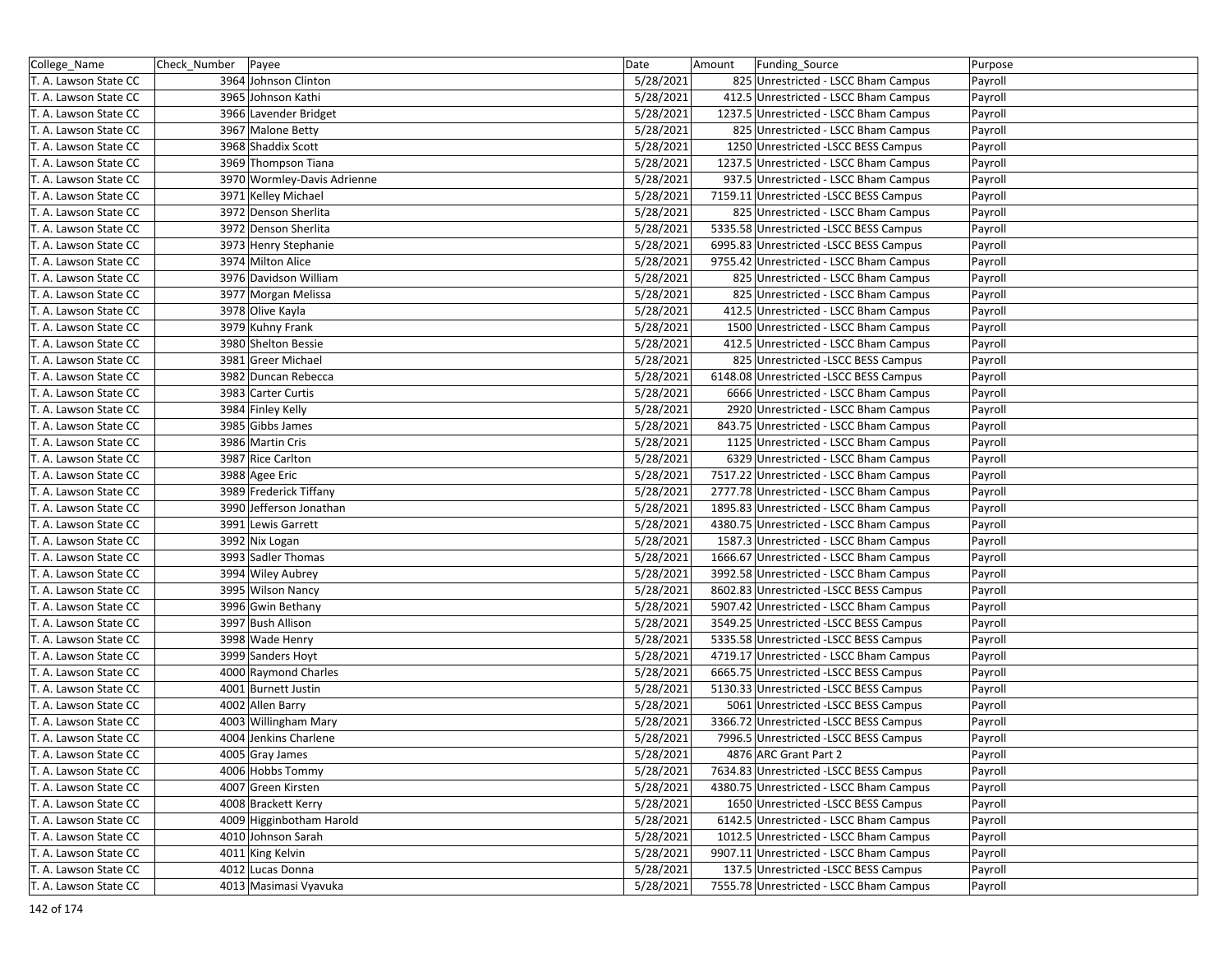| College_Name          | Check_Number | Payee                       | Date      | Amount | Funding_Source                          | Purpose |
|-----------------------|--------------|-----------------------------|-----------|--------|-----------------------------------------|---------|
| T. A. Lawson State CC |              | 3964 Johnson Clinton        | 5/28/2021 |        | 825 Unrestricted - LSCC Bham Campus     | Payroll |
| T. A. Lawson State CC |              | 3965 Johnson Kathi          | 5/28/2021 |        | 412.5 Unrestricted - LSCC Bham Campus   | Payroll |
| T. A. Lawson State CC |              | 3966 Lavender Bridget       | 5/28/2021 |        | 1237.5 Unrestricted - LSCC Bham Campus  | Payroll |
| T. A. Lawson State CC |              | 3967 Malone Betty           | 5/28/2021 |        | 825 Unrestricted - LSCC Bham Campus     | Payroll |
| T. A. Lawson State CC |              | 3968 Shaddix Scott          | 5/28/2021 |        | 1250 Unrestricted -LSCC BESS Campus     | Payroll |
| T. A. Lawson State CC |              | 3969 Thompson Tiana         | 5/28/2021 |        | 1237.5 Unrestricted - LSCC Bham Campus  | Payroll |
| T. A. Lawson State CC |              | 3970 Wormley-Davis Adrienne | 5/28/2021 |        | 937.5 Unrestricted - LSCC Bham Campus   | Payroll |
| T. A. Lawson State CC |              | 3971 Kelley Michael         | 5/28/2021 |        | 7159.11 Unrestricted -LSCC BESS Campus  | Payroll |
| T. A. Lawson State CC |              | 3972 Denson Sherlita        | 5/28/2021 |        | 825 Unrestricted - LSCC Bham Campus     | Payroll |
| T. A. Lawson State CC |              | 3972 Denson Sherlita        | 5/28/2021 |        | 5335.58 Unrestricted -LSCC BESS Campus  | Payroll |
| T. A. Lawson State CC |              | 3973 Henry Stephanie        | 5/28/2021 |        | 6995.83 Unrestricted -LSCC BESS Campus  | Payroll |
| T. A. Lawson State CC |              | 3974 Milton Alice           | 5/28/2021 |        | 9755.42 Unrestricted - LSCC Bham Campus | Payroll |
| T. A. Lawson State CC |              | 3976 Davidson William       | 5/28/2021 |        | 825 Unrestricted - LSCC Bham Campus     | Payroll |
| T. A. Lawson State CC |              | 3977 Morgan Melissa         | 5/28/2021 |        | 825 Unrestricted - LSCC Bham Campus     | Payroll |
| T. A. Lawson State CC |              | 3978 Olive Kayla            | 5/28/2021 |        | 412.5 Unrestricted - LSCC Bham Campus   | Payroll |
| T. A. Lawson State CC |              | 3979 Kuhny Frank            | 5/28/2021 |        | 1500 Unrestricted - LSCC Bham Campus    | Payroll |
| T. A. Lawson State CC |              | 3980 Shelton Bessie         | 5/28/2021 |        | 412.5 Unrestricted - LSCC Bham Campus   | Payroll |
| T. A. Lawson State CC |              | 3981 Greer Michael          | 5/28/2021 |        | 825 Unrestricted -LSCC BESS Campus      | Payroll |
| T. A. Lawson State CC |              | 3982 Duncan Rebecca         | 5/28/2021 |        | 6148.08 Unrestricted -LSCC BESS Campus  | Payroll |
| T. A. Lawson State CC |              | 3983 Carter Curtis          | 5/28/2021 |        | 6666 Unrestricted - LSCC Bham Campus    | Payroll |
| T. A. Lawson State CC |              | 3984 Finley Kelly           | 5/28/2021 |        | 2920 Unrestricted - LSCC Bham Campus    | Payroll |
| T. A. Lawson State CC |              | 3985 Gibbs James            | 5/28/2021 |        | 843.75 Unrestricted - LSCC Bham Campus  | Payroll |
| T. A. Lawson State CC |              | 3986 Martin Cris            | 5/28/2021 |        | 1125 Unrestricted - LSCC Bham Campus    | Payroll |
| T. A. Lawson State CC |              | 3987 Rice Carlton           | 5/28/2021 |        | 6329 Unrestricted - LSCC Bham Campus    | Payroll |
| T. A. Lawson State CC |              | 3988 Agee Eric              | 5/28/2021 |        | 7517.22 Unrestricted - LSCC Bham Campus | Payroll |
| T. A. Lawson State CC |              | 3989 Frederick Tiffany      | 5/28/2021 |        | 2777.78 Unrestricted - LSCC Bham Campus | Payroll |
| T. A. Lawson State CC |              | 3990 Jefferson Jonathan     | 5/28/2021 |        | 1895.83 Unrestricted - LSCC Bham Campus | Payroll |
| T. A. Lawson State CC |              | 3991 Lewis Garrett          | 5/28/2021 |        | 4380.75 Unrestricted - LSCC Bham Campus | Payroll |
| T. A. Lawson State CC |              | 3992 Nix Logan              | 5/28/2021 |        | 1587.3 Unrestricted - LSCC Bham Campus  | Payroll |
| T. A. Lawson State CC |              | 3993 Sadler Thomas          | 5/28/2021 |        | 1666.67 Unrestricted - LSCC Bham Campus | Payroll |
| T. A. Lawson State CC |              | 3994 Wiley Aubrey           | 5/28/2021 |        | 3992.58 Unrestricted - LSCC Bham Campus | Payroll |
| T. A. Lawson State CC |              | 3995 Wilson Nancy           | 5/28/2021 |        | 8602.83 Unrestricted - LSCC BESS Campus | Payroll |
| T. A. Lawson State CC |              | 3996 Gwin Bethany           | 5/28/2021 |        | 5907.42 Unrestricted - LSCC Bham Campus | Payroll |
| T. A. Lawson State CC |              | 3997 Bush Allison           | 5/28/2021 |        | 3549.25 Unrestricted -LSCC BESS Campus  | Payroll |
| T. A. Lawson State CC |              | 3998 Wade Henry             | 5/28/2021 |        | 5335.58 Unrestricted -LSCC BESS Campus  | Payroll |
| T. A. Lawson State CC |              | 3999 Sanders Hoyt           | 5/28/2021 |        | 4719.17 Unrestricted - LSCC Bham Campus | Payroll |
| T. A. Lawson State CC |              | 4000 Raymond Charles        | 5/28/2021 |        | 6665.75 Unrestricted -LSCC BESS Campus  | Payroll |
| T. A. Lawson State CC |              | 4001 Burnett Justin         | 5/28/2021 |        | 5130.33 Unrestricted -LSCC BESS Campus  | Payroll |
| T. A. Lawson State CC |              | 4002 Allen Barry            | 5/28/2021 |        | 5061 Unrestricted -LSCC BESS Campus     | Payroll |
| T. A. Lawson State CC |              | 4003 Willingham Mary        | 5/28/2021 |        | 3366.72 Unrestricted -LSCC BESS Campus  | Payroll |
| T. A. Lawson State CC |              | 4004 Jenkins Charlene       | 5/28/2021 |        | 7996.5 Unrestricted -LSCC BESS Campus   | Payroll |
| T. A. Lawson State CC |              | 4005 Gray James             | 5/28/2021 |        | 4876 ARC Grant Part 2                   | Payroll |
| T. A. Lawson State CC |              | 4006 Hobbs Tommy            | 5/28/2021 |        | 7634.83 Unrestricted -LSCC BESS Campus  | Payroll |
| T. A. Lawson State CC |              | 4007 Green Kirsten          | 5/28/2021 |        | 4380.75 Unrestricted - LSCC Bham Campus | Payroll |
| T. A. Lawson State CC |              | 4008 Brackett Kerry         | 5/28/2021 |        | 1650 Unrestricted -LSCC BESS Campus     | Payroll |
| T. A. Lawson State CC |              | 4009 Higginbotham Harold    | 5/28/2021 |        | 6142.5 Unrestricted - LSCC Bham Campus  | Payroll |
| T. A. Lawson State CC |              | 4010 Johnson Sarah          | 5/28/2021 |        | 1012.5 Unrestricted - LSCC Bham Campus  | Payroll |
| T. A. Lawson State CC |              | 4011 King Kelvin            | 5/28/2021 |        | 9907.11 Unrestricted - LSCC Bham Campus | Payroll |
| T. A. Lawson State CC |              | 4012 Lucas Donna            | 5/28/2021 |        | 137.5 Unrestricted -LSCC BESS Campus    | Payroll |
| T. A. Lawson State CC |              | 4013 Masimasi Vyavuka       | 5/28/2021 |        | 7555.78 Unrestricted - LSCC Bham Campus | Payroll |
|                       |              |                             |           |        |                                         |         |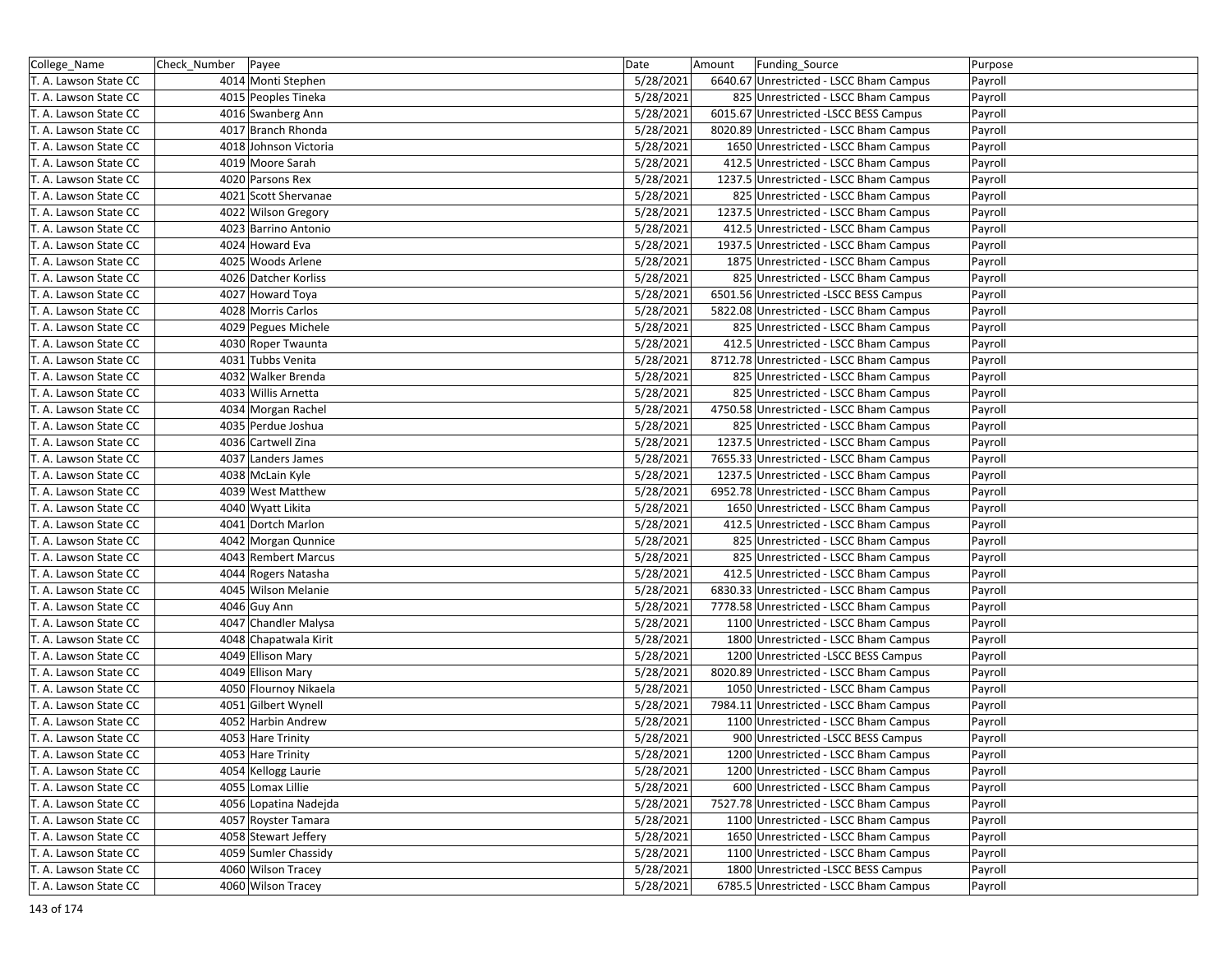| College_Name          | Check Number   Payee |                       | Date      | Amount | Funding_Source                          | Purpose |
|-----------------------|----------------------|-----------------------|-----------|--------|-----------------------------------------|---------|
| T. A. Lawson State CC |                      | 4014 Monti Stephen    | 5/28/2021 |        | 6640.67 Unrestricted - LSCC Bham Campus | Payroll |
| T. A. Lawson State CC |                      | 4015 Peoples Tineka   | 5/28/2021 |        | 825 Unrestricted - LSCC Bham Campus     | Payroll |
| T. A. Lawson State CC |                      | 4016 Swanberg Ann     | 5/28/2021 |        | 6015.67 Unrestricted -LSCC BESS Campus  | Payroll |
| T. A. Lawson State CC |                      | 4017 Branch Rhonda    | 5/28/2021 |        | 8020.89 Unrestricted - LSCC Bham Campus | Payroll |
| T. A. Lawson State CC |                      | 4018 Johnson Victoria | 5/28/2021 |        | 1650 Unrestricted - LSCC Bham Campus    | Payroll |
| T. A. Lawson State CC |                      | 4019 Moore Sarah      | 5/28/2021 |        | 412.5 Unrestricted - LSCC Bham Campus   | Payroll |
| T. A. Lawson State CC |                      | 4020 Parsons Rex      | 5/28/2021 |        | 1237.5 Unrestricted - LSCC Bham Campus  | Payroll |
| T. A. Lawson State CC |                      | 4021 Scott Shervanae  | 5/28/2021 |        | 825 Unrestricted - LSCC Bham Campus     | Payroll |
| T. A. Lawson State CC |                      | 4022 Wilson Gregory   | 5/28/2021 |        | 1237.5 Unrestricted - LSCC Bham Campus  | Payroll |
| T. A. Lawson State CC |                      | 4023 Barrino Antonio  | 5/28/2021 |        | 412.5 Unrestricted - LSCC Bham Campus   | Payroll |
| T. A. Lawson State CC |                      | 4024 Howard Eva       | 5/28/2021 |        | 1937.5 Unrestricted - LSCC Bham Campus  | Payroll |
| T. A. Lawson State CC |                      | 4025 Woods Arlene     | 5/28/2021 |        | 1875 Unrestricted - LSCC Bham Campus    | Payroll |
| T. A. Lawson State CC |                      | 4026 Datcher Korliss  | 5/28/2021 |        | 825 Unrestricted - LSCC Bham Campus     | Payroll |
| T. A. Lawson State CC |                      | 4027 Howard Toya      | 5/28/2021 |        | 6501.56 Unrestricted -LSCC BESS Campus  | Payroll |
| T. A. Lawson State CC |                      | 4028 Morris Carlos    | 5/28/2021 |        | 5822.08 Unrestricted - LSCC Bham Campus | Payroll |
| T. A. Lawson State CC |                      | 4029 Pegues Michele   | 5/28/2021 |        | 825 Unrestricted - LSCC Bham Campus     | Payroll |
| T. A. Lawson State CC |                      | 4030 Roper Twaunta    | 5/28/2021 |        | 412.5 Unrestricted - LSCC Bham Campus   | Payroll |
| T. A. Lawson State CC |                      | 4031 Tubbs Venita     | 5/28/2021 |        | 8712.78 Unrestricted - LSCC Bham Campus | Payroll |
| T. A. Lawson State CC |                      | 4032 Walker Brenda    | 5/28/2021 |        | 825 Unrestricted - LSCC Bham Campus     | Payroll |
| T. A. Lawson State CC |                      | 4033 Willis Arnetta   | 5/28/2021 |        | 825 Unrestricted - LSCC Bham Campus     | Payroll |
| T. A. Lawson State CC |                      | 4034 Morgan Rachel    | 5/28/2021 |        | 4750.58 Unrestricted - LSCC Bham Campus | Payroll |
| T. A. Lawson State CC |                      | 4035 Perdue Joshua    | 5/28/2021 |        | 825 Unrestricted - LSCC Bham Campus     | Payroll |
| T. A. Lawson State CC |                      | 4036 Cartwell Zina    | 5/28/2021 |        | 1237.5 Unrestricted - LSCC Bham Campus  | Payroll |
| T. A. Lawson State CC |                      | 4037 Landers James    | 5/28/2021 |        | 7655.33 Unrestricted - LSCC Bham Campus | Payroll |
| T. A. Lawson State CC |                      | 4038 McLain Kyle      | 5/28/2021 |        | 1237.5 Unrestricted - LSCC Bham Campus  | Payroll |
| T. A. Lawson State CC |                      | 4039 West Matthew     | 5/28/2021 |        | 6952.78 Unrestricted - LSCC Bham Campus | Payroll |
| T. A. Lawson State CC |                      | 4040 Wyatt Likita     | 5/28/2021 |        | 1650 Unrestricted - LSCC Bham Campus    | Payroll |
| T. A. Lawson State CC |                      | 4041 Dortch Marlon    | 5/28/2021 |        | 412.5 Unrestricted - LSCC Bham Campus   | Payroll |
| T. A. Lawson State CC |                      | 4042 Morgan Qunnice   | 5/28/2021 |        | 825 Unrestricted - LSCC Bham Campus     | Payroll |
| T. A. Lawson State CC |                      | 4043 Rembert Marcus   | 5/28/2021 |        | 825 Unrestricted - LSCC Bham Campus     | Payroll |
| T. A. Lawson State CC |                      | 4044 Rogers Natasha   | 5/28/2021 |        | 412.5 Unrestricted - LSCC Bham Campus   | Payroll |
| T. A. Lawson State CC |                      | 4045 Wilson Melanie   | 5/28/2021 |        | 6830.33 Unrestricted - LSCC Bham Campus | Payroll |
| T. A. Lawson State CC |                      | 4046 Guy Ann          | 5/28/2021 |        | 7778.58 Unrestricted - LSCC Bham Campus | Payroll |
| T. A. Lawson State CC |                      | 4047 Chandler Malysa  | 5/28/2021 |        | 1100 Unrestricted - LSCC Bham Campus    | Payroll |
| T. A. Lawson State CC |                      | 4048 Chapatwala Kirit | 5/28/2021 |        | 1800 Unrestricted - LSCC Bham Campus    | Payroll |
| T. A. Lawson State CC |                      | 4049 Ellison Mary     | 5/28/2021 |        | 1200 Unrestricted -LSCC BESS Campus     | Payroll |
| T. A. Lawson State CC |                      | 4049 Ellison Mary     | 5/28/2021 |        | 8020.89 Unrestricted - LSCC Bham Campus | Payroll |
| T. A. Lawson State CC |                      | 4050 Flournoy Nikaela | 5/28/2021 |        | 1050 Unrestricted - LSCC Bham Campus    | Payroll |
| T. A. Lawson State CC |                      | 4051 Gilbert Wynell   | 5/28/2021 |        | 7984.11 Unrestricted - LSCC Bham Campus | Payroll |
| T. A. Lawson State CC |                      | 4052 Harbin Andrew    | 5/28/2021 |        | 1100 Unrestricted - LSCC Bham Campus    | Payroll |
| T. A. Lawson State CC |                      | 4053 Hare Trinity     | 5/28/2021 |        | 900 Unrestricted -LSCC BESS Campus      | Payroll |
| T. A. Lawson State CC |                      | 4053 Hare Trinity     | 5/28/2021 |        | 1200 Unrestricted - LSCC Bham Campus    | Payroll |
| T. A. Lawson State CC |                      | 4054 Kellogg Laurie   | 5/28/2021 |        | 1200 Unrestricted - LSCC Bham Campus    | Payroll |
| T. A. Lawson State CC |                      | 4055 Lomax Lillie     | 5/28/2021 |        | 600 Unrestricted - LSCC Bham Campus     | Payroll |
| T. A. Lawson State CC |                      | 4056 Lopatina Nadejda | 5/28/2021 |        | 7527.78 Unrestricted - LSCC Bham Campus | Payroll |
| T. A. Lawson State CC |                      | 4057 Royster Tamara   | 5/28/2021 |        | 1100 Unrestricted - LSCC Bham Campus    | Payroll |
| T. A. Lawson State CC |                      | 4058 Stewart Jeffery  | 5/28/2021 |        | 1650 Unrestricted - LSCC Bham Campus    | Payroll |
| T. A. Lawson State CC |                      | 4059 Sumler Chassidy  | 5/28/2021 |        | 1100 Unrestricted - LSCC Bham Campus    | Payroll |
| T. A. Lawson State CC |                      | 4060 Wilson Tracey    | 5/28/2021 |        | 1800 Unrestricted -LSCC BESS Campus     | Payroll |
| T. A. Lawson State CC |                      | 4060 Wilson Tracey    | 5/28/2021 |        | 6785.5 Unrestricted - LSCC Bham Campus  | Payroll |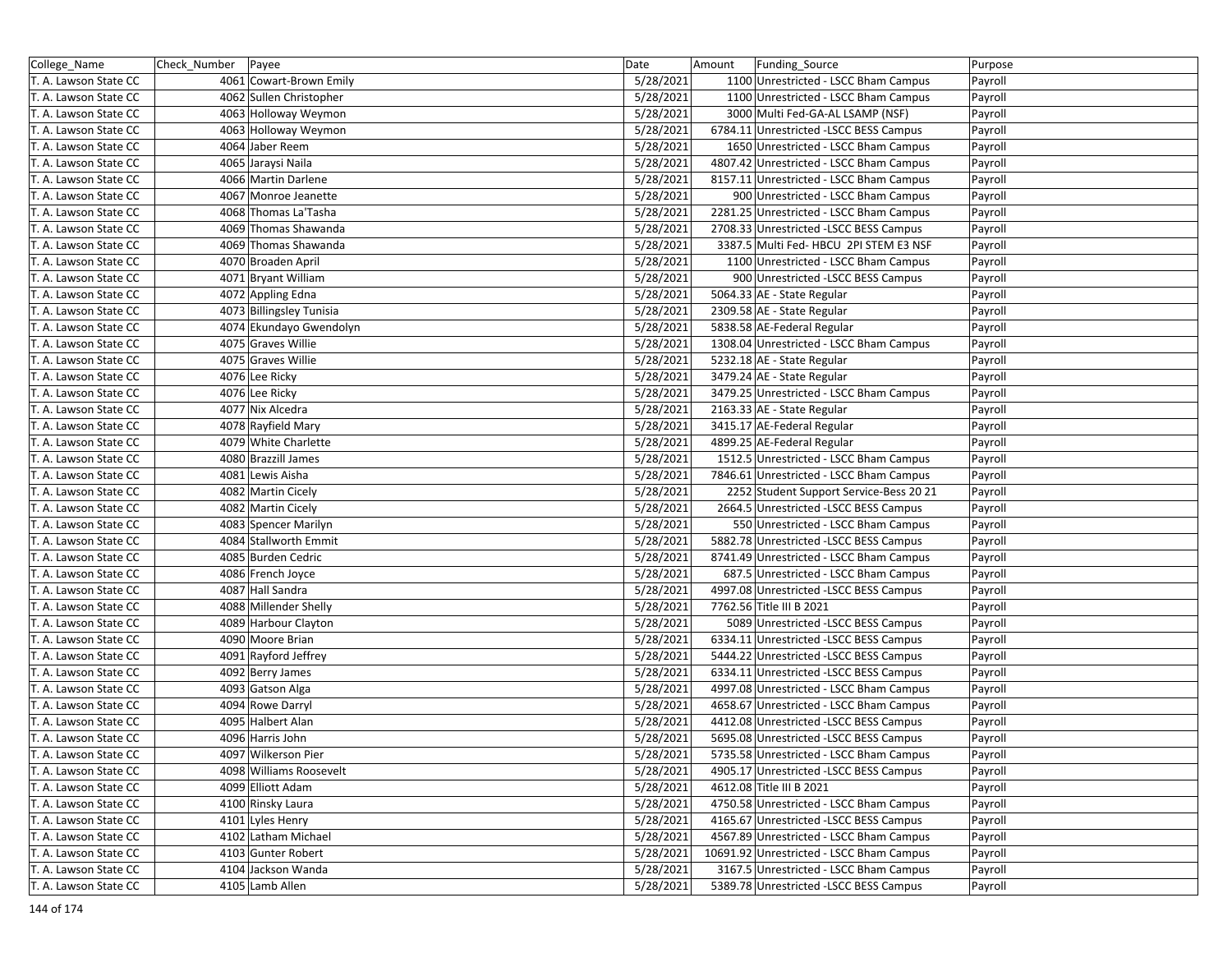| College_Name          | Check_Number | Payee                    | Date      | Amount | Funding_Source                           | Purpose |
|-----------------------|--------------|--------------------------|-----------|--------|------------------------------------------|---------|
| T. A. Lawson State CC |              | 4061 Cowart-Brown Emily  | 5/28/2021 |        | 1100 Unrestricted - LSCC Bham Campus     | Payroll |
| T. A. Lawson State CC |              | 4062 Sullen Christopher  | 5/28/2021 |        | 1100 Unrestricted - LSCC Bham Campus     | Payroll |
| T. A. Lawson State CC |              | 4063 Holloway Weymon     | 5/28/2021 |        | 3000 Multi Fed-GA-AL LSAMP (NSF)         | Payroll |
| T. A. Lawson State CC |              | 4063 Holloway Weymon     | 5/28/2021 |        | 6784.11 Unrestricted -LSCC BESS Campus   | Payroll |
| T. A. Lawson State CC |              | 4064 Jaber Reem          | 5/28/2021 |        | 1650 Unrestricted - LSCC Bham Campus     | Payroll |
| T. A. Lawson State CC |              | 4065 Jaraysi Naila       | 5/28/2021 |        | 4807.42 Unrestricted - LSCC Bham Campus  | Payroll |
| T. A. Lawson State CC |              | 4066 Martin Darlene      | 5/28/2021 |        | 8157.11 Unrestricted - LSCC Bham Campus  | Payroll |
| T. A. Lawson State CC |              | 4067 Monroe Jeanette     | 5/28/2021 |        | 900 Unrestricted - LSCC Bham Campus      | Payroll |
| T. A. Lawson State CC |              | 4068 Thomas La'Tasha     | 5/28/2021 |        | 2281.25 Unrestricted - LSCC Bham Campus  | Payroll |
| T. A. Lawson State CC |              | 4069 Thomas Shawanda     | 5/28/2021 |        | 2708.33 Unrestricted -LSCC BESS Campus   | Payroll |
| T. A. Lawson State CC |              | 4069 Thomas Shawanda     | 5/28/2021 |        | 3387.5 Multi Fed- HBCU 2PI STEM E3 NSF   | Payroll |
| T. A. Lawson State CC |              | 4070 Broaden April       | 5/28/2021 |        | 1100 Unrestricted - LSCC Bham Campus     | Payroll |
| T. A. Lawson State CC |              | 4071 Bryant William      | 5/28/2021 |        | 900 Unrestricted -LSCC BESS Campus       | Payroll |
| T. A. Lawson State CC |              | 4072 Appling Edna        | 5/28/2021 |        | 5064.33 AE - State Regular               | Payroll |
| T. A. Lawson State CC |              | 4073 Billingsley Tunisia | 5/28/2021 |        | 2309.58 AE - State Regular               | Payroll |
| T. A. Lawson State CC |              | 4074 Ekundayo Gwendolyn  | 5/28/2021 |        | 5838.58 AE-Federal Regular               | Payroll |
| T. A. Lawson State CC |              | 4075 Graves Willie       | 5/28/2021 |        | 1308.04 Unrestricted - LSCC Bham Campus  | Payroll |
| T. A. Lawson State CC |              | 4075 Graves Willie       | 5/28/2021 |        | 5232.18 AE - State Regular               | Payroll |
| T. A. Lawson State CC |              | 4076 Lee Ricky           | 5/28/2021 |        | 3479.24 AE - State Regular               | Payroll |
| T. A. Lawson State CC |              | 4076 Lee Ricky           | 5/28/2021 |        | 3479.25 Unrestricted - LSCC Bham Campus  | Payroll |
| T. A. Lawson State CC |              | 4077 Nix Alcedra         | 5/28/2021 |        | 2163.33 AE - State Regular               | Payroll |
| T. A. Lawson State CC |              | 4078 Rayfield Mary       | 5/28/2021 |        | 3415.17 AE-Federal Regular               | Payroll |
| T. A. Lawson State CC |              | 4079 White Charlette     | 5/28/2021 |        | 4899.25 AE-Federal Regular               | Payroll |
| T. A. Lawson State CC |              | 4080 Brazzill James      | 5/28/2021 |        | 1512.5 Unrestricted - LSCC Bham Campus   | Payroll |
| T. A. Lawson State CC |              | 4081 Lewis Aisha         | 5/28/2021 |        | 7846.61 Unrestricted - LSCC Bham Campus  | Payroll |
| T. A. Lawson State CC |              | 4082 Martin Cicely       | 5/28/2021 |        | 2252 Student Support Service-Bess 20 21  | Payroll |
| T. A. Lawson State CC |              | 4082 Martin Cicely       | 5/28/2021 |        | 2664.5 Unrestricted -LSCC BESS Campus    | Payroll |
| T. A. Lawson State CC |              | 4083 Spencer Marilyn     | 5/28/2021 |        | 550 Unrestricted - LSCC Bham Campus      | Payroll |
| T. A. Lawson State CC |              | 4084 Stallworth Emmit    | 5/28/2021 |        | 5882.78 Unrestricted -LSCC BESS Campus   | Payroll |
| T. A. Lawson State CC |              | 4085 Burden Cedric       | 5/28/2021 |        | 8741.49 Unrestricted - LSCC Bham Campus  | Payroll |
| T. A. Lawson State CC |              | 4086 French Joyce        | 5/28/2021 |        | 687.5 Unrestricted - LSCC Bham Campus    | Payroll |
| T. A. Lawson State CC |              | 4087 Hall Sandra         | 5/28/2021 |        | 4997.08 Unrestricted -LSCC BESS Campus   | Payroll |
| T. A. Lawson State CC |              | 4088 Millender Shelly    | 5/28/2021 |        | 7762.56 Title III B 2021                 | Payroll |
| T. A. Lawson State CC |              | 4089 Harbour Clayton     | 5/28/2021 |        | 5089 Unrestricted -LSCC BESS Campus      | Payroll |
| T. A. Lawson State CC |              | 4090 Moore Brian         | 5/28/2021 |        | 6334.11 Unrestricted -LSCC BESS Campus   | Payroll |
| T. A. Lawson State CC |              | 4091 Rayford Jeffrey     | 5/28/2021 |        | 5444.22 Unrestricted -LSCC BESS Campus   | Payroll |
| T. A. Lawson State CC |              | 4092 Berry James         | 5/28/2021 |        | 6334.11 Unrestricted -LSCC BESS Campus   | Payroll |
| T. A. Lawson State CC |              | 4093 Gatson Alga         | 5/28/2021 |        | 4997.08 Unrestricted - LSCC Bham Campus  | Payroll |
| T. A. Lawson State CC |              | 4094 Rowe Darryl         | 5/28/2021 |        | 4658.67 Unrestricted - LSCC Bham Campus  | Payroll |
| T. A. Lawson State CC |              | 4095 Halbert Alan        | 5/28/2021 |        | 4412.08 Unrestricted -LSCC BESS Campus   | Payroll |
| T. A. Lawson State CC |              | 4096 Harris John         | 5/28/2021 |        | 5695.08 Unrestricted -LSCC BESS Campus   | Payroll |
| T. A. Lawson State CC |              | 4097 Wilkerson Pier      | 5/28/2021 |        | 5735.58 Unrestricted - LSCC Bham Campus  | Payroll |
| T. A. Lawson State CC |              | 4098 Williams Roosevelt  | 5/28/2021 |        | 4905.17 Unrestricted - LSCC BESS Campus  | Payroll |
| T. A. Lawson State CC |              | 4099 Elliott Adam        | 5/28/2021 |        | 4612.08 Title III B 2021                 | Payroll |
| T. A. Lawson State CC |              | 4100 Rinsky Laura        | 5/28/2021 |        | 4750.58 Unrestricted - LSCC Bham Campus  | Payroll |
| T. A. Lawson State CC |              | 4101 Lyles Henry         | 5/28/2021 |        | 4165.67 Unrestricted -LSCC BESS Campus   | Payroll |
| T. A. Lawson State CC |              | 4102 Latham Michael      | 5/28/2021 |        | 4567.89 Unrestricted - LSCC Bham Campus  | Payroll |
| T. A. Lawson State CC |              | 4103 Gunter Robert       | 5/28/2021 |        | 10691.92 Unrestricted - LSCC Bham Campus | Payroll |
| T. A. Lawson State CC |              | 4104 Jackson Wanda       | 5/28/2021 |        | 3167.5 Unrestricted - LSCC Bham Campus   | Payroll |
| T. A. Lawson State CC |              | 4105 Lamb Allen          | 5/28/2021 |        | 5389.78 Unrestricted -LSCC BESS Campus   | Payroll |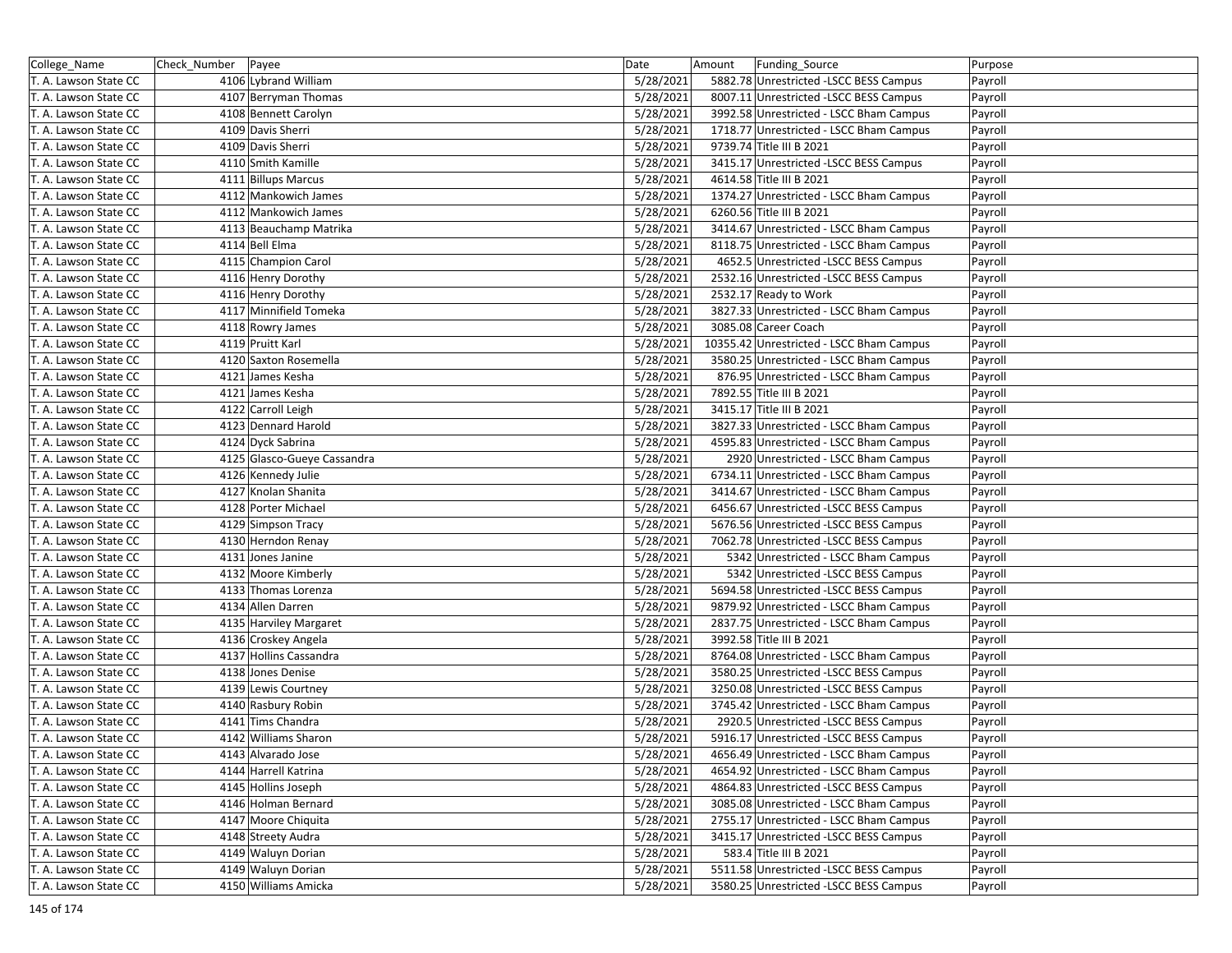| College_Name          | Check_Number Payee |                             | Date      | Funding_Source<br>Amount                 | Purpose |
|-----------------------|--------------------|-----------------------------|-----------|------------------------------------------|---------|
| T. A. Lawson State CC |                    | 4106 Lybrand William        | 5/28/2021 | 5882.78 Unrestricted -LSCC BESS Campus   | Payroll |
| T. A. Lawson State CC |                    | 4107 Berryman Thomas        | 5/28/2021 | 8007.11 Unrestricted -LSCC BESS Campus   | Payroll |
| T. A. Lawson State CC |                    | 4108 Bennett Carolyn        | 5/28/2021 | 3992.58 Unrestricted - LSCC Bham Campus  | Payroll |
| T. A. Lawson State CC |                    | 4109 Davis Sherri           | 5/28/2021 | 1718.77 Unrestricted - LSCC Bham Campus  | Payroll |
| T. A. Lawson State CC |                    | 4109 Davis Sherri           | 5/28/2021 | 9739.74 Title III B 2021                 | Payroll |
| T. A. Lawson State CC |                    | 4110 Smith Kamille          | 5/28/2021 | 3415.17 Unrestricted -LSCC BESS Campus   | Payroll |
| T. A. Lawson State CC |                    | 4111 Billups Marcus         | 5/28/2021 | 4614.58 Title III B 2021                 | Payroll |
| T. A. Lawson State CC |                    | 4112 Mankowich James        | 5/28/2021 | 1374.27 Unrestricted - LSCC Bham Campus  | Payroll |
| T. A. Lawson State CC |                    | 4112 Mankowich James        | 5/28/2021 | 6260.56 Title III B 2021                 | Payroll |
| T. A. Lawson State CC |                    | 4113 Beauchamp Matrika      | 5/28/2021 | 3414.67 Unrestricted - LSCC Bham Campus  | Payroll |
| T. A. Lawson State CC |                    | 4114 Bell Elma              | 5/28/2021 | 8118.75 Unrestricted - LSCC Bham Campus  | Payroll |
| T. A. Lawson State CC |                    | 4115 Champion Carol         | 5/28/2021 | 4652.5 Unrestricted -LSCC BESS Campus    | Payroll |
| T. A. Lawson State CC |                    | 4116 Henry Dorothy          | 5/28/2021 | 2532.16 Unrestricted -LSCC BESS Campus   | Payroll |
| T. A. Lawson State CC |                    | 4116 Henry Dorothy          | 5/28/2021 | 2532.17 Ready to Work                    | Payroll |
| T. A. Lawson State CC |                    | 4117 Minnifield Tomeka      | 5/28/2021 | 3827.33 Unrestricted - LSCC Bham Campus  | Payroll |
| T. A. Lawson State CC |                    | 4118 Rowry James            | 5/28/2021 | 3085.08 Career Coach                     | Payroll |
| T. A. Lawson State CC |                    | 4119 Pruitt Karl            | 5/28/2021 | 10355.42 Unrestricted - LSCC Bham Campus | Payroll |
| T. A. Lawson State CC |                    | 4120 Saxton Rosemella       | 5/28/2021 | 3580.25 Unrestricted - LSCC Bham Campus  | Payroll |
| T. A. Lawson State CC |                    | 4121 James Kesha            | 5/28/2021 | 876.95 Unrestricted - LSCC Bham Campus   | Payroll |
| T. A. Lawson State CC |                    | 4121 James Kesha            | 5/28/2021 | 7892.55 Title III B 2021                 | Payroll |
| T. A. Lawson State CC |                    | 4122 Carroll Leigh          | 5/28/2021 | 3415.17 Title III B 2021                 | Payroll |
| T. A. Lawson State CC |                    | 4123 Dennard Harold         | 5/28/2021 | 3827.33 Unrestricted - LSCC Bham Campus  | Payroll |
| T. A. Lawson State CC |                    | 4124 Dyck Sabrina           | 5/28/2021 | 4595.83 Unrestricted - LSCC Bham Campus  | Payroll |
| T. A. Lawson State CC |                    | 4125 Glasco-Gueye Cassandra | 5/28/2021 | 2920 Unrestricted - LSCC Bham Campus     | Payroll |
| T. A. Lawson State CC |                    | 4126 Kennedy Julie          | 5/28/2021 | 6734.11 Unrestricted - LSCC Bham Campus  | Payroll |
| T. A. Lawson State CC |                    | 4127 Knolan Shanita         | 5/28/2021 | 3414.67 Unrestricted - LSCC Bham Campus  | Payroll |
| T. A. Lawson State CC |                    | 4128 Porter Michael         | 5/28/2021 | 6456.67 Unrestricted -LSCC BESS Campus   | Payroll |
| T. A. Lawson State CC |                    | 4129 Simpson Tracy          | 5/28/2021 | 5676.56 Unrestricted -LSCC BESS Campus   | Payroll |
| T. A. Lawson State CC |                    | 4130 Herndon Renay          | 5/28/2021 | 7062.78 Unrestricted -LSCC BESS Campus   | Payroll |
| T. A. Lawson State CC |                    | 4131 Jones Janine           | 5/28/2021 | 5342 Unrestricted - LSCC Bham Campus     | Payroll |
| T. A. Lawson State CC |                    | 4132 Moore Kimberly         | 5/28/2021 | 5342 Unrestricted -LSCC BESS Campus      | Payroll |
| T. A. Lawson State CC |                    | 4133 Thomas Lorenza         | 5/28/2021 | 5694.58 Unrestricted -LSCC BESS Campus   | Payroll |
| T. A. Lawson State CC |                    | 4134 Allen Darren           | 5/28/2021 | 9879.92 Unrestricted - LSCC Bham Campus  | Payroll |
| T. A. Lawson State CC |                    | 4135 Harviley Margaret      | 5/28/2021 | 2837.75 Unrestricted - LSCC Bham Campus  | Payroll |
| T. A. Lawson State CC |                    | 4136 Croskey Angela         | 5/28/2021 | 3992.58 Title III B 2021                 | Payroll |
| T. A. Lawson State CC |                    | 4137 Hollins Cassandra      | 5/28/2021 | 8764.08 Unrestricted - LSCC Bham Campus  | Payroll |
| T. A. Lawson State CC |                    | 4138 Jones Denise           | 5/28/2021 | 3580.25 Unrestricted -LSCC BESS Campus   | Payroll |
| T. A. Lawson State CC |                    | 4139 Lewis Courtney         | 5/28/2021 | 3250.08 Unrestricted -LSCC BESS Campus   | Payroll |
| T. A. Lawson State CC |                    | 4140 Rasbury Robin          | 5/28/2021 | 3745.42 Unrestricted - LSCC Bham Campus  | Payroll |
| T. A. Lawson State CC |                    | 4141 Tims Chandra           | 5/28/2021 | 2920.5 Unrestricted -LSCC BESS Campus    | Payroll |
| T. A. Lawson State CC |                    | 4142 Williams Sharon        | 5/28/2021 | 5916.17 Unrestricted -LSCC BESS Campus   | Payroll |
| T. A. Lawson State CC |                    | 4143 Alvarado Jose          | 5/28/2021 | 4656.49 Unrestricted - LSCC Bham Campus  | Payroll |
| T. A. Lawson State CC |                    | 4144 Harrell Katrina        | 5/28/2021 | 4654.92 Unrestricted - LSCC Bham Campus  | Payroll |
| T. A. Lawson State CC |                    | 4145 Hollins Joseph         | 5/28/2021 | 4864.83 Unrestricted -LSCC BESS Campus   | Payroll |
| T. A. Lawson State CC |                    | 4146 Holman Bernard         | 5/28/2021 | 3085.08 Unrestricted - LSCC Bham Campus  | Payroll |
| T. A. Lawson State CC |                    | 4147 Moore Chiquita         | 5/28/2021 | 2755.17 Unrestricted - LSCC Bham Campus  | Payroll |
| T. A. Lawson State CC |                    | 4148 Streety Audra          | 5/28/2021 | 3415.17 Unrestricted -LSCC BESS Campus   | Payroll |
| T. A. Lawson State CC |                    | 4149 Waluyn Dorian          | 5/28/2021 | 583.4 Title III B 2021                   | Payroll |
| T. A. Lawson State CC |                    | 4149 Waluyn Dorian          | 5/28/2021 | 5511.58 Unrestricted -LSCC BESS Campus   | Payroll |
| T. A. Lawson State CC |                    | 4150 Williams Amicka        | 5/28/2021 | 3580.25 Unrestricted -LSCC BESS Campus   | Payroll |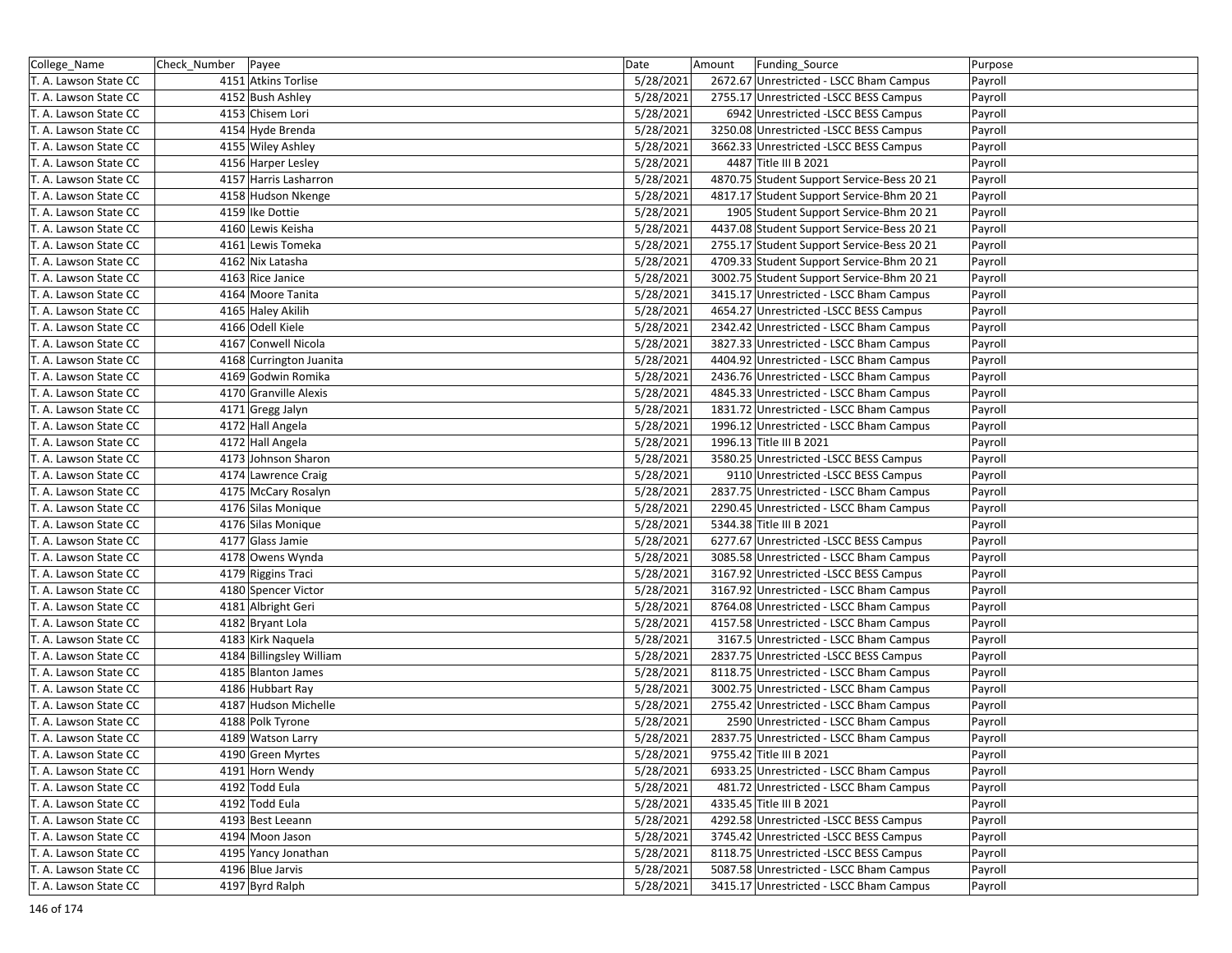| College_Name          | Check_Number<br>Payee                  | Date                   | Amount<br>Funding Source                                                                | Purpose |
|-----------------------|----------------------------------------|------------------------|-----------------------------------------------------------------------------------------|---------|
| T. A. Lawson State CC | 4151 Atkins Torlise                    | 5/28/2021              | 2672.67 Unrestricted - LSCC Bham Campus                                                 | Payroll |
| T. A. Lawson State CC | 4152 Bush Ashley                       | 5/28/2021              | 2755.17 Unrestricted - LSCC BESS Campus                                                 | Payroll |
| T. A. Lawson State CC | 4153 Chisem Lori                       | 5/28/2021              | 6942 Unrestricted -LSCC BESS Campus                                                     | Payroll |
| T. A. Lawson State CC | 4154 Hyde Brenda                       | 5/28/2021              | 3250.08 Unrestricted -LSCC BESS Campus                                                  | Payroll |
| T. A. Lawson State CC | 4155 Wiley Ashley                      | 5/28/2021              | 3662.33 Unrestricted -LSCC BESS Campus                                                  | Payroll |
| T. A. Lawson State CC | 4156 Harper Lesley                     | 5/28/2021              | 4487 Title III B 2021                                                                   | Payroll |
| T. A. Lawson State CC | 4157 Harris Lasharron                  | 5/28/2021              |                                                                                         |         |
| T. A. Lawson State CC | 4158 Hudson Nkenge                     | 5/28/2021              | 4870.75 Student Support Service-Bess 20 21<br>4817.17 Student Support Service-Bhm 20 21 | Payroll |
|                       |                                        |                        |                                                                                         | Payroll |
| T. A. Lawson State CC | 4159 Ike Dottie                        | 5/28/2021              | 1905 Student Support Service-Bhm 20 21<br>4437.08 Student Support Service-Bess 20 21    | Payroll |
| T. A. Lawson State CC | 4160 Lewis Keisha<br>4161 Lewis Tomeka | 5/28/2021<br>5/28/2021 | 2755.17 Student Support Service-Bess 20 21                                              | Payroll |
| T. A. Lawson State CC |                                        |                        |                                                                                         | Payroll |
| T. A. Lawson State CC | 4162 Nix Latasha                       | 5/28/2021              | 4709.33 Student Support Service-Bhm 20 21                                               | Payroll |
| T. A. Lawson State CC | 4163 Rice Janice                       | 5/28/2021              | 3002.75 Student Support Service-Bhm 20 21                                               | Payroll |
| T. A. Lawson State CC | 4164 Moore Tanita                      | 5/28/2021              | 3415.17 Unrestricted - LSCC Bham Campus                                                 | Payroll |
| T. A. Lawson State CC | 4165 Haley Akilih                      | 5/28/2021              | 4654.27 Unrestricted -LSCC BESS Campus                                                  | Payroll |
| T. A. Lawson State CC | 4166 Odell Kiele                       | 5/28/2021              | 2342.42 Unrestricted - LSCC Bham Campus                                                 | Payroll |
| T. A. Lawson State CC | 4167 Conwell Nicola                    | 5/28/2021              | 3827.33 Unrestricted - LSCC Bham Campus                                                 | Payroll |
| T. A. Lawson State CC | 4168 Currington Juanita                | 5/28/2021              | 4404.92 Unrestricted - LSCC Bham Campus                                                 | Payroll |
| T. A. Lawson State CC | 4169 Godwin Romika                     | 5/28/2021              | 2436.76 Unrestricted - LSCC Bham Campus                                                 | Payroll |
| T. A. Lawson State CC | 4170 Granville Alexis                  | 5/28/2021              | 4845.33 Unrestricted - LSCC Bham Campus                                                 | Payroll |
| T. A. Lawson State CC | 4171 Gregg Jalyn                       | 5/28/2021              | 1831.72 Unrestricted - LSCC Bham Campus                                                 | Payroll |
| T. A. Lawson State CC | 4172 Hall Angela                       | 5/28/2021              | 1996.12 Unrestricted - LSCC Bham Campus                                                 | Payroll |
| T. A. Lawson State CC | 4172 Hall Angela                       | 5/28/2021              | 1996.13 Title III B 2021                                                                | Payroll |
| T. A. Lawson State CC | 4173 Johnson Sharon                    | 5/28/2021              | 3580.25 Unrestricted -LSCC BESS Campus                                                  | Payroll |
| T. A. Lawson State CC | 4174 Lawrence Craig                    | 5/28/2021              | 9110 Unrestricted -LSCC BESS Campus                                                     | Payroll |
| T. A. Lawson State CC | 4175 McCary Rosalyn                    | 5/28/2021              | 2837.75 Unrestricted - LSCC Bham Campus                                                 | Payroll |
| T. A. Lawson State CC | 4176 Silas Monique                     | 5/28/2021              | 2290.45 Unrestricted - LSCC Bham Campus                                                 | Payroll |
| T. A. Lawson State CC | 4176 Silas Monique                     | 5/28/2021              | 5344.38 Title III B 2021                                                                | Payroll |
| T. A. Lawson State CC | 4177 Glass Jamie                       | 5/28/2021              | 6277.67 Unrestricted -LSCC BESS Campus                                                  | Payroll |
| T. A. Lawson State CC | 4178 Owens Wynda                       | 5/28/2021              | 3085.58 Unrestricted - LSCC Bham Campus                                                 | Payroll |
| T. A. Lawson State CC | 4179 Riggins Traci                     | 5/28/2021              | 3167.92 Unrestricted -LSCC BESS Campus                                                  | Payroll |
| T. A. Lawson State CC | 4180 Spencer Victor                    | 5/28/2021              | 3167.92 Unrestricted - LSCC Bham Campus                                                 | Payroll |
| T. A. Lawson State CC | 4181 Albright Geri                     | 5/28/2021              | 8764.08 Unrestricted - LSCC Bham Campus                                                 | Payroll |
| T. A. Lawson State CC | 4182 Bryant Lola                       | 5/28/2021              | 4157.58 Unrestricted - LSCC Bham Campus                                                 | Payroll |
| T. A. Lawson State CC | 4183 Kirk Naquela                      | 5/28/2021              | 3167.5 Unrestricted - LSCC Bham Campus                                                  | Payroll |
| T. A. Lawson State CC | 4184 Billingsley William               | 5/28/2021              | 2837.75 Unrestricted - LSCC BESS Campus                                                 | Payroll |
| T. A. Lawson State CC | 4185 Blanton James                     | 5/28/2021              | 8118.75 Unrestricted - LSCC Bham Campus                                                 | Payroll |
| T. A. Lawson State CC | 4186 Hubbart Ray                       | 5/28/2021              | 3002.75 Unrestricted - LSCC Bham Campus                                                 | Payroll |
| T. A. Lawson State CC | 4187 Hudson Michelle                   | 5/28/2021              | 2755.42 Unrestricted - LSCC Bham Campus                                                 | Payroll |
| T. A. Lawson State CC | 4188 Polk Tyrone                       | 5/28/2021              | 2590 Unrestricted - LSCC Bham Campus                                                    | Payroll |
| T. A. Lawson State CC | 4189 Watson Larry                      | 5/28/2021              | 2837.75 Unrestricted - LSCC Bham Campus                                                 | Payroll |
| T. A. Lawson State CC | 4190 Green Myrtes                      | 5/28/2021              | 9755.42 Title III B 2021                                                                | Payroll |
| T. A. Lawson State CC | 4191 Horn Wendy                        | 5/28/2021              | 6933.25 Unrestricted - LSCC Bham Campus                                                 | Payroll |
| T. A. Lawson State CC | 4192 Todd Eula                         | 5/28/2021              | 481.72 Unrestricted - LSCC Bham Campus                                                  | Payroll |
| T. A. Lawson State CC | 4192 Todd Eula                         | 5/28/2021              | 4335.45 Title III B 2021                                                                | Payroll |
| T. A. Lawson State CC | 4193 Best Leeann                       | 5/28/2021              | 4292.58 Unrestricted -LSCC BESS Campus                                                  | Payroll |
| T. A. Lawson State CC | 4194 Moon Jason                        | 5/28/2021              | 3745.42 Unrestricted -LSCC BESS Campus                                                  | Payroll |
| T. A. Lawson State CC | 4195 Yancy Jonathan                    | 5/28/2021              | 8118.75 Unrestricted -LSCC BESS Campus                                                  | Payroll |
| T. A. Lawson State CC | 4196 Blue Jarvis                       | 5/28/2021              | 5087.58 Unrestricted - LSCC Bham Campus                                                 | Payroll |
| T. A. Lawson State CC | 4197 Byrd Ralph                        | 5/28/2021              | 3415.17 Unrestricted - LSCC Bham Campus                                                 | Payroll |
|                       |                                        |                        |                                                                                         |         |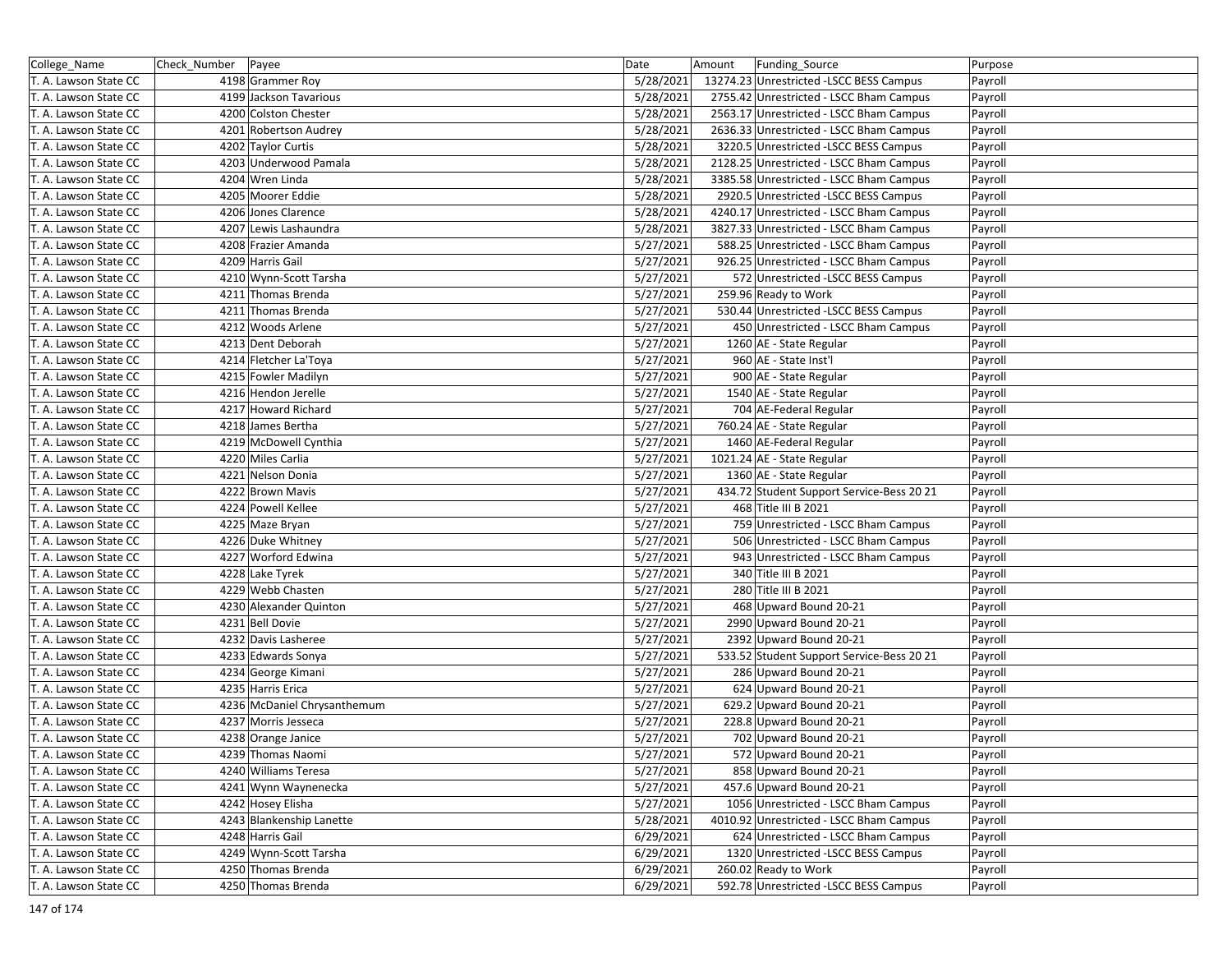| College_Name          | Check_Number | Payee                       | Date      | Amount | Funding_Source                            | Purpose |
|-----------------------|--------------|-----------------------------|-----------|--------|-------------------------------------------|---------|
| T. A. Lawson State CC |              | 4198 Grammer Roy            | 5/28/2021 |        | 13274.23 Unrestricted -LSCC BESS Campus   | Payroll |
| T. A. Lawson State CC |              | 4199 Jackson Tavarious      | 5/28/2021 |        | 2755.42 Unrestricted - LSCC Bham Campus   | Payroll |
| T. A. Lawson State CC |              | 4200 Colston Chester        | 5/28/2021 |        | 2563.17 Unrestricted - LSCC Bham Campus   | Payroll |
| T. A. Lawson State CC |              | 4201 Robertson Audrey       | 5/28/2021 |        | 2636.33 Unrestricted - LSCC Bham Campus   | Payroll |
| T. A. Lawson State CC |              | 4202 Taylor Curtis          | 5/28/2021 |        | 3220.5 Unrestricted -LSCC BESS Campus     | Payroll |
| T. A. Lawson State CC |              | 4203 Underwood Pamala       | 5/28/2021 |        | 2128.25 Unrestricted - LSCC Bham Campus   | Payroll |
| T. A. Lawson State CC |              | 4204 Wren Linda             | 5/28/2021 |        | 3385.58 Unrestricted - LSCC Bham Campus   | Payroll |
| T. A. Lawson State CC |              | 4205 Moorer Eddie           | 5/28/2021 |        | 2920.5 Unrestricted -LSCC BESS Campus     | Payroll |
| T. A. Lawson State CC |              | 4206 Jones Clarence         | 5/28/2021 |        | 4240.17 Unrestricted - LSCC Bham Campus   | Payroll |
| T. A. Lawson State CC |              | 4207 Lewis Lashaundra       | 5/28/2021 |        | 3827.33 Unrestricted - LSCC Bham Campus   | Payroll |
| T. A. Lawson State CC |              | 4208 Frazier Amanda         | 5/27/2021 |        | 588.25 Unrestricted - LSCC Bham Campus    | Payroll |
| T. A. Lawson State CC |              | 4209 Harris Gail            | 5/27/2021 |        | 926.25 Unrestricted - LSCC Bham Campus    | Payroll |
| T. A. Lawson State CC |              | 4210 Wynn-Scott Tarsha      | 5/27/2021 |        | 572 Unrestricted -LSCC BESS Campus        | Payroll |
| T. A. Lawson State CC |              | 4211 Thomas Brenda          | 5/27/2021 |        | 259.96 Ready to Work                      | Payroll |
| T. A. Lawson State CC |              | 4211 Thomas Brenda          | 5/27/2021 |        | 530.44 Unrestricted -LSCC BESS Campus     | Payroll |
| T. A. Lawson State CC |              | 4212 Woods Arlene           | 5/27/2021 |        | 450 Unrestricted - LSCC Bham Campus       | Payroll |
| T. A. Lawson State CC |              | 4213 Dent Deborah           | 5/27/2021 |        | 1260 AE - State Regular                   | Payroll |
| T. A. Lawson State CC |              | 4214 Fletcher La'Toya       | 5/27/2021 |        | 960 AE - State Inst'l                     | Payroll |
| T. A. Lawson State CC |              | 4215 Fowler Madilyn         | 5/27/2021 |        | 900 AE - State Regular                    | Payroll |
| T. A. Lawson State CC |              | 4216 Hendon Jerelle         | 5/27/2021 |        | 1540 AE - State Regular                   | Payroll |
| T. A. Lawson State CC |              | 4217 Howard Richard         | 5/27/2021 |        | 704 AE-Federal Regular                    | Payroll |
| T. A. Lawson State CC |              | 4218 James Bertha           | 5/27/2021 |        | 760.24 AE - State Regular                 | Payroll |
| T. A. Lawson State CC |              | 4219 McDowell Cynthia       | 5/27/2021 |        | 1460 AE-Federal Regular                   | Payroll |
| T. A. Lawson State CC |              | 4220 Miles Carlia           | 5/27/2021 |        | 1021.24 AE - State Regular                | Payroll |
| T. A. Lawson State CC |              | 4221 Nelson Donia           | 5/27/2021 |        | 1360 AE - State Regular                   | Payroll |
| T. A. Lawson State CC |              | 4222 Brown Mavis            | 5/27/2021 |        | 434.72 Student Support Service-Bess 20 21 | Payroll |
| T. A. Lawson State CC |              | 4224 Powell Kellee          | 5/27/2021 |        | 468 Title III B 2021                      | Payroll |
| T. A. Lawson State CC |              | 4225 Maze Bryan             | 5/27/2021 |        | 759 Unrestricted - LSCC Bham Campus       | Payroll |
| T. A. Lawson State CC |              | 4226 Duke Whitney           | 5/27/2021 |        | 506 Unrestricted - LSCC Bham Campus       | Payroll |
| T. A. Lawson State CC |              | 4227 Worford Edwina         | 5/27/2021 |        | 943 Unrestricted - LSCC Bham Campus       | Payroll |
| T. A. Lawson State CC |              | 4228 Lake Tyrek             | 5/27/2021 |        | 340 Title III B 2021                      | Payroll |
| T. A. Lawson State CC |              | 4229 Webb Chasten           | 5/27/2021 |        | 280 Title III B 2021                      | Payroll |
| T. A. Lawson State CC |              | 4230 Alexander Quinton      | 5/27/2021 |        | 468 Upward Bound 20-21                    | Payroll |
| T. A. Lawson State CC |              | 4231 Bell Dovie             | 5/27/2021 |        | 2990 Upward Bound 20-21                   | Payroll |
| T. A. Lawson State CC |              | 4232 Davis Lasheree         | 5/27/2021 |        | 2392 Upward Bound 20-21                   | Payroll |
| T. A. Lawson State CC |              | 4233 Edwards Sonya          | 5/27/2021 |        | 533.52 Student Support Service-Bess 20 21 | Payroll |
| T. A. Lawson State CC |              | 4234 George Kimani          | 5/27/2021 |        | 286 Upward Bound 20-21                    | Payroll |
| T. A. Lawson State CC |              | 4235 Harris Erica           | 5/27/2021 |        | 624 Upward Bound 20-21                    | Payroll |
| T. A. Lawson State CC |              | 4236 McDaniel Chrysanthemum | 5/27/2021 |        | 629.2 Upward Bound 20-21                  | Payroll |
| T. A. Lawson State CC |              | 4237 Morris Jesseca         | 5/27/2021 |        | 228.8 Upward Bound 20-21                  | Payroll |
| T. A. Lawson State CC |              | 4238 Orange Janice          | 5/27/2021 |        | 702 Upward Bound 20-21                    | Payroll |
| T. A. Lawson State CC |              | 4239 Thomas Naomi           | 5/27/2021 |        | 572 Upward Bound 20-21                    | Payroll |
| T. A. Lawson State CC |              | 4240 Williams Teresa        | 5/27/2021 |        | 858 Upward Bound 20-21                    | Payroll |
| T. A. Lawson State CC |              | 4241 Wynn Waynenecka        | 5/27/2021 |        | 457.6 Upward Bound 20-21                  | Payroll |
| T. A. Lawson State CC |              | 4242 Hosey Elisha           | 5/27/2021 |        | 1056 Unrestricted - LSCC Bham Campus      | Payroll |
| T. A. Lawson State CC |              | 4243 Blankenship Lanette    | 5/28/2021 |        | 4010.92 Unrestricted - LSCC Bham Campus   | Payroll |
| T. A. Lawson State CC |              | 4248 Harris Gail            | 6/29/2021 |        | 624 Unrestricted - LSCC Bham Campus       | Payroll |
| T. A. Lawson State CC |              | 4249 Wynn-Scott Tarsha      | 6/29/2021 |        | 1320 Unrestricted -LSCC BESS Campus       | Payroll |
| T. A. Lawson State CC |              | 4250 Thomas Brenda          | 6/29/2021 |        | 260.02 Ready to Work                      | Payroll |
| T. A. Lawson State CC |              | 4250 Thomas Brenda          | 6/29/2021 |        | 592.78 Unrestricted -LSCC BESS Campus     | Payroll |
|                       |              |                             |           |        |                                           |         |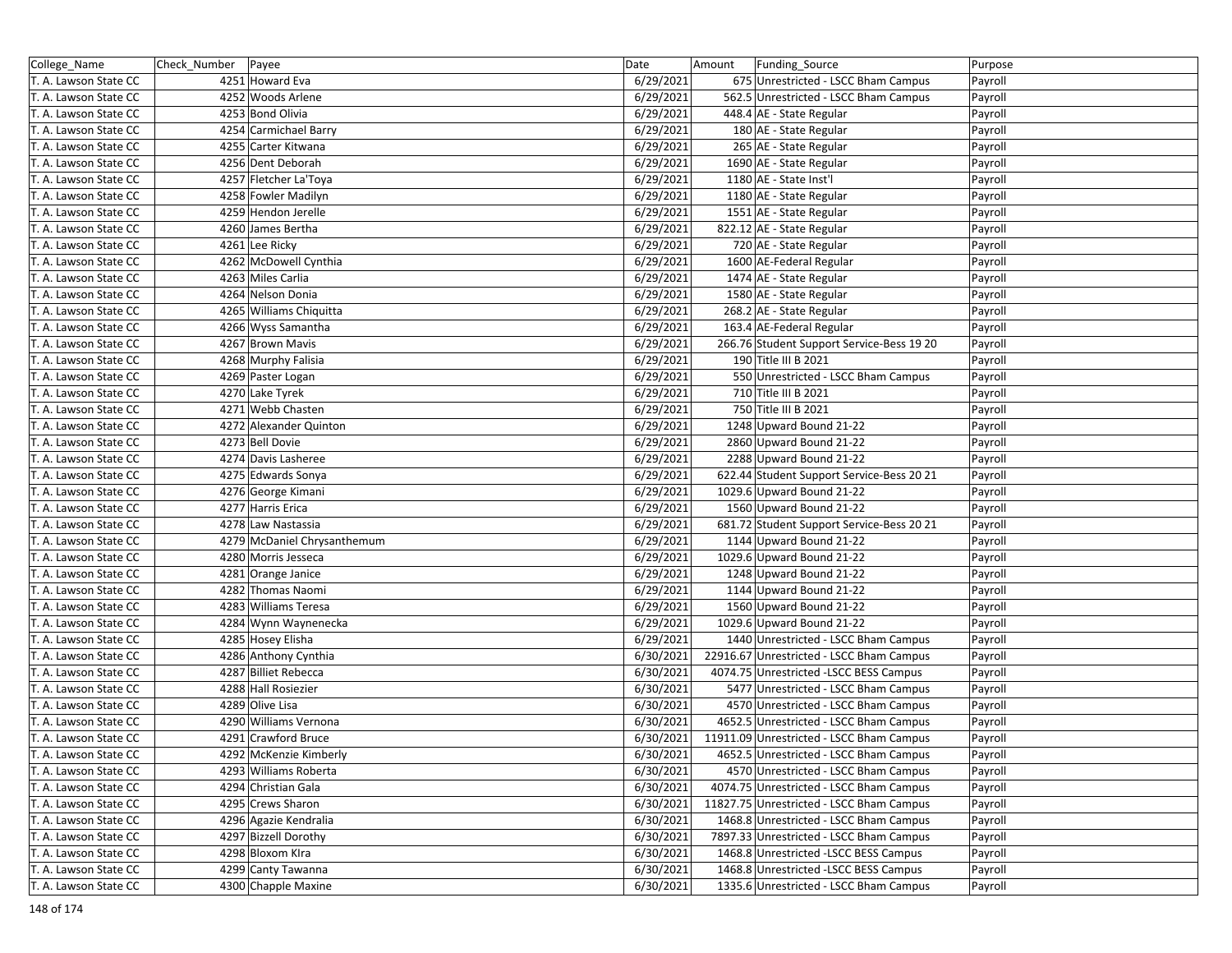| College_Name          | Check_Number Payee |                             | Date      | Amount | Funding_Source                            | Purpose |
|-----------------------|--------------------|-----------------------------|-----------|--------|-------------------------------------------|---------|
| T. A. Lawson State CC |                    | 4251 Howard Eva             | 6/29/2021 |        | 675 Unrestricted - LSCC Bham Campus       | Payroll |
| T. A. Lawson State CC |                    | 4252 Woods Arlene           | 6/29/2021 |        | 562.5 Unrestricted - LSCC Bham Campus     | Payroll |
| T. A. Lawson State CC |                    | 4253 Bond Olivia            | 6/29/2021 |        | 448.4 AE - State Regular                  | Payroll |
| T. A. Lawson State CC |                    | 4254 Carmichael Barry       | 6/29/2021 |        | 180 AE - State Regular                    | Payroll |
| T. A. Lawson State CC |                    | 4255 Carter Kitwana         | 6/29/2021 |        | 265 AE - State Regular                    | Payroll |
| T. A. Lawson State CC |                    | 4256 Dent Deborah           | 6/29/2021 |        | 1690 AE - State Regular                   | Payroll |
| T. A. Lawson State CC |                    | 4257 Fletcher La'Toya       | 6/29/2021 |        | 1180 AE - State Inst'l                    | Payroll |
| T. A. Lawson State CC |                    | 4258 Fowler Madilyn         | 6/29/2021 |        | 1180 AE - State Regular                   | Payroll |
| T. A. Lawson State CC |                    | 4259 Hendon Jerelle         | 6/29/2021 |        | 1551 AE - State Regular                   | Payroll |
| T. A. Lawson State CC |                    | 4260 James Bertha           | 6/29/2021 |        | 822.12 AE - State Regular                 | Payroll |
| T. A. Lawson State CC |                    | 4261 Lee Ricky              | 6/29/2021 |        | 720 AE - State Regular                    | Payroll |
| T. A. Lawson State CC |                    | 4262 McDowell Cynthia       | 6/29/2021 |        | 1600 AE-Federal Regular                   | Payroll |
| T. A. Lawson State CC |                    | 4263 Miles Carlia           | 6/29/2021 |        | 1474 AE - State Regular                   | Payroll |
| T. A. Lawson State CC |                    | 4264 Nelson Donia           | 6/29/2021 |        | 1580 AE - State Regular                   | Payroll |
| T. A. Lawson State CC |                    | 4265 Williams Chiquitta     | 6/29/2021 |        | 268.2 AE - State Regular                  | Payroll |
| T. A. Lawson State CC |                    | 4266 Wyss Samantha          | 6/29/2021 |        | 163.4 AE-Federal Regular                  | Payroll |
| T. A. Lawson State CC |                    | 4267 Brown Mavis            | 6/29/2021 |        | 266.76 Student Support Service-Bess 19 20 | Payroll |
| T. A. Lawson State CC |                    | 4268 Murphy Falisia         | 6/29/2021 |        | 190 Title III B 2021                      | Payroll |
| T. A. Lawson State CC |                    | 4269 Paster Logan           | 6/29/2021 |        | 550 Unrestricted - LSCC Bham Campus       | Payroll |
| T. A. Lawson State CC |                    | 4270 Lake Tyrek             | 6/29/2021 |        | 710 Title III B 2021                      | Payroll |
| T. A. Lawson State CC |                    | 4271 Webb Chasten           | 6/29/2021 |        | 750 Title III B 2021                      | Payroll |
| T. A. Lawson State CC |                    | 4272 Alexander Quinton      | 6/29/2021 |        | 1248 Upward Bound 21-22                   | Payroll |
| T. A. Lawson State CC |                    | 4273 Bell Dovie             | 6/29/2021 |        | 2860 Upward Bound 21-22                   | Payroll |
| T. A. Lawson State CC |                    | 4274 Davis Lasheree         | 6/29/2021 |        | 2288 Upward Bound 21-22                   | Payroll |
| T. A. Lawson State CC |                    | 4275 Edwards Sonya          | 6/29/2021 |        | 622.44 Student Support Service-Bess 20 21 | Payroll |
| T. A. Lawson State CC |                    | 4276 George Kimani          | 6/29/2021 |        | 1029.6 Upward Bound 21-22                 | Payroll |
| T. A. Lawson State CC |                    | 4277 Harris Erica           | 6/29/2021 |        | 1560 Upward Bound 21-22                   | Payroll |
| T. A. Lawson State CC |                    | 4278 Law Nastassia          | 6/29/2021 |        | 681.72 Student Support Service-Bess 20 21 | Payroll |
| T. A. Lawson State CC |                    | 4279 McDaniel Chrysanthemum | 6/29/2021 |        | 1144 Upward Bound 21-22                   | Payroll |
| T. A. Lawson State CC |                    | 4280 Morris Jesseca         | 6/29/2021 |        | 1029.6 Upward Bound 21-22                 | Payroll |
| T. A. Lawson State CC |                    | 4281 Orange Janice          | 6/29/2021 |        | 1248 Upward Bound 21-22                   | Payroll |
| T. A. Lawson State CC |                    | 4282 Thomas Naomi           | 6/29/2021 |        | 1144 Upward Bound 21-22                   | Payroll |
| T. A. Lawson State CC |                    | 4283 Williams Teresa        | 6/29/2021 |        | 1560 Upward Bound 21-22                   | Payroll |
| T. A. Lawson State CC |                    | 4284 Wynn Waynenecka        | 6/29/2021 |        | 1029.6 Upward Bound 21-22                 | Payroll |
| T. A. Lawson State CC |                    | 4285 Hosey Elisha           | 6/29/2021 |        | 1440 Unrestricted - LSCC Bham Campus      | Payroll |
| T. A. Lawson State CC |                    | 4286 Anthony Cynthia        | 6/30/2021 |        | 22916.67 Unrestricted - LSCC Bham Campus  | Payroll |
| T. A. Lawson State CC |                    | 4287 Billiet Rebecca        | 6/30/2021 |        | 4074.75 Unrestricted -LSCC BESS Campus    | Payroll |
| T. A. Lawson State CC |                    | 4288 Hall Rosiezier         | 6/30/2021 |        | 5477 Unrestricted - LSCC Bham Campus      | Payroll |
| T. A. Lawson State CC |                    | 4289 Olive Lisa             | 6/30/2021 |        | 4570 Unrestricted - LSCC Bham Campus      | Payroll |
| T. A. Lawson State CC |                    | 4290 Williams Vernona       | 6/30/2021 |        | 4652.5 Unrestricted - LSCC Bham Campus    | Payroll |
| T. A. Lawson State CC |                    | 4291 Crawford Bruce         | 6/30/2021 |        | 11911.09 Unrestricted - LSCC Bham Campus  | Payroll |
| T. A. Lawson State CC |                    | 4292 McKenzie Kimberly      | 6/30/2021 |        | 4652.5 Unrestricted - LSCC Bham Campus    | Payroll |
| T. A. Lawson State CC |                    | 4293 Williams Roberta       | 6/30/2021 |        | 4570 Unrestricted - LSCC Bham Campus      | Payroll |
| T. A. Lawson State CC |                    | 4294 Christian Gala         | 6/30/2021 |        | 4074.75 Unrestricted - LSCC Bham Campus   | Payroll |
| T. A. Lawson State CC |                    | 4295 Crews Sharon           | 6/30/2021 |        | 11827.75 Unrestricted - LSCC Bham Campus  | Payroll |
| T. A. Lawson State CC |                    | 4296 Agazie Kendralia       | 6/30/2021 |        | 1468.8 Unrestricted - LSCC Bham Campus    | Payroll |
| T. A. Lawson State CC |                    | 4297 Bizzell Dorothy        | 6/30/2021 |        | 7897.33 Unrestricted - LSCC Bham Campus   | Payroll |
| T. A. Lawson State CC |                    | 4298 Bloxom Klra            | 6/30/2021 |        | 1468.8 Unrestricted -LSCC BESS Campus     | Payroll |
| T. A. Lawson State CC |                    | 4299 Canty Tawanna          | 6/30/2021 |        | 1468.8 Unrestricted -LSCC BESS Campus     | Payroll |
| T. A. Lawson State CC |                    | 4300 Chapple Maxine         | 6/30/2021 |        | 1335.6 Unrestricted - LSCC Bham Campus    | Payroll |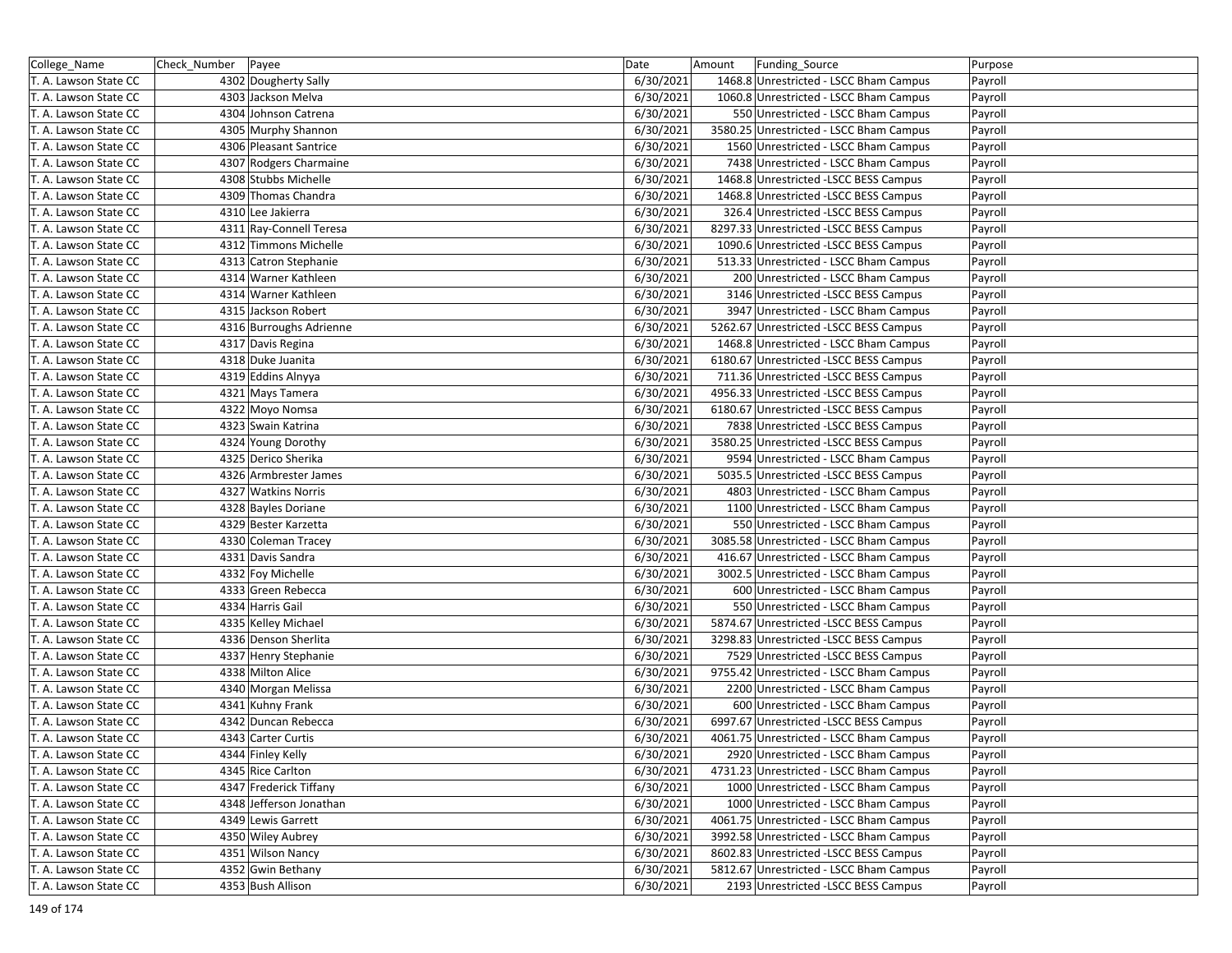| College_Name          | Check_Number | Payee                   | Date      | Amount | Funding_Source                          | Purpose |
|-----------------------|--------------|-------------------------|-----------|--------|-----------------------------------------|---------|
| T. A. Lawson State CC |              | 4302 Dougherty Sally    | 6/30/2021 |        | 1468.8 Unrestricted - LSCC Bham Campus  | Payroll |
| T. A. Lawson State CC |              | 4303 Jackson Melva      | 6/30/2021 |        | 1060.8 Unrestricted - LSCC Bham Campus  | Payroll |
| T. A. Lawson State CC |              | 4304 Johnson Catrena    | 6/30/2021 |        | 550 Unrestricted - LSCC Bham Campus     | Payroll |
| T. A. Lawson State CC |              | 4305 Murphy Shannon     | 6/30/2021 |        | 3580.25 Unrestricted - LSCC Bham Campus | Payroll |
| T. A. Lawson State CC |              | 4306 Pleasant Santrice  | 6/30/2021 |        | 1560 Unrestricted - LSCC Bham Campus    | Payroll |
| T. A. Lawson State CC |              | 4307 Rodgers Charmaine  | 6/30/2021 |        | 7438 Unrestricted - LSCC Bham Campus    | Payroll |
| T. A. Lawson State CC |              | 4308 Stubbs Michelle    | 6/30/2021 |        | 1468.8 Unrestricted -LSCC BESS Campus   | Payroll |
| T. A. Lawson State CC |              | 4309 Thomas Chandra     | 6/30/2021 |        | 1468.8 Unrestricted -LSCC BESS Campus   | Payroll |
| T. A. Lawson State CC |              | 4310 Lee Jakierra       | 6/30/2021 |        | 326.4 Unrestricted -LSCC BESS Campus    | Payroll |
| T. A. Lawson State CC |              | 4311 Ray-Connell Teresa | 6/30/2021 |        | 8297.33 Unrestricted -LSCC BESS Campus  | Payroll |
| T. A. Lawson State CC |              | 4312 Timmons Michelle   | 6/30/2021 |        | 1090.6 Unrestricted -LSCC BESS Campus   | Payroll |
| T. A. Lawson State CC |              | 4313 Catron Stephanie   | 6/30/2021 |        | 513.33 Unrestricted - LSCC Bham Campus  | Payroll |
| T. A. Lawson State CC |              | 4314 Warner Kathleen    | 6/30/2021 |        | 200 Unrestricted - LSCC Bham Campus     | Payroll |
| T. A. Lawson State CC |              | 4314 Warner Kathleen    | 6/30/2021 |        | 3146 Unrestricted -LSCC BESS Campus     | Payroll |
| T. A. Lawson State CC |              | 4315 Jackson Robert     | 6/30/2021 |        | 3947 Unrestricted - LSCC Bham Campus    | Payroll |
| T. A. Lawson State CC |              | 4316 Burroughs Adrienne | 6/30/2021 |        | 5262.67 Unrestricted -LSCC BESS Campus  | Payroll |
| T. A. Lawson State CC |              | 4317 Davis Regina       | 6/30/2021 |        | 1468.8 Unrestricted - LSCC Bham Campus  | Payroll |
| T. A. Lawson State CC |              | 4318 Duke Juanita       | 6/30/2021 |        | 6180.67 Unrestricted -LSCC BESS Campus  | Payroll |
| T. A. Lawson State CC |              | 4319 Eddins Alnyya      | 6/30/2021 |        | 711.36 Unrestricted -LSCC BESS Campus   | Payroll |
| T. A. Lawson State CC |              | 4321 Mays Tamera        | 6/30/2021 |        | 4956.33 Unrestricted -LSCC BESS Campus  | Payroll |
| T. A. Lawson State CC |              | 4322 Moyo Nomsa         | 6/30/2021 |        | 6180.67 Unrestricted -LSCC BESS Campus  | Payroll |
| T. A. Lawson State CC |              | 4323 Swain Katrina      | 6/30/2021 |        | 7838 Unrestricted -LSCC BESS Campus     | Payroll |
| T. A. Lawson State CC |              | 4324 Young Dorothy      | 6/30/2021 |        | 3580.25 Unrestricted -LSCC BESS Campus  | Payroll |
| T. A. Lawson State CC |              | 4325 Derico Sherika     | 6/30/2021 |        | 9594 Unrestricted - LSCC Bham Campus    | Payroll |
| T. A. Lawson State CC |              | 4326 Armbrester James   | 6/30/2021 |        | 5035.5 Unrestricted -LSCC BESS Campus   | Payroll |
| T. A. Lawson State CC |              | 4327 Watkins Norris     | 6/30/2021 |        | 4803 Unrestricted - LSCC Bham Campus    | Payroll |
| T. A. Lawson State CC |              | 4328 Bayles Doriane     | 6/30/2021 |        | 1100 Unrestricted - LSCC Bham Campus    | Payroll |
| T. A. Lawson State CC |              | 4329 Bester Karzetta    | 6/30/2021 |        | 550 Unrestricted - LSCC Bham Campus     | Payroll |
| T. A. Lawson State CC |              | 4330 Coleman Tracey     | 6/30/2021 |        | 3085.58 Unrestricted - LSCC Bham Campus | Payroll |
| T. A. Lawson State CC |              | 4331 Davis Sandra       | 6/30/2021 |        | 416.67 Unrestricted - LSCC Bham Campus  | Payroll |
| T. A. Lawson State CC |              | 4332 Foy Michelle       | 6/30/2021 |        | 3002.5 Unrestricted - LSCC Bham Campus  | Payroll |
| T. A. Lawson State CC |              | 4333 Green Rebecca      | 6/30/2021 |        | 600 Unrestricted - LSCC Bham Campus     | Payroll |
| T. A. Lawson State CC |              | 4334 Harris Gail        | 6/30/2021 |        | 550 Unrestricted - LSCC Bham Campus     | Payroll |
| T. A. Lawson State CC |              | 4335 Kelley Michael     | 6/30/2021 |        | 5874.67 Unrestricted -LSCC BESS Campus  | Payroll |
| T. A. Lawson State CC |              | 4336 Denson Sherlita    | 6/30/2021 |        | 3298.83 Unrestricted -LSCC BESS Campus  | Payroll |
| T. A. Lawson State CC |              | 4337 Henry Stephanie    | 6/30/2021 |        | 7529 Unrestricted -LSCC BESS Campus     | Payroll |
| T. A. Lawson State CC |              | 4338 Milton Alice       | 6/30/2021 |        | 9755.42 Unrestricted - LSCC Bham Campus | Payroll |
| T. A. Lawson State CC |              | 4340 Morgan Melissa     | 6/30/2021 |        | 2200 Unrestricted - LSCC Bham Campus    | Payroll |
| T. A. Lawson State CC |              | 4341 Kuhny Frank        | 6/30/2021 |        | 600 Unrestricted - LSCC Bham Campus     | Payroll |
| T. A. Lawson State CC |              | 4342 Duncan Rebecca     | 6/30/2021 |        | 6997.67 Unrestricted -LSCC BESS Campus  | Payroll |
| T. A. Lawson State CC |              | 4343 Carter Curtis      | 6/30/2021 |        | 4061.75 Unrestricted - LSCC Bham Campus | Payroll |
| T. A. Lawson State CC |              | 4344 Finley Kelly       | 6/30/2021 |        | 2920 Unrestricted - LSCC Bham Campus    | Payroll |
| T. A. Lawson State CC |              | 4345 Rice Carlton       | 6/30/2021 |        | 4731.23 Unrestricted - LSCC Bham Campus | Payroll |
| T. A. Lawson State CC |              | 4347 Frederick Tiffany  | 6/30/2021 |        | 1000 Unrestricted - LSCC Bham Campus    | Payroll |
| T. A. Lawson State CC |              | 4348 Jefferson Jonathan | 6/30/2021 |        | 1000 Unrestricted - LSCC Bham Campus    | Payroll |
| T. A. Lawson State CC |              | 4349 Lewis Garrett      | 6/30/2021 |        | 4061.75 Unrestricted - LSCC Bham Campus | Payroll |
| T. A. Lawson State CC |              | 4350 Wiley Aubrey       | 6/30/2021 |        | 3992.58 Unrestricted - LSCC Bham Campus | Payroll |
| T. A. Lawson State CC |              | 4351 Wilson Nancy       | 6/30/2021 |        | 8602.83 Unrestricted -LSCC BESS Campus  | Payroll |
| T. A. Lawson State CC |              | 4352 Gwin Bethany       | 6/30/2021 |        | 5812.67 Unrestricted - LSCC Bham Campus | Payroll |
| T. A. Lawson State CC |              | 4353 Bush Allison       | 6/30/2021 |        | 2193 Unrestricted -LSCC BESS Campus     | Payroll |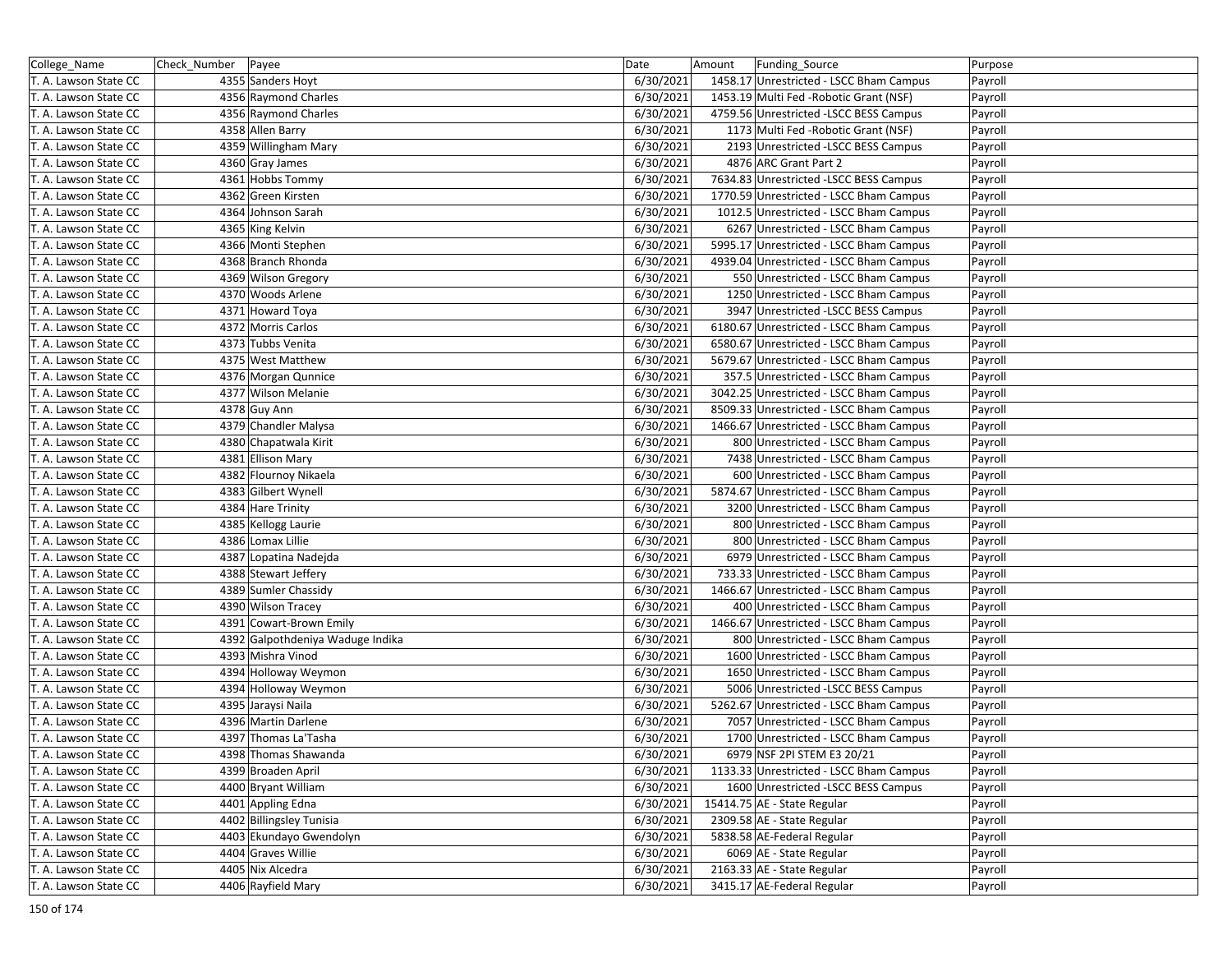| College_Name          | Check_Number Payee |                                  | Date      | Amount | Funding_Source                          | Purpose |
|-----------------------|--------------------|----------------------------------|-----------|--------|-----------------------------------------|---------|
| T. A. Lawson State CC |                    | 4355 Sanders Hoyt                | 6/30/2021 |        | 1458.17 Unrestricted - LSCC Bham Campus | Payroll |
| T. A. Lawson State CC |                    | 4356 Raymond Charles             | 6/30/2021 |        | 1453.19 Multi Fed - Robotic Grant (NSF) | Payroll |
| T. A. Lawson State CC |                    | 4356 Raymond Charles             | 6/30/2021 |        | 4759.56 Unrestricted -LSCC BESS Campus  | Payroll |
| T. A. Lawson State CC |                    | 4358 Allen Barry                 | 6/30/2021 |        | 1173 Multi Fed - Robotic Grant (NSF)    | Payroll |
| T. A. Lawson State CC |                    | 4359 Willingham Mary             | 6/30/2021 |        | 2193 Unrestricted -LSCC BESS Campus     | Payroll |
| T. A. Lawson State CC |                    | 4360 Gray James                  | 6/30/2021 |        | 4876 ARC Grant Part 2                   | Payroll |
| T. A. Lawson State CC |                    | 4361 Hobbs Tommy                 | 6/30/2021 |        | 7634.83 Unrestricted -LSCC BESS Campus  | Payroll |
| T. A. Lawson State CC |                    | 4362 Green Kirsten               | 6/30/2021 |        | 1770.59 Unrestricted - LSCC Bham Campus | Payroll |
| T. A. Lawson State CC |                    | 4364 Johnson Sarah               | 6/30/2021 |        | 1012.5 Unrestricted - LSCC Bham Campus  | Payroll |
| T. A. Lawson State CC |                    | 4365 King Kelvin                 | 6/30/2021 |        | 6267 Unrestricted - LSCC Bham Campus    | Payroll |
| T. A. Lawson State CC |                    | 4366 Monti Stephen               | 6/30/2021 |        | 5995.17 Unrestricted - LSCC Bham Campus | Payroll |
| T. A. Lawson State CC |                    | 4368 Branch Rhonda               | 6/30/2021 |        | 4939.04 Unrestricted - LSCC Bham Campus | Payroll |
| T. A. Lawson State CC |                    | 4369 Wilson Gregory              | 6/30/2021 |        | 550 Unrestricted - LSCC Bham Campus     | Payroll |
| T. A. Lawson State CC |                    | 4370 Woods Arlene                | 6/30/2021 |        | 1250 Unrestricted - LSCC Bham Campus    | Payroll |
| T. A. Lawson State CC |                    | 4371 Howard Toya                 | 6/30/2021 |        | 3947 Unrestricted -LSCC BESS Campus     | Payroll |
| T. A. Lawson State CC |                    | 4372 Morris Carlos               | 6/30/2021 |        | 6180.67 Unrestricted - LSCC Bham Campus | Payroll |
| T. A. Lawson State CC |                    | 4373 Tubbs Venita                | 6/30/2021 |        | 6580.67 Unrestricted - LSCC Bham Campus | Payroll |
| T. A. Lawson State CC |                    | 4375 West Matthew                | 6/30/2021 |        | 5679.67 Unrestricted - LSCC Bham Campus | Payroll |
| T. A. Lawson State CC |                    | 4376 Morgan Qunnice              | 6/30/2021 |        | 357.5 Unrestricted - LSCC Bham Campus   | Payroll |
| T. A. Lawson State CC |                    | 4377 Wilson Melanie              | 6/30/2021 |        | 3042.25 Unrestricted - LSCC Bham Campus | Payroll |
| T. A. Lawson State CC |                    | 4378 Guy Ann                     | 6/30/2021 |        | 8509.33 Unrestricted - LSCC Bham Campus | Payroll |
| T. A. Lawson State CC |                    | 4379 Chandler Malysa             | 6/30/2021 |        | 1466.67 Unrestricted - LSCC Bham Campus | Payroll |
| T. A. Lawson State CC |                    | 4380 Chapatwala Kirit            | 6/30/2021 |        | 800 Unrestricted - LSCC Bham Campus     | Payroll |
| T. A. Lawson State CC |                    | 4381 Ellison Mary                | 6/30/2021 |        | 7438 Unrestricted - LSCC Bham Campus    | Payroll |
| T. A. Lawson State CC |                    | 4382 Flournoy Nikaela            | 6/30/2021 |        | 600 Unrestricted - LSCC Bham Campus     | Payroll |
| T. A. Lawson State CC |                    | 4383 Gilbert Wynell              | 6/30/2021 |        | 5874.67 Unrestricted - LSCC Bham Campus | Payroll |
| T. A. Lawson State CC |                    | 4384 Hare Trinity                | 6/30/2021 |        | 3200 Unrestricted - LSCC Bham Campus    | Payroll |
| T. A. Lawson State CC |                    | 4385 Kellogg Laurie              | 6/30/2021 |        | 800 Unrestricted - LSCC Bham Campus     | Payroll |
| T. A. Lawson State CC |                    | 4386 Lomax Lillie                | 6/30/2021 |        | 800 Unrestricted - LSCC Bham Campus     | Payroll |
| T. A. Lawson State CC |                    | 4387 Lopatina Nadejda            | 6/30/2021 |        | 6979 Unrestricted - LSCC Bham Campus    | Payroll |
| T. A. Lawson State CC |                    | 4388 Stewart Jeffery             | 6/30/2021 |        | 733.33 Unrestricted - LSCC Bham Campus  | Payroll |
| T. A. Lawson State CC |                    | 4389 Sumler Chassidy             | 6/30/2021 |        | 1466.67 Unrestricted - LSCC Bham Campus | Payroll |
| T. A. Lawson State CC |                    | 4390 Wilson Tracey               | 6/30/2021 |        | 400 Unrestricted - LSCC Bham Campus     | Payroll |
| T. A. Lawson State CC |                    | 4391 Cowart-Brown Emily          | 6/30/2021 |        | 1466.67 Unrestricted - LSCC Bham Campus | Payroll |
| T. A. Lawson State CC |                    | 4392 Galpothdeniya Waduge Indika | 6/30/2021 |        | 800 Unrestricted - LSCC Bham Campus     | Payroll |
| T. A. Lawson State CC |                    | 4393 Mishra Vinod                | 6/30/2021 |        | 1600 Unrestricted - LSCC Bham Campus    | Payroll |
| T. A. Lawson State CC |                    | 4394 Holloway Weymon             | 6/30/2021 |        | 1650 Unrestricted - LSCC Bham Campus    | Payroll |
| T. A. Lawson State CC |                    | 4394 Holloway Weymon             | 6/30/2021 |        | 5006 Unrestricted -LSCC BESS Campus     | Payroll |
| T. A. Lawson State CC |                    | 4395 Jaraysi Naila               | 6/30/2021 |        | 5262.67 Unrestricted - LSCC Bham Campus | Payroll |
| T. A. Lawson State CC |                    | 4396 Martin Darlene              | 6/30/2021 |        | 7057 Unrestricted - LSCC Bham Campus    | Payroll |
| T. A. Lawson State CC |                    | 4397 Thomas La'Tasha             | 6/30/2021 |        | 1700 Unrestricted - LSCC Bham Campus    | Payroll |
| T. A. Lawson State CC |                    | 4398 Thomas Shawanda             | 6/30/2021 |        | 6979 NSF 2PI STEM E3 20/21              | Payroll |
| T. A. Lawson State CC |                    | 4399 Broaden April               | 6/30/2021 |        | 1133.33 Unrestricted - LSCC Bham Campus | Payroll |
| T. A. Lawson State CC |                    | 4400 Bryant William              | 6/30/2021 |        | 1600 Unrestricted -LSCC BESS Campus     | Payroll |
| T. A. Lawson State CC |                    | 4401 Appling Edna                | 6/30/2021 |        | 15414.75 AE - State Regular             | Payroll |
| T. A. Lawson State CC |                    | 4402 Billingsley Tunisia         | 6/30/2021 |        | 2309.58 AE - State Regular              | Payroll |
| T. A. Lawson State CC |                    | 4403 Ekundayo Gwendolyn          | 6/30/2021 |        | 5838.58 AE-Federal Regular              | Payroll |
| T. A. Lawson State CC |                    | 4404 Graves Willie               | 6/30/2021 |        | 6069 AE - State Regular                 | Payroll |
| T. A. Lawson State CC |                    | 4405 Nix Alcedra                 | 6/30/2021 |        | 2163.33 AE - State Regular              | Payroll |
| T. A. Lawson State CC |                    | 4406 Rayfield Mary               | 6/30/2021 |        | 3415.17 AE-Federal Regular              | Payroll |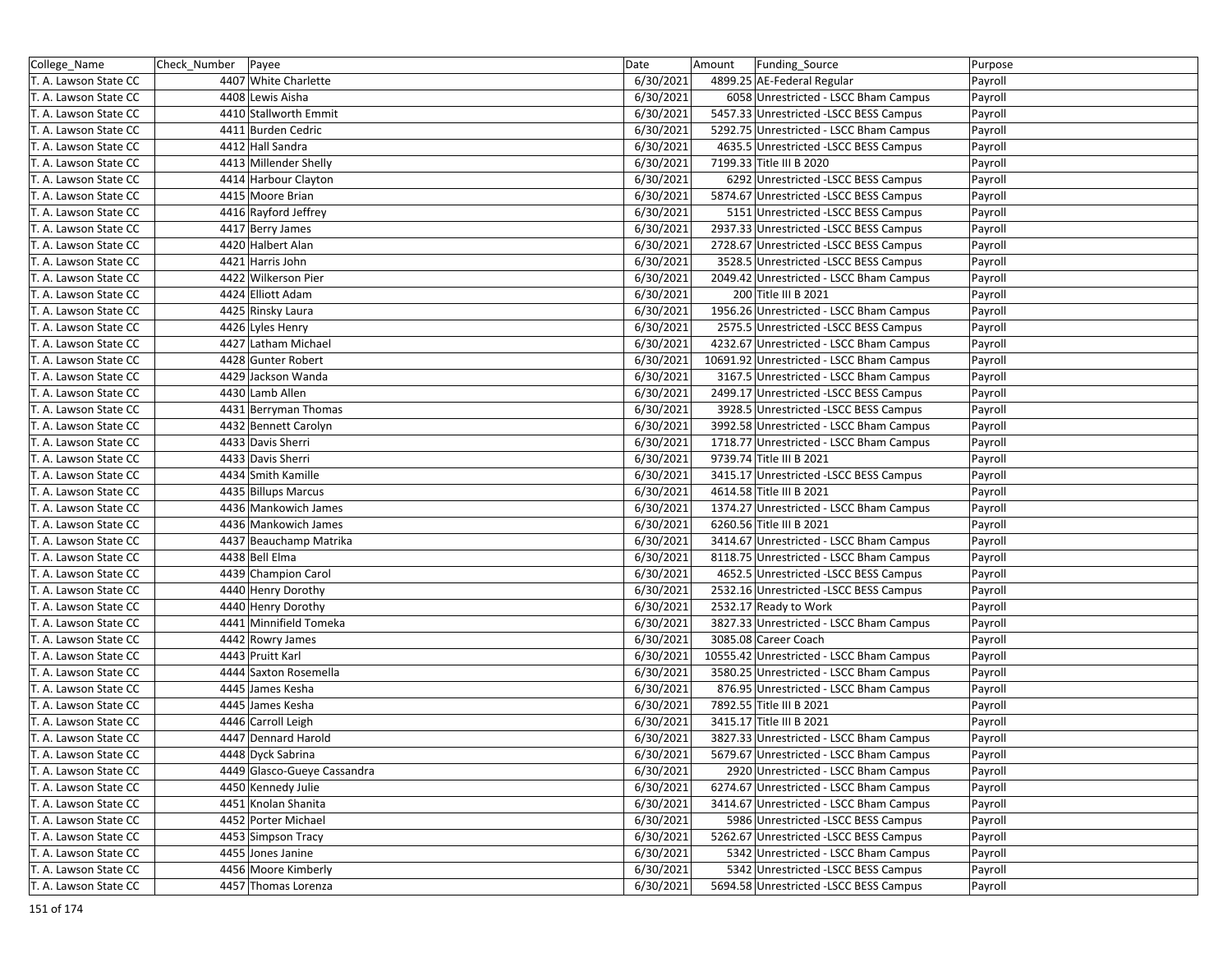| College_Name          | Check Number   Payee |                             | Date      | Amount | Funding_Source                           | Purpose |
|-----------------------|----------------------|-----------------------------|-----------|--------|------------------------------------------|---------|
| T. A. Lawson State CC |                      | 4407 White Charlette        | 6/30/2021 |        | 4899.25 AE-Federal Regular               | Payroll |
| T. A. Lawson State CC |                      | 4408 Lewis Aisha            | 6/30/2021 |        | 6058 Unrestricted - LSCC Bham Campus     | Payroll |
| T. A. Lawson State CC |                      | 4410 Stallworth Emmit       | 6/30/2021 |        | 5457.33 Unrestricted -LSCC BESS Campus   | Payroll |
| T. A. Lawson State CC |                      | 4411 Burden Cedric          | 6/30/2021 |        | 5292.75 Unrestricted - LSCC Bham Campus  | Payroll |
| T. A. Lawson State CC |                      | 4412 Hall Sandra            | 6/30/2021 |        | 4635.5 Unrestricted -LSCC BESS Campus    | Payroll |
| T. A. Lawson State CC |                      | 4413 Millender Shelly       | 6/30/2021 |        | 7199.33 Title III B 2020                 | Payroll |
| T. A. Lawson State CC |                      | 4414 Harbour Clayton        | 6/30/2021 |        | 6292 Unrestricted -LSCC BESS Campus      | Payroll |
| T. A. Lawson State CC |                      | 4415 Moore Brian            | 6/30/2021 |        | 5874.67 Unrestricted -LSCC BESS Campus   | Payroll |
| T. A. Lawson State CC |                      | 4416 Rayford Jeffrey        | 6/30/2021 |        | 5151 Unrestricted -LSCC BESS Campus      | Payroll |
| T. A. Lawson State CC |                      | 4417 Berry James            | 6/30/2021 |        | 2937.33 Unrestricted -LSCC BESS Campus   | Payroll |
| T. A. Lawson State CC |                      | 4420 Halbert Alan           | 6/30/2021 |        | 2728.67 Unrestricted -LSCC BESS Campus   | Payroll |
| T. A. Lawson State CC |                      | 4421 Harris John            | 6/30/2021 |        | 3528.5 Unrestricted -LSCC BESS Campus    | Payroll |
| T. A. Lawson State CC |                      | 4422 Wilkerson Pier         | 6/30/2021 |        | 2049.42 Unrestricted - LSCC Bham Campus  | Payroll |
| T. A. Lawson State CC |                      | 4424 Elliott Adam           | 6/30/2021 |        | 200 Title III B 2021                     | Payroll |
| T. A. Lawson State CC |                      | 4425 Rinsky Laura           | 6/30/2021 |        | 1956.26 Unrestricted - LSCC Bham Campus  | Payroll |
| T. A. Lawson State CC |                      | 4426 Lyles Henry            | 6/30/2021 |        | 2575.5 Unrestricted -LSCC BESS Campus    | Payroll |
| T. A. Lawson State CC |                      | 4427 Latham Michael         | 6/30/2021 |        | 4232.67 Unrestricted - LSCC Bham Campus  | Payroll |
| T. A. Lawson State CC |                      | 4428 Gunter Robert          | 6/30/2021 |        | 10691.92 Unrestricted - LSCC Bham Campus | Payroll |
| T. A. Lawson State CC |                      | 4429 Jackson Wanda          | 6/30/2021 |        | 3167.5 Unrestricted - LSCC Bham Campus   | Payroll |
| T. A. Lawson State CC |                      | 4430 Lamb Allen             | 6/30/2021 |        | 2499.17 Unrestricted -LSCC BESS Campus   | Payroll |
| T. A. Lawson State CC |                      | 4431 Berryman Thomas        | 6/30/2021 |        | 3928.5 Unrestricted -LSCC BESS Campus    | Payroll |
| T. A. Lawson State CC |                      | 4432 Bennett Carolyn        | 6/30/2021 |        | 3992.58 Unrestricted - LSCC Bham Campus  | Payroll |
| T. A. Lawson State CC |                      | 4433 Davis Sherri           | 6/30/2021 |        | 1718.77 Unrestricted - LSCC Bham Campus  | Payroll |
| T. A. Lawson State CC |                      | 4433 Davis Sherri           | 6/30/2021 |        | 9739.74 Title III B 2021                 | Payroll |
| T. A. Lawson State CC |                      | 4434 Smith Kamille          | 6/30/2021 |        | 3415.17 Unrestricted -LSCC BESS Campus   | Payroll |
| T. A. Lawson State CC |                      | 4435 Billups Marcus         | 6/30/2021 |        | 4614.58 Title III B 2021                 | Payroll |
| T. A. Lawson State CC |                      | 4436 Mankowich James        | 6/30/2021 |        | 1374.27 Unrestricted - LSCC Bham Campus  | Payroll |
| T. A. Lawson State CC |                      | 4436 Mankowich James        | 6/30/2021 |        | 6260.56 Title III B 2021                 | Payroll |
| T. A. Lawson State CC |                      | 4437 Beauchamp Matrika      | 6/30/2021 |        | 3414.67 Unrestricted - LSCC Bham Campus  | Payroll |
| T. A. Lawson State CC |                      | 4438 Bell Elma              | 6/30/2021 |        | 8118.75 Unrestricted - LSCC Bham Campus  | Payroll |
| T. A. Lawson State CC |                      | 4439 Champion Carol         | 6/30/2021 |        | 4652.5 Unrestricted -LSCC BESS Campus    | Payroll |
| T. A. Lawson State CC |                      | 4440 Henry Dorothy          | 6/30/2021 |        | 2532.16 Unrestricted -LSCC BESS Campus   | Payroll |
| T. A. Lawson State CC |                      | 4440 Henry Dorothy          | 6/30/2021 |        | 2532.17 Ready to Work                    | Payroll |
| T. A. Lawson State CC |                      | 4441 Minnifield Tomeka      | 6/30/2021 |        | 3827.33 Unrestricted - LSCC Bham Campus  | Payroll |
| T. A. Lawson State CC |                      | 4442 Rowry James            | 6/30/2021 |        | 3085.08 Career Coach                     | Payroll |
| T. A. Lawson State CC |                      | 4443 Pruitt Karl            | 6/30/2021 |        | 10555.42 Unrestricted - LSCC Bham Campus | Payroll |
| T. A. Lawson State CC |                      | 4444 Saxton Rosemella       | 6/30/2021 |        | 3580.25 Unrestricted - LSCC Bham Campus  | Payroll |
| T. A. Lawson State CC |                      | 4445 James Kesha            | 6/30/2021 |        | 876.95 Unrestricted - LSCC Bham Campus   | Payroll |
| T. A. Lawson State CC |                      | 4445 James Kesha            | 6/30/2021 |        | 7892.55 Title III B 2021                 | Payroll |
| T. A. Lawson State CC |                      | 4446 Carroll Leigh          | 6/30/2021 |        | 3415.17 Title III B 2021                 | Payroll |
| T. A. Lawson State CC |                      | 4447 Dennard Harold         | 6/30/2021 |        | 3827.33 Unrestricted - LSCC Bham Campus  | Payroll |
| T. A. Lawson State CC |                      | 4448 Dyck Sabrina           | 6/30/2021 |        | 5679.67 Unrestricted - LSCC Bham Campus  | Payroll |
| T. A. Lawson State CC |                      | 4449 Glasco-Gueye Cassandra | 6/30/2021 |        | 2920 Unrestricted - LSCC Bham Campus     | Payroll |
| T. A. Lawson State CC |                      | 4450 Kennedy Julie          | 6/30/2021 |        | 6274.67 Unrestricted - LSCC Bham Campus  | Payroll |
| T. A. Lawson State CC |                      | 4451 Knolan Shanita         | 6/30/2021 |        | 3414.67 Unrestricted - LSCC Bham Campus  | Payroll |
| T. A. Lawson State CC |                      | 4452 Porter Michael         | 6/30/2021 |        | 5986 Unrestricted -LSCC BESS Campus      | Payroll |
| T. A. Lawson State CC |                      | 4453 Simpson Tracy          | 6/30/2021 |        | 5262.67 Unrestricted -LSCC BESS Campus   | Payroll |
| T. A. Lawson State CC |                      | 4455 Jones Janine           | 6/30/2021 |        | 5342 Unrestricted - LSCC Bham Campus     | Payroll |
| T. A. Lawson State CC |                      | 4456 Moore Kimberly         | 6/30/2021 |        | 5342 Unrestricted -LSCC BESS Campus      | Payroll |
| T. A. Lawson State CC |                      | 4457 Thomas Lorenza         | 6/30/2021 |        | 5694.58 Unrestricted -LSCC BESS Campus   | Payroll |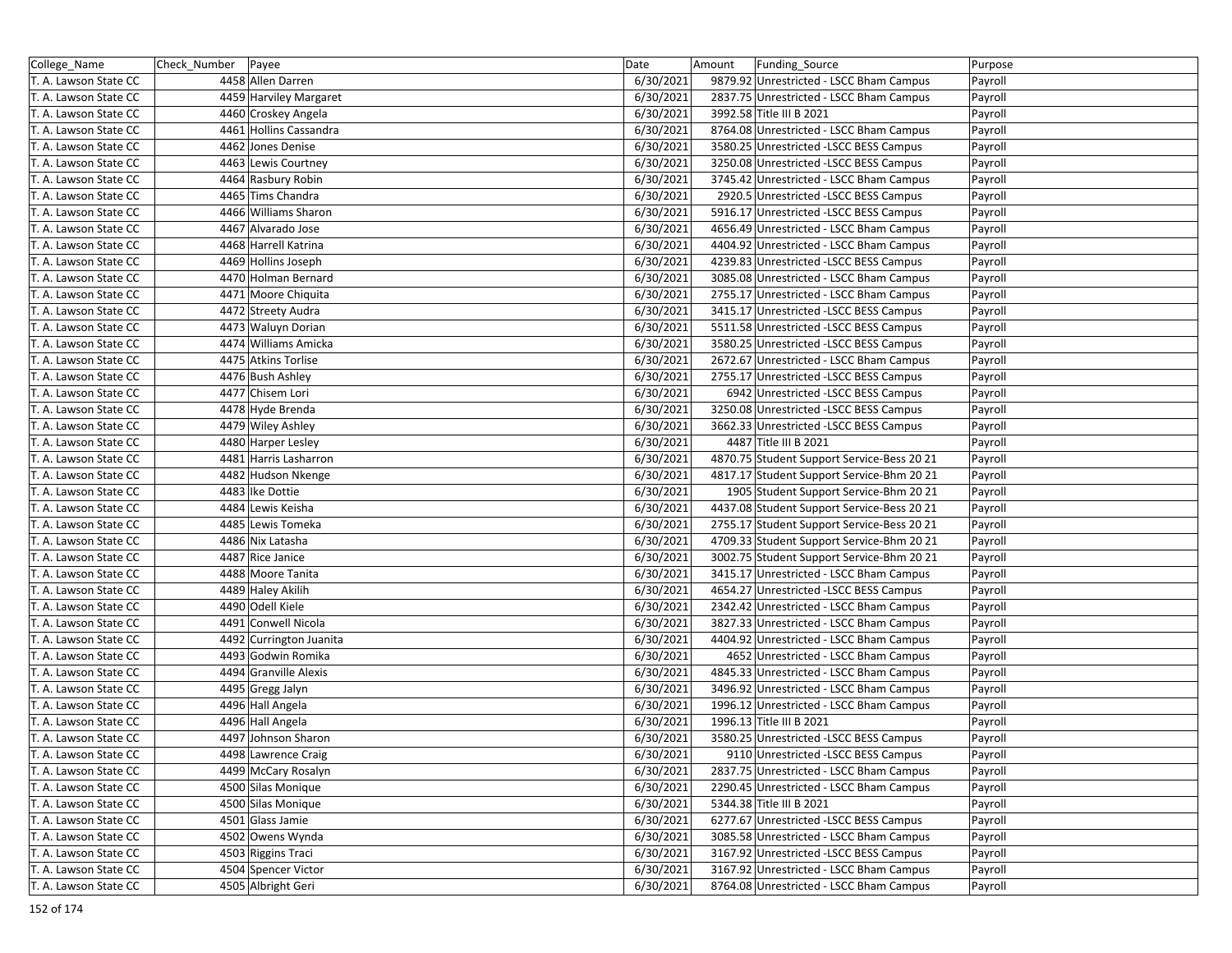| College_Name          | Check_Number   Payee |                         | Date      | Amount | Funding_Source                             | Purpose |
|-----------------------|----------------------|-------------------------|-----------|--------|--------------------------------------------|---------|
| T. A. Lawson State CC |                      | 4458 Allen Darren       | 6/30/2021 |        | 9879.92 Unrestricted - LSCC Bham Campus    | Payroll |
| T. A. Lawson State CC |                      | 4459 Harviley Margaret  | 6/30/2021 |        | 2837.75 Unrestricted - LSCC Bham Campus    | Payroll |
| T. A. Lawson State CC |                      | 4460 Croskey Angela     | 6/30/2021 |        | 3992.58 Title III B 2021                   | Payroll |
| T. A. Lawson State CC |                      | 4461 Hollins Cassandra  | 6/30/2021 |        | 8764.08 Unrestricted - LSCC Bham Campus    | Payroll |
| T. A. Lawson State CC |                      | 4462 Jones Denise       | 6/30/2021 |        | 3580.25 Unrestricted -LSCC BESS Campus     | Payroll |
| T. A. Lawson State CC |                      | 4463 Lewis Courtney     | 6/30/2021 |        | 3250.08 Unrestricted -LSCC BESS Campus     | Payroll |
| T. A. Lawson State CC |                      | 4464 Rasbury Robin      | 6/30/2021 |        | 3745.42 Unrestricted - LSCC Bham Campus    | Payroll |
| T. A. Lawson State CC |                      | 4465 Tims Chandra       | 6/30/2021 |        | 2920.5 Unrestricted -LSCC BESS Campus      | Payroll |
| T. A. Lawson State CC |                      | 4466 Williams Sharon    | 6/30/2021 |        | 5916.17 Unrestricted -LSCC BESS Campus     | Payroll |
| T. A. Lawson State CC |                      | 4467 Alvarado Jose      | 6/30/2021 |        | 4656.49 Unrestricted - LSCC Bham Campus    | Payroll |
| T. A. Lawson State CC |                      | 4468 Harrell Katrina    | 6/30/2021 |        | 4404.92 Unrestricted - LSCC Bham Campus    | Payroll |
| T. A. Lawson State CC |                      | 4469 Hollins Joseph     | 6/30/2021 |        | 4239.83 Unrestricted -LSCC BESS Campus     | Payroll |
| T. A. Lawson State CC |                      | 4470 Holman Bernard     | 6/30/2021 |        | 3085.08 Unrestricted - LSCC Bham Campus    | Payroll |
| T. A. Lawson State CC |                      | 4471 Moore Chiquita     | 6/30/2021 |        | 2755.17 Unrestricted - LSCC Bham Campus    | Payroll |
| T. A. Lawson State CC |                      | 4472 Streety Audra      | 6/30/2021 |        | 3415.17 Unrestricted -LSCC BESS Campus     | Payroll |
| T. A. Lawson State CC |                      | 4473 Waluyn Dorian      | 6/30/2021 |        | 5511.58 Unrestricted -LSCC BESS Campus     | Payroll |
| T. A. Lawson State CC |                      | 4474 Williams Amicka    | 6/30/2021 |        | 3580.25 Unrestricted -LSCC BESS Campus     | Payroll |
| T. A. Lawson State CC |                      | 4475 Atkins Torlise     | 6/30/2021 |        | 2672.67 Unrestricted - LSCC Bham Campus    | Payroll |
| T. A. Lawson State CC |                      | 4476 Bush Ashley        | 6/30/2021 |        | 2755.17 Unrestricted -LSCC BESS Campus     | Payroll |
| T. A. Lawson State CC |                      | 4477 Chisem Lori        | 6/30/2021 |        | 6942 Unrestricted -LSCC BESS Campus        | Payroll |
| T. A. Lawson State CC |                      | 4478 Hyde Brenda        | 6/30/2021 |        | 3250.08 Unrestricted -LSCC BESS Campus     | Payroll |
| T. A. Lawson State CC |                      | 4479 Wiley Ashley       | 6/30/2021 |        | 3662.33 Unrestricted -LSCC BESS Campus     | Payroll |
| T. A. Lawson State CC |                      | 4480 Harper Lesley      | 6/30/2021 |        | 4487 Title III B 2021                      | Payroll |
| T. A. Lawson State CC |                      | 4481 Harris Lasharron   | 6/30/2021 |        | 4870.75 Student Support Service-Bess 20 21 | Payroll |
| T. A. Lawson State CC |                      | 4482 Hudson Nkenge      | 6/30/2021 |        | 4817.17 Student Support Service-Bhm 20 21  | Payroll |
| T. A. Lawson State CC |                      | 4483 Ike Dottie         | 6/30/2021 |        | 1905 Student Support Service-Bhm 20 21     | Payroll |
| T. A. Lawson State CC |                      | 4484 Lewis Keisha       | 6/30/2021 |        | 4437.08 Student Support Service-Bess 20 21 | Payroll |
| T. A. Lawson State CC |                      | 4485 Lewis Tomeka       | 6/30/2021 |        | 2755.17 Student Support Service-Bess 20 21 | Payroll |
| T. A. Lawson State CC |                      | 4486 Nix Latasha        | 6/30/2021 |        | 4709.33 Student Support Service-Bhm 20 21  | Payroll |
| T. A. Lawson State CC |                      | 4487 Rice Janice        | 6/30/2021 |        | 3002.75 Student Support Service-Bhm 20 21  | Payroll |
| T. A. Lawson State CC |                      | 4488 Moore Tanita       | 6/30/2021 |        | 3415.17 Unrestricted - LSCC Bham Campus    | Payroll |
| T. A. Lawson State CC |                      | 4489 Haley Akilih       | 6/30/2021 |        | 4654.27 Unrestricted -LSCC BESS Campus     | Payroll |
| T. A. Lawson State CC |                      | 4490 Odell Kiele        | 6/30/2021 |        | 2342.42 Unrestricted - LSCC Bham Campus    | Payroll |
| T. A. Lawson State CC |                      | 4491 Conwell Nicola     | 6/30/2021 |        | 3827.33 Unrestricted - LSCC Bham Campus    | Payroll |
| T. A. Lawson State CC |                      | 4492 Currington Juanita | 6/30/2021 |        | 4404.92 Unrestricted - LSCC Bham Campus    | Payroll |
| T. A. Lawson State CC |                      | 4493 Godwin Romika      | 6/30/2021 |        | 4652 Unrestricted - LSCC Bham Campus       | Payroll |
| T. A. Lawson State CC |                      | 4494 Granville Alexis   | 6/30/2021 |        | 4845.33 Unrestricted - LSCC Bham Campus    | Payroll |
| T. A. Lawson State CC |                      | 4495 Gregg Jalyn        | 6/30/2021 |        | 3496.92 Unrestricted - LSCC Bham Campus    | Payroll |
| T. A. Lawson State CC |                      | 4496 Hall Angela        | 6/30/2021 |        | 1996.12 Unrestricted - LSCC Bham Campus    | Payroll |
| T. A. Lawson State CC |                      | 4496 Hall Angela        | 6/30/2021 |        | 1996.13 Title III B 2021                   | Payroll |
| T. A. Lawson State CC |                      | 4497 Johnson Sharon     | 6/30/2021 |        | 3580.25 Unrestricted -LSCC BESS Campus     | Payroll |
| T. A. Lawson State CC |                      | 4498 Lawrence Craig     | 6/30/2021 |        | 9110 Unrestricted -LSCC BESS Campus        | Payroll |
| T. A. Lawson State CC |                      | 4499 McCary Rosalyn     | 6/30/2021 |        | 2837.75 Unrestricted - LSCC Bham Campus    | Payroll |
| T. A. Lawson State CC |                      | 4500 Silas Monique      | 6/30/2021 |        | 2290.45 Unrestricted - LSCC Bham Campus    | Payroll |
| T. A. Lawson State CC |                      | 4500 Silas Monique      | 6/30/2021 |        | 5344.38 Title III B 2021                   | Payroll |
| T. A. Lawson State CC |                      | 4501 Glass Jamie        | 6/30/2021 |        | 6277.67 Unrestricted -LSCC BESS Campus     | Payroll |
| T. A. Lawson State CC |                      | 4502 Owens Wynda        | 6/30/2021 |        | 3085.58 Unrestricted - LSCC Bham Campus    | Payroll |
| T. A. Lawson State CC |                      | 4503 Riggins Traci      | 6/30/2021 |        | 3167.92 Unrestricted -LSCC BESS Campus     | Payroll |
| T. A. Lawson State CC |                      | 4504 Spencer Victor     | 6/30/2021 |        | 3167.92 Unrestricted - LSCC Bham Campus    | Payroll |
| T. A. Lawson State CC |                      | 4505 Albright Geri      | 6/30/2021 |        | 8764.08 Unrestricted - LSCC Bham Campus    | Payroll |
|                       |                      |                         |           |        |                                            |         |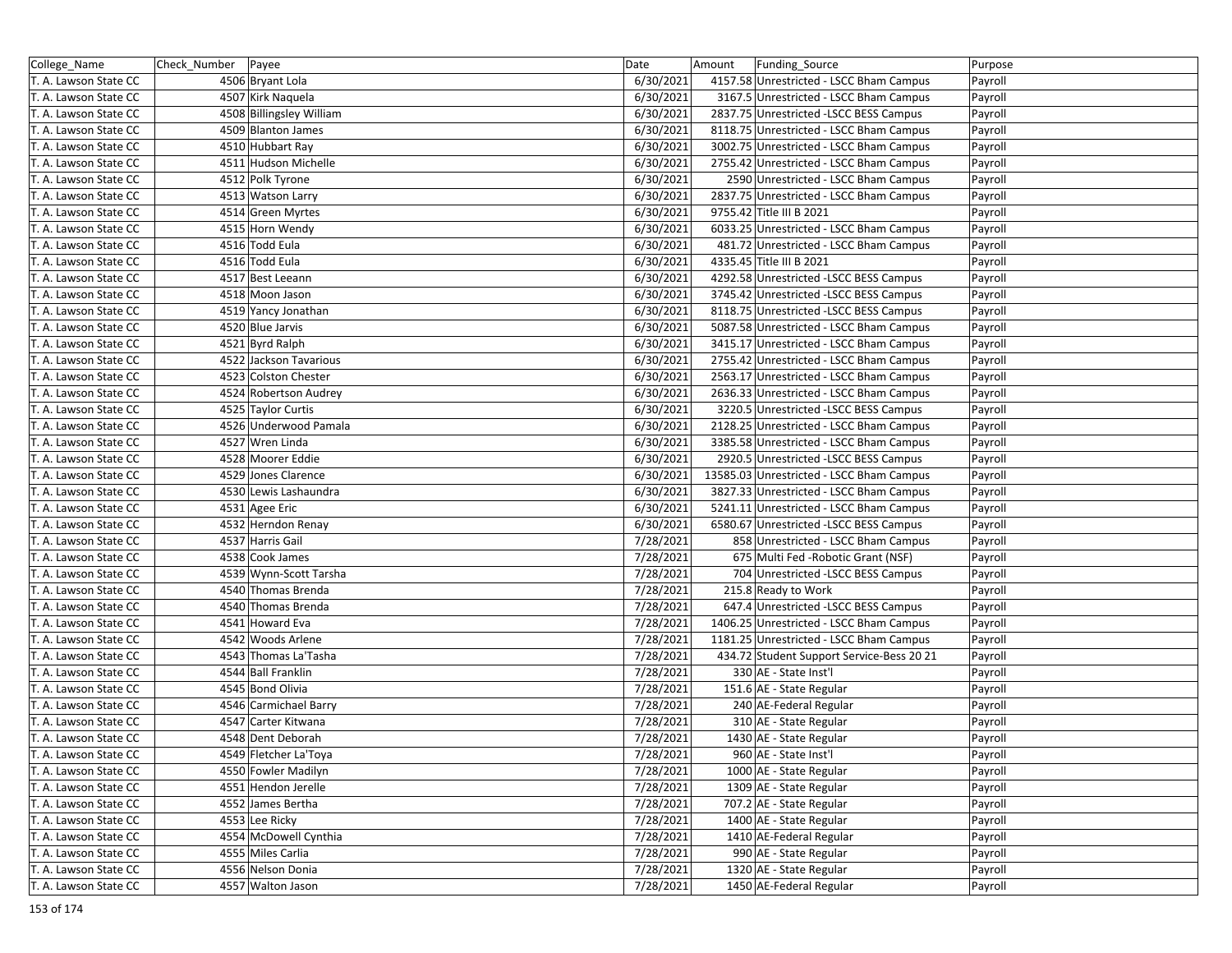| College_Name          | Check_Number   Payee |                          | Date      | Amount | Funding Source                            | Purpose |
|-----------------------|----------------------|--------------------------|-----------|--------|-------------------------------------------|---------|
| T. A. Lawson State CC |                      | 4506 Bryant Lola         | 6/30/2021 |        | 4157.58 Unrestricted - LSCC Bham Campus   | Payroll |
| T. A. Lawson State CC |                      | 4507 Kirk Naquela        | 6/30/2021 |        | 3167.5 Unrestricted - LSCC Bham Campus    | Payroll |
| T. A. Lawson State CC |                      | 4508 Billingsley William | 6/30/2021 |        | 2837.75 Unrestricted -LSCC BESS Campus    | Payroll |
| T. A. Lawson State CC |                      | 4509 Blanton James       | 6/30/2021 |        | 8118.75 Unrestricted - LSCC Bham Campus   | Payroll |
| T. A. Lawson State CC |                      | 4510 Hubbart Ray         | 6/30/2021 |        | 3002.75 Unrestricted - LSCC Bham Campus   | Payroll |
| T. A. Lawson State CC |                      | 4511 Hudson Michelle     | 6/30/2021 |        | 2755.42 Unrestricted - LSCC Bham Campus   | Payroll |
| T. A. Lawson State CC |                      | 4512 Polk Tyrone         | 6/30/2021 |        | 2590 Unrestricted - LSCC Bham Campus      | Payroll |
| T. A. Lawson State CC |                      | 4513 Watson Larry        | 6/30/2021 |        | 2837.75 Unrestricted - LSCC Bham Campus   | Payroll |
| T. A. Lawson State CC |                      | 4514 Green Myrtes        | 6/30/2021 |        | 9755.42 Title III B 2021                  | Payroll |
| T. A. Lawson State CC |                      | 4515 Horn Wendy          | 6/30/2021 |        | 6033.25 Unrestricted - LSCC Bham Campus   | Payroll |
| T. A. Lawson State CC |                      | 4516 Todd Eula           | 6/30/2021 |        | 481.72 Unrestricted - LSCC Bham Campus    | Payroll |
| T. A. Lawson State CC |                      | 4516 Todd Eula           | 6/30/2021 |        | 4335.45 Title III B 2021                  | Payroll |
| T. A. Lawson State CC |                      | 4517 Best Leeann         | 6/30/2021 |        | 4292.58 Unrestricted -LSCC BESS Campus    | Payroll |
| T. A. Lawson State CC |                      | 4518 Moon Jason          | 6/30/2021 |        | 3745.42 Unrestricted -LSCC BESS Campus    | Payroll |
| T. A. Lawson State CC |                      | 4519 Yancy Jonathan      | 6/30/2021 |        | 8118.75 Unrestricted -LSCC BESS Campus    | Payroll |
| T. A. Lawson State CC |                      | 4520 Blue Jarvis         | 6/30/2021 |        | 5087.58 Unrestricted - LSCC Bham Campus   | Payroll |
| T. A. Lawson State CC |                      | 4521 Byrd Ralph          | 6/30/2021 |        | 3415.17 Unrestricted - LSCC Bham Campus   | Payroll |
| T. A. Lawson State CC |                      | 4522 Jackson Tavarious   | 6/30/2021 |        | 2755.42 Unrestricted - LSCC Bham Campus   | Payroll |
| T. A. Lawson State CC |                      | 4523 Colston Chester     | 6/30/2021 |        | 2563.17 Unrestricted - LSCC Bham Campus   | Payroll |
| T. A. Lawson State CC |                      | 4524 Robertson Audrey    | 6/30/2021 |        | 2636.33 Unrestricted - LSCC Bham Campus   | Payroll |
| T. A. Lawson State CC |                      | 4525 Taylor Curtis       | 6/30/2021 |        | 3220.5 Unrestricted -LSCC BESS Campus     | Payroll |
| T. A. Lawson State CC |                      | 4526 Underwood Pamala    | 6/30/2021 |        | 2128.25 Unrestricted - LSCC Bham Campus   | Payroll |
| T. A. Lawson State CC |                      | 4527 Wren Linda          | 6/30/2021 |        | 3385.58 Unrestricted - LSCC Bham Campus   | Payroll |
| T. A. Lawson State CC |                      | 4528 Moorer Eddie        | 6/30/2021 |        | 2920.5 Unrestricted -LSCC BESS Campus     | Payroll |
| T. A. Lawson State CC |                      | 4529 Jones Clarence      | 6/30/2021 |        | 13585.03 Unrestricted - LSCC Bham Campus  | Payroll |
| T. A. Lawson State CC |                      | 4530 Lewis Lashaundra    | 6/30/2021 |        | 3827.33 Unrestricted - LSCC Bham Campus   | Payroll |
| T. A. Lawson State CC |                      | 4531 Agee Eric           | 6/30/2021 |        | 5241.11 Unrestricted - LSCC Bham Campus   | Payroll |
| T. A. Lawson State CC |                      | 4532 Herndon Renay       | 6/30/2021 |        | 6580.67 Unrestricted -LSCC BESS Campus    | Payroll |
| T. A. Lawson State CC |                      | 4537 Harris Gail         | 7/28/2021 |        | 858 Unrestricted - LSCC Bham Campus       | Payroll |
| T. A. Lawson State CC |                      | 4538 Cook James          | 7/28/2021 |        | 675 Multi Fed - Robotic Grant (NSF)       | Payroll |
| T. A. Lawson State CC |                      | 4539 Wynn-Scott Tarsha   | 7/28/2021 |        | 704 Unrestricted -LSCC BESS Campus        | Payroll |
| T. A. Lawson State CC |                      | 4540 Thomas Brenda       | 7/28/2021 |        | 215.8 Ready to Work                       | Payroll |
| T. A. Lawson State CC |                      | 4540 Thomas Brenda       | 7/28/2021 |        | 647.4 Unrestricted -LSCC BESS Campus      | Payroll |
| T. A. Lawson State CC |                      | 4541 Howard Eva          | 7/28/2021 |        | 1406.25 Unrestricted - LSCC Bham Campus   | Payroll |
| T. A. Lawson State CC |                      | 4542 Woods Arlene        | 7/28/2021 |        | 1181.25 Unrestricted - LSCC Bham Campus   | Payroll |
| T. A. Lawson State CC |                      | 4543 Thomas La'Tasha     | 7/28/2021 |        | 434.72 Student Support Service-Bess 20 21 | Payroll |
| T. A. Lawson State CC |                      | 4544 Ball Franklin       | 7/28/2021 |        | 330 AE - State Inst'l                     | Payroll |
| T. A. Lawson State CC |                      | 4545 Bond Olivia         | 7/28/2021 |        | 151.6 AE - State Regular                  | Payroll |
| T. A. Lawson State CC |                      | 4546 Carmichael Barry    | 7/28/2021 |        | 240 AE-Federal Regular                    | Payroll |
| T. A. Lawson State CC |                      | 4547 Carter Kitwana      | 7/28/2021 |        | 310 AE - State Regular                    | Payroll |
| T. A. Lawson State CC |                      | 4548 Dent Deborah        | 7/28/2021 |        | 1430 AE - State Regular                   | Payroll |
| T. A. Lawson State CC |                      | 4549 Fletcher La'Toya    | 7/28/2021 |        | 960 AE - State Inst'l                     | Payroll |
| T. A. Lawson State CC |                      | 4550 Fowler Madilyn      | 7/28/2021 |        | 1000 AE - State Regular                   | Payroll |
| T. A. Lawson State CC |                      | 4551 Hendon Jerelle      | 7/28/2021 |        | 1309 AE - State Regular                   | Payroll |
| T. A. Lawson State CC |                      | 4552 James Bertha        | 7/28/2021 |        | 707.2 AE - State Regular                  | Payroll |
| T. A. Lawson State CC |                      | 4553 Lee Ricky           | 7/28/2021 |        | 1400 AE - State Regular                   | Payroll |
| T. A. Lawson State CC |                      | 4554 McDowell Cynthia    | 7/28/2021 |        | 1410 AE-Federal Regular                   | Payroll |
| T. A. Lawson State CC |                      | 4555 Miles Carlia        | 7/28/2021 |        | 990 AE - State Regular                    | Payroll |
| T. A. Lawson State CC |                      | 4556 Nelson Donia        | 7/28/2021 |        | 1320 AE - State Regular                   | Payroll |
| T. A. Lawson State CC |                      | 4557 Walton Jason        | 7/28/2021 |        | 1450 AE-Federal Regular                   | Payroll |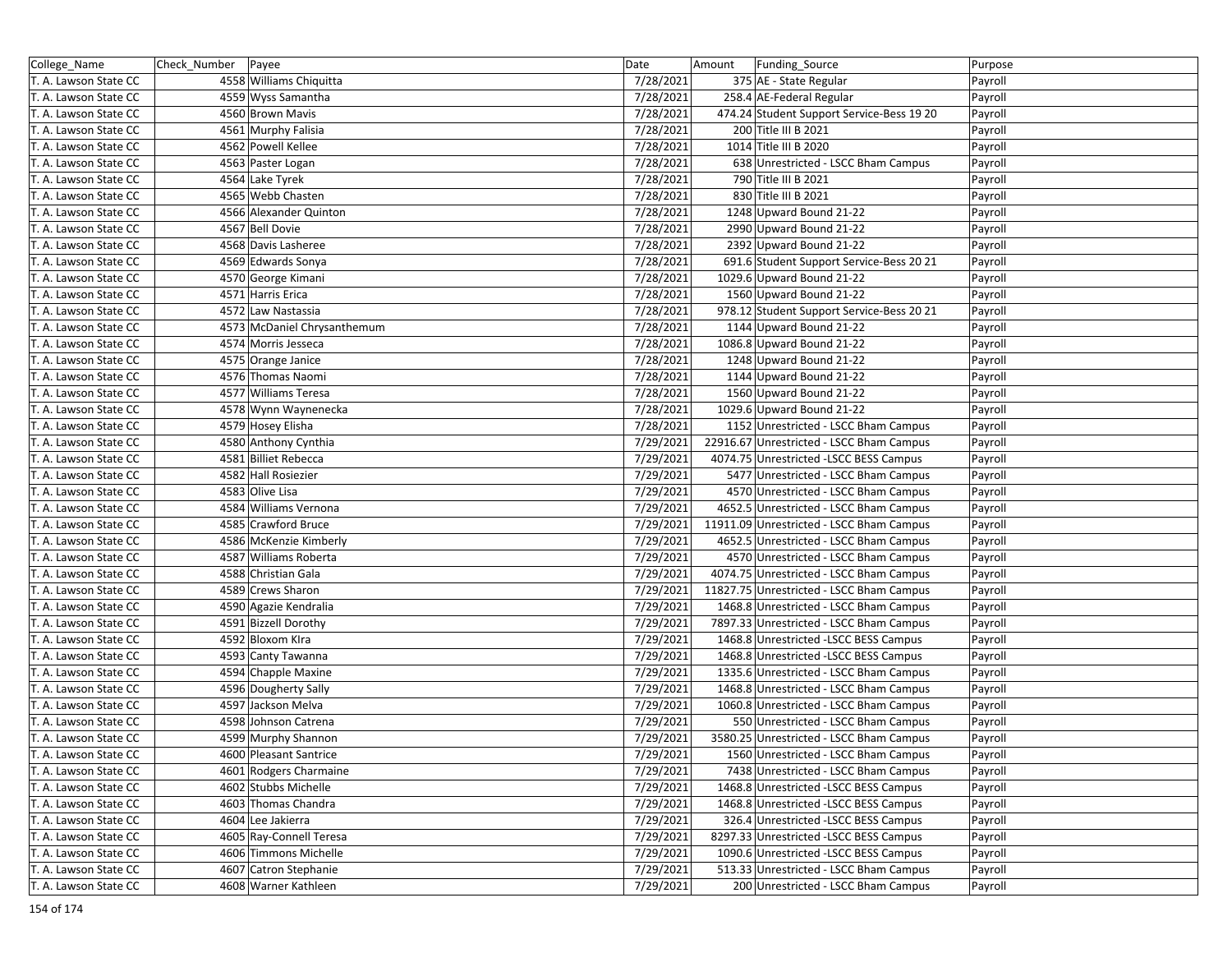| College_Name          | Check_Number   Payee |                             | Date      | Amount | Funding_Source                            | Purpose |
|-----------------------|----------------------|-----------------------------|-----------|--------|-------------------------------------------|---------|
| T. A. Lawson State CC |                      | 4558 Williams Chiquitta     | 7/28/2021 |        | 375 AE - State Regular                    | Payroll |
| T. A. Lawson State CC |                      | 4559 Wyss Samantha          | 7/28/2021 |        | 258.4 AE-Federal Regular                  | Payroll |
| T. A. Lawson State CC |                      | 4560 Brown Mavis            | 7/28/2021 |        | 474.24 Student Support Service-Bess 19 20 | Payroll |
| T. A. Lawson State CC |                      | 4561 Murphy Falisia         | 7/28/2021 |        | 200 Title III B 2021                      | Payroll |
| T. A. Lawson State CC |                      | 4562 Powell Kellee          | 7/28/2021 |        | 1014 Title III B 2020                     | Payroll |
| T. A. Lawson State CC |                      | 4563 Paster Logan           | 7/28/2021 |        | 638 Unrestricted - LSCC Bham Campus       | Payroll |
| T. A. Lawson State CC |                      | 4564 Lake Tyrek             | 7/28/2021 |        | 790 Title III B 2021                      | Payroll |
| T. A. Lawson State CC |                      | 4565 Webb Chasten           | 7/28/2021 |        | 830 Title III B 2021                      | Payroll |
| T. A. Lawson State CC |                      | 4566 Alexander Quinton      | 7/28/2021 |        | 1248 Upward Bound 21-22                   | Payroll |
| T. A. Lawson State CC |                      | 4567 Bell Dovie             | 7/28/2021 |        | 2990 Upward Bound 21-22                   | Payroll |
| T. A. Lawson State CC |                      | 4568 Davis Lasheree         | 7/28/2021 |        | 2392 Upward Bound 21-22                   | Payroll |
| T. A. Lawson State CC |                      | 4569 Edwards Sonya          | 7/28/2021 |        | 691.6 Student Support Service-Bess 20 21  | Payroll |
| T. A. Lawson State CC |                      | 4570 George Kimani          | 7/28/2021 |        | 1029.6 Upward Bound 21-22                 | Payroll |
| T. A. Lawson State CC |                      | 4571 Harris Erica           | 7/28/2021 |        | 1560 Upward Bound 21-22                   | Payroll |
| T. A. Lawson State CC |                      | 4572 Law Nastassia          | 7/28/2021 |        | 978.12 Student Support Service-Bess 20 21 | Payroll |
| T. A. Lawson State CC |                      | 4573 McDaniel Chrysanthemum | 7/28/2021 |        | 1144 Upward Bound 21-22                   | Payroll |
| T. A. Lawson State CC |                      | 4574 Morris Jesseca         | 7/28/2021 |        | 1086.8 Upward Bound 21-22                 | Payroll |
| T. A. Lawson State CC |                      | 4575 Orange Janice          | 7/28/2021 |        | 1248 Upward Bound 21-22                   | Payroll |
| T. A. Lawson State CC |                      | 4576 Thomas Naomi           | 7/28/2021 |        | 1144 Upward Bound 21-22                   | Payroll |
| T. A. Lawson State CC |                      | 4577 Williams Teresa        | 7/28/2021 |        | 1560 Upward Bound 21-22                   | Payroll |
| T. A. Lawson State CC |                      | 4578 Wynn Waynenecka        | 7/28/2021 |        | 1029.6 Upward Bound 21-22                 | Payroll |
| T. A. Lawson State CC |                      | 4579 Hosey Elisha           | 7/28/2021 |        | 1152 Unrestricted - LSCC Bham Campus      | Payroll |
| T. A. Lawson State CC |                      | 4580 Anthony Cynthia        | 7/29/2021 |        | 22916.67 Unrestricted - LSCC Bham Campus  | Payroll |
| T. A. Lawson State CC |                      | 4581 Billiet Rebecca        | 7/29/2021 |        | 4074.75 Unrestricted -LSCC BESS Campus    | Payroll |
| T. A. Lawson State CC |                      | 4582 Hall Rosiezier         | 7/29/2021 |        | 5477 Unrestricted - LSCC Bham Campus      | Payroll |
| T. A. Lawson State CC |                      | 4583 Olive Lisa             | 7/29/2021 |        | 4570 Unrestricted - LSCC Bham Campus      | Payroll |
| T. A. Lawson State CC |                      | 4584 Williams Vernona       | 7/29/2021 |        | 4652.5 Unrestricted - LSCC Bham Campus    | Payroll |
| T. A. Lawson State CC |                      | 4585 Crawford Bruce         | 7/29/2021 |        | 11911.09 Unrestricted - LSCC Bham Campus  | Payroll |
| T. A. Lawson State CC |                      | 4586 McKenzie Kimberly      | 7/29/2021 |        | 4652.5 Unrestricted - LSCC Bham Campus    | Payroll |
| T. A. Lawson State CC |                      | 4587 Williams Roberta       | 7/29/2021 |        | 4570 Unrestricted - LSCC Bham Campus      | Payroll |
| T. A. Lawson State CC |                      | 4588 Christian Gala         | 7/29/2021 |        | 4074.75 Unrestricted - LSCC Bham Campus   | Payroll |
| T. A. Lawson State CC |                      | 4589 Crews Sharon           | 7/29/2021 |        | 11827.75 Unrestricted - LSCC Bham Campus  | Payroll |
| T. A. Lawson State CC |                      | 4590 Agazie Kendralia       | 7/29/2021 |        | 1468.8 Unrestricted - LSCC Bham Campus    | Payroll |
| T. A. Lawson State CC |                      | 4591 Bizzell Dorothy        | 7/29/2021 |        | 7897.33 Unrestricted - LSCC Bham Campus   | Payroll |
| T. A. Lawson State CC |                      | 4592 Bloxom Kira            | 7/29/2021 |        | 1468.8 Unrestricted -LSCC BESS Campus     | Payroll |
| T. A. Lawson State CC |                      | 4593 Canty Tawanna          | 7/29/2021 |        | 1468.8 Unrestricted -LSCC BESS Campus     | Payroll |
| T. A. Lawson State CC |                      | 4594 Chapple Maxine         | 7/29/2021 |        | 1335.6 Unrestricted - LSCC Bham Campus    | Payroll |
| T. A. Lawson State CC |                      | 4596 Dougherty Sally        | 7/29/2021 |        | 1468.8 Unrestricted - LSCC Bham Campus    | Payroll |
| T. A. Lawson State CC |                      | 4597 Jackson Melva          | 7/29/2021 |        | 1060.8 Unrestricted - LSCC Bham Campus    | Payroll |
| T. A. Lawson State CC |                      | 4598 Johnson Catrena        | 7/29/2021 |        | 550 Unrestricted - LSCC Bham Campus       | Payroll |
| T. A. Lawson State CC |                      | 4599 Murphy Shannon         | 7/29/2021 |        | 3580.25 Unrestricted - LSCC Bham Campus   | Payroll |
| T. A. Lawson State CC |                      | 4600 Pleasant Santrice      | 7/29/2021 |        | 1560 Unrestricted - LSCC Bham Campus      | Payroll |
| T. A. Lawson State CC |                      | 4601 Rodgers Charmaine      | 7/29/2021 |        | 7438 Unrestricted - LSCC Bham Campus      | Payroll |
| T. A. Lawson State CC |                      | 4602 Stubbs Michelle        | 7/29/2021 |        | 1468.8 Unrestricted -LSCC BESS Campus     | Payroll |
| T. A. Lawson State CC |                      | 4603 Thomas Chandra         | 7/29/2021 |        | 1468.8 Unrestricted -LSCC BESS Campus     | Payroll |
| T. A. Lawson State CC |                      | 4604 Lee Jakierra           | 7/29/2021 |        | 326.4 Unrestricted -LSCC BESS Campus      | Payroll |
| T. A. Lawson State CC |                      | 4605 Ray-Connell Teresa     | 7/29/2021 |        | 8297.33 Unrestricted -LSCC BESS Campus    | Payroll |
| T. A. Lawson State CC |                      | 4606 Timmons Michelle       | 7/29/2021 |        | 1090.6 Unrestricted -LSCC BESS Campus     | Payroll |
| T. A. Lawson State CC |                      | 4607 Catron Stephanie       | 7/29/2021 |        | 513.33 Unrestricted - LSCC Bham Campus    | Payroll |
| T. A. Lawson State CC |                      | 4608 Warner Kathleen        | 7/29/2021 |        | 200 Unrestricted - LSCC Bham Campus       | Payroll |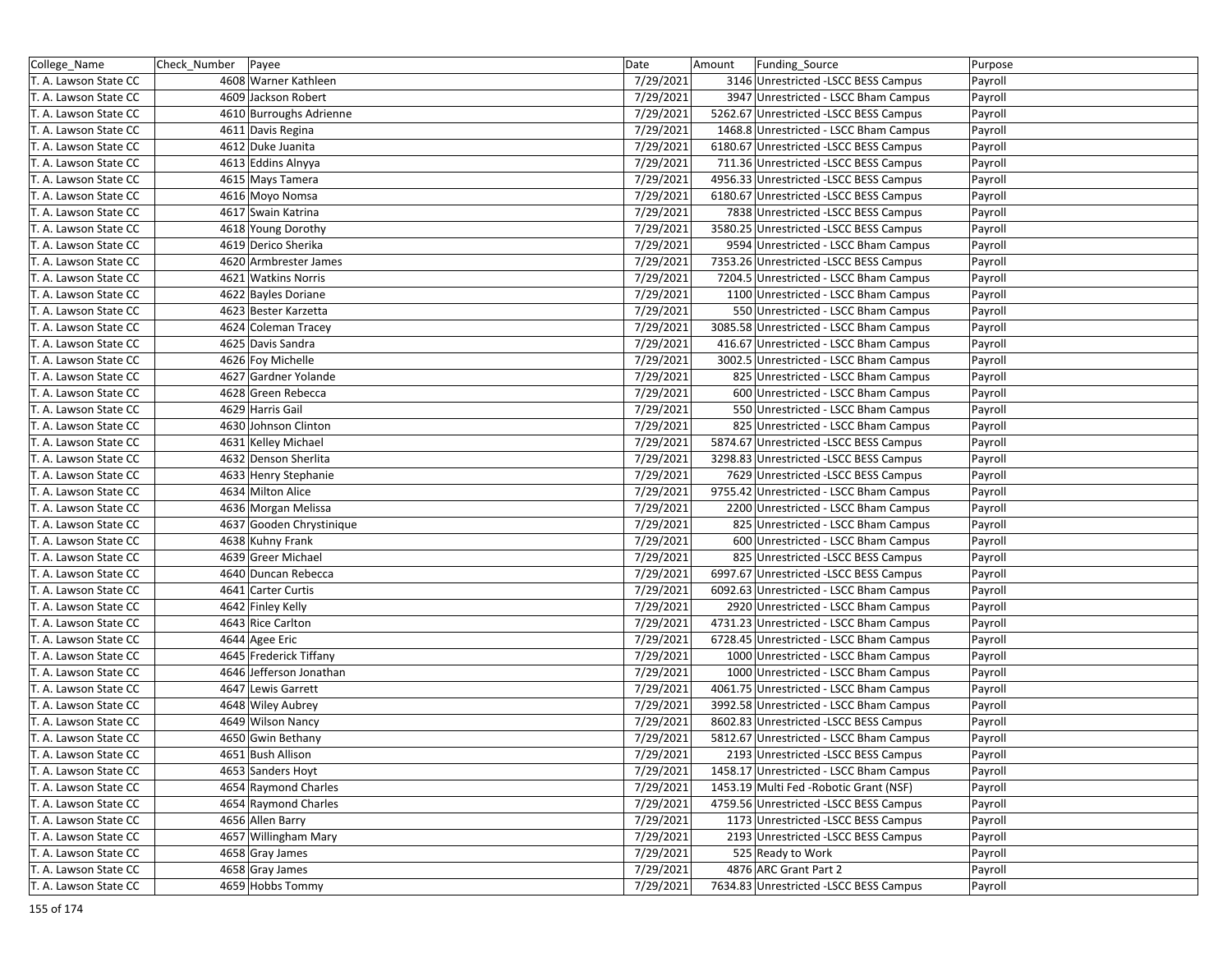| College_Name          | Check_Number | Payee                    | Date      | Amount | Funding_Source                          | Purpose |
|-----------------------|--------------|--------------------------|-----------|--------|-----------------------------------------|---------|
| T. A. Lawson State CC |              | 4608 Warner Kathleen     | 7/29/2021 |        | 3146 Unrestricted -LSCC BESS Campus     | Payroll |
| T. A. Lawson State CC |              | 4609 Jackson Robert      | 7/29/2021 |        | 3947 Unrestricted - LSCC Bham Campus    | Payroll |
| T. A. Lawson State CC |              | 4610 Burroughs Adrienne  | 7/29/2021 |        | 5262.67 Unrestricted -LSCC BESS Campus  | Payroll |
| T. A. Lawson State CC |              | 4611 Davis Regina        | 7/29/2021 |        | 1468.8 Unrestricted - LSCC Bham Campus  | Payroll |
| T. A. Lawson State CC |              | 4612 Duke Juanita        | 7/29/2021 |        | 6180.67 Unrestricted -LSCC BESS Campus  | Payroll |
| T. A. Lawson State CC |              | 4613 Eddins Alnyya       | 7/29/2021 |        | 711.36 Unrestricted -LSCC BESS Campus   | Payroll |
| T. A. Lawson State CC |              | 4615 Mays Tamera         | 7/29/2021 |        | 4956.33 Unrestricted -LSCC BESS Campus  | Payroll |
| T. A. Lawson State CC |              | 4616 Moyo Nomsa          | 7/29/2021 |        | 6180.67 Unrestricted -LSCC BESS Campus  | Payroll |
| T. A. Lawson State CC |              | 4617 Swain Katrina       | 7/29/2021 |        | 7838 Unrestricted -LSCC BESS Campus     | Payroll |
| T. A. Lawson State CC |              | 4618 Young Dorothy       | 7/29/2021 |        | 3580.25 Unrestricted -LSCC BESS Campus  | Payroll |
| T. A. Lawson State CC |              | 4619 Derico Sherika      | 7/29/2021 |        | 9594 Unrestricted - LSCC Bham Campus    | Payroll |
| T. A. Lawson State CC |              | 4620 Armbrester James    | 7/29/2021 |        | 7353.26 Unrestricted -LSCC BESS Campus  | Payroll |
| T. A. Lawson State CC |              | 4621 Watkins Norris      | 7/29/2021 |        | 7204.5 Unrestricted - LSCC Bham Campus  | Payroll |
| T. A. Lawson State CC |              | 4622 Bayles Doriane      | 7/29/2021 |        | 1100 Unrestricted - LSCC Bham Campus    | Payroll |
| T. A. Lawson State CC |              | 4623 Bester Karzetta     | 7/29/2021 |        | 550 Unrestricted - LSCC Bham Campus     | Payroll |
| T. A. Lawson State CC |              | 4624 Coleman Tracey      | 7/29/2021 |        | 3085.58 Unrestricted - LSCC Bham Campus | Payroll |
| T. A. Lawson State CC |              | 4625 Davis Sandra        | 7/29/2021 |        | 416.67 Unrestricted - LSCC Bham Campus  | Payroll |
| T. A. Lawson State CC |              | 4626 Foy Michelle        | 7/29/2021 |        | 3002.5 Unrestricted - LSCC Bham Campus  | Payroll |
| T. A. Lawson State CC |              | 4627 Gardner Yolande     | 7/29/2021 |        | 825 Unrestricted - LSCC Bham Campus     | Payroll |
| T. A. Lawson State CC |              | 4628 Green Rebecca       | 7/29/2021 |        | 600 Unrestricted - LSCC Bham Campus     | Payroll |
| T. A. Lawson State CC |              | 4629 Harris Gail         | 7/29/2021 |        | 550 Unrestricted - LSCC Bham Campus     | Payroll |
| T. A. Lawson State CC |              | 4630 Johnson Clinton     | 7/29/2021 |        | 825 Unrestricted - LSCC Bham Campus     | Payroll |
| T. A. Lawson State CC |              | 4631 Kelley Michael      | 7/29/2021 |        | 5874.67 Unrestricted -LSCC BESS Campus  | Payroll |
| T. A. Lawson State CC |              | 4632 Denson Sherlita     | 7/29/2021 |        | 3298.83 Unrestricted -LSCC BESS Campus  | Payroll |
| T. A. Lawson State CC |              | 4633 Henry Stephanie     | 7/29/2021 |        | 7629 Unrestricted -LSCC BESS Campus     | Payroll |
| T. A. Lawson State CC |              | 4634 Milton Alice        | 7/29/2021 |        | 9755.42 Unrestricted - LSCC Bham Campus | Payroll |
| T. A. Lawson State CC |              | 4636 Morgan Melissa      | 7/29/2021 |        | 2200 Unrestricted - LSCC Bham Campus    | Payroll |
| T. A. Lawson State CC |              | 4637 Gooden Chrystinique | 7/29/2021 |        | 825 Unrestricted - LSCC Bham Campus     | Payroll |
| T. A. Lawson State CC |              | 4638 Kuhny Frank         | 7/29/2021 |        | 600 Unrestricted - LSCC Bham Campus     | Payroll |
| T. A. Lawson State CC |              | 4639 Greer Michael       | 7/29/2021 |        | 825 Unrestricted -LSCC BESS Campus      | Payroll |
| T. A. Lawson State CC |              | 4640 Duncan Rebecca      | 7/29/2021 |        | 6997.67 Unrestricted -LSCC BESS Campus  | Payroll |
| T. A. Lawson State CC |              | 4641 Carter Curtis       | 7/29/2021 |        | 6092.63 Unrestricted - LSCC Bham Campus | Payroll |
| T. A. Lawson State CC |              | 4642 Finley Kelly        | 7/29/2021 |        | 2920 Unrestricted - LSCC Bham Campus    | Payroll |
| T. A. Lawson State CC |              | 4643 Rice Carlton        | 7/29/2021 |        | 4731.23 Unrestricted - LSCC Bham Campus | Payroll |
| T. A. Lawson State CC |              | 4644 Agee Eric           | 7/29/2021 |        | 6728.45 Unrestricted - LSCC Bham Campus | Payroll |
| T. A. Lawson State CC |              | 4645 Frederick Tiffany   | 7/29/2021 |        | 1000 Unrestricted - LSCC Bham Campus    | Payroll |
| T. A. Lawson State CC |              | 4646 Jefferson Jonathan  | 7/29/2021 |        | 1000 Unrestricted - LSCC Bham Campus    | Payroll |
| T. A. Lawson State CC |              | 4647 Lewis Garrett       | 7/29/2021 |        | 4061.75 Unrestricted - LSCC Bham Campus | Payroll |
| T. A. Lawson State CC |              | 4648 Wiley Aubrey        | 7/29/2021 |        | 3992.58 Unrestricted - LSCC Bham Campus | Payroll |
| T. A. Lawson State CC |              | 4649 Wilson Nancy        | 7/29/2021 |        | 8602.83 Unrestricted -LSCC BESS Campus  | Payroll |
| T. A. Lawson State CC |              | 4650 Gwin Bethany        | 7/29/2021 |        | 5812.67 Unrestricted - LSCC Bham Campus | Payroll |
| T. A. Lawson State CC |              | 4651 Bush Allison        | 7/29/2021 |        | 2193 Unrestricted -LSCC BESS Campus     | Payroll |
| T. A. Lawson State CC |              | 4653 Sanders Hoyt        | 7/29/2021 |        | 1458.17 Unrestricted - LSCC Bham Campus | Payroll |
| T. A. Lawson State CC |              | 4654 Raymond Charles     | 7/29/2021 |        | 1453.19 Multi Fed - Robotic Grant (NSF) | Payroll |
| T. A. Lawson State CC |              | 4654 Raymond Charles     | 7/29/2021 |        | 4759.56 Unrestricted -LSCC BESS Campus  | Payroll |
| T. A. Lawson State CC |              | 4656 Allen Barry         | 7/29/2021 |        | 1173 Unrestricted -LSCC BESS Campus     | Payroll |
| T. A. Lawson State CC |              | 4657 Willingham Mary     | 7/29/2021 |        | 2193 Unrestricted -LSCC BESS Campus     | Payroll |
| T. A. Lawson State CC |              | 4658 Gray James          | 7/29/2021 |        | 525 Ready to Work                       | Payroll |
| T. A. Lawson State CC |              | 4658 Gray James          | 7/29/2021 |        | 4876 ARC Grant Part 2                   | Payroll |
| T. A. Lawson State CC |              | 4659 Hobbs Tommy         | 7/29/2021 |        | 7634.83 Unrestricted -LSCC BESS Campus  | Payroll |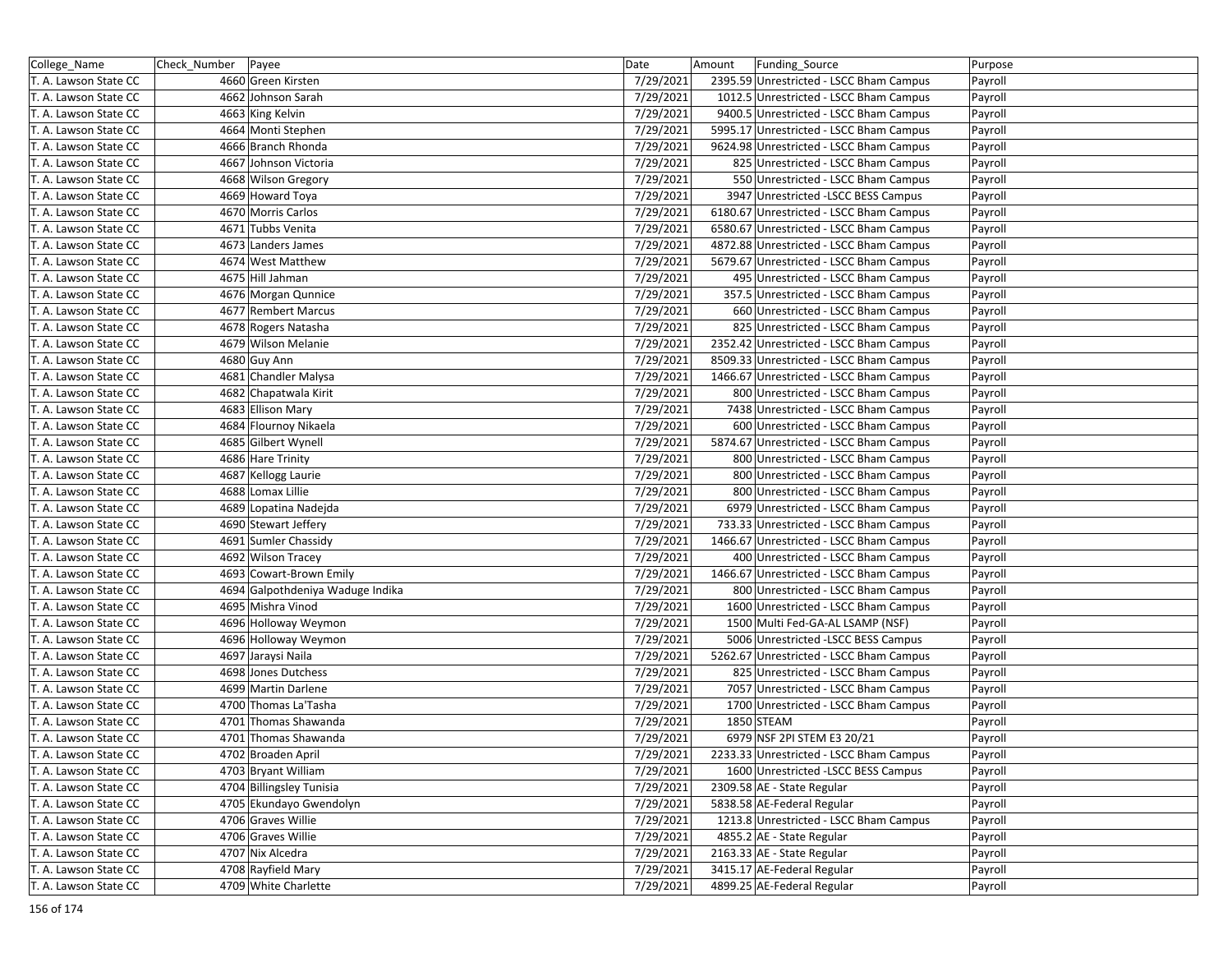| College_Name          | Check_Number | Payee                            | Date      | Amount | Funding_Source                          | Purpose |
|-----------------------|--------------|----------------------------------|-----------|--------|-----------------------------------------|---------|
| T. A. Lawson State CC |              | 4660 Green Kirsten               | 7/29/2021 |        | 2395.59 Unrestricted - LSCC Bham Campus | Payroll |
| T. A. Lawson State CC |              | 4662 Johnson Sarah               | 7/29/2021 |        | 1012.5 Unrestricted - LSCC Bham Campus  | Payroll |
| T. A. Lawson State CC |              | 4663 King Kelvin                 | 7/29/2021 |        | 9400.5 Unrestricted - LSCC Bham Campus  | Payroll |
| T. A. Lawson State CC |              | 4664 Monti Stephen               | 7/29/2021 |        | 5995.17 Unrestricted - LSCC Bham Campus | Payroll |
| T. A. Lawson State CC |              | 4666 Branch Rhonda               | 7/29/2021 |        | 9624.98 Unrestricted - LSCC Bham Campus | Payroll |
| T. A. Lawson State CC |              | 4667 Johnson Victoria            | 7/29/2021 |        | 825 Unrestricted - LSCC Bham Campus     | Payroll |
| T. A. Lawson State CC |              | 4668 Wilson Gregory              | 7/29/2021 |        | 550 Unrestricted - LSCC Bham Campus     | Payroll |
| T. A. Lawson State CC |              | 4669 Howard Toya                 | 7/29/2021 |        | 3947 Unrestricted -LSCC BESS Campus     | Payroll |
| T. A. Lawson State CC |              | 4670 Morris Carlos               | 7/29/2021 |        | 6180.67 Unrestricted - LSCC Bham Campus | Payroll |
| T. A. Lawson State CC |              | 4671 Tubbs Venita                | 7/29/2021 |        | 6580.67 Unrestricted - LSCC Bham Campus | Payroll |
| T. A. Lawson State CC |              | 4673 Landers James               | 7/29/2021 |        | 4872.88 Unrestricted - LSCC Bham Campus | Payroll |
| T. A. Lawson State CC |              | 4674 West Matthew                | 7/29/2021 |        | 5679.67 Unrestricted - LSCC Bham Campus | Payroll |
| T. A. Lawson State CC |              | 4675 Hill Jahman                 | 7/29/2021 |        | 495 Unrestricted - LSCC Bham Campus     | Payroll |
| T. A. Lawson State CC |              | 4676 Morgan Qunnice              | 7/29/2021 |        | 357.5 Unrestricted - LSCC Bham Campus   | Payroll |
| T. A. Lawson State CC |              | 4677 Rembert Marcus              | 7/29/2021 |        | 660 Unrestricted - LSCC Bham Campus     | Payroll |
| T. A. Lawson State CC |              | 4678 Rogers Natasha              | 7/29/2021 |        | 825 Unrestricted - LSCC Bham Campus     | Payroll |
| T. A. Lawson State CC |              | 4679 Wilson Melanie              | 7/29/2021 |        | 2352.42 Unrestricted - LSCC Bham Campus | Payroll |
| T. A. Lawson State CC |              | 4680 Guy Ann                     | 7/29/2021 |        | 8509.33 Unrestricted - LSCC Bham Campus | Payroll |
| T. A. Lawson State CC |              | 4681 Chandler Malysa             | 7/29/2021 |        | 1466.67 Unrestricted - LSCC Bham Campus | Payroll |
| T. A. Lawson State CC |              | 4682 Chapatwala Kirit            | 7/29/2021 |        | 800 Unrestricted - LSCC Bham Campus     | Payroll |
| T. A. Lawson State CC |              | 4683 Ellison Mary                | 7/29/2021 |        | 7438 Unrestricted - LSCC Bham Campus    | Payroll |
| T. A. Lawson State CC |              | 4684 Flournoy Nikaela            | 7/29/2021 |        | 600 Unrestricted - LSCC Bham Campus     | Payroll |
| T. A. Lawson State CC |              | 4685 Gilbert Wynell              | 7/29/2021 |        | 5874.67 Unrestricted - LSCC Bham Campus | Payroll |
| T. A. Lawson State CC |              | 4686 Hare Trinity                | 7/29/2021 |        | 800 Unrestricted - LSCC Bham Campus     | Payroll |
| T. A. Lawson State CC |              | 4687 Kellogg Laurie              | 7/29/2021 |        | 800 Unrestricted - LSCC Bham Campus     | Payroll |
| T. A. Lawson State CC |              | 4688 Lomax Lillie                | 7/29/2021 |        | 800 Unrestricted - LSCC Bham Campus     | Payroll |
| T. A. Lawson State CC |              | 4689 Lopatina Nadejda            | 7/29/2021 |        | 6979 Unrestricted - LSCC Bham Campus    | Payroll |
| T. A. Lawson State CC |              | 4690 Stewart Jeffery             | 7/29/2021 |        | 733.33 Unrestricted - LSCC Bham Campus  | Payroll |
| T. A. Lawson State CC |              | 4691 Sumler Chassidy             | 7/29/2021 |        | 1466.67 Unrestricted - LSCC Bham Campus | Payroll |
| T. A. Lawson State CC |              | 4692 Wilson Tracey               | 7/29/2021 |        | 400 Unrestricted - LSCC Bham Campus     | Payroll |
| T. A. Lawson State CC |              | 4693 Cowart-Brown Emily          | 7/29/2021 |        | 1466.67 Unrestricted - LSCC Bham Campus | Payroll |
| T. A. Lawson State CC |              | 4694 Galpothdeniya Waduge Indika | 7/29/2021 |        | 800 Unrestricted - LSCC Bham Campus     | Payroll |
| T. A. Lawson State CC |              | 4695 Mishra Vinod                | 7/29/2021 |        | 1600 Unrestricted - LSCC Bham Campus    | Payroll |
| T. A. Lawson State CC |              | 4696 Holloway Weymon             | 7/29/2021 |        | 1500 Multi Fed-GA-AL LSAMP (NSF)        | Payroll |
| T. A. Lawson State CC |              | 4696 Holloway Weymon             | 7/29/2021 |        | 5006 Unrestricted -LSCC BESS Campus     | Payroll |
| T. A. Lawson State CC |              | 4697 Jaraysi Naila               | 7/29/2021 |        | 5262.67 Unrestricted - LSCC Bham Campus | Payroll |
| T. A. Lawson State CC |              | 4698 Jones Dutchess              | 7/29/2021 |        | 825 Unrestricted - LSCC Bham Campus     | Payroll |
| T. A. Lawson State CC |              | 4699 Martin Darlene              | 7/29/2021 |        | 7057 Unrestricted - LSCC Bham Campus    | Payroll |
| T. A. Lawson State CC |              | 4700 Thomas La'Tasha             | 7/29/2021 |        | 1700 Unrestricted - LSCC Bham Campus    | Payroll |
| T. A. Lawson State CC |              | 4701 Thomas Shawanda             | 7/29/2021 |        | 1850 STEAM                              | Payroll |
| T. A. Lawson State CC |              | 4701 Thomas Shawanda             | 7/29/2021 |        | 6979 NSF 2PI STEM E3 20/21              | Payroll |
| T. A. Lawson State CC |              | 4702 Broaden April               | 7/29/2021 |        | 2233.33 Unrestricted - LSCC Bham Campus | Payroll |
| T. A. Lawson State CC |              | 4703 Bryant William              | 7/29/2021 |        | 1600 Unrestricted -LSCC BESS Campus     | Payroll |
| T. A. Lawson State CC |              | 4704 Billingsley Tunisia         | 7/29/2021 |        | 2309.58 AE - State Regular              | Payroll |
| T. A. Lawson State CC |              | 4705 Ekundayo Gwendolyn          | 7/29/2021 |        | 5838.58 AE-Federal Regular              | Payroll |
| T. A. Lawson State CC |              | 4706 Graves Willie               | 7/29/2021 |        | 1213.8 Unrestricted - LSCC Bham Campus  | Payroll |
| T. A. Lawson State CC |              | 4706 Graves Willie               | 7/29/2021 |        | 4855.2 AE - State Regular               | Payroll |
| T. A. Lawson State CC |              | 4707 Nix Alcedra                 | 7/29/2021 |        | 2163.33 AE - State Regular              | Payroll |
| T. A. Lawson State CC |              | 4708 Rayfield Mary               | 7/29/2021 |        | 3415.17 AE-Federal Regular              | Payroll |
| T. A. Lawson State CC |              | 4709 White Charlette             | 7/29/2021 |        | 4899.25 AE-Federal Regular              | Payroll |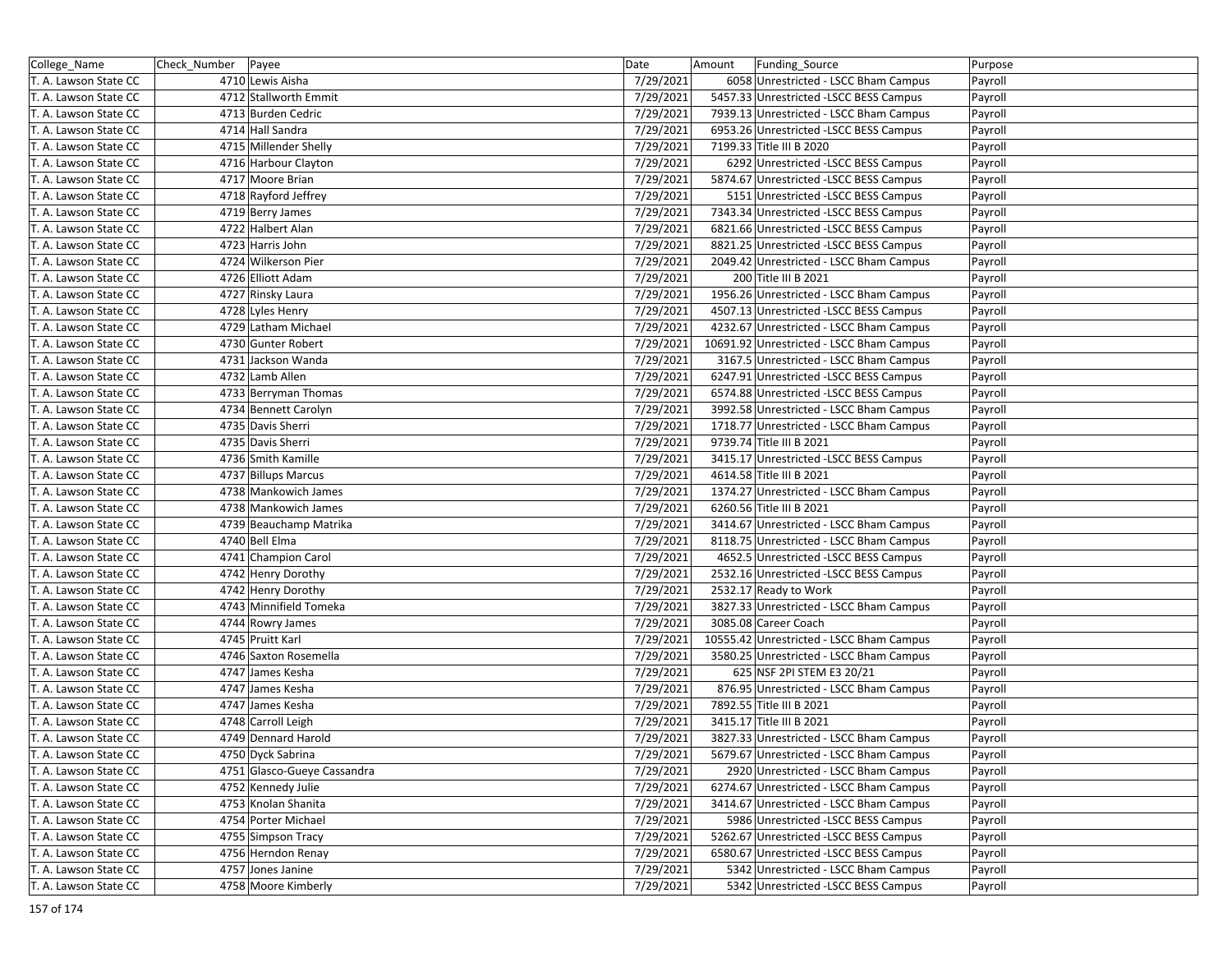| College_Name          | Check_Number   Payee |                             | Date      | Amount | Funding_Source                           | Purpose |
|-----------------------|----------------------|-----------------------------|-----------|--------|------------------------------------------|---------|
| T. A. Lawson State CC |                      | 4710 Lewis Aisha            | 7/29/2021 |        | 6058 Unrestricted - LSCC Bham Campus     | Payroll |
| T. A. Lawson State CC |                      | 4712 Stallworth Emmit       | 7/29/2021 |        | 5457.33 Unrestricted -LSCC BESS Campus   | Payroll |
| T. A. Lawson State CC |                      | 4713 Burden Cedric          | 7/29/2021 |        | 7939.13 Unrestricted - LSCC Bham Campus  | Payroll |
| T. A. Lawson State CC |                      | 4714 Hall Sandra            | 7/29/2021 |        | 6953.26 Unrestricted -LSCC BESS Campus   | Payroll |
| T. A. Lawson State CC |                      | 4715 Millender Shelly       | 7/29/2021 |        | 7199.33 Title III B 2020                 | Payroll |
| T. A. Lawson State CC |                      | 4716 Harbour Clayton        | 7/29/2021 |        | 6292 Unrestricted -LSCC BESS Campus      | Payroll |
| T. A. Lawson State CC |                      | 4717 Moore Brian            | 7/29/2021 |        | 5874.67 Unrestricted -LSCC BESS Campus   | Payroll |
| T. A. Lawson State CC |                      | 4718 Rayford Jeffrey        | 7/29/2021 |        | 5151 Unrestricted -LSCC BESS Campus      | Payroll |
| T. A. Lawson State CC |                      | 4719 Berry James            | 7/29/2021 |        | 7343.34 Unrestricted -LSCC BESS Campus   | Payroll |
| T. A. Lawson State CC |                      | 4722 Halbert Alan           | 7/29/2021 |        | 6821.66 Unrestricted -LSCC BESS Campus   | Payroll |
| T. A. Lawson State CC |                      | 4723 Harris John            | 7/29/2021 |        | 8821.25 Unrestricted -LSCC BESS Campus   | Payroll |
| T. A. Lawson State CC |                      | 4724 Wilkerson Pier         | 7/29/2021 |        | 2049.42 Unrestricted - LSCC Bham Campus  | Payroll |
| T. A. Lawson State CC |                      | 4726 Elliott Adam           | 7/29/2021 |        | 200 Title III B 2021                     | Payroll |
| T. A. Lawson State CC |                      | 4727 Rinsky Laura           | 7/29/2021 |        | 1956.26 Unrestricted - LSCC Bham Campus  | Payroll |
| T. A. Lawson State CC |                      | 4728 Lyles Henry            | 7/29/2021 |        | 4507.13 Unrestricted -LSCC BESS Campus   | Payroll |
| T. A. Lawson State CC |                      | 4729 Latham Michael         | 7/29/2021 |        | 4232.67 Unrestricted - LSCC Bham Campus  | Payroll |
| T. A. Lawson State CC |                      | 4730 Gunter Robert          | 7/29/2021 |        | 10691.92 Unrestricted - LSCC Bham Campus | Payroll |
| T. A. Lawson State CC |                      | 4731 Jackson Wanda          | 7/29/2021 |        | 3167.5 Unrestricted - LSCC Bham Campus   | Payroll |
| T. A. Lawson State CC |                      | 4732 Lamb Allen             | 7/29/2021 |        | 6247.91 Unrestricted -LSCC BESS Campus   | Payroll |
| T. A. Lawson State CC |                      | 4733 Berryman Thomas        | 7/29/2021 |        | 6574.88 Unrestricted -LSCC BESS Campus   | Payroll |
| T. A. Lawson State CC |                      | 4734 Bennett Carolyn        | 7/29/2021 |        | 3992.58 Unrestricted - LSCC Bham Campus  | Payroll |
| T. A. Lawson State CC |                      | 4735 Davis Sherri           | 7/29/2021 |        | 1718.77 Unrestricted - LSCC Bham Campus  | Payroll |
| T. A. Lawson State CC |                      | 4735 Davis Sherri           | 7/29/2021 |        | 9739.74 Title III B 2021                 | Payroll |
| T. A. Lawson State CC |                      | 4736 Smith Kamille          | 7/29/2021 |        | 3415.17 Unrestricted -LSCC BESS Campus   | Payroll |
| T. A. Lawson State CC |                      | 4737 Billups Marcus         | 7/29/2021 |        | 4614.58 Title III B 2021                 | Payroll |
| T. A. Lawson State CC |                      | 4738 Mankowich James        | 7/29/2021 |        | 1374.27 Unrestricted - LSCC Bham Campus  | Payroll |
| T. A. Lawson State CC |                      | 4738 Mankowich James        | 7/29/2021 |        | 6260.56 Title III B 2021                 | Payroll |
| T. A. Lawson State CC |                      | 4739 Beauchamp Matrika      | 7/29/2021 |        | 3414.67 Unrestricted - LSCC Bham Campus  | Payroll |
| T. A. Lawson State CC |                      | 4740 Bell Elma              | 7/29/2021 |        | 8118.75 Unrestricted - LSCC Bham Campus  | Payroll |
| T. A. Lawson State CC |                      | 4741 Champion Carol         | 7/29/2021 |        | 4652.5 Unrestricted -LSCC BESS Campus    | Payroll |
| T. A. Lawson State CC |                      | 4742 Henry Dorothy          | 7/29/2021 |        | 2532.16 Unrestricted - LSCC BESS Campus  | Payroll |
| T. A. Lawson State CC |                      | 4742 Henry Dorothy          | 7/29/2021 |        | 2532.17 Ready to Work                    | Payroll |
| T. A. Lawson State CC |                      | 4743 Minnifield Tomeka      | 7/29/2021 |        | 3827.33 Unrestricted - LSCC Bham Campus  | Payroll |
| T. A. Lawson State CC |                      | 4744 Rowry James            | 7/29/2021 |        | 3085.08 Career Coach                     | Payroll |
| T. A. Lawson State CC |                      | 4745 Pruitt Karl            | 7/29/2021 |        | 10555.42 Unrestricted - LSCC Bham Campus | Payroll |
| T. A. Lawson State CC |                      | 4746 Saxton Rosemella       | 7/29/2021 |        | 3580.25 Unrestricted - LSCC Bham Campus  | Payroll |
| T. A. Lawson State CC |                      | 4747 James Kesha            | 7/29/2021 |        | 625 NSF 2PI STEM E3 20/21                | Payroll |
| T. A. Lawson State CC |                      | 4747 James Kesha            | 7/29/2021 |        | 876.95 Unrestricted - LSCC Bham Campus   | Payroll |
| T. A. Lawson State CC |                      | 4747 James Kesha            | 7/29/2021 |        | 7892.55 Title III B 2021                 | Payroll |
| T. A. Lawson State CC |                      | 4748 Carroll Leigh          | 7/29/2021 |        | 3415.17 Title III B 2021                 | Payroll |
| T. A. Lawson State CC |                      | 4749 Dennard Harold         | 7/29/2021 |        | 3827.33 Unrestricted - LSCC Bham Campus  | Payroll |
| T. A. Lawson State CC |                      | 4750 Dyck Sabrina           | 7/29/2021 |        | 5679.67 Unrestricted - LSCC Bham Campus  | Payroll |
| T. A. Lawson State CC |                      | 4751 Glasco-Gueye Cassandra | 7/29/2021 |        | 2920 Unrestricted - LSCC Bham Campus     | Payroll |
| T. A. Lawson State CC |                      | 4752 Kennedy Julie          | 7/29/2021 |        | 6274.67 Unrestricted - LSCC Bham Campus  | Payroll |
| T. A. Lawson State CC |                      | 4753 Knolan Shanita         | 7/29/2021 |        | 3414.67 Unrestricted - LSCC Bham Campus  | Payroll |
| T. A. Lawson State CC |                      | 4754 Porter Michael         | 7/29/2021 |        | 5986 Unrestricted -LSCC BESS Campus      | Payroll |
| T. A. Lawson State CC |                      | 4755 Simpson Tracy          | 7/29/2021 |        | 5262.67 Unrestricted -LSCC BESS Campus   | Payroll |
| T. A. Lawson State CC |                      | 4756 Herndon Renay          | 7/29/2021 |        | 6580.67 Unrestricted -LSCC BESS Campus   | Payroll |
| T. A. Lawson State CC |                      | 4757 Jones Janine           | 7/29/2021 |        | 5342 Unrestricted - LSCC Bham Campus     | Payroll |
| T. A. Lawson State CC |                      | 4758 Moore Kimberly         | 7/29/2021 |        | 5342 Unrestricted -LSCC BESS Campus      | Payroll |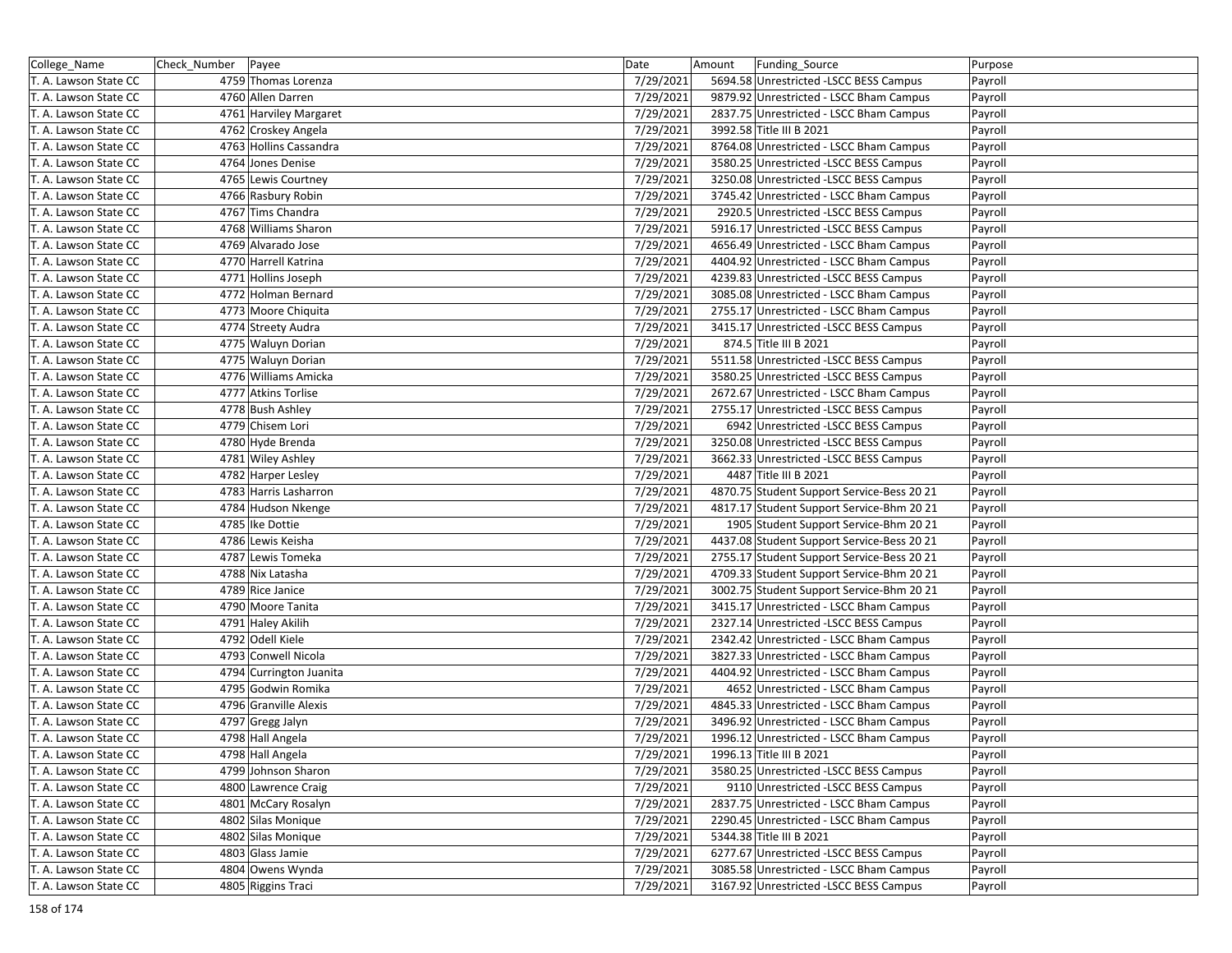| College_Name          | Check_Number | Payee                   | Date      | Amount | Funding_Source                             | Purpose |
|-----------------------|--------------|-------------------------|-----------|--------|--------------------------------------------|---------|
| T. A. Lawson State CC |              | 4759 Thomas Lorenza     | 7/29/2021 |        | 5694.58 Unrestricted -LSCC BESS Campus     | Payroll |
| T. A. Lawson State CC |              | 4760 Allen Darren       | 7/29/2021 |        | 9879.92 Unrestricted - LSCC Bham Campus    | Payroll |
| T. A. Lawson State CC |              | 4761 Harviley Margaret  | 7/29/2021 |        | 2837.75 Unrestricted - LSCC Bham Campus    | Payroll |
| T. A. Lawson State CC |              | 4762 Croskey Angela     | 7/29/2021 |        | 3992.58 Title III B 2021                   | Payroll |
| T. A. Lawson State CC |              | 4763 Hollins Cassandra  | 7/29/2021 |        | 8764.08 Unrestricted - LSCC Bham Campus    | Payroll |
| T. A. Lawson State CC |              | 4764 Jones Denise       | 7/29/2021 |        | 3580.25 Unrestricted -LSCC BESS Campus     | Payroll |
| T. A. Lawson State CC |              | 4765 Lewis Courtney     | 7/29/2021 |        | 3250.08 Unrestricted - LSCC BESS Campus    | Payroll |
| T. A. Lawson State CC |              | 4766 Rasbury Robin      | 7/29/2021 |        | 3745.42 Unrestricted - LSCC Bham Campus    | Payroll |
| T. A. Lawson State CC |              | 4767 Tims Chandra       | 7/29/2021 |        | 2920.5 Unrestricted -LSCC BESS Campus      | Payroll |
| T. A. Lawson State CC |              | 4768 Williams Sharon    | 7/29/2021 |        | 5916.17 Unrestricted -LSCC BESS Campus     | Payroll |
| T. A. Lawson State CC |              | 4769 Alvarado Jose      | 7/29/2021 |        | 4656.49 Unrestricted - LSCC Bham Campus    | Payroll |
| T. A. Lawson State CC |              | 4770 Harrell Katrina    | 7/29/2021 |        | 4404.92 Unrestricted - LSCC Bham Campus    | Payroll |
| T. A. Lawson State CC |              | 4771 Hollins Joseph     | 7/29/2021 |        | 4239.83 Unrestricted -LSCC BESS Campus     | Payroll |
| T. A. Lawson State CC |              | 4772 Holman Bernard     | 7/29/2021 |        | 3085.08 Unrestricted - LSCC Bham Campus    | Payroll |
| T. A. Lawson State CC |              | 4773 Moore Chiquita     | 7/29/2021 |        | 2755.17 Unrestricted - LSCC Bham Campus    | Payroll |
| T. A. Lawson State CC |              | 4774 Streety Audra      | 7/29/2021 |        | 3415.17 Unrestricted -LSCC BESS Campus     | Payroll |
| T. A. Lawson State CC |              | 4775 Waluyn Dorian      | 7/29/2021 |        | 874.5 Title III B 2021                     | Payroll |
| T. A. Lawson State CC |              | 4775 Waluyn Dorian      | 7/29/2021 |        | 5511.58 Unrestricted -LSCC BESS Campus     | Payroll |
| T. A. Lawson State CC |              | 4776 Williams Amicka    | 7/29/2021 |        | 3580.25 Unrestricted -LSCC BESS Campus     | Payroll |
| T. A. Lawson State CC |              | 4777 Atkins Torlise     | 7/29/2021 |        | 2672.67 Unrestricted - LSCC Bham Campus    | Payroll |
| T. A. Lawson State CC |              | 4778 Bush Ashley        | 7/29/2021 |        | 2755.17 Unrestricted - LSCC BESS Campus    | Payroll |
| T. A. Lawson State CC |              | 4779 Chisem Lori        | 7/29/2021 |        | 6942 Unrestricted -LSCC BESS Campus        | Payroll |
| T. A. Lawson State CC |              | 4780 Hyde Brenda        | 7/29/2021 |        | 3250.08 Unrestricted -LSCC BESS Campus     | Payroll |
| T. A. Lawson State CC |              | 4781 Wiley Ashley       | 7/29/2021 |        | 3662.33 Unrestricted - LSCC BESS Campus    | Payroll |
| T. A. Lawson State CC |              | 4782 Harper Lesley      | 7/29/2021 |        | 4487 Title III B 2021                      | Payroll |
| T. A. Lawson State CC |              | 4783 Harris Lasharron   | 7/29/2021 |        | 4870.75 Student Support Service-Bess 20 21 | Payroll |
| T. A. Lawson State CC |              | 4784 Hudson Nkenge      | 7/29/2021 |        | 4817.17 Student Support Service-Bhm 20 21  | Payroll |
| T. A. Lawson State CC |              | 4785 Ike Dottie         | 7/29/2021 |        | 1905 Student Support Service-Bhm 20 21     | Payroll |
| T. A. Lawson State CC |              | 4786 Lewis Keisha       | 7/29/2021 |        | 4437.08 Student Support Service-Bess 20 21 | Payroll |
| T. A. Lawson State CC |              | 4787 Lewis Tomeka       | 7/29/2021 |        | 2755.17 Student Support Service-Bess 20 21 | Payroll |
| T. A. Lawson State CC |              | 4788 Nix Latasha        | 7/29/2021 |        | 4709.33 Student Support Service-Bhm 20 21  | Payroll |
| T. A. Lawson State CC |              | 4789 Rice Janice        | 7/29/2021 |        | 3002.75 Student Support Service-Bhm 20 21  | Payroll |
| T. A. Lawson State CC |              | 4790 Moore Tanita       | 7/29/2021 |        | 3415.17 Unrestricted - LSCC Bham Campus    | Payroll |
| T. A. Lawson State CC |              | 4791 Haley Akilih       | 7/29/2021 |        | 2327.14 Unrestricted -LSCC BESS Campus     | Payroll |
| T. A. Lawson State CC |              | 4792 Odell Kiele        | 7/29/2021 |        | 2342.42 Unrestricted - LSCC Bham Campus    | Payroll |
| T. A. Lawson State CC |              | 4793 Conwell Nicola     | 7/29/2021 |        | 3827.33 Unrestricted - LSCC Bham Campus    | Payroll |
| T. A. Lawson State CC |              | 4794 Currington Juanita | 7/29/2021 |        | 4404.92 Unrestricted - LSCC Bham Campus    | Payroll |
| T. A. Lawson State CC |              | 4795 Godwin Romika      | 7/29/2021 |        | 4652 Unrestricted - LSCC Bham Campus       | Payroll |
| T. A. Lawson State CC |              | 4796 Granville Alexis   | 7/29/2021 |        | 4845.33 Unrestricted - LSCC Bham Campus    | Payroll |
| T. A. Lawson State CC |              | 4797 Gregg Jalyn        | 7/29/2021 |        | 3496.92 Unrestricted - LSCC Bham Campus    | Payroll |
| T. A. Lawson State CC |              | 4798 Hall Angela        | 7/29/2021 |        | 1996.12 Unrestricted - LSCC Bham Campus    | Payroll |
| T. A. Lawson State CC |              | 4798 Hall Angela        | 7/29/2021 |        | 1996.13 Title III B 2021                   | Payroll |
| T. A. Lawson State CC |              | 4799 Johnson Sharon     | 7/29/2021 |        | 3580.25 Unrestricted -LSCC BESS Campus     | Payroll |
| T. A. Lawson State CC |              | 4800 Lawrence Craig     | 7/29/2021 |        | 9110 Unrestricted -LSCC BESS Campus        | Payroll |
| T. A. Lawson State CC |              | 4801 McCary Rosalyn     | 7/29/2021 |        | 2837.75 Unrestricted - LSCC Bham Campus    | Payroll |
| T. A. Lawson State CC |              | 4802 Silas Monique      | 7/29/2021 |        | 2290.45 Unrestricted - LSCC Bham Campus    | Payroll |
| T. A. Lawson State CC |              | 4802 Silas Monique      | 7/29/2021 |        | 5344.38 Title III B 2021                   | Payroll |
| T. A. Lawson State CC |              | 4803 Glass Jamie        | 7/29/2021 |        | 6277.67 Unrestricted -LSCC BESS Campus     | Payroll |
| T. A. Lawson State CC |              | 4804 Owens Wynda        | 7/29/2021 |        | 3085.58 Unrestricted - LSCC Bham Campus    | Payroll |
| T. A. Lawson State CC |              | 4805 Riggins Traci      | 7/29/2021 |        | 3167.92 Unrestricted -LSCC BESS Campus     | Payroll |
|                       |              |                         |           |        |                                            |         |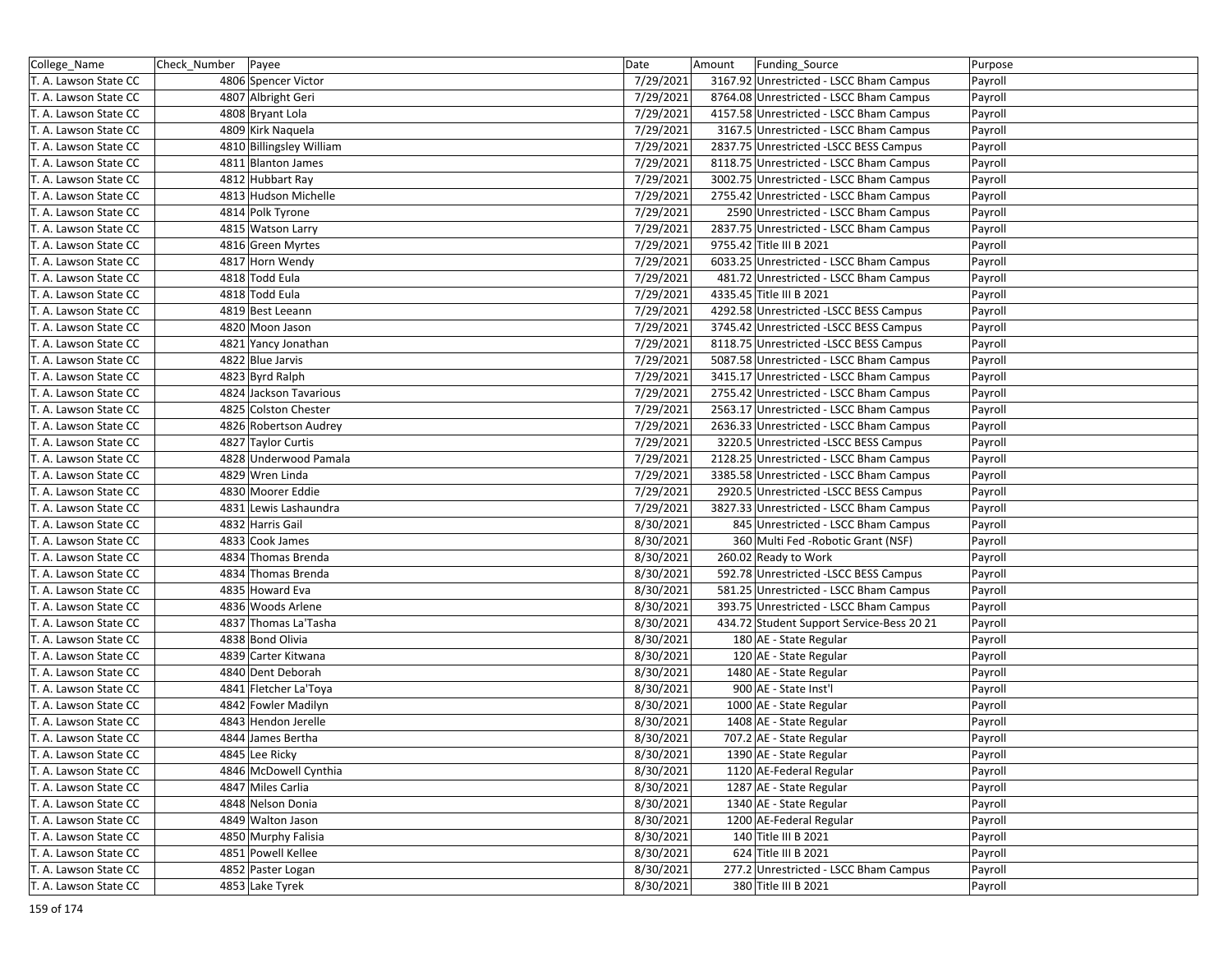| College_Name          | Check_Number | Payee                    | Date      | Amount | Funding_Source                            | Purpose |
|-----------------------|--------------|--------------------------|-----------|--------|-------------------------------------------|---------|
| T. A. Lawson State CC |              | 4806 Spencer Victor      | 7/29/2021 |        | 3167.92 Unrestricted - LSCC Bham Campus   | Payroll |
| T. A. Lawson State CC |              | 4807 Albright Geri       | 7/29/2021 |        | 8764.08 Unrestricted - LSCC Bham Campus   | Payroll |
| T. A. Lawson State CC |              | 4808 Bryant Lola         | 7/29/2021 |        | 4157.58 Unrestricted - LSCC Bham Campus   | Payroll |
| T. A. Lawson State CC |              | 4809 Kirk Naquela        | 7/29/2021 |        | 3167.5 Unrestricted - LSCC Bham Campus    | Payroll |
| T. A. Lawson State CC |              | 4810 Billingsley William | 7/29/2021 |        | 2837.75 Unrestricted -LSCC BESS Campus    | Payroll |
| T. A. Lawson State CC |              | 4811 Blanton James       | 7/29/2021 |        | 8118.75 Unrestricted - LSCC Bham Campus   | Payroll |
| T. A. Lawson State CC |              | 4812 Hubbart Ray         | 7/29/2021 |        | 3002.75 Unrestricted - LSCC Bham Campus   | Payroll |
| T. A. Lawson State CC |              | 4813 Hudson Michelle     | 7/29/2021 |        | 2755.42 Unrestricted - LSCC Bham Campus   | Payroll |
| T. A. Lawson State CC |              | 4814 Polk Tyrone         | 7/29/2021 |        | 2590 Unrestricted - LSCC Bham Campus      | Payroll |
| T. A. Lawson State CC |              | 4815 Watson Larry        | 7/29/2021 |        | 2837.75 Unrestricted - LSCC Bham Campus   | Payroll |
| T. A. Lawson State CC |              | 4816 Green Myrtes        | 7/29/2021 |        | 9755.42 Title III B 2021                  | Payroll |
| T. A. Lawson State CC |              | 4817 Horn Wendy          | 7/29/2021 |        | 6033.25 Unrestricted - LSCC Bham Campus   | Payroll |
| T. A. Lawson State CC |              | 4818 Todd Eula           | 7/29/2021 |        | 481.72 Unrestricted - LSCC Bham Campus    | Payroll |
| T. A. Lawson State CC |              | 4818 Todd Eula           | 7/29/2021 |        | 4335.45 Title III B 2021                  | Payroll |
| T. A. Lawson State CC |              | 4819 Best Leeann         | 7/29/2021 |        | 4292.58 Unrestricted -LSCC BESS Campus    | Payroll |
| T. A. Lawson State CC |              | 4820 Moon Jason          | 7/29/2021 |        | 3745.42 Unrestricted -LSCC BESS Campus    | Payroll |
| T. A. Lawson State CC |              | 4821 Yancy Jonathan      | 7/29/2021 |        | 8118.75 Unrestricted -LSCC BESS Campus    | Payroll |
| T. A. Lawson State CC |              | 4822 Blue Jarvis         | 7/29/2021 |        | 5087.58 Unrestricted - LSCC Bham Campus   | Payroll |
| T. A. Lawson State CC |              | 4823 Byrd Ralph          | 7/29/2021 |        | 3415.17 Unrestricted - LSCC Bham Campus   | Payroll |
| T. A. Lawson State CC |              | 4824 Jackson Tavarious   | 7/29/2021 |        | 2755.42 Unrestricted - LSCC Bham Campus   | Payroll |
| T. A. Lawson State CC |              | 4825 Colston Chester     | 7/29/2021 |        | 2563.17 Unrestricted - LSCC Bham Campus   | Payroll |
| T. A. Lawson State CC |              | 4826 Robertson Audrey    | 7/29/2021 |        | 2636.33 Unrestricted - LSCC Bham Campus   | Payroll |
| T. A. Lawson State CC |              | 4827 Taylor Curtis       | 7/29/2021 |        | 3220.5 Unrestricted -LSCC BESS Campus     | Payroll |
| T. A. Lawson State CC |              | 4828 Underwood Pamala    | 7/29/2021 |        | 2128.25 Unrestricted - LSCC Bham Campus   | Payroll |
| T. A. Lawson State CC |              | 4829 Wren Linda          | 7/29/2021 |        | 3385.58 Unrestricted - LSCC Bham Campus   | Payroll |
| T. A. Lawson State CC |              | 4830 Moorer Eddie        | 7/29/2021 |        | 2920.5 Unrestricted -LSCC BESS Campus     | Payroll |
| T. A. Lawson State CC |              | 4831 Lewis Lashaundra    | 7/29/2021 |        | 3827.33 Unrestricted - LSCC Bham Campus   | Payroll |
| T. A. Lawson State CC |              | 4832 Harris Gail         | 8/30/2021 |        | 845 Unrestricted - LSCC Bham Campus       | Payroll |
| T. A. Lawson State CC |              | 4833 Cook James          | 8/30/2021 |        | 360 Multi Fed - Robotic Grant (NSF)       | Payroll |
| T. A. Lawson State CC |              | 4834 Thomas Brenda       | 8/30/2021 |        | 260.02 Ready to Work                      | Payroll |
| T. A. Lawson State CC |              | 4834 Thomas Brenda       | 8/30/2021 |        | 592.78 Unrestricted -LSCC BESS Campus     | Payroll |
| T. A. Lawson State CC |              | 4835 Howard Eva          | 8/30/2021 |        | 581.25 Unrestricted - LSCC Bham Campus    | Payroll |
| T. A. Lawson State CC |              | 4836 Woods Arlene        | 8/30/2021 |        | 393.75 Unrestricted - LSCC Bham Campus    | Payroll |
| T. A. Lawson State CC |              | 4837 Thomas La'Tasha     | 8/30/2021 |        | 434.72 Student Support Service-Bess 20 21 | Payroll |
| T. A. Lawson State CC |              | 4838 Bond Olivia         | 8/30/2021 |        | 180 AE - State Regular                    | Payroll |
| T. A. Lawson State CC |              | 4839 Carter Kitwana      | 8/30/2021 |        | 120 AE - State Regular                    | Payroll |
| T. A. Lawson State CC |              | 4840 Dent Deborah        | 8/30/2021 |        | 1480 AE - State Regular                   | Payroll |
| T. A. Lawson State CC |              | 4841 Fletcher La'Toya    | 8/30/2021 |        | 900 AE - State Inst'l                     | Payroll |
| T. A. Lawson State CC |              | 4842 Fowler Madilyn      | 8/30/2021 |        | 1000 AE - State Regular                   | Payroll |
| T. A. Lawson State CC |              | 4843 Hendon Jerelle      | 8/30/2021 |        | 1408 AE - State Regular                   | Payroll |
| T. A. Lawson State CC |              | 4844 James Bertha        | 8/30/2021 |        | 707.2 AE - State Regular                  | Payroll |
| T. A. Lawson State CC |              | 4845 Lee Ricky           | 8/30/2021 |        | 1390 AE - State Regular                   | Payroll |
| T. A. Lawson State CC |              | 4846 McDowell Cynthia    | 8/30/2021 |        | 1120 AE-Federal Regular                   | Payroll |
| T. A. Lawson State CC |              | 4847 Miles Carlia        | 8/30/2021 |        | 1287 AE - State Regular                   | Payroll |
| T. A. Lawson State CC |              | 4848 Nelson Donia        | 8/30/2021 |        | 1340 AE - State Regular                   | Payroll |
| T. A. Lawson State CC |              | 4849 Walton Jason        | 8/30/2021 |        | 1200 AE-Federal Regular                   | Payroll |
| T. A. Lawson State CC |              | 4850 Murphy Falisia      | 8/30/2021 |        | 140 Title III B 2021                      | Payroll |
| T. A. Lawson State CC |              | 4851 Powell Kellee       | 8/30/2021 |        | 624 Title III B 2021                      | Payroll |
| T. A. Lawson State CC |              | 4852 Paster Logan        | 8/30/2021 |        | 277.2 Unrestricted - LSCC Bham Campus     | Payroll |
| T. A. Lawson State CC |              | 4853 Lake Tyrek          | 8/30/2021 |        | 380 Title III B 2021                      | Payroll |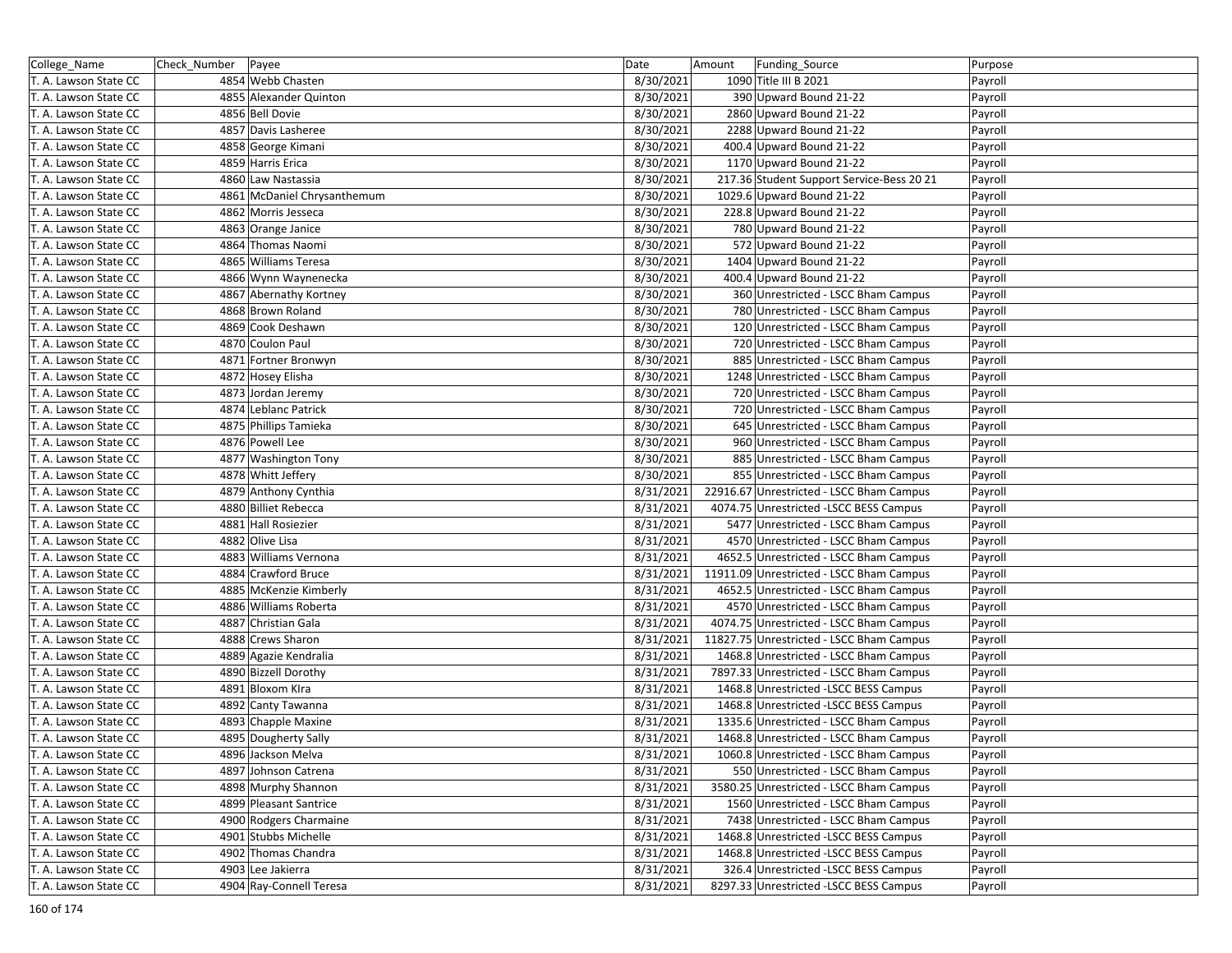| College_Name          | Check_Number Payee |                             | Date      | Amount | Funding_Source                            | Purpose |
|-----------------------|--------------------|-----------------------------|-----------|--------|-------------------------------------------|---------|
| T. A. Lawson State CC |                    | 4854 Webb Chasten           | 8/30/2021 |        | 1090 Title III B 2021                     | Payroll |
| T. A. Lawson State CC |                    | 4855 Alexander Quinton      | 8/30/2021 |        | 390 Upward Bound 21-22                    | Payroll |
| T. A. Lawson State CC |                    | 4856 Bell Dovie             | 8/30/2021 |        | 2860 Upward Bound 21-22                   | Payroll |
| T. A. Lawson State CC |                    | 4857 Davis Lasheree         | 8/30/2021 |        | 2288 Upward Bound 21-22                   | Payroll |
| T. A. Lawson State CC |                    | 4858 George Kimani          | 8/30/2021 |        | 400.4 Upward Bound 21-22                  | Payroll |
| T. A. Lawson State CC |                    | 4859 Harris Erica           | 8/30/2021 |        | 1170 Upward Bound 21-22                   | Payroll |
| T. A. Lawson State CC |                    | 4860 Law Nastassia          | 8/30/2021 |        | 217.36 Student Support Service-Bess 20 21 | Payroll |
| T. A. Lawson State CC |                    | 4861 McDaniel Chrysanthemum | 8/30/2021 |        | 1029.6 Upward Bound 21-22                 | Payroll |
| T. A. Lawson State CC |                    | 4862 Morris Jesseca         | 8/30/2021 |        | 228.8 Upward Bound 21-22                  | Payroll |
| T. A. Lawson State CC |                    | 4863 Orange Janice          | 8/30/2021 |        | 780 Upward Bound 21-22                    | Payroll |
| T. A. Lawson State CC |                    | 4864 Thomas Naomi           | 8/30/2021 |        | 572 Upward Bound 21-22                    | Payroll |
| T. A. Lawson State CC |                    | 4865 Williams Teresa        | 8/30/2021 |        | 1404 Upward Bound 21-22                   | Payroll |
| T. A. Lawson State CC |                    | 4866 Wynn Waynenecka        | 8/30/2021 |        | 400.4 Upward Bound 21-22                  | Payroll |
| T. A. Lawson State CC |                    | 4867 Abernathy Kortney      | 8/30/2021 |        | 360 Unrestricted - LSCC Bham Campus       | Payroll |
| T. A. Lawson State CC |                    | 4868 Brown Roland           | 8/30/2021 |        | 780 Unrestricted - LSCC Bham Campus       | Payroll |
| T. A. Lawson State CC |                    | 4869 Cook Deshawn           | 8/30/2021 |        | 120 Unrestricted - LSCC Bham Campus       | Payroll |
| T. A. Lawson State CC |                    | 4870 Coulon Paul            | 8/30/2021 |        | 720 Unrestricted - LSCC Bham Campus       | Payroll |
| T. A. Lawson State CC |                    | 4871 Fortner Bronwyn        | 8/30/2021 |        | 885 Unrestricted - LSCC Bham Campus       | Payroll |
| T. A. Lawson State CC |                    | 4872 Hosey Elisha           | 8/30/2021 |        | 1248 Unrestricted - LSCC Bham Campus      | Payroll |
| T. A. Lawson State CC |                    | 4873 Jordan Jeremy          | 8/30/2021 |        | 720 Unrestricted - LSCC Bham Campus       | Payroll |
| T. A. Lawson State CC |                    | 4874 Leblanc Patrick        | 8/30/2021 |        | 720 Unrestricted - LSCC Bham Campus       | Payroll |
| T. A. Lawson State CC |                    | 4875 Phillips Tamieka       | 8/30/2021 |        | 645 Unrestricted - LSCC Bham Campus       | Payroll |
| T. A. Lawson State CC |                    | 4876 Powell Lee             | 8/30/2021 |        | 960 Unrestricted - LSCC Bham Campus       | Payroll |
| T. A. Lawson State CC |                    | 4877 Washington Tony        | 8/30/2021 |        | 885 Unrestricted - LSCC Bham Campus       | Payroll |
| T. A. Lawson State CC |                    | 4878 Whitt Jeffery          | 8/30/2021 |        | 855 Unrestricted - LSCC Bham Campus       | Payroll |
| T. A. Lawson State CC |                    | 4879 Anthony Cynthia        | 8/31/2021 |        | 22916.67 Unrestricted - LSCC Bham Campus  | Payroll |
| T. A. Lawson State CC |                    | 4880 Billiet Rebecca        | 8/31/2021 |        | 4074.75 Unrestricted -LSCC BESS Campus    | Payroll |
| T. A. Lawson State CC |                    | 4881 Hall Rosiezier         | 8/31/2021 |        | 5477 Unrestricted - LSCC Bham Campus      | Payroll |
| T. A. Lawson State CC |                    | 4882 Olive Lisa             | 8/31/2021 |        | 4570 Unrestricted - LSCC Bham Campus      | Payroll |
| T. A. Lawson State CC |                    | 4883 Williams Vernona       | 8/31/2021 |        | 4652.5 Unrestricted - LSCC Bham Campus    | Payroll |
| T. A. Lawson State CC |                    | 4884 Crawford Bruce         | 8/31/2021 |        | 11911.09 Unrestricted - LSCC Bham Campus  | Payroll |
| T. A. Lawson State CC |                    | 4885 McKenzie Kimberly      | 8/31/2021 |        | 4652.5 Unrestricted - LSCC Bham Campus    | Payroll |
| T. A. Lawson State CC |                    | 4886 Williams Roberta       | 8/31/2021 |        | 4570 Unrestricted - LSCC Bham Campus      | Payroll |
| T. A. Lawson State CC |                    | 4887 Christian Gala         | 8/31/2021 |        | 4074.75 Unrestricted - LSCC Bham Campus   | Payroll |
| T. A. Lawson State CC |                    | 4888 Crews Sharon           | 8/31/2021 |        | 11827.75 Unrestricted - LSCC Bham Campus  | Payroll |
| T. A. Lawson State CC |                    | 4889 Agazie Kendralia       | 8/31/2021 |        | 1468.8 Unrestricted - LSCC Bham Campus    | Payroll |
| T. A. Lawson State CC |                    | 4890 Bizzell Dorothy        | 8/31/2021 |        | 7897.33 Unrestricted - LSCC Bham Campus   | Payroll |
| T. A. Lawson State CC |                    | 4891 Bloxom Klra            | 8/31/2021 |        | 1468.8 Unrestricted -LSCC BESS Campus     | Payroll |
| T. A. Lawson State CC |                    | 4892 Canty Tawanna          | 8/31/2021 |        | 1468.8 Unrestricted -LSCC BESS Campus     | Payroll |
| T. A. Lawson State CC |                    | 4893 Chapple Maxine         | 8/31/2021 |        | 1335.6 Unrestricted - LSCC Bham Campus    | Payroll |
| T. A. Lawson State CC |                    | 4895 Dougherty Sally        | 8/31/2021 |        | 1468.8 Unrestricted - LSCC Bham Campus    | Payroll |
| T. A. Lawson State CC |                    | 4896 Jackson Melva          | 8/31/2021 |        | 1060.8 Unrestricted - LSCC Bham Campus    | Payroll |
| T. A. Lawson State CC |                    | 4897 Johnson Catrena        | 8/31/2021 |        | 550 Unrestricted - LSCC Bham Campus       | Payroll |
| T. A. Lawson State CC |                    | 4898 Murphy Shannon         | 8/31/2021 |        | 3580.25 Unrestricted - LSCC Bham Campus   | Payroll |
| T. A. Lawson State CC |                    | 4899 Pleasant Santrice      | 8/31/2021 |        | 1560 Unrestricted - LSCC Bham Campus      | Payroll |
| T. A. Lawson State CC |                    | 4900 Rodgers Charmaine      | 8/31/2021 |        | 7438 Unrestricted - LSCC Bham Campus      | Payroll |
| T. A. Lawson State CC |                    | 4901 Stubbs Michelle        | 8/31/2021 |        | 1468.8 Unrestricted -LSCC BESS Campus     | Payroll |
| T. A. Lawson State CC |                    | 4902 Thomas Chandra         | 8/31/2021 |        | 1468.8 Unrestricted -LSCC BESS Campus     | Payroll |
| T. A. Lawson State CC |                    | 4903 Lee Jakierra           | 8/31/2021 |        | 326.4 Unrestricted -LSCC BESS Campus      | Payroll |
| T. A. Lawson State CC |                    | 4904 Ray-Connell Teresa     | 8/31/2021 |        | 8297.33 Unrestricted -LSCC BESS Campus    | Payroll |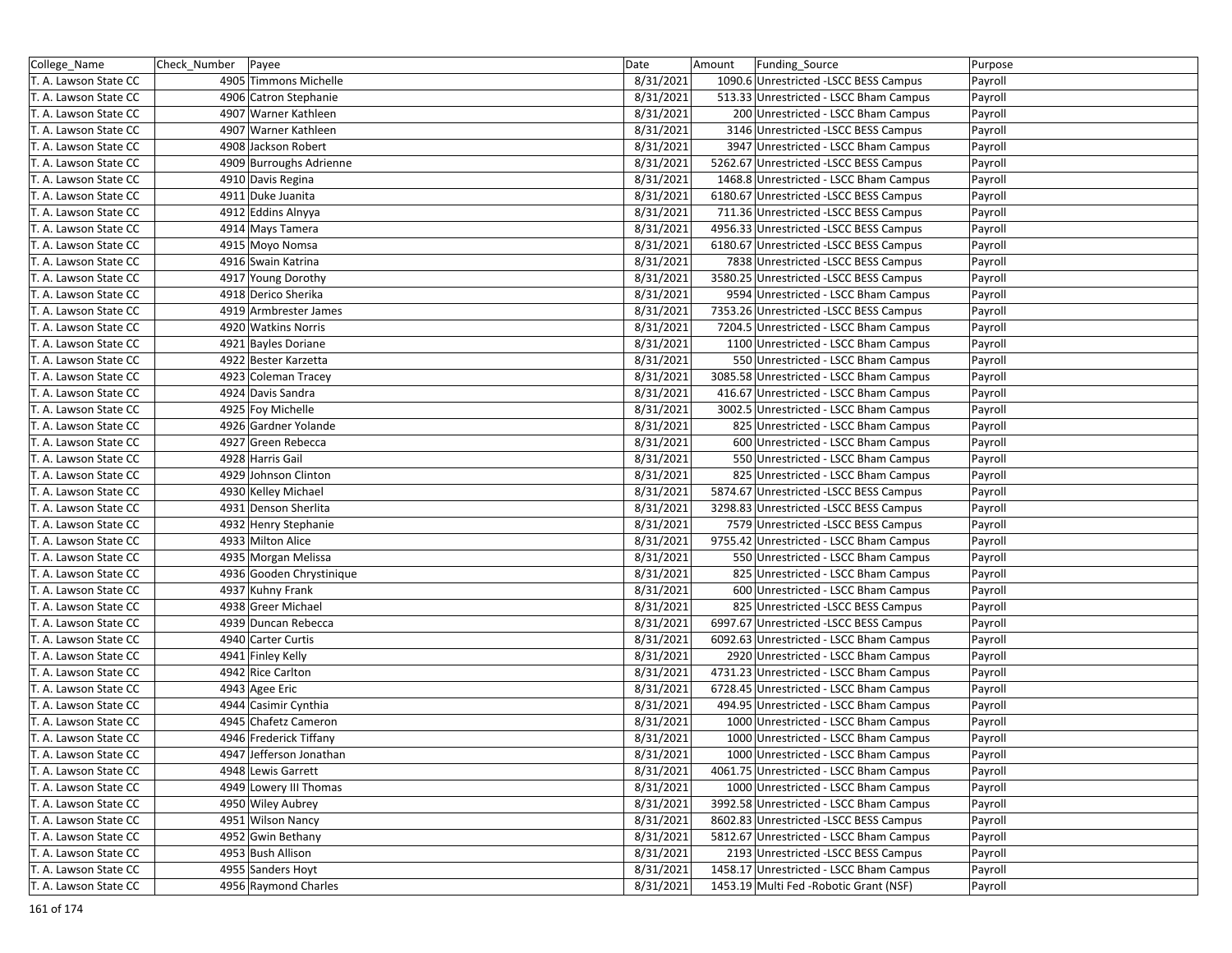| College_Name          | Check Number Payee |                          | Date      | Amount | Funding_Source                          | Purpose |
|-----------------------|--------------------|--------------------------|-----------|--------|-----------------------------------------|---------|
| T. A. Lawson State CC |                    | 4905 Timmons Michelle    | 8/31/2021 |        | 1090.6 Unrestricted -LSCC BESS Campus   | Payroll |
| T. A. Lawson State CC |                    | 4906 Catron Stephanie    | 8/31/2021 |        | 513.33 Unrestricted - LSCC Bham Campus  | Payroll |
| T. A. Lawson State CC |                    | 4907 Warner Kathleen     | 8/31/2021 |        | 200 Unrestricted - LSCC Bham Campus     | Payroll |
| T. A. Lawson State CC |                    | 4907 Warner Kathleen     | 8/31/2021 |        | 3146 Unrestricted -LSCC BESS Campus     | Payroll |
| T. A. Lawson State CC |                    | 4908 Jackson Robert      | 8/31/2021 |        | 3947 Unrestricted - LSCC Bham Campus    | Payroll |
| T. A. Lawson State CC |                    | 4909 Burroughs Adrienne  | 8/31/2021 |        | 5262.67 Unrestricted -LSCC BESS Campus  | Payroll |
| T. A. Lawson State CC |                    | 4910 Davis Regina        | 8/31/2021 |        | 1468.8 Unrestricted - LSCC Bham Campus  | Payroll |
| T. A. Lawson State CC |                    | 4911 Duke Juanita        | 8/31/2021 |        | 6180.67 Unrestricted -LSCC BESS Campus  | Payroll |
| T. A. Lawson State CC |                    | 4912 Eddins Alnyya       | 8/31/2021 |        | 711.36 Unrestricted -LSCC BESS Campus   | Payroll |
| T. A. Lawson State CC |                    | 4914 Mays Tamera         | 8/31/2021 |        | 4956.33 Unrestricted -LSCC BESS Campus  | Payroll |
| T. A. Lawson State CC |                    | 4915 Moyo Nomsa          | 8/31/2021 |        | 6180.67 Unrestricted -LSCC BESS Campus  | Payroll |
| T. A. Lawson State CC |                    | 4916 Swain Katrina       | 8/31/2021 |        | 7838 Unrestricted -LSCC BESS Campus     | Payroll |
| T. A. Lawson State CC |                    | 4917 Young Dorothy       | 8/31/2021 |        | 3580.25 Unrestricted -LSCC BESS Campus  | Payroll |
| T. A. Lawson State CC |                    | 4918 Derico Sherika      | 8/31/2021 |        | 9594 Unrestricted - LSCC Bham Campus    | Payroll |
| T. A. Lawson State CC |                    | 4919 Armbrester James    | 8/31/2021 |        | 7353.26 Unrestricted -LSCC BESS Campus  | Payroll |
| T. A. Lawson State CC |                    | 4920 Watkins Norris      | 8/31/2021 |        | 7204.5 Unrestricted - LSCC Bham Campus  | Payroll |
| T. A. Lawson State CC |                    | 4921 Bayles Doriane      | 8/31/2021 |        | 1100 Unrestricted - LSCC Bham Campus    | Payroll |
| T. A. Lawson State CC |                    | 4922 Bester Karzetta     | 8/31/2021 |        | 550 Unrestricted - LSCC Bham Campus     | Payroll |
| T. A. Lawson State CC |                    | 4923 Coleman Tracey      | 8/31/2021 |        | 3085.58 Unrestricted - LSCC Bham Campus | Payroll |
| T. A. Lawson State CC |                    | 4924 Davis Sandra        | 8/31/2021 |        | 416.67 Unrestricted - LSCC Bham Campus  | Payroll |
| T. A. Lawson State CC |                    | 4925 Foy Michelle        | 8/31/2021 |        | 3002.5 Unrestricted - LSCC Bham Campus  | Payroll |
| T. A. Lawson State CC |                    | 4926 Gardner Yolande     | 8/31/2021 |        | 825 Unrestricted - LSCC Bham Campus     | Payroll |
| T. A. Lawson State CC |                    | 4927 Green Rebecca       | 8/31/2021 |        | 600 Unrestricted - LSCC Bham Campus     | Payroll |
| T. A. Lawson State CC |                    | 4928 Harris Gail         | 8/31/2021 |        | 550 Unrestricted - LSCC Bham Campus     | Payroll |
| T. A. Lawson State CC |                    | 4929 Johnson Clinton     | 8/31/2021 |        | 825 Unrestricted - LSCC Bham Campus     | Payroll |
| T. A. Lawson State CC |                    | 4930 Kelley Michael      | 8/31/2021 |        | 5874.67 Unrestricted -LSCC BESS Campus  | Payroll |
| T. A. Lawson State CC |                    | 4931 Denson Sherlita     | 8/31/2021 |        | 3298.83 Unrestricted -LSCC BESS Campus  | Payroll |
| T. A. Lawson State CC |                    | 4932 Henry Stephanie     | 8/31/2021 |        | 7579 Unrestricted -LSCC BESS Campus     | Payroll |
| T. A. Lawson State CC |                    | 4933 Milton Alice        | 8/31/2021 |        | 9755.42 Unrestricted - LSCC Bham Campus | Payroll |
| T. A. Lawson State CC |                    | 4935 Morgan Melissa      | 8/31/2021 |        | 550 Unrestricted - LSCC Bham Campus     | Payroll |
| T. A. Lawson State CC |                    | 4936 Gooden Chrystinique | 8/31/2021 |        | 825 Unrestricted - LSCC Bham Campus     | Payroll |
| T. A. Lawson State CC |                    | 4937 Kuhny Frank         | 8/31/2021 |        | 600 Unrestricted - LSCC Bham Campus     | Payroll |
| T. A. Lawson State CC |                    | 4938 Greer Michael       | 8/31/2021 |        | 825 Unrestricted -LSCC BESS Campus      | Payroll |
| T. A. Lawson State CC |                    | 4939 Duncan Rebecca      | 8/31/2021 |        | 6997.67 Unrestricted -LSCC BESS Campus  | Payroll |
| T. A. Lawson State CC |                    | 4940 Carter Curtis       | 8/31/2021 |        | 6092.63 Unrestricted - LSCC Bham Campus | Payroll |
| T. A. Lawson State CC |                    | 4941 Finley Kelly        | 8/31/2021 |        | 2920 Unrestricted - LSCC Bham Campus    | Payroll |
| T. A. Lawson State CC |                    | 4942 Rice Carlton        | 8/31/2021 |        | 4731.23 Unrestricted - LSCC Bham Campus | Payroll |
| T. A. Lawson State CC |                    | 4943 Agee Eric           | 8/31/2021 |        | 6728.45 Unrestricted - LSCC Bham Campus | Payroll |
| T. A. Lawson State CC |                    | 4944 Casimir Cynthia     | 8/31/2021 |        | 494.95 Unrestricted - LSCC Bham Campus  | Payroll |
| T. A. Lawson State CC |                    | 4945 Chafetz Cameron     | 8/31/2021 |        | 1000 Unrestricted - LSCC Bham Campus    | Payroll |
| T. A. Lawson State CC |                    | 4946 Frederick Tiffany   | 8/31/2021 |        | 1000 Unrestricted - LSCC Bham Campus    | Payroll |
| T. A. Lawson State CC |                    | 4947 Jefferson Jonathan  | 8/31/2021 |        | 1000 Unrestricted - LSCC Bham Campus    | Payroll |
| T. A. Lawson State CC |                    | 4948 Lewis Garrett       | 8/31/2021 |        | 4061.75 Unrestricted - LSCC Bham Campus | Payroll |
| T. A. Lawson State CC |                    | 4949 Lowery III Thomas   | 8/31/2021 |        | 1000 Unrestricted - LSCC Bham Campus    | Payroll |
| T. A. Lawson State CC |                    | 4950 Wiley Aubrey        | 8/31/2021 |        | 3992.58 Unrestricted - LSCC Bham Campus | Payroll |
| T. A. Lawson State CC |                    | 4951 Wilson Nancy        | 8/31/2021 |        | 8602.83 Unrestricted -LSCC BESS Campus  | Payroll |
| T. A. Lawson State CC |                    | 4952 Gwin Bethany        | 8/31/2021 |        | 5812.67 Unrestricted - LSCC Bham Campus | Payroll |
| T. A. Lawson State CC |                    | 4953 Bush Allison        | 8/31/2021 |        | 2193 Unrestricted -LSCC BESS Campus     | Payroll |
| T. A. Lawson State CC |                    | 4955 Sanders Hoyt        | 8/31/2021 |        | 1458.17 Unrestricted - LSCC Bham Campus | Payroll |
| T. A. Lawson State CC |                    | 4956 Raymond Charles     | 8/31/2021 |        | 1453.19 Multi Fed - Robotic Grant (NSF) | Payroll |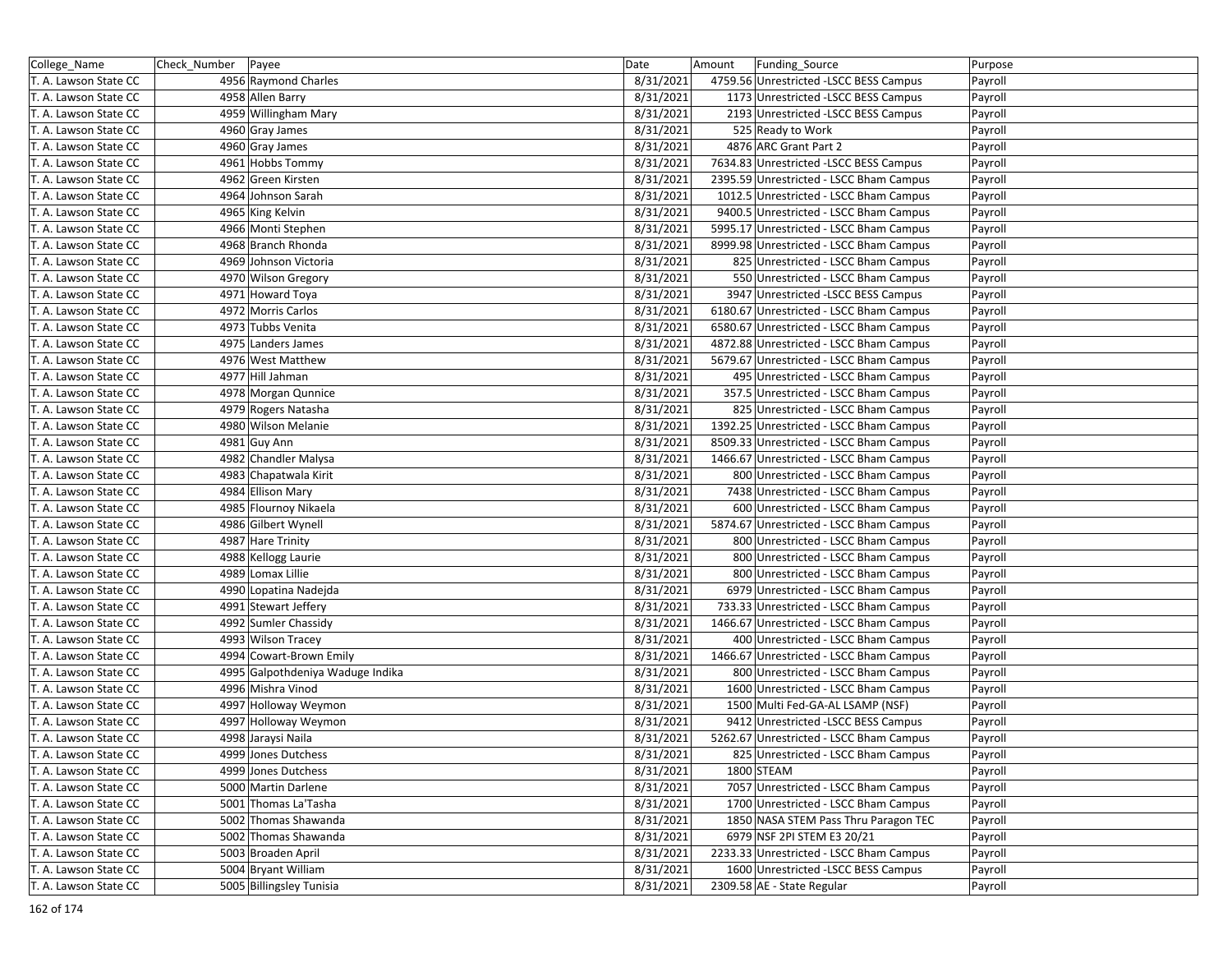| College_Name          | Check_Number Payee |                                  | Date      | Amount | Funding_Source                          | Purpose |
|-----------------------|--------------------|----------------------------------|-----------|--------|-----------------------------------------|---------|
| T. A. Lawson State CC |                    | 4956 Raymond Charles             | 8/31/2021 |        | 4759.56 Unrestricted -LSCC BESS Campus  | Payroll |
| T. A. Lawson State CC |                    | 4958 Allen Barry                 | 8/31/2021 |        | 1173 Unrestricted -LSCC BESS Campus     | Payroll |
| T. A. Lawson State CC |                    | 4959 Willingham Mary             | 8/31/2021 |        | 2193 Unrestricted -LSCC BESS Campus     | Payroll |
| T. A. Lawson State CC |                    | 4960 Gray James                  | 8/31/2021 |        | 525 Ready to Work                       | Payroll |
| T. A. Lawson State CC |                    | 4960 Gray James                  | 8/31/2021 |        | 4876 ARC Grant Part 2                   | Payroll |
| T. A. Lawson State CC |                    | 4961 Hobbs Tommy                 | 8/31/2021 |        | 7634.83 Unrestricted -LSCC BESS Campus  | Payroll |
| T. A. Lawson State CC |                    | 4962 Green Kirsten               | 8/31/2021 |        | 2395.59 Unrestricted - LSCC Bham Campus | Payroll |
| T. A. Lawson State CC |                    | 4964 Johnson Sarah               | 8/31/2021 |        | 1012.5 Unrestricted - LSCC Bham Campus  | Payroll |
| T. A. Lawson State CC |                    | 4965 King Kelvin                 | 8/31/2021 |        | 9400.5 Unrestricted - LSCC Bham Campus  | Payroll |
| T. A. Lawson State CC |                    | 4966 Monti Stephen               | 8/31/2021 |        | 5995.17 Unrestricted - LSCC Bham Campus | Payroll |
| T. A. Lawson State CC |                    | 4968 Branch Rhonda               | 8/31/2021 |        | 8999.98 Unrestricted - LSCC Bham Campus | Payroll |
| T. A. Lawson State CC |                    | 4969 Johnson Victoria            | 8/31/2021 |        | 825 Unrestricted - LSCC Bham Campus     | Payroll |
| T. A. Lawson State CC |                    | 4970 Wilson Gregory              | 8/31/2021 |        | 550 Unrestricted - LSCC Bham Campus     | Payroll |
| T. A. Lawson State CC |                    | 4971 Howard Toya                 | 8/31/2021 |        | 3947 Unrestricted -LSCC BESS Campus     | Payroll |
| T. A. Lawson State CC |                    | 4972 Morris Carlos               | 8/31/2021 |        | 6180.67 Unrestricted - LSCC Bham Campus | Payroll |
| T. A. Lawson State CC |                    | 4973 Tubbs Venita                | 8/31/2021 |        | 6580.67 Unrestricted - LSCC Bham Campus | Payroll |
| T. A. Lawson State CC |                    | 4975 Landers James               | 8/31/2021 |        | 4872.88 Unrestricted - LSCC Bham Campus | Payroll |
| T. A. Lawson State CC |                    | 4976 West Matthew                | 8/31/2021 |        | 5679.67 Unrestricted - LSCC Bham Campus | Payroll |
| T. A. Lawson State CC |                    | 4977 Hill Jahman                 | 8/31/2021 |        | 495 Unrestricted - LSCC Bham Campus     | Payroll |
| T. A. Lawson State CC |                    | 4978 Morgan Qunnice              | 8/31/2021 |        | 357.5 Unrestricted - LSCC Bham Campus   | Payroll |
| T. A. Lawson State CC |                    | 4979 Rogers Natasha              | 8/31/2021 |        | 825 Unrestricted - LSCC Bham Campus     | Payroll |
| T. A. Lawson State CC |                    | 4980 Wilson Melanie              | 8/31/2021 |        | 1392.25 Unrestricted - LSCC Bham Campus | Payroll |
| T. A. Lawson State CC |                    | 4981 Guy Ann                     | 8/31/2021 |        | 8509.33 Unrestricted - LSCC Bham Campus | Payroll |
| T. A. Lawson State CC |                    | 4982 Chandler Malysa             | 8/31/2021 |        | 1466.67 Unrestricted - LSCC Bham Campus | Payroll |
| T. A. Lawson State CC |                    | 4983 Chapatwala Kirit            | 8/31/2021 |        | 800 Unrestricted - LSCC Bham Campus     | Payroll |
| T. A. Lawson State CC |                    | 4984 Ellison Mary                | 8/31/2021 |        | 7438 Unrestricted - LSCC Bham Campus    | Payroll |
| T. A. Lawson State CC |                    | 4985 Flournoy Nikaela            | 8/31/2021 |        | 600 Unrestricted - LSCC Bham Campus     | Payroll |
| T. A. Lawson State CC |                    | 4986 Gilbert Wynell              | 8/31/2021 |        | 5874.67 Unrestricted - LSCC Bham Campus | Payroll |
| T. A. Lawson State CC |                    | 4987 Hare Trinity                | 8/31/2021 |        | 800 Unrestricted - LSCC Bham Campus     | Payroll |
| T. A. Lawson State CC |                    | 4988 Kellogg Laurie              | 8/31/2021 |        | 800 Unrestricted - LSCC Bham Campus     | Payroll |
| T. A. Lawson State CC |                    | 4989 Lomax Lillie                | 8/31/2021 |        | 800 Unrestricted - LSCC Bham Campus     | Payroll |
| T. A. Lawson State CC |                    | 4990 Lopatina Nadejda            | 8/31/2021 |        | 6979 Unrestricted - LSCC Bham Campus    | Payroll |
| T. A. Lawson State CC |                    | 4991 Stewart Jeffery             | 8/31/2021 |        | 733.33 Unrestricted - LSCC Bham Campus  | Payroll |
| T. A. Lawson State CC |                    | 4992 Sumler Chassidy             | 8/31/2021 |        | 1466.67 Unrestricted - LSCC Bham Campus | Payroll |
| T. A. Lawson State CC |                    | 4993 Wilson Tracey               | 8/31/2021 |        | 400 Unrestricted - LSCC Bham Campus     | Payroll |
| T. A. Lawson State CC |                    | 4994 Cowart-Brown Emily          | 8/31/2021 |        | 1466.67 Unrestricted - LSCC Bham Campus | Payroll |
| T. A. Lawson State CC |                    | 4995 Galpothdeniya Waduge Indika | 8/31/2021 |        | 800 Unrestricted - LSCC Bham Campus     | Payroll |
| T. A. Lawson State CC |                    | 4996 Mishra Vinod                | 8/31/2021 |        | 1600 Unrestricted - LSCC Bham Campus    | Payroll |
| T. A. Lawson State CC |                    | 4997 Holloway Weymon             | 8/31/2021 |        | 1500 Multi Fed-GA-AL LSAMP (NSF)        | Payroll |
| T. A. Lawson State CC |                    | 4997 Holloway Weymon             | 8/31/2021 |        | 9412 Unrestricted -LSCC BESS Campus     | Payroll |
| T. A. Lawson State CC |                    | 4998 Jaraysi Naila               | 8/31/2021 |        | 5262.67 Unrestricted - LSCC Bham Campus | Payroll |
| T. A. Lawson State CC |                    | 4999 Jones Dutchess              | 8/31/2021 |        | 825 Unrestricted - LSCC Bham Campus     | Payroll |
| T. A. Lawson State CC |                    | 4999 Jones Dutchess              | 8/31/2021 |        | 1800 STEAM                              | Payroll |
| T. A. Lawson State CC |                    | 5000 Martin Darlene              | 8/31/2021 |        | 7057 Unrestricted - LSCC Bham Campus    | Payroll |
| T. A. Lawson State CC |                    | 5001 Thomas La'Tasha             | 8/31/2021 |        | 1700 Unrestricted - LSCC Bham Campus    | Payroll |
| T. A. Lawson State CC |                    | 5002 Thomas Shawanda             | 8/31/2021 |        | 1850 NASA STEM Pass Thru Paragon TEC    | Payroll |
| T. A. Lawson State CC |                    | 5002 Thomas Shawanda             | 8/31/2021 |        | 6979 NSF 2PI STEM E3 20/21              | Payroll |
| T. A. Lawson State CC |                    | 5003 Broaden April               | 8/31/2021 |        | 2233.33 Unrestricted - LSCC Bham Campus | Payroll |
| T. A. Lawson State CC |                    | 5004 Bryant William              | 8/31/2021 |        | 1600 Unrestricted -LSCC BESS Campus     | Payroll |
| T. A. Lawson State CC |                    | 5005 Billingsley Tunisia         | 8/31/2021 |        | 2309.58 AE - State Regular              | Payroll |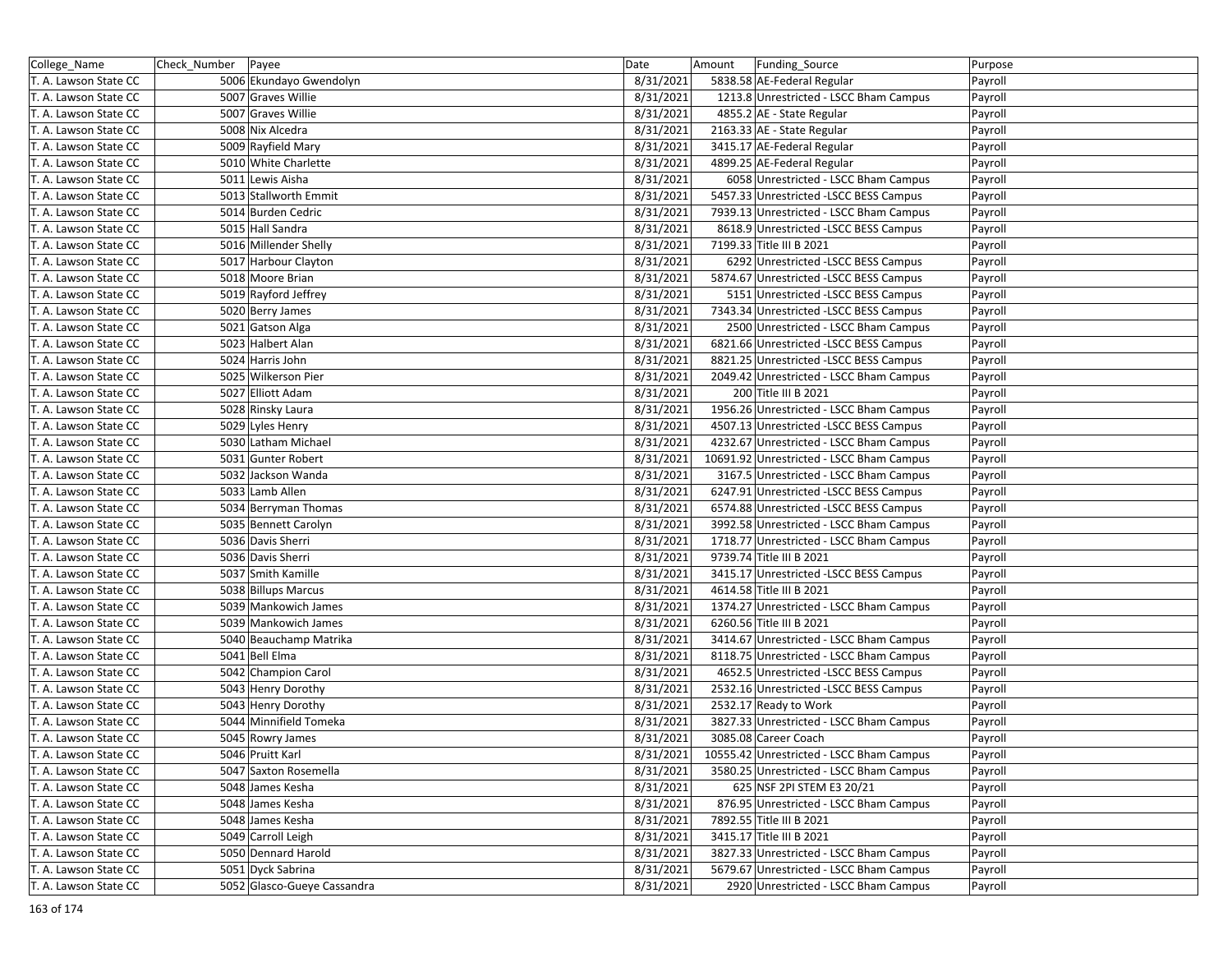| College_Name          | Check_Number Payee |                             | Date      | Amount | Funding_Source                           | Purpose |
|-----------------------|--------------------|-----------------------------|-----------|--------|------------------------------------------|---------|
| T. A. Lawson State CC |                    | 5006 Ekundayo Gwendolyn     | 8/31/2021 |        | 5838.58 AE-Federal Regular               | Payroll |
| T. A. Lawson State CC |                    | 5007 Graves Willie          | 8/31/2021 |        | 1213.8 Unrestricted - LSCC Bham Campus   | Payroll |
| T. A. Lawson State CC |                    | 5007 Graves Willie          | 8/31/2021 |        | 4855.2 AE - State Regular                | Payroll |
| T. A. Lawson State CC |                    | 5008 Nix Alcedra            | 8/31/2021 |        | 2163.33 AE - State Regular               | Payroll |
| T. A. Lawson State CC |                    | 5009 Rayfield Mary          | 8/31/2021 |        | 3415.17 AE-Federal Regular               | Payroll |
| T. A. Lawson State CC |                    | 5010 White Charlette        | 8/31/2021 |        | 4899.25 AE-Federal Regular               | Payroll |
| T. A. Lawson State CC |                    | 5011 Lewis Aisha            | 8/31/2021 |        | 6058 Unrestricted - LSCC Bham Campus     | Payroll |
| T. A. Lawson State CC |                    | 5013 Stallworth Emmit       | 8/31/2021 |        | 5457.33 Unrestricted -LSCC BESS Campus   | Payroll |
| T. A. Lawson State CC |                    | 5014 Burden Cedric          | 8/31/2021 |        | 7939.13 Unrestricted - LSCC Bham Campus  | Payroll |
| T. A. Lawson State CC |                    | 5015 Hall Sandra            | 8/31/2021 |        | 8618.9 Unrestricted -LSCC BESS Campus    | Payroll |
| T. A. Lawson State CC |                    | 5016 Millender Shelly       | 8/31/2021 |        | 7199.33 Title III B 2021                 | Payroll |
| T. A. Lawson State CC |                    | 5017 Harbour Clayton        | 8/31/2021 |        | 6292 Unrestricted -LSCC BESS Campus      | Payroll |
| T. A. Lawson State CC |                    | 5018 Moore Brian            | 8/31/2021 |        | 5874.67 Unrestricted -LSCC BESS Campus   | Payroll |
| T. A. Lawson State CC |                    | 5019 Rayford Jeffrey        | 8/31/2021 |        | 5151 Unrestricted -LSCC BESS Campus      | Payroll |
| T. A. Lawson State CC |                    | 5020 Berry James            | 8/31/2021 |        | 7343.34 Unrestricted -LSCC BESS Campus   | Payroll |
| T. A. Lawson State CC |                    | 5021 Gatson Alga            | 8/31/2021 |        | 2500 Unrestricted - LSCC Bham Campus     | Payroll |
| T. A. Lawson State CC |                    | 5023 Halbert Alan           | 8/31/2021 |        | 6821.66 Unrestricted -LSCC BESS Campus   | Payroll |
| T. A. Lawson State CC |                    | 5024 Harris John            | 8/31/2021 |        | 8821.25 Unrestricted -LSCC BESS Campus   | Payroll |
| T. A. Lawson State CC |                    | 5025 Wilkerson Pier         | 8/31/2021 |        | 2049.42 Unrestricted - LSCC Bham Campus  | Payroll |
| T. A. Lawson State CC |                    | 5027 Elliott Adam           | 8/31/2021 |        | 200 Title III B 2021                     | Payroll |
| T. A. Lawson State CC |                    | 5028 Rinsky Laura           | 8/31/2021 |        | 1956.26 Unrestricted - LSCC Bham Campus  | Payroll |
| T. A. Lawson State CC |                    | 5029 Lyles Henry            | 8/31/2021 |        | 4507.13 Unrestricted -LSCC BESS Campus   | Payroll |
| T. A. Lawson State CC |                    | 5030 Latham Michael         | 8/31/2021 |        | 4232.67 Unrestricted - LSCC Bham Campus  | Payroll |
| T. A. Lawson State CC |                    | 5031 Gunter Robert          | 8/31/2021 |        | 10691.92 Unrestricted - LSCC Bham Campus | Payroll |
| T. A. Lawson State CC |                    | 5032 Jackson Wanda          | 8/31/2021 |        | 3167.5 Unrestricted - LSCC Bham Campus   | Payroll |
| T. A. Lawson State CC |                    | 5033 Lamb Allen             | 8/31/2021 |        | 6247.91 Unrestricted -LSCC BESS Campus   | Payroll |
| T. A. Lawson State CC |                    | 5034 Berryman Thomas        | 8/31/2021 |        | 6574.88 Unrestricted -LSCC BESS Campus   | Payroll |
| T. A. Lawson State CC |                    | 5035 Bennett Carolyn        | 8/31/2021 |        | 3992.58 Unrestricted - LSCC Bham Campus  | Payroll |
| T. A. Lawson State CC |                    | 5036 Davis Sherri           | 8/31/2021 |        | 1718.77 Unrestricted - LSCC Bham Campus  | Payroll |
| T. A. Lawson State CC |                    | 5036 Davis Sherri           | 8/31/2021 |        | 9739.74 Title III B 2021                 | Payroll |
| T. A. Lawson State CC |                    | 5037 Smith Kamille          | 8/31/2021 |        | 3415.17 Unrestricted -LSCC BESS Campus   | Payroll |
| T. A. Lawson State CC |                    | 5038 Billups Marcus         | 8/31/2021 |        | 4614.58 Title III B 2021                 | Payroll |
| T. A. Lawson State CC |                    | 5039 Mankowich James        | 8/31/2021 |        | 1374.27 Unrestricted - LSCC Bham Campus  | Payroll |
| T. A. Lawson State CC |                    | 5039 Mankowich James        | 8/31/2021 |        | 6260.56 Title III B 2021                 | Payroll |
| T. A. Lawson State CC |                    | 5040 Beauchamp Matrika      | 8/31/2021 |        | 3414.67 Unrestricted - LSCC Bham Campus  | Payroll |
| T. A. Lawson State CC |                    | 5041 Bell Elma              | 8/31/2021 |        | 8118.75 Unrestricted - LSCC Bham Campus  | Payroll |
| T. A. Lawson State CC |                    | 5042 Champion Carol         | 8/31/2021 |        | 4652.5 Unrestricted -LSCC BESS Campus    | Payroll |
| T. A. Lawson State CC |                    | 5043 Henry Dorothy          | 8/31/2021 |        | 2532.16 Unrestricted -LSCC BESS Campus   | Payroll |
| T. A. Lawson State CC |                    | 5043 Henry Dorothy          | 8/31/2021 |        | 2532.17 Ready to Work                    | Payroll |
| T. A. Lawson State CC |                    | 5044 Minnifield Tomeka      | 8/31/2021 |        | 3827.33 Unrestricted - LSCC Bham Campus  | Payroll |
| T. A. Lawson State CC |                    | 5045 Rowry James            | 8/31/2021 |        | 3085.08 Career Coach                     | Payroll |
| T. A. Lawson State CC |                    | 5046 Pruitt Karl            | 8/31/2021 |        | 10555.42 Unrestricted - LSCC Bham Campus | Payroll |
| T. A. Lawson State CC |                    | 5047 Saxton Rosemella       | 8/31/2021 |        | 3580.25 Unrestricted - LSCC Bham Campus  | Payroll |
| T. A. Lawson State CC |                    | 5048 James Kesha            | 8/31/2021 |        | 625 NSF 2PI STEM E3 20/21                | Payroll |
| T. A. Lawson State CC |                    | 5048 James Kesha            | 8/31/2021 |        | 876.95 Unrestricted - LSCC Bham Campus   | Payroll |
| T. A. Lawson State CC |                    | 5048 James Kesha            | 8/31/2021 |        | 7892.55 Title III B 2021                 | Payroll |
| T. A. Lawson State CC |                    | 5049 Carroll Leigh          | 8/31/2021 |        | 3415.17 Title III B 2021                 | Payroll |
| T. A. Lawson State CC |                    | 5050 Dennard Harold         | 8/31/2021 |        | 3827.33 Unrestricted - LSCC Bham Campus  | Payroll |
| T. A. Lawson State CC |                    | 5051 Dyck Sabrina           | 8/31/2021 |        | 5679.67 Unrestricted - LSCC Bham Campus  | Payroll |
| T. A. Lawson State CC |                    | 5052 Glasco-Gueye Cassandra | 8/31/2021 |        | 2920 Unrestricted - LSCC Bham Campus     | Payroll |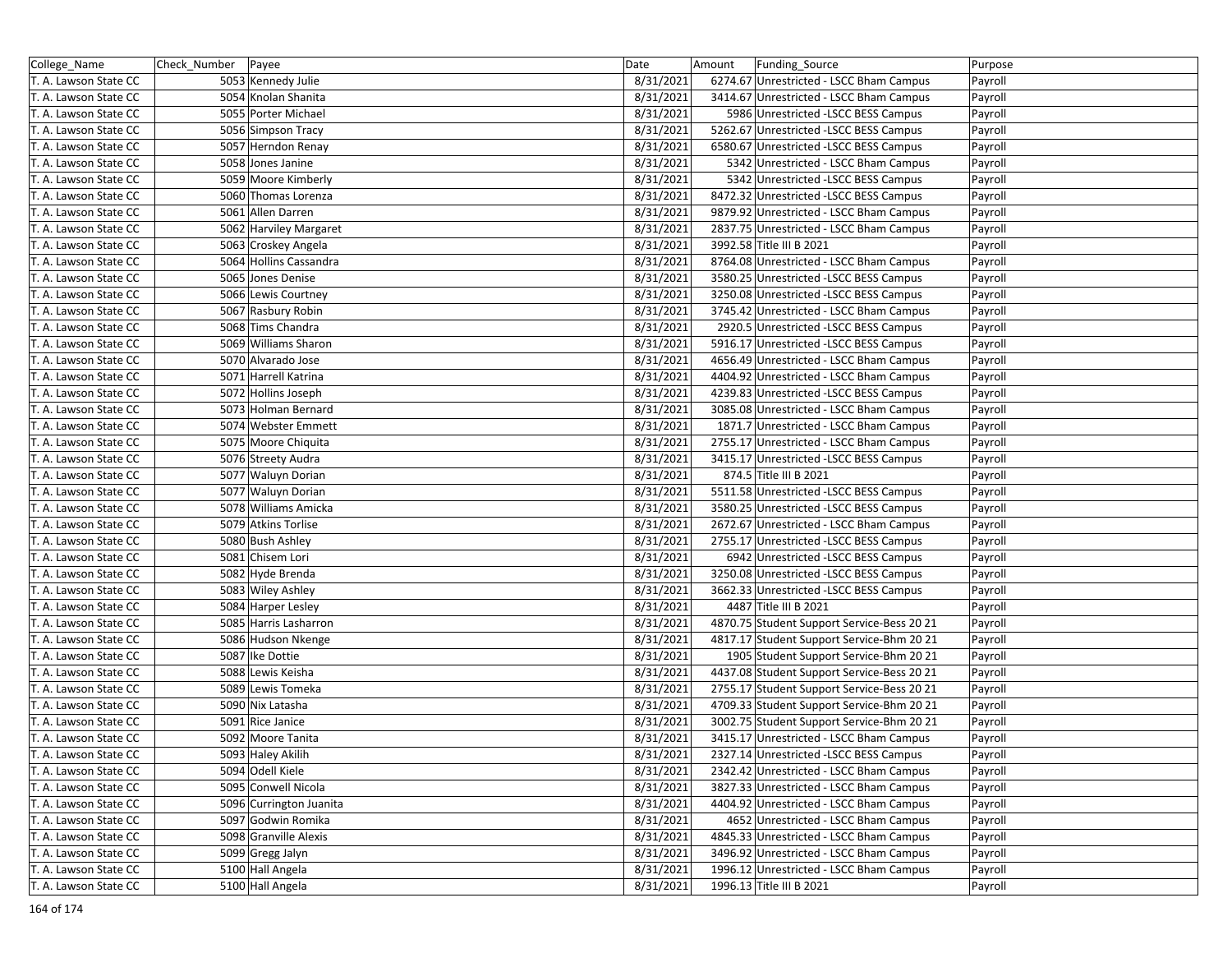| College_Name          | Check_Number | Payee                   | Date      | Amount | Funding_Source                             | Purpose |
|-----------------------|--------------|-------------------------|-----------|--------|--------------------------------------------|---------|
| T. A. Lawson State CC |              | 5053 Kennedy Julie      | 8/31/2021 |        | 6274.67 Unrestricted - LSCC Bham Campus    | Payroll |
| T. A. Lawson State CC |              | 5054 Knolan Shanita     | 8/31/2021 |        | 3414.67 Unrestricted - LSCC Bham Campus    | Payroll |
| T. A. Lawson State CC |              | 5055 Porter Michael     | 8/31/2021 |        | 5986 Unrestricted -LSCC BESS Campus        | Payroll |
| T. A. Lawson State CC |              | 5056 Simpson Tracy      | 8/31/2021 |        | 5262.67 Unrestricted -LSCC BESS Campus     | Payroll |
| T. A. Lawson State CC |              | 5057 Herndon Renay      | 8/31/2021 |        | 6580.67 Unrestricted -LSCC BESS Campus     | Payroll |
| T. A. Lawson State CC |              | 5058 Jones Janine       | 8/31/2021 |        | 5342 Unrestricted - LSCC Bham Campus       | Payroll |
| T. A. Lawson State CC |              | 5059 Moore Kimberly     | 8/31/2021 |        | 5342 Unrestricted -LSCC BESS Campus        | Payroll |
| T. A. Lawson State CC |              | 5060 Thomas Lorenza     | 8/31/2021 |        | 8472.32 Unrestricted -LSCC BESS Campus     | Payroll |
| T. A. Lawson State CC |              | 5061 Allen Darren       | 8/31/2021 |        | 9879.92 Unrestricted - LSCC Bham Campus    | Payroll |
| T. A. Lawson State CC |              | 5062 Harviley Margaret  | 8/31/2021 |        | 2837.75 Unrestricted - LSCC Bham Campus    | Payroll |
| T. A. Lawson State CC |              | 5063 Croskey Angela     | 8/31/2021 |        | 3992.58 Title III B 2021                   | Payroll |
| T. A. Lawson State CC |              | 5064 Hollins Cassandra  | 8/31/2021 |        | 8764.08 Unrestricted - LSCC Bham Campus    | Payroll |
| T. A. Lawson State CC |              | 5065 Jones Denise       | 8/31/2021 |        | 3580.25 Unrestricted - LSCC BESS Campus    | Payroll |
| T. A. Lawson State CC |              | 5066 Lewis Courtney     | 8/31/2021 |        | 3250.08 Unrestricted - LSCC BESS Campus    | Payroll |
| T. A. Lawson State CC |              | 5067 Rasbury Robin      | 8/31/2021 |        | 3745.42 Unrestricted - LSCC Bham Campus    | Payroll |
| T. A. Lawson State CC |              | 5068 Tims Chandra       | 8/31/2021 |        | 2920.5 Unrestricted -LSCC BESS Campus      | Payroll |
| T. A. Lawson State CC |              | 5069 Williams Sharon    | 8/31/2021 |        | 5916.17 Unrestricted -LSCC BESS Campus     | Payroll |
| T. A. Lawson State CC |              | 5070 Alvarado Jose      | 8/31/2021 |        | 4656.49 Unrestricted - LSCC Bham Campus    | Payroll |
| T. A. Lawson State CC |              | 5071 Harrell Katrina    | 8/31/2021 |        | 4404.92 Unrestricted - LSCC Bham Campus    | Payroll |
| T. A. Lawson State CC |              | 5072 Hollins Joseph     | 8/31/2021 |        | 4239.83 Unrestricted -LSCC BESS Campus     | Payroll |
| T. A. Lawson State CC |              | 5073 Holman Bernard     | 8/31/2021 |        | 3085.08 Unrestricted - LSCC Bham Campus    | Payroll |
| T. A. Lawson State CC |              | 5074 Webster Emmett     | 8/31/2021 |        | 1871.7 Unrestricted - LSCC Bham Campus     | Payroll |
| T. A. Lawson State CC |              | 5075 Moore Chiquita     | 8/31/2021 |        | 2755.17 Unrestricted - LSCC Bham Campus    | Payroll |
| T. A. Lawson State CC |              | 5076 Streety Audra      | 8/31/2021 |        | 3415.17 Unrestricted -LSCC BESS Campus     | Payroll |
| T. A. Lawson State CC |              | 5077 Waluyn Dorian      | 8/31/2021 |        | 874.5 Title III B 2021                     | Payroll |
| T. A. Lawson State CC |              | 5077 Waluyn Dorian      | 8/31/2021 |        | 5511.58 Unrestricted -LSCC BESS Campus     | Payroll |
| T. A. Lawson State CC |              | 5078 Williams Amicka    | 8/31/2021 |        | 3580.25 Unrestricted -LSCC BESS Campus     | Payroll |
| T. A. Lawson State CC |              | 5079 Atkins Torlise     | 8/31/2021 |        | 2672.67 Unrestricted - LSCC Bham Campus    | Payroll |
| T. A. Lawson State CC |              | 5080 Bush Ashley        | 8/31/2021 |        | 2755.17 Unrestricted -LSCC BESS Campus     | Payroll |
| T. A. Lawson State CC |              | 5081 Chisem Lori        | 8/31/2021 |        | 6942 Unrestricted -LSCC BESS Campus        | Payroll |
| T. A. Lawson State CC |              | 5082 Hyde Brenda        | 8/31/2021 |        | 3250.08 Unrestricted -LSCC BESS Campus     | Payroll |
| T. A. Lawson State CC |              | 5083 Wiley Ashley       | 8/31/2021 |        | 3662.33 Unrestricted - LSCC BESS Campus    | Payroll |
| T. A. Lawson State CC |              | 5084 Harper Lesley      | 8/31/2021 |        | 4487 Title III B 2021                      | Payroll |
| T. A. Lawson State CC |              | 5085 Harris Lasharron   | 8/31/2021 |        | 4870.75 Student Support Service-Bess 20 21 | Payroll |
| T. A. Lawson State CC |              | 5086 Hudson Nkenge      | 8/31/2021 |        | 4817.17 Student Support Service-Bhm 20 21  | Payroll |
| T. A. Lawson State CC |              | 5087 Ike Dottie         | 8/31/2021 |        | 1905 Student Support Service-Bhm 20 21     | Payroll |
| T. A. Lawson State CC |              | 5088 Lewis Keisha       | 8/31/2021 |        | 4437.08 Student Support Service-Bess 20 21 | Payroll |
| T. A. Lawson State CC |              | 5089 Lewis Tomeka       | 8/31/2021 |        | 2755.17 Student Support Service-Bess 20 21 | Payroll |
| T. A. Lawson State CC |              | 5090 Nix Latasha        | 8/31/2021 |        | 4709.33 Student Support Service-Bhm 20 21  | Payroll |
| T. A. Lawson State CC |              | 5091 Rice Janice        | 8/31/2021 |        | 3002.75 Student Support Service-Bhm 20 21  | Payroll |
| T. A. Lawson State CC |              | 5092 Moore Tanita       | 8/31/2021 |        | 3415.17 Unrestricted - LSCC Bham Campus    | Payroll |
| T. A. Lawson State CC |              | 5093 Haley Akilih       | 8/31/2021 |        | 2327.14 Unrestricted -LSCC BESS Campus     | Payroll |
| T. A. Lawson State CC |              | 5094 Odell Kiele        | 8/31/2021 |        | 2342.42 Unrestricted - LSCC Bham Campus    | Payroll |
| T. A. Lawson State CC |              | 5095 Conwell Nicola     | 8/31/2021 |        | 3827.33 Unrestricted - LSCC Bham Campus    | Payroll |
| T. A. Lawson State CC |              | 5096 Currington Juanita | 8/31/2021 |        | 4404.92 Unrestricted - LSCC Bham Campus    | Payroll |
| T. A. Lawson State CC |              | 5097 Godwin Romika      | 8/31/2021 |        | 4652 Unrestricted - LSCC Bham Campus       | Payroll |
| T. A. Lawson State CC |              | 5098 Granville Alexis   | 8/31/2021 |        | 4845.33 Unrestricted - LSCC Bham Campus    | Payroll |
| T. A. Lawson State CC |              | 5099 Gregg Jalyn        | 8/31/2021 |        | 3496.92 Unrestricted - LSCC Bham Campus    | Payroll |
| T. A. Lawson State CC |              | 5100 Hall Angela        | 8/31/2021 |        | 1996.12 Unrestricted - LSCC Bham Campus    | Payroll |
| T. A. Lawson State CC |              | 5100 Hall Angela        | 8/31/2021 |        | 1996.13 Title III B 2021                   | Payroll |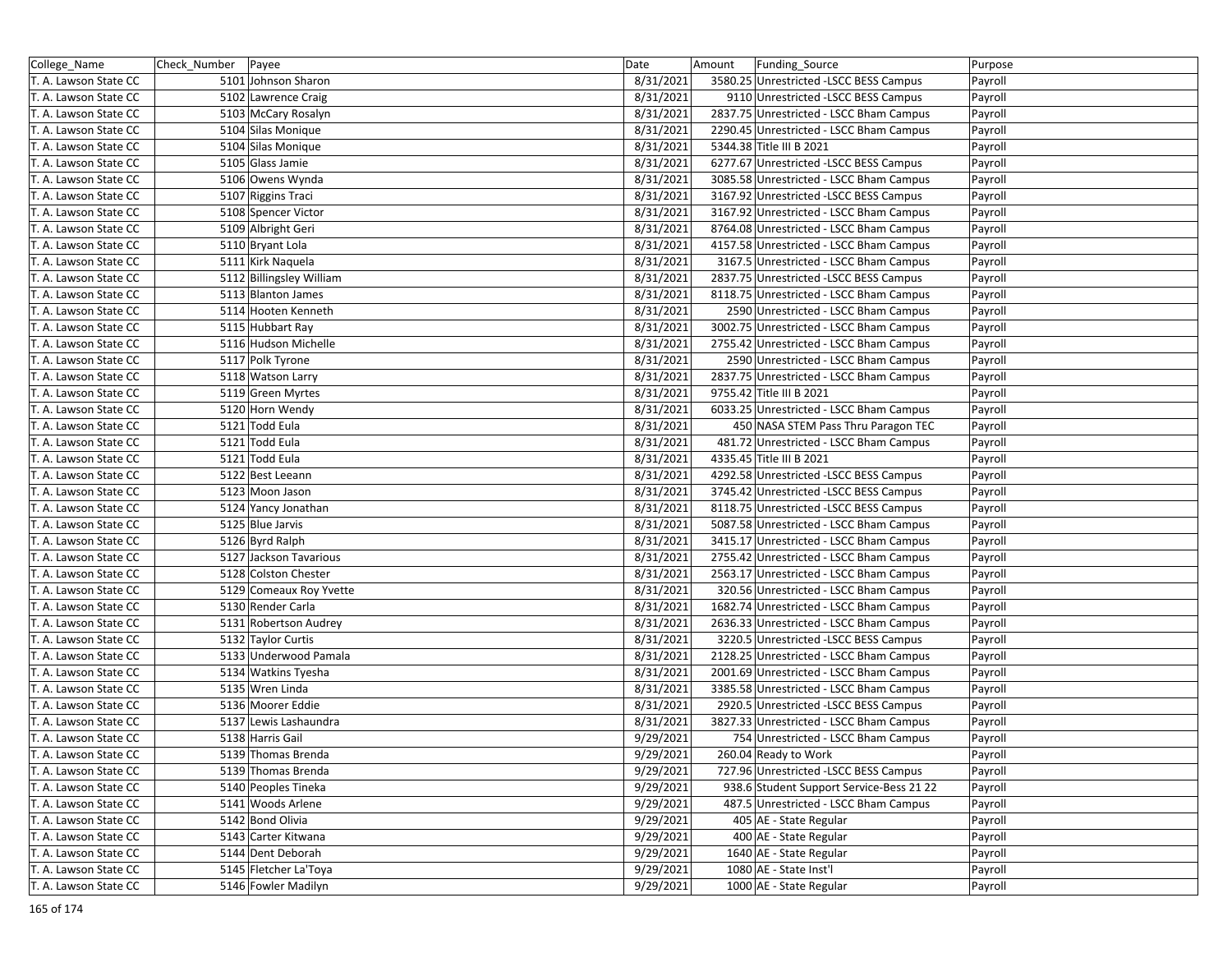| College_Name          | Check_Number Payee |                          | Date      | Amount | Funding_Source                           | Purpose |
|-----------------------|--------------------|--------------------------|-----------|--------|------------------------------------------|---------|
| T. A. Lawson State CC |                    | 5101 Johnson Sharon      | 8/31/2021 |        | 3580.25 Unrestricted -LSCC BESS Campus   | Payroll |
| T. A. Lawson State CC |                    | 5102 Lawrence Craig      | 8/31/2021 |        | 9110 Unrestricted -LSCC BESS Campus      | Payroll |
| T. A. Lawson State CC |                    | 5103 McCary Rosalyn      | 8/31/2021 |        | 2837.75 Unrestricted - LSCC Bham Campus  | Payroll |
| T. A. Lawson State CC |                    | 5104 Silas Monique       | 8/31/2021 |        | 2290.45 Unrestricted - LSCC Bham Campus  | Payroll |
| T. A. Lawson State CC |                    | 5104 Silas Monique       | 8/31/2021 |        | 5344.38 Title III B 2021                 | Payroll |
| T. A. Lawson State CC |                    | 5105 Glass Jamie         | 8/31/2021 |        | 6277.67 Unrestricted -LSCC BESS Campus   | Payroll |
| T. A. Lawson State CC |                    | 5106 Owens Wynda         | 8/31/2021 |        | 3085.58 Unrestricted - LSCC Bham Campus  | Payroll |
| T. A. Lawson State CC |                    | 5107 Riggins Traci       | 8/31/2021 |        | 3167.92 Unrestricted -LSCC BESS Campus   | Payroll |
| T. A. Lawson State CC |                    | 5108 Spencer Victor      | 8/31/2021 |        | 3167.92 Unrestricted - LSCC Bham Campus  | Payroll |
| T. A. Lawson State CC |                    | 5109 Albright Geri       | 8/31/2021 |        | 8764.08 Unrestricted - LSCC Bham Campus  | Payroll |
| T. A. Lawson State CC |                    | 5110 Bryant Lola         | 8/31/2021 |        | 4157.58 Unrestricted - LSCC Bham Campus  | Payroll |
| T. A. Lawson State CC |                    | 5111 Kirk Naquela        | 8/31/2021 |        | 3167.5 Unrestricted - LSCC Bham Campus   | Payroll |
| T. A. Lawson State CC |                    | 5112 Billingsley William | 8/31/2021 |        | 2837.75 Unrestricted - LSCC BESS Campus  | Payroll |
| T. A. Lawson State CC |                    | 5113 Blanton James       | 8/31/2021 |        | 8118.75 Unrestricted - LSCC Bham Campus  | Payroll |
| T. A. Lawson State CC |                    | 5114 Hooten Kenneth      | 8/31/2021 |        | 2590 Unrestricted - LSCC Bham Campus     | Payroll |
| T. A. Lawson State CC |                    | 5115 Hubbart Ray         | 8/31/2021 |        | 3002.75 Unrestricted - LSCC Bham Campus  | Payroll |
| T. A. Lawson State CC |                    | 5116 Hudson Michelle     | 8/31/2021 |        | 2755.42 Unrestricted - LSCC Bham Campus  | Payroll |
| T. A. Lawson State CC |                    | 5117 Polk Tyrone         | 8/31/2021 |        | 2590 Unrestricted - LSCC Bham Campus     | Payroll |
| T. A. Lawson State CC |                    | 5118 Watson Larry        | 8/31/2021 |        | 2837.75 Unrestricted - LSCC Bham Campus  | Payroll |
| T. A. Lawson State CC |                    | 5119 Green Myrtes        | 8/31/2021 |        | 9755.42 Title III B 2021                 | Payroll |
| T. A. Lawson State CC |                    | 5120 Horn Wendy          | 8/31/2021 |        | 6033.25 Unrestricted - LSCC Bham Campus  | Payroll |
| T. A. Lawson State CC |                    | 5121 Todd Eula           | 8/31/2021 |        | 450 NASA STEM Pass Thru Paragon TEC      | Payroll |
| T. A. Lawson State CC |                    | 5121 Todd Eula           | 8/31/2021 |        | 481.72 Unrestricted - LSCC Bham Campus   | Payroll |
| T. A. Lawson State CC |                    | 5121 Todd Eula           | 8/31/2021 |        | 4335.45 Title III B 2021                 | Payroll |
| T. A. Lawson State CC |                    | 5122 Best Leeann         | 8/31/2021 |        | 4292.58 Unrestricted -LSCC BESS Campus   | Payroll |
| T. A. Lawson State CC |                    | 5123 Moon Jason          | 8/31/2021 |        | 3745.42 Unrestricted -LSCC BESS Campus   | Payroll |
| T. A. Lawson State CC |                    | 5124 Yancy Jonathan      | 8/31/2021 |        | 8118.75 Unrestricted -LSCC BESS Campus   | Payroll |
| T. A. Lawson State CC |                    | 5125 Blue Jarvis         | 8/31/2021 |        | 5087.58 Unrestricted - LSCC Bham Campus  | Payroll |
| T. A. Lawson State CC |                    | 5126 Byrd Ralph          | 8/31/2021 |        | 3415.17 Unrestricted - LSCC Bham Campus  | Payroll |
| T. A. Lawson State CC |                    | 5127 Jackson Tavarious   | 8/31/2021 |        | 2755.42 Unrestricted - LSCC Bham Campus  | Payroll |
| T. A. Lawson State CC |                    | 5128 Colston Chester     | 8/31/2021 |        | 2563.17 Unrestricted - LSCC Bham Campus  | Payroll |
| T. A. Lawson State CC |                    | 5129 Comeaux Roy Yvette  | 8/31/2021 |        | 320.56 Unrestricted - LSCC Bham Campus   | Payroll |
| T. A. Lawson State CC |                    | 5130 Render Carla        | 8/31/2021 |        | 1682.74 Unrestricted - LSCC Bham Campus  | Payroll |
| T. A. Lawson State CC |                    | 5131 Robertson Audrey    | 8/31/2021 |        | 2636.33 Unrestricted - LSCC Bham Campus  | Payroll |
| T. A. Lawson State CC |                    | 5132 Taylor Curtis       | 8/31/2021 |        | 3220.5 Unrestricted -LSCC BESS Campus    | Payroll |
| T. A. Lawson State CC |                    | 5133 Underwood Pamala    | 8/31/2021 |        | 2128.25 Unrestricted - LSCC Bham Campus  | Payroll |
| T. A. Lawson State CC |                    | 5134 Watkins Tyesha      | 8/31/2021 |        | 2001.69 Unrestricted - LSCC Bham Campus  | Payroll |
| T. A. Lawson State CC |                    | 5135 Wren Linda          | 8/31/2021 |        | 3385.58 Unrestricted - LSCC Bham Campus  | Payroll |
| T. A. Lawson State CC |                    | 5136 Moorer Eddie        | 8/31/2021 |        | 2920.5 Unrestricted -LSCC BESS Campus    | Payroll |
| T. A. Lawson State CC |                    | 5137 Lewis Lashaundra    | 8/31/2021 |        | 3827.33 Unrestricted - LSCC Bham Campus  | Payroll |
| T. A. Lawson State CC |                    | 5138 Harris Gail         | 9/29/2021 |        | 754 Unrestricted - LSCC Bham Campus      | Payroll |
| T. A. Lawson State CC |                    | 5139 Thomas Brenda       | 9/29/2021 |        | 260.04 Ready to Work                     | Payroll |
| T. A. Lawson State CC |                    | 5139 Thomas Brenda       | 9/29/2021 |        | 727.96 Unrestricted -LSCC BESS Campus    | Payroll |
| T. A. Lawson State CC |                    | 5140 Peoples Tineka      | 9/29/2021 |        | 938.6 Student Support Service-Bess 21 22 | Payroll |
| T. A. Lawson State CC |                    | 5141 Woods Arlene        | 9/29/2021 |        | 487.5 Unrestricted - LSCC Bham Campus    | Payroll |
| T. A. Lawson State CC |                    | 5142 Bond Olivia         | 9/29/2021 |        | 405 AE - State Regular                   | Payroll |
| T. A. Lawson State CC |                    | 5143 Carter Kitwana      | 9/29/2021 |        | 400 AE - State Regular                   | Payroll |
| T. A. Lawson State CC |                    | 5144 Dent Deborah        | 9/29/2021 |        | 1640 AE - State Regular                  | Payroll |
| T. A. Lawson State CC |                    | 5145 Fletcher La'Toya    | 9/29/2021 |        | 1080 AE - State Inst'l                   | Payroll |
| T. A. Lawson State CC |                    | 5146 Fowler Madilyn      | 9/29/2021 |        | 1000 AE - State Regular                  | Payroll |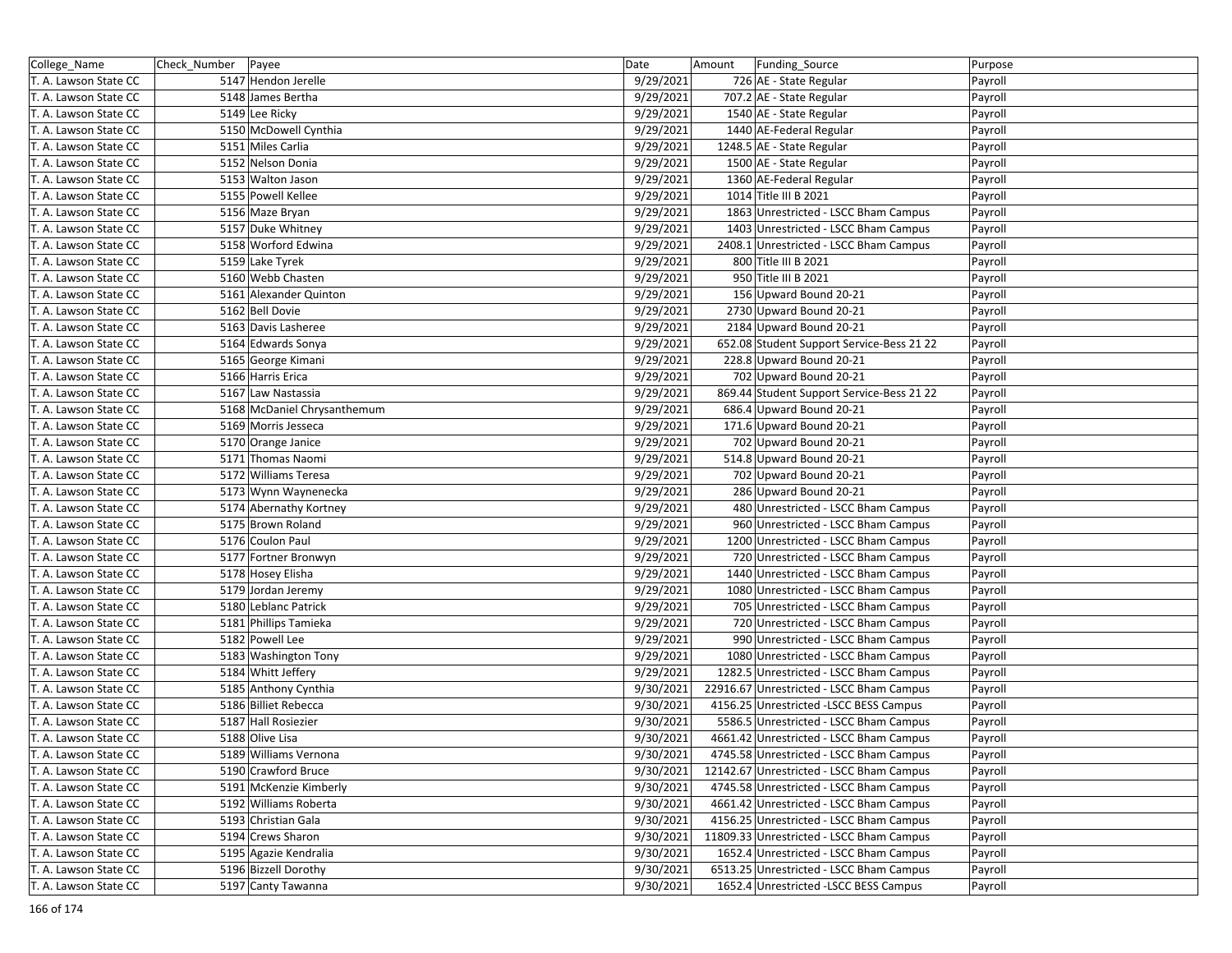| College_Name          | Check_Number   Payee        | Date      | Funding_Source<br>Amount                  | Purpose |
|-----------------------|-----------------------------|-----------|-------------------------------------------|---------|
| T. A. Lawson State CC | 5147 Hendon Jerelle         | 9/29/2021 | 726 AE - State Regular                    | Payroll |
| T. A. Lawson State CC | 5148 James Bertha           | 9/29/2021 | 707.2 AE - State Regular                  | Payroll |
| T. A. Lawson State CC | 5149 Lee Ricky              | 9/29/2021 | 1540 AE - State Regular                   | Payroll |
| T. A. Lawson State CC | 5150 McDowell Cynthia       | 9/29/2021 | 1440 AE-Federal Regular                   | Payroll |
| T. A. Lawson State CC | 5151 Miles Carlia           | 9/29/2021 | 1248.5 AE - State Regular                 | Payroll |
| T. A. Lawson State CC | 5152 Nelson Donia           | 9/29/2021 | 1500 AE - State Regular                   | Payroll |
| T. A. Lawson State CC | 5153 Walton Jason           | 9/29/2021 | 1360 AE-Federal Regular                   | Payroll |
| T. A. Lawson State CC | 5155 Powell Kellee          | 9/29/2021 | 1014 Title III B 2021                     | Payroll |
| T. A. Lawson State CC | 5156 Maze Bryan             | 9/29/2021 | 1863 Unrestricted - LSCC Bham Campus      | Payroll |
| T. A. Lawson State CC | 5157 Duke Whitney           | 9/29/2021 | 1403 Unrestricted - LSCC Bham Campus      | Payroll |
| T. A. Lawson State CC | 5158 Worford Edwina         | 9/29/2021 | 2408.1 Unrestricted - LSCC Bham Campus    | Payroll |
| T. A. Lawson State CC | 5159 Lake Tyrek             | 9/29/2021 | 800 Title III B 2021                      | Payroll |
| T. A. Lawson State CC | 5160 Webb Chasten           | 9/29/2021 | 950 Title III B 2021                      | Payroll |
| T. A. Lawson State CC | 5161 Alexander Quinton      | 9/29/2021 | 156 Upward Bound 20-21                    | Payroll |
| T. A. Lawson State CC | 5162 Bell Dovie             | 9/29/2021 | 2730 Upward Bound 20-21                   | Payroll |
| T. A. Lawson State CC | 5163 Davis Lasheree         | 9/29/2021 | 2184 Upward Bound 20-21                   | Payroll |
| T. A. Lawson State CC | 5164 Edwards Sonya          | 9/29/2021 | 652.08 Student Support Service-Bess 21 22 | Payroll |
| T. A. Lawson State CC | 5165 George Kimani          | 9/29/2021 | 228.8 Upward Bound 20-21                  | Payroll |
| T. A. Lawson State CC | 5166 Harris Erica           | 9/29/2021 | 702 Upward Bound 20-21                    | Payroll |
| T. A. Lawson State CC | 5167 Law Nastassia          | 9/29/2021 | 869.44 Student Support Service-Bess 21 22 | Payroll |
| T. A. Lawson State CC | 5168 McDaniel Chrysanthemum | 9/29/2021 | 686.4 Upward Bound 20-21                  | Payroll |
| T. A. Lawson State CC | 5169 Morris Jesseca         | 9/29/2021 | 171.6 Upward Bound 20-21                  | Payroll |
| T. A. Lawson State CC | 5170 Orange Janice          | 9/29/2021 | 702 Upward Bound 20-21                    | Payroll |
| T. A. Lawson State CC | 5171 Thomas Naomi           | 9/29/2021 | 514.8 Upward Bound 20-21                  | Payroll |
| T. A. Lawson State CC | 5172 Williams Teresa        | 9/29/2021 | 702 Upward Bound 20-21                    | Payroll |
| T. A. Lawson State CC | 5173 Wynn Waynenecka        | 9/29/2021 | 286 Upward Bound 20-21                    | Payroll |
| T. A. Lawson State CC | 5174 Abernathy Kortney      | 9/29/2021 | 480 Unrestricted - LSCC Bham Campus       | Payroll |
| T. A. Lawson State CC | 5175 Brown Roland           | 9/29/2021 | 960 Unrestricted - LSCC Bham Campus       | Payroll |
| T. A. Lawson State CC | 5176 Coulon Paul            | 9/29/2021 | 1200 Unrestricted - LSCC Bham Campus      | Payroll |
| T. A. Lawson State CC | 5177 Fortner Bronwyn        | 9/29/2021 | 720 Unrestricted - LSCC Bham Campus       | Payroll |
| T. A. Lawson State CC | 5178 Hosey Elisha           | 9/29/2021 | 1440 Unrestricted - LSCC Bham Campus      | Payroll |
| T. A. Lawson State CC | 5179 Jordan Jeremy          | 9/29/2021 |                                           |         |
|                       |                             |           | 1080 Unrestricted - LSCC Bham Campus      | Payroll |
| T. A. Lawson State CC | 5180 Leblanc Patrick        | 9/29/2021 | 705 Unrestricted - LSCC Bham Campus       | Payroll |
| T. A. Lawson State CC | 5181 Phillips Tamieka       | 9/29/2021 | 720 Unrestricted - LSCC Bham Campus       | Payroll |
| T. A. Lawson State CC | 5182 Powell Lee             | 9/29/2021 | 990 Unrestricted - LSCC Bham Campus       | Payroll |
| T. A. Lawson State CC | 5183 Washington Tony        | 9/29/2021 | 1080 Unrestricted - LSCC Bham Campus      | Payroll |
| T. A. Lawson State CC | 5184 Whitt Jeffery          | 9/29/2021 | 1282.5 Unrestricted - LSCC Bham Campus    | Payroll |
| T. A. Lawson State CC | 5185 Anthony Cynthia        | 9/30/2021 | 22916.67 Unrestricted - LSCC Bham Campus  | Payroll |
| T. A. Lawson State CC | 5186 Billiet Rebecca        | 9/30/2021 | 4156.25 Unrestricted -LSCC BESS Campus    | Payroll |
| T. A. Lawson State CC | 5187 Hall Rosiezier         | 9/30/2021 | 5586.5 Unrestricted - LSCC Bham Campus    | Payroll |
| T. A. Lawson State CC | 5188 Olive Lisa             | 9/30/2021 | 4661.42 Unrestricted - LSCC Bham Campus   | Payroll |
| T. A. Lawson State CC | 5189 Williams Vernona       | 9/30/2021 | 4745.58 Unrestricted - LSCC Bham Campus   | Payroll |
| T. A. Lawson State CC | 5190 Crawford Bruce         | 9/30/2021 | 12142.67 Unrestricted - LSCC Bham Campus  | Payroll |
| T. A. Lawson State CC | 5191 McKenzie Kimberly      | 9/30/2021 | 4745.58 Unrestricted - LSCC Bham Campus   | Payroll |
| T. A. Lawson State CC | 5192 Williams Roberta       | 9/30/2021 | 4661.42 Unrestricted - LSCC Bham Campus   | Payroll |
| T. A. Lawson State CC | 5193 Christian Gala         | 9/30/2021 | 4156.25 Unrestricted - LSCC Bham Campus   | Payroll |
| T. A. Lawson State CC | 5194 Crews Sharon           | 9/30/2021 | 11809.33 Unrestricted - LSCC Bham Campus  | Payroll |
| T. A. Lawson State CC | 5195 Agazie Kendralia       | 9/30/2021 | 1652.4 Unrestricted - LSCC Bham Campus    | Payroll |
| T. A. Lawson State CC | 5196 Bizzell Dorothy        | 9/30/2021 | 6513.25 Unrestricted - LSCC Bham Campus   | Payroll |
| T. A. Lawson State CC | 5197 Canty Tawanna          | 9/30/2021 | 1652.4 Unrestricted -LSCC BESS Campus     | Payroll |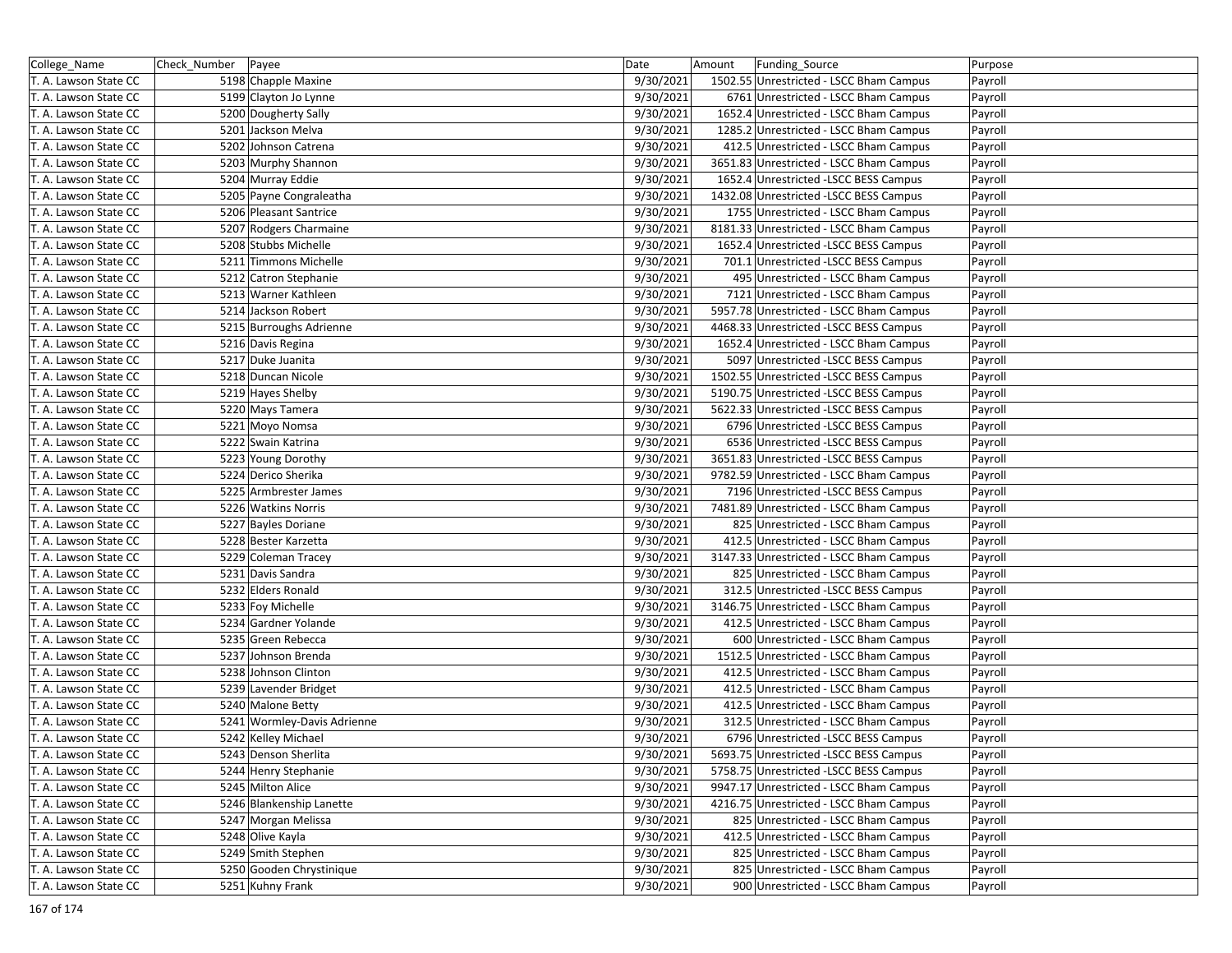| College_Name          | Check_Number   Payee |                             | Date      | Amount | Funding_Source                          | Purpose |
|-----------------------|----------------------|-----------------------------|-----------|--------|-----------------------------------------|---------|
| T. A. Lawson State CC |                      | 5198 Chapple Maxine         | 9/30/2021 |        | 1502.55 Unrestricted - LSCC Bham Campus | Payroll |
| T. A. Lawson State CC |                      | 5199 Clayton Jo Lynne       | 9/30/2021 |        | 6761 Unrestricted - LSCC Bham Campus    | Payroll |
| T. A. Lawson State CC |                      | 5200 Dougherty Sally        | 9/30/2021 |        | 1652.4 Unrestricted - LSCC Bham Campus  | Payroll |
| T. A. Lawson State CC |                      | 5201 Jackson Melva          | 9/30/2021 |        | 1285.2 Unrestricted - LSCC Bham Campus  | Payroll |
| T. A. Lawson State CC |                      | 5202 Johnson Catrena        | 9/30/2021 |        | 412.5 Unrestricted - LSCC Bham Campus   | Payroll |
| T. A. Lawson State CC |                      | 5203 Murphy Shannon         | 9/30/2021 |        | 3651.83 Unrestricted - LSCC Bham Campus | Payroll |
| T. A. Lawson State CC |                      | 5204 Murray Eddie           | 9/30/2021 |        | 1652.4 Unrestricted -LSCC BESS Campus   | Payroll |
| T. A. Lawson State CC |                      | 5205 Payne Congraleatha     | 9/30/2021 |        | 1432.08 Unrestricted -LSCC BESS Campus  | Payroll |
| T. A. Lawson State CC |                      | 5206 Pleasant Santrice      | 9/30/2021 |        | 1755 Unrestricted - LSCC Bham Campus    | Payroll |
| T. A. Lawson State CC |                      | 5207 Rodgers Charmaine      | 9/30/2021 |        | 8181.33 Unrestricted - LSCC Bham Campus | Payroll |
| T. A. Lawson State CC |                      | 5208 Stubbs Michelle        | 9/30/2021 |        | 1652.4 Unrestricted -LSCC BESS Campus   | Payroll |
| T. A. Lawson State CC |                      | 5211 Timmons Michelle       | 9/30/2021 |        | 701.1 Unrestricted -LSCC BESS Campus    | Payroll |
| T. A. Lawson State CC |                      | 5212 Catron Stephanie       | 9/30/2021 |        | 495 Unrestricted - LSCC Bham Campus     | Payroll |
| T. A. Lawson State CC |                      | 5213 Warner Kathleen        | 9/30/2021 |        | 7121 Unrestricted - LSCC Bham Campus    | Payroll |
| T. A. Lawson State CC |                      | 5214 Jackson Robert         | 9/30/2021 |        | 5957.78 Unrestricted - LSCC Bham Campus | Payroll |
| T. A. Lawson State CC |                      | 5215 Burroughs Adrienne     | 9/30/2021 |        | 4468.33 Unrestricted -LSCC BESS Campus  | Payroll |
| T. A. Lawson State CC |                      | 5216 Davis Regina           | 9/30/2021 |        | 1652.4 Unrestricted - LSCC Bham Campus  | Payroll |
| T. A. Lawson State CC |                      | 5217 Duke Juanita           | 9/30/2021 |        | 5097 Unrestricted -LSCC BESS Campus     | Payroll |
| T. A. Lawson State CC |                      | 5218 Duncan Nicole          | 9/30/2021 |        | 1502.55 Unrestricted - LSCC BESS Campus | Payroll |
| T. A. Lawson State CC |                      | 5219 Hayes Shelby           | 9/30/2021 |        | 5190.75 Unrestricted -LSCC BESS Campus  | Payroll |
| T. A. Lawson State CC |                      | 5220 Mays Tamera            | 9/30/2021 |        | 5622.33 Unrestricted -LSCC BESS Campus  | Payroll |
| T. A. Lawson State CC |                      | 5221 Moyo Nomsa             | 9/30/2021 |        | 6796 Unrestricted -LSCC BESS Campus     | Payroll |
| T. A. Lawson State CC |                      | 5222 Swain Katrina          | 9/30/2021 |        | 6536 Unrestricted -LSCC BESS Campus     | Payroll |
| T. A. Lawson State CC |                      | 5223 Young Dorothy          | 9/30/2021 |        | 3651.83 Unrestricted -LSCC BESS Campus  | Payroll |
| T. A. Lawson State CC |                      | 5224 Derico Sherika         | 9/30/2021 |        | 9782.59 Unrestricted - LSCC Bham Campus | Payroll |
| T. A. Lawson State CC |                      | 5225 Armbrester James       | 9/30/2021 |        | 7196 Unrestricted -LSCC BESS Campus     | Payroll |
| T. A. Lawson State CC |                      | 5226 Watkins Norris         | 9/30/2021 |        | 7481.89 Unrestricted - LSCC Bham Campus | Payroll |
| T. A. Lawson State CC |                      | 5227 Bayles Doriane         | 9/30/2021 |        | 825 Unrestricted - LSCC Bham Campus     | Payroll |
| T. A. Lawson State CC |                      | 5228 Bester Karzetta        | 9/30/2021 |        | 412.5 Unrestricted - LSCC Bham Campus   | Payroll |
| T. A. Lawson State CC |                      | 5229 Coleman Tracey         | 9/30/2021 |        | 3147.33 Unrestricted - LSCC Bham Campus | Payroll |
| T. A. Lawson State CC |                      | 5231 Davis Sandra           | 9/30/2021 |        | 825 Unrestricted - LSCC Bham Campus     | Payroll |
| T. A. Lawson State CC |                      | 5232 Elders Ronald          | 9/30/2021 |        | 312.5 Unrestricted -LSCC BESS Campus    | Payroll |
| T. A. Lawson State CC |                      | 5233 Foy Michelle           | 9/30/2021 |        | 3146.75 Unrestricted - LSCC Bham Campus | Payroll |
| T. A. Lawson State CC |                      | 5234 Gardner Yolande        | 9/30/2021 |        | 412.5 Unrestricted - LSCC Bham Campus   | Payroll |
| T. A. Lawson State CC |                      | 5235 Green Rebecca          | 9/30/2021 |        | 600 Unrestricted - LSCC Bham Campus     | Payroll |
| T. A. Lawson State CC |                      | 5237 Johnson Brenda         | 9/30/2021 |        | 1512.5 Unrestricted - LSCC Bham Campus  | Payroll |
| T. A. Lawson State CC |                      | 5238 Johnson Clinton        | 9/30/2021 |        | 412.5 Unrestricted - LSCC Bham Campus   | Payroll |
| T. A. Lawson State CC |                      | 5239 Lavender Bridget       | 9/30/2021 |        | 412.5 Unrestricted - LSCC Bham Campus   | Payroll |
| T. A. Lawson State CC |                      | 5240 Malone Betty           | 9/30/2021 |        | 412.5 Unrestricted - LSCC Bham Campus   | Payroll |
| T. A. Lawson State CC |                      | 5241 Wormley-Davis Adrienne | 9/30/2021 |        | 312.5 Unrestricted - LSCC Bham Campus   | Payroll |
| T. A. Lawson State CC |                      | 5242 Kelley Michael         | 9/30/2021 |        | 6796 Unrestricted -LSCC BESS Campus     | Payroll |
| T. A. Lawson State CC |                      | 5243 Denson Sherlita        | 9/30/2021 |        | 5693.75 Unrestricted -LSCC BESS Campus  | Payroll |
| T. A. Lawson State CC |                      | 5244 Henry Stephanie        | 9/30/2021 |        | 5758.75 Unrestricted -LSCC BESS Campus  | Payroll |
| T. A. Lawson State CC |                      | 5245 Milton Alice           | 9/30/2021 |        | 9947.17 Unrestricted - LSCC Bham Campus | Payroll |
| T. A. Lawson State CC |                      | 5246 Blankenship Lanette    | 9/30/2021 |        | 4216.75 Unrestricted - LSCC Bham Campus | Payroll |
| T. A. Lawson State CC |                      | 5247 Morgan Melissa         | 9/30/2021 |        | 825 Unrestricted - LSCC Bham Campus     | Payroll |
| T. A. Lawson State CC |                      | 5248 Olive Kayla            | 9/30/2021 |        | 412.5 Unrestricted - LSCC Bham Campus   | Payroll |
| T. A. Lawson State CC |                      | 5249 Smith Stephen          | 9/30/2021 |        | 825 Unrestricted - LSCC Bham Campus     | Payroll |
| T. A. Lawson State CC |                      | 5250 Gooden Chrystinique    | 9/30/2021 |        | 825 Unrestricted - LSCC Bham Campus     | Payroll |
| T. A. Lawson State CC |                      | 5251 Kuhny Frank            | 9/30/2021 |        | 900 Unrestricted - LSCC Bham Campus     | Payroll |
|                       |                      |                             |           |        |                                         |         |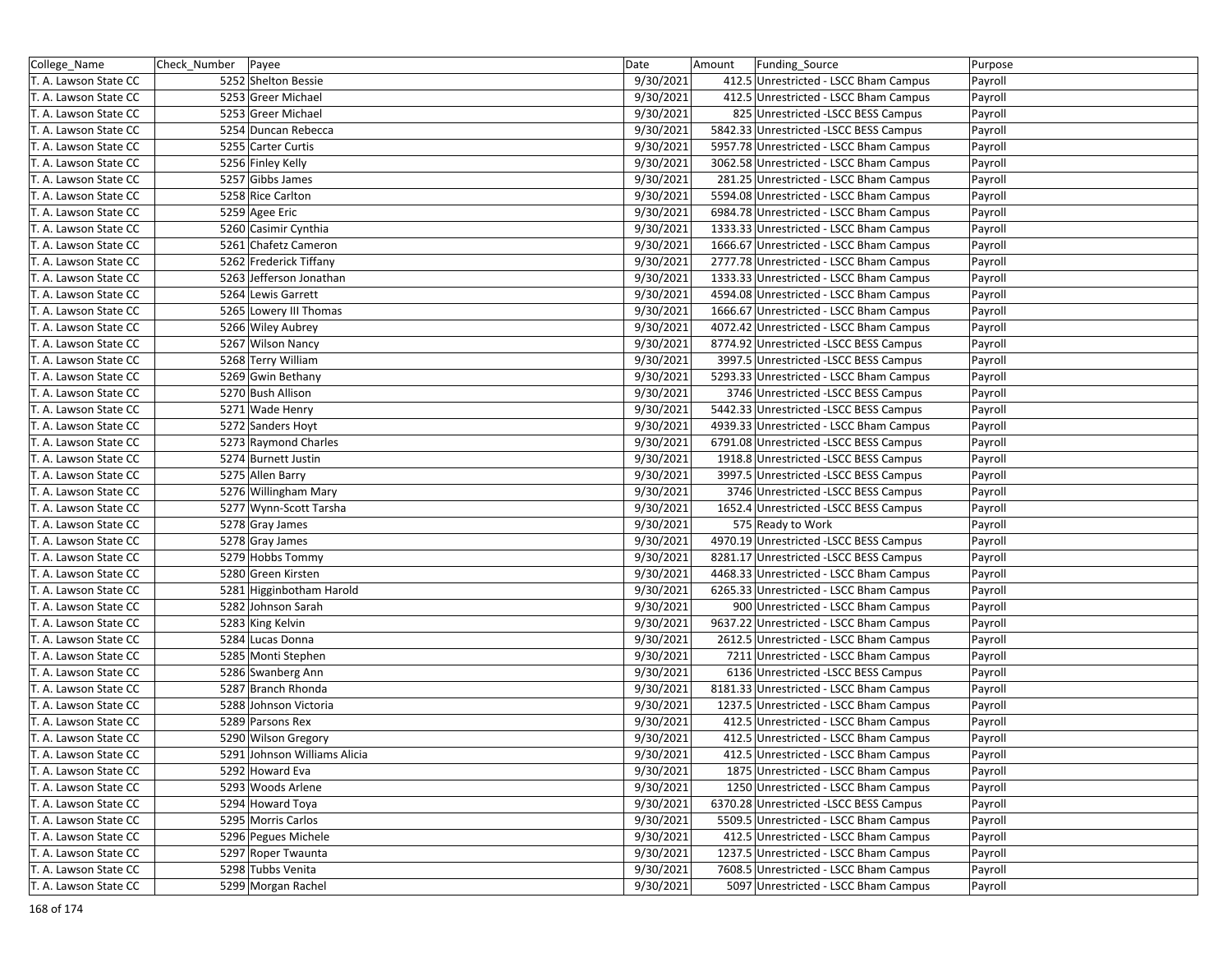| College_Name          | Check_Number   Payee |                              | Date      | Amount | Funding_Source                          | Purpose |
|-----------------------|----------------------|------------------------------|-----------|--------|-----------------------------------------|---------|
| T. A. Lawson State CC |                      | 5252 Shelton Bessie          | 9/30/2021 |        | 412.5 Unrestricted - LSCC Bham Campus   | Payroll |
| T. A. Lawson State CC |                      | 5253 Greer Michael           | 9/30/2021 |        | 412.5 Unrestricted - LSCC Bham Campus   | Payroll |
| T. A. Lawson State CC |                      | 5253 Greer Michael           | 9/30/2021 |        | 825 Unrestricted -LSCC BESS Campus      | Payroll |
| T. A. Lawson State CC |                      | 5254 Duncan Rebecca          | 9/30/2021 |        | 5842.33 Unrestricted -LSCC BESS Campus  | Payroll |
| T. A. Lawson State CC |                      | 5255 Carter Curtis           | 9/30/2021 |        | 5957.78 Unrestricted - LSCC Bham Campus | Payroll |
| T. A. Lawson State CC |                      | 5256 Finley Kelly            | 9/30/2021 |        | 3062.58 Unrestricted - LSCC Bham Campus | Payroll |
| T. A. Lawson State CC |                      | 5257 Gibbs James             | 9/30/2021 |        | 281.25 Unrestricted - LSCC Bham Campus  | Payroll |
| T. A. Lawson State CC |                      | 5258 Rice Carlton            | 9/30/2021 |        | 5594.08 Unrestricted - LSCC Bham Campus | Payroll |
| T. A. Lawson State CC |                      | 5259 Agee Eric               | 9/30/2021 |        | 6984.78 Unrestricted - LSCC Bham Campus | Payroll |
| T. A. Lawson State CC |                      | 5260 Casimir Cynthia         | 9/30/2021 |        | 1333.33 Unrestricted - LSCC Bham Campus | Payroll |
| T. A. Lawson State CC |                      | 5261 Chafetz Cameron         | 9/30/2021 |        | 1666.67 Unrestricted - LSCC Bham Campus | Payroll |
| T. A. Lawson State CC |                      | 5262 Frederick Tiffany       | 9/30/2021 |        | 2777.78 Unrestricted - LSCC Bham Campus | Payroll |
| T. A. Lawson State CC |                      | 5263 Jefferson Jonathan      | 9/30/2021 |        | 1333.33 Unrestricted - LSCC Bham Campus | Payroll |
| T. A. Lawson State CC |                      | 5264 Lewis Garrett           | 9/30/2021 |        | 4594.08 Unrestricted - LSCC Bham Campus | Payroll |
| T. A. Lawson State CC |                      | 5265 Lowery III Thomas       | 9/30/2021 |        | 1666.67 Unrestricted - LSCC Bham Campus | Payroll |
| T. A. Lawson State CC |                      | 5266 Wiley Aubrey            | 9/30/2021 |        | 4072.42 Unrestricted - LSCC Bham Campus | Payroll |
| T. A. Lawson State CC |                      | 5267 Wilson Nancy            | 9/30/2021 |        | 8774.92 Unrestricted -LSCC BESS Campus  | Payroll |
| T. A. Lawson State CC |                      | 5268 Terry William           | 9/30/2021 |        | 3997.5 Unrestricted -LSCC BESS Campus   | Payroll |
| T. A. Lawson State CC |                      | 5269 Gwin Bethany            | 9/30/2021 |        | 5293.33 Unrestricted - LSCC Bham Campus | Payroll |
| T. A. Lawson State CC |                      | 5270 Bush Allison            | 9/30/2021 |        | 3746 Unrestricted -LSCC BESS Campus     | Payroll |
| T. A. Lawson State CC |                      | 5271 Wade Henry              | 9/30/2021 |        | 5442.33 Unrestricted - LSCC BESS Campus | Payroll |
| T. A. Lawson State CC |                      | 5272 Sanders Hoyt            | 9/30/2021 |        | 4939.33 Unrestricted - LSCC Bham Campus | Payroll |
| T. A. Lawson State CC |                      | 5273 Raymond Charles         | 9/30/2021 |        | 6791.08 Unrestricted -LSCC BESS Campus  | Payroll |
| T. A. Lawson State CC |                      | 5274 Burnett Justin          | 9/30/2021 |        | 1918.8 Unrestricted -LSCC BESS Campus   | Payroll |
| T. A. Lawson State CC |                      | 5275 Allen Barry             | 9/30/2021 |        | 3997.5 Unrestricted -LSCC BESS Campus   | Payroll |
| T. A. Lawson State CC |                      | 5276 Willingham Mary         | 9/30/2021 |        | 3746 Unrestricted -LSCC BESS Campus     | Payroll |
| T. A. Lawson State CC |                      | 5277 Wynn-Scott Tarsha       | 9/30/2021 |        | 1652.4 Unrestricted -LSCC BESS Campus   | Payroll |
| T. A. Lawson State CC |                      | 5278 Gray James              | 9/30/2021 |        | 575 Ready to Work                       | Payroll |
| T. A. Lawson State CC |                      | 5278 Gray James              | 9/30/2021 |        | 4970.19 Unrestricted -LSCC BESS Campus  | Payroll |
| T. A. Lawson State CC |                      | 5279 Hobbs Tommy             | 9/30/2021 |        | 8281.17 Unrestricted -LSCC BESS Campus  | Payroll |
| T. A. Lawson State CC |                      | 5280 Green Kirsten           | 9/30/2021 |        | 4468.33 Unrestricted - LSCC Bham Campus | Payroll |
| T. A. Lawson State CC |                      | 5281 Higginbotham Harold     | 9/30/2021 |        | 6265.33 Unrestricted - LSCC Bham Campus | Payroll |
| T. A. Lawson State CC |                      | 5282 Johnson Sarah           | 9/30/2021 |        | 900 Unrestricted - LSCC Bham Campus     | Payroll |
| T. A. Lawson State CC |                      | 5283 King Kelvin             | 9/30/2021 |        | 9637.22 Unrestricted - LSCC Bham Campus | Payroll |
| T. A. Lawson State CC |                      | 5284 Lucas Donna             | 9/30/2021 |        | 2612.5 Unrestricted - LSCC Bham Campus  | Payroll |
| T. A. Lawson State CC |                      | 5285 Monti Stephen           | 9/30/2021 |        | 7211 Unrestricted - LSCC Bham Campus    | Payroll |
| T. A. Lawson State CC |                      | 5286 Swanberg Ann            | 9/30/2021 |        | 6136 Unrestricted -LSCC BESS Campus     | Payroll |
| T. A. Lawson State CC |                      | 5287 Branch Rhonda           | 9/30/2021 |        | 8181.33 Unrestricted - LSCC Bham Campus | Payroll |
| T. A. Lawson State CC |                      | 5288 Johnson Victoria        | 9/30/2021 |        | 1237.5 Unrestricted - LSCC Bham Campus  | Payroll |
| T. A. Lawson State CC |                      | 5289 Parsons Rex             | 9/30/2021 |        | 412.5 Unrestricted - LSCC Bham Campus   | Payroll |
| T. A. Lawson State CC |                      | 5290 Wilson Gregory          | 9/30/2021 |        | 412.5 Unrestricted - LSCC Bham Campus   | Payroll |
| T. A. Lawson State CC |                      | 5291 Johnson Williams Alicia | 9/30/2021 |        | 412.5 Unrestricted - LSCC Bham Campus   | Payroll |
| T. A. Lawson State CC |                      | 5292 Howard Eva              | 9/30/2021 |        | 1875 Unrestricted - LSCC Bham Campus    | Payroll |
| T. A. Lawson State CC |                      | 5293 Woods Arlene            | 9/30/2021 |        | 1250 Unrestricted - LSCC Bham Campus    | Payroll |
| T. A. Lawson State CC |                      | 5294 Howard Toya             | 9/30/2021 |        | 6370.28 Unrestricted -LSCC BESS Campus  | Payroll |
| T. A. Lawson State CC |                      | 5295 Morris Carlos           | 9/30/2021 |        | 5509.5 Unrestricted - LSCC Bham Campus  | Payroll |
| T. A. Lawson State CC |                      | 5296 Pegues Michele          | 9/30/2021 |        | 412.5 Unrestricted - LSCC Bham Campus   | Payroll |
| T. A. Lawson State CC |                      | 5297 Roper Twaunta           | 9/30/2021 |        | 1237.5 Unrestricted - LSCC Bham Campus  | Payroll |
| T. A. Lawson State CC |                      | 5298 Tubbs Venita            | 9/30/2021 |        | 7608.5 Unrestricted - LSCC Bham Campus  | Payroll |
| T. A. Lawson State CC |                      | 5299 Morgan Rachel           | 9/30/2021 |        | 5097 Unrestricted - LSCC Bham Campus    | Payroll |
|                       |                      |                              |           |        |                                         |         |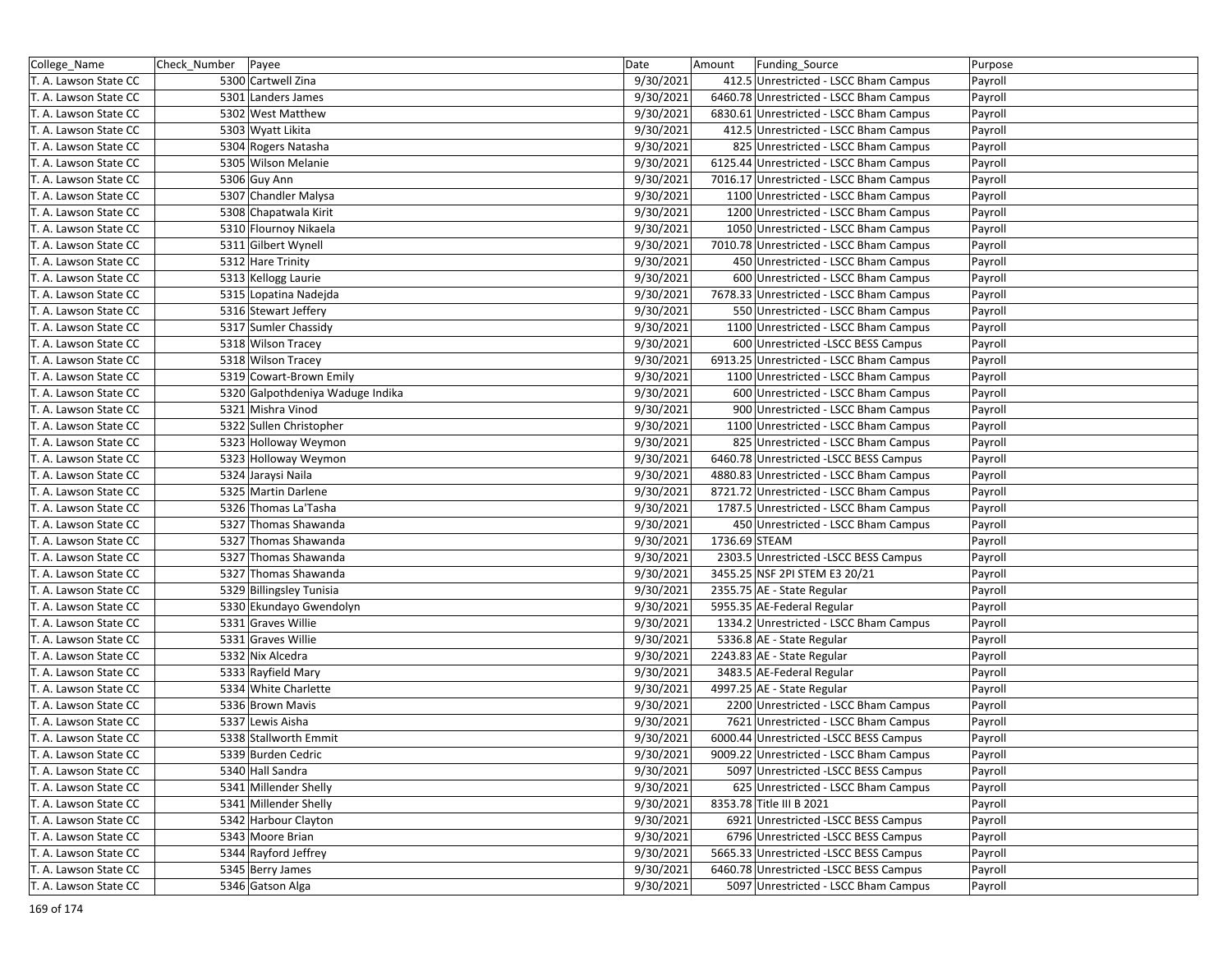| College_Name          | Check_Number Payee |                                  | Date      | Amount        | Funding_Source                          | Purpose |
|-----------------------|--------------------|----------------------------------|-----------|---------------|-----------------------------------------|---------|
| T. A. Lawson State CC |                    | 5300 Cartwell Zina               | 9/30/2021 |               | 412.5 Unrestricted - LSCC Bham Campus   | Payroll |
| T. A. Lawson State CC |                    | 5301 Landers James               | 9/30/2021 |               | 6460.78 Unrestricted - LSCC Bham Campus | Payroll |
| T. A. Lawson State CC |                    | 5302 West Matthew                | 9/30/2021 |               | 6830.61 Unrestricted - LSCC Bham Campus | Payroll |
| T. A. Lawson State CC |                    | 5303 Wyatt Likita                | 9/30/2021 |               | 412.5 Unrestricted - LSCC Bham Campus   | Payroll |
| T. A. Lawson State CC |                    | 5304 Rogers Natasha              | 9/30/2021 |               | 825 Unrestricted - LSCC Bham Campus     | Payroll |
| T. A. Lawson State CC |                    | 5305 Wilson Melanie              | 9/30/2021 |               | 6125.44 Unrestricted - LSCC Bham Campus | Payroll |
| T. A. Lawson State CC |                    | 5306 Guy Ann                     | 9/30/2021 |               | 7016.17 Unrestricted - LSCC Bham Campus | Payroll |
| T. A. Lawson State CC |                    | 5307 Chandler Malysa             | 9/30/2021 |               | 1100 Unrestricted - LSCC Bham Campus    | Payroll |
| T. A. Lawson State CC |                    | 5308 Chapatwala Kirit            | 9/30/2021 |               | 1200 Unrestricted - LSCC Bham Campus    | Payroll |
| T. A. Lawson State CC |                    | 5310 Flournoy Nikaela            | 9/30/2021 |               | 1050 Unrestricted - LSCC Bham Campus    | Payroll |
| T. A. Lawson State CC |                    | 5311 Gilbert Wynell              | 9/30/2021 |               | 7010.78 Unrestricted - LSCC Bham Campus | Payroll |
| T. A. Lawson State CC |                    | 5312 Hare Trinity                | 9/30/2021 |               | 450 Unrestricted - LSCC Bham Campus     | Payroll |
| T. A. Lawson State CC |                    | 5313 Kellogg Laurie              | 9/30/2021 |               | 600 Unrestricted - LSCC Bham Campus     | Payroll |
| T. A. Lawson State CC |                    | 5315 Lopatina Nadejda            | 9/30/2021 |               | 7678.33 Unrestricted - LSCC Bham Campus | Payroll |
| T. A. Lawson State CC |                    | 5316 Stewart Jeffery             | 9/30/2021 |               | 550 Unrestricted - LSCC Bham Campus     | Payroll |
| T. A. Lawson State CC |                    | 5317 Sumler Chassidy             | 9/30/2021 |               | 1100 Unrestricted - LSCC Bham Campus    | Payroll |
| T. A. Lawson State CC |                    | 5318 Wilson Tracey               | 9/30/2021 |               | 600 Unrestricted -LSCC BESS Campus      | Payroll |
| T. A. Lawson State CC |                    | 5318 Wilson Tracey               | 9/30/2021 |               | 6913.25 Unrestricted - LSCC Bham Campus | Payroll |
| T. A. Lawson State CC |                    | 5319 Cowart-Brown Emily          | 9/30/2021 |               | 1100 Unrestricted - LSCC Bham Campus    | Payroll |
| T. A. Lawson State CC |                    | 5320 Galpothdeniya Waduge Indika | 9/30/2021 |               | 600 Unrestricted - LSCC Bham Campus     | Payroll |
| T. A. Lawson State CC |                    | 5321 Mishra Vinod                | 9/30/2021 |               | 900 Unrestricted - LSCC Bham Campus     | Payroll |
| T. A. Lawson State CC |                    | 5322 Sullen Christopher          | 9/30/2021 |               | 1100 Unrestricted - LSCC Bham Campus    | Payroll |
| T. A. Lawson State CC |                    | 5323 Holloway Weymon             | 9/30/2021 |               | 825 Unrestricted - LSCC Bham Campus     | Payroll |
| T. A. Lawson State CC |                    | 5323 Holloway Weymon             | 9/30/2021 |               | 6460.78 Unrestricted -LSCC BESS Campus  | Payroll |
| T. A. Lawson State CC |                    | 5324 Jaraysi Naila               | 9/30/2021 |               | 4880.83 Unrestricted - LSCC Bham Campus | Payroll |
| T. A. Lawson State CC |                    | 5325 Martin Darlene              | 9/30/2021 |               | 8721.72 Unrestricted - LSCC Bham Campus | Payroll |
| T. A. Lawson State CC |                    | 5326 Thomas La'Tasha             | 9/30/2021 |               | 1787.5 Unrestricted - LSCC Bham Campus  | Payroll |
| T. A. Lawson State CC |                    | 5327 Thomas Shawanda             | 9/30/2021 |               | 450 Unrestricted - LSCC Bham Campus     | Payroll |
| T. A. Lawson State CC |                    | 5327 Thomas Shawanda             | 9/30/2021 | 1736.69 STEAM |                                         | Payroll |
| T. A. Lawson State CC |                    | 5327 Thomas Shawanda             | 9/30/2021 |               | 2303.5 Unrestricted -LSCC BESS Campus   | Payroll |
| T. A. Lawson State CC |                    | 5327 Thomas Shawanda             | 9/30/2021 |               | 3455.25 NSF 2PI STEM E3 20/21           | Payroll |
| T. A. Lawson State CC |                    | 5329 Billingsley Tunisia         | 9/30/2021 |               | 2355.75 AE - State Regular              | Payroll |
| T. A. Lawson State CC |                    | 5330 Ekundayo Gwendolyn          | 9/30/2021 |               | 5955.35 AE-Federal Regular              | Payroll |
| T. A. Lawson State CC |                    | 5331 Graves Willie               | 9/30/2021 |               | 1334.2 Unrestricted - LSCC Bham Campus  | Payroll |
| T. A. Lawson State CC |                    | 5331 Graves Willie               | 9/30/2021 |               | 5336.8 AE - State Regular               | Payroll |
| T. A. Lawson State CC |                    | 5332 Nix Alcedra                 | 9/30/2021 |               | 2243.83 AE - State Regular              | Payroll |
| T. A. Lawson State CC |                    | 5333 Rayfield Mary               | 9/30/2021 |               | 3483.5 AE-Federal Regular               | Payroll |
| T. A. Lawson State CC |                    | 5334 White Charlette             | 9/30/2021 |               | 4997.25 AE - State Regular              | Payroll |
| T. A. Lawson State CC |                    | 5336 Brown Mavis                 | 9/30/2021 |               | 2200 Unrestricted - LSCC Bham Campus    | Payroll |
| T. A. Lawson State CC |                    | 5337 Lewis Aisha                 | 9/30/2021 |               | 7621 Unrestricted - LSCC Bham Campus    | Payroll |
| T. A. Lawson State CC |                    | 5338 Stallworth Emmit            | 9/30/2021 |               | 6000.44 Unrestricted -LSCC BESS Campus  | Payroll |
| T. A. Lawson State CC |                    | 5339 Burden Cedric               | 9/30/2021 |               | 9009.22 Unrestricted - LSCC Bham Campus | Payroll |
| T. A. Lawson State CC |                    | 5340 Hall Sandra                 | 9/30/2021 |               | 5097 Unrestricted -LSCC BESS Campus     | Payroll |
| T. A. Lawson State CC |                    | 5341 Millender Shelly            | 9/30/2021 |               | 625 Unrestricted - LSCC Bham Campus     | Payroll |
| T. A. Lawson State CC |                    | 5341 Millender Shelly            | 9/30/2021 |               | 8353.78 Title III B 2021                | Payroll |
| T. A. Lawson State CC |                    | 5342 Harbour Clayton             | 9/30/2021 |               | 6921 Unrestricted -LSCC BESS Campus     | Payroll |
| T. A. Lawson State CC |                    | 5343 Moore Brian                 | 9/30/2021 |               | 6796 Unrestricted -LSCC BESS Campus     | Payroll |
| T. A. Lawson State CC |                    | 5344 Rayford Jeffrey             | 9/30/2021 |               | 5665.33 Unrestricted -LSCC BESS Campus  | Payroll |
| T. A. Lawson State CC |                    | 5345 Berry James                 | 9/30/2021 |               | 6460.78 Unrestricted -LSCC BESS Campus  | Payroll |
| T. A. Lawson State CC |                    | 5346 Gatson Alga                 | 9/30/2021 |               | 5097 Unrestricted - LSCC Bham Campus    | Payroll |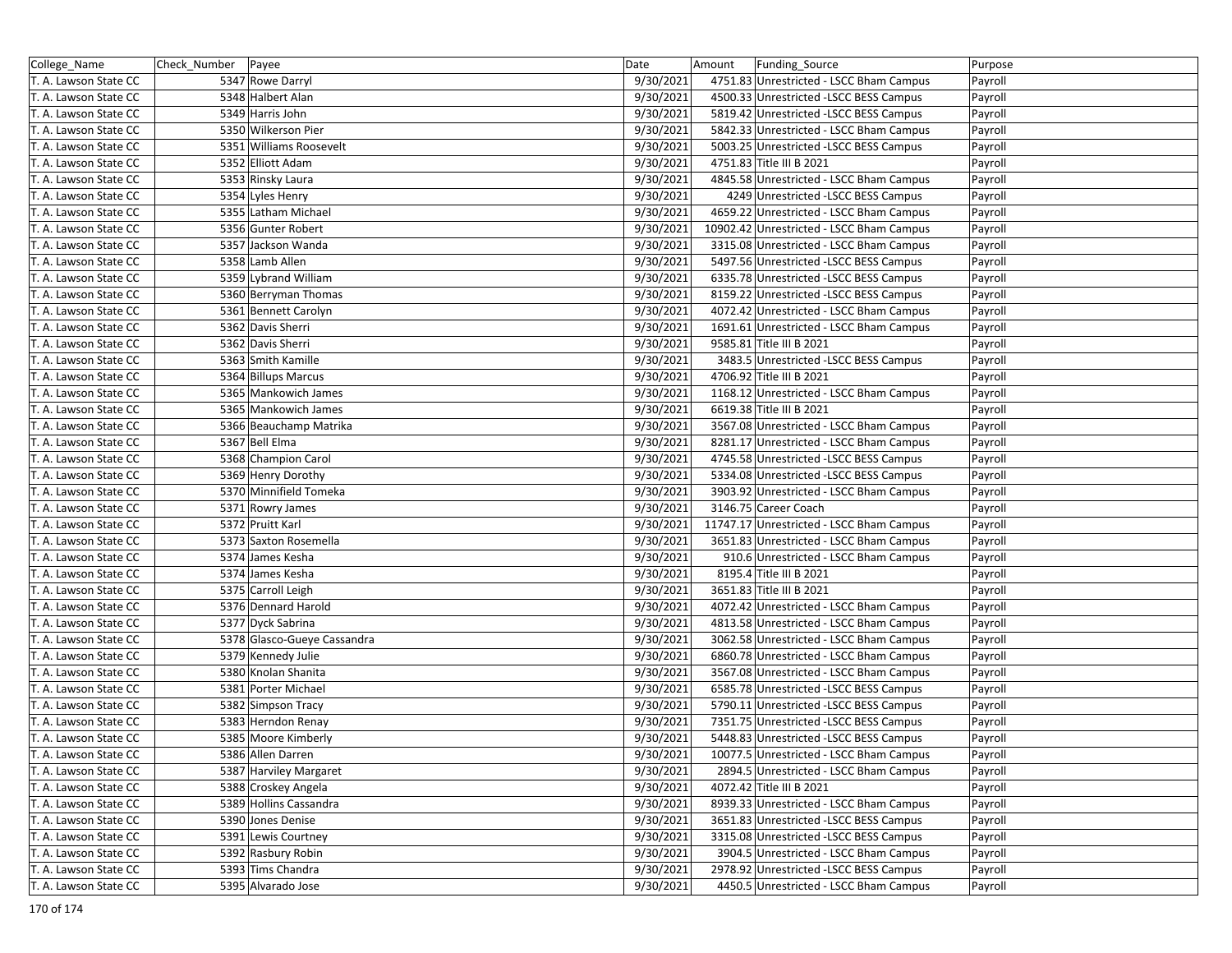| College_Name          | Check_Number   Payee        | Date      | Amount<br>Funding_Source                 | Purpose |
|-----------------------|-----------------------------|-----------|------------------------------------------|---------|
| T. A. Lawson State CC | 5347 Rowe Darryl            | 9/30/2021 | 4751.83 Unrestricted - LSCC Bham Campus  | Payroll |
| T. A. Lawson State CC | 5348 Halbert Alan           | 9/30/2021 | 4500.33 Unrestricted -LSCC BESS Campus   | Payroll |
| T. A. Lawson State CC | 5349 Harris John            | 9/30/2021 | 5819.42 Unrestricted -LSCC BESS Campus   | Payroll |
| T. A. Lawson State CC | 5350 Wilkerson Pier         | 9/30/2021 | 5842.33 Unrestricted - LSCC Bham Campus  | Payroll |
| T. A. Lawson State CC | 5351 Williams Roosevelt     | 9/30/2021 | 5003.25 Unrestricted -LSCC BESS Campus   | Payroll |
| T. A. Lawson State CC | 5352 Elliott Adam           | 9/30/2021 | 4751.83 Title III B 2021                 | Payroll |
| T. A. Lawson State CC | 5353 Rinsky Laura           | 9/30/2021 | 4845.58 Unrestricted - LSCC Bham Campus  | Payroll |
| T. A. Lawson State CC | 5354 Lyles Henry            | 9/30/2021 | 4249 Unrestricted -LSCC BESS Campus      | Payroll |
| T. A. Lawson State CC | 5355 Latham Michael         | 9/30/2021 | 4659.22 Unrestricted - LSCC Bham Campus  | Payroll |
| T. A. Lawson State CC | 5356 Gunter Robert          | 9/30/2021 | 10902.42 Unrestricted - LSCC Bham Campus | Payroll |
| T. A. Lawson State CC | 5357 Jackson Wanda          | 9/30/2021 | 3315.08 Unrestricted - LSCC Bham Campus  | Payroll |
| T. A. Lawson State CC | 5358 Lamb Allen             | 9/30/2021 | 5497.56 Unrestricted -LSCC BESS Campus   | Payroll |
| T. A. Lawson State CC | 5359 Lybrand William        | 9/30/2021 | 6335.78 Unrestricted -LSCC BESS Campus   | Payroll |
| T. A. Lawson State CC | 5360 Berryman Thomas        | 9/30/2021 | 8159.22 Unrestricted -LSCC BESS Campus   | Payroll |
| T. A. Lawson State CC | 5361 Bennett Carolyn        | 9/30/2021 | 4072.42 Unrestricted - LSCC Bham Campus  | Payroll |
| T. A. Lawson State CC | 5362 Davis Sherri           | 9/30/2021 | 1691.61 Unrestricted - LSCC Bham Campus  | Payroll |
| T. A. Lawson State CC | 5362 Davis Sherri           | 9/30/2021 | 9585.81 Title III B 2021                 | Payroll |
| T. A. Lawson State CC | 5363 Smith Kamille          | 9/30/2021 | 3483.5 Unrestricted -LSCC BESS Campus    | Payroll |
| T. A. Lawson State CC | 5364 Billups Marcus         | 9/30/2021 | 4706.92 Title III B 2021                 | Payroll |
| T. A. Lawson State CC | 5365 Mankowich James        | 9/30/2021 | 1168.12 Unrestricted - LSCC Bham Campus  | Payroll |
| T. A. Lawson State CC | 5365 Mankowich James        | 9/30/2021 | 6619.38 Title III B 2021                 | Payroll |
| T. A. Lawson State CC | 5366 Beauchamp Matrika      | 9/30/2021 | 3567.08 Unrestricted - LSCC Bham Campus  | Payroll |
| T. A. Lawson State CC | 5367 Bell Elma              | 9/30/2021 | 8281.17 Unrestricted - LSCC Bham Campus  | Payroll |
| T. A. Lawson State CC | 5368 Champion Carol         | 9/30/2021 | 4745.58 Unrestricted -LSCC BESS Campus   | Payroll |
| T. A. Lawson State CC | 5369 Henry Dorothy          | 9/30/2021 | 5334.08 Unrestricted -LSCC BESS Campus   | Payroll |
| T. A. Lawson State CC | 5370 Minnifield Tomeka      | 9/30/2021 | 3903.92 Unrestricted - LSCC Bham Campus  | Payroll |
| T. A. Lawson State CC | 5371 Rowry James            | 9/30/2021 | 3146.75 Career Coach                     | Payroll |
| T. A. Lawson State CC | 5372 Pruitt Karl            | 9/30/2021 | 11747.17 Unrestricted - LSCC Bham Campus | Payroll |
| T. A. Lawson State CC | 5373 Saxton Rosemella       | 9/30/2021 | 3651.83 Unrestricted - LSCC Bham Campus  | Payroll |
| T. A. Lawson State CC | 5374 James Kesha            | 9/30/2021 | 910.6 Unrestricted - LSCC Bham Campus    | Payroll |
| T. A. Lawson State CC | 5374 James Kesha            | 9/30/2021 | 8195.4 Title III B 2021                  | Payroll |
| T. A. Lawson State CC | 5375 Carroll Leigh          | 9/30/2021 | 3651.83 Title III B 2021                 | Payroll |
| T. A. Lawson State CC | 5376 Dennard Harold         | 9/30/2021 | 4072.42 Unrestricted - LSCC Bham Campus  | Payroll |
| T. A. Lawson State CC | 5377 Dyck Sabrina           | 9/30/2021 | 4813.58 Unrestricted - LSCC Bham Campus  | Payroll |
| T. A. Lawson State CC | 5378 Glasco-Gueye Cassandra | 9/30/2021 | 3062.58 Unrestricted - LSCC Bham Campus  | Payroll |
| T. A. Lawson State CC | 5379 Kennedy Julie          | 9/30/2021 | 6860.78 Unrestricted - LSCC Bham Campus  | Payroll |
| T. A. Lawson State CC | 5380 Knolan Shanita         | 9/30/2021 | 3567.08 Unrestricted - LSCC Bham Campus  | Payroll |
| T. A. Lawson State CC | 5381 Porter Michael         | 9/30/2021 | 6585.78 Unrestricted -LSCC BESS Campus   | Payroll |
| T. A. Lawson State CC | 5382 Simpson Tracy          | 9/30/2021 | 5790.11 Unrestricted -LSCC BESS Campus   | Payroll |
| T. A. Lawson State CC | 5383 Herndon Renay          | 9/30/2021 | 7351.75 Unrestricted - LSCC BESS Campus  | Payroll |
| T. A. Lawson State CC | 5385 Moore Kimberly         | 9/30/2021 | 5448.83 Unrestricted -LSCC BESS Campus   | Payroll |
| T. A. Lawson State CC | 5386 Allen Darren           | 9/30/2021 | 10077.5 Unrestricted - LSCC Bham Campus  | Payroll |
| T. A. Lawson State CC | 5387 Harviley Margaret      | 9/30/2021 | 2894.5 Unrestricted - LSCC Bham Campus   | Payroll |
| T. A. Lawson State CC | 5388 Croskey Angela         | 9/30/2021 | 4072.42 Title III B 2021                 | Payroll |
| T. A. Lawson State CC | 5389 Hollins Cassandra      | 9/30/2021 | 8939.33 Unrestricted - LSCC Bham Campus  | Payroll |
| T. A. Lawson State CC | 5390 Jones Denise           | 9/30/2021 | 3651.83 Unrestricted -LSCC BESS Campus   | Payroll |
| T. A. Lawson State CC | 5391 Lewis Courtney         | 9/30/2021 | 3315.08 Unrestricted -LSCC BESS Campus   | Payroll |
| T. A. Lawson State CC | 5392 Rasbury Robin          | 9/30/2021 | 3904.5 Unrestricted - LSCC Bham Campus   | Payroll |
| T. A. Lawson State CC | 5393 Tims Chandra           | 9/30/2021 | 2978.92 Unrestricted -LSCC BESS Campus   | Payroll |
| T. A. Lawson State CC | 5395 Alvarado Jose          | 9/30/2021 | 4450.5 Unrestricted - LSCC Bham Campus   | Payroll |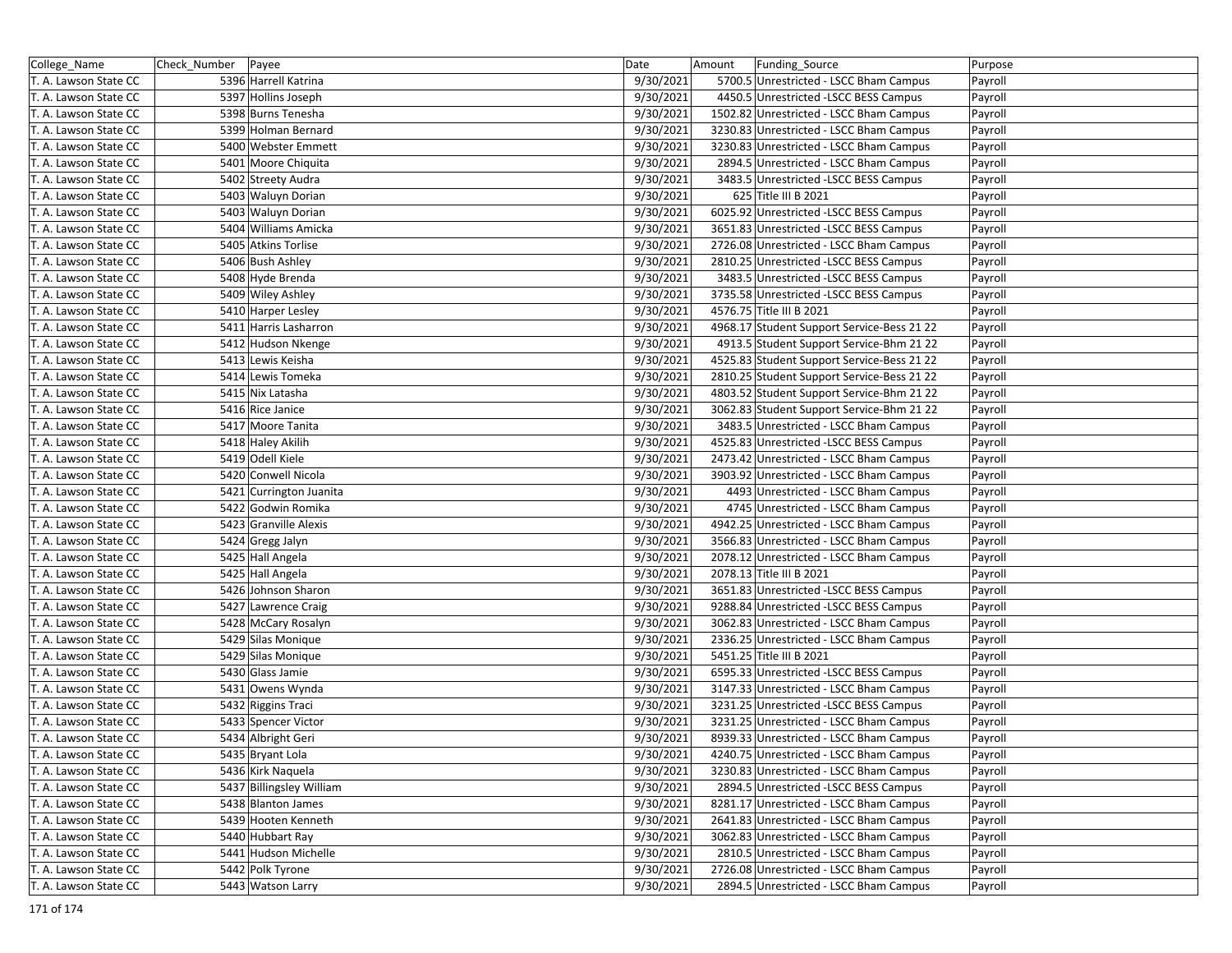| College_Name          | Check_Number   Payee     | Date      | Amount<br>Funding Source                   | Purpose |
|-----------------------|--------------------------|-----------|--------------------------------------------|---------|
| T. A. Lawson State CC | 5396 Harrell Katrina     | 9/30/2021 | 5700.5 Unrestricted - LSCC Bham Campus     | Payroll |
| T. A. Lawson State CC | 5397 Hollins Joseph      | 9/30/2021 | 4450.5 Unrestricted -LSCC BESS Campus      | Payroll |
| T. A. Lawson State CC | 5398 Burns Tenesha       | 9/30/2021 | 1502.82 Unrestricted - LSCC Bham Campus    | Payroll |
| T. A. Lawson State CC | 5399 Holman Bernard      | 9/30/2021 | 3230.83 Unrestricted - LSCC Bham Campus    | Payroll |
| T. A. Lawson State CC | 5400 Webster Emmett      | 9/30/2021 | 3230.83 Unrestricted - LSCC Bham Campus    | Payroll |
| T. A. Lawson State CC | 5401 Moore Chiquita      | 9/30/2021 | 2894.5 Unrestricted - LSCC Bham Campus     | Payroll |
| T. A. Lawson State CC | 5402 Streety Audra       | 9/30/2021 | 3483.5 Unrestricted -LSCC BESS Campus      | Payroll |
| T. A. Lawson State CC | 5403 Waluyn Dorian       | 9/30/2021 | 625 Title III B 2021                       | Payroll |
| T. A. Lawson State CC | 5403 Waluyn Dorian       | 9/30/2021 | 6025.92 Unrestricted -LSCC BESS Campus     | Payroll |
| T. A. Lawson State CC | 5404 Williams Amicka     | 9/30/2021 | 3651.83 Unrestricted -LSCC BESS Campus     | Payroll |
| T. A. Lawson State CC | 5405 Atkins Torlise      | 9/30/2021 | 2726.08 Unrestricted - LSCC Bham Campus    | Payroll |
| T. A. Lawson State CC | 5406 Bush Ashley         | 9/30/2021 | 2810.25 Unrestricted - LSCC BESS Campus    | Payroll |
| T. A. Lawson State CC | 5408 Hyde Brenda         | 9/30/2021 | 3483.5 Unrestricted -LSCC BESS Campus      | Payroll |
| T. A. Lawson State CC | 5409 Wiley Ashley        | 9/30/2021 | 3735.58 Unrestricted -LSCC BESS Campus     | Payroll |
| T. A. Lawson State CC | 5410 Harper Lesley       | 9/30/2021 | 4576.75 Title III B 2021                   | Payroll |
| T. A. Lawson State CC | 5411 Harris Lasharron    | 9/30/2021 | 4968.17 Student Support Service-Bess 21 22 | Payroll |
| T. A. Lawson State CC | 5412 Hudson Nkenge       | 9/30/2021 | 4913.5 Student Support Service-Bhm 21 22   | Payroll |
| T. A. Lawson State CC | 5413 Lewis Keisha        | 9/30/2021 | 4525.83 Student Support Service-Bess 21 22 | Payroll |
| T. A. Lawson State CC | 5414 Lewis Tomeka        | 9/30/2021 | 2810.25 Student Support Service-Bess 21 22 | Payroll |
| T. A. Lawson State CC | 5415 Nix Latasha         | 9/30/2021 | 4803.52 Student Support Service-Bhm 21 22  | Payroll |
| T. A. Lawson State CC | 5416 Rice Janice         | 9/30/2021 | 3062.83 Student Support Service-Bhm 21 22  | Payroll |
| T. A. Lawson State CC | 5417 Moore Tanita        | 9/30/2021 | 3483.5 Unrestricted - LSCC Bham Campus     | Payroll |
| T. A. Lawson State CC | 5418 Haley Akilih        | 9/30/2021 | 4525.83 Unrestricted -LSCC BESS Campus     | Payroll |
| T. A. Lawson State CC | 5419 Odell Kiele         | 9/30/2021 | 2473.42 Unrestricted - LSCC Bham Campus    | Payroll |
| T. A. Lawson State CC | 5420 Conwell Nicola      | 9/30/2021 | 3903.92 Unrestricted - LSCC Bham Campus    | Payroll |
| T. A. Lawson State CC | 5421 Currington Juanita  | 9/30/2021 | 4493 Unrestricted - LSCC Bham Campus       | Payroll |
| T. A. Lawson State CC | 5422 Godwin Romika       | 9/30/2021 | 4745 Unrestricted - LSCC Bham Campus       | Payroll |
| T. A. Lawson State CC | 5423 Granville Alexis    | 9/30/2021 | 4942.25 Unrestricted - LSCC Bham Campus    | Payroll |
| T. A. Lawson State CC | 5424 Gregg Jalyn         | 9/30/2021 | 3566.83 Unrestricted - LSCC Bham Campus    | Payroll |
| T. A. Lawson State CC | 5425 Hall Angela         | 9/30/2021 | 2078.12 Unrestricted - LSCC Bham Campus    | Payroll |
| T. A. Lawson State CC | 5425 Hall Angela         | 9/30/2021 | 2078.13 Title III B 2021                   | Payroll |
| T. A. Lawson State CC | 5426 Johnson Sharon      | 9/30/2021 | 3651.83 Unrestricted -LSCC BESS Campus     | Payroll |
| T. A. Lawson State CC | 5427 Lawrence Craig      | 9/30/2021 | 9288.84 Unrestricted -LSCC BESS Campus     | Payroll |
| T. A. Lawson State CC | 5428 McCary Rosalyn      | 9/30/2021 | 3062.83 Unrestricted - LSCC Bham Campus    | Payroll |
| T. A. Lawson State CC | 5429 Silas Monique       | 9/30/2021 | 2336.25 Unrestricted - LSCC Bham Campus    | Payroll |
| T. A. Lawson State CC | 5429 Silas Monique       | 9/30/2021 | 5451.25 Title III B 2021                   | Payroll |
| T. A. Lawson State CC | 5430 Glass Jamie         | 9/30/2021 | 6595.33 Unrestricted -LSCC BESS Campus     | Payroll |
| T. A. Lawson State CC | 5431 Owens Wynda         | 9/30/2021 | 3147.33 Unrestricted - LSCC Bham Campus    | Payroll |
| T. A. Lawson State CC | 5432 Riggins Traci       | 9/30/2021 | 3231.25 Unrestricted -LSCC BESS Campus     | Payroll |
| T. A. Lawson State CC | 5433 Spencer Victor      | 9/30/2021 | 3231.25 Unrestricted - LSCC Bham Campus    | Payroll |
| T. A. Lawson State CC | 5434 Albright Geri       | 9/30/2021 | 8939.33 Unrestricted - LSCC Bham Campus    | Payroll |
| T. A. Lawson State CC | 5435 Bryant Lola         | 9/30/2021 | 4240.75 Unrestricted - LSCC Bham Campus    | Payroll |
| T. A. Lawson State CC | 5436 Kirk Naquela        | 9/30/2021 | 3230.83 Unrestricted - LSCC Bham Campus    | Payroll |
| T. A. Lawson State CC | 5437 Billingsley William | 9/30/2021 | 2894.5 Unrestricted -LSCC BESS Campus      | Payroll |
| T. A. Lawson State CC | 5438 Blanton James       | 9/30/2021 | 8281.17 Unrestricted - LSCC Bham Campus    | Payroll |
| T. A. Lawson State CC | 5439 Hooten Kenneth      | 9/30/2021 | 2641.83 Unrestricted - LSCC Bham Campus    |         |
|                       |                          |           |                                            | Payroll |
| T. A. Lawson State CC | 5440 Hubbart Ray         | 9/30/2021 | 3062.83 Unrestricted - LSCC Bham Campus    | Payroll |
| T. A. Lawson State CC | 5441 Hudson Michelle     | 9/30/2021 | 2810.5 Unrestricted - LSCC Bham Campus     | Payroll |
| T. A. Lawson State CC | 5442 Polk Tyrone         | 9/30/2021 | 2726.08 Unrestricted - LSCC Bham Campus    | Payroll |
| T. A. Lawson State CC | 5443 Watson Larry        | 9/30/2021 | 2894.5 Unrestricted - LSCC Bham Campus     | Payroll |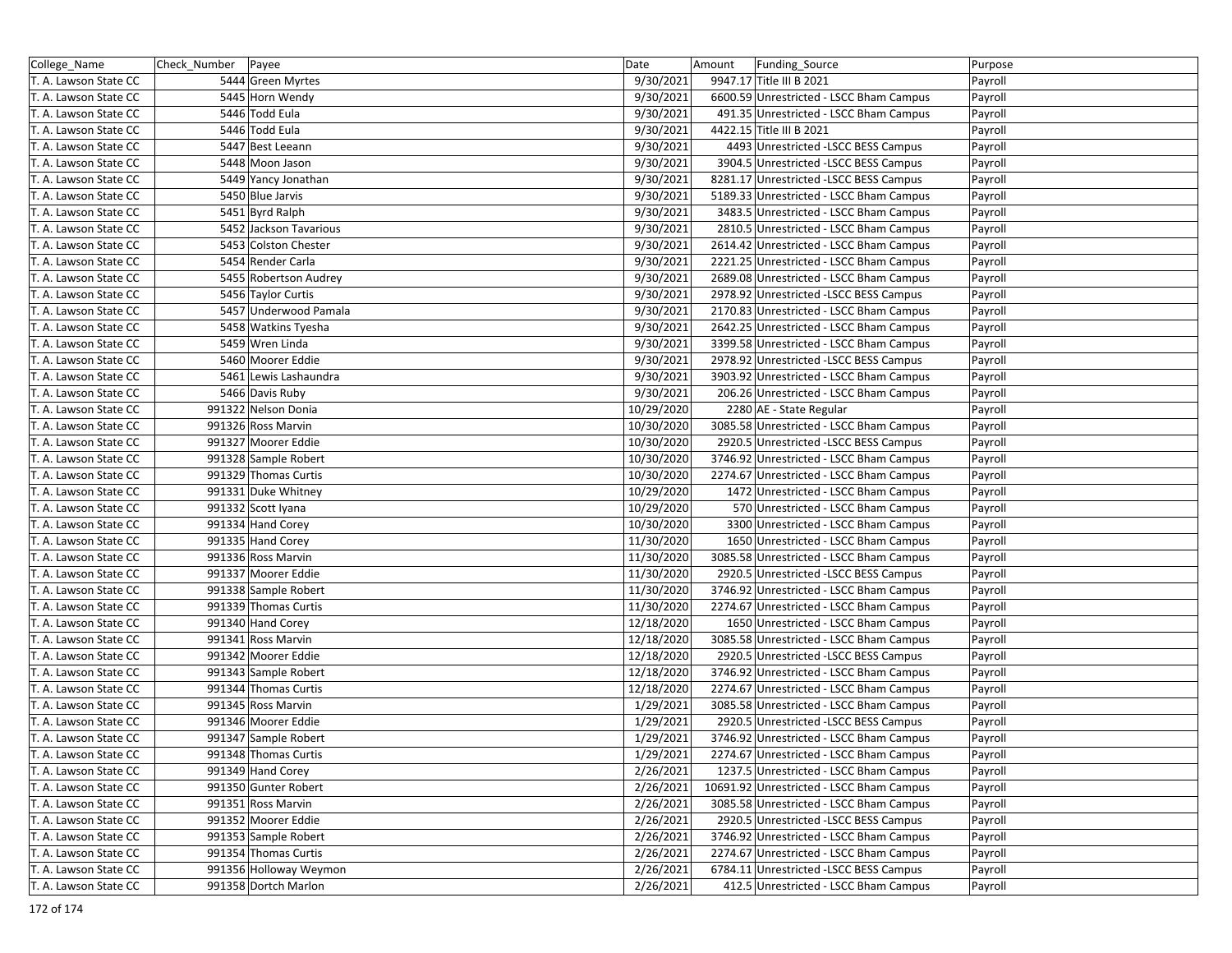| College_Name          | Check_Number   Payee   | Date       | Funding_Source<br>Amount                 | Purpose |
|-----------------------|------------------------|------------|------------------------------------------|---------|
| T. A. Lawson State CC | 5444 Green Myrtes      | 9/30/2021  | 9947.17 Title III B 2021                 | Payroll |
| T. A. Lawson State CC | 5445 Horn Wendy        | 9/30/2021  | 6600.59 Unrestricted - LSCC Bham Campus  | Payroll |
| T. A. Lawson State CC | 5446 Todd Eula         | 9/30/2021  | 491.35 Unrestricted - LSCC Bham Campus   | Payroll |
| T. A. Lawson State CC | 5446 Todd Eula         | 9/30/2021  | 4422.15 Title III B 2021                 | Payroll |
| T. A. Lawson State CC | 5447 Best Leeann       | 9/30/2021  | 4493 Unrestricted -LSCC BESS Campus      | Payroll |
| T. A. Lawson State CC | 5448 Moon Jason        | 9/30/2021  | 3904.5 Unrestricted -LSCC BESS Campus    | Payroll |
| T. A. Lawson State CC | 5449 Yancy Jonathan    | 9/30/2021  | 8281.17 Unrestricted -LSCC BESS Campus   | Payroll |
| T. A. Lawson State CC | 5450 Blue Jarvis       | 9/30/2021  | 5189.33 Unrestricted - LSCC Bham Campus  | Payroll |
| T. A. Lawson State CC | 5451 Byrd Ralph        | 9/30/2021  | 3483.5 Unrestricted - LSCC Bham Campus   | Payroll |
| T. A. Lawson State CC | 5452 Jackson Tavarious | 9/30/2021  | 2810.5 Unrestricted - LSCC Bham Campus   | Payroll |
| T. A. Lawson State CC | 5453 Colston Chester   | 9/30/2021  | 2614.42 Unrestricted - LSCC Bham Campus  | Payroll |
| T. A. Lawson State CC | 5454 Render Carla      | 9/30/2021  | 2221.25 Unrestricted - LSCC Bham Campus  | Payroll |
| T. A. Lawson State CC | 5455 Robertson Audrey  | 9/30/2021  | 2689.08 Unrestricted - LSCC Bham Campus  | Payroll |
| T. A. Lawson State CC | 5456 Taylor Curtis     | 9/30/2021  | 2978.92 Unrestricted -LSCC BESS Campus   | Payroll |
| T. A. Lawson State CC | 5457 Underwood Pamala  | 9/30/2021  | 2170.83 Unrestricted - LSCC Bham Campus  | Payroll |
| T. A. Lawson State CC | 5458 Watkins Tyesha    | 9/30/2021  | 2642.25 Unrestricted - LSCC Bham Campus  | Payroll |
| T. A. Lawson State CC | 5459 Wren Linda        | 9/30/2021  | 3399.58 Unrestricted - LSCC Bham Campus  | Payroll |
| T. A. Lawson State CC | 5460 Moorer Eddie      | 9/30/2021  | 2978.92 Unrestricted -LSCC BESS Campus   | Payroll |
| T. A. Lawson State CC | 5461 Lewis Lashaundra  | 9/30/2021  | 3903.92 Unrestricted - LSCC Bham Campus  | Payroll |
| T. A. Lawson State CC | 5466 Davis Ruby        | 9/30/2021  | 206.26 Unrestricted - LSCC Bham Campus   | Payroll |
| T. A. Lawson State CC | 991322 Nelson Donia    | 10/29/2020 | 2280 AE - State Regular                  | Payroll |
| T. A. Lawson State CC | 991326 Ross Marvin     | 10/30/2020 | 3085.58 Unrestricted - LSCC Bham Campus  | Payroll |
| T. A. Lawson State CC | 991327 Moorer Eddie    | 10/30/2020 | 2920.5 Unrestricted -LSCC BESS Campus    | Payroll |
| T. A. Lawson State CC | 991328 Sample Robert   | 10/30/2020 | 3746.92 Unrestricted - LSCC Bham Campus  | Payroll |
| T. A. Lawson State CC | 991329 Thomas Curtis   | 10/30/2020 | 2274.67 Unrestricted - LSCC Bham Campus  | Payroll |
| T. A. Lawson State CC | 991331 Duke Whitney    | 10/29/2020 | 1472 Unrestricted - LSCC Bham Campus     | Payroll |
| T. A. Lawson State CC | 991332 Scott Iyana     | 10/29/2020 | 570 Unrestricted - LSCC Bham Campus      | Payroll |
| T. A. Lawson State CC | 991334 Hand Corey      | 10/30/2020 | 3300 Unrestricted - LSCC Bham Campus     | Payroll |
| T. A. Lawson State CC | 991335 Hand Corey      | 11/30/2020 | 1650 Unrestricted - LSCC Bham Campus     | Payroll |
| T. A. Lawson State CC | 991336 Ross Marvin     | 11/30/2020 | 3085.58 Unrestricted - LSCC Bham Campus  | Payroll |
| T. A. Lawson State CC | 991337 Moorer Eddie    | 11/30/2020 | 2920.5 Unrestricted -LSCC BESS Campus    | Payroll |
| T. A. Lawson State CC | 991338 Sample Robert   | 11/30/2020 | 3746.92 Unrestricted - LSCC Bham Campus  | Payroll |
| T. A. Lawson State CC | 991339 Thomas Curtis   | 11/30/2020 | 2274.67 Unrestricted - LSCC Bham Campus  | Payroll |
| T. A. Lawson State CC | 991340 Hand Corey      | 12/18/2020 | 1650 Unrestricted - LSCC Bham Campus     | Payroll |
| T. A. Lawson State CC | 991341 Ross Marvin     | 12/18/2020 | 3085.58 Unrestricted - LSCC Bham Campus  | Payroll |
| T. A. Lawson State CC | 991342 Moorer Eddie    | 12/18/2020 | 2920.5 Unrestricted -LSCC BESS Campus    | Payroll |
| T. A. Lawson State CC | 991343 Sample Robert   | 12/18/2020 | 3746.92 Unrestricted - LSCC Bham Campus  | Payroll |
| T. A. Lawson State CC | 991344 Thomas Curtis   | 12/18/2020 | 2274.67 Unrestricted - LSCC Bham Campus  | Payroll |
| T. A. Lawson State CC | 991345 Ross Marvin     | 1/29/2021  | 3085.58 Unrestricted - LSCC Bham Campus  | Payroll |
| T. A. Lawson State CC | 991346 Moorer Eddie    | 1/29/2021  | 2920.5 Unrestricted -LSCC BESS Campus    | Payroll |
| T. A. Lawson State CC | 991347 Sample Robert   | 1/29/2021  | 3746.92 Unrestricted - LSCC Bham Campus  | Payroll |
| T. A. Lawson State CC | 991348 Thomas Curtis   | 1/29/2021  | 2274.67 Unrestricted - LSCC Bham Campus  | Payroll |
| T. A. Lawson State CC | 991349 Hand Corey      | 2/26/2021  | 1237.5 Unrestricted - LSCC Bham Campus   | Payroll |
| T. A. Lawson State CC | 991350 Gunter Robert   | 2/26/2021  | 10691.92 Unrestricted - LSCC Bham Campus | Payroll |
| T. A. Lawson State CC | 991351 Ross Marvin     | 2/26/2021  | 3085.58 Unrestricted - LSCC Bham Campus  | Payroll |
| T. A. Lawson State CC | 991352 Moorer Eddie    | 2/26/2021  | 2920.5 Unrestricted -LSCC BESS Campus    | Payroll |
| T. A. Lawson State CC | 991353 Sample Robert   | 2/26/2021  | 3746.92 Unrestricted - LSCC Bham Campus  | Payroll |
| T. A. Lawson State CC | 991354 Thomas Curtis   | 2/26/2021  | 2274.67 Unrestricted - LSCC Bham Campus  | Payroll |
| T. A. Lawson State CC | 991356 Holloway Weymon | 2/26/2021  | 6784.11 Unrestricted -LSCC BESS Campus   | Payroll |
| T. A. Lawson State CC | 991358 Dortch Marlon   | 2/26/2021  | 412.5 Unrestricted - LSCC Bham Campus    | Payroll |
|                       |                        |            |                                          |         |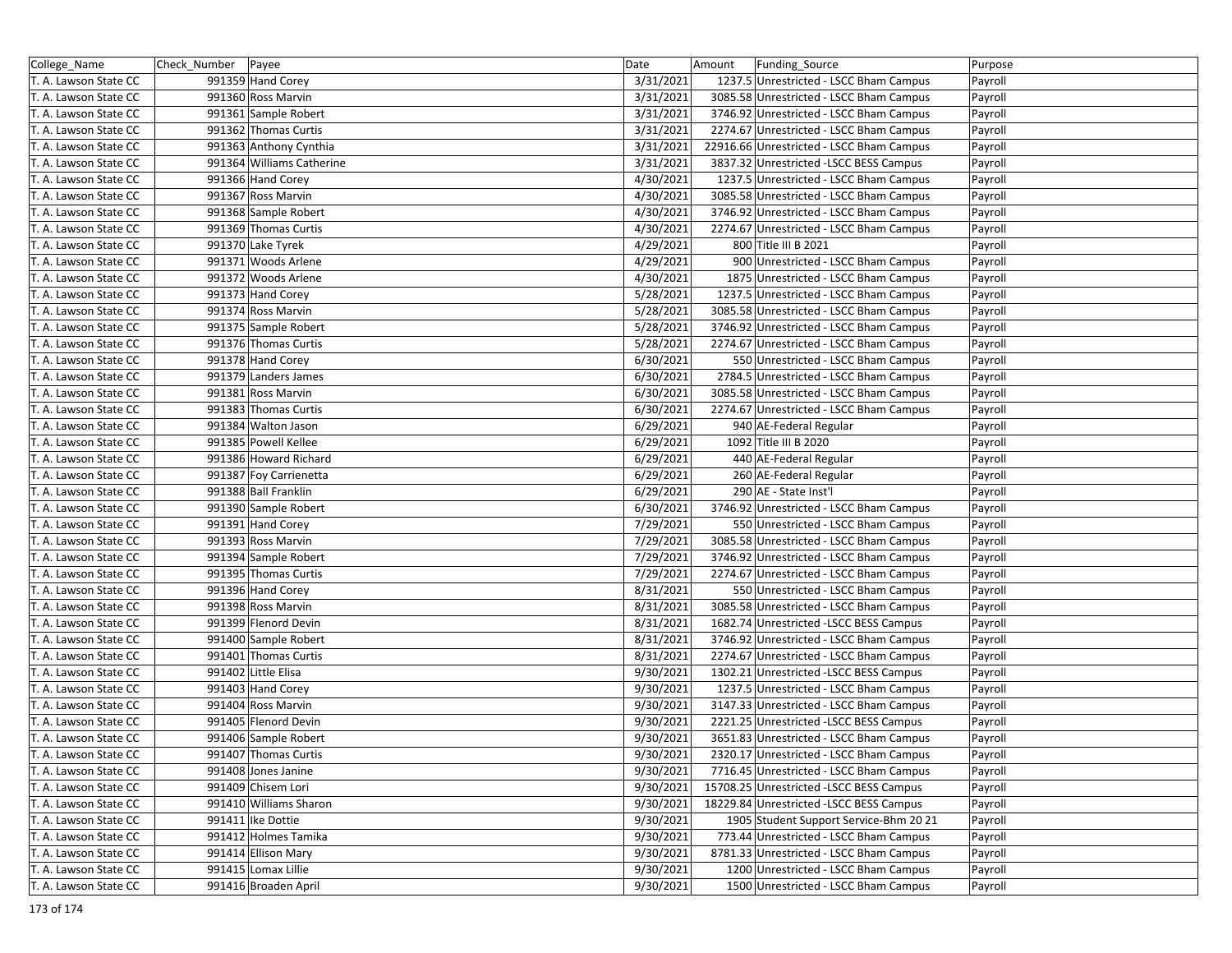| College_Name          | Check_Number   Payee      | Date      | Amount | Funding_Source                           | Purpose |
|-----------------------|---------------------------|-----------|--------|------------------------------------------|---------|
| T. A. Lawson State CC | 991359 Hand Corey         | 3/31/2021 |        | 1237.5 Unrestricted - LSCC Bham Campus   | Payroll |
| T. A. Lawson State CC | 991360 Ross Marvin        | 3/31/2021 |        | 3085.58 Unrestricted - LSCC Bham Campus  | Payroll |
| T. A. Lawson State CC | 991361 Sample Robert      | 3/31/2021 |        | 3746.92 Unrestricted - LSCC Bham Campus  | Payroll |
| T. A. Lawson State CC | 991362 Thomas Curtis      | 3/31/2021 |        | 2274.67 Unrestricted - LSCC Bham Campus  | Payroll |
| T. A. Lawson State CC | 991363 Anthony Cynthia    | 3/31/2021 |        | 22916.66 Unrestricted - LSCC Bham Campus | Payroll |
| T. A. Lawson State CC | 991364 Williams Catherine | 3/31/2021 |        | 3837.32 Unrestricted -LSCC BESS Campus   | Payroll |
| T. A. Lawson State CC | 991366 Hand Corey         | 4/30/2021 |        | 1237.5 Unrestricted - LSCC Bham Campus   | Payroll |
| T. A. Lawson State CC | 991367 Ross Marvin        | 4/30/2021 |        | 3085.58 Unrestricted - LSCC Bham Campus  | Payroll |
| T. A. Lawson State CC | 991368 Sample Robert      | 4/30/2021 |        | 3746.92 Unrestricted - LSCC Bham Campus  | Payroll |
| T. A. Lawson State CC | 991369 Thomas Curtis      | 4/30/2021 |        | 2274.67 Unrestricted - LSCC Bham Campus  | Payroll |
| T. A. Lawson State CC | 991370 Lake Tyrek         | 4/29/2021 |        | 800 Title III B 2021                     | Payroll |
| T. A. Lawson State CC | 991371 Woods Arlene       | 4/29/2021 |        | 900 Unrestricted - LSCC Bham Campus      | Payroll |
| T. A. Lawson State CC | 991372 Woods Arlene       | 4/30/2021 |        | 1875 Unrestricted - LSCC Bham Campus     | Payroll |
| T. A. Lawson State CC | 991373 Hand Corey         | 5/28/2021 |        | 1237.5 Unrestricted - LSCC Bham Campus   | Payroll |
| T. A. Lawson State CC | 991374 Ross Marvin        | 5/28/2021 |        | 3085.58 Unrestricted - LSCC Bham Campus  | Payroll |
| T. A. Lawson State CC | 991375 Sample Robert      | 5/28/2021 |        | 3746.92 Unrestricted - LSCC Bham Campus  | Payroll |
| T. A. Lawson State CC | 991376 Thomas Curtis      | 5/28/2021 |        | 2274.67 Unrestricted - LSCC Bham Campus  | Payroll |
| T. A. Lawson State CC | 991378 Hand Corey         | 6/30/2021 |        | 550 Unrestricted - LSCC Bham Campus      | Payroll |
| T. A. Lawson State CC | 991379 Landers James      | 6/30/2021 |        | 2784.5 Unrestricted - LSCC Bham Campus   | Payroll |
| T. A. Lawson State CC | 991381 Ross Marvin        | 6/30/2021 |        | 3085.58 Unrestricted - LSCC Bham Campus  | Payroll |
| T. A. Lawson State CC | 991383 Thomas Curtis      | 6/30/2021 |        | 2274.67 Unrestricted - LSCC Bham Campus  | Payroll |
| T. A. Lawson State CC | 991384 Walton Jason       | 6/29/2021 |        | 940 AE-Federal Regular                   | Payroll |
| T. A. Lawson State CC | 991385 Powell Kellee      | 6/29/2021 |        | 1092 Title III B 2020                    | Payroll |
| T. A. Lawson State CC | 991386 Howard Richard     | 6/29/2021 |        | 440 AE-Federal Regular                   | Payroll |
| T. A. Lawson State CC | 991387 Foy Carrienetta    | 6/29/2021 |        | 260 AE-Federal Regular                   | Payroll |
| T. A. Lawson State CC | 991388 Ball Franklin      | 6/29/2021 |        | 290 AE - State Inst'l                    | Payroll |
| T. A. Lawson State CC | 991390 Sample Robert      | 6/30/2021 |        | 3746.92 Unrestricted - LSCC Bham Campus  | Payroll |
| T. A. Lawson State CC | 991391 Hand Corey         | 7/29/2021 |        | 550 Unrestricted - LSCC Bham Campus      | Payroll |
| T. A. Lawson State CC | 991393 Ross Marvin        | 7/29/2021 |        | 3085.58 Unrestricted - LSCC Bham Campus  | Payroll |
| T. A. Lawson State CC | 991394 Sample Robert      | 7/29/2021 |        | 3746.92 Unrestricted - LSCC Bham Campus  | Payroll |
| T. A. Lawson State CC | 991395 Thomas Curtis      | 7/29/2021 |        | 2274.67 Unrestricted - LSCC Bham Campus  | Payroll |
| T. A. Lawson State CC | 991396 Hand Corey         | 8/31/2021 |        | 550 Unrestricted - LSCC Bham Campus      | Payroll |
| T. A. Lawson State CC | 991398 Ross Marvin        | 8/31/2021 |        | 3085.58 Unrestricted - LSCC Bham Campus  | Payroll |
| T. A. Lawson State CC | 991399 Flenord Devin      | 8/31/2021 |        | 1682.74 Unrestricted -LSCC BESS Campus   | Payroll |
| T. A. Lawson State CC | 991400 Sample Robert      | 8/31/2021 |        | 3746.92 Unrestricted - LSCC Bham Campus  | Payroll |
| T. A. Lawson State CC | 991401 Thomas Curtis      | 8/31/2021 |        | 2274.67 Unrestricted - LSCC Bham Campus  | Payroll |
| T. A. Lawson State CC | 991402 Little Elisa       | 9/30/2021 |        | 1302.21 Unrestricted -LSCC BESS Campus   | Payroll |
| T. A. Lawson State CC | 991403 Hand Corey         | 9/30/2021 |        | 1237.5 Unrestricted - LSCC Bham Campus   | Payroll |
| T. A. Lawson State CC | 991404 Ross Marvin        | 9/30/2021 |        | 3147.33 Unrestricted - LSCC Bham Campus  | Payroll |
| T. A. Lawson State CC | 991405 Flenord Devin      | 9/30/2021 |        | 2221.25 Unrestricted -LSCC BESS Campus   | Payroll |
| T. A. Lawson State CC | 991406 Sample Robert      | 9/30/2021 |        | 3651.83 Unrestricted - LSCC Bham Campus  | Payroll |
| T. A. Lawson State CC | 991407 Thomas Curtis      | 9/30/2021 |        | 2320.17 Unrestricted - LSCC Bham Campus  | Payroll |
| T. A. Lawson State CC | 991408 Jones Janine       | 9/30/2021 |        | 7716.45 Unrestricted - LSCC Bham Campus  | Payroll |
| T. A. Lawson State CC | 991409 Chisem Lori        | 9/30/2021 |        | 15708.25 Unrestricted -LSCC BESS Campus  | Payroll |
| T. A. Lawson State CC | 991410 Williams Sharon    | 9/30/2021 |        | 18229.84 Unrestricted -LSCC BESS Campus  | Payroll |
| T. A. Lawson State CC | 991411 Ike Dottie         | 9/30/2021 |        | 1905 Student Support Service-Bhm 20 21   | Payroll |
| T. A. Lawson State CC | 991412 Holmes Tamika      | 9/30/2021 |        | 773.44 Unrestricted - LSCC Bham Campus   | Payroll |
| T. A. Lawson State CC | 991414 Ellison Mary       | 9/30/2021 |        | 8781.33 Unrestricted - LSCC Bham Campus  | Payroll |
| T. A. Lawson State CC | 991415 Lomax Lillie       | 9/30/2021 |        | 1200 Unrestricted - LSCC Bham Campus     | Payroll |
| T. A. Lawson State CC | 991416 Broaden April      | 9/30/2021 |        | 1500 Unrestricted - LSCC Bham Campus     | Payroll |